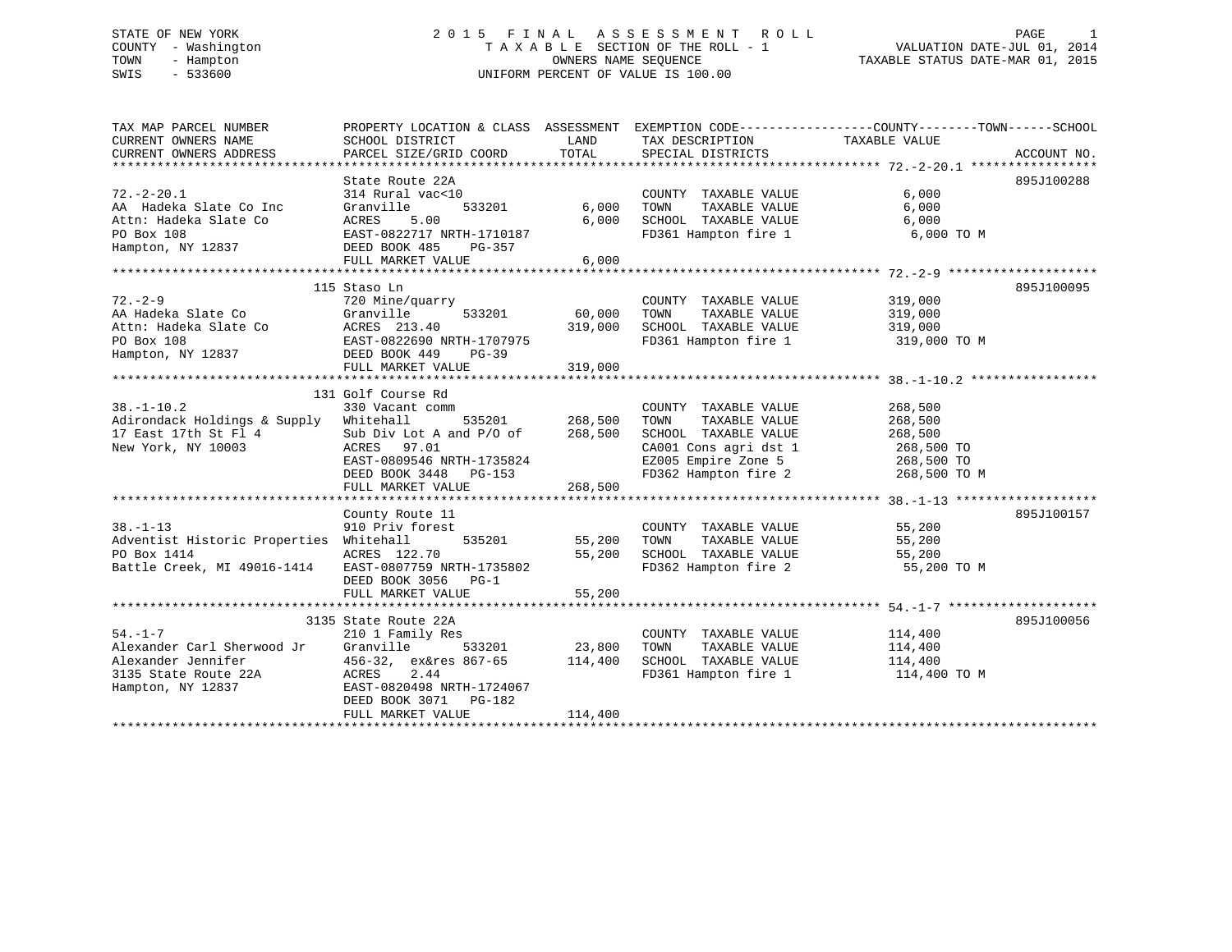# STATE OF NEW YORK 2 0 1 5 F I N A L A S S E S S M E N T R O L L PAGE 1 COUNTY - Washington T A X A B L E SECTION OF THE ROLL - 1 VALUATION DATE-JUL 01, 2014 TOWN - Hampton OWNERS NAME SEQUENCE TAXABLE STATUS DATE-MAR 01, 2015 SWIS - 533600 UNIFORM PERCENT OF VALUE IS 100.00

| TAX MAP PARCEL NUMBER<br>CURRENT OWNERS NAME<br>CURRENT OWNERS ADDRESS                                                                                                             | SCHOOL DISTRICT<br>PARCEL SIZE/GRID COORD TOTAL |                | LAND TAX DESCRIPTION TAXABLE VALUE<br>SPECIAL DISTRICTS                                                 | PROPERTY LOCATION & CLASS ASSESSMENT EXEMPTION CODE---------------COUNTY-------TOWN------SCHOOL<br>ACCOUNT NO. |
|------------------------------------------------------------------------------------------------------------------------------------------------------------------------------------|-------------------------------------------------|----------------|---------------------------------------------------------------------------------------------------------|----------------------------------------------------------------------------------------------------------------|
|                                                                                                                                                                                    |                                                 |                |                                                                                                         |                                                                                                                |
|                                                                                                                                                                                    | State Route 22A                                 |                |                                                                                                         | 895J100288                                                                                                     |
| $72. - 2 - 20.1$                                                                                                                                                                   | 314 Rural vac<10                                |                | COUNTY TAXABLE VALUE                                                                                    | 6,000                                                                                                          |
|                                                                                                                                                                                    |                                                 |                |                                                                                                         |                                                                                                                |
|                                                                                                                                                                                    | $533201$ 6,000                                  | 6,000          | TOWN TAXABLE VALUE 6,000<br>SCHOOL TAXABLE VALUE 6,000                                                  |                                                                                                                |
|                                                                                                                                                                                    |                                                 |                |                                                                                                         | FD361 Hampton fire 1 6,000 TO M                                                                                |
|                                                                                                                                                                                    |                                                 |                |                                                                                                         |                                                                                                                |
| AA Hadeka Slate Co Inc Granville 533201<br>Attn: Hadeka Slate Co ACRES 5.00<br>PO Box 108 EAST-0822717 NRTH-1710187<br>Hampton, NY 12837 DEED BOOK 485 PG-357<br>FULL MARKET VALUE | FULL MARKET VALUE                               | 6,000          |                                                                                                         |                                                                                                                |
|                                                                                                                                                                                    |                                                 |                |                                                                                                         |                                                                                                                |
|                                                                                                                                                                                    | 115 Staso Ln                                    |                |                                                                                                         | 895J100095                                                                                                     |
| $72. - 2 - 9$                                                                                                                                                                      |                                                 |                | COUNTY TAXABLE VALUE 319,000                                                                            |                                                                                                                |
|                                                                                                                                                                                    |                                                 |                |                                                                                                         |                                                                                                                |
|                                                                                                                                                                                    |                                                 |                |                                                                                                         |                                                                                                                |
|                                                                                                                                                                                    |                                                 |                |                                                                                                         | FD361 Hampton fire 1 319,000 TO M                                                                              |
| AA Hadeka Slate Co Granville 533201<br>Attn: Hadeka Slate Co ACRES 213.40<br>PO Box 108 EAST-0822690 NRTH-1707975<br>Hampton, NY 12837 DEED BOOK 449 PG-39                         |                                                 |                |                                                                                                         |                                                                                                                |
|                                                                                                                                                                                    | FULL MARKET VALUE                               | 319,000        |                                                                                                         |                                                                                                                |
|                                                                                                                                                                                    |                                                 |                |                                                                                                         |                                                                                                                |
|                                                                                                                                                                                    | 131 Golf Course Rd                              |                |                                                                                                         |                                                                                                                |
| $38. - 1 - 10.2$                                                                                                                                                                   | 330 Vacant comm                                 |                | COUNTY TAXABLE VALUE                                                                                    | 268,500                                                                                                        |
| Adirondack Holdings & Supply                                                                                                                                                       | Whitehall                                       | 535201 268,500 | TAXABLE VALUE<br>TOWN                                                                                   | 268,500                                                                                                        |
| 17 East 17th St Fl 4                                                                                                                                                               | Sub Div Lot A and $P/O$ of 268,500              |                | SCHOOL TAXABLE VALUE                                                                                    | 268,500                                                                                                        |
| New York, NY 10003                                                                                                                                                                 |                                                 |                | CA001 Cons agri dst 1 268,500 TO<br>EZ005 Empire Zone 5 268,500 TO<br>FD362 Hampton fire 2 268,500 TO M |                                                                                                                |
|                                                                                                                                                                                    | ACRES 97.01<br>EAST-0809546 NRTH-1735824        |                |                                                                                                         |                                                                                                                |
|                                                                                                                                                                                    | DEED BOOK 3448 PG-153                           |                |                                                                                                         |                                                                                                                |
|                                                                                                                                                                                    | FULL MARKET VALUE                               | 268,500        |                                                                                                         |                                                                                                                |
|                                                                                                                                                                                    |                                                 |                |                                                                                                         |                                                                                                                |
|                                                                                                                                                                                    | County Route 11                                 |                |                                                                                                         | 895J100157                                                                                                     |
| $38. - 1 - 13$                                                                                                                                                                     | 910 Priv forest                                 |                | COUNTY TAXABLE VALUE                                                                                    | 55,200                                                                                                         |
| Adventist Historic Properties Whitehall                                                                                                                                            | orest<br>535201 55,200                          |                | TAXABLE VALUE<br>TOWN                                                                                   | 55,200                                                                                                         |
| PO Box 1414                                                                                                                                                                        | ACRES 122.70                                    | 55,200         |                                                                                                         |                                                                                                                |
| Battle Creek, MI 49016-1414 EAST-0807759 NRTH-1735802                                                                                                                              |                                                 |                |                                                                                                         |                                                                                                                |
|                                                                                                                                                                                    | DEED BOOK 3056 PG-1                             |                |                                                                                                         |                                                                                                                |
|                                                                                                                                                                                    | FULL MARKET VALUE                               | 55,200         |                                                                                                         |                                                                                                                |
|                                                                                                                                                                                    |                                                 |                |                                                                                                         |                                                                                                                |
|                                                                                                                                                                                    | 3135 State Route 22A                            |                |                                                                                                         | 895J100056                                                                                                     |
| $54. -1 - 7$                                                                                                                                                                       | 210 1 Family Res                                |                | COUNTY TAXABLE VALUE 114,400                                                                            |                                                                                                                |
| Alexander Carl Sherwood Jr Granville                                                                                                                                               |                                                 | 533201 23,800  | TOWN                                                                                                    | TAXABLE VALUE 114,400                                                                                          |
|                                                                                                                                                                                    |                                                 |                | SCHOOL TAXABLE VALUE 114,400<br>FD361 Hampton fire 1 114,400                                            |                                                                                                                |
|                                                                                                                                                                                    |                                                 |                |                                                                                                         | 114,400 TO M                                                                                                   |
| Alexander Jennifer<br>3135 State Route 22A<br>Hampton, NY 12837<br>EAST-0820498 NRTH-1724067                                                                                       |                                                 |                |                                                                                                         |                                                                                                                |
|                                                                                                                                                                                    | DEED BOOK 3071 PG-182                           |                |                                                                                                         |                                                                                                                |
|                                                                                                                                                                                    | FULL MARKET VALUE                               | 114,400        |                                                                                                         |                                                                                                                |
|                                                                                                                                                                                    |                                                 |                |                                                                                                         |                                                                                                                |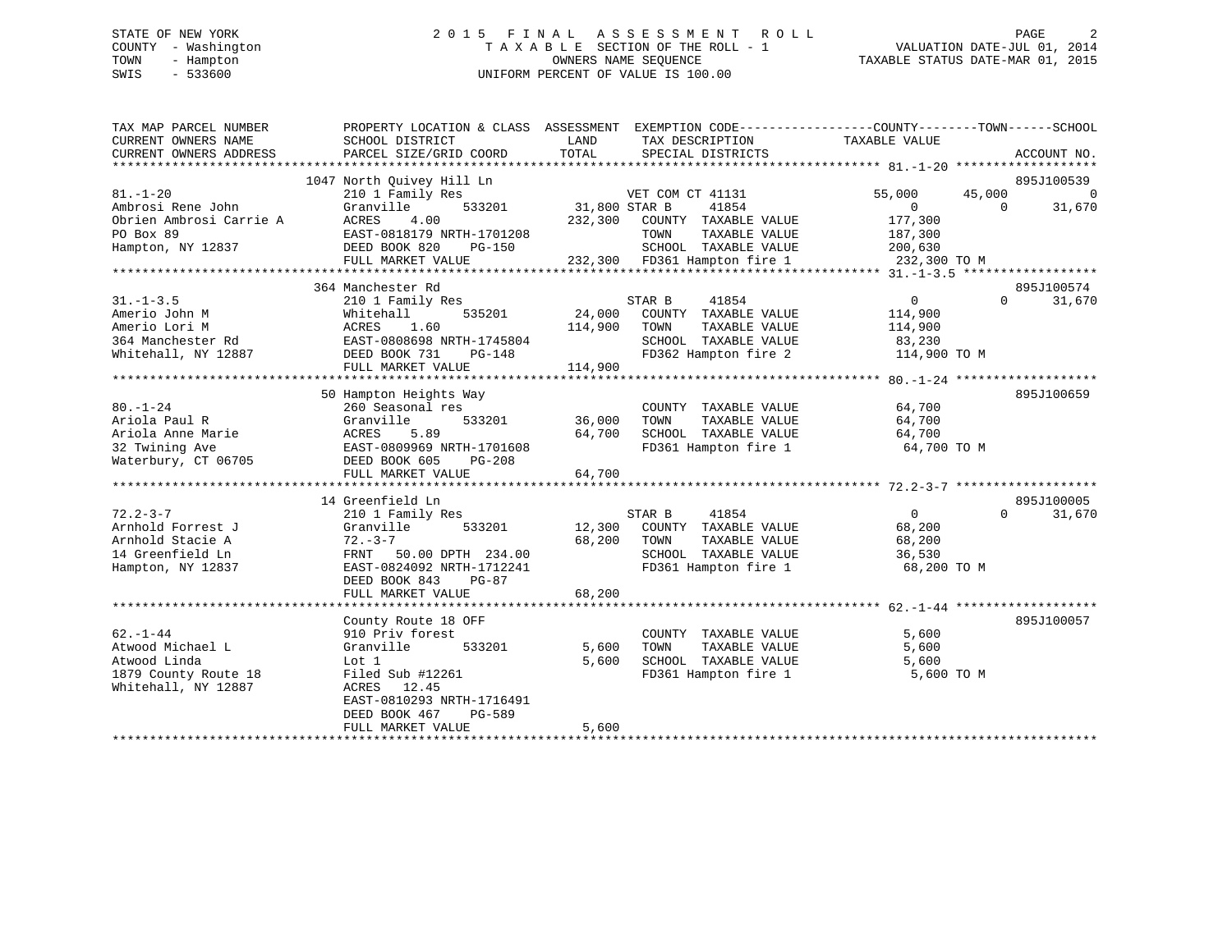# STATE OF NEW YORK 2 0 1 5 F I N A L A S S E S S M E N T R O L L PAGE 2 COUNTY - Washington T A X A B L E SECTION OF THE ROLL - 1 VALUATION DATE-JUL 01, 2014 TOWN - Hampton OWNERS NAME SEQUENCE TAXABLE STATUS DATE-MAR 01, 2015 SWIS - 533600 UNIFORM PERCENT OF VALUE IS 100.00

| TAX MAP PARCEL NUMBER<br>CURRENT OWNERS NAME<br>CURRENT OWNERS ADDRESS | PROPERTY LOCATION & CLASS ASSESSMENT<br>SCHOOL DISTRICT<br>PARCEL SIZE/GRID COORD | LAND<br>TOTAL | EXEMPTION CODE-----------------COUNTY-------TOWN------SCHOOL<br>TAX DESCRIPTION<br>SPECIAL DISTRICTS | TAXABLE VALUE           |          | ACCOUNT NO. |
|------------------------------------------------------------------------|-----------------------------------------------------------------------------------|---------------|------------------------------------------------------------------------------------------------------|-------------------------|----------|-------------|
|                                                                        |                                                                                   |               |                                                                                                      |                         |          |             |
|                                                                        | 1047 North Quivey Hill Ln                                                         |               |                                                                                                      |                         |          | 895J100539  |
| $81. - 1 - 20$                                                         | 210 1 Family Res                                                                  |               | VET COM CT 41131                                                                                     | 55,000                  | 45,000   | 0           |
| Ambrosi Rene John                                                      | Granville<br>533201                                                               | 31,800 STAR B | 41854                                                                                                | $\overline{0}$          | $\Omega$ | 31,670      |
| Obrien Ambrosi Carrie A                                                | ACRES<br>4.00                                                                     | 232,300       | COUNTY TAXABLE VALUE                                                                                 | 177,300                 |          |             |
| PO Box 89                                                              | EAST-0818179 NRTH-1701208<br><b>PG-150</b>                                        |               | TOWN<br>TAXABLE VALUE                                                                                | 187,300                 |          |             |
| Hampton, NY 12837                                                      | DEED BOOK 820<br>FULL MARKET VALUE                                                |               | SCHOOL TAXABLE VALUE<br>232,300 FD361 Hampton fire 1                                                 | 200,630<br>232,300 TO M |          |             |
|                                                                        |                                                                                   |               |                                                                                                      |                         |          |             |
|                                                                        | 364 Manchester Rd                                                                 |               |                                                                                                      |                         |          | 895J100574  |
| $31. - 1 - 3.5$                                                        | 210 1 Family Res                                                                  |               | STAR B<br>41854                                                                                      | $\overline{0}$          | $\Omega$ | 31,670      |
| Amerio John M                                                          | Whitehall<br>535201                                                               | 24,000        | COUNTY TAXABLE VALUE                                                                                 | 114,900                 |          |             |
| Amerio Lori M                                                          | ACRES<br>1.60                                                                     | 114,900       | TOWN<br>TAXABLE VALUE                                                                                | 114,900                 |          |             |
|                                                                        | EAST-0808698 NRTH-1745804                                                         |               | SCHOOL TAXABLE VALUE                                                                                 |                         |          |             |
| 364 Manchester Rd                                                      |                                                                                   |               |                                                                                                      | 83,230                  |          |             |
| Whitehall, NY 12887                                                    | DEED BOOK 731<br>PG-148                                                           |               | FD362 Hampton fire 2                                                                                 | 114,900 TO M            |          |             |
|                                                                        | FULL MARKET VALUE                                                                 | 114,900       |                                                                                                      |                         |          |             |
|                                                                        |                                                                                   |               |                                                                                                      |                         |          | 895J100659  |
| $80. - 1 - 24$                                                         | 50 Hampton Heights Way                                                            |               |                                                                                                      |                         |          |             |
|                                                                        | 260 Seasonal res<br>533201                                                        | 36,000        | COUNTY TAXABLE VALUE                                                                                 | 64,700<br>64,700        |          |             |
| Ariola Paul R                                                          | Granville                                                                         |               | TOWN<br>TAXABLE VALUE                                                                                |                         |          |             |
| Ariola Anne Marie<br>32 Twining Ave                                    | 5.89<br>ACRES<br>EAST-0809969 NRTH-1701608                                        | 64,700        | SCHOOL TAXABLE VALUE<br>FD361 Hampton fire 1                                                         | 64,700<br>64,700 TO M   |          |             |
|                                                                        | DEED BOOK 605                                                                     |               |                                                                                                      |                         |          |             |
| Waterbury, CT 06705                                                    | PG-208                                                                            |               |                                                                                                      |                         |          |             |
|                                                                        | FULL MARKET VALUE                                                                 | 64,700        |                                                                                                      |                         |          |             |
|                                                                        |                                                                                   |               |                                                                                                      |                         |          |             |
|                                                                        | 14 Greenfield Ln                                                                  |               |                                                                                                      |                         | $\Omega$ | 895J100005  |
| $72.2 - 3 - 7$                                                         | 210 1 Family Res                                                                  |               | STAR B<br>41854                                                                                      | $\overline{0}$          |          | 31,670      |
| Arnhold Forrest J                                                      | Granville<br>533201                                                               | 12,300        | COUNTY TAXABLE VALUE                                                                                 | 68,200                  |          |             |
| Arnhold Stacie A                                                       | $72. - 3 - 7$                                                                     | 68,200        | TOWN<br>TAXABLE VALUE                                                                                | 68,200                  |          |             |
| 14 Greenfield Ln                                                       | FRNT 50.00 DPTH 234.00                                                            |               | SCHOOL TAXABLE VALUE                                                                                 | 36,530                  |          |             |
| Hampton, NY 12837                                                      | EAST-0824092 NRTH-1712241                                                         |               | FD361 Hampton fire 1                                                                                 | 68,200 TO M             |          |             |
|                                                                        | PG-87<br>DEED BOOK 843                                                            |               |                                                                                                      |                         |          |             |
|                                                                        | FULL MARKET VALUE                                                                 | 68,200        |                                                                                                      |                         |          |             |
|                                                                        |                                                                                   |               |                                                                                                      |                         |          |             |
|                                                                        | County Route 18 OFF                                                               |               |                                                                                                      |                         |          | 895J100057  |
| $62. - 1 - 44$                                                         | 910 Priv forest                                                                   |               | COUNTY TAXABLE VALUE                                                                                 | 5,600                   |          |             |
| Atwood Michael L                                                       | Granville<br>533201                                                               | 5,600         | TOWN<br>TAXABLE VALUE                                                                                | 5,600                   |          |             |
| Atwood Linda                                                           | Lot 1                                                                             | 5,600         | SCHOOL TAXABLE VALUE                                                                                 | 5,600                   |          |             |
| 1879 County Route 18                                                   | Filed Sub #12261                                                                  |               | FD361 Hampton fire 1                                                                                 | 5,600 TO M              |          |             |
| Whitehall, NY 12887                                                    | ACRES 12.45                                                                       |               |                                                                                                      |                         |          |             |
|                                                                        | EAST-0810293 NRTH-1716491                                                         |               |                                                                                                      |                         |          |             |
|                                                                        | DEED BOOK 467<br>PG-589                                                           |               |                                                                                                      |                         |          |             |
|                                                                        | FULL MARKET VALUE                                                                 | 5,600         |                                                                                                      |                         |          |             |
|                                                                        |                                                                                   |               |                                                                                                      |                         |          |             |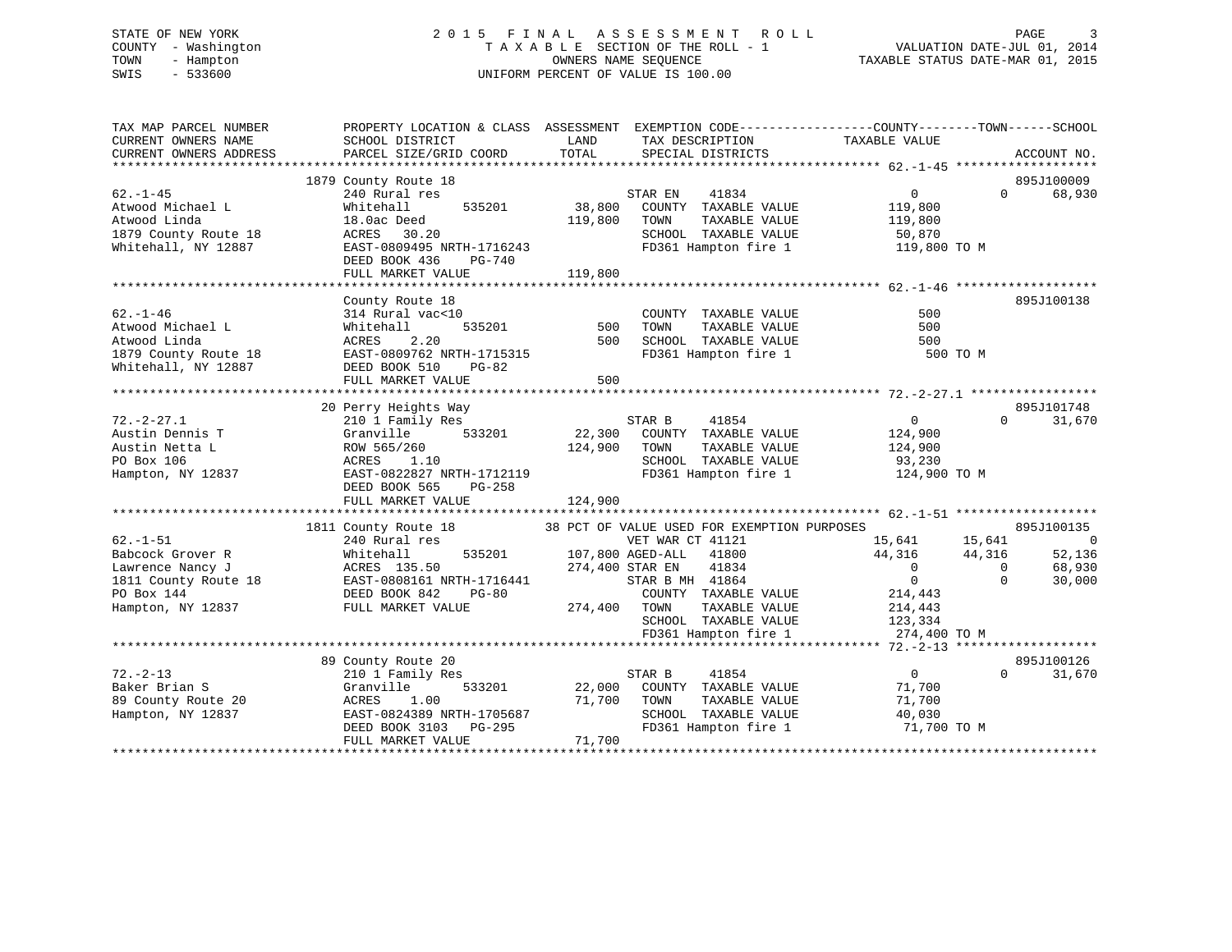#### STATE OF NEW YORK 2 0 1 5 F I N A L A S S E S S M E N T R O L L PAGE 3COUNTY - Washington  $\begin{array}{ccc} 1 & 0 & 0 \\ -1 & 0 & 0 \end{array}$  T A X A B L E SECTION OF THE ROLL - 1 TOWN - Hampton OWNERS NAME SEQUENCE TAXABLE STATUS DATE-MAR 01, 2015 SWIS - 533600 UNIFORM PERCENT OF VALUE IS 100.00

| TAX MAP PARCEL NUMBER<br>CURRENT OWNERS NAME | PROPERTY LOCATION & CLASS ASSESSMENT<br>SCHOOL DISTRICT | LAND                    | EXEMPTION CODE-----------------COUNTY-------TOWN------SCHOOL<br>TAX DESCRIPTION | TAXABLE VALUE     |                                    |
|----------------------------------------------|---------------------------------------------------------|-------------------------|---------------------------------------------------------------------------------|-------------------|------------------------------------|
| CURRENT OWNERS ADDRESS                       | PARCEL SIZE/GRID COORD                                  | TOTAL                   | SPECIAL DISTRICTS                                                               |                   | ACCOUNT NO.                        |
|                                              | 1879 County Route 18                                    |                         |                                                                                 |                   | 895J100009                         |
| $62. - 1 - 45$                               | 240 Rural res                                           |                         | 41834<br>STAR EN                                                                | $0 \qquad \qquad$ | $\Omega$<br>68,930                 |
| Atwood Michael L                             | 535201<br>Whitehall                                     | 38,800                  | COUNTY TAXABLE VALUE                                                            | 119,800           |                                    |
| Atwood Linda                                 | 18.0ac Deed                                             | 119,800                 | TAXABLE VALUE<br>TOWN                                                           | 119,800           |                                    |
| 1879 County Route 18                         | ACRES<br>30.20                                          |                         | SCHOOL TAXABLE VALUE                                                            | 50,870            |                                    |
| Whitehall, NY 12887                          | EAST-0809495 NRTH-1716243                               |                         | FD361 Hampton fire 1                                                            | 119,800 TO M      |                                    |
|                                              | DEED BOOK 436<br>PG-740                                 |                         |                                                                                 |                   |                                    |
|                                              | FULL MARKET VALUE                                       | 119,800                 |                                                                                 |                   |                                    |
|                                              |                                                         |                         |                                                                                 |                   |                                    |
|                                              | County Route 18                                         |                         |                                                                                 |                   | 895J100138                         |
| $62. - 1 - 46$                               | 314 Rural vac<10                                        |                         | COUNTY TAXABLE VALUE                                                            | 500               |                                    |
| Atwood Michael L                             | 535201<br>Whitehall                                     | 500                     | TOWN<br>TAXABLE VALUE                                                           | 500               |                                    |
| Atwood Linda                                 | 2.20<br>ACRES                                           | 500                     | SCHOOL TAXABLE VALUE                                                            | 500               |                                    |
| 1879 County Route 18                         | EAST-0809762 NRTH-1715315                               |                         | FD361 Hampton fire 1                                                            | 500 TO M          |                                    |
| Whitehall, NY 12887                          | DEED BOOK 510<br>PG-82                                  |                         |                                                                                 |                   |                                    |
|                                              | FULL MARKET VALUE                                       | 500                     |                                                                                 |                   |                                    |
|                                              |                                                         |                         |                                                                                 |                   |                                    |
|                                              | 20 Perry Heights Way                                    |                         |                                                                                 |                   | 895J101748                         |
| $72. - 2 - 27.1$                             | 210 1 Family Res                                        |                         | 41854<br>STAR B                                                                 | $\Omega$          | 31,670<br>$\Omega$                 |
| Austin Dennis T                              | 533201<br>Granville                                     | 22,300                  | COUNTY TAXABLE VALUE                                                            | 124,900           |                                    |
| Austin Netta L                               | ROW 565/260                                             | 124,900                 | TAXABLE VALUE<br>TOWN                                                           | 124,900           |                                    |
| PO Box 106                                   | ACRES<br>1.10                                           |                         | SCHOOL TAXABLE VALUE                                                            | 93,230            |                                    |
| Hampton, NY 12837                            | EAST-0822827 NRTH-1712119                               |                         | FD361 Hampton fire 1                                                            | 124,900 TO M      |                                    |
|                                              | DEED BOOK 565<br>PG-258                                 |                         |                                                                                 |                   |                                    |
|                                              | FULL MARKET VALUE                                       | 124,900                 |                                                                                 |                   |                                    |
|                                              | 1811 County Route 18                                    |                         | 38 PCT OF VALUE USED FOR EXEMPTION PURPOSES                                     |                   | 895J100135                         |
| $62. - 1 - 51$                               | 240 Rural res                                           |                         | VET WAR CT 41121                                                                | 15,641            | 15,641<br>$\overline{\phantom{0}}$ |
| Babcock Grover R                             | Whitehall                                               | 535201 107,800 AGED-ALL | 41800                                                                           | 44,316            | 44,316<br>52,136                   |
| Lawrence Nancy J                             | ACRES 135.50                                            |                         | 274,400 STAR EN<br>41834                                                        | $\overline{0}$    | $\overline{0}$<br>68,930           |
| 1811 County Route 18                         | EAST-0808161 NRTH-1716441                               |                         | STAR B MH 41864                                                                 | $\overline{0}$    | $\Omega$<br>30,000                 |
| PO Box 144                                   | DEED BOOK 842<br><b>PG-80</b>                           |                         | COUNTY TAXABLE VALUE                                                            | 214,443           |                                    |
| Hampton, NY 12837                            | FULL MARKET VALUE                                       | 274,400 TOWN            | TAXABLE VALUE                                                                   | 214,443           |                                    |
|                                              |                                                         |                         | SCHOOL TAXABLE VALUE                                                            | 123,334           |                                    |
|                                              |                                                         |                         | FD361 Hampton fire 1                                                            | 274,400 TO M      |                                    |
|                                              |                                                         |                         |                                                                                 |                   |                                    |
|                                              | 89 County Route 20                                      |                         |                                                                                 |                   | 895J100126                         |
| $72. - 2 - 13$                               | 210 1 Family Res                                        |                         | STAR B<br>41854                                                                 | $\overline{0}$    | 31,670<br>$\Omega$                 |
| Baker Brian S                                | 533201<br>Granville                                     | 22,000                  | COUNTY TAXABLE VALUE                                                            | 71,700            |                                    |
| 89 County Route 20                           | 1.00<br>ACRES                                           | 71,700                  | TOWN<br>TAXABLE VALUE                                                           | 71,700            |                                    |
| Hampton, NY 12837                            | EAST-0824389 NRTH-1705687                               |                         | SCHOOL TAXABLE VALUE                                                            | 40,030            |                                    |
|                                              | DEED BOOK 3103 PG-295                                   |                         | FD361 Hampton fire 1                                                            | 71,700 TO M       |                                    |
|                                              | FULL MARKET VALUE                                       | 71,700                  |                                                                                 |                   |                                    |
|                                              |                                                         |                         |                                                                                 |                   |                                    |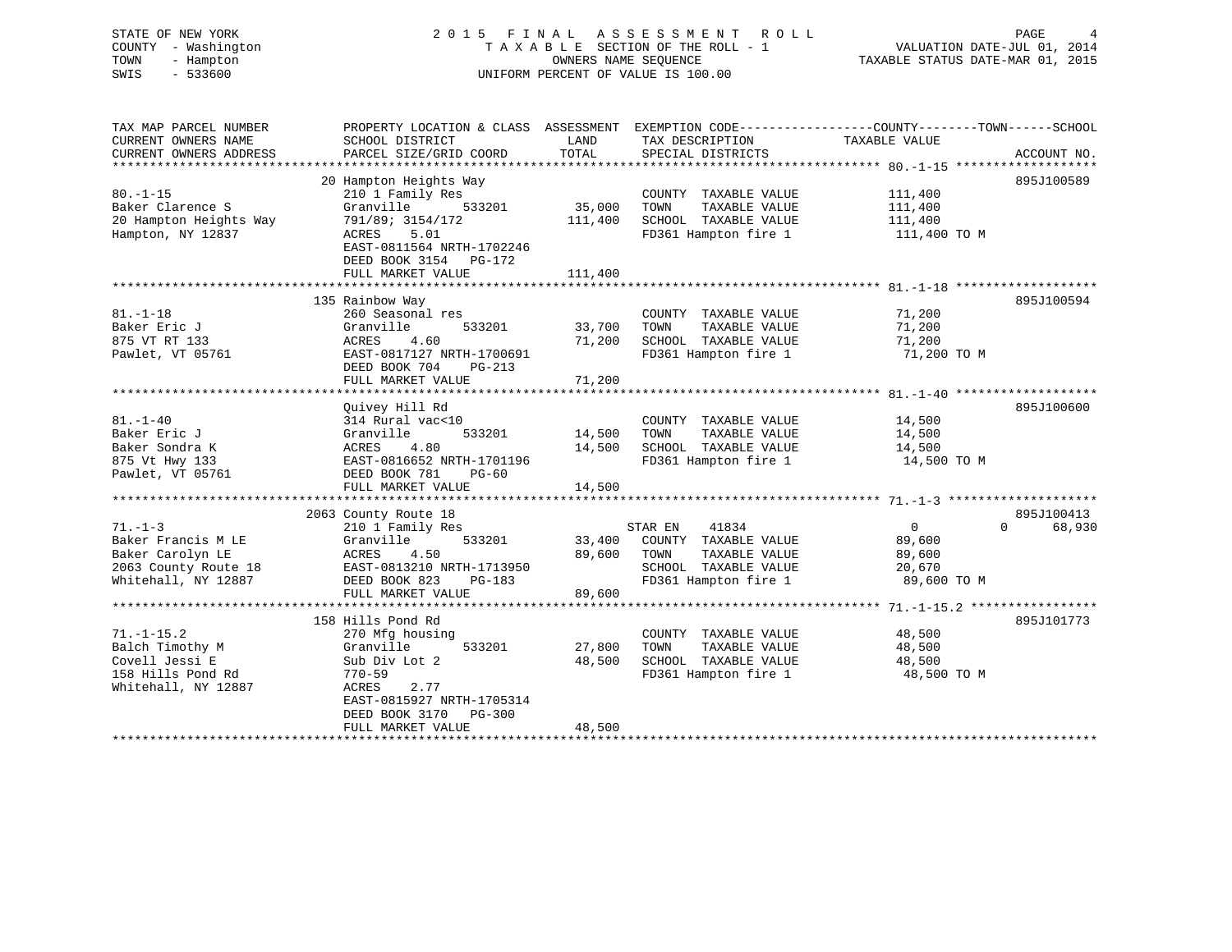# STATE OF NEW YORK 2 0 1 5 F I N A L A S S E S S M E N T R O L L PAGE 4 COUNTY - Washington T A X A B L E SECTION OF THE ROLL - 1 VALUATION DATE-JUL 01, 2014 TOWN - Hampton OWNERS NAME SEQUENCE TAXABLE STATUS DATE-MAR 01, 2015 SWIS - 533600 UNIFORM PERCENT OF VALUE IS 100.00

| TAX MAP PARCEL NUMBER<br>CURRENT OWNERS NAME<br>CURRENT OWNERS ADDRESS           | PROPERTY LOCATION & CLASS ASSESSMENT EXEMPTION CODE----------------COUNTY-------TOWN------SCHOOL<br>SCHOOL DISTRICT<br>PARCEL SIZE/GRID COORD | LAND<br>TOTAL     | TAX DESCRIPTION TAXABLE VALUE<br>SPECIAL DISTRICTS                                            |                                               | ACCOUNT NO.        |
|----------------------------------------------------------------------------------|-----------------------------------------------------------------------------------------------------------------------------------------------|-------------------|-----------------------------------------------------------------------------------------------|-----------------------------------------------|--------------------|
|                                                                                  |                                                                                                                                               |                   |                                                                                               |                                               |                    |
| $80. -1 - 15$<br>Baker Clarence S<br>20 Hampton Heights Way<br>Hampton, NY 12837 | 20 Hampton Heights Way<br>210 1 Family Res<br>Granville<br>533201<br>791/89; 3154/172<br>ACRES<br>5.01<br>EAST-0811564 NRTH-1702246           | 35,000<br>111,400 | COUNTY TAXABLE VALUE<br>TOWN<br>TAXABLE VALUE<br>SCHOOL TAXABLE VALUE<br>FD361 Hampton fire 1 | 111,400<br>111,400<br>111,400<br>111,400 TO M | 895J100589         |
|                                                                                  | DEED BOOK 3154 PG-172<br>FULL MARKET VALUE                                                                                                    | 111,400           |                                                                                               |                                               |                    |
|                                                                                  |                                                                                                                                               |                   |                                                                                               |                                               |                    |
|                                                                                  | 135 Rainbow Way                                                                                                                               |                   |                                                                                               |                                               | 895J100594         |
| $81. - 1 - 18$                                                                   | 260 Seasonal res                                                                                                                              |                   | COUNTY TAXABLE VALUE                                                                          | 71,200                                        |                    |
| Baker Eric J                                                                     | Granville<br>533201                                                                                                                           | 33,700            | TAXABLE VALUE<br>TOWN                                                                         | 71,200                                        |                    |
| 875 VT RT 133                                                                    | 4.60<br>ACRES                                                                                                                                 | 71,200            | SCHOOL TAXABLE VALUE                                                                          | 71,200                                        |                    |
| Pawlet, VT 05761                                                                 | EAST-0817127 NRTH-1700691                                                                                                                     |                   | FD361 Hampton fire 1                                                                          | 71,200 TO M                                   |                    |
|                                                                                  | DEED BOOK 704<br>PG-213                                                                                                                       |                   |                                                                                               |                                               |                    |
|                                                                                  | FULL MARKET VALUE                                                                                                                             | 71,200            |                                                                                               |                                               |                    |
|                                                                                  | Ouivey Hill Rd                                                                                                                                |                   |                                                                                               |                                               | 895J100600         |
| $81. - 1 - 40$                                                                   | 314 Rural vac<10                                                                                                                              |                   | COUNTY TAXABLE VALUE                                                                          | 14,500                                        |                    |
| Baker Eric J                                                                     | 533201<br>Granville                                                                                                                           | 14,500            | TOWN<br>TAXABLE VALUE                                                                         | 14,500                                        |                    |
| Baker Sondra K                                                                   | ACRES<br>4.80                                                                                                                                 | 14,500            | SCHOOL TAXABLE VALUE                                                                          | 14,500                                        |                    |
| 875 Vt Hwy 133                                                                   | EAST-0816652 NRTH-1701196                                                                                                                     |                   | FD361 Hampton fire 1                                                                          | 14,500 TO M                                   |                    |
| Pawlet, VT 05761                                                                 | DEED BOOK 781<br>$PG-60$                                                                                                                      |                   |                                                                                               |                                               |                    |
|                                                                                  | FULL MARKET VALUE                                                                                                                             | 14,500            |                                                                                               |                                               |                    |
|                                                                                  |                                                                                                                                               |                   |                                                                                               |                                               |                    |
|                                                                                  | 2063 County Route 18                                                                                                                          |                   |                                                                                               |                                               | 895J100413         |
| $71. - 1 - 3$                                                                    | 210 1 Family Res                                                                                                                              |                   | 41834<br>STAR EN                                                                              | $\overline{0}$                                | $\Omega$<br>68,930 |
| Baker Francis M LE                                                               | Granville<br>533201                                                                                                                           | 33,400            | COUNTY TAXABLE VALUE                                                                          | 89,600                                        |                    |
| Baker Carolyn LE                                                                 | 4.50<br>ACRES                                                                                                                                 | 89,600            | TOWN<br>TAXABLE VALUE                                                                         | 89,600                                        |                    |
| 2063 County Route 18                                                             | EAST-0813210 NRTH-1713950                                                                                                                     |                   | SCHOOL TAXABLE VALUE                                                                          | 20,670                                        |                    |
| Whitehall, NY 12887                                                              | DEED BOOK 823<br>PG-183                                                                                                                       |                   | FD361 Hampton fire 1                                                                          | 89,600 TO M                                   |                    |
|                                                                                  | FULL MARKET VALUE                                                                                                                             | 89,600            |                                                                                               |                                               |                    |
|                                                                                  |                                                                                                                                               |                   |                                                                                               |                                               |                    |
|                                                                                  | 158 Hills Pond Rd                                                                                                                             |                   |                                                                                               |                                               | 895J101773         |
| $71. - 1 - 15.2$                                                                 | 270 Mfg housing                                                                                                                               |                   | COUNTY TAXABLE VALUE                                                                          | 48,500                                        |                    |
| Balch Timothy M<br>Covell Jessi E                                                | Granville<br>533201                                                                                                                           | 27,800<br>48,500  | TAXABLE VALUE<br>TOWN<br>SCHOOL TAXABLE VALUE                                                 | 48,500                                        |                    |
| 158 Hills Pond Rd                                                                | Sub Div Lot 2<br>770–59                                                                                                                       |                   | FD361 Hampton fire 1                                                                          | 48,500<br>48,500 TO M                         |                    |
| Whitehall, NY 12887                                                              | 2.77<br>ACRES<br>EAST-0815927 NRTH-1705314<br>DEED BOOK 3170<br>PG-300                                                                        |                   |                                                                                               |                                               |                    |
|                                                                                  | FULL MARKET VALUE                                                                                                                             | 48,500            |                                                                                               |                                               |                    |
|                                                                                  |                                                                                                                                               |                   |                                                                                               |                                               |                    |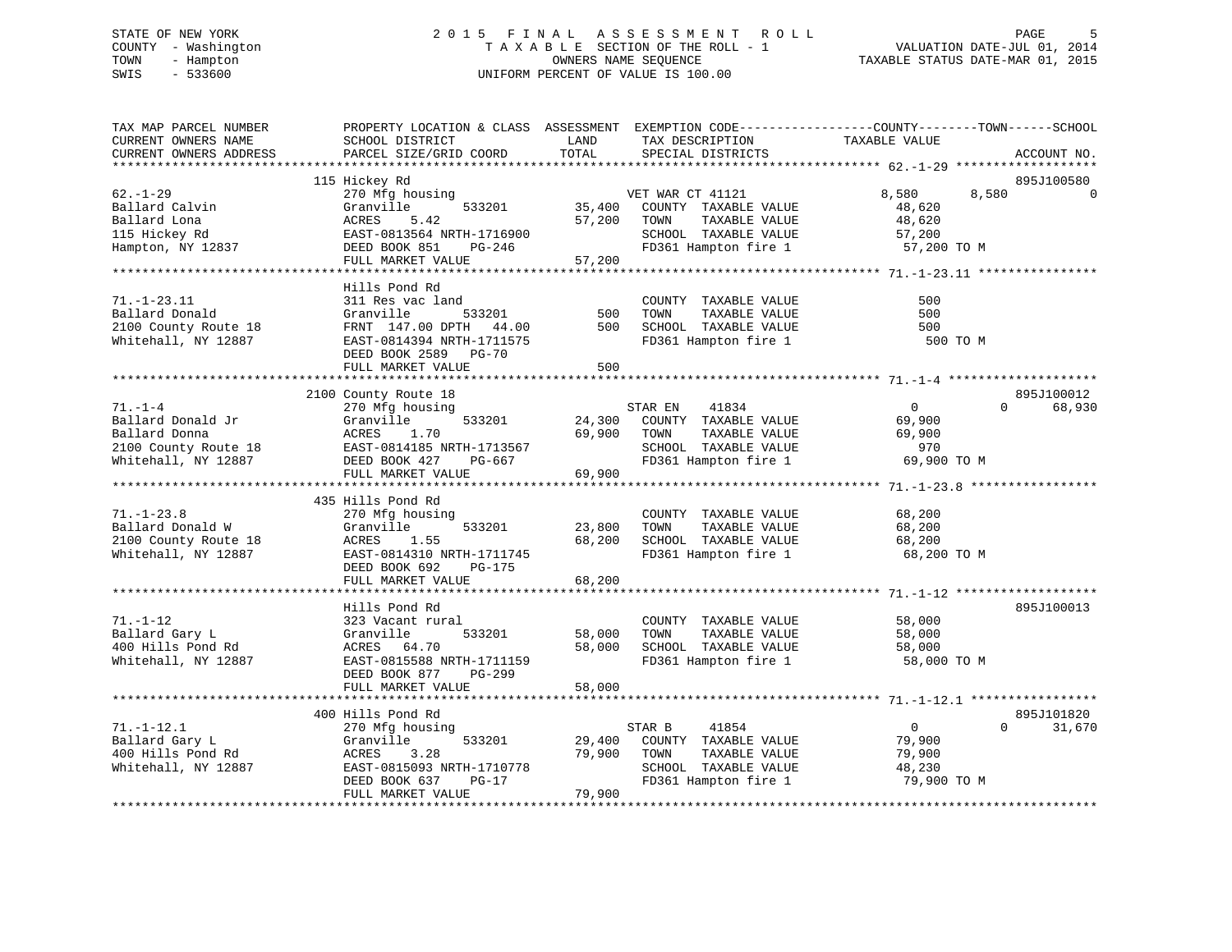# STATE OF NEW YORK 2 0 1 5 F I N A L A S S E S S M E N T R O L L PAGE 5 COUNTY - Washington T A X A B L E SECTION OF THE ROLL - 1 VALUATION DATE-JUL 01, 2014 TOWN - Hampton OWNERS NAME SEQUENCE TAXABLE STATUS DATE-MAR 01, 2015 SWIS - 533600 UNIFORM PERCENT OF VALUE IS 100.00

| TAX MAP PARCEL NUMBER<br>CURRENT OWNERS NAME<br>CURRENT OWNERS ADDRESS                             | PROPERTY LOCATION & CLASS ASSESSMENT EXEMPTION CODE---------------COUNTY-------TOWN------SCHOOL<br>SCHOOL DISTRICT<br>PARCEL SIZE/GRID COORD                | LAND<br>TOTAL              | TAX DESCRIPTION<br>SPECIAL DISTRICTS                                                                              | TAXABLE VALUE                                               | ACCOUNT NO.            |
|----------------------------------------------------------------------------------------------------|-------------------------------------------------------------------------------------------------------------------------------------------------------------|----------------------------|-------------------------------------------------------------------------------------------------------------------|-------------------------------------------------------------|------------------------|
|                                                                                                    |                                                                                                                                                             |                            |                                                                                                                   |                                                             |                        |
| $62. - 1 - 29$<br>Ballard Calvin<br>Ballard Lona<br>115 Hickey Rd<br>Hampton, NY 12837             | 115 Hickey Rd<br>270 Mfg housing<br>Granville<br>533201<br>5.42<br>ACRES<br>EAST-0813564 NRTH-1716900<br>DEED BOOK 851<br>PG-246                            | 35,400<br>57,200           | VET WAR CT 41121<br>COUNTY TAXABLE VALUE<br>TOWN<br>TAXABLE VALUE<br>SCHOOL TAXABLE VALUE<br>FD361 Hampton fire 1 | 8,580<br>8,580<br>48,620<br>48,620<br>57,200<br>57,200 TO M | 895J100580<br>$\Omega$ |
|                                                                                                    | FULL MARKET VALUE                                                                                                                                           | 57,200                     |                                                                                                                   |                                                             |                        |
|                                                                                                    |                                                                                                                                                             |                            |                                                                                                                   |                                                             |                        |
| $71. - 1 - 23.11$<br>Ballard Donald<br>2100 County Route 18<br>Whitehall, NY 12887                 | Hills Pond Rd<br>311 Res vac land<br>Granville<br>533201<br>FRNT 147.00 DPTH<br>44.00<br>EAST-0814394 NRTH-1711575<br>DEED BOOK 2589 PG-70                  | 500<br>500                 | COUNTY TAXABLE VALUE<br>TOWN<br>TAXABLE VALUE<br>SCHOOL TAXABLE VALUE<br>FD361 Hampton fire 1                     | 500<br>500<br>500<br>500 TO M                               |                        |
|                                                                                                    | FULL MARKET VALUE                                                                                                                                           | 500                        |                                                                                                                   |                                                             |                        |
|                                                                                                    | 2100 County Route 18                                                                                                                                        |                            |                                                                                                                   |                                                             | 895J100012             |
| $71. - 1 - 4$<br>Ballard Donald Jr<br>Ballard Donna<br>2100 County Route 18<br>Whitehall, NY 12887 | 270 Mfg housing<br>Granville<br>533201<br>ACRES<br>1.70<br>EAST-0814185 NRTH-1713567<br>DEED BOOK 427<br>PG-667<br>FULL MARKET VALUE                        | 24,300<br>69,900<br>69,900 | STAR EN<br>41834<br>COUNTY TAXABLE VALUE<br>TOWN<br>TAXABLE VALUE<br>SCHOOL TAXABLE VALUE<br>FD361 Hampton fire 1 | $\overline{0}$<br>69,900<br>69,900<br>970<br>69,900 TO M    | $\Omega$<br>68,930     |
|                                                                                                    |                                                                                                                                                             |                            |                                                                                                                   |                                                             |                        |
| $71. - 1 - 23.8$<br>Ballard Donald W<br>2100 County Route 18<br>Whitehall, NY 12887                | 435 Hills Pond Rd<br>270 Mfg housing<br>Granville<br>533201<br>ACRES<br>1.55<br>EAST-0814310 NRTH-1711745<br>DEED BOOK 692<br>$PG-175$<br>FULL MARKET VALUE | 23,800<br>68,200<br>68,200 | COUNTY TAXABLE VALUE<br>TOWN<br>TAXABLE VALUE<br>SCHOOL TAXABLE VALUE<br>FD361 Hampton fire 1                     | 68,200<br>68,200<br>68,200<br>68,200 TO M                   |                        |
|                                                                                                    |                                                                                                                                                             |                            |                                                                                                                   |                                                             |                        |
| $71. - 1 - 12$<br>Ballard Gary L<br>400 Hills Pond Rd<br>Whitehall, NY 12887                       | Hills Pond Rd<br>323 Vacant rural<br>Granville<br>533201<br>ACRES 64.70<br>EAST-0815588 NRTH-1711159<br>DEED BOOK 877<br>PG-299<br>FULL MARKET VALUE        | 58,000<br>58,000<br>58,000 | COUNTY TAXABLE VALUE<br>TOWN<br>TAXABLE VALUE<br>SCHOOL TAXABLE VALUE<br>FD361 Hampton fire 1                     | 58,000<br>58,000<br>58,000<br>58,000 TO M                   | 895J100013             |
|                                                                                                    | 400 Hills Pond Rd                                                                                                                                           |                            |                                                                                                                   |                                                             | 895J101820             |
| $71. - 1 - 12.1$<br>Ballard Gary L<br>400 Hills Pond Rd<br>Whitehall, NY 12887                     | 270 Mfg housing<br>533201<br>Granville<br>3.28<br>ACRES<br>EAST-0815093 NRTH-1710778<br>DEED BOOK 637<br>$PG-17$<br>FULL MARKET VALUE                       | 29,400<br>79,900<br>79,900 | 41854<br>STAR B<br>COUNTY TAXABLE VALUE<br>TOWN<br>TAXABLE VALUE<br>SCHOOL TAXABLE VALUE<br>FD361 Hampton fire 1  | $\overline{0}$<br>79,900<br>79,900<br>48,230<br>79,900 TO M | $\Omega$<br>31,670     |
|                                                                                                    |                                                                                                                                                             |                            |                                                                                                                   |                                                             |                        |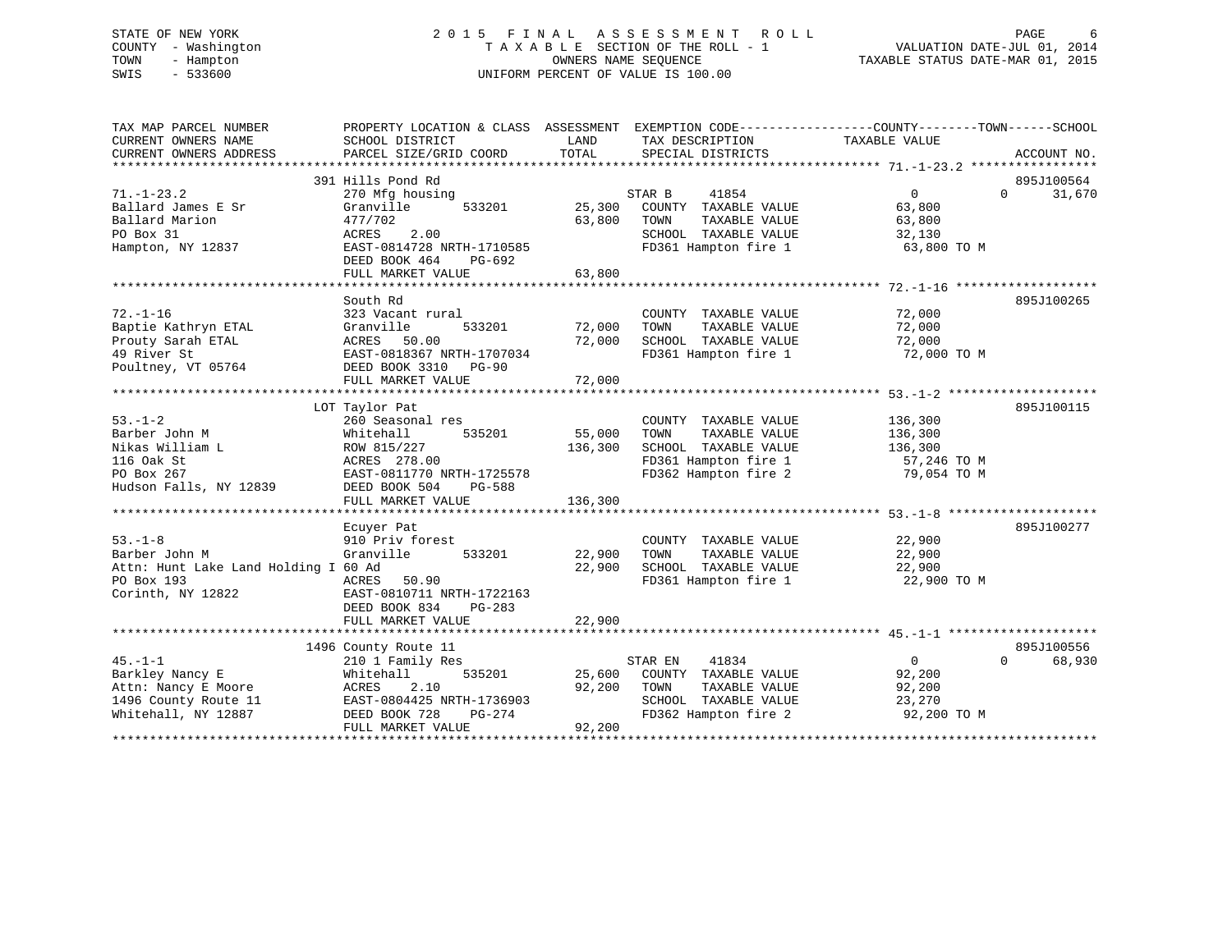# STATE OF NEW YORK 2 0 1 5 F I N A L A S S E S S M E N T R O L L PAGE 6 COUNTY - Washington T A X A B L E SECTION OF THE ROLL - 1 VALUATION DATE-JUL 01, 2014 TOWN - Hampton OWNERS NAME SEQUENCE TAXABLE STATUS DATE-MAR 01, 2015 SWIS - 533600 UNIFORM PERCENT OF VALUE IS 100.00

| TAX MAP PARCEL NUMBER                | PROPERTY LOCATION & CLASS ASSESSMENT EXEMPTION CODE---------------COUNTY-------TOWN------SCHOOL |         |                                              |                    |                    |
|--------------------------------------|-------------------------------------------------------------------------------------------------|---------|----------------------------------------------|--------------------|--------------------|
| CURRENT OWNERS NAME                  | SCHOOL DISTRICT                                                                                 | LAND    | TAX DESCRIPTION                              | TAXABLE VALUE      |                    |
| CURRENT OWNERS ADDRESS               | PARCEL SIZE/GRID COORD                                                                          | TOTAL   | SPECIAL DISTRICTS                            |                    | ACCOUNT NO.        |
|                                      |                                                                                                 |         |                                              |                    |                    |
|                                      | 391 Hills Pond Rd                                                                               |         |                                              |                    | 895J100564         |
| $71. - 1 - 23.2$                     | 270 Mfg housing                                                                                 |         | 41854<br>STAR B                              | 0                  | $\Omega$<br>31,670 |
| Ballard James E Sr                   | Granville<br>533201                                                                             | 25,300  | COUNTY TAXABLE VALUE                         | 63,800             |                    |
| Ballard Marion                       | 477/702                                                                                         | 63,800  | TOWN<br>TAXABLE VALUE                        | 63,800             |                    |
| PO Box 31                            | 2.00<br>ACRES                                                                                   |         | SCHOOL TAXABLE VALUE                         | 32,130             |                    |
| Hampton, NY 12837                    | EAST-0814728 NRTH-1710585                                                                       |         | FD361 Hampton fire 1                         | 63,800 TO M        |                    |
|                                      | DEED BOOK 464<br>PG-692                                                                         |         |                                              |                    |                    |
|                                      | FULL MARKET VALUE                                                                               | 63,800  |                                              |                    |                    |
|                                      |                                                                                                 |         |                                              |                    |                    |
|                                      | South Rd                                                                                        |         |                                              |                    | 895J100265         |
| $72. - 1 - 16$                       | 323 Vacant rural                                                                                |         | COUNTY TAXABLE VALUE                         | 72,000             |                    |
| Baptie Kathryn ETAL                  | Granville<br>533201                                                                             | 72,000  | TOWN<br>TAXABLE VALUE                        | 72,000             |                    |
| Prouty Sarah ETAL                    | ACRES 50.00                                                                                     | 72,000  | SCHOOL TAXABLE VALUE                         | 72,000             |                    |
| 49 River St                          | EAST-0818367 NRTH-1707034                                                                       |         | FD361 Hampton fire 1                         | 72,000 TO M        |                    |
| Poultney, VT 05764                   | DEED BOOK 3310 PG-90                                                                            |         |                                              |                    |                    |
|                                      | FULL MARKET VALUE                                                                               | 72,000  |                                              |                    |                    |
|                                      |                                                                                                 |         |                                              |                    |                    |
| $53. - 1 - 2$                        | LOT Taylor Pat                                                                                  |         |                                              |                    | 895J100115         |
| Barber John M                        | 260 Seasonal res                                                                                | 55,000  | COUNTY TAXABLE VALUE<br>TOWN                 | 136,300            |                    |
| Nikas William L                      | Whitehall<br>535201<br>ROW 815/227                                                              | 136,300 | TAXABLE VALUE<br>SCHOOL TAXABLE VALUE        | 136,300<br>136,300 |                    |
| 116 Oak St                           | ACRES 278.00                                                                                    |         |                                              | 57,246 TO M        |                    |
| PO Box 267                           | EAST-0811770 NRTH-1725578                                                                       |         | FD361 Hampton fire 1<br>FD361 Hampton fire 1 | 79,054 TO M        |                    |
| Hudson Falls, NY 12839               | DEED BOOK 504<br>PG-588                                                                         |         |                                              |                    |                    |
|                                      | FULL MARKET VALUE                                                                               | 136,300 |                                              |                    |                    |
|                                      |                                                                                                 |         |                                              |                    |                    |
|                                      | Ecuyer Pat                                                                                      |         |                                              |                    | 895J100277         |
| $53. -1 - 8$                         | 910 Priv forest                                                                                 |         | COUNTY TAXABLE VALUE                         | 22,900             |                    |
| Barber John M                        | 533201<br>Granville                                                                             | 22,900  | TOWN<br>TAXABLE VALUE                        | 22,900             |                    |
| Attn: Hunt Lake Land Holding I 60 Ad |                                                                                                 | 22,900  | SCHOOL TAXABLE VALUE                         | 22,900             |                    |
| PO Box 193                           | 50.90<br>ACRES                                                                                  |         | FD361 Hampton fire 1                         | 22,900 TO M        |                    |
| Corinth, NY 12822                    | EAST-0810711 NRTH-1722163                                                                       |         |                                              |                    |                    |
|                                      | DEED BOOK 834<br>$PG-283$                                                                       |         |                                              |                    |                    |
|                                      | FULL MARKET VALUE                                                                               | 22,900  |                                              |                    |                    |
|                                      |                                                                                                 |         |                                              |                    |                    |
|                                      | 1496 County Route 11                                                                            |         |                                              |                    | 895J100556         |
| $45. - 1 - 1$                        | 210 1 Family Res                                                                                |         | 41834<br>STAR EN                             | 0                  | $\Omega$<br>68,930 |
| Barkley Nancy E                      | 535201<br>Whitehall                                                                             | 25,600  | COUNTY TAXABLE VALUE                         | 92,200             |                    |
| Attn: Nancy E Moore                  | 2.10<br>ACRES                                                                                   | 92,200  | TOWN<br>TAXABLE VALUE                        | 92,200             |                    |
| 1496 County Route 11                 | EAST-0804425 NRTH-1736903                                                                       |         | SCHOOL TAXABLE VALUE                         | 23,270             |                    |
| Whitehall, NY 12887                  | DEED BOOK 728<br>PG-274                                                                         |         | FD362 Hampton fire 2                         | 92,200 TO M        |                    |
|                                      | FULL MARKET VALUE                                                                               | 92,200  |                                              |                    |                    |
|                                      |                                                                                                 |         |                                              |                    |                    |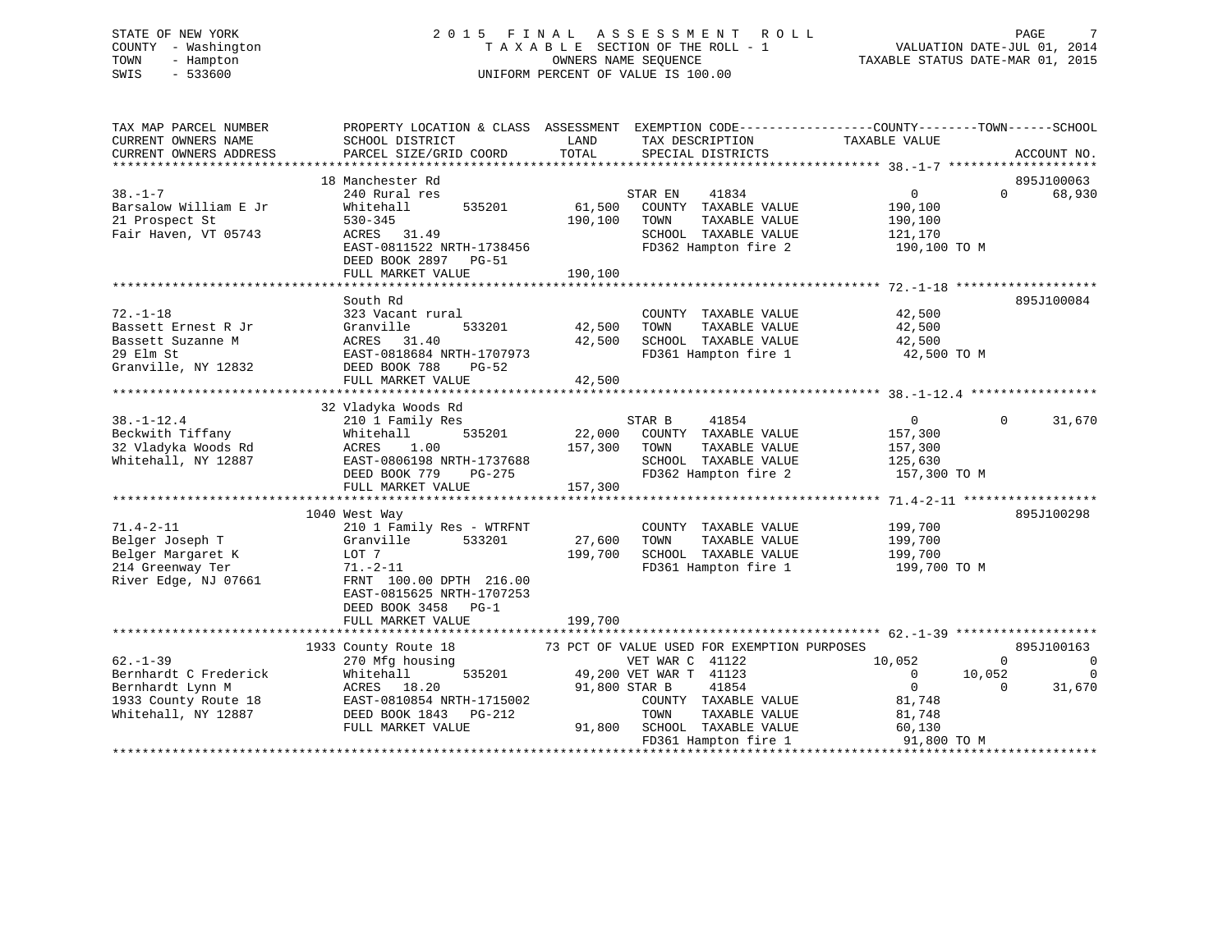#### STATE OF NEW YORK 2 0 1 5 F I N A L A S S E S S M E N T R O L L PAGE 7COUNTY - Washington  $T A X A B L E$  SECTION OF THE ROLL - 1<br>TOWN - Hampton DATE-JUL 000NERS NAME SEQUENCE TOWN - Hampton OWNERS NAME SEQUENCE TAXABLE STATUS DATE-MAR 01, 2015 SWIS - 533600 UNIFORM PERCENT OF VALUE IS 100.00

| TAX MAP PARCEL NUMBER  | PROPERTY LOCATION & CLASS ASSESSMENT EXEMPTION CODE---------------COUNTY-------TOWN-----SCHOOL |               |                                               |                          |                     |
|------------------------|------------------------------------------------------------------------------------------------|---------------|-----------------------------------------------|--------------------------|---------------------|
| CURRENT OWNERS NAME    | SCHOOL DISTRICT                                                                                | LAND          | TAX DESCRIPTION                               | TAXABLE VALUE            |                     |
| CURRENT OWNERS ADDRESS | PARCEL SIZE/GRID COORD                                                                         | TOTAL         | SPECIAL DISTRICTS                             |                          | ACCOUNT NO.         |
|                        |                                                                                                |               |                                               |                          |                     |
|                        | 18 Manchester Rd                                                                               |               |                                               |                          | 895J100063          |
| $38. - 1 - 7$          | 240 Rural res                                                                                  |               | 41834<br>STAR EN                              | $\overline{0}$           | $\Omega$<br>68,930  |
| Barsalow William E Jr  | 535201<br>Whitehall                                                                            | 61,500        | COUNTY TAXABLE VALUE                          | 190,100                  |                     |
| 21 Prospect St         | $530 - 345$                                                                                    | 190,100       | TAXABLE VALUE<br>TOWN                         | 190,100                  |                     |
| Fair Haven, VT 05743   | ACRES 31.49                                                                                    |               | SCHOOL TAXABLE VALUE                          | 121,170                  |                     |
|                        | EAST-0811522 NRTH-1738456                                                                      |               | FD362 Hampton fire 2                          | 190,100 TO M             |                     |
|                        | DEED BOOK 2897 PG-51                                                                           |               |                                               |                          |                     |
|                        | FULL MARKET VALUE                                                                              | 190,100       |                                               |                          |                     |
|                        |                                                                                                |               |                                               |                          |                     |
|                        | South Rd                                                                                       |               |                                               |                          | 895J100084          |
| $72. - 1 - 18$         | 323 Vacant rural                                                                               |               | COUNTY TAXABLE VALUE                          | 42,500                   |                     |
| Bassett Ernest R Jr    | 533201<br>Granville                                                                            | 42,500        | TOWN<br>TAXABLE VALUE                         | 42,500                   |                     |
| Bassett Suzanne M      | ACRES 31.40                                                                                    | 42,500        | SCHOOL TAXABLE VALUE                          | 42,500                   |                     |
| 29 Elm St              | EAST-0818684 NRTH-1707973                                                                      |               | FD361 Hampton fire 1                          | 42,500 TO M              |                     |
| Granville, NY 12832    | DEED BOOK 788<br><b>PG-52</b>                                                                  |               |                                               |                          |                     |
|                        | FULL MARKET VALUE                                                                              | 42,500        |                                               |                          |                     |
|                        |                                                                                                |               |                                               |                          |                     |
|                        | 32 Vladyka Woods Rd                                                                            |               |                                               |                          |                     |
| $38. - 1 - 12.4$       | 210 1 Family Res                                                                               |               | STAR B<br>41854                               | $\overline{0}$           | 31,670<br>$\Omega$  |
| Beckwith Tiffany       | Whitehall<br>535201                                                                            |               | 22,000 COUNTY TAXABLE VALUE                   | 157,300                  |                     |
| 32 Vladyka Woods Rd    | ACRES<br>1.00                                                                                  | 157,300       | TAXABLE VALUE<br>TOWN                         | 157,300                  |                     |
| Whitehall, NY 12887    | EAST-0806198 NRTH-1737688                                                                      |               | SCHOOL TAXABLE VALUE                          | 125,630                  |                     |
|                        | DEED BOOK 779<br>PG-275                                                                        |               | FD362 Hampton fire 2                          | 157,300 TO M             |                     |
|                        | FULL MARKET VALUE                                                                              | 157,300       |                                               |                          |                     |
|                        |                                                                                                |               |                                               |                          |                     |
|                        | 1040 West Way                                                                                  |               |                                               |                          | 895J100298          |
| $71.4 - 2 - 11$        | 210 1 Family Res - WTRFNT                                                                      |               |                                               | 199,700                  |                     |
|                        |                                                                                                | 27,600        | COUNTY TAXABLE VALUE<br>TOWN<br>TAXABLE VALUE | 199,700                  |                     |
| Belger Joseph T        | 533201<br>Granville                                                                            |               |                                               |                          |                     |
| Belger Margaret K      | LOT 7                                                                                          | 199,700       | SCHOOL TAXABLE VALUE                          | 199,700                  |                     |
| 214 Greenway Ter       | 71.–2–11                                                                                       |               | FD361 Hampton fire 1                          | 199,700 TO M             |                     |
| River Edge, NJ 07661   | FRNT 100.00 DPTH 216.00                                                                        |               |                                               |                          |                     |
|                        | EAST-0815625 NRTH-1707253                                                                      |               |                                               |                          |                     |
|                        | DEED BOOK 3458 PG-1                                                                            |               |                                               |                          |                     |
|                        | FULL MARKET VALUE                                                                              | 199,700       |                                               |                          |                     |
|                        |                                                                                                |               |                                               |                          |                     |
|                        | 1933 County Route 18                                                                           |               | 73 PCT OF VALUE USED FOR EXEMPTION PURPOSES   |                          | 895J100163          |
| $62 - 1 - 39$          | 270 Mfg housing                                                                                |               | VET WAR C 41122                               | 10,052                   | 0<br>$\overline{0}$ |
| Bernhardt C Frederick  | 535201<br>Whitehall                                                                            |               | 49,200 VET WAR T 41123                        | $\overline{0}$<br>10,052 | $\Omega$            |
| Bernhardt Lynn M       | ACRES 18.20                                                                                    | 91,800 STAR B | 41854                                         | $\overline{0}$           | $\Omega$<br>31,670  |
| 1933 County Route 18   | EAST-0810854 NRTH-1715002                                                                      |               | COUNTY TAXABLE VALUE                          | 81,748                   |                     |
| Whitehall, NY 12887    | DEED BOOK 1843 PG-212                                                                          |               | TOWN<br>TAXABLE VALUE                         | 81,748                   |                     |
|                        | FULL MARKET VALUE                                                                              |               | 91,800 SCHOOL TAXABLE VALUE                   | 60,130                   |                     |
|                        |                                                                                                |               | FD361 Hampton fire 1                          | 91,800 TO M              |                     |
|                        |                                                                                                |               |                                               |                          |                     |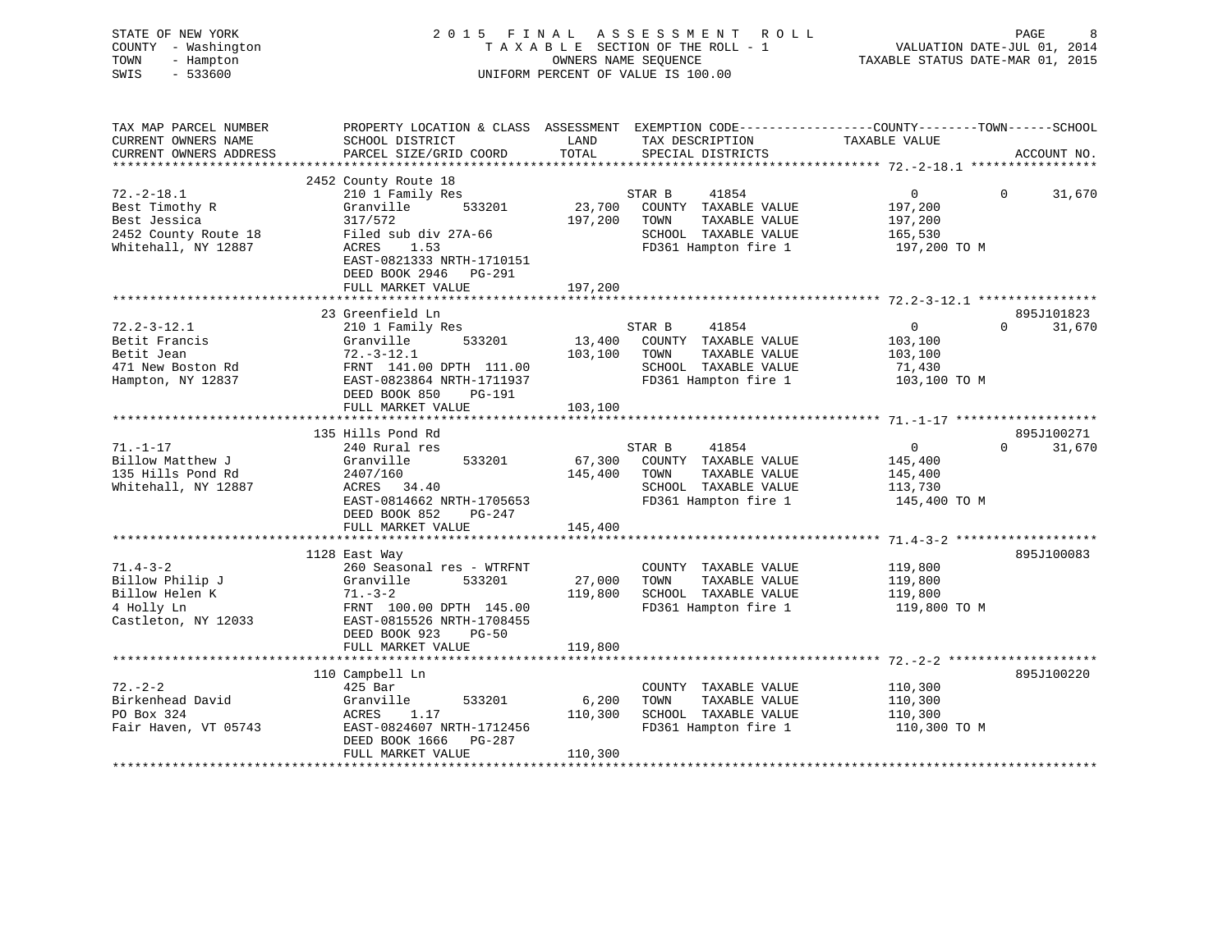| STATE OF NEW YORK<br>COUNTY - Washington<br>TOWN<br>- Hampton<br>$-533600$<br>SWIS |                                                                                                  |                    | 2015 FINAL ASSESSMENT<br>R O L L<br>TAXABLE SECTION OF THE ROLL - 1<br>OWNERS NAME SEQUENCE<br>UNIFORM PERCENT OF VALUE IS 100.00 | VALUATION DATE-JUL 01, 2014<br>TAXABLE STATUS DATE-MAR 01, 2015 | PAGE        |
|------------------------------------------------------------------------------------|--------------------------------------------------------------------------------------------------|--------------------|-----------------------------------------------------------------------------------------------------------------------------------|-----------------------------------------------------------------|-------------|
| TAX MAP PARCEL NUMBER                                                              | PROPERTY LOCATION & CLASS ASSESSMENT EXEMPTION CODE----------------COUNTY-------TOWN------SCHOOL |                    |                                                                                                                                   |                                                                 |             |
| CURRENT OWNERS NAME<br>CURRENT OWNERS ADDRESS                                      | SCHOOL DISTRICT<br>PARCEL SIZE/GRID COORD                                                        | LAND<br>TOTAL      | TAX DESCRIPTION TAXABLE VALUE<br>SPECIAL DISTRICTS                                                                                |                                                                 |             |
| ***********************                                                            |                                                                                                  |                    |                                                                                                                                   |                                                                 | ACCOUNT NO. |
|                                                                                    | 2452 County Route 18                                                                             |                    |                                                                                                                                   |                                                                 |             |
| $72. - 2 - 18.1$                                                                   | 210 1 Family Res                                                                                 |                    | STAR B<br>41854                                                                                                                   | $\overline{0}$<br>$\Omega$                                      | 31,670      |
| Best Timothy R                                                                     | Granville<br>533201                                                                              | 23,700             | COUNTY TAXABLE VALUE                                                                                                              | 197,200                                                         |             |
| Best Jessica                                                                       | 317/572                                                                                          | 197,200            | TOWN<br>TAXABLE VALUE                                                                                                             | 197,200                                                         |             |
| 2452 County Route 18                                                               | Filed sub div 27A-66                                                                             |                    | SCHOOL TAXABLE VALUE                                                                                                              | 165,530                                                         |             |
| Whitehall, NY 12887                                                                | 1.53<br>ACRES                                                                                    |                    | FD361 Hampton fire 1                                                                                                              | 197,200 TO M                                                    |             |
|                                                                                    | EAST-0821333 NRTH-1710151                                                                        |                    |                                                                                                                                   |                                                                 |             |
|                                                                                    | DEED BOOK 2946 PG-291<br>FULL MARKET VALUE                                                       | 197,200            |                                                                                                                                   |                                                                 |             |
|                                                                                    |                                                                                                  |                    |                                                                                                                                   |                                                                 |             |
|                                                                                    | 23 Greenfield Ln                                                                                 |                    |                                                                                                                                   |                                                                 | 895J101823  |
| $72.2 - 3 - 12.1$                                                                  | 210 1 Family Res                                                                                 |                    | STAR B<br>41854                                                                                                                   | $\overline{0}$<br>$\Omega$                                      | 31,670      |
| Betit Francis                                                                      | Granville<br>533201                                                                              | 13,400             | COUNTY TAXABLE VALUE                                                                                                              | 103,100                                                         |             |
| Betit Jean                                                                         | $72. - 3 - 12.1$                                                                                 | 103,100            | TAXABLE VALUE<br>TOWN                                                                                                             | 103,100                                                         |             |
| 471 New Boston Rd                                                                  | FRNT 141.00 DPTH 111.00                                                                          |                    | SCHOOL TAXABLE VALUE                                                                                                              | 71,430                                                          |             |
| Hampton, NY 12837                                                                  | EAST-0823864 NRTH-1711937                                                                        |                    | FD361 Hampton fire 1                                                                                                              | 103,100 TO M                                                    |             |
|                                                                                    | DEED BOOK 850<br>PG-191                                                                          |                    |                                                                                                                                   |                                                                 |             |
|                                                                                    | FULL MARKET VALUE                                                                                | 103,100            |                                                                                                                                   |                                                                 |             |
|                                                                                    | 135 Hills Pond Rd                                                                                |                    |                                                                                                                                   |                                                                 | 895J100271  |
| $71. - 1 - 17$                                                                     | 240 Rural res                                                                                    |                    | 41854<br>STAR B                                                                                                                   | $\Omega$<br>$\overline{0}$                                      | 31,670      |
| Billow Matthew J                                                                   | Granville<br>533201                                                                              | 67,300             | COUNTY TAXABLE VALUE                                                                                                              | 145,400                                                         |             |
| 135 Hills Pond Rd                                                                  | 2407/160                                                                                         | 145,400            | TOWN<br>TAXABLE VALUE                                                                                                             | 145,400                                                         |             |
| Whitehall, NY 12887                                                                | ACRES 34.40                                                                                      |                    | SCHOOL TAXABLE VALUE                                                                                                              | 113,730                                                         |             |
|                                                                                    | EAST-0814662 NRTH-1705653                                                                        |                    | FD361 Hampton fire 1                                                                                                              | 145,400 TO M                                                    |             |
|                                                                                    | DEED BOOK 852<br>PG-247                                                                          |                    |                                                                                                                                   |                                                                 |             |
|                                                                                    | FULL MARKET VALUE                                                                                | 145,400            |                                                                                                                                   |                                                                 |             |
|                                                                                    |                                                                                                  |                    |                                                                                                                                   |                                                                 |             |
| $71.4 - 3 - 2$                                                                     | 1128 East Way                                                                                    |                    |                                                                                                                                   |                                                                 | 895J100083  |
| Billow Philip J                                                                    | 260 Seasonal res - WTRFNT<br>Granville<br>533201                                                 | 27,000             | COUNTY TAXABLE VALUE<br>TOWN<br>TAXABLE VALUE                                                                                     | 119,800<br>119,800                                              |             |
| Billow Helen K                                                                     | $71. - 3 - 2$                                                                                    | 119,800            | SCHOOL TAXABLE VALUE                                                                                                              | 119,800                                                         |             |
| 4 Holly Ln                                                                         | FRNT 100.00 DPTH 145.00                                                                          |                    | FD361 Hampton fire 1                                                                                                              | 119,800 TO M                                                    |             |
| Castleton, NY 12033                                                                | EAST-0815526 NRTH-1708455                                                                        |                    |                                                                                                                                   |                                                                 |             |
|                                                                                    | DEED BOOK 923<br>$PG-50$                                                                         |                    |                                                                                                                                   |                                                                 |             |
|                                                                                    | FULL MARKET VALUE                                                                                | 119,800            |                                                                                                                                   |                                                                 |             |
|                                                                                    |                                                                                                  |                    |                                                                                                                                   |                                                                 |             |
|                                                                                    | 110 Campbell Ln                                                                                  |                    |                                                                                                                                   |                                                                 | 895J100220  |
| $72. - 2 - 2$                                                                      | 425 Bar                                                                                          |                    | COUNTY TAXABLE VALUE                                                                                                              | 110,300                                                         |             |
| Birkenhead David                                                                   | 533201<br>Granville                                                                              | 6,200              | TOWN<br>TAXABLE VALUE                                                                                                             | 110,300                                                         |             |
| PO Box 324                                                                         | ACRES<br>1.17                                                                                    | 110,300            | SCHOOL TAXABLE VALUE                                                                                                              | 110,300                                                         |             |
| Fair Haven, VT 05743                                                               | EAST-0824607 NRTH-1712456<br>DEED BOOK 1666<br>PG-287                                            |                    | FD361 Hampton fire 1                                                                                                              | 110,300 TO M                                                    |             |
|                                                                                    | FULL MARKET VALUE                                                                                | 110,300            |                                                                                                                                   |                                                                 |             |
|                                                                                    |                                                                                                  | <b>+++++++++++</b> |                                                                                                                                   |                                                                 |             |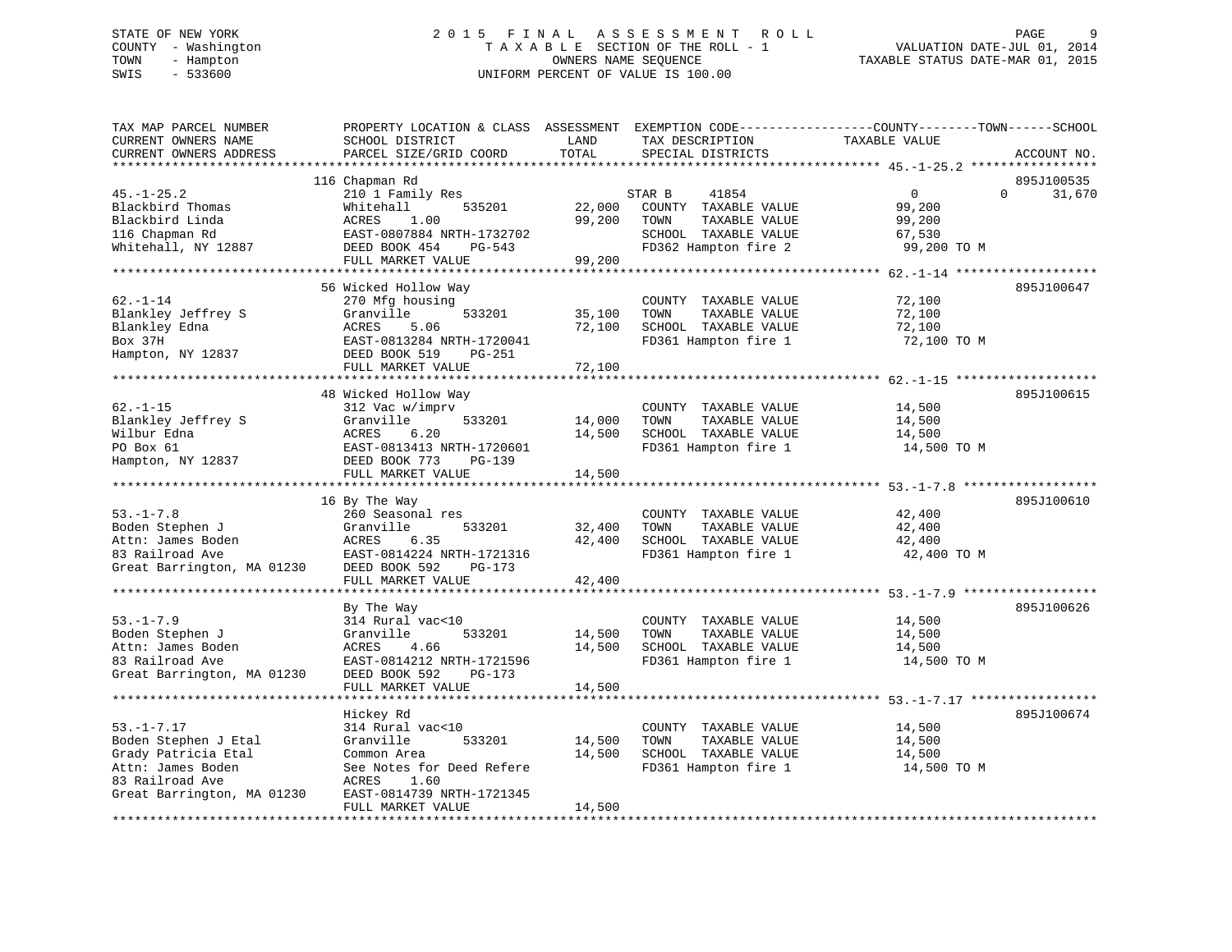# STATE OF NEW YORK 2 0 1 5 F I N A L A S S E S S M E N T R O L L PAGE 9 COUNTY - Washington T A X A B L E SECTION OF THE ROLL - 1 VALUATION DATE-JUL 01, 2014 TOWN - Hampton OWNERS NAME SEQUENCE TAXABLE STATUS DATE-MAR 01, 2015 SWIS - 533600 UNIFORM PERCENT OF VALUE IS 100.00

| TAX MAP PARCEL NUMBER<br>CURRENT OWNERS NAME<br>CURRENT OWNERS ADDRESS                                   | PROPERTY LOCATION & CLASS ASSESSMENT<br>SCHOOL DISTRICT<br>PARCEL SIZE/GRID COORD                                                                       | LAND<br>TOTAL              | TAX DESCRIPTION<br>SPECIAL DISTRICTS                                                                             | EXEMPTION CODE-----------------COUNTY-------TOWN------SCHOOL<br>TAXABLE VALUE | ACCOUNT NO.          |
|----------------------------------------------------------------------------------------------------------|---------------------------------------------------------------------------------------------------------------------------------------------------------|----------------------------|------------------------------------------------------------------------------------------------------------------|-------------------------------------------------------------------------------|----------------------|
| *************************                                                                                |                                                                                                                                                         |                            |                                                                                                                  |                                                                               |                      |
| $45. - 1 - 25.2$<br>Blackbird Thomas<br>Blackbird Linda<br>116 Chapman Rd<br>Whitehall, NY 12887         | 116 Chapman Rd<br>210 1 Family Res<br>Whitehall<br>535201<br>ACRES<br>1.00<br>EAST-0807884 NRTH-1732702<br>DEED BOOK 454<br>PG-543<br>FULL MARKET VALUE | 22,000<br>99,200<br>99,200 | STAR B<br>41854<br>COUNTY TAXABLE VALUE<br>TAXABLE VALUE<br>TOWN<br>SCHOOL TAXABLE VALUE<br>FD362 Hampton fire 2 | $\overline{0}$<br>0<br>99,200<br>99,200<br>67,530<br>99,200 TO M              | 895J100535<br>31,670 |
|                                                                                                          |                                                                                                                                                         |                            |                                                                                                                  |                                                                               |                      |
| $62. - 1 - 14$<br>Blankley Jeffrey S<br>Blankley Edna<br>Box 37H<br>Hampton, NY 12837                    | 56 Wicked Hollow Way<br>270 Mfg housing<br>Granville<br>533201<br>ACRES<br>5.06<br>EAST-0813284 NRTH-1720041<br>DEED BOOK 519<br>PG-251                 | 35,100<br>72,100           | COUNTY TAXABLE VALUE<br>TAXABLE VALUE<br>TOWN<br>SCHOOL TAXABLE VALUE<br>FD361 Hampton fire 1                    | 72,100<br>72,100<br>72,100<br>72,100 TO M                                     | 895J100647           |
|                                                                                                          | FULL MARKET VALUE                                                                                                                                       | 72,100                     |                                                                                                                  |                                                                               |                      |
|                                                                                                          | 48 Wicked Hollow Way                                                                                                                                    |                            |                                                                                                                  |                                                                               | 895J100615           |
| $62. - 1 - 15$<br>Blankley Jeffrey S<br>Wilbur Edna<br>PO Box 61<br>Hampton, NY 12837                    | 312 Vac w/imprv<br>Granville<br>533201<br>ACRES<br>6.20<br>EAST-0813413 NRTH-1720601<br>DEED BOOK 773<br>PG-139<br>FULL MARKET VALUE                    | 14,000<br>14,500<br>14,500 | COUNTY TAXABLE VALUE<br>TOWN<br>TAXABLE VALUE<br>SCHOOL TAXABLE VALUE<br>FD361 Hampton fire 1                    | 14,500<br>14,500<br>14,500<br>14,500 TO M                                     |                      |
|                                                                                                          |                                                                                                                                                         |                            |                                                                                                                  |                                                                               |                      |
| $53. - 1 - 7.8$<br>Boden Stephen J<br>Attn: James Boden<br>83 Railroad Ave<br>Great Barrington, MA 01230 | 16 By The Way<br>260 Seasonal res<br>Granville<br>533201<br>ACRES<br>6.35<br>EAST-0814224 NRTH-1721316<br>DEED BOOK 592<br>PG-173                       | 32,400<br>42,400           | COUNTY TAXABLE VALUE<br>TOWN<br>TAXABLE VALUE<br>SCHOOL TAXABLE VALUE<br>FD361 Hampton fire 1                    | 42,400<br>42,400<br>42,400<br>42,400 TO M                                     | 895J100610           |
|                                                                                                          | FULL MARKET VALUE                                                                                                                                       | 42,400                     |                                                                                                                  |                                                                               |                      |
|                                                                                                          | By The Way                                                                                                                                              |                            |                                                                                                                  |                                                                               | 895J100626           |
| $53. -1 - 7.9$<br>Boden Stephen J<br>Attn: James Boden<br>83 Railroad Ave<br>Great Barrington, MA 01230  | 314 Rural vac<10<br>Granville<br>533201<br>ACRES<br>4.66<br>EAST-0814212 NRTH-1721596<br>DEED BOOK 592<br>PG-173<br>FULL MARKET VALUE                   | 14,500<br>14,500<br>14,500 | COUNTY TAXABLE VALUE<br>TOWN<br>TAXABLE VALUE<br>SCHOOL TAXABLE VALUE<br>FD361 Hampton fire 1                    | 14,500<br>14,500<br>14,500<br>14,500 TO M                                     |                      |
|                                                                                                          |                                                                                                                                                         |                            |                                                                                                                  |                                                                               |                      |
| $53. - 1 - 7.17$<br>Boden Stephen J Etal                                                                 | Hickey Rd<br>314 Rural vac<10<br>Granville<br>533201                                                                                                    | 14,500                     | COUNTY TAXABLE VALUE<br>TOWN<br>TAXABLE VALUE                                                                    | 14,500<br>14,500                                                              | 895J100674           |
| Grady Patricia Etal<br>Attn: James Boden                                                                 | Common Area<br>See Notes for Deed Refere                                                                                                                | 14,500                     | SCHOOL TAXABLE VALUE<br>FD361 Hampton fire 1                                                                     | 14,500<br>14,500 TO M                                                         |                      |
| 83 Railroad Ave<br>Great Barrington, MA 01230                                                            | ACRES<br>1.60<br>EAST-0814739 NRTH-1721345<br>FULL MARKET VALUE                                                                                         | 14,500                     |                                                                                                                  |                                                                               |                      |
| **********************                                                                                   |                                                                                                                                                         |                            |                                                                                                                  |                                                                               |                      |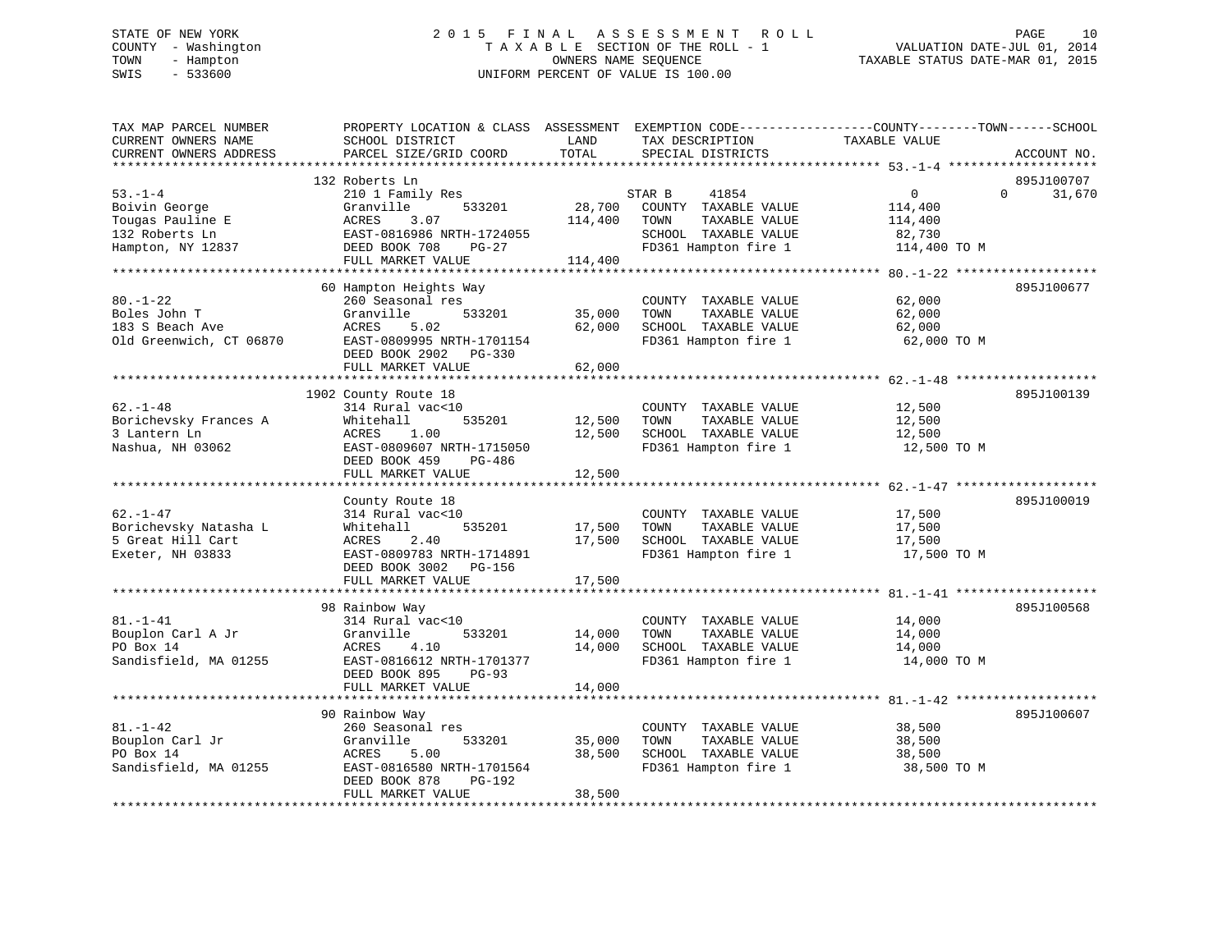# STATE OF NEW YORK 2 0 1 5 F I N A L A S S E S S M E N T R O L L PAGE 10 COUNTY - Washington T A X A B L E SECTION OF THE ROLL - 1 VALUATION DATE-JUL 01, 2014 TOWN - Hampton OWNERS NAME SEQUENCE TAXABLE STATUS DATE-MAR 01, 2015 SWIS - 533600 UNIFORM PERCENT OF VALUE IS 100.00

| TAX MAP PARCEL NUMBER<br>CURRENT OWNERS NAME<br>CURRENT OWNERS ADDRESS                    | PROPERTY LOCATION & CLASS ASSESSMENT<br>SCHOOL DISTRICT<br>PARCEL SIZE/GRID COORD                                                                                  | LAND<br>TOTAL                | TAX DESCRIPTION<br>SPECIAL DISTRICTS                                                                             | EXEMPTION CODE-----------------COUNTY-------TOWN------SCHOOL<br>TAXABLE VALUE<br>ACCOUNT NO. |
|-------------------------------------------------------------------------------------------|--------------------------------------------------------------------------------------------------------------------------------------------------------------------|------------------------------|------------------------------------------------------------------------------------------------------------------|----------------------------------------------------------------------------------------------|
| **********************                                                                    |                                                                                                                                                                    |                              |                                                                                                                  |                                                                                              |
| $53. - 1 - 4$<br>Boivin George<br>Tougas Pauline E<br>132 Roberts Ln<br>Hampton, NY 12837 | 132 Roberts Ln<br>210 1 Family Res<br>Granville<br>533201<br>ACRES<br>3.07<br>EAST-0816986 NRTH-1724055<br>DEED BOOK 708<br>$PG-27$<br>FULL MARKET VALUE           | 28,700<br>114,400<br>114,400 | 41854<br>STAR B<br>COUNTY TAXABLE VALUE<br>TOWN<br>TAXABLE VALUE<br>SCHOOL TAXABLE VALUE<br>FD361 Hampton fire 1 | 895J100707<br>$\mathbf 0$<br>0<br>31,670<br>114,400<br>114,400<br>82,730<br>114,400 TO M     |
|                                                                                           |                                                                                                                                                                    |                              |                                                                                                                  |                                                                                              |
| $80. - 1 - 22$<br>Boles John T<br>183 S Beach Ave<br>Old Greenwich, CT 06870              | 60 Hampton Heights Way<br>260 Seasonal res<br>Granville<br>533201<br>ACRES<br>5.02<br>EAST-0809995 NRTH-1701154<br>DEED BOOK 2902<br>$PG-330$<br>FULL MARKET VALUE | 35,000<br>62,000<br>62,000   | COUNTY TAXABLE VALUE<br>TAXABLE VALUE<br>TOWN<br>SCHOOL TAXABLE VALUE<br>FD361 Hampton fire 1                    | 895J100677<br>62,000<br>62,000<br>62,000<br>62,000 TO M                                      |
|                                                                                           |                                                                                                                                                                    |                              |                                                                                                                  |                                                                                              |
| $62. - 1 - 48$<br>Borichevsky Frances A<br>3 Lantern Ln<br>Nashua, NH 03062               | 1902 County Route 18<br>314 Rural vac<10<br>535201<br>Whitehall<br>ACRES<br>1.00<br>EAST-0809607 NRTH-1715050<br>DEED BOOK 459<br>PG-486<br>FULL MARKET VALUE      | 12,500<br>12,500<br>12,500   | COUNTY TAXABLE VALUE<br>TAXABLE VALUE<br>TOWN<br>SCHOOL TAXABLE VALUE<br>FD361 Hampton fire 1                    | 895J100139<br>12,500<br>12,500<br>12,500<br>12,500 TO M                                      |
|                                                                                           |                                                                                                                                                                    |                              |                                                                                                                  |                                                                                              |
| $62. - 1 - 47$<br>Borichevsky Natasha L<br>5 Great Hill Cart<br>Exeter, NH 03833          | County Route 18<br>314 Rural vac<10<br>535201<br>Whitehall<br>ACRES<br>2.40<br>EAST-0809783 NRTH-1714891<br>DEED BOOK 3002<br>PG-156<br>FULL MARKET VALUE          | 17,500<br>17,500<br>17,500   | COUNTY TAXABLE VALUE<br>TOWN<br>TAXABLE VALUE<br>SCHOOL TAXABLE VALUE<br>FD361 Hampton fire 1                    | 895J100019<br>17,500<br>17,500<br>17,500<br>17,500 TO M                                      |
|                                                                                           |                                                                                                                                                                    |                              |                                                                                                                  |                                                                                              |
| $81. - 1 - 41$<br>Bouplon Carl A Jr<br>PO Box 14<br>Sandisfield, MA 01255                 | 98 Rainbow Way<br>314 Rural vac<10<br>Granville<br>533201<br>ACRES<br>4.10<br>EAST-0816612 NRTH-1701377<br>DEED BOOK 895<br>$PG-93$<br>FULL MARKET VALUE           | 14,000<br>14,000<br>14,000   | COUNTY TAXABLE VALUE<br>TOWN<br>TAXABLE VALUE<br>SCHOOL TAXABLE VALUE<br>FD361 Hampton fire 1                    | 895J100568<br>14,000<br>14,000<br>14,000<br>14,000 TO M                                      |
|                                                                                           | 90 Rainbow Way                                                                                                                                                     |                              |                                                                                                                  | 895J100607                                                                                   |
| $81. - 1 - 42$<br>Bouplon Carl Jr<br>PO Box 14<br>Sandisfield, MA 01255                   | 260 Seasonal res<br>Granville<br>533201<br>ACRES<br>5.00<br>EAST-0816580 NRTH-1701564<br>DEED BOOK 878<br>PG-192<br>FULL MARKET VALUE                              | 35,000<br>38,500<br>38,500   | COUNTY TAXABLE VALUE<br>TOWN<br>TAXABLE VALUE<br>SCHOOL TAXABLE VALUE<br>FD361 Hampton fire 1                    | 38,500<br>38,500<br>38,500<br>38,500 TO M                                                    |
|                                                                                           |                                                                                                                                                                    |                              |                                                                                                                  |                                                                                              |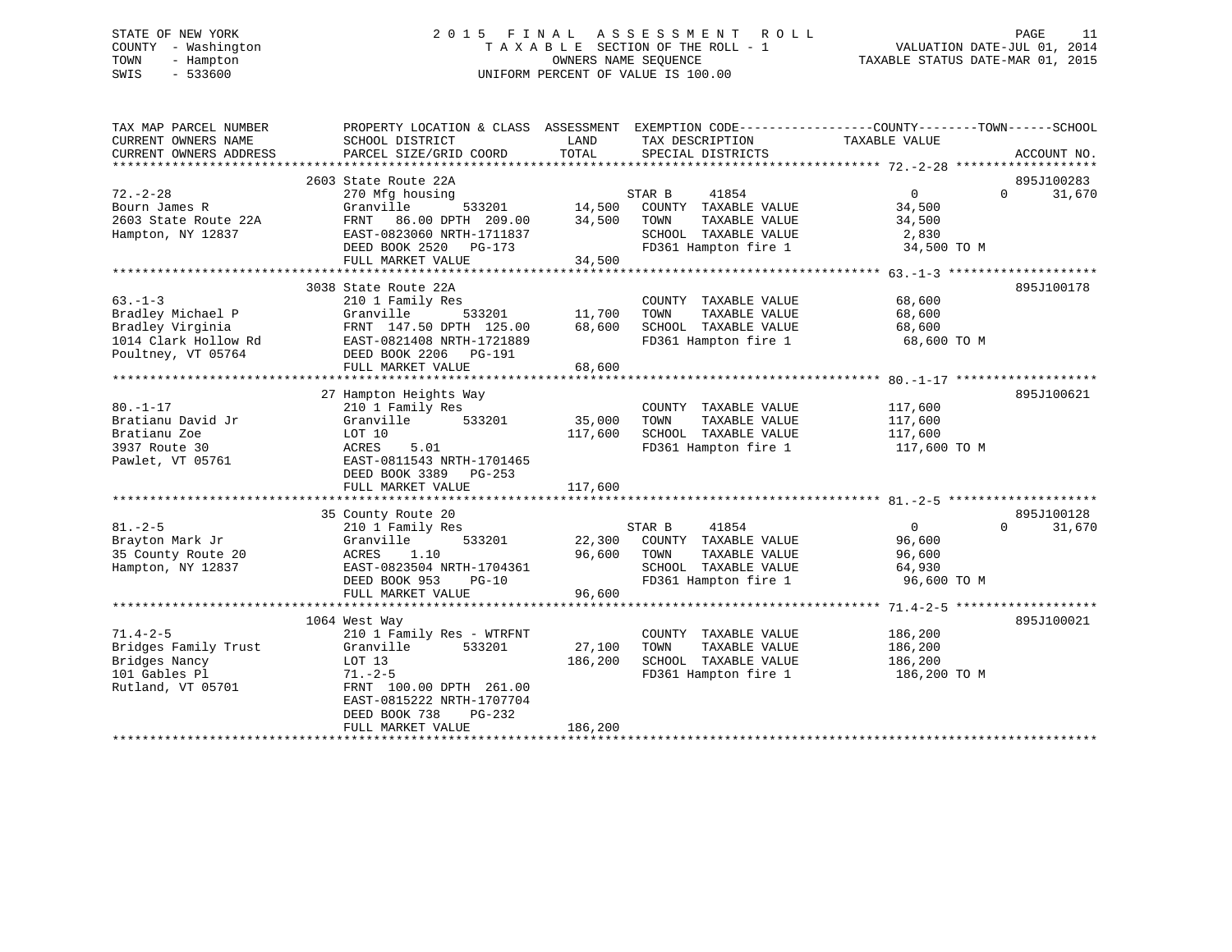# STATE OF NEW YORK 2 0 1 5 F I N A L A S S E S S M E N T R O L L PAGE 11 COUNTY - Washington T A X A B L E SECTION OF THE ROLL - 1 VALUATION DATE-JUL 01, 2014 TOWN - Hampton OWNERS NAME SEQUENCE TAXABLE STATUS DATE-MAR 01, 2015 SWIS - 533600 UNIFORM PERCENT OF VALUE IS 100.00

| TAX MAP PARCEL NUMBER  | PROPERTY LOCATION & CLASS ASSESSMENT EXEMPTION CODE---------------COUNTY-------TOWN-----SCHOOL |               |                                                |                   |                    |
|------------------------|------------------------------------------------------------------------------------------------|---------------|------------------------------------------------|-------------------|--------------------|
| CURRENT OWNERS NAME    | SCHOOL DISTRICT                                                                                | LAND          | TAX DESCRIPTION                                | TAXABLE VALUE     |                    |
| CURRENT OWNERS ADDRESS | PARCEL SIZE/GRID COORD                                                                         | TOTAL         | SPECIAL DISTRICTS                              |                   | ACCOUNT NO.        |
|                        |                                                                                                |               |                                                |                   |                    |
|                        | 2603 State Route 22A                                                                           |               |                                                |                   | 895J100283         |
| $72. - 2 - 28$         | 270 Mfg housing                                                                                |               | STAR B<br>41854                                | $0 \qquad \qquad$ | 31,670<br>$\Omega$ |
| Bourn James R          | Granville<br>533201                                                                            | 14,500        | COUNTY TAXABLE VALUE                           | 34,500            |                    |
| 2603 State Route 22A   | 86.00 DPTH 209.00<br>FRNT                                                                      | 34,500        | TAXABLE VALUE<br>TOWN                          | 34,500            |                    |
| Hampton, NY 12837      | EAST-0823060 NRTH-1711837                                                                      |               | SCHOOL TAXABLE VALUE                           | 2,830             |                    |
|                        | DEED BOOK 2520 PG-173                                                                          |               | FD361 Hampton fire 1                           | 34,500 TO M       |                    |
|                        | FULL MARKET VALUE                                                                              | 34,500        |                                                |                   |                    |
|                        |                                                                                                |               |                                                |                   |                    |
|                        | 3038 State Route 22A                                                                           |               |                                                |                   | 895J100178         |
| $63 - 1 - 3$           | 210 1 Family Res                                                                               |               | COUNTY TAXABLE VALUE                           | 68,600            |                    |
| Bradley Michael P      | Granville                                                                                      | 533201 11,700 | TAXABLE VALUE<br>TOWN                          | 68,600            |                    |
| Bradley Virginia       | FRNT 147.50 DPTH 125.00                                                                        | 68,600        | SCHOOL TAXABLE VALUE                           | 68,600            |                    |
| 1014 Clark Hollow Rd   | EAST-0821408 NRTH-1721889                                                                      |               |                                                | 68,600 TO M       |                    |
| Poultney, VT 05764     | DEED BOOK 2206 PG-191                                                                          |               | VALUE CLOSE CHARGE THE PROJECT PROJECT PRODUCE |                   |                    |
|                        | FULL MARKET VALUE                                                                              | 68,600        |                                                |                   |                    |
|                        |                                                                                                |               |                                                |                   |                    |
|                        | 27 Hampton Heights Way                                                                         |               |                                                |                   | 895J100621         |
| $80. -1 - 17$          | 210 1 Family Res                                                                               |               | COUNTY TAXABLE VALUE                           | 117,600           |                    |
| Bratianu David Jr      | 533201<br>Granville                                                                            | 35,000        | TOWN<br>TAXABLE VALUE                          | 117,600           |                    |
|                        |                                                                                                |               | SCHOOL TAXABLE VALUE                           |                   |                    |
| Bratianu Zoe           | LOT 10<br>5.01                                                                                 | 117,600       | FD361 Hampton fire 1                           | 117,600           |                    |
| 3937 Route 30          | ACRES                                                                                          |               |                                                | 117,600 TO M      |                    |
| Pawlet, VT 05761       | EAST-0811543 NRTH-1701465                                                                      |               |                                                |                   |                    |
|                        | DEED BOOK 3389 PG-253                                                                          |               |                                                |                   |                    |
|                        | FULL MARKET VALUE                                                                              | 117,600       |                                                |                   |                    |
|                        |                                                                                                |               |                                                |                   |                    |
|                        | 35 County Route 20                                                                             |               |                                                |                   | 895J100128         |
| $81. - 2 - 5$          | 210 1 Family Res                                                                               |               | STAR B<br>41854                                | $\overline{0}$    | 31,670<br>$\Omega$ |
| Brayton Mark Jr        | Granville<br>533201                                                                            |               | 22,300 COUNTY TAXABLE VALUE                    | 96,600            |                    |
| 35 County Route 20     | 1.10<br>ACRES                                                                                  | 96,600        | TAXABLE VALUE<br>TOWN                          | 96,600            |                    |
| Hampton, NY 12837      | EAST-0823504 NRTH-1704361                                                                      |               | SCHOOL TAXABLE VALUE                           | 64,930            |                    |
|                        | DEED BOOK 953<br>$PG-10$                                                                       |               | FD361 Hampton fire 1                           | 96,600 TO M       |                    |
|                        | FULL MARKET VALUE                                                                              | 96,600        |                                                |                   |                    |
|                        |                                                                                                |               |                                                |                   |                    |
|                        | 1064 West Way                                                                                  |               |                                                |                   | 895J100021         |
| $71.4 - 2 - 5$         | 210 1 Family Res - WTRFNT                                                                      |               | COUNTY TAXABLE VALUE                           | 186,200           |                    |
| Bridges Family Trust   | Granville<br>533201                                                                            | 27,100        | TOWN<br>TAXABLE VALUE                          | 186,200           |                    |
| Bridges Nancy          | LOT 13                                                                                         | 186,200       | SCHOOL TAXABLE VALUE                           | 186,200           |                    |
| 101 Gables Pl          | $71. - 2 - 5$                                                                                  |               | FD361 Hampton fire 1                           | 186,200 TO M      |                    |
| Rutland, VT 05701      | FRNT 100.00 DPTH 261.00                                                                        |               |                                                |                   |                    |
|                        | EAST-0815222 NRTH-1707704                                                                      |               |                                                |                   |                    |
|                        | DEED BOOK 738<br>PG-232                                                                        |               |                                                |                   |                    |
|                        | FULL MARKET VALUE                                                                              | 186,200       |                                                |                   |                    |
|                        |                                                                                                |               | *************************************          |                   |                    |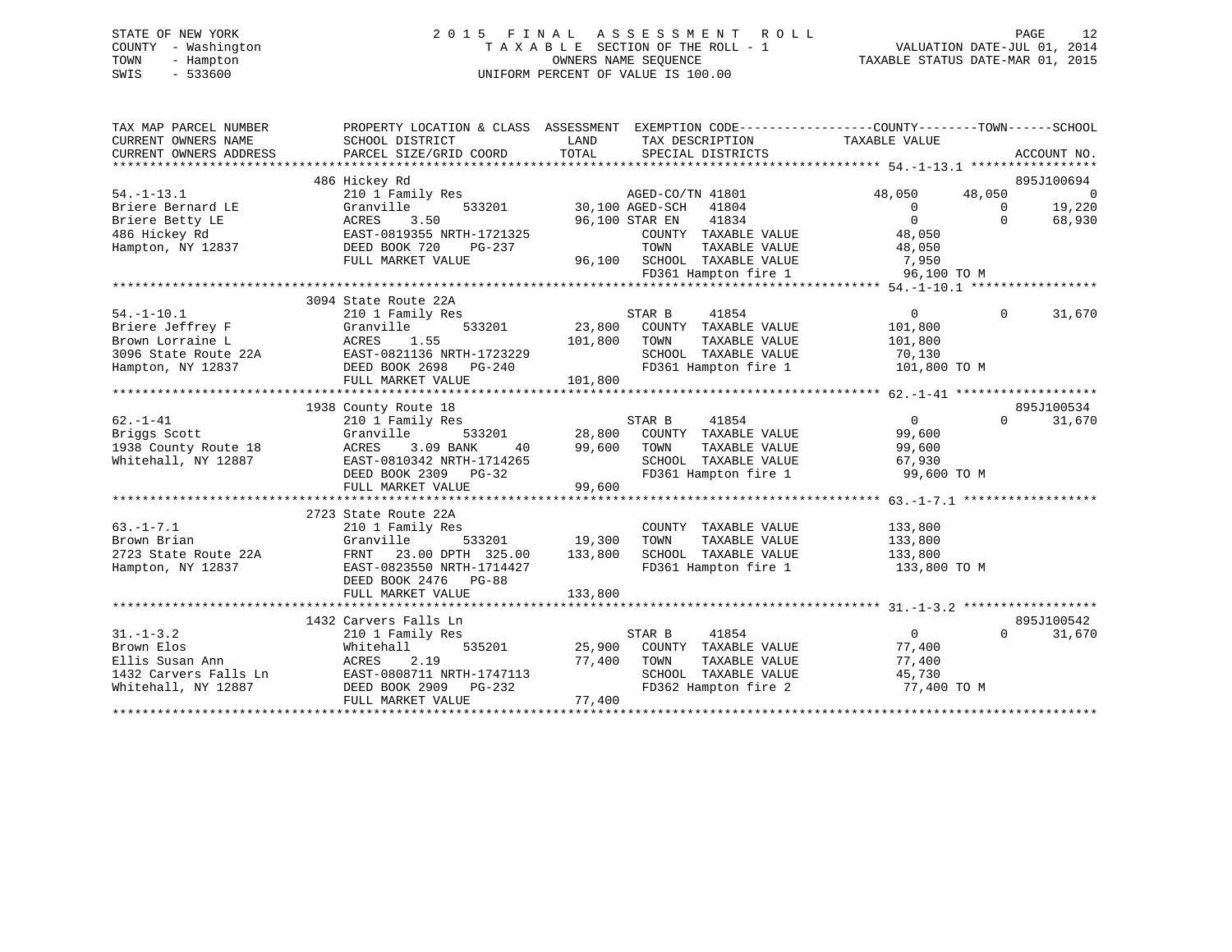# STATE OF NEW YORK 2 0 1 5 F I N A L A S S E S S M E N T R O L L PAGE 12 COUNTY - Washington T A X A B L E SECTION OF THE ROLL - 1 VALUATION DATE-JUL 01, 2014 TOWN - Hampton OWNERS NAME SEQUENCE TAXABLE STATUS DATE-MAR 01, 2015 SWIS - 533600 UNIFORM PERCENT OF VALUE IS 100.00

| TAX MAP PARCEL NUMBER<br>CURRENT OWNERS NAME<br>CURRENT OWNERS ADDRESS | PROPERTY LOCATION & CLASS ASSESSMENT<br>SCHOOL DISTRICT<br>PARCEL SIZE/GRID COORD | LAND<br>TAX DESCRIPTION<br>TOTAL<br>SPECIAL DISTRICTS | EXEMPTION CODE----------------COUNTY-------TOWN------SCHOOL<br>TAXABLE VALUE<br>ACCOUNT NO. |
|------------------------------------------------------------------------|-----------------------------------------------------------------------------------|-------------------------------------------------------|---------------------------------------------------------------------------------------------|
|                                                                        | 486 Hickey Rd                                                                     |                                                       | 895J100694                                                                                  |
| $54. -1 - 13.1$                                                        | 210 1 Family Res                                                                  | AGED-CO/TN 41801                                      | 48,050<br>48,050<br>$\Omega$                                                                |
| Briere Bernard LE                                                      | Granville<br>533201                                                               | 30,100 AGED-SCH<br>41804                              | 19,220<br>$\overline{0}$<br>$\Omega$                                                        |
| Briere Betty LE                                                        | ACRES<br>3.50                                                                     | 96,100 STAR EN<br>41834                               | $\Omega$<br>$\Omega$<br>68,930                                                              |
| 486 Hickey Rd                                                          | EAST-0819355 NRTH-1721325                                                         | COUNTY TAXABLE VALUE                                  | 48,050                                                                                      |
| Hampton, NY 12837                                                      | DEED BOOK 720<br>PG-237                                                           | TOWN<br>TAXABLE VALUE                                 | 48,050                                                                                      |
|                                                                        | FULL MARKET VALUE                                                                 | 96,100 SCHOOL TAXABLE VALUE                           | 7,950                                                                                       |
|                                                                        |                                                                                   | FD361 Hampton fire 1                                  | 96,100 TO M                                                                                 |
|                                                                        |                                                                                   |                                                       |                                                                                             |
|                                                                        | 3094 State Route 22A                                                              |                                                       |                                                                                             |
| $54. - 1 - 10.1$                                                       | 210 1 Family Res                                                                  | STAR B<br>41854                                       | $\overline{0}$<br>$\mathbf{0}$<br>31,670                                                    |
| Briere Jeffrey F                                                       | 533201<br>Granville                                                               | 23,800<br>COUNTY TAXABLE VALUE                        | 101,800                                                                                     |
| Brown Lorraine L                                                       | 1.55<br>ACRES                                                                     | 101,800<br>TAXABLE VALUE<br>TOWN                      | 101,800                                                                                     |
| 3096 State Route 22A                                                   | EAST-0821136 NRTH-1723229                                                         | SCHOOL TAXABLE VALUE                                  | 70,130                                                                                      |
| Hampton, NY 12837                                                      | DEED BOOK 2698 PG-240                                                             | FD361 Hampton fire 1                                  | 101,800 TO M                                                                                |
|                                                                        | FULL MARKET VALUE                                                                 | 101,800                                               |                                                                                             |
|                                                                        |                                                                                   |                                                       |                                                                                             |
|                                                                        | 1938 County Route 18                                                              |                                                       | 895J100534                                                                                  |
| $62. - 1 - 41$                                                         | 210 1 Family Res                                                                  | STAR B<br>41854                                       | $\overline{0}$<br>31,670<br>$\Omega$                                                        |
| Briggs Scott                                                           | Granville<br>533201                                                               | 28,800<br>COUNTY TAXABLE VALUE                        | 99,600                                                                                      |
| 1938 County Route 18                                                   | ACRES<br>3.09 BANK<br>40                                                          | 99,600<br>TOWN<br>TAXABLE VALUE                       | 99,600                                                                                      |
| Whitehall, NY 12887                                                    | EAST-0810342 NRTH-1714265                                                         | SCHOOL TAXABLE VALUE                                  | 67,930                                                                                      |
|                                                                        | DEED BOOK 2309 PG-32                                                              | FD361 Hampton fire 1                                  | 99,600 TO M                                                                                 |
|                                                                        | FULL MARKET VALUE                                                                 | 99,600                                                |                                                                                             |
|                                                                        |                                                                                   |                                                       |                                                                                             |
|                                                                        | 2723 State Route 22A                                                              |                                                       |                                                                                             |
| $63. -1 - 7.1$                                                         | 210 1 Family Res                                                                  | COUNTY TAXABLE VALUE                                  | 133,800                                                                                     |
| Brown Brian                                                            | Granville<br>533201                                                               | 19,300<br>TOWN<br>TAXABLE VALUE                       | 133,800                                                                                     |
| 2723 State Route 22A                                                   | 23.00 DPTH 325.00<br>FRNT                                                         | 133,800<br>SCHOOL TAXABLE VALUE                       | 133,800                                                                                     |
| Hampton, NY 12837                                                      | EAST-0823550 NRTH-1714427                                                         | FD361 Hampton fire 1                                  | 133,800 TO M                                                                                |
|                                                                        | DEED BOOK 2476<br>$PG-88$                                                         |                                                       |                                                                                             |
|                                                                        | FULL MARKET VALUE                                                                 | 133,800                                               |                                                                                             |
|                                                                        |                                                                                   |                                                       |                                                                                             |
|                                                                        | 1432 Carvers Falls Ln                                                             |                                                       | 895J100542                                                                                  |
| $31. - 1 - 3.2$                                                        | 210 1 Family Res                                                                  | STAR B<br>41854                                       | $\overline{0}$<br>$\Omega$<br>31,670                                                        |
| Brown Elos                                                             | 535201<br>Whitehall                                                               | 25,900<br>COUNTY TAXABLE VALUE                        | 77,400                                                                                      |
| Ellis Susan Ann                                                        | ACRES<br>2.19                                                                     | 77,400<br>TAXABLE VALUE<br>TOWN                       | 77,400                                                                                      |
| 1432 Carvers Falls Ln                                                  | EAST-0808711 NRTH-1747113                                                         | SCHOOL<br>TAXABLE VALUE                               | 45,730                                                                                      |
| Whitehall, NY 12887                                                    | DEED BOOK 2909 PG-232                                                             | FD362 Hampton fire 2                                  | 77,400 TO M                                                                                 |
|                                                                        | FULL MARKET VALUE                                                                 | 77,400                                                |                                                                                             |
|                                                                        |                                                                                   |                                                       |                                                                                             |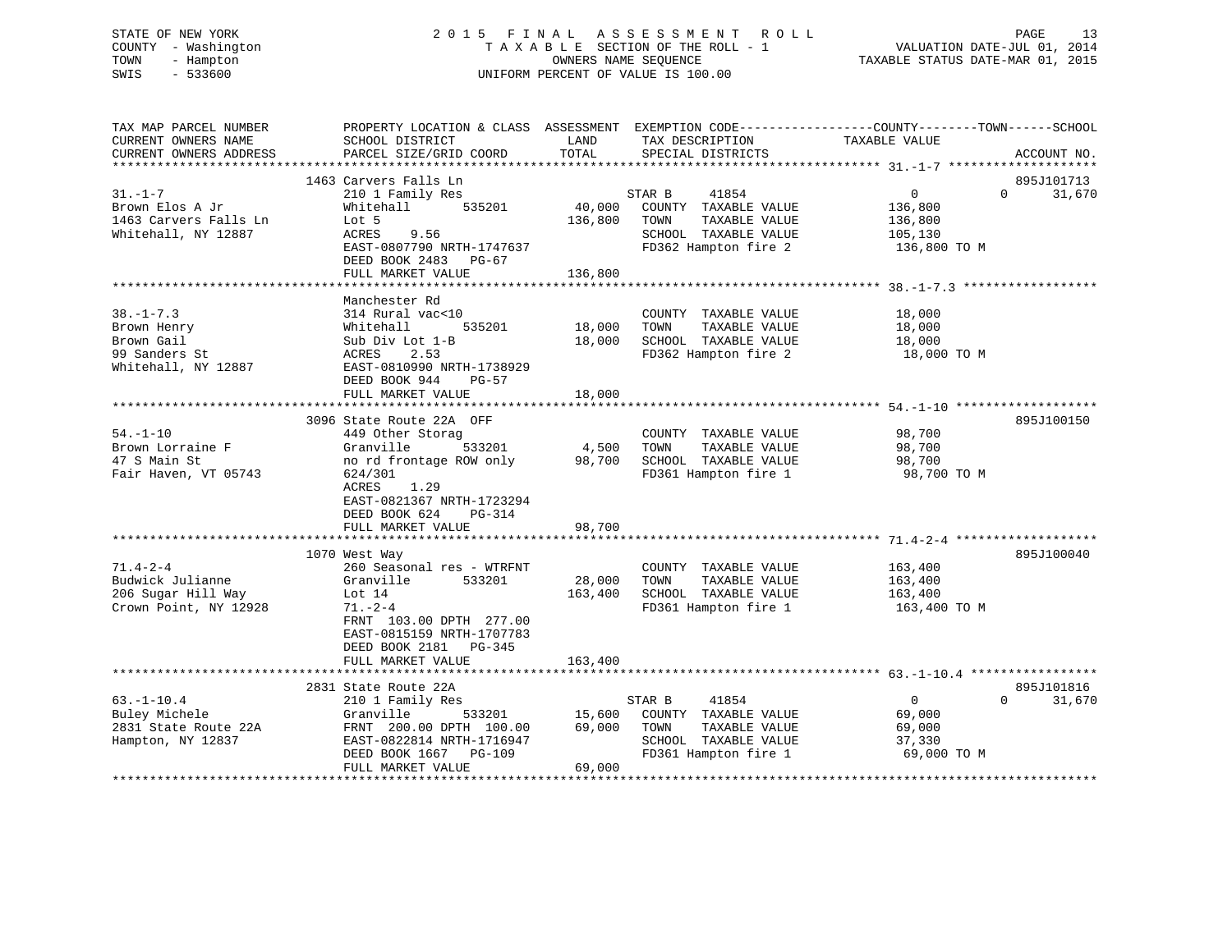# STATE OF NEW YORK 2 0 1 5 F I N A L A S S E S S M E N T R O L L PAGE 13 COUNTY - Washington T A X A B L E SECTION OF THE ROLL - 1 VALUATION DATE-JUL 01, 2014 TOWN - Hampton OWNERS NAME SEQUENCE TAXABLE STATUS DATE-MAR 01, 2015 SWIS - 533600 UNIFORM PERCENT OF VALUE IS 100.00

| TAX MAP PARCEL NUMBER<br>CURRENT OWNERS NAME<br>CURRENT OWNERS ADDRESS               | PROPERTY LOCATION & CLASS ASSESSMENT EXEMPTION CODE----------------COUNTY-------TOWN------SCHOOL<br>SCHOOL DISTRICT<br>PARCEL SIZE/GRID COORD                                                             | LAND<br>TOTAL                | TAX DESCRIPTION<br>SPECIAL DISTRICTS                                                                             | TAXABLE VALUE                                                   | ACCOUNT NO.                      |
|--------------------------------------------------------------------------------------|-----------------------------------------------------------------------------------------------------------------------------------------------------------------------------------------------------------|------------------------------|------------------------------------------------------------------------------------------------------------------|-----------------------------------------------------------------|----------------------------------|
|                                                                                      |                                                                                                                                                                                                           |                              |                                                                                                                  |                                                                 |                                  |
| $31. - 1 - 7$<br>Brown Elos A Jr<br>1463 Carvers Falls Ln<br>Whitehall, NY 12887     | 1463 Carvers Falls Ln<br>210 1 Family Res<br>535201<br>Whitehall<br>Lot 5<br>ACRES<br>9.56<br>EAST-0807790 NRTH-1747637<br>DEED BOOK 2483 PG-67<br>FULL MARKET VALUE                                      | 40,000<br>136,800<br>136,800 | 41854<br>STAR B<br>COUNTY TAXABLE VALUE<br>TOWN<br>TAXABLE VALUE<br>SCHOOL TAXABLE VALUE<br>FD362 Hampton fire 2 | $\overline{0}$<br>136,800<br>136,800<br>105,130<br>136,800 TO M | 895J101713<br>31,670<br>$\Omega$ |
|                                                                                      |                                                                                                                                                                                                           |                              |                                                                                                                  |                                                                 |                                  |
| $38. - 1 - 7.3$<br>Brown Henry<br>Brown Gail<br>99 Sanders St<br>Whitehall, NY 12887 | Manchester Rd<br>314 Rural vac<10<br>535201<br>Whitehall<br>Sub Div Lot 1-B<br>2.53<br>ACRES<br>EAST-0810990 NRTH-1738929<br>DEED BOOK 944<br>PG-57                                                       | 18,000<br>18,000             | COUNTY TAXABLE VALUE<br>TOWN<br>TAXABLE VALUE<br>SCHOOL TAXABLE VALUE<br>FD362 Hampton fire 2                    | 18,000<br>18,000<br>18,000<br>18,000 TO M                       |                                  |
|                                                                                      | FULL MARKET VALUE                                                                                                                                                                                         | 18,000                       |                                                                                                                  |                                                                 |                                  |
| $54. - 1 - 10$<br>Brown Lorraine F<br>47 S Main St<br>Fair Haven, VT 05743           | 3096 State Route 22A OFF<br>449 Other Storag<br>Granville<br>533201<br>no rd frontage ROW only<br>624/301<br>1.29<br>ACRES<br>EAST-0821367 NRTH-1723294<br>DEED BOOK 624<br>$PG-314$<br>FULL MARKET VALUE | 4,500<br>98,700<br>98,700    | COUNTY TAXABLE VALUE<br>TAXABLE VALUE<br>TOWN<br>SCHOOL TAXABLE VALUE<br>FD361 Hampton fire 1                    | 98,700<br>98,700<br>98,700<br>98,700 TO M                       | 895J100150                       |
|                                                                                      | 1070 West Way                                                                                                                                                                                             |                              |                                                                                                                  |                                                                 | 895J100040                       |
| $71.4 - 2 - 4$<br>Budwick Julianne<br>206 Sugar Hill Way<br>Crown Point, NY 12928    | 260 Seasonal res - WTRFNT<br>Granville<br>533201<br>Lot $14$<br>$71. - 2 - 4$<br>FRNT 103.00 DPTH 277.00<br>EAST-0815159 NRTH-1707783<br>DEED BOOK 2181    PG-345                                         | 28,000<br>163,400            | COUNTY TAXABLE VALUE<br>TOWN<br>TAXABLE VALUE<br>SCHOOL TAXABLE VALUE<br>FD361 Hampton fire 1                    | 163,400<br>163,400<br>163,400<br>163,400 TO M                   |                                  |
|                                                                                      | FULL MARKET VALUE                                                                                                                                                                                         | 163,400                      |                                                                                                                  |                                                                 |                                  |
| $63. - 1 - 10.4$<br>Buley Michele<br>2831 State Route 22A<br>Hampton, NY 12837       | 2831 State Route 22A<br>210 1 Family Res<br>Granville<br>533201<br>FRNT 200.00 DPTH 100.00<br>EAST-0822814 NRTH-1716947<br>DEED BOOK 1667<br><b>PG-109</b><br>FULL MARKET VALUE                           | 15,600<br>69,000<br>69,000   | STAR B<br>41854<br>COUNTY TAXABLE VALUE<br>TAXABLE VALUE<br>TOWN<br>SCHOOL TAXABLE VALUE<br>FD361 Hampton fire 1 | $\overline{0}$<br>69,000<br>69,000<br>37,330<br>69,000 TO M     | 895J101816<br>31,670<br>$\Omega$ |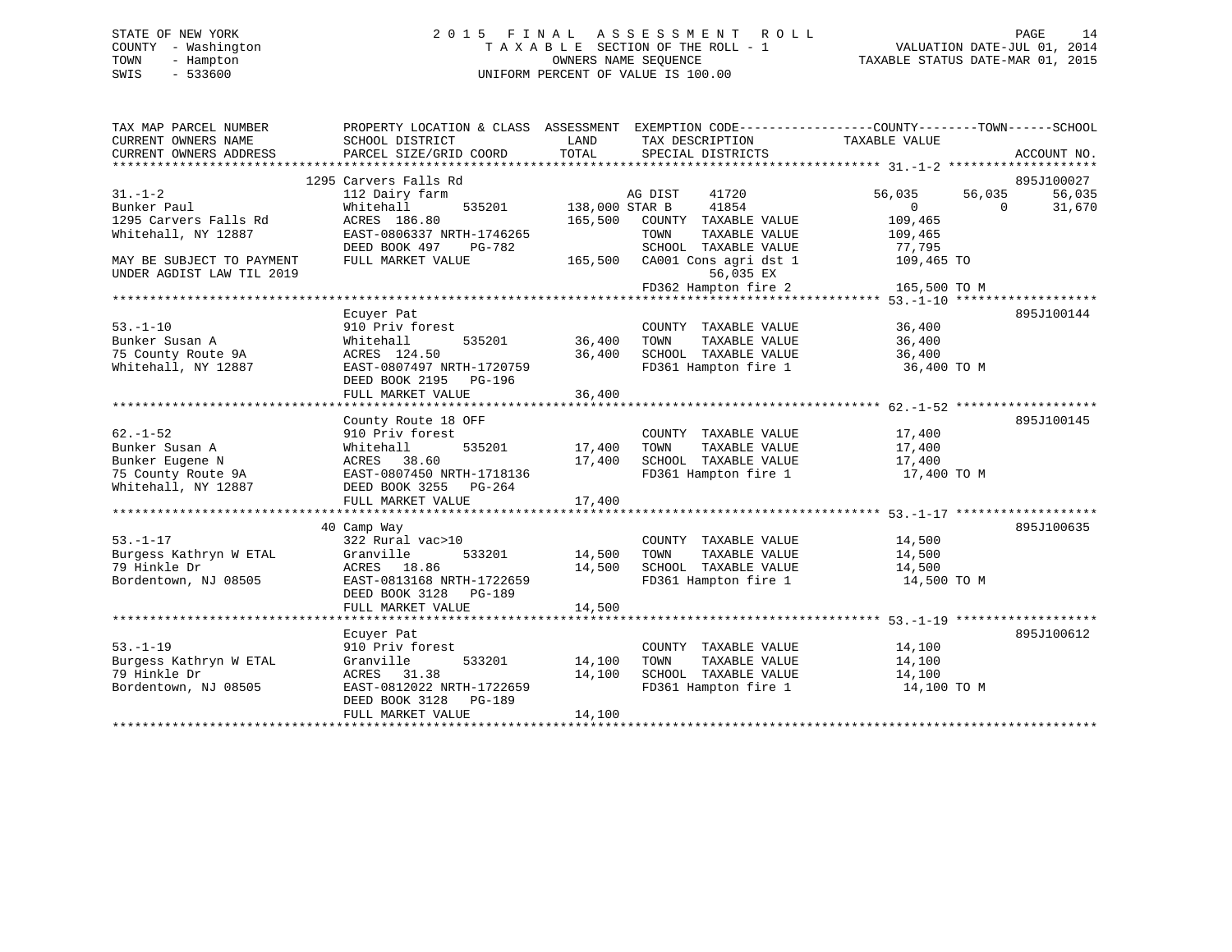# STATE OF NEW YORK 2 0 1 5 F I N A L A S S E S S M E N T R O L L PAGE 14 COUNTY - Washington T A X A B L E SECTION OF THE ROLL - 1 VALUATION DATE-JUL 01, 2014 TOWN - Hampton OWNERS NAME SEQUENCE TAXABLE STATUS DATE-MAR 01, 2015 SWIS - 533600 UNIFORM PERCENT OF VALUE IS 100.00

| TAX MAP PARCEL NUMBER<br>CURRENT OWNERS NAME<br>CURRENT OWNERS ADDRESS | SCHOOL DISTRICT<br>PARCEL SIZE/GRID COORD | LAND<br>TOTAL  | TAX DESCRIPTION<br>SPECIAL DISTRICTS | PROPERTY LOCATION & CLASS ASSESSMENT EXEMPTION CODE---------------COUNTY-------TOWN------SCHOOL<br>TAXABLE VALUE<br>ACCOUNT NO. |
|------------------------------------------------------------------------|-------------------------------------------|----------------|--------------------------------------|---------------------------------------------------------------------------------------------------------------------------------|
|                                                                        |                                           |                |                                      |                                                                                                                                 |
|                                                                        | 1295 Carvers Falls Rd                     |                |                                      | 895J100027                                                                                                                      |
| $31. - 1 - 2$                                                          | 112 Dairy farm                            |                | 41720<br>AG DIST                     | 56,035<br>56,035<br>56,035                                                                                                      |
| Bunker Paul                                                            | Whitehall<br>535201                       | 138,000 STAR B | 41854                                | $0 \qquad \qquad$<br>31,670<br>$\circ$                                                                                          |
| 1295 Carvers Falls Rd                                                  | ACRES 186.80                              | 165,500        | COUNTY TAXABLE VALUE                 | 109,465                                                                                                                         |
| Whitehall, NY 12887                                                    | EAST-0806337 NRTH-1746265                 |                | TOWN<br>TAXABLE VALUE                | 109,465                                                                                                                         |
|                                                                        | DEED BOOK 497<br>PG-782                   |                | SCHOOL TAXABLE VALUE                 | 77,795                                                                                                                          |
| MAY BE SUBJECT TO PAYMENT                                              | FULL MARKET VALUE                         | 165,500        | CA001 Cons agri dst 1                | 109,465 TO                                                                                                                      |
| UNDER AGDIST LAW TIL 2019                                              |                                           |                | 56,035 EX                            |                                                                                                                                 |
|                                                                        |                                           |                |                                      |                                                                                                                                 |
|                                                                        |                                           |                |                                      |                                                                                                                                 |
|                                                                        | Ecuyer Pat                                |                |                                      | 895J100144                                                                                                                      |
| $53. - 1 - 10$                                                         | 910 Priv forest                           |                | COUNTY TAXABLE VALUE                 | 36,400                                                                                                                          |
| Bunker Susan A                                                         | Whitehall                                 | 535201 36,400  | TOWN<br>TAXABLE VALUE                | 36,400                                                                                                                          |
| 75 County Route 9A                                                     | ACRES 124.50                              | 36,400         | SCHOOL TAXABLE VALUE                 | 36,400                                                                                                                          |
| Whitehall, NY 12887                                                    | EAST-0807497 NRTH-1720759                 |                | FD361 Hampton fire 1                 | 36,400 TO M                                                                                                                     |
|                                                                        | DEED BOOK 2195 PG-196                     |                |                                      |                                                                                                                                 |
|                                                                        | FULL MARKET VALUE                         | 36,400         |                                      |                                                                                                                                 |
|                                                                        |                                           |                |                                      |                                                                                                                                 |
|                                                                        | County Route 18 OFF                       |                |                                      | 895J100145                                                                                                                      |
| $62. - 1 - 52$                                                         | 910 Priv forest                           |                | COUNTY TAXABLE VALUE                 | 17,400                                                                                                                          |
| Bunker Susan A                                                         | 535201<br>Whitehall                       | 17,400         | TOWN<br>TAXABLE VALUE                | 17,400                                                                                                                          |
| Bunker Eugene N                                                        | ACRES 38.60                               | 17,400         | SCHOOL TAXABLE VALUE                 | 17,400                                                                                                                          |
| Bunker Eugene N<br>75 County Route 9A<br>EAST-0807450 NRTH-1718136     |                                           |                | FD361 Hampton fire 1                 | 17,400 TO M                                                                                                                     |
| Whitehall, NY 12887 DEED BOOK 3255 PG-264                              |                                           |                |                                      |                                                                                                                                 |
|                                                                        | FULL MARKET VALUE                         | 17,400         |                                      |                                                                                                                                 |
|                                                                        |                                           |                |                                      |                                                                                                                                 |
|                                                                        | 40 Camp Way                               |                |                                      | 895J100635                                                                                                                      |
| $53. - 1 - 17$                                                         | 322 Rural vac>10                          |                | COUNTY TAXABLE VALUE                 | 14,500                                                                                                                          |
| Burgess Kathryn W ETAL                                                 | Granville                                 | 533201 14,500  | TOWN<br>TAXABLE VALUE                | 14,500                                                                                                                          |
| 79 Hinkle Dr                                                           | ACRES 18.86                               | 14,500         | SCHOOL TAXABLE VALUE                 | 14,500                                                                                                                          |
| Bordentown, NJ 08505                                                   | EAST-0813168 NRTH-1722659                 |                | FD361 Hampton fire 1                 | 14,500 TO M                                                                                                                     |
|                                                                        | DEED BOOK 3128<br>PG-189                  |                |                                      |                                                                                                                                 |
|                                                                        | FULL MARKET VALUE                         | 14,500         |                                      |                                                                                                                                 |
|                                                                        |                                           |                |                                      |                                                                                                                                 |
|                                                                        | Ecuyer Pat                                |                |                                      | 895J100612                                                                                                                      |
| $53. - 1 - 19$                                                         | 910 Priv forest                           |                | COUNTY TAXABLE VALUE                 | 14,100                                                                                                                          |
| Burgess Kathryn W ETAL                                                 | 533201<br>Granville                       | 14,100         | TOWN<br>TAXABLE VALUE                | 14,100                                                                                                                          |
| 79 Hinkle Dr                                                           | ACRES 31.38                               | 14,100         | SCHOOL TAXABLE VALUE                 | 14,100                                                                                                                          |
| Bordentown, NJ 08505                                                   | EAST-0812022 NRTH-1722659                 |                | FD361 Hampton fire 1                 | 14,100 TO M                                                                                                                     |
|                                                                        | DEED BOOK 3128<br>PG-189                  |                |                                      |                                                                                                                                 |
|                                                                        | FULL MARKET VALUE                         | 14,100         |                                      |                                                                                                                                 |
|                                                                        |                                           |                |                                      |                                                                                                                                 |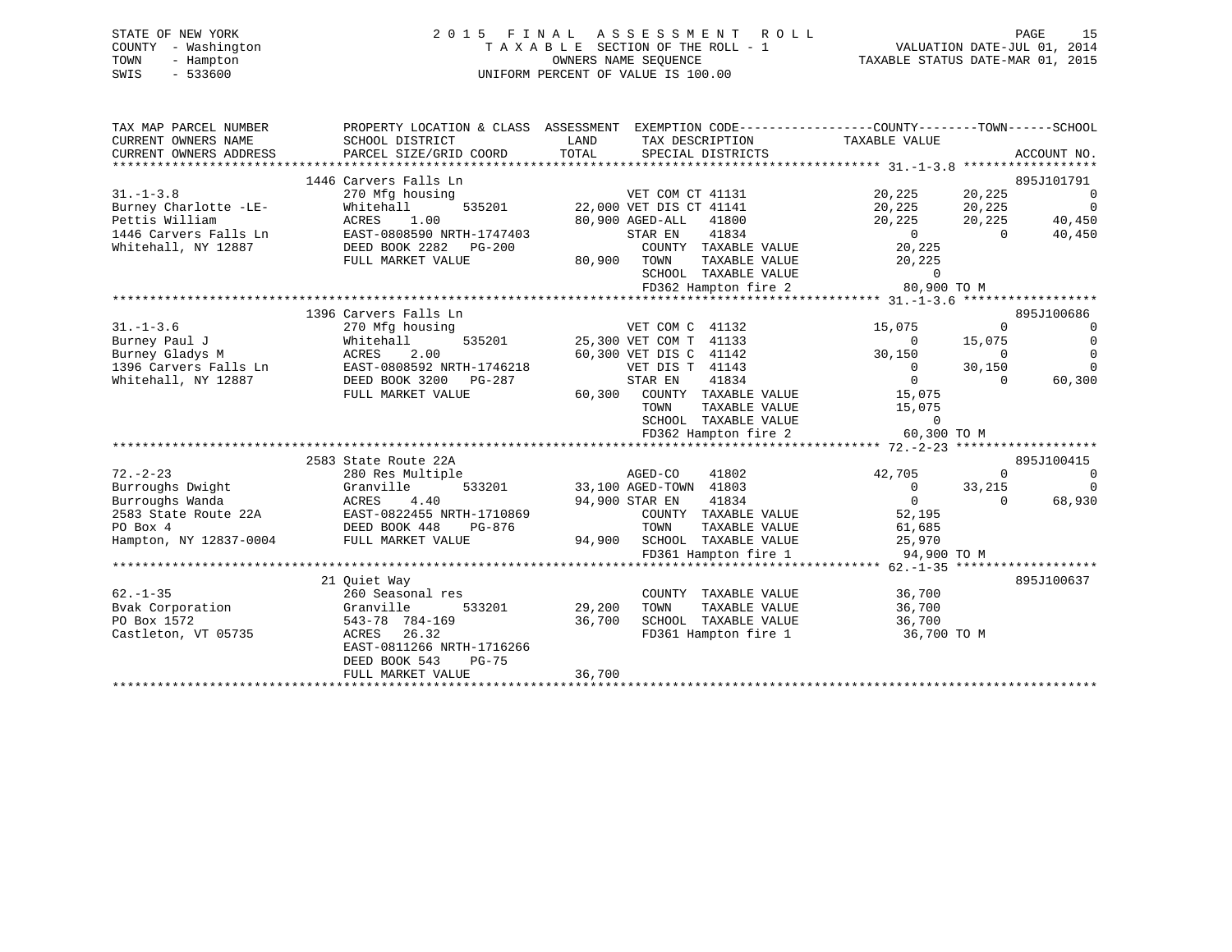| STATE OF NEW YORK   | 2015 FINAL ASSESSMENT ROLL         | PAGE                             |
|---------------------|------------------------------------|----------------------------------|
| COUNTY - Washington | TAXABLE SECTION OF THE ROLL - 1    | VALUATION DATE-JUL 01, 2014      |
| TOWN<br>- Hampton   | OWNERS NAME SEOUENCE               | TAXABLE STATUS DATE-MAR 01, 2015 |
| SWIS<br>- 533600    | UNIFORM PERCENT OF VALUE IS 100.00 |                                  |
|                     |                                    |                                  |

| TAX MAP PARCEL NUMBER                                                                                                                 |                                                                                | PROPERTY LOCATION & CLASS ASSESSMENT EXEMPTION CODE----------------COUNTY-------TOWN------SCHOOL |                                                                   |                                  |
|---------------------------------------------------------------------------------------------------------------------------------------|--------------------------------------------------------------------------------|--------------------------------------------------------------------------------------------------|-------------------------------------------------------------------|----------------------------------|
| CURRENT OWNERS NAME                                                                                                                   | SCHOOL DISTRICT                                                                | LAND<br>TAX DESCRIPTION                                                                          | TAXABLE VALUE                                                     |                                  |
| CURRENT OWNERS ADDRESS                                                                                                                | PARCEL SIZE/GRID COORD                                                         | TOTAL<br>SPECIAL DISTRICTS                                                                       |                                                                   | ACCOUNT NO.                      |
|                                                                                                                                       |                                                                                |                                                                                                  |                                                                   |                                  |
|                                                                                                                                       | 1446 Carvers Falls Ln                                                          |                                                                                                  |                                                                   | 895J101791                       |
| $31. - 1 - 3.8$                                                                                                                       | 270 Mfg housing                                                                | VET COM CT 41131                                                                                 | 20,225 20,225                                                     | $\overline{0}$                   |
| Burney Charlotte -LE-                                                                                                                 | 535201<br>Whitehall                                                            | 22,000 VET DIS CT 41141                                                                          | 20,225 20,225                                                     | $\overline{0}$                   |
| Pettis William                                                                                                                        |                                                                                | 80,900 AGED-ALL 41800                                                                            | 20,225 20,225 40,450                                              |                                  |
| 1446 Carvers Falls Ln                                                                                                                 | EAST-0808590 NRTH-1747403                                                      | STAR EN 41834                                                                                    | $\begin{smallmatrix}&&0\0&225\end{smallmatrix}$<br>$\overline{0}$ | 40,450                           |
| Whitehall, NY 12887                                                                                                                   | ACRES<br>EAST-0808590 NRTH-17.1<br>DEED BOOK 2282 PG-200<br>----- MARKET VALUE | COUNTY TAXABLE VALUE                                                                             |                                                                   |                                  |
|                                                                                                                                       |                                                                                | 80,900 TOWN<br>TAXABLE VALUE                                                                     | 20,225                                                            |                                  |
|                                                                                                                                       |                                                                                | SCHOOL TAXABLE VALUE                                                                             | $\overline{a}$                                                    |                                  |
|                                                                                                                                       |                                                                                | FD362 Hampton fire 2                                                                             | 80,900 TO M                                                       |                                  |
|                                                                                                                                       |                                                                                |                                                                                                  |                                                                   |                                  |
|                                                                                                                                       | 1396 Carvers Falls Ln                                                          |                                                                                                  |                                                                   | 895J100686                       |
| $31. - 1 - 3.6$<br>31.-1-5.0<br>Burney Paul J<br>21.-4.00 M                                                                           | 270 Mfg housing                                                                | VET COM C 41132                                                                                  | 15,075<br>$\Omega$<br>0 15,075<br>15,075 0                        | $\overline{0}$                   |
|                                                                                                                                       | Whitehall<br>Whiteh<br>ACRES                                                   | 535201 25,300 VET COM T 41133                                                                    |                                                                   | $\overline{0}$                   |
|                                                                                                                                       | 2.00                                                                           | 60,300 VET DIS C 41142                                                                           | $30,150$ 0                                                        | $\overline{0}$                   |
| 1396 Carvers Falls Ln                                                                                                                 | EAST-0808592 NRTH-1746218                                                      | VET DIS T 41143                                                                                  | $0 \t 30,150$                                                     | $\Omega$                         |
| Whitehall, NY 12887                                                                                                                   | DEED BOOK 3200 PG-287                                                          | 41834<br>STAR EN                                                                                 | $\begin{smallmatrix}&&0\15\, ,075\end{smallmatrix}$<br>$\Omega$   | 60,300                           |
|                                                                                                                                       | FULL MARKET VALUE                                                              | 60,300 COUNTY TAXABLE VALUE                                                                      |                                                                   |                                  |
|                                                                                                                                       |                                                                                | TOWN                                                                                             | TAXABLE VALUE 15,075                                              |                                  |
|                                                                                                                                       |                                                                                | SCHOOL TAXABLE VALUE                                                                             | $\Omega$                                                          |                                  |
|                                                                                                                                       |                                                                                | FD362 Hampton fire 2                                                                             | 60,300 TO M                                                       |                                  |
|                                                                                                                                       |                                                                                |                                                                                                  |                                                                   | 895J100415                       |
| $72. - 2 - 23$                                                                                                                        | 2583 State Route 22A<br>280 Res Multiple                                       | AGED-CO<br>41802                                                                                 | $\Omega$                                                          |                                  |
|                                                                                                                                       | Granville<br>533201                                                            |                                                                                                  | 42,705                                                            | $\overline{0}$<br>$\overline{0}$ |
| Burroughs Dwight<br>Burroughs Dwight Granville 533201<br>Burroughs Wanda ACRES 4.40<br>2583 State Route 22A EAST-0822455 NRTH-1710869 |                                                                                | 33,100 AGED-TOWN 41803<br>94,900 STAR EN 41834                                                   | $0$ $33,215$<br>$0$ $0$                                           | 68,930                           |
|                                                                                                                                       |                                                                                | COUNTY TAXABLE VALUE 52,195                                                                      |                                                                   |                                  |
| PO Box 4                                                                                                                              | DEED BOOK 448<br>PG-876                                                        | TOWN                                                                                             | TAXABLE VALUE 61,685                                              |                                  |
|                                                                                                                                       |                                                                                |                                                                                                  |                                                                   |                                  |
| Hampton, NY 12837-0004 FULL MARKET VALUE                                                                                              |                                                                                |                                                                                                  |                                                                   |                                  |
|                                                                                                                                       |                                                                                |                                                                                                  |                                                                   |                                  |
|                                                                                                                                       | 21 Ouiet Way                                                                   |                                                                                                  |                                                                   | 895J100637                       |
| $62. -1 - 35$                                                                                                                         | 260 Seasonal res                                                               | COUNTY TAXABLE VALUE                                                                             |                                                                   |                                  |
| Bvak Corporation                                                                                                                      | 533201<br>Granville                                                            | 29,200<br>TOWN<br>TAXABLE VALUE                                                                  | 36,700<br>36,700                                                  |                                  |
| PO Box 1572                                                                                                                           | 543-78 784-169                                                                 | SCHOOL TAXABLE VALUE 36,700<br>36,700                                                            |                                                                   |                                  |
| Castleton, VT 05735                                                                                                                   | ACRES<br>26.32                                                                 | FD361 Hampton fire 1 36,700 TO M                                                                 |                                                                   |                                  |
|                                                                                                                                       | EAST-0811266 NRTH-1716266                                                      |                                                                                                  |                                                                   |                                  |
|                                                                                                                                       | DEED BOOK 543<br><b>PG-75</b>                                                  |                                                                                                  |                                                                   |                                  |
|                                                                                                                                       | FULL MARKET VALUE                                                              | 36,700                                                                                           |                                                                   |                                  |
|                                                                                                                                       |                                                                                |                                                                                                  |                                                                   |                                  |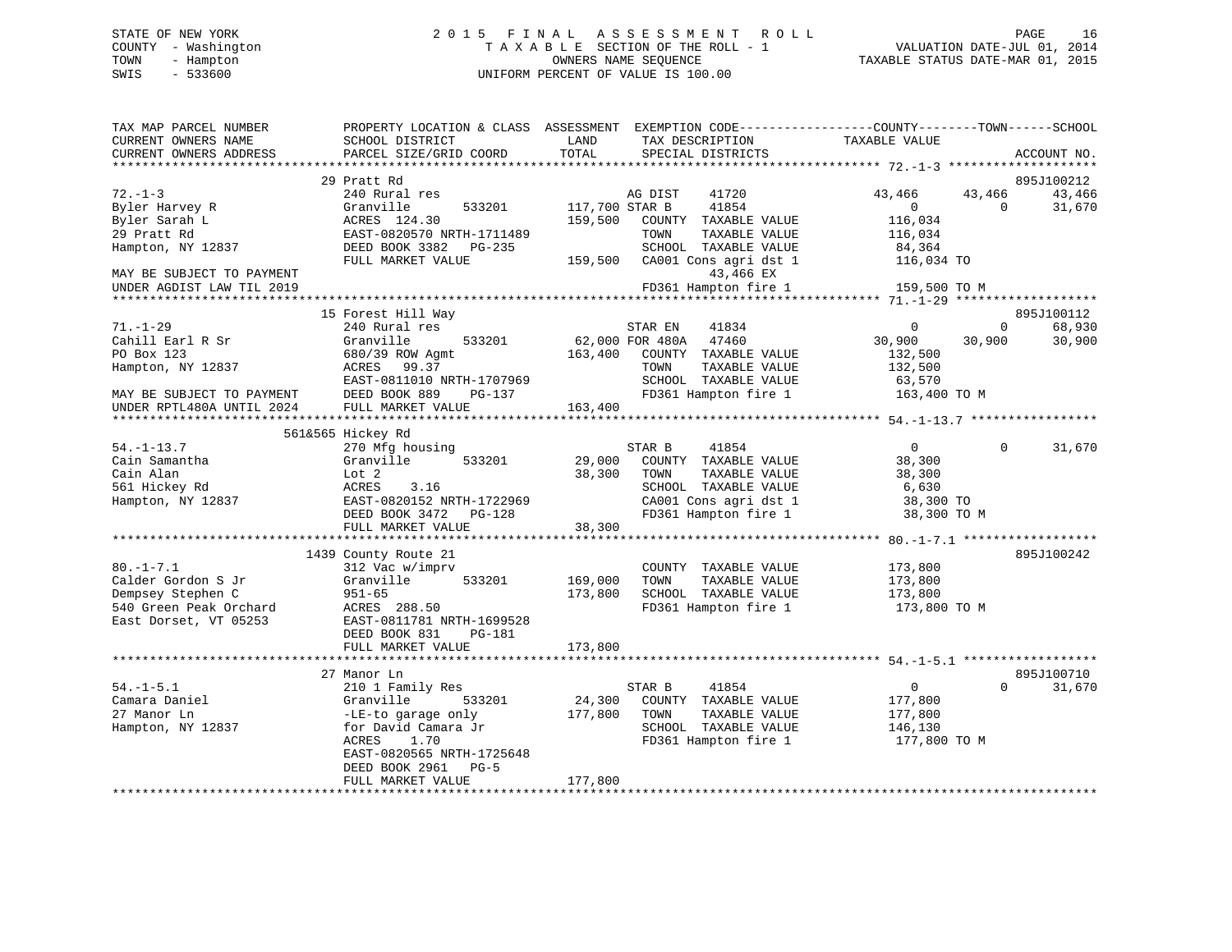# STATE OF NEW YORK 2 0 1 5 F I N A L A S S E S S M E N T R O L L PAGE 16 COUNTY - Washington T A X A B L E SECTION OF THE ROLL - 1 VALUATION DATE-JUL 01, 2014 TOWN - Hampton OWNERS NAME SEQUENCE TAXABLE STATUS DATE-MAR 01, 2015 SWIS - 533600 UNIFORM PERCENT OF VALUE IS 100.00

| TAX MAP PARCEL NUMBER<br>CURRENT OWNERS NAME | PROPERTY LOCATION & CLASS ASSESSMENT<br>SCHOOL DISTRICT | LAND<br>TAX DESCRIPTION                           | EXEMPTION CODE-----------------COUNTY-------TOWN------SCHOOL<br>TAXABLE VALUE |
|----------------------------------------------|---------------------------------------------------------|---------------------------------------------------|-------------------------------------------------------------------------------|
| CURRENT OWNERS ADDRESS                       | PARCEL SIZE/GRID COORD                                  | TOTAL<br>SPECIAL DISTRICTS                        | ACCOUNT NO.                                                                   |
|                                              |                                                         |                                                   |                                                                               |
| $72. - 1 - 3$                                | 29 Pratt Rd                                             |                                                   | 895J100212                                                                    |
|                                              | 240 Rural res<br>Granville<br>533201                    | 41720<br>AG DIST<br>41854                         | 43,466<br>43,466<br>43,466<br>$\Omega$<br>$\Omega$                            |
| Byler Harvey R<br>Byler Sarah L              | ACRES 124.30                                            | 117,700 STAR B<br>159,500<br>COUNTY TAXABLE VALUE | 31,670<br>116,034                                                             |
| 29 Pratt Rd                                  | EAST-0820570 NRTH-1711489                               | TAXABLE VALUE<br>TOWN                             | 116,034                                                                       |
| Hampton, NY 12837                            | DEED BOOK 3382 PG-235                                   | SCHOOL TAXABLE VALUE                              | 84,364                                                                        |
|                                              | FULL MARKET VALUE                                       | 159,500<br>CA001 Cons agri dst 1                  | 116,034 TO                                                                    |
| MAY BE SUBJECT TO PAYMENT                    |                                                         | 43,466 EX                                         |                                                                               |
| UNDER AGDIST LAW TIL 2019                    |                                                         | FD361 Hampton fire 1                              | 159,500 TO M                                                                  |
|                                              | *****************************                           |                                                   |                                                                               |
|                                              | 15 Forest Hill Way                                      |                                                   | 895J100112                                                                    |
| $71. - 1 - 29$                               | 240 Rural res                                           | STAR EN<br>41834                                  | $\Omega$<br>68,930<br>$\Omega$                                                |
| Cahill Earl R Sr                             | Granville<br>533201                                     | 47460<br>62,000 FOR 480A                          | 30,900<br>30,900<br>30,900                                                    |
| PO Box 123                                   | 680/39 ROW Agmt                                         | 163,400<br>COUNTY TAXABLE VALUE                   | 132,500                                                                       |
| Hampton, NY 12837                            | ACRES<br>99.37                                          | TOWN<br>TAXABLE VALUE                             | 132,500                                                                       |
|                                              | EAST-0811010 NRTH-1707969                               | SCHOOL TAXABLE VALUE                              | 63,570                                                                        |
| MAY BE SUBJECT TO PAYMENT                    | DEED BOOK 889<br>$PG-137$                               | FD361 Hampton fire 1                              | 163,400 TO M                                                                  |
| UNDER RPTL480A UNTIL 2024                    | FULL MARKET VALUE                                       | 163,400                                           |                                                                               |
| *********************                        | ****************************                            |                                                   |                                                                               |
|                                              | 561&565 Hickey Rd                                       |                                                   |                                                                               |
| $54. - 1 - 13.7$                             | 270 Mfg housing                                         | STAR B<br>41854                                   | $\overline{0}$<br>$\Omega$<br>31,670                                          |
| Cain Samantha                                | Granville<br>533201                                     | 29,000<br>COUNTY TAXABLE VALUE                    | 38,300                                                                        |
| Cain Alan                                    | Lot 2                                                   | 38,300<br>TAXABLE VALUE<br>TOWN                   | 38,300                                                                        |
| 561 Hickey Rd                                | 3.16<br>ACRES                                           | SCHOOL TAXABLE VALUE                              | 6,630                                                                         |
| Hampton, NY 12837                            | EAST-0820152 NRTH-1722969                               | CA001 Cons agri dst 1                             | 38,300 TO                                                                     |
|                                              | DEED BOOK 3472 PG-128                                   | FD361 Hampton fire 1                              | 38,300 TO M                                                                   |
|                                              | FULL MARKET VALUE                                       | 38,300                                            |                                                                               |
|                                              | 1439 County Route 21                                    |                                                   | 895J100242                                                                    |
| $80. -1 - 7.1$                               | 312 Vac w/imprv                                         | COUNTY TAXABLE VALUE                              | 173,800                                                                       |
| Calder Gordon S Jr                           | Granville<br>533201                                     | TAXABLE VALUE<br>169,000<br>TOWN                  | 173,800                                                                       |
| Dempsey Stephen C                            | $951 - 65$                                              | 173,800<br>SCHOOL TAXABLE VALUE                   | 173,800                                                                       |
| 540 Green Peak Orchard                       | ACRES 288.50                                            | FD361 Hampton fire 1                              | 173,800 TO M                                                                  |
| East Dorset, VT 05253                        | EAST-0811781 NRTH-1699528                               |                                                   |                                                                               |
|                                              | DEED BOOK 831<br>PG-181                                 |                                                   |                                                                               |
|                                              | FULL MARKET VALUE                                       | 173,800                                           |                                                                               |
|                                              |                                                         |                                                   | ********** 54.-1-5.1 *******                                                  |
|                                              | 27 Manor Ln                                             |                                                   | 895J100710                                                                    |
| $54. - 1 - 5.1$                              | 210 1 Family Res                                        | 41854<br>STAR B                                   | $\overline{0}$<br>31,670<br>$\Omega$                                          |
| Camara Daniel                                | Granville<br>533201                                     | 24,300<br>COUNTY TAXABLE VALUE                    | 177,800                                                                       |
| 27 Manor Ln                                  | -LE-to garage only                                      | 177,800<br>TOWN<br>TAXABLE VALUE                  | 177,800                                                                       |
| Hampton, NY 12837                            | for David Camara Jr                                     | SCHOOL TAXABLE VALUE                              | 146,130                                                                       |
|                                              | 1.70<br>ACRES                                           | FD361 Hampton fire 1                              | 177,800 TO M                                                                  |
|                                              | EAST-0820565 NRTH-1725648                               |                                                   |                                                                               |
|                                              | DEED BOOK 2961<br>$PG-5$                                |                                                   |                                                                               |
|                                              | FULL MARKET VALUE                                       | 177,800                                           |                                                                               |
|                                              |                                                         |                                                   |                                                                               |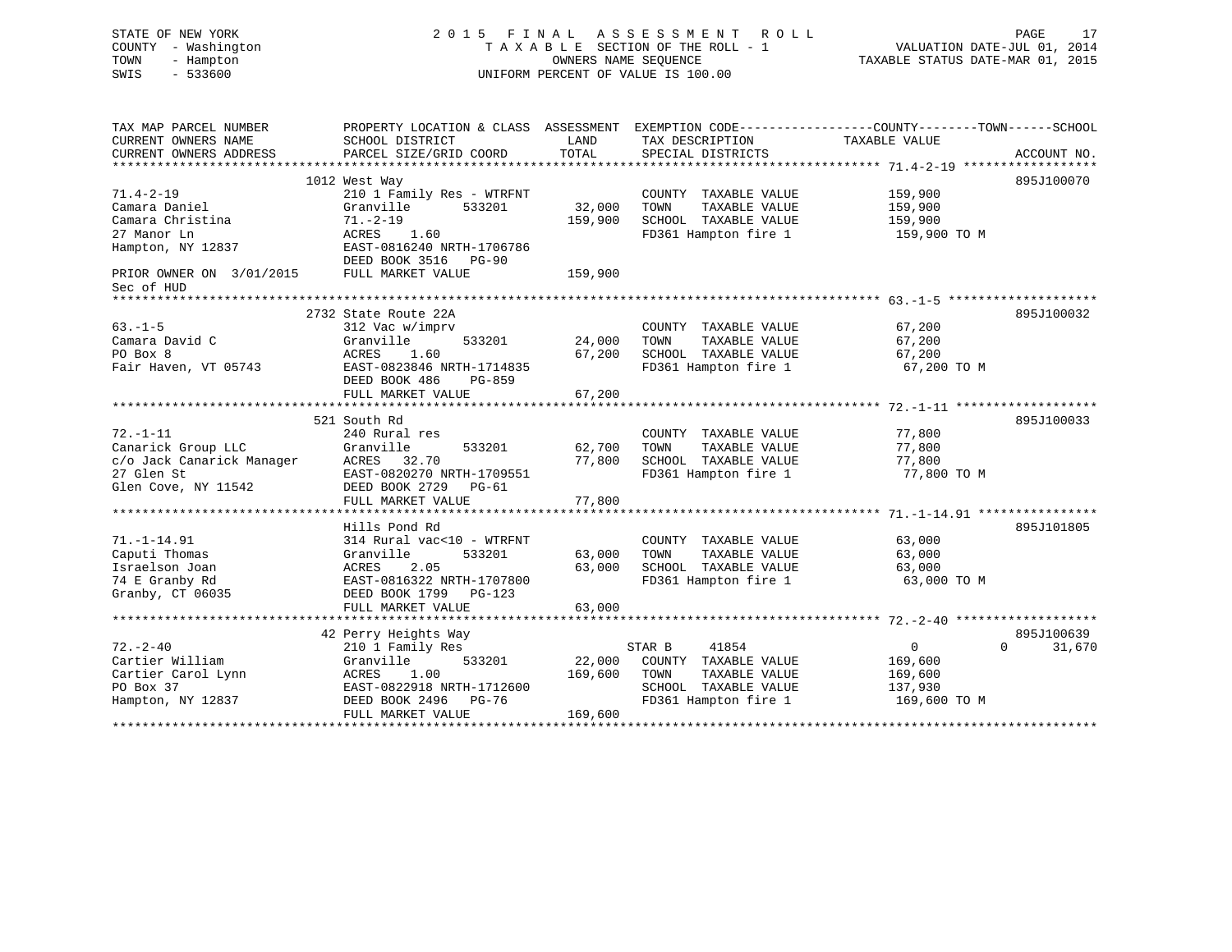| STATE OF NEW YORK         | 2 0 1 5<br>FINAL          |                      | A S S E S S M E N T<br>R O L L                                                                 |                                  | PAGE<br>17         |
|---------------------------|---------------------------|----------------------|------------------------------------------------------------------------------------------------|----------------------------------|--------------------|
| COUNTY - Washington       |                           |                      | TAXABLE SECTION OF THE ROLL - 1                                                                | VALUATION DATE-JUL 01, 2014      |                    |
| - Hampton<br>TOWN         |                           | OWNERS NAME SEQUENCE |                                                                                                | TAXABLE STATUS DATE-MAR 01, 2015 |                    |
| $-533600$<br>SWIS         |                           |                      | UNIFORM PERCENT OF VALUE IS 100.00                                                             |                                  |                    |
|                           |                           |                      |                                                                                                |                                  |                    |
| TAX MAP PARCEL NUMBER     |                           |                      | PROPERTY LOCATION & CLASS ASSESSMENT EXEMPTION CODE---------------COUNTY-------TOWN-----SCHOOL |                                  |                    |
| CURRENT OWNERS NAME       | SCHOOL DISTRICT           | LAND                 | TAX DESCRIPTION                                                                                | TAXABLE VALUE                    |                    |
| CURRENT OWNERS ADDRESS    | PARCEL SIZE/GRID COORD    | TOTAL                | SPECIAL DISTRICTS                                                                              |                                  | ACCOUNT NO.        |
|                           |                           |                      |                                                                                                |                                  |                    |
|                           | 1012 West Way             |                      |                                                                                                |                                  | 895J100070         |
| $71.4 - 2 - 19$           | 210 1 Family Res - WTRFNT |                      | COUNTY TAXABLE VALUE                                                                           | 159,900                          |                    |
| Camara Daniel             | Granville<br>533201       | 32,000               | TOWN<br>TAXABLE VALUE                                                                          | 159,900                          |                    |
| Camara Christina          | $71. - 2 - 19$            | 159,900              | SCHOOL TAXABLE VALUE                                                                           | 159,900                          |                    |
| 27 Manor Ln               | ACRES<br>1.60             |                      | FD361 Hampton fire 1                                                                           | 159,900 ТО М                     |                    |
| Hampton, NY 12837         | EAST-0816240 NRTH-1706786 |                      |                                                                                                |                                  |                    |
|                           | DEED BOOK 3516 PG-90      |                      |                                                                                                |                                  |                    |
| PRIOR OWNER ON 3/01/2015  | FULL MARKET VALUE         | 159,900              |                                                                                                |                                  |                    |
| Sec of HUD                |                           |                      |                                                                                                |                                  |                    |
|                           |                           |                      |                                                                                                |                                  |                    |
|                           | 2732 State Route 22A      |                      |                                                                                                |                                  | 895J100032         |
| $63. -1 - 5$              | 312 Vac w/imprv           |                      | COUNTY TAXABLE VALUE                                                                           | 67,200                           |                    |
| Camara David C            | Granville<br>533201       | 24,000               | TOWN<br>TAXABLE VALUE                                                                          | 67,200                           |                    |
| PO Box 8                  | ACRES<br>1.60             | 67,200               | SCHOOL TAXABLE VALUE                                                                           | 67,200                           |                    |
| Fair Haven, VT 05743      | EAST-0823846 NRTH-1714835 |                      | FD361 Hampton fire 1                                                                           | 67,200 TO M                      |                    |
|                           | DEED BOOK 486<br>PG-859   |                      |                                                                                                |                                  |                    |
|                           | FULL MARKET VALUE         | 67,200               |                                                                                                |                                  |                    |
|                           |                           |                      |                                                                                                |                                  |                    |
|                           | 521 South Rd              |                      |                                                                                                |                                  | 895J100033         |
| $72. - 1 - 11$            | 240 Rural res             |                      | COUNTY TAXABLE VALUE                                                                           | 77,800                           |                    |
| Canarick Group LLC        | 533201<br>Granville       | 62,700               | TOWN<br>TAXABLE VALUE                                                                          | 77,800                           |                    |
| c/o Jack Canarick Manager | ACRES 32.70               | 77,800               | SCHOOL TAXABLE VALUE                                                                           | 77,800                           |                    |
| 27 Glen St                | EAST-0820270 NRTH-1709551 |                      | FD361 Hampton fire 1                                                                           | 77,800 TO M                      |                    |
| Glen Cove, NY 11542       | DEED BOOK 2729<br>PG-61   |                      |                                                                                                |                                  |                    |
|                           | FULL MARKET VALUE         | 77,800               |                                                                                                |                                  |                    |
|                           |                           |                      |                                                                                                |                                  |                    |
|                           | Hills Pond Rd             |                      |                                                                                                |                                  | 895J101805         |
| $71. - 1 - 14.91$         | 314 Rural vac<10 - WTRFNT |                      | COUNTY TAXABLE VALUE                                                                           | 63,000                           |                    |
| Caputi Thomas             | Granville<br>533201       | 63,000               | TOWN<br>TAXABLE VALUE                                                                          | 63,000                           |                    |
| Israelson Joan            | 2.05<br>ACRES             | 63,000               | SCHOOL TAXABLE VALUE                                                                           | 63,000                           |                    |
| 74 E Granby Rd            | EAST-0816322 NRTH-1707800 |                      | FD361 Hampton fire 1                                                                           | 63,000 TO M                      |                    |
| Granby, CT 06035          | DEED BOOK 1799 PG-123     |                      |                                                                                                |                                  |                    |
|                           | FULL MARKET VALUE         | 63,000               |                                                                                                |                                  |                    |
|                           |                           |                      |                                                                                                |                                  |                    |
|                           | 42 Perry Heights Way      |                      |                                                                                                |                                  | 895J100639         |
| $72. - 2 - 40$            | 210 1 Family Res          |                      | STAR B<br>41854                                                                                | $\overline{0}$                   | $\Omega$<br>31,670 |
| Cartier William           | 533201<br>Granville       | 22,000               | COUNTY TAXABLE VALUE                                                                           | 169,600                          |                    |
| Cartier Carol Lynn        | 1.00<br>ACRES             | 169,600              | TAXABLE VALUE<br>TOWN                                                                          | 169,600                          |                    |
| PO Box 37                 | EAST-0822918 NRTH-1712600 |                      | SCHOOL TAXABLE VALUE                                                                           | 137,930                          |                    |
| Hampton, NY 12837         | DEED BOOK 2496 PG-76      |                      | FD361 Hampton fire 1                                                                           | 169,600 TO M                     |                    |
|                           | FULL MARKET VALUE         | 169,600              |                                                                                                |                                  |                    |
|                           |                           |                      |                                                                                                |                                  |                    |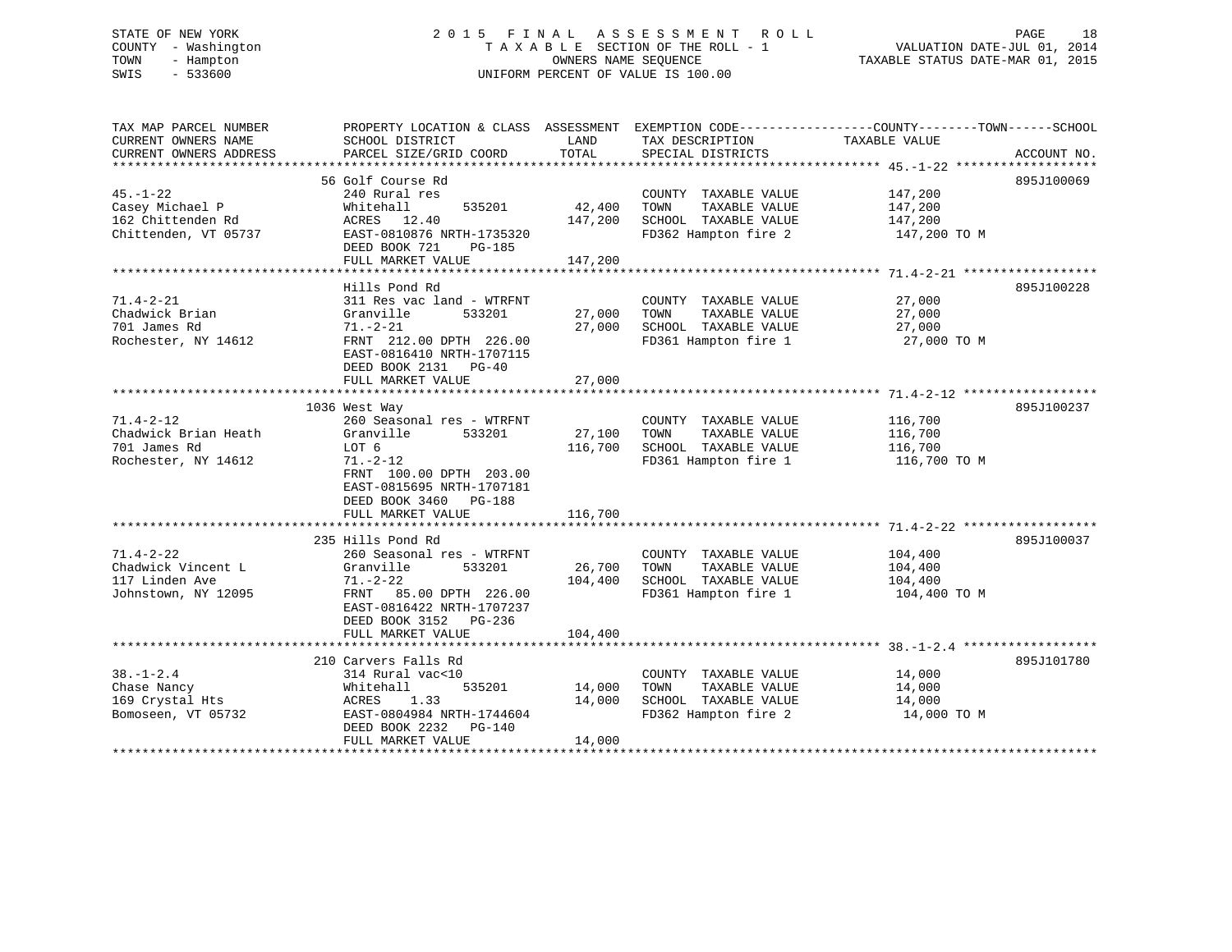# STATE OF NEW YORK 2 0 1 5 F I N A L A S S E S S M E N T R O L L PAGE 18 COUNTY - Washington T A X A B L E SECTION OF THE ROLL - 1 VALUATION DATE-JUL 01, 2014 TOWN - Hampton OWNERS NAME SEQUENCE TAXABLE STATUS DATE-MAR 01, 2015 SWIS - 533600 UNIFORM PERCENT OF VALUE IS 100.00

| TAX MAP PARCEL NUMBER<br>CURRENT OWNERS NAME                                   | PROPERTY LOCATION & CLASS ASSESSMENT EXEMPTION CODE---------------COUNTY-------TOWN-----SCHOOL<br>SCHOOL DISTRICT                                                                                  | LAND                         | TAX DESCRIPTION                                                                               | TAXABLE VALUE                                 |             |
|--------------------------------------------------------------------------------|----------------------------------------------------------------------------------------------------------------------------------------------------------------------------------------------------|------------------------------|-----------------------------------------------------------------------------------------------|-----------------------------------------------|-------------|
| CURRENT OWNERS ADDRESS                                                         | PARCEL SIZE/GRID COORD                                                                                                                                                                             | TOTAL                        | SPECIAL DISTRICTS                                                                             |                                               | ACCOUNT NO. |
| $45. - 1 - 22$<br>Casey Michael P<br>162 Chittenden Rd<br>Chittenden, VT 05737 | 56 Golf Course Rd<br>240 Rural res<br>535201<br>Whitehall<br>ACRES 12.40<br>EAST-0810876 NRTH-1735320                                                                                              | 42,400<br>147,200            | COUNTY TAXABLE VALUE<br>TOWN<br>TAXABLE VALUE<br>SCHOOL TAXABLE VALUE<br>FD362 Hampton fire 2 | 147,200<br>147,200<br>147,200<br>147,200 TO M | 895J100069  |
|                                                                                | DEED BOOK 721<br>PG-185<br>FULL MARKET VALUE                                                                                                                                                       | 147,200                      |                                                                                               |                                               |             |
| $71.4 - 2 - 21$<br>Chadwick Brian<br>701 James Rd<br>Rochester, NY 14612       | Hills Pond Rd<br>311 Res vac land - WTRFNT<br>Granville<br>533201<br>$71. - 2 - 21$<br>FRNT 212.00 DPTH 226.00<br>EAST-0816410 NRTH-1707115<br>DEED BOOK 2131 PG-40<br>FULL MARKET VALUE           | 27,000<br>27,000<br>27,000   | COUNTY TAXABLE VALUE<br>TOWN<br>TAXABLE VALUE<br>SCHOOL TAXABLE VALUE<br>FD361 Hampton fire 1 | 27,000<br>27,000<br>27,000<br>27,000 TO M     | 895J100228  |
| $71.4 - 2 - 12$<br>Chadwick Brian Heath<br>701 James Rd<br>Rochester, NY 14612 | 1036 West Way<br>260 Seasonal res - WTRFNT<br>Granville<br>533201<br>LOT 6<br>$71. - 2 - 12$<br>FRNT 100.00 DPTH 203.00<br>EAST-0815695 NRTH-1707181<br>DEED BOOK 3460 PG-188<br>FULL MARKET VALUE | 27,100<br>116,700<br>116,700 | COUNTY TAXABLE VALUE<br>TOWN<br>TAXABLE VALUE<br>SCHOOL TAXABLE VALUE<br>FD361 Hampton fire 1 | 116,700<br>116,700<br>116,700<br>116,700 TO M | 895J100237  |
| $71.4 - 2 - 22$<br>Chadwick Vincent L<br>117 Linden Ave<br>Johnstown, NY 12095 | 235 Hills Pond Rd<br>260 Seasonal res - WTRFNT<br>Granville<br>533201<br>$71. - 2 - 22$<br>FRNT 85.00 DPTH 226.00<br>EAST-0816422 NRTH-1707237<br>DEED BOOK 3152 PG-236<br>FULL MARKET VALUE       | 26,700<br>104,400<br>104,400 | COUNTY TAXABLE VALUE<br>TOWN<br>TAXABLE VALUE<br>SCHOOL TAXABLE VALUE<br>FD361 Hampton fire 1 | 104,400<br>104,400<br>104,400<br>104,400 TO M | 895J100037  |
| $38. - 1 - 2.4$<br>Chase Nancy<br>169 Crystal Hts<br>Bomoseen, VT 05732        | 210 Carvers Falls Rd<br>314 Rural vac<10<br>535201<br>Whitehall<br>ACRES 1.33<br>EAST-0804984 NRTH-1744604<br>DEED BOOK 2232<br>PG-140<br>FULL MARKET VALUE                                        | 14,000<br>14,000<br>14,000   | COUNTY TAXABLE VALUE<br>TAXABLE VALUE<br>TOWN<br>SCHOOL TAXABLE VALUE<br>FD362 Hampton fire 2 | 14,000<br>14,000<br>14,000<br>14,000 TO M     | 895J101780  |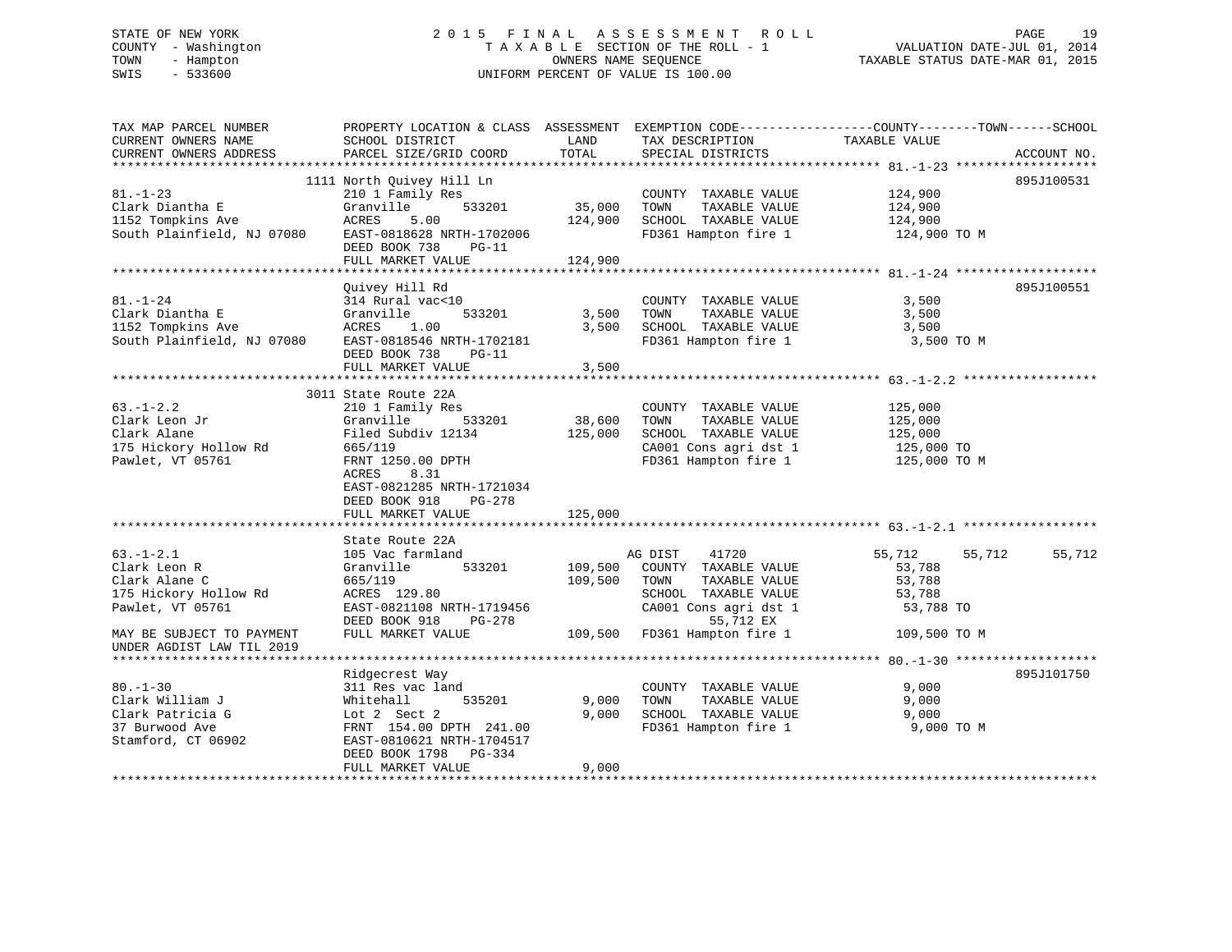# STATE OF NEW YORK 2 0 1 5 F I N A L A S S E S S M E N T R O L L PAGE 19 COUNTY - Washington T A X A B L E SECTION OF THE ROLL - 1 VALUATION DATE-JUL 01, 2014 TOWN - Hampton OWNERS NAME SEQUENCE TAXABLE STATUS DATE-MAR 01, 2015 SWIS - 533600 UNIFORM PERCENT OF VALUE IS 100.00

| TAX MAP PARCEL NUMBER<br>CURRENT OWNERS NAME<br>CURRENT OWNERS ADDRESS                        | PROPERTY LOCATION & CLASS ASSESSMENT<br>SCHOOL DISTRICT<br>PARCEL SIZE/GRID COORD                                                                                                                                     | LAND<br>TOTAL                | TAX DESCRIPTION<br>SPECIAL DISTRICTS                                                                                            | EXEMPTION CODE-----------------COUNTY-------TOWN------SCHOOL<br>TAXABLE VALUE | ACCOUNT NO. |
|-----------------------------------------------------------------------------------------------|-----------------------------------------------------------------------------------------------------------------------------------------------------------------------------------------------------------------------|------------------------------|---------------------------------------------------------------------------------------------------------------------------------|-------------------------------------------------------------------------------|-------------|
|                                                                                               |                                                                                                                                                                                                                       |                              |                                                                                                                                 |                                                                               |             |
| $81. - 1 - 23$<br>Clark Diantha E<br>1152 Tompkins Ave<br>South Plainfield, NJ 07080          | 1111 North Quivey Hill Ln<br>210 1 Family Res<br>Granville<br>533201<br>5.00<br>ACRES<br>EAST-0818628 NRTH-1702006<br>DEED BOOK 738<br>$PG-11$<br>FULL MARKET VALUE                                                   | 35,000<br>124,900<br>124,900 | COUNTY TAXABLE VALUE<br>TOWN<br>TAXABLE VALUE<br>SCHOOL TAXABLE VALUE<br>FD361 Hampton fire 1                                   | 124,900<br>124,900<br>124,900<br>124,900 TO M                                 | 895J100531  |
|                                                                                               |                                                                                                                                                                                                                       |                              |                                                                                                                                 |                                                                               |             |
| $81. - 1 - 24$<br>Clark Diantha E<br>1152 Tompkins Ave<br>South Plainfield, NJ 07080          | Quivey Hill Rd<br>314 Rural vac<10<br>533201<br>Granville<br>1.00<br>ACRES<br>EAST-0818546 NRTH-1702181<br>DEED BOOK 738<br>$PG-11$<br>FULL MARKET VALUE                                                              | 3,500<br>3,500<br>3,500      | COUNTY TAXABLE VALUE<br>TOWN<br>TAXABLE VALUE<br>SCHOOL TAXABLE VALUE<br>FD361 Hampton fire 1                                   | 3,500<br>3,500<br>3,500<br>3,500 TO M                                         | 895J100551  |
|                                                                                               |                                                                                                                                                                                                                       |                              |                                                                                                                                 |                                                                               |             |
| $63. - 1 - 2.2$<br>Clark Leon Jr<br>Clark Alane<br>175 Hickory Hollow Rd<br>Pawlet, VT 05761  | 3011 State Route 22A<br>210 1 Family Res<br>533201<br>Granville<br>Filed Subdiv 12134<br>665/119<br>FRNT 1250.00 DPTH<br>ACRES<br>8.31<br>EAST-0821285 NRTH-1721034<br>DEED BOOK 918<br>$PG-278$<br>FULL MARKET VALUE | 38,600<br>125,000<br>125,000 | COUNTY TAXABLE VALUE<br>TOWN<br>TAXABLE VALUE<br>SCHOOL TAXABLE VALUE<br>CA001 Cons agri dst 1<br>FD361 Hampton fire 1          | 125,000<br>125,000<br>125,000<br>125,000 TO<br>125,000 TO M                   |             |
|                                                                                               |                                                                                                                                                                                                                       |                              |                                                                                                                                 |                                                                               |             |
| $63. - 1 - 2.1$<br>Clark Leon R<br>Clark Alane C<br>175 Hickory Hollow Rd<br>Pawlet, VT 05761 | State Route 22A<br>105 Vac farmland<br>533201<br>Granville<br>665/119<br>ACRES 129.80<br>EAST-0821108 NRTH-1719456<br>DEED BOOK 918<br>$PG-278$                                                                       | 109,500<br>109,500           | 41720<br>AG DIST<br>COUNTY TAXABLE VALUE<br>TOWN<br>TAXABLE VALUE<br>SCHOOL TAXABLE VALUE<br>CA001 Cons agri dst 1<br>55,712 EX | 55,712<br>55,712<br>53,788<br>53,788<br>53,788<br>53,788 TO                   | 55,712      |
| MAY BE SUBJECT TO PAYMENT<br>UNDER AGDIST LAW TIL 2019                                        | FULL MARKET VALUE                                                                                                                                                                                                     | 109,500                      | FD361 Hampton fire 1                                                                                                            | 109,500 TO M                                                                  |             |
|                                                                                               | Ridgecrest Way                                                                                                                                                                                                        |                              |                                                                                                                                 |                                                                               | 895J101750  |
| $80. - 1 - 30$<br>Clark William J<br>Clark Patricia G<br>37 Burwood Ave<br>Stamford, CT 06902 | 311 Res vac land<br>Whitehall<br>535201<br>Lot 2 Sect 2<br>FRNT 154.00 DPTH 241.00<br>EAST-0810621 NRTH-1704517<br>DEED BOOK 1798<br>PG-334                                                                           | 9,000<br>9,000               | COUNTY TAXABLE VALUE<br>TOWN<br>TAXABLE VALUE<br>SCHOOL TAXABLE VALUE<br>FD361 Hampton fire 1                                   | 9,000<br>9,000<br>9,000<br>9,000 TO M                                         |             |
|                                                                                               | FULL MARKET VALUE                                                                                                                                                                                                     | 9.000                        |                                                                                                                                 |                                                                               |             |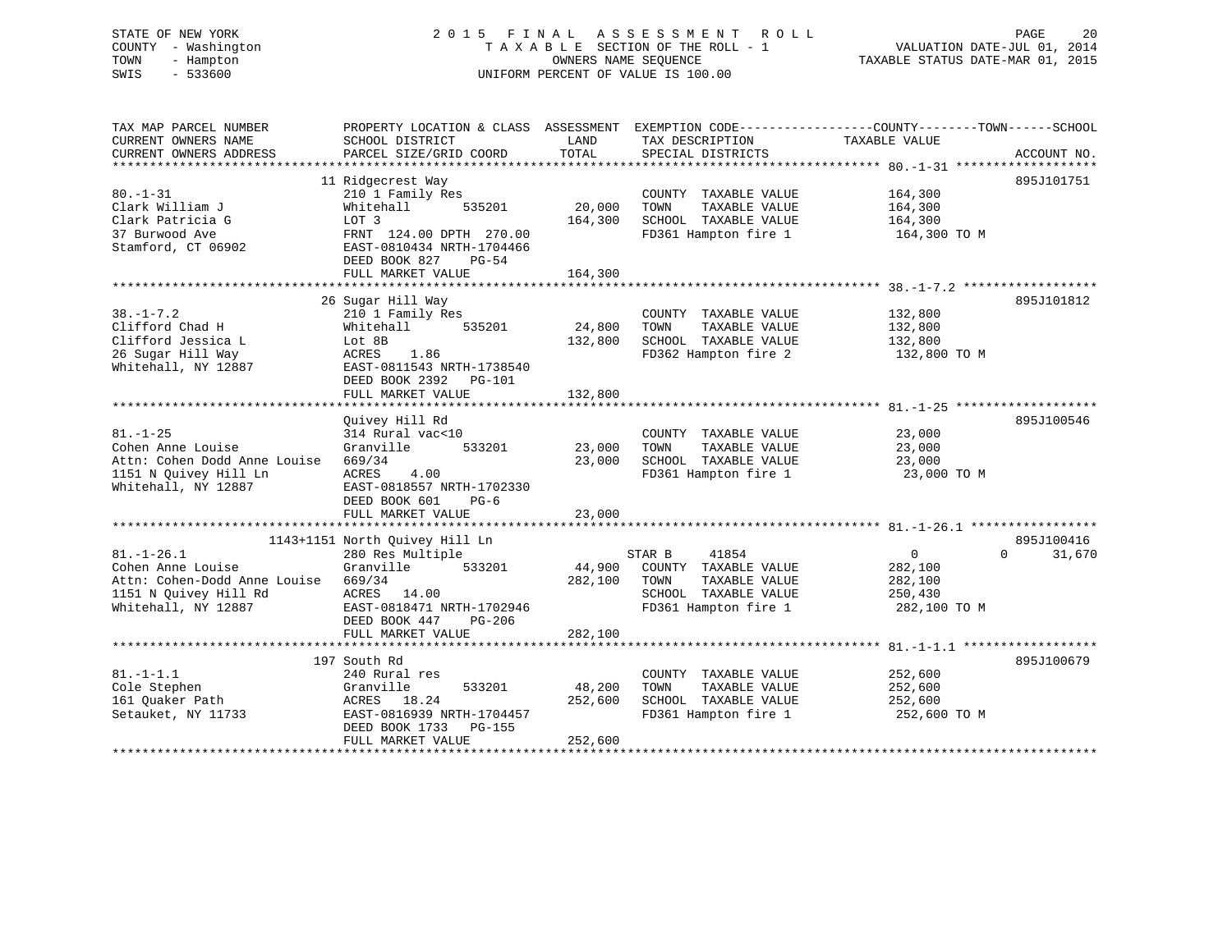# STATE OF NEW YORK 2 0 1 5 F I N A L A S S E S S M E N T R O L L PAGE 20 COUNTY - Washington T A X A B L E SECTION OF THE ROLL - 1 VALUATION DATE-JUL 01, 2014 TOWN - Hampton OWNERS NAME SEQUENCE TAXABLE STATUS DATE-MAR 01, 2015 SWIS - 533600 UNIFORM PERCENT OF VALUE IS 100.00

| TAX MAP PARCEL NUMBER        |                                              |         |                       | PROPERTY LOCATION & CLASS ASSESSMENT EXEMPTION CODE---------------COUNTY-------TOWN------SCHOOL |
|------------------------------|----------------------------------------------|---------|-----------------------|-------------------------------------------------------------------------------------------------|
| CURRENT OWNERS NAME          | SCHOOL DISTRICT                              | LAND    | TAX DESCRIPTION       | TAXABLE VALUE                                                                                   |
| CURRENT OWNERS ADDRESS       | PARCEL SIZE/GRID COORD                       | TOTAL   | SPECIAL DISTRICTS     | ACCOUNT NO.                                                                                     |
|                              |                                              |         |                       |                                                                                                 |
|                              | 11 Ridgecrest Way                            |         |                       | 895J101751                                                                                      |
| $80. - 1 - 31$               | 210 1 Family Res                             |         | COUNTY TAXABLE VALUE  | 164,300                                                                                         |
| Clark William J              | 535201<br>Whitehall                          | 20,000  | TOWN<br>TAXABLE VALUE | 164,300                                                                                         |
| Clark Patricia G             | LOT 3                                        | 164,300 | SCHOOL TAXABLE VALUE  | 164,300                                                                                         |
| 37 Burwood Ave               | FRNT 124.00 DPTH 270.00                      |         | FD361 Hampton fire 1  | 164,300 TO M                                                                                    |
| Stamford, CT 06902           | EAST-0810434 NRTH-1704466                    |         |                       |                                                                                                 |
|                              | DEED BOOK 827<br>PG-54                       |         |                       |                                                                                                 |
|                              | FULL MARKET VALUE                            | 164,300 |                       |                                                                                                 |
|                              |                                              |         |                       |                                                                                                 |
|                              | 26 Sugar Hill Way                            |         |                       | 895J101812                                                                                      |
| $38. - 1 - 7.2$              | 210 1 Family Res                             |         | COUNTY TAXABLE VALUE  | 132,800                                                                                         |
| Clifford Chad H              | Whitehall<br>535201                          | 24,800  | TOWN<br>TAXABLE VALUE | 132,800                                                                                         |
| Clifford Jessica L           | Lot 8B                                       | 132,800 | SCHOOL TAXABLE VALUE  | 132,800                                                                                         |
| 26 Sugar Hill Way            | ACRES<br>1.86                                |         | FD362 Hampton fire 2  | 132,800 TO M                                                                                    |
| Whitehall, NY 12887          | EAST-0811543 NRTH-1738540                    |         |                       |                                                                                                 |
|                              | DEED BOOK 2392<br>PG-101                     |         |                       |                                                                                                 |
|                              | FULL MARKET VALUE                            | 132,800 |                       |                                                                                                 |
|                              |                                              |         |                       |                                                                                                 |
|                              | Quivey Hill Rd                               |         |                       | 895J100546                                                                                      |
| $81. - 1 - 25$               | 314 Rural vac<10                             |         | COUNTY TAXABLE VALUE  | 23,000                                                                                          |
| Cohen Anne Louise            | Granville<br>533201                          | 23,000  | TOWN<br>TAXABLE VALUE | 23,000                                                                                          |
| Attn: Cohen Dodd Anne Louise | 669/34                                       | 23,000  | SCHOOL TAXABLE VALUE  | 23,000                                                                                          |
| 1151 N Ouivey Hill Ln        | 4.00<br>ACRES                                |         | FD361 Hampton fire 1  | 23,000 TO M                                                                                     |
| Whitehall, NY 12887          | EAST-0818557 NRTH-1702330                    |         |                       |                                                                                                 |
|                              | DEED BOOK 601<br>$PG-6$<br>FULL MARKET VALUE | 23,000  |                       |                                                                                                 |
|                              |                                              |         |                       |                                                                                                 |
|                              | 1143+1151 North Quivey Hill Ln               |         |                       | 895J100416                                                                                      |
| $81. - 1 - 26.1$             | 280 Res Multiple                             |         | STAR B<br>41854       | $\overline{0}$<br>31,670<br>$\Omega$                                                            |
| Cohen Anne Louise            | Granville<br>533201                          | 44,900  | COUNTY TAXABLE VALUE  | 282,100                                                                                         |
| Attn: Cohen-Dodd Anne Louise | 669/34                                       | 282,100 | TOWN<br>TAXABLE VALUE | 282,100                                                                                         |
| 1151 N Quivey Hill Rd        | ACRES<br>14.00                               |         | SCHOOL TAXABLE VALUE  | 250,430                                                                                         |
| Whitehall, NY 12887          | EAST-0818471 NRTH-1702946                    |         | FD361 Hampton fire 1  | 282,100 TO M                                                                                    |
|                              | DEED BOOK 447<br>PG-206                      |         |                       |                                                                                                 |
|                              | FULL MARKET VALUE                            | 282,100 |                       |                                                                                                 |
|                              |                                              |         |                       |                                                                                                 |
|                              | 197 South Rd                                 |         |                       | 895J100679                                                                                      |
| $81. - 1 - 1.1$              | 240 Rural res                                |         | COUNTY TAXABLE VALUE  | 252,600                                                                                         |
| Cole Stephen                 | 533201<br>Granville                          | 48,200  | TOWN<br>TAXABLE VALUE | 252,600                                                                                         |
| 161 Quaker Path              | ACRES 18.24                                  | 252,600 | SCHOOL TAXABLE VALUE  | 252,600                                                                                         |
| Setauket, NY 11733           | EAST-0816939 NRTH-1704457                    |         | FD361 Hampton fire 1  | 252,600 TO M                                                                                    |
|                              | DEED BOOK 1733<br><b>PG-155</b>              |         |                       |                                                                                                 |
|                              | FULL MARKET VALUE                            | 252,600 |                       |                                                                                                 |
|                              |                                              |         |                       |                                                                                                 |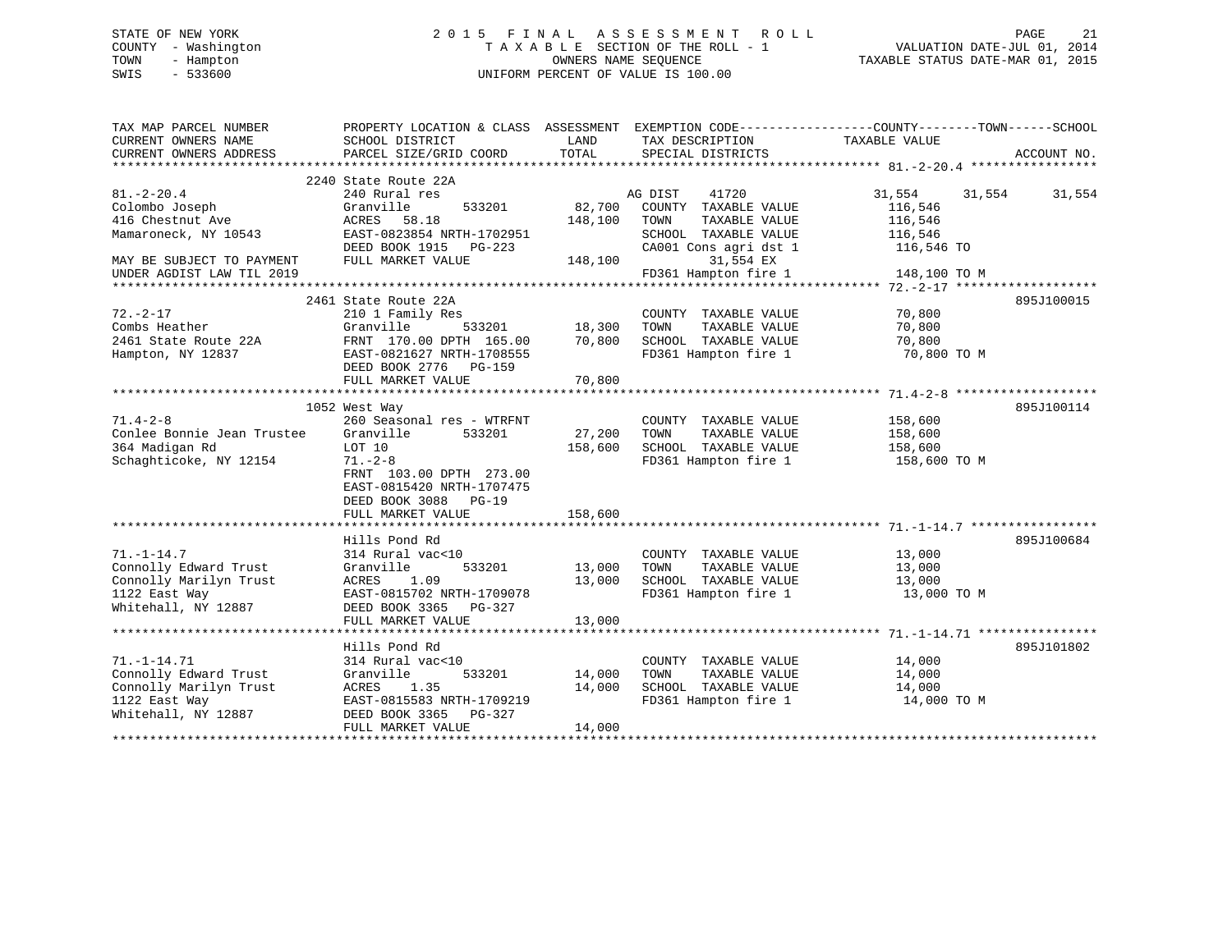# STATE OF NEW YORK 2 0 1 5 F I N A L A S S E S S M E N T R O L L PAGE 21 COUNTY - Washington T A X A B L E SECTION OF THE ROLL - 1 VALUATION DATE-JUL 01, 2014 TOWN - Hampton OWNERS NAME SEQUENCE TAXABLE STATUS DATE-MAR 01, 2015 SWIS - 533600 UNIFORM PERCENT OF VALUE IS 100.00

| TAX MAP PARCEL NUMBER<br>CURRENT OWNERS NAME<br>CURRENT OWNERS ADDRESS                                       | PROPERTY LOCATION & CLASS ASSESSMENT EXEMPTION CODE---------------COUNTY-------TOWN-----SCHOOL<br>SCHOOL DISTRICT<br>PARCEL SIZE/GRID COORD                                                            | LAND<br>TOTAL                | TAX DESCRIPTION TAXABLE VALUE<br>SPECIAL DISTRICTS                                            |                                               | ACCOUNT NO.      |
|--------------------------------------------------------------------------------------------------------------|--------------------------------------------------------------------------------------------------------------------------------------------------------------------------------------------------------|------------------------------|-----------------------------------------------------------------------------------------------|-----------------------------------------------|------------------|
| $81. - 2 - 20.4$<br>Colombo Joseph<br>416 Chestnut Ave                                                       | 2240 State Route 22A<br>240 Rural res<br>Granville<br>533201<br>ACRES<br>58.18                                                                                                                         | 82,700<br>148,100            | AG DIST<br>41720<br>COUNTY TAXABLE VALUE<br>TOWN<br>TAXABLE VALUE                             | 31,554<br>116,546<br>116,546                  | 31,554<br>31,554 |
| Mamaroneck, NY 10543<br>MAY BE SUBJECT TO PAYMENT<br>UNDER AGDIST LAW TIL 2019                               | EAST-0823854 NRTH-1702951<br>DEED BOOK 1915 PG-223<br>FULL MARKET VALUE                                                                                                                                | 148,100                      | SCHOOL TAXABLE VALUE<br>CA001 Cons agri dst 1<br>31,554 EX<br>FD361 Hampton fire 1            | 116,546<br>116,546 TO<br>148,100 TO M         |                  |
| $72. - 2 - 17$<br>Combs Heather<br>2461 State Route 22A<br>Hampton, NY 12837                                 | 2461 State Route 22A<br>210 1 Family Res<br>Granville<br>533201<br>FRNT 170.00 DPTH 165.00<br>EAST-0821627 NRTH-1708555<br>DEED BOOK 2776 PG-159<br>FULL MARKET VALUE                                  | 18,300<br>70,800<br>70,800   | COUNTY TAXABLE VALUE<br>TOWN<br>TAXABLE VALUE<br>SCHOOL TAXABLE VALUE<br>FD361 Hampton fire 1 | 70,800<br>70,800<br>70,800<br>70,800 TO M     | 895J100015       |
| $71.4 - 2 - 8$<br>Conlee Bonnie Jean Trustee<br>364 Madigan Rd<br>Schaghticoke, NY 12154                     | 1052 West Way<br>260 Seasonal res - WTRFNT<br>Granville<br>533201<br>LOT 10<br>$71. - 2 - 8$<br>FRNT 103.00 DPTH 273.00<br>EAST-0815420 NRTH-1707475<br>DEED BOOK 3088<br>$PG-19$<br>FULL MARKET VALUE | 27,200<br>158,600<br>158,600 | COUNTY TAXABLE VALUE<br>TOWN<br>TAXABLE VALUE<br>SCHOOL TAXABLE VALUE<br>FD361 Hampton fire 1 | 158,600<br>158,600<br>158,600<br>158,600 TO M | 895J100114       |
| $71. - 1 - 14.7$<br>Connolly Edward Trust<br>Connolly Marilyn Trust<br>1122 East Way<br>Whitehall, NY 12887  | Hills Pond Rd<br>314 Rural vac<10<br>533201<br>Granville<br>ACRES<br>1.09<br>EAST-0815702 NRTH-1709078<br>DEED BOOK 3365 PG-327<br>FULL MARKET VALUE                                                   | 13,000<br>13,000<br>13,000   | COUNTY TAXABLE VALUE<br>TOWN<br>TAXABLE VALUE<br>SCHOOL TAXABLE VALUE<br>FD361 Hampton fire 1 | 13,000<br>13,000<br>13,000<br>13,000 TO M     | 895J100684       |
| $71. - 1 - 14.71$<br>Connolly Edward Trust<br>Connolly Marilyn Trust<br>1122 East Way<br>Whitehall, NY 12887 | Hills Pond Rd<br>314 Rural vac<10<br>Granville<br>533201<br>ACRES<br>1.35<br>EAST-0815583 NRTH-1709219<br>DEED BOOK 3365 PG-327<br>FULL MARKET VALUE                                                   | 14,000<br>14,000<br>14,000   | COUNTY TAXABLE VALUE<br>TAXABLE VALUE<br>TOWN<br>SCHOOL TAXABLE VALUE<br>FD361 Hampton fire 1 | 14,000<br>14,000<br>14,000<br>14,000 TO M     | 895J101802       |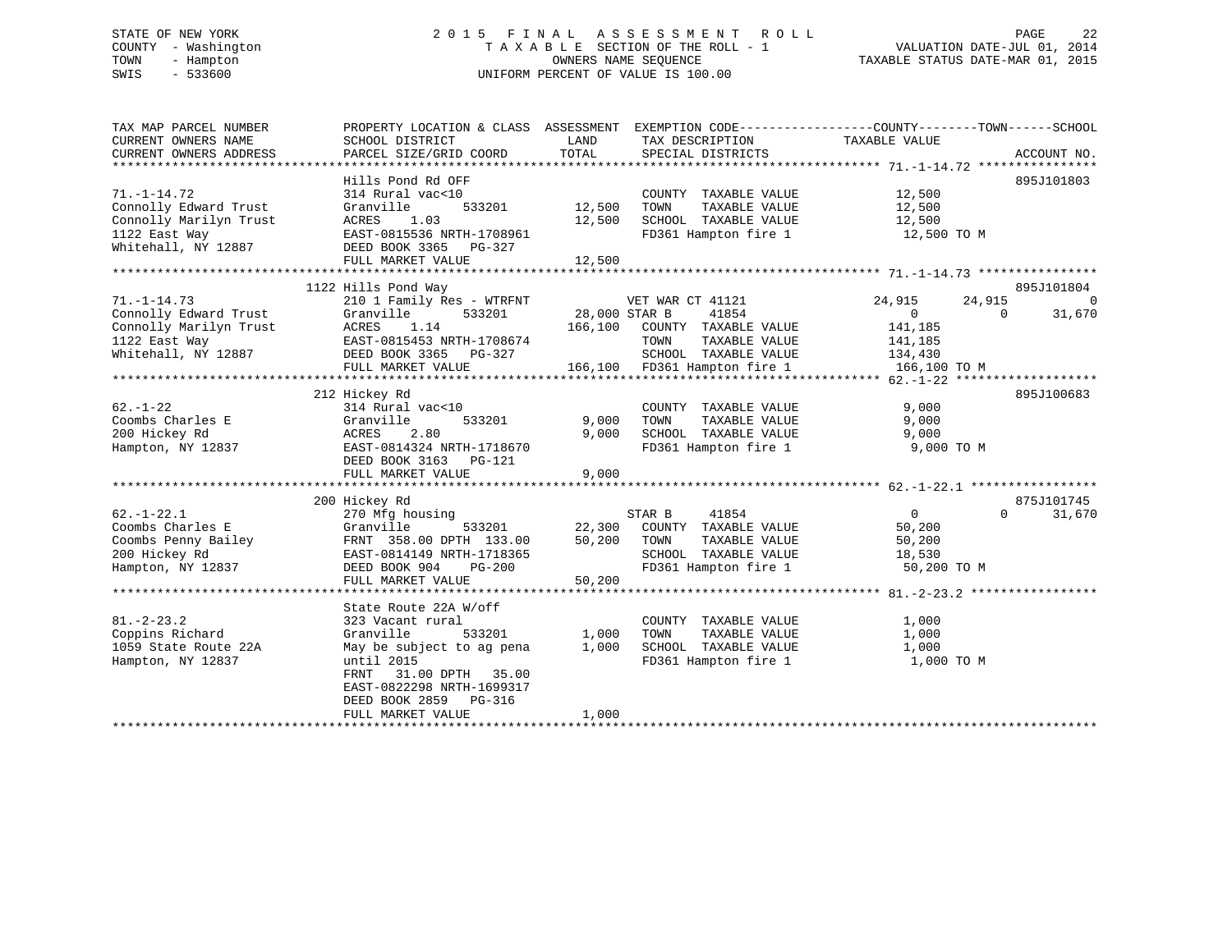# STATE OF NEW YORK 2 0 1 5 F I N A L A S S E S S M E N T R O L L PAGE 22 COUNTY - Washington T A X A B L E SECTION OF THE ROLL - 1 VALUATION DATE-JUL 01, 2014 TOWN - Hampton OWNERS NAME SEQUENCE TAXABLE STATUS DATE-MAR 01, 2015 SWIS - 533600 UNIFORM PERCENT OF VALUE IS 100.00

| TAX MAP PARCEL NUMBER  |                                                                                                                                                                                                                                           |                                                                                                                                                                 | PROPERTY LOCATION & CLASS ASSESSMENT EXEMPTION CODE---------------COUNTY-------TOWN-----SCHOOL |
|------------------------|-------------------------------------------------------------------------------------------------------------------------------------------------------------------------------------------------------------------------------------------|-----------------------------------------------------------------------------------------------------------------------------------------------------------------|------------------------------------------------------------------------------------------------|
| CURRENT OWNERS NAME    | SCHOOL DISTRICT                                                                                                                                                                                                                           | LAND<br>TAX DESCRIPTION                                                                                                                                         | TAXABLE VALUE                                                                                  |
| CURRENT OWNERS ADDRESS | PARCEL SIZE/GRID COORD                                                                                                                                                                                                                    | TOTAL<br>SPECIAL DISTRICTS                                                                                                                                      | ACCOUNT NO.                                                                                    |
|                        |                                                                                                                                                                                                                                           |                                                                                                                                                                 |                                                                                                |
|                        | Hills Pond Rd OFF                                                                                                                                                                                                                         |                                                                                                                                                                 | 895J101803                                                                                     |
| $71. - 1 - 14.72$      | 314 Rural vac<10                                                                                                                                                                                                                          | COUNTY TAXABLE VALUE                                                                                                                                            | 12,500<br>12,500                                                                               |
| Connolly Edward Trust  | Granville<br>533201                                                                                                                                                                                                                       | 12,500 TOWN<br>TAXABLE VALUE                                                                                                                                    |                                                                                                |
| Connolly Marilyn Trust | ACRES<br>1.03                                                                                                                                                                                                                             | 12,500 SCHOOL TAXABLE VALUE 12,500                                                                                                                              |                                                                                                |
| 1122 East Way          | EAST-0815536 NRTH-1708961                                                                                                                                                                                                                 | FD361 Hampton fire 1 12,500 TO M                                                                                                                                |                                                                                                |
| Whitehall, NY 12887    | DEED BOOK 3365 PG-327                                                                                                                                                                                                                     |                                                                                                                                                                 |                                                                                                |
|                        | FULL MARKET VALUE                                                                                                                                                                                                                         | 12,500                                                                                                                                                          |                                                                                                |
|                        |                                                                                                                                                                                                                                           |                                                                                                                                                                 |                                                                                                |
|                        | 1122 Hills Pond Way                                                                                                                                                                                                                       |                                                                                                                                                                 | 895J101804                                                                                     |
| $71. - 1 - 14.73$      | 210 1 Family Res - WTRFNT<br>71.-1-14.73 210 1 Family Res - WTRFNT<br>Connolly Edward Trust Granville 533201<br>Connolly Marilyn Trust ACRES 1.14<br>1122 East Way EAST-0815453 NRTH-1708674<br>Whitehall, NY 12887 DEED BOOK 3365 PG-327 | 3 - WTRFNT VET WAR CT 41121<br>533201 28,000 STAR B 41854                                                                                                       | 24,915<br>24,915<br>0                                                                          |
|                        |                                                                                                                                                                                                                                           | 41854                                                                                                                                                           | $\overline{0}$<br>31,670<br>$\Omega$                                                           |
|                        |                                                                                                                                                                                                                                           | 166,100 COUNTY TAXABLE VALUE 141,185                                                                                                                            |                                                                                                |
|                        |                                                                                                                                                                                                                                           |                                                                                                                                                                 |                                                                                                |
|                        |                                                                                                                                                                                                                                           |                                                                                                                                                                 |                                                                                                |
|                        | FULL MARKET VALUE                                                                                                                                                                                                                         | 708674 TOWN TAXABLE VALUE 141,185<br>327 SCHOOL TAXABLE VALUE 134,430<br>166,100 FD361 Hampton fire 1 166,100 TO M                                              |                                                                                                |
|                        |                                                                                                                                                                                                                                           |                                                                                                                                                                 |                                                                                                |
|                        | 212 Hickey Rd                                                                                                                                                                                                                             |                                                                                                                                                                 | 895J100683                                                                                     |
| $62. - 1 - 22$         | 314 Rural vac<10                                                                                                                                                                                                                          | COUNTY TAXABLE VALUE                                                                                                                                            | 9,000                                                                                          |
| Coombs Charles E       | Granville<br>533201                                                                                                                                                                                                                       | TAXABLE VALUE<br>9,000 TOWN                                                                                                                                     | 9,000                                                                                          |
| 200 Hickey Rd          | 2.80<br>ACRES                                                                                                                                                                                                                             | SCHOOL TAXABLE VALUE<br>9,000                                                                                                                                   | 9,000                                                                                          |
| Hampton, NY 12837      | EAST-0814324 NRTH-1718670                                                                                                                                                                                                                 | FD361 Hampton fire 1 9,000 TO M                                                                                                                                 |                                                                                                |
|                        | DEED BOOK 3163 PG-121                                                                                                                                                                                                                     |                                                                                                                                                                 |                                                                                                |
|                        | FULL MARKET VALUE                                                                                                                                                                                                                         | 9,000                                                                                                                                                           |                                                                                                |
|                        |                                                                                                                                                                                                                                           |                                                                                                                                                                 |                                                                                                |
|                        | 200 Hickey Rd                                                                                                                                                                                                                             |                                                                                                                                                                 | 875J101745                                                                                     |
| $62. - 1 - 22.1$       | 270 Mfg housing                                                                                                                                                                                                                           | $\begin{array}{cccccc} \texttt{STAR} & \texttt{B} & \texttt{41854} \\ \texttt{533201} & \texttt{22,300} & \texttt{COUNTY} & \texttt{TAXABLE VALUE} \end{array}$ | $\overline{0}$<br>$\Omega$<br>31,670                                                           |
| Coombs Charles E       | Granville                                                                                                                                                                                                                                 |                                                                                                                                                                 | 50,200                                                                                         |
|                        |                                                                                                                                                                                                                                           | TAXABLE VALUE<br>50,200 TOWN                                                                                                                                    | 50,200                                                                                         |
|                        | COORDS Penny Bailey<br>Coords Penny Bailey<br>200 Hickey Rd<br>200 Hickey Rd<br>200 Hickey Rd<br>200 Hickey Rd<br>200 Hickey Rd<br>200 Hickey Rd<br>200 Hickey Rd<br>200 Hickey Rd<br>200 Hickey Rd<br>200 Been BOOK 904 PG-200           | SCHOOL TAXABLE VALUE<br>FD361 Hampton fire 1                                                                                                                    | 18,530                                                                                         |
| Hampton, NY 12837      | DEED BOOK 904<br>PG-200                                                                                                                                                                                                                   |                                                                                                                                                                 | 50,200 TO M                                                                                    |
|                        | FULL MARKET VALUE                                                                                                                                                                                                                         | 50,200                                                                                                                                                          |                                                                                                |
|                        |                                                                                                                                                                                                                                           |                                                                                                                                                                 |                                                                                                |
|                        | State Route 22A W/off                                                                                                                                                                                                                     |                                                                                                                                                                 |                                                                                                |
| $81. - 2 - 23.2$       | 323 Vacant rural                                                                                                                                                                                                                          | COUNTY TAXABLE VALUE                                                                                                                                            | 1,000                                                                                          |
| Coppins Richard        | Granville<br>533201 1,000                                                                                                                                                                                                                 | TAXABLE VALUE<br>TOWN                                                                                                                                           | 1,000                                                                                          |
| 1059 State Route 22A   | May be subject to ag pena                                                                                                                                                                                                                 | 1,000<br>SCHOOL TAXABLE VALUE                                                                                                                                   | 1,000                                                                                          |
| Hampton, NY 12837      | until 2015                                                                                                                                                                                                                                | FD361 Hampton fire 1                                                                                                                                            | 1,000 TO M                                                                                     |
|                        | FRNT 31.00 DPTH 35.00                                                                                                                                                                                                                     |                                                                                                                                                                 |                                                                                                |
|                        | EAST-0822298 NRTH-1699317                                                                                                                                                                                                                 |                                                                                                                                                                 |                                                                                                |
|                        | DEED BOOK 2859 PG-316                                                                                                                                                                                                                     |                                                                                                                                                                 |                                                                                                |
|                        | FULL MARKET VALUE                                                                                                                                                                                                                         | 1,000                                                                                                                                                           |                                                                                                |
|                        |                                                                                                                                                                                                                                           |                                                                                                                                                                 |                                                                                                |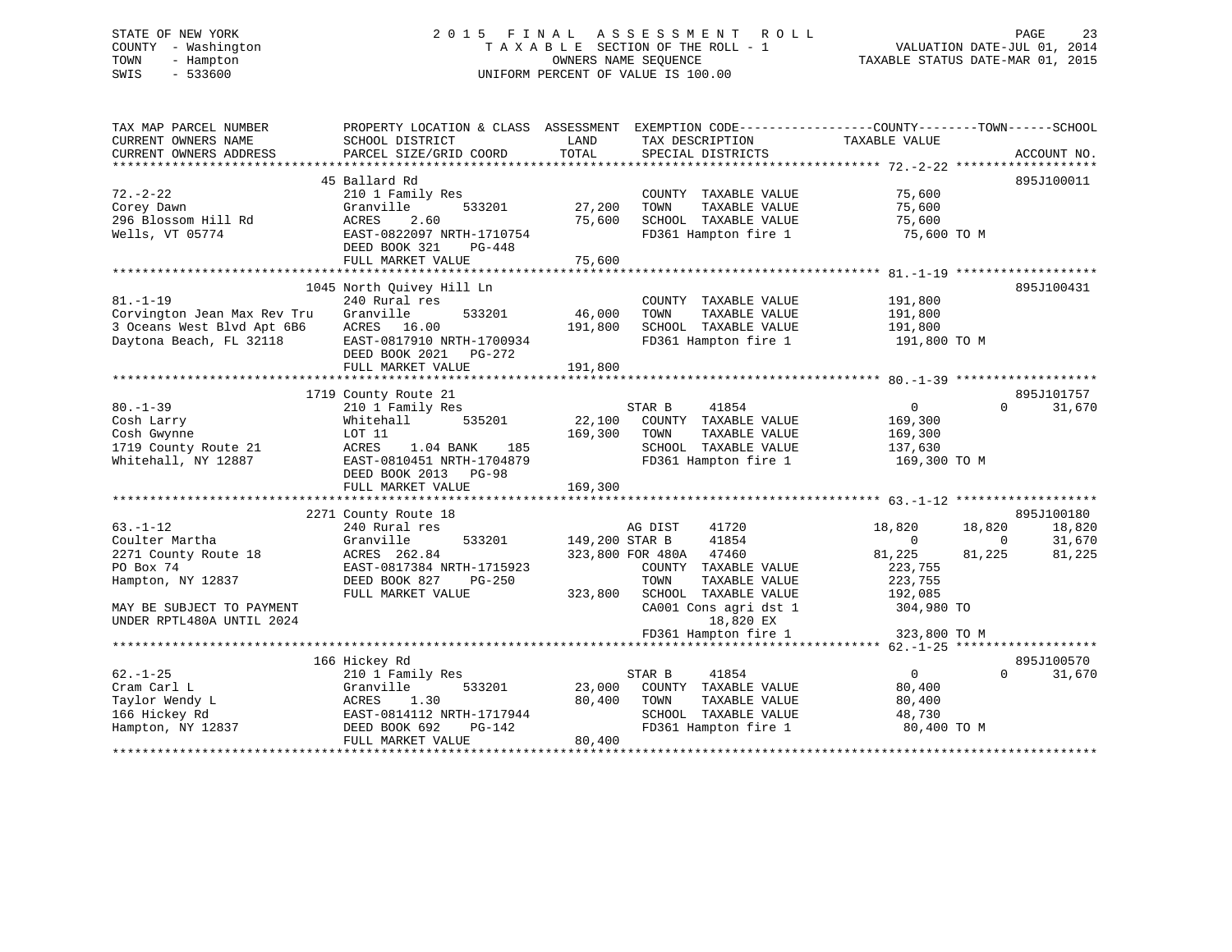# STATE OF NEW YORK 2 0 1 5 F I N A L A S S E S S M E N T R O L L PAGE 23 COUNTY - Washington T A X A B L E SECTION OF THE ROLL - 1 VALUATION DATE-JUL 01, 2014 TOWN - Hampton OWNERS NAME SEQUENCE TAXABLE STATUS DATE-MAR 01, 2015 SWIS - 533600 UNIFORM PERCENT OF VALUE IS 100.00

| TAX MAP PARCEL NUMBER<br>CURRENT OWNERS NAME | PROPERTY LOCATION & CLASS ASSESSMENT EXEMPTION CODE---------------COUNTY-------TOWN------SCHOOL<br>SCHOOL DISTRICT | LAND<br>TOTAL  | TAX DESCRIPTION        | TAXABLE VALUE    |                    |
|----------------------------------------------|--------------------------------------------------------------------------------------------------------------------|----------------|------------------------|------------------|--------------------|
| CURRENT OWNERS ADDRESS                       | PARCEL SIZE/GRID COORD                                                                                             |                | SPECIAL DISTRICTS      |                  | ACCOUNT NO.        |
|                                              | 45 Ballard Rd                                                                                                      |                |                        |                  | 895J100011         |
| $72. - 2 - 22$                               | 210 1 Family Res                                                                                                   |                | COUNTY TAXABLE VALUE   | 75,600           |                    |
| Corey Dawn                                   | Granville<br>533201                                                                                                | 27,200         | TOWN<br>TAXABLE VALUE  | 75,600           |                    |
| 296 Blossom Hill Rd                          | ACRES<br>2.60                                                                                                      | 75,600         | SCHOOL TAXABLE VALUE   | 75,600           |                    |
| Wells, VT 05774                              | EAST-0822097 NRTH-1710754                                                                                          |                | FD361 Hampton fire 1   | 75,600 TO M      |                    |
|                                              | DEED BOOK 321<br>PG-448                                                                                            |                |                        |                  |                    |
|                                              | FULL MARKET VALUE                                                                                                  | 75,600         |                        |                  |                    |
|                                              |                                                                                                                    |                |                        |                  |                    |
|                                              | 1045 North Quivey Hill Ln                                                                                          |                |                        |                  | 895J100431         |
| $81. - 1 - 19$                               | 240 Rural res                                                                                                      |                | COUNTY TAXABLE VALUE   | 191,800          |                    |
| Corvington Jean Max Rev Tru                  | Granville<br>533201                                                                                                | 46,000         | TOWN<br>TAXABLE VALUE  | 191,800          |                    |
| 3 Oceans West Blvd Apt 6B6                   | ACRES 16.00                                                                                                        | 191,800        | SCHOOL TAXABLE VALUE   | 191,800          |                    |
| Daytona Beach, FL 32118                      | EAST-0817910 NRTH-1700934                                                                                          |                | FD361 Hampton fire 1   | 191,800 TO M     |                    |
|                                              |                                                                                                                    |                |                        |                  |                    |
|                                              | DEED BOOK 2021<br>PG-272                                                                                           | 191,800        |                        |                  |                    |
|                                              | FULL MARKET VALUE                                                                                                  |                |                        |                  |                    |
|                                              | 1719 County Route 21                                                                                               |                |                        |                  | 895J101757         |
| $80. - 1 - 39$                               | 210 1 Family Res                                                                                                   |                | 41854<br>STAR B        | $\overline{0}$   | $\Omega$<br>31,670 |
|                                              | 535201                                                                                                             | 22,100         | COUNTY TAXABLE VALUE   |                  |                    |
| Cosh Larry<br>Cosh Gwynne                    | Whitehall                                                                                                          | 169,300        |                        | 169,300          |                    |
|                                              | LOT 11                                                                                                             |                | TOWN<br>TAXABLE VALUE  | 169,300          |                    |
| 1719 County Route 21                         | 1.04 BANK<br>185<br>ACRES                                                                                          |                | SCHOOL TAXABLE VALUE   | 137,630          |                    |
| Whitehall, NY 12887                          | EAST-0810451 NRTH-1704879                                                                                          |                | FD361 Hampton fire 1   | 169,300 TO M     |                    |
|                                              | DEED BOOK 2013<br>PG-98                                                                                            |                |                        |                  |                    |
|                                              | FULL MARKET VALUE                                                                                                  | 169,300        |                        |                  |                    |
|                                              |                                                                                                                    |                |                        |                  |                    |
|                                              | 2271 County Route 18                                                                                               |                |                        |                  | 895J100180         |
| $63. - 1 - 12$                               | 240 Rural res                                                                                                      |                | 41720<br>AG DIST       | 18,820<br>18,820 | 18,820             |
| Coulter Martha                               | Granville<br>533201                                                                                                | 149,200 STAR B | 41854                  | $\Omega$         | 31,670<br>$\Omega$ |
| 2271 County Route 18                         | ACRES 262.84                                                                                                       |                | 323,800 FOR 480A 47460 | 81,225<br>81,225 | 81,225             |
| PO Box 74                                    | EAST-0817384 NRTH-1715923                                                                                          |                | COUNTY TAXABLE VALUE   | 223,755          |                    |
| Hampton, NY 12837                            | DEED BOOK 827<br>$PG-250$                                                                                          |                | TOWN<br>TAXABLE VALUE  | 223,755          |                    |
|                                              | FULL MARKET VALUE                                                                                                  | 323,800        | SCHOOL TAXABLE VALUE   | 192,085          |                    |
| MAY BE SUBJECT TO PAYMENT                    |                                                                                                                    |                | CA001 Cons agri dst 1  | 304,980 TO       |                    |
| UNDER RPTL480A UNTIL 2024                    |                                                                                                                    |                | 18,820 EX              |                  |                    |
|                                              |                                                                                                                    |                | FD361 Hampton fire 1   | 323,800 TO M     |                    |
|                                              |                                                                                                                    |                |                        |                  |                    |
|                                              | 166 Hickey Rd                                                                                                      |                |                        |                  | 895J100570         |
| $62. - 1 - 25$                               | 210 1 Family Res                                                                                                   |                | 41854<br>STAR B        | $\overline{0}$   | $\Omega$<br>31,670 |
| Cram Carl L                                  | Granville<br>533201                                                                                                | 23,000         | COUNTY TAXABLE VALUE   | 80,400           |                    |
| Taylor Wendy L                               | ACRES<br>1.30                                                                                                      | 80,400         | TOWN<br>TAXABLE VALUE  | 80,400           |                    |
| 166 Hickey Rd                                | EAST-0814112 NRTH-1717944                                                                                          |                | SCHOOL TAXABLE VALUE   | 48,730           |                    |
| Hampton, NY 12837                            | DEED BOOK 692<br>PG-142                                                                                            |                | FD361 Hampton fire 1   | 80,400 TO M      |                    |
|                                              | FULL MARKET VALUE                                                                                                  | 80,400         |                        |                  |                    |
|                                              |                                                                                                                    |                |                        |                  |                    |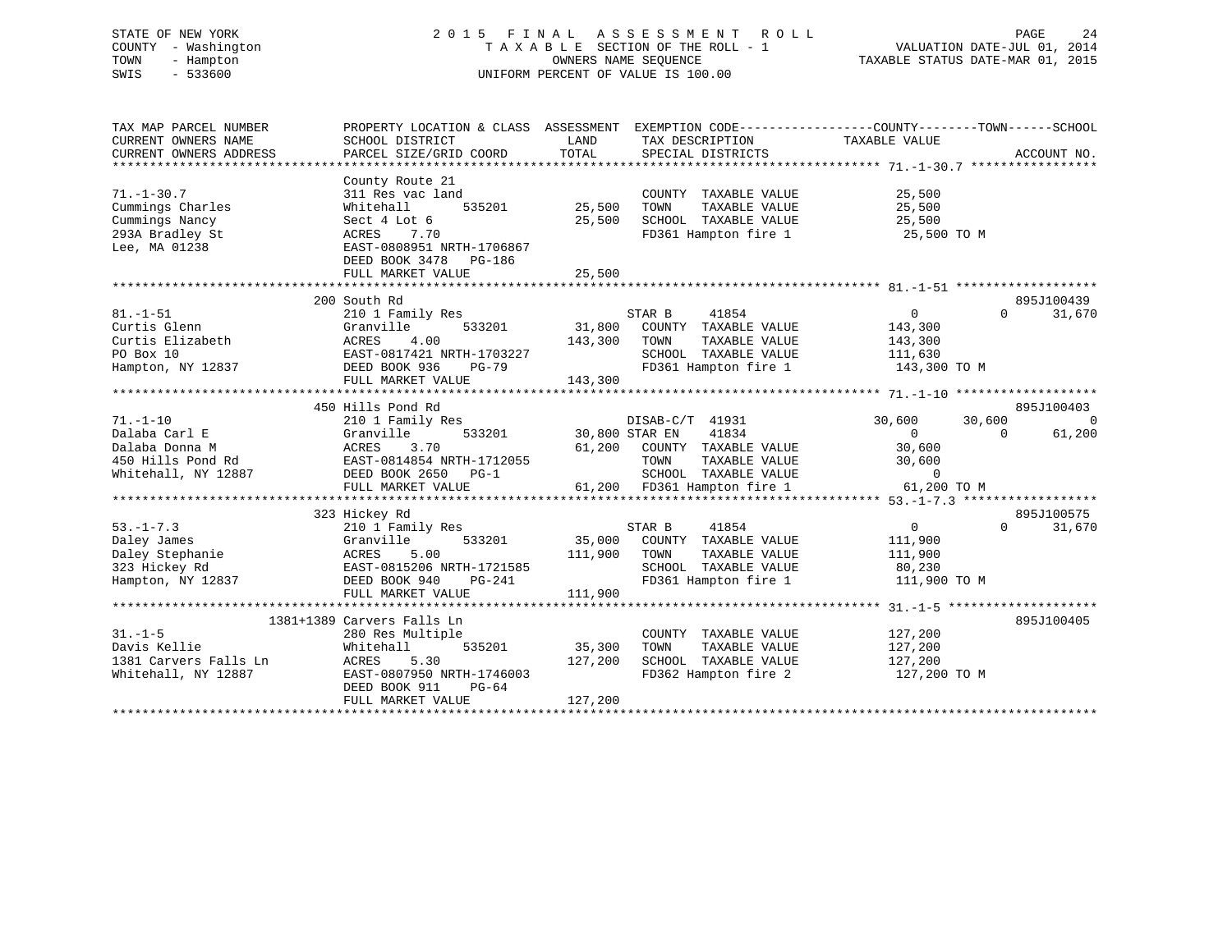# STATE OF NEW YORK 2 0 1 5 F I N A L A S S E S S M E N T R O L L PAGE 24 COUNTY - Washington T A X A B L E SECTION OF THE ROLL - 1 VALUATION DATE-JUL 01, 2014 TOWN - Hampton OWNERS NAME SEQUENCE TAXABLE STATUS DATE-MAR 01, 2015 SWIS - 533600 UNIFORM PERCENT OF VALUE IS 100.00

| TAX MAP PARCEL NUMBER<br>CURRENT OWNERS NAME<br>CURRENT OWNERS ADDRESS                        | PROPERTY LOCATION & CLASS ASSESSMENT<br>SCHOOL DISTRICT<br>PARCEL SIZE/GRID COORD                                                                                      | LAND<br>TOTAL                | TAX DESCRIPTION<br>SPECIAL DISTRICTS                                                                                             | EXEMPTION CODE----------------COUNTY-------TOWN------SCHOOL<br>TAXABLE VALUE            | ACCOUNT NO.                      |
|-----------------------------------------------------------------------------------------------|------------------------------------------------------------------------------------------------------------------------------------------------------------------------|------------------------------|----------------------------------------------------------------------------------------------------------------------------------|-----------------------------------------------------------------------------------------|----------------------------------|
| $71. - 1 - 30.7$<br>Cummings Charles<br>Cummings Nancy<br>293A Bradley St<br>Lee, MA 01238    | County Route 21<br>311 Res vac land<br>Whitehall<br>535201<br>Sect 4 Lot 6<br>7.70<br>ACRES<br>EAST-0808951 NRTH-1706867<br>DEED BOOK 3478 PG-186<br>FULL MARKET VALUE | 25,500<br>25,500<br>25,500   | COUNTY TAXABLE VALUE<br>TOWN<br>TAXABLE VALUE<br>SCHOOL TAXABLE VALUE<br>FD361 Hampton fire 1                                    | 25,500<br>25,500<br>25,500<br>25,500 TO M                                               |                                  |
| $81. - 1 - 51$<br>Curtis Glenn<br>Curtis Elizabeth<br>PO Box 10                               | 200 South Rd<br>210 1 Family Res<br>533201<br>Granville<br>ACRES<br>4.00<br>EAST-0817421 NRTH-1703227                                                                  | 31,800<br>143,300            | 41854<br>STAR B<br>COUNTY TAXABLE VALUE<br>TOWN<br>TAXABLE VALUE<br>SCHOOL TAXABLE VALUE                                         | $\overline{0}$<br>143,300<br>143,300<br>111,630                                         | 895J100439<br>$\Omega$<br>31,670 |
| Hampton, NY 12837                                                                             | DEED BOOK 936<br>PG-79<br>FULL MARKET VALUE                                                                                                                            | 143,300                      | FD361 Hampton fire 1                                                                                                             | 143,300 TO M                                                                            |                                  |
|                                                                                               | 450 Hills Pond Rd                                                                                                                                                      |                              |                                                                                                                                  |                                                                                         | 895J100403                       |
| $71. - 1 - 10$<br>Dalaba Carl E<br>Dalaba Donna M<br>450 Hills Pond Rd<br>Whitehall, NY 12887 | 210 1 Family Res<br>Granville<br>533201<br>ACRES<br>3.70<br>EAST-0814854 NRTH-1712055<br>DEED BOOK 2650<br>$PG-1$<br>FULL MARKET VALUE                                 | 30,800 STAR EN<br>61,200     | DISAB-C/T 41931<br>41834<br>COUNTY TAXABLE VALUE<br>TOWN<br>TAXABLE VALUE<br>SCHOOL TAXABLE VALUE<br>61,200 FD361 Hampton fire 1 | 30,600<br>30,600<br>$\overline{0}$<br>30,600<br>30,600<br>$\overline{0}$<br>61,200 TO M | $\Omega$<br>$\Omega$<br>61,200   |
|                                                                                               | 323 Hickey Rd                                                                                                                                                          |                              |                                                                                                                                  |                                                                                         | 895J100575                       |
| $53. - 1 - 7.3$<br>Daley James<br>Daley Stephanie<br>323 Hickey Rd<br>Hampton, NY 12837       | 210 1 Family Res<br>Granville<br>533201<br>5.00<br>ACRES<br>EAST-0815206 NRTH-1721585<br>DEED BOOK 940<br>PG-241                                                       | 35,000<br>111,900            | STAR B<br>41854<br>COUNTY TAXABLE VALUE<br>TAXABLE VALUE<br>TOWN<br>SCHOOL TAXABLE VALUE<br>FD361 Hampton fire 1                 | $0 \qquad \qquad$<br>111,900<br>111,900<br>80,230<br>111,900 TO M                       | $\Omega$<br>31,670               |
|                                                                                               | FULL MARKET VALUE                                                                                                                                                      | 111,900                      |                                                                                                                                  |                                                                                         |                                  |
| $31. - 1 - 5$<br>Davis Kellie<br>1381 Carvers Falls Ln<br>Whitehall, NY 12887                 | 1381+1389 Carvers Falls Ln<br>280 Res Multiple<br>535201<br>Whitehall<br>5.30<br>ACRES<br>EAST-0807950 NRTH-1746003<br>DEED BOOK 911<br>$PG-64$<br>FULL MARKET VALUE   | 35,300<br>127,200<br>127,200 | COUNTY TAXABLE VALUE<br>TOWN<br>TAXABLE VALUE<br>SCHOOL TAXABLE VALUE<br>FD362 Hampton fire 2                                    | 127,200<br>127,200<br>127,200<br>127,200 TO M                                           | 895J100405                       |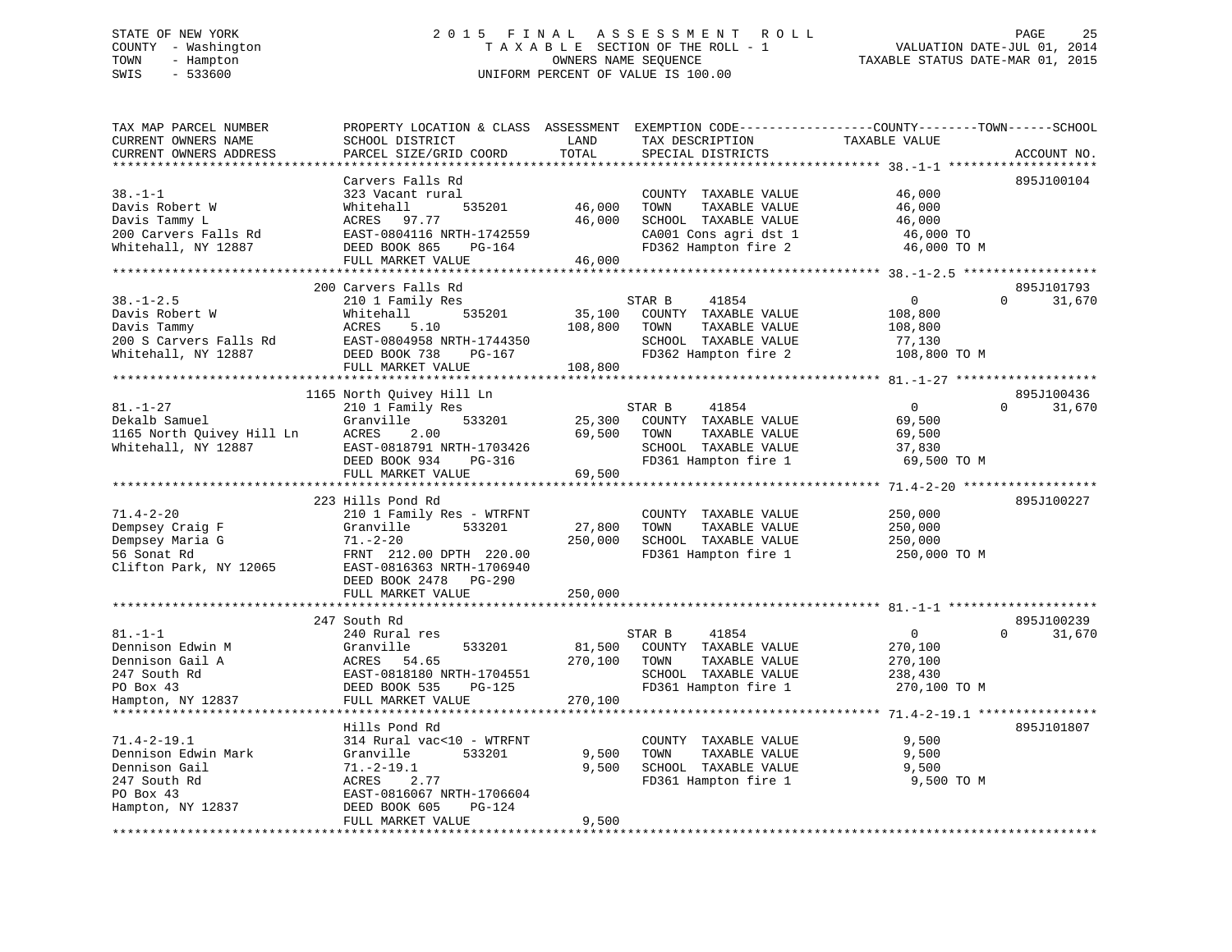# STATE OF NEW YORK 2 0 1 5 F I N A L A S S E S S M E N T R O L L PAGE 25 COUNTY - Washington T A X A B L E SECTION OF THE ROLL - 1 VALUATION DATE-JUL 01, 2014 TOWN - Hampton OWNERS NAME SEQUENCE TAXABLE STATUS DATE-MAR 01, 2015 SWIS - 533600 UNIFORM PERCENT OF VALUE IS 100.00

| TAX MAP PARCEL NUMBER<br>CURRENT OWNERS NAME<br>CURRENT OWNERS ADDRESS                                 | PROPERTY LOCATION & CLASS ASSESSMENT<br>SCHOOL DISTRICT<br>PARCEL SIZE/GRID COORD                                                                                        | LAND<br>TOTAL                | TAX DESCRIPTION<br>SPECIAL DISTRICTS                                                                                   | EXEMPTION CODE----------------COUNTY-------TOWN------SCHOOL<br>TAXABLE VALUE | ACCOUNT NO.                      |
|--------------------------------------------------------------------------------------------------------|--------------------------------------------------------------------------------------------------------------------------------------------------------------------------|------------------------------|------------------------------------------------------------------------------------------------------------------------|------------------------------------------------------------------------------|----------------------------------|
|                                                                                                        | * * * * * * * * * * * * * * * * *                                                                                                                                        | **********                   |                                                                                                                        |                                                                              |                                  |
| $38. - 1 - 1$<br>Davis Robert W<br>Davis Tammy L<br>200 Carvers Falls Rd<br>Whitehall, NY 12887        | Carvers Falls Rd<br>323 Vacant rural<br>Whitehall<br>535201<br>97.77<br>ACRES<br>EAST-0804116 NRTH-1742559<br>DEED BOOK 865<br>PG-164                                    | 46,000<br>46,000<br>46,000   | COUNTY TAXABLE VALUE<br>TOWN<br>TAXABLE VALUE<br>SCHOOL TAXABLE VALUE<br>CA001 Cons agri dst 1<br>FD362 Hampton fire 2 | 46,000<br>46,000<br>46,000<br>46,000 TO<br>46,000 TO M                       | 895J100104                       |
|                                                                                                        | FULL MARKET VALUE                                                                                                                                                        |                              |                                                                                                                        |                                                                              |                                  |
| $38. - 1 - 2.5$<br>Davis Robert W<br>Davis Tammy<br>200 S Carvers Falls Rd<br>Whitehall, NY 12887      | 200 Carvers Falls Rd<br>210 1 Family Res<br>Whitehall<br>535201<br>ACRES<br>5.10<br>EAST-0804958 NRTH-1744350<br>DEED BOOK 738<br>PG-167<br>FULL MARKET VALUE            | 35,100<br>108,800<br>108,800 | STAR B<br>41854<br>COUNTY TAXABLE VALUE<br>TAXABLE VALUE<br>TOWN<br>SCHOOL TAXABLE VALUE<br>FD362 Hampton fire 2       | $\overline{0}$<br>108,800<br>108,800<br>77,130<br>108,800 TO M               | 895J101793<br>31,670<br>$\Omega$ |
|                                                                                                        |                                                                                                                                                                          |                              |                                                                                                                        |                                                                              |                                  |
| $81. - 1 - 27$<br>Dekalb Samuel<br>1165 North Quivey Hill Ln<br>Whitehall, NY 12887                    | 1165 North Quivey Hill Ln<br>210 1 Family Res<br>533201<br>Granville<br>ACRES<br>2.00<br>EAST-0818791 NRTH-1703426<br>DEED BOOK 934<br>PG-316                            | 25,300<br>69,500             | STAR B<br>41854<br>COUNTY TAXABLE VALUE<br>TOWN<br>TAXABLE VALUE<br>SCHOOL TAXABLE VALUE<br>FD361 Hampton fire 1       | $\overline{0}$<br>69,500<br>69,500<br>37,830<br>69,500 TO M                  | 895J100436<br>31,670<br>$\Omega$ |
|                                                                                                        | FULL MARKET VALUE<br>**********************                                                                                                                              | 69,500                       |                                                                                                                        |                                                                              |                                  |
| $71.4 - 2 - 20$<br>Dempsey Craig F<br>Dempsey Maria G<br>56 Sonat Rd<br>Clifton Park, NY 12065         | 223 Hills Pond Rd<br>210 1 Family Res - WTRFNT<br>Granville<br>533201<br>$71. - 2 - 20$<br>FRNT 212.00 DPTH 220.00<br>EAST-0816363 NRTH-1706940<br>DEED BOOK 2478 PG-290 | 27,800<br>250,000            | COUNTY TAXABLE VALUE<br>TOWN<br>TAXABLE VALUE<br>SCHOOL TAXABLE VALUE<br>FD361 Hampton fire 1                          | 250,000<br>250,000<br>250,000<br>250,000 ТО М                                | 895J100227                       |
|                                                                                                        | FULL MARKET VALUE                                                                                                                                                        | 250,000                      |                                                                                                                        |                                                                              |                                  |
| $81. - 1 - 1$<br>Dennison Edwin M<br>Dennison Gail A<br>247 South Rd<br>PO Box 43<br>Hampton, NY 12837 | 247 South Rd<br>240 Rural res<br>533201<br>Granville<br>ACRES<br>54.65<br>EAST-0818180 NRTH-1704551<br>DEED BOOK 535<br>PG-125<br>FULL MARKET VALUE                      | 81,500<br>270,100<br>270,100 | STAR B<br>41854<br>COUNTY TAXABLE VALUE<br>TOWN<br>TAXABLE VALUE<br>SCHOOL TAXABLE VALUE<br>FD361 Hampton fire 1       | $\mathbf 0$<br>270,100<br>270,100<br>238,430<br>270,100 TO M                 | 895J100239<br>31,670<br>$\Omega$ |
|                                                                                                        |                                                                                                                                                                          |                              |                                                                                                                        |                                                                              |                                  |
| $71.4 - 2 - 19.1$<br>Dennison Edwin Mark<br>Dennison Gail<br>247 South Rd<br>PO Box 43                 | Hills Pond Rd<br>314 Rural vac<10 - WTRFNT<br>Granville<br>533201<br>$71.-2-19.1$<br>ACRES<br>2.77<br>EAST-0816067 NRTH-1706604                                          | 9,500<br>9,500               | COUNTY TAXABLE VALUE<br>TOWN<br>TAXABLE VALUE<br>SCHOOL TAXABLE VALUE<br>FD361 Hampton fire 1                          | 9,500<br>9,500<br>9,500<br>9,500 TO M                                        | 895J101807                       |
| Hampton, NY 12837                                                                                      | DEED BOOK 605<br>PG-124<br>FULL MARKET VALUE                                                                                                                             | 9,500                        |                                                                                                                        |                                                                              |                                  |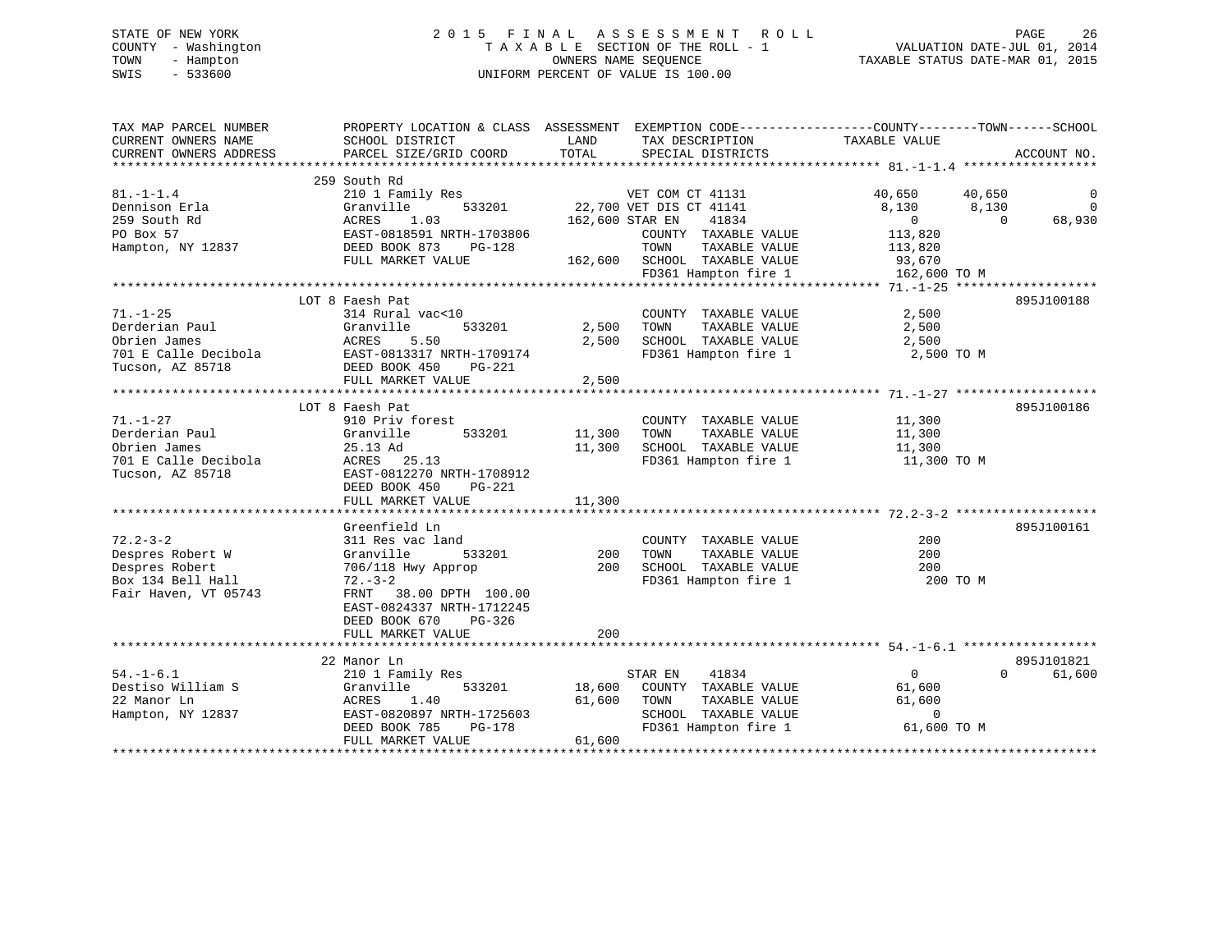# STATE OF NEW YORK 2 0 1 5 F I N A L A S S E S S M E N T R O L L PAGE 26 COUNTY - Washington T A X A B L E SECTION OF THE ROLL - 1 VALUATION DATE-JUL 01, 2014 TOWN - Hampton OWNERS NAME SEQUENCE TAXABLE STATUS DATE-MAR 01, 2015 SWIS - 533600 UNIFORM PERCENT OF VALUE IS 100.00

| TAX MAP PARCEL NUMBER<br>CURRENT OWNERS NAME                                                      | PROPERTY LOCATION & CLASS ASSESSMENT EXEMPTION CODE---------------COUNTY-------TOWN------SCHOOL<br>SCHOOL DISTRICT                                     | LAND                       | TAX DESCRIPTION                                                                                                   | TAXABLE VALUE                                                                |                     |
|---------------------------------------------------------------------------------------------------|--------------------------------------------------------------------------------------------------------------------------------------------------------|----------------------------|-------------------------------------------------------------------------------------------------------------------|------------------------------------------------------------------------------|---------------------|
| CURRENT OWNERS ADDRESS                                                                            | PARCEL SIZE/GRID COORD                                                                                                                                 | TOTAL                      | SPECIAL DISTRICTS                                                                                                 |                                                                              | ACCOUNT NO.         |
|                                                                                                   | 259 South Rd                                                                                                                                           |                            |                                                                                                                   |                                                                              |                     |
| $81. - 1 - 1.4$<br>Dennison Erla                                                                  | 210 1 Family Res<br>533201<br>Granville                                                                                                                |                            | VET COM CT 41131<br>22,700 VET DIS CT 41141                                                                       | 40,650<br>40,650<br>8,130<br>8,130                                           | 0<br>$\overline{0}$ |
| 259 South Rd<br>PO Box 57<br>Hampton, NY 12837                                                    | 1.03<br>ACRES<br>EAST-0818591 NRTH-1703806<br>DEED BOOK 873<br>PG-128                                                                                  | 162,600 STAR EN            | 41834<br>COUNTY TAXABLE VALUE<br>TOWN<br>TAXABLE VALUE                                                            | $\overline{0}$<br>$\Omega$<br>113,820<br>113,820                             | 68,930              |
|                                                                                                   | FULL MARKET VALUE                                                                                                                                      | 162,600                    | SCHOOL TAXABLE VALUE<br>FD361 Hampton fire 1                                                                      | 93,670<br>162,600 TO M                                                       |                     |
|                                                                                                   |                                                                                                                                                        |                            |                                                                                                                   |                                                                              |                     |
| $71. - 1 - 25$<br>Derderian Paul<br>Obrien James<br>701 E Calle Decibola<br>Tucson, AZ 85718      | LOT 8 Faesh Pat<br>314 Rural vac<10<br>Granville<br>533201<br>ACRES<br>5.50<br>EAST-0813317 NRTH-1709174<br>DEED BOOK 450<br>PG-221                    | 2,500<br>2,500             | COUNTY TAXABLE VALUE<br>TOWN<br>TAXABLE VALUE<br>SCHOOL TAXABLE VALUE<br>FD361 Hampton fire 1                     | 2,500<br>2,500<br>2,500<br>2,500 TO M                                        | 895J100188          |
|                                                                                                   | FULL MARKET VALUE                                                                                                                                      | 2,500                      |                                                                                                                   |                                                                              |                     |
|                                                                                                   | LOT 8 Faesh Pat                                                                                                                                        |                            |                                                                                                                   |                                                                              | 895J100186          |
| $71. - 1 - 27$<br>Derderian Paul<br>Obrien James<br>701 E Calle Decibola<br>Tucson, AZ 85718      | 910 Priv forest<br>Granville<br>533201<br>25.13 Ad<br>ACRES 25.13<br>EAST-0812270 NRTH-1708912<br>DEED BOOK 450<br><b>PG-221</b>                       | 11,300<br>11,300           | COUNTY TAXABLE VALUE<br>TOWN<br>TAXABLE VALUE<br>SCHOOL TAXABLE VALUE<br>FD361 Hampton fire 1                     | 11,300<br>11,300<br>11,300<br>11,300 TO M                                    |                     |
|                                                                                                   | FULL MARKET VALUE                                                                                                                                      | 11,300                     |                                                                                                                   |                                                                              |                     |
| $72.2 - 3 - 2$<br>Despres Robert W<br>Despres Robert<br>Box 134 Bell Hall<br>Fair Haven, VT 05743 | Greenfield Ln<br>311 Res vac land<br>Granville<br>533201<br>706/118 Hwy Approp<br>$72. - 3 - 2$<br>FRNT 38.00 DPTH 100.00<br>EAST-0824337 NRTH-1712245 | 200<br>200                 | COUNTY TAXABLE VALUE<br>TOWN<br>TAXABLE VALUE<br>SCHOOL TAXABLE VALUE<br>FD361 Hampton fire 1                     | 200<br>200<br>200<br>200 TO M                                                | 895J100161          |
|                                                                                                   | DEED BOOK 670<br>$PG-326$<br>FULL MARKET VALUE                                                                                                         | 200                        |                                                                                                                   |                                                                              |                     |
|                                                                                                   | 22 Manor Ln                                                                                                                                            |                            |                                                                                                                   |                                                                              | 895J101821          |
| $54. - 1 - 6.1$<br>Destiso William S<br>22 Manor Ln<br>Hampton, NY 12837                          | 210 1 Family Res<br>Granville<br>533201<br>1.40<br>ACRES<br>EAST-0820897 NRTH-1725603<br>DEED BOOK 785<br><b>PG-178</b><br>FULL MARKET VALUE           | 18,600<br>61,600<br>61,600 | 41834<br>STAR EN<br>COUNTY TAXABLE VALUE<br>TOWN<br>TAXABLE VALUE<br>SCHOOL TAXABLE VALUE<br>FD361 Hampton fire 1 | $\overline{0}$<br>$\Omega$<br>61,600<br>61,600<br>$\mathbf 0$<br>61,600 TO M | 61,600              |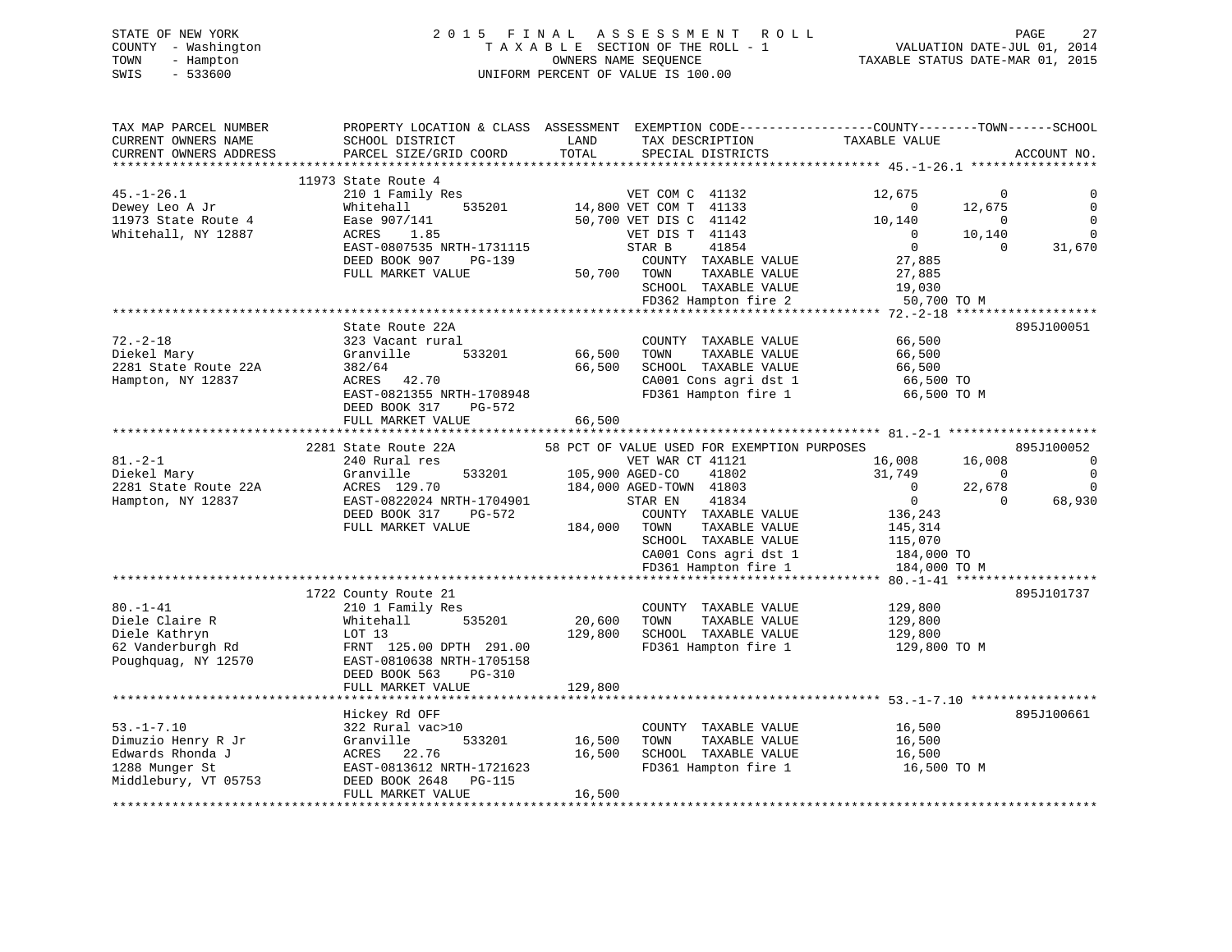| STATE OF NEW YORK   | 2015 FINAL ASSESSMENT ROLL         | 27<br>PAGE                       |
|---------------------|------------------------------------|----------------------------------|
| COUNTY - Washington | TAXABLE SECTION OF THE ROLL - 1    | VALUATION DATE-JUL 01, 2014      |
| TOWN<br>- Hampton   | OWNERS NAME SEOUENCE               | TAXABLE STATUS DATE-MAR 01, 2015 |
| $-533600$<br>SWIS   | UNIFORM PERCENT OF VALUE IS 100.00 |                                  |

| TOTAL<br>CURRENT OWNERS ADDRESS<br>PARCEL SIZE/GRID COORD<br>SPECIAL DISTRICTS                                                                              | ACCOUNT NO.                |
|-------------------------------------------------------------------------------------------------------------------------------------------------------------|----------------------------|
|                                                                                                                                                             |                            |
| 11973 State Route 4                                                                                                                                         |                            |
| $45. - 1 - 26.1$<br>210 1 Family Res<br>VET COM C 41132<br>12,675<br>$\Omega$                                                                               |                            |
| 14,800 VET COM T 41133<br>Whitehall<br>535201<br>$\overline{0}$<br>12,675<br>Dewey Leo A Jr                                                                 | $\mathbf 0$<br>$\mathbf 0$ |
| 11973 State Route 4<br>Ease 907/141<br>50,700 VET DIS C 41142<br>10,140<br>$\overline{0}$<br>$\Omega$                                                       | $\Omega$                   |
| Whitehall, NY 12887<br>VET DIS T 41143<br>10,140<br>ACRES<br>1.85<br>$\Omega$                                                                               |                            |
| EAST-0807535 NRTH-1731115<br>STAR B<br>41854<br>$\overline{0}$                                                                                              | 31,670                     |
| DEED BOOK 907<br>PG-139<br>COUNTY TAXABLE VALUE<br>27,885                                                                                                   |                            |
| FULL MARKET VALUE<br>50,700 TOWN<br>TAXABLE VALUE<br>27,885                                                                                                 |                            |
| SCHOOL TAXABLE VALUE<br>19,030                                                                                                                              |                            |
| FD362 Hampton fire 2<br>50,700 TO M                                                                                                                         |                            |
|                                                                                                                                                             |                            |
| State Route 22A                                                                                                                                             | 895J100051                 |
| $72. - 2 - 18$<br>323 Vacant rural<br>66,500<br>COUNTY TAXABLE VALUE                                                                                        |                            |
| Granville<br>533201<br>66,500<br>TAXABLE VALUE<br>Diekel Mary<br>TOWN<br>66,500                                                                             |                            |
| 2281 State Route 22A<br>382/64<br>66,500<br>SCHOOL TAXABLE VALUE<br>66,500                                                                                  |                            |
| Hampton, NY 12837<br>ACRES 42.70<br>CA001 Cons agri dst 1<br>66,500 TO                                                                                      |                            |
| EAST-0821355 NRTH-1708948<br>FD361 Hampton fire 1<br>66,500 TO M                                                                                            |                            |
| DEED BOOK 317<br>PG-572                                                                                                                                     |                            |
| 66,500<br>FULL MARKET VALUE                                                                                                                                 |                            |
| 2281 State Route 22A                                                                                                                                        | 895J100052                 |
| 58 PCT OF VALUE USED FOR EXEMPTION PURPOSES<br>$81 - 2 - 1$<br>240 Rural res<br>VET WAR CT 41121<br>16,008<br>16,008                                        | $\overline{0}$             |
| Granville<br>533201<br>31,749<br>41802<br>$\overline{0}$                                                                                                    | $\mathbf 0$                |
| Diekel Mary<br>105,900 AGED-CO<br>184,000 AGED-TOWN 41803<br>2281 State Route 22A<br>ACRES 129.70<br>$\Omega$<br>22,678                                     | $\overline{0}$             |
| $\overline{0}$<br>EAST-0822024 NRTH-1704901<br>41834<br>$\Omega$                                                                                            | 68,930                     |
| Hampton, NY 12837<br>STAR EN<br>136,243                                                                                                                     |                            |
| DEED BOOK 317<br>PG-572<br>COUNTY TAXABLE VALUE                                                                                                             |                            |
| FULL MARKET VALUE<br>184,000<br>TOWN<br>TAXABLE VALUE<br>145,314                                                                                            |                            |
| SCHOOL TAXABLE VALUE<br>115,070<br>CA001 Cons agri dst 1                                                                                                    |                            |
| 184,000 TO                                                                                                                                                  |                            |
| FD361 Hampton fire 1<br>184,000 TO M                                                                                                                        |                            |
| 1722 County Route 21                                                                                                                                        | 895J101737                 |
| $80. - 1 - 41$<br>COUNTY TAXABLE VALUE<br>129,800                                                                                                           |                            |
| 210 1 Family Res<br>Diele Claire R<br>535201<br>20,600<br>TAXABLE VALUE<br>Whitehall<br>TOWN<br>129,800                                                     |                            |
| Diele Kathryn<br>129,800<br>SCHOOL TAXABLE VALUE<br>LOT 13                                                                                                  |                            |
| 129,800<br>62 Vanderburgh Rd                                                                                                                                |                            |
| FRNT 125.00 DPTH 291.00<br>FD361 Hampton fire 1<br>129,800 TO M<br>Poughquag, NY 12570<br>EAST-0810638 NRTH-1705158                                         |                            |
| DEED BOOK 563<br>PG-310                                                                                                                                     |                            |
| FULL MARKET VALUE                                                                                                                                           |                            |
| 129,800                                                                                                                                                     |                            |
|                                                                                                                                                             | 895J100661                 |
| Hickey Rd OFF<br>$53. -1 - 7.10$<br>322 Rural vac>10<br>COUNTY TAXABLE VALUE<br>16,500                                                                      |                            |
|                                                                                                                                                             |                            |
| Dimuzio Henry R Jr<br>TAXABLE VALUE<br>Granville<br>533201<br>16,500<br>TOWN<br>16,500<br>22.76                                                             |                            |
| Edwards Rhonda J<br>ACRES<br>16,500<br>SCHOOL TAXABLE VALUE<br>16,500<br>1288 Munger St<br>EAST-0813612 NRTH-1721623<br>FD361 Hampton fire 1<br>16,500 TO M |                            |
|                                                                                                                                                             |                            |
|                                                                                                                                                             |                            |
| Middlebury, VT 05753<br>DEED BOOK 2648<br>PG-115<br>FULL MARKET VALUE<br>16,500                                                                             |                            |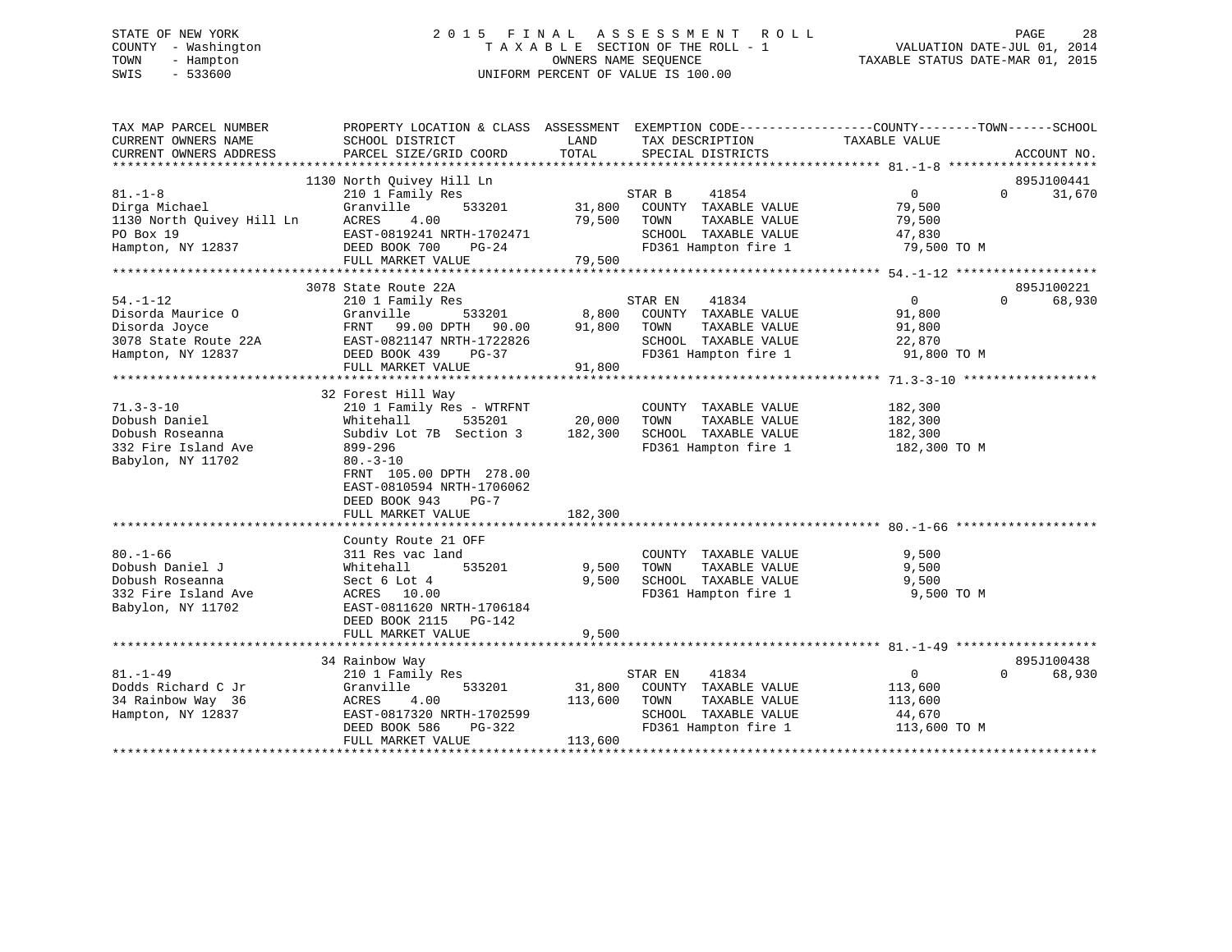# STATE OF NEW YORK 2 0 1 5 F I N A L A S S E S S M E N T R O L L PAGE 28 COUNTY - Washington T A X A B L E SECTION OF THE ROLL - 1 VALUATION DATE-JUL 01, 2014 TOWN - Hampton OWNERS NAME SEQUENCE TAXABLE STATUS DATE-MAR 01, 2015 SWIS - 533600 UNIFORM PERCENT OF VALUE IS 100.00

| TAX MAP PARCEL NUMBER<br>CURRENT OWNERS NAME<br>CURRENT OWNERS ADDRESS                            | PROPERTY LOCATION & CLASS ASSESSMENT<br>SCHOOL DISTRICT<br>PARCEL SIZE/GRID COORD                                                                                                                                | LAND<br>TOTAL                | TAX DESCRIPTION<br>SPECIAL DISTRICTS                                                                              | EXEMPTION CODE-----------------COUNTY-------TOWN------SCHOOL<br>TAXABLE VALUE    | ACCOUNT NO.                      |
|---------------------------------------------------------------------------------------------------|------------------------------------------------------------------------------------------------------------------------------------------------------------------------------------------------------------------|------------------------------|-------------------------------------------------------------------------------------------------------------------|----------------------------------------------------------------------------------|----------------------------------|
| $81. - 1 - 8$<br>Dirga Michael<br>1130 North Quivey Hill Ln<br>PO Box 19<br>Hampton, NY 12837     | 1130 North Quivey Hill Ln<br>210 1 Family Res<br>533201<br>Granville<br>ACRES<br>4.00<br>EAST-0819241 NRTH-1702471<br>DEED BOOK 700<br>PG-24<br>FULL MARKET VALUE                                                | 31,800<br>79,500<br>79,500   | STAR B<br>41854<br>COUNTY TAXABLE VALUE<br>TOWN<br>TAXABLE VALUE<br>SCHOOL TAXABLE VALUE                          | $\overline{0}$<br>79,500<br>79,500<br>47,830<br>FD361 Hampton fire 1 79,500 TO M | 895J100441<br>$\Omega$<br>31,670 |
|                                                                                                   | 3078 State Route 22A                                                                                                                                                                                             |                              |                                                                                                                   |                                                                                  | 895J100221                       |
| $54. - 1 - 12$<br>Disorda Maurice O<br>Disorda Joyce<br>3078 State Route 22A<br>Hampton, NY 12837 | 210 1 Family Res<br>Granville<br>533201<br>FRNT<br>99.00 DPTH<br>90.00<br>EAST-0821147 NRTH-1722826<br>DEED BOOK 439<br>PG-37<br>FULL MARKET VALUE                                                               | 8,800<br>91,800<br>91,800    | STAR EN<br>41834<br>COUNTY TAXABLE VALUE<br>TOWN<br>TAXABLE VALUE<br>SCHOOL TAXABLE VALUE<br>FD361 Hampton fire 1 | $\mathbf{0}$<br>91,800<br>91,800<br>22,870<br>91,800 TO M                        | $\Omega$<br>68,930               |
|                                                                                                   |                                                                                                                                                                                                                  |                              |                                                                                                                   |                                                                                  |                                  |
| $71.3 - 3 - 10$<br>Dobush Daniel<br>Dobush Roseanna<br>332 Fire Island Ave<br>Babylon, NY 11702   | 32 Forest Hill Way<br>210 1 Family Res - WTRFNT<br>Whitehall<br>535201<br>Subdiv Lot 7B Section 3<br>899-296<br>$80. -3 - 10$<br>FRNT 105.00 DPTH 278.00<br>EAST-0810594 NRTH-1706062<br>DEED BOOK 943<br>$PG-7$ | 20,000<br>182,300            | COUNTY TAXABLE VALUE<br>TOWN<br>TAXABLE VALUE<br>SCHOOL TAXABLE VALUE<br>FD361 Hampton fire 1                     | 182,300<br>182,300<br>182,300<br>182,300 TO M                                    |                                  |
|                                                                                                   | FULL MARKET VALUE                                                                                                                                                                                                | 182,300                      |                                                                                                                   |                                                                                  |                                  |
| $80. - 1 - 66$<br>Dobush Daniel J<br>Dobush Roseanna<br>332 Fire Island Ave<br>Babylon, NY 11702  | County Route 21 OFF<br>311 Res vac land<br>535201<br>Whitehall<br>Sect 6 Lot 4<br>ACRES 10.00<br>EAST-0811620 NRTH-1706184<br>DEED BOOK 2115 PG-142<br>FULL MARKET VALUE                                         | 9,500<br>9,500<br>9,500      | COUNTY TAXABLE VALUE<br>TOWN<br>TAXABLE VALUE<br>SCHOOL TAXABLE VALUE<br>FD361 Hampton fire 1                     | 9,500<br>9,500<br>9,500<br>9,500 TO M                                            |                                  |
|                                                                                                   | 34 Rainbow Way                                                                                                                                                                                                   |                              |                                                                                                                   |                                                                                  | 895J100438                       |
| $81. - 1 - 49$<br>Dodds Richard C Jr<br>34 Rainbow Way 36<br>Hampton, NY 12837                    | 210 1 Family Res<br>533201<br>Granville<br>4.00<br>ACRES<br>EAST-0817320 NRTH-1702599<br>DEED BOOK 586<br>PG-322<br>FULL MARKET VALUE                                                                            | 31,800<br>113,600<br>113,600 | 41834<br>STAR EN<br>COUNTY TAXABLE VALUE<br>TAXABLE VALUE<br>TOWN<br>SCHOOL TAXABLE VALUE<br>FD361 Hampton fire 1 | $\overline{0}$<br>113,600<br>113,600<br>44,670<br>113,600 TO M                   | $\Omega$<br>68,930               |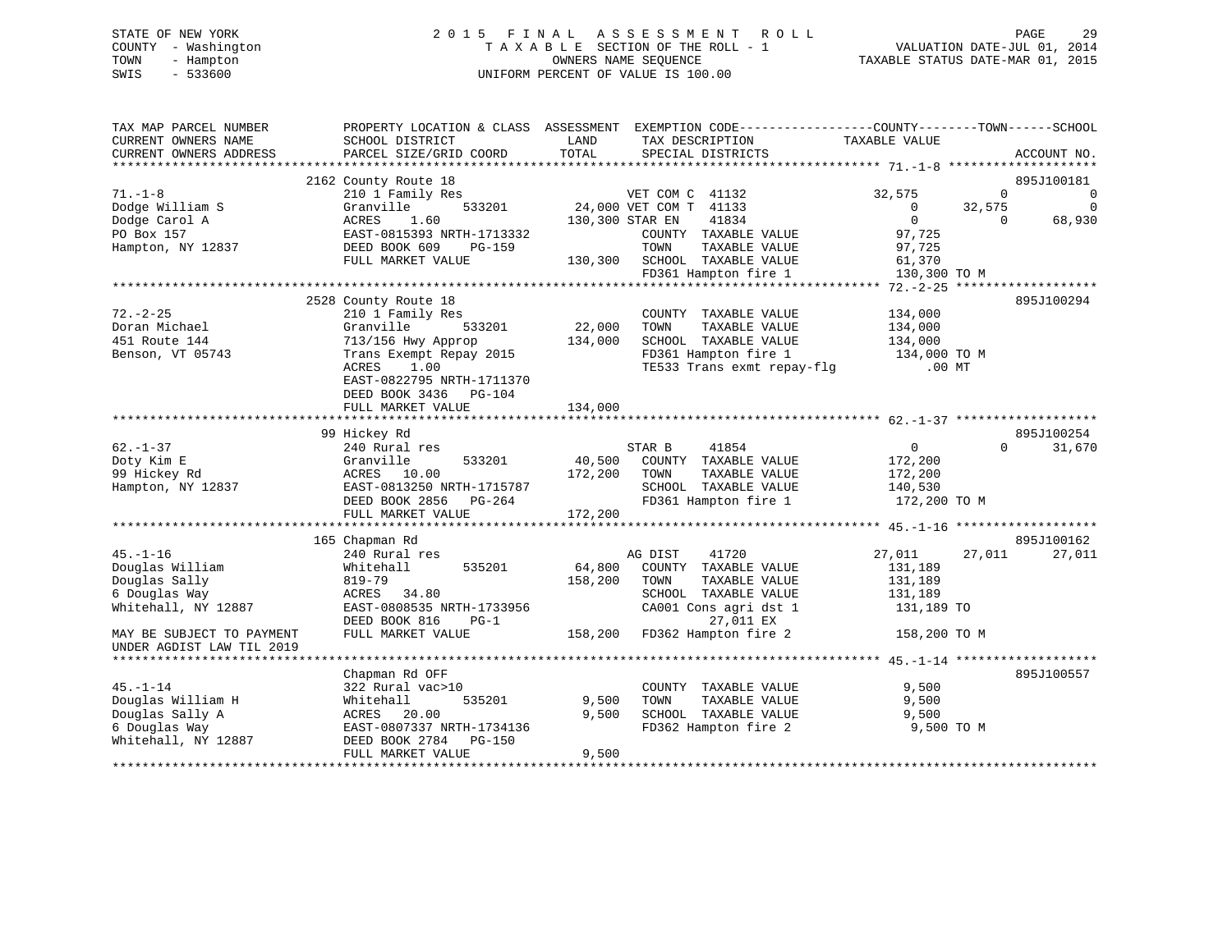# STATE OF NEW YORK 2 0 1 5 F I N A L A S S E S S M E N T R O L L PAGE 29 COUNTY - Washington T A X A B L E SECTION OF THE ROLL - 1 VALUATION DATE-JUL 01, 2014 TOWN - Hampton OWNERS NAME SEQUENCE TAXABLE STATUS DATE-MAR 01, 2015 SWIS - 533600 UNIFORM PERCENT OF VALUE IS 100.00

| TAX MAP PARCEL NUMBER<br>CURRENT OWNERS NAME | PROPERTY LOCATION & CLASS ASSESSMENT EXEMPTION CODE---------------COUNTY-------TOWN-----SCHOOL<br>SCHOOL DISTRICT | LAND    | TAX DESCRIPTION                               | TAXABLE VALUE  |                            |
|----------------------------------------------|-------------------------------------------------------------------------------------------------------------------|---------|-----------------------------------------------|----------------|----------------------------|
| CURRENT OWNERS ADDRESS                       | PARCEL SIZE/GRID COORD                                                                                            | TOTAL   | SPECIAL DISTRICTS                             |                | ACCOUNT NO.                |
|                                              | 2162 County Route 18                                                                                              |         |                                               |                | 895J100181                 |
| $71. - 1 - 8$                                | 210 1 Family Res                                                                                                  |         | VET COM C 41132                               | 32,575         | $\overline{0}$<br>$\Omega$ |
| Dodge William S                              | 533201<br>Granville                                                                                               |         | 24,000 VET COM T 41133                        | $\mathbf{0}$   | 32,575<br>$\Omega$         |
| Dodge Carol A                                | ACRES<br>1.60                                                                                                     |         | 41834<br>130,300 STAR EN                      | $\overline{0}$ | 68,930<br>$\Omega$         |
| PO Box 157                                   | EAST-0815393 NRTH-1713332                                                                                         |         | COUNTY TAXABLE VALUE                          | 97,725         |                            |
| Hampton, NY 12837                            | DEED BOOK 609<br><b>PG-159</b>                                                                                    |         | TOWN<br>TAXABLE VALUE                         | 97,725         |                            |
|                                              | FULL MARKET VALUE                                                                                                 | 130,300 | SCHOOL TAXABLE VALUE                          | 61,370         |                            |
|                                              |                                                                                                                   |         | FD361 Hampton fire 1                          | 130,300 TO M   |                            |
|                                              |                                                                                                                   |         |                                               |                |                            |
|                                              | 2528 County Route 18                                                                                              |         |                                               |                | 895J100294                 |
| $72. - 2 - 25$                               | 210 1 Family Res                                                                                                  |         | COUNTY TAXABLE VALUE                          | 134,000        |                            |
| Doran Michael                                | 533201<br>Granville                                                                                               | 22,000  | TOWN<br>TAXABLE VALUE                         | 134,000        |                            |
| 451 Route 144                                | 713/156 Hwy Approp                                                                                                | 134,000 | SCHOOL TAXABLE VALUE                          | 134,000        |                            |
| Benson, VT 05743                             | Trans Exempt Repay 2015                                                                                           |         | FD361 Hampton fire 1                          | 134,000 TO M   |                            |
|                                              | <b>ACRES</b><br>1.00                                                                                              |         | TE533 Trans exmt repay-flg                    | $.00$ MT       |                            |
|                                              | EAST-0822795 NRTH-1711370                                                                                         |         |                                               |                |                            |
|                                              | DEED BOOK 3436<br>PG-104                                                                                          |         |                                               |                |                            |
|                                              | FULL MARKET VALUE                                                                                                 | 134,000 |                                               |                |                            |
|                                              | 99 Hickey Rd                                                                                                      |         |                                               |                | 895J100254                 |
| $62. - 1 - 37$                               | 240 Rural res                                                                                                     |         | STAR B<br>41854                               | $\overline{0}$ | $\Omega$<br>31,670         |
| Doty Kim E                                   | Granville<br>533201                                                                                               | 40,500  | COUNTY TAXABLE VALUE                          | 172,200        |                            |
| 99 Hickey Rd                                 | ACRES 10.00                                                                                                       | 172,200 | TOWN<br>TAXABLE VALUE                         | 172,200        |                            |
| Hampton, NY 12837                            | EAST-0813250 NRTH-1715787                                                                                         |         | SCHOOL TAXABLE VALUE                          | 140,530        |                            |
|                                              | DEED BOOK 2856<br>PG-264                                                                                          |         | FD361 Hampton fire 1                          | 172,200 TO M   |                            |
|                                              | FULL MARKET VALUE                                                                                                 | 172,200 |                                               |                |                            |
|                                              |                                                                                                                   |         |                                               |                |                            |
|                                              | 165 Chapman Rd                                                                                                    |         |                                               |                | 895J100162                 |
| $45. - 1 - 16$                               | 240 Rural res                                                                                                     |         | 41720<br>AG DIST                              | 27,011         | 27,011<br>27,011           |
| Douglas William                              | 535201<br>Whitehall                                                                                               | 64,800  | COUNTY TAXABLE VALUE                          | 131,189        |                            |
| Douglas Sally                                | 819-79                                                                                                            | 158,200 | TOWN<br>TAXABLE VALUE                         | 131,189        |                            |
| 6 Douglas Way                                | ACRES 34.80                                                                                                       |         | SCHOOL TAXABLE VALUE                          | 131,189        |                            |
| Whitehall, NY 12887                          | EAST-0808535 NRTH-1733956                                                                                         |         | CA001 Cons agri dst 1                         | 131,189 TO     |                            |
|                                              | DEED BOOK 816<br>$PG-1$                                                                                           |         | 27,011 EX                                     |                |                            |
| MAY BE SUBJECT TO PAYMENT                    | FULL MARKET VALUE                                                                                                 | 158,200 | FD362 Hampton fire 2                          | 158,200 TO M   |                            |
| UNDER AGDIST LAW TIL 2019                    |                                                                                                                   |         |                                               |                |                            |
|                                              |                                                                                                                   |         |                                               |                |                            |
|                                              | Chapman Rd OFF                                                                                                    |         |                                               |                | 895J100557                 |
| $45. - 1 - 14$<br>Douglas William H          | 322 Rural vac>10<br>Whitehall<br>535201                                                                           | 9,500   | COUNTY TAXABLE VALUE<br>TAXABLE VALUE<br>TOWN | 9,500<br>9,500 |                            |
| Douglas Sally A                              | 20.00<br>ACRES                                                                                                    | 9,500   | SCHOOL TAXABLE VALUE                          | 9,500          |                            |
| 6 Douglas Way                                | EAST-0807337 NRTH-1734136                                                                                         |         | FD362 Hampton fire 2                          | 9,500 TO M     |                            |
| Whitehall, NY 12887                          | DEED BOOK 2784<br>$PG-150$                                                                                        |         |                                               |                |                            |
|                                              | FULL MARKET VALUE                                                                                                 | 9,500   |                                               |                |                            |
|                                              |                                                                                                                   |         |                                               |                |                            |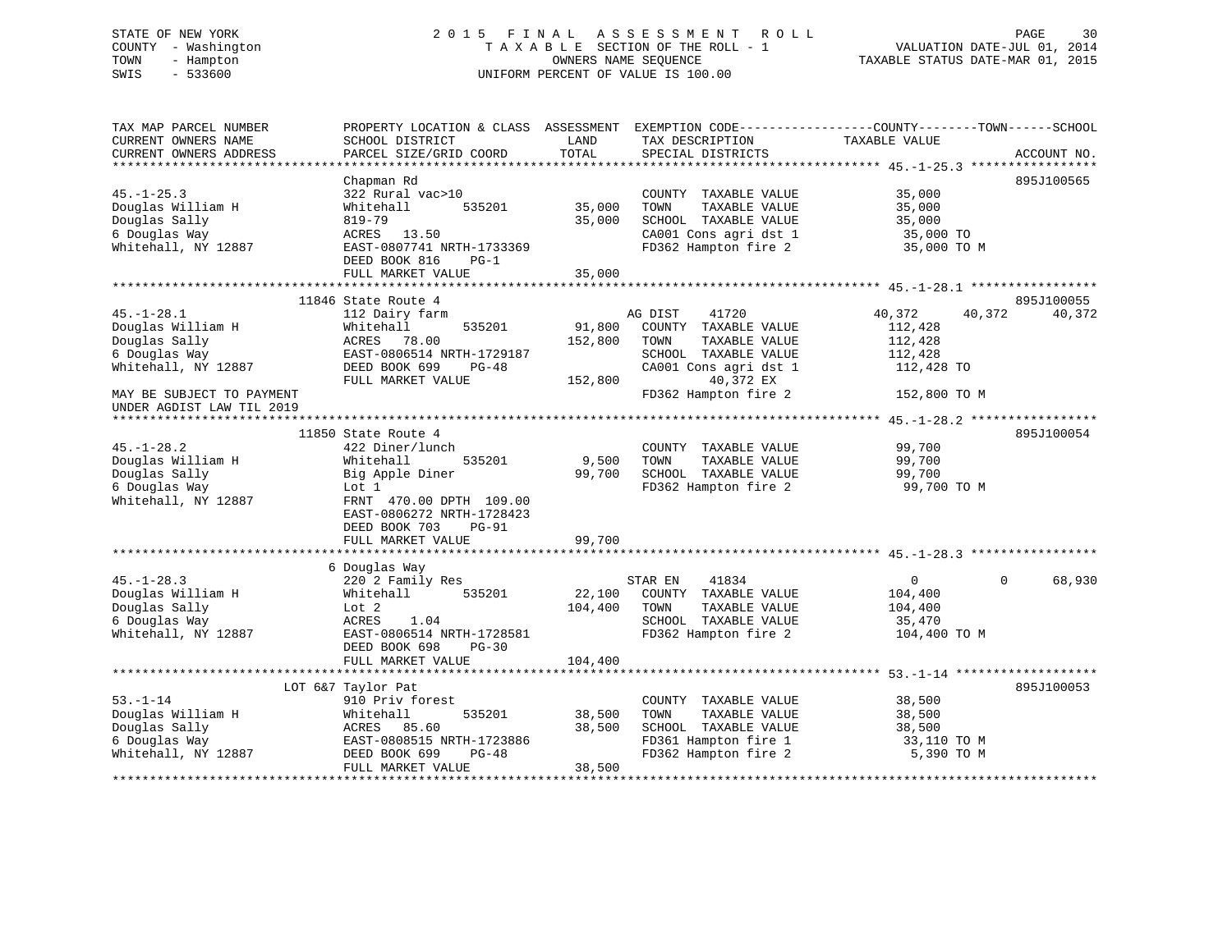# STATE OF NEW YORK 2 0 1 5 F I N A L A S S E S S M E N T R O L L PAGE 30 COUNTY - Washington T A X A B L E SECTION OF THE ROLL - 1 VALUATION DATE-JUL 01, 2014 TOWN - Hampton OWNERS NAME SEQUENCE TAXABLE STATUS DATE-MAR 01, 2015 SWIS - 533600 UNIFORM PERCENT OF VALUE IS 100.00

| TAX MAP PARCEL NUMBER     | PROPERTY LOCATION & CLASS |         |                       | ASSESSMENT EXEMPTION CODE-----------------COUNTY-------TOWN------SCHOOL |
|---------------------------|---------------------------|---------|-----------------------|-------------------------------------------------------------------------|
| CURRENT OWNERS NAME       | SCHOOL DISTRICT           | LAND    | TAX DESCRIPTION       | TAXABLE VALUE                                                           |
| CURRENT OWNERS ADDRESS    | PARCEL SIZE/GRID COORD    | TOTAL   | SPECIAL DISTRICTS     | ACCOUNT NO.                                                             |
|                           |                           |         |                       |                                                                         |
|                           | Chapman Rd                |         |                       | 895J100565                                                              |
| $45. - 1 - 25.3$          | 322 Rural vac>10          |         | COUNTY TAXABLE VALUE  | 35,000                                                                  |
| Douglas William H         | 535201<br>Whitehall       | 35,000  | TAXABLE VALUE<br>TOWN | 35,000                                                                  |
| Douglas Sally             | 819-79                    | 35,000  | SCHOOL TAXABLE VALUE  | 35,000                                                                  |
| 6 Douglas Way             | ACRES 13.50               |         | CA001 Cons agri dst 1 | 35,000 TO                                                               |
| Whitehall, NY 12887       | EAST-0807741 NRTH-1733369 |         | FD362 Hampton fire 2  | 35,000 TO M                                                             |
|                           | DEED BOOK 816<br>$PG-1$   |         |                       |                                                                         |
|                           | FULL MARKET VALUE         | 35,000  |                       |                                                                         |
|                           |                           |         |                       |                                                                         |
|                           | 11846 State Route 4       |         |                       | 895J100055                                                              |
| $45. - 1 - 28.1$          | 112 Dairy farm            |         | 41720<br>AG DIST      | 40,372<br>40,372<br>40,372                                              |
| Douglas William H         | 535201<br>Whitehall       | 91,800  | COUNTY TAXABLE VALUE  | 112,428                                                                 |
| Douglas Sally             | 78.00<br>ACRES            | 152,800 | TAXABLE VALUE<br>TOWN | 112,428                                                                 |
| 6 Douglas Way             | EAST-0806514 NRTH-1729187 |         | SCHOOL TAXABLE VALUE  | 112,428                                                                 |
| Whitehall, NY 12887       | DEED BOOK 699<br>PG-48    |         | CA001 Cons agri dst 1 | 112,428 TO                                                              |
|                           | FULL MARKET VALUE         | 152,800 | 40,372 EX             |                                                                         |
| MAY BE SUBJECT TO PAYMENT |                           |         | FD362 Hampton fire 2  | 152,800 TO M                                                            |
|                           |                           |         |                       |                                                                         |
| UNDER AGDIST LAW TIL 2019 |                           |         |                       |                                                                         |
|                           | 11850 State Route 4       |         |                       | 895J100054                                                              |
| $45. - 1 - 28.2$          | 422 Diner/lunch           |         |                       | 99,700                                                                  |
|                           |                           |         | COUNTY TAXABLE VALUE  |                                                                         |
| Douglas William H         | 535201<br>Whitehall       | 9,500   | TOWN<br>TAXABLE VALUE | 99,700                                                                  |
| Douglas Sally             | Big Apple Diner           | 99,700  | SCHOOL TAXABLE VALUE  | 99,700                                                                  |
| 6 Douglas Way             | Lot 1                     |         | FD362 Hampton fire 2  | 99,700 TO M                                                             |
| Whitehall, NY 12887       | FRNT 470.00 DPTH 109.00   |         |                       |                                                                         |
|                           | EAST-0806272 NRTH-1728423 |         |                       |                                                                         |
|                           | DEED BOOK 703<br>$PG-91$  |         |                       |                                                                         |
|                           | FULL MARKET VALUE         | 99,700  |                       |                                                                         |
|                           |                           |         |                       |                                                                         |
|                           | 6 Douglas Way             |         |                       |                                                                         |
| $45. - 1 - 28.3$          | 220 2 Family Res          |         | 41834<br>STAR EN      | $\mathbf 0$<br>$\Omega$<br>68,930                                       |
| Douglas William H         | 535201<br>Whitehall       | 22,100  | COUNTY TAXABLE VALUE  | 104,400                                                                 |
| Douglas Sally             | Lot 2                     | 104,400 | TOWN<br>TAXABLE VALUE | 104,400                                                                 |
| 6 Douglas Way             | ACRES<br>1.04             |         | SCHOOL TAXABLE VALUE  | 35,470                                                                  |
| Whitehall, NY 12887       | EAST-0806514 NRTH-1728581 |         | FD362 Hampton fire 2  | 104,400 TO M                                                            |
|                           | DEED BOOK 698<br>$PG-30$  |         |                       |                                                                         |
|                           | FULL MARKET VALUE         | 104,400 |                       |                                                                         |
|                           |                           |         |                       |                                                                         |
|                           | LOT 6&7 Taylor Pat        |         |                       | 895J100053                                                              |
| $53. - 1 - 14$            | 910 Priv forest           |         | COUNTY TAXABLE VALUE  | 38,500                                                                  |
| Douglas William H         | Whitehall<br>535201       | 38,500  | TAXABLE VALUE<br>TOWN | 38,500                                                                  |
| Douglas Sally             | ACRES 85.60               | 38,500  | SCHOOL TAXABLE VALUE  | 38,500                                                                  |
| 6 Douglas Way             | EAST-0808515 NRTH-1723886 |         | FD361 Hampton fire 1  | 33,110 TO M                                                             |
| Whitehall, NY 12887       | DEED BOOK 699<br>$PG-48$  |         | FD362 Hampton fire 2  | 5,390 TO M                                                              |
|                           | FULL MARKET VALUE         | 38,500  |                       |                                                                         |
|                           |                           |         |                       |                                                                         |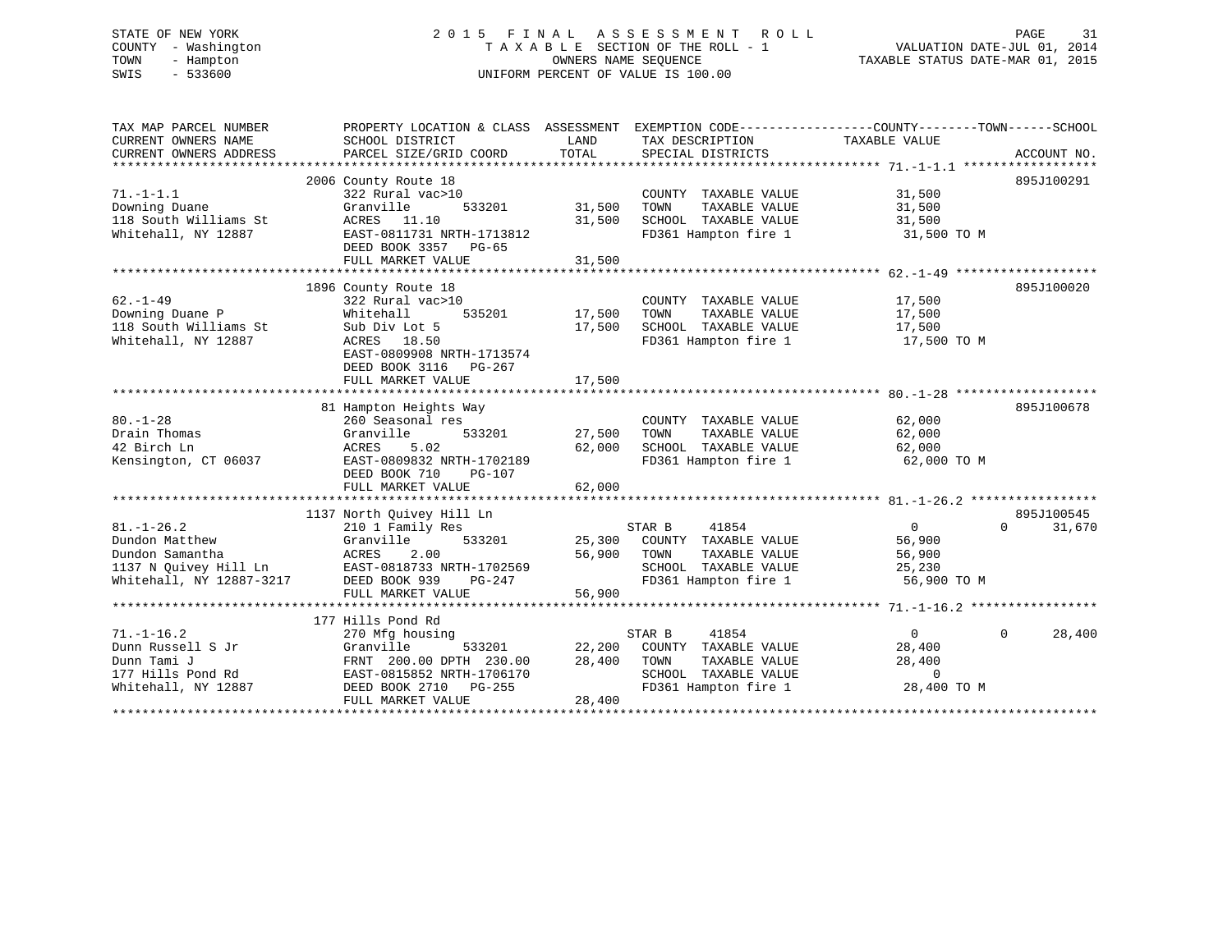#### STATE OF NEW YORK 2 0 1 5 F I N A L A S S E S S M E N T R O L L PAGE 31COUNTY - Washington  $T A X A B L E$  SECTION OF THE ROLL - 1<br>TOWN - Hampton DATE-JUL 000NERS NAME SEQUENCE TOWN - Hampton OWNERS NAME SEQUENCE TAXABLE STATUS DATE-MAR 01, 2015 SWIS - 533600 UNIFORM PERCENT OF VALUE IS 100.00

| TAX MAP PARCEL NUMBER<br>CURRENT OWNERS NAME                              | PROPERTY LOCATION & CLASS ASSESSMENT EXEMPTION CODE---------------COUNTY-------TOWN-----SCHOOL<br>SCHOOL DISTRICT | LAND   | TAX DESCRIPTION                       | TAXABLE VALUE    |                                  |
|---------------------------------------------------------------------------|-------------------------------------------------------------------------------------------------------------------|--------|---------------------------------------|------------------|----------------------------------|
| CURRENT OWNERS ADDRESS                                                    | PARCEL SIZE/GRID COORD                                                                                            | TOTAL  | SPECIAL DISTRICTS                     |                  | ACCOUNT NO.                      |
|                                                                           |                                                                                                                   |        |                                       |                  |                                  |
|                                                                           | 2006 County Route 18                                                                                              |        |                                       |                  | 895J100291                       |
| $71. - 1 - 1.1$                                                           | 322 Rural vac>10                                                                                                  |        | COUNTY TAXABLE VALUE                  | 31,500           |                                  |
| Downing Duane                                                             | Granville<br>533201                                                                                               | 31,500 | TOWN<br>TAXABLE VALUE                 | 31,500           |                                  |
| 118 South Williams St                                                     | ACRES 11.10                                                                                                       | 31,500 | SCHOOL TAXABLE VALUE                  | 31,500           |                                  |
| Whitehall, NY 12887                                                       | EAST-0811731 NRTH-1713812                                                                                         |        | FD361 Hampton fire 1                  | 31,500 TO M      |                                  |
|                                                                           | DEED BOOK 3357 PG-65                                                                                              |        |                                       |                  |                                  |
|                                                                           | FULL MARKET VALUE                                                                                                 | 31,500 |                                       |                  |                                  |
|                                                                           |                                                                                                                   |        |                                       |                  |                                  |
| $62. - 1 - 49$                                                            | 1896 County Route 18                                                                                              |        |                                       |                  | 895J100020                       |
| Downing Duane P                                                           | 322 Rural vac>10<br>535201<br>Whitehall                                                                           | 17,500 | COUNTY TAXABLE VALUE<br>TAXABLE VALUE | 17,500<br>17,500 |                                  |
| 118 South Williams St                                                     | Sub Div Lot 5                                                                                                     | 17,500 | TOWN<br>SCHOOL TAXABLE VALUE          | 17,500           |                                  |
| Whitehall, NY 12887                                                       | ACRES 18.50                                                                                                       |        | FD361 Hampton fire 1                  | 17,500 TO M      |                                  |
|                                                                           | EAST-0809908 NRTH-1713574                                                                                         |        |                                       |                  |                                  |
|                                                                           | DEED BOOK 3116 PG-267                                                                                             |        |                                       |                  |                                  |
|                                                                           | FULL MARKET VALUE                                                                                                 | 17,500 |                                       |                  |                                  |
|                                                                           |                                                                                                                   |        |                                       |                  |                                  |
|                                                                           | 81 Hampton Heights Way                                                                                            |        |                                       |                  | 895J100678                       |
| $80. - 1 - 28$                                                            | 260 Seasonal res                                                                                                  |        | COUNTY TAXABLE VALUE                  | 62,000           |                                  |
| Drain Thomas                                                              | Granville<br>533201                                                                                               | 27,500 | TOWN<br>TAXABLE VALUE                 | 62,000           |                                  |
| 42 Birch Ln                                                               | 5.02<br>ACRES                                                                                                     | 62,000 | SCHOOL TAXABLE VALUE                  | 62,000           |                                  |
| Kensington, CT 06037                                                      | EAST-0809832 NRTH-1702189                                                                                         |        | FD361 Hampton fire 1                  | 62,000 TO M      |                                  |
|                                                                           | DEED BOOK 710<br>PG-107                                                                                           |        |                                       |                  |                                  |
|                                                                           | FULL MARKET VALUE                                                                                                 | 62,000 |                                       |                  |                                  |
|                                                                           |                                                                                                                   |        |                                       |                  |                                  |
| $81. - 1 - 26.2$                                                          | 1137 North Quivey Hill Ln<br>210 1 Family Res                                                                     |        | STAR B<br>41854                       | $\overline{0}$   | 895J100545<br>$\Omega$<br>31,670 |
| Dundon Matthew                                                            | 533201<br>Granville                                                                                               |        | 25,300 COUNTY TAXABLE VALUE           | 56,900           |                                  |
| Dundon Samantha                                                           | 2.00<br>ACRES                                                                                                     | 56,900 | TAXABLE VALUE<br>TOWN                 | 56,900           |                                  |
|                                                                           | EAST-0818733 NRTH-1702569                                                                                         |        | SCHOOL TAXABLE VALUE                  | 25,230           |                                  |
| 1137 N Quivey Hill Ln EAST-0818733 Nhitehall, NY 12887-3217 DEED BOOK 939 | PG-247                                                                                                            |        | FD361 Hampton fire 1                  | 56,900 TO M      |                                  |
|                                                                           | FULL MARKET VALUE                                                                                                 | 56,900 |                                       |                  |                                  |
|                                                                           |                                                                                                                   |        |                                       |                  |                                  |
|                                                                           | 177 Hills Pond Rd                                                                                                 |        |                                       |                  |                                  |
| $71. - 1 - 16.2$                                                          | 270 Mfg housing                                                                                                   |        | STAR B<br>41854                       | $\overline{0}$   | $\Omega$<br>28,400               |
| Dunn Russell S Jr                                                         | Granville<br>533201                                                                                               | 22,200 | COUNTY TAXABLE VALUE                  | 28,400           |                                  |
| Dunn Tami J                                                               | FRNT 200.00 DPTH 230.00                                                                                           | 28,400 | TOWN<br>TAXABLE VALUE                 | 28,400           |                                  |
| 177 Hills Pond Rd                                                         | EAST-0815852 NRTH-1706170                                                                                         |        | SCHOOL TAXABLE VALUE                  | $\Omega$         |                                  |
| Whitehall, NY 12887                                                       | DEED BOOK 2710 PG-255                                                                                             |        | FD361 Hampton fire 1                  | 28,400 TO M      |                                  |
|                                                                           | FULL MARKET VALUE                                                                                                 | 28,400 |                                       |                  |                                  |
|                                                                           |                                                                                                                   |        |                                       |                  |                                  |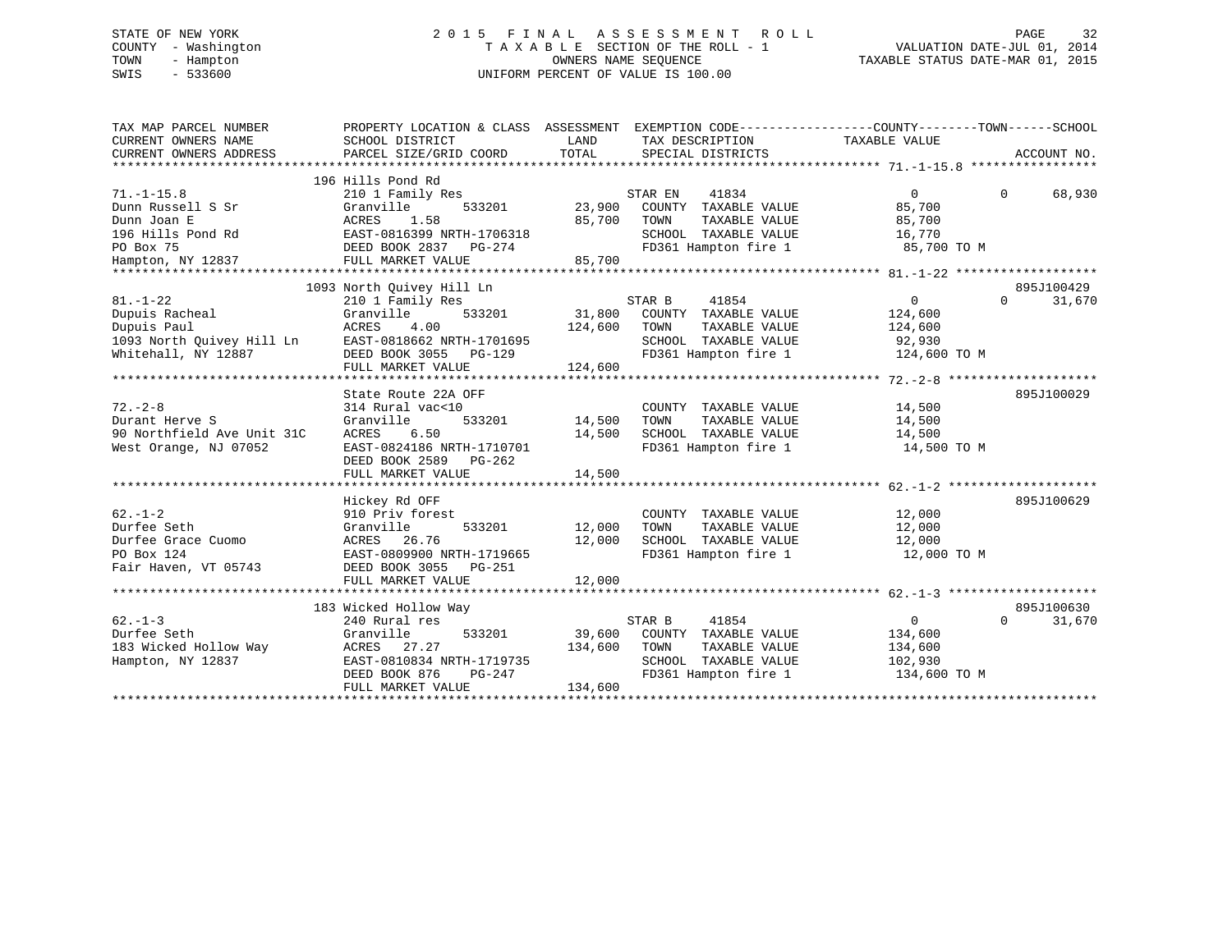# STATE OF NEW YORK 2 0 1 5 F I N A L A S S E S S M E N T R O L L PAGE 32 COUNTY - Washington T A X A B L E SECTION OF THE ROLL - 1 VALUATION DATE-JUL 01, 2014 TOWN - Hampton OWNERS NAME SEQUENCE TAXABLE STATUS DATE-MAR 01, 2015 SWIS - 533600 UNIFORM PERCENT OF VALUE IS 100.00

| TAX MAP PARCEL NUMBER<br>CURRENT OWNERS NAME<br>CURRENT OWNERS ADDRESS                                      | PROPERTY LOCATION & CLASS ASSESSMENT<br>SCHOOL DISTRICT<br>PARCEL SIZE/GRID COORD                                                                            | LAND<br>TOTAL<br>SPECIAL DISTRICTS                                                                                                               | EXEMPTION CODE-----------------COUNTY-------TOWN------SCHOOL<br>TAX DESCRIPTION TAXABLE VALUE<br>ACCOUNT NO. |
|-------------------------------------------------------------------------------------------------------------|--------------------------------------------------------------------------------------------------------------------------------------------------------------|--------------------------------------------------------------------------------------------------------------------------------------------------|--------------------------------------------------------------------------------------------------------------|
| $71. - 1 - 15.8$<br>Dunn Russell S Sr<br>Dunn Joan E<br>196 Hills Pond Rd<br>PO Box 75<br>Hampton, NY 12837 | 196 Hills Pond Rd<br>210 1 Family Res<br>Granville<br>533201<br>ACRES<br>1.58<br>EAST-0816399 NRTH-1706318<br>DEED BOOK 2837 PG-274<br>FULL MARKET VALUE     | STAR EN<br>41834<br>23,900<br>COUNTY TAXABLE VALUE<br>85,700<br>TOWN<br>TAXABLE VALUE<br>SCHOOL TAXABLE VALUE<br>FD361 Hampton fire 1<br>85,700  | $\Omega$<br>$\Omega$<br>68,930<br>85,700<br>85,700<br>16,770<br>85,700 TO M                                  |
|                                                                                                             | 1093 North Quivey Hill Ln                                                                                                                                    |                                                                                                                                                  | 895J100429                                                                                                   |
| $81. - 1 - 22$<br>Dupuis Racheal<br>Dupuis Paul<br>1093 North Ouivey Hill Ln<br>Whitehall, NY 12887         | 210 1 Family Res<br>533201<br>Granville<br>ACRES<br>4.00<br>EAST-0818662 NRTH-1701695<br>DEED BOOK 3055<br>PG-129<br>FULL MARKET VALUE                       | STAR B<br>41854<br>31,800<br>COUNTY TAXABLE VALUE<br>124,600<br>TOWN<br>TAXABLE VALUE<br>SCHOOL TAXABLE VALUE<br>FD361 Hampton fire 1<br>124,600 | $\mathbf{0}$<br>$\Omega$<br>31,670<br>124,600<br>124,600<br>92,930<br>124,600 TO M                           |
|                                                                                                             | State Route 22A OFF                                                                                                                                          |                                                                                                                                                  | 895J100029                                                                                                   |
| $72. - 2 - 8$<br>Durant Herve S<br>90 Northfield Ave Unit 31C<br>West Orange, NJ 07052                      | 314 Rural vac<10<br>Granville<br>533201<br>6.50<br>ACRES<br>EAST-0824186 NRTH-1710701<br>DEED BOOK 2589 PG-262                                               | COUNTY TAXABLE VALUE<br>14,500<br>TAXABLE VALUE<br>TOWN<br>14,500<br>SCHOOL TAXABLE VALUE<br>FD361 Hampton fire 1                                | 14,500<br>14,500<br>14,500<br>14,500 TO M                                                                    |
|                                                                                                             | FULL MARKET VALUE                                                                                                                                            | 14,500                                                                                                                                           |                                                                                                              |
|                                                                                                             |                                                                                                                                                              |                                                                                                                                                  |                                                                                                              |
| $62. -1 - 2$<br>Durfee Seth<br>Durfee Grace Cuomo<br>PO Box 124<br>Fair Haven, VT 05743                     | Hickey Rd OFF<br>910 Priv forest<br>533201<br>Granville<br>ACRES<br>26.76<br>EAST-0809900 NRTH-1719665<br>DEED BOOK 3055 PG-251<br>FULL MARKET VALUE         | COUNTY TAXABLE VALUE<br>12,000<br>TOWN<br>TAXABLE VALUE<br>12,000<br>SCHOOL TAXABLE VALUE<br>FD361 Hampton fire 1<br>12,000                      | 895J100629<br>12,000<br>12,000<br>12,000<br>12,000 TO M                                                      |
|                                                                                                             |                                                                                                                                                              |                                                                                                                                                  |                                                                                                              |
| $62. -1 - 3$<br>Durfee Seth<br>183 Wicked Hollow Way<br>Hampton, NY 12837                                   | 183 Wicked Hollow Way<br>240 Rural res<br>Granville<br>533201<br>ACRES<br>27.27<br>EAST-0810834 NRTH-1719735<br>DEED BOOK 876<br>PG-247<br>FULL MARKET VALUE | STAR B<br>41854<br>39,600<br>COUNTY TAXABLE VALUE<br>134,600<br>TAXABLE VALUE<br>TOWN<br>SCHOOL TAXABLE VALUE<br>FD361 Hampton fire 1<br>134,600 | 895J100630<br>$\overline{0}$<br>$\Omega$<br>31,670<br>134,600<br>134,600<br>102,930<br>134,600 TO M          |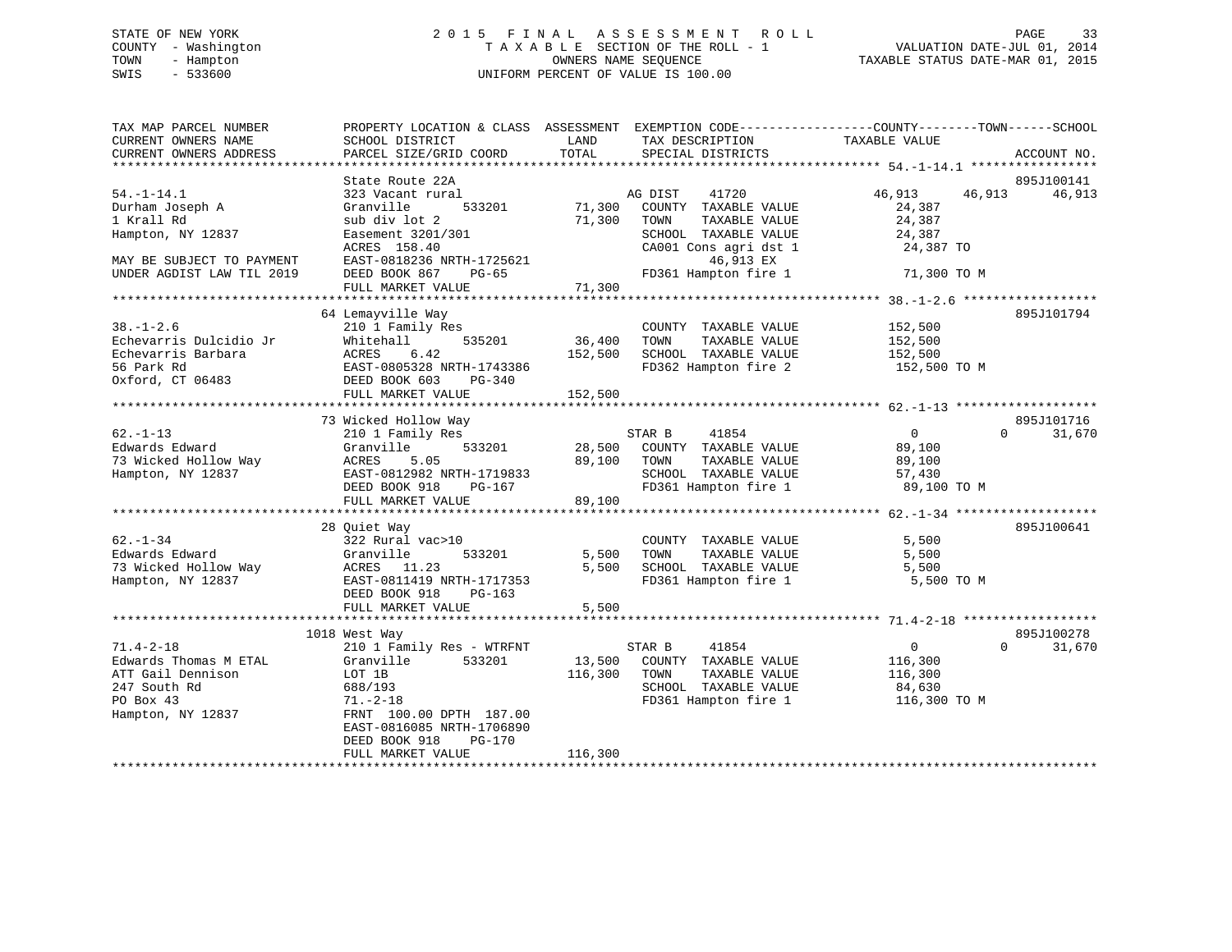# STATE OF NEW YORK 2 0 1 5 F I N A L A S S E S S M E N T R O L L PAGE 33 COUNTY - Washington T A X A B L E SECTION OF THE ROLL - 1 VALUATION DATE-JUL 01, 2014 TOWN - Hampton OWNERS NAME SEQUENCE TAXABLE STATUS DATE-MAR 01, 2015 SWIS - 533600 UNIFORM PERCENT OF VALUE IS 100.00

| TAX MAP PARCEL NUMBER<br>CURRENT OWNERS NAME<br>CURRENT OWNERS ADDRESS | PROPERTY LOCATION & CLASS ASSESSMENT EXEMPTION CODE---------------COUNTY-------TOWN-----SCHOOL<br>SCHOOL DISTRICT<br>PARCEL SIZE/GRID COORD | LAND<br>TOTAL     | TAX DESCRIPTION<br>SPECIAL DISTRICTS     | TAXABLE VALUE              | ACCOUNT NO.        |
|------------------------------------------------------------------------|---------------------------------------------------------------------------------------------------------------------------------------------|-------------------|------------------------------------------|----------------------------|--------------------|
|                                                                        |                                                                                                                                             |                   |                                          |                            |                    |
|                                                                        | State Route 22A                                                                                                                             |                   |                                          |                            | 895J100141         |
| $54. - 1 - 14.1$<br>Durham Joseph A                                    | 323 Vacant rural<br>533201<br>Granville                                                                                                     | 71,300            | AG DIST<br>41720<br>COUNTY TAXABLE VALUE | 46,913<br>46,913<br>24,387 | 46,913             |
| 1 Krall Rd                                                             | sub div lot 2                                                                                                                               | 71,300            | TOWN<br>TAXABLE VALUE                    | 24,387                     |                    |
| Hampton, NY 12837                                                      | Easement 3201/301                                                                                                                           |                   | SCHOOL TAXABLE VALUE                     | 24,387                     |                    |
|                                                                        | ACRES 158.40                                                                                                                                |                   | CA001 Cons agri dst 1                    | 24,387 TO                  |                    |
| MAY BE SUBJECT TO PAYMENT                                              | EAST-0818236 NRTH-1725621                                                                                                                   |                   | 46,913 EX                                |                            |                    |
| UNDER AGDIST LAW TIL 2019                                              | DEED BOOK 867<br>PG-65                                                                                                                      |                   | FD361 Hampton fire 1                     | 71,300 TO M                |                    |
|                                                                        | FULL MARKET VALUE                                                                                                                           | 71,300            |                                          |                            |                    |
|                                                                        |                                                                                                                                             |                   |                                          |                            |                    |
|                                                                        | 64 Lemayville Way                                                                                                                           |                   |                                          |                            | 895J101794         |
| $38. - 1 - 2.6$                                                        | 210 1 Family Res                                                                                                                            |                   | COUNTY TAXABLE VALUE                     | 152,500                    |                    |
| Echevarris Dulcidio Jr<br>Echevarris Barbara                           | Whitehall<br>535201                                                                                                                         | 36,400<br>152,500 | TAXABLE VALUE<br>TOWN                    | 152,500                    |                    |
|                                                                        |                                                                                                                                             |                   | SCHOOL TAXABLE VALUE                     | 152,500                    |                    |
| 56 Park Rd                                                             |                                                                                                                                             |                   | FD362 Hampton fire 2                     | 152,500 TO M               |                    |
| Oxford, CT 06483                                                       | DEED BOOK 603<br>$PG-340$                                                                                                                   |                   |                                          |                            |                    |
|                                                                        | FULL MARKET VALUE                                                                                                                           | 152,500           |                                          |                            |                    |
|                                                                        | 73 Wicked Hollow Way                                                                                                                        |                   |                                          |                            | 895J101716         |
| $62. - 1 - 13$                                                         | 210 1 Family Res                                                                                                                            |                   | STAR B<br>41854                          | $\overline{0}$             | $\Omega$<br>31,670 |
| Edwards Edward                                                         | 533201<br>Granville                                                                                                                         | 28,500            | COUNTY TAXABLE VALUE                     | 89,100                     |                    |
| 73 Wicked Hollow Way                                                   | ACRES<br>5.05                                                                                                                               | 89,100            | TAXABLE VALUE<br>TOWN                    | 89,100                     |                    |
| Hampton, NY 12837                                                      | EAST-0812982 NRTH-1719833                                                                                                                   |                   | SCHOOL TAXABLE VALUE                     | 57,430                     |                    |
|                                                                        | DEED BOOK 918<br>PG-167                                                                                                                     |                   | FD361 Hampton fire 1                     | 89,100 TO M                |                    |
|                                                                        | FULL MARKET VALUE                                                                                                                           | 89,100            |                                          |                            |                    |
|                                                                        |                                                                                                                                             |                   |                                          |                            |                    |
|                                                                        | 28 Ouiet Way                                                                                                                                |                   |                                          |                            | 895J100641         |
| $62 - 1 - 34$                                                          | 322 Rural vac>10                                                                                                                            |                   | COUNTY TAXABLE VALUE                     | 5,500                      |                    |
| Edwards Edward                                                         | Granville<br>533201                                                                                                                         | 5,500             | TAXABLE VALUE<br>TOWN                    | 5,500                      |                    |
| 73 Wicked Hollow Way                                                   | ACRES 11.23                                                                                                                                 | 5,500             | SCHOOL TAXABLE VALUE                     | 5,500                      |                    |
| Hampton, NY 12837                                                      | EAST-0811419 NRTH-1717353                                                                                                                   |                   | FD361 Hampton fire 1                     | 5,500 TO M                 |                    |
|                                                                        | DEED BOOK 918<br>$PG-163$                                                                                                                   |                   |                                          |                            |                    |
|                                                                        | FULL MARKET VALUE                                                                                                                           | 5,500             |                                          |                            |                    |
|                                                                        |                                                                                                                                             |                   |                                          |                            |                    |
|                                                                        | 1018 West Way                                                                                                                               |                   |                                          |                            | 895J100278         |
| $71.4 - 2 - 18$                                                        | 210 1 Family Res - WTRFNT                                                                                                                   |                   | STAR B<br>41854                          | $\overline{0}$             | 31,670<br>$\Omega$ |
| Edwards Thomas M ETAL                                                  | 533201<br>Granville                                                                                                                         |                   | 13,500 COUNTY TAXABLE VALUE              | 116,300                    |                    |
| ATT Gail Dennison                                                      | LOT 1B                                                                                                                                      | 116,300           | TOWN<br>TAXABLE VALUE                    | 116,300                    |                    |
| 247 South Rd                                                           | 688/193                                                                                                                                     |                   | SCHOOL TAXABLE VALUE                     | 84,630                     |                    |
| PO Box 43                                                              | $71. - 2 - 18$                                                                                                                              |                   | FD361 Hampton fire 1                     | 116,300 TO M               |                    |
| Hampton, NY 12837                                                      | FRNT 100.00 DPTH 187.00                                                                                                                     |                   |                                          |                            |                    |
|                                                                        | EAST-0816085 NRTH-1706890                                                                                                                   |                   |                                          |                            |                    |
|                                                                        | DEED BOOK 918<br>PG-170                                                                                                                     |                   |                                          |                            |                    |
|                                                                        | FULL MARKET VALUE                                                                                                                           | 116,300           |                                          |                            |                    |
|                                                                        |                                                                                                                                             |                   |                                          |                            |                    |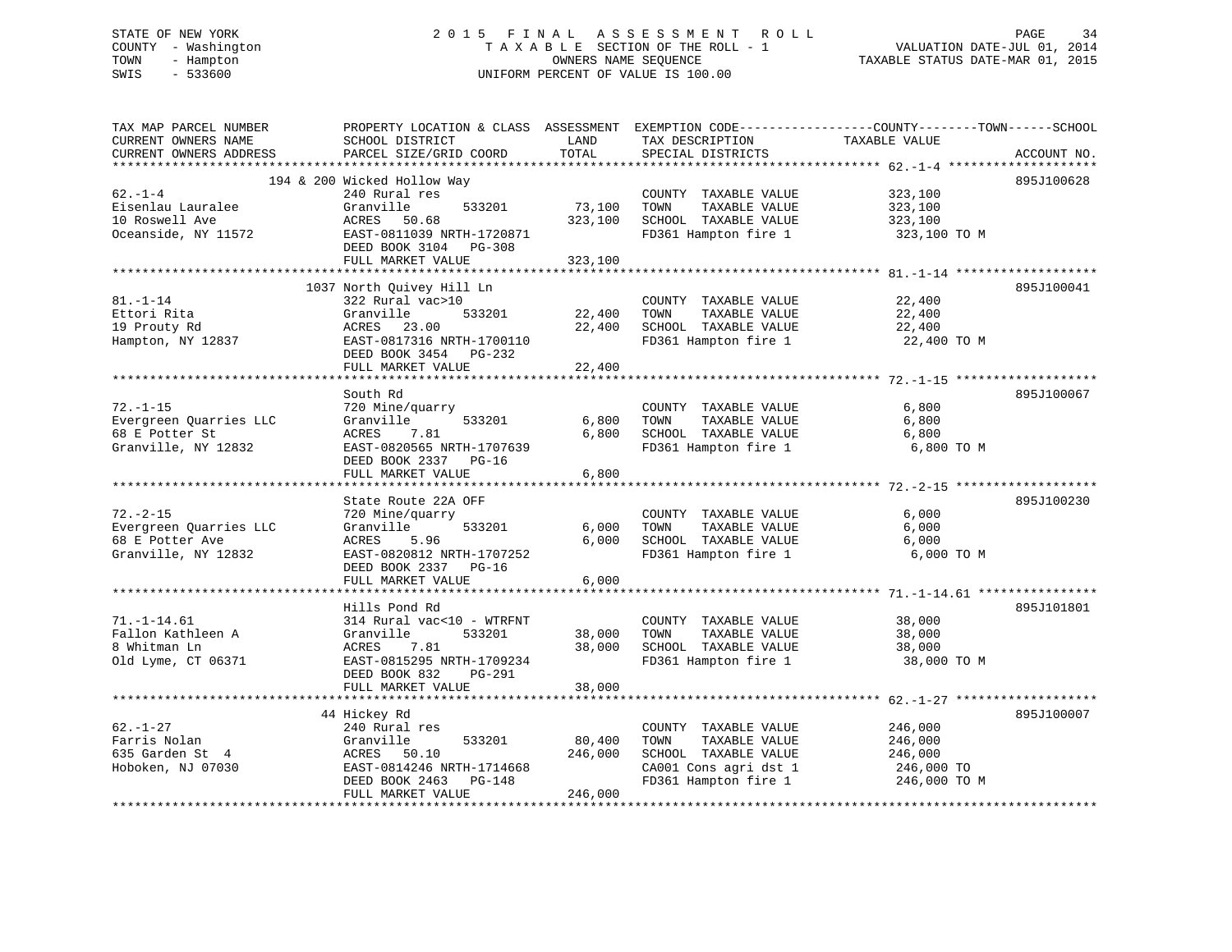# STATE OF NEW YORK 2 0 1 5 F I N A L A S S E S S M E N T R O L L PAGE 34 COUNTY - Washington T A X A B L E SECTION OF THE ROLL - 1 VALUATION DATE-JUL 01, 2014 TOWN - Hampton OWNERS NAME SEQUENCE TAXABLE STATUS DATE-MAR 01, 2015 SWIS - 533600 UNIFORM PERCENT OF VALUE IS 100.00

| TAX MAP PARCEL NUMBER<br>CURRENT OWNERS NAME<br>CURRENT OWNERS ADDRESS | SCHOOL DISTRICT<br>PARCEL SIZE/GRID COORD         | LAND<br>TOTAL | TAX DESCRIPTION<br>SPECIAL DISTRICTS | PROPERTY LOCATION & CLASS ASSESSMENT EXEMPTION CODE----------------COUNTY-------TOWN-----SCHOOL<br>TAXABLE VALUE<br>ACCOUNT NO. |
|------------------------------------------------------------------------|---------------------------------------------------|---------------|--------------------------------------|---------------------------------------------------------------------------------------------------------------------------------|
|                                                                        |                                                   |               |                                      |                                                                                                                                 |
|                                                                        | 194 & 200 Wicked Hollow Way                       |               |                                      | 895J100628                                                                                                                      |
| $62 - 1 - 4$                                                           | 240 Rural res                                     |               | COUNTY TAXABLE VALUE                 | 323,100                                                                                                                         |
| Eisenlau Lauralee                                                      | Granville<br>533201                               | 73,100        | TAXABLE VALUE<br>TOWN                | 323,100                                                                                                                         |
| 10 Roswell Ave                                                         | ACRES 50.68<br>EAST-0811039 NRTH-1720871          | 323,100       | SCHOOL TAXABLE VALUE                 | 323,100                                                                                                                         |
| Oceanside, NY 11572                                                    | DEED BOOK 3104 PG-308                             |               | FD361 Hampton fire 1                 | 323,100 TO M                                                                                                                    |
|                                                                        | FULL MARKET VALUE                                 | 323,100       |                                      |                                                                                                                                 |
|                                                                        |                                                   |               |                                      |                                                                                                                                 |
|                                                                        | 1037 North Quivey Hill Ln                         |               |                                      | 895J100041                                                                                                                      |
| $81. - 1 - 14$                                                         | 322 Rural vac>10                                  |               | COUNTY TAXABLE VALUE                 | 22,400                                                                                                                          |
| Ettori Rita                                                            | 533201<br>Granville                               | 22,400        | TAXABLE VALUE<br>TOWN                | 22,400                                                                                                                          |
| 19 Prouty Rd                                                           | 23.00<br>ACRES                                    | 22,400        | SCHOOL TAXABLE VALUE                 | 22,400                                                                                                                          |
| Hampton, NY 12837                                                      | EAST-0817316 NRTH-1700110                         |               | FD361 Hampton fire 1                 | 22,400 TO M                                                                                                                     |
|                                                                        | DEED BOOK 3454 PG-232                             |               |                                      |                                                                                                                                 |
|                                                                        | FULL MARKET VALUE                                 | 22,400        |                                      |                                                                                                                                 |
|                                                                        | South Rd                                          |               |                                      | 895J100067                                                                                                                      |
| $72. - 1 - 15$                                                         | 720 Mine/quarry                                   |               | COUNTY TAXABLE VALUE                 | 6,800                                                                                                                           |
| Evergreen Quarries LLC                                                 | Granville<br>533201                               | 6,800         | TOWN<br>TAXABLE VALUE                | 6,800                                                                                                                           |
| 68 E Potter St                                                         | 7.81<br>ACRES                                     | 6,800         | SCHOOL TAXABLE VALUE                 | 6,800                                                                                                                           |
| Granville, NY 12832                                                    | EAST-0820565 NRTH-1707639                         |               | FD361 Hampton fire 1                 | 6,800 TO M                                                                                                                      |
|                                                                        | DEED BOOK 2337 PG-16                              |               |                                      |                                                                                                                                 |
|                                                                        | FULL MARKET VALUE                                 | 6,800         |                                      |                                                                                                                                 |
|                                                                        |                                                   |               |                                      |                                                                                                                                 |
|                                                                        | State Route 22A OFF                               |               |                                      | 895J100230                                                                                                                      |
| $72. - 2 - 15$                                                         | 720 Mine/quarry                                   |               | COUNTY TAXABLE VALUE                 | 6,000                                                                                                                           |
| Evergreen Quarries LLC                                                 | Granville<br>533201                               | 6,000         | TOWN<br>TAXABLE VALUE                | 6,000                                                                                                                           |
| 68 E Potter Ave                                                        | 5.96<br>ACRES                                     | 6,000         | SCHOOL TAXABLE VALUE                 | 6,000                                                                                                                           |
| Granville, NY 12832                                                    | EAST-0820812 NRTH-1707252<br>DEED BOOK 2337 PG-16 |               | FD361 Hampton fire 1                 | 6,000 TO M                                                                                                                      |
|                                                                        | FULL MARKET VALUE                                 | 6,000         |                                      |                                                                                                                                 |
|                                                                        |                                                   |               |                                      |                                                                                                                                 |
|                                                                        | Hills Pond Rd                                     |               |                                      | 895J101801                                                                                                                      |
| $71. - 1 - 14.61$                                                      | 314 Rural vac<10 - WTRFNT                         |               | COUNTY TAXABLE VALUE                 | 38,000                                                                                                                          |
| Fallon Kathleen A                                                      | Granville<br>533201                               | 38,000        | TOWN<br>TAXABLE VALUE                | 38,000                                                                                                                          |
| 8 Whitman Ln                                                           | ACRES<br>7.81                                     | 38,000        | SCHOOL TAXABLE VALUE                 | 38,000                                                                                                                          |
| Old Lyme, CT 06371                                                     | EAST-0815295 NRTH-1709234                         |               | FD361 Hampton fire 1                 | 38,000 TO M                                                                                                                     |
|                                                                        | DEED BOOK 832<br>PG-291                           |               |                                      |                                                                                                                                 |
|                                                                        | FULL MARKET VALUE                                 | 38,000        |                                      |                                                                                                                                 |
|                                                                        | 44 Hickey Rd                                      |               |                                      | 895J100007                                                                                                                      |
| $62. - 1 - 27$                                                         | 240 Rural res                                     |               | COUNTY TAXABLE VALUE                 | 246,000                                                                                                                         |
| Farris Nolan                                                           | Granville<br>533201                               | 80,400        | TOWN<br>TAXABLE VALUE                | 246,000                                                                                                                         |
| 635 Garden St 4                                                        | ACRES 50.10                                       | 246,000       | SCHOOL TAXABLE VALUE                 | 246,000                                                                                                                         |
| Hoboken, NJ 07030                                                      | EAST-0814246 NRTH-1714668                         |               | CA001 Cons agri dst 1                | 246,000 TO                                                                                                                      |
|                                                                        | DEED BOOK 2463<br>PG-148                          |               | FD361 Hampton fire 1                 | 246,000 TO M                                                                                                                    |
|                                                                        | FULL MARKET VALUE                                 | 246,000       |                                      |                                                                                                                                 |
|                                                                        |                                                   |               |                                      |                                                                                                                                 |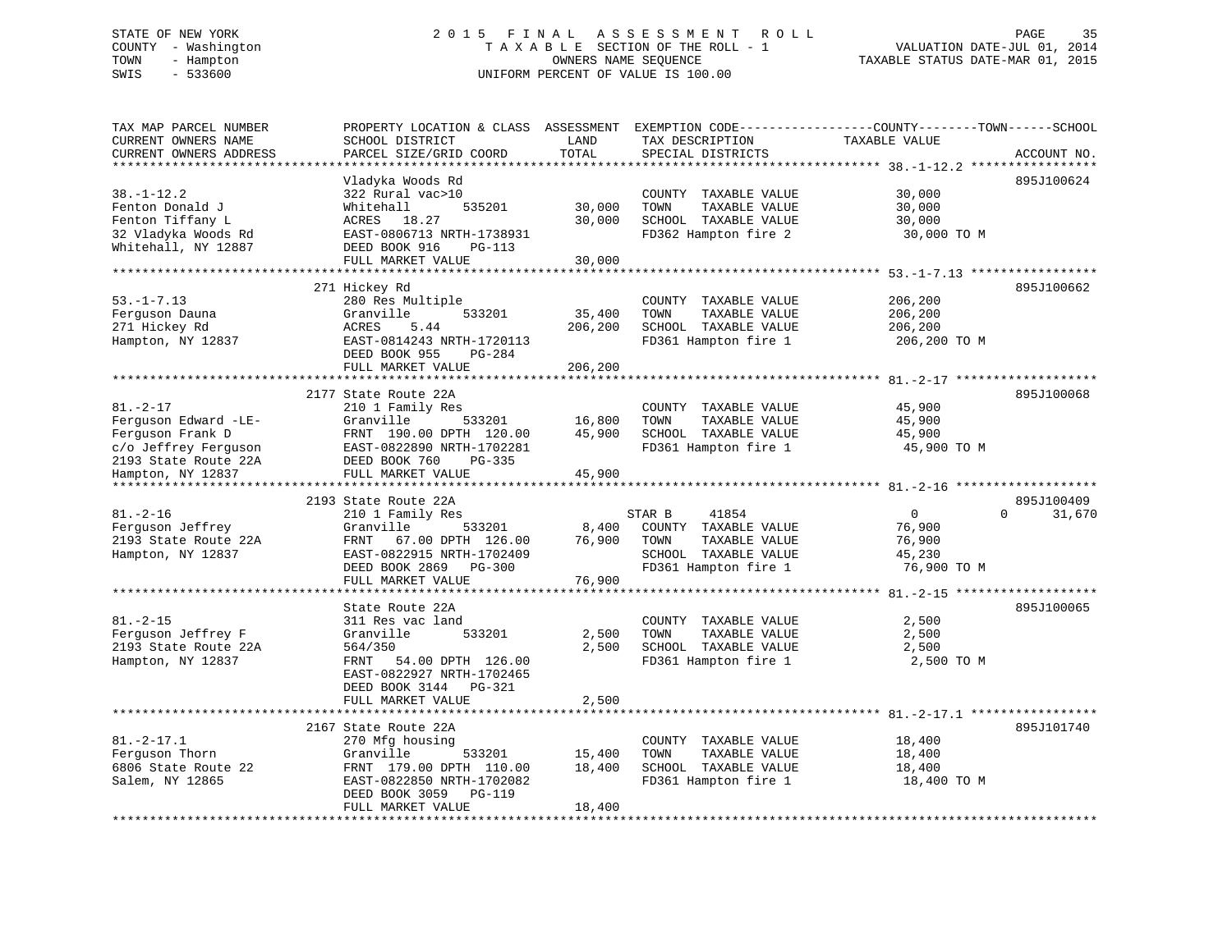#### STATE OF NEW YORK 2 0 1 5 F I N A L A S S E S S M E N T R O L L PAGE 35COUNTY - Washington  $T A X A B L E$  SECTION OF THE ROLL - 1<br>TOWN - Hampton DWNERS NAME SEQUENCE TOWN - Hampton OWNERS NAME SEQUENCE TAXABLE STATUS DATE-MAR 01, 2015 SWIS - 533600 UNIFORM PERCENT OF VALUE IS 100.00

| TAX MAP PARCEL NUMBER<br>CURRENT OWNERS NAME<br>CURRENT OWNERS ADDRESS                                     | PROPERTY LOCATION & CLASS ASSESSMENT<br>SCHOOL DISTRICT<br>PARCEL SIZE/GRID COORD                                                                                          | LAND<br>TOTAL                | EXEMPTION CODE-----------------COUNTY-------TOWN------SCHOOL<br>TAX DESCRIPTION<br>SPECIAL DISTRICTS             | TAXABLE VALUE                                            | ACCOUNT NO.                      |
|------------------------------------------------------------------------------------------------------------|----------------------------------------------------------------------------------------------------------------------------------------------------------------------------|------------------------------|------------------------------------------------------------------------------------------------------------------|----------------------------------------------------------|----------------------------------|
|                                                                                                            | *****************                                                                                                                                                          | * * * * * * * *              |                                                                                                                  |                                                          |                                  |
| $38. - 1 - 12.2$<br>Fenton Donald J<br>Fenton Tiffany L<br>32 Vladyka Woods Rd<br>Whitehall, NY 12887      | Vladyka Woods Rd<br>322 Rural vac>10<br>Whitehall<br>535201<br>ACRES 18.27<br>EAST-0806713 NRTH-1738931<br>DEED BOOK 916<br>PG-113<br>FULL MARKET VALUE                    | 30,000<br>30,000<br>30,000   | COUNTY TAXABLE VALUE<br>TOWN<br>TAXABLE VALUE<br>SCHOOL TAXABLE VALUE<br>FD362 Hampton fire 2                    | 30,000<br>30,000<br>30,000<br>30,000 TO M                | 895J100624                       |
|                                                                                                            |                                                                                                                                                                            |                              |                                                                                                                  |                                                          |                                  |
| $53. - 1 - 7.13$<br>Ferguson Dauna<br>271 Hickey Rd<br>Hampton, NY 12837                                   | 271 Hickey Rd<br>280 Res Multiple<br>Granville<br>533201<br>ACRES<br>5.44<br>EAST-0814243 NRTH-1720113<br>DEED BOOK 955<br>PG-284<br>FULL MARKET VALUE                     | 35,400<br>206,200<br>206,200 | COUNTY TAXABLE VALUE<br>TOWN<br>TAXABLE VALUE<br>SCHOOL TAXABLE VALUE<br>FD361 Hampton fire 1                    | 206,200<br>206,200<br>206,200<br>206,200 TO M            | 895J100662                       |
|                                                                                                            | *****************************                                                                                                                                              | **************               |                                                                                                                  |                                                          |                                  |
| $81. - 2 - 17$<br>Ferguson Edward -LE-<br>Ferquson Frank D<br>c/o Jeffrey Ferguson<br>2193 State Route 22A | 2177 State Route 22A<br>210 1 Family Res<br>Granville<br>533201<br>FRNT 190.00 DPTH 120.00<br>EAST-0822890 NRTH-1702281<br>DEED BOOK 760<br>PG-335                         | 16,800<br>45,900             | COUNTY TAXABLE VALUE<br>TOWN<br>TAXABLE VALUE<br>SCHOOL TAXABLE VALUE<br>FD361 Hampton fire 1                    | 45,900<br>45,900<br>45,900<br>45,900 TO M                | 895J100068                       |
| Hampton, NY 12837<br>********************                                                                  | FULL MARKET VALUE                                                                                                                                                          | 45,900                       |                                                                                                                  |                                                          |                                  |
| $81. - 2 - 16$<br>Ferguson Jeffrey<br>2193 State Route 22A<br>Hampton, NY 12837                            | 2193 State Route 22A<br>210 1 Family Res<br>Granville<br>533201<br>67.00 DPTH 126.00<br>FRNT<br>EAST-0822915 NRTH-1702409<br>DEED BOOK 2869<br>PG-300<br>FULL MARKET VALUE | 8,400<br>76,900<br>76,900    | STAR B<br>41854<br>COUNTY TAXABLE VALUE<br>TOWN<br>TAXABLE VALUE<br>SCHOOL TAXABLE VALUE<br>FD361 Hampton fire 1 | $\mathbf 0$<br>76,900<br>76,900<br>45,230<br>76,900 TO M | 895J100409<br>$\Omega$<br>31,670 |
|                                                                                                            | *********************                                                                                                                                                      |                              |                                                                                                                  | ************** 81.-2-15 ******                           |                                  |
| $81. - 2 - 15$<br>Ferquson Jeffrey F<br>2193 State Route 22A<br>Hampton, NY 12837                          | State Route 22A<br>311 Res vac land<br>533201<br>Granville<br>564/350<br>54.00 DPTH 126.00<br>FRNT<br>EAST-0822927 NRTH-1702465<br>DEED BOOK 3144 PG-321                   | 2,500<br>2,500               | COUNTY TAXABLE VALUE<br>TAXABLE VALUE<br>TOWN<br>SCHOOL TAXABLE VALUE<br>FD361 Hampton fire 1                    | 2,500<br>2,500<br>2,500<br>2,500 TO M                    | 895J100065                       |
|                                                                                                            | FULL MARKET VALUE                                                                                                                                                          | 2,500                        |                                                                                                                  |                                                          |                                  |
|                                                                                                            | ********************************                                                                                                                                           |                              |                                                                                                                  |                                                          |                                  |
| $81. -2 - 17.1$<br>Ferguson Thorn<br>6806 State Route 22<br>Salem, NY 12865                                | 2167 State Route 22A<br>270 Mfg housing<br>Granville<br>533201<br>FRNT 179.00 DPTH 110.00<br>EAST-0822850 NRTH-1702082<br>DEED BOOK 3059<br>PG-119<br>FULL MARKET VALUE    | 15,400<br>18,400<br>18,400   | COUNTY TAXABLE VALUE<br>TOWN<br>TAXABLE VALUE<br>SCHOOL TAXABLE VALUE<br>FD361 Hampton fire 1                    | 18,400<br>18,400<br>18,400<br>18,400 TO M                | 895J101740                       |
|                                                                                                            | ********************                                                                                                                                                       |                              |                                                                                                                  |                                                          |                                  |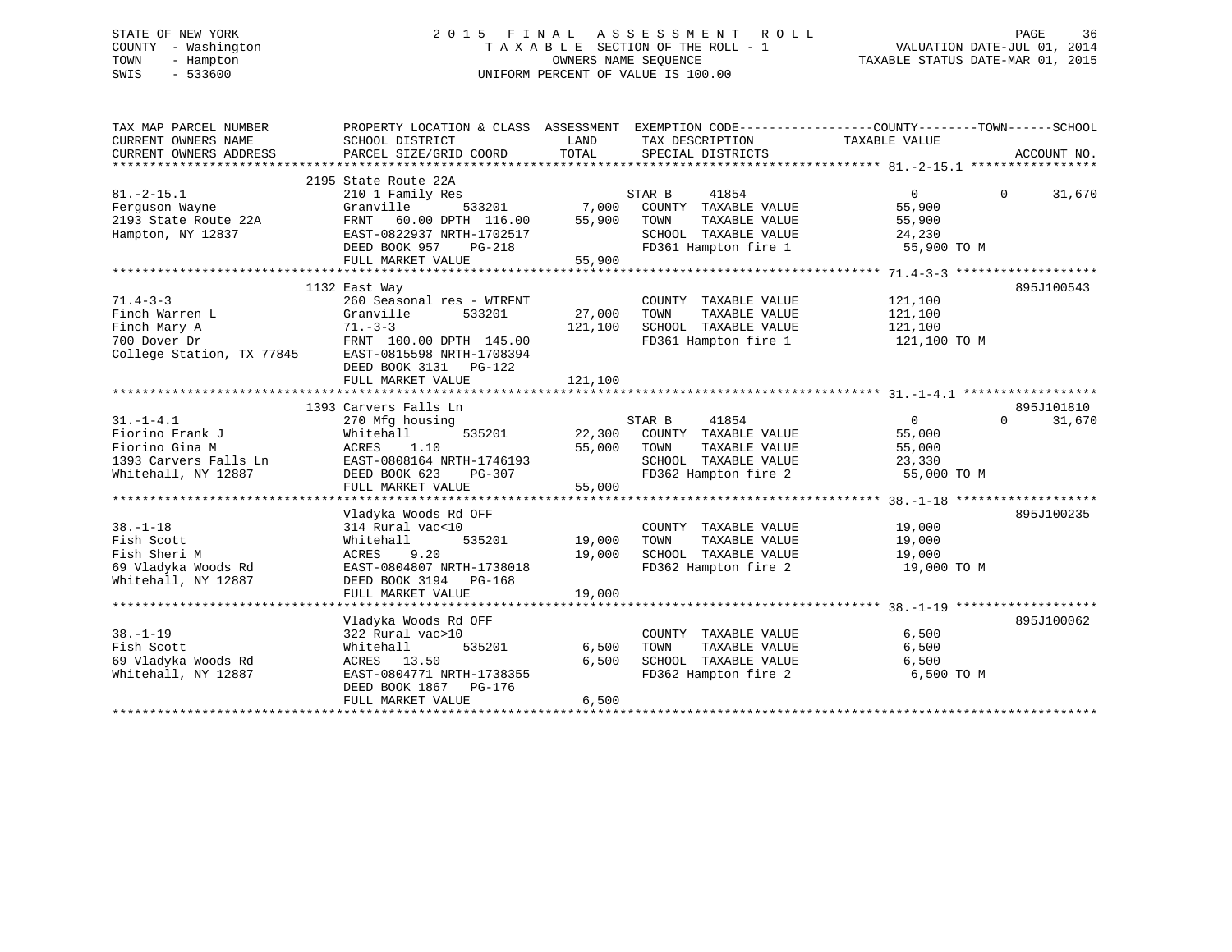# STATE OF NEW YORK 2 0 1 5 F I N A L A S S E S S M E N T R O L L PAGE 36 COUNTY - Washington T A X A B L E SECTION OF THE ROLL - 1 VALUATION DATE-JUL 01, 2014 TOWN - Hampton OWNERS NAME SEQUENCE TAXABLE STATUS DATE-MAR 01, 2015 SWIS - 533600 UNIFORM PERCENT OF VALUE IS 100.00

| TAX MAP PARCEL NUMBER<br>CURRENT OWNERS NAME<br>CURRENT OWNERS ADDRESS                                    | PROPERTY LOCATION & CLASS ASSESSMENT EXEMPTION CODE----------------COUNTY-------TOWN------SCHOOL<br>SCHOOL DISTRICT<br>PARCEL SIZE/GRID COORD | LAND<br>TOTAL | TAX DESCRIPTION<br>SPECIAL DISTRICTS                  | TAXABLE VALUE        | ACCOUNT NO.        |
|-----------------------------------------------------------------------------------------------------------|-----------------------------------------------------------------------------------------------------------------------------------------------|---------------|-------------------------------------------------------|----------------------|--------------------|
|                                                                                                           | 2195 State Route 22A                                                                                                                          |               |                                                       |                      |                    |
| $81. -2 - 15.1$                                                                                           | 210 1 Family Res                                                                                                                              |               | STAR B<br>41854                                       | $\Omega$             | 31,670<br>$\Omega$ |
| Ferguson Wayne                                                                                            | Granville                                                                                                                                     | 533201 7,000  | COUNTY TAXABLE VALUE                                  | 55,900               |                    |
| 2193 State Route 22A                                                                                      | FRNT 60.00 DPTH 116.00                                                                                                                        | 55,900        | TOWN<br>TAXABLE VALUE                                 | 55,900               |                    |
| Hampton, NY 12837                                                                                         | EAST-0822937 NRTH-1702517                                                                                                                     |               | SCHOOL TAXABLE VALUE                                  | 24,230               |                    |
|                                                                                                           | DEED BOOK 957<br>PG-218                                                                                                                       |               | FD361 Hampton fire 1 55,900 TO M                      |                      |                    |
|                                                                                                           | FULL MARKET VALUE                                                                                                                             | 55,900        |                                                       |                      |                    |
|                                                                                                           |                                                                                                                                               |               |                                                       |                      |                    |
|                                                                                                           | 1132 East Way                                                                                                                                 |               |                                                       |                      | 895J100543         |
| $71.4 - 3 - 3$                                                                                            | 260 Seasonal res - WTRFNT                                                                                                                     |               | COUNTY TAXABLE VALUE                                  | 121,100              |                    |
| Finch Warren L                                                                                            | Granville<br>533201                                                                                                                           | 27,000        | TAXABLE VALUE<br>TOWN                                 | 121,100              |                    |
|                                                                                                           |                                                                                                                                               | 121,100       | SCHOOL TAXABLE VALUE 121,100                          |                      |                    |
|                                                                                                           | FRNT 100.00 DPTH 145.00                                                                                                                       |               | FD361 Hampton fire 1                                  | 121,100 TO M         |                    |
|                                                                                                           |                                                                                                                                               |               |                                                       |                      |                    |
|                                                                                                           | DEED BOOK 3131    PG-122                                                                                                                      |               |                                                       |                      |                    |
|                                                                                                           | FULL MARKET VALUE                                                                                                                             | 121,100       |                                                       |                      |                    |
|                                                                                                           |                                                                                                                                               |               |                                                       |                      |                    |
|                                                                                                           | 1393 Carvers Falls Ln                                                                                                                         |               |                                                       |                      | 895J101810         |
| $31. - 1 - 4.1$                                                                                           | 270 Mfg housing                                                                                                                               |               | 41854<br>STAR B                                       | $0 \qquad \qquad$    | 31,670<br>$\Omega$ |
| Fiorino Frank J                                                                                           | Whitehall                                                                                                                                     |               | $22,300$ COUNTY TAXABLE VALUE                         | 55,000               |                    |
|                                                                                                           |                                                                                                                                               | 55,000        | TOWN<br>TAXABLE VALUE                                 | 55,000               |                    |
|                                                                                                           | EAST-0808164 NRTH-1746193                                                                                                                     |               |                                                       | 23,330               |                    |
| Fiornio Frank of The CRES<br>Fiornio Gina M<br>1393 Carvers Falls Ln<br>Whitehall, NY 12887 DEED BOOK 623 | PG-307                                                                                                                                        | $\frac{3}{2}$ | SCHOOL TAXABLE VALUE<br>FD362 Hampton fire 2          | 55,000 TO M          |                    |
|                                                                                                           | FULL MARKET VALUE                                                                                                                             | 55,000        |                                                       |                      |                    |
|                                                                                                           |                                                                                                                                               |               |                                                       |                      |                    |
|                                                                                                           | Vladyka Woods Rd OFF                                                                                                                          |               |                                                       |                      | 895J100235         |
| $38. - 1 - 18$                                                                                            | 314 Rural vac<10                                                                                                                              |               | COUNTY TAXABLE VALUE                                  | 19,000               |                    |
| Fish Scott                                                                                                | Whitehall                                                                                                                                     | 535201 19,000 |                                                       | 19,000               |                    |
| Fish Sheri M                                                                                              | 9.20<br>ACRES                                                                                                                                 | 19,000        | TOWN       TAXABLE  VALUE<br>SCHOOL    TAXABLE  VALUE | $\frac{1}{19}$ , 000 |                    |
| 69 Vladyka Woods Rd                                                                                       | EAST-0804807 NRTH-1738018                                                                                                                     |               | FD362 Hampton fire 2 19,000 TO M                      |                      |                    |
| Whitehall, NY 12887                                                                                       | DEED BOOK 3194 PG-168                                                                                                                         |               |                                                       |                      |                    |
|                                                                                                           | FULL MARKET VALUE                                                                                                                             | 19,000        |                                                       |                      |                    |
|                                                                                                           |                                                                                                                                               |               |                                                       |                      |                    |
|                                                                                                           | Vladyka Woods Rd OFF                                                                                                                          |               |                                                       |                      | 895J100062         |
| $38. - 1 - 19$                                                                                            | 322 Rural vac>10                                                                                                                              |               | COUNTY TAXABLE VALUE                                  | 6,500                |                    |
| Fish Scott                                                                                                | Whitehall<br>535201                                                                                                                           | 6,500         | TOWN<br>TAXABLE VALUE                                 | 6,500                |                    |
| 69 Vladyka Woods Rd                                                                                       | ACRES 13.50                                                                                                                                   | 6,500         | SCHOOL TAXABLE VALUE                                  | 6,500                |                    |
| Whitehall, NY 12887                                                                                       | EAST-0804771 NRTH-1738355                                                                                                                     |               | FD362 Hampton fire 2                                  | 6,500 TO M           |                    |
|                                                                                                           | DEED BOOK 1867 PG-176                                                                                                                         |               |                                                       |                      |                    |
|                                                                                                           | FULL MARKET VALUE                                                                                                                             | 6,500         |                                                       |                      |                    |
|                                                                                                           |                                                                                                                                               |               |                                                       |                      |                    |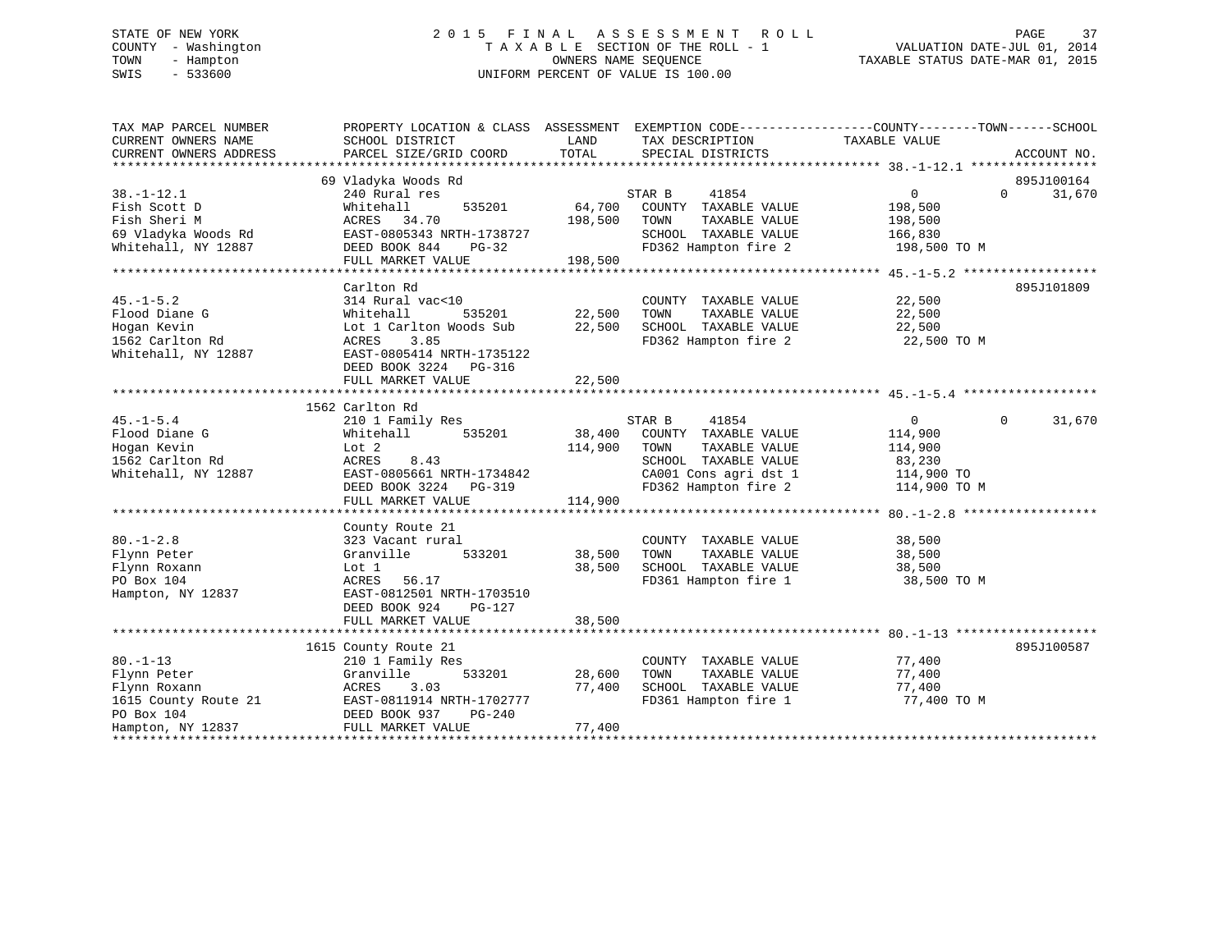# STATE OF NEW YORK 2 0 1 5 F I N A L A S S E S S M E N T R O L L PAGE 37 COUNTY - Washington T A X A B L E SECTION OF THE ROLL - 1 VALUATION DATE-JUL 01, 2014 TOWN - Hampton OWNERS NAME SEQUENCE TAXABLE STATUS DATE-MAR 01, 2015 SWIS - 533600 UNIFORM PERCENT OF VALUE IS 100.00

| TAX MAP PARCEL NUMBER  | PROPERTY LOCATION & CLASS ASSESSMENT EXEMPTION CODE----------------COUNTY-------TOWN------SCHOOL |         |                                   |                   |                             |
|------------------------|--------------------------------------------------------------------------------------------------|---------|-----------------------------------|-------------------|-----------------------------|
| CURRENT OWNERS NAME    | SCHOOL DISTRICT                                                                                  | LAND    | TAX DESCRIPTION                   | TAXABLE VALUE     |                             |
| CURRENT OWNERS ADDRESS | PARCEL SIZE/GRID COORD                                                                           | TOTAL   | SPECIAL DISTRICTS                 |                   | ACCOUNT NO.                 |
|                        |                                                                                                  |         |                                   |                   |                             |
|                        | 69 Vladyka Woods Rd                                                                              |         |                                   |                   | 895J100164                  |
| $38. - 1 - 12.1$       | 240 Rural res                                                                                    |         | STAR B<br>41854                   | 0                 | $0 \qquad \qquad$<br>31,670 |
| Fish Scott D           | 535201<br>Whitehall                                                                              | 64,700  | COUNTY TAXABLE VALUE              | 198,500           |                             |
| Fish Sheri M           | ACRES 34.70                                                                                      | 198,500 | TOWN<br>TAXABLE VALUE             | 198,500           |                             |
| 69 Vladyka Woods Rd    | EAST-0805343 NRTH-1738727                                                                        |         | SCHOOL TAXABLE VALUE              | 166,830           |                             |
| Whitehall, NY 12887    | DEED BOOK 844<br>PG-32                                                                           |         | FD362 Hampton fire 2 198,500 TO M |                   |                             |
|                        | FULL MARKET VALUE                                                                                | 198,500 |                                   |                   |                             |
|                        |                                                                                                  |         |                                   |                   |                             |
|                        | Carlton Rd                                                                                       |         |                                   |                   | 895J101809                  |
| $45. - 1 - 5.2$        | 314 Rural vac<10                                                                                 |         | COUNTY TAXABLE VALUE              | 22,500            |                             |
| Flood Diane G          | 535201<br>Whitehall                                                                              | 22,500  | TOWN<br>TAXABLE VALUE             | 22,500            |                             |
| Hogan Kevin            | Lot 1 Carlton Woods Sub                                                                          | 22,500  | SCHOOL TAXABLE VALUE              | 22,500            |                             |
| 1562 Carlton Rd        | 3.85<br>ACRES                                                                                    |         | FD362 Hampton fire 2              | 22,500 TO M       |                             |
| Whitehall, NY 12887    | EAST-0805414 NRTH-1735122                                                                        |         |                                   |                   |                             |
|                        | DEED BOOK 3224 PG-316                                                                            |         |                                   |                   |                             |
|                        | FULL MARKET VALUE                                                                                | 22,500  |                                   |                   |                             |
|                        |                                                                                                  |         |                                   |                   |                             |
|                        | 1562 Carlton Rd                                                                                  |         |                                   |                   |                             |
| $45. - 1 - 5.4$        | 210 1 Family Res                                                                                 |         | STAR B<br>41854                   | $0 \qquad \qquad$ | $\Omega$<br>31,670          |
| Flood Diane G          | 535201<br>Whitehall                                                                              | 38,400  | COUNTY TAXABLE VALUE              | 114,900           |                             |
| Hogan Kevin            | Lot 2                                                                                            | 114,900 | TOWN<br>TAXABLE VALUE             | 114,900           |                             |
| 1562 Carlton Rd        | ACRES<br>8.43                                                                                    |         | SCHOOL TAXABLE VALUE              | 83,230            |                             |
| Whitehall, NY 12887    | EAST-0805661 NRTH-1734842                                                                        |         | CA001 Cons agri dst 1             | 114,900 TO        |                             |
|                        | DEED BOOK 3224 PG-319                                                                            |         | FD362 Hampton fire 2              | 114,900 TO M      |                             |
|                        | FULL MARKET VALUE                                                                                | 114,900 |                                   |                   |                             |
|                        |                                                                                                  |         |                                   |                   |                             |
|                        | County Route 21                                                                                  |         |                                   |                   |                             |
| $80. - 1 - 2.8$        | 323 Vacant rural                                                                                 |         | COUNTY TAXABLE VALUE              | 38,500            |                             |
| Flynn Peter            | 533201<br>Granville                                                                              | 38,500  | TOWN<br>TAXABLE VALUE             | 38,500            |                             |
| Flynn Roxann           | Lot 1                                                                                            | 38,500  | SCHOOL TAXABLE VALUE              | 38,500            |                             |
| PO Box 104             | ACRES 56.17                                                                                      |         | FD361 Hampton fire 1              | 38,500 TO M       |                             |
| Hampton, NY 12837      | EAST-0812501 NRTH-1703510                                                                        |         |                                   |                   |                             |
|                        | DEED BOOK 924<br>$PG-127$                                                                        |         |                                   |                   |                             |
|                        | FULL MARKET VALUE                                                                                | 38,500  |                                   |                   |                             |
|                        |                                                                                                  |         |                                   |                   |                             |
|                        | 1615 County Route 21                                                                             |         |                                   |                   | 895J100587                  |
| $80. -1 - 13$          | 210 1 Family Res                                                                                 |         | COUNTY TAXABLE VALUE              | 77,400            |                             |
| Flynn Peter            | Granville<br>533201                                                                              | 28,600  | TAXABLE VALUE<br>TOWN             | 77,400            |                             |
| Flynn Roxann           | 3.03<br>ACRES                                                                                    | 77,400  | SCHOOL TAXABLE VALUE              | 77,400            |                             |
| 1615 County Route 21   |                                                                                                  |         | FD361 Hampton fire 1              | 77,400 TO M       |                             |
| PO Box 104             | ACAES<br>EAST-0811914 NRTH-1702777<br>DEED BOOK 937 PG-240<br>FULL MARKET VALUE                  |         |                                   |                   |                             |
| Hampton, NY 12837      |                                                                                                  | 77,400  |                                   |                   |                             |
|                        |                                                                                                  |         |                                   |                   |                             |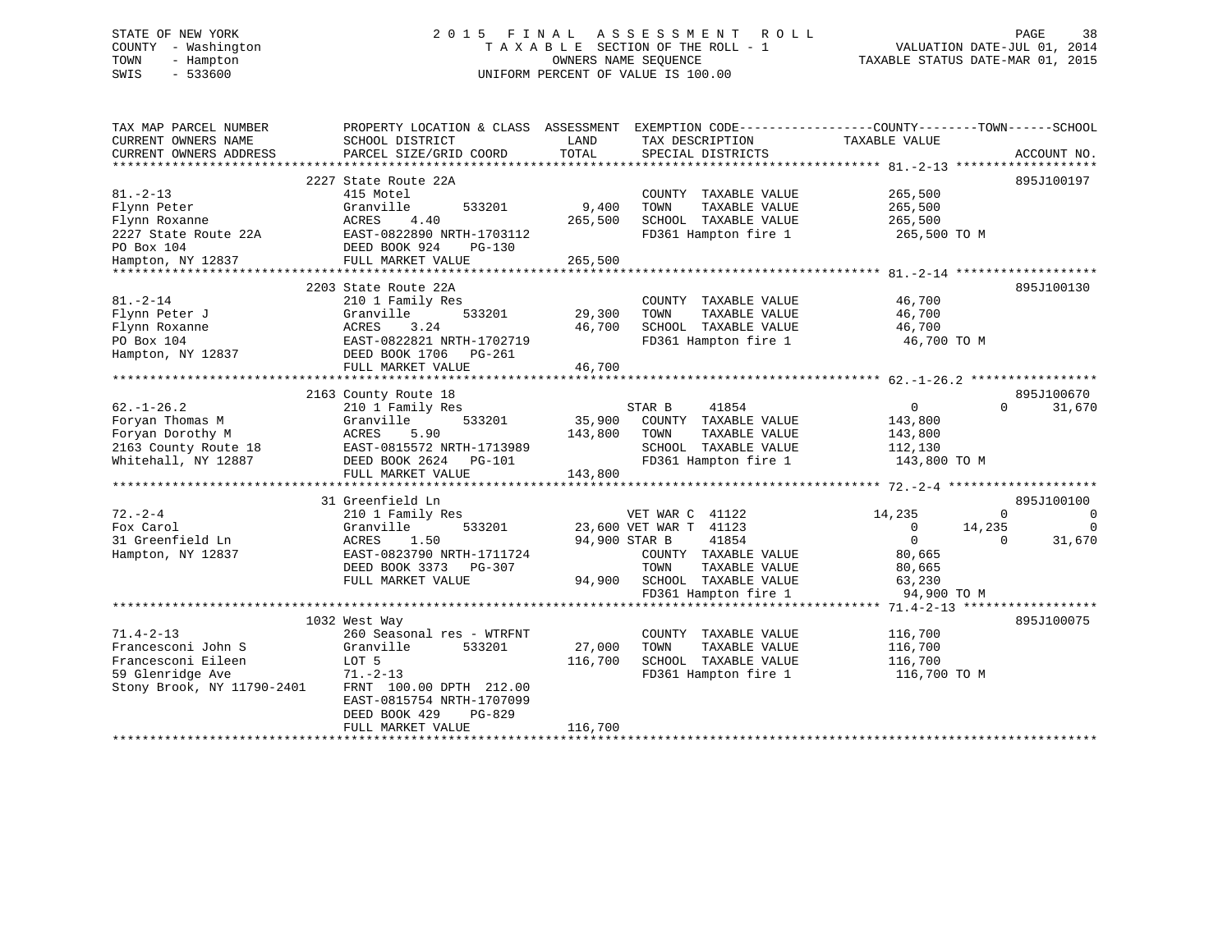# STATE OF NEW YORK 2 0 1 5 F I N A L A S S E S S M E N T R O L L PAGE 38 COUNTY - Washington T A X A B L E SECTION OF THE ROLL - 1 VALUATION DATE-JUL 01, 2014 TOWN - Hampton OWNERS NAME SEQUENCE TAXABLE STATUS DATE-MAR 01, 2015 SWIS - 533600 UNIFORM PERCENT OF VALUE IS 100.00

| 2227 State Route 22A<br>895J100197<br>$81. - 2 - 13$<br>415 Motel<br>COUNTY TAXABLE VALUE<br>265,500<br>Flynn Peter<br>Granville<br>533201<br>9,400<br>TAXABLE VALUE<br>265,500<br>TOWN<br>265,500<br>SCHOOL TAXABLE VALUE<br>Flynn Roxanne<br>ACRES<br>4.40<br>265,500<br>EAST-0822890 NRTH-1703112<br>FD361 Hampton fire 1<br>2227 State Route 22A<br>265,500 TO M<br>PO Box 104<br>DEED BOOK 924<br>PG-130<br>265,500<br>Hampton, NY 12837<br>FULL MARKET VALUE<br>2203 State Route 22A<br>895J100130<br>$81. - 2 - 14$<br>210 1 Family Res<br>46,700<br>COUNTY TAXABLE VALUE<br>Flynn Peter J<br>Granville<br>533201<br>29,300<br>TAXABLE VALUE<br>46,700<br>TOWN<br>3.24<br>Flynn Roxanne<br>ACRES<br>46,700<br>SCHOOL TAXABLE VALUE<br>46,700<br>PO Box 104<br>EAST-0822821 NRTH-1702719<br>FD361 Hampton fire 1<br>46,700 TO M<br>Hampton, NY 12837<br>DEED BOOK 1706<br>PG-261<br>FULL MARKET VALUE<br>46,700<br>895J100670<br>2163 County Route 18<br>$62. - 1 - 26.2$<br>STAR B<br>41854<br>210 1 Family Res<br>$\overline{0}$<br>$\Omega$<br>31,670<br>Foryan Thomas M<br>Granville<br>533201<br>35,900<br>COUNTY TAXABLE VALUE<br>143,800<br>Foryan Dorothy M<br>143,800<br>TAXABLE VALUE<br>ACRES<br>5.90<br>TOWN<br>143,800<br>2163 County Route 18<br>EAST-0815572 NRTH-1713989<br>SCHOOL TAXABLE VALUE<br>112,130<br>FD361 Hampton fire 1<br>Whitehall, NY 12887<br>DEED BOOK 2624 PG-101<br>143,800 TO M<br>FULL MARKET VALUE<br>143,800<br>31 Greenfield Ln<br>895J100100<br>$72. - 2 - 4$<br>14,235<br>210 1 Family Res<br>VET WAR C 41122<br>$\Omega$<br>0<br>Fox Carol<br>$\Omega$<br>Granville<br>533201<br>23,600 VET WAR T 41123<br>$\overline{0}$<br>14,235<br>$\overline{0}$<br>31 Greenfield Ln<br>ACRES<br>1.50<br>94,900 STAR B<br>41854<br>$\Omega$<br>31,670<br>EAST-0823790 NRTH-1711724<br>Hampton, NY 12837<br>COUNTY TAXABLE VALUE<br>80,665<br>DEED BOOK 3373 PG-307<br>TOWN<br>TAXABLE VALUE<br>80,665<br>FULL MARKET VALUE<br>94,900 SCHOOL TAXABLE VALUE<br>63,230<br>FD361 Hampton fire 1<br>94,900 TO M<br>895J100075<br>1032 West Way<br>$71.4 - 2 - 13$<br>260 Seasonal res - WTRFNT<br>COUNTY TAXABLE VALUE<br>116,700<br>Francesconi John S<br>Granville<br>533201<br>27,000<br>TOWN<br>TAXABLE VALUE<br>116,700<br>Francesconi Eileen<br>116,700<br>SCHOOL TAXABLE VALUE<br>LOT 5<br>116,700<br>59 Glenridge Ave<br>$71. - 2 - 13$<br>FD361 Hampton fire 1<br>116,700 TO M<br>Stony Brook, NY 11790-2401<br>FRNT 100.00 DPTH 212.00<br>EAST-0815754 NRTH-1707099<br>DEED BOOK 429<br>$PG-829$ | TAX MAP PARCEL NUMBER<br>CURRENT OWNERS NAME<br>CURRENT OWNERS ADDRESS | PROPERTY LOCATION & CLASS ASSESSMENT EXEMPTION CODE----------------COUNTY-------TOWN------SCHOOL<br>SCHOOL DISTRICT<br>PARCEL SIZE/GRID COORD | LAND<br>TOTAL | TAX DESCRIPTION<br>SPECIAL DISTRICTS | TAXABLE VALUE | ACCOUNT NO. |
|---------------------------------------------------------------------------------------------------------------------------------------------------------------------------------------------------------------------------------------------------------------------------------------------------------------------------------------------------------------------------------------------------------------------------------------------------------------------------------------------------------------------------------------------------------------------------------------------------------------------------------------------------------------------------------------------------------------------------------------------------------------------------------------------------------------------------------------------------------------------------------------------------------------------------------------------------------------------------------------------------------------------------------------------------------------------------------------------------------------------------------------------------------------------------------------------------------------------------------------------------------------------------------------------------------------------------------------------------------------------------------------------------------------------------------------------------------------------------------------------------------------------------------------------------------------------------------------------------------------------------------------------------------------------------------------------------------------------------------------------------------------------------------------------------------------------------------------------------------------------------------------------------------------------------------------------------------------------------------------------------------------------------------------------------------------------------------------------------------------------------------------------------------------------------------------------------------------------------------------------------------------------------------------------------------------------------------------------------------------------------------------------------------------------------------------------------------------------------------------------------------------------------------------------|------------------------------------------------------------------------|-----------------------------------------------------------------------------------------------------------------------------------------------|---------------|--------------------------------------|---------------|-------------|
|                                                                                                                                                                                                                                                                                                                                                                                                                                                                                                                                                                                                                                                                                                                                                                                                                                                                                                                                                                                                                                                                                                                                                                                                                                                                                                                                                                                                                                                                                                                                                                                                                                                                                                                                                                                                                                                                                                                                                                                                                                                                                                                                                                                                                                                                                                                                                                                                                                                                                                                                             |                                                                        |                                                                                                                                               |               |                                      |               |             |
|                                                                                                                                                                                                                                                                                                                                                                                                                                                                                                                                                                                                                                                                                                                                                                                                                                                                                                                                                                                                                                                                                                                                                                                                                                                                                                                                                                                                                                                                                                                                                                                                                                                                                                                                                                                                                                                                                                                                                                                                                                                                                                                                                                                                                                                                                                                                                                                                                                                                                                                                             |                                                                        |                                                                                                                                               |               |                                      |               |             |
|                                                                                                                                                                                                                                                                                                                                                                                                                                                                                                                                                                                                                                                                                                                                                                                                                                                                                                                                                                                                                                                                                                                                                                                                                                                                                                                                                                                                                                                                                                                                                                                                                                                                                                                                                                                                                                                                                                                                                                                                                                                                                                                                                                                                                                                                                                                                                                                                                                                                                                                                             |                                                                        |                                                                                                                                               |               |                                      |               |             |
|                                                                                                                                                                                                                                                                                                                                                                                                                                                                                                                                                                                                                                                                                                                                                                                                                                                                                                                                                                                                                                                                                                                                                                                                                                                                                                                                                                                                                                                                                                                                                                                                                                                                                                                                                                                                                                                                                                                                                                                                                                                                                                                                                                                                                                                                                                                                                                                                                                                                                                                                             |                                                                        |                                                                                                                                               |               |                                      |               |             |
|                                                                                                                                                                                                                                                                                                                                                                                                                                                                                                                                                                                                                                                                                                                                                                                                                                                                                                                                                                                                                                                                                                                                                                                                                                                                                                                                                                                                                                                                                                                                                                                                                                                                                                                                                                                                                                                                                                                                                                                                                                                                                                                                                                                                                                                                                                                                                                                                                                                                                                                                             |                                                                        |                                                                                                                                               |               |                                      |               |             |
|                                                                                                                                                                                                                                                                                                                                                                                                                                                                                                                                                                                                                                                                                                                                                                                                                                                                                                                                                                                                                                                                                                                                                                                                                                                                                                                                                                                                                                                                                                                                                                                                                                                                                                                                                                                                                                                                                                                                                                                                                                                                                                                                                                                                                                                                                                                                                                                                                                                                                                                                             |                                                                        |                                                                                                                                               |               |                                      |               |             |
|                                                                                                                                                                                                                                                                                                                                                                                                                                                                                                                                                                                                                                                                                                                                                                                                                                                                                                                                                                                                                                                                                                                                                                                                                                                                                                                                                                                                                                                                                                                                                                                                                                                                                                                                                                                                                                                                                                                                                                                                                                                                                                                                                                                                                                                                                                                                                                                                                                                                                                                                             |                                                                        |                                                                                                                                               |               |                                      |               |             |
|                                                                                                                                                                                                                                                                                                                                                                                                                                                                                                                                                                                                                                                                                                                                                                                                                                                                                                                                                                                                                                                                                                                                                                                                                                                                                                                                                                                                                                                                                                                                                                                                                                                                                                                                                                                                                                                                                                                                                                                                                                                                                                                                                                                                                                                                                                                                                                                                                                                                                                                                             |                                                                        |                                                                                                                                               |               |                                      |               |             |
|                                                                                                                                                                                                                                                                                                                                                                                                                                                                                                                                                                                                                                                                                                                                                                                                                                                                                                                                                                                                                                                                                                                                                                                                                                                                                                                                                                                                                                                                                                                                                                                                                                                                                                                                                                                                                                                                                                                                                                                                                                                                                                                                                                                                                                                                                                                                                                                                                                                                                                                                             |                                                                        |                                                                                                                                               |               |                                      |               |             |
|                                                                                                                                                                                                                                                                                                                                                                                                                                                                                                                                                                                                                                                                                                                                                                                                                                                                                                                                                                                                                                                                                                                                                                                                                                                                                                                                                                                                                                                                                                                                                                                                                                                                                                                                                                                                                                                                                                                                                                                                                                                                                                                                                                                                                                                                                                                                                                                                                                                                                                                                             |                                                                        |                                                                                                                                               |               |                                      |               |             |
|                                                                                                                                                                                                                                                                                                                                                                                                                                                                                                                                                                                                                                                                                                                                                                                                                                                                                                                                                                                                                                                                                                                                                                                                                                                                                                                                                                                                                                                                                                                                                                                                                                                                                                                                                                                                                                                                                                                                                                                                                                                                                                                                                                                                                                                                                                                                                                                                                                                                                                                                             |                                                                        |                                                                                                                                               |               |                                      |               |             |
|                                                                                                                                                                                                                                                                                                                                                                                                                                                                                                                                                                                                                                                                                                                                                                                                                                                                                                                                                                                                                                                                                                                                                                                                                                                                                                                                                                                                                                                                                                                                                                                                                                                                                                                                                                                                                                                                                                                                                                                                                                                                                                                                                                                                                                                                                                                                                                                                                                                                                                                                             |                                                                        |                                                                                                                                               |               |                                      |               |             |
|                                                                                                                                                                                                                                                                                                                                                                                                                                                                                                                                                                                                                                                                                                                                                                                                                                                                                                                                                                                                                                                                                                                                                                                                                                                                                                                                                                                                                                                                                                                                                                                                                                                                                                                                                                                                                                                                                                                                                                                                                                                                                                                                                                                                                                                                                                                                                                                                                                                                                                                                             |                                                                        |                                                                                                                                               |               |                                      |               |             |
|                                                                                                                                                                                                                                                                                                                                                                                                                                                                                                                                                                                                                                                                                                                                                                                                                                                                                                                                                                                                                                                                                                                                                                                                                                                                                                                                                                                                                                                                                                                                                                                                                                                                                                                                                                                                                                                                                                                                                                                                                                                                                                                                                                                                                                                                                                                                                                                                                                                                                                                                             |                                                                        |                                                                                                                                               |               |                                      |               |             |
|                                                                                                                                                                                                                                                                                                                                                                                                                                                                                                                                                                                                                                                                                                                                                                                                                                                                                                                                                                                                                                                                                                                                                                                                                                                                                                                                                                                                                                                                                                                                                                                                                                                                                                                                                                                                                                                                                                                                                                                                                                                                                                                                                                                                                                                                                                                                                                                                                                                                                                                                             |                                                                        |                                                                                                                                               |               |                                      |               |             |
|                                                                                                                                                                                                                                                                                                                                                                                                                                                                                                                                                                                                                                                                                                                                                                                                                                                                                                                                                                                                                                                                                                                                                                                                                                                                                                                                                                                                                                                                                                                                                                                                                                                                                                                                                                                                                                                                                                                                                                                                                                                                                                                                                                                                                                                                                                                                                                                                                                                                                                                                             |                                                                        |                                                                                                                                               |               |                                      |               |             |
|                                                                                                                                                                                                                                                                                                                                                                                                                                                                                                                                                                                                                                                                                                                                                                                                                                                                                                                                                                                                                                                                                                                                                                                                                                                                                                                                                                                                                                                                                                                                                                                                                                                                                                                                                                                                                                                                                                                                                                                                                                                                                                                                                                                                                                                                                                                                                                                                                                                                                                                                             |                                                                        |                                                                                                                                               |               |                                      |               |             |
|                                                                                                                                                                                                                                                                                                                                                                                                                                                                                                                                                                                                                                                                                                                                                                                                                                                                                                                                                                                                                                                                                                                                                                                                                                                                                                                                                                                                                                                                                                                                                                                                                                                                                                                                                                                                                                                                                                                                                                                                                                                                                                                                                                                                                                                                                                                                                                                                                                                                                                                                             |                                                                        |                                                                                                                                               |               |                                      |               |             |
|                                                                                                                                                                                                                                                                                                                                                                                                                                                                                                                                                                                                                                                                                                                                                                                                                                                                                                                                                                                                                                                                                                                                                                                                                                                                                                                                                                                                                                                                                                                                                                                                                                                                                                                                                                                                                                                                                                                                                                                                                                                                                                                                                                                                                                                                                                                                                                                                                                                                                                                                             |                                                                        |                                                                                                                                               |               |                                      |               |             |
|                                                                                                                                                                                                                                                                                                                                                                                                                                                                                                                                                                                                                                                                                                                                                                                                                                                                                                                                                                                                                                                                                                                                                                                                                                                                                                                                                                                                                                                                                                                                                                                                                                                                                                                                                                                                                                                                                                                                                                                                                                                                                                                                                                                                                                                                                                                                                                                                                                                                                                                                             |                                                                        |                                                                                                                                               |               |                                      |               |             |
|                                                                                                                                                                                                                                                                                                                                                                                                                                                                                                                                                                                                                                                                                                                                                                                                                                                                                                                                                                                                                                                                                                                                                                                                                                                                                                                                                                                                                                                                                                                                                                                                                                                                                                                                                                                                                                                                                                                                                                                                                                                                                                                                                                                                                                                                                                                                                                                                                                                                                                                                             |                                                                        |                                                                                                                                               |               |                                      |               |             |
|                                                                                                                                                                                                                                                                                                                                                                                                                                                                                                                                                                                                                                                                                                                                                                                                                                                                                                                                                                                                                                                                                                                                                                                                                                                                                                                                                                                                                                                                                                                                                                                                                                                                                                                                                                                                                                                                                                                                                                                                                                                                                                                                                                                                                                                                                                                                                                                                                                                                                                                                             |                                                                        |                                                                                                                                               |               |                                      |               |             |
|                                                                                                                                                                                                                                                                                                                                                                                                                                                                                                                                                                                                                                                                                                                                                                                                                                                                                                                                                                                                                                                                                                                                                                                                                                                                                                                                                                                                                                                                                                                                                                                                                                                                                                                                                                                                                                                                                                                                                                                                                                                                                                                                                                                                                                                                                                                                                                                                                                                                                                                                             |                                                                        |                                                                                                                                               |               |                                      |               |             |
|                                                                                                                                                                                                                                                                                                                                                                                                                                                                                                                                                                                                                                                                                                                                                                                                                                                                                                                                                                                                                                                                                                                                                                                                                                                                                                                                                                                                                                                                                                                                                                                                                                                                                                                                                                                                                                                                                                                                                                                                                                                                                                                                                                                                                                                                                                                                                                                                                                                                                                                                             |                                                                        |                                                                                                                                               |               |                                      |               |             |
|                                                                                                                                                                                                                                                                                                                                                                                                                                                                                                                                                                                                                                                                                                                                                                                                                                                                                                                                                                                                                                                                                                                                                                                                                                                                                                                                                                                                                                                                                                                                                                                                                                                                                                                                                                                                                                                                                                                                                                                                                                                                                                                                                                                                                                                                                                                                                                                                                                                                                                                                             |                                                                        |                                                                                                                                               |               |                                      |               |             |
|                                                                                                                                                                                                                                                                                                                                                                                                                                                                                                                                                                                                                                                                                                                                                                                                                                                                                                                                                                                                                                                                                                                                                                                                                                                                                                                                                                                                                                                                                                                                                                                                                                                                                                                                                                                                                                                                                                                                                                                                                                                                                                                                                                                                                                                                                                                                                                                                                                                                                                                                             |                                                                        |                                                                                                                                               |               |                                      |               |             |
|                                                                                                                                                                                                                                                                                                                                                                                                                                                                                                                                                                                                                                                                                                                                                                                                                                                                                                                                                                                                                                                                                                                                                                                                                                                                                                                                                                                                                                                                                                                                                                                                                                                                                                                                                                                                                                                                                                                                                                                                                                                                                                                                                                                                                                                                                                                                                                                                                                                                                                                                             |                                                                        |                                                                                                                                               |               |                                      |               |             |
|                                                                                                                                                                                                                                                                                                                                                                                                                                                                                                                                                                                                                                                                                                                                                                                                                                                                                                                                                                                                                                                                                                                                                                                                                                                                                                                                                                                                                                                                                                                                                                                                                                                                                                                                                                                                                                                                                                                                                                                                                                                                                                                                                                                                                                                                                                                                                                                                                                                                                                                                             |                                                                        |                                                                                                                                               |               |                                      |               |             |
|                                                                                                                                                                                                                                                                                                                                                                                                                                                                                                                                                                                                                                                                                                                                                                                                                                                                                                                                                                                                                                                                                                                                                                                                                                                                                                                                                                                                                                                                                                                                                                                                                                                                                                                                                                                                                                                                                                                                                                                                                                                                                                                                                                                                                                                                                                                                                                                                                                                                                                                                             |                                                                        |                                                                                                                                               |               |                                      |               |             |
|                                                                                                                                                                                                                                                                                                                                                                                                                                                                                                                                                                                                                                                                                                                                                                                                                                                                                                                                                                                                                                                                                                                                                                                                                                                                                                                                                                                                                                                                                                                                                                                                                                                                                                                                                                                                                                                                                                                                                                                                                                                                                                                                                                                                                                                                                                                                                                                                                                                                                                                                             |                                                                        |                                                                                                                                               |               |                                      |               |             |
|                                                                                                                                                                                                                                                                                                                                                                                                                                                                                                                                                                                                                                                                                                                                                                                                                                                                                                                                                                                                                                                                                                                                                                                                                                                                                                                                                                                                                                                                                                                                                                                                                                                                                                                                                                                                                                                                                                                                                                                                                                                                                                                                                                                                                                                                                                                                                                                                                                                                                                                                             |                                                                        |                                                                                                                                               |               |                                      |               |             |
|                                                                                                                                                                                                                                                                                                                                                                                                                                                                                                                                                                                                                                                                                                                                                                                                                                                                                                                                                                                                                                                                                                                                                                                                                                                                                                                                                                                                                                                                                                                                                                                                                                                                                                                                                                                                                                                                                                                                                                                                                                                                                                                                                                                                                                                                                                                                                                                                                                                                                                                                             |                                                                        |                                                                                                                                               |               |                                      |               |             |
|                                                                                                                                                                                                                                                                                                                                                                                                                                                                                                                                                                                                                                                                                                                                                                                                                                                                                                                                                                                                                                                                                                                                                                                                                                                                                                                                                                                                                                                                                                                                                                                                                                                                                                                                                                                                                                                                                                                                                                                                                                                                                                                                                                                                                                                                                                                                                                                                                                                                                                                                             |                                                                        |                                                                                                                                               |               |                                      |               |             |
|                                                                                                                                                                                                                                                                                                                                                                                                                                                                                                                                                                                                                                                                                                                                                                                                                                                                                                                                                                                                                                                                                                                                                                                                                                                                                                                                                                                                                                                                                                                                                                                                                                                                                                                                                                                                                                                                                                                                                                                                                                                                                                                                                                                                                                                                                                                                                                                                                                                                                                                                             |                                                                        |                                                                                                                                               |               |                                      |               |             |
|                                                                                                                                                                                                                                                                                                                                                                                                                                                                                                                                                                                                                                                                                                                                                                                                                                                                                                                                                                                                                                                                                                                                                                                                                                                                                                                                                                                                                                                                                                                                                                                                                                                                                                                                                                                                                                                                                                                                                                                                                                                                                                                                                                                                                                                                                                                                                                                                                                                                                                                                             |                                                                        |                                                                                                                                               |               |                                      |               |             |
|                                                                                                                                                                                                                                                                                                                                                                                                                                                                                                                                                                                                                                                                                                                                                                                                                                                                                                                                                                                                                                                                                                                                                                                                                                                                                                                                                                                                                                                                                                                                                                                                                                                                                                                                                                                                                                                                                                                                                                                                                                                                                                                                                                                                                                                                                                                                                                                                                                                                                                                                             |                                                                        |                                                                                                                                               |               |                                      |               |             |
|                                                                                                                                                                                                                                                                                                                                                                                                                                                                                                                                                                                                                                                                                                                                                                                                                                                                                                                                                                                                                                                                                                                                                                                                                                                                                                                                                                                                                                                                                                                                                                                                                                                                                                                                                                                                                                                                                                                                                                                                                                                                                                                                                                                                                                                                                                                                                                                                                                                                                                                                             |                                                                        |                                                                                                                                               |               |                                      |               |             |
|                                                                                                                                                                                                                                                                                                                                                                                                                                                                                                                                                                                                                                                                                                                                                                                                                                                                                                                                                                                                                                                                                                                                                                                                                                                                                                                                                                                                                                                                                                                                                                                                                                                                                                                                                                                                                                                                                                                                                                                                                                                                                                                                                                                                                                                                                                                                                                                                                                                                                                                                             |                                                                        |                                                                                                                                               |               |                                      |               |             |
|                                                                                                                                                                                                                                                                                                                                                                                                                                                                                                                                                                                                                                                                                                                                                                                                                                                                                                                                                                                                                                                                                                                                                                                                                                                                                                                                                                                                                                                                                                                                                                                                                                                                                                                                                                                                                                                                                                                                                                                                                                                                                                                                                                                                                                                                                                                                                                                                                                                                                                                                             |                                                                        |                                                                                                                                               |               |                                      |               |             |
|                                                                                                                                                                                                                                                                                                                                                                                                                                                                                                                                                                                                                                                                                                                                                                                                                                                                                                                                                                                                                                                                                                                                                                                                                                                                                                                                                                                                                                                                                                                                                                                                                                                                                                                                                                                                                                                                                                                                                                                                                                                                                                                                                                                                                                                                                                                                                                                                                                                                                                                                             |                                                                        |                                                                                                                                               |               |                                      |               |             |
|                                                                                                                                                                                                                                                                                                                                                                                                                                                                                                                                                                                                                                                                                                                                                                                                                                                                                                                                                                                                                                                                                                                                                                                                                                                                                                                                                                                                                                                                                                                                                                                                                                                                                                                                                                                                                                                                                                                                                                                                                                                                                                                                                                                                                                                                                                                                                                                                                                                                                                                                             |                                                                        |                                                                                                                                               |               |                                      |               |             |
|                                                                                                                                                                                                                                                                                                                                                                                                                                                                                                                                                                                                                                                                                                                                                                                                                                                                                                                                                                                                                                                                                                                                                                                                                                                                                                                                                                                                                                                                                                                                                                                                                                                                                                                                                                                                                                                                                                                                                                                                                                                                                                                                                                                                                                                                                                                                                                                                                                                                                                                                             |                                                                        |                                                                                                                                               |               |                                      |               |             |
|                                                                                                                                                                                                                                                                                                                                                                                                                                                                                                                                                                                                                                                                                                                                                                                                                                                                                                                                                                                                                                                                                                                                                                                                                                                                                                                                                                                                                                                                                                                                                                                                                                                                                                                                                                                                                                                                                                                                                                                                                                                                                                                                                                                                                                                                                                                                                                                                                                                                                                                                             |                                                                        |                                                                                                                                               |               |                                      |               |             |
|                                                                                                                                                                                                                                                                                                                                                                                                                                                                                                                                                                                                                                                                                                                                                                                                                                                                                                                                                                                                                                                                                                                                                                                                                                                                                                                                                                                                                                                                                                                                                                                                                                                                                                                                                                                                                                                                                                                                                                                                                                                                                                                                                                                                                                                                                                                                                                                                                                                                                                                                             |                                                                        |                                                                                                                                               |               |                                      |               |             |
| 116,700<br>FULL MARKET VALUE                                                                                                                                                                                                                                                                                                                                                                                                                                                                                                                                                                                                                                                                                                                                                                                                                                                                                                                                                                                                                                                                                                                                                                                                                                                                                                                                                                                                                                                                                                                                                                                                                                                                                                                                                                                                                                                                                                                                                                                                                                                                                                                                                                                                                                                                                                                                                                                                                                                                                                                |                                                                        |                                                                                                                                               |               |                                      |               |             |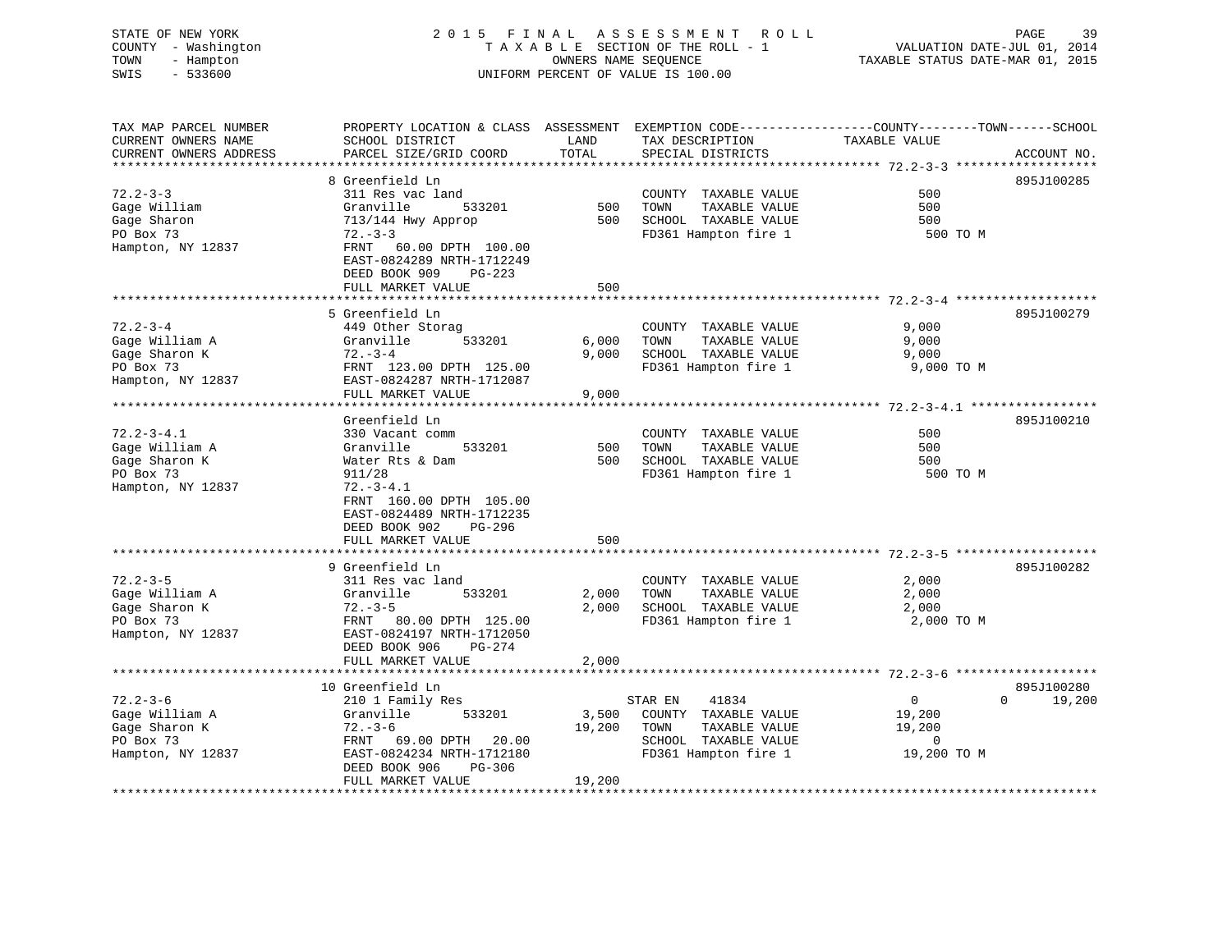### STATE OF NEW YORK 2 0 1 5 F I N A L A S S E S S M E N T R O L L PAGE 39COUNTY - Washington  $T A X A B L E$  SECTION OF THE ROLL - 1<br>TOWN - Hampton DATE-JUL 000NERS NAME SEQUENCE TOWN - Hampton OWNERS NAME SEQUENCE TAXABLE STATUS DATE-MAR 01, 2015 SWIS - 533600 UNIFORM PERCENT OF VALUE IS 100.00

| TAX MAP PARCEL NUMBER  |                                             |        | PROPERTY LOCATION & CLASS ASSESSMENT EXEMPTION CODE----------------COUNTY-------TOWN------SCHOOL |                |                    |
|------------------------|---------------------------------------------|--------|--------------------------------------------------------------------------------------------------|----------------|--------------------|
| CURRENT OWNERS NAME    | SCHOOL DISTRICT                             | LAND   | TAX DESCRIPTION                                                                                  | TAXABLE VALUE  |                    |
| CURRENT OWNERS ADDRESS | PARCEL SIZE/GRID COORD                      | TOTAL  | SPECIAL DISTRICTS                                                                                |                | ACCOUNT NO.        |
|                        |                                             |        |                                                                                                  |                |                    |
|                        | 8 Greenfield Ln                             |        |                                                                                                  |                | 895J100285         |
| $72.2 - 3 - 3$         | 311 Res vac land                            |        | COUNTY TAXABLE VALUE                                                                             | 500            |                    |
| Gage William           | Granville<br>533201                         | 500    | TAXABLE VALUE<br>TOWN                                                                            | 500            |                    |
| Gage Sharon            | 713/144 Hwy Approp                          | 500    | SCHOOL TAXABLE VALUE                                                                             | 500            |                    |
| PO Box 73              | $72 - 3 - 3$                                |        | FD361 Hampton fire 1                                                                             | 500 TO M       |                    |
| Hampton, NY 12837      | FRNT 60.00 DPTH 100.00                      |        |                                                                                                  |                |                    |
|                        | EAST-0824289 NRTH-1712249                   |        |                                                                                                  |                |                    |
|                        | DEED BOOK 909<br>$PG-223$                   |        |                                                                                                  |                |                    |
|                        | FULL MARKET VALUE                           | 500    |                                                                                                  |                |                    |
|                        |                                             |        |                                                                                                  |                |                    |
| $72.2 - 3 - 4$         | 5 Greenfield Ln<br>449 Other Storag         |        | COUNTY TAXABLE VALUE                                                                             | 9,000          | 895J100279         |
| Gage William A         | Granville<br>533201                         | 6,000  | TOWN<br>TAXABLE VALUE                                                                            | 9,000          |                    |
| Gage Sharon K          | $72. - 3 - 4$                               | 9,000  | SCHOOL TAXABLE VALUE                                                                             | 9,000          |                    |
| PO Box 73              | FRNT 123.00 DPTH 125.00                     |        | FD361 Hampton fire 1                                                                             | 9,000 TO M     |                    |
| Hampton, NY 12837      | EAST-0824287 NRTH-1712087                   |        |                                                                                                  |                |                    |
|                        | FULL MARKET VALUE                           | 9,000  |                                                                                                  |                |                    |
|                        | ***********************                     |        |                                                                                                  |                |                    |
|                        | Greenfield Ln                               |        |                                                                                                  |                | 895J100210         |
| $72.2 - 3 - 4.1$       | 330 Vacant comm                             |        | COUNTY TAXABLE VALUE                                                                             | 500            |                    |
| Gage William A         | Granville<br>533201                         | 500    | TOWN<br>TAXABLE VALUE                                                                            | 500            |                    |
| Gage Sharon K          | Water Rts & Dam                             | 500    | SCHOOL TAXABLE VALUE                                                                             | 500            |                    |
| PO Box 73              | 911/28                                      |        | FD361 Hampton fire 1                                                                             | 500 TO M       |                    |
| Hampton, NY 12837      | $72. - 3 - 4.1$                             |        |                                                                                                  |                |                    |
|                        | FRNT 160.00 DPTH 105.00                     |        |                                                                                                  |                |                    |
|                        | EAST-0824489 NRTH-1712235                   |        |                                                                                                  |                |                    |
|                        | DEED BOOK 902<br>PG-296                     |        |                                                                                                  |                |                    |
|                        | FULL MARKET VALUE                           | 500    |                                                                                                  |                |                    |
|                        |                                             |        |                                                                                                  |                |                    |
|                        | 9 Greenfield Ln                             |        |                                                                                                  |                | 895J100282         |
| $72.2 - 3 - 5$         | 311 Res vac land                            |        | COUNTY TAXABLE VALUE                                                                             | 2,000          |                    |
| Gage William A         | Granville<br>533201                         | 2,000  | TOWN<br>TAXABLE VALUE                                                                            | 2,000          |                    |
| Gage Sharon K          | $72. - 3 - 5$                               | 2,000  | SCHOOL TAXABLE VALUE                                                                             | 2,000          |                    |
| PO Box 73              | FRNT 80.00 DPTH 125.00                      |        | FD361 Hampton fire 1                                                                             | 2,000 TO M     |                    |
| Hampton, NY 12837      | EAST-0824197 NRTH-1712050                   |        |                                                                                                  |                |                    |
|                        | DEED BOOK 906<br><b>PG-274</b>              |        |                                                                                                  |                |                    |
|                        | FULL MARKET VALUE<br>********************** | 2,000  |                                                                                                  |                |                    |
|                        | 10 Greenfield Ln                            |        |                                                                                                  |                | 895J100280         |
| $72.2 - 3 - 6$         | 210 1 Family Res                            |        | STAR EN<br>41834                                                                                 | $\overline{0}$ | $\Omega$<br>19,200 |
| Gage William A         | Granville<br>533201                         | 3,500  | COUNTY TAXABLE VALUE                                                                             | 19,200         |                    |
| Gage Sharon K          | $72. - 3 - 6$                               | 19,200 | TOWN<br>TAXABLE VALUE                                                                            | 19,200         |                    |
| PO Box 73              | 69.00 DPTH<br>20.00<br>FRNT                 |        | SCHOOL TAXABLE VALUE                                                                             | $\Omega$       |                    |
| Hampton, NY 12837      | EAST-0824234 NRTH-1712180                   |        | FD361 Hampton fire 1                                                                             | 19,200 TO M    |                    |
|                        | DEED BOOK 906<br>PG-306                     |        |                                                                                                  |                |                    |
|                        | FULL MARKET VALUE                           | 19,200 |                                                                                                  |                |                    |
|                        |                                             |        |                                                                                                  |                |                    |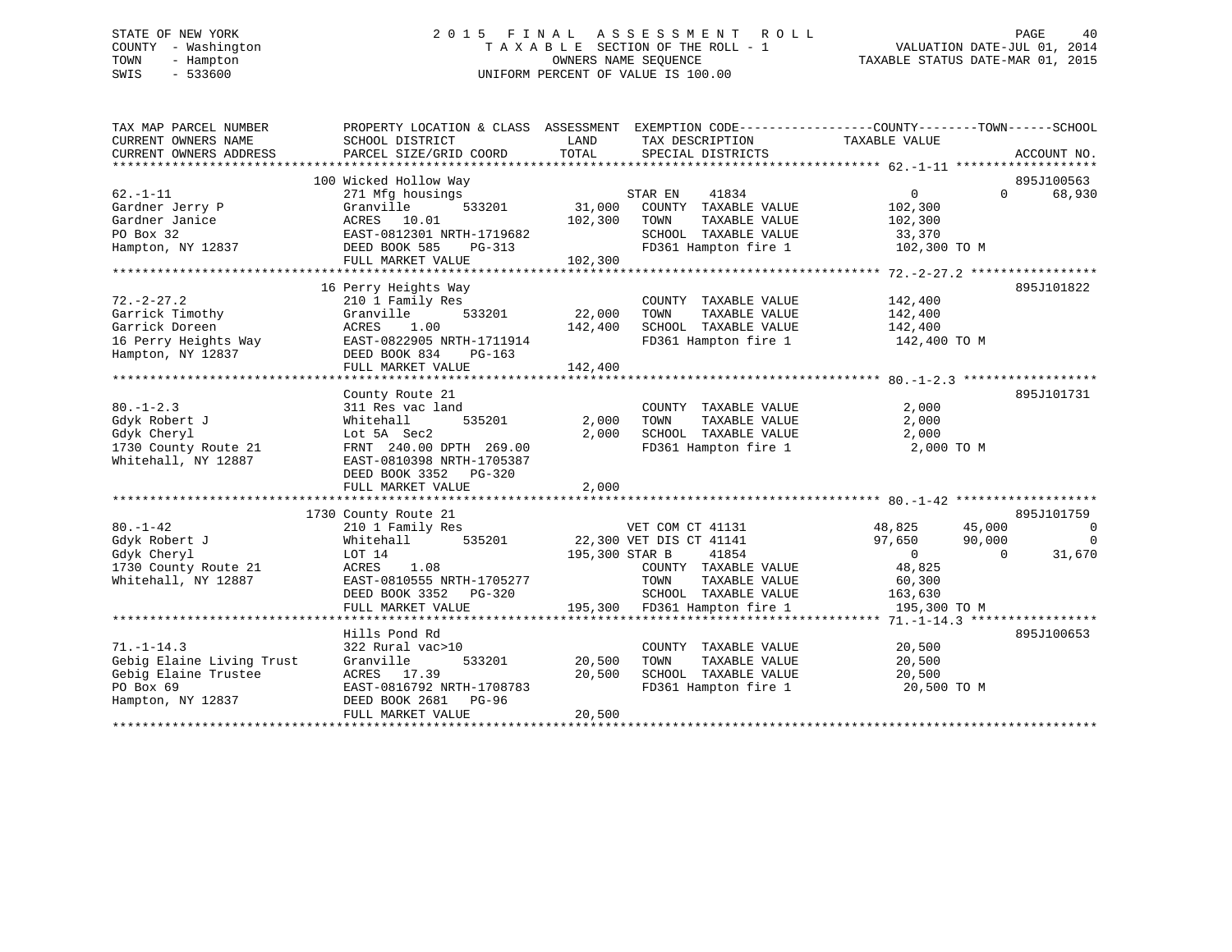# STATE OF NEW YORK 2 0 1 5 F I N A L A S S E S S M E N T R O L L PAGE 40 COUNTY - Washington T A X A B L E SECTION OF THE ROLL - 1 VALUATION DATE-JUL 01, 2014 TOWN - Hampton OWNERS NAME SEQUENCE TAXABLE STATUS DATE-MAR 01, 2015 SWIS - 533600 UNIFORM PERCENT OF VALUE IS 100.00

| 895J100563<br>100 Wicked Hollow Way<br>$62. -1 - 11$<br>0<br>$0 \qquad \qquad$<br>68,930<br>271 Mfg housings<br>STAR EN<br>41834<br>Gardner Jerry P<br>Granville<br>533201<br>31,000<br>COUNTY TAXABLE VALUE<br>102,300<br>Gardner Janice<br>ACRES 10.01<br>102,300<br>102,300<br>TOWN<br>TAXABLE VALUE<br>PO Box 32<br>EAST-0812301 NRTH-1719682<br>SCHOOL TAXABLE VALUE<br>33,370<br>FD361 Hampton fire 1<br>102,300 TO M<br>Hampton, NY 12837<br>DEED BOOK 585<br>PG-313<br>FULL MARKET VALUE<br>102,300<br>895J101822<br>16 Perry Heights Way<br>$72. - 2 - 27.2$<br>210 1 Family Res<br>COUNTY TAXABLE VALUE<br>142,400<br>Garrick Timothy<br>533201<br>22,000<br>Granville<br>TOWN<br>TAXABLE VALUE<br>142,400<br>Garrick Doreen<br>1.00<br>142,400<br>ACRES<br>SCHOOL TAXABLE VALUE<br>142,400<br>FD361 Hampton fire 1 142,400 TO M<br>16 Perry Heights Way<br>EAST-0822905 NRTH-1711914<br>Hampton, NY 12837<br>DEED BOOK 834<br>PG-163<br>142,400<br>FULL MARKET VALUE<br>895J101731<br>County Route 21<br>$80. - 1 - 2.3$<br>311 Res vac land<br>COUNTY TAXABLE VALUE<br>2,000<br>535201<br>2,000<br>2,000<br>Gdyk Robert J<br>Whitehall<br>TOWN<br>TAXABLE VALUE<br>Gdyk Cheryl<br>Lot 5A Sec2<br>2,000<br>SCHOOL TAXABLE VALUE<br>2,000<br>FD361 Hampton fire 1<br>FRNT 240.00 DPTH 269.00<br>2,000 TO M<br>1730 County Route 21<br>Whitehall, NY 12887<br>EAST-0810398 NRTH-1705387<br>DEED BOOK 3352 PG-320<br>2,000<br>FULL MARKET VALUE<br>895J101759<br>1730 County Route 21<br>VET COM CT 41131<br>35201 22,300 VET DIS CT 41141<br>$80. - 1 - 42$<br>48,825<br>45,000<br>VET COM CT 41131<br>- 0<br>210 1 Family Res<br>Whitehall 535201<br>$\overline{0}$<br>Gdyk Robert J<br>97,650<br>90,000<br>195,300 STAR B<br>41854<br>$\overline{0}$<br>31,670<br>Gdyk Cheryl<br>LOT 14<br>$\Omega$<br>1.08<br>48,825<br>1730 County Route 21<br>ACRES<br>COUNTY TAXABLE VALUE<br>EAST-0810555 NRTH-1705277<br>Whitehall, NY 12887<br>TAXABLE VALUE<br>60,300<br>TOWN<br>SCHOOL TAXABLE VALUE<br>DEED BOOK 3352 PG-320<br>163,630<br>195,300 FD361 Hampton fire 1<br>FULL MARKET VALUE<br>195,300 TO M<br>895J100653<br>Hills Pond Rd<br>$71. - 1 - 14.3$<br>322 Rural vac>10<br>20,500<br>COUNTY TAXABLE VALUE<br>Gebig Elaine Living Trust<br>20,500<br>20,500<br>Granville<br>533201<br>TOWN<br>TAXABLE VALUE<br>Gebig Elaine Trustee<br>20,500<br>SCHOOL TAXABLE VALUE<br>ACRES 17.39<br>20,500<br>PO Box 69<br>FD361 Hampton fire 1<br>EAST-0816792 NRTH-1708783<br>20,500 TO M<br>Hampton, NY 12837<br>DEED BOOK 2681 PG-96<br>20,500<br>FULL MARKET VALUE | TAX MAP PARCEL NUMBER<br>CURRENT OWNERS NAME<br>CURRENT OWNERS ADDRESS | PROPERTY LOCATION & CLASS ASSESSMENT EXEMPTION CODE---------------COUNTY-------TOWN-----SCHOOL<br>SCHOOL DISTRICT<br>PARCEL SIZE/GRID COORD | LAND<br>TOTAL | TAX DESCRIPTION<br>SPECIAL DISTRICTS | TAXABLE VALUE | ACCOUNT NO. |
|-----------------------------------------------------------------------------------------------------------------------------------------------------------------------------------------------------------------------------------------------------------------------------------------------------------------------------------------------------------------------------------------------------------------------------------------------------------------------------------------------------------------------------------------------------------------------------------------------------------------------------------------------------------------------------------------------------------------------------------------------------------------------------------------------------------------------------------------------------------------------------------------------------------------------------------------------------------------------------------------------------------------------------------------------------------------------------------------------------------------------------------------------------------------------------------------------------------------------------------------------------------------------------------------------------------------------------------------------------------------------------------------------------------------------------------------------------------------------------------------------------------------------------------------------------------------------------------------------------------------------------------------------------------------------------------------------------------------------------------------------------------------------------------------------------------------------------------------------------------------------------------------------------------------------------------------------------------------------------------------------------------------------------------------------------------------------------------------------------------------------------------------------------------------------------------------------------------------------------------------------------------------------------------------------------------------------------------------------------------------------------------------------------------------------------------------------------------------------------------------------------------------------------------------------------------------------------|------------------------------------------------------------------------|---------------------------------------------------------------------------------------------------------------------------------------------|---------------|--------------------------------------|---------------|-------------|
|                                                                                                                                                                                                                                                                                                                                                                                                                                                                                                                                                                                                                                                                                                                                                                                                                                                                                                                                                                                                                                                                                                                                                                                                                                                                                                                                                                                                                                                                                                                                                                                                                                                                                                                                                                                                                                                                                                                                                                                                                                                                                                                                                                                                                                                                                                                                                                                                                                                                                                                                                                             |                                                                        |                                                                                                                                             |               |                                      |               |             |
|                                                                                                                                                                                                                                                                                                                                                                                                                                                                                                                                                                                                                                                                                                                                                                                                                                                                                                                                                                                                                                                                                                                                                                                                                                                                                                                                                                                                                                                                                                                                                                                                                                                                                                                                                                                                                                                                                                                                                                                                                                                                                                                                                                                                                                                                                                                                                                                                                                                                                                                                                                             |                                                                        |                                                                                                                                             |               |                                      |               |             |
|                                                                                                                                                                                                                                                                                                                                                                                                                                                                                                                                                                                                                                                                                                                                                                                                                                                                                                                                                                                                                                                                                                                                                                                                                                                                                                                                                                                                                                                                                                                                                                                                                                                                                                                                                                                                                                                                                                                                                                                                                                                                                                                                                                                                                                                                                                                                                                                                                                                                                                                                                                             |                                                                        |                                                                                                                                             |               |                                      |               |             |
|                                                                                                                                                                                                                                                                                                                                                                                                                                                                                                                                                                                                                                                                                                                                                                                                                                                                                                                                                                                                                                                                                                                                                                                                                                                                                                                                                                                                                                                                                                                                                                                                                                                                                                                                                                                                                                                                                                                                                                                                                                                                                                                                                                                                                                                                                                                                                                                                                                                                                                                                                                             |                                                                        |                                                                                                                                             |               |                                      |               |             |
|                                                                                                                                                                                                                                                                                                                                                                                                                                                                                                                                                                                                                                                                                                                                                                                                                                                                                                                                                                                                                                                                                                                                                                                                                                                                                                                                                                                                                                                                                                                                                                                                                                                                                                                                                                                                                                                                                                                                                                                                                                                                                                                                                                                                                                                                                                                                                                                                                                                                                                                                                                             |                                                                        |                                                                                                                                             |               |                                      |               |             |
|                                                                                                                                                                                                                                                                                                                                                                                                                                                                                                                                                                                                                                                                                                                                                                                                                                                                                                                                                                                                                                                                                                                                                                                                                                                                                                                                                                                                                                                                                                                                                                                                                                                                                                                                                                                                                                                                                                                                                                                                                                                                                                                                                                                                                                                                                                                                                                                                                                                                                                                                                                             |                                                                        |                                                                                                                                             |               |                                      |               |             |
|                                                                                                                                                                                                                                                                                                                                                                                                                                                                                                                                                                                                                                                                                                                                                                                                                                                                                                                                                                                                                                                                                                                                                                                                                                                                                                                                                                                                                                                                                                                                                                                                                                                                                                                                                                                                                                                                                                                                                                                                                                                                                                                                                                                                                                                                                                                                                                                                                                                                                                                                                                             |                                                                        |                                                                                                                                             |               |                                      |               |             |
|                                                                                                                                                                                                                                                                                                                                                                                                                                                                                                                                                                                                                                                                                                                                                                                                                                                                                                                                                                                                                                                                                                                                                                                                                                                                                                                                                                                                                                                                                                                                                                                                                                                                                                                                                                                                                                                                                                                                                                                                                                                                                                                                                                                                                                                                                                                                                                                                                                                                                                                                                                             |                                                                        |                                                                                                                                             |               |                                      |               |             |
|                                                                                                                                                                                                                                                                                                                                                                                                                                                                                                                                                                                                                                                                                                                                                                                                                                                                                                                                                                                                                                                                                                                                                                                                                                                                                                                                                                                                                                                                                                                                                                                                                                                                                                                                                                                                                                                                                                                                                                                                                                                                                                                                                                                                                                                                                                                                                                                                                                                                                                                                                                             |                                                                        |                                                                                                                                             |               |                                      |               |             |
|                                                                                                                                                                                                                                                                                                                                                                                                                                                                                                                                                                                                                                                                                                                                                                                                                                                                                                                                                                                                                                                                                                                                                                                                                                                                                                                                                                                                                                                                                                                                                                                                                                                                                                                                                                                                                                                                                                                                                                                                                                                                                                                                                                                                                                                                                                                                                                                                                                                                                                                                                                             |                                                                        |                                                                                                                                             |               |                                      |               |             |
|                                                                                                                                                                                                                                                                                                                                                                                                                                                                                                                                                                                                                                                                                                                                                                                                                                                                                                                                                                                                                                                                                                                                                                                                                                                                                                                                                                                                                                                                                                                                                                                                                                                                                                                                                                                                                                                                                                                                                                                                                                                                                                                                                                                                                                                                                                                                                                                                                                                                                                                                                                             |                                                                        |                                                                                                                                             |               |                                      |               |             |
|                                                                                                                                                                                                                                                                                                                                                                                                                                                                                                                                                                                                                                                                                                                                                                                                                                                                                                                                                                                                                                                                                                                                                                                                                                                                                                                                                                                                                                                                                                                                                                                                                                                                                                                                                                                                                                                                                                                                                                                                                                                                                                                                                                                                                                                                                                                                                                                                                                                                                                                                                                             |                                                                        |                                                                                                                                             |               |                                      |               |             |
|                                                                                                                                                                                                                                                                                                                                                                                                                                                                                                                                                                                                                                                                                                                                                                                                                                                                                                                                                                                                                                                                                                                                                                                                                                                                                                                                                                                                                                                                                                                                                                                                                                                                                                                                                                                                                                                                                                                                                                                                                                                                                                                                                                                                                                                                                                                                                                                                                                                                                                                                                                             |                                                                        |                                                                                                                                             |               |                                      |               |             |
|                                                                                                                                                                                                                                                                                                                                                                                                                                                                                                                                                                                                                                                                                                                                                                                                                                                                                                                                                                                                                                                                                                                                                                                                                                                                                                                                                                                                                                                                                                                                                                                                                                                                                                                                                                                                                                                                                                                                                                                                                                                                                                                                                                                                                                                                                                                                                                                                                                                                                                                                                                             |                                                                        |                                                                                                                                             |               |                                      |               |             |
|                                                                                                                                                                                                                                                                                                                                                                                                                                                                                                                                                                                                                                                                                                                                                                                                                                                                                                                                                                                                                                                                                                                                                                                                                                                                                                                                                                                                                                                                                                                                                                                                                                                                                                                                                                                                                                                                                                                                                                                                                                                                                                                                                                                                                                                                                                                                                                                                                                                                                                                                                                             |                                                                        |                                                                                                                                             |               |                                      |               |             |
|                                                                                                                                                                                                                                                                                                                                                                                                                                                                                                                                                                                                                                                                                                                                                                                                                                                                                                                                                                                                                                                                                                                                                                                                                                                                                                                                                                                                                                                                                                                                                                                                                                                                                                                                                                                                                                                                                                                                                                                                                                                                                                                                                                                                                                                                                                                                                                                                                                                                                                                                                                             |                                                                        |                                                                                                                                             |               |                                      |               |             |
|                                                                                                                                                                                                                                                                                                                                                                                                                                                                                                                                                                                                                                                                                                                                                                                                                                                                                                                                                                                                                                                                                                                                                                                                                                                                                                                                                                                                                                                                                                                                                                                                                                                                                                                                                                                                                                                                                                                                                                                                                                                                                                                                                                                                                                                                                                                                                                                                                                                                                                                                                                             |                                                                        |                                                                                                                                             |               |                                      |               |             |
|                                                                                                                                                                                                                                                                                                                                                                                                                                                                                                                                                                                                                                                                                                                                                                                                                                                                                                                                                                                                                                                                                                                                                                                                                                                                                                                                                                                                                                                                                                                                                                                                                                                                                                                                                                                                                                                                                                                                                                                                                                                                                                                                                                                                                                                                                                                                                                                                                                                                                                                                                                             |                                                                        |                                                                                                                                             |               |                                      |               |             |
|                                                                                                                                                                                                                                                                                                                                                                                                                                                                                                                                                                                                                                                                                                                                                                                                                                                                                                                                                                                                                                                                                                                                                                                                                                                                                                                                                                                                                                                                                                                                                                                                                                                                                                                                                                                                                                                                                                                                                                                                                                                                                                                                                                                                                                                                                                                                                                                                                                                                                                                                                                             |                                                                        |                                                                                                                                             |               |                                      |               |             |
|                                                                                                                                                                                                                                                                                                                                                                                                                                                                                                                                                                                                                                                                                                                                                                                                                                                                                                                                                                                                                                                                                                                                                                                                                                                                                                                                                                                                                                                                                                                                                                                                                                                                                                                                                                                                                                                                                                                                                                                                                                                                                                                                                                                                                                                                                                                                                                                                                                                                                                                                                                             |                                                                        |                                                                                                                                             |               |                                      |               |             |
|                                                                                                                                                                                                                                                                                                                                                                                                                                                                                                                                                                                                                                                                                                                                                                                                                                                                                                                                                                                                                                                                                                                                                                                                                                                                                                                                                                                                                                                                                                                                                                                                                                                                                                                                                                                                                                                                                                                                                                                                                                                                                                                                                                                                                                                                                                                                                                                                                                                                                                                                                                             |                                                                        |                                                                                                                                             |               |                                      |               |             |
|                                                                                                                                                                                                                                                                                                                                                                                                                                                                                                                                                                                                                                                                                                                                                                                                                                                                                                                                                                                                                                                                                                                                                                                                                                                                                                                                                                                                                                                                                                                                                                                                                                                                                                                                                                                                                                                                                                                                                                                                                                                                                                                                                                                                                                                                                                                                                                                                                                                                                                                                                                             |                                                                        |                                                                                                                                             |               |                                      |               |             |
|                                                                                                                                                                                                                                                                                                                                                                                                                                                                                                                                                                                                                                                                                                                                                                                                                                                                                                                                                                                                                                                                                                                                                                                                                                                                                                                                                                                                                                                                                                                                                                                                                                                                                                                                                                                                                                                                                                                                                                                                                                                                                                                                                                                                                                                                                                                                                                                                                                                                                                                                                                             |                                                                        |                                                                                                                                             |               |                                      |               |             |
|                                                                                                                                                                                                                                                                                                                                                                                                                                                                                                                                                                                                                                                                                                                                                                                                                                                                                                                                                                                                                                                                                                                                                                                                                                                                                                                                                                                                                                                                                                                                                                                                                                                                                                                                                                                                                                                                                                                                                                                                                                                                                                                                                                                                                                                                                                                                                                                                                                                                                                                                                                             |                                                                        |                                                                                                                                             |               |                                      |               |             |
|                                                                                                                                                                                                                                                                                                                                                                                                                                                                                                                                                                                                                                                                                                                                                                                                                                                                                                                                                                                                                                                                                                                                                                                                                                                                                                                                                                                                                                                                                                                                                                                                                                                                                                                                                                                                                                                                                                                                                                                                                                                                                                                                                                                                                                                                                                                                                                                                                                                                                                                                                                             |                                                                        |                                                                                                                                             |               |                                      |               |             |
|                                                                                                                                                                                                                                                                                                                                                                                                                                                                                                                                                                                                                                                                                                                                                                                                                                                                                                                                                                                                                                                                                                                                                                                                                                                                                                                                                                                                                                                                                                                                                                                                                                                                                                                                                                                                                                                                                                                                                                                                                                                                                                                                                                                                                                                                                                                                                                                                                                                                                                                                                                             |                                                                        |                                                                                                                                             |               |                                      |               |             |
|                                                                                                                                                                                                                                                                                                                                                                                                                                                                                                                                                                                                                                                                                                                                                                                                                                                                                                                                                                                                                                                                                                                                                                                                                                                                                                                                                                                                                                                                                                                                                                                                                                                                                                                                                                                                                                                                                                                                                                                                                                                                                                                                                                                                                                                                                                                                                                                                                                                                                                                                                                             |                                                                        |                                                                                                                                             |               |                                      |               |             |
|                                                                                                                                                                                                                                                                                                                                                                                                                                                                                                                                                                                                                                                                                                                                                                                                                                                                                                                                                                                                                                                                                                                                                                                                                                                                                                                                                                                                                                                                                                                                                                                                                                                                                                                                                                                                                                                                                                                                                                                                                                                                                                                                                                                                                                                                                                                                                                                                                                                                                                                                                                             |                                                                        |                                                                                                                                             |               |                                      |               |             |
|                                                                                                                                                                                                                                                                                                                                                                                                                                                                                                                                                                                                                                                                                                                                                                                                                                                                                                                                                                                                                                                                                                                                                                                                                                                                                                                                                                                                                                                                                                                                                                                                                                                                                                                                                                                                                                                                                                                                                                                                                                                                                                                                                                                                                                                                                                                                                                                                                                                                                                                                                                             |                                                                        |                                                                                                                                             |               |                                      |               |             |
|                                                                                                                                                                                                                                                                                                                                                                                                                                                                                                                                                                                                                                                                                                                                                                                                                                                                                                                                                                                                                                                                                                                                                                                                                                                                                                                                                                                                                                                                                                                                                                                                                                                                                                                                                                                                                                                                                                                                                                                                                                                                                                                                                                                                                                                                                                                                                                                                                                                                                                                                                                             |                                                                        |                                                                                                                                             |               |                                      |               |             |
|                                                                                                                                                                                                                                                                                                                                                                                                                                                                                                                                                                                                                                                                                                                                                                                                                                                                                                                                                                                                                                                                                                                                                                                                                                                                                                                                                                                                                                                                                                                                                                                                                                                                                                                                                                                                                                                                                                                                                                                                                                                                                                                                                                                                                                                                                                                                                                                                                                                                                                                                                                             |                                                                        |                                                                                                                                             |               |                                      |               |             |
|                                                                                                                                                                                                                                                                                                                                                                                                                                                                                                                                                                                                                                                                                                                                                                                                                                                                                                                                                                                                                                                                                                                                                                                                                                                                                                                                                                                                                                                                                                                                                                                                                                                                                                                                                                                                                                                                                                                                                                                                                                                                                                                                                                                                                                                                                                                                                                                                                                                                                                                                                                             |                                                                        |                                                                                                                                             |               |                                      |               |             |
|                                                                                                                                                                                                                                                                                                                                                                                                                                                                                                                                                                                                                                                                                                                                                                                                                                                                                                                                                                                                                                                                                                                                                                                                                                                                                                                                                                                                                                                                                                                                                                                                                                                                                                                                                                                                                                                                                                                                                                                                                                                                                                                                                                                                                                                                                                                                                                                                                                                                                                                                                                             |                                                                        |                                                                                                                                             |               |                                      |               |             |
|                                                                                                                                                                                                                                                                                                                                                                                                                                                                                                                                                                                                                                                                                                                                                                                                                                                                                                                                                                                                                                                                                                                                                                                                                                                                                                                                                                                                                                                                                                                                                                                                                                                                                                                                                                                                                                                                                                                                                                                                                                                                                                                                                                                                                                                                                                                                                                                                                                                                                                                                                                             |                                                                        |                                                                                                                                             |               |                                      |               |             |
|                                                                                                                                                                                                                                                                                                                                                                                                                                                                                                                                                                                                                                                                                                                                                                                                                                                                                                                                                                                                                                                                                                                                                                                                                                                                                                                                                                                                                                                                                                                                                                                                                                                                                                                                                                                                                                                                                                                                                                                                                                                                                                                                                                                                                                                                                                                                                                                                                                                                                                                                                                             |                                                                        |                                                                                                                                             |               |                                      |               |             |
|                                                                                                                                                                                                                                                                                                                                                                                                                                                                                                                                                                                                                                                                                                                                                                                                                                                                                                                                                                                                                                                                                                                                                                                                                                                                                                                                                                                                                                                                                                                                                                                                                                                                                                                                                                                                                                                                                                                                                                                                                                                                                                                                                                                                                                                                                                                                                                                                                                                                                                                                                                             |                                                                        |                                                                                                                                             |               |                                      |               |             |
|                                                                                                                                                                                                                                                                                                                                                                                                                                                                                                                                                                                                                                                                                                                                                                                                                                                                                                                                                                                                                                                                                                                                                                                                                                                                                                                                                                                                                                                                                                                                                                                                                                                                                                                                                                                                                                                                                                                                                                                                                                                                                                                                                                                                                                                                                                                                                                                                                                                                                                                                                                             |                                                                        |                                                                                                                                             |               |                                      |               |             |
|                                                                                                                                                                                                                                                                                                                                                                                                                                                                                                                                                                                                                                                                                                                                                                                                                                                                                                                                                                                                                                                                                                                                                                                                                                                                                                                                                                                                                                                                                                                                                                                                                                                                                                                                                                                                                                                                                                                                                                                                                                                                                                                                                                                                                                                                                                                                                                                                                                                                                                                                                                             |                                                                        |                                                                                                                                             |               |                                      |               |             |
|                                                                                                                                                                                                                                                                                                                                                                                                                                                                                                                                                                                                                                                                                                                                                                                                                                                                                                                                                                                                                                                                                                                                                                                                                                                                                                                                                                                                                                                                                                                                                                                                                                                                                                                                                                                                                                                                                                                                                                                                                                                                                                                                                                                                                                                                                                                                                                                                                                                                                                                                                                             |                                                                        |                                                                                                                                             |               |                                      |               |             |
|                                                                                                                                                                                                                                                                                                                                                                                                                                                                                                                                                                                                                                                                                                                                                                                                                                                                                                                                                                                                                                                                                                                                                                                                                                                                                                                                                                                                                                                                                                                                                                                                                                                                                                                                                                                                                                                                                                                                                                                                                                                                                                                                                                                                                                                                                                                                                                                                                                                                                                                                                                             |                                                                        |                                                                                                                                             |               |                                      |               |             |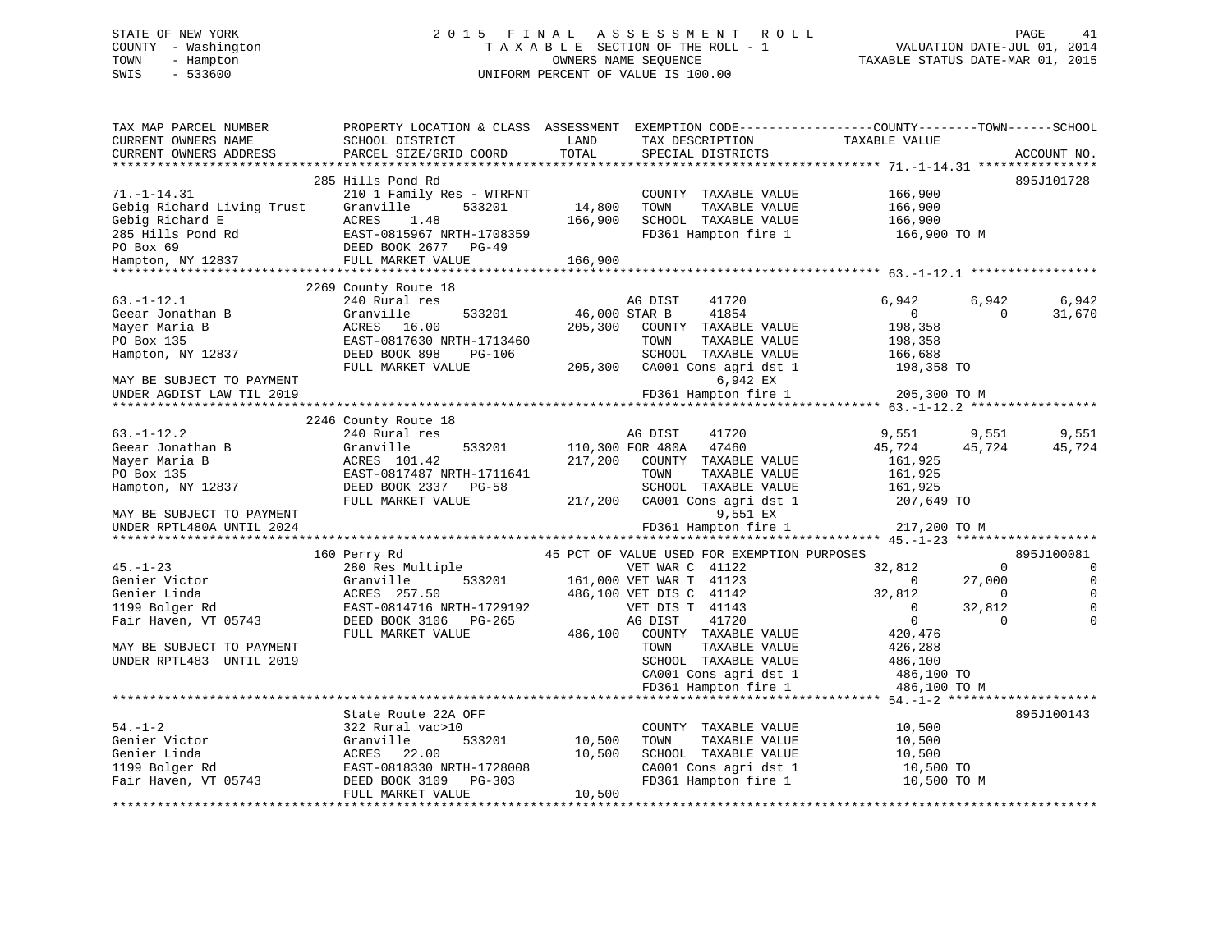# STATE OF NEW YORK 2 0 1 5 F I N A L A S S E S S M E N T R O L L PAGE 41 COUNTY - Washington T A X A B L E SECTION OF THE ROLL - 1 VALUATION DATE-JUL 01, 2014 TOWN - Hampton OWNERS NAME SEQUENCE TAXABLE STATUS DATE-MAR 01, 2015 SWIS - 533600 UNIFORM PERCENT OF VALUE IS 100.00

| TAX MAP PARCEL NUMBER<br>CURRENT OWNERS NAME<br>CURRENT OWNERS ADDRESS | PROPERTY LOCATION & CLASS ASSESSMENT<br>SCHOOL DISTRICT<br>PARCEL SIZE/GRID COORD | LAND<br>TOTAL | EXEMPTION CODE-----------------COUNTY-------TOWN------SCHOOL<br>TAX DESCRIPTION<br>SPECIAL DISTRICTS | TAXABLE VALUE  | ACCOUNT NO.                |
|------------------------------------------------------------------------|-----------------------------------------------------------------------------------|---------------|------------------------------------------------------------------------------------------------------|----------------|----------------------------|
|                                                                        |                                                                                   |               |                                                                                                      |                |                            |
|                                                                        | 285 Hills Pond Rd                                                                 |               |                                                                                                      |                | 895J101728                 |
| $71. - 1 - 14.31$                                                      | 210 1 Family Res - WTRFNT                                                         |               | COUNTY TAXABLE VALUE                                                                                 | 166,900        |                            |
| Gebig Richard Living Trust                                             | Granville<br>533201                                                               | 14,800        | TOWN<br>TAXABLE VALUE                                                                                | 166,900        |                            |
| Gebig Richard E                                                        | ACRES<br>1.48                                                                     | 166,900       | SCHOOL TAXABLE VALUE                                                                                 | 166,900        |                            |
| 285 Hills Pond Rd                                                      | EAST-0815967 NRTH-1708359                                                         |               | FD361 Hampton fire 1                                                                                 | 166,900 ТО М   |                            |
|                                                                        | DEED BOOK 2677<br>$PG-49$                                                         |               |                                                                                                      |                |                            |
| PO Box 69<br>Hampton, NY 12837                                         | FULL MARKET VALUE                                                                 | 166,900       |                                                                                                      |                |                            |
|                                                                        |                                                                                   |               |                                                                                                      |                |                            |
|                                                                        | 2269 County Route 18                                                              |               |                                                                                                      |                |                            |
| $63. - 1 - 12.1$                                                       | 240 Rural res                                                                     |               | AG DIST<br>41720                                                                                     | 6,942          | 6,942<br>6,942             |
| Geear Jonathan B                                                       | Granville<br>533201                                                               | 46,000 STAR B | 41854                                                                                                | $\overline{0}$ | 31,670<br>$\Omega$         |
| Mayer Maria B                                                          | 16.00<br>ACRES                                                                    | 205,300       | COUNTY TAXABLE VALUE                                                                                 | 198,358        |                            |
| PO Box 135                                                             | EAST-0817630 NRTH-1713460                                                         |               | TOWN<br>TAXABLE VALUE                                                                                | 198,358        |                            |
| Hampton, NY 12837                                                      | DEED BOOK 898<br><b>PG-106</b>                                                    |               | SCHOOL TAXABLE VALUE                                                                                 | 166,688        |                            |
|                                                                        | FULL MARKET VALUE                                                                 | 205,300       | CA001 Cons agri dst 1                                                                                | 198,358 TO     |                            |
| MAY BE SUBJECT TO PAYMENT                                              |                                                                                   |               | 6,942 EX                                                                                             |                |                            |
| UNDER AGDIST LAW TIL 2019                                              |                                                                                   |               | FD361 Hampton fire 1                                                                                 | 205,300 TO M   |                            |
| *************************                                              | ********************************                                                  |               |                                                                                                      |                |                            |
|                                                                        | 2246 County Route 18                                                              |               |                                                                                                      |                |                            |
| $63. - 1 - 12.2$                                                       | 240 Rural res                                                                     |               | AG DIST<br>41720                                                                                     | 9,551          | 9,551<br>9,551             |
| Geear Jonathan B                                                       | Granville<br>533201                                                               |               | 110,300 FOR 480A<br>47460                                                                            | 45,724         | 45,724<br>45,724           |
| Mayer Maria B                                                          | ACRES 101.42                                                                      | 217,200       | COUNTY TAXABLE VALUE                                                                                 | 161,925        |                            |
| PO Box 135                                                             | EAST-0817487 NRTH-1711641                                                         |               | TOWN<br>TAXABLE VALUE                                                                                | 161,925        |                            |
| Hampton, NY 12837                                                      | DEED BOOK 2337<br><b>PG-58</b>                                                    |               | SCHOOL TAXABLE VALUE                                                                                 | 161,925        |                            |
|                                                                        | FULL MARKET VALUE                                                                 | 217,200       | CA001 Cons agri dst 1                                                                                | 207,649 TO     |                            |
| MAY BE SUBJECT TO PAYMENT                                              |                                                                                   |               | 9,551 EX                                                                                             |                |                            |
| UNDER RPTL480A UNTIL 2024                                              |                                                                                   |               | FD361 Hampton fire 1                                                                                 | 217,200 TO M   |                            |
|                                                                        |                                                                                   |               |                                                                                                      |                |                            |
|                                                                        | 160 Perry Rd                                                                      |               | 45 PCT OF VALUE USED FOR EXEMPTION PURPOSES                                                          |                | 895J100081                 |
| $45. - 1 - 23$                                                         | 280 Res Multiple                                                                  |               | VET WAR C 41122                                                                                      | 32,812         | $\mathbf 0$<br>$\mathbf 0$ |
| Genier Victor                                                          | Granville<br>533201                                                               |               | 161,000 VET WAR T 41123                                                                              | $\Omega$       | $\Omega$<br>27,000         |
| Genier Linda                                                           | ACRES 257.50                                                                      |               | 486,100 VET DIS C 41142                                                                              | 32,812         | $\Omega$                   |
| 1199 Bolger Rd                                                         | EAST-0814716 NRTH-1729192                                                         |               | VET DIS T 41143                                                                                      | $\overline{0}$ | 32,812                     |
| Fair Haven, VT 05743                                                   | DEED BOOK 3106<br>PG-265                                                          |               | AG DIST<br>41720                                                                                     | $\overline{0}$ | $\Omega$<br>$\Omega$       |
|                                                                        | FULL MARKET VALUE                                                                 | 486,100       | COUNTY TAXABLE VALUE                                                                                 | 420,476        |                            |
| MAY BE SUBJECT TO PAYMENT                                              |                                                                                   |               | TOWN<br>TAXABLE VALUE                                                                                | 426,288        |                            |
| UNDER RPTL483 UNTIL 2019                                               |                                                                                   |               | SCHOOL TAXABLE VALUE                                                                                 | 486,100        |                            |
|                                                                        |                                                                                   |               | CA001 Cons agri dst 1                                                                                | 486,100 TO     |                            |
|                                                                        |                                                                                   |               | FD361 Hampton fire 1                                                                                 | 486,100 TO M   |                            |
|                                                                        |                                                                                   |               |                                                                                                      |                |                            |
|                                                                        | State Route 22A OFF                                                               |               |                                                                                                      |                | 895J100143                 |
| $54. - 1 - 2$                                                          | 322 Rural vac>10                                                                  |               | COUNTY TAXABLE VALUE                                                                                 | 10,500         |                            |
| Genier Victor                                                          | Granville<br>533201                                                               | 10,500        | TAXABLE VALUE<br>TOWN                                                                                | 10,500         |                            |
| Genier Linda                                                           | ACRES<br>22.00                                                                    | 10,500        | SCHOOL TAXABLE VALUE                                                                                 | 10,500         |                            |
| 1199 Bolger Rd                                                         | EAST-0818330 NRTH-1728008                                                         |               | CA001 Cons agri dst 1                                                                                | 10,500 TO      |                            |
| Fair Haven, VT 05743                                                   | DEED BOOK 3109<br>PG-303                                                          |               | FD361 Hampton fire 1                                                                                 | 10,500 TO M    |                            |
|                                                                        | FULL MARKET VALUE                                                                 | 10,500        |                                                                                                      |                |                            |
|                                                                        |                                                                                   |               |                                                                                                      |                |                            |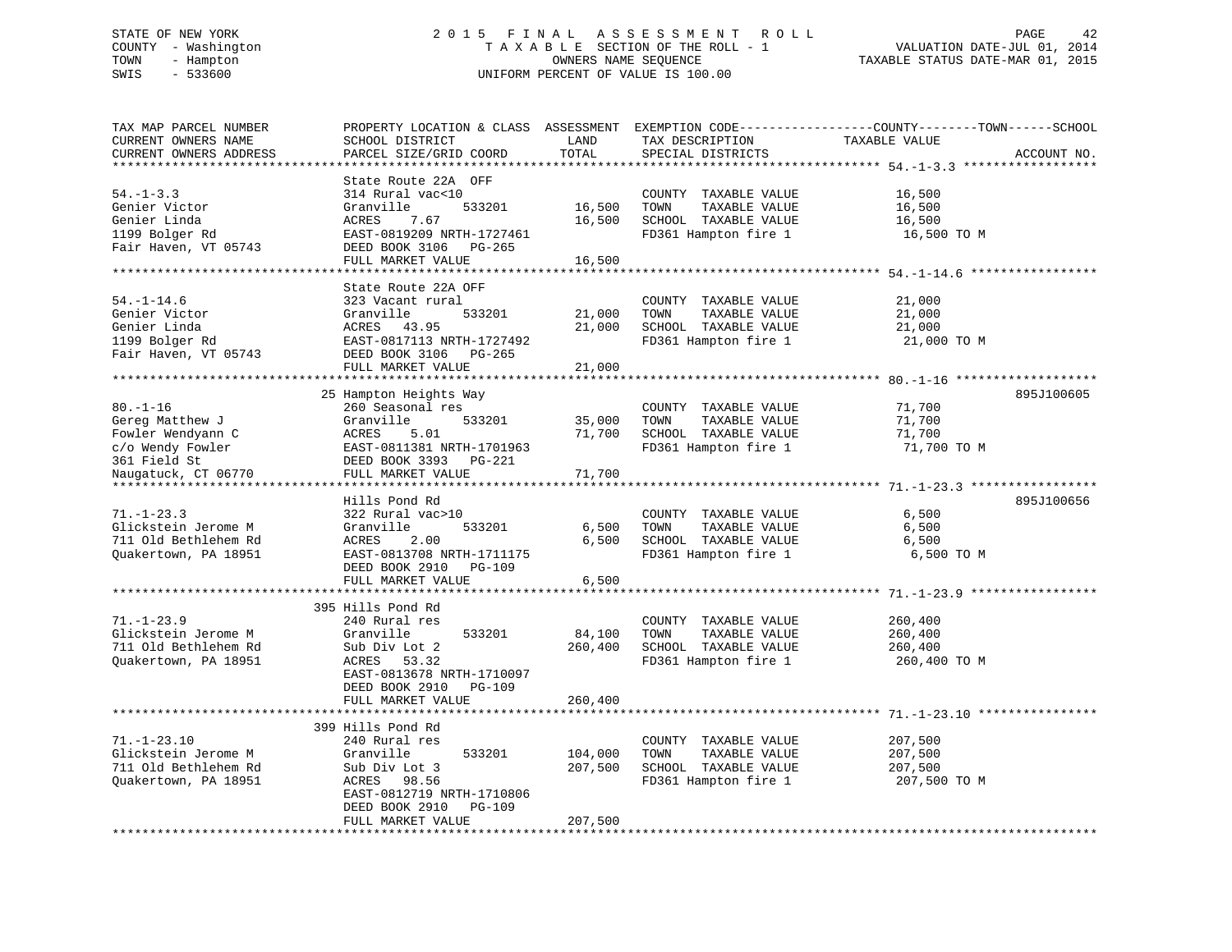# STATE OF NEW YORK 2 0 1 5 F I N A L A S S E S S M E N T R O L L PAGE 42 COUNTY - Washington T A X A B L E SECTION OF THE ROLL - 1 VALUATION DATE-JUL 01, 2014 TOWN - Hampton OWNERS NAME SEQUENCE TAXABLE STATUS DATE-MAR 01, 2015 SWIS - 533600 UNIFORM PERCENT OF VALUE IS 100.00

| TAX MAP PARCEL NUMBER<br>CURRENT OWNERS NAME<br>CURRENT OWNERS ADDRESS<br>******************** | PROPERTY LOCATION & CLASS ASSESSMENT<br>SCHOOL DISTRICT<br>PARCEL SIZE/GRID COORD<br>********************                                                                      | LAND<br>TOTAL<br>**********   | TAX DESCRIPTION<br>SPECIAL DISTRICTS                                                          | EXEMPTION CODE-----------------COUNTY-------TOWN------SCHOOL<br>TAXABLE VALUE<br>ACCOUNT NO.<br>*********************************** 54.-1-3.3 ****************** |
|------------------------------------------------------------------------------------------------|--------------------------------------------------------------------------------------------------------------------------------------------------------------------------------|-------------------------------|-----------------------------------------------------------------------------------------------|------------------------------------------------------------------------------------------------------------------------------------------------------------------|
| $54. - 1 - 3.3$<br>Genier Victor<br>Genier Linda<br>1199 Bolger Rd<br>Fair Haven, VT 05743     | State Route 22A OFF<br>314 Rural vac<10<br>Granville<br>533201<br>ACRES<br>7.67<br>EAST-0819209 NRTH-1727461<br>DEED BOOK 3106<br>PG-265<br>FULL MARKET VALUE                  | 16,500<br>16,500<br>16,500    | COUNTY TAXABLE VALUE<br>TOWN<br>TAXABLE VALUE<br>SCHOOL TAXABLE VALUE<br>FD361 Hampton fire 1 | 16,500<br>16,500<br>16,500<br>16,500 TO M<br>******************** 54.-1-14.6                                                                                     |
| $54. - 1 - 14.6$<br>Genier Victor<br>Genier Linda<br>1199 Bolger Rd<br>Fair Haven, VT 05743    | State Route 22A OFF<br>323 Vacant rural<br>Granville<br>533201<br>ACRES 43.95<br>EAST-0817113 NRTH-1727492<br>DEED BOOK 3106<br>PG-265<br>FULL MARKET VALUE                    | 21,000<br>21,000<br>21,000    | COUNTY TAXABLE VALUE<br>TOWN<br>TAXABLE VALUE<br>SCHOOL TAXABLE VALUE<br>FD361 Hampton fire 1 | 21,000<br>21,000<br>21,000<br>21,000 TO M                                                                                                                        |
|                                                                                                | **********************                                                                                                                                                         |                               |                                                                                               |                                                                                                                                                                  |
| $80. - 1 - 16$<br>Gereg Matthew J<br>Fowler Wendyann C<br>c/o Wendy Fowler<br>361 Field St     | 25 Hampton Heights Way<br>260 Seasonal res<br>Granville<br>533201<br>5.01<br>ACRES<br>EAST-0811381 NRTH-1701963<br>DEED BOOK 3393<br>PG-221                                    | 35,000<br>71,700              | COUNTY TAXABLE VALUE<br>TAXABLE VALUE<br>TOWN<br>SCHOOL TAXABLE VALUE<br>FD361 Hampton fire 1 | 895J100605<br>71,700<br>71,700<br>71,700<br>71,700 TO M                                                                                                          |
| Naugatuck, CT 06770                                                                            | FULL MARKET VALUE                                                                                                                                                              | 71,700                        |                                                                                               |                                                                                                                                                                  |
|                                                                                                |                                                                                                                                                                                |                               |                                                                                               |                                                                                                                                                                  |
| $71. - 1 - 23.3$<br>Glickstein Jerome M<br>711 Old Bethlehem Rd<br>Quakertown, PA 18951        | Hills Pond Rd<br>322 Rural vac>10<br>Granville<br>533201<br>ACRES<br>2.00<br>EAST-0813708 NRTH-1711175<br>DEED BOOK 2910<br>PG-109                                             | 6,500<br>6,500                | COUNTY TAXABLE VALUE<br>TAXABLE VALUE<br>TOWN<br>SCHOOL TAXABLE VALUE<br>FD361 Hampton fire 1 | 895J100656<br>6,500<br>6,500<br>6,500<br>6,500 TO M                                                                                                              |
|                                                                                                | FULL MARKET VALUE                                                                                                                                                              | 6,500                         |                                                                                               |                                                                                                                                                                  |
| $71. - 1 - 23.9$<br>Glickstein Jerome M<br>711 Old Bethlehem Rd<br>Quakertown, PA 18951        | 395 Hills Pond Rd<br>240 Rural res<br>Granville<br>533201<br>Sub Div Lot 2<br>ACRES 53.32<br>EAST-0813678 NRTH-1710097<br>DEED BOOK 2910<br><b>PG-109</b><br>FULL MARKET VALUE | 84,100<br>260,400<br>260,400  | COUNTY TAXABLE VALUE<br>TOWN<br>TAXABLE VALUE<br>SCHOOL TAXABLE VALUE<br>FD361 Hampton fire 1 | 260,400<br>260,400<br>260,400<br>260,400 ТО М                                                                                                                    |
|                                                                                                | ***********************                                                                                                                                                        |                               |                                                                                               |                                                                                                                                                                  |
| $71. - 1 - 23.10$<br>Glickstein Jerome M<br>711 Old Bethlehem Rd<br>Quakertown, PA 18951       | 399 Hills Pond Rd<br>240 Rural res<br>Granville<br>533201<br>Sub Div Lot 3<br>ACRES 98.56<br>EAST-0812719 NRTH-1710806<br>DEED BOOK 2910<br>PG-109<br>FULL MARKET VALUE        | 104,000<br>207,500<br>207,500 | COUNTY TAXABLE VALUE<br>TOWN<br>TAXABLE VALUE<br>SCHOOL TAXABLE VALUE<br>FD361 Hampton fire 1 | 207,500<br>207,500<br>207,500<br>207,500 TO M                                                                                                                    |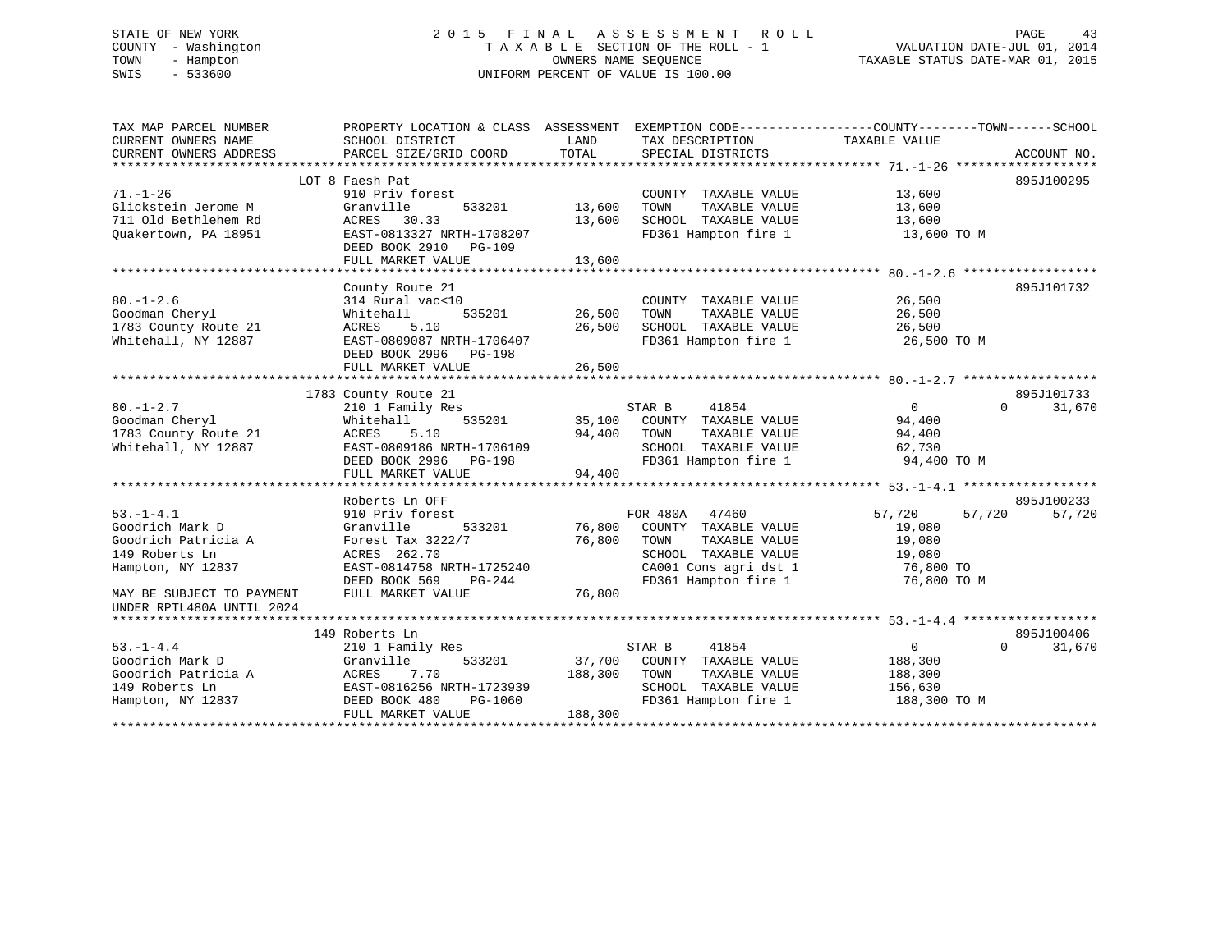### STATE OF NEW YORK 2 0 1 5 F I N A L A S S E S S M E N T R O L L PAGE 43COUNTY - Washington  $T A X A B L E$  SECTION OF THE ROLL - 1<br>TOWN - Hampton DWNERS NAME SEQUENCE TOWN - Hampton OWNERS NAME SEQUENCE TAXABLE STATUS DATE-MAR 01, 2015 SWIS - 533600 UNIFORM PERCENT OF VALUE IS 100.00

| TAX MAP PARCEL NUMBER<br>CURRENT OWNERS NAME<br>CURRENT OWNERS ADDRESS | PROPERTY LOCATION & CLASS ASSESSMENT<br>SCHOOL DISTRICT<br>PARCEL SIZE/GRID COORD | LAND<br>TOTAL | EXEMPTION CODE----------------COUNTY-------TOWN------SCHOOL<br>TAX DESCRIPTION<br>SPECIAL DISTRICTS | TAXABLE VALUE    | ACCOUNT NO.        |
|------------------------------------------------------------------------|-----------------------------------------------------------------------------------|---------------|-----------------------------------------------------------------------------------------------------|------------------|--------------------|
|                                                                        |                                                                                   |               |                                                                                                     |                  |                    |
|                                                                        | LOT 8 Faesh Pat                                                                   |               |                                                                                                     |                  | 895J100295         |
| $71. - 1 - 26$                                                         | 910 Priv forest                                                                   |               | COUNTY TAXABLE VALUE                                                                                | 13,600           |                    |
| Glickstein Jerome M                                                    | Granville<br>533201                                                               | 13,600        | TAXABLE VALUE<br>TOWN                                                                               | 13,600           |                    |
| 711 Old Bethlehem Rd                                                   | 30.33<br>ACRES                                                                    | 13,600        | SCHOOL TAXABLE VALUE                                                                                | 13,600           |                    |
| Ouakertown, PA 18951                                                   | EAST-0813327 NRTH-1708207                                                         |               | FD361 Hampton fire 1                                                                                | 13,600 TO M      |                    |
|                                                                        | DEED BOOK 2910 PG-109                                                             |               |                                                                                                     |                  |                    |
|                                                                        | FULL MARKET VALUE                                                                 | 13,600        |                                                                                                     |                  |                    |
|                                                                        |                                                                                   |               |                                                                                                     |                  |                    |
|                                                                        | County Route 21                                                                   |               |                                                                                                     |                  | 895J101732         |
| $80. - 1 - 2.6$                                                        | 314 Rural vac<10                                                                  |               | COUNTY TAXABLE VALUE                                                                                | 26,500           |                    |
| Goodman Cheryl                                                         | Whitehall<br>535201                                                               | 26,500        | TOWN<br>TAXABLE VALUE                                                                               | 26,500           |                    |
| 1783 County Route 21                                                   | ACRES<br>5.10                                                                     | 26,500        | SCHOOL TAXABLE VALUE                                                                                | 26,500           |                    |
| Whitehall, NY 12887                                                    | EAST-0809087 NRTH-1706407                                                         |               | FD361 Hampton fire 1                                                                                | 26,500 TO M      |                    |
|                                                                        | DEED BOOK 2996<br>PG-198                                                          |               |                                                                                                     |                  |                    |
|                                                                        | FULL MARKET VALUE                                                                 | 26,500        |                                                                                                     |                  |                    |
|                                                                        |                                                                                   |               |                                                                                                     |                  |                    |
|                                                                        | 1783 County Route 21                                                              |               |                                                                                                     |                  | 895J101733         |
| $80. - 1 - 2.7$                                                        | 210 1 Family Res                                                                  |               | STAR B<br>41854                                                                                     | $\overline{0}$   | $\Omega$<br>31,670 |
| Goodman Cheryl                                                         | 535201<br>Whitehall                                                               | 35,100        | COUNTY TAXABLE VALUE                                                                                | 94,400           |                    |
| 1783 County Route 21                                                   | ACRES<br>5.10                                                                     | 94,400        | TAXABLE VALUE<br>TOWN                                                                               | 94,400           |                    |
| Whitehall, NY 12887                                                    | EAST-0809186 NRTH-1706109                                                         |               | SCHOOL TAXABLE VALUE                                                                                | 62,730           |                    |
|                                                                        | DEED BOOK 2996<br>PG-198                                                          |               | FD361 Hampton fire 1                                                                                | 94,400 TO M      |                    |
|                                                                        | FULL MARKET VALUE                                                                 | 94,400        |                                                                                                     |                  |                    |
|                                                                        |                                                                                   |               |                                                                                                     |                  |                    |
|                                                                        | Roberts Ln OFF                                                                    |               |                                                                                                     |                  | 895J100233         |
| $53. - 1 - 4.1$                                                        | 910 Priv forest                                                                   |               | FOR 480A<br>47460                                                                                   | 57,720<br>57,720 | 57,720             |
| Goodrich Mark D                                                        | Granville<br>533201                                                               | 76,800        | COUNTY TAXABLE VALUE                                                                                | 19,080           |                    |
| Goodrich Patricia A                                                    | Forest Tax 3222/7                                                                 | 76,800        | TOWN<br>TAXABLE VALUE                                                                               | 19,080           |                    |
| 149 Roberts Ln                                                         | ACRES 262.70                                                                      |               | SCHOOL TAXABLE VALUE                                                                                | 19,080           |                    |
| Hampton, NY 12837                                                      | EAST-0814758 NRTH-1725240                                                         |               | CA001 Cons agri dst 1                                                                               | 76,800 TO        |                    |
|                                                                        | DEED BOOK 569<br>$PG-244$                                                         |               | FD361 Hampton fire 1                                                                                | 76,800 TO M      |                    |
| MAY BE SUBJECT TO PAYMENT                                              | FULL MARKET VALUE                                                                 | 76,800        |                                                                                                     |                  |                    |
| UNDER RPTL480A UNTIL 2024                                              |                                                                                   |               |                                                                                                     |                  |                    |
|                                                                        |                                                                                   |               |                                                                                                     |                  |                    |
|                                                                        | 149 Roberts Ln                                                                    |               |                                                                                                     |                  | 895J100406         |
| $53. - 1 - 4.4$                                                        | 210 1 Family Res                                                                  |               | STAR B<br>41854                                                                                     | $\overline{0}$   | $\Omega$<br>31,670 |
| Goodrich Mark D                                                        | 533201<br>Granville                                                               | 37,700        | COUNTY TAXABLE VALUE                                                                                | 188,300          |                    |
| Goodrich Patricia A                                                    | ACRES<br>7.70                                                                     | 188,300       | TOWN<br>TAXABLE VALUE                                                                               | 188,300          |                    |
| 149 Roberts Ln                                                         | EAST-0816256 NRTH-1723939                                                         |               | SCHOOL TAXABLE VALUE                                                                                | 156,630          |                    |
| Hampton, NY 12837                                                      | DEED BOOK 480<br>PG-1060                                                          |               | FD361 Hampton fire 1                                                                                | 188,300 TO M     |                    |
|                                                                        | FULL MARKET VALUE                                                                 | 188,300       |                                                                                                     |                  |                    |
|                                                                        |                                                                                   |               |                                                                                                     |                  |                    |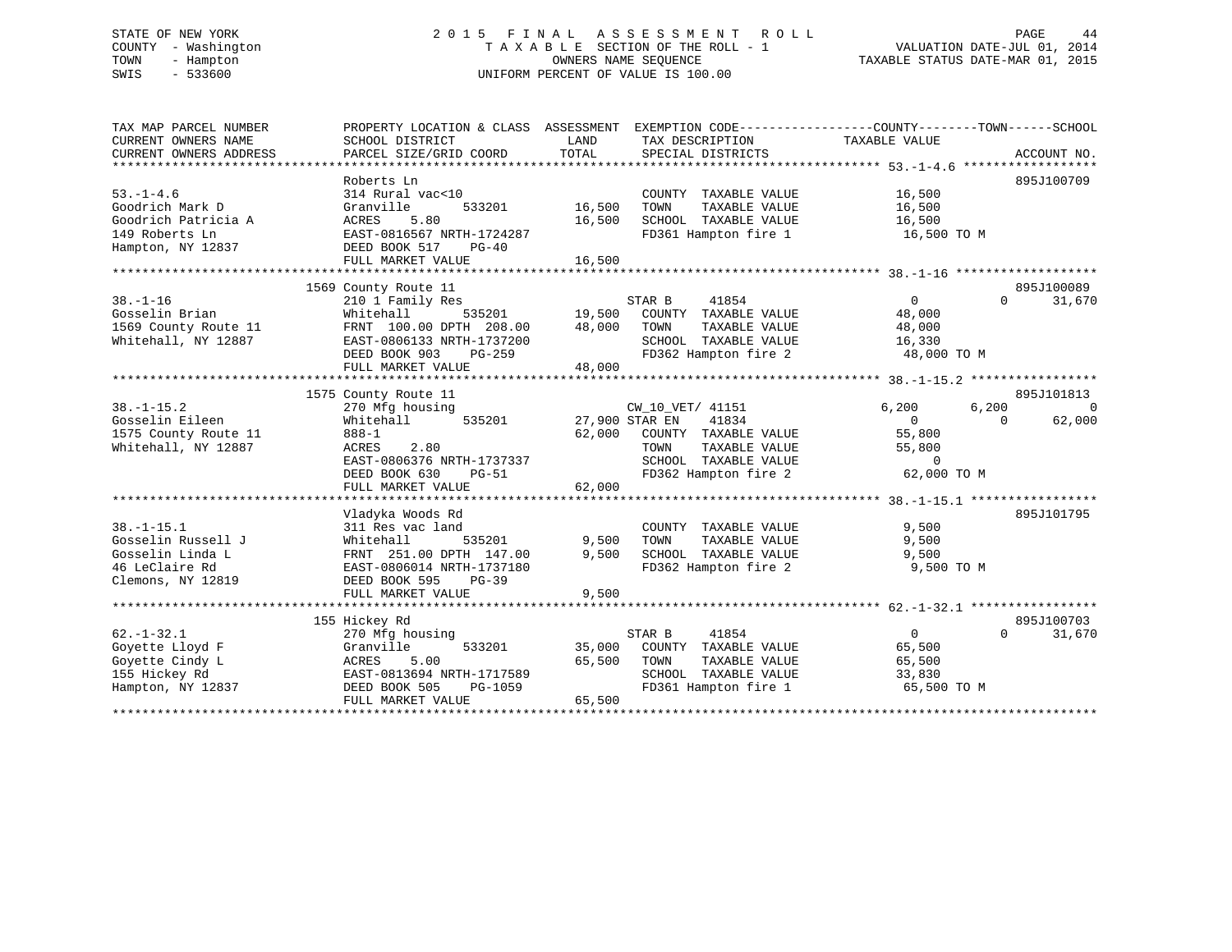# STATE OF NEW YORK 2 0 1 5 F I N A L A S S E S S M E N T R O L L PAGE 44 COUNTY - Washington T A X A B L E SECTION OF THE ROLL - 1 VALUATION DATE-JUL 01, 2014 TOWN - Hampton OWNERS NAME SEQUENCE TAXABLE STATUS DATE-MAR 01, 2015 SWIS - 533600 UNIFORM PERCENT OF VALUE IS 100.00

| TAX MAP PARCEL NUMBER  | PROPERTY LOCATION & CLASS ASSESSMENT EXEMPTION CODE----------------COUNTY-------TOWN-----SCHOOL |                            |                                              |                          |          |             |
|------------------------|-------------------------------------------------------------------------------------------------|----------------------------|----------------------------------------------|--------------------------|----------|-------------|
| CURRENT OWNERS NAME    | SCHOOL DISTRICT                                                                                 | LAND                       | TAX DESCRIPTION                              | TAXABLE VALUE            |          |             |
| CURRENT OWNERS ADDRESS | PARCEL SIZE/GRID COORD                                                                          | TOTAL                      | SPECIAL DISTRICTS                            |                          |          | ACCOUNT NO. |
|                        | Roberts Ln                                                                                      |                            |                                              |                          |          | 895J100709  |
| $53. - 1 - 4.6$        | 314 Rural vac<10                                                                                |                            | COUNTY TAXABLE VALUE                         | 16,500                   |          |             |
| Goodrich Mark D        | Granville<br>533201                                                                             | 16,500                     | TOWN<br>TAXABLE VALUE                        | 16,500                   |          |             |
| Goodrich Patricia A    | 5.80<br>ACRES                                                                                   | 16,500                     | SCHOOL TAXABLE VALUE                         | 16,500                   |          |             |
| 149 Roberts Ln         | EAST-0816567 NRTH-1724287                                                                       |                            | FD361 Hampton fire 1 16,500 TO M             |                          |          |             |
| Hampton, NY 12837      | DEED BOOK 517<br>PG-40                                                                          |                            |                                              |                          |          |             |
|                        | FULL MARKET VALUE                                                                               | 16,500                     |                                              |                          |          |             |
|                        |                                                                                                 |                            |                                              |                          |          |             |
|                        | 1569 County Route 11                                                                            |                            |                                              |                          |          | 895J100089  |
| $38. - 1 - 16$         | 210 1 Family Res                                                                                |                            | 41854<br>STAR B                              | $\overline{0}$           | $\Omega$ | 31,670      |
| Gosselin Brian         | Whitehall                                                                                       | 535201 19,500              | COUNTY TAXABLE VALUE                         | 48,000                   |          |             |
| 1569 County Route 11   | FRNT 100.00 DPTH 208.00                                                                         | 48,000                     | TOWN<br>TAXABLE VALUE                        | 48,000                   |          |             |
| Whitehall, NY 12887    | EAST-0806133 NRTH-1737200                                                                       |                            | SCHOOL TAXABLE VALUE                         | 16,330                   |          |             |
|                        | DEED BOOK 903<br>PG-259                                                                         |                            | FD362 Hampton fire 2 48,000 TO M             |                          |          |             |
|                        | FULL MARKET VALUE                                                                               | 48,000                     |                                              |                          |          |             |
|                        |                                                                                                 |                            |                                              |                          |          |             |
|                        | 1575 County Route 11                                                                            |                            |                                              |                          |          | 895J101813  |
| $38. - 1 - 15.2$       | 270 Mfg housing                                                                                 | CW_10_VE<br>27,900 STAR EN | CW_10_VET/ 41151                             | 6,200                    | 6,200    | $\Omega$    |
| Gosselin Eileen        | 535201<br>Whitehall                                                                             |                            | 41834                                        | $\overline{0}$           | $\Omega$ | 62,000      |
| 1575 County Route 11   | $888 - 1$                                                                                       |                            | 62,000 COUNTY TAXABLE VALUE                  | 55,800                   |          |             |
| Whitehall, NY 12887    | ACRES<br>2.80<br>EAST-0806376 NRTH-1737337                                                      |                            | TOWN<br>TAXABLE VALUE                        | 55,800<br>$\overline{0}$ |          |             |
|                        | DEED BOOK 630<br>$PG-51$                                                                        |                            | SCHOOL TAXABLE VALUE<br>FD362 Hampton fire 2 | 62,000 TO M              |          |             |
|                        | FULL MARKET VALUE                                                                               | 62,000                     |                                              |                          |          |             |
|                        |                                                                                                 |                            |                                              |                          |          |             |
|                        | Vladyka Woods Rd                                                                                |                            |                                              |                          |          | 895J101795  |
| $38. - 1 - 15.1$       | 311 Res vac land                                                                                |                            | COUNTY TAXABLE VALUE                         | 9,500                    |          |             |
| Gosselin Russell J     | Whitehall<br>535201                                                                             | 9,500                      | TAXABLE VALUE<br>TOWN                        | 9,500                    |          |             |
| Gosselin Linda L       | FRNT 251.00 DPTH 147.00                                                                         | 9,500                      | SCHOOL TAXABLE VALUE                         | 9,500                    |          |             |
| 46 LeClaire Rd         | EAST-0806014 NRTH-1737180                                                                       |                            | FD362 Hampton fire 2                         | 9,500 TO M               |          |             |
| Clemons, NY 12819      | DEED BOOK 595<br>$PG-39$                                                                        |                            |                                              |                          |          |             |
|                        | FULL MARKET VALUE                                                                               | 9,500                      |                                              |                          |          |             |
|                        |                                                                                                 |                            |                                              |                          |          |             |
|                        | 155 Hickey Rd                                                                                   |                            |                                              |                          |          | 895J100703  |
| $62. - 1 - 32.1$       | 270 Mfg housing                                                                                 |                            | STAR B<br>41854                              | $\overline{0}$           | $\Omega$ | 31,670      |
| Goyette Lloyd F        | 533201<br>Granville                                                                             | 35,000                     | COUNTY TAXABLE VALUE                         | 65,500                   |          |             |
| Goyette Cindy L        | ACRES<br>5.00                                                                                   | 65,500                     | TAXABLE VALUE<br>TOWN                        | 65,500                   |          |             |
| 155 Hickey Rd          | EAST-0813694 NRTH-1717589                                                                       |                            | SCHOOL TAXABLE VALUE                         | 33,830                   |          |             |
| Hampton, NY 12837      | DEED BOOK 505<br>PG-1059                                                                        |                            | FD361 Hampton fire 1                         | 65,500 TO M              |          |             |
|                        | FULL MARKET VALUE                                                                               | 65,500                     |                                              |                          |          |             |
|                        |                                                                                                 |                            |                                              |                          |          |             |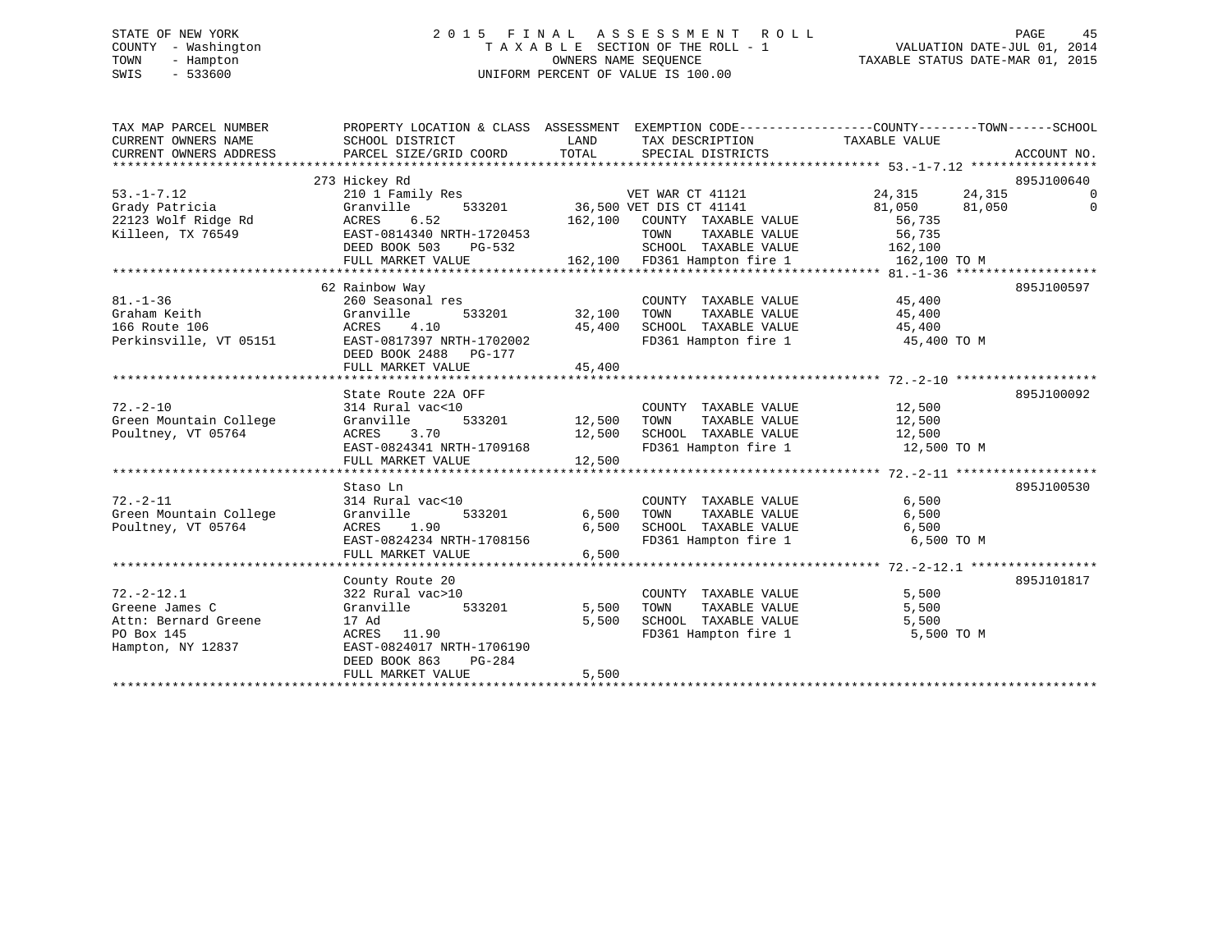# STATE OF NEW YORK 2 0 1 5 F I N A L A S S E S S M E N T R O L L PAGE 45 COUNTY - Washington T A X A B L E SECTION OF THE ROLL - 1 VALUATION DATE-JUL 01, 2014 TOWN - Hampton OWNERS NAME SEQUENCE TAXABLE STATUS DATE-MAR 01, 2015 SWIS - 533600 UNIFORM PERCENT OF VALUE IS 100.00

| TAX MAP PARCEL NUMBER<br>CURRENT OWNERS NAME<br>CURRENT OWNERS ADDRESS | PROPERTY LOCATION & CLASS ASSESSMENT EXEMPTION CODE---------------COUNTY-------TOWN-----SCHOOL<br>SCHOOL DISTRICT<br>PARCEL SIZE/GRID COORD | LAND<br>TOTAL | TAX DESCRIPTION TAXABLE VALUE<br>SPECIAL DISTRICTS |                  | ACCOUNT NO. |
|------------------------------------------------------------------------|---------------------------------------------------------------------------------------------------------------------------------------------|---------------|----------------------------------------------------|------------------|-------------|
|                                                                        | 273 Hickey Rd                                                                                                                               |               |                                                    |                  | 895J100640  |
| $53. -1 - 7.12$                                                        | 210 1 Family Res                                                                                                                            |               | VET WAR CT 41121                                   | 24,315<br>24,315 | $\Omega$    |
| Grady Patricia                                                         | Granville                                                                                                                                   |               | 533201 36,500 VET DIS CT 41141                     | 81,050<br>81,050 | $\Omega$    |
| 22123 Wolf Ridge Rd                                                    | ACRES<br>6.52                                                                                                                               | 162,100       | COUNTY TAXABLE VALUE                               | 56,735           |             |
| Killeen, TX 76549                                                      | EAST-0814340 NRTH-1720453                                                                                                                   |               | TAXABLE VALUE<br>TOWN                              | 56,735           |             |
|                                                                        | DEED BOOK 503<br>PG-532                                                                                                                     |               | SCHOOL TAXABLE VALUE                               | 162,100          |             |
|                                                                        |                                                                                                                                             |               |                                                    |                  |             |
|                                                                        |                                                                                                                                             |               |                                                    |                  |             |
|                                                                        | 62 Rainbow Way                                                                                                                              |               |                                                    |                  | 895J100597  |
| $81. - 1 - 36$                                                         | 260 Seasonal res                                                                                                                            |               | COUNTY TAXABLE VALUE                               | 45,400           |             |
| Graham Keith                                                           | 533201<br>Granville                                                                                                                         | 32,100        | TOWN<br>TAXABLE VALUE                              | 45,400           |             |
| 166 Route 106                                                          | 4.10<br>ACRES                                                                                                                               | 45,400        | SCHOOL TAXABLE VALUE                               | 45,400           |             |
| Perkinsville, VT 05151                                                 | EAST-0817397 NRTH-1702002<br>DEED BOOK 2488 PG-177                                                                                          |               | FD361 Hampton fire 1                               | 45,400 TO M      |             |
|                                                                        | FULL MARKET VALUE                                                                                                                           | 45,400        |                                                    |                  |             |
|                                                                        |                                                                                                                                             |               |                                                    |                  |             |
|                                                                        | State Route 22A OFF                                                                                                                         |               |                                                    |                  | 895J100092  |
| $72. - 2 - 10$                                                         | 314 Rural vac<10                                                                                                                            |               | COUNTY TAXABLE VALUE                               | 12,500           |             |
| Green Mountain College                                                 | Granville                                                                                                                                   | 533201 12,500 | TAXABLE VALUE<br>TOWN                              | 12,500           |             |
| Poultney, VT 05764                                                     | 3.70<br>ACRES                                                                                                                               | 12,500        | SCHOOL TAXABLE VALUE                               | 12,500           |             |
|                                                                        | EAST-0824341 NRTH-1709168                                                                                                                   |               | FD361 Hampton fire 1                               | 12,500 TO M      |             |
|                                                                        |                                                                                                                                             |               |                                                    |                  |             |
|                                                                        |                                                                                                                                             |               |                                                    |                  |             |
|                                                                        | Staso Ln                                                                                                                                    |               |                                                    |                  | 895J100530  |
| $72. - 2 - 11$                                                         | 314 Rural vac<10                                                                                                                            |               | COUNTY TAXABLE VALUE                               | 6,500            |             |
| Green Mountain College                                                 | Granville<br>533201                                                                                                                         | 6,500         | TOWN<br>TAXABLE VALUE                              | 6,500            |             |
| Poultney, VT 05764                                                     | ACRES<br>1.90                                                                                                                               | 6,500         | SCHOOL TAXABLE VALUE                               | 6,500            |             |
|                                                                        | EAST-0824234 NRTH-1708156                                                                                                                   |               | FD361 Hampton fire 1                               | 6,500 TO M       |             |
|                                                                        | FULL MARKET VALUE                                                                                                                           | 6,500         |                                                    |                  |             |
|                                                                        |                                                                                                                                             |               |                                                    |                  |             |
|                                                                        | County Route 20                                                                                                                             |               |                                                    |                  | 895J101817  |
| $72. - 2 - 12.1$                                                       | 322 Rural vac>10                                                                                                                            |               | COUNTY TAXABLE VALUE                               | 5,500            |             |
| Greene James C                                                         | 533201<br>Granville                                                                                                                         | 5,500         | TOWN<br>TAXABLE VALUE                              | 5,500            |             |
| Attn: Bernard Greene                                                   | 17 Ad                                                                                                                                       | 5,500         | SCHOOL TAXABLE VALUE                               | 5,500            |             |
| PO Box 145                                                             | ACRES<br>11.90                                                                                                                              |               | FD361 Hampton fire 1                               | 5,500 TO M       |             |
| Hampton, NY 12837                                                      | EAST-0824017 NRTH-1706190                                                                                                                   |               |                                                    |                  |             |
|                                                                        | DEED BOOK 863<br>$PG-284$                                                                                                                   |               |                                                    |                  |             |
|                                                                        | FULL MARKET VALUE                                                                                                                           | 5,500         |                                                    |                  |             |
|                                                                        |                                                                                                                                             |               |                                                    |                  |             |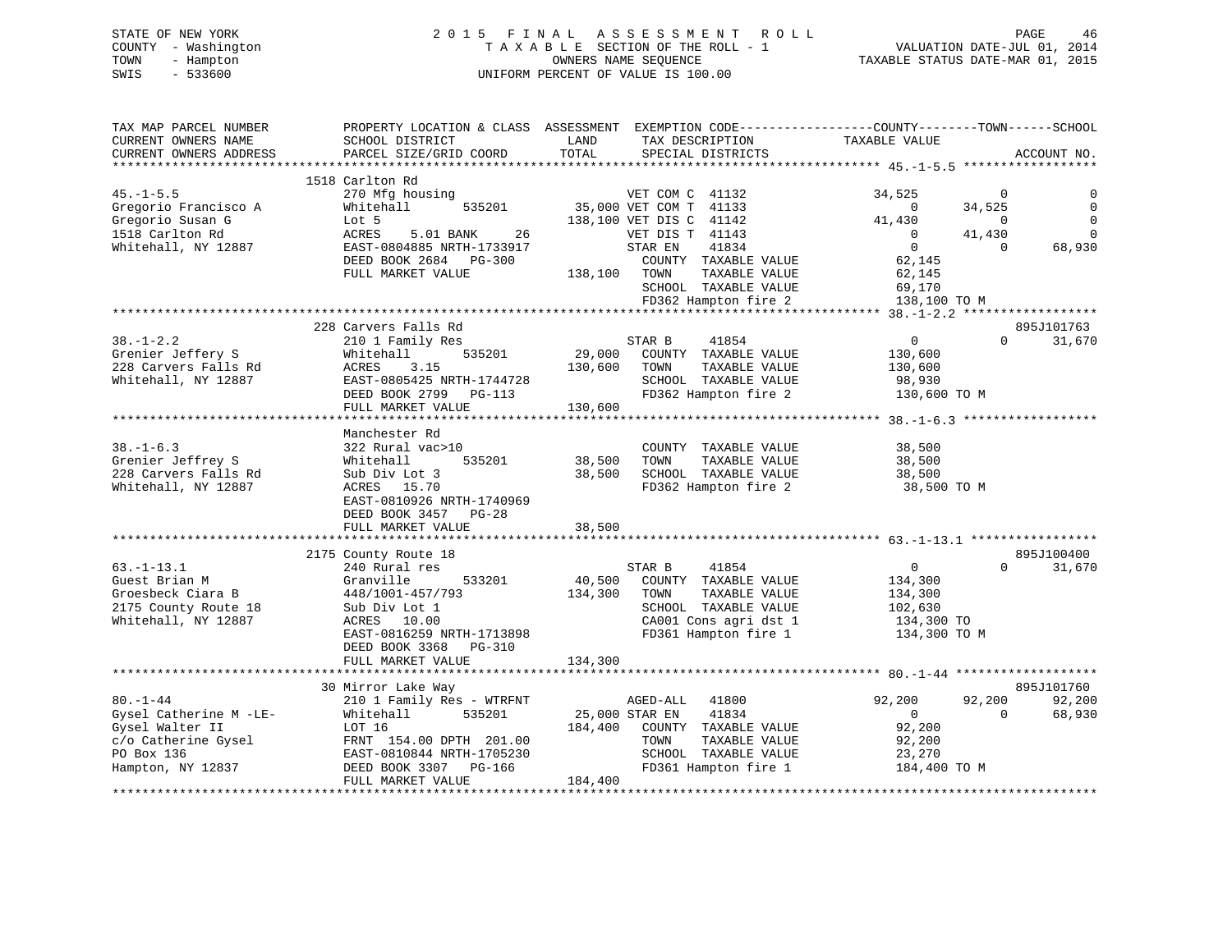# STATE OF NEW YORK 2 0 1 5 F I N A L A S S E S S M E N T R O L L PAGE 46 COUNTY - Washington T A X A B L E SECTION OF THE ROLL - 1 VALUATION DATE-JUL 01, 2014 TOWN - Hampton OWNERS NAME SEQUENCE TAXABLE STATUS DATE-MAR 01, 2015 SWIS - 533600 UNIFORM PERCENT OF VALUE IS 100.00

| TAX MAP PARCEL NUMBER<br>CURRENT OWNERS NAME<br>CURRENT OWNERS ADDRESS | PROPERTY LOCATION & CLASS ASSESSMENT<br>SCHOOL DISTRICT<br>PARCEL SIZE/GRID COORD | LAND<br>TAX DESCRIPTION<br>TOTAL<br>SPECIAL DISTRICTS | EXEMPTION CODE-----------------COUNTY-------TOWN------SCHOOL<br>TAXABLE VALUE<br>ACCOUNT NO. |
|------------------------------------------------------------------------|-----------------------------------------------------------------------------------|-------------------------------------------------------|----------------------------------------------------------------------------------------------|
|                                                                        |                                                                                   |                                                       |                                                                                              |
| $45. - 1 - 5.5$                                                        | 1518 Carlton Rd<br>270 Mfg housing                                                | VET COM C 41132                                       | 34,525<br>$\overline{0}$                                                                     |
| Gregorio Francisco A<br>Gregorio Susan G                               | 535201<br>Whitehall<br>Lot 5                                                      | 35,000 VET COM T 41133<br>138,100 VET DIS C 41142     | 34,525<br>$\Omega$<br>$\mathbf 0$<br>41,430<br>$\overline{0}$                                |
| 1518 Carlton Rd                                                        | 5.01 BANK<br>26<br>ACRES                                                          | VET DIS T 41143                                       | $\overline{0}$<br>$\mathbf 0$<br>41,430                                                      |
| Whitehall, NY 12887                                                    | EAST-0804885 NRTH-1733917                                                         | 41834<br>STAR EN                                      | $\overline{0}$<br>$\Omega$<br>68,930                                                         |
|                                                                        | DEED BOOK 2684 PG-300                                                             | COUNTY TAXABLE VALUE                                  | 62,145                                                                                       |
|                                                                        | FULL MARKET VALUE                                                                 | TAXABLE VALUE<br>138,100<br>TOWN                      | 62,145                                                                                       |
|                                                                        |                                                                                   | SCHOOL TAXABLE VALUE                                  | 69,170                                                                                       |
|                                                                        |                                                                                   | FD362 Hampton fire 2                                  | 138,100 TO M                                                                                 |
|                                                                        |                                                                                   |                                                       |                                                                                              |
|                                                                        | 228 Carvers Falls Rd                                                              |                                                       | 895J101763                                                                                   |
| $38. - 1 - 2.2$                                                        | 210 1 Family Res                                                                  | STAR B<br>41854                                       | $\overline{0}$<br>$\Omega$<br>31,670                                                         |
| Grenier Jeffery S                                                      | 535201<br>Whitehall                                                               | 29,000<br>COUNTY TAXABLE VALUE                        | 130,600                                                                                      |
| 228 Carvers Falls Rd                                                   | 3.15<br>ACRES                                                                     | 130,600<br>TOWN<br>TAXABLE VALUE                      | 130,600                                                                                      |
| Whitehall, NY 12887                                                    | EAST-0805425 NRTH-1744728                                                         | SCHOOL TAXABLE VALUE                                  | 98,930                                                                                       |
|                                                                        | DEED BOOK 2799<br>PG-113<br>FULL MARKET VALUE                                     | FD362 Hampton fire 2<br>130,600                       | 130,600 TO M                                                                                 |
|                                                                        |                                                                                   |                                                       |                                                                                              |
|                                                                        | Manchester Rd                                                                     |                                                       |                                                                                              |
| $38. - 1 - 6.3$                                                        | 322 Rural vac>10                                                                  | COUNTY TAXABLE VALUE                                  | 38,500                                                                                       |
| Grenier Jeffrey S                                                      | 535201<br>Whitehall                                                               | 38,500<br>TOWN<br>TAXABLE VALUE                       | 38,500                                                                                       |
| 228 Carvers Falls Rd                                                   | Sub Div Lot 3                                                                     | SCHOOL TAXABLE VALUE<br>38,500                        | 38,500                                                                                       |
| Whitehall, NY 12887                                                    | ACRES 15.70                                                                       | FD362 Hampton fire 2                                  | 38,500 TO M                                                                                  |
|                                                                        | EAST-0810926 NRTH-1740969                                                         |                                                       |                                                                                              |
|                                                                        | DEED BOOK 3457<br>$PG-28$                                                         |                                                       |                                                                                              |
|                                                                        | FULL MARKET VALUE                                                                 | 38,500                                                |                                                                                              |
|                                                                        |                                                                                   |                                                       |                                                                                              |
|                                                                        | 2175 County Route 18                                                              |                                                       | 895J100400                                                                                   |
| $63. -1 - 13.1$                                                        | 240 Rural res                                                                     | STAR B<br>41854                                       | $\mathbf{0}$<br>$\Omega$<br>31,670                                                           |
| Guest Brian M                                                          | 533201<br>Granville                                                               | 40,500<br>COUNTY TAXABLE VALUE                        | 134,300                                                                                      |
| Groesbeck Ciara B                                                      | 448/1001-457/793                                                                  | 134,300<br>TOWN<br>TAXABLE VALUE                      | 134,300                                                                                      |
| 2175 County Route 18                                                   | Sub Div Lot 1                                                                     | SCHOOL TAXABLE VALUE                                  | 102,630                                                                                      |
| Whitehall, NY 12887                                                    | 10.00<br>ACRES<br>EAST-0816259 NRTH-1713898                                       | CA001 Cons agri dst 1<br>FD361 Hampton fire 1         | 134,300 TO<br>134,300 TO M                                                                   |
|                                                                        | DEED BOOK 3368<br>PG-310                                                          |                                                       |                                                                                              |
|                                                                        | FULL MARKET VALUE                                                                 | 134,300                                               |                                                                                              |
|                                                                        |                                                                                   |                                                       |                                                                                              |
|                                                                        | 30 Mirror Lake Way                                                                |                                                       | 895J101760                                                                                   |
| $80. - 1 - 44$                                                         | 210 1 Family Res - WTRFNT                                                         | AGED-ALL<br>41800                                     | 92,200<br>92,200<br>92,200                                                                   |
| Gysel Catherine M -LE-                                                 | 535201<br>Whitehall                                                               | 25,000 STAR EN<br>41834                               | $\mathbf{0}$<br>$\Omega$<br>68,930                                                           |
| Gysel Walter II                                                        | LOT 16                                                                            | 184,400<br>COUNTY TAXABLE VALUE                       | 92,200                                                                                       |
| c/o Catherine Gysel                                                    | FRNT 154.00 DPTH 201.00                                                           | TAXABLE VALUE<br>TOWN                                 | 92,200                                                                                       |
| PO Box 136                                                             | EAST-0810844 NRTH-1705230                                                         | SCHOOL TAXABLE VALUE                                  | 23,270                                                                                       |
| Hampton, NY 12837                                                      | DEED BOOK 3307<br>PG-166                                                          | FD361 Hampton fire 1                                  | 184,400 TO M                                                                                 |
|                                                                        | FULL MARKET VALUE                                                                 | 184,400                                               |                                                                                              |
|                                                                        |                                                                                   |                                                       |                                                                                              |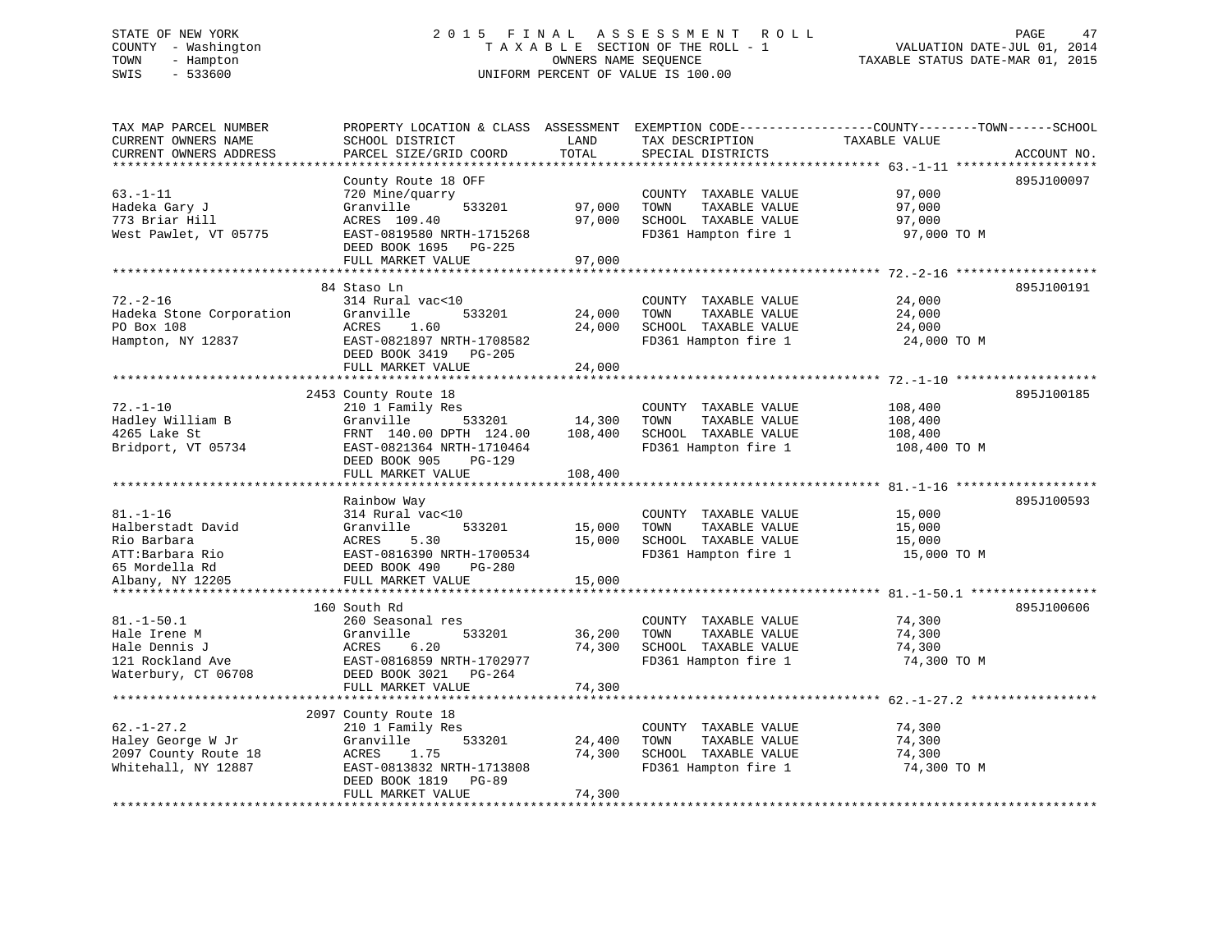# STATE OF NEW YORK 2 0 1 5 F I N A L A S S E S S M E N T R O L L PAGE 47 COUNTY - Washington T A X A B L E SECTION OF THE ROLL - 1 VALUATION DATE-JUL 01, 2014 TOWN - Hampton OWNERS NAME SEQUENCE TAXABLE STATUS DATE-MAR 01, 2015 SWIS - 533600 UNIFORM PERCENT OF VALUE IS 100.00

TAX MAP PARCEL NUMBER PROPERTY LOCATION & CLASS ASSESSMENT EXEMPTION CODE------------------COUNTY--------TOWN------SCHOOL CURRENT OWNERS NAME SCHOOL DISTRICT LAND TAX DESCRIPTION TAXABLE VALUECURRENT OWNERS ADDRESS PARCEL SIZE/GRID COORD TOTAL SPECIAL DISTRICTS ACCOUNT NO. \*\*\*\*\*\*\*\*\*\*\*\*\*\*\*\*\*\*\*\*\*\*\*\*\*\*\*\*\*\*\*\*\*\*\*\*\*\*\*\*\*\*\*\*\*\*\*\*\*\*\*\*\*\*\*\*\*\*\*\*\*\*\*\*\*\*\*\*\*\*\*\*\*\*\*\*\*\*\*\*\*\*\*\*\*\*\*\*\*\*\*\*\*\*\*\*\*\*\*\*\*\*\* 63.-1-11 \*\*\*\*\*\*\*\*\*\*\*\*\*\*\*\*\*\*\* County Route 18 OFF 895J100097 63.-1-11 720 Mine/quarry COUNTY TAXABLE VALUE 97,000 Hadeka Gary J Granville 533201 97,000 TOWN TAXABLE VALUE 97,000 773 Briar Hill ACRES 109.40 97,000 SCHOOL TAXABLE VALUE 97,000 West Pawlet, VT 05775 EAST-0819580 NRTH-1715268 FD361 Hampton fire 1 97,000 TO M DEED BOOK 1695 PG-225 FULL MARKET VALUE 97,000 \*\*\*\*\*\*\*\*\*\*\*\*\*\*\*\*\*\*\*\*\*\*\*\*\*\*\*\*\*\*\*\*\*\*\*\*\*\*\*\*\*\*\*\*\*\*\*\*\*\*\*\*\*\*\*\*\*\*\*\*\*\*\*\*\*\*\*\*\*\*\*\*\*\*\*\*\*\*\*\*\*\*\*\*\*\*\*\*\*\*\*\*\*\*\*\*\*\*\*\*\*\*\* 72.-2-16 \*\*\*\*\*\*\*\*\*\*\*\*\*\*\*\*\*\*\* 84 Staso Ln 895J10019172.-2-16 314 Rural vac<10 COUNTY TAXABLE VALUE 24,000 Hadeka Stone Corporation Granville 533201 24,000 TOWN TAXABLE VALUE 24,000 PO Box 108 ACRES 1.60 24,000 SCHOOL TAXABLE VALUE 24,000 Hampton, NY 12837 **EAST-0821897 NRTH-1708582 FD361** Hampton fire 1 24,000 TO M DEED BOOK 3419 PG-205 FULL MARKET VALUE 24,000 \*\*\*\*\*\*\*\*\*\*\*\*\*\*\*\*\*\*\*\*\*\*\*\*\*\*\*\*\*\*\*\*\*\*\*\*\*\*\*\*\*\*\*\*\*\*\*\*\*\*\*\*\*\*\*\*\*\*\*\*\*\*\*\*\*\*\*\*\*\*\*\*\*\*\*\*\*\*\*\*\*\*\*\*\*\*\*\*\*\*\*\*\*\*\*\*\*\*\*\*\*\*\* 72.-1-10 \*\*\*\*\*\*\*\*\*\*\*\*\*\*\*\*\*\*\*895J100185 2453 County Route 18 895J100185 72.-1-10 210 1 Family Res COUNTY TAXABLE VALUE 108,400 Hadley William B Granville 533201 14,300 TOWN TAXABLE VALUE 108,400 4265 Lake St FRNT 140.00 DPTH 124.00 108,400 SCHOOL TAXABLE VALUE 108,400 Bridport, VT 05734 EAST-0821364 NRTH-1710464 FD361 Hampton fire 1 108,400 TO M DEED BOOK 905 PG-129

|                      | FULL MARKET VALUE         | 108,400 |                         |             |            |
|----------------------|---------------------------|---------|-------------------------|-------------|------------|
|                      |                           |         |                         |             |            |
|                      | Rainbow Way               |         |                         |             | 895J100593 |
| $81. - 1 - 16$       | 314 Rural vac<10          |         | COUNTY<br>TAXABLE VALUE | 15,000      |            |
| Halberstadt David    | Granville<br>533201       | 15,000  | TAXABLE VALUE<br>TOWN   | 15,000      |            |
| Rio Barbara          | ACRES 5.30                | 15,000  | SCHOOL TAXABLE VALUE    | 15,000      |            |
| ATT:Barbara Rio      | EAST-0816390 NRTH-1700534 |         | FD361 Hampton fire 1    | 15,000 TO M |            |
| 65 Mordella Rd       | DEED BOOK 490<br>PG-280   |         |                         |             |            |
| Albany, NY 12205     | FULL MARKET VALUE         | 15,000  |                         |             |            |
|                      |                           |         |                         |             |            |
|                      | 160 South Rd              |         |                         |             | 895J100606 |
| $81.-1-50.1$         | 260 Seasonal res          |         | COUNTY<br>TAXABLE VALUE | 74,300      |            |
| Hale Irene M         | Granville<br>533201       | 36,200  | TAXABLE VALUE<br>TOWN   | 74,300      |            |
| Hale Dennis J        | 6.20<br>ACRES             | 74,300  | SCHOOL TAXABLE VALUE    | 74,300      |            |
| 121 Rockland Ave     | EAST-0816859 NRTH-1702977 |         | FD361 Hampton fire 1    | 74,300 TO M |            |
| Waterbury, CT 06708  | DEED BOOK 3021<br>PG-264  |         |                         |             |            |
|                      | FULL MARKET VALUE         | 74,300  |                         |             |            |
|                      |                           |         |                         |             |            |
|                      | 2097 County Route 18      |         |                         |             |            |
| $62. - 1 - 27.2$     | 210 1 Family Res          |         | TAXABLE VALUE<br>COUNTY | 74,300      |            |
| Haley George W Jr    | Granville<br>533201       | 24,400  | TOWN<br>TAXABLE VALUE   | 74,300      |            |
| 2097 County Route 18 | ACRES<br>1.75             | 74,300  | SCHOOL<br>TAXABLE VALUE | 74,300      |            |
| Whitehall, NY 12887  | EAST-0813832 NRTH-1713808 |         | FD361 Hampton fire 1    | 74,300 TO M |            |
|                      | DEED BOOK 1819<br>PG-89   |         |                         |             |            |
|                      | FULL MARKET VALUE         | 74,300  |                         |             |            |
|                      |                           |         |                         |             |            |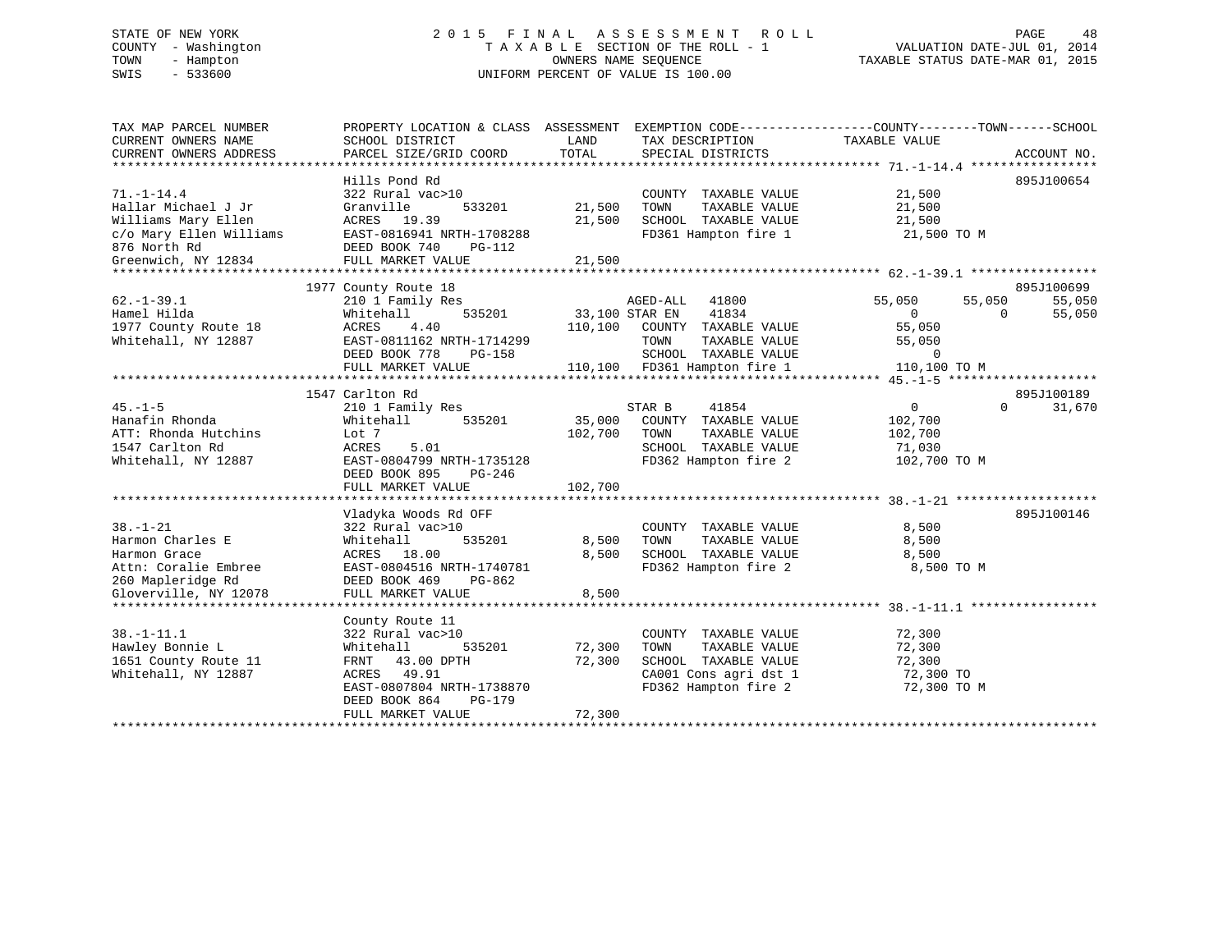# STATE OF NEW YORK 2 0 1 5 F I N A L A S S E S S M E N T R O L L PAGE 48 COUNTY - Washington T A X A B L E SECTION OF THE ROLL - 1 VALUATION DATE-JUL 01, 2014 TOWN - Hampton OWNERS NAME SEQUENCE TAXABLE STATUS DATE-MAR 01, 2015 SWIS - 533600 UNIFORM PERCENT OF VALUE IS 100.00

| TAX MAP PARCEL NUMBER<br>CURRENT OWNERS NAME | PROPERTY LOCATION & CLASS ASSESSMENT EXEMPTION CODE---------------COUNTY-------TOWN-----SCHOOL<br>SCHOOL DISTRICT | LAND           | TAX DESCRIPTION              | TAXABLE VALUE    |          |             |
|----------------------------------------------|-------------------------------------------------------------------------------------------------------------------|----------------|------------------------------|------------------|----------|-------------|
| CURRENT OWNERS ADDRESS                       | PARCEL SIZE/GRID COORD                                                                                            | TOTAL          | SPECIAL DISTRICTS            |                  |          | ACCOUNT NO. |
|                                              | Hills Pond Rd                                                                                                     |                |                              |                  |          | 895J100654  |
| $71. - 1 - 14.4$                             | 322 Rural vac>10                                                                                                  |                | COUNTY TAXABLE VALUE         | 21,500           |          |             |
| Hallar Michael J Jr                          | Granville<br>533201                                                                                               | 21,500         | TAXABLE VALUE<br>TOWN        | 21,500           |          |             |
| Williams Mary Ellen                          | ACRES 19.39                                                                                                       | 21,500         | SCHOOL TAXABLE VALUE         | 21,500           |          |             |
| c/o Mary Ellen Williams                      | EAST-0816941 NRTH-1708288                                                                                         |                | FD361 Hampton fire 1         | 21,500 TO M      |          |             |
| 876 North Rd                                 | DEED BOOK 740<br>PG-112                                                                                           |                |                              |                  |          |             |
| Greenwich, NY 12834                          | FULL MARKET VALUE                                                                                                 | 21,500         |                              |                  |          |             |
|                                              |                                                                                                                   |                |                              |                  |          |             |
|                                              | 1977 County Route 18                                                                                              |                |                              |                  |          | 895J100699  |
| $62. -1 - 39.1$                              | 210 1 Family Res                                                                                                  |                | AGED-ALL<br>41800            | 55,050           | 55,050   | 55,050      |
| Hamel Hilda                                  | 535201<br>Whitehall                                                                                               | 33,100 STAR EN | 41834                        | $\overline{0}$   | $\Omega$ | 55,050      |
| 1977 County Route 18                         | ACRES<br>4.40                                                                                                     |                | 110,100 COUNTY TAXABLE VALUE | 55,050           |          |             |
| Whitehall, NY 12887                          | EAST-0811162 NRTH-1714299                                                                                         |                | TOWN<br>TAXABLE VALUE        | 55,050           |          |             |
|                                              | DEED BOOK 778<br>PG-158                                                                                           |                | SCHOOL TAXABLE VALUE         | $\overline{0}$   |          |             |
|                                              | FULL MARKET VALUE                                                                                                 |                | 110,100 FD361 Hampton fire 1 | 110,100 TO M     |          |             |
|                                              |                                                                                                                   |                |                              |                  |          |             |
|                                              | 1547 Carlton Rd                                                                                                   |                |                              |                  |          | 895J100189  |
| $45. -1 - 5$                                 | 210 1 Family Res                                                                                                  |                | STAR B<br>41854              | $\overline{0}$   | $\Omega$ | 31,670      |
| Hanafin Rhonda                               | Whitehall<br>535201                                                                                               | 35,000         | COUNTY TAXABLE VALUE         | 102,700          |          |             |
| ATT: Rhonda Hutchins                         | Lot 7                                                                                                             | 102,700        | TOWN<br>TAXABLE VALUE        | 102,700          |          |             |
| 1547 Carlton Rd                              | ACRES<br>5.01                                                                                                     |                | SCHOOL TAXABLE VALUE         | 71,030           |          |             |
| Whitehall, NY 12887                          | EAST-0804799 NRTH-1735128                                                                                         |                | FD362 Hampton fire 2         | 102,700 TO M     |          |             |
|                                              | DEED BOOK 895<br>PG-246                                                                                           |                |                              |                  |          |             |
|                                              | FULL MARKET VALUE                                                                                                 | 102,700        |                              |                  |          |             |
|                                              |                                                                                                                   |                |                              |                  |          |             |
|                                              | Vladyka Woods Rd OFF                                                                                              |                |                              |                  |          | 895J100146  |
| $38. - 1 - 21$                               | 322 Rural vac>10                                                                                                  |                | COUNTY TAXABLE VALUE         | 8,500            |          |             |
| Harmon Charles E                             | 535201<br>Whitehall                                                                                               | 8,500          | TAXABLE VALUE<br>TOWN        | 8,500            |          |             |
| Harmon Grace                                 | ACRES 18.00                                                                                                       | 8,500          | SCHOOL TAXABLE VALUE         | 8,500            |          |             |
| Attn: Coralie Embree                         | EAST-0804516 NRTH-1740781                                                                                         |                | FD362 Hampton fire 2         | 8,500 TO M       |          |             |
| 260 Mapleridge Rd                            | DEED BOOK 469<br>PG-862                                                                                           |                |                              |                  |          |             |
| Gloverville, NY 12078                        | FULL MARKET VALUE<br>**************************                                                                   | 8,500          |                              |                  |          |             |
|                                              |                                                                                                                   |                |                              |                  |          |             |
|                                              | County Route 11                                                                                                   |                | COUNTY TAXABLE VALUE         |                  |          |             |
| $38. - 1 - 11.1$<br>Hawley Bonnie L          | 322 Rural vac>10<br>535201<br>Whitehall                                                                           | 72,300         | TAXABLE VALUE<br>TOWN        | 72,300<br>72,300 |          |             |
| 1651 County Route 11                         | FRNT 43.00 DPTH                                                                                                   | 72,300         | SCHOOL TAXABLE VALUE         | 72,300           |          |             |
| Whitehall, NY 12887                          | ACRES 49.91                                                                                                       |                | CA001 Cons agri dst 1        | 72,300 TO        |          |             |
|                                              | EAST-0807804 NRTH-1738870                                                                                         |                | FD362 Hampton fire 2         | 72,300 TO M      |          |             |
|                                              | DEED BOOK 864<br>PG-179                                                                                           |                |                              |                  |          |             |
|                                              | FULL MARKET VALUE                                                                                                 | 72,300         |                              |                  |          |             |
|                                              |                                                                                                                   |                |                              |                  |          |             |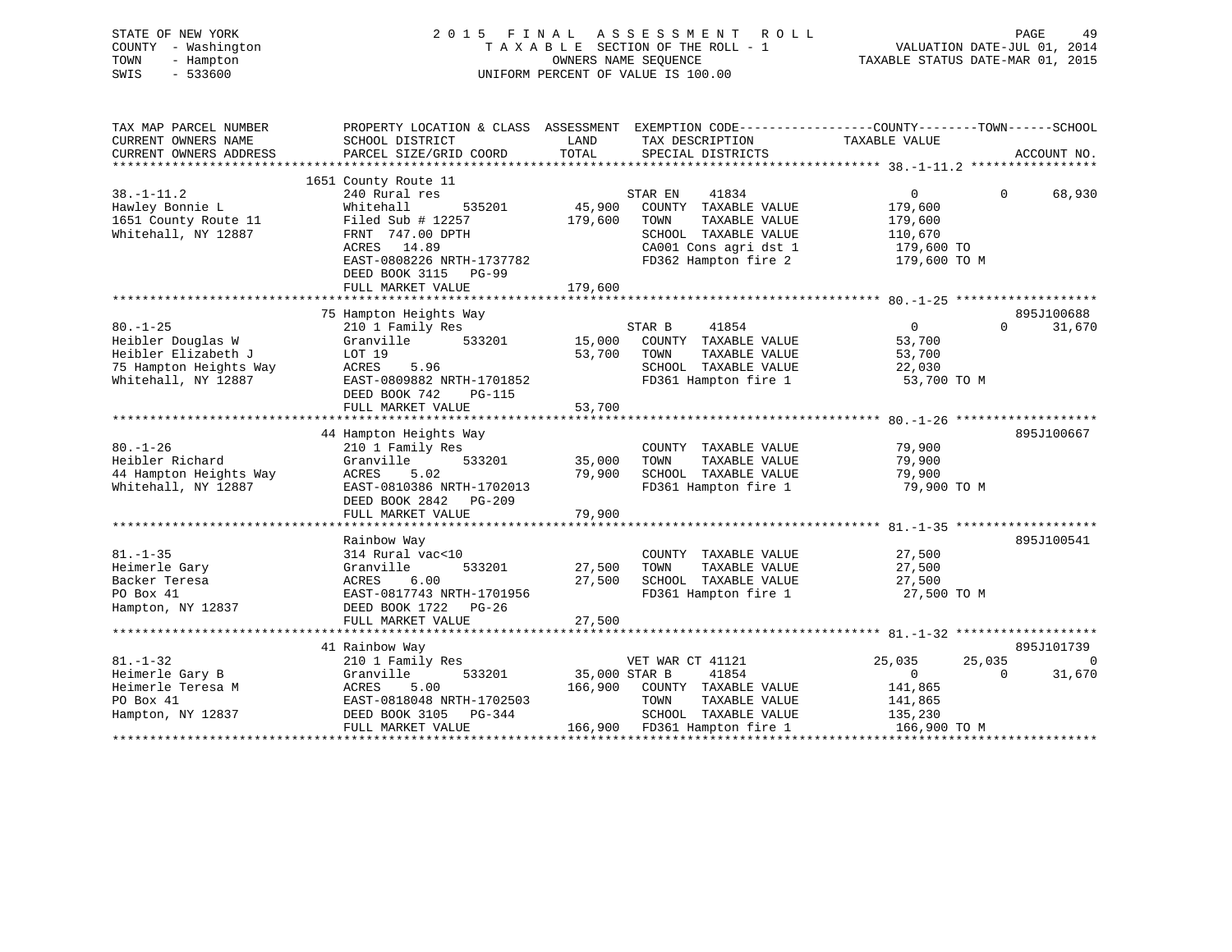| 2015                                                                                                                                                                      | FINAL                                                          | A S S E S S M E N T<br>R O L L                                                                          | TAXABLE STATUS DATE-MAR 01, 2015                                                                                                       | PAGE<br>49<br>VALUATION DATE-JUL 01, 2014                                                                                                                              |
|---------------------------------------------------------------------------------------------------------------------------------------------------------------------------|----------------------------------------------------------------|---------------------------------------------------------------------------------------------------------|----------------------------------------------------------------------------------------------------------------------------------------|------------------------------------------------------------------------------------------------------------------------------------------------------------------------|
| SCHOOL DISTRICT<br>PARCEL SIZE/GRID COORD                                                                                                                                 | LAND<br>TOTAL                                                  | TAX DESCRIPTION<br>SPECIAL DISTRICTS                                                                    | TAXABLE VALUE                                                                                                                          | ACCOUNT NO.                                                                                                                                                            |
|                                                                                                                                                                           |                                                                |                                                                                                         |                                                                                                                                        |                                                                                                                                                                        |
| 240 Rural res<br>Whitehall<br>535201<br>Filed Sub $\#$ 12257<br>FRNT 747.00 DPTH<br>ACRES 14.89<br>EAST-0808226 NRTH-1737782<br>DEED BOOK 3115 PG-99                      | 179,600                                                        | 41834<br>COUNTY TAXABLE VALUE<br>TOWN<br>TAXABLE VALUE<br>SCHOOL TAXABLE VALUE<br>CA001 Cons agri dst 1 | $\overline{0}$<br>179,600<br>179,600<br>110,670<br>179,600 TO<br>179,600 TO M                                                          | $\Omega$<br>68,930                                                                                                                                                     |
|                                                                                                                                                                           |                                                                |                                                                                                         |                                                                                                                                        |                                                                                                                                                                        |
| 75 Hampton Heights Way<br>210 1 Family Res<br>Granville<br>533201<br>LOT 19<br>ACRES<br>5.96<br>EAST-0809882 NRTH-1701852<br>DEED BOOK 742<br>PG-115<br>FULL MARKET VALUE | 53,700<br>53,700                                               | 41854<br>COUNTY TAXABLE VALUE<br>TOWN<br>TAXABLE VALUE<br>SCHOOL TAXABLE VALUE                          | $\overline{0}$<br>53,700<br>53,700<br>22,030<br>53,700 TO M                                                                            | 895J100688<br>$\Omega$<br>31,670                                                                                                                                       |
| 44 Hampton Heights Way                                                                                                                                                    |                                                                |                                                                                                         |                                                                                                                                        | 895J100667                                                                                                                                                             |
| 210 1 Family Res<br>Granville<br>533201<br>ACRES<br>5.02<br>EAST-0810386 NRTH-1702013<br>DEED BOOK 2842 PG-209<br>FULL MARKET VALUE                                       | 35,000<br>79,900<br>79,900                                     | COUNTY TAXABLE VALUE<br>TOWN<br>TAXABLE VALUE<br>FD361 Hampton fire 1                                   | 79,900<br>79,900<br>79,900<br>79,900 TO M                                                                                              |                                                                                                                                                                        |
|                                                                                                                                                                           |                                                                |                                                                                                         |                                                                                                                                        |                                                                                                                                                                        |
| Rainbow Way<br>314 Rural vac<10<br>533201<br>Granville<br>ACRES<br>6.00<br>EAST-0817743 NRTH-1701956<br>DEED BOOK 1722<br>$PG-26$                                         | 27,500<br>27,500                                               | COUNTY TAXABLE VALUE<br>TAXABLE VALUE<br>TOWN<br>SCHOOL TAXABLE VALUE<br>FD361 Hampton fire 1           | 27,500<br>27,500<br>27,500<br>27,500 TO M                                                                                              | 895J100541                                                                                                                                                             |
|                                                                                                                                                                           | 1651 County Route 11<br>FULL MARKET VALUE<br>FULL MARKET VALUE | 179,600<br>27,500                                                                                       | TAXABLE SECTION OF THE ROLL - 1<br>OWNERS NAME SEQUENCE<br>UNIFORM PERCENT OF VALUE IS 100.00<br>STAR EN<br>45,900<br>STAR B<br>15,000 | PROPERTY LOCATION & CLASS ASSESSMENT EXEMPTION CODE---------------COUNTY-------TOWN-----SCHOOL<br>FD362 Hampton fire 2<br>FD361 Hampton fire 1<br>SCHOOL TAXABLE VALUE |

|                   | 41 Rainbow Way            |         |                  |                      |              |        | 895J101739 |
|-------------------|---------------------------|---------|------------------|----------------------|--------------|--------|------------|
| $81. - 1 - 32$    | 210 1 Family Res          |         | VET WAR CT 41121 |                      | 25,035       | 25,035 |            |
| Heimerle Gary B   | Granville<br>533201       |         | 35,000 STAR B    | 41854                |              |        | 31,670     |
| Heimerle Teresa M | 5.00<br>ACRES             | 166,900 | COUNTY           | TAXABLE VALUE        | 141,865      |        |            |
| PO Box 41         | EAST-0818048 NRTH-1702503 |         | TOWN             | TAXABLE VALUE        | 141,865      |        |            |
| Hampton, NY 12837 | DEED BOOK 3105 PG-344     |         | SCHOOL           | TAXABLE VALUE        | 135,230      |        |            |
|                   | FULL MARKET VALUE         | 166,900 |                  | FD361 Hampton fire 1 | 166,900 TO M |        |            |
|                   |                           |         |                  |                      |              |        |            |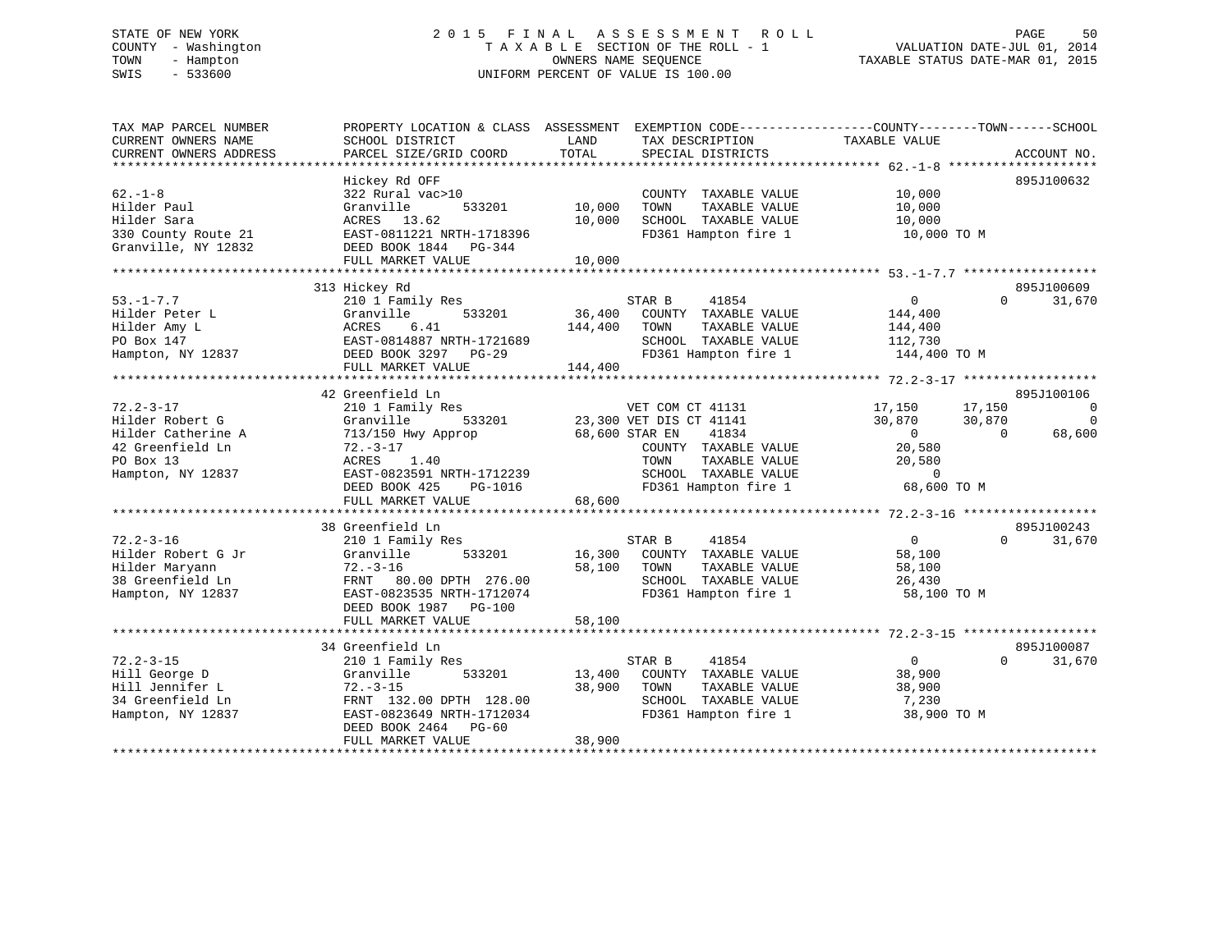# STATE OF NEW YORK 2 0 1 5 F I N A L A S S E S S M E N T R O L L PAGE 50 COUNTY - Washington T A X A B L E SECTION OF THE ROLL - 1 VALUATION DATE-JUL 01, 2014 TOWN - Hampton OWNERS NAME SEQUENCE TAXABLE STATUS DATE-MAR 01, 2015 SWIS - 533600 UNIFORM PERCENT OF VALUE IS 100.00

| TAX MAP PARCEL NUMBER<br>CURRENT OWNERS NAME<br>CURRENT OWNERS ADDRESS<br>*************************            | PROPERTY LOCATION & CLASS ASSESSMENT<br>SCHOOL DISTRICT<br>PARCEL SIZE/GRID COORD                                                                                                       | LAND<br>TAX DESCRIPTION<br>TOTAL<br>SPECIAL DISTRICTS                                                                                                                             | EXEMPTION CODE-----------------COUNTY--------TOWN------SCHOOL<br>TAXABLE VALUE<br>ACCOUNT NO.                                                       |
|----------------------------------------------------------------------------------------------------------------|-----------------------------------------------------------------------------------------------------------------------------------------------------------------------------------------|-----------------------------------------------------------------------------------------------------------------------------------------------------------------------------------|-----------------------------------------------------------------------------------------------------------------------------------------------------|
| $62. -1 - 8$<br>Hilder Paul<br>Hilder Sara<br>330 County Route 21<br>Granville, NY 12832                       | Hickey Rd OFF<br>322 Rural vac>10<br>Granville<br>533201<br>ACRES 13.62<br>EAST-0811221 NRTH-1718396<br>DEED BOOK 1844 PG-344<br>FULL MARKET VALUE                                      | COUNTY TAXABLE VALUE<br>10,000<br>TAXABLE VALUE<br>TOWN<br>10,000<br>SCHOOL TAXABLE VALUE<br>FD361 Hampton fire 1<br>10,000                                                       | 895J100632<br>10,000<br>10,000<br>10,000<br>10,000 TO M                                                                                             |
|                                                                                                                | 313 Hickey Rd                                                                                                                                                                           |                                                                                                                                                                                   | 895J100609                                                                                                                                          |
| $53. - 1 - 7.7$<br>Hilder Peter L<br>Hilder Amy L<br>PO Box 147<br>Hampton, NY 12837                           | 210 1 Family Res<br>Granville<br>533201<br>6.41<br>ACRES<br>EAST-0814887 NRTH-1721689<br>DEED BOOK 3297 PG-29<br>FULL MARKET VALUE                                                      | STAR B<br>41854<br>36,400<br>COUNTY TAXABLE VALUE<br>144,400<br>TOWN<br>TAXABLE VALUE<br>SCHOOL TAXABLE VALUE<br>FD361 Hampton fire 1<br>144,400                                  | $\overline{0}$<br>$\Omega$<br>31,670<br>144,400<br>144,400<br>112,730<br>144,400 TO M                                                               |
|                                                                                                                | 42 Greenfield Ln                                                                                                                                                                        |                                                                                                                                                                                   | 895J100106                                                                                                                                          |
| $72.2 - 3 - 17$<br>Hilder Robert G<br>Hilder Catherine A<br>42 Greenfield Ln<br>PO Box 13<br>Hampton, NY 12837 | 210 1 Family Res<br>Granville<br>533201<br>713/150 Hwy Approp<br>$72. - 3 - 17$<br>ACRES<br>1.40<br>EAST-0823591 NRTH-1712239<br>DEED BOOK 425<br>PG-1016<br>FULL MARKET VALUE          | VET COM CT 41131<br>23,300 VET DIS CT 41141<br>68,600 STAR EN<br>41834<br>COUNTY TAXABLE VALUE<br>TOWN<br>TAXABLE VALUE<br>SCHOOL TAXABLE VALUE<br>FD361 Hampton fire 1<br>68,600 | $\overline{0}$<br>17,150<br>17,150<br>30,870<br>30,870<br>$\Omega$<br>$\Omega$<br>$\Omega$<br>68,600<br>20,580<br>20,580<br>$\Omega$<br>68,600 TO M |
|                                                                                                                | 38 Greenfield Ln                                                                                                                                                                        |                                                                                                                                                                                   | 895J100243                                                                                                                                          |
| $72.2 - 3 - 16$<br>Hilder Robert G Jr<br>Hilder Maryann<br>38 Greenfield Ln<br>Hampton, NY 12837               | 210 1 Family Res<br>Granville<br>533201<br>$72. - 3 - 16$<br>FRNT 80.00 DPTH 276.00<br>EAST-0823535 NRTH-1712074<br>DEED BOOK 1987 PG-100<br>FULL MARKET VALUE                          | STAR B<br>41854<br>16,300<br>COUNTY TAXABLE VALUE<br>58,100<br>TOWN<br>TAXABLE VALUE<br>SCHOOL TAXABLE VALUE<br>FD361 Hampton fire 1<br>58,100                                    | $\overline{0}$<br>$\Omega$<br>31,670<br>58,100<br>58,100<br>26,430<br>58,100 TO M                                                                   |
|                                                                                                                |                                                                                                                                                                                         |                                                                                                                                                                                   | 895J100087                                                                                                                                          |
| $72.2 - 3 - 15$<br>Hill George D<br>Hill Jennifer L<br>34 Greenfield Ln<br>Hampton, NY 12837                   | 34 Greenfield Ln<br>210 1 Family Res<br>Granville<br>533201<br>$72. - 3 - 15$<br>FRNT 132.00 DPTH 128.00<br>EAST-0823649 NRTH-1712034<br>DEED BOOK 2464<br>$PG-60$<br>FULL MARKET VALUE | 41854<br>STAR B<br>13,400<br>COUNTY TAXABLE VALUE<br>38,900<br>TOWN<br>TAXABLE VALUE<br>SCHOOL TAXABLE VALUE<br>FD361 Hampton fire 1<br>38,900                                    | $\overline{0}$<br>$\Omega$<br>31,670<br>38,900<br>38,900<br>7,230<br>38,900 TO M                                                                    |
|                                                                                                                |                                                                                                                                                                                         |                                                                                                                                                                                   |                                                                                                                                                     |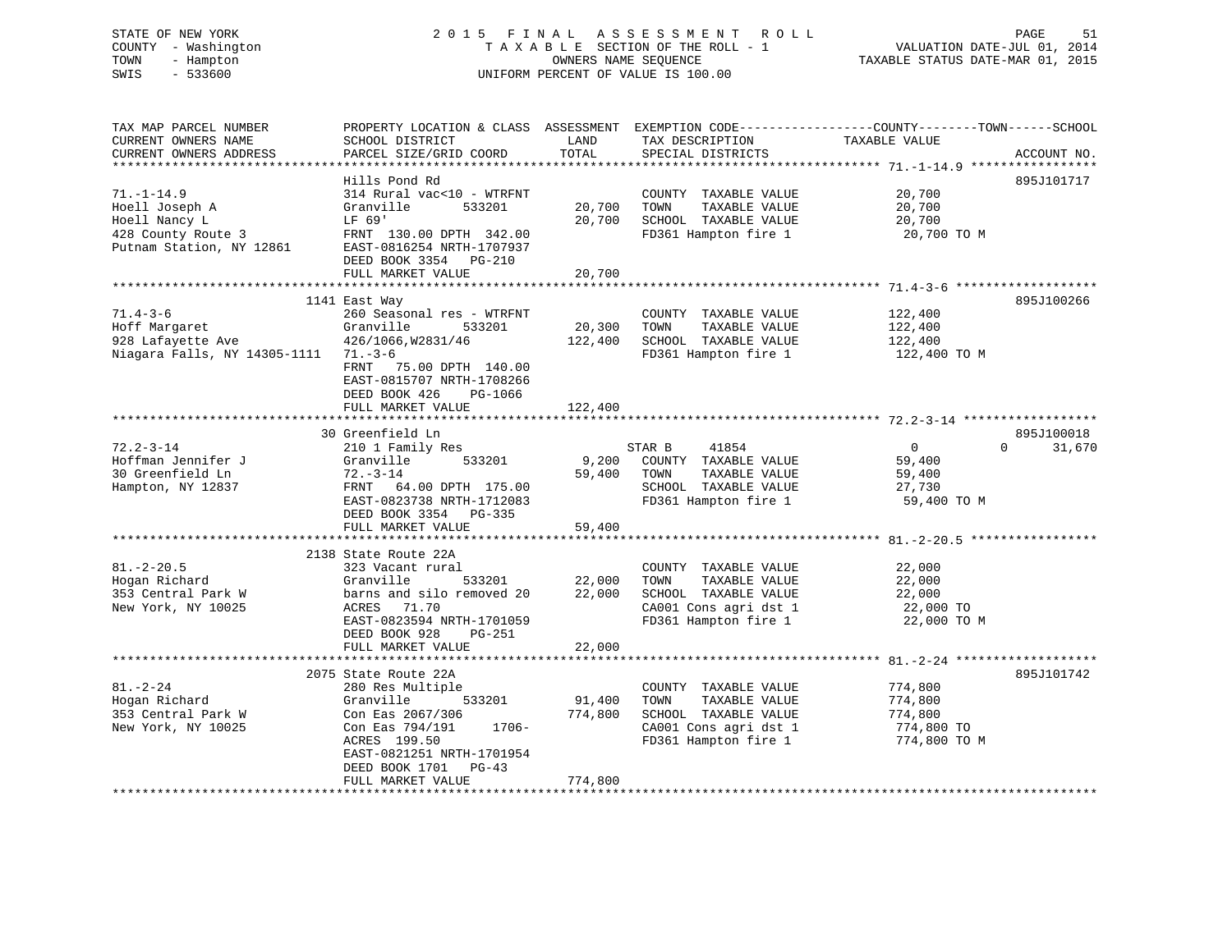# STATE OF NEW YORK 2 0 1 5 F I N A L A S S E S S M E N T R O L L PAGE 51 COUNTY - Washington T A X A B L E SECTION OF THE ROLL - 1 VALUATION DATE-JUL 01, 2014 TOWN - Hampton OWNERS NAME SEQUENCE TAXABLE STATUS DATE-MAR 01, 2015 SWIS - 533600 UNIFORM PERCENT OF VALUE IS 100.00

TAX MAP PARCEL NUMBER PROPERTY LOCATION & CLASS ASSESSMENT EXEMPTION CODE------------------COUNTY--------TOWN------SCHOOL

CURRENT OWNERS NAME SCHOOL DISTRICT THE LAND TAX DESCRIPTION TAXABLE VALUE CURRENT OWNERS ADDRESS PARCEL SIZE/GRID COORD TOTAL SPECIAL DISTRICTS ACCOUNT NO. \*\*\*\*\*\*\*\*\*\*\*\*\*\*\*\*\*\*\*\*\*\*\*\*\*\*\*\*\*\*\*\*\*\*\*\*\*\*\*\*\*\*\*\*\*\*\*\*\*\*\*\*\*\*\*\*\*\*\*\*\*\*\*\*\*\*\*\*\*\*\*\*\*\*\*\*\*\*\*\*\*\*\*\*\*\*\*\*\*\*\*\*\*\*\*\*\*\*\*\*\*\*\* 71.-1-14.9 \*\*\*\*\*\*\*\*\*\*\*\*\*\*\*\*\* Hills Pond Rd 895J10171771.-1-14.9 314 Rural vac<10 - WTRFNT COUNTY TAXABLE VALUE 20,700 Hoell Joseph A Granville 533201 20,700 TOWN TAXABLE VALUE 20,700 Hoell Nancy L LF 69' 20,700 SCHOOL TAXABLE VALUE 20,700 428 County Route 3 FRNT 130.00 DPTH 342.00 FD361 Hampton fire 1 20,700 TO M Putnam Station, NY 12861 EAST-0816254 NRTH-1707937 DEED BOOK 3354 PG-210DEED BOOK 3354 PG-210 FULL MARKET VALUE 20,700 \*\*\*\*\*\*\*\*\*\*\*\*\*\*\*\*\*\*\*\*\*\*\*\*\*\*\*\*\*\*\*\*\*\*\*\*\*\*\*\*\*\*\*\*\*\*\*\*\*\*\*\*\*\*\*\*\*\*\*\*\*\*\*\*\*\*\*\*\*\*\*\*\*\*\*\*\*\*\*\*\*\*\*\*\*\*\*\*\*\*\*\*\*\*\*\*\*\*\*\*\*\*\* 71.4-3-6 \*\*\*\*\*\*\*\*\*\*\*\*\*\*\*\*\*\*\* 1141 East Way 895J100266 71.4-3-6 260 Seasonal res - WTRFNT COUNTY TAXABLE VALUE 122,400 Hoff Margaret Granville 533201 20,300 TOWN TAXABLE VALUE 122,400 928 Lafayette Ave 426/1066,W2831/46 122,400 SCHOOL TAXABLE VALUE 122,400 Niagara Falls, NY 14305-1111 71.-3-6 FD361 Hampton fire 1 122,400 TO M FRNT 75.00 DPTH 140.00 EAST-0815707 NRTH-1708266 DEED BOOK 426 PG-1066FULL MARKET VALUE 122,400 \*\*\*\*\*\*\*\*\*\*\*\*\*\*\*\*\*\*\*\*\*\*\*\*\*\*\*\*\*\*\*\*\*\*\*\*\*\*\*\*\*\*\*\*\*\*\*\*\*\*\*\*\*\*\*\*\*\*\*\*\*\*\*\*\*\*\*\*\*\*\*\*\*\*\*\*\*\*\*\*\*\*\*\*\*\*\*\*\*\*\*\*\*\*\*\*\*\*\*\*\*\*\* 72.2-3-14 \*\*\*\*\*\*\*\*\*\*\*\*\*\*\*\*\*\* 30 Greenfield Ln 895J10001872.2-3-14 210 1 Family Res STAR B 41854 0 0 31,670 Hoffman Jennifer J Granville 533201 9,200 COUNTY TAXABLE VALUE 59,400 30 Greenfield Ln 72.-3-14 59,400 TOWN TAXABLE VALUE 59,400 Hampton, NY 12837 FRNT 64.00 DPTH 175.00 SCHOOL TAXABLE VALUE 27,730 EAST-0823738 NRTH-1712083 FD361 Hampton fire 1 59,400 TO M DEED BOOK 3354 PG-335 FULL MARKET VALUE 59,400 \*\*\*\*\*\*\*\*\*\*\*\*\*\*\*\*\*\*\*\*\*\*\*\*\*\*\*\*\*\*\*\*\*\*\*\*\*\*\*\*\*\*\*\*\*\*\*\*\*\*\*\*\*\*\*\*\*\*\*\*\*\*\*\*\*\*\*\*\*\*\*\*\*\*\*\*\*\*\*\*\*\*\*\*\*\*\*\*\*\*\*\*\*\*\*\*\*\*\*\*\*\*\* 81.-2-20.5 \*\*\*\*\*\*\*\*\*\*\*\*\*\*\*\*\* 2138 State Route 22A 81.-2-20.5 323 Vacant rural COUNTY TAXABLE VALUE 22,000 Hogan Richard Granville 533201 22,000 TOWN TAXABLE VALUE 22,000 109an Kichard<br>353 Central Park W barns and silo removed 20 22,000 SCHOOL TAXABLE VALUE 22,000<br>122,000 TO REM PARES 71.70 CA001 Cons agri dst 1 22,000 TO New York, NY 10025 ACRES 71.70 CA001 Cons agri dst 1 22,000 TO EAST-0823594 NRTH-1701059 FD361 Hampton fire 1 22,000 TO M DEED BOOK 928 PG-251 FULL MARKET VALUE 22,000 \*\*\*\*\*\*\*\*\*\*\*\*\*\*\*\*\*\*\*\*\*\*\*\*\*\*\*\*\*\*\*\*\*\*\*\*\*\*\*\*\*\*\*\*\*\*\*\*\*\*\*\*\*\*\*\*\*\*\*\*\*\*\*\*\*\*\*\*\*\*\*\*\*\*\*\*\*\*\*\*\*\*\*\*\*\*\*\*\*\*\*\*\*\*\*\*\*\*\*\*\*\*\* 81.-2-24 \*\*\*\*\*\*\*\*\*\*\*\*\*\*\*\*\*\*\* 2075 State Route 22A 895J10174281.-2-24 280 Res Multiple COUNTY TAXABLE VALUE 774,800 Hogan Richard Granville 533201 91,400 TOWN TAXABLE VALUE 774,800 353 Central Park W Con Eas 2067/306 774,800 SCHOOL TAXABLE VALUE 774,800 New York, NY 10025 Con Eas 794/191 1706- CA001 Cons agri dst 1 774,800 TO ACRES 199.50 FD361 Hampton fire 1 774,800 TO M EAST-0821251 NRTH-1701954 DEED BOOK 1701 PG-43 FULL MARKET VALUE 774,800 \*\*\*\*\*\*\*\*\*\*\*\*\*\*\*\*\*\*\*\*\*\*\*\*\*\*\*\*\*\*\*\*\*\*\*\*\*\*\*\*\*\*\*\*\*\*\*\*\*\*\*\*\*\*\*\*\*\*\*\*\*\*\*\*\*\*\*\*\*\*\*\*\*\*\*\*\*\*\*\*\*\*\*\*\*\*\*\*\*\*\*\*\*\*\*\*\*\*\*\*\*\*\*\*\*\*\*\*\*\*\*\*\*\*\*\*\*\*\*\*\*\*\*\*\*\*\*\*\*\*\*\*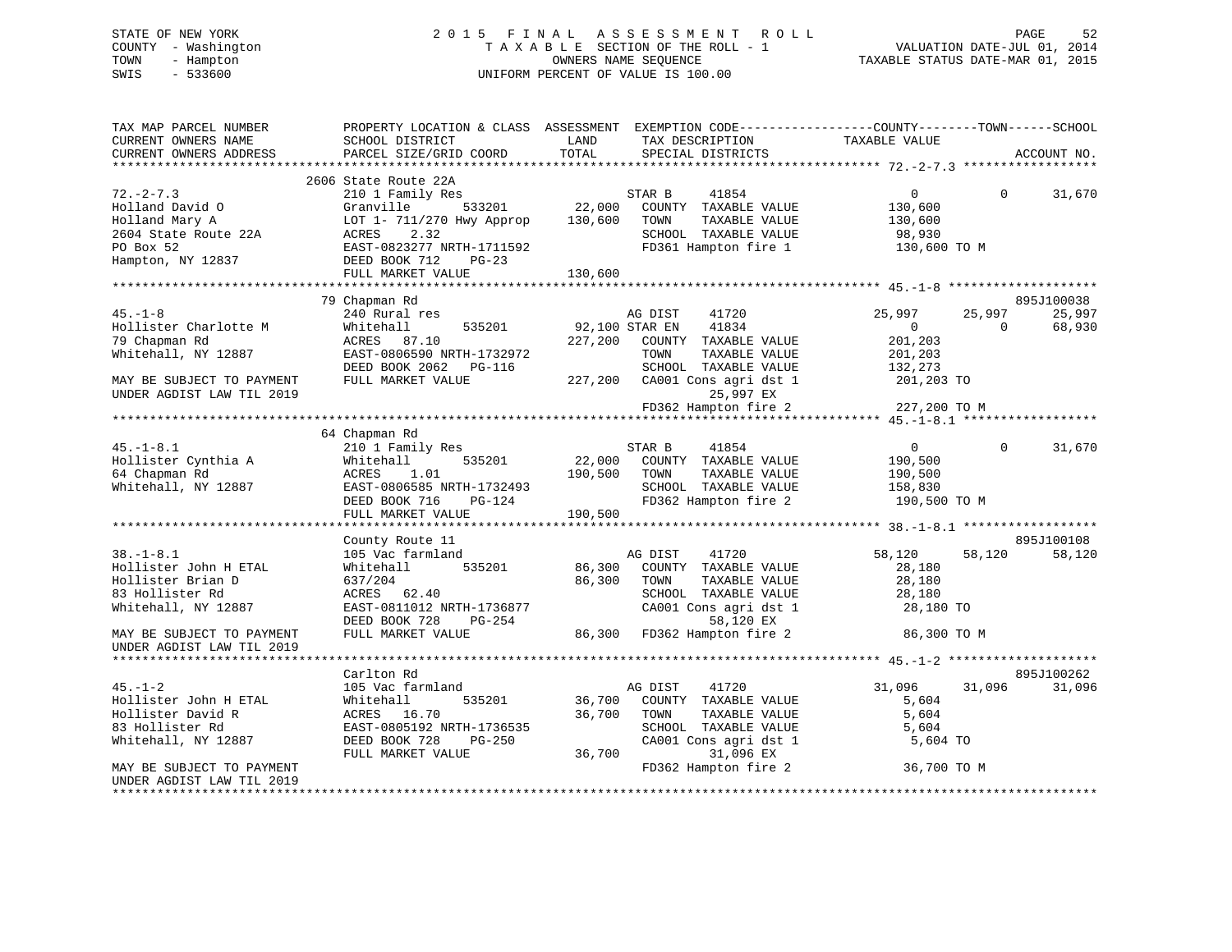# STATE OF NEW YORK 2 0 1 5 F I N A L A S S E S S M E N T R O L L PAGE 52 COUNTY - Washington T A X A B L E SECTION OF THE ROLL - 1 VALUATION DATE-JUL 01, 2014 TOWN - Hampton OWNERS NAME SEQUENCE TAXABLE STATUS DATE-MAR 01, 2015 SWIS - 533600 UNIFORM PERCENT OF VALUE IS 100.00

| TAX MAP PARCEL NUMBER     |                                                   | PROPERTY LOCATION & CLASS ASSESSMENT EXEMPTION CODE---------------COUNTY-------TOWN------SCHOOL |                                      |
|---------------------------|---------------------------------------------------|-------------------------------------------------------------------------------------------------|--------------------------------------|
| CURRENT OWNERS NAME       | SCHOOL DISTRICT                                   | LAND<br>TAX DESCRIPTION                                                                         | TAXABLE VALUE                        |
| CURRENT OWNERS ADDRESS    | PARCEL SIZE/GRID COORD                            | TOTAL<br>SPECIAL DISTRICTS                                                                      | ACCOUNT NO.                          |
|                           |                                                   |                                                                                                 |                                      |
|                           | 2606 State Route 22A                              |                                                                                                 |                                      |
| $72. - 2 - 7.3$           | 210 1 Family Res                                  | STAR B<br>41854                                                                                 | $\Omega$<br>$\overline{0}$<br>31,670 |
| Holland David O           | Granville                                         | $\frac{1}{22,000}$ COUNTY TAXABLE VALUE                                                         | 130,600                              |
| Holland Mary A            | LOT 1- 711/270 Hwy Approp 130,600                 | TOWN<br>TAXABLE VALUE                                                                           | 130,600                              |
| 2604 State Route 22A      | ACRES<br>2.32                                     | SCHOOL TAXABLE VALUE                                                                            | 98,930                               |
| PO Box 52                 | EAST-0823277 NRTH-1711592                         | FD361 Hampton fire 1                                                                            | 130,600 TO M                         |
| Hampton, NY 12837         | DEED BOOK 712<br>$PG-23$                          |                                                                                                 |                                      |
|                           |                                                   |                                                                                                 |                                      |
|                           |                                                   |                                                                                                 |                                      |
|                           | 79 Chapman Rd                                     |                                                                                                 | 895J100038                           |
| $45. - 1 - 8$             | 240 Rural res                                     | AG DIST<br>41720                                                                                | 25,997<br>25,997<br>25,997           |
| Hollister Charlotte M     | 535201<br>Whitehall                               | 92,100 STAR EN<br>41834                                                                         | 68,930<br>$\sim$ 0<br>$\overline{0}$ |
| 79 Chapman Rd             | ACRES 87.10                                       | 227,200 COUNTY TAXABLE VALUE                                                                    | 201,203                              |
| Whitehall, NY 12887       | EAST-0806590 NRTH-1732972                         |                                                                                                 |                                      |
|                           | DEED BOOK 2062    PG-116                          |                                                                                                 |                                      |
| MAY BE SUBJECT TO PAYMENT | FULL MARKET VALUE                                 |                                                                                                 |                                      |
| UNDER AGDIST LAW TIL 2019 |                                                   |                                                                                                 |                                      |
|                           |                                                   |                                                                                                 |                                      |
|                           |                                                   |                                                                                                 |                                      |
|                           | 64 Chapman Rd                                     |                                                                                                 |                                      |
| $45. - 1 - 8.1$           | 210 1 Family Res                                  |                                                                                                 | $\overline{0}$<br>$\Omega$<br>31,670 |
| Hollister Cynthia A       | 535201<br>Whitehall                               | STAR B 41854<br>22,000 COUNTY TAXABLE VALUE                                                     | 190,500                              |
| 64 Chapman Rd             | ACRES<br>1.01                                     | TAXABLE VALUE<br>190,500 TOWN                                                                   | 190,500                              |
| Whitehall, NY 12887       | EAST-0806585 NRTH-1732493                         | SCHOOL TAXABLE VALUE                                                                            | 158,830                              |
|                           | PG-124<br>DEED BOOK 716                           | FD362 Hampton fire 2                                                                            | 190,500 TO M                         |
|                           | FULL MARKET VALUE                                 | 190,500                                                                                         |                                      |
|                           |                                                   |                                                                                                 |                                      |
|                           | County Route 11                                   |                                                                                                 | 895J100108                           |
| $38. - 1 - 8.1$           | 105 Vac farmland                                  | AG DIST<br>41720                                                                                | 58,120<br>58,120<br>58,120           |
| Hollister John H ETAL     | 535201<br>Whitehall                               | 86,300 COUNTY TAXABLE VALUE                                                                     | 28,180                               |
| Hollister Brian D         | 637/204                                           | 86,300<br>TOWN<br>TAXABLE VALUE                                                                 | 28,180                               |
| 83 Hollister Rd           | ACRES 62.40                                       | SCHOOL TAXABLE VALUE                                                                            | 28,180                               |
| Whitehall, NY 12887       | EAST-0811012 NRTH-1736877                         | CA001 Cons agri dst 1                                                                           | 28,180 TO                            |
|                           | DEED BOOK 728 PG-254                              |                                                                                                 |                                      |
| MAY BE SUBJECT TO PAYMENT | FULL MARKET VALUE                                 | 1 58,120 EX<br>58,120 EX<br>86,300 FD362 Hampton fire 2                                         | 86,300 TO M                          |
| UNDER AGDIST LAW TIL 2019 |                                                   |                                                                                                 |                                      |
|                           |                                                   |                                                                                                 |                                      |
|                           | Carlton Rd                                        |                                                                                                 | 895J100262                           |
| $45. - 1 - 2$             | 105 Vac farmland                                  | 41720<br>AG DIST                                                                                | 31,096<br>31,096<br>31,096           |
| Hollister John H ETAL     | Whitehall                                         |                                                                                                 | 5,604                                |
| Hollister David R         | ACRES 16.70                                       | 535201 36,700 COUNTY TAXABLE VALUE<br>36,700 TOWN<br>TAXABLE VALUE                              | 5,604                                |
|                           |                                                   |                                                                                                 |                                      |
| 83 Hollister Rd           | EAST-0805192 NRTH-1736535<br>DEED BOOK 728 PG-250 | SCHOOL TAXABLE VALUE                                                                            | 5,604                                |
| Whitehall, NY 12887       |                                                   | CA001 Cons agri dst 1                                                                           | 5,604 TO                             |
|                           | FULL MARKET VALUE                                 | 36,700<br>31,096 EX                                                                             |                                      |
| MAY BE SUBJECT TO PAYMENT |                                                   | FD362 Hampton fire 2                                                                            | 36,700 TO M                          |
| UNDER AGDIST LAW TIL 2019 |                                                   |                                                                                                 |                                      |
|                           |                                                   |                                                                                                 |                                      |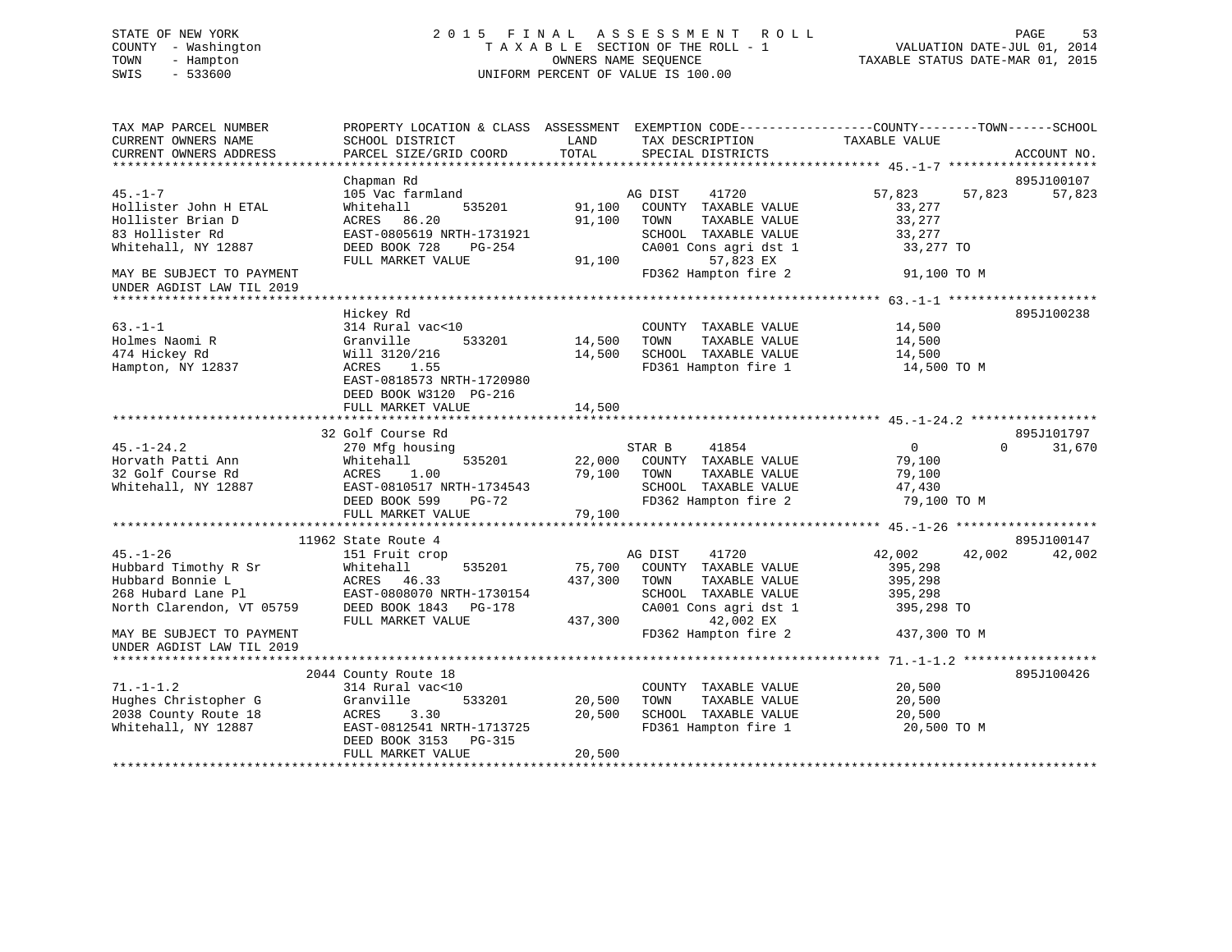# STATE OF NEW YORK 2 0 1 5 F I N A L A S S E S S M E N T R O L L PAGE 53 COUNTY - Washington T A X A B L E SECTION OF THE ROLL - 1 VALUATION DATE-JUL 01, 2014 TOWN - Hampton OWNERS NAME SEQUENCE TAXABLE STATUS DATE-MAR 01, 2015 SWIS - 533600 UNIFORM PERCENT OF VALUE IS 100.00

| TAX MAP PARCEL NUMBER<br>CURRENT OWNERS NAME                                                                                               | PROPERTY LOCATION & CLASS ASSESSMENT EXEMPTION CODE---------------COUNTY-------TOWN-----SCHOOL<br>SCHOOL DISTRICT                                           | LAND                         | TAX DESCRIPTION                                                                                                                                         | TAXABLE VALUE                                                         |                                  |
|--------------------------------------------------------------------------------------------------------------------------------------------|-------------------------------------------------------------------------------------------------------------------------------------------------------------|------------------------------|---------------------------------------------------------------------------------------------------------------------------------------------------------|-----------------------------------------------------------------------|----------------------------------|
| CURRENT OWNERS ADDRESS                                                                                                                     | PARCEL SIZE/GRID COORD                                                                                                                                      | TOTAL                        | SPECIAL DISTRICTS                                                                                                                                       |                                                                       | ACCOUNT NO.                      |
|                                                                                                                                            | Chapman Rd                                                                                                                                                  |                              |                                                                                                                                                         |                                                                       | 895J100107                       |
| $45. - 1 - 7$<br>Hollister John H ETAL<br>Hollister Brian D<br>83 Hollister Rd<br>Whitehall, NY 12887                                      | 105 Vac farmland<br>Whitehall<br>535201<br>ACRES<br>86.20<br>EAST-0805619 NRTH-1731921<br>DEED BOOK 728<br>PG-254<br>FULL MARKET VALUE                      | 91,100<br>91,100<br>91,100   | 41720<br>AG DIST<br>COUNTY TAXABLE VALUE<br>TOWN<br>TAXABLE VALUE<br>SCHOOL TAXABLE VALUE<br>CA001 Cons agri dst 1<br>57,823 EX                         | 57,823<br>33,277<br>33,277<br>33,277<br>33,277 TO                     | 57,823<br>57,823                 |
| MAY BE SUBJECT TO PAYMENT<br>UNDER AGDIST LAW TIL 2019                                                                                     |                                                                                                                                                             |                              | FD362 Hampton fire 2                                                                                                                                    | 91,100 TO M                                                           |                                  |
|                                                                                                                                            | Hickey Rd                                                                                                                                                   |                              |                                                                                                                                                         |                                                                       | 895J100238                       |
| $63 - 1 - 1$<br>Holmes Naomi R<br>474 Hickey Rd<br>Hampton, NY 12837                                                                       | 314 Rural vac<10<br>Granville<br>533201<br>Will 3120/216<br>ACRES<br>1.55<br>EAST-0818573 NRTH-1720980<br>DEED BOOK W3120 PG-216                            | 14,500<br>14,500             | COUNTY TAXABLE VALUE<br>TOWN<br>TAXABLE VALUE<br>SCHOOL TAXABLE VALUE<br>FD361 Hampton fire 1                                                           | 14,500<br>14,500<br>14,500<br>14,500 TO M                             |                                  |
|                                                                                                                                            | FULL MARKET VALUE                                                                                                                                           | 14,500                       |                                                                                                                                                         |                                                                       |                                  |
|                                                                                                                                            |                                                                                                                                                             |                              |                                                                                                                                                         |                                                                       |                                  |
| $45. - 1 - 24.2$<br>Horvath Patti Ann<br>32 Golf Course Rd<br>Whitehall, NY 12887                                                          | 32 Golf Course Rd<br>270 Mfg housing<br>535201<br>Whitehall<br>ACRES<br>1.00<br>EAST-0810517 NRTH-1734543<br>DEED BOOK 599<br>$PG-72$                       | 22,000<br>79,100             | STAR B<br>41854<br>COUNTY TAXABLE VALUE<br>TOWN<br>TAXABLE VALUE<br>SCHOOL TAXABLE VALUE<br>FD362 Hampton fire 2                                        | $\mathbf 0$<br>79,100<br>79,100<br>47,430<br>79,100 TO M              | 895J101797<br>$\Omega$<br>31,670 |
|                                                                                                                                            | FULL MARKET VALUE                                                                                                                                           | 79,100                       |                                                                                                                                                         |                                                                       |                                  |
|                                                                                                                                            |                                                                                                                                                             |                              |                                                                                                                                                         |                                                                       | 895J100147                       |
| $45. - 1 - 26$<br>Hubbard Timothy R Sr<br>Hubbard Bonnie L<br>268 Hubard Lane Pl<br>North Clarendon, VT 05759<br>MAY BE SUBJECT TO PAYMENT | 11962 State Route 4<br>151 Fruit crop<br>535201<br>Whitehall<br>ACRES 46.33<br>EAST-0808070 NRTH-1730154<br>DEED BOOK 1843<br>PG-178<br>FULL MARKET VALUE   | 75,700<br>437,300<br>437,300 | AG DIST<br>41720<br>COUNTY TAXABLE VALUE<br>TOWN<br>TAXABLE VALUE<br>SCHOOL TAXABLE VALUE<br>CA001 Cons agri dst 1<br>42,002 EX<br>FD362 Hampton fire 2 | 42,002<br>395,298<br>395,298<br>395,298<br>395,298 TO<br>437,300 TO M | 42,002<br>42,002                 |
| UNDER AGDIST LAW TIL 2019                                                                                                                  |                                                                                                                                                             |                              |                                                                                                                                                         |                                                                       |                                  |
|                                                                                                                                            |                                                                                                                                                             |                              |                                                                                                                                                         |                                                                       |                                  |
| $71. - 1 - 1.2$<br>Hughes Christopher G<br>2038 County Route 18<br>Whitehall, NY 12887                                                     | 2044 County Route 18<br>314 Rural vac<10<br>Granville<br>533201<br>ACRES<br>3.30<br>EAST-0812541 NRTH-1713725<br>DEED BOOK 3153 PG-315<br>FULL MARKET VALUE | 20,500<br>20,500<br>20,500   | COUNTY TAXABLE VALUE<br>TAXABLE VALUE<br>TOWN<br>SCHOOL TAXABLE VALUE<br>FD361 Hampton fire 1                                                           | 20,500<br>20,500<br>20,500<br>20,500 TO M                             | 895J100426                       |
|                                                                                                                                            |                                                                                                                                                             |                              |                                                                                                                                                         |                                                                       |                                  |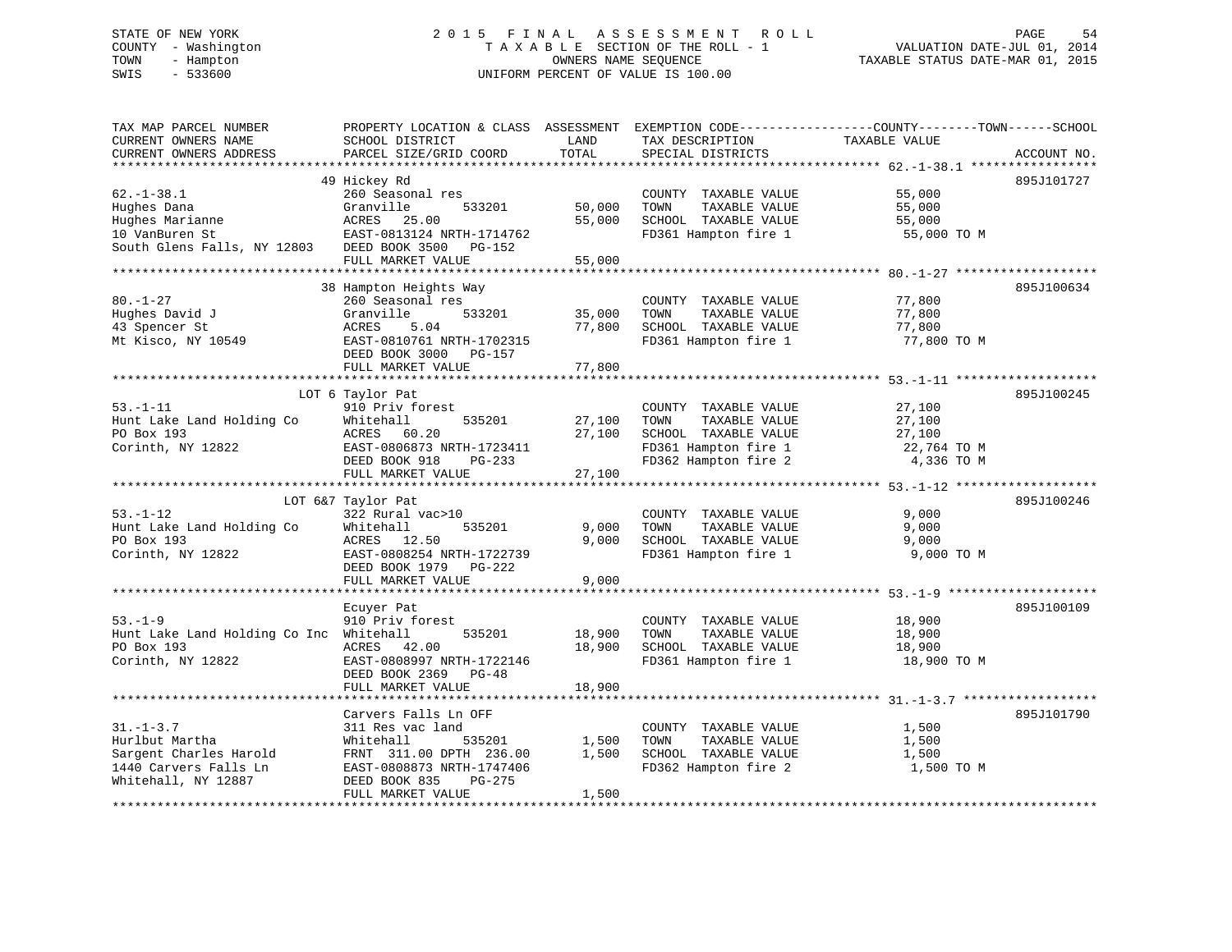# STATE OF NEW YORK 2 0 1 5 F I N A L A S S E S S M E N T R O L L PAGE 54 COUNTY - Washington T A X A B L E SECTION OF THE ROLL - 1 VALUATION DATE-JUL 01, 2014 TOWN - Hampton OWNERS NAME SEQUENCE TAXABLE STATUS DATE-MAR 01, 2015 SWIS - 533600 UNIFORM PERCENT OF VALUE IS 100.00

| TAX MAP PARCEL NUMBER<br>CURRENT OWNERS NAME<br>CURRENT OWNERS ADDRESS                                                    | PROPERTY LOCATION & CLASS ASSESSMENT<br>SCHOOL DISTRICT<br>PARCEL SIZE/GRID COORD                                                                                       | LAND<br>TOTAL              | TAX DESCRIPTION<br>SPECIAL DISTRICTS                                                                                  | EXEMPTION CODE-----------------COUNTY-------TOWN------SCHOOL<br>TAXABLE VALUE | ACCOUNT NO. |
|---------------------------------------------------------------------------------------------------------------------------|-------------------------------------------------------------------------------------------------------------------------------------------------------------------------|----------------------------|-----------------------------------------------------------------------------------------------------------------------|-------------------------------------------------------------------------------|-------------|
|                                                                                                                           |                                                                                                                                                                         |                            |                                                                                                                       |                                                                               |             |
| $62. - 1 - 38.1$<br>Hughes Dana<br>Hughes Marianne<br>10 VanBuren St<br>South Glens Falls, NY 12803 DEED BOOK 3500 PG-152 | 49 Hickey Rd<br>260 Seasonal res<br>Granville<br>533201<br>ACRES 25.00<br>EAST-0813124 NRTH-1714762<br>FULL MARKET VALUE                                                | 50,000<br>55,000<br>55,000 | COUNTY TAXABLE VALUE<br>TOWN<br>TAXABLE VALUE<br>SCHOOL TAXABLE VALUE<br>FD361 Hampton fire 1                         | 55,000<br>55,000<br>55,000<br>55,000 TO M                                     | 895J101727  |
|                                                                                                                           |                                                                                                                                                                         |                            |                                                                                                                       |                                                                               |             |
| $80. - 1 - 27$<br>Hughes David J<br>43 Spencer St<br>Mt Kisco, NY 10549                                                   | 38 Hampton Heights Way<br>260 Seasonal res<br>Granville<br>533201<br>ACRES<br>5.04<br>EAST-0810761 NRTH-1702315<br>DEED BOOK 3000 PG-157<br>FULL MARKET VALUE           | 35,000<br>77,800<br>77,800 | COUNTY TAXABLE VALUE<br>TAXABLE VALUE<br>TOWN<br>SCHOOL TAXABLE VALUE<br>FD361 Hampton fire 1                         | 77,800<br>77,800<br>77,800<br>77,800 TO M                                     | 895J100634  |
|                                                                                                                           |                                                                                                                                                                         |                            |                                                                                                                       |                                                                               |             |
| $53. - 1 - 11$<br>Hunt Lake Land Holding Co<br>PO Box 193<br>Corinth, NY 12822                                            | LOT 6 Taylor Pat<br>910 Priv forest<br>Whitehall<br>535201<br>ACRES 60.20<br>EAST-0806873 NRTH-1723411<br>DEED BOOK 918<br>$PG-233$<br>FULL MARKET VALUE                | 27,100<br>27,100<br>27,100 | COUNTY TAXABLE VALUE<br>TOWN<br>TAXABLE VALUE<br>SCHOOL TAXABLE VALUE<br>FD361 Hampton fire 1<br>FD362 Hampton fire 2 | 27,100<br>27,100<br>27,100<br>22,764 TO M<br>4,336 TO M                       | 895J100245  |
|                                                                                                                           |                                                                                                                                                                         |                            |                                                                                                                       |                                                                               |             |
| $53. - 1 - 12$<br>Hunt Lake Land Holding Co<br>PO Box 193<br>Corinth, NY 12822                                            | LOT 6&7 Taylor Pat<br>322 Rural vac>10<br>535201<br>Whitehall<br>ACRES<br>12.50<br>EAST-0808254 NRTH-1722739<br>DEED BOOK 1979<br>PG-222<br>FULL MARKET VALUE           | 9,000<br>9.000<br>9,000    | COUNTY TAXABLE VALUE<br>TOWN<br>TAXABLE VALUE<br>SCHOOL TAXABLE VALUE<br>FD361 Hampton fire 1                         | 9,000<br>9,000<br>9,000<br>9,000 TO M                                         | 895J100246  |
|                                                                                                                           |                                                                                                                                                                         |                            |                                                                                                                       |                                                                               |             |
| $53. - 1 - 9$<br>Hunt Lake Land Holding Co Inc Whitehall<br>PO Box 193<br>Corinth, NY 12822                               | Ecuyer Pat<br>910 Priv forest<br>535201<br>ACRES 42.00<br>EAST-0808997 NRTH-1722146<br>DEED BOOK 2369<br>$PG-48$<br>FULL MARKET VALUE                                   | 18,900<br>18,900<br>18,900 | COUNTY TAXABLE VALUE<br>TOWN<br>TAXABLE VALUE<br>SCHOOL TAXABLE VALUE<br>FD361 Hampton fire 1                         | 18,900<br>18,900<br>18,900<br>18,900 TO M                                     | 895J100109  |
|                                                                                                                           |                                                                                                                                                                         |                            |                                                                                                                       |                                                                               |             |
| $31. - 1 - 3.7$<br>Hurlbut Martha<br>Sargent Charles Harold<br>1440 Carvers Falls Ln<br>Whitehall, NY 12887               | Carvers Falls Ln OFF<br>311 Res vac land<br>Whitehall<br>535201<br>FRNT 311.00 DPTH 236.00<br>EAST-0808873 NRTH-1747406<br>DEED BOOK 835<br>PG-275<br>FULL MARKET VALUE | 1,500<br>1,500<br>1,500    | COUNTY TAXABLE VALUE<br>TAXABLE VALUE<br>TOWN<br>SCHOOL TAXABLE VALUE<br>FD362 Hampton fire 2                         | 1,500<br>1,500<br>1,500<br>1,500 TO M                                         | 895J101790  |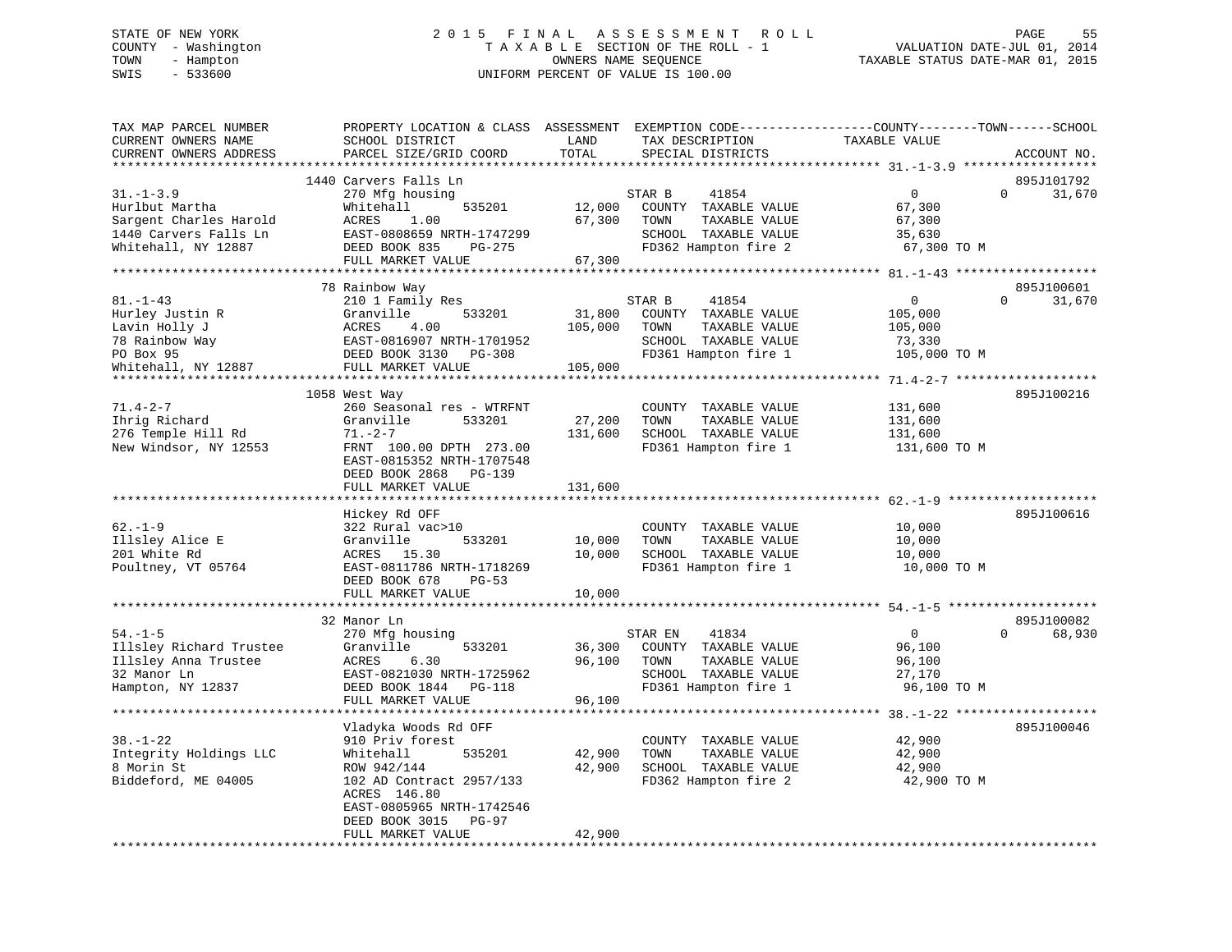### STATE OF NEW YORK 2 0 1 5 F I N A L A S S E S S M E N T R O L L PAGE 55COUNTY - Washington T A X A B L E SECTION OF THE ROLL - 1 VALUATION DATE-JUL 01, 2014 TOWN - Hampton OWNERS NAME SEQUENCE TAXABLE STATUS DATE-MAR 01, 2015 SWIS - 533600 UNIFORM PERCENT OF VALUE IS 100.00

| TAX MAP PARCEL NUMBER<br>CURRENT OWNERS NAME                                                                | PROPERTY LOCATION & CLASS ASSESSMENT<br>SCHOOL DISTRICT                                                                                                                                     | LAND<br>TOTAL                | TAX DESCRIPTION                                                                                                   | EXEMPTION CODE-----------------COUNTY-------TOWN------SCHOOL<br>TAXABLE VALUE |                                  |
|-------------------------------------------------------------------------------------------------------------|---------------------------------------------------------------------------------------------------------------------------------------------------------------------------------------------|------------------------------|-------------------------------------------------------------------------------------------------------------------|-------------------------------------------------------------------------------|----------------------------------|
| CURRENT OWNERS ADDRESS<br>*********************                                                             | PARCEL SIZE/GRID COORD<br>***********************                                                                                                                                           |                              | SPECIAL DISTRICTS                                                                                                 |                                                                               | ACCOUNT NO.                      |
|                                                                                                             | 1440 Carvers Falls Ln                                                                                                                                                                       |                              |                                                                                                                   |                                                                               | 895J101792                       |
| $31. - 1 - 3.9$<br>Hurlbut Martha<br>Sargent Charles Harold<br>1440 Carvers Falls Ln<br>Whitehall, NY 12887 | 270 Mfg housing<br>Whitehall<br>535201<br>ACRES<br>1.00<br>EAST-0808659 NRTH-1747299<br>DEED BOOK 835<br>PG-275                                                                             | 12,000<br>67,300             | STAR B<br>41854<br>COUNTY TAXABLE VALUE<br>TOWN<br>TAXABLE VALUE<br>SCHOOL TAXABLE VALUE<br>FD362 Hampton fire 2  | $\mathbf{0}$<br>67,300<br>67,300<br>35,630<br>67,300 TO M                     | $\Omega$<br>31,670               |
|                                                                                                             | FULL MARKET VALUE                                                                                                                                                                           | 67,300                       |                                                                                                                   |                                                                               |                                  |
|                                                                                                             |                                                                                                                                                                                             |                              |                                                                                                                   |                                                                               |                                  |
|                                                                                                             | 78 Rainbow Way                                                                                                                                                                              |                              |                                                                                                                   |                                                                               | 895J100601                       |
| $81. - 1 - 43$<br>Hurley Justin R<br>Lavin Holly J<br>78 Rainbow Way                                        | 210 1 Family Res<br>533201<br>Granville<br>4.00<br>ACRES<br>EAST-0816907 NRTH-1701952                                                                                                       | 31,800<br>105,000            | 41854<br>STAR B<br>COUNTY TAXABLE VALUE<br>TOWN<br>TAXABLE VALUE<br>SCHOOL TAXABLE VALUE                          | $\mathbf{0}$<br>105,000<br>105,000<br>73,330                                  | $\Omega$<br>31,670               |
| PO Box 95                                                                                                   | DEED BOOK 3130 PG-308                                                                                                                                                                       |                              | FD361 Hampton fire 1                                                                                              | 105,000 TO M                                                                  |                                  |
| Whitehall, NY 12887                                                                                         | FULL MARKET VALUE                                                                                                                                                                           | 105,000                      |                                                                                                                   |                                                                               |                                  |
|                                                                                                             |                                                                                                                                                                                             |                              |                                                                                                                   |                                                                               | 895J100216                       |
| $71.4 - 2 - 7$<br>Ihrig Richard<br>276 Temple Hill Rd<br>New Windsor, NY 12553                              | 1058 West Way<br>260 Seasonal res - WTRFNT<br>Granville<br>533201<br>$71. - 2 - 7$<br>FRNT 100.00 DPTH 273.00<br>EAST-0815352 NRTH-1707548<br>DEED BOOK 2868<br>PG-139<br>FULL MARKET VALUE | 27,200<br>131,600<br>131,600 | COUNTY TAXABLE VALUE<br>TOWN<br>TAXABLE VALUE<br>SCHOOL TAXABLE VALUE<br>FD361 Hampton fire 1                     | 131,600<br>131,600<br>131,600<br>131,600 TO M                                 |                                  |
|                                                                                                             |                                                                                                                                                                                             |                              |                                                                                                                   |                                                                               |                                  |
| $62. - 1 - 9$<br>Illsley Alice E<br>201 White Rd<br>Poultney, VT 05764                                      | Hickey Rd OFF<br>322 Rural vac>10<br>Granville<br>533201<br>ACRES 15.30<br>EAST-0811786 NRTH-1718269<br>DEED BOOK 678<br>$PG-53$                                                            | 10,000<br>10,000             | COUNTY TAXABLE VALUE<br>TAXABLE VALUE<br>TOWN<br>SCHOOL TAXABLE VALUE<br>FD361 Hampton fire 1                     | 10,000<br>10,000<br>10,000<br>10,000 TO M                                     | 895J100616                       |
|                                                                                                             | FULL MARKET VALUE                                                                                                                                                                           | 10,000                       |                                                                                                                   |                                                                               |                                  |
|                                                                                                             |                                                                                                                                                                                             |                              |                                                                                                                   |                                                                               |                                  |
| $54. - 1 - 5$<br>Illsley Richard Trustee<br>Illsley Anna Trustee<br>32 Manor Ln<br>Hampton, NY 12837        | 32 Manor Ln<br>270 Mfg housing<br>533201<br>Granville<br>6.30<br>ACRES<br>EAST-0821030 NRTH-1725962<br>DEED BOOK 1844 PG-118<br>FULL MARKET VALUE                                           | 36,300<br>96,100<br>96,100   | STAR EN<br>41834<br>COUNTY TAXABLE VALUE<br>TAXABLE VALUE<br>TOWN<br>SCHOOL TAXABLE VALUE<br>FD361 Hampton fire 1 | $\overline{0}$<br>96,100<br>96,100<br>27,170<br>96,100 TO M                   | 895J100082<br>68,930<br>$\Omega$ |
|                                                                                                             |                                                                                                                                                                                             |                              |                                                                                                                   |                                                                               |                                  |
| $38. - 1 - 22$<br>Integrity Holdings LLC<br>8 Morin St<br>Biddeford, ME 04005                               | Vladyka Woods Rd OFF<br>910 Priv forest<br>Whitehall<br>535201<br>ROW 942/144<br>102 AD Contract 2957/133<br>ACRES 146.80<br>EAST-0805965 NRTH-1742546<br>PG-97                             | 42,900<br>42,900             | COUNTY TAXABLE VALUE<br>TOWN<br>TAXABLE VALUE<br>SCHOOL TAXABLE VALUE<br>FD362 Hampton fire 2                     | 42,900<br>42,900<br>42,900<br>42,900 TO M                                     | 895J100046                       |
|                                                                                                             | DEED BOOK 3015<br>FULL MARKET VALUE                                                                                                                                                         | 42,900                       |                                                                                                                   |                                                                               |                                  |
|                                                                                                             |                                                                                                                                                                                             |                              |                                                                                                                   |                                                                               |                                  |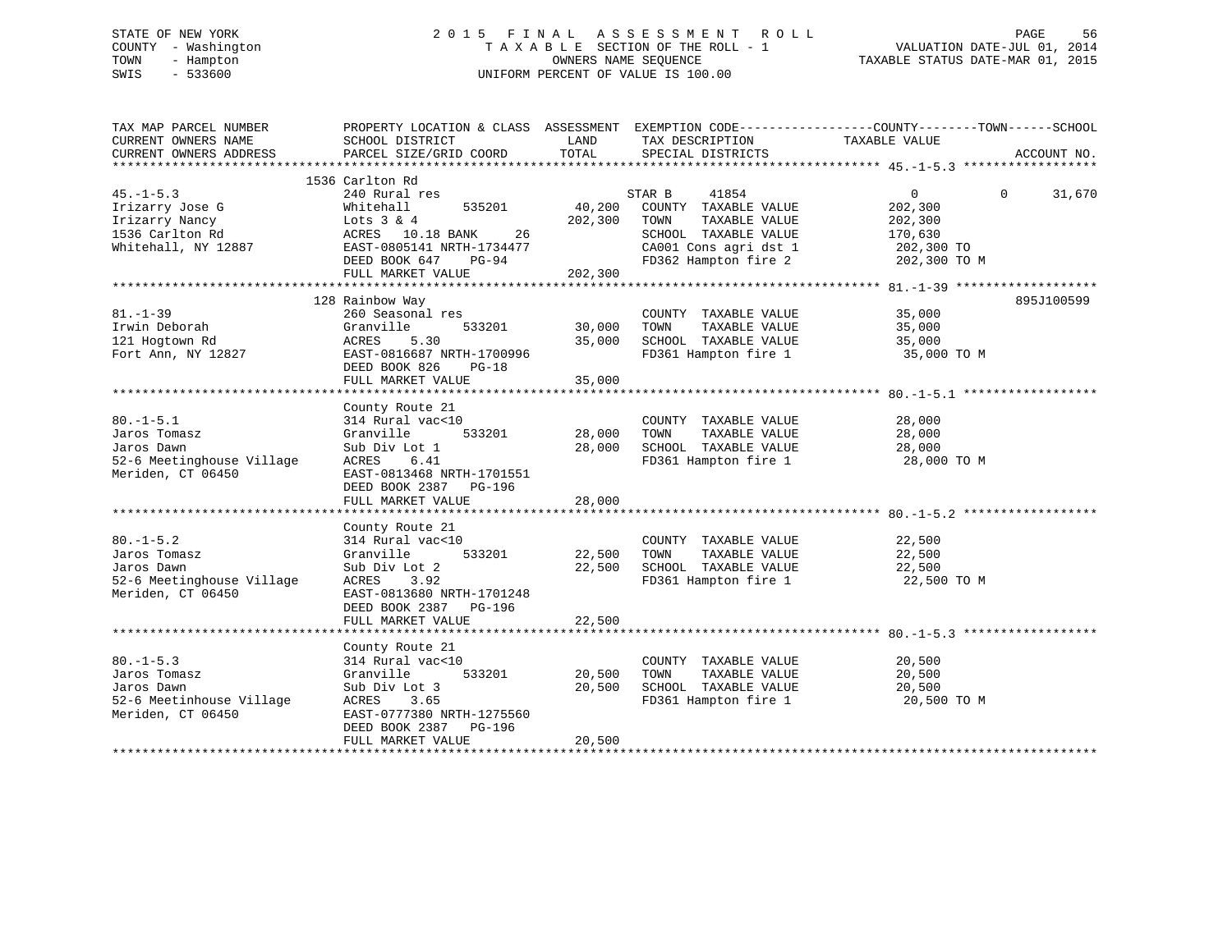# STATE OF NEW YORK 2 0 1 5 F I N A L A S S E S S M E N T R O L L PAGE 56 COUNTY - Washington T A X A B L E SECTION OF THE ROLL - 1 VALUATION DATE-JUL 01, 2014 TOWN - Hampton OWNERS NAME SEQUENCE TAXABLE STATUS DATE-MAR 01, 2015 SWIS - 533600 UNIFORM PERCENT OF VALUE IS 100.00

| TAX MAP PARCEL NUMBER<br>CURRENT OWNERS NAME<br>CURRENT OWNERS ADDRESS                         | PROPERTY LOCATION & CLASS ASSESSMENT EXEMPTION CODE----------------COUNTY-------TOWN------SCHOOL<br>SCHOOL DISTRICT<br>PARCEL SIZE/GRID COORD                           | LAND<br>TOTAL              | TAX DESCRIPTION TAXABLE VALUE<br>SPECIAL DISTRICTS                                                                |                                                               | ACCOUNT NO.        |
|------------------------------------------------------------------------------------------------|-------------------------------------------------------------------------------------------------------------------------------------------------------------------------|----------------------------|-------------------------------------------------------------------------------------------------------------------|---------------------------------------------------------------|--------------------|
|                                                                                                | 1536 Carlton Rd                                                                                                                                                         |                            |                                                                                                                   |                                                               |                    |
| $45. - 1 - 5.3$<br>Irizarry Jose G<br>Irizarry Nancy<br>1536 Carlton Rd<br>Whitehall, NY 12887 | 240 Rural res<br>Whitehall<br>535201<br>Lots $3 & 4$<br>26<br>ACRES 10.18 BANK<br>EAST-0805141 NRTH-1734477                                                             | 40,200<br>202,300          | STAR B<br>41854<br>COUNTY TAXABLE VALUE<br>TOWN<br>TAXABLE VALUE<br>SCHOOL TAXABLE VALUE<br>CA001 Cons agri dst 1 | $\overline{0}$<br>202,300<br>202,300<br>170,630<br>202,300 TO | $\Omega$<br>31,670 |
|                                                                                                | DEED BOOK 647<br>$PG-94$                                                                                                                                                | 202,300                    | FD362 Hampton fire 2                                                                                              | 202,300 TO M                                                  |                    |
|                                                                                                | FULL MARKET VALUE                                                                                                                                                       |                            |                                                                                                                   |                                                               |                    |
| $81. - 1 - 39$<br>Irwin Deborah<br>121 Hogtown Rd<br>Fort Ann, NY 12827                        | 128 Rainbow Way<br>260 Seasonal res<br>533201<br>Granville<br>5.30<br>ACRES<br>EAST-0816687 NRTH-1700996<br>DEED BOOK 826<br>$PG-18$<br>FULL MARKET VALUE               | 30,000<br>35,000<br>35,000 | COUNTY TAXABLE VALUE<br>TOWN<br>TAXABLE VALUE<br>SCHOOL TAXABLE VALUE<br>FD361 Hampton fire 1                     | 35,000<br>35,000<br>35,000<br>35,000 TO M                     | 895J100599         |
|                                                                                                |                                                                                                                                                                         |                            |                                                                                                                   |                                                               |                    |
| $80. -1 - 5.1$<br>Jaros Tomasz<br>Jaros Dawn<br>52-6 Meetinghouse Village<br>Meriden, CT 06450 | County Route 21<br>314 Rural vac<10<br>533201<br>Granville<br>Sub Div Lot 1<br>ACRES<br>6.41<br>EAST-0813468 NRTH-1701551<br>DEED BOOK 2387 PG-196<br>FULL MARKET VALUE | 28,000<br>28,000<br>28,000 | COUNTY TAXABLE VALUE<br>TOWN<br>TAXABLE VALUE<br>SCHOOL TAXABLE VALUE<br>FD361 Hampton fire 1                     | 28,000<br>28,000<br>28,000<br>28,000 TO M                     |                    |
|                                                                                                | County Route 21                                                                                                                                                         |                            |                                                                                                                   |                                                               |                    |
| $80. -1 - 5.2$<br>Jaros Tomasz<br>Jaros Dawn<br>52-6 Meetinghouse Village<br>Meriden, CT 06450 | 314 Rural vac<10<br>533201<br>Granville<br>Sub Div Lot 2<br>ACRES<br>3.92<br>EAST-0813680 NRTH-1701248<br>DEED BOOK 2387 PG-196                                         | 22,500<br>22,500           | COUNTY TAXABLE VALUE<br>TOWN<br>TAXABLE VALUE<br>SCHOOL TAXABLE VALUE<br>FD361 Hampton fire 1                     | 22,500<br>22,500<br>22,500<br>22,500 TO M                     |                    |
|                                                                                                | FULL MARKET VALUE                                                                                                                                                       | 22,500                     |                                                                                                                   |                                                               |                    |
|                                                                                                |                                                                                                                                                                         |                            |                                                                                                                   |                                                               |                    |
| $80. -1 - 5.3$<br>Jaros Tomasz<br>Jaros Dawn<br>52-6 Meetinhouse Village<br>Meriden, CT 06450  | County Route 21<br>314 Rural vac<10<br>Granville<br>533201<br>Sub Div Lot 3<br>ACRES<br>3.65<br>EAST-0777380 NRTH-1275560<br>DEED BOOK 2387<br>PG-196                   | 20,500<br>20,500           | COUNTY TAXABLE VALUE<br>TOWN<br>TAXABLE VALUE<br>SCHOOL TAXABLE VALUE<br>FD361 Hampton fire 1                     | 20,500<br>20,500<br>20,500<br>20,500 TO M                     |                    |
|                                                                                                | FULL MARKET VALUE                                                                                                                                                       | 20,500                     |                                                                                                                   |                                                               |                    |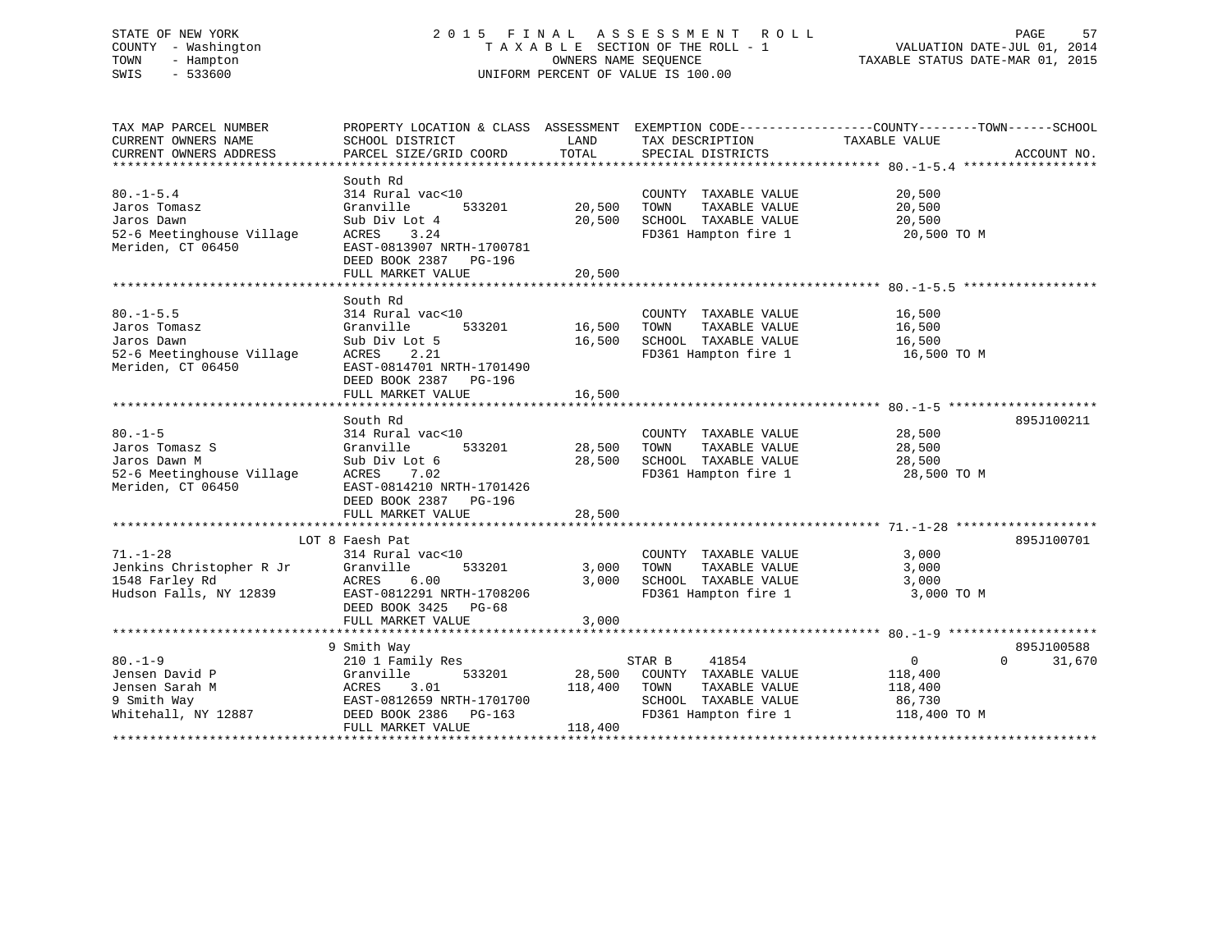# STATE OF NEW YORK 2 0 1 5 F I N A L A S S E S S M E N T R O L L PAGE 57 COUNTY - Washington T A X A B L E SECTION OF THE ROLL - 1 VALUATION DATE-JUL 01, 2014 TOWN - Hampton OWNERS NAME SEQUENCE TAXABLE STATUS DATE-MAR 01, 2015 SWIS - 533600 UNIFORM PERCENT OF VALUE IS 100.00

| TAX MAP PARCEL NUMBER<br>CURRENT OWNERS NAME<br>CURRENT OWNERS ADDRESS | PROPERTY LOCATION & CLASS ASSESSMENT<br>SCHOOL DISTRICT<br>PARCEL SIZE/GRID COORD        | LAND<br>TOTAL | TAX DESCRIPTION TAXABLE VALUE<br>SPECIAL DISTRICTS    | EXEMPTION CODE-----------------COUNTY-------TOWN------SCHOOL | ACCOUNT NO. |
|------------------------------------------------------------------------|------------------------------------------------------------------------------------------|---------------|-------------------------------------------------------|--------------------------------------------------------------|-------------|
|                                                                        |                                                                                          |               |                                                       |                                                              |             |
| $80. - 1 - 5.4$<br>Jaros Tomasz                                        | South Rd<br>314 Rural vac<10<br>Granville<br>533201                                      | 20,500        | COUNTY TAXABLE VALUE<br>TAXABLE VALUE<br>TOWN         | 20,500<br>20,500                                             |             |
| Jaros Dawn                                                             | Sub Div Lot 4                                                                            | 20,500        | SCHOOL TAXABLE VALUE                                  | 20,500                                                       |             |
| 52-6 Meetinghouse Village<br>Meriden, CT 06450                         | ACRES<br>3.24<br>EAST-0813907 NRTH-1700781<br>DEED BOOK 2387 PG-196<br>FULL MARKET VALUE | 20,500        | FD361 Hampton fire 1                                  | 20,500 TO M                                                  |             |
|                                                                        |                                                                                          |               |                                                       |                                                              |             |
|                                                                        |                                                                                          |               |                                                       |                                                              |             |
| $80. -1 - 5.5$<br>Jaros Tomasz                                         | South Rd<br>314 Rural vac<10<br>Granville                                                | 533201 16,500 | COUNTY TAXABLE VALUE<br>TOWN<br>TAXABLE VALUE         | 16,500<br>16,500                                             |             |
| Jaros Dawn                                                             | Sub Div Lot 5                                                                            | 16,500        | SCHOOL TAXABLE VALUE                                  | 16,500                                                       |             |
| 52-6 Meetinghouse Village                                              | 2.21<br>ACRES                                                                            |               | FD361 Hampton fire 1 16,500 TO M                      |                                                              |             |
| Meriden, CT 06450                                                      | EAST-0814701 NRTH-1701490<br>DEED BOOK 2387 PG-196                                       |               |                                                       |                                                              |             |
|                                                                        | FULL MARKET VALUE                                                                        | 16,500        |                                                       |                                                              |             |
|                                                                        |                                                                                          |               |                                                       |                                                              |             |
|                                                                        | South Rd                                                                                 |               |                                                       |                                                              | 895J100211  |
| $80. -1 - 5$                                                           | 314 Rural vac<10                                                                         |               | COUNTY TAXABLE VALUE                                  | 28,500                                                       |             |
| Jaros Tomasz S                                                         | 533201<br>Granville                                                                      | 28,500        | TOWN<br>TAXABLE VALUE                                 | 28,500                                                       |             |
| Jaros Dawn M                                                           | Sub Div Lot 6                                                                            | 28,500        | SCHOOL TAXABLE VALUE                                  | 28,500                                                       |             |
| 52-6 Meetinghouse Village<br>Meriden, CT 06450                         | ACRES 7.02<br>EAST-0814210 NRTH-1701426<br>DEED BOOK 2387 PG-196                         |               | FD361 Hampton fire 1                                  | 28,500 TO M                                                  |             |
|                                                                        | FULL MARKET VALUE                                                                        | 28,500        |                                                       |                                                              |             |
|                                                                        |                                                                                          |               |                                                       |                                                              |             |
|                                                                        | LOT 8 Faesh Pat                                                                          |               |                                                       |                                                              | 895J100701  |
| $71. - 1 - 28$                                                         | 314 Rural vac<10                                                                         |               | COUNTY TAXABLE VALUE                                  | 3,000                                                        |             |
| Jenkins Christopher R Jr Granville                                     | 533201                                                                                   | 3,000         | TOWN<br>TAXABLE VALUE                                 | 3,000                                                        |             |
| 1548 Farley Rd                                                         | 6.00<br>ACRES                                                                            | 3,000         | TOWN       TAXABLE  VALUE<br>SCHOOL    TAXABLE  VALUE | 3,000                                                        |             |
| Hudson Falls, NY 12839                                                 | EAST-0812291 NRTH-1708206                                                                |               | FD361 Hampton fire 1                                  | 3,000 TO M                                                   |             |
|                                                                        | DEED BOOK 3425 PG-68                                                                     |               |                                                       |                                                              |             |
|                                                                        | FULL MARKET VALUE                                                                        | 3,000         |                                                       |                                                              |             |
|                                                                        |                                                                                          |               |                                                       |                                                              |             |
|                                                                        | 9 Smith Way                                                                              |               |                                                       |                                                              | 895J100588  |
| $80. -1 - 9$                                                           | 210 1 Family Res                                                                         |               | STAR B<br>41854                                       | $\overline{0}$<br>$\Omega$                                   | 31,670      |
| Jensen David P                                                         | Granville<br>533201                                                                      |               | 28,500 COUNTY TAXABLE VALUE                           | 118,400                                                      |             |
| Jensen Sarah M                                                         | 3.01<br>ACRES                                                                            | 118,400       | TOWN<br>TAXABLE VALUE                                 | 118,400                                                      |             |
| 9 Smith Way                                                            | EAST-0812659 NRTH-1701700                                                                |               | SCHOOL TAXABLE VALUE                                  | 86,730                                                       |             |
| Whitehall, NY 12887                                                    | DEED BOOK 2386 PG-163<br>FULL MARKET VALUE                                               | 118,400       | FD361 Hampton fire 1                                  | 118,400 TO M                                                 |             |
|                                                                        |                                                                                          |               |                                                       |                                                              |             |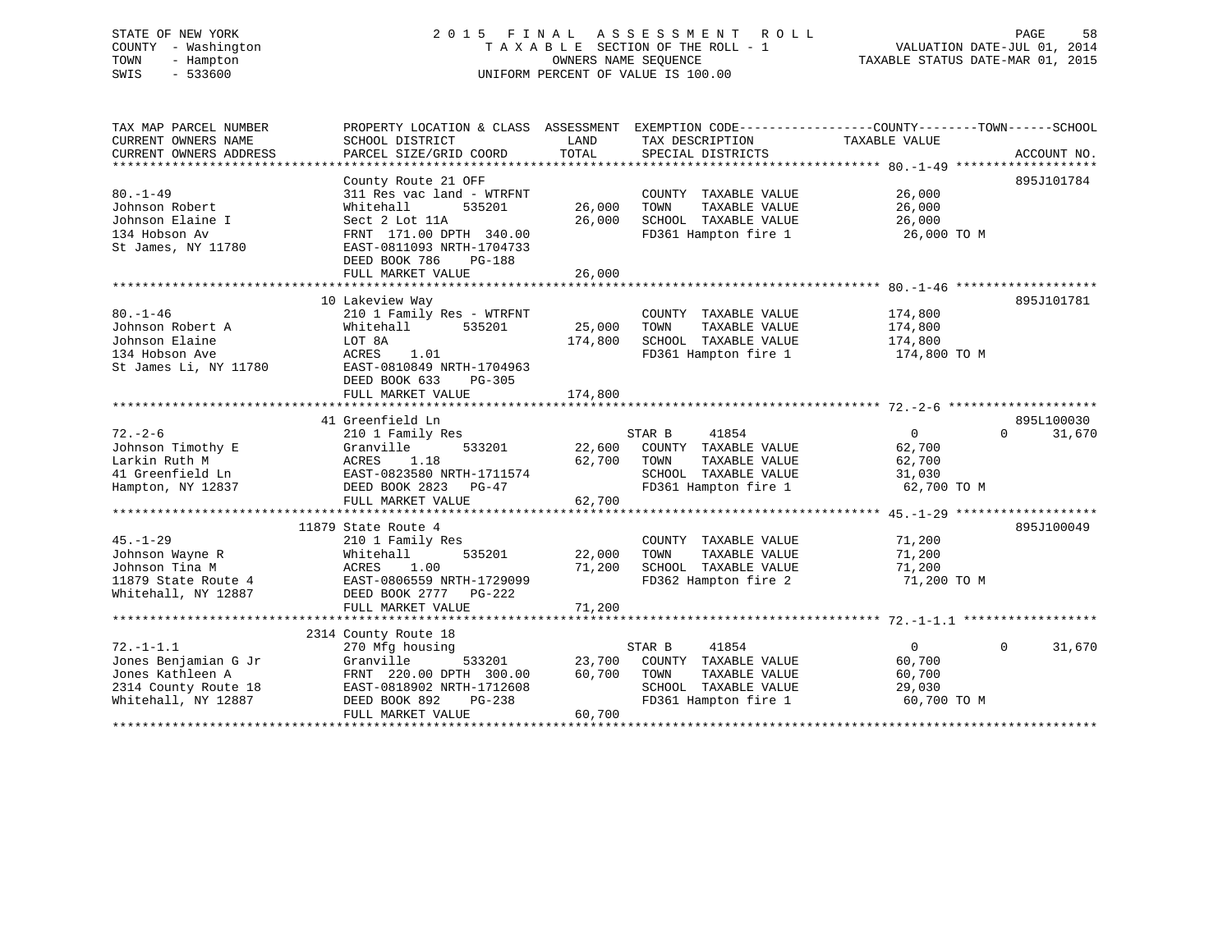# STATE OF NEW YORK 2 0 1 5 F I N A L A S S E S S M E N T R O L L PAGE 58 COUNTY - Washington T A X A B L E SECTION OF THE ROLL - 1 VALUATION DATE-JUL 01, 2014 TOWN - Hampton OWNERS NAME SEQUENCE TAXABLE STATUS DATE-MAR 01, 2015 SWIS - 533600 UNIFORM PERCENT OF VALUE IS 100.00

TAX MAP PARCEL NUMBER PROPERTY LOCATION & CLASS ASSESSMENT EXEMPTION CODE------------------COUNTY--------TOWN------SCHOOL CURRENT OWNERS NAME SCHOOL DISTRICT THE LAND TAX DESCRIPTION TAXABLE VALUE CURRENT OWNERS ADDRESS PARCEL SIZE/GRID COORD TOTAL SPECIAL DISTRICTS ACCOUNT NO. \*\*\*\*\*\*\*\*\*\*\*\*\*\*\*\*\*\*\*\*\*\*\*\*\*\*\*\*\*\*\*\*\*\*\*\*\*\*\*\*\*\*\*\*\*\*\*\*\*\*\*\*\*\*\*\*\*\*\*\*\*\*\*\*\*\*\*\*\*\*\*\*\*\*\*\*\*\*\*\*\*\*\*\*\*\*\*\*\*\*\*\*\*\*\*\*\*\*\*\*\*\*\* 80.-1-49 \*\*\*\*\*\*\*\*\*\*\*\*\*\*\*\*\*\*\*County Route 21 OFF 895J101784 80.-1-49 311 Res vac land - WTRFNT COUNTY TAXABLE VALUE 26,000 Johnson Robert Whitehall 535201 26,000 TOWN TAXABLE VALUE 26,000 Johnson Elaine I Sect 2 Lot 11A 26,000 SCHOOL TAXABLE VALUE 26,000 134 Hobson Av FRNT 171.00 DPTH 340.00 FD361 Hampton fire 1 26,000 TO M St James, NY 11780 EAST-0811093 NRTH-1704733 DEED BOOK 786 PG-188FULL MARKET VALUE 26,000 \*\*\*\*\*\*\*\*\*\*\*\*\*\*\*\*\*\*\*\*\*\*\*\*\*\*\*\*\*\*\*\*\*\*\*\*\*\*\*\*\*\*\*\*\*\*\*\*\*\*\*\*\*\*\*\*\*\*\*\*\*\*\*\*\*\*\*\*\*\*\*\*\*\*\*\*\*\*\*\*\*\*\*\*\*\*\*\*\*\*\*\*\*\*\*\*\*\*\*\*\*\*\* 80.-1-46 \*\*\*\*\*\*\*\*\*\*\*\*\*\*\*\*\*\*\* 10 Lakeview Way 895J101781 80.-1-46 210 1 Family Res - WTRFNT COUNTY TAXABLE VALUE 174,800 Johnson Robert A Whitehall 535201 25,000 TOWN TAXABLE VALUE 174,800 Johnson Elaine LOT 8A 174,800 SCHOOL TAXABLE VALUE 174,800 134 Hobson Ave ACRES 1.01 FD361 Hampton fire 1 174,800 TO M St James Li, NY 11780 EAST-0810849 NRTH-1704963 DEED BOOK 633 PG-305 FULL MARKET VALUE 174,800 \*\*\*\*\*\*\*\*\*\*\*\*\*\*\*\*\*\*\*\*\*\*\*\*\*\*\*\*\*\*\*\*\*\*\*\*\*\*\*\*\*\*\*\*\*\*\*\*\*\*\*\*\*\*\*\*\*\*\*\*\*\*\*\*\*\*\*\*\*\*\*\*\*\*\*\*\*\*\*\*\*\*\*\*\*\*\*\*\*\*\*\*\*\*\*\*\*\*\*\*\*\*\* 72.-2-6 \*\*\*\*\*\*\*\*\*\*\*\*\*\*\*\*\*\*\*\* 41 Greenfield Ln 895L10003072.-2-6 210 1 Family Res STAR B 41854 0 0 31,670 Johnson Timothy E Granville 533201 22,600 COUNTY TAXABLE VALUE 62,700 Larkin Ruth M ACRES 1.18 62,700 TOWN TAXABLE VALUE 62,700 41 Greenfield Ln EAST-0823580 NRTH-1711574 SCHOOL TAXABLE VALUE 31,030 Hampton, NY 12837 DEED BOOK 2823 PG-47 FD361 Hampton fire 1 62,700 TO M FULL MARKET VALUE 62,700 \*\*\*\*\*\*\*\*\*\*\*\*\*\*\*\*\*\*\*\*\*\*\*\*\*\*\*\*\*\*\*\*\*\*\*\*\*\*\*\*\*\*\*\*\*\*\*\*\*\*\*\*\*\*\*\*\*\*\*\*\*\*\*\*\*\*\*\*\*\*\*\*\*\*\*\*\*\*\*\*\*\*\*\*\*\*\*\*\*\*\*\*\*\*\*\*\*\*\*\*\*\*\* 45.-1-29 \*\*\*\*\*\*\*\*\*\*\*\*\*\*\*\*\*\*\* 11879 State Route 4 895J10004945.-1-29 210 1 Family Res COUNTY TAXABLE VALUE 71,200 Johnson Wayne R Whitehall 535201 22,000 TOWN TAXABLE VALUE 71,200 Johnson Tina M ACRES 1.00 71,200 SCHOOL TAXABLE VALUE 71,200 11879 State Route 4 EAST-0806559 NRTH-1729099 FD362 Hampton fire 2 71,200 TO M Whitehall, NY 12887 DEED BOOK 2777 PG-222 FULL MARKET VALUE 71,200 \*\*\*\*\*\*\*\*\*\*\*\*\*\*\*\*\*\*\*\*\*\*\*\*\*\*\*\*\*\*\*\*\*\*\*\*\*\*\*\*\*\*\*\*\*\*\*\*\*\*\*\*\*\*\*\*\*\*\*\*\*\*\*\*\*\*\*\*\*\*\*\*\*\*\*\*\*\*\*\*\*\*\*\*\*\*\*\*\*\*\*\*\*\*\*\*\*\*\*\*\*\*\* 72.-1-1.1 \*\*\*\*\*\*\*\*\*\*\*\*\*\*\*\*\*\* 2314 County Route 18 72.-1-1.1 270 Mfg housing STAR B 41854 0 0 31,670 Jones Benjamian G Jr Granville 533201 23,700 COUNTY TAXABLE VALUE 60,700 Jones Kathleen A FRNT 220.00 DPTH 300.00 60,700 TOWN TAXABLE VALUE 60,700 2314 County Route 18 EAST-0818902 NRTH-1712608 SCHOOL TAXABLE VALUE 29,030 Whitehall, NY 12887 DEED BOOK 892 PG-238 FD361 Hampton fire 1 60,700 TO M FULL MARKET VALUE 60,700 \*\*\*\*\*\*\*\*\*\*\*\*\*\*\*\*\*\*\*\*\*\*\*\*\*\*\*\*\*\*\*\*\*\*\*\*\*\*\*\*\*\*\*\*\*\*\*\*\*\*\*\*\*\*\*\*\*\*\*\*\*\*\*\*\*\*\*\*\*\*\*\*\*\*\*\*\*\*\*\*\*\*\*\*\*\*\*\*\*\*\*\*\*\*\*\*\*\*\*\*\*\*\*\*\*\*\*\*\*\*\*\*\*\*\*\*\*\*\*\*\*\*\*\*\*\*\*\*\*\*\*\*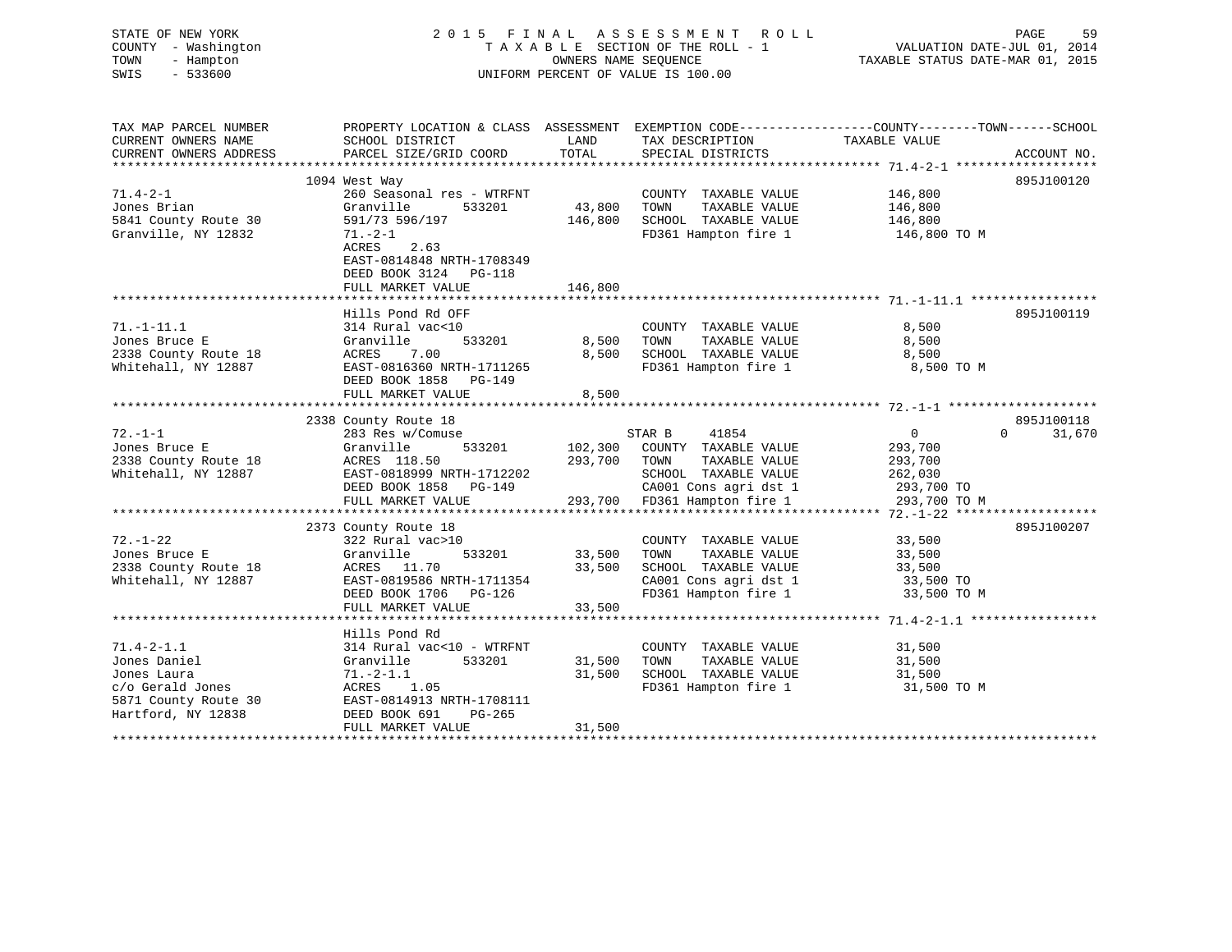| STATE OF NEW YORK<br>COUNTY - Washington<br>TOWN<br>- Hampton<br>SWIS<br>$-533600$                                |                                                                                                                                                            | OWNERS NAME SEOUENCE       | 2015 FINAL ASSESSMENT ROLL<br>TAXABLE SECTION OF THE ROLL - 1<br>UNIFORM PERCENT OF VALUE IS 100.00                       | PAGE<br>59<br>VALUATION DATE-JUL 01, 2014<br>TAXABLE STATUS DATE-MAR 01, 2015                                    |
|-------------------------------------------------------------------------------------------------------------------|------------------------------------------------------------------------------------------------------------------------------------------------------------|----------------------------|---------------------------------------------------------------------------------------------------------------------------|------------------------------------------------------------------------------------------------------------------|
| TAX MAP PARCEL NUMBER<br>CURRENT OWNERS NAME                                                                      | SCHOOL DISTRICT                                                                                                                                            | LAND                       | TAX DESCRIPTION                                                                                                           | PROPERTY LOCATION & CLASS ASSESSMENT EXEMPTION CODE----------------COUNTY-------TOWN-----SCHOOL<br>TAXABLE VALUE |
| CURRENT OWNERS ADDRESS                                                                                            | PARCEL SIZE/GRID COORD                                                                                                                                     | TOTAL                      | SPECIAL DISTRICTS                                                                                                         | ACCOUNT NO.                                                                                                      |
|                                                                                                                   | 1094 West Way                                                                                                                                              |                            |                                                                                                                           | 895J100120                                                                                                       |
| $71.4 - 2 - 1$<br>Jones Brian<br>5841 County Route 30<br>Granville, NY 12832                                      | 260 Seasonal res - WTRFNT<br>Granville<br>533201<br>591/73 596/197<br>71.-2-1<br>ACRES 2.63<br>EAST-0814848 NRTH-1708349                                   | 43,800<br>146,800          | COUNTY TAXABLE VALUE<br>TOWN<br>TAXABLE VALUE<br>SCHOOL TAXABLE VALUE<br>FD361 Hampton fire 1                             | 146,800<br>146,800<br>146,800<br>146,800 TO M                                                                    |
|                                                                                                                   | DEED BOOK 3124 PG-118<br>FULL MARKET VALUE                                                                                                                 | 146,800                    |                                                                                                                           |                                                                                                                  |
|                                                                                                                   | Hills Pond Rd OFF                                                                                                                                          |                            |                                                                                                                           | 895J100119                                                                                                       |
| $71. - 1 - 11.1$<br>Jones Bruce E<br>2338 County Route 18<br>Whitehall, NY 12887                                  | 314 Rural vac<10<br>Granville<br>533201<br>ACRES<br>7.00<br>EAST-0816360 NRTH-1711265<br>DEED BOOK 1858 PG-149                                             | 8,500<br>8,500             | COUNTY TAXABLE VALUE<br>TOWN<br>TAXABLE VALUE<br>SCHOOL TAXABLE VALUE<br>FD361 Hampton fire 1                             | 8,500<br>8,500<br>8,500<br>8,500 TO M                                                                            |
|                                                                                                                   | FULL MARKET VALUE                                                                                                                                          | 8,500                      |                                                                                                                           |                                                                                                                  |
|                                                                                                                   | 2338 County Route 18                                                                                                                                       |                            |                                                                                                                           | 895J100118                                                                                                       |
| $72. - 1 - 1$<br>Jones Bruce E<br>2338 County Route 18<br>Whitehall, NY 12887                                     | 283 Res w/Comuse<br>Granville<br>533201<br>ACRES 118.50<br>EAST-0818999 NRTH-1712202<br>DEED BOOK 1858 PG-149                                              | 293,700                    | STAR B<br>41854<br>102,300 COUNTY TAXABLE VALUE<br>TAXABLE VALUE<br>TOWN<br>SCHOOL TAXABLE VALUE<br>CA001 Cons agri dst 1 | 31,670<br>$\overline{0}$<br>$\Omega$<br>293,700<br>293,700<br>262,030<br>293,700 TO                              |
|                                                                                                                   | FULL MARKET VALUE                                                                                                                                          |                            | 293,700 FD361 Hampton fire 1                                                                                              | 293,700 TO M                                                                                                     |
| $72. - 1 - 22$<br>Jones Bruce E<br>2338 County Route 18<br>Whitehall, NY 12887                                    | 2373 County Route 18<br>322 Rural vac>10<br>533201<br>Granville<br>ACRES 11.70<br>EAST-0819586 NRTH-1711354<br>DEED BOOK 1706 PG-126<br>FULL MARKET VALUE  | 33,500<br>33,500<br>33,500 | COUNTY TAXABLE VALUE<br>TAXABLE VALUE<br>TOWN<br>SCHOOL TAXABLE VALUE<br>CA001 Cons agri dst 1<br>FD361 Hampton fire 1    | 895J100207<br>33,500<br>33,500<br>33,500<br>33,500 TO<br>33,500 TO M                                             |
|                                                                                                                   |                                                                                                                                                            |                            |                                                                                                                           |                                                                                                                  |
| $71.4 - 2 - 1.1$<br>Jones Daniel<br>Jones Laura<br>c/o Gerald Jones<br>5871 County Route 30<br>Hartford, NY 12838 | Hills Pond Rd<br>314 Rural vac<10 - WTRFNT<br>Granville<br>533201<br>$71. - 2 - 1.1$<br>ACRES 1.05<br>EAST-0814913 NRTH-1708111<br>DEED BOOK 691<br>PG-265 | 31,500<br>31,500           | COUNTY TAXABLE VALUE<br>TOWN<br>TAXABLE VALUE<br>SCHOOL TAXABLE VALUE<br>FD361 Hampton fire 1                             | 31,500<br>31,500<br>31,500<br>31,500 TO M                                                                        |
|                                                                                                                   | FULL MARKET VALUE                                                                                                                                          | 31,500                     |                                                                                                                           |                                                                                                                  |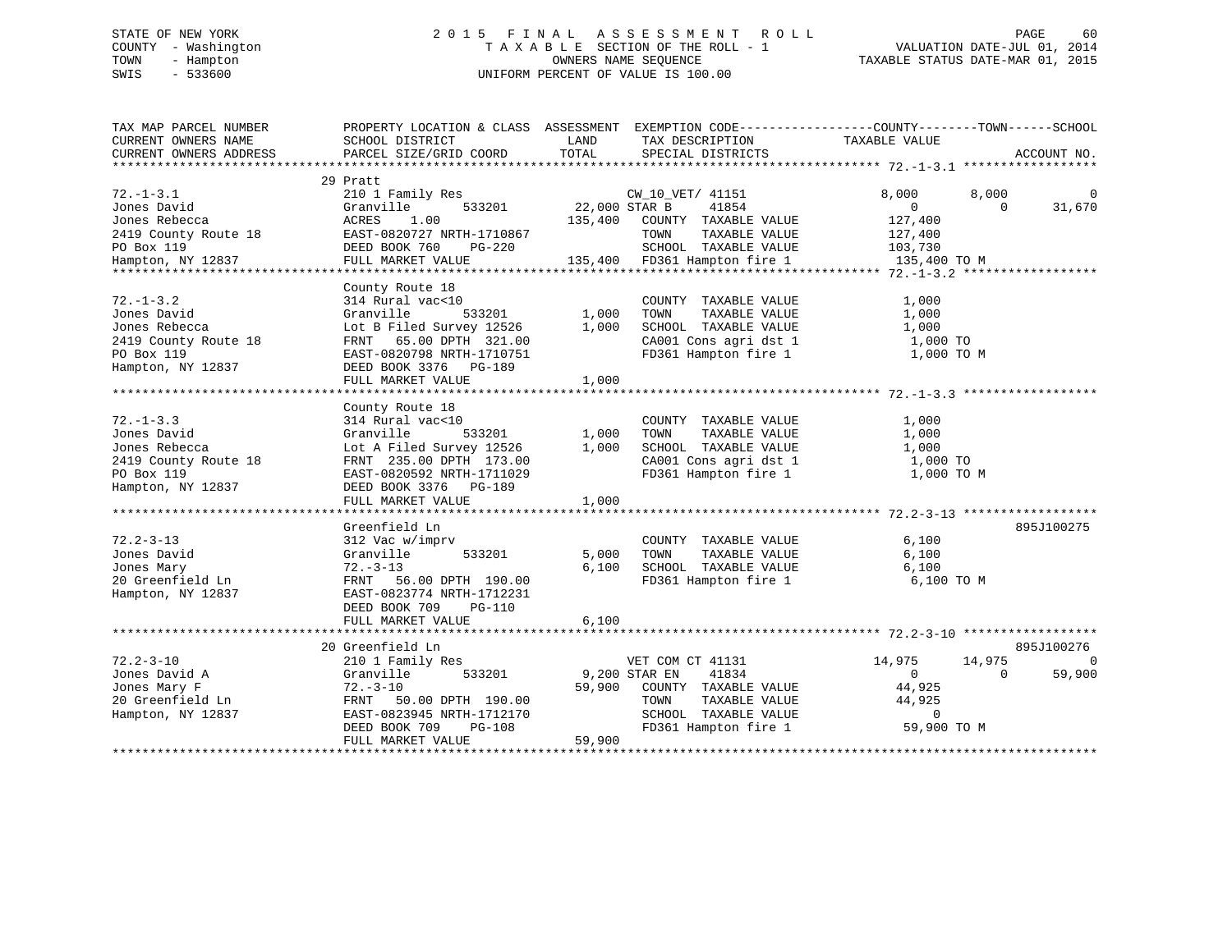# STATE OF NEW YORK 2 0 1 5 F I N A L A S S E S S M E N T R O L L PAGE 60 COUNTY - Washington T A X A B L E SECTION OF THE ROLL - 1 VALUATION DATE-JUL 01, 2014 TOWN - Hampton OWNERS NAME SEQUENCE TAXABLE STATUS DATE-MAR 01, 2015 SWIS - 533600 UNIFORM PERCENT OF VALUE IS 100.00

| TAX MAP PARCEL NUMBER<br>CURRENT OWNERS NAME                                                                                                           | PROPERTY LOCATION & CLASS ASSESSMENT EXEMPTION CODE----------------COUNTY-------TOWN------SCHOOL<br>SCHOOL DISTRICT | LAND<br>TOTAL            | TAX DESCRIPTION TAXABLE VALUE                              |                |          |             |
|--------------------------------------------------------------------------------------------------------------------------------------------------------|---------------------------------------------------------------------------------------------------------------------|--------------------------|------------------------------------------------------------|----------------|----------|-------------|
| CURRENT OWNERS ADDRESS                                                                                                                                 | PARCEL SIZE/GRID COORD                                                                                              |                          | SPECIAL DISTRICTS                                          |                |          | ACCOUNT NO. |
|                                                                                                                                                        | 29 Pratt                                                                                                            |                          |                                                            |                |          |             |
| $72. - 1 - 3.1$                                                                                                                                        | 210 1 Family Res                                                                                                    |                          | CW 10 VET/ 41151                                           | 8,000          | 8,000    | $\mathbf 0$ |
| Jones David                                                                                                                                            | s<br>533201<br>Granville                                                                                            | CW_10_\<br>22,000 STAR B | 41854                                                      | $\overline{0}$ | $\Omega$ | 31,670      |
|                                                                                                                                                        |                                                                                                                     |                          | 135,400 COUNTY TAXABLE VALUE                               | 127,400        |          |             |
|                                                                                                                                                        |                                                                                                                     |                          |                                                            |                |          |             |
|                                                                                                                                                        |                                                                                                                     |                          | TOWN<br>TAXABLE VALUE                                      | 127,400        |          |             |
| Jones Rebecca (ACRES 1.00<br>2419 County Route 18 (EAST-0820727 NRTH-1710867<br>PO Box 119 (DEED BOOK 760 (PG-220 Hampton, NY 12837 (FULL MARKET VALUE |                                                                                                                     |                          | SCHOOL TAXABLE VALUE 103,730                               |                |          |             |
|                                                                                                                                                        |                                                                                                                     |                          | 135,400 FD361 Hampton fire 1 135,400 TO M                  |                |          |             |
|                                                                                                                                                        |                                                                                                                     |                          |                                                            |                |          |             |
|                                                                                                                                                        | County Route 18                                                                                                     |                          |                                                            |                |          |             |
| $72. - 1 - 3.2$                                                                                                                                        | 314 Rural vac<10                                                                                                    |                          | COUNTY TAXABLE VALUE                                       | 1,000          |          |             |
| Jones David                                                                                                                                            | Granville                                                                                                           | $533201$ 1,000           | TOWN<br>TAXABLE VALUE                                      | 1,000          |          |             |
| Jones Rebecca                                                                                                                                          | Lot B Filed Survey 12526                                                                                            | 1,000                    | SCHOOL TAXABLE VALUE                                       | 1,000          |          |             |
| 2419 County Route 18                                                                                                                                   | FRNT 65.00 DPTH 321.00                                                                                              |                          | CA001 Cons agri dst 1 1,000 TO                             |                |          |             |
| PO Box 119                                                                                                                                             | EAST-0820798 NRTH-1710751                                                                                           |                          | FD361 Hampton fire 1                                       | 1,000 TO M     |          |             |
| Hampton, NY 12837                                                                                                                                      | DEED BOOK 3376 PG-189                                                                                               |                          |                                                            |                |          |             |
|                                                                                                                                                        | FULL MARKET VALUE                                                                                                   | 1,000                    |                                                            |                |          |             |
|                                                                                                                                                        |                                                                                                                     |                          |                                                            |                |          |             |
|                                                                                                                                                        | County Route 18                                                                                                     |                          |                                                            |                |          |             |
| $72. - 1 - 3.3$                                                                                                                                        | 314 Rural vac<10                                                                                                    |                          | COUNTY TAXABLE VALUE                                       | 1,000          |          |             |
| Jones David                                                                                                                                            | Granville<br>533201                                                                                                 | 1,000                    | TAXABLE VALUE<br>TOWN                                      | 1,000          |          |             |
| Jones Rebecca                                                                                                                                          | Lot A Filed Survey 12526                                                                                            | 1,000                    | SCHOOL TAXABLE VALUE                                       | 1,000          |          |             |
| 2419 County Route 18                                                                                                                                   | FRNT 235.00 DPTH 173.00                                                                                             |                          | CA001 Cons agri dst 1 1,000 TO                             |                |          |             |
| PO Box 119                                                                                                                                             | EAST-0820592 NRTH-1711029                                                                                           |                          | FD361 Hampton fire 1                                       | 1,000 TO M     |          |             |
| Hampton, NY 12837                                                                                                                                      | DEED BOOK 3376 PG-189                                                                                               |                          |                                                            |                |          |             |
|                                                                                                                                                        | FULL MARKET VALUE                                                                                                   | 1,000                    |                                                            |                |          |             |
|                                                                                                                                                        |                                                                                                                     |                          |                                                            |                |          |             |
|                                                                                                                                                        | Greenfield Ln                                                                                                       |                          |                                                            |                |          | 895J100275  |
| $72.2 - 3 - 13$                                                                                                                                        | 312 Vac w/imprv                                                                                                     |                          | COUNTY TAXABLE VALUE                                       | 6,100          |          |             |
| Jones David                                                                                                                                            | Granville<br>533201                                                                                                 | 5,000                    | TOWN<br>TAXABLE VALUE                                      | 6,100          |          |             |
|                                                                                                                                                        | $72. - 3 - 13$                                                                                                      | 6,100                    | SCHOOL TAXABLE VALUE                                       |                |          |             |
| Jones Mary                                                                                                                                             |                                                                                                                     |                          | FD361 Hampton fire 1                                       | 6,100          |          |             |
| 20 Greenfield Ln                                                                                                                                       | FRNT 56.00 DPTH 190.00                                                                                              |                          |                                                            | 6,100 TO M     |          |             |
| Hampton, NY 12837                                                                                                                                      | EAST-0823774 NRTH-1712231                                                                                           |                          |                                                            |                |          |             |
|                                                                                                                                                        | DEED BOOK 709<br>$PG-110$                                                                                           |                          |                                                            |                |          |             |
|                                                                                                                                                        |                                                                                                                     |                          |                                                            |                |          |             |
|                                                                                                                                                        |                                                                                                                     |                          |                                                            |                |          |             |
|                                                                                                                                                        | 20 Greenfield Ln                                                                                                    |                          |                                                            |                |          | 895J100276  |
| $72.2 - 3 - 10$                                                                                                                                        | 210 1 Family Res                                                                                                    |                          | VET COM CT 41131                                           | 14,975         | 14,975   | $\mathbf 0$ |
| Jones David A                                                                                                                                          | Granville<br>533201                                                                                                 | 9,200 STAR EN            | 41834                                                      | $\overline{0}$ | $\Omega$ | 59,900      |
| Jones Mary F                                                                                                                                           | $72. - 3 - 10$                                                                                                      | 59,900                   | COUNTY TAXABLE VALUE                                       | 44,925         |          |             |
| 20 Greenfield Ln                                                                                                                                       | FRNT<br>50.00 DPTH 190.00                                                                                           |                          | TAXABLE VALUE<br>TOWN                                      | 44,925         |          |             |
| Hampton, NY 12837                                                                                                                                      | EAST-0823945 NRTH-1712170                                                                                           |                          |                                                            |                |          |             |
|                                                                                                                                                        | DEED BOOK 709<br>PG-108                                                                                             |                          | SCHOOL TAXABLE VALUE 0<br>FD361 Hampton fire 1 59,900 TO M |                |          |             |
|                                                                                                                                                        | FULL MARKET VALUE                                                                                                   | 59,900                   |                                                            |                |          |             |
|                                                                                                                                                        |                                                                                                                     |                          |                                                            |                |          |             |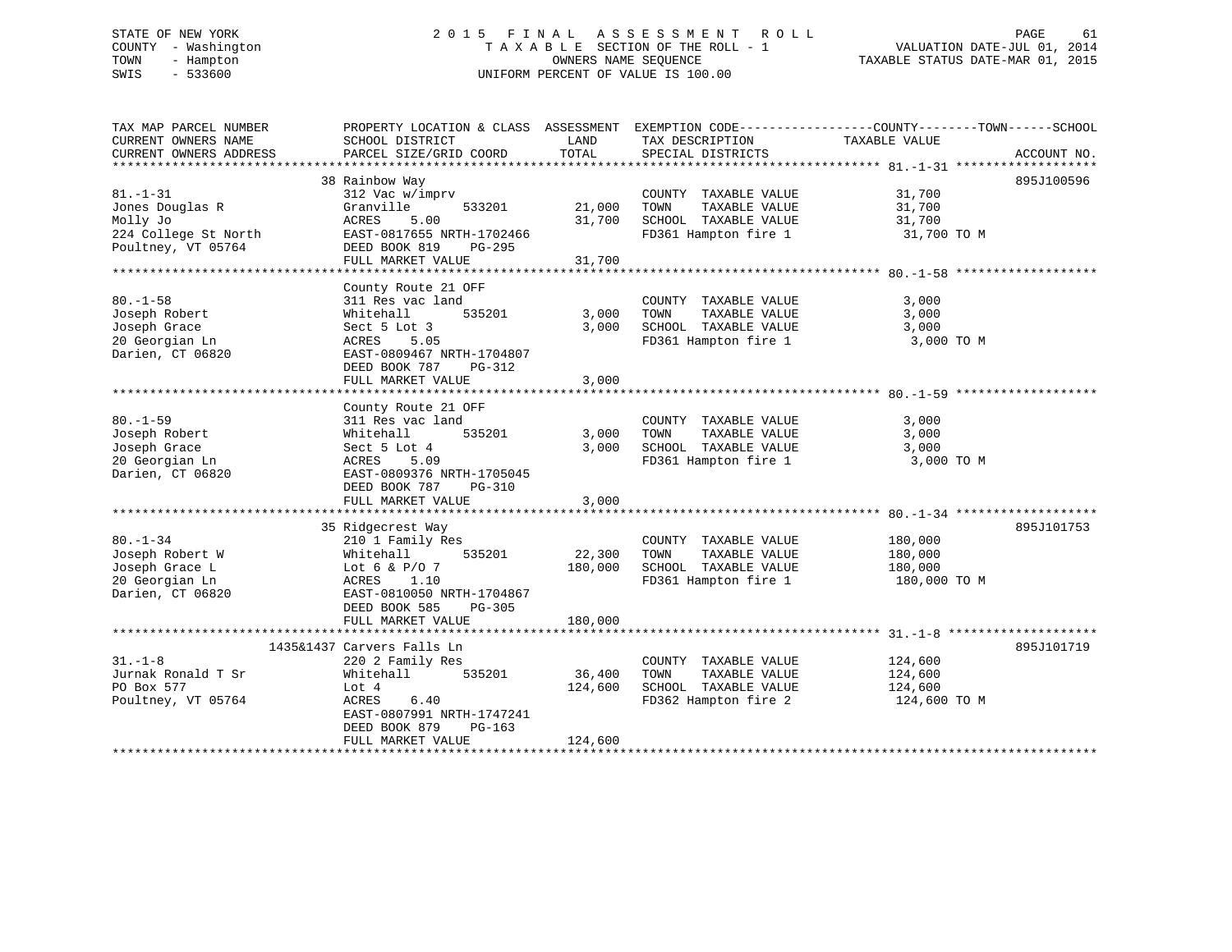# STATE OF NEW YORK 2 0 1 5 F I N A L A S S E S S M E N T R O L L PAGE 61 COUNTY - Washington T A X A B L E SECTION OF THE ROLL - 1 VALUATION DATE-JUL 01, 2014 TOWN - Hampton OWNERS NAME SEQUENCE TAXABLE STATUS DATE-MAR 01, 2015 SWIS - 533600 UNIFORM PERCENT OF VALUE IS 100.00

| TAX MAP PARCEL NUMBER<br>CURRENT OWNERS NAME<br>CURRENT OWNERS ADDRESS                      | PROPERTY LOCATION & CLASS ASSESSMENT<br>SCHOOL DISTRICT<br>PARCEL SIZE/GRID COORD                                                                                              | LAND<br>TOTAL                | TAX DESCRIPTION<br>SPECIAL DISTRICTS                                                          | EXEMPTION CODE-----------------COUNTY--------TOWN------SCHOOL<br>TAXABLE VALUE | ACCOUNT NO. |
|---------------------------------------------------------------------------------------------|--------------------------------------------------------------------------------------------------------------------------------------------------------------------------------|------------------------------|-----------------------------------------------------------------------------------------------|--------------------------------------------------------------------------------|-------------|
| $81. - 1 - 31$<br>Jones Douglas R<br>Molly Jo<br>224 College St North<br>Poultney, VT 05764 | 38 Rainbow Way<br>312 Vac w/imprv<br>Granville<br>533201<br>ACRES<br>5.00<br>EAST-0817655 NRTH-1702466<br>DEED BOOK 819<br>PG-295<br>FULL MARKET VALUE                         | 21,000<br>31,700<br>31,700   | COUNTY TAXABLE VALUE<br>TOWN<br>TAXABLE VALUE<br>SCHOOL TAXABLE VALUE<br>FD361 Hampton fire 1 | 31,700<br>31,700<br>31,700<br>31,700 TO M                                      | 895J100596  |
| $80. - 1 - 58$<br>Joseph Robert<br>Joseph Grace<br>20 Georgian Ln<br>Darien, CT 06820       | County Route 21 OFF<br>311 Res vac land<br>535201<br>Whitehall<br>Sect 5 Lot 3<br>ACRES<br>5.05<br>EAST-0809467 NRTH-1704807<br>DEED BOOK 787<br>$PG-312$<br>FULL MARKET VALUE | 3,000<br>3,000<br>3,000      | COUNTY TAXABLE VALUE<br>TAXABLE VALUE<br>TOWN<br>SCHOOL TAXABLE VALUE<br>FD361 Hampton fire 1 | 3,000<br>3,000<br>3,000<br>3,000 TO M                                          |             |
| $80. - 1 - 59$<br>Joseph Robert<br>Joseph Grace<br>20 Georgian Ln<br>Darien, CT 06820       | County Route 21 OFF<br>311 Res vac land<br>Whitehall<br>535201<br>Sect 5 Lot 4<br>ACRES<br>5.09<br>EAST-0809376 NRTH-1705045<br>DEED BOOK 787<br>PG-310<br>FULL MARKET VALUE   | 3,000<br>3,000<br>3,000      | COUNTY TAXABLE VALUE<br>TAXABLE VALUE<br>TOWN<br>SCHOOL TAXABLE VALUE<br>FD361 Hampton fire 1 | 3,000<br>3,000<br>3,000<br>3,000 TO M                                          |             |
| $80. - 1 - 34$<br>Joseph Robert W<br>Joseph Grace L<br>20 Georgian Ln<br>Darien, CT 06820   | 35 Ridgecrest Way<br>210 1 Family Res<br>535201<br>Whitehall<br>Lot 6 & $P/O$ 7<br>ACRES<br>1.10<br>EAST-0810050 NRTH-1704867<br>DEED BOOK 585<br>PG-305<br>FULL MARKET VALUE  | 22,300<br>180,000<br>180,000 | COUNTY TAXABLE VALUE<br>TAXABLE VALUE<br>TOWN<br>SCHOOL TAXABLE VALUE<br>FD361 Hampton fire 1 | 180,000<br>180,000<br>180,000<br>180,000 TO M                                  | 895J101753  |
| $31. - 1 - 8$<br>Jurnak Ronald T Sr<br>PO Box 577<br>Poultney, VT 05764                     | 1435&1437 Carvers Falls Ln<br>220 2 Family Res<br>535201<br>Whitehall<br>Lot 4<br>ACRES<br>6.40<br>EAST-0807991 NRTH-1747241<br>DEED BOOK 879<br>$PG-163$<br>FULL MARKET VALUE | 36,400<br>124,600<br>124,600 | COUNTY TAXABLE VALUE<br>TAXABLE VALUE<br>TOWN<br>SCHOOL TAXABLE VALUE<br>FD362 Hampton fire 2 | 124,600<br>124,600<br>124,600<br>124,600 TO M                                  | 895J101719  |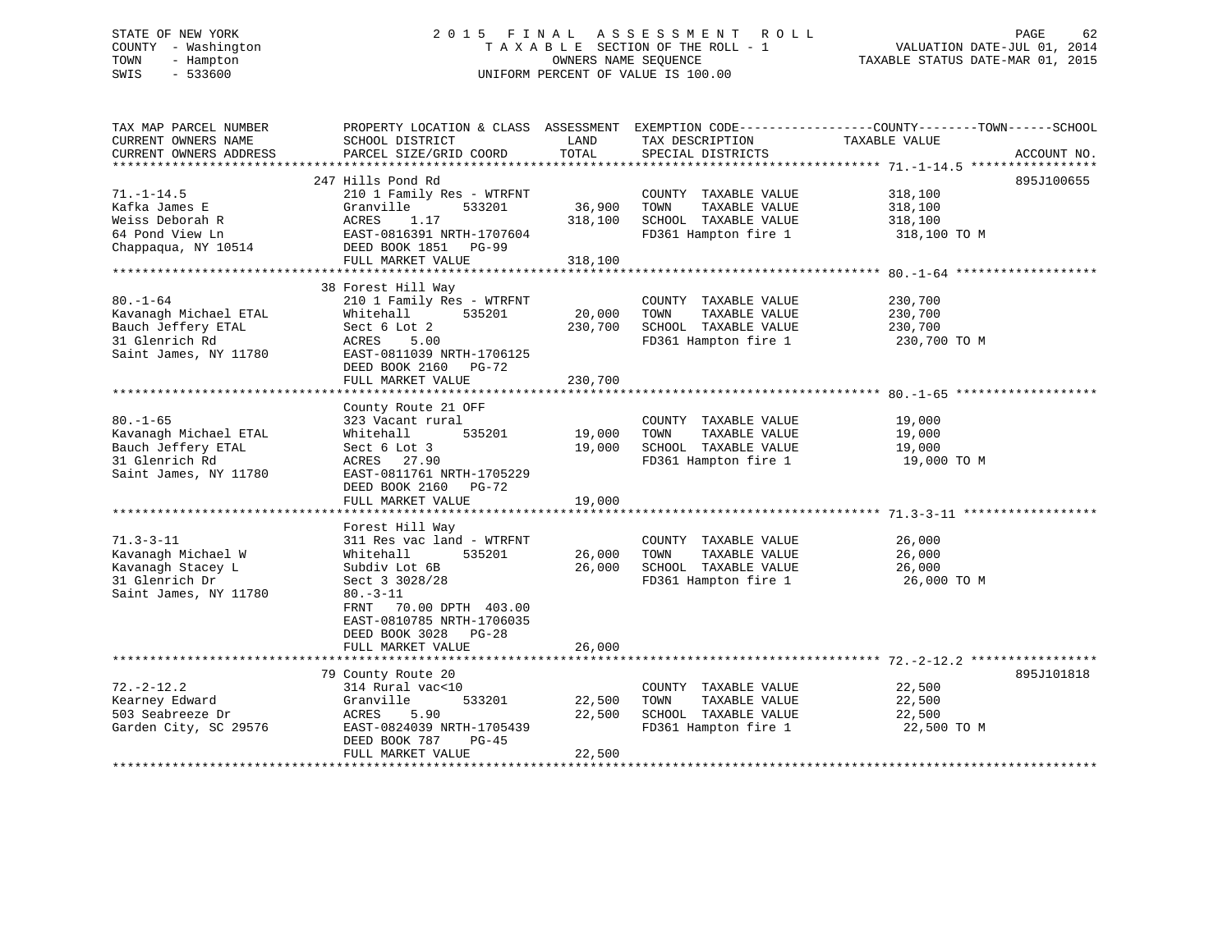# STATE OF NEW YORK 2 0 1 5 F I N A L A S S E S S M E N T R O L L PAGE 62 COUNTY - Washington T A X A B L E SECTION OF THE ROLL - 1 VALUATION DATE-JUL 01, 2014 TOWN - Hampton OWNERS NAME SEQUENCE TAXABLE STATUS DATE-MAR 01, 2015 SWIS - 533600 UNIFORM PERCENT OF VALUE IS 100.00

| TAX MAP PARCEL NUMBER                         | PROPERTY LOCATION & CLASS ASSESSMENT EXEMPTION CODE---------------COUNTY-------TOWN-----SCHOOL |               |                                      |               |             |
|-----------------------------------------------|------------------------------------------------------------------------------------------------|---------------|--------------------------------------|---------------|-------------|
| CURRENT OWNERS NAME<br>CURRENT OWNERS ADDRESS | SCHOOL DISTRICT<br>PARCEL SIZE/GRID COORD                                                      | LAND<br>TOTAL | TAX DESCRIPTION<br>SPECIAL DISTRICTS | TAXABLE VALUE | ACCOUNT NO. |
|                                               |                                                                                                |               |                                      |               |             |
|                                               | 247 Hills Pond Rd                                                                              |               |                                      |               | 895J100655  |
| $71. - 1 - 14.5$                              | 210 1 Family Res - WTRFNT                                                                      |               | COUNTY TAXABLE VALUE                 | 318,100       |             |
| Kafka James E                                 | 533201<br>Granville                                                                            | 36,900        | TOWN<br>TAXABLE VALUE                | 318,100       |             |
| Weiss Deborah R                               | 1.17<br>ACRES                                                                                  | 318,100       | SCHOOL TAXABLE VALUE                 | 318,100       |             |
| 64 Pond View Ln                               | EAST-0816391 NRTH-1707604                                                                      |               | FD361 Hampton fire 1                 | 318,100 TO M  |             |
| Chappaqua, NY 10514                           | DEED BOOK 1851<br>PG-99                                                                        |               |                                      |               |             |
|                                               | FULL MARKET VALUE                                                                              | 318,100       |                                      |               |             |
|                                               |                                                                                                |               |                                      |               |             |
|                                               | 38 Forest Hill Way                                                                             |               |                                      |               |             |
| $80. - 1 - 64$                                | 210 1 Family Res - WTRFNT                                                                      |               | COUNTY TAXABLE VALUE                 | 230,700       |             |
| Kavanagh Michael ETAL                         | 535201<br>Whitehall                                                                            | 20,000        | TOWN<br>TAXABLE VALUE                | 230,700       |             |
| Bauch Jeffery ETAL                            | Sect 6 Lot 2                                                                                   | 230,700       | SCHOOL TAXABLE VALUE                 | 230,700       |             |
| 31 Glenrich Rd                                | ACRES<br>5.00                                                                                  |               | FD361 Hampton fire 1                 | 230,700 TO M  |             |
| Saint James, NY 11780                         | EAST-0811039 NRTH-1706125                                                                      |               |                                      |               |             |
|                                               | DEED BOOK 2160<br>PG-72                                                                        |               |                                      |               |             |
|                                               | FULL MARKET VALUE                                                                              | 230,700       |                                      |               |             |
|                                               |                                                                                                |               |                                      |               |             |
|                                               | County Route 21 OFF                                                                            |               |                                      |               |             |
| $80. - 1 - 65$                                | 323 Vacant rural                                                                               |               | COUNTY TAXABLE VALUE                 | 19,000        |             |
| Kavanagh Michael ETAL                         | 535201<br>Whitehall                                                                            | 19,000        | TOWN<br>TAXABLE VALUE                | 19,000        |             |
| Bauch Jeffery ETAL                            | Sect 6 Lot 3                                                                                   | 19,000        | SCHOOL TAXABLE VALUE                 | 19,000        |             |
| 31 Glenrich Rd                                | ACRES 27.90                                                                                    |               | FD361 Hampton fire 1                 | 19,000 TO M   |             |
| Saint James, NY 11780                         | EAST-0811761 NRTH-1705229                                                                      |               |                                      |               |             |
|                                               | DEED BOOK 2160<br>PG-72                                                                        |               |                                      |               |             |
|                                               | FULL MARKET VALUE                                                                              | 19,000        |                                      |               |             |
|                                               |                                                                                                |               |                                      |               |             |
|                                               | Forest Hill Way                                                                                |               |                                      |               |             |
| $71.3 - 3 - 11$                               | 311 Res vac land - WTRFNT                                                                      |               | COUNTY TAXABLE VALUE                 | 26,000        |             |
| Kavanagh Michael W                            | Whitehall<br>535201                                                                            | 26,000        | TOWN<br>TAXABLE VALUE                | 26,000        |             |
| Kavanagh Stacey L                             | Subdiv Lot 6B                                                                                  | 26,000        | SCHOOL TAXABLE VALUE                 | 26,000        |             |
| 31 Glenrich Dr                                | Sect 3 3028/28                                                                                 |               | FD361 Hampton fire 1                 | 26,000 TO M   |             |
| Saint James, NY 11780                         | $80. - 3 - 11$                                                                                 |               |                                      |               |             |
|                                               | FRNT<br>70.00 DPTH 403.00                                                                      |               |                                      |               |             |
|                                               | EAST-0810785 NRTH-1706035                                                                      |               |                                      |               |             |
|                                               | DEED BOOK 3028<br>PG-28                                                                        |               |                                      |               |             |
|                                               | FULL MARKET VALUE                                                                              | 26,000        |                                      |               |             |
|                                               |                                                                                                |               |                                      |               |             |
|                                               | 79 County Route 20                                                                             |               |                                      |               | 895J101818  |
| $72. - 2 - 12.2$                              | 314 Rural vac<10                                                                               |               | COUNTY TAXABLE VALUE                 | 22,500        |             |
| Kearney Edward                                | 533201<br>Granville                                                                            | 22,500        | TAXABLE VALUE<br>TOWN                | 22,500        |             |
| 503 Seabreeze Dr                              | ACRES<br>5.90                                                                                  | 22,500        | SCHOOL TAXABLE VALUE                 | 22,500        |             |
| Garden City, SC 29576                         | EAST-0824039 NRTH-1705439                                                                      |               | FD361 Hampton fire 1                 | 22,500 TO M   |             |
|                                               | DEED BOOK 787<br>$PG-45$                                                                       |               |                                      |               |             |
|                                               | FULL MARKET VALUE                                                                              | 22,500        |                                      |               |             |
|                                               |                                                                                                |               |                                      |               |             |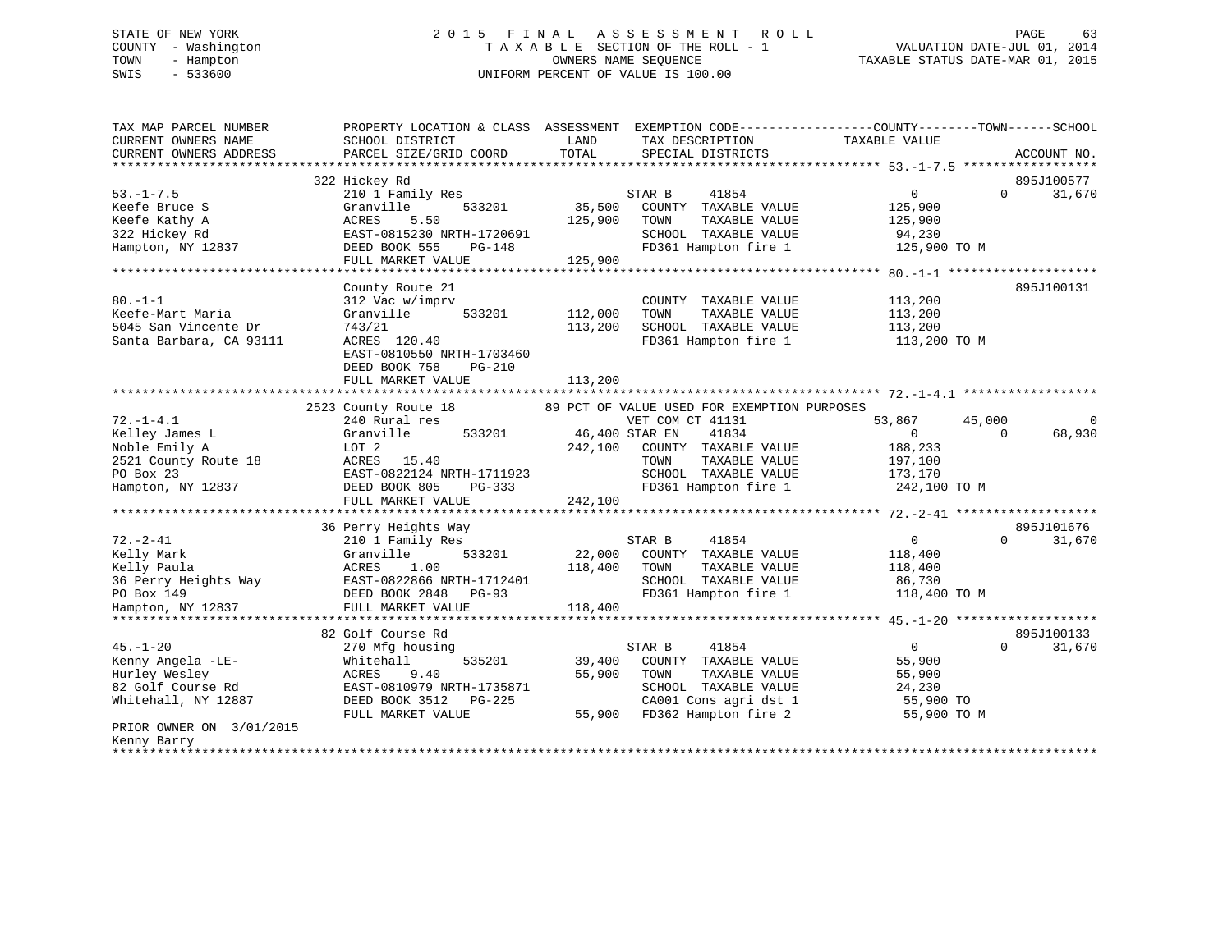# STATE OF NEW YORK 2 0 1 5 F I N A L A S S E S S M E N T R O L L PAGE 63 COUNTY - Washington T A X A B L E SECTION OF THE ROLL - 1 VALUATION DATE-JUL 01, 2014 TOWN - Hampton OWNERS NAME SEQUENCE TAXABLE STATUS DATE-MAR 01, 2015 SWIS - 533600 UNIFORM PERCENT OF VALUE IS 100.00

| 322 Hickey Rd<br>895J100577<br>$53. - 1 - 7.5$<br>210 1 Family Res<br>STAR B<br>41854<br>$\Omega$<br>31,670<br>$\Omega$<br>35,500<br>Keefe Bruce S<br>533201<br>125,900<br>Granville<br>COUNTY TAXABLE VALUE<br>Keefe Kathy A<br>ACRES<br>5.50<br>125,900<br>TOWN<br>TAXABLE VALUE<br>125,900<br>322 Hickey Rd<br>EAST-0815230 NRTH-1720691<br>SCHOOL TAXABLE VALUE<br>94,230<br>FD361 Hampton fire 1<br>125,900 TO M<br>Hampton, NY 12837<br>DEED BOOK 555<br>PG-148<br>FULL MARKET VALUE<br>125,900<br>County Route 21<br>895J100131<br>$80. -1 - 1$<br>312 Vac w/imprv<br>113,200<br>COUNTY TAXABLE VALUE<br>Keefe-Mart Maria<br>Granville<br>533201<br>112,000<br>TOWN<br>TAXABLE VALUE<br>113,200<br>5045 San Vincente Dr<br>743/21<br>113,200<br>SCHOOL TAXABLE VALUE<br>113,200<br>Santa Barbara, CA 93111<br>ACRES 120.40<br>FD361 Hampton fire 1<br>113,200 TO M<br>EAST-0810550 NRTH-1703460<br>DEED BOOK 758<br>$PG-210$<br>FULL MARKET VALUE<br>113,200<br>2523 County Route 18<br>89 PCT OF VALUE USED FOR EXEMPTION PURPOSES<br>240 Rural res<br>$72. - 1 - 4.1$<br>VET COM CT 41131<br>53,867<br>45,000<br>$\Omega$<br>Kelley James L<br>Granville<br>533201<br>46,400 STAR EN<br>41834<br>$\Omega$<br>68,930<br>$\mathbf{0}$<br>Noble Emily A<br>LOT 2<br>242,100<br>COUNTY TAXABLE VALUE<br>188,233<br>2521 County Route 18<br>ACRES<br>15.40<br>TOWN<br>TAXABLE VALUE<br>197,100<br>PO Box 23<br>EAST-0822124 NRTH-1711923<br>SCHOOL TAXABLE VALUE<br>173,170<br>FD361 Hampton fire 1<br>242,100 TO M<br>Hampton, NY 12837<br>DEED BOOK 805<br>PG-333<br>FULL MARKET VALUE<br>242,100<br>895J101676<br>36 Perry Heights Way<br>$72. - 2 - 41$<br>210 1 Family Res<br>STAR B<br>41854<br>$\mathbf{0}$<br>$\Omega$<br>31,670<br>Kelly Mark<br>Granville<br>533201<br>22,000<br>COUNTY TAXABLE VALUE<br>118,400<br>Kelly Paula<br>ACRES<br>1.00<br>118,400<br>TOWN<br>TAXABLE VALUE<br>118,400<br>EAST-0822866 NRTH-1712401<br>SCHOOL TAXABLE VALUE<br>36 Perry Heights Way<br>86,730<br>DEED BOOK 2848<br>FD361 Hampton fire 1<br>118,400 TO M<br>PO Box 149<br>PG-93<br>Hampton, NY 12837<br>FULL MARKET VALUE<br>118,400<br>82 Golf Course Rd<br>895J100133<br>$45. - 1 - 20$<br>STAR B<br>41854<br>$\overline{0}$<br>270 Mfg housing<br>$\Omega$<br>31,670<br>Kenny Angela -LE-<br>535201<br>Whitehall<br>39,400<br>COUNTY TAXABLE VALUE<br>55,900<br>Hurley Wesley<br>55,900<br>TAXABLE VALUE<br>ACRES<br>9.40<br>TOWN<br>55,900<br>82 Golf Course Rd<br>EAST-0810979 NRTH-1735871<br>SCHOOL TAXABLE VALUE<br>24,230<br>CA001 Cons agri dst 1<br>Whitehall, NY 12887<br>DEED BOOK 3512 PG-225<br>55,900 TO<br>FD362 Hampton fire 2<br>FULL MARKET VALUE<br>55,900<br>55,900 TO M<br>PRIOR OWNER ON 3/01/2015<br>Kenny Barry | TAX MAP PARCEL NUMBER<br>CURRENT OWNERS NAME<br>CURRENT OWNERS ADDRESS | PROPERTY LOCATION & CLASS ASSESSMENT<br>SCHOOL DISTRICT<br>PARCEL SIZE/GRID COORD | LAND<br>TAX DESCRIPTION<br>TOTAL<br>SPECIAL DISTRICTS | EXEMPTION CODE-----------------COUNTY-------TOWN------SCHOOL<br>TAXABLE VALUE<br>ACCOUNT NO. |
|-------------------------------------------------------------------------------------------------------------------------------------------------------------------------------------------------------------------------------------------------------------------------------------------------------------------------------------------------------------------------------------------------------------------------------------------------------------------------------------------------------------------------------------------------------------------------------------------------------------------------------------------------------------------------------------------------------------------------------------------------------------------------------------------------------------------------------------------------------------------------------------------------------------------------------------------------------------------------------------------------------------------------------------------------------------------------------------------------------------------------------------------------------------------------------------------------------------------------------------------------------------------------------------------------------------------------------------------------------------------------------------------------------------------------------------------------------------------------------------------------------------------------------------------------------------------------------------------------------------------------------------------------------------------------------------------------------------------------------------------------------------------------------------------------------------------------------------------------------------------------------------------------------------------------------------------------------------------------------------------------------------------------------------------------------------------------------------------------------------------------------------------------------------------------------------------------------------------------------------------------------------------------------------------------------------------------------------------------------------------------------------------------------------------------------------------------------------------------------------------------------------------------------------------------------------------------------------------------------------------------------------------------------------------------------------------------------------------------------------------------|------------------------------------------------------------------------|-----------------------------------------------------------------------------------|-------------------------------------------------------|----------------------------------------------------------------------------------------------|
|                                                                                                                                                                                                                                                                                                                                                                                                                                                                                                                                                                                                                                                                                                                                                                                                                                                                                                                                                                                                                                                                                                                                                                                                                                                                                                                                                                                                                                                                                                                                                                                                                                                                                                                                                                                                                                                                                                                                                                                                                                                                                                                                                                                                                                                                                                                                                                                                                                                                                                                                                                                                                                                                                                                                                 |                                                                        |                                                                                   |                                                       |                                                                                              |
|                                                                                                                                                                                                                                                                                                                                                                                                                                                                                                                                                                                                                                                                                                                                                                                                                                                                                                                                                                                                                                                                                                                                                                                                                                                                                                                                                                                                                                                                                                                                                                                                                                                                                                                                                                                                                                                                                                                                                                                                                                                                                                                                                                                                                                                                                                                                                                                                                                                                                                                                                                                                                                                                                                                                                 |                                                                        |                                                                                   |                                                       |                                                                                              |
|                                                                                                                                                                                                                                                                                                                                                                                                                                                                                                                                                                                                                                                                                                                                                                                                                                                                                                                                                                                                                                                                                                                                                                                                                                                                                                                                                                                                                                                                                                                                                                                                                                                                                                                                                                                                                                                                                                                                                                                                                                                                                                                                                                                                                                                                                                                                                                                                                                                                                                                                                                                                                                                                                                                                                 |                                                                        |                                                                                   |                                                       |                                                                                              |
|                                                                                                                                                                                                                                                                                                                                                                                                                                                                                                                                                                                                                                                                                                                                                                                                                                                                                                                                                                                                                                                                                                                                                                                                                                                                                                                                                                                                                                                                                                                                                                                                                                                                                                                                                                                                                                                                                                                                                                                                                                                                                                                                                                                                                                                                                                                                                                                                                                                                                                                                                                                                                                                                                                                                                 |                                                                        |                                                                                   |                                                       |                                                                                              |
|                                                                                                                                                                                                                                                                                                                                                                                                                                                                                                                                                                                                                                                                                                                                                                                                                                                                                                                                                                                                                                                                                                                                                                                                                                                                                                                                                                                                                                                                                                                                                                                                                                                                                                                                                                                                                                                                                                                                                                                                                                                                                                                                                                                                                                                                                                                                                                                                                                                                                                                                                                                                                                                                                                                                                 |                                                                        |                                                                                   |                                                       |                                                                                              |
|                                                                                                                                                                                                                                                                                                                                                                                                                                                                                                                                                                                                                                                                                                                                                                                                                                                                                                                                                                                                                                                                                                                                                                                                                                                                                                                                                                                                                                                                                                                                                                                                                                                                                                                                                                                                                                                                                                                                                                                                                                                                                                                                                                                                                                                                                                                                                                                                                                                                                                                                                                                                                                                                                                                                                 |                                                                        |                                                                                   |                                                       |                                                                                              |
|                                                                                                                                                                                                                                                                                                                                                                                                                                                                                                                                                                                                                                                                                                                                                                                                                                                                                                                                                                                                                                                                                                                                                                                                                                                                                                                                                                                                                                                                                                                                                                                                                                                                                                                                                                                                                                                                                                                                                                                                                                                                                                                                                                                                                                                                                                                                                                                                                                                                                                                                                                                                                                                                                                                                                 |                                                                        |                                                                                   |                                                       |                                                                                              |
|                                                                                                                                                                                                                                                                                                                                                                                                                                                                                                                                                                                                                                                                                                                                                                                                                                                                                                                                                                                                                                                                                                                                                                                                                                                                                                                                                                                                                                                                                                                                                                                                                                                                                                                                                                                                                                                                                                                                                                                                                                                                                                                                                                                                                                                                                                                                                                                                                                                                                                                                                                                                                                                                                                                                                 |                                                                        |                                                                                   |                                                       |                                                                                              |
|                                                                                                                                                                                                                                                                                                                                                                                                                                                                                                                                                                                                                                                                                                                                                                                                                                                                                                                                                                                                                                                                                                                                                                                                                                                                                                                                                                                                                                                                                                                                                                                                                                                                                                                                                                                                                                                                                                                                                                                                                                                                                                                                                                                                                                                                                                                                                                                                                                                                                                                                                                                                                                                                                                                                                 |                                                                        |                                                                                   |                                                       |                                                                                              |
|                                                                                                                                                                                                                                                                                                                                                                                                                                                                                                                                                                                                                                                                                                                                                                                                                                                                                                                                                                                                                                                                                                                                                                                                                                                                                                                                                                                                                                                                                                                                                                                                                                                                                                                                                                                                                                                                                                                                                                                                                                                                                                                                                                                                                                                                                                                                                                                                                                                                                                                                                                                                                                                                                                                                                 |                                                                        |                                                                                   |                                                       |                                                                                              |
|                                                                                                                                                                                                                                                                                                                                                                                                                                                                                                                                                                                                                                                                                                                                                                                                                                                                                                                                                                                                                                                                                                                                                                                                                                                                                                                                                                                                                                                                                                                                                                                                                                                                                                                                                                                                                                                                                                                                                                                                                                                                                                                                                                                                                                                                                                                                                                                                                                                                                                                                                                                                                                                                                                                                                 |                                                                        |                                                                                   |                                                       |                                                                                              |
|                                                                                                                                                                                                                                                                                                                                                                                                                                                                                                                                                                                                                                                                                                                                                                                                                                                                                                                                                                                                                                                                                                                                                                                                                                                                                                                                                                                                                                                                                                                                                                                                                                                                                                                                                                                                                                                                                                                                                                                                                                                                                                                                                                                                                                                                                                                                                                                                                                                                                                                                                                                                                                                                                                                                                 |                                                                        |                                                                                   |                                                       |                                                                                              |
|                                                                                                                                                                                                                                                                                                                                                                                                                                                                                                                                                                                                                                                                                                                                                                                                                                                                                                                                                                                                                                                                                                                                                                                                                                                                                                                                                                                                                                                                                                                                                                                                                                                                                                                                                                                                                                                                                                                                                                                                                                                                                                                                                                                                                                                                                                                                                                                                                                                                                                                                                                                                                                                                                                                                                 |                                                                        |                                                                                   |                                                       |                                                                                              |
|                                                                                                                                                                                                                                                                                                                                                                                                                                                                                                                                                                                                                                                                                                                                                                                                                                                                                                                                                                                                                                                                                                                                                                                                                                                                                                                                                                                                                                                                                                                                                                                                                                                                                                                                                                                                                                                                                                                                                                                                                                                                                                                                                                                                                                                                                                                                                                                                                                                                                                                                                                                                                                                                                                                                                 |                                                                        |                                                                                   |                                                       |                                                                                              |
|                                                                                                                                                                                                                                                                                                                                                                                                                                                                                                                                                                                                                                                                                                                                                                                                                                                                                                                                                                                                                                                                                                                                                                                                                                                                                                                                                                                                                                                                                                                                                                                                                                                                                                                                                                                                                                                                                                                                                                                                                                                                                                                                                                                                                                                                                                                                                                                                                                                                                                                                                                                                                                                                                                                                                 |                                                                        |                                                                                   |                                                       |                                                                                              |
|                                                                                                                                                                                                                                                                                                                                                                                                                                                                                                                                                                                                                                                                                                                                                                                                                                                                                                                                                                                                                                                                                                                                                                                                                                                                                                                                                                                                                                                                                                                                                                                                                                                                                                                                                                                                                                                                                                                                                                                                                                                                                                                                                                                                                                                                                                                                                                                                                                                                                                                                                                                                                                                                                                                                                 |                                                                        |                                                                                   |                                                       |                                                                                              |
|                                                                                                                                                                                                                                                                                                                                                                                                                                                                                                                                                                                                                                                                                                                                                                                                                                                                                                                                                                                                                                                                                                                                                                                                                                                                                                                                                                                                                                                                                                                                                                                                                                                                                                                                                                                                                                                                                                                                                                                                                                                                                                                                                                                                                                                                                                                                                                                                                                                                                                                                                                                                                                                                                                                                                 |                                                                        |                                                                                   |                                                       |                                                                                              |
|                                                                                                                                                                                                                                                                                                                                                                                                                                                                                                                                                                                                                                                                                                                                                                                                                                                                                                                                                                                                                                                                                                                                                                                                                                                                                                                                                                                                                                                                                                                                                                                                                                                                                                                                                                                                                                                                                                                                                                                                                                                                                                                                                                                                                                                                                                                                                                                                                                                                                                                                                                                                                                                                                                                                                 |                                                                        |                                                                                   |                                                       |                                                                                              |
|                                                                                                                                                                                                                                                                                                                                                                                                                                                                                                                                                                                                                                                                                                                                                                                                                                                                                                                                                                                                                                                                                                                                                                                                                                                                                                                                                                                                                                                                                                                                                                                                                                                                                                                                                                                                                                                                                                                                                                                                                                                                                                                                                                                                                                                                                                                                                                                                                                                                                                                                                                                                                                                                                                                                                 |                                                                        |                                                                                   |                                                       |                                                                                              |
|                                                                                                                                                                                                                                                                                                                                                                                                                                                                                                                                                                                                                                                                                                                                                                                                                                                                                                                                                                                                                                                                                                                                                                                                                                                                                                                                                                                                                                                                                                                                                                                                                                                                                                                                                                                                                                                                                                                                                                                                                                                                                                                                                                                                                                                                                                                                                                                                                                                                                                                                                                                                                                                                                                                                                 |                                                                        |                                                                                   |                                                       |                                                                                              |
|                                                                                                                                                                                                                                                                                                                                                                                                                                                                                                                                                                                                                                                                                                                                                                                                                                                                                                                                                                                                                                                                                                                                                                                                                                                                                                                                                                                                                                                                                                                                                                                                                                                                                                                                                                                                                                                                                                                                                                                                                                                                                                                                                                                                                                                                                                                                                                                                                                                                                                                                                                                                                                                                                                                                                 |                                                                        |                                                                                   |                                                       |                                                                                              |
|                                                                                                                                                                                                                                                                                                                                                                                                                                                                                                                                                                                                                                                                                                                                                                                                                                                                                                                                                                                                                                                                                                                                                                                                                                                                                                                                                                                                                                                                                                                                                                                                                                                                                                                                                                                                                                                                                                                                                                                                                                                                                                                                                                                                                                                                                                                                                                                                                                                                                                                                                                                                                                                                                                                                                 |                                                                        |                                                                                   |                                                       |                                                                                              |
|                                                                                                                                                                                                                                                                                                                                                                                                                                                                                                                                                                                                                                                                                                                                                                                                                                                                                                                                                                                                                                                                                                                                                                                                                                                                                                                                                                                                                                                                                                                                                                                                                                                                                                                                                                                                                                                                                                                                                                                                                                                                                                                                                                                                                                                                                                                                                                                                                                                                                                                                                                                                                                                                                                                                                 |                                                                        |                                                                                   |                                                       |                                                                                              |
|                                                                                                                                                                                                                                                                                                                                                                                                                                                                                                                                                                                                                                                                                                                                                                                                                                                                                                                                                                                                                                                                                                                                                                                                                                                                                                                                                                                                                                                                                                                                                                                                                                                                                                                                                                                                                                                                                                                                                                                                                                                                                                                                                                                                                                                                                                                                                                                                                                                                                                                                                                                                                                                                                                                                                 |                                                                        |                                                                                   |                                                       |                                                                                              |
|                                                                                                                                                                                                                                                                                                                                                                                                                                                                                                                                                                                                                                                                                                                                                                                                                                                                                                                                                                                                                                                                                                                                                                                                                                                                                                                                                                                                                                                                                                                                                                                                                                                                                                                                                                                                                                                                                                                                                                                                                                                                                                                                                                                                                                                                                                                                                                                                                                                                                                                                                                                                                                                                                                                                                 |                                                                        |                                                                                   |                                                       |                                                                                              |
|                                                                                                                                                                                                                                                                                                                                                                                                                                                                                                                                                                                                                                                                                                                                                                                                                                                                                                                                                                                                                                                                                                                                                                                                                                                                                                                                                                                                                                                                                                                                                                                                                                                                                                                                                                                                                                                                                                                                                                                                                                                                                                                                                                                                                                                                                                                                                                                                                                                                                                                                                                                                                                                                                                                                                 |                                                                        |                                                                                   |                                                       |                                                                                              |
|                                                                                                                                                                                                                                                                                                                                                                                                                                                                                                                                                                                                                                                                                                                                                                                                                                                                                                                                                                                                                                                                                                                                                                                                                                                                                                                                                                                                                                                                                                                                                                                                                                                                                                                                                                                                                                                                                                                                                                                                                                                                                                                                                                                                                                                                                                                                                                                                                                                                                                                                                                                                                                                                                                                                                 |                                                                        |                                                                                   |                                                       |                                                                                              |
|                                                                                                                                                                                                                                                                                                                                                                                                                                                                                                                                                                                                                                                                                                                                                                                                                                                                                                                                                                                                                                                                                                                                                                                                                                                                                                                                                                                                                                                                                                                                                                                                                                                                                                                                                                                                                                                                                                                                                                                                                                                                                                                                                                                                                                                                                                                                                                                                                                                                                                                                                                                                                                                                                                                                                 |                                                                        |                                                                                   |                                                       |                                                                                              |
|                                                                                                                                                                                                                                                                                                                                                                                                                                                                                                                                                                                                                                                                                                                                                                                                                                                                                                                                                                                                                                                                                                                                                                                                                                                                                                                                                                                                                                                                                                                                                                                                                                                                                                                                                                                                                                                                                                                                                                                                                                                                                                                                                                                                                                                                                                                                                                                                                                                                                                                                                                                                                                                                                                                                                 |                                                                        |                                                                                   |                                                       |                                                                                              |
|                                                                                                                                                                                                                                                                                                                                                                                                                                                                                                                                                                                                                                                                                                                                                                                                                                                                                                                                                                                                                                                                                                                                                                                                                                                                                                                                                                                                                                                                                                                                                                                                                                                                                                                                                                                                                                                                                                                                                                                                                                                                                                                                                                                                                                                                                                                                                                                                                                                                                                                                                                                                                                                                                                                                                 |                                                                        |                                                                                   |                                                       |                                                                                              |
|                                                                                                                                                                                                                                                                                                                                                                                                                                                                                                                                                                                                                                                                                                                                                                                                                                                                                                                                                                                                                                                                                                                                                                                                                                                                                                                                                                                                                                                                                                                                                                                                                                                                                                                                                                                                                                                                                                                                                                                                                                                                                                                                                                                                                                                                                                                                                                                                                                                                                                                                                                                                                                                                                                                                                 |                                                                        |                                                                                   |                                                       |                                                                                              |
|                                                                                                                                                                                                                                                                                                                                                                                                                                                                                                                                                                                                                                                                                                                                                                                                                                                                                                                                                                                                                                                                                                                                                                                                                                                                                                                                                                                                                                                                                                                                                                                                                                                                                                                                                                                                                                                                                                                                                                                                                                                                                                                                                                                                                                                                                                                                                                                                                                                                                                                                                                                                                                                                                                                                                 |                                                                        |                                                                                   |                                                       |                                                                                              |
|                                                                                                                                                                                                                                                                                                                                                                                                                                                                                                                                                                                                                                                                                                                                                                                                                                                                                                                                                                                                                                                                                                                                                                                                                                                                                                                                                                                                                                                                                                                                                                                                                                                                                                                                                                                                                                                                                                                                                                                                                                                                                                                                                                                                                                                                                                                                                                                                                                                                                                                                                                                                                                                                                                                                                 |                                                                        |                                                                                   |                                                       |                                                                                              |
|                                                                                                                                                                                                                                                                                                                                                                                                                                                                                                                                                                                                                                                                                                                                                                                                                                                                                                                                                                                                                                                                                                                                                                                                                                                                                                                                                                                                                                                                                                                                                                                                                                                                                                                                                                                                                                                                                                                                                                                                                                                                                                                                                                                                                                                                                                                                                                                                                                                                                                                                                                                                                                                                                                                                                 |                                                                        |                                                                                   |                                                       |                                                                                              |
|                                                                                                                                                                                                                                                                                                                                                                                                                                                                                                                                                                                                                                                                                                                                                                                                                                                                                                                                                                                                                                                                                                                                                                                                                                                                                                                                                                                                                                                                                                                                                                                                                                                                                                                                                                                                                                                                                                                                                                                                                                                                                                                                                                                                                                                                                                                                                                                                                                                                                                                                                                                                                                                                                                                                                 |                                                                        |                                                                                   |                                                       |                                                                                              |
|                                                                                                                                                                                                                                                                                                                                                                                                                                                                                                                                                                                                                                                                                                                                                                                                                                                                                                                                                                                                                                                                                                                                                                                                                                                                                                                                                                                                                                                                                                                                                                                                                                                                                                                                                                                                                                                                                                                                                                                                                                                                                                                                                                                                                                                                                                                                                                                                                                                                                                                                                                                                                                                                                                                                                 |                                                                        |                                                                                   |                                                       |                                                                                              |
|                                                                                                                                                                                                                                                                                                                                                                                                                                                                                                                                                                                                                                                                                                                                                                                                                                                                                                                                                                                                                                                                                                                                                                                                                                                                                                                                                                                                                                                                                                                                                                                                                                                                                                                                                                                                                                                                                                                                                                                                                                                                                                                                                                                                                                                                                                                                                                                                                                                                                                                                                                                                                                                                                                                                                 |                                                                        |                                                                                   |                                                       |                                                                                              |
|                                                                                                                                                                                                                                                                                                                                                                                                                                                                                                                                                                                                                                                                                                                                                                                                                                                                                                                                                                                                                                                                                                                                                                                                                                                                                                                                                                                                                                                                                                                                                                                                                                                                                                                                                                                                                                                                                                                                                                                                                                                                                                                                                                                                                                                                                                                                                                                                                                                                                                                                                                                                                                                                                                                                                 |                                                                        |                                                                                   |                                                       |                                                                                              |
|                                                                                                                                                                                                                                                                                                                                                                                                                                                                                                                                                                                                                                                                                                                                                                                                                                                                                                                                                                                                                                                                                                                                                                                                                                                                                                                                                                                                                                                                                                                                                                                                                                                                                                                                                                                                                                                                                                                                                                                                                                                                                                                                                                                                                                                                                                                                                                                                                                                                                                                                                                                                                                                                                                                                                 |                                                                        |                                                                                   |                                                       |                                                                                              |
|                                                                                                                                                                                                                                                                                                                                                                                                                                                                                                                                                                                                                                                                                                                                                                                                                                                                                                                                                                                                                                                                                                                                                                                                                                                                                                                                                                                                                                                                                                                                                                                                                                                                                                                                                                                                                                                                                                                                                                                                                                                                                                                                                                                                                                                                                                                                                                                                                                                                                                                                                                                                                                                                                                                                                 |                                                                        |                                                                                   |                                                       |                                                                                              |
|                                                                                                                                                                                                                                                                                                                                                                                                                                                                                                                                                                                                                                                                                                                                                                                                                                                                                                                                                                                                                                                                                                                                                                                                                                                                                                                                                                                                                                                                                                                                                                                                                                                                                                                                                                                                                                                                                                                                                                                                                                                                                                                                                                                                                                                                                                                                                                                                                                                                                                                                                                                                                                                                                                                                                 |                                                                        |                                                                                   |                                                       |                                                                                              |
|                                                                                                                                                                                                                                                                                                                                                                                                                                                                                                                                                                                                                                                                                                                                                                                                                                                                                                                                                                                                                                                                                                                                                                                                                                                                                                                                                                                                                                                                                                                                                                                                                                                                                                                                                                                                                                                                                                                                                                                                                                                                                                                                                                                                                                                                                                                                                                                                                                                                                                                                                                                                                                                                                                                                                 |                                                                        |                                                                                   |                                                       |                                                                                              |
|                                                                                                                                                                                                                                                                                                                                                                                                                                                                                                                                                                                                                                                                                                                                                                                                                                                                                                                                                                                                                                                                                                                                                                                                                                                                                                                                                                                                                                                                                                                                                                                                                                                                                                                                                                                                                                                                                                                                                                                                                                                                                                                                                                                                                                                                                                                                                                                                                                                                                                                                                                                                                                                                                                                                                 |                                                                        |                                                                                   |                                                       |                                                                                              |
|                                                                                                                                                                                                                                                                                                                                                                                                                                                                                                                                                                                                                                                                                                                                                                                                                                                                                                                                                                                                                                                                                                                                                                                                                                                                                                                                                                                                                                                                                                                                                                                                                                                                                                                                                                                                                                                                                                                                                                                                                                                                                                                                                                                                                                                                                                                                                                                                                                                                                                                                                                                                                                                                                                                                                 |                                                                        |                                                                                   |                                                       |                                                                                              |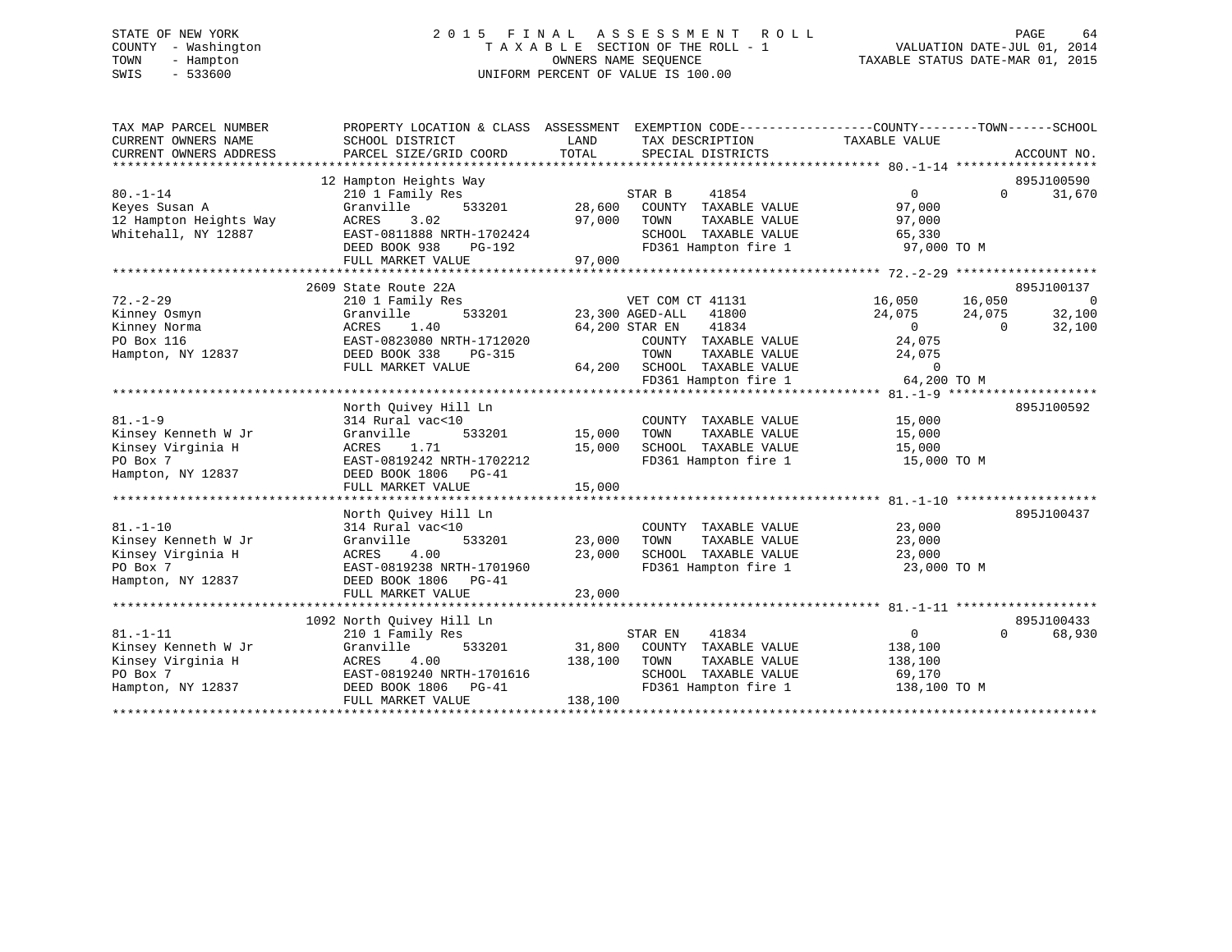# STATE OF NEW YORK 2 0 1 5 F I N A L A S S E S S M E N T R O L L PAGE 64 COUNTY - Washington T A X A B L E SECTION OF THE ROLL - 1 VALUATION DATE-JUL 01, 2014 TOWN - Hampton OWNERS NAME SEQUENCE TAXABLE STATUS DATE-MAR 01, 2015 SWIS - 533600 UNIFORM PERCENT OF VALUE IS 100.00

| TAX MAP PARCEL NUMBER<br>CURRENT OWNERS NAME<br>CURRENT OWNERS ADDRESS                      | PROPERTY LOCATION & CLASS ASSESSMENT<br>SCHOOL DISTRICT<br>PARCEL SIZE/GRID COORD                                                                                  | LAND<br>TAX DESCRIPTION<br>TOTAL<br>SPECIAL DISTRICTS                                                                                                                              | EXEMPTION CODE-----------------COUNTY-------TOWN------SCHOOL<br>TAXABLE VALUE<br>ACCOUNT NO.                                                                                |
|---------------------------------------------------------------------------------------------|--------------------------------------------------------------------------------------------------------------------------------------------------------------------|------------------------------------------------------------------------------------------------------------------------------------------------------------------------------------|-----------------------------------------------------------------------------------------------------------------------------------------------------------------------------|
| $80. - 1 - 14$<br>Keyes Susan A<br>12 Hampton Heights Way<br>Whitehall, NY 12887            | 12 Hampton Heights Way<br>210 1 Family Res<br>533201<br>Granville<br>3.02<br>ACRES<br>EAST-0811888 NRTH-1702424<br>DEED BOOK 938<br>PG-192<br>FULL MARKET VALUE    | STAR B<br>41854<br>28,600<br>COUNTY<br>TAXABLE VALUE<br>97,000<br>TOWN<br>TAXABLE VALUE<br>SCHOOL TAXABLE VALUE<br>FD361 Hampton fire 1<br>97,000                                  | 895J100590<br>$\Omega$<br>$\Omega$<br>31,670<br>97,000<br>97,000<br>65,330<br>97,000 TO M                                                                                   |
| $72. - 2 - 29$<br>Kinney Osmyn<br>Kinney Norma<br>PO Box 116<br>Hampton, NY 12837           | 2609 State Route 22A<br>210 1 Family Res<br>533201<br>Granville<br>ACRES<br>1.40<br>EAST-0823080 NRTH-1712020<br>DEED BOOK 338<br>PG-315<br>FULL MARKET VALUE      | VET COM CT 41131<br>23,300 AGED-ALL<br>41800<br>64,200 STAR EN<br>41834<br>COUNTY TAXABLE VALUE<br>TOWN<br>TAXABLE VALUE<br>64,200<br>SCHOOL TAXABLE VALUE<br>FD361 Hampton fire 1 | 895J100137<br>16,050<br>$\overline{0}$<br>16,050<br>24,075<br>24,075<br>32,100<br>32,100<br>$\overline{0}$<br>$\Omega$<br>24,075<br>24,075<br>$\overline{0}$<br>64,200 TO M |
| $81. - 1 - 9$<br>Kinsey Kenneth W Jr<br>Kinsey Virginia H<br>PO Box 7<br>Hampton, NY 12837  | North Quivey Hill Ln<br>314 Rural vac<10<br>Granville<br>533201<br>ACRES<br>1.71<br>EAST-0819242 NRTH-1702212<br>DEED BOOK 1806 PG-41<br>FULL MARKET VALUE         | COUNTY TAXABLE VALUE<br>15,000<br>TOWN<br>TAXABLE VALUE<br>15,000<br>SCHOOL TAXABLE VALUE<br>FD361 Hampton fire 1<br>15,000                                                        | 895J100592<br>15,000<br>15,000<br>15,000<br>15,000 TO M                                                                                                                     |
| $81. - 1 - 10$<br>Kinsey Kenneth W Jr<br>Kinsey Virginia H<br>PO Box 7<br>Hampton, NY 12837 | North Quivey Hill Ln<br>314 Rural vac<10<br>Granville<br>533201<br>4.00<br>ACRES<br>EAST-0819238 NRTH-1701960<br>DEED BOOK 1806 PG-41<br>FULL MARKET VALUE         | COUNTY TAXABLE VALUE<br>23,000<br>TOWN<br>TAXABLE VALUE<br>23,000<br>SCHOOL TAXABLE VALUE<br>FD361 Hampton fire 1<br>23,000                                                        | 895J100437<br>23,000<br>23,000<br>23,000<br>23,000 TO M                                                                                                                     |
| $81. - 1 - 11$<br>Kinsey Kenneth W Jr<br>Kinsey Virginia H<br>PO Box 7<br>Hampton, NY 12837 | 1092 North Quivey Hill Ln<br>210 1 Family Res<br>533201<br>Granville<br>ACRES<br>4.00<br>EAST-0819240 NRTH-1701616<br>DEED BOOK 1806<br>PG-41<br>FULL MARKET VALUE | STAR EN<br>41834<br>31,800<br>COUNTY TAXABLE VALUE<br>138,100<br>TOWN<br>TAXABLE VALUE<br>SCHOOL TAXABLE VALUE<br>FD361 Hampton fire 1<br>138,100                                  | 895J100433<br>$\overline{0}$<br>$\Omega$<br>68,930<br>138,100<br>138,100<br>69,170<br>138,100 TO M                                                                          |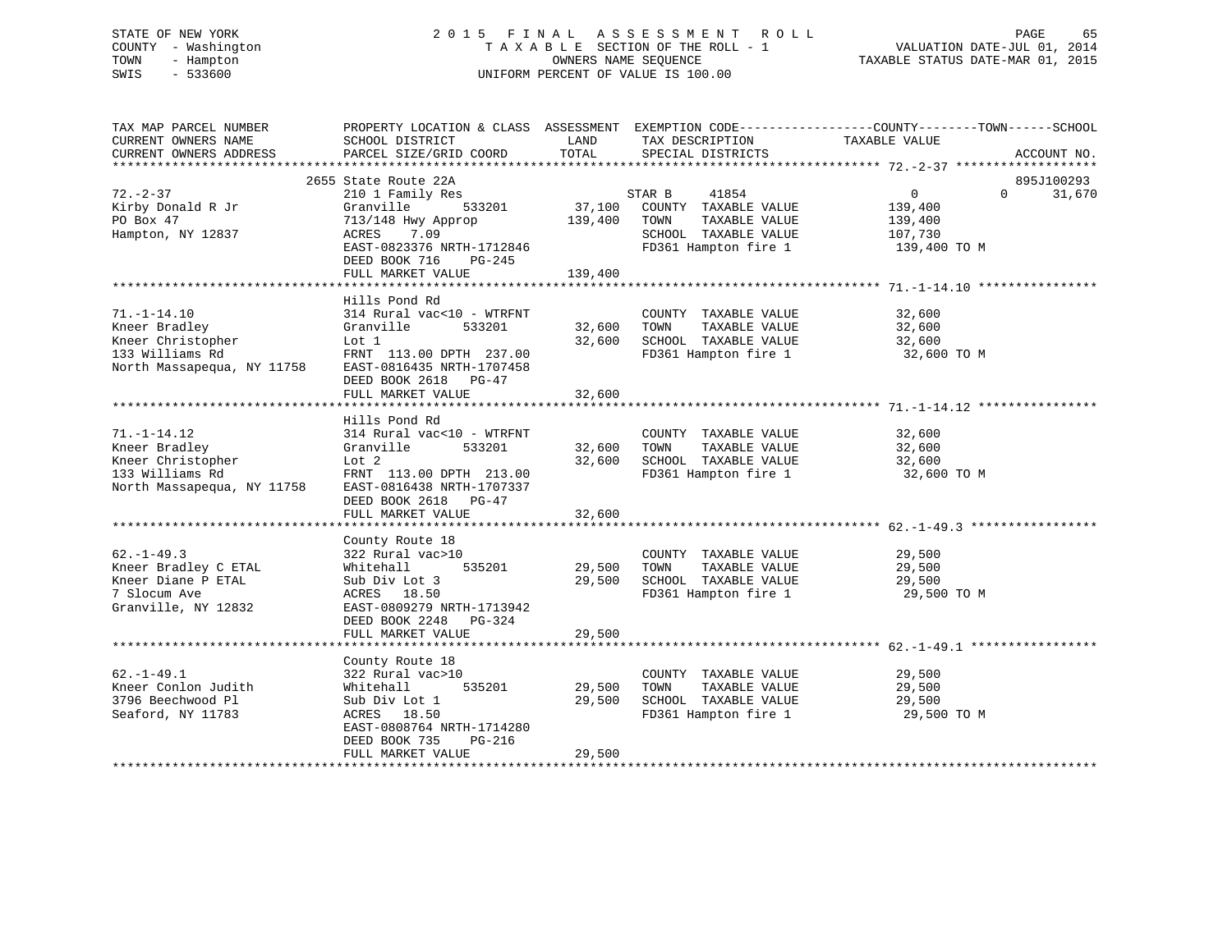# STATE OF NEW YORK 2 0 1 5 F I N A L A S S E S S M E N T R O L L PAGE 65 COUNTY - Washington T A X A B L E SECTION OF THE ROLL - 1 VALUATION DATE-JUL 01, 2014 TOWN - Hampton OWNERS NAME SEQUENCE TAXABLE STATUS DATE-MAR 01, 2015 SWIS - 533600 UNIFORM PERCENT OF VALUE IS 100.00

| TAX MAP PARCEL NUMBER<br>CURRENT OWNERS NAME<br>CURRENT OWNERS ADDRESS | SCHOOL DISTRICT<br>PARCEL SIZE/GRID COORD | LAND<br>TOTAL | TAX DESCRIPTION<br>SPECIAL DISTRICTS | PROPERTY LOCATION & CLASS ASSESSMENT EXEMPTION CODE---------------COUNTY-------TOWN------SCHOOL<br>TAXABLE VALUE | ACCOUNT NO. |
|------------------------------------------------------------------------|-------------------------------------------|---------------|--------------------------------------|------------------------------------------------------------------------------------------------------------------|-------------|
|                                                                        |                                           |               |                                      |                                                                                                                  |             |
|                                                                        | 2655 State Route 22A                      |               |                                      |                                                                                                                  | 895J100293  |
| $72. - 2 - 37$                                                         | 210 1 Family Res                          |               | STAR B<br>41854                      | $\mathbf{0}$<br>$\Omega$                                                                                         | 31,670      |
| Kirby Donald R Jr                                                      | 533201<br>Granville                       | 37,100        | COUNTY TAXABLE VALUE                 | 139,400                                                                                                          |             |
| PO Box 47                                                              | 713/148 Hwy Approp                        | 139,400       | TAXABLE VALUE<br>TOWN                | 139,400                                                                                                          |             |
| Hampton, NY 12837                                                      | 7.09<br>ACRES                             |               | SCHOOL TAXABLE VALUE                 | 107,730                                                                                                          |             |
|                                                                        | EAST-0823376 NRTH-1712846                 |               | FD361 Hampton fire 1                 | 139,400 TO M                                                                                                     |             |
|                                                                        | DEED BOOK 716<br>$PG-245$                 |               |                                      |                                                                                                                  |             |
|                                                                        | FULL MARKET VALUE                         | 139,400       |                                      |                                                                                                                  |             |
|                                                                        |                                           |               |                                      |                                                                                                                  |             |
|                                                                        | Hills Pond Rd                             |               |                                      |                                                                                                                  |             |
| $71. - 1 - 14.10$                                                      | 314 Rural vac<10 - WTRFNT                 |               | COUNTY TAXABLE VALUE                 | 32,600                                                                                                           |             |
| Kneer Bradley                                                          | Granville<br>533201                       | 32,600        | TOWN<br>TAXABLE VALUE                | 32,600                                                                                                           |             |
| Kneer Christopher                                                      | Lot 1                                     | 32,600        | SCHOOL TAXABLE VALUE                 | 32,600                                                                                                           |             |
| 133 Williams Rd                                                        | FRNT 113.00 DPTH 237.00                   |               | FD361 Hampton fire 1                 | 32,600 TO M                                                                                                      |             |
| North Massapequa, NY 11758                                             | EAST-0816435 NRTH-1707458                 |               |                                      |                                                                                                                  |             |
|                                                                        | DEED BOOK 2618 PG-47                      |               |                                      |                                                                                                                  |             |
|                                                                        | FULL MARKET VALUE                         | 32,600        |                                      |                                                                                                                  |             |
|                                                                        | +++++++++++++++++++                       | ***********   |                                      | *********************************** 71.-1-14.12 *********                                                        |             |
|                                                                        | Hills Pond Rd                             |               |                                      |                                                                                                                  |             |
| $71. - 1 - 14.12$                                                      | 314 Rural vac<10 - WTRFNT                 |               | COUNTY TAXABLE VALUE                 | 32,600                                                                                                           |             |
| Kneer Bradley                                                          | Granville<br>533201                       | 32,600        | TAXABLE VALUE<br>TOWN                | 32,600                                                                                                           |             |
| Kneer Christopher                                                      | Lot 2                                     | 32,600        | SCHOOL TAXABLE VALUE                 | 32,600                                                                                                           |             |
| 133 Williams Rd                                                        | FRNT 113.00 DPTH 213.00                   |               | FD361 Hampton fire 1                 | 32,600 TO M                                                                                                      |             |
| North Massapequa, NY 11758                                             | EAST-0816438 NRTH-1707337                 |               |                                      |                                                                                                                  |             |
|                                                                        | DEED BOOK 2618<br>$PG-47$                 |               |                                      |                                                                                                                  |             |
|                                                                        | FULL MARKET VALUE                         | 32,600        |                                      |                                                                                                                  |             |
|                                                                        |                                           |               |                                      |                                                                                                                  |             |
|                                                                        | County Route 18                           |               |                                      |                                                                                                                  |             |
| $62. - 1 - 49.3$                                                       | 322 Rural vac>10                          |               | COUNTY TAXABLE VALUE                 | 29,500                                                                                                           |             |
| Kneer Bradley C ETAL                                                   | 535201<br>Whitehall                       | 29,500        | TOWN<br>TAXABLE VALUE                | 29,500                                                                                                           |             |
| Kneer Diane P ETAL                                                     | Sub Div Lot 3                             | 29,500        | SCHOOL TAXABLE VALUE                 | 29,500                                                                                                           |             |
| 7 Slocum Ave                                                           | ACRES 18.50                               |               | FD361 Hampton fire 1                 | 29,500 TO M                                                                                                      |             |
| Granville, NY 12832                                                    | EAST-0809279 NRTH-1713942                 |               |                                      |                                                                                                                  |             |
|                                                                        | DEED BOOK 2248<br>PG-324                  |               |                                      |                                                                                                                  |             |
|                                                                        | FULL MARKET VALUE                         | 29,500        |                                      |                                                                                                                  |             |
|                                                                        |                                           |               |                                      |                                                                                                                  |             |
|                                                                        | County Route 18                           |               |                                      |                                                                                                                  |             |
| $62. -1 - 49.1$                                                        | 322 Rural vac>10                          |               | COUNTY TAXABLE VALUE                 | 29,500                                                                                                           |             |
| Kneer Conlon Judith                                                    | 535201<br>Whitehall                       | 29,500        | TOWN<br>TAXABLE VALUE                | 29,500                                                                                                           |             |
| 3796 Beechwood Pl                                                      | Sub Div Lot 1                             | 29,500        | SCHOOL TAXABLE VALUE                 | 29,500                                                                                                           |             |
| Seaford, NY 11783                                                      | ACRES 18.50                               |               | FD361 Hampton fire 1                 | 29,500 TO M                                                                                                      |             |
|                                                                        | EAST-0808764 NRTH-1714280                 |               |                                      |                                                                                                                  |             |
|                                                                        | DEED BOOK 735<br>PG-216                   |               |                                      |                                                                                                                  |             |
|                                                                        | FULL MARKET VALUE                         | 29,500        |                                      |                                                                                                                  |             |
|                                                                        |                                           |               |                                      |                                                                                                                  |             |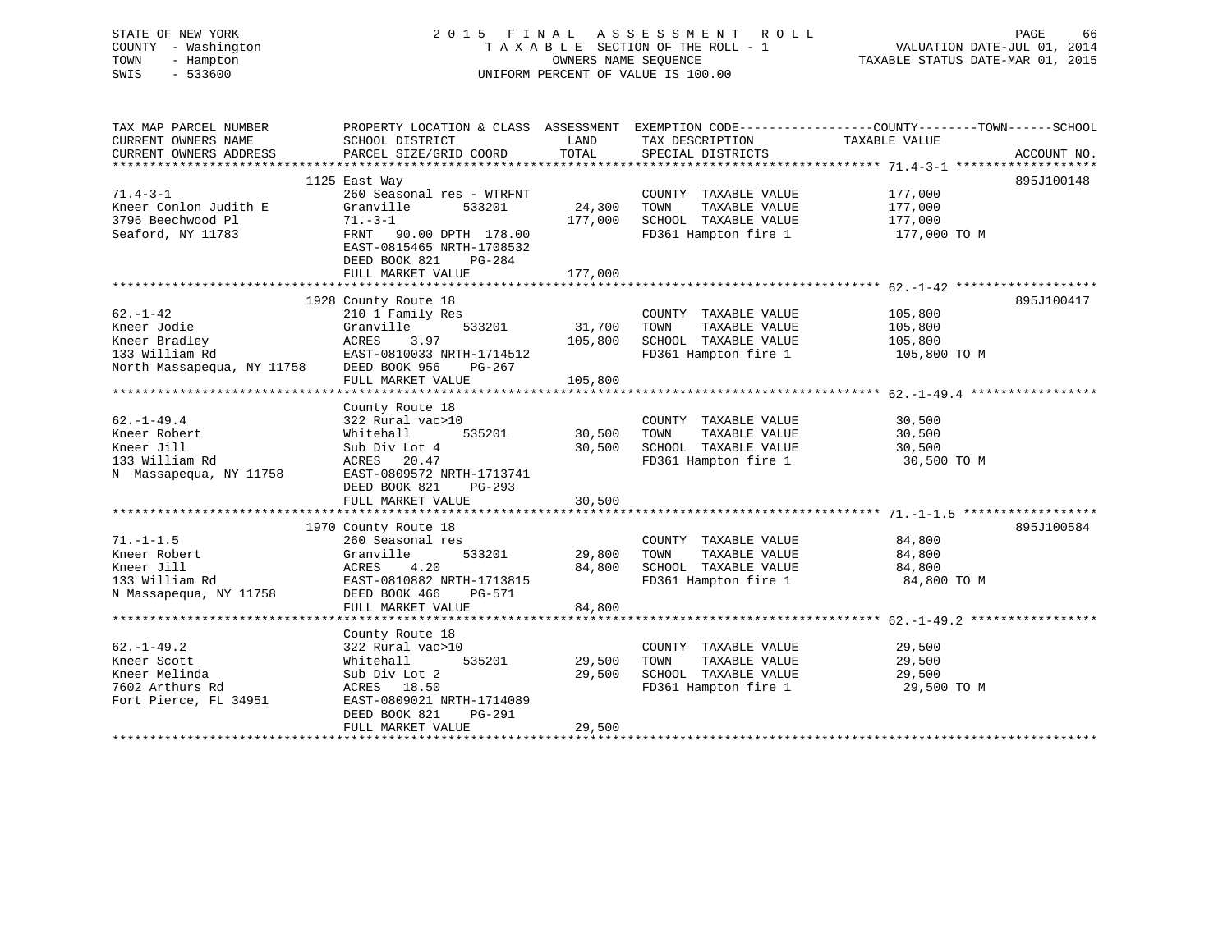| STATE OF NEW YORK<br>COUNTY - Washington<br>TOWN<br>- Hampton<br>SWIS<br>$-533600$ |                                                      | OWNERS NAME SEQUENCE | 2015 FINAL ASSESSMENT ROLL<br>TAXABLE SECTION OF THE ROLL - 1<br>UNIFORM PERCENT OF VALUE IS 100.00 | PAGE<br>66<br>VALUATION DATE-JUL 01, 2014<br>TAXABLE STATUS DATE-MAR 01, 2015                                    |
|------------------------------------------------------------------------------------|------------------------------------------------------|----------------------|-----------------------------------------------------------------------------------------------------|------------------------------------------------------------------------------------------------------------------|
| TAX MAP PARCEL NUMBER<br>CURRENT OWNERS NAME                                       |                                                      | LAND                 | TAX DESCRIPTION                                                                                     | PROPERTY LOCATION & CLASS ASSESSMENT EXEMPTION CODE---------------COUNTY-------TOWN------SCHOOL<br>TAXABLE VALUE |
| CURRENT OWNERS ADDRESS                                                             | SCHOOL DISTRICT<br>PARCEL SIZE/GRID COORD            | TOTAL                | SPECIAL DISTRICTS                                                                                   | ACCOUNT NO.                                                                                                      |
|                                                                                    |                                                      |                      |                                                                                                     |                                                                                                                  |
|                                                                                    | 1125 East Way                                        |                      |                                                                                                     | 895J100148                                                                                                       |
| $71.4 - 3 - 1$                                                                     | 260 Seasonal res - WTRFNT                            |                      | COUNTY TAXABLE VALUE                                                                                | 177,000                                                                                                          |
| Kneer Conlon Judith E                                                              | Granville<br>533201                                  | 24,300               | TOWN<br>TAXABLE VALUE                                                                               | 177,000                                                                                                          |
| 3796 Beechwood Pl                                                                  | $71. - 3 - 1$                                        | 177,000              | SCHOOL TAXABLE VALUE                                                                                | 177,000                                                                                                          |
| Seaford, NY 11783                                                                  | FRNT 90.00 DPTH 178.00                               |                      | FD361 Hampton fire 1                                                                                | 177,000 TO M                                                                                                     |
|                                                                                    | EAST-0815465 NRTH-1708532<br>DEED BOOK 821<br>PG-284 |                      |                                                                                                     |                                                                                                                  |
|                                                                                    | FULL MARKET VALUE                                    | 177,000              |                                                                                                     |                                                                                                                  |
|                                                                                    |                                                      |                      |                                                                                                     |                                                                                                                  |
|                                                                                    | 1928 County Route 18                                 |                      |                                                                                                     | 895J100417                                                                                                       |
| $62. - 1 - 42$                                                                     | 210 1 Family Res                                     |                      | COUNTY TAXABLE VALUE                                                                                | 105,800                                                                                                          |
| Kneer Jodie                                                                        | Granville<br>533201                                  | 31,700               | TAXABLE VALUE<br>TOWN                                                                               | 105,800                                                                                                          |
| Kneer Bradley                                                                      | 3.97<br>ACRES                                        | 105,800              | SCHOOL TAXABLE VALUE                                                                                | 105,800                                                                                                          |
| 133 William Rd                                                                     | EAST-0810033 NRTH-1714512                            |                      | FD361 Hampton fire 1                                                                                | 105,800 TO M                                                                                                     |
| North Massapequa, NY 11758                                                         | DEED BOOK 956<br>PG-267                              |                      |                                                                                                     |                                                                                                                  |
|                                                                                    | FULL MARKET VALUE                                    | 105,800              |                                                                                                     |                                                                                                                  |
|                                                                                    | County Route 18                                      |                      |                                                                                                     |                                                                                                                  |
| $62. - 1 - 49.4$                                                                   | 322 Rural vac>10                                     |                      | COUNTY TAXABLE VALUE                                                                                | 30,500                                                                                                           |
| Kneer Robert                                                                       | Whitehall<br>535201                                  | 30,500               | TOWN<br>TAXABLE VALUE                                                                               | 30,500                                                                                                           |
| Kneer Jill                                                                         | Sub Div Lot 4                                        | 30,500               | SCHOOL TAXABLE VALUE                                                                                | 30,500                                                                                                           |
| 133 William Rd                                                                     | ACRES 20.47                                          |                      | FD361 Hampton fire 1                                                                                | 30,500 TO M                                                                                                      |
| N Massapequa, NY 11758                                                             | EAST-0809572 NRTH-1713741                            |                      |                                                                                                     |                                                                                                                  |
|                                                                                    | DEED BOOK 821<br>PG-293                              |                      |                                                                                                     |                                                                                                                  |
|                                                                                    | FULL MARKET VALUE                                    | 30,500               |                                                                                                     |                                                                                                                  |
|                                                                                    |                                                      |                      |                                                                                                     | 895J100584                                                                                                       |
| $71. - 1 - 1.5$                                                                    | 1970 County Route 18<br>260 Seasonal res             |                      | COUNTY TAXABLE VALUE                                                                                | 84,800                                                                                                           |
| Kneer Robert                                                                       | Granville<br>533201                                  | 29,800               | TAXABLE VALUE<br>TOWN                                                                               | 84,800                                                                                                           |
| Kneer Jill                                                                         | ACRES<br>4.20                                        | 84,800               | SCHOOL TAXABLE VALUE                                                                                | 84,800                                                                                                           |
| 133 William Rd                                                                     | EAST-0810882 NRTH-1713815                            |                      | FD361 Hampton fire 1                                                                                | 84,800 TO M                                                                                                      |
| N Massapequa, NY 11758                                                             | DEED BOOK 466<br>PG-571                              |                      |                                                                                                     |                                                                                                                  |
|                                                                                    | FULL MARKET VALUE                                    | 84,800               |                                                                                                     |                                                                                                                  |
|                                                                                    |                                                      |                      |                                                                                                     |                                                                                                                  |
|                                                                                    | County Route 18                                      |                      |                                                                                                     |                                                                                                                  |
| $62. - 1 - 49.2$                                                                   | 322 Rural vac>10                                     |                      | COUNTY TAXABLE VALUE                                                                                | 29,500                                                                                                           |
| Kneer Scott                                                                        | Whitehall<br>535201                                  | 29,500               | TOWN<br>TAXABLE VALUE                                                                               | 29,500                                                                                                           |
| Kneer Melinda<br>7602 Arthurs Rd                                                   | Sub Div Lot 2<br>ACRES 18.50                         | 29,500               | SCHOOL TAXABLE VALUE<br>FD361 Hampton fire 1                                                        | 29,500<br>29,500 TO M                                                                                            |
| Fort Pierce, FL 34951                                                              | EAST-0809021 NRTH-1714089                            |                      |                                                                                                     |                                                                                                                  |
|                                                                                    | DEED BOOK 821<br>PG-291                              |                      |                                                                                                     |                                                                                                                  |
|                                                                                    | FULL MARKET VALUE                                    | 29,500               |                                                                                                     |                                                                                                                  |
| ************************                                                           |                                                      |                      |                                                                                                     |                                                                                                                  |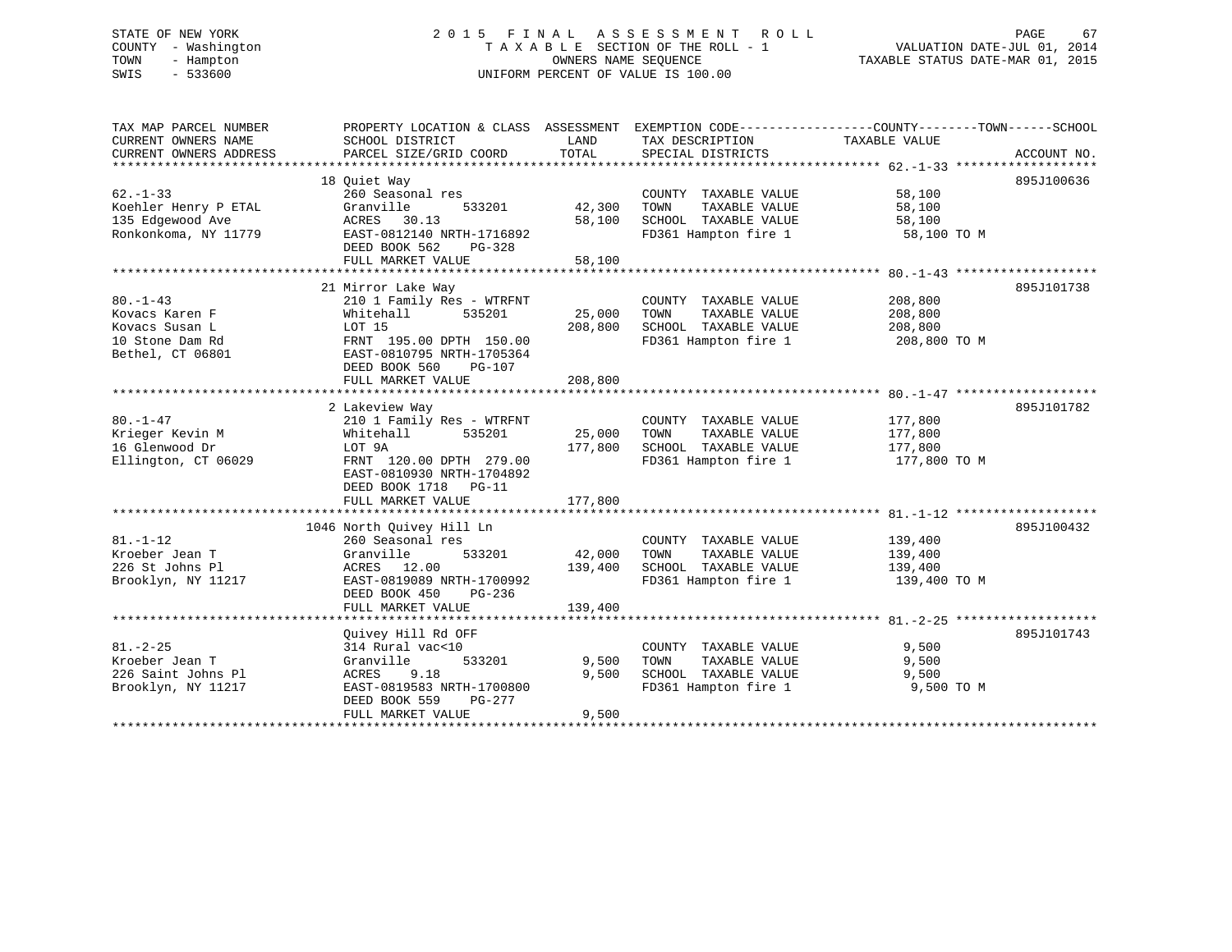# STATE OF NEW YORK 2 0 1 5 F I N A L A S S E S S M E N T R O L L PAGE 67 COUNTY - Washington T A X A B L E SECTION OF THE ROLL - 1 VALUATION DATE-JUL 01, 2014 TOWN - Hampton OWNERS NAME SEQUENCE TAXABLE STATUS DATE-MAR 01, 2015 SWIS - 533600 UNIFORM PERCENT OF VALUE IS 100.00

| TAX MAP PARCEL NUMBER<br>CURRENT OWNERS NAME | PROPERTY LOCATION & CLASS ASSESSMENT EXEMPTION CODE---------------COUNTY-------TOWN------SCHOOL<br>SCHOOL DISTRICT | LAND               | TAX DESCRIPTION                                      | TAXABLE VALUE           |             |
|----------------------------------------------|--------------------------------------------------------------------------------------------------------------------|--------------------|------------------------------------------------------|-------------------------|-------------|
| CURRENT OWNERS ADDRESS                       | PARCEL SIZE/GRID COORD                                                                                             | TOTAL              | SPECIAL DISTRICTS                                    |                         | ACCOUNT NO. |
|                                              | 18 Ouiet Way                                                                                                       |                    |                                                      |                         | 895J100636  |
| $62 - 1 - 33$                                | 260 Seasonal res                                                                                                   |                    | COUNTY TAXABLE VALUE                                 | 58,100                  |             |
| Koehler Henry P ETAL                         | 533201<br>Granville                                                                                                | 42,300 TOWN        | TAXABLE VALUE                                        | 58,100                  |             |
| 135 Edgewood Ave                             | ACRES 30.13                                                                                                        | 58,100             | SCHOOL TAXABLE VALUE                                 | 58,100                  |             |
| Ronkonkoma, NY 11779                         | EAST-0812140 NRTH-1716892<br>DEED BOOK 562<br>PG-328                                                               |                    | FD361 Hampton fire 1                                 | 58,100 TO M             |             |
|                                              | FULL MARKET VALUE                                                                                                  | 58,100             |                                                      |                         |             |
|                                              |                                                                                                                    |                    |                                                      |                         |             |
|                                              | 21 Mirror Lake Way                                                                                                 |                    |                                                      |                         | 895J101738  |
| $80. -1 - 43$                                | 210 1 Family Res - WTRFNT                                                                                          |                    | COUNTY TAXABLE VALUE                                 | 208,800                 |             |
| Kovacs Karen F                               | Whitehall<br>535201                                                                                                | 25,000             | TOWN<br>TAXABLE VALUE                                | 208,800                 |             |
| Kovacs Susan L                               | LOT 15                                                                                                             | 208,800            | SCHOOL TAXABLE VALUE<br>FD361 Hampton fire 1         | 208,800                 |             |
| 10 Stone Dam Rd<br>Bethel, CT 06801          | FRNT 195.00 DPTH 150.00<br>EAST-0810795 NRTH-1705364                                                               |                    |                                                      | 208,800 TO M            |             |
|                                              | DEED BOOK 560<br>$PG-107$                                                                                          |                    |                                                      |                         |             |
|                                              | FULL MARKET VALUE                                                                                                  | 208,800            |                                                      |                         |             |
|                                              |                                                                                                                    |                    |                                                      |                         |             |
|                                              | 2 Lakeview Way                                                                                                     |                    |                                                      |                         | 895J101782  |
| $80. - 1 - 47$                               | 210 1 Family Res - WTRFNT                                                                                          |                    | COUNTY TAXABLE VALUE                                 | 177,800                 |             |
| Krieger Kevin M                              | Whitehall<br>535201                                                                                                | 25,000 TOWN        | TAXABLE VALUE                                        | 177,800                 |             |
| 16 Glenwood Dr<br>Ellington, CT 06029        | LOT 9A                                                                                                             |                    | 177,800 SCHOOL TAXABLE VALUE<br>FD361 Hampton fire 1 | 177,800<br>177,800 TO M |             |
|                                              | FRNT 120.00 DPTH 279.00<br>EAST-0810930 NRTH-1704892                                                               |                    |                                                      |                         |             |
|                                              | DEED BOOK 1718 PG-11                                                                                               |                    |                                                      |                         |             |
|                                              | FULL MARKET VALUE                                                                                                  | 177,800            |                                                      |                         |             |
|                                              |                                                                                                                    |                    |                                                      |                         |             |
|                                              | 1046 North Quivey Hill Ln                                                                                          |                    |                                                      |                         | 895J100432  |
| $81. - 1 - 12$                               | 260 Seasonal res                                                                                                   |                    | COUNTY TAXABLE VALUE                                 | 139,400                 |             |
| Kroeber Jean T                               | Granville                                                                                                          | 533201 42,000 TOWN | TAXABLE VALUE                                        | 139,400                 |             |
| 226 St Johns Pl<br>Brooklyn, NY 11217        | ACRES 12.00<br>EAST-0819089 NRTH-1700992                                                                           | 139,400            | SCHOOL TAXABLE VALUE<br>FD361 Hampton fire 1         | 139,400<br>139,400 TO M |             |
|                                              | DEED BOOK 450<br>$PG-236$                                                                                          |                    |                                                      |                         |             |
|                                              | FULL MARKET VALUE                                                                                                  | 139,400            |                                                      |                         |             |
|                                              |                                                                                                                    |                    |                                                      |                         |             |
|                                              | Ouivey Hill Rd OFF                                                                                                 |                    |                                                      |                         | 895J101743  |
| $81. - 2 - 25$                               | 314 Rural vac<10                                                                                                   |                    | COUNTY TAXABLE VALUE                                 | 9,500                   |             |
| Kroeber Jean T                               | 533201<br>Granville                                                                                                | 9,500              | TOWN<br>TAXABLE VALUE                                | 9,500                   |             |
| 226 Saint Johns Pl                           | ACRES<br>9.18                                                                                                      | 9,500              | SCHOOL TAXABLE VALUE                                 | 9,500                   |             |
| Brooklyn, NY 11217                           | EAST-0819583 NRTH-1700800<br>DEED BOOK 559<br>PG-277                                                               |                    | FD361 Hampton fire 1                                 | 9,500 TO M              |             |
|                                              | FULL MARKET VALUE                                                                                                  | 9,500              |                                                      |                         |             |
|                                              |                                                                                                                    |                    |                                                      |                         |             |
|                                              |                                                                                                                    |                    |                                                      |                         |             |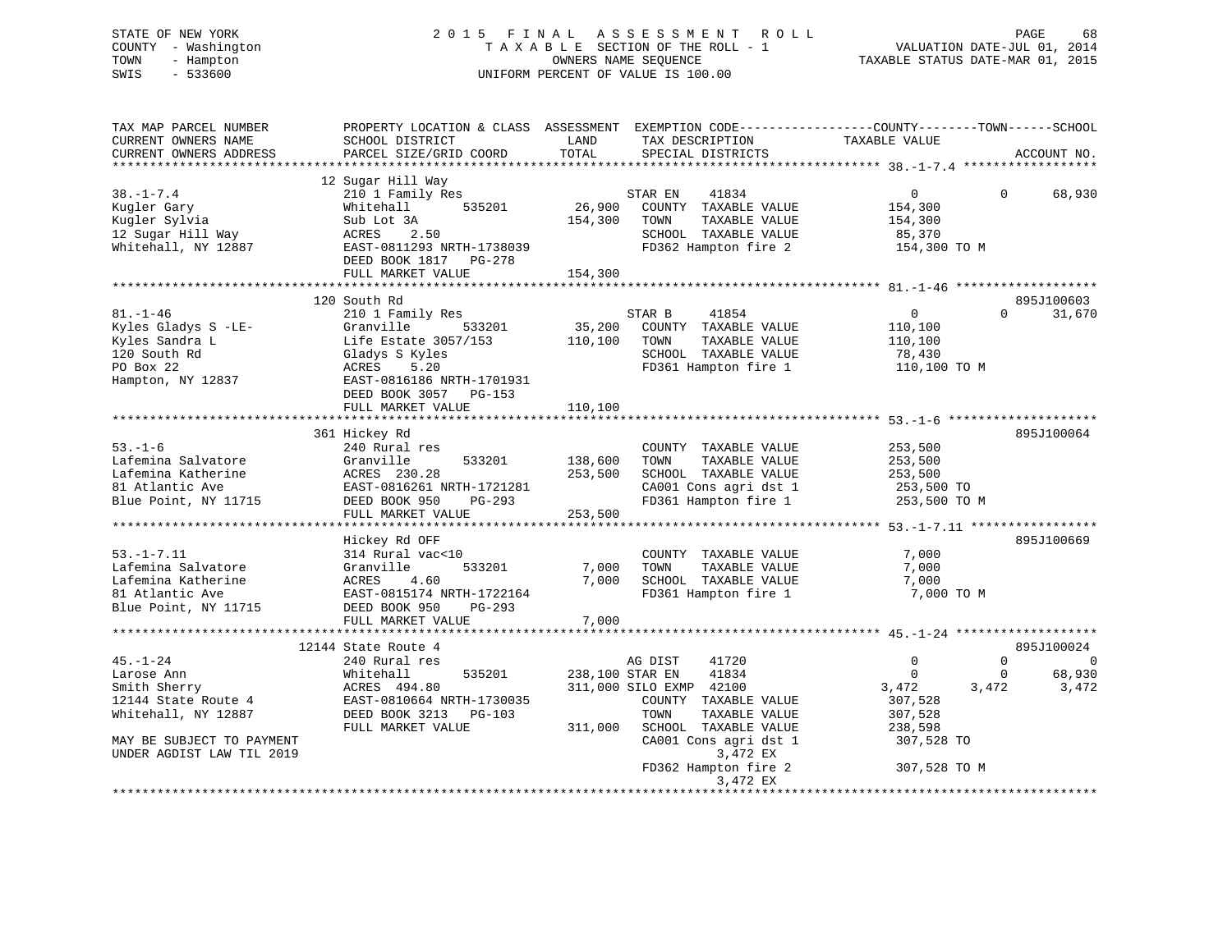STATE OF NEW YORK 2 0 1 5 F I N A L A S S E S S M E N T R O L L PAGE 68 COUNTY - Washington T A X A B L E SECTION OF THE ROLL - 1 VALUATION DATE-JUL 01, 2014 TOWN - Hampton OWNERS NAME SEQUENCE TAXABLE STATUS DATE-MAR 01, 2015 SWIS - 533600 UNIFORM PERCENT OF VALUE IS 100.00

| TAX MAP PARCEL NUMBER     | PROPERTY LOCATION & CLASS ASSESSMENT EXEMPTION CODE----------------COUNTY-------TOWN------SCHOOL |                 |                         |                               |             |
|---------------------------|--------------------------------------------------------------------------------------------------|-----------------|-------------------------|-------------------------------|-------------|
| CURRENT OWNERS NAME       | SCHOOL DISTRICT                                                                                  | LAND            | TAX DESCRIPTION         | TAXABLE VALUE                 |             |
| CURRENT OWNERS ADDRESS    | PARCEL SIZE/GRID COORD                                                                           | TOTAL           | SPECIAL DISTRICTS       |                               | ACCOUNT NO. |
|                           |                                                                                                  |                 |                         |                               |             |
|                           | 12 Sugar Hill Way                                                                                |                 |                         |                               |             |
| $38. - 1 - 7.4$           | 210 1 Family Res                                                                                 |                 | 41834<br>STAR EN        | $\mathbf{0}$<br>$\Omega$      | 68,930      |
| Kugler Gary               | 535201<br>Whitehall                                                                              | 26,900          | COUNTY TAXABLE VALUE    | 154,300                       |             |
|                           |                                                                                                  |                 |                         |                               |             |
| Kugler Sylvia             | Sub Lot 3A                                                                                       | 154,300         | TAXABLE VALUE<br>TOWN   | 154,300                       |             |
| 12 Sugar Hill Way         | ACRES<br>2.50                                                                                    |                 | SCHOOL TAXABLE VALUE    | 85,370                        |             |
| Whitehall, NY 12887       | EAST-0811293 NRTH-1738039                                                                        |                 | FD362 Hampton fire 2    | 154,300 TO M                  |             |
|                           | DEED BOOK 1817 PG-278                                                                            |                 |                         |                               |             |
|                           | FULL MARKET VALUE                                                                                | 154,300         |                         |                               |             |
|                           |                                                                                                  |                 |                         |                               |             |
|                           | 120 South Rd                                                                                     |                 |                         |                               | 895J100603  |
| $81. - 1 - 46$            | 210 1 Family Res                                                                                 |                 | STAR B<br>41854         | $\overline{0}$<br>$\Omega$    | 31,670      |
| Kyles Gladys S -LE-       | 533201<br>Granville                                                                              | 35,200          | COUNTY TAXABLE VALUE    | 110,100                       |             |
| Kyles Sandra L            | Life Estate 3057/153                                                                             | 110,100         | TOWN<br>TAXABLE VALUE   | 110,100                       |             |
|                           |                                                                                                  |                 |                         |                               |             |
| 120 South Rd              | Gladys S Kyles                                                                                   |                 | SCHOOL TAXABLE VALUE    | 78,430                        |             |
| PO Box 22                 | ACRES<br>5.20                                                                                    |                 | FD361 Hampton fire 1    | 110,100 TO M                  |             |
| Hampton, NY 12837         | EAST-0816186 NRTH-1701931                                                                        |                 |                         |                               |             |
|                           | DEED BOOK 3057 PG-153                                                                            |                 |                         |                               |             |
|                           | FULL MARKET VALUE                                                                                | 110,100         |                         |                               |             |
|                           |                                                                                                  |                 |                         |                               |             |
|                           | 361 Hickey Rd                                                                                    |                 |                         |                               | 895J100064  |
| $53. - 1 - 6$             | 240 Rural res                                                                                    |                 | COUNTY TAXABLE VALUE    | 253,500                       |             |
| Lafemina Salvatore        | 533201<br>Granville                                                                              | 138,600         | TAXABLE VALUE<br>TOWN   | 253,500                       |             |
| Lafemina Katherine        | ACRES 230.28                                                                                     | 253,500         | SCHOOL TAXABLE VALUE    |                               |             |
|                           |                                                                                                  |                 |                         | 253,500                       |             |
| 81 Atlantic Ave           | EAST-0816261 NRTH-1721281                                                                        |                 | CA001 Cons agri dst 1   | 253,500 TO                    |             |
| Blue Point, NY 11715      | DEED BOOK 950<br>PG-293                                                                          |                 | FD361 Hampton fire 1    | 253,500 TO M                  |             |
|                           | FULL MARKET VALUE                                                                                | 253,500         |                         |                               |             |
|                           |                                                                                                  |                 |                         |                               |             |
|                           | Hickey Rd OFF                                                                                    |                 |                         |                               | 895J100669  |
| $53. - 1 - 7.11$          | 314 Rural vac<10                                                                                 |                 | COUNTY TAXABLE VALUE    | 7,000                         |             |
| Lafemina Salvatore        | Granville<br>533201                                                                              | 7,000           | TAXABLE VALUE<br>TOWN   | 7,000                         |             |
| Lafemina Katherine        | ACRES<br>4.60                                                                                    | 7,000           | SCHOOL TAXABLE VALUE    | 7,000                         |             |
| 81 Atlantic Ave           | EAST-0815174 NRTH-1722164                                                                        |                 | FD361 Hampton fire 1    | 7,000 TO M                    |             |
|                           |                                                                                                  |                 |                         |                               |             |
| Blue Point, NY 11715      | DEED BOOK 950<br>$PG-293$                                                                        |                 |                         |                               |             |
|                           | FULL MARKET VALUE                                                                                | 7,000           |                         |                               |             |
|                           |                                                                                                  |                 |                         |                               |             |
|                           | 12144 State Route 4                                                                              |                 |                         |                               | 895J100024  |
| $45. - 1 - 24$            | 240 Rural res                                                                                    |                 | 41720<br>AG DIST        | $\Omega$<br>$\Omega$          | $\Omega$    |
| Larose Ann                | Whitehall<br>535201                                                                              | 238,100 STAR EN | 41834                   | $\overline{0}$<br>$\mathbf 0$ | 68,930      |
| Smith Sherry              | ACRES 494.80                                                                                     |                 | 311,000 SILO EXMP 42100 | 3,472<br>3,472                | 3,472       |
| 12144 State Route 4       | EAST-0810664 NRTH-1730035                                                                        |                 | COUNTY TAXABLE VALUE    | 307,528                       |             |
| Whitehall, NY 12887       | DEED BOOK 3213 PG-103                                                                            |                 | TOWN<br>TAXABLE VALUE   | 307,528                       |             |
|                           | FULL MARKET VALUE                                                                                | 311,000         | SCHOOL TAXABLE VALUE    | 238,598                       |             |
|                           |                                                                                                  |                 |                         |                               |             |
| MAY BE SUBJECT TO PAYMENT |                                                                                                  |                 | CA001 Cons agri dst 1   | 307,528 TO                    |             |
| UNDER AGDIST LAW TIL 2019 |                                                                                                  |                 | 3,472 EX                |                               |             |
|                           |                                                                                                  |                 | FD362 Hampton fire 2    | 307,528 TO M                  |             |
|                           |                                                                                                  |                 | 3,472 EX                |                               |             |
|                           |                                                                                                  |                 |                         |                               |             |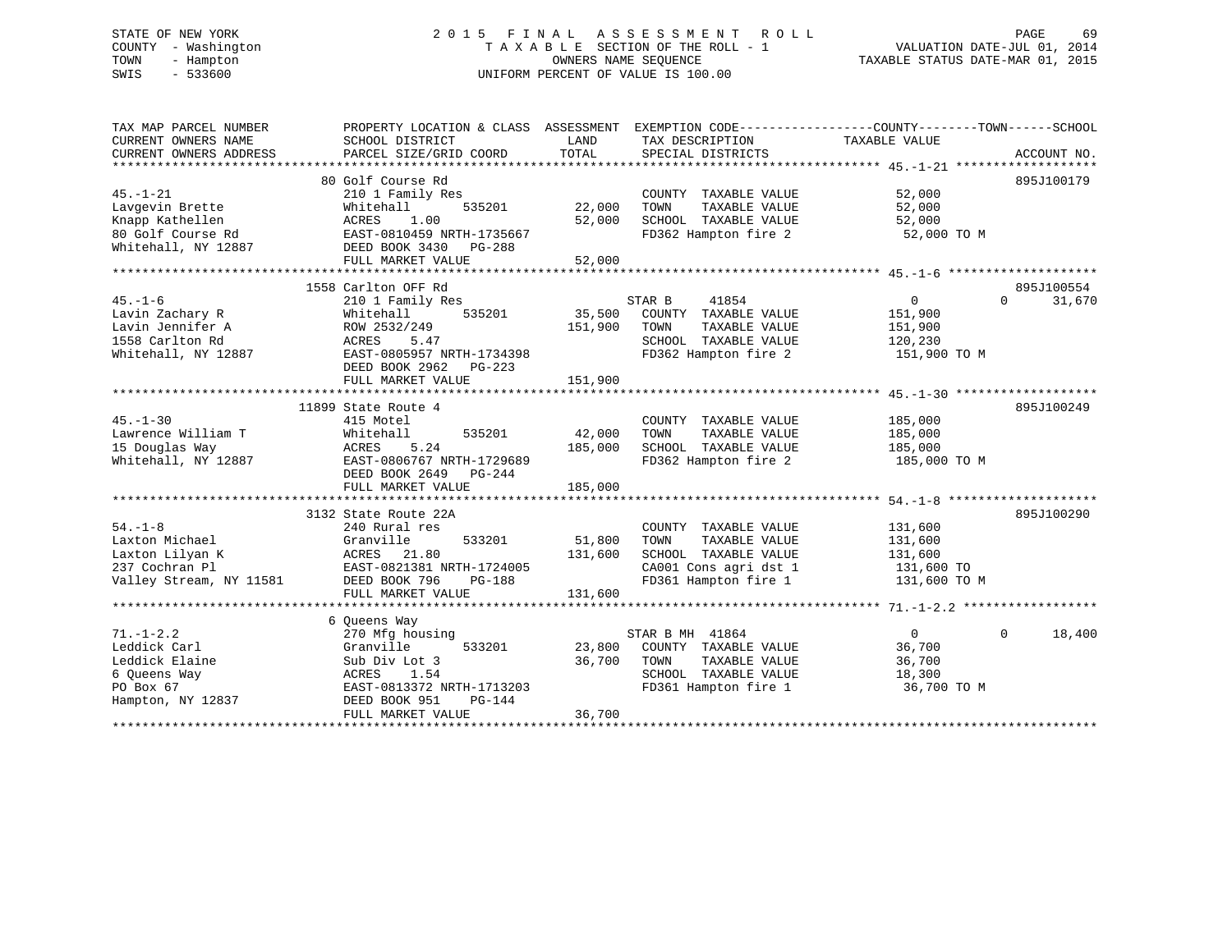# STATE OF NEW YORK 2 0 1 5 F I N A L A S S E S S M E N T R O L L PAGE 69 COUNTY - Washington T A X A B L E SECTION OF THE ROLL - 1 VALUATION DATE-JUL 01, 2014 TOWN - Hampton OWNERS NAME SEQUENCE TAXABLE STATUS DATE-MAR 01, 2015 SWIS - 533600 UNIFORM PERCENT OF VALUE IS 100.00

| TAX MAP PARCEL NUMBER   | PROPERTY LOCATION & CLASS ASSESSMENT EXEMPTION CODE---------------COUNTY-------TOWN-----SCHOOL |             |                              |                |                    |
|-------------------------|------------------------------------------------------------------------------------------------|-------------|------------------------------|----------------|--------------------|
| CURRENT OWNERS NAME     | SCHOOL DISTRICT                                                                                | LAND        | TAX DESCRIPTION              | TAXABLE VALUE  |                    |
| CURRENT OWNERS ADDRESS  | PARCEL SIZE/GRID COORD                                                                         | TOTAL       | SPECIAL DISTRICTS            |                | ACCOUNT NO.        |
|                         |                                                                                                |             |                              |                |                    |
|                         | 80 Golf Course Rd                                                                              |             |                              |                | 895J100179         |
| $45. - 1 - 21$          | 210 1 Family Res                                                                               |             | COUNTY TAXABLE VALUE         | 52,000         |                    |
| Lavgevin Brette         | 535201<br>Whitehall                                                                            | 22,000      | TAXABLE VALUE<br>TOWN        | 52,000         |                    |
| Knapp Kathellen         | ACRES<br>1.00                                                                                  | 52,000      | SCHOOL TAXABLE VALUE         | 52,000         |                    |
| 80 Golf Course Rd       | EAST-0810459 NRTH-1735667                                                                      |             | FD362 Hampton fire 2         | 52,000 TO M    |                    |
| Whitehall, NY 12887     | DEED BOOK 3430 PG-288                                                                          |             |                              |                |                    |
|                         | FULL MARKET VALUE                                                                              | 52,000      |                              |                |                    |
|                         |                                                                                                |             |                              |                |                    |
|                         | 1558 Carlton OFF Rd                                                                            |             |                              |                | 895J100554         |
| $45. - 1 - 6$           | 210 1 Family Res                                                                               |             | STAR B<br>41854              | 0              | 31,670<br>$\Omega$ |
| Lavin Zachary R         | 535201<br>Whitehall                                                                            |             | 35,500 COUNTY TAXABLE VALUE  | 151,900        |                    |
| Lavin Jennifer A        | ROW 2532/249                                                                                   | 151,900     | TOWN<br>TAXABLE VALUE        | 151,900        |                    |
| 1558 Carlton Rd         | ACRES 5.47                                                                                     |             | SCHOOL TAXABLE VALUE         | 120,230        |                    |
| Whitehall, NY 12887     | EAST-0805957 NRTH-1734398                                                                      |             | FD362 Hampton fire 2         | 151,900 TO M   |                    |
|                         | DEED BOOK 2962<br>PG-223                                                                       |             |                              |                |                    |
|                         | FULL MARKET VALUE                                                                              | 151,900     |                              |                |                    |
|                         |                                                                                                |             |                              |                |                    |
|                         | 11899 State Route 4                                                                            |             |                              |                | 895J100249         |
| $45. - 1 - 30$          | 415 Motel                                                                                      |             | COUNTY TAXABLE VALUE         | 185,000        |                    |
| Lawrence William T      | Whitehall<br>535201                                                                            | 42,000      | TOWN<br>TAXABLE VALUE        | 185,000        |                    |
| 15 Douglas Way          | ACRES<br>5.24                                                                                  | 185,000     | SCHOOL TAXABLE VALUE         | 185,000        |                    |
| Whitehall, NY 12887     | EAST-0806767 NRTH-1729689                                                                      |             | FD362 Hampton fire 2         | 185,000 TO M   |                    |
|                         | DEED BOOK 2649 PG-244                                                                          |             |                              |                |                    |
|                         | FULL MARKET VALUE                                                                              | 185,000     |                              |                |                    |
|                         |                                                                                                |             |                              |                |                    |
|                         | 3132 State Route 22A                                                                           |             |                              |                | 895J100290         |
| $54. - 1 - 8$           | 240 Rural res                                                                                  |             |                              | 131,600        |                    |
|                         |                                                                                                | 51,800      | COUNTY TAXABLE VALUE<br>TOWN |                |                    |
| Laxton Michael          | Granville<br>533201                                                                            |             | TAXABLE VALUE                | 131,600        |                    |
| Laxton Lilyan K         | ACRES 21.80                                                                                    | 131,600     | SCHOOL TAXABLE VALUE         | 131,600        |                    |
| 237 Cochran Pl          | EAST-0821381 NRTH-1724005                                                                      |             | CA001 Cons agri dst 1        | 131,600 TO     |                    |
| Valley Stream, NY 11581 | DEED BOOK 796<br>$PG-188$                                                                      |             | FD361 Hampton fire 1         | 131,600 TO M   |                    |
|                         | FULL MARKET VALUE                                                                              | 131,600     |                              |                |                    |
|                         |                                                                                                |             |                              |                |                    |
|                         | 6 Queens Way                                                                                   |             |                              |                |                    |
| $71. - 1 - 2.2$         | 270 Mfg housing                                                                                |             | STAR B MH 41864              | $\overline{0}$ | $\Omega$<br>18,400 |
| Leddick Carl            | 533201<br>Granville                                                                            |             | 23,800 COUNTY TAXABLE VALUE  | 36,700         |                    |
| Leddick Elaine          | Sub Div Lot 3                                                                                  | 36,700 TOWN | TAXABLE VALUE                | 36,700         |                    |
| 6 Queens Way            | ACRES 1.54                                                                                     |             | SCHOOL TAXABLE VALUE         | 18,300         |                    |
| PO Box 67               | EAST-0813372 NRTH-1713203                                                                      |             | FD361 Hampton fire 1         | 36,700 TO M    |                    |
| Hampton, NY 12837       | DEED BOOK 951<br>PG-144                                                                        |             |                              |                |                    |
|                         | FULL MARKET VALUE                                                                              | 36,700      |                              |                |                    |
|                         |                                                                                                |             |                              |                |                    |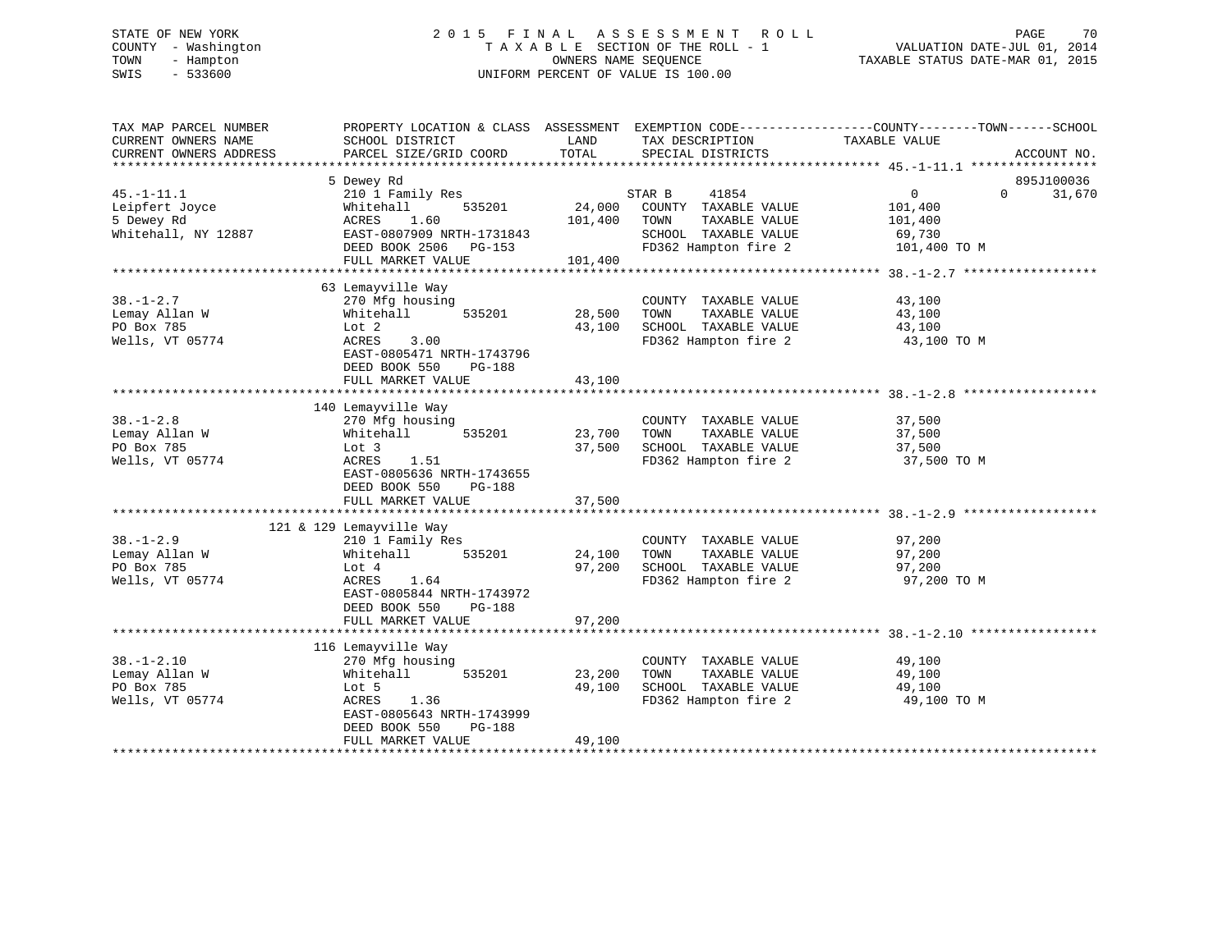# STATE OF NEW YORK 2 0 1 5 F I N A L A S S E S S M E N T R O L L PAGE 70 COUNTY - Washington T A X A B L E SECTION OF THE ROLL - 1 VALUATION DATE-JUL 01, 2014 TOWN - Hampton OWNERS NAME SEQUENCE TAXABLE STATUS DATE-MAR 01, 2015 SWIS - 533600 UNIFORM PERCENT OF VALUE IS 100.00

| TAX MAP PARCEL NUMBER<br>CURRENT OWNERS NAME<br>CURRENT OWNERS ADDRESS  | PROPERTY LOCATION & CLASS ASSESSMENT<br>SCHOOL DISTRICT<br>PARCEL SIZE/GRID COORD                                                                                          | LAND<br>TOTAL                | TAX DESCRIPTION<br>SPECIAL DISTRICTS                                                                             | EXEMPTION CODE-----------------COUNTY-------TOWN------SCHOOL<br>TAXABLE VALUE<br>ACCOUNT NO.          |
|-------------------------------------------------------------------------|----------------------------------------------------------------------------------------------------------------------------------------------------------------------------|------------------------------|------------------------------------------------------------------------------------------------------------------|-------------------------------------------------------------------------------------------------------|
| $45. - 1 - 11.1$<br>Leipfert Joyce<br>5 Dewey Rd<br>Whitehall, NY 12887 | 5 Dewey Rd<br>210 1 Family Res<br>535201<br>Whitehall<br>ACRES<br>1.60<br>EAST-0807909 NRTH-1731843<br>DEED BOOK 2506 PG-153<br>FULL MARKET VALUE                          | 24,000<br>101,400<br>101,400 | 41854<br>STAR B<br>COUNTY TAXABLE VALUE<br>TAXABLE VALUE<br>TOWN<br>SCHOOL TAXABLE VALUE<br>FD362 Hampton fire 2 | 895J100036<br>$0 \qquad \qquad$<br>$\Omega$<br>31,670<br>101,400<br>101,400<br>69,730<br>101,400 TO M |
| $38. - 1 - 2.7$<br>Lemay Allan W<br>PO Box 785<br>Wells, VT 05774       | 63 Lemayville Way<br>270 Mfg housing<br>Whitehall<br>535201<br>Lot 2<br>3.00<br>ACRES<br>EAST-0805471 NRTH-1743796<br>DEED BOOK 550<br>PG-188<br>FULL MARKET VALUE         | 28,500<br>43,100<br>43,100   | COUNTY TAXABLE VALUE<br>TAXABLE VALUE<br>TOWN<br>SCHOOL TAXABLE VALUE<br>FD362 Hampton fire 2                    | 43,100<br>43,100<br>43,100<br>43,100 TO M                                                             |
| $38. - 1 - 2.8$<br>Lemay Allan W<br>PO Box 785<br>Wells, VT 05774       | 140 Lemayville Way<br>270 Mfg housing<br>Whitehall<br>535201<br>Lot 3<br>1.51<br>ACRES<br>EAST-0805636 NRTH-1743655<br>DEED BOOK 550<br>PG-188                             | 23,700<br>37,500             | COUNTY TAXABLE VALUE<br>TAXABLE VALUE<br>TOWN<br>SCHOOL TAXABLE VALUE<br>FD362 Hampton fire 2                    | 37,500<br>37,500<br>37,500<br>37,500 TO M                                                             |
| $38. - 1 - 2.9$<br>Lemay Allan W<br>PO Box 785<br>Wells, VT 05774       | 121 & 129 Lemayville Way<br>210 1 Family Res<br>535201<br>Whitehall<br>Lot 4<br>ACRES<br>1.64<br>EAST-0805844 NRTH-1743972<br>DEED BOOK 550<br>PG-188<br>FULL MARKET VALUE | 24,100<br>97,200<br>97,200   | COUNTY TAXABLE VALUE<br>TAXABLE VALUE<br>TOWN<br>SCHOOL TAXABLE VALUE<br>FD362 Hampton fire 2                    | 97,200<br>97,200<br>97,200<br>97,200 TO M                                                             |
| $38. - 1 - 2.10$<br>Lemay Allan W<br>PO Box 785<br>Wells, VT 05774      | 116 Lemayville Way<br>270 Mfg housing<br>Whitehall<br>535201<br>Lot 5<br>ACRES<br>1.36<br>EAST-0805643 NRTH-1743999<br>DEED BOOK 550<br>PG-188<br>FULL MARKET VALUE        | 23,200<br>49,100<br>49,100   | COUNTY TAXABLE VALUE<br>TAXABLE VALUE<br>TOWN<br>SCHOOL TAXABLE VALUE<br>FD362 Hampton fire 2                    | 49,100<br>49,100<br>49,100<br>49,100 TO M                                                             |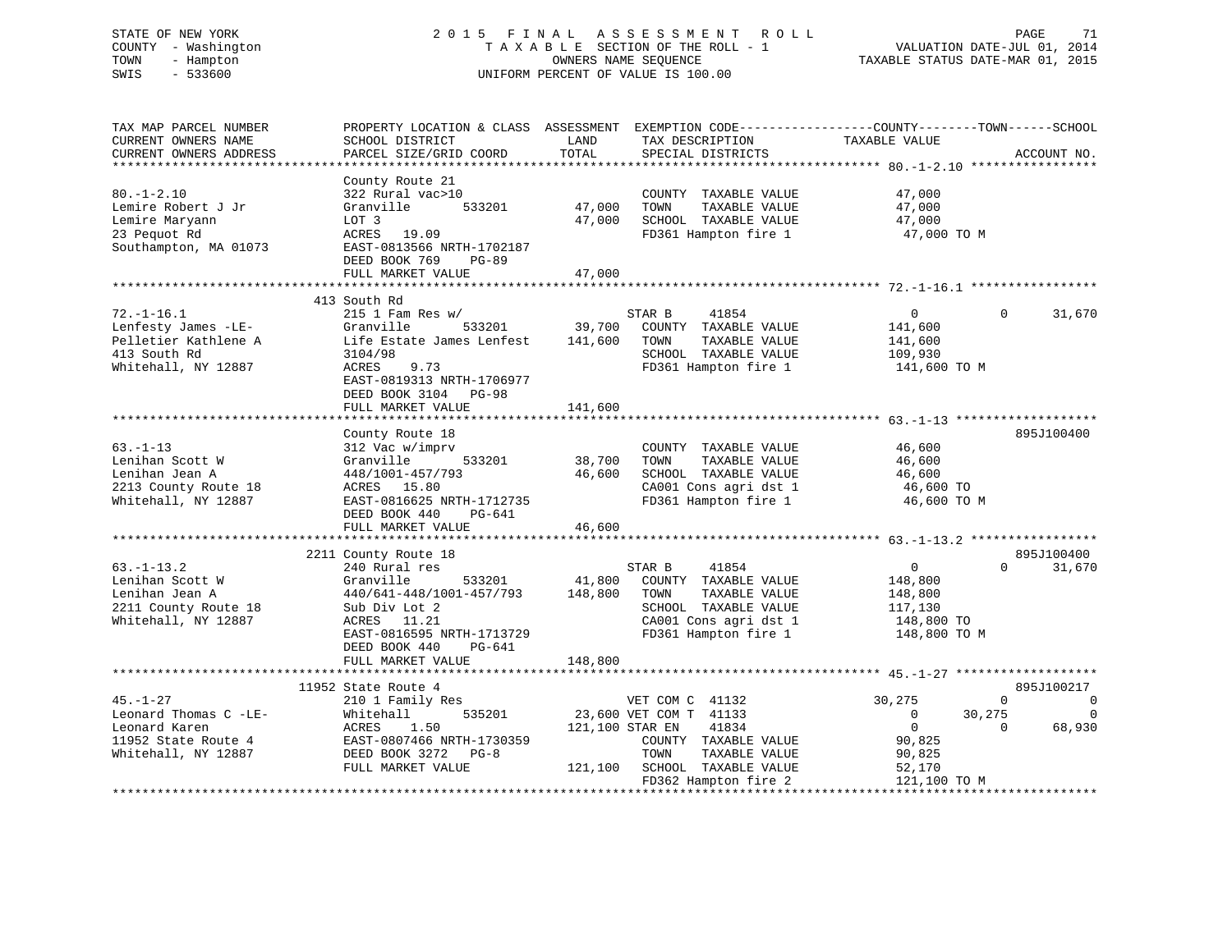# STATE OF NEW YORK 2 0 1 5 F I N A L A S S E S S M E N T R O L L PAGE 71 COUNTY - Washington T A X A B L E SECTION OF THE ROLL - 1 VALUATION DATE-JUL 01, 2014 TOWN - Hampton OWNERS NAME SEQUENCE TAXABLE STATUS DATE-MAR 01, 2015 SWIS - 533600 UNIFORM PERCENT OF VALUE IS 100.00

| SCHOOL DISTRICT<br>PARCEL SIZE/GRID COORD                                                                                                                      | LAND<br>TOTAL                                                                                                          | TAX DESCRIPTION<br>SPECIAL DISTRICTS                                                                                   | TAXABLE VALUE                                                                                                                                     | ACCOUNT NO.                                                                                                                    |
|----------------------------------------------------------------------------------------------------------------------------------------------------------------|------------------------------------------------------------------------------------------------------------------------|------------------------------------------------------------------------------------------------------------------------|---------------------------------------------------------------------------------------------------------------------------------------------------|--------------------------------------------------------------------------------------------------------------------------------|
| County Route 21<br>322 Rural vac>10<br>533201<br>Granville<br>LOT 3<br>ACRES 19.09<br>EAST-0813566 NRTH-1702187<br>DEED BOOK 769<br>PG-89<br>FULL MARKET VALUE | 47,000<br>47,000<br>47,000                                                                                             | COUNTY TAXABLE VALUE<br>TOWN<br>TAXABLE VALUE<br>SCHOOL TAXABLE VALUE<br>FD361 Hampton fire 1                          | 47,000<br>47,000<br>47,000<br>47,000 TO M                                                                                                         |                                                                                                                                |
|                                                                                                                                                                |                                                                                                                        |                                                                                                                        |                                                                                                                                                   |                                                                                                                                |
| $215$ 1 Fam Res w/<br>Granville<br>533201<br>Life Estate James Lenfest<br>3104/98<br>9.73<br>ACRES<br>EAST-0819313 NRTH-1706977<br>DEED BOOK 3104 PG-98        | 39,700<br>141,600                                                                                                      | 41854<br>COUNTY TAXABLE VALUE<br>TAXABLE VALUE<br>TOWN<br>SCHOOL TAXABLE VALUE<br>FD361 Hampton fire 1                 | $\overline{0}$<br>141,600<br>141,600<br>109,930<br>141,600 TO M                                                                                   | $\Omega$<br>31,670                                                                                                             |
|                                                                                                                                                                |                                                                                                                        |                                                                                                                        |                                                                                                                                                   |                                                                                                                                |
| County Route 18<br>312 Vac w/imprv<br>533201<br>Granville<br>448/1001-457/793<br>ACRES 15.80<br>EAST-0816625 NRTH-1712735<br>DEED BOOK 440<br>PG-641           | 38,700<br>46,600                                                                                                       | COUNTY TAXABLE VALUE<br>TOWN<br>TAXABLE VALUE<br>SCHOOL TAXABLE VALUE<br>CA001 Cons agri dst 1<br>FD361 Hampton fire 1 | 46,600<br>46,600<br>46,600<br>46,600 TO<br>46,600 TO M                                                                                            | 895J100400                                                                                                                     |
| FULL MARKET VALUE                                                                                                                                              | 46,600                                                                                                                 |                                                                                                                        |                                                                                                                                                   |                                                                                                                                |
|                                                                                                                                                                |                                                                                                                        |                                                                                                                        |                                                                                                                                                   | 895J100400<br>$\Omega$<br>31,670                                                                                               |
| Granville<br>533201<br>440/641-448/1001-457/793<br>Sub Div Lot 2<br>ACRES 11.21<br>EAST-0816595 NRTH-1713729<br>DEED BOOK 440<br>PG-641                        | 41,800<br>148,800                                                                                                      | COUNTY TAXABLE VALUE<br>TOWN<br>TAXABLE VALUE<br>SCHOOL TAXABLE VALUE<br>CA001 Cons agri dst 1<br>FD361 Hampton fire 1 | 148,800<br>148,800<br>117,130<br>148,800 TO<br>148,800 TO M                                                                                       |                                                                                                                                |
|                                                                                                                                                                |                                                                                                                        |                                                                                                                        |                                                                                                                                                   |                                                                                                                                |
|                                                                                                                                                                |                                                                                                                        |                                                                                                                        |                                                                                                                                                   | 895J100217                                                                                                                     |
| 210 1 Family Res<br>535201<br>Whitehall<br>1.50<br>ACRES<br>EAST-0807466 NRTH-1730359<br>DEED BOOK 3272 PG-8<br>FULL MARKET VALUE                              |                                                                                                                        | 41834<br>COUNTY TAXABLE VALUE<br>TOWN<br>TAXABLE VALUE                                                                 | 30,275<br>$\mathbf{0}$<br>30,275<br>$\overline{0}$<br>90,825<br>90,825<br>52,170                                                                  | 0<br>$\Omega$<br>$\overline{0}$<br>68,930<br>$\Omega$                                                                          |
|                                                                                                                                                                | 413 South Rd<br>FULL MARKET VALUE<br>2211 County Route 18<br>240 Rural res<br>FULL MARKET VALUE<br>11952 State Route 4 | 141,600<br>148,800                                                                                                     | STAR B<br>STAR B<br>41854<br>VET COM C 41132<br>23,600 VET COM T 41133<br>121,100 STAR EN<br>121,100 SCHOOL TAXABLE VALUE<br>FD362 Hampton fire 2 | PROPERTY LOCATION & CLASS ASSESSMENT EXEMPTION CODE---------------COUNTY-------TOWN-----SCHOOL<br>$\mathsf{O}$<br>121,100 TO M |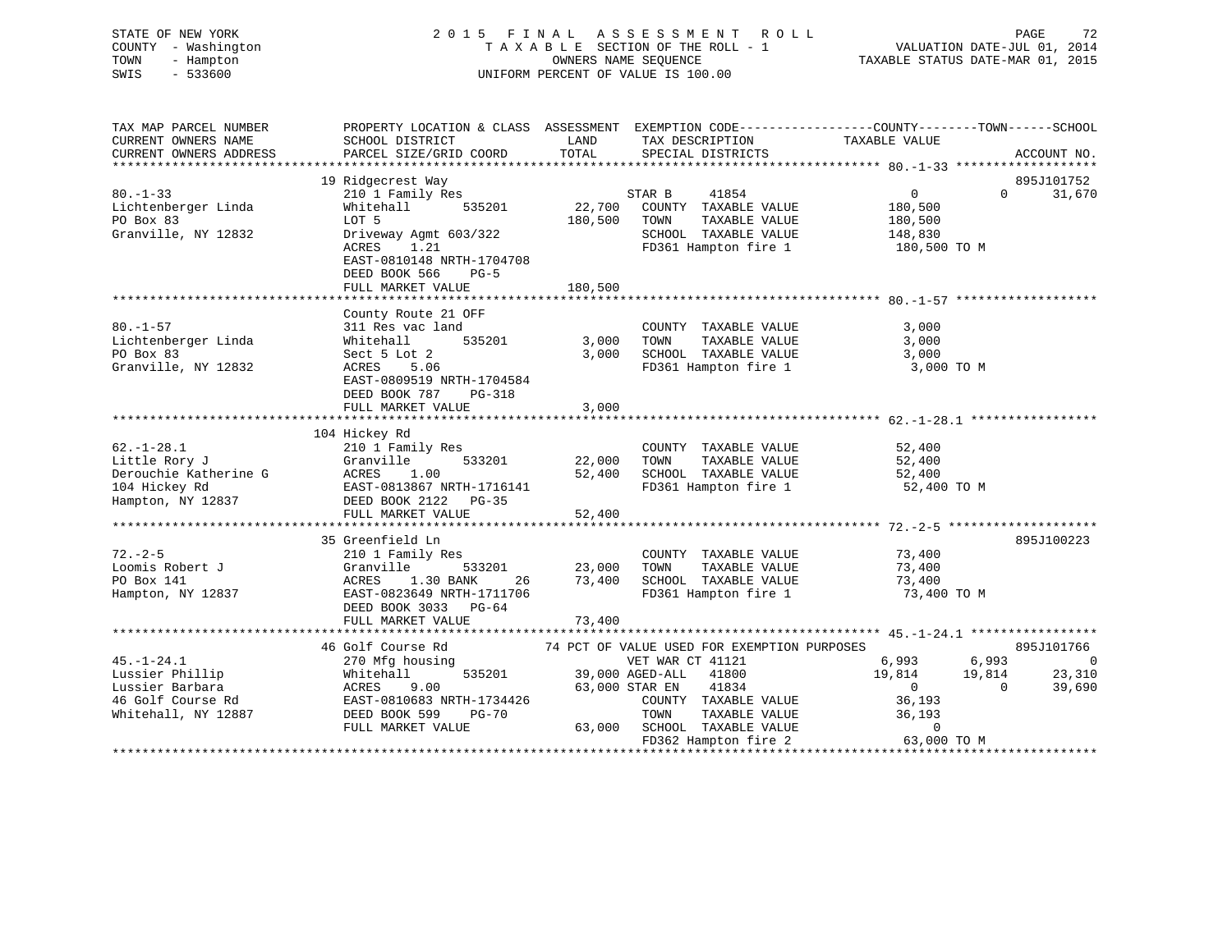# STATE OF NEW YORK 2 0 1 5 F I N A L A S S E S S M E N T R O L L PAGE 72 COUNTY - Washington T A X A B L E SECTION OF THE ROLL - 1 VALUATION DATE-JUL 01, 2014 TOWN - Hampton OWNERS NAME SEQUENCE TAXABLE STATUS DATE-MAR 01, 2015 SWIS - 533600 UNIFORM PERCENT OF VALUE IS 100.00

| TAX MAP PARCEL NUMBER<br>CURRENT OWNERS NAME<br>CURRENT OWNERS ADDRESS                             | PROPERTY LOCATION & CLASS ASSESSMENT<br>SCHOOL DISTRICT<br>PARCEL SIZE/GRID COORD                                                                                                            | LAND<br>TOTAL                | TAX DESCRIPTION<br>SPECIAL DISTRICTS                                                                                                                                                                                    | EXEMPTION CODE-----------------COUNTY-------TOWN------SCHOOL<br>TAXABLE VALUE                                      | ACCOUNT NO.                                      |
|----------------------------------------------------------------------------------------------------|----------------------------------------------------------------------------------------------------------------------------------------------------------------------------------------------|------------------------------|-------------------------------------------------------------------------------------------------------------------------------------------------------------------------------------------------------------------------|--------------------------------------------------------------------------------------------------------------------|--------------------------------------------------|
| $80. - 1 - 33$<br>Lichtenberger Linda<br>PO Box 83<br>Granville, NY 12832                          | 19 Ridgecrest Way<br>210 1 Family Res<br>535201<br>Whitehall<br>LOT 5<br>Driveway Agmt 603/322<br>ACRES<br>1.21<br>EAST-0810148 NRTH-1704708<br>DEED BOOK 566<br>$PG-5$<br>FULL MARKET VALUE | 22,700<br>180,500<br>180,500 | 41854<br>STAR B<br>COUNTY TAXABLE VALUE<br>TAXABLE VALUE<br>TOWN<br>SCHOOL TAXABLE VALUE<br>FD361 Hampton fire 1                                                                                                        | $\overline{0}$<br>180,500<br>180,500<br>148,830<br>180,500 TO M                                                    | 895J101752<br>31,670<br>$\Omega$                 |
| $80. - 1 - 57$<br>Lichtenberger Linda<br>PO Box 83<br>Granville, NY 12832                          | County Route 21 OFF<br>311 Res vac land<br>535201<br>Whitehall<br>Sect 5 Lot 2<br>ACRES<br>5.06<br>EAST-0809519 NRTH-1704584<br>DEED BOOK 787<br>PG-318<br>FULL MARKET VALUE                 | 3,000<br>3,000<br>3,000      | COUNTY TAXABLE VALUE<br>TOWN<br>TAXABLE VALUE<br>SCHOOL TAXABLE VALUE<br>FD361 Hampton fire 1                                                                                                                           | 3,000<br>3,000<br>3,000<br>3,000 TO M                                                                              |                                                  |
| $62. - 1 - 28.1$<br>Little Rory J<br>Derouchie Katherine G<br>104 Hickey Rd<br>Hampton, NY 12837   | 104 Hickey Rd<br>210 1 Family Res<br>533201<br>Granville<br>ACRES<br>1.00<br>EAST-0813867 NRTH-1716141<br>DEED BOOK 2122 PG-35<br>FULL MARKET VALUE                                          | 22,000<br>52,400<br>52,400   | COUNTY TAXABLE VALUE<br>TOWN<br>TAXABLE VALUE<br>SCHOOL TAXABLE VALUE<br>FD361 Hampton fire 1                                                                                                                           | 52,400<br>52,400<br>52,400<br>52,400 TO M                                                                          |                                                  |
| $72. - 2 - 5$<br>Loomis Robert J<br>PO Box 141<br>Hampton, NY 12837                                | 35 Greenfield Ln<br>210 1 Family Res<br>Granville<br>533201<br>1.30 BANK<br>ACRES<br>26<br>EAST-0823649 NRTH-1711706<br>DEED BOOK 3033 PG-64<br>FULL MARKET VALUE                            | 23,000<br>73,400<br>73,400   | COUNTY TAXABLE VALUE<br>TAXABLE VALUE<br>TOWN<br>SCHOOL TAXABLE VALUE<br>FD361 Hampton fire 1                                                                                                                           | 73,400<br>73,400<br>73,400<br>73,400 TO M                                                                          | 895J100223                                       |
| $45. - 1 - 24.1$<br>Lussier Phillip<br>Lussier Barbara<br>46 Golf Course Rd<br>Whitehall, NY 12887 | 46 Golf Course Rd<br>270 Mfg housing<br>535201<br>Whitehall<br>9.00<br>ACRES<br>EAST-0810683 NRTH-1734426<br>DEED BOOK 599<br><b>PG-70</b><br>FULL MARKET VALUE                              | 63,000                       | 74 PCT OF VALUE USED FOR EXEMPTION PURPOSES<br>VET WAR CT 41121<br>39,000 AGED-ALL<br>41800<br>63,000 STAR EN<br>41834<br>COUNTY TAXABLE VALUE<br>TAXABLE VALUE<br>TOWN<br>SCHOOL TAXABLE VALUE<br>FD362 Hampton fire 2 | 6,993<br>6,993<br>19,814<br>19,814<br>$\overline{0}$<br>$\Omega$<br>36,193<br>36,193<br>$\mathbf 0$<br>63,000 TO M | 895J101766<br>$\overline{0}$<br>23,310<br>39,690 |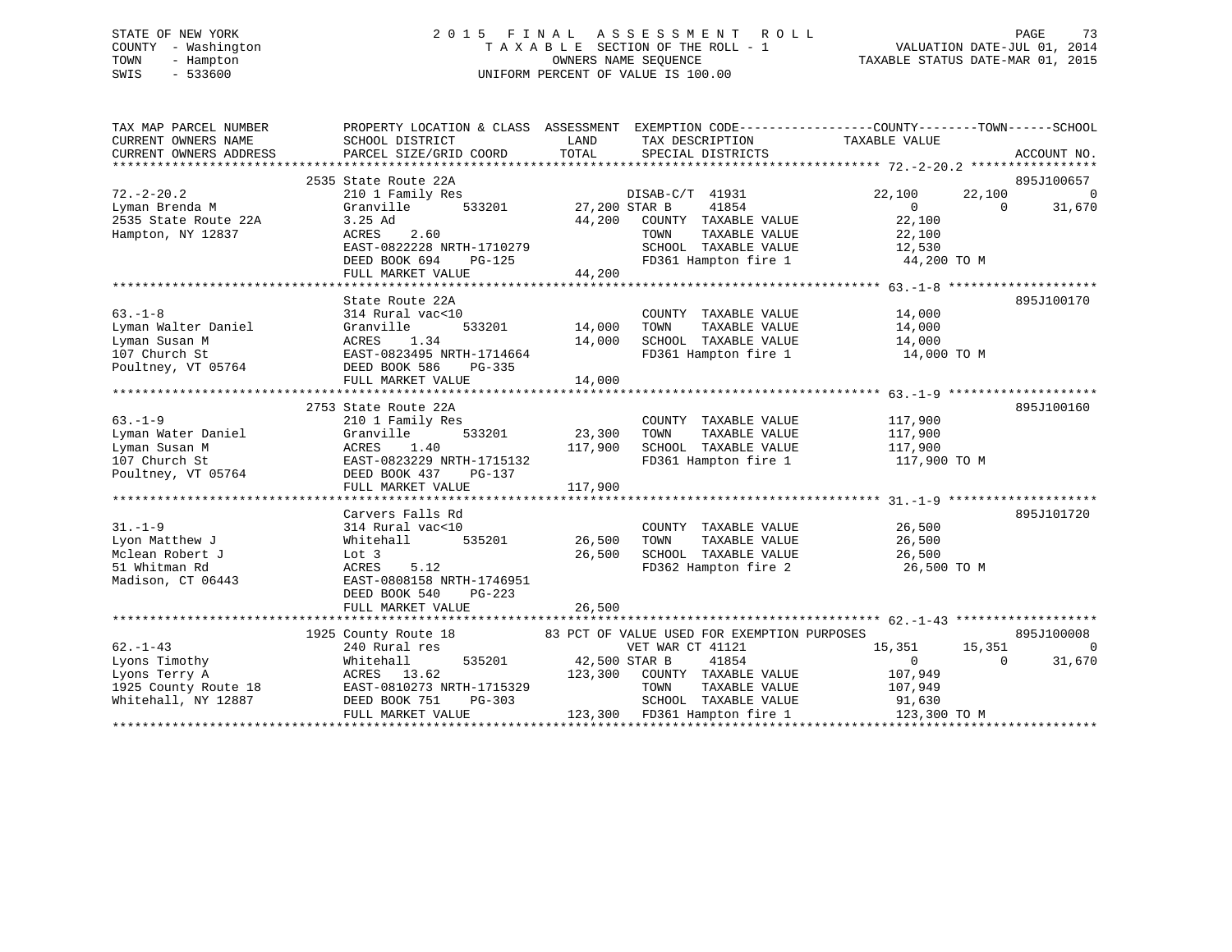# STATE OF NEW YORK 2 0 1 5 F I N A L A S S E S S M E N T R O L L PAGE 73 COUNTY - Washington T A X A B L E SECTION OF THE ROLL - 1 VALUATION DATE-JUL 01, 2014 TOWN - Hampton OWNERS NAME SEQUENCE TAXABLE STATUS DATE-MAR 01, 2015 SWIS - 533600 UNIFORM PERCENT OF VALUE IS 100.00

| SCHOOL DISTRICT<br>PARCEL SIZE/GRID COORD                                                                     | LAND<br>TAX DESCRIPTION<br>TOTAL SPECIAL DISTRICTS                                                                                                                                                                       | TAXABLE VALUE<br>ACCOUNT NO.                                                                                                                                                                                                                                                                                                                                                                          |
|---------------------------------------------------------------------------------------------------------------|--------------------------------------------------------------------------------------------------------------------------------------------------------------------------------------------------------------------------|-------------------------------------------------------------------------------------------------------------------------------------------------------------------------------------------------------------------------------------------------------------------------------------------------------------------------------------------------------------------------------------------------------|
| 2535 State Route 22A<br>210 1 Family Res                                                                      | DISAB-C/T 41931                                                                                                                                                                                                          | 895J100657<br>22,100<br>22,100<br>$\overline{0}$                                                                                                                                                                                                                                                                                                                                                      |
| Granville<br>3.25 Ad<br>2.60<br>ACRES                                                                         | 41854<br>44,200<br>COUNTY TAXABLE VALUE<br>TOWN<br>TAXABLE VALUE                                                                                                                                                         | $\overline{0}$<br>$\overline{0}$<br>31,670<br>22,100<br>22,100<br>12,530                                                                                                                                                                                                                                                                                                                              |
| FULL MARKET VALUE                                                                                             |                                                                                                                                                                                                                          | SCHOOL TAXABLE VALUE 12,530<br>FD361 Hampton fire 1 44,200 TO M                                                                                                                                                                                                                                                                                                                                       |
|                                                                                                               |                                                                                                                                                                                                                          | 895J100170                                                                                                                                                                                                                                                                                                                                                                                            |
| 314 Rural vac<10<br>Granville<br>1.34<br>ACRES<br>EAST-0823495 NRTH-1714664<br>DEED BOOK 586<br>PG-335        | COUNTY TAXABLE VALUE<br>TAXABLE VALUE<br>14,000<br>SCHOOL TAXABLE VALUE<br>FD361 Hampton fire 1                                                                                                                          | 14,000<br>14,000<br>14,000<br>14,000 TO M                                                                                                                                                                                                                                                                                                                                                             |
|                                                                                                               |                                                                                                                                                                                                                          |                                                                                                                                                                                                                                                                                                                                                                                                       |
| 2753 State Route 22A<br>210 1 Family Res<br>533201<br>Granville<br>ACRES<br>1.40<br>EAST-0823229 NRTH-1715132 | COUNTY TAXABLE VALUE<br>23,300 TOWN<br>TAXABLE VALUE<br>FD361 Hampton fire 1                                                                                                                                             | 895J100160<br>117,900<br>117,900<br>117,900 TO M                                                                                                                                                                                                                                                                                                                                                      |
|                                                                                                               |                                                                                                                                                                                                                          | 895J101720                                                                                                                                                                                                                                                                                                                                                                                            |
| 314 Rural vac<10<br>Whitehall<br>Lot 3<br>ACRES<br>5.12<br>DEED BOOK 540<br>PG-223                            | COUNTY TAXABLE VALUE<br>26,500 TOWN<br>TAXABLE VALUE<br>SCHOOL TAXABLE VALUE 26,500<br>26,500<br>FD362 Hampton fire 2                                                                                                    | 26,500<br>26,500<br>26,500 TO M                                                                                                                                                                                                                                                                                                                                                                       |
|                                                                                                               |                                                                                                                                                                                                                          |                                                                                                                                                                                                                                                                                                                                                                                                       |
|                                                                                                               | 83 PCT OF VALUE USED FOR EXEMPTION PURPOSES                                                                                                                                                                              | 895J100008                                                                                                                                                                                                                                                                                                                                                                                            |
| 240 Rural res<br>Whitehall<br>FULL MARKET VALUE                                                               | VET WAR CT 41121<br>41854<br>TOWN<br>TAXABLE VALUE<br>SCHOOL TAXABLE VALUE                                                                                                                                               | 15,351 15,351<br>$\Omega$<br>31,670<br>$\Omega$<br>$\Omega$<br>107,949<br>107,949<br>91,630<br>123,300 TO M                                                                                                                                                                                                                                                                                           |
|                                                                                                               | State Route 22A<br>Carvers Falls Rd<br>EAST-0808158 NRTH-1746951<br>FULL MARKET VALUE<br>Lyons Terry A $\overline{A}$ ACRES 13.62<br>1925 County Route 18 EAST-0810273 NRTH-1715329<br>Whitehall, NY 12887 DEED BOOK 751 | PROPERTY LOCATION & CLASS ASSESSMENT EXEMPTION CODE---------------COUNTY-------TOWN-----SCHOOL<br>533201 27,200 STAR B<br>EAST-0822228 NRTH-1710279<br>DEED BOOK 694 PG-125<br>44,200<br>117,900 SCHOOL TAXABLE VALUE 117,900<br>DEED BOOK 437 PG-137<br>26,500<br>1925 County Route 18<br>535201 42,500 STAR B<br>ACRES 13.62 123,300 COUNTY TAXABLE VALUE<br>PG-303<br>123,300 FD361 Hampton fire 1 |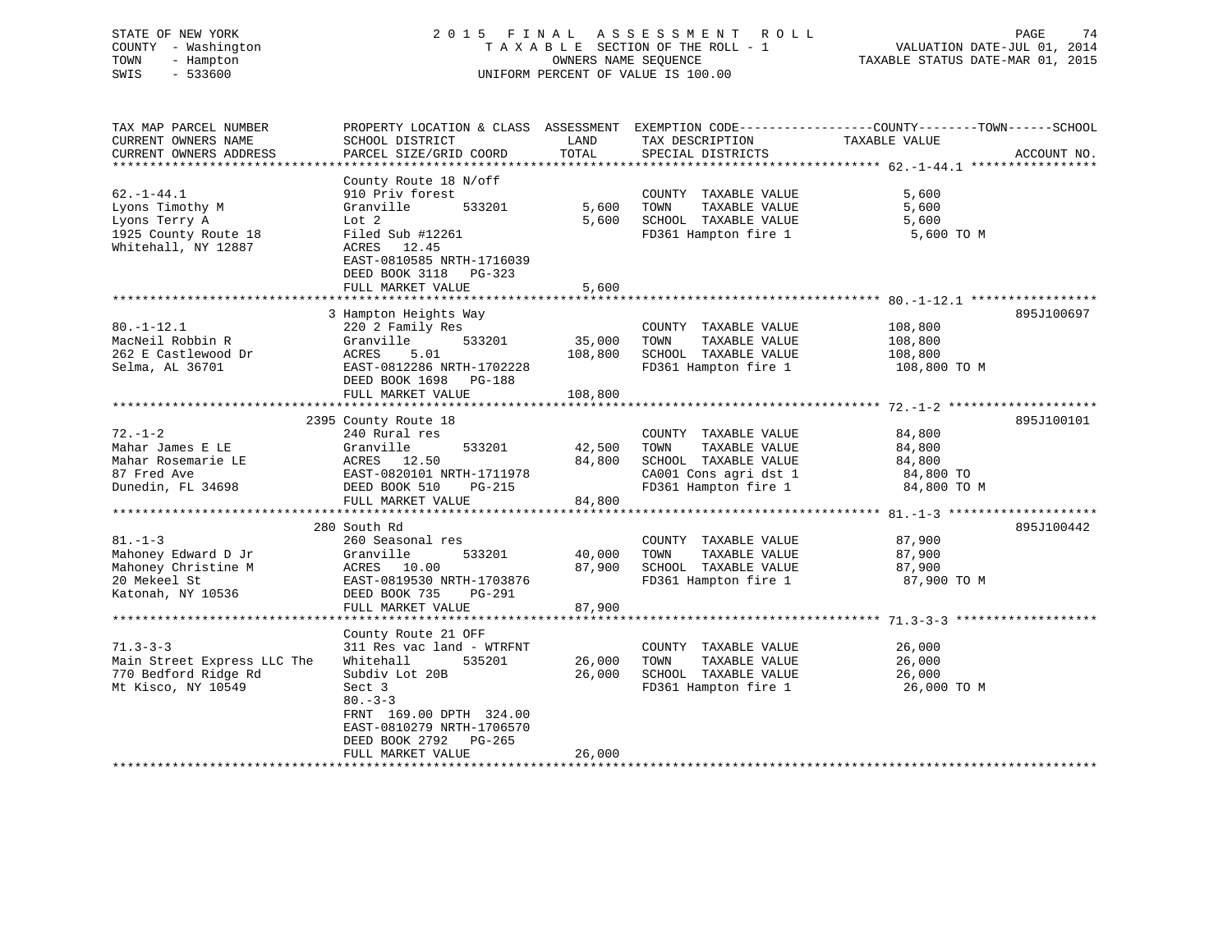# STATE OF NEW YORK 2 0 1 5 F I N A L A S S E S S M E N T R O L L PAGE 74 COUNTY - Washington T A X A B L E SECTION OF THE ROLL - 1 VALUATION DATE-JUL 01, 2014 TOWN - Hampton OWNERS NAME SEQUENCE TAXABLE STATUS DATE-MAR 01, 2015 SWIS - 533600 UNIFORM PERCENT OF VALUE IS 100.00

| TAX MAP PARCEL NUMBER<br>CURRENT OWNERS NAME<br>CURRENT OWNERS ADDRESS<br>************************* | PROPERTY LOCATION & CLASS ASSESSMENT<br>SCHOOL DISTRICT<br>PARCEL SIZE/GRID COORD<br>************************                                                                                                              | LAND<br>TOTAL                            | TAX DESCRIPTION<br>SPECIAL DISTRICTS                                                                                   | EXEMPTION CODE-----------------COUNTY-------TOWN------SCHOOL<br>TAXABLE VALUE<br>ACCOUNT NO. |
|-----------------------------------------------------------------------------------------------------|----------------------------------------------------------------------------------------------------------------------------------------------------------------------------------------------------------------------------|------------------------------------------|------------------------------------------------------------------------------------------------------------------------|----------------------------------------------------------------------------------------------|
| $62. - 1 - 44.1$<br>Lyons Timothy M<br>Lyons Terry A<br>1925 County Route 18<br>Whitehall, NY 12887 | County Route 18 N/off<br>910 Priv forest<br>Granville<br>533201<br>Lot 2<br>Filed Sub #12261<br>12.45<br>ACRES<br>EAST-0810585 NRTH-1716039<br>DEED BOOK 3118 PG-323<br>FULL MARKET VALUE<br>***************************** | 5,600<br>5,600<br>5,600                  | COUNTY TAXABLE VALUE<br>TOWN<br>TAXABLE VALUE<br>SCHOOL TAXABLE VALUE<br>FD361 Hampton fire 1                          | 5,600<br>5,600<br>5,600<br>5,600 TO M                                                        |
| $80. - 1 - 12.1$<br>MacNeil Robbin R<br>262 E Castlewood Dr<br>Selma, AL 36701                      | 3 Hampton Heights Way<br>220 2 Family Res<br>Granville<br>533201<br>ACRES<br>5.01<br>EAST-0812286 NRTH-1702228<br>DEED BOOK 1698<br>PG-188<br>FULL MARKET VALUE                                                            | 35,000<br>108,800<br>108,800             | COUNTY TAXABLE VALUE<br>TOWN<br>TAXABLE VALUE<br>SCHOOL TAXABLE VALUE<br>FD361 Hampton fire 1                          | 895J100697<br>108,800<br>108,800<br>108,800<br>108,800 TO M                                  |
| $72. - 1 - 2$<br>Mahar James E LE<br>Mahar Rosemarie LE<br>87 Fred Ave<br>Dunedin, FL 34698         | 2395 County Route 18<br>240 Rural res<br>Granville<br>533201<br>ACRES 12.50<br>EAST-0820101 NRTH-1711978<br>DEED BOOK 510<br>$PG-215$<br>FULL MARKET VALUE                                                                 | 42,500<br>84,800<br>84,800               | COUNTY TAXABLE VALUE<br>TOWN<br>TAXABLE VALUE<br>SCHOOL TAXABLE VALUE<br>CA001 Cons agri dst 1<br>FD361 Hampton fire 1 | 895J100101<br>84,800<br>84,800<br>84,800<br>84,800 TO<br>84,800 TO M                         |
| $81. - 1 - 3$<br>Mahoney Edward D Jr<br>Mahoney Christine M<br>20 Mekeel St<br>Katonah, NY 10536    | *******************************<br>280 South Rd<br>260 Seasonal res<br>533201<br>Granville<br>ACRES 10.00<br>EAST-0819530 NRTH-1703876<br>DEED BOOK 735<br>PG-291<br>FULL MARKET VALUE                                     | **********<br>40,000<br>87,900<br>87,900 | COUNTY TAXABLE VALUE<br>TOWN<br>TAXABLE VALUE<br>SCHOOL TAXABLE VALUE<br>FD361 Hampton fire 1                          | 895J100442<br>87,900<br>87,900<br>87,900<br>87,900 TO M                                      |
| $71.3 - 3 - 3$<br>Main Street Express LLC The<br>770 Bedford Ridge Rd<br>Mt Kisco, NY 10549         | County Route 21 OFF<br>311 Res vac land - WTRFNT<br>535201<br>Whitehall<br>Subdiv Lot 20B<br>Sect 3<br>$80 - 3 - 3$<br>FRNT 169.00 DPTH 324.00<br>EAST-0810279 NRTH-1706570<br>DEED BOOK 2792 PG-265<br>FULL MARKET VALUE  | 26,000<br>26,000<br>26,000               | COUNTY TAXABLE VALUE<br>TOWN<br>TAXABLE VALUE<br>SCHOOL TAXABLE VALUE<br>FD361 Hampton fire 1                          | 26,000<br>26,000<br>26,000<br>26,000 TO M                                                    |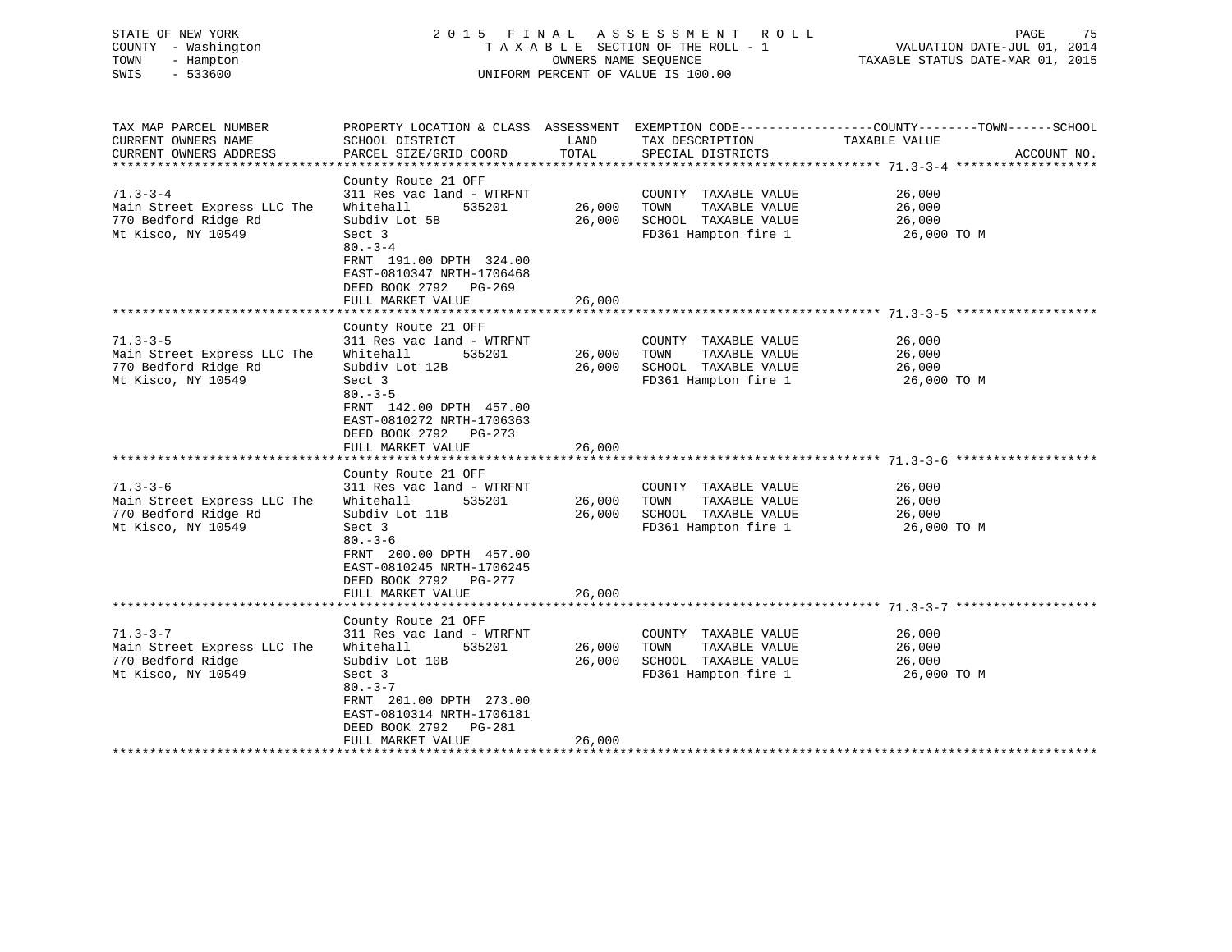| STATE OF NEW YORK<br>COUNTY - Washington<br>TOWN<br>- Hampton<br>$-533600$<br>SWIS                                                                                                         | 2015 FINAL                                                                                                                                                                                                                                                                                                                       | OWNERS NAME SEQUENCE                           | A S S E S S M E N T<br>R O L L<br>TAXABLE SECTION OF THE ROLL - 1<br>UNIFORM PERCENT OF VALUE IS 100.00                                                                                        | PAGE<br>75<br>VALUATION DATE-JUL 01, 2014<br>TAXABLE STATUS DATE-MAR 01, 2015                                                    |
|--------------------------------------------------------------------------------------------------------------------------------------------------------------------------------------------|----------------------------------------------------------------------------------------------------------------------------------------------------------------------------------------------------------------------------------------------------------------------------------------------------------------------------------|------------------------------------------------|------------------------------------------------------------------------------------------------------------------------------------------------------------------------------------------------|----------------------------------------------------------------------------------------------------------------------------------|
| TAX MAP PARCEL NUMBER<br>CURRENT OWNERS NAME<br>CURRENT OWNERS ADDRESS                                                                                                                     | SCHOOL DISTRICT<br>PARCEL SIZE/GRID COORD                                                                                                                                                                                                                                                                                        | LAND<br>TOTAL                                  | TAX DESCRIPTION<br>SPECIAL DISTRICTS                                                                                                                                                           | PROPERTY LOCATION & CLASS ASSESSMENT EXEMPTION CODE-----------------COUNTY-------TOWN-----SCHOOL<br>TAXABLE VALUE<br>ACCOUNT NO. |
|                                                                                                                                                                                            |                                                                                                                                                                                                                                                                                                                                  |                                                |                                                                                                                                                                                                |                                                                                                                                  |
| $71.3 - 3 - 4$<br>Main Street Express LLC The<br>770 Bedford Ridge Rd<br>Mt Kisco, NY 10549                                                                                                | County Route 21 OFF<br>311 Res vac land - WTRFNT<br>Whitehall<br>535201<br>Subdiv Lot 5B<br>Sect 3<br>$80 - 3 - 4$<br>FRNT 191.00 DPTH 324.00<br>EAST-0810347 NRTH-1706468<br>DEED BOOK 2792 PG-269<br>FULL MARKET VALUE                                                                                                         | 26,000<br>26,000<br>26,000                     | COUNTY TAXABLE VALUE<br>TOWN<br>TAXABLE VALUE<br>SCHOOL TAXABLE VALUE<br>FD361 Hampton fire 1                                                                                                  | 26,000<br>26,000<br>26,000<br>26,000 TO M                                                                                        |
|                                                                                                                                                                                            |                                                                                                                                                                                                                                                                                                                                  |                                                |                                                                                                                                                                                                |                                                                                                                                  |
| $71.3 - 3 - 5$<br>Main Street Express LLC The<br>770 Bedford Ridge Rd<br>Mt Kisco, NY 10549<br>$71.3 - 3 - 6$<br>Main Street Express LLC The<br>770 Bedford Ridge Rd<br>Mt Kisco, NY 10549 | County Route 21 OFF<br>311 Res vac land - WTRFNT<br>Whitehall<br>535201<br>Subdiv Lot 12B<br>Sect 3<br>$80 - 3 - 5$<br>FRNT 142.00 DPTH 457.00<br>EAST-0810272 NRTH-1706363<br>DEED BOOK 2792 PG-273<br>FULL MARKET VALUE<br>County Route 21 OFF<br>311 Res vac land - WTRFNT<br>Whitehall<br>535201<br>Subdiv Lot 11B<br>Sect 3 | 26,000<br>26,000<br>26,000<br>26,000<br>26,000 | COUNTY TAXABLE VALUE<br>TOWN<br>TAXABLE VALUE<br>SCHOOL TAXABLE VALUE<br>FD361 Hampton fire 1<br>COUNTY TAXABLE VALUE<br>TOWN<br>TAXABLE VALUE<br>SCHOOL TAXABLE VALUE<br>FD361 Hampton fire 1 | 26,000<br>26,000<br>26,000<br>26,000 TO M<br>26,000<br>26,000<br>26,000<br>26,000 TO M                                           |
|                                                                                                                                                                                            | $80 - 3 - 6$<br>FRNT 200.00 DPTH 457.00<br>EAST-0810245 NRTH-1706245<br>DEED BOOK 2792 PG-277<br>FULL MARKET VALUE                                                                                                                                                                                                               | 26,000                                         |                                                                                                                                                                                                |                                                                                                                                  |
|                                                                                                                                                                                            |                                                                                                                                                                                                                                                                                                                                  |                                                |                                                                                                                                                                                                |                                                                                                                                  |
| $71.3 - 3 - 7$<br>Main Street Express LLC The<br>770 Bedford Ridge<br>Mt Kisco, NY 10549                                                                                                   | County Route 21 OFF<br>311 Res vac land - WTRFNT<br>Whitehall<br>535201<br>Subdiv Lot 10B<br>Sect 3<br>$80 - 3 - 7$<br>FRNT 201.00 DPTH 273.00<br>EAST-0810314 NRTH-1706181<br>DEED BOOK 2792<br>PG-281                                                                                                                          | 26,000<br>26,000                               | COUNTY TAXABLE VALUE<br>TOWN<br>TAXABLE VALUE<br>SCHOOL TAXABLE VALUE<br>FD361 Hampton fire 1                                                                                                  | 26,000<br>26,000<br>26,000<br>26,000 TO M                                                                                        |
|                                                                                                                                                                                            | FULL MARKET VALUE                                                                                                                                                                                                                                                                                                                | 26,000                                         |                                                                                                                                                                                                |                                                                                                                                  |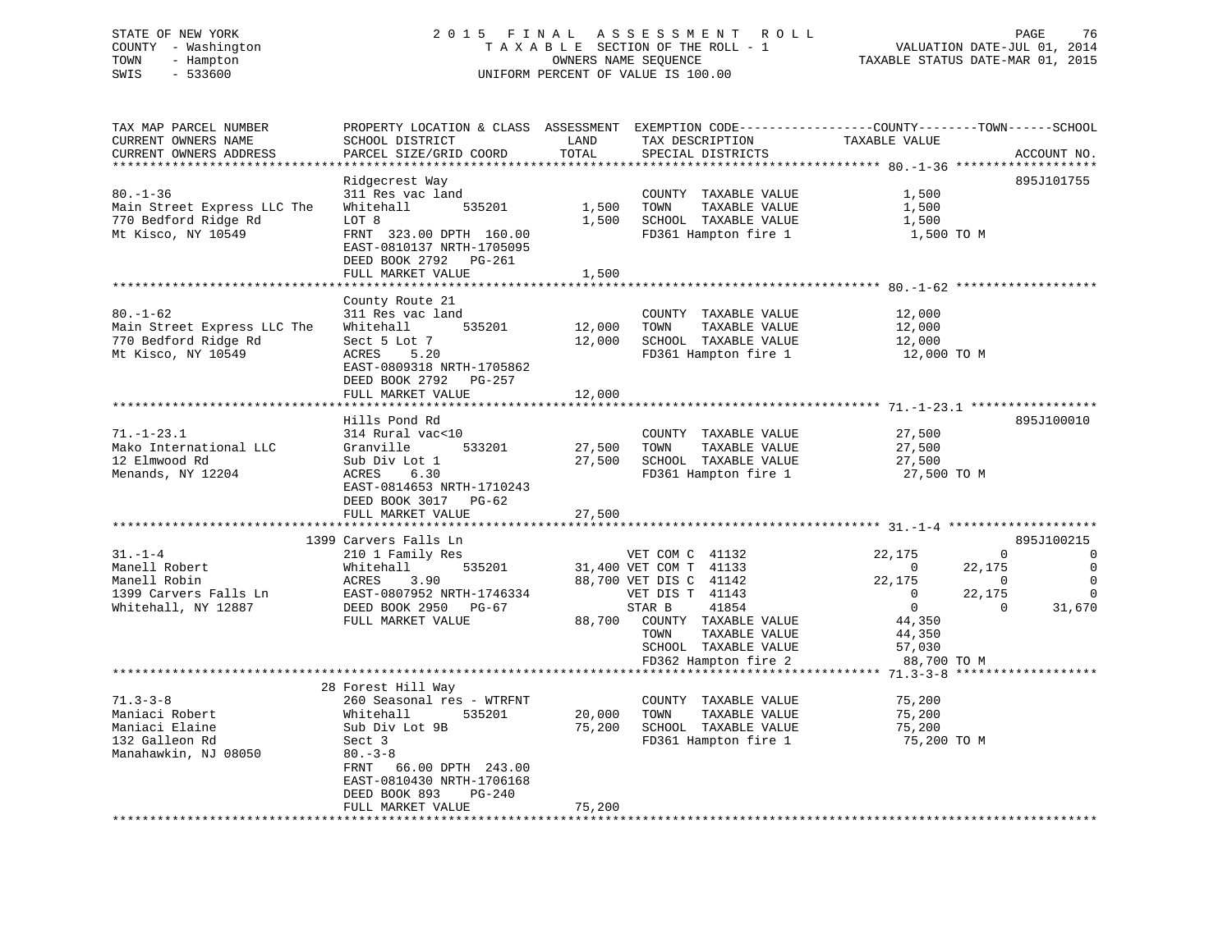# STATE OF NEW YORK 2 0 1 5 F I N A L A S S E S S M E N T R O L L PAGE 76 COUNTY - Washington T A X A B L E SECTION OF THE ROLL - 1 VALUATION DATE-JUL 01, 2014 TOWN - Hampton OWNERS NAME SEQUENCE TAXABLE STATUS DATE-MAR 01, 2015 SWIS - 533600 UNIFORM PERCENT OF VALUE IS 100.00

| TAX MAP PARCEL NUMBER<br>CURRENT OWNERS NAME<br>CURRENT OWNERS ADDRESS                         | PROPERTY LOCATION & CLASS ASSESSMENT EXEMPTION CODE----------------COUNTY-------TOWN------SCHOOL<br>SCHOOL DISTRICT<br>PARCEL SIZE/GRID COORD                                                                               | LAND<br>TOTAL              | TAX DESCRIPTION<br>SPECIAL DISTRICTS                                                                                                                                                                       | TAXABLE VALUE                                                                                                               | ACCOUNT NO.                                                                                                                            |
|------------------------------------------------------------------------------------------------|-----------------------------------------------------------------------------------------------------------------------------------------------------------------------------------------------------------------------------|----------------------------|------------------------------------------------------------------------------------------------------------------------------------------------------------------------------------------------------------|-----------------------------------------------------------------------------------------------------------------------------|----------------------------------------------------------------------------------------------------------------------------------------|
|                                                                                                |                                                                                                                                                                                                                             |                            |                                                                                                                                                                                                            |                                                                                                                             |                                                                                                                                        |
| $80. - 1 - 36$<br>Main Street Express LLC The<br>770 Bedford Ridge Rd<br>Mt Kisco, NY 10549    | Ridgecrest Way<br>311 Res vac land<br>Whitehall<br>535201<br>LOT 8<br>FRNT 323.00 DPTH 160.00<br>EAST-0810137 NRTH-1705095<br>DEED BOOK 2792 PG-261                                                                         | 1,500<br>1,500             | COUNTY TAXABLE VALUE<br>TOWN<br>TAXABLE VALUE<br>SCHOOL TAXABLE VALUE<br>FD361 Hampton fire 1                                                                                                              | 1,500<br>1,500<br>1,500<br>1,500 TO M                                                                                       | 895J101755                                                                                                                             |
|                                                                                                | FULL MARKET VALUE                                                                                                                                                                                                           | 1,500                      |                                                                                                                                                                                                            |                                                                                                                             |                                                                                                                                        |
|                                                                                                |                                                                                                                                                                                                                             |                            |                                                                                                                                                                                                            |                                                                                                                             |                                                                                                                                        |
| $80. - 1 - 62$<br>Main Street Express LLC The<br>770 Bedford Ridge Rd<br>Mt Kisco, NY 10549    | County Route 21<br>311 Res vac land<br>535201<br>Whitehall<br>Sect 5 Lot 7<br>ACRES<br>5.20<br>EAST-0809318 NRTH-1705862<br>DEED BOOK 2792 PG-257<br>FULL MARKET VALUE                                                      | 12,000<br>12,000<br>12,000 | COUNTY TAXABLE VALUE<br>TOWN<br>TAXABLE VALUE<br>SCHOOL TAXABLE VALUE<br>FD361 Hampton fire 1                                                                                                              | 12,000<br>12,000<br>12,000<br>12,000 TO M                                                                                   |                                                                                                                                        |
|                                                                                                |                                                                                                                                                                                                                             |                            |                                                                                                                                                                                                            |                                                                                                                             |                                                                                                                                        |
| $71. - 1 - 23.1$<br>Mako International LLC<br>12 Elmwood Rd<br>Menands, NY 12204               | Hills Pond Rd<br>314 Rural vac<10<br>Granville<br>533201<br>Sub Div Lot 1<br>ACRES<br>6.30<br>EAST-0814653 NRTH-1710243<br>DEED BOOK 3017 PG-62<br>FULL MARKET VALUE                                                        | 27,500<br>27,500<br>27,500 | COUNTY TAXABLE VALUE<br>TOWN<br>TAXABLE VALUE<br>SCHOOL TAXABLE VALUE<br>FD361 Hampton fire 1                                                                                                              | 27,500<br>27,500<br>27,500<br>27,500 TO M                                                                                   | 895J100010                                                                                                                             |
|                                                                                                |                                                                                                                                                                                                                             |                            |                                                                                                                                                                                                            |                                                                                                                             |                                                                                                                                        |
| $31. - 1 - 4$<br>Manell Robert<br>Manell Robin<br>1399 Carvers Falls Ln<br>Whitehall, NY 12887 | 1399 Carvers Falls Ln<br>210 1 Family Res<br>535201<br>Whitehall<br>3.90<br>ACRES<br>EAST-0807952 NRTH-1746334<br>DEED BOOK 2950 PG-67<br>FULL MARKET VALUE                                                                 | 88,700                     | VET COM C 41132<br>31,400 VET COM T 41133<br>88,700 VET DIS C 41142<br>VET DIS T 41143<br>41854<br>STAR B<br>COUNTY TAXABLE VALUE<br>TOWN<br>TAXABLE VALUE<br>SCHOOL TAXABLE VALUE<br>FD362 Hampton fire 2 | 22,175<br>$\overline{\phantom{0}}$<br>22,175<br>$\mathbf{0}$<br>$\overline{0}$<br>44,350<br>44,350<br>57,030<br>88,700 TO M | 895J100215<br>$\Omega$<br>$\Omega$<br>$\mathbf{0}$<br>22,175<br>$\overline{0}$<br>$\Omega$<br>22,175<br>$\Omega$<br>$\Omega$<br>31,670 |
|                                                                                                |                                                                                                                                                                                                                             |                            |                                                                                                                                                                                                            |                                                                                                                             |                                                                                                                                        |
| $71.3 - 3 - 8$<br>Maniaci Robert<br>Maniaci Elaine<br>132 Galleon Rd<br>Manahawkin, NJ 08050   | 28 Forest Hill Way<br>260 Seasonal res - WTRFNT<br>Whitehall<br>535201<br>Sub Div Lot 9B<br>Sect 3<br>$80 - 3 - 8$<br>FRNT 66.00 DPTH 243.00<br>EAST-0810430 NRTH-1706168<br>DEED BOOK 893<br>$PG-240$<br>FULL MARKET VALUE | 20,000<br>75,200<br>75,200 | COUNTY TAXABLE VALUE<br>TOWN<br>TAXABLE VALUE<br>SCHOOL TAXABLE VALUE<br>FD361 Hampton fire 1                                                                                                              | 75,200<br>75,200<br>75,200<br>75,200 TO M                                                                                   |                                                                                                                                        |
|                                                                                                |                                                                                                                                                                                                                             |                            |                                                                                                                                                                                                            |                                                                                                                             |                                                                                                                                        |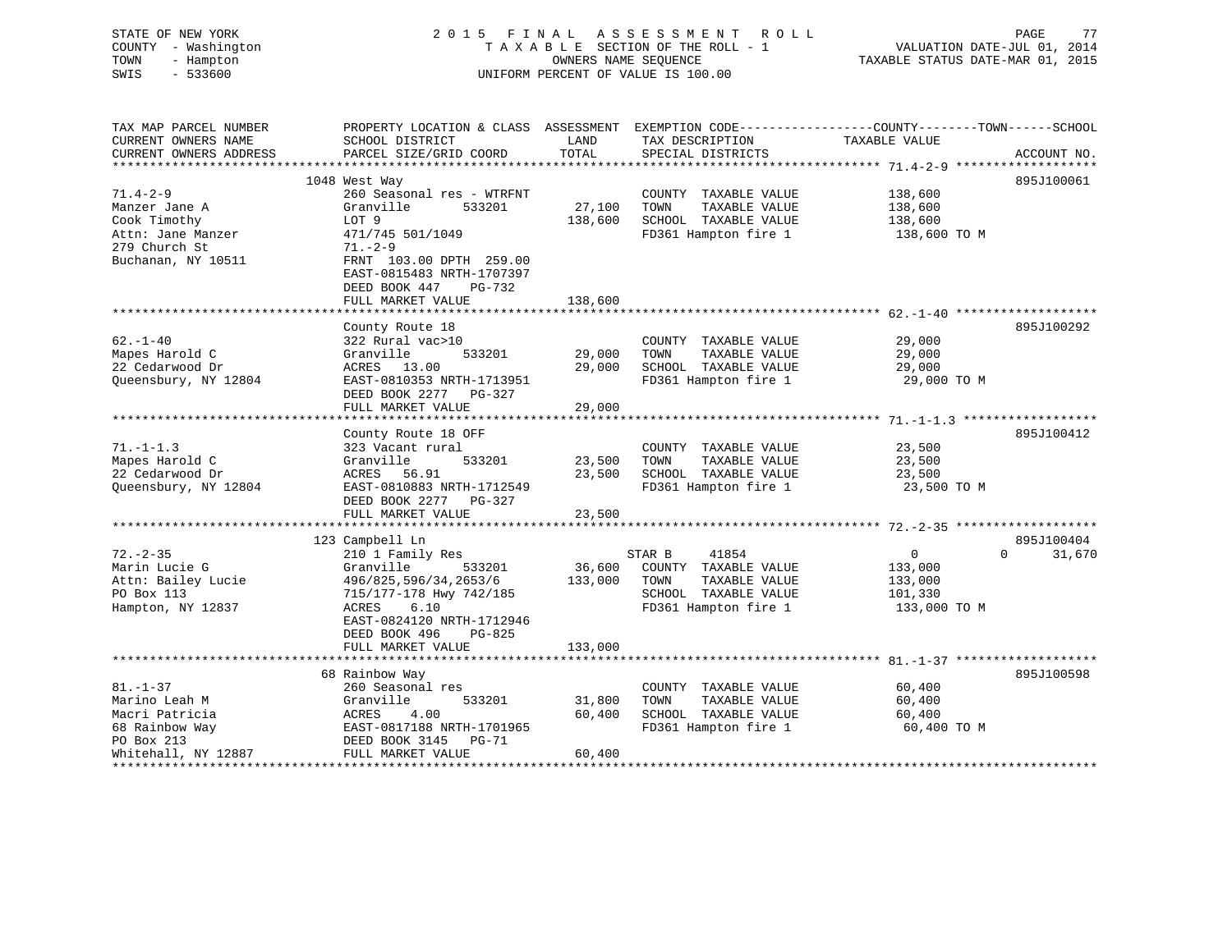| STATE OF NEW YORK<br>COUNTY - Washington<br>TOWN<br>- Hampton<br>$-533600$<br>SWIS | 2015 FINAL                                                                                                         | OWNERS NAME SEQUENCE | A S S E S S M E N T<br>R O L L<br>TAXABLE SECTION OF THE ROLL - 1<br>UNIFORM PERCENT OF VALUE IS 100.00 | VALUATION DATE-JUL 01, 2014<br>TAXABLE STATUS DATE-MAR 01, 2015 | PAGE<br>77  |
|------------------------------------------------------------------------------------|--------------------------------------------------------------------------------------------------------------------|----------------------|---------------------------------------------------------------------------------------------------------|-----------------------------------------------------------------|-------------|
| TAX MAP PARCEL NUMBER<br>CURRENT OWNERS NAME                                       | PROPERTY LOCATION & CLASS ASSESSMENT EXEMPTION CODE---------------COUNTY-------TOWN------SCHOOL<br>SCHOOL DISTRICT | LAND                 | TAX DESCRIPTION                                                                                         | TAXABLE VALUE                                                   |             |
| CURRENT OWNERS ADDRESS                                                             | PARCEL SIZE/GRID COORD                                                                                             | TOTAL                | SPECIAL DISTRICTS                                                                                       |                                                                 | ACCOUNT NO. |
|                                                                                    |                                                                                                                    |                      |                                                                                                         |                                                                 |             |
|                                                                                    | 1048 West Way                                                                                                      |                      |                                                                                                         |                                                                 | 895J100061  |
| $71.4 - 2 - 9$<br>Manzer Jane A                                                    | 260 Seasonal res - WTRFNT<br>Granville<br>533201                                                                   | 27,100               | COUNTY TAXABLE VALUE<br>TOWN<br>TAXABLE VALUE                                                           | 138,600<br>138,600                                              |             |
| Cook Timothy                                                                       | LOT 9                                                                                                              | 138,600              | SCHOOL TAXABLE VALUE                                                                                    | 138,600                                                         |             |
| Attn: Jane Manzer                                                                  | 471/745 501/1049                                                                                                   |                      | FD361 Hampton fire 1                                                                                    | 138,600 TO M                                                    |             |
| 279 Church St                                                                      | $71. - 2 - 9$                                                                                                      |                      |                                                                                                         |                                                                 |             |
| Buchanan, NY 10511                                                                 | FRNT 103.00 DPTH 259.00<br>EAST-0815483 NRTH-1707397<br>DEED BOOK 447<br>PG-732<br>FULL MARKET VALUE               | 138,600              |                                                                                                         |                                                                 |             |
|                                                                                    |                                                                                                                    |                      |                                                                                                         |                                                                 |             |
|                                                                                    | County Route 18                                                                                                    |                      |                                                                                                         |                                                                 | 895J100292  |
| $62. - 1 - 40$                                                                     | 322 Rural vac>10                                                                                                   |                      | COUNTY TAXABLE VALUE                                                                                    | 29,000                                                          |             |
| Mapes Harold C                                                                     | Granville<br>533201                                                                                                | 29,000               | TOWN<br>TAXABLE VALUE                                                                                   | 29,000                                                          |             |
| 22 Cedarwood Dr                                                                    | ACRES 13.00                                                                                                        | 29,000               | SCHOOL TAXABLE VALUE                                                                                    | 29,000                                                          |             |
| Queensbury, NY 12804                                                               | EAST-0810353 NRTH-1713951<br>DEED BOOK 2277 PG-327                                                                 |                      | FD361 Hampton fire 1                                                                                    | 29,000 TO M                                                     |             |
|                                                                                    | FULL MARKET VALUE                                                                                                  | 29,000               |                                                                                                         |                                                                 |             |
|                                                                                    | County Route 18 OFF                                                                                                |                      |                                                                                                         |                                                                 | 895J100412  |
| $71. - 1 - 1.3$                                                                    | 323 Vacant rural                                                                                                   |                      | COUNTY TAXABLE VALUE                                                                                    | 23,500                                                          |             |
| Mapes Harold C                                                                     | Granville<br>533201                                                                                                | 23,500               | TOWN<br>TAXABLE VALUE                                                                                   | 23,500                                                          |             |
| 22 Cedarwood Dr                                                                    | 56.91<br>ACRES                                                                                                     | 23,500               | SCHOOL TAXABLE VALUE                                                                                    | 23,500                                                          |             |
| Queensbury, NY 12804                                                               | EAST-0810883 NRTH-1712549<br>DEED BOOK 2277 PG-327                                                                 |                      | FD361 Hampton fire 1                                                                                    | 23,500 TO M                                                     |             |
|                                                                                    | FULL MARKET VALUE                                                                                                  | 23,500               |                                                                                                         |                                                                 |             |
|                                                                                    | 123 Campbell Ln                                                                                                    |                      |                                                                                                         |                                                                 | 895J100404  |
| $72. - 2 - 35$                                                                     | 210 1 Family Res                                                                                                   |                      | STAR B<br>41854                                                                                         | $\overline{0}$<br>$\Omega$                                      | 31,670      |
| Marin Lucie G                                                                      | 533201<br>Granville                                                                                                | 36,600               | COUNTY TAXABLE VALUE                                                                                    | 133,000                                                         |             |
| Attn: Bailey Lucie                                                                 | 496/825,596/34,2653/6                                                                                              | 133,000              | TAXABLE VALUE<br>TOWN                                                                                   | 133,000                                                         |             |
| PO Box 113                                                                         | 715/177-178 Hwy 742/185                                                                                            |                      | SCHOOL TAXABLE VALUE                                                                                    | 101,330                                                         |             |
| Hampton, NY 12837                                                                  | ACRES<br>6.10<br>EAST-0824120 NRTH-1712946<br>DEED BOOK 496<br>PG-825                                              |                      | FD361 Hampton fire 1                                                                                    | 133,000 TO M                                                    |             |
|                                                                                    | FULL MARKET VALUE                                                                                                  | 133,000              |                                                                                                         |                                                                 |             |
|                                                                                    | 68 Rainbow Way                                                                                                     |                      |                                                                                                         |                                                                 | 895J100598  |
| $81. - 1 - 37$                                                                     | 260 Seasonal res                                                                                                   |                      | COUNTY TAXABLE VALUE                                                                                    | 60,400                                                          |             |
| Marino Leah M                                                                      | Granville<br>533201                                                                                                | 31,800               | TOWN<br>TAXABLE VALUE                                                                                   | 60,400                                                          |             |
| Macri Patricia                                                                     | ACRES<br>4.00                                                                                                      | 60,400               | SCHOOL TAXABLE VALUE                                                                                    | 60,400                                                          |             |
| 68 Rainbow Way                                                                     | EAST-0817188 NRTH-1701965                                                                                          |                      | FD361 Hampton fire 1                                                                                    | 60,400 TO M                                                     |             |
| PO Box 213                                                                         | DEED BOOK 3145<br>PG-71                                                                                            |                      |                                                                                                         |                                                                 |             |

Whitehall, NY 12887 FULL MARKET VALUE 60,400 \*\*\*\*\*\*\*\*\*\*\*\*\*\*\*\*\*\*\*\*\*\*\*\*\*\*\*\*\*\*\*\*\*\*\*\*\*\*\*\*\*\*\*\*\*\*\*\*\*\*\*\*\*\*\*\*\*\*\*\*\*\*\*\*\*\*\*\*\*\*\*\*\*\*\*\*\*\*\*\*\*\*\*\*\*\*\*\*\*\*\*\*\*\*\*\*\*\*\*\*\*\*\*\*\*\*\*\*\*\*\*\*\*\*\*\*\*\*\*\*\*\*\*\*\*\*\*\*\*\*\*\*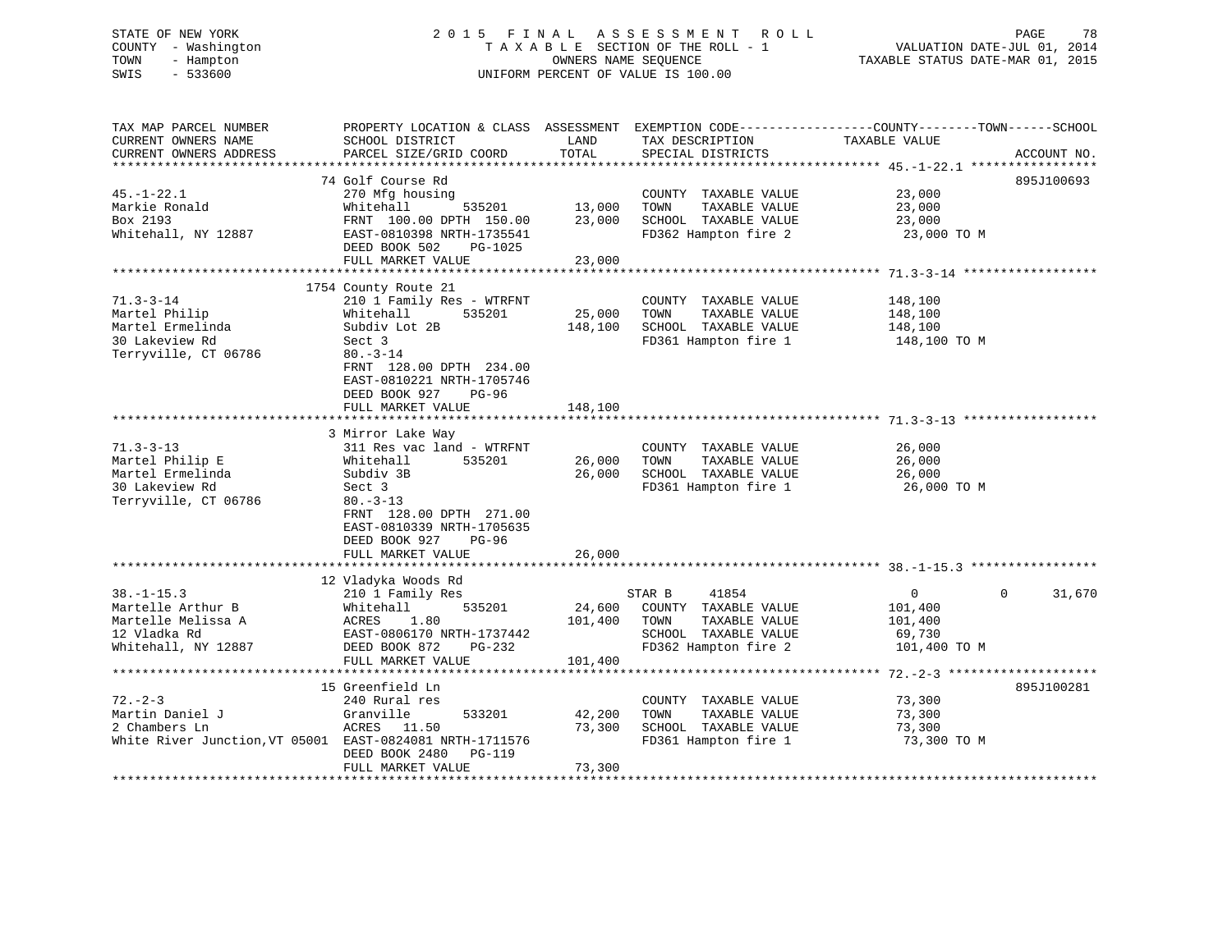# STATE OF NEW YORK 2 0 1 5 F I N A L A S S E S S M E N T R O L L PAGE 78 COUNTY - Washington T A X A B L E SECTION OF THE ROLL - 1 VALUATION DATE-JUL 01, 2014 TOWN - Hampton OWNERS NAME SEQUENCE TAXABLE STATUS DATE-MAR 01, 2015 SWIS - 533600 UNIFORM PERCENT OF VALUE IS 100.00

TAX MAP PARCEL NUMBER PROPERTY LOCATION & CLASS ASSESSMENT EXEMPTION CODE------------------COUNTY--------TOWN------SCHOOL CURRENT OWNERS NAME SCHOOL DISTRICT LAND TAX DESCRIPTION TAXABLE VALUE

| CURRENT OWNERS ADDRESS                                   | PARCEL SIZE/GRID COORD<br>*********************** | TOTAL<br>*********** | SPECIAL DISTRICTS<br>************************************** 45.-1-22.1 ****************** |                            | ACCOUNT NO. |
|----------------------------------------------------------|---------------------------------------------------|----------------------|-------------------------------------------------------------------------------------------|----------------------------|-------------|
|                                                          | 74 Golf Course Rd                                 |                      |                                                                                           |                            | 895J100693  |
| $45. - 1 - 22.1$                                         | 270 Mfg housing                                   |                      | COUNTY TAXABLE VALUE                                                                      | 23,000                     |             |
| Markie Ronald                                            | Whitehall<br>535201                               | 13,000               | TOWN<br>TAXABLE VALUE                                                                     | 23,000                     |             |
| Box 2193                                                 | FRNT 100.00 DPTH 150.00                           | 23,000               | SCHOOL TAXABLE VALUE                                                                      | 23,000                     |             |
| Whitehall, NY 12887                                      | EAST-0810398 NRTH-1735541                         |                      | FD362 Hampton fire 2                                                                      | 23,000 TO M                |             |
|                                                          | DEED BOOK 502<br>PG-1025                          |                      |                                                                                           |                            |             |
|                                                          | FULL MARKET VALUE                                 | 23,000               |                                                                                           |                            |             |
|                                                          |                                                   |                      |                                                                                           |                            |             |
|                                                          | 1754 County Route 21                              |                      |                                                                                           |                            |             |
| $71.3 - 3 - 14$                                          | 210 1 Family Res - WTRFNT                         |                      | COUNTY TAXABLE VALUE                                                                      | 148,100                    |             |
| Martel Philip                                            | Whitehall<br>535201                               | 25,000               | TAXABLE VALUE<br>TOWN                                                                     | 148,100                    |             |
| Martel Ermelinda                                         | Subdiv Lot 2B                                     | 148,100              | SCHOOL TAXABLE VALUE                                                                      | 148,100                    |             |
| 30 Lakeview Rd                                           | Sect 3                                            |                      | FD361 Hampton fire 1                                                                      | 148,100 TO M               |             |
| Terryville, CT 06786                                     | $80. - 3 - 14$                                    |                      |                                                                                           |                            |             |
|                                                          | FRNT 128.00 DPTH 234.00                           |                      |                                                                                           |                            |             |
|                                                          | EAST-0810221 NRTH-1705746                         |                      |                                                                                           |                            |             |
|                                                          | DEED BOOK 927<br>$PG-96$                          |                      |                                                                                           |                            |             |
|                                                          | FULL MARKET VALUE                                 | 148,100              |                                                                                           |                            |             |
|                                                          |                                                   |                      |                                                                                           |                            |             |
|                                                          | 3 Mirror Lake Way                                 |                      |                                                                                           |                            |             |
| $71.3 - 3 - 13$                                          | 311 Res vac land - WTRFNT                         |                      | COUNTY TAXABLE VALUE                                                                      | 26,000                     |             |
| Martel Philip E                                          | Whitehall<br>535201                               | 26,000               | TOWN<br>TAXABLE VALUE                                                                     | 26,000                     |             |
| Martel Ermelinda                                         | Subdiv 3B                                         | 26,000               | SCHOOL TAXABLE VALUE                                                                      | 26,000                     |             |
| 30 Lakeview Rd                                           | Sect 3                                            |                      | FD361 Hampton fire 1                                                                      | 26,000 TO M                |             |
| Terryville, CT 06786                                     | $80. - 3 - 13$<br>FRNT 128.00 DPTH 271.00         |                      |                                                                                           |                            |             |
|                                                          | EAST-0810339 NRTH-1705635                         |                      |                                                                                           |                            |             |
|                                                          | DEED BOOK 927<br>$PG-96$                          |                      |                                                                                           |                            |             |
|                                                          | FULL MARKET VALUE                                 | 26,000               |                                                                                           |                            |             |
|                                                          |                                                   |                      |                                                                                           |                            |             |
|                                                          | 12 Vladyka Woods Rd                               |                      |                                                                                           |                            |             |
| $38. - 1 - 15.3$                                         | 210 1 Family Res                                  |                      | 41854<br>STAR B                                                                           | $\mathbf 0$<br>$\mathbf 0$ | 31,670      |
| Martelle Arthur B                                        | Whitehall<br>535201                               | 24,600               | COUNTY TAXABLE VALUE                                                                      | 101,400                    |             |
| Martelle Melissa A                                       | 1.80<br>ACRES                                     | 101,400              | TAXABLE VALUE<br>TOWN                                                                     | 101,400                    |             |
| 12 Vladka Rd                                             | EAST-0806170 NRTH-1737442                         |                      | SCHOOL TAXABLE VALUE                                                                      | 69,730                     |             |
| Whitehall, NY 12887                                      | DEED BOOK 872<br>$PG-232$                         |                      | FD362 Hampton fire 2                                                                      | 101,400 TO M               |             |
|                                                          | FULL MARKET VALUE                                 | 101,400              |                                                                                           |                            |             |
|                                                          |                                                   |                      |                                                                                           |                            |             |
|                                                          | 15 Greenfield Ln                                  |                      |                                                                                           |                            | 895J100281  |
| $72. - 2 - 3$                                            | 240 Rural res                                     |                      | COUNTY TAXABLE VALUE                                                                      | 73,300                     |             |
| Martin Daniel J                                          | Granville<br>533201                               | 42,200               | TOWN<br>TAXABLE VALUE                                                                     | 73,300                     |             |
| 2 Chambers Ln                                            | ACRES<br>11.50                                    | 73,300               | SCHOOL TAXABLE VALUE                                                                      | 73,300                     |             |
| White River Junction, VT 05001 EAST-0824081 NRTH-1711576 |                                                   |                      | FD361 Hampton fire 1                                                                      | 73,300 TO M                |             |
|                                                          | DEED BOOK 2480<br><b>PG-119</b>                   |                      |                                                                                           |                            |             |
|                                                          | FULL MARKET VALUE                                 | 73,300               |                                                                                           |                            |             |
|                                                          |                                                   |                      |                                                                                           |                            |             |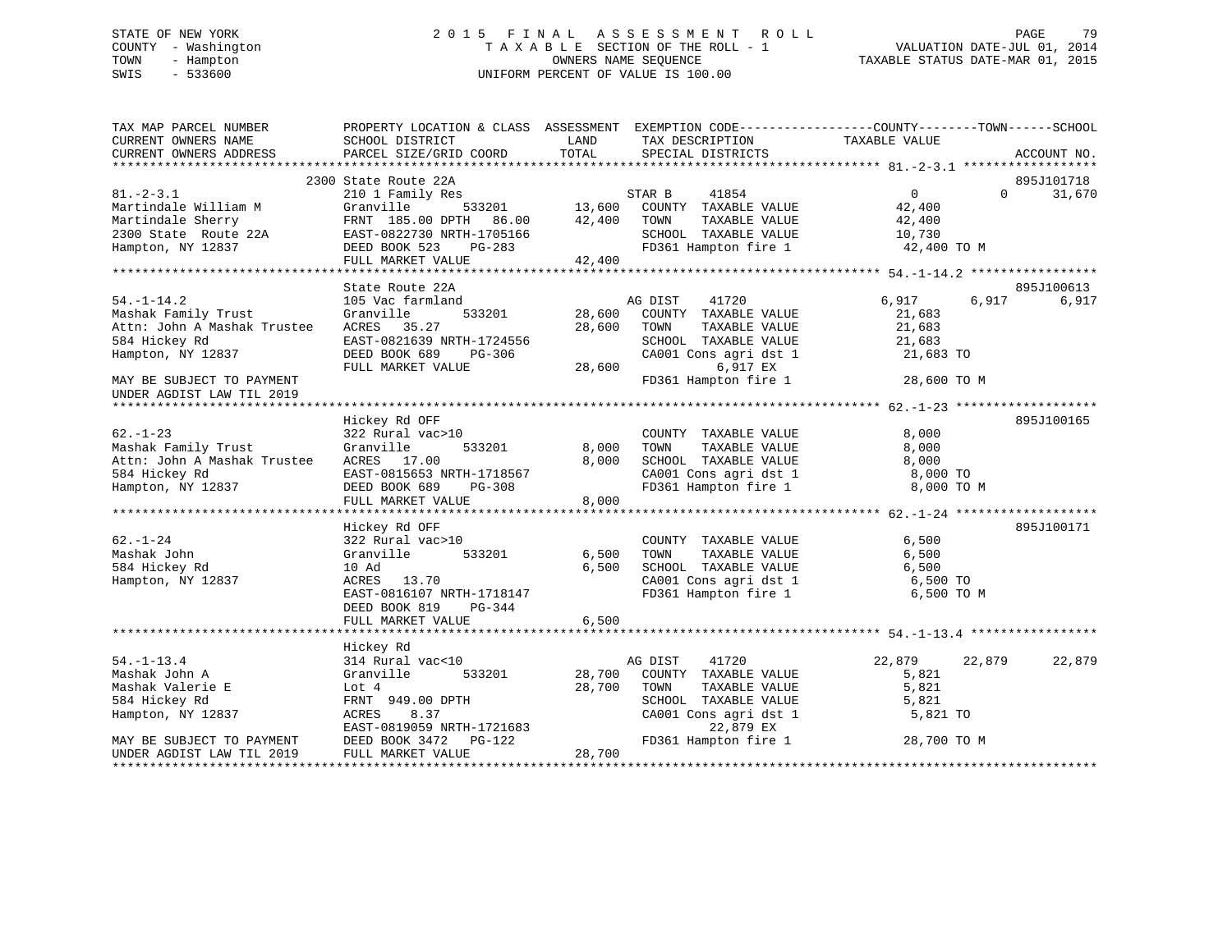# STATE OF NEW YORK 2 0 1 5 F I N A L A S S E S S M E N T R O L L PAGE 79 COUNTY - Washington T A X A B L E SECTION OF THE ROLL - 1 VALUATION DATE-JUL 01, 2014 TOWN - Hampton OWNERS NAME SEQUENCE TAXABLE STATUS DATE-MAR 01, 2015 SWIS - 533600 UNIFORM PERCENT OF VALUE IS 100.00

| TAX MAP PARCEL NUMBER<br>CURRENT OWNERS NAME<br>CURRENT OWNERS ADDRESS                                                                                                                              | PROPERTY LOCATION & CLASS ASSESSMENT EXEMPTION CODE----------------COUNTY-------TOWN-----SCHOOL<br>SCHOOL DISTRICT<br>PARCEL SIZE/GRID COORD | LAND<br>TOTAL | TAX DESCRIPTION<br>SPECIAL DISTRICTS                                                                  | TAXABLE VALUE    | ACCOUNT NO. |        |
|-----------------------------------------------------------------------------------------------------------------------------------------------------------------------------------------------------|----------------------------------------------------------------------------------------------------------------------------------------------|---------------|-------------------------------------------------------------------------------------------------------|------------------|-------------|--------|
|                                                                                                                                                                                                     |                                                                                                                                              |               |                                                                                                       |                  |             |        |
|                                                                                                                                                                                                     | 2300 State Route 22A                                                                                                                         |               | 3<br>533201 13,600 COUNTY TAXABLE VALUE<br>13,600 COUNTY TAXABLE VALUE<br>12,40400 TOWN TAXABLE VALUE |                  | 895J101718  |        |
| $81. -2 - 3.1$                                                                                                                                                                                      | 210 1 Family Res                                                                                                                             |               |                                                                                                       | $\overline{0}$   | $\Omega$    | 31,670 |
| Martindale William M                                                                                                                                                                                | Granville                                                                                                                                    |               |                                                                                                       | 42,400           |             |        |
|                                                                                                                                                                                                     |                                                                                                                                              |               | SCHOOL TAXABLE VALUE                                                                                  | 42,400<br>10,730 |             |        |
|                                                                                                                                                                                                     |                                                                                                                                              |               | FD361 Hampton fire 1                                                                                  | 42,400 TO M      |             |        |
| Martindale Sherry FRNT 185.00 DPTH 86.00 42,400 TOWN<br>2300 State Route 22A EAST-0822730 NRTH-1705166 SCHOOL<br>Hampton, NY 12837 DEED BOOK 523 PG-283 FD361 H<br>FULL MARKET VALUE 42,400 PD361 H |                                                                                                                                              |               |                                                                                                       |                  |             |        |
|                                                                                                                                                                                                     |                                                                                                                                              |               |                                                                                                       |                  |             |        |
|                                                                                                                                                                                                     | State Route 22A                                                                                                                              |               |                                                                                                       |                  | 895J100613  |        |
| $54. - 1 - 14.2$                                                                                                                                                                                    | 105 Vac farmland                                                                                                                             |               | AG DIST 41720                                                                                         | 6,917            | 6,917       | 6,917  |
| Mashak Family Trust                                                                                                                                                                                 | 533201<br>Granville                                                                                                                          | 28,600        | COUNTY TAXABLE VALUE                                                                                  | 21,683           |             |        |
| Attn: John A Mashak Trustee                                                                                                                                                                         | ACRES 35.27                                                                                                                                  |               | 28,600 TOWN<br>TAXABLE VALUE                                                                          | 21,683           |             |        |
| 584 Hickey Rd                                                                                                                                                                                       | EAST-0821639 NRTH-1724556                                                                                                                    |               | SCHOOL TAXABLE VALUE                                                                                  | 21,683           |             |        |
| Hampton, NY 12837                                                                                                                                                                                   | DEED BOOK 689<br>PG-306                                                                                                                      |               | CA001 Cons agri dst 1                                                                                 | 21,683 TO        |             |        |
|                                                                                                                                                                                                     | FULL MARKET VALUE                                                                                                                            |               | 28,600<br>6,917 EX                                                                                    |                  |             |        |
| MAY BE SUBJECT TO PAYMENT                                                                                                                                                                           |                                                                                                                                              |               | FD361 Hampton fire 1                                                                                  | 28,600 TO M      |             |        |
| UNDER AGDIST LAW TIL 2019                                                                                                                                                                           |                                                                                                                                              |               |                                                                                                       |                  |             |        |
|                                                                                                                                                                                                     |                                                                                                                                              |               |                                                                                                       |                  |             |        |
|                                                                                                                                                                                                     | Hickey Rd OFF                                                                                                                                |               |                                                                                                       |                  | 895J100165  |        |
| $62. - 1 - 23$                                                                                                                                                                                      | 322 Rural vac>10                                                                                                                             |               | COUNTY TAXABLE VALUE                                                                                  | 8,000            |             |        |
| Mashak Family Trust                                                                                                                                                                                 | Granville<br>533201                                                                                                                          | 8,000         | TAXABLE VALUE<br>TOWN                                                                                 | 8,000            |             |        |
| Attn: John A Mashak Trustee                                                                                                                                                                         | ACRES 17.00                                                                                                                                  | 8,000         | SCHOOL TAXABLE VALUE                                                                                  | 8,000            |             |        |
| 584 Hickey Rd                                                                                                                                                                                       | EAST-0815653 NRTH-1718567                                                                                                                    |               | CA001 Cons agri dst 1<br>FD361 Hampton fire 1                                                         | 8,000 TO         |             |        |
| Hampton, NY 12837                                                                                                                                                                                   | DEED BOOK 689<br>PG-308                                                                                                                      |               |                                                                                                       | 8,000 TO M       |             |        |
|                                                                                                                                                                                                     | FULL MARKET VALUE                                                                                                                            | 8,000         |                                                                                                       |                  |             |        |
|                                                                                                                                                                                                     | Hickey Rd OFF                                                                                                                                |               |                                                                                                       |                  | 895J100171  |        |
| $62. - 1 - 24$                                                                                                                                                                                      | 322 Rural vac>10                                                                                                                             |               | COUNTY TAXABLE VALUE                                                                                  | 6,500            |             |        |
| Mashak John                                                                                                                                                                                         | Granville<br>533201                                                                                                                          | 6,500         | TOWN<br>TAXABLE VALUE                                                                                 | 6,500            |             |        |
| 584 Hickey Rd                                                                                                                                                                                       | 10 Ad                                                                                                                                        | 6,500         | TOWN      TAXABLE VALUE<br>SCHOOL   TAXABLE VALUE                                                     | 6,500            |             |        |
| Hampton, NY 12837                                                                                                                                                                                   | ACRES 13.70                                                                                                                                  |               |                                                                                                       | 6,500 TO         |             |        |
|                                                                                                                                                                                                     | EAST-0816107 NRTH-1718147                                                                                                                    |               | CA001 Cons agri dst 1<br>FD361 Hampton fire 1                                                         | 6,500 TO M       |             |        |
|                                                                                                                                                                                                     | DEED BOOK 819 PG-344                                                                                                                         |               |                                                                                                       |                  |             |        |
|                                                                                                                                                                                                     | FULL MARKET VALUE                                                                                                                            | 6,500         |                                                                                                       |                  |             |        |
|                                                                                                                                                                                                     |                                                                                                                                              |               |                                                                                                       |                  |             |        |
|                                                                                                                                                                                                     | Hickey Rd                                                                                                                                    |               |                                                                                                       |                  |             |        |
| $54. - 1 - 13.4$                                                                                                                                                                                    | 314 Rural vac<10                                                                                                                             |               | AG DIST<br>41720                                                                                      | 22,879 22,879    |             | 22,879 |
| Mashak John A                                                                                                                                                                                       | Granville<br>533201                                                                                                                          |               | 28,700 COUNTY TAXABLE VALUE                                                                           | 5,821            |             |        |
| Mashak Valerie E                                                                                                                                                                                    | Lot 4                                                                                                                                        | 28,700        | TAXABLE VALUE<br>TOWN                                                                                 | 5,821            |             |        |
| 584 Hickey Rd                                                                                                                                                                                       | FRNT 949.00 DPTH                                                                                                                             |               | SCHOOL TAXABLE VALUE                                                                                  | 5,821            |             |        |
| Hampton, NY 12837                                                                                                                                                                                   | ACRES<br>8.37                                                                                                                                |               | SCHOOL TAXABLE VALUE<br>CA001 Cons agri dst 1                                                         | 5,821 TO         |             |        |
|                                                                                                                                                                                                     | EAST-0819059 NRTH-1721683                                                                                                                    |               | 22,879 EX                                                                                             |                  |             |        |
| MAY BE SUBJECT TO PAYMENT                                                                                                                                                                           | DEED BOOK 3472 PG-122                                                                                                                        |               | FD361 Hampton fire 1                                                                                  | 28,700 TO M      |             |        |
| UNDER AGDIST LAW TIL 2019                                                                                                                                                                           | FULL MARKET VALUE                                                                                                                            | 28,700        |                                                                                                       |                  |             |        |
| *********************                                                                                                                                                                               |                                                                                                                                              |               |                                                                                                       |                  |             |        |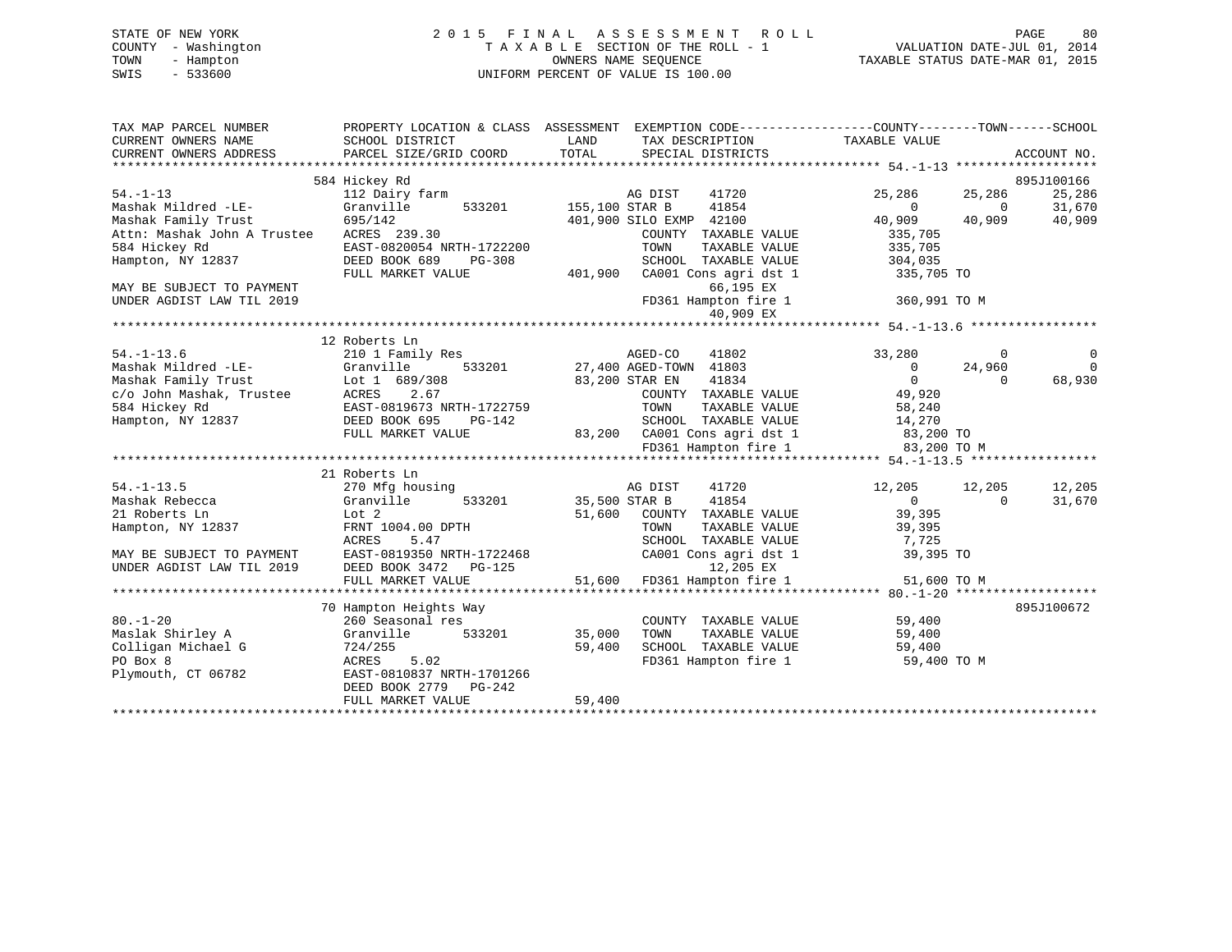# STATE OF NEW YORK 2 0 1 5 F I N A L A S S E S S M E N T R O L L PAGE 80 COUNTY - Washington T A X A B L E SECTION OF THE ROLL - 1 VALUATION DATE-JUL 01, 2014 TOWN - Hampton OWNERS NAME SEQUENCE TAXABLE STATUS DATE-MAR 01, 2015 SWIS - 533600 UNIFORM PERCENT OF VALUE IS 100.00

| 584 Hickey Rd<br>$54. -1 - 13$<br>41720<br>112 Dairy farm<br>AG DIST<br>25,286<br>25,286                                                                             | 895J100166<br>25,286<br>31,670<br>40,909 |
|----------------------------------------------------------------------------------------------------------------------------------------------------------------------|------------------------------------------|
|                                                                                                                                                                      |                                          |
|                                                                                                                                                                      |                                          |
| 41854<br>Mashak Mildred -LE-<br>Granville<br>533201 155,100 STAR B<br>$\Omega$<br>$\overline{0}$                                                                     |                                          |
| 695/142<br>Mashak Family Trust<br>401,900 SILO EXMP 42100<br>40,909<br>40,909                                                                                        |                                          |
| ACRES 239.30<br>Attn: Mashak John A Trustee<br>COUNTY TAXABLE VALUE<br>335,705                                                                                       |                                          |
| 584 Hickey Rd<br>EAST-0820054 NRTH-1722200<br>TOWN<br>TAXABLE VALUE<br>335,705                                                                                       |                                          |
| Hampton, NY 12837<br>DEED BOOK 689<br>SCHOOL TAXABLE VALUE<br>304,035<br>PG-308                                                                                      |                                          |
| 401,900                                                                                                                                                              |                                          |
| CA001 Cons agri dst 1<br>FULL MARKET VALUE<br>335,705 TO<br>66,195 EX                                                                                                |                                          |
| MAY BE SUBJECT TO PAYMENT                                                                                                                                            |                                          |
| FD361 Hampton fire 1<br>UNDER AGDIST LAW TIL 2019<br>360,991 TO M<br>40,909 EX                                                                                       |                                          |
|                                                                                                                                                                      |                                          |
|                                                                                                                                                                      |                                          |
| 12 Roberts Ln<br>$54. - 1 - 13.6$<br>41802<br>33,280<br>210 1 Family Res                                                                                             |                                          |
| AGED-CO<br>$\mathbf{0}$<br>Mashak Mildred -LE-                                                                                                                       | 0<br>$\Omega$                            |
| 533201 27,400 AGED-TOWN 41803<br>Granville<br>$\overline{0}$<br>24,960<br>41834<br>$\overline{0}$<br>$\Omega$                                                        | 68,930                                   |
| Lot 1 689/308<br>83,200 STAR EN<br>Community Trust<br>Cot 1 Cot 1<br>Cot 1 Accres 584 Hickey Rd<br>Hampton, NY 12837<br>2.67                                         |                                          |
| 49,920<br>COUNTY TAXABLE VALUE                                                                                                                                       |                                          |
| EAST-0819673 NRTH-1722759<br>TOWN<br>TAXABLE VALUE<br>58,240                                                                                                         |                                          |
| SCHOOL TAXABLE VALUE<br>DEED BOOK 695<br>14,270<br>PG-142<br>SCHOOL TAXABLE VALUE 14,270<br>83,200 CA001 Cons agri dst 1 83,200 TO<br>FD361 Hampton fire 1 83,200 TO |                                          |
| FULL MARKET VALUE                                                                                                                                                    |                                          |
| 83,200 TO M                                                                                                                                                          |                                          |
|                                                                                                                                                                      |                                          |
| 21 Roberts Ln                                                                                                                                                        |                                          |
| $54. - 1 - 13.5$<br>270 Mfg housing<br>AG DIST<br>41720<br>12,205<br>12,205<br>$\Omega$                                                                              | 12,205                                   |
| 533201<br>41854<br>Mashak Rebecca<br>Granville<br>35,500 STAR B<br>$\overline{0}$<br>Lot 2                                                                           | 31,670                                   |
| 39,395<br>21 Roberts Ln<br>51,600<br>COUNTY TAXABLE VALUE                                                                                                            |                                          |
| Hampton, NY 12837<br>FRNT 1004.00 DPTH<br>TOWN<br>TAXABLE VALUE<br>39,395                                                                                            |                                          |
| SCHOOL TAXABLE VALUE<br>ACRES<br>5.47<br>7,725<br>EAST-0819350 NRTH-1722468<br>MAY BE SUBJECT TO PAYMENT<br>CA001 Cons agri dst 1<br>39,395 TO                       |                                          |
| UNDER AGDIST LAW TIL 2019<br>12,205 EX                                                                                                                               |                                          |
| DEED BOOK 3472 PG-125                                                                                                                                                |                                          |
| 51,600<br>FD361 Hampton fire 1<br>51,600 TO M<br>FULL MARKET VALUE                                                                                                   |                                          |
|                                                                                                                                                                      |                                          |
| 70 Hampton Heights Way                                                                                                                                               | 895J100672                               |
| $80. - 1 - 20$<br>260 Seasonal res<br>COUNTY TAXABLE VALUE<br>59,400                                                                                                 |                                          |
| 59,400<br>Maslak Shirley A<br>Granville<br>533201<br>35,000<br>TOWN<br>TAXABLE VALUE                                                                                 |                                          |
| Colligan Michael G<br>59,400<br>SCHOOL TAXABLE VALUE<br>724/255<br>59,400                                                                                            |                                          |
| PO Box 8<br>5.02<br>FD361 Hampton fire 1<br>ACRES<br>59,400 TO M                                                                                                     |                                          |
| EAST-0810837 NRTH-1701266<br>Plymouth, CT 06782<br>DEED BOOK 2779 PG-242                                                                                             |                                          |
| 59,400<br>FULL MARKET VALUE                                                                                                                                          |                                          |
|                                                                                                                                                                      |                                          |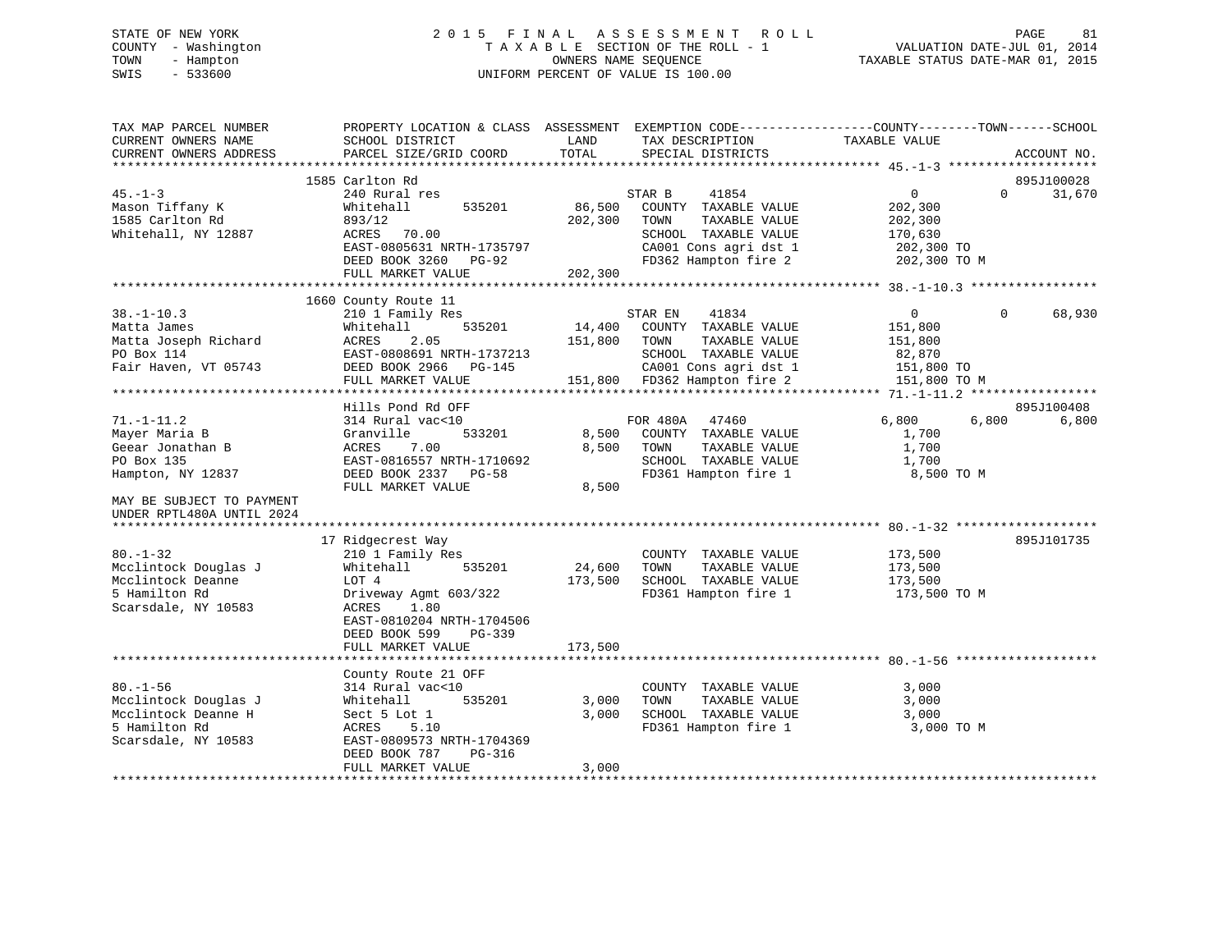# STATE OF NEW YORK 2 0 1 5 F I N A L A S S E S S M E N T R O L L PAGE 81 COUNTY - Washington T A X A B L E SECTION OF THE ROLL - 1 VALUATION DATE-JUL 01, 2014 TOWN - Hampton OWNERS NAME SEQUENCE TAXABLE STATUS DATE-MAR 01, 2015 SWIS - 533600 UNIFORM PERCENT OF VALUE IS 100.00

| TAX MAP PARCEL NUMBER<br>CURRENT OWNERS NAME<br>CURRENT OWNERS ADDRESS | PROPERTY LOCATION & CLASS ASSESSMENT<br>SCHOOL DISTRICT<br>PARCEL SIZE/GRID COORD | LAND<br>TOTAL | EXEMPTION CODE-----------------COUNTY-------TOWN------SCHOOL<br>TAX DESCRIPTION<br>SPECIAL DISTRICTS | TAXABLE VALUE                           |          | ACCOUNT NO. |
|------------------------------------------------------------------------|-----------------------------------------------------------------------------------|---------------|------------------------------------------------------------------------------------------------------|-----------------------------------------|----------|-------------|
| *********************                                                  |                                                                                   |               |                                                                                                      |                                         |          |             |
|                                                                        | 1585 Carlton Rd                                                                   |               |                                                                                                      |                                         |          | 895J100028  |
| $45. - 1 - 3$                                                          | 240 Rural res                                                                     |               | 41854<br>STAR B                                                                                      | $\overline{0}$                          | $\Omega$ | 31,670      |
| Mason Tiffany K                                                        | Whitehall<br>535201                                                               | 86,500        | COUNTY TAXABLE VALUE                                                                                 | 202,300                                 |          |             |
| 1585 Carlton Rd                                                        | 893/12                                                                            | 202,300       | TOWN<br>TAXABLE VALUE                                                                                | 202,300                                 |          |             |
| Whitehall, NY 12887                                                    | ACRES<br>70.00                                                                    |               | SCHOOL TAXABLE VALUE                                                                                 | 170,630                                 |          |             |
|                                                                        | EAST-0805631 NRTH-1735797                                                         |               | CA001 Cons agri dst 1                                                                                | 202,300 TO                              |          |             |
|                                                                        | DEED BOOK 3260<br>PG-92                                                           |               | FD362 Hampton fire 2                                                                                 | 202,300 TO M                            |          |             |
|                                                                        | FULL MARKET VALUE<br>****************************                                 | 202,300       |                                                                                                      |                                         |          |             |
|                                                                        | 1660 County Route 11                                                              |               |                                                                                                      |                                         |          |             |
| $38. - 1 - 10.3$                                                       | 210 1 Family Res                                                                  |               | STAR EN<br>41834                                                                                     | $\mathbf{0}$                            | $\Omega$ | 68,930      |
| Matta James                                                            | Whitehall<br>535201                                                               | 14,400        | COUNTY TAXABLE VALUE                                                                                 | 151,800                                 |          |             |
| Matta Joseph Richard                                                   | 2.05<br>ACRES                                                                     | 151,800       | TOWN<br>TAXABLE VALUE                                                                                | 151,800                                 |          |             |
| PO Box 114                                                             | EAST-0808691 NRTH-1737213                                                         |               | SCHOOL TAXABLE VALUE                                                                                 | 82,870                                  |          |             |
| Fair Haven, VT 05743                                                   | DEED BOOK 2966<br>PG-145                                                          |               | CA001 Cons agri dst 1                                                                                | 151,800 TO                              |          |             |
|                                                                        | FULL MARKET VALUE                                                                 |               | 151,800 FD362 Hampton fire 2                                                                         | 151,800 TO M                            |          |             |
|                                                                        |                                                                                   |               |                                                                                                      | ********* 71.-1-11.2 ****************** |          |             |
|                                                                        | Hills Pond Rd OFF                                                                 |               |                                                                                                      |                                         |          | 895J100408  |
| $71. - 1 - 11.2$                                                       | 314 Rural vac<10                                                                  |               | FOR 480A<br>47460                                                                                    | 6,800                                   | 6,800    | 6,800       |
| Mayer Maria B                                                          | Granville<br>533201                                                               | 8,500         | COUNTY TAXABLE VALUE                                                                                 | 1,700                                   |          |             |
| Geear Jonathan B                                                       | 7.00<br>ACRES                                                                     | 8,500         | TAXABLE VALUE<br>TOWN                                                                                | 1,700                                   |          |             |
| PO Box 135                                                             | EAST-0816557 NRTH-1710692                                                         |               | SCHOOL TAXABLE VALUE                                                                                 | 1,700                                   |          |             |
| Hampton, NY 12837                                                      | DEED BOOK 2337 PG-58                                                              |               | FD361 Hampton fire 1                                                                                 | 8,500 TO M                              |          |             |
|                                                                        | FULL MARKET VALUE                                                                 | 8,500         |                                                                                                      |                                         |          |             |
| MAY BE SUBJECT TO PAYMENT                                              |                                                                                   |               |                                                                                                      |                                         |          |             |
| UNDER RPTL480A UNTIL 2024                                              |                                                                                   |               |                                                                                                      |                                         |          |             |
| ***************************                                            |                                                                                   |               |                                                                                                      |                                         |          |             |
|                                                                        | 17 Ridgecrest Way                                                                 |               |                                                                                                      |                                         |          | 895J101735  |
| $80. - 1 - 32$                                                         | 210 1 Family Res                                                                  |               | COUNTY TAXABLE VALUE                                                                                 | 173,500                                 |          |             |
| Mcclintock Douglas J                                                   | Whitehall<br>535201                                                               | 24,600        | TOWN<br>TAXABLE VALUE                                                                                | 173,500                                 |          |             |
| Mcclintock Deanne                                                      | LOT 4                                                                             | 173,500       | SCHOOL TAXABLE VALUE                                                                                 | 173,500                                 |          |             |
| 5 Hamilton Rd                                                          | Driveway Agmt 603/322                                                             |               | FD361 Hampton fire 1                                                                                 | 173,500 TO M                            |          |             |
| Scarsdale, NY 10583                                                    | ACRES<br>1.80                                                                     |               |                                                                                                      |                                         |          |             |
|                                                                        | EAST-0810204 NRTH-1704506                                                         |               |                                                                                                      |                                         |          |             |
|                                                                        | DEED BOOK 599<br>$PG-339$                                                         |               |                                                                                                      |                                         |          |             |
|                                                                        | FULL MARKET VALUE                                                                 | 173,500       |                                                                                                      |                                         |          |             |
|                                                                        |                                                                                   |               |                                                                                                      |                                         |          |             |
|                                                                        | County Route 21 OFF                                                               |               |                                                                                                      |                                         |          |             |
| $80. - 1 - 56$                                                         | 314 Rural vac<10                                                                  |               | COUNTY TAXABLE VALUE                                                                                 | 3,000                                   |          |             |
| Mcclintock Douglas J                                                   | 535201<br>Whitehall                                                               | 3,000         | TOWN<br>TAXABLE VALUE                                                                                | 3,000                                   |          |             |
| Mcclintock Deanne H                                                    | Sect 5 Lot 1                                                                      | 3,000         | SCHOOL TAXABLE VALUE                                                                                 | 3,000                                   |          |             |
| 5 Hamilton Rd                                                          | 5.10<br>ACRES                                                                     |               | FD361 Hampton fire 1                                                                                 | 3,000 TO M                              |          |             |
| Scarsdale, NY 10583                                                    | EAST-0809573 NRTH-1704369                                                         |               |                                                                                                      |                                         |          |             |
|                                                                        | DEED BOOK 787<br>$PG-316$                                                         |               |                                                                                                      |                                         |          |             |
|                                                                        | FULL MARKET VALUE                                                                 | 3,000         |                                                                                                      |                                         |          |             |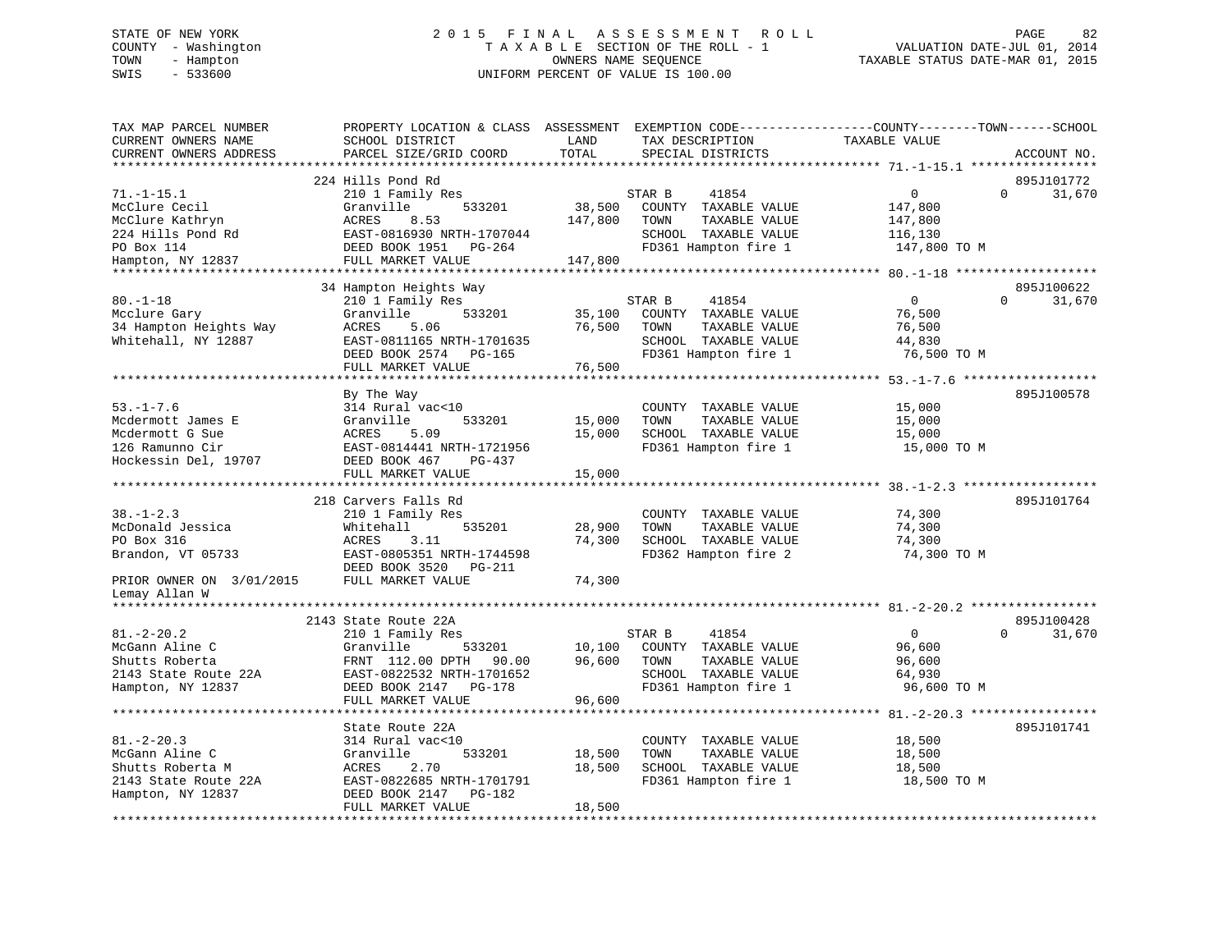# STATE OF NEW YORK 2 0 1 5 F I N A L A S S E S S M E N T R O L L PAGE 82 COUNTY - Washington T A X A B L E SECTION OF THE ROLL - 1 VALUATION DATE-JUL 01, 2014 TOWN - Hampton OWNERS NAME SEQUENCE TAXABLE STATUS DATE-MAR 01, 2015 SWIS - 533600 UNIFORM PERCENT OF VALUE IS 100.00UNIFORM PERCENT OF VALUE IS 100.00

| TAX MAP PARCEL NUMBER<br>CURRENT OWNERS NAME<br>CURRENT OWNERS ADDRESS                              | PROPERTY LOCATION & CLASS ASSESSMENT<br>SCHOOL DISTRICT<br>PARCEL SIZE/GRID COORD                                                        | LAND<br>TOTAL              | EXEMPTION CODE-----------------COUNTY-------TOWN------SCHOOL<br>TAX DESCRIPTION<br>SPECIAL DISTRICTS             | TAXABLE VALUE                                             | ACCOUNT NO.                      |
|-----------------------------------------------------------------------------------------------------|------------------------------------------------------------------------------------------------------------------------------------------|----------------------------|------------------------------------------------------------------------------------------------------------------|-----------------------------------------------------------|----------------------------------|
| ********************                                                                                | **************************                                                                                                               |                            |                                                                                                                  |                                                           |                                  |
| $71. - 1 - 15.1$<br>McClure Cecil<br>McClure Kathryn<br>224 Hills Pond Rd<br>PO Box 114             | 224 Hills Pond Rd<br>210 1 Family Res<br>Granville<br>533201<br>ACRES<br>8.53<br>EAST-0816930 NRTH-1707044<br>DEED BOOK 1951<br>PG-264   | 38,500<br>147,800          | STAR B<br>41854<br>COUNTY TAXABLE VALUE<br>TOWN<br>TAXABLE VALUE<br>SCHOOL TAXABLE VALUE<br>FD361 Hampton fire 1 | 0<br>147,800<br>147,800<br>116,130<br>147,800 TO M        | 895J101772<br>$\Omega$<br>31,670 |
| Hampton, NY 12837                                                                                   | FULL MARKET VALUE                                                                                                                        | 147,800                    |                                                                                                                  |                                                           |                                  |
|                                                                                                     | ************************                                                                                                                 |                            |                                                                                                                  | ******** 80.-1-18                                         |                                  |
| $80. - 1 - 18$<br>Mcclure Gary<br>34 Hampton Heights Way<br>Whitehall, NY 12887                     | 34 Hampton Heights Way<br>210 1 Family Res<br>533201<br>Granville<br>ACRES<br>5.06<br>EAST-0811165 NRTH-1701635<br>DEED BOOK 2574 PG-165 | 35,100<br>76,500           | 41854<br>STAR B<br>COUNTY TAXABLE VALUE<br>TOWN<br>TAXABLE VALUE<br>SCHOOL TAXABLE VALUE<br>FD361 Hampton fire 1 | $\mathbf{0}$<br>76,500<br>76,500<br>44,830<br>76,500 TO M | 895J100622<br>31,670<br>$\Omega$ |
|                                                                                                     | FULL MARKET VALUE                                                                                                                        | 76,500                     |                                                                                                                  |                                                           |                                  |
|                                                                                                     | ****************************<br>By The Way                                                                                               |                            |                                                                                                                  |                                                           | 895J100578                       |
| $53. - 1 - 7.6$<br>Mcdermott James E<br>Mcdermott G Sue<br>126 Ramunno Cir<br>Hockessin Del, 19707  | 314 Rural vac<10<br>Granville<br>533201<br>ACRES<br>5.09<br>EAST-0814441 NRTH-1721956<br>DEED BOOK 467<br>$PG-437$<br>FULL MARKET VALUE  | 15,000<br>15,000<br>15,000 | COUNTY TAXABLE VALUE<br>TAXABLE VALUE<br>TOWN<br>SCHOOL TAXABLE VALUE<br>FD361 Hampton fire 1                    | 15,000<br>15,000<br>15,000<br>15,000 TO M                 |                                  |
|                                                                                                     |                                                                                                                                          |                            |                                                                                                                  |                                                           |                                  |
| $38. - 1 - 2.3$<br>McDonald Jessica<br>PO Box 316<br>Brandon, VT 05733                              | 218 Carvers Falls Rd<br>210 1 Family Res<br>Whitehall<br>535201<br>3.11<br>ACRES<br>EAST-0805351 NRTH-1744598                            | 28,900<br>74,300           | COUNTY TAXABLE VALUE<br>TOWN<br>TAXABLE VALUE<br>SCHOOL TAXABLE VALUE<br>FD362 Hampton fire 2                    | 74,300<br>74,300<br>74,300<br>74,300 TO M                 | 895J101764                       |
| PRIOR OWNER ON 3/01/2015                                                                            | DEED BOOK 3520<br>PG-211<br>FULL MARKET VALUE                                                                                            | 74,300                     |                                                                                                                  |                                                           |                                  |
| Lemay Allan W                                                                                       |                                                                                                                                          |                            |                                                                                                                  |                                                           |                                  |
|                                                                                                     | 2143 State Route 22A                                                                                                                     |                            |                                                                                                                  |                                                           | 895J100428                       |
| $81. - 2 - 20.2$<br>McGann Aline C<br>Shutts Roberta<br>2143 State Route 22A<br>Hampton, NY 12837   | 210 1 Family Res<br>Granville<br>533201<br>FRNT 112.00 DPTH<br>90.00<br>EAST-0822532 NRTH-1701652<br>DEED BOOK 2147<br><b>PG-178</b>     | 10,100<br>96,600           | 41854<br>STAR B<br>COUNTY TAXABLE VALUE<br>TOWN<br>TAXABLE VALUE<br>SCHOOL TAXABLE VALUE<br>FD361 Hampton fire 1 | $\Omega$<br>96,600<br>96,600<br>64,930<br>96,600 TO M     | 31,670<br>$\Omega$               |
|                                                                                                     | FULL MARKET VALUE                                                                                                                        | 96,600                     |                                                                                                                  |                                                           |                                  |
|                                                                                                     | ****************************<br>State Route 22A                                                                                          |                            |                                                                                                                  |                                                           | 895J101741                       |
| $81. - 2 - 20.3$<br>McGann Aline C<br>Shutts Roberta M<br>2143 State Route 22A<br>Hampton, NY 12837 | 314 Rural vac<10<br>Granville<br>533201<br>ACRES<br>2.70<br>EAST-0822685 NRTH-1701791<br>DEED BOOK 2147<br>PG-182<br>FULL MARKET VALUE   | 18,500<br>18,500<br>18,500 | COUNTY TAXABLE VALUE<br>TOWN<br>TAXABLE VALUE<br>SCHOOL TAXABLE VALUE<br>FD361 Hampton fire 1                    | 18,500<br>18,500<br>18,500<br>18,500 TO M                 |                                  |
|                                                                                                     |                                                                                                                                          |                            |                                                                                                                  |                                                           |                                  |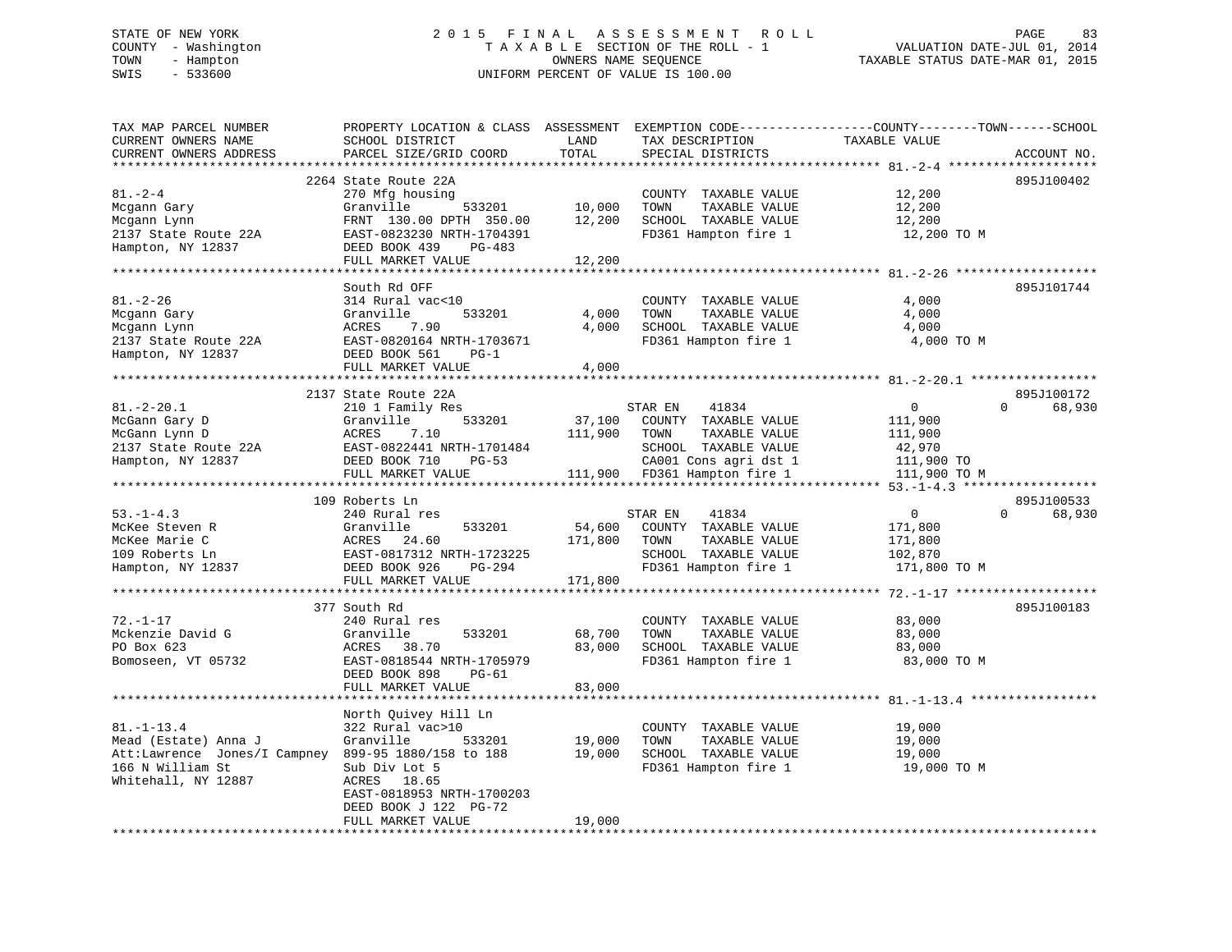# STATE OF NEW YORK 2 0 1 5 F I N A L A S S E S S M E N T R O L L PAGE 83 COUNTY - Washington T A X A B L E SECTION OF THE ROLL - 1 VALUATION DATE-JUL 01, 2014 TOWN - Hampton OWNERS NAME SEQUENCE TAXABLE STATUS DATE-MAR 01, 2015 SWIS - 533600 UNIFORM PERCENT OF VALUE IS 100.00

| TAX MAP PARCEL NUMBER<br>CURRENT OWNERS NAME<br>CURRENT OWNERS ADDRESS                                                                     | PROPERTY LOCATION & CLASS ASSESSMENT EXEMPTION CODE----------------COUNTY-------TOWN------SCHOOL<br>SCHOOL DISTRICT<br>PARCEL SIZE/GRID COORD                          | LAND<br>TOTAL              | TAX DESCRIPTION<br>SPECIAL DISTRICTS                                                                                                               | TAXABLE VALUE                                                                | ACCOUNT NO.                      |
|--------------------------------------------------------------------------------------------------------------------------------------------|------------------------------------------------------------------------------------------------------------------------------------------------------------------------|----------------------------|----------------------------------------------------------------------------------------------------------------------------------------------------|------------------------------------------------------------------------------|----------------------------------|
| $81 - 2 - 4$<br>Mcgann Gary<br>Mcgann Lynn<br>2137 State Route 22A<br>Hampton, NY 12837                                                    | 2264 State Route 22A<br>270 Mfg housing<br>Granville<br>533201<br>FRNT 130.00 DPTH 350.00<br>EAST-0823230 NRTH-1704391<br>DEED BOOK 439<br>PG-483<br>FULL MARKET VALUE | 10,000<br>12,200<br>12,200 | COUNTY TAXABLE VALUE<br>TAXABLE VALUE<br>TOWN<br>SCHOOL TAXABLE VALUE<br>FD361 Hampton fire 1                                                      | 12,200<br>12,200<br>12,200<br>12,200 TO M                                    | 895J100402                       |
| $81. - 2 - 26$<br>Mcgann Gary<br>Mcgann Lynn<br>2137 State Route 22A<br>Hampton, NY 12837                                                  | South Rd OFF<br>314 Rural vac<10<br>Granville<br>533201<br>ACRES<br>7.90<br>EAST-0820164 NRTH-1703671<br>DEED BOOK 561<br>$PG-1$<br>FULL MARKET VALUE                  | 4,000<br>4,000<br>4,000    | COUNTY TAXABLE VALUE<br>TOWN<br>TAXABLE VALUE<br>SCHOOL TAXABLE VALUE<br>FD361 Hampton fire 1                                                      | 4,000<br>4,000<br>4,000<br>4,000 TO M                                        | 895J101744                       |
|                                                                                                                                            |                                                                                                                                                                        |                            |                                                                                                                                                    |                                                                              |                                  |
| $81.-2-20.1$<br>McGann Gary D<br>McGann Lynn D<br>2137 State Route 22A<br>Hampton, NY 12837                                                | 2137 State Route 22A<br>210 1 Family Res<br>Granville<br>533201<br>ACRES<br>7.10<br>EAST-0822441 NRTH-1701484<br>DEED BOOK 710<br>PG-53<br>FULL MARKET VALUE           | 37,100<br>111,900          | STAR EN<br>41834<br>COUNTY TAXABLE VALUE<br>TAXABLE VALUE<br>TOWN<br>SCHOOL TAXABLE VALUE<br>CA001 Cons agri dst 1<br>111,900 FD361 Hampton fire 1 | $\overline{0}$<br>111,900<br>111,900<br>42,970<br>111,900 TO<br>111,900 TO M | 895J100172<br>$\Omega$<br>68,930 |
|                                                                                                                                            |                                                                                                                                                                        |                            |                                                                                                                                                    |                                                                              |                                  |
| $53. - 1 - 4.3$<br>McKee Steven R<br>McKee Marie C<br>109 Roberts Ln<br>Hampton, NY 12837                                                  | 109 Roberts Ln<br>240 Rural res<br>Granville<br>533201<br>ACRES<br>24.60<br>EAST-0817312 NRTH-1723225<br>DEED BOOK 926<br>PG-294                                       | 54,600<br>171,800          | STAR EN<br>41834<br>COUNTY TAXABLE VALUE<br>TOWN<br>TAXABLE VALUE<br>SCHOOL TAXABLE VALUE<br>FD361 Hampton fire 1                                  | $\overline{0}$<br>171,800<br>171,800<br>102,870<br>171,800 TO M              | 895J100533<br>68,930<br>$\Omega$ |
|                                                                                                                                            | FULL MARKET VALUE                                                                                                                                                      | 171,800                    |                                                                                                                                                    |                                                                              |                                  |
| $72. - 1 - 17$<br>Mckenzie David G<br>PO Box 623<br>Bomoseen, VT 05732                                                                     | 377 South Rd<br>240 Rural res<br>Granville<br>533201<br>ACRES<br>38.70<br>EAST-0818544 NRTH-1705979<br>DEED BOOK 898<br>PG-61                                          | 68,700<br>83,000           | COUNTY TAXABLE VALUE<br>TOWN<br>TAXABLE VALUE<br>SCHOOL TAXABLE VALUE<br>FD361 Hampton fire 1                                                      | 83,000<br>83,000<br>83,000<br>83,000 TO M                                    | 895J100183                       |
|                                                                                                                                            | FULL MARKET VALUE                                                                                                                                                      | 83,000                     |                                                                                                                                                    |                                                                              |                                  |
| $81. - 1 - 13.4$<br>Mead (Estate) Anna J<br>Att:Lawrence Jones/I Campney 899-95 1880/158 to 188<br>166 N William St<br>Whitehall, NY 12887 | North Ouivey Hill Ln<br>322 Rural vac>10<br>Granville<br>533201<br>Sub Div Lot 5<br>ACRES 18.65<br>EAST-0818953 NRTH-1700203<br>DEED BOOK J 122 PG-72                  | 19,000<br>19,000           | COUNTY TAXABLE VALUE<br>TAXABLE VALUE<br>TOWN<br>SCHOOL TAXABLE VALUE<br>FD361 Hampton fire 1                                                      | 19,000<br>19,000<br>19,000<br>19,000 TO M                                    |                                  |
|                                                                                                                                            | FULL MARKET VALUE                                                                                                                                                      | 19,000                     |                                                                                                                                                    |                                                                              |                                  |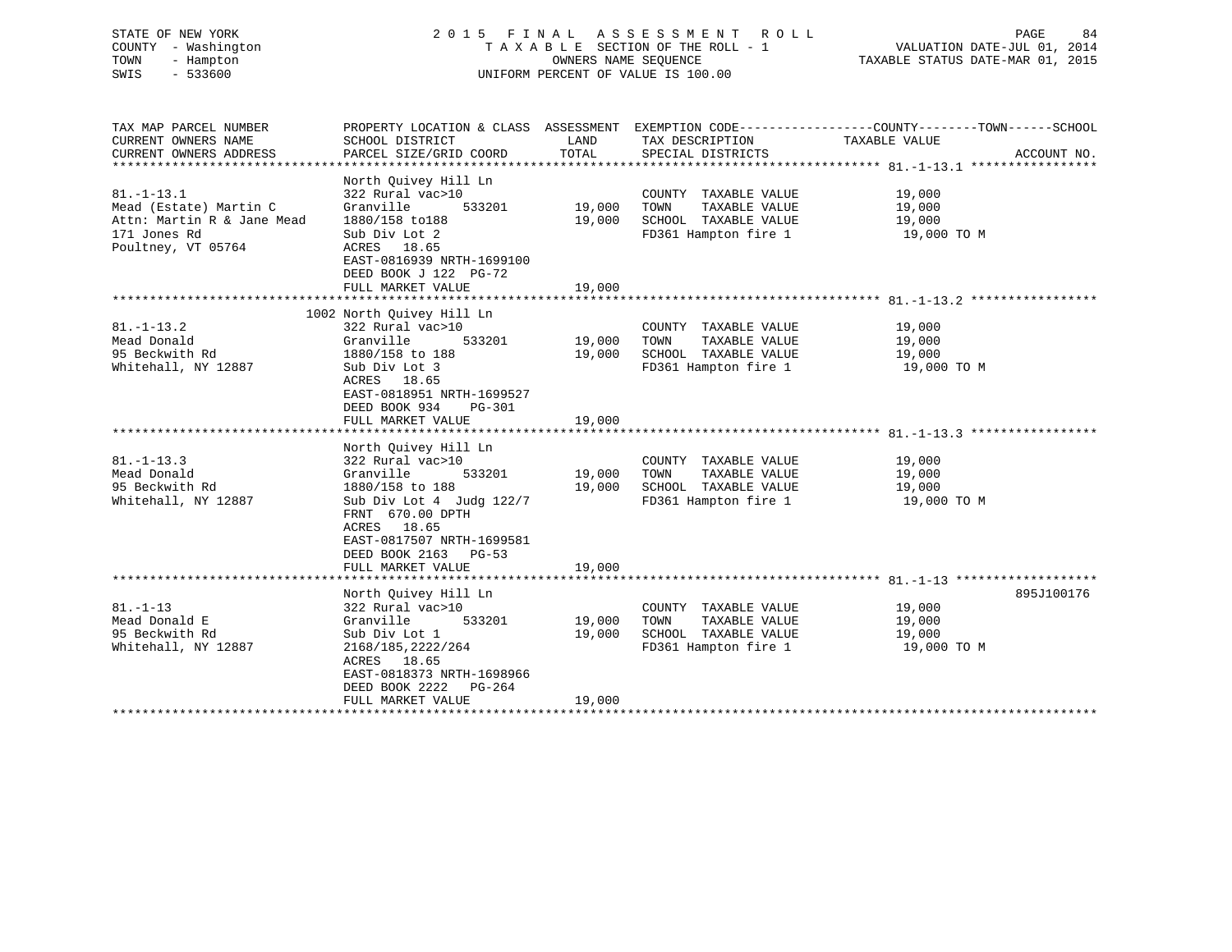STATE OF NEW YORK 2 0 1 5 F I N A L A S S E S S M E N T R O L L PAGE 84 COUNTY - Washington T A X A B L E SECTION OF THE ROLL - 1 VALUATION DATE-JUL 01, 2014 TOWN - Hampton OWNERS NAME SEQUENCE TAXABLE STATUS DATE-MAR 01, 2015 SWIS - 533600 UNIFORM PERCENT OF VALUE IS 100.00

| TAX MAP PARCEL NUMBER      |                                          |        |                       | PROPERTY LOCATION & CLASS ASSESSMENT EXEMPTION CODE---------------COUNTY-------TOWN-----SCHOOL |             |
|----------------------------|------------------------------------------|--------|-----------------------|------------------------------------------------------------------------------------------------|-------------|
| CURRENT OWNERS NAME        | SCHOOL DISTRICT                          | LAND   | TAX DESCRIPTION       | TAXABLE VALUE                                                                                  |             |
| CURRENT OWNERS ADDRESS     | PARCEL SIZE/GRID COORD                   | TOTAL  | SPECIAL DISTRICTS     |                                                                                                | ACCOUNT NO. |
|                            |                                          |        |                       |                                                                                                |             |
|                            | North Quivey Hill Ln                     |        |                       |                                                                                                |             |
| $81. - 1 - 13.1$           | 322 Rural vac>10                         |        | COUNTY TAXABLE VALUE  | 19,000                                                                                         |             |
| Mead (Estate) Martin C     | Granville<br>533201                      | 19,000 | TOWN<br>TAXABLE VALUE | 19,000<br>19,000                                                                               |             |
| Attn: Martin R & Jane Mead | 1880/158 to188                           | 19,000 | SCHOOL TAXABLE VALUE  |                                                                                                |             |
| 171 Jones Rd               | Sub Div Lot 2                            |        | FD361 Hampton fire 1  | 19,000 TO M                                                                                    |             |
| Poultney, VT 05764         | ACRES 18.65<br>EAST-0816939 NRTH-1699100 |        |                       |                                                                                                |             |
|                            | DEED BOOK J 122 PG-72                    |        |                       |                                                                                                |             |
|                            | FULL MARKET VALUE                        | 19,000 |                       |                                                                                                |             |
|                            |                                          |        |                       |                                                                                                |             |
|                            | 1002 North Ouivey Hill Ln                |        |                       |                                                                                                |             |
| $81. - 1 - 13.2$           | 322 Rural vac>10                         |        | COUNTY TAXABLE VALUE  | 19,000                                                                                         |             |
| Mead Donald                | Granville<br>533201                      | 19,000 | TOWN<br>TAXABLE VALUE | 19,000                                                                                         |             |
| 95 Beckwith Rd             | 1880/158 to 188                          | 19,000 | SCHOOL TAXABLE VALUE  | 19,000                                                                                         |             |
| Whitehall, NY 12887        | Sub Div Lot 3                            |        | FD361 Hampton fire 1  | 19,000 TO M                                                                                    |             |
|                            | ACRES 18.65                              |        |                       |                                                                                                |             |
|                            | EAST-0818951 NRTH-1699527                |        |                       |                                                                                                |             |
|                            | DEED BOOK 934<br>PG-301                  |        |                       |                                                                                                |             |
|                            | FULL MARKET VALUE                        | 19,000 |                       |                                                                                                |             |
|                            |                                          |        |                       |                                                                                                |             |
|                            | North Quivey Hill Ln                     |        |                       |                                                                                                |             |
| $81. - 1 - 13.3$           | 322 Rural vac>10                         |        | COUNTY TAXABLE VALUE  | 19,000                                                                                         |             |
| Mead Donald                | 533201<br>Granville                      | 19,000 | TAXABLE VALUE<br>TOWN | 19,000                                                                                         |             |
| 95 Beckwith Rd             | 1880/158 to 188                          | 19,000 | SCHOOL TAXABLE VALUE  | 19,000                                                                                         |             |
| Whitehall, NY 12887        | Sub Div Lot 4 Judg 122/7                 |        | FD361 Hampton fire 1  | 19,000 TO M                                                                                    |             |
|                            | FRNT 670.00 DPTH                         |        |                       |                                                                                                |             |
|                            | ACRES 18.65                              |        |                       |                                                                                                |             |
|                            | EAST-0817507 NRTH-1699581                |        |                       |                                                                                                |             |
|                            | DEED BOOK 2163 PG-53                     |        |                       |                                                                                                |             |
|                            | FULL MARKET VALUE                        | 19,000 |                       |                                                                                                |             |
|                            |                                          |        |                       |                                                                                                |             |
|                            | North Quivey Hill Ln                     |        |                       |                                                                                                | 895J100176  |
| $81. - 1 - 13$             | 322 Rural vac>10                         |        | COUNTY TAXABLE VALUE  | 19,000                                                                                         |             |
| Mead Donald E              | Granville<br>533201                      | 19,000 | TOWN<br>TAXABLE VALUE | 19,000                                                                                         |             |
| 95 Beckwith Rd             | Sub Div Lot 1                            | 19,000 | SCHOOL TAXABLE VALUE  | 19,000                                                                                         |             |
| Whitehall, NY 12887        | 2168/185, 2222/264<br>ACRES 18.65        |        | FD361 Hampton fire 1  | 19,000 TO M                                                                                    |             |
|                            | EAST-0818373 NRTH-1698966                |        |                       |                                                                                                |             |
|                            | DEED BOOK 2222<br>PG-264                 |        |                       |                                                                                                |             |
|                            | FULL MARKET VALUE                        | 19,000 |                       |                                                                                                |             |
|                            |                                          |        |                       |                                                                                                |             |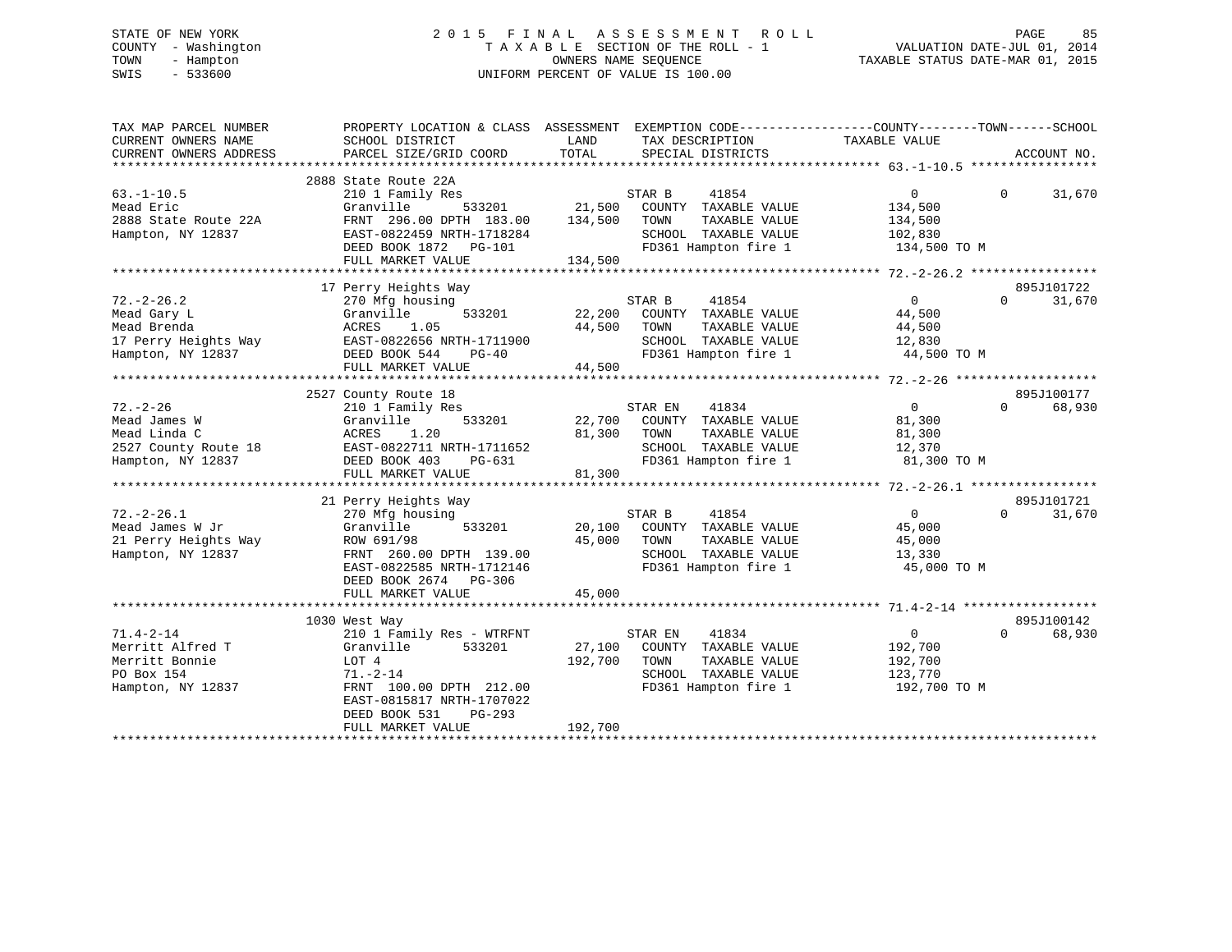#### STATE OF NEW YORK 2 0 1 5 F I N A L A S S E S S M E N T R O L L PAGE 85COUNTY - Washington T A X A B L E SECTION OF THE ROLL - 1 TOWN - Hampton OWNERS NAME SEQUENCE TAXABLE STATUS DATE-MAR 01, 2015 SWIS - 533600 UNIFORM PERCENT OF VALUE IS 100.00

| TAX MAP PARCEL NUMBER  | PROPERTY LOCATION & CLASS ASSESSMENT EXEMPTION CODE----------------COUNTY-------TOWN------SCHOOL |         |                                    |                |          |             |
|------------------------|--------------------------------------------------------------------------------------------------|---------|------------------------------------|----------------|----------|-------------|
| CURRENT OWNERS NAME    | SCHOOL DISTRICT                                                                                  | LAND    | TAX DESCRIPTION                    | TAXABLE VALUE  |          |             |
| CURRENT OWNERS ADDRESS | PARCEL SIZE/GRID COORD                                                                           | TOTAL   | SPECIAL DISTRICTS                  |                |          | ACCOUNT NO. |
|                        |                                                                                                  |         |                                    |                |          |             |
|                        | 2888 State Route 22A                                                                             |         |                                    |                |          |             |
| $63. - 1 - 10.5$       | 210 1 Family Res                                                                                 |         | 41854<br>STAR B                    | $\overline{0}$ | $\Omega$ | 31,670      |
| Mead Eric              | Granville                                                                                        |         | 533201 21,500 COUNTY TAXABLE VALUE | 134,500        |          |             |
| 2888 State Route 22A   | FRNT 296.00 DPTH 183.00                                                                          | 134,500 | TOWN<br>TAXABLE VALUE              | 134,500        |          |             |
| Hampton, NY 12837      | EAST-0822459 NRTH-1718284                                                                        |         | SCHOOL TAXABLE VALUE               | 102,830        |          |             |
|                        | DEED BOOK 1872 PG-101                                                                            |         | FD361 Hampton fire 1 134,500 TO M  |                |          |             |
|                        | FULL MARKET VALUE                                                                                | 134,500 |                                    |                |          |             |
|                        |                                                                                                  |         |                                    |                |          |             |
|                        | 17 Perry Heights Way                                                                             |         |                                    |                |          | 895J101722  |
| $72. - 2 - 26.2$       | 270 Mfg housing                                                                                  |         | STAR B<br>41854                    | $\overline{0}$ | $\Omega$ | 31,670      |
| Mead Gary L            | 533201<br>Granville                                                                              | 22,200  | COUNTY TAXABLE VALUE               | 44,500         |          |             |
| Mead Brenda            | ACRES<br>1.05                                                                                    | 44,500  | TAXABLE VALUE<br>TOWN              | 44,500         |          |             |
| 17 Perry Heights Way   | EAST-0822656 NRTH-1711900                                                                        |         | SCHOOL TAXABLE VALUE               | 12,830         |          |             |
| Hampton, NY 12837      | DEED BOOK 544<br>PG-40                                                                           |         | FD361 Hampton fire 1               | 44,500 TO M    |          |             |
|                        | FULL MARKET VALUE                                                                                | 44,500  |                                    |                |          |             |
|                        |                                                                                                  |         |                                    |                |          |             |
|                        | 2527 County Route 18                                                                             |         |                                    |                |          | 895J100177  |
| $72. - 2 - 26$         | 210 1 Family Res                                                                                 |         | 41834<br>STAR EN                   | $\overline{0}$ | $\Omega$ | 68,930      |
| Mead James W           | 533201<br>Granville                                                                              |         | 22,700 COUNTY TAXABLE VALUE        | 81,300         |          |             |
| Mead Linda C           | 1.20<br>ACRES                                                                                    | 81,300  | TOWN<br>TAXABLE VALUE              | 81,300         |          |             |
| 2527 County Route 18   | EAST-0822711 NRTH-1711652                                                                        |         | SCHOOL TAXABLE VALUE               | 12,370         |          |             |
| Hampton, NY 12837      | DEED BOOK 403<br>PG-631                                                                          |         | FD361 Hampton fire 1               | 81,300 TO M    |          |             |
|                        | FULL MARKET VALUE                                                                                | 81,300  |                                    |                |          |             |
|                        |                                                                                                  |         |                                    |                |          |             |
|                        | 21 Perry Heights Way                                                                             |         |                                    |                |          | 895J101721  |
| $72. - 2 - 26.1$       | 270 Mfg housing                                                                                  |         | STAR B<br>41854                    | $\overline{0}$ | $\Omega$ | 31,670      |
|                        |                                                                                                  |         |                                    |                |          |             |
| Mead James W Jr        | 533201<br>Granville                                                                              |         | 20,100 COUNTY TAXABLE VALUE        | 45,000         |          |             |
| 21 Perry Heights Way   | ROW 691/98                                                                                       | 45,000  | TOWN<br>TAXABLE VALUE              | 45,000         |          |             |
| Hampton, NY 12837      | FRNT 260.00 DPTH 139.00                                                                          |         | SCHOOL TAXABLE VALUE               | 13,330         |          |             |
|                        | EAST-0822585 NRTH-1712146                                                                        |         | FD361 Hampton fire 1               | 45,000 TO M    |          |             |
|                        | DEED BOOK 2674 PG-306                                                                            |         |                                    |                |          |             |
|                        | FULL MARKET VALUE                                                                                | 45,000  |                                    |                |          |             |
|                        |                                                                                                  |         |                                    |                |          |             |
|                        | 1030 West Way                                                                                    |         |                                    |                |          | 895J100142  |
| $71.4 - 2 - 14$        | 210 1 Family Res - WTRFNT                                                                        |         | STAR EN<br>41834                   | $\overline{0}$ | $\Omega$ | 68,930      |
| Merritt Alfred T       | Granville<br>533201                                                                              | 27,100  | COUNTY TAXABLE VALUE               | 192,700        |          |             |
| Merritt Bonnie         | LOT 4                                                                                            | 192,700 | TOWN<br>TAXABLE VALUE              | 192,700        |          |             |
| PO Box 154             | $71. - 2 - 14$                                                                                   |         | SCHOOL TAXABLE VALUE               | 123,770        |          |             |
| Hampton, NY 12837      | FRNT 100.00 DPTH 212.00                                                                          |         | FD361 Hampton fire 1               | 192,700 TO M   |          |             |
|                        | EAST-0815817 NRTH-1707022                                                                        |         |                                    |                |          |             |
|                        | DEED BOOK 531<br>PG-293                                                                          |         |                                    |                |          |             |
|                        | FULL MARKET VALUE                                                                                | 192,700 |                                    |                |          |             |
|                        |                                                                                                  |         |                                    |                |          |             |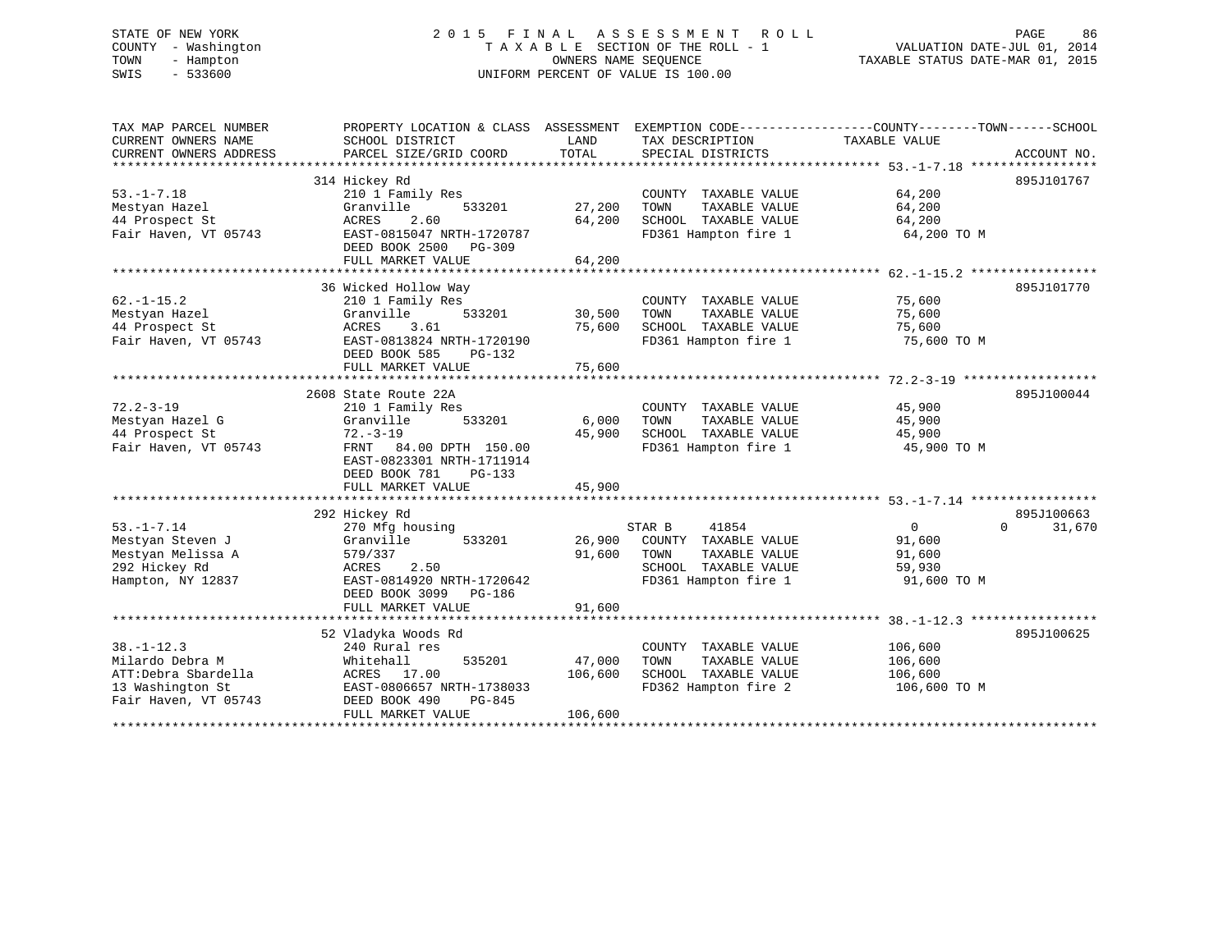# STATE OF NEW YORK 2 0 1 5 F I N A L A S S E S S M E N T R O L L PAGE 86 COUNTY - Washington T A X A B L E SECTION OF THE ROLL - 1 VALUATION DATE-JUL 01, 2014 TOWN - Hampton OWNERS NAME SEQUENCE TAXABLE STATUS DATE-MAR 01, 2015 SWIS - 533600 UNIFORM PERCENT OF VALUE IS 100.00

| TAX MAP PARCEL NUMBER  | PROPERTY LOCATION & CLASS ASSESSMENT EXEMPTION CODE----------------COUNTY-------TOWN------SCHOOL |         |                       |                            |             |
|------------------------|--------------------------------------------------------------------------------------------------|---------|-----------------------|----------------------------|-------------|
| CURRENT OWNERS NAME    | SCHOOL DISTRICT                                                                                  | LAND    | TAX DESCRIPTION       | TAXABLE VALUE              |             |
| CURRENT OWNERS ADDRESS | PARCEL SIZE/GRID COORD                                                                           | TOTAL   | SPECIAL DISTRICTS     |                            | ACCOUNT NO. |
|                        | 314 Hickey Rd                                                                                    |         |                       |                            | 895J101767  |
| $53. - 1 - 7.18$       | 210 1 Family Res                                                                                 |         | COUNTY TAXABLE VALUE  | 64,200                     |             |
| Mestyan Hazel          | Granville<br>533201                                                                              | 27,200  | TOWN<br>TAXABLE VALUE | 64,200                     |             |
| 44 Prospect St         | ACRES<br>2.60                                                                                    | 64,200  | SCHOOL TAXABLE VALUE  | 64,200                     |             |
| Fair Haven, VT 05743   | EAST-0815047 NRTH-1720787                                                                        |         | FD361 Hampton fire 1  | 64,200 TO M                |             |
|                        | DEED BOOK 2500 PG-309                                                                            |         |                       |                            |             |
|                        | FULL MARKET VALUE                                                                                | 64,200  |                       |                            |             |
|                        |                                                                                                  |         |                       |                            |             |
|                        | 36 Wicked Hollow Way                                                                             |         |                       |                            | 895J101770  |
| $62. -1 - 15.2$        | 210 1 Family Res                                                                                 |         | COUNTY TAXABLE VALUE  | 75,600                     |             |
| Mestyan Hazel          | Granville<br>533201                                                                              | 30,500  | TOWN<br>TAXABLE VALUE | 75,600                     |             |
| 44 Prospect St         | ACRES<br>3.61                                                                                    | 75,600  | SCHOOL TAXABLE VALUE  | 75,600                     |             |
| Fair Haven, VT 05743   | EAST-0813824 NRTH-1720190                                                                        |         | FD361 Hampton fire 1  | 75,600 TO M                |             |
|                        | DEED BOOK 585<br>PG-132                                                                          |         |                       |                            |             |
|                        | FULL MARKET VALUE                                                                                | 75,600  |                       |                            |             |
|                        |                                                                                                  |         |                       |                            |             |
|                        | 2608 State Route 22A                                                                             |         |                       |                            | 895J100044  |
| $72.2 - 3 - 19$        | 210 1 Family Res                                                                                 |         | COUNTY TAXABLE VALUE  | 45,900                     |             |
| Mestyan Hazel G        | 533201<br>Granville                                                                              | 6,000   | TAXABLE VALUE<br>TOWN | 45,900                     |             |
| 44 Prospect St         | $72. - 3 - 19$                                                                                   | 45,900  | SCHOOL TAXABLE VALUE  | 45,900                     |             |
| Fair Haven, VT 05743   | FRNT 84.00 DPTH 150.00                                                                           |         | FD361 Hampton fire 1  | 45,900 TO M                |             |
|                        | EAST-0823301 NRTH-1711914                                                                        |         |                       |                            |             |
|                        | DEED BOOK 781<br>$PG-133$                                                                        |         |                       |                            |             |
|                        | FULL MARKET VALUE                                                                                | 45,900  |                       |                            |             |
|                        |                                                                                                  |         |                       |                            |             |
|                        | 292 Hickey Rd                                                                                    |         |                       |                            | 895J100663  |
| $53. - 1 - 7.14$       | 270 Mfg housing                                                                                  |         | STAR B<br>41854       | $\Omega$<br>$\overline{0}$ | 31,670      |
| Mestyan Steven J       | 533201<br>Granville                                                                              | 26,900  | COUNTY TAXABLE VALUE  | 91,600                     |             |
| Mestyan Melissa A      | 579/337                                                                                          | 91,600  | TOWN<br>TAXABLE VALUE | 91,600                     |             |
| 292 Hickey Rd          | ACRES<br>2.50                                                                                    |         | SCHOOL TAXABLE VALUE  | 59,930                     |             |
| Hampton, NY 12837      | EAST-0814920 NRTH-1720642                                                                        |         | FD361 Hampton fire 1  | 91,600 TO M                |             |
|                        | DEED BOOK 3099<br>PG-186                                                                         |         |                       |                            |             |
|                        | FULL MARKET VALUE                                                                                | 91,600  |                       |                            |             |
|                        |                                                                                                  |         |                       |                            |             |
|                        | 52 Vladyka Woods Rd                                                                              |         |                       |                            | 895J100625  |
| $38. - 1 - 12.3$       | 240 Rural res                                                                                    |         | COUNTY TAXABLE VALUE  | 106,600                    |             |
| Milardo Debra M        | 535201<br>Whitehall                                                                              | 47,000  | TAXABLE VALUE<br>TOWN | 106,600                    |             |
| ATT:Debra Sbardella    | ACRES 17.00                                                                                      | 106,600 | SCHOOL TAXABLE VALUE  | 106,600                    |             |
| 13 Washington St       | EAST-0806657 NRTH-1738033                                                                        |         | FD362 Hampton fire 2  | 106,600 TO M               |             |
| Fair Haven, VT 05743   | PG-845<br>DEED BOOK 490                                                                          |         |                       |                            |             |
|                        | FULL MARKET VALUE                                                                                | 106,600 |                       |                            |             |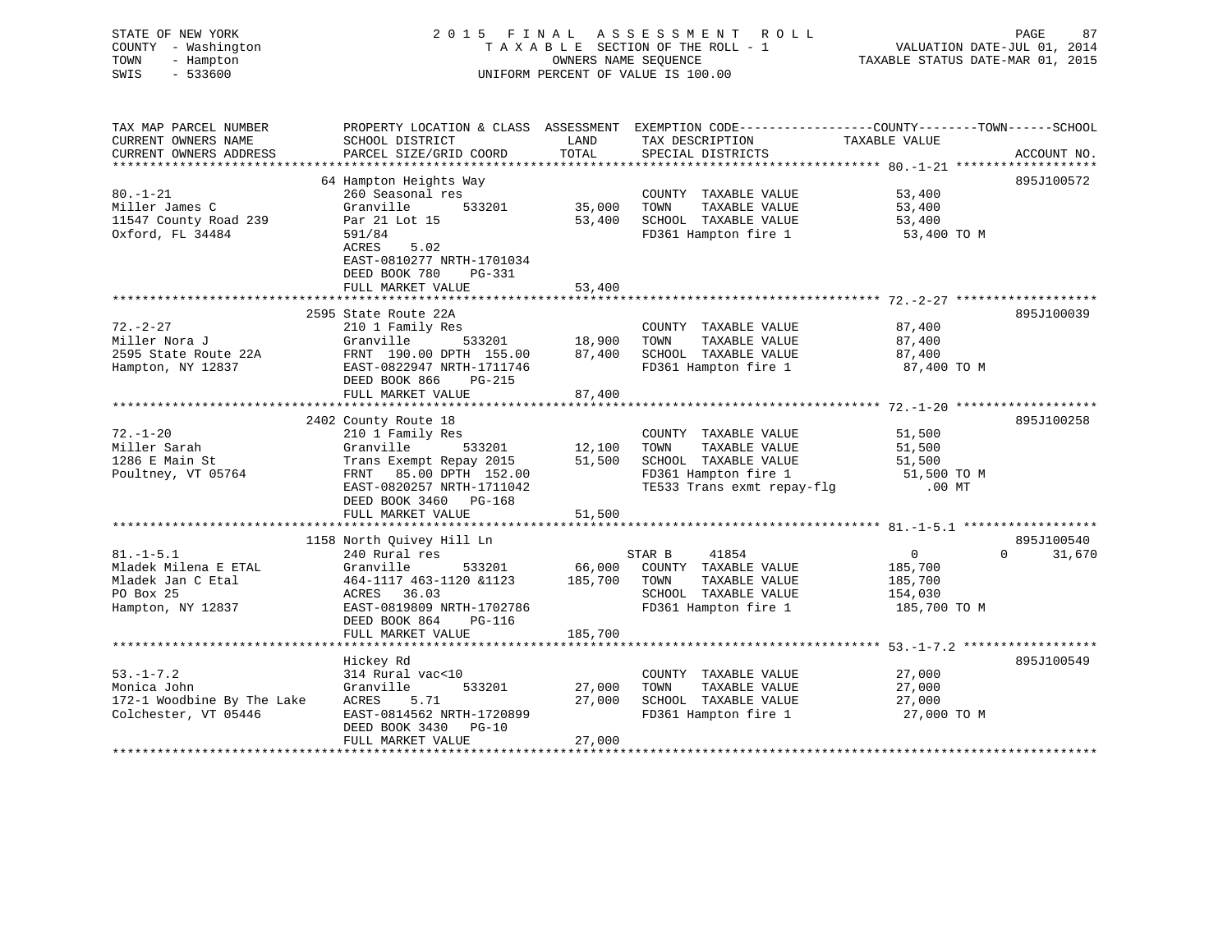| STATE OF NEW YORK<br>COUNTY - Washington<br>TOWN<br>- Hampton<br>$-533600$<br>SWIS | 2015 FINAL                                                                                                          | OWNERS NAME SEQUENCE                   | A S S E S S M E N T<br>R O L L<br>TAXABLE SECTION OF THE ROLL - 1<br>UNIFORM PERCENT OF VALUE IS 100.00 | VALUATION DATE-JUL 01, 2014<br>TAXABLE STATUS DATE-MAR 01, 2015 | PAGE<br>87                       |
|------------------------------------------------------------------------------------|---------------------------------------------------------------------------------------------------------------------|----------------------------------------|---------------------------------------------------------------------------------------------------------|-----------------------------------------------------------------|----------------------------------|
| TAX MAP PARCEL NUMBER<br>CURRENT OWNERS NAME                                       | PROPERTY LOCATION & CLASS ASSESSMENT EXEMPTION CODE----------------COUNTY-------TOWN------SCHOOL<br>SCHOOL DISTRICT | LAND                                   | TAX DESCRIPTION                                                                                         | TAXABLE VALUE                                                   |                                  |
| CURRENT OWNERS ADDRESS                                                             | PARCEL SIZE/GRID COORD                                                                                              | TOTAL                                  | SPECIAL DISTRICTS                                                                                       |                                                                 | ACCOUNT NO.                      |
|                                                                                    | 64 Hampton Heights Way                                                                                              |                                        |                                                                                                         |                                                                 | 895J100572                       |
| $80. - 1 - 21$                                                                     | 260 Seasonal res                                                                                                    |                                        | COUNTY TAXABLE VALUE                                                                                    | 53,400                                                          |                                  |
| Miller James C                                                                     | Granville<br>533201                                                                                                 | 35,000                                 | TOWN<br>TAXABLE VALUE                                                                                   | 53,400                                                          |                                  |
| 11547 County Road 239                                                              | Par 21 Lot 15                                                                                                       | 53,400                                 | SCHOOL TAXABLE VALUE                                                                                    | 53,400                                                          |                                  |
| Oxford, FL 34484                                                                   | 591/84                                                                                                              |                                        | FD361 Hampton fire 1                                                                                    | 53,400 TO M                                                     |                                  |
|                                                                                    | ACRES<br>5.02<br>EAST-0810277 NRTH-1701034                                                                          |                                        |                                                                                                         |                                                                 |                                  |
|                                                                                    | DEED BOOK 780<br>PG-331                                                                                             |                                        |                                                                                                         |                                                                 |                                  |
|                                                                                    | FULL MARKET VALUE                                                                                                   | 53,400                                 |                                                                                                         |                                                                 |                                  |
|                                                                                    | ***********************                                                                                             |                                        |                                                                                                         |                                                                 |                                  |
|                                                                                    | 2595 State Route 22A                                                                                                |                                        |                                                                                                         |                                                                 | 895J100039                       |
| $72. - 2 - 27$                                                                     | 210 1 Family Res                                                                                                    |                                        | COUNTY TAXABLE VALUE                                                                                    | 87,400                                                          |                                  |
| Miller Nora J                                                                      | Granville<br>533201                                                                                                 | 18,900                                 | TAXABLE VALUE<br>TOWN                                                                                   | 87,400                                                          |                                  |
| 2595 State Route 22A                                                               | FRNT 190.00 DPTH 155.00                                                                                             | 87,400                                 | SCHOOL TAXABLE VALUE                                                                                    | 87,400                                                          |                                  |
| Hampton, NY 12837                                                                  | EAST-0822947 NRTH-1711746<br>DEED BOOK 866<br>PG-215                                                                |                                        | FD361 Hampton fire 1                                                                                    | 87,400 TO M                                                     |                                  |
|                                                                                    | FULL MARKET VALUE                                                                                                   | 87,400<br>**********                   |                                                                                                         |                                                                 |                                  |
|                                                                                    |                                                                                                                     |                                        |                                                                                                         | *********** 72.-1-20 ********************                       |                                  |
| $72. - 1 - 20$                                                                     | 2402 County Route 18<br>210 1 Family Res                                                                            |                                        | COUNTY TAXABLE VALUE                                                                                    | 51,500                                                          | 895J100258                       |
| Miller Sarah                                                                       | Granville<br>533201                                                                                                 | 12,100                                 | TOWN<br>TAXABLE VALUE                                                                                   | 51,500                                                          |                                  |
| 1286 E Main St                                                                     | Trans Exempt Repay 2015                                                                                             | 51,500                                 | SCHOOL TAXABLE VALUE                                                                                    | 51,500                                                          |                                  |
| Poultney, VT 05764                                                                 | FRNT 85.00 DPTH 152.00                                                                                              |                                        | FD361 Hampton fire 1                                                                                    | 51,500 TO M                                                     |                                  |
|                                                                                    | EAST-0820257 NRTH-1711042                                                                                           |                                        | TE533 Trans exmt repay-flg                                                                              | $.00$ MT                                                        |                                  |
|                                                                                    | DEED BOOK 3460 PG-168                                                                                               |                                        |                                                                                                         |                                                                 |                                  |
|                                                                                    | FULL MARKET VALUE                                                                                                   | 51,500                                 |                                                                                                         |                                                                 |                                  |
|                                                                                    |                                                                                                                     |                                        |                                                                                                         |                                                                 |                                  |
| $81. - 1 - 5.1$                                                                    | 1158 North Ouivey Hill Ln<br>240 Rural res                                                                          |                                        | STAR B<br>41854                                                                                         | $\overline{0}$                                                  | 895J100540<br>$\Omega$<br>31,670 |
| Mladek Milena E ETAL                                                               | Granville<br>533201                                                                                                 | 66,000                                 | COUNTY TAXABLE VALUE                                                                                    | 185,700                                                         |                                  |
| Mladek Jan C Etal                                                                  | 464-1117 463-1120 &1123                                                                                             | 185,700                                | TOWN<br>TAXABLE VALUE                                                                                   | 185,700                                                         |                                  |
| PO Box 25                                                                          | 36.03<br>ACRES                                                                                                      |                                        | SCHOOL TAXABLE VALUE                                                                                    | 154,030                                                         |                                  |
| Hampton, NY 12837                                                                  | EAST-0819809 NRTH-1702786                                                                                           |                                        | FD361 Hampton fire 1                                                                                    | 185,700 TO M                                                    |                                  |
|                                                                                    | DEED BOOK 864<br>PG-116                                                                                             |                                        |                                                                                                         |                                                                 |                                  |
|                                                                                    | FULL MARKET VALUE                                                                                                   | 185,700                                |                                                                                                         |                                                                 |                                  |
|                                                                                    |                                                                                                                     |                                        |                                                                                                         |                                                                 |                                  |
|                                                                                    | Hickey Rd                                                                                                           |                                        |                                                                                                         |                                                                 | 895J100549                       |
| $53. - 1 - 7.2$<br>Monica John                                                     | 314 Rural vac<10<br>533201<br>Granville                                                                             | 27,000                                 | COUNTY TAXABLE VALUE<br>TAXABLE VALUE<br>TOWN                                                           | 27,000<br>27,000                                                |                                  |
| 172-1 Woodbine By The Lake                                                         | <b>ACRES</b><br>5.71                                                                                                | 27,000                                 | SCHOOL TAXABLE VALUE                                                                                    | 27,000                                                          |                                  |
| Colchester, VT 05446                                                               | EAST-0814562 NRTH-1720899                                                                                           |                                        | FD361 Hampton fire 1                                                                                    | 27,000 TO M                                                     |                                  |
|                                                                                    | DEED BOOK 3430<br>$PG-10$                                                                                           |                                        |                                                                                                         |                                                                 |                                  |
|                                                                                    | FULL MARKET VALUE                                                                                                   | 27,000<br><b>. + + + + + + + + + +</b> |                                                                                                         |                                                                 |                                  |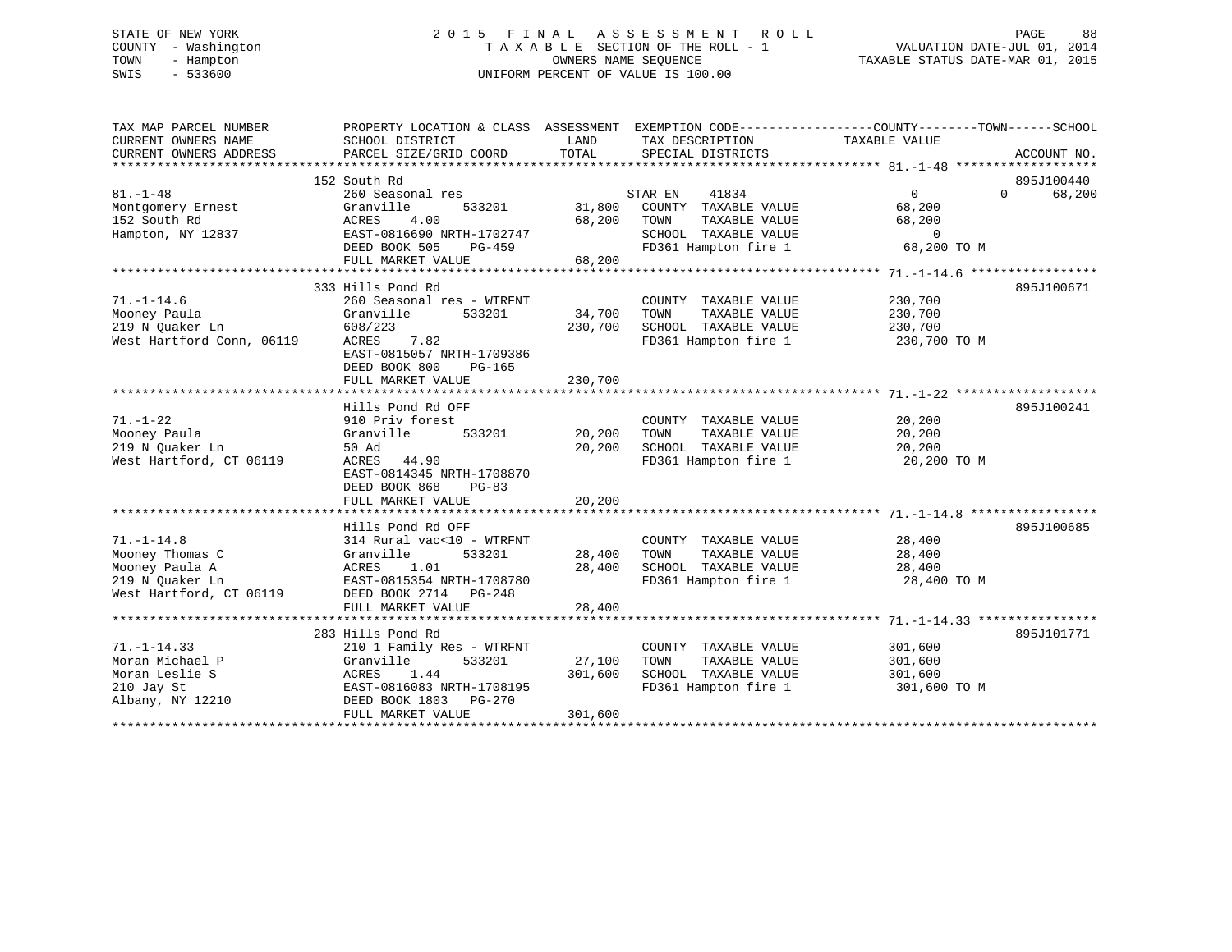# STATE OF NEW YORK 2 0 1 5 F I N A L A S S E S S M E N T R O L L PAGE 88 COUNTY - Washington T A X A B L E SECTION OF THE ROLL - 1 VALUATION DATE-JUL 01, 2014 TOWN - Hampton OWNERS NAME SEQUENCE TAXABLE STATUS DATE-MAR 01, 2015 SWIS - 533600 UNIFORM PERCENT OF VALUE IS 100.00

| TAX MAP PARCEL NUMBER     | PROPERTY LOCATION & CLASS ASSESSMENT EXEMPTION CODE----------------COUNTY-------TOWN-----SCHOOL |         |                       |                   |                    |
|---------------------------|-------------------------------------------------------------------------------------------------|---------|-----------------------|-------------------|--------------------|
| CURRENT OWNERS NAME       | SCHOOL DISTRICT                                                                                 | LAND    | TAX DESCRIPTION       | TAXABLE VALUE     |                    |
| CURRENT OWNERS ADDRESS    | PARCEL SIZE/GRID COORD                                                                          | TOTAL   | SPECIAL DISTRICTS     |                   | ACCOUNT NO.        |
|                           |                                                                                                 |         |                       |                   |                    |
|                           | 152 South Rd                                                                                    |         |                       |                   | 895J100440         |
| $81. - 1 - 48$            | 260 Seasonal res                                                                                |         | 41834<br>STAR EN      | $0 \qquad \qquad$ | $\Omega$<br>68,200 |
| Montgomery Ernest         | 533201<br>Granville                                                                             | 31,800  | COUNTY TAXABLE VALUE  | 68,200            |                    |
| 152 South Rd              | ACRES<br>4.00                                                                                   | 68,200  | TOWN<br>TAXABLE VALUE | 68,200            |                    |
| Hampton, NY 12837         | EAST-0816690 NRTH-1702747                                                                       |         | SCHOOL TAXABLE VALUE  | $\overline{0}$    |                    |
|                           | DEED BOOK 505<br>PG-459                                                                         |         | FD361 Hampton fire 1  | 68,200 TO M       |                    |
|                           | FULL MARKET VALUE                                                                               | 68,200  |                       |                   |                    |
|                           |                                                                                                 |         |                       |                   |                    |
|                           | 333 Hills Pond Rd                                                                               |         |                       |                   | 895J100671         |
| $71. - 1 - 14.6$          | 260 Seasonal res - WTRFNT                                                                       |         | COUNTY TAXABLE VALUE  | 230,700           |                    |
| Mooney Paula              | Granville<br>533201                                                                             | 34,700  | TOWN<br>TAXABLE VALUE | 230,700           |                    |
| 219 N Ouaker Ln           | 608/223                                                                                         | 230,700 | SCHOOL TAXABLE VALUE  | 230,700           |                    |
| West Hartford Conn, 06119 | ACRES<br>7.82                                                                                   |         | FD361 Hampton fire 1  | 230,700 TO M      |                    |
|                           | EAST-0815057 NRTH-1709386                                                                       |         |                       |                   |                    |
|                           | DEED BOOK 800<br>PG-165                                                                         |         |                       |                   |                    |
|                           | FULL MARKET VALUE                                                                               | 230,700 |                       |                   |                    |
|                           |                                                                                                 |         |                       |                   |                    |
|                           | Hills Pond Rd OFF                                                                               |         |                       |                   | 895J100241         |
| $71. - 1 - 22$            | 910 Priv forest                                                                                 |         | COUNTY TAXABLE VALUE  | 20,200            |                    |
| Mooney Paula              | Granville<br>533201                                                                             | 20,200  | TOWN<br>TAXABLE VALUE | 20,200            |                    |
| 219 N Ouaker Ln           | 50 Ad                                                                                           | 20,200  | SCHOOL TAXABLE VALUE  | 20,200            |                    |
| West Hartford, CT 06119   | ACRES 44.90                                                                                     |         | FD361 Hampton fire 1  | 20,200 TO M       |                    |
|                           | EAST-0814345 NRTH-1708870                                                                       |         |                       |                   |                    |
|                           | DEED BOOK 868<br>$PG-83$                                                                        |         |                       |                   |                    |
|                           | FULL MARKET VALUE                                                                               | 20,200  |                       |                   |                    |
|                           |                                                                                                 |         |                       |                   |                    |
|                           | Hills Pond Rd OFF                                                                               |         |                       |                   | 895J100685         |
| $71. - 1 - 14.8$          | 314 Rural vac<10 - WTRFNT                                                                       |         | COUNTY TAXABLE VALUE  | 28,400            |                    |
| Mooney Thomas C           | 533201<br>Granville                                                                             | 28,400  | TAXABLE VALUE<br>TOWN | 28,400            |                    |
| Mooney Paula A            | 1.01<br>ACRES                                                                                   | 28,400  | SCHOOL TAXABLE VALUE  | 28,400            |                    |
| 219 N Ouaker Ln           | EAST-0815354 NRTH-1708780                                                                       |         | FD361 Hampton fire 1  | 28,400 TO M       |                    |
| West Hartford, CT 06119   | DEED BOOK 2714 PG-248                                                                           |         |                       |                   |                    |
|                           | FULL MARKET VALUE                                                                               | 28,400  |                       |                   |                    |
|                           |                                                                                                 |         |                       |                   |                    |
|                           | 283 Hills Pond Rd                                                                               |         |                       |                   | 895J101771         |
| $71. - 1 - 14.33$         | 210 1 Family Res - WTRFNT                                                                       |         | COUNTY TAXABLE VALUE  | 301,600           |                    |
| Moran Michael P           | Granville<br>533201                                                                             | 27,100  | TOWN<br>TAXABLE VALUE | 301,600           |                    |
| Moran Leslie S            | ACRES 1.44                                                                                      | 301,600 | SCHOOL TAXABLE VALUE  | 301,600           |                    |
| 210 Jay St                | EAST-0816083 NRTH-1708195                                                                       |         | FD361 Hampton fire 1  | 301,600 TO M      |                    |
| Albany, NY 12210          | DEED BOOK 1803<br>PG-270                                                                        |         |                       |                   |                    |
|                           | FULL MARKET VALUE                                                                               | 301,600 |                       |                   |                    |
|                           |                                                                                                 |         |                       |                   |                    |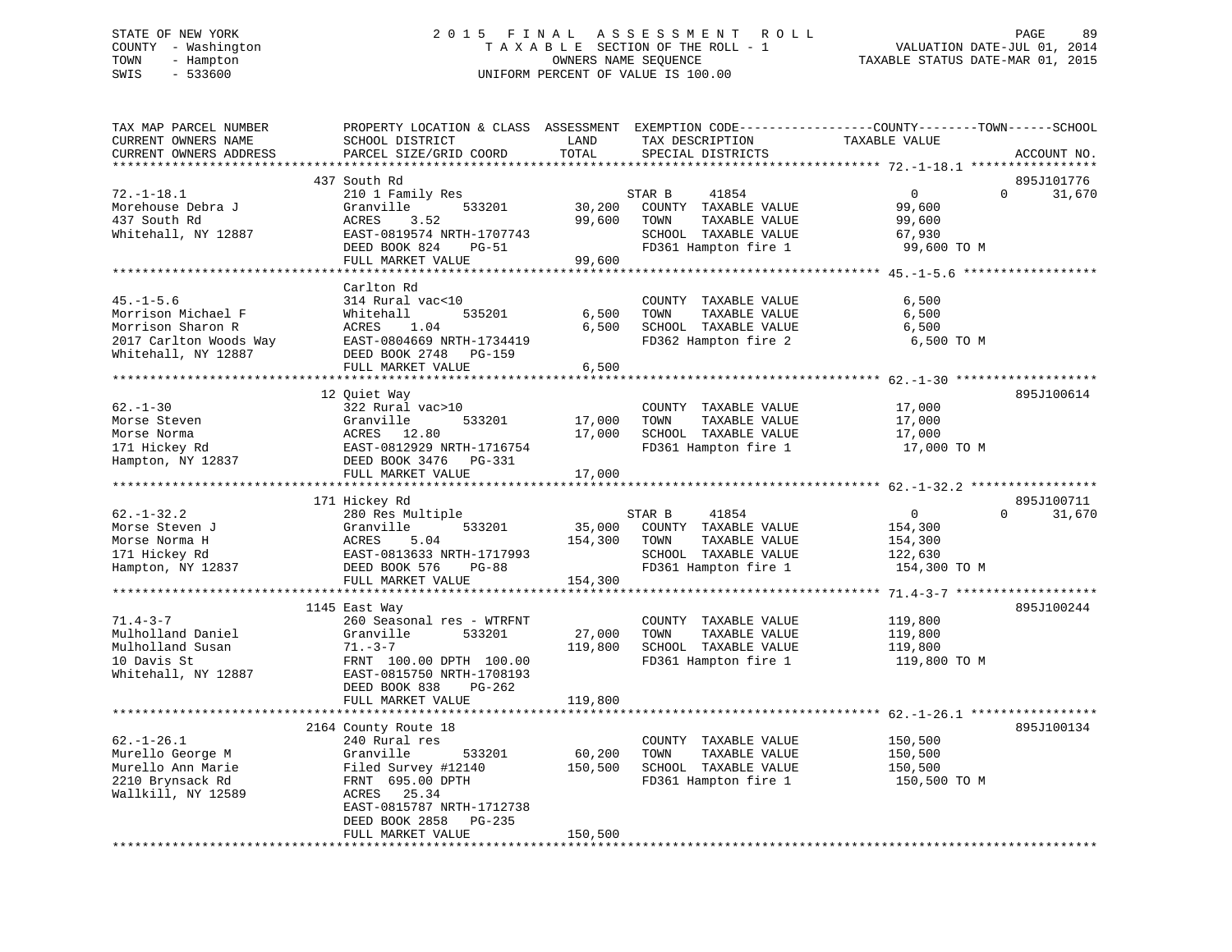#### STATE OF NEW YORK 2 0 1 5 F I N A L A S S E S S M E N T R O L L PAGE 89COUNTY - Washington T A X A B L E SECTION OF THE ROLL - 1 VALUATION DATE-JUL 01, 2014 TOWN - Hampton OWNERS NAME SEQUENCE TAXABLE STATUS DATE-MAR 01, 2015 SWIS - 533600 UNIFORM PERCENT OF VALUE IS 100.00

| TAX MAP PARCEL NUMBER<br>CURRENT OWNERS NAME                         | PROPERTY LOCATION & CLASS ASSESSMENT EXEMPTION CODE----------------COUNTY-------TOWN-----SCHOOL<br>SCHOOL DISTRICT | LAND    | TAX DESCRIPTION       | TAXABLE VALUE    |                        |
|----------------------------------------------------------------------|--------------------------------------------------------------------------------------------------------------------|---------|-----------------------|------------------|------------------------|
| CURRENT OWNERS ADDRESS<br>*********************                      | PARCEL SIZE/GRID COORD                                                                                             | TOTAL   | SPECIAL DISTRICTS     |                  | ACCOUNT NO.            |
|                                                                      | 437 South Rd                                                                                                       |         |                       |                  | 895J101776             |
| $72. - 1 - 18.1$                                                     | 210 1 Family Res                                                                                                   |         | STAR B<br>41854       | $\overline{0}$   | $\Omega$<br>31,670     |
| Morehouse Debra J                                                    | 533201<br>Granville                                                                                                | 30,200  | COUNTY TAXABLE VALUE  | 99,600           |                        |
| 437 South Rd                                                         | 3.52                                                                                                               | 99,600  | TOWN<br>TAXABLE VALUE |                  |                        |
| Whitehall, NY 12887                                                  | ACRES<br>EAST-0819574 NRTH-1707743                                                                                 |         | SCHOOL TAXABLE VALUE  | 99,600<br>67,930 |                        |
|                                                                      |                                                                                                                    |         | FD361 Hampton fire 1  |                  |                        |
|                                                                      | DEED BOOK 824<br>PG-51                                                                                             | 99,600  |                       | 99,600 TO M      |                        |
|                                                                      | FULL MARKET VALUE                                                                                                  |         |                       |                  |                        |
|                                                                      | Carlton Rd                                                                                                         |         |                       |                  |                        |
| $45. - 1 - 5.6$                                                      | 314 Rural vac<10                                                                                                   |         | COUNTY TAXABLE VALUE  | 6,500            |                        |
| Morrison Michael F                                                   | Whitehall<br>535201                                                                                                | 6,500   | TOWN<br>TAXABLE VALUE | 6,500            |                        |
| Morrison Sharon R                                                    | ACRES<br>1.04                                                                                                      | 6,500   | SCHOOL TAXABLE VALUE  | 6,500            |                        |
|                                                                      | EAST-0804669 NRTH-1734419                                                                                          |         | FD362 Hampton fire 2  | 6,500 TO M       |                        |
| 2017 Carlton Woods Way<br>Whitehall. NY 12887<br>Whitehall, NY 12887 | DEED BOOK 2748 PG-159                                                                                              |         |                       |                  |                        |
|                                                                      | FULL MARKET VALUE                                                                                                  |         |                       |                  |                        |
|                                                                      |                                                                                                                    | 6,500   |                       |                  |                        |
|                                                                      |                                                                                                                    |         |                       |                  | 895J100614             |
|                                                                      | 12 Quiet Way                                                                                                       |         |                       |                  |                        |
| $62 - 1 - 30$                                                        | 322 Rural vac>10                                                                                                   |         | COUNTY TAXABLE VALUE  | 17,000           |                        |
| Morse Steven                                                         | 533201<br>Granville                                                                                                | 17,000  | TOWN<br>TAXABLE VALUE | 17,000           |                        |
| Morse Norma                                                          | ACRES 12.80                                                                                                        | 17,000  | SCHOOL TAXABLE VALUE  | 17,000           |                        |
| 171 Hickey Rd                                                        | EAST-0812929 NRTH-1716754                                                                                          |         | FD361 Hampton fire 1  | 17,000 TO M      |                        |
| Hampton, NY 12837                                                    | DEED BOOK 3476 PG-331                                                                                              |         |                       |                  |                        |
|                                                                      | FULL MARKET VALUE                                                                                                  | 17,000  |                       |                  |                        |
|                                                                      |                                                                                                                    |         |                       |                  |                        |
|                                                                      | 171 Hickey Rd                                                                                                      |         |                       |                  | 895J100711<br>$\Omega$ |
| $62. - 1 - 32.2$                                                     | 280 Res Multiple                                                                                                   |         | STAR B<br>41854       | $\overline{0}$   | 31,670                 |
| Morse Steven J                                                       | 533201<br>Granville                                                                                                | 35,000  | COUNTY TAXABLE VALUE  | 154,300          |                        |
| Morse Norma H                                                        | ACRES<br>5.04                                                                                                      | 154,300 | TOWN<br>TAXABLE VALUE | 154,300          |                        |
| 171 Hickey Rd                                                        | EAST-0813633 NRTH-1717993                                                                                          |         | SCHOOL TAXABLE VALUE  | 122,630          |                        |
| Hampton, NY 12837                                                    | DEED BOOK 576<br>PG-88                                                                                             |         | FD361 Hampton fire 1  | 154,300 TO M     |                        |
|                                                                      | FULL MARKET VALUE                                                                                                  | 154,300 |                       |                  |                        |
|                                                                      |                                                                                                                    |         |                       |                  |                        |
|                                                                      | 1145 East Way                                                                                                      |         |                       |                  | 895J100244             |
| $71.4 - 3 - 7$                                                       | 260 Seasonal res - WTRFNT                                                                                          |         | COUNTY TAXABLE VALUE  | 119,800          |                        |
| Mulholland Daniel                                                    | Granville<br>533201                                                                                                | 27,000  | TOWN<br>TAXABLE VALUE | 119,800          |                        |
| Mulholland Susan                                                     | $71. - 3 - 7$                                                                                                      | 119,800 | SCHOOL TAXABLE VALUE  | 119,800          |                        |
| 10 Davis St                                                          | FRNT 100.00 DPTH 100.00                                                                                            |         | FD361 Hampton fire 1  | 119,800 TO M     |                        |
| Whitehall, NY 12887                                                  | EAST-0815750 NRTH-1708193                                                                                          |         |                       |                  |                        |
|                                                                      | DEED BOOK 838<br>PG-262                                                                                            |         |                       |                  |                        |
|                                                                      | FULL MARKET VALUE                                                                                                  | 119,800 |                       |                  |                        |
|                                                                      |                                                                                                                    |         |                       |                  |                        |
|                                                                      | 2164 County Route 18                                                                                               |         |                       |                  | 895J100134             |
| $62. - 1 - 26.1$                                                     | 240 Rural res                                                                                                      |         | COUNTY TAXABLE VALUE  | 150,500          |                        |
| Murello George M                                                     | Granville<br>533201                                                                                                | 60,200  | TOWN<br>TAXABLE VALUE | 150,500          |                        |
| Murello Ann Marie                                                    | Filed Survey #12140                                                                                                | 150,500 | SCHOOL TAXABLE VALUE  | 150,500          |                        |
| 2210 Brynsack Rd                                                     | FRNT 695.00 DPTH                                                                                                   |         | FD361 Hampton fire 1  | 150,500 ТО М     |                        |
| Wallkill, NY 12589                                                   | ACRES 25.34                                                                                                        |         |                       |                  |                        |
|                                                                      | EAST-0815787 NRTH-1712738                                                                                          |         |                       |                  |                        |
|                                                                      | DEED BOOK 2858<br>PG-235                                                                                           |         |                       |                  |                        |
|                                                                      | FULL MARKET VALUE                                                                                                  | 150,500 |                       |                  |                        |
|                                                                      |                                                                                                                    |         |                       |                  |                        |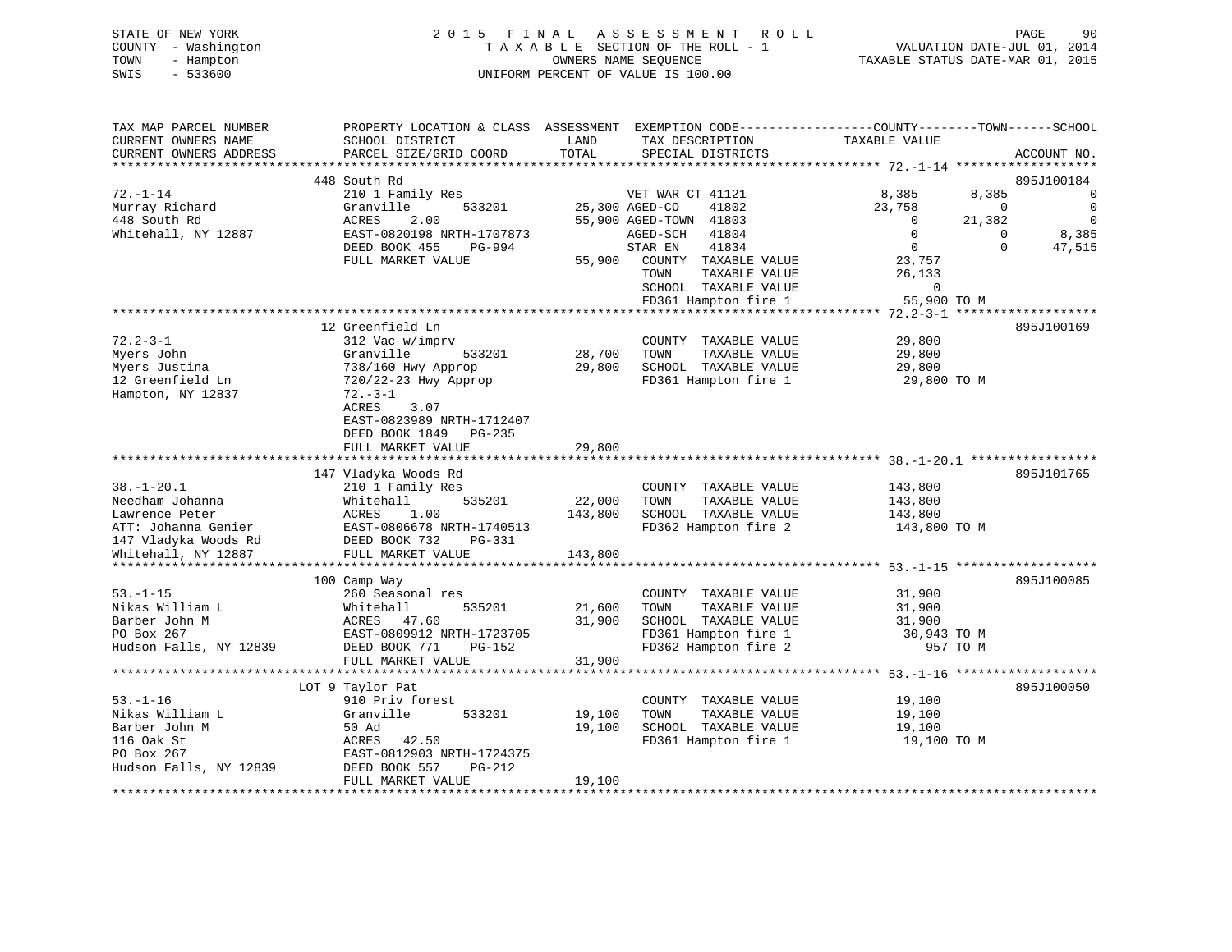|      | STATE OF NEW YORK   | 2015 FINAL ASSESSMENT ROLL         | PAGE                             | 90 |
|------|---------------------|------------------------------------|----------------------------------|----|
|      | COUNTY - Washington | TAXABLE SECTION OF THE ROLL - 1    | VALUATION DATE-JUL 01, 2014      |    |
| TOWN | - Hampton           | OWNERS NAME SEOUENCE               | TAXABLE STATUS DATE-MAR 01, 2015 |    |
| SWIS | - 533600            | UNIFORM PERCENT OF VALUE IS 100.00 |                                  |    |
|      |                     |                                    |                                  |    |

| TAX MAP PARCEL NUMBER  | PROPERTY LOCATION & CLASS ASSESSMENT EXEMPTION CODE----------------COUNTY-------TOWN------SCHOOL |            |                        |                             |                                                    |                |                |
|------------------------|--------------------------------------------------------------------------------------------------|------------|------------------------|-----------------------------|----------------------------------------------------|----------------|----------------|
| CURRENT OWNERS NAME    | SCHOOL DISTRICT                                                                                  | LAND       |                        | TAX DESCRIPTION             | TAXABLE VALUE                                      |                |                |
| CURRENT OWNERS ADDRESS | PARCEL SIZE/GRID COORD                                                                           | TOTAL      |                        | SPECIAL DISTRICTS           |                                                    |                | ACCOUNT NO.    |
|                        |                                                                                                  |            |                        |                             |                                                    |                |                |
|                        | 448 South Rd                                                                                     |            |                        |                             |                                                    |                | 895J100184     |
| $72. - 1 - 14$         | 210 1 Family Res                                                                                 |            | VET WAR CT 41121       |                             | 8,385                                              | 8,385          | 0              |
| Murray Richard         | 533201<br>Granville                                                                              |            | 25,300 AGED-CO         | 41802                       | 23,758                                             | $\overline{0}$ | $\mathbf 0$    |
| 448 South Rd           | 2.00<br>ACRES                                                                                    |            |                        |                             | $\overline{\phantom{0}}$                           | 21,382         | $\overline{0}$ |
|                        |                                                                                                  |            | 55,900 AGED-TOWN 41803 |                             | $\Omega$                                           |                |                |
| Whitehall, NY 12887    | EAST-0820198 NRTH-1707873                                                                        |            | AGED-SCH               | 41804                       |                                                    | $\Omega$       | 8,385          |
|                        | DEED BOOK 455<br>PG-994                                                                          |            | STAR EN                | 41834                       | $\overline{0}$                                     | $\Omega$       | 47,515         |
|                        | FULL MARKET VALUE                                                                                |            |                        | 55,900 COUNTY TAXABLE VALUE | 23,757                                             |                |                |
|                        |                                                                                                  |            | TOWN                   | TAXABLE VALUE               | 26,133                                             |                |                |
|                        |                                                                                                  |            |                        | SCHOOL TAXABLE VALUE        | $\Omega$                                           |                |                |
|                        |                                                                                                  |            |                        | FD361 Hampton fire 1        | 55,900 TO M                                        |                |                |
|                        |                                                                                                  |            |                        |                             |                                                    |                |                |
|                        | 12 Greenfield Ln                                                                                 |            |                        |                             |                                                    |                | 895J100169     |
| $72.2 - 3 - 1$         | 312 Vac w/imprv                                                                                  |            |                        | COUNTY TAXABLE VALUE        | 29,800                                             |                |                |
| Myers John             | Granville<br>533201                                                                              | 28,700     | TOWN                   | TAXABLE VALUE               | 29,800                                             |                |                |
| Myers Justina          | 738/160 Hwy Approp                                                                               | 29,800     |                        | SCHOOL TAXABLE VALUE        | 29,800                                             |                |                |
| 12 Greenfield Ln       | 720/22-23 Hwy Approp                                                                             |            |                        | FD361 Hampton fire 1        | 29,800 TO M                                        |                |                |
| Hampton, NY 12837      | $72. - 3 - 1$                                                                                    |            |                        |                             |                                                    |                |                |
|                        |                                                                                                  |            |                        |                             |                                                    |                |                |
|                        | ACRES<br>3.07                                                                                    |            |                        |                             |                                                    |                |                |
|                        | EAST-0823989 NRTH-1712407                                                                        |            |                        |                             |                                                    |                |                |
|                        | DEED BOOK 1849<br>$PG-235$                                                                       |            |                        |                             |                                                    |                |                |
|                        | FULL MARKET VALUE                                                                                | 29,800     |                        |                             |                                                    |                |                |
|                        |                                                                                                  |            |                        |                             |                                                    |                |                |
|                        | 147 Vladyka Woods Rd                                                                             |            |                        |                             |                                                    |                | 895J101765     |
| $38. - 1 - 20.1$       | 210 1 Family Res                                                                                 |            |                        | COUNTY TAXABLE VALUE        | 143,800                                            |                |                |
| Needham Johanna        | 535201<br>Whitehall                                                                              | 22,000     | TOWN                   | TAXABLE VALUE               | 143,800                                            |                |                |
| Lawrence Peter         | ACRES<br>1.00                                                                                    | 143,800    |                        | SCHOOL TAXABLE VALUE        | 143,800                                            |                |                |
| ATT: Johanna Genier    | EAST-0806678 NRTH-1740513                                                                        |            |                        | FD362 Hampton fire 2        | 143,800 TO M                                       |                |                |
| 147 Vladyka Woods Rd   | DEED BOOK 732<br>PG-331                                                                          |            |                        |                             |                                                    |                |                |
| Whitehall, NY 12887    | FULL MARKET VALUE                                                                                | 143,800    |                        |                             |                                                    |                |                |
|                        | *************************                                                                        | ********** |                        |                             | ********************* 53.-1-15 ******************* |                |                |
|                        | 100 Camp Way                                                                                     |            |                        |                             |                                                    |                | 895J100085     |
| $53. - 1 - 15$         | 260 Seasonal res                                                                                 |            |                        | COUNTY TAXABLE VALUE        | 31,900                                             |                |                |
| Nikas William L        | 535201<br>Whitehall                                                                              | 21,600     | TOWN                   | TAXABLE VALUE               | 31,900                                             |                |                |
| Barber John M          | ACRES 47.60                                                                                      | 31,900     |                        | SCHOOL TAXABLE VALUE        |                                                    |                |                |
|                        |                                                                                                  |            |                        |                             | 31,900                                             |                |                |
| PO Box 267             | EAST-0809912 NRTH-1723705                                                                        |            |                        | FD361 Hampton fire 1        | 30,943 TO M                                        |                |                |
| Hudson Falls, NY 12839 | DEED BOOK 771<br>PG-152                                                                          |            |                        | FD362 Hampton fire 2        |                                                    | 957 TO M       |                |
|                        | FULL MARKET VALUE                                                                                | 31,900     |                        |                             |                                                    |                |                |
|                        |                                                                                                  |            |                        |                             |                                                    |                |                |
|                        | LOT 9 Taylor Pat                                                                                 |            |                        |                             |                                                    |                | 895J100050     |
| $53. - 1 - 16$         | 910 Priv forest                                                                                  |            |                        | COUNTY TAXABLE VALUE        | 19,100                                             |                |                |
| Nikas William L        | Granville<br>533201                                                                              | 19,100     | TOWN                   | TAXABLE VALUE               | 19,100                                             |                |                |
| Barber John M          | 50 Ad                                                                                            | 19,100     |                        | SCHOOL TAXABLE VALUE        | 19,100                                             |                |                |
| 116 Oak St             | 42.50<br>ACRES                                                                                   |            |                        | FD361 Hampton fire 1        | 19,100 TO M                                        |                |                |
| PO Box 267             | EAST-0812903 NRTH-1724375                                                                        |            |                        |                             |                                                    |                |                |
| Hudson Falls, NY 12839 | DEED BOOK 557<br>$PG-212$                                                                        |            |                        |                             |                                                    |                |                |
|                        | FULL MARKET VALUE                                                                                | 19,100     |                        |                             |                                                    |                |                |
|                        |                                                                                                  |            |                        |                             |                                                    |                |                |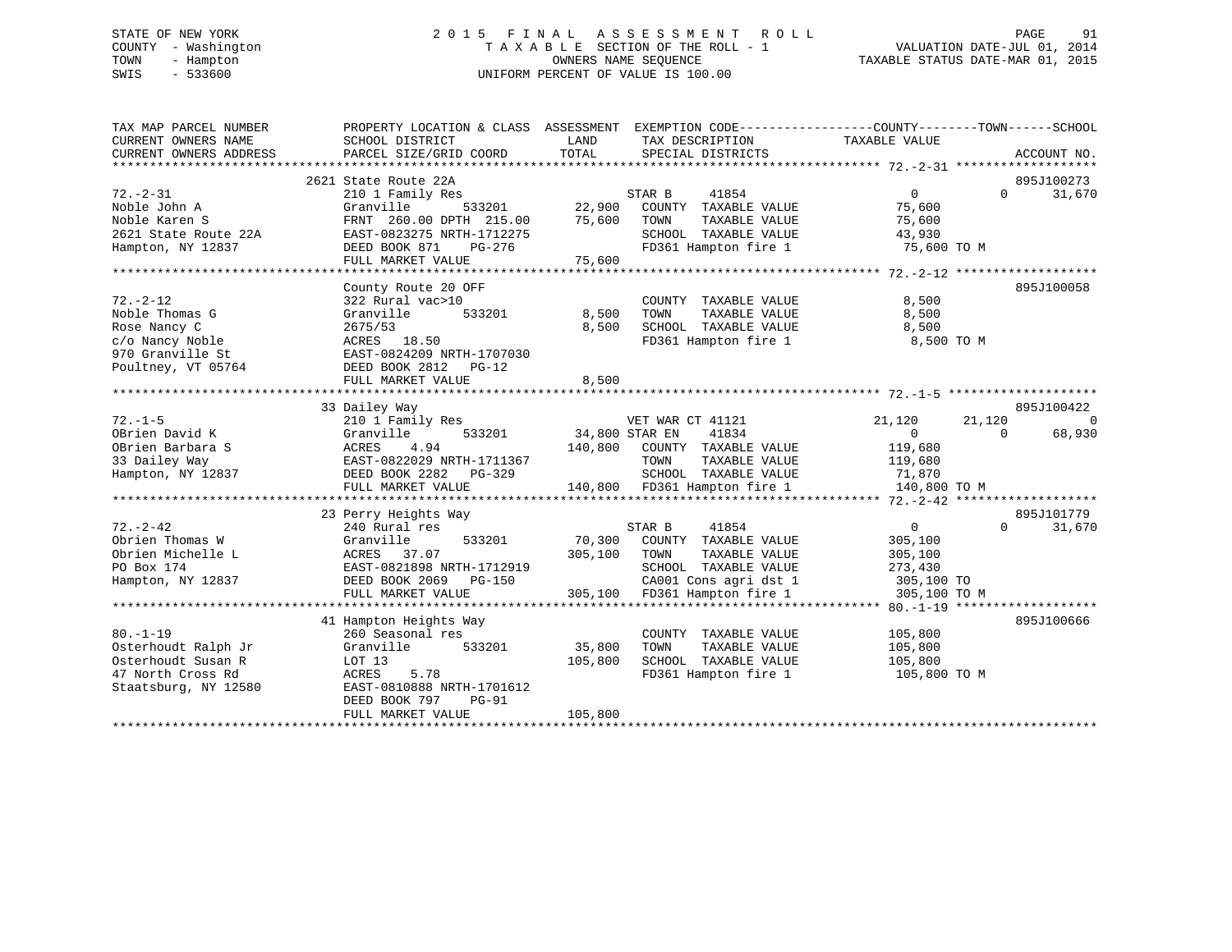# STATE OF NEW YORK 2 0 1 5 F I N A L A S S E S S M E N T R O L L PAGE 91 COUNTY - Washington T A X A B L E SECTION OF THE ROLL - 1 VALUATION DATE-JUL 01, 2014 TOWN - Hampton OWNERS NAME SEQUENCE TAXABLE STATUS DATE-MAR 01, 2015 SWIS - 533600 UNIFORM PERCENT OF VALUE IS 100.00

| TAX MAP PARCEL NUMBER                  | PROPERTY LOCATION & CLASS ASSESSMENT EXEMPTION CODE----------------COUNTY-------TOWN-----SCHOOL                                   |                       |                                                            |                    |          |                        |
|----------------------------------------|-----------------------------------------------------------------------------------------------------------------------------------|-----------------------|------------------------------------------------------------|--------------------|----------|------------------------|
| CURRENT OWNERS NAME                    | SCHOOL DISTRICT                                                                                                                   | LAND                  | TAX DESCRIPTION                                            | TAXABLE VALUE      |          |                        |
| CURRENT OWNERS ADDRESS                 | PARCEL SIZE/GRID COORD                                                                                                            | TOTAL                 | SPECIAL DISTRICTS                                          |                    |          | ACCOUNT NO.            |
|                                        |                                                                                                                                   |                       |                                                            |                    |          |                        |
|                                        | 2621 State Route 22A                                                                                                              |                       |                                                            |                    |          | 895J100273             |
| $72. - 2 - 31$                         | 210 1 Family Res                                                                                                                  |                       |                                                            | $\overline{0}$     | $\Omega$ | 31,670                 |
| Noble John A                           | Granville                                                                                                                         |                       |                                                            | 75,600             |          |                        |
| Noble Karen S                          | FRNT 260.00 DPTH 215.00 75,600 TOWN                                                                                               |                       | TAXABLE VALUE                                              | 75,600             |          |                        |
|                                        | 2621 State Route 22A EAST-0823275 NRTH-1712275                                                                                    |                       | SCHOOL TAXABLE VALUE                                       | 43,930             |          |                        |
| Hampton, NY 12837                      | DEED BOOK 871<br>PG-276                                                                                                           |                       | FD361 Hampton fire 1                                       | 75,600 TO M        |          |                        |
|                                        | FULL MARKET VALUE                                                                                                                 | 75,600                |                                                            |                    |          |                        |
|                                        |                                                                                                                                   |                       |                                                            |                    |          |                        |
|                                        | County Route 20 OFF                                                                                                               |                       |                                                            |                    |          | 895J100058             |
| $72. - 2 - 12$                         | 322 Rural vac>10                                                                                                                  |                       | COUNTY TAXABLE VALUE                                       | 8,500              |          |                        |
| Noble Thomas G                         | Granville<br>533201                                                                                                               | 8,500                 | TOWN TAXABLE VALUE $8,500$<br>SCHOOL TAXABLE VALUE $8,500$ |                    |          |                        |
| Rose Nancy C                           | 2675/53                                                                                                                           | 8,500                 |                                                            |                    |          |                        |
| c/o Nancy Noble                        | ACRES 18.50<br>EAST-0824209 NRTH-1707030                                                                                          |                       | FD361 Hampton fire 1 8,500 TO M                            |                    |          |                        |
| 970 Granville St<br>Poultney, VT 05764 |                                                                                                                                   |                       |                                                            |                    |          |                        |
|                                        | DEED BOOK 2812 PG-12                                                                                                              |                       |                                                            |                    |          |                        |
|                                        | FULL MARKET VALUE                                                                                                                 | 8,500                 |                                                            |                    |          |                        |
|                                        |                                                                                                                                   |                       |                                                            |                    |          |                        |
| $72. - 1 - 5$                          | 33 Dailey Way<br>210 1 Family Res                                                                                                 |                       |                                                            |                    | 21,120   | 895J100422<br>$\Omega$ |
| OBrien David K                         |                                                                                                                                   | 533201 34,800 STAR EN | VET WAR CT 41121<br>41834                                  | 21,120<br>$\Omega$ | $\Omega$ | 68,930                 |
|                                        | Granville                                                                                                                         |                       | 140,800 COUNTY TAXABLE VALUE                               | 119,680            |          |                        |
|                                        | Change of the Barbara States and ACRES 4.94<br>33 Dailey Way BAST-0822029 NRTH-1711367<br>Hampton, NY 12837 DEED BOOK 2282 PG-329 |                       | TOWN<br>TAXABLE VALUE                                      | 119,680            |          |                        |
|                                        |                                                                                                                                   |                       | SCHOOL TAXABLE VALUE 71,870                                |                    |          |                        |
|                                        | FULL MARKET VALUE                                                                                                                 |                       | 140,800 FD361 Hampton fire 1                               | 140,800 TO M       |          |                        |
|                                        |                                                                                                                                   |                       |                                                            |                    |          |                        |
|                                        | 23 Perry Heights Way                                                                                                              |                       |                                                            |                    |          | 895J101779             |
| $72. - 2 - 42$                         | 240 Rural res                                                                                                                     | STAR B                | 41854                                                      | 0                  | $\Omega$ | 31,670                 |
| Obrien Thomas W                        | Granville<br>533201                                                                                                               |                       | 70,300 COUNTY TAXABLE VALUE                                | 305,100            |          |                        |
| Obrien Michelle L                      | 37.07                                                                                                                             | 305,100 TOWN          | TAXABLE VALUE                                              | 305,100            |          |                        |
| PO Box 174                             | ACRES<br>EAST-0<br>EAST-0821898 NRTH-1712919                                                                                      |                       | SCHOOL TAXABLE VALUE                                       |                    |          |                        |
| Hampton, NY 12837                      | DEED BOOK 2069 PG-150                                                                                                             |                       |                                                            |                    |          |                        |
|                                        | FULL MARKET VALUE                                                                                                                 |                       |                                                            | 305,100 TO M       |          |                        |
|                                        |                                                                                                                                   |                       |                                                            |                    |          |                        |
|                                        | 41 Hampton Heights Way                                                                                                            |                       |                                                            |                    |          | 895J100666             |
| $80. - 1 - 19$                         | 260 Seasonal res                                                                                                                  |                       | COUNTY TAXABLE VALUE                                       | 105,800            |          |                        |
| Osterhoudt Ralph Jr                    | 533201<br>Granville                                                                                                               | 35,800<br>TOWN        | TAXABLE VALUE                                              | 105,800            |          |                        |
| Osterhoudt Susan R                     | LOT 13                                                                                                                            | 105,800               | SCHOOL TAXABLE VALUE                                       | 105,800            |          |                        |
| 47 North Cross Rd                      | ACRES<br>5.78                                                                                                                     |                       | FD361 Hampton fire 1                                       | 105,800 TO M       |          |                        |
| Staatsburg, NY 12580                   | EAST-0810888 NRTH-1701612                                                                                                         |                       |                                                            |                    |          |                        |
|                                        | DEED BOOK 797<br>$PG-91$                                                                                                          |                       |                                                            |                    |          |                        |
|                                        | FULL MARKET VALUE                                                                                                                 | 105,800               |                                                            |                    |          |                        |
|                                        |                                                                                                                                   |                       |                                                            |                    |          |                        |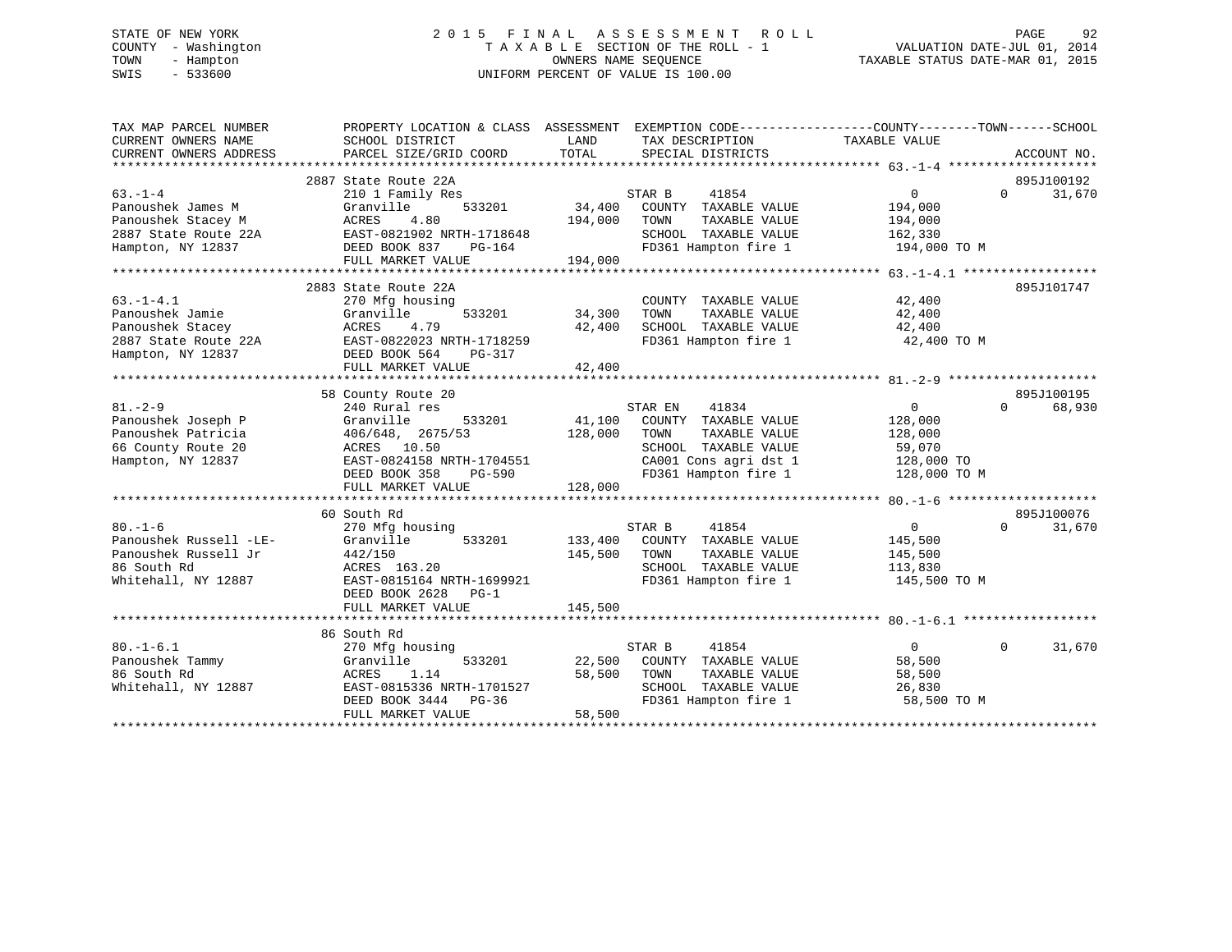# STATE OF NEW YORK 2 0 1 5 F I N A L A S S E S S M E N T R O L L PAGE 92 COUNTY - Washington T A X A B L E SECTION OF THE ROLL - 1 VALUATION DATE-JUL 01, 2014 TOWN - Hampton OWNERS NAME SEQUENCE TAXABLE STATUS DATE-MAR 01, 2015 SWIS - 533600 UNIFORM PERCENT OF VALUE IS 100.00

| TAX MAP PARCEL NUMBER  | PROPERTY LOCATION & CLASS ASSESSMENT EXEMPTION CODE----------------COUNTY-------TOWN------SCHOOL |          |                              |                   |          |             |
|------------------------|--------------------------------------------------------------------------------------------------|----------|------------------------------|-------------------|----------|-------------|
| CURRENT OWNERS NAME    | SCHOOL DISTRICT                                                                                  | LAND     | TAX DESCRIPTION              | TAXABLE VALUE     |          |             |
| CURRENT OWNERS ADDRESS | PARCEL SIZE/GRID COORD                                                                           | TOTAL    | SPECIAL DISTRICTS            |                   |          | ACCOUNT NO. |
|                        |                                                                                                  |          |                              |                   |          |             |
|                        | 2887 State Route 22A                                                                             |          |                              |                   |          | 895J100192  |
| $63 - 1 - 4$           | 210 1 Family Res                                                                                 |          | 41854<br>STAR B              | $\overline{0}$    | $\Omega$ | 31,670      |
| Panoushek James M      | 533201<br>Granville                                                                              | 34,400   | COUNTY TAXABLE VALUE         | 194,000           |          |             |
| Panoushek Stacey M     | ACRES<br>4.80                                                                                    | 194,000  | TOWN<br>TAXABLE VALUE        | 194,000           |          |             |
| 2887 State Route 22A   | EAST-0821902 NRTH-1718648                                                                        |          | SCHOOL TAXABLE VALUE         | 162,330           |          |             |
| Hampton, NY 12837      | EAST-0821902 N<br>DEED BOOK 837<br>PG-164                                                        |          | FD361 Hampton fire 1         | 194,000 TO M      |          |             |
|                        | FULL MARKET VALUE                                                                                | 194,000  |                              |                   |          |             |
|                        |                                                                                                  |          |                              |                   |          |             |
|                        | 2883 State Route 22A                                                                             |          |                              |                   |          | 895J101747  |
| $63. -1 - 4.1$         | 270 Mfg housing                                                                                  |          | COUNTY TAXABLE VALUE         | 42,400            |          |             |
| Panoushek Jamie        | 533201<br>Granville                                                                              | 34,300   | TOWN<br>TAXABLE VALUE        | 42,400            |          |             |
| Panoushek Stacey       | ACRES<br>4.79                                                                                    | 42,400   | SCHOOL TAXABLE VALUE         | 42,400            |          |             |
| 2887 State Route 22A   | EAST-0822023 NRTH-1718259                                                                        |          | FD361 Hampton fire 1         | 42,400 TO M       |          |             |
| Hampton, NY 12837      | DEED BOOK 564<br>PG-317                                                                          |          |                              |                   |          |             |
|                        | FULL MARKET VALUE                                                                                | 42,400   |                              |                   |          |             |
|                        |                                                                                                  |          |                              |                   |          |             |
|                        | 58 County Route 20                                                                               |          |                              |                   |          | 895J100195  |
| $81 - 2 - 9$           | 240 Rural res                                                                                    |          | STAR EN<br>41834             | 0                 | $\Omega$ | 68,930      |
| Panoushek Joseph P     | 533201<br>Granville                                                                              | 41,100   | COUNTY TAXABLE VALUE         | 128,000           |          |             |
| Panoushek Patricia     | 406/648, 2675/53                                                                                 | 128,000  | TOWN<br>TAXABLE VALUE        | 128,000           |          |             |
| 66 County Route 20     | ACRES 10.50                                                                                      |          | SCHOOL TAXABLE VALUE         | 59,070            |          |             |
| Hampton, NY 12837      | EAST-0824158 NRTH-1704551                                                                        |          | CA001 Cons agri dst 1        | 128,000 TO        |          |             |
|                        | DEED BOOK 358                                                                                    | $PG-590$ | FD361 Hampton fire 1         | 128,000 TO M      |          |             |
|                        | FULL MARKET VALUE                                                                                | 128,000  |                              |                   |          |             |
|                        |                                                                                                  |          |                              |                   |          |             |
|                        | 60 South Rd                                                                                      |          |                              |                   |          | 895J100076  |
| $80. - 1 - 6$          | 270 Mfg housing                                                                                  |          | STAR B<br>41854              | $0 \qquad \qquad$ | $\Omega$ | 31,670      |
| Panoushek Russell -LE- | 533201<br>Granville                                                                              |          | 133,400 COUNTY TAXABLE VALUE | 145,500           |          |             |
| Panoushek Russell Jr   | 442/150                                                                                          | 145,500  | TOWN<br>TAXABLE VALUE        | 145,500           |          |             |
| 86 South Rd            | ACRES 163.20                                                                                     |          | SCHOOL TAXABLE VALUE         | 113,830           |          |             |
| Whitehall, NY 12887    | EAST-0815164 NRTH-1699921                                                                        |          | FD361 Hampton fire 1         | 145,500 TO M      |          |             |
|                        | DEED BOOK 2628<br>$PG-1$                                                                         |          |                              |                   |          |             |
|                        | FULL MARKET VALUE                                                                                | 145,500  |                              |                   |          |             |
|                        |                                                                                                  |          |                              |                   |          |             |
|                        | 86 South Rd                                                                                      |          |                              |                   |          |             |
| $80. - 1 - 6.1$        | 270 Mfg housing                                                                                  |          | STAR B<br>41854              | $\overline{0}$    | $\Omega$ | 31,670      |
| Panoushek Tammy        | 533201<br>Granville                                                                              | 22,500   | COUNTY TAXABLE VALUE         | 58,500            |          |             |
| 86 South Rd            | ACRES 1.14                                                                                       | 58,500   | TOWN<br>TAXABLE VALUE        | 58,500            |          |             |
| Whitehall, NY 12887    | EAST-0815336 NRTH-1701527                                                                        |          | SCHOOL TAXABLE VALUE         | 26,830            |          |             |
|                        | DEED BOOK 3444 PG-36                                                                             |          | FD361 Hampton fire 1         | 58,500 TO M       |          |             |
|                        | FULL MARKET VALUE                                                                                | 58,500   |                              |                   |          |             |
|                        |                                                                                                  |          |                              |                   |          |             |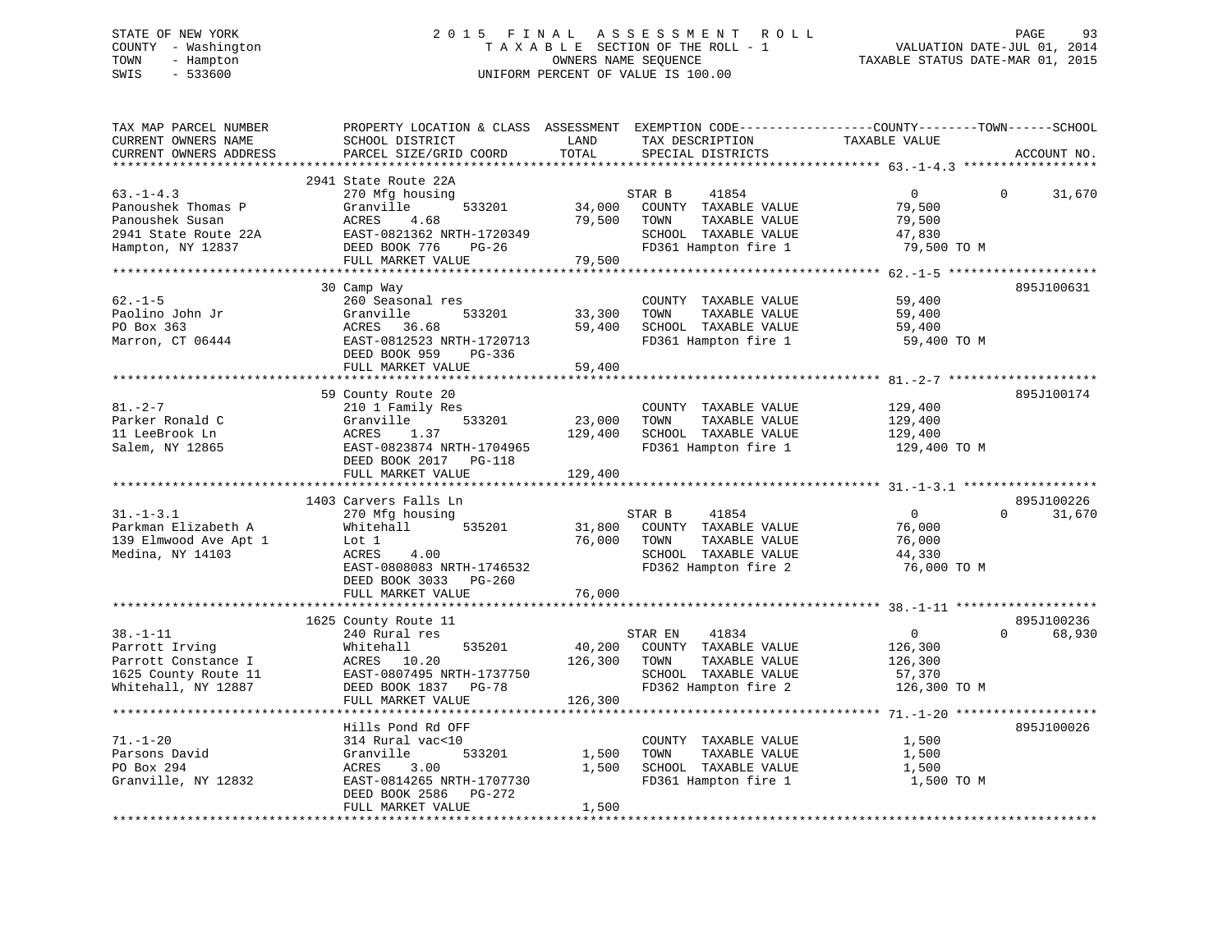# STATE OF NEW YORK 2 0 1 5 F I N A L A S S E S S M E N T R O L L PAGE 93 COUNTY - Washington T A X A B L E SECTION OF THE ROLL - 1 VALUATION DATE-JUL 01, 2014 TOWN - Hampton OWNERS NAME SEQUENCE TAXABLE STATUS DATE-MAR 01, 2015 SWIS - 533600 UNIFORM PERCENT OF VALUE IS 100.00

| TAX MAP PARCEL NUMBER<br>CURRENT OWNERS NAME<br>CURRENT OWNERS ADDRESS                                 | PROPERTY LOCATION & CLASS ASSESSMENT<br>SCHOOL DISTRICT<br>PARCEL SIZE/GRID COORD                                                                                   | LAND<br>TOTAL                | TAX DESCRIPTION<br>SPECIAL DISTRICTS                                                                              | EXEMPTION CODE-----------------COUNTY-------TOWN------SCHOOL<br>TAXABLE VALUE | ACCOUNT NO.           |
|--------------------------------------------------------------------------------------------------------|---------------------------------------------------------------------------------------------------------------------------------------------------------------------|------------------------------|-------------------------------------------------------------------------------------------------------------------|-------------------------------------------------------------------------------|-----------------------|
|                                                                                                        | **********************                                                                                                                                              | *********                    |                                                                                                                   |                                                                               |                       |
| $63. - 1 - 4.3$<br>Panoushek Thomas P<br>Panoushek Susan<br>2941 State Route 22A<br>Hampton, NY 12837  | 2941 State Route 22A<br>270 Mfg housing<br>Granville<br>533201<br>ACRES<br>4.68<br>EAST-0821362 NRTH-1720349<br>DEED BOOK 776<br>$PG-26$<br>FULL MARKET VALUE       | 34,000<br>79,500<br>79,500   | STAR B<br>41854<br>COUNTY TAXABLE VALUE<br>TOWN<br>TAXABLE VALUE<br>SCHOOL TAXABLE VALUE<br>FD361 Hampton fire 1  | $\mathbf{0}$<br>79,500<br>79,500<br>47,830<br>79,500 TO M                     | 31,670<br>$\mathbf 0$ |
|                                                                                                        |                                                                                                                                                                     |                              |                                                                                                                   |                                                                               |                       |
| $62. -1 - 5$<br>Paolino John Jr<br>PO Box 363<br>Marron, CT 06444                                      | 30 Camp Way<br>260 Seasonal res<br>Granville<br>533201<br>ACRES<br>36.68<br>EAST-0812523 NRTH-1720713<br>DEED BOOK 959<br>PG-336<br>FULL MARKET VALUE               | 33,300<br>59,400<br>59,400   | COUNTY TAXABLE VALUE<br>TAXABLE VALUE<br>TOWN<br>SCHOOL TAXABLE VALUE<br>FD361 Hampton fire 1                     | 59,400<br>59,400<br>59,400<br>59,400 TO M                                     | 895J100631            |
|                                                                                                        |                                                                                                                                                                     |                              |                                                                                                                   |                                                                               |                       |
| $81. - 2 - 7$<br>Parker Ronald C<br>11 LeeBrook Ln<br>Salem, NY 12865                                  | 59 County Route 20<br>210 1 Family Res<br>Granville<br>533201<br>ACRES<br>1.37<br>EAST-0823874 NRTH-1704965<br>DEED BOOK 2017<br><b>PG-118</b><br>FULL MARKET VALUE | 23,000<br>129,400<br>129,400 | COUNTY TAXABLE VALUE<br>TOWN<br>TAXABLE VALUE<br>SCHOOL TAXABLE VALUE<br>FD361 Hampton fire 1                     | 129,400<br>129,400<br>129,400<br>129,400 TO M                                 | 895J100174            |
|                                                                                                        | **********************                                                                                                                                              |                              |                                                                                                                   |                                                                               |                       |
|                                                                                                        | 1403 Carvers Falls Ln                                                                                                                                               |                              |                                                                                                                   |                                                                               | 895J100226            |
| $31. - 1 - 3.1$<br>Parkman Elizabeth A<br>139 Elmwood Ave Apt 1<br>Medina, NY 14103                    | 270 Mfg housing<br>Whitehall<br>535201<br>Lot 1<br>4.00<br>ACRES<br>EAST-0808083 NRTH-1746532<br>DEED BOOK 3033 PG-260<br>FULL MARKET VALUE                         | 31,800<br>76,000<br>76,000   | STAR B<br>41854<br>COUNTY TAXABLE VALUE<br>TOWN<br>TAXABLE VALUE<br>SCHOOL TAXABLE VALUE<br>FD362 Hampton fire 2  | $\overline{0}$<br>76,000<br>76,000<br>44,330<br>76,000 TO M                   | $\Omega$<br>31,670    |
|                                                                                                        |                                                                                                                                                                     |                              |                                                                                                                   |                                                                               |                       |
|                                                                                                        | 1625 County Route 11                                                                                                                                                |                              |                                                                                                                   |                                                                               | 895J100236            |
| $38. - 1 - 11$<br>Parrott Irving<br>Parrott Constance I<br>1625 County Route 11<br>Whitehall, NY 12887 | 240 Rural res<br>Whitehall<br>535201<br>ACRES<br>10.20<br>EAST-0807495 NRTH-1737750<br>DEED BOOK 1837<br>PG-78                                                      | 40,200<br>126,300            | STAR EN<br>41834<br>COUNTY TAXABLE VALUE<br>TAXABLE VALUE<br>TOWN<br>SCHOOL TAXABLE VALUE<br>FD362 Hampton fire 2 | $\mathbf{0}$<br>126,300<br>126,300<br>57,370<br>126,300 TO M                  | 68,930<br>$\Omega$    |
|                                                                                                        | FULL MARKET VALUE                                                                                                                                                   | 126,300                      |                                                                                                                   |                                                                               |                       |
|                                                                                                        | **********************<br>Hills Pond Rd OFF                                                                                                                         |                              |                                                                                                                   |                                                                               | 895J100026            |
| $71. - 1 - 20$<br>Parsons David<br>PO Box 294<br>Granville, NY 12832                                   | 314 Rural vac<10<br>Granville<br>533201<br>3.00<br>ACRES<br>EAST-0814265 NRTH-1707730<br>DEED BOOK 2586<br>PG-272<br>FULL MARKET VALUE                              | 1,500<br>1,500<br>1,500      | COUNTY TAXABLE VALUE<br>TOWN<br>TAXABLE VALUE<br>SCHOOL TAXABLE VALUE<br>FD361 Hampton fire 1                     | 1,500<br>1,500<br>1,500<br>1,500 TO M                                         |                       |
|                                                                                                        |                                                                                                                                                                     |                              |                                                                                                                   |                                                                               |                       |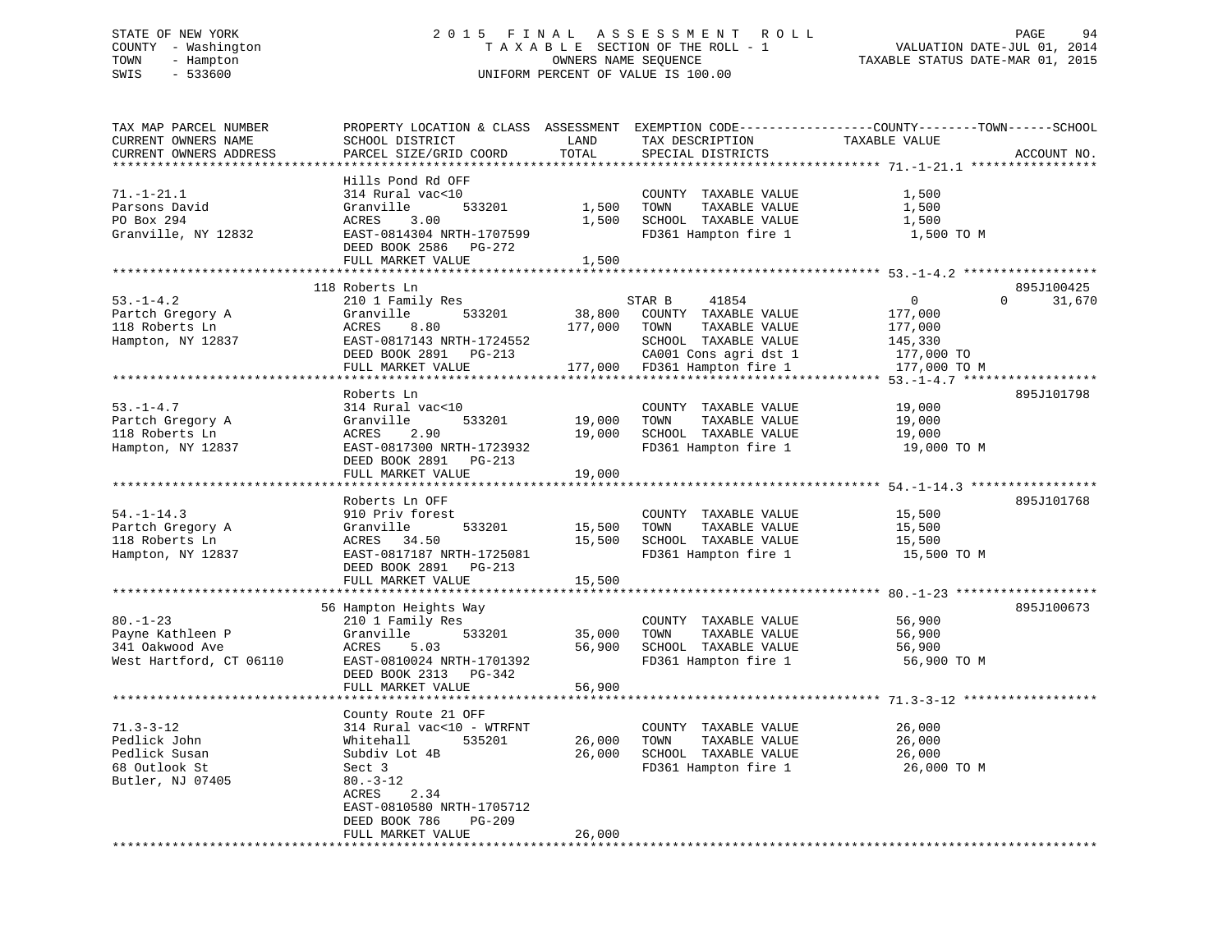# STATE OF NEW YORK 2 0 1 5 F I N A L A S S E S S M E N T R O L L PAGE 94 COUNTY - Washington T A X A B L E SECTION OF THE ROLL - 1 VALUATION DATE-JUL 01, 2014 TOWN - Hampton OWNERS NAME SEQUENCE TAXABLE STATUS DATE-MAR 01, 2015 SWIS - 533600 UNIFORM PERCENT OF VALUE IS 100.00

| TAX MAP PARCEL NUMBER<br>CURRENT OWNERS NAME<br>CURRENT OWNERS ADDRESS                | PROPERTY LOCATION & CLASS ASSESSMENT<br>SCHOOL DISTRICT<br>PARCEL SIZE/GRID COORD                                                                                                                    | LAND<br>TOTAL              | TAX DESCRIPTION<br>SPECIAL DISTRICTS                                                          | EXEMPTION CODE-----------------COUNTY--------TOWN------SCHOOL<br>TAXABLE VALUE<br>ACCOUNT NO. |
|---------------------------------------------------------------------------------------|------------------------------------------------------------------------------------------------------------------------------------------------------------------------------------------------------|----------------------------|-----------------------------------------------------------------------------------------------|-----------------------------------------------------------------------------------------------|
| *******************                                                                   |                                                                                                                                                                                                      | **********                 |                                                                                               |                                                                                               |
| $71. - 1 - 21.1$<br>Parsons David<br>PO Box 294<br>Granville, NY 12832                | Hills Pond Rd OFF<br>314 Rural vac<10<br>Granville<br>533201<br>ACRES<br>3.00<br>EAST-0814304 NRTH-1707599<br>DEED BOOK 2586<br>PG-272                                                               | 1,500<br>1,500             | COUNTY TAXABLE VALUE<br>TAXABLE VALUE<br>TOWN<br>SCHOOL TAXABLE VALUE<br>FD361 Hampton fire 1 | 1,500<br>1,500<br>1,500<br>1,500 TO M                                                         |
|                                                                                       | FULL MARKET VALUE                                                                                                                                                                                    | 1,500<br>**************    |                                                                                               |                                                                                               |
|                                                                                       | 118 Roberts Ln                                                                                                                                                                                       |                            |                                                                                               | 895J100425                                                                                    |
| $53. - 1 - 4.2$<br>Partch Gregory A<br>118 Roberts Ln<br>Hampton, NY 12837            | 210 1 Family Res<br>Granville<br>533201<br>8.80<br>ACRES<br>EAST-0817143 NRTH-1724552<br>DEED BOOK 2891 PG-213                                                                                       | 38,800<br>177,000          | STAR B<br>41854<br>COUNTY TAXABLE VALUE<br>TOWN<br>TAXABLE VALUE<br>SCHOOL TAXABLE VALUE      | $\mathbf{0}$<br>$\Omega$<br>31,670<br>177,000<br>177,000<br>145,330<br>177,000 TO             |
|                                                                                       | FULL MARKET VALUE                                                                                                                                                                                    | 177,000                    | CA001 Cons agri dst 1<br>FD361 Hampton fire 1                                                 | 177,000 TO M                                                                                  |
|                                                                                       |                                                                                                                                                                                                      |                            |                                                                                               |                                                                                               |
| $53. - 1 - 4.7$<br>Partch Gregory A<br>118 Roberts Ln<br>Hampton, NY 12837            | Roberts Ln<br>314 Rural vac<10<br>Granville<br>533201<br>2.90<br>ACRES<br>EAST-0817300 NRTH-1723932<br>DEED BOOK 2891<br>PG-213                                                                      | 19,000<br>19,000           | COUNTY TAXABLE VALUE<br>TOWN<br>TAXABLE VALUE<br>SCHOOL TAXABLE VALUE<br>FD361 Hampton fire 1 | 895J101798<br>19,000<br>19,000<br>19,000<br>19,000 TO M                                       |
|                                                                                       | FULL MARKET VALUE                                                                                                                                                                                    | 19,000                     |                                                                                               |                                                                                               |
|                                                                                       | ***************************                                                                                                                                                                          | ***********                |                                                                                               |                                                                                               |
| $54. - 1 - 14.3$<br>Partch Gregory A<br>118 Roberts Ln<br>Hampton, NY 12837           | Roberts Ln OFF<br>910 Priv forest<br>533201<br>Granville<br>ACRES<br>34.50<br>EAST-0817187 NRTH-1725081<br>DEED BOOK 2891<br>PG-213<br>FULL MARKET VALUE                                             | 15,500<br>15,500<br>15,500 | COUNTY TAXABLE VALUE<br>TAXABLE VALUE<br>TOWN<br>SCHOOL TAXABLE VALUE<br>FD361 Hampton fire 1 | 895J101768<br>15,500<br>15,500<br>15,500<br>15,500 TO M                                       |
|                                                                                       |                                                                                                                                                                                                      |                            |                                                                                               |                                                                                               |
| $80. - 1 - 23$<br>Payne Kathleen P<br>341 Oakwood Ave<br>West Hartford, CT 06110      | 56 Hampton Heights Way<br>210 1 Family Res<br>Granville<br>533201<br>5.03<br>ACRES<br>EAST-0810024 NRTH-1701392<br>DEED BOOK 2313<br>PG-342<br>FULL MARKET VALUE                                     | 35,000<br>56,900<br>56,900 | COUNTY TAXABLE VALUE<br>TAXABLE VALUE<br>TOWN<br>SCHOOL TAXABLE VALUE<br>FD361 Hampton fire 1 | 895J100673<br>56,900<br>56,900<br>56,900<br>56,900 TO M                                       |
|                                                                                       | ******************                                                                                                                                                                                   |                            |                                                                                               | **** 71.3-3-12                                                                                |
| $71.3 - 3 - 12$<br>Pedlick John<br>Pedlick Susan<br>68 Outlook St<br>Butler, NJ 07405 | County Route 21 OFF<br>314 Rural vac<10 - WTRFNT<br>Whitehall<br>535201<br>Subdiv Lot 4B<br>Sect 3<br>$80. - 3 - 12$<br>ACRES<br>2.34<br>EAST-0810580 NRTH-1705712<br><b>PG-209</b><br>DEED BOOK 786 | 26,000<br>26,000           | COUNTY TAXABLE VALUE<br>TOWN<br>TAXABLE VALUE<br>SCHOOL TAXABLE VALUE<br>FD361 Hampton fire 1 | 26,000<br>26,000<br>26,000<br>26,000 TO M                                                     |
| **********************                                                                | FULL MARKET VALUE<br>*******************************                                                                                                                                                 | 26,000<br>**************   |                                                                                               |                                                                                               |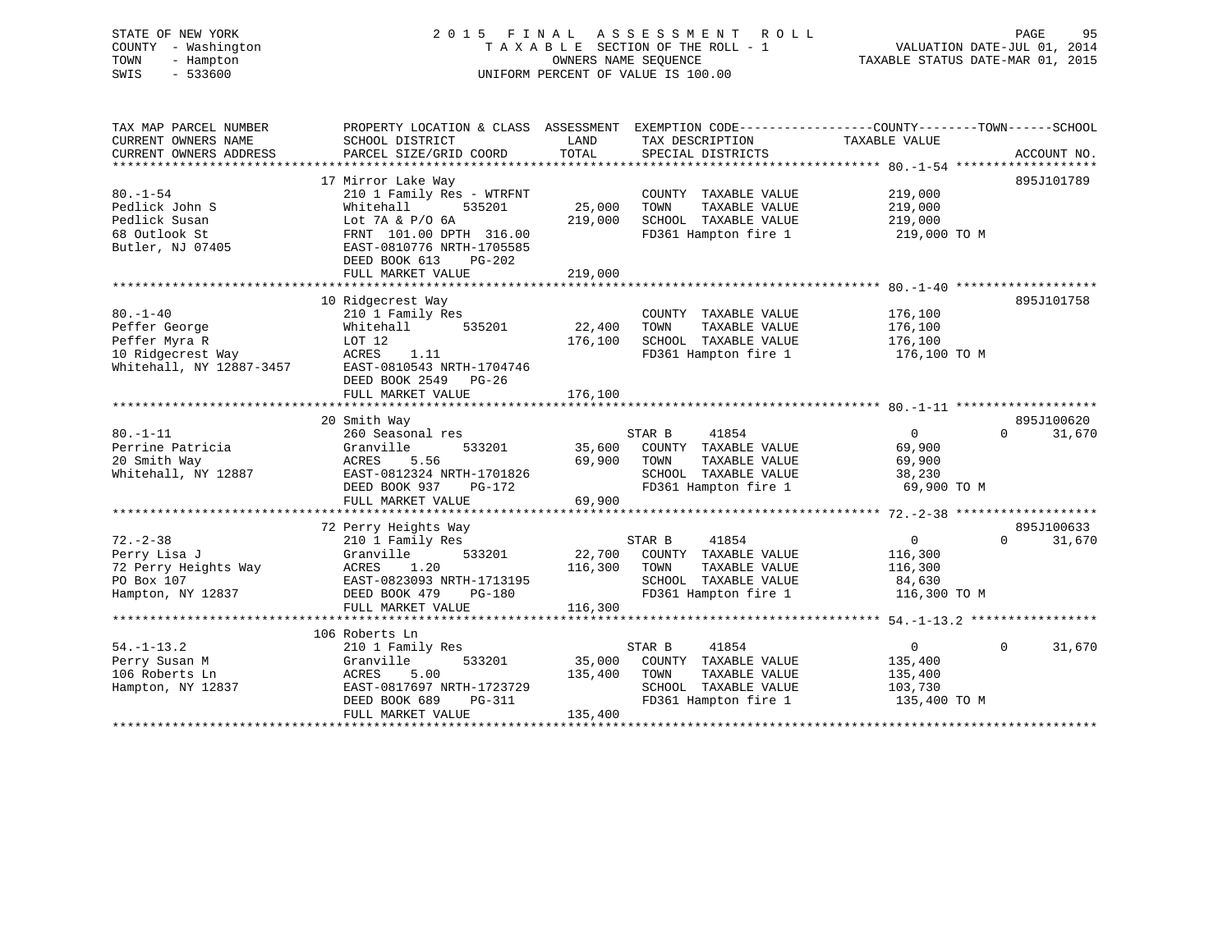# STATE OF NEW YORK 2 0 1 5 F I N A L A S S E S S M E N T R O L L PAGE 95 COUNTY - Washington T A X A B L E SECTION OF THE ROLL - 1 VALUATION DATE-JUL 01, 2014 TOWN - Hampton OWNERS NAME SEQUENCE TAXABLE STATUS DATE-MAR 01, 2015 SWIS - 533600 UNIFORM PERCENT OF VALUE IS 100.00

| TAX MAP PARCEL NUMBER    | PROPERTY LOCATION & CLASS ASSESSMENT |         | EXEMPTION CODE-----------------COUNTY-------TOWN------SCHOOL |                |                    |
|--------------------------|--------------------------------------|---------|--------------------------------------------------------------|----------------|--------------------|
| CURRENT OWNERS NAME      | SCHOOL DISTRICT                      | LAND    | TAX DESCRIPTION                                              | TAXABLE VALUE  |                    |
| CURRENT OWNERS ADDRESS   | PARCEL SIZE/GRID COORD               | TOTAL   | SPECIAL DISTRICTS                                            |                | ACCOUNT NO.        |
|                          |                                      |         |                                                              |                |                    |
|                          | 17 Mirror Lake Way                   |         |                                                              |                | 895J101789         |
| $80. - 1 - 54$           | 210 1 Family Res - WTRFNT            |         | COUNTY TAXABLE VALUE                                         | 219,000        |                    |
| Pedlick John S           | 535201<br>Whitehall                  | 25,000  | TOWN<br>TAXABLE VALUE                                        | 219,000        |                    |
| Pedlick Susan            | Lot 7A & P/O 6A                      | 219,000 | SCHOOL TAXABLE VALUE                                         | 219,000        |                    |
| 68 Outlook St            | FRNT 101.00 DPTH 316.00              |         | FD361 Hampton fire 1                                         | 219,000 TO M   |                    |
| Butler, NJ 07405         | EAST-0810776 NRTH-1705585            |         |                                                              |                |                    |
|                          | DEED BOOK 613<br>PG-202              |         |                                                              |                |                    |
|                          | FULL MARKET VALUE                    | 219,000 |                                                              |                |                    |
|                          |                                      |         |                                                              |                |                    |
|                          | 10 Ridgecrest Way                    |         |                                                              |                | 895J101758         |
| $80. -1 - 40$            | 210 1 Family Res                     |         | COUNTY TAXABLE VALUE                                         | 176,100        |                    |
| Peffer George            | 535201<br>Whitehall                  | 22,400  | TOWN<br>TAXABLE VALUE                                        | 176,100        |                    |
| Peffer Myra R            | LOT 12                               | 176,100 | SCHOOL TAXABLE VALUE                                         | 176,100        |                    |
| 10 Ridgecrest Way        | ACRES<br>1.11                        |         | FD361 Hampton fire 1                                         | 176,100 TO M   |                    |
| Whitehall, NY 12887-3457 | EAST-0810543 NRTH-1704746            |         |                                                              |                |                    |
|                          | DEED BOOK 2549 PG-26                 |         |                                                              |                |                    |
|                          | FULL MARKET VALUE                    | 176,100 |                                                              |                |                    |
|                          |                                      |         |                                                              |                |                    |
|                          | 20 Smith Way                         |         |                                                              |                | 895J100620         |
| $80. -1 - 11$            | 260 Seasonal res                     |         | STAR B<br>41854                                              | $\overline{0}$ | $\Omega$<br>31,670 |
| Perrine Patricia         | 533201<br>Granville                  | 35,600  | COUNTY TAXABLE VALUE                                         | 69,900         |                    |
| 20 Smith Way             | 5.56<br>ACRES                        | 69,900  | TOWN<br>TAXABLE VALUE                                        | 69,900         |                    |
| Whitehall, NY 12887      | EAST-0812324 NRTH-1701826            |         | SCHOOL TAXABLE VALUE                                         | 38,230         |                    |
|                          | DEED BOOK 937<br>PG-172              |         | FD361 Hampton fire 1                                         | 69,900 TO M    |                    |
|                          | FULL MARKET VALUE                    | 69,900  |                                                              |                |                    |
|                          |                                      |         |                                                              |                |                    |
|                          | 72 Perry Heights Way                 |         |                                                              |                | 895J100633         |
| $72. - 2 - 38$           | 210 1 Family Res                     |         | STAR B<br>41854                                              | $\overline{0}$ | $\Omega$<br>31,670 |
| Perry Lisa J             | Granville<br>533201                  | 22,700  | COUNTY TAXABLE VALUE                                         | 116,300        |                    |
| 72 Perry Heights Way     | ACRES<br>1.20                        | 116,300 | TOWN<br>TAXABLE VALUE                                        | 116,300        |                    |
| PO Box 107               | EAST-0823093 NRTH-1713195            |         | SCHOOL TAXABLE VALUE                                         | 84,630         |                    |
| Hampton, NY 12837        | DEED BOOK 479<br>$PG-180$            |         | FD361 Hampton fire 1                                         | 116,300 TO M   |                    |
|                          | FULL MARKET VALUE                    | 116,300 |                                                              |                |                    |
|                          |                                      |         |                                                              |                |                    |
|                          | 106 Roberts Ln                       |         |                                                              |                |                    |
| $54. - 1 - 13.2$         | 210 1 Family Res                     |         | 41854<br>STAR B                                              | $\overline{0}$ | $\Omega$<br>31,670 |
| Perry Susan M            | Granville<br>533201                  | 35,000  | COUNTY TAXABLE VALUE                                         | 135,400        |                    |
| 106 Roberts Ln           |                                      | 135,400 |                                                              |                |                    |
|                          | ACRES<br>5.00                        |         | TOWN<br>TAXABLE VALUE<br>SCHOOL TAXABLE VALUE                | 135,400        |                    |
| Hampton, NY 12837        | EAST-0817697 NRTH-1723729            |         |                                                              | 103,730        |                    |
|                          | PG-311<br>DEED BOOK 689              | 135,400 | FD361 Hampton fire 1                                         | 135,400 TO M   |                    |
|                          | FULL MARKET VALUE                    |         |                                                              |                |                    |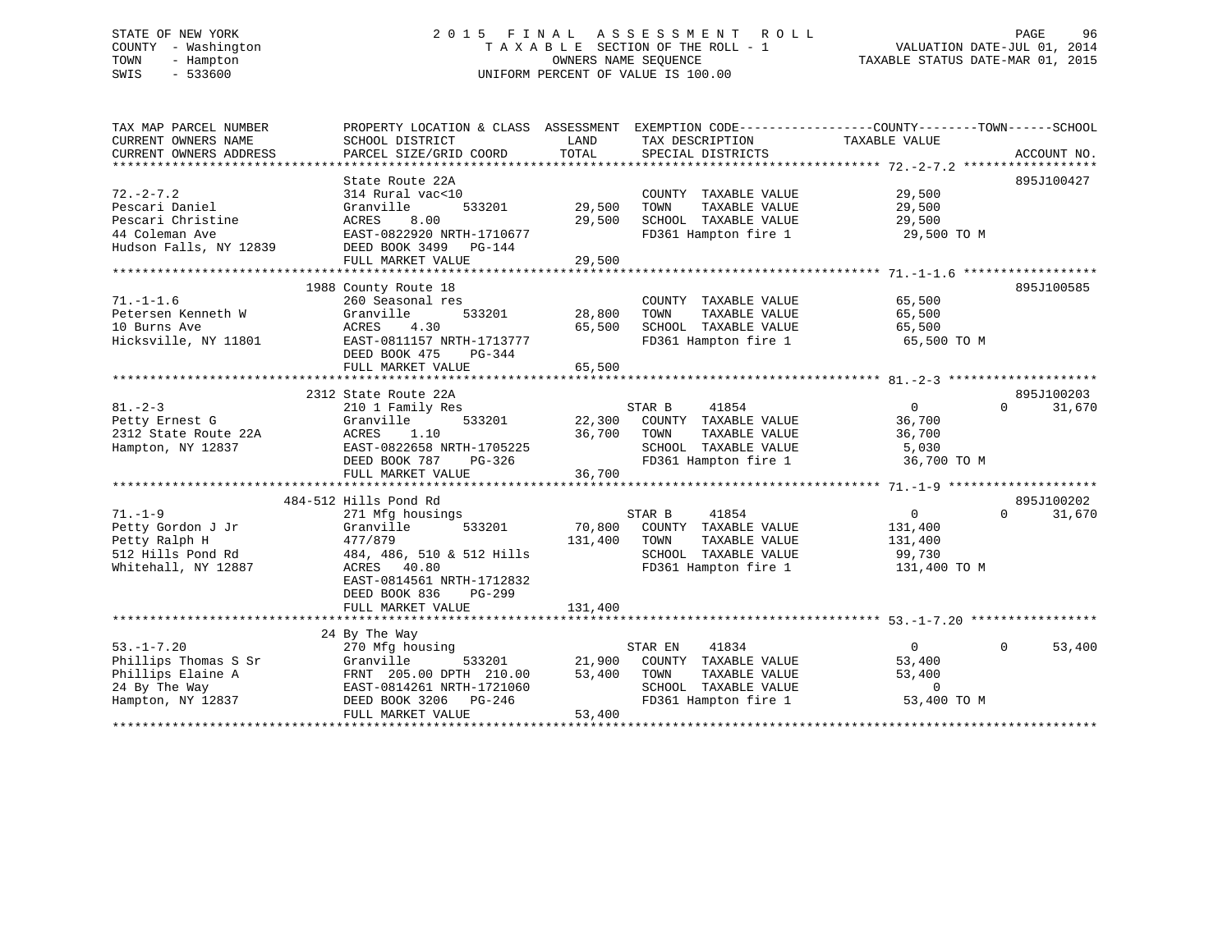# STATE OF NEW YORK 2 0 1 5 F I N A L A S S E S S M E N T R O L L PAGE 96 COUNTY - Washington T A X A B L E SECTION OF THE ROLL - 1 VALUATION DATE-JUL 01, 2014 TOWN - Hampton OWNERS NAME SEQUENCE TAXABLE STATUS DATE-MAR 01, 2015 SWIS - 533600 UNIFORM PERCENT OF VALUE IS 100.00

| TAX MAP PARCEL NUMBER  | PROPERTY LOCATION & CLASS | ASSESSMENT | EXEMPTION CODE-----------------COUNTY-------TOWN------SCHOOL |                |                    |
|------------------------|---------------------------|------------|--------------------------------------------------------------|----------------|--------------------|
| CURRENT OWNERS NAME    | SCHOOL DISTRICT           | LAND       | TAX DESCRIPTION                                              | TAXABLE VALUE  |                    |
| CURRENT OWNERS ADDRESS | PARCEL SIZE/GRID COORD    | TOTAL      | SPECIAL DISTRICTS                                            |                | ACCOUNT NO.        |
|                        |                           |            |                                                              |                |                    |
|                        | State Route 22A           |            |                                                              |                | 895J100427         |
| $72. - 2 - 7.2$        | 314 Rural vac<10          |            | COUNTY TAXABLE VALUE                                         | 29,500         |                    |
| Pescari Daniel         | Granville<br>533201       | 29,500     | TOWN<br>TAXABLE VALUE                                        | 29,500         |                    |
| Pescari Christine      | 8.00<br>ACRES             | 29,500     | SCHOOL TAXABLE VALUE                                         | 29,500         |                    |
| 44 Coleman Ave         | EAST-0822920 NRTH-1710677 |            | FD361 Hampton fire 1                                         | 29,500 TO M    |                    |
| Hudson Falls, NY 12839 | DEED BOOK 3499 PG-144     |            |                                                              |                |                    |
|                        | FULL MARKET VALUE         | 29,500     |                                                              |                |                    |
|                        |                           |            |                                                              |                |                    |
|                        | 1988 County Route 18      |            |                                                              |                | 895J100585         |
| $71. - 1 - 1.6$        | 260 Seasonal res          |            | COUNTY TAXABLE VALUE                                         | 65,500         |                    |
| Petersen Kenneth W     | 533201<br>Granville       | 28,800     | TAXABLE VALUE<br>TOWN                                        | 65,500         |                    |
| 10 Burns Ave           | ACRES<br>4.30             | 65,500     | SCHOOL TAXABLE VALUE                                         | 65,500         |                    |
| Hicksville, NY 11801   | EAST-0811157 NRTH-1713777 |            | FD361 Hampton fire 1                                         | 65,500 TO M    |                    |
|                        | DEED BOOK 475<br>PG-344   |            |                                                              |                |                    |
|                        | FULL MARKET VALUE         | 65,500     |                                                              |                |                    |
|                        |                           |            |                                                              |                |                    |
|                        | 2312 State Route 22A      |            |                                                              |                | 895J100203         |
| $81. - 2 - 3$          | 210 1 Family Res          |            | STAR B<br>41854                                              | $\overline{0}$ | $\Omega$<br>31,670 |
| Petty Ernest G         | Granville<br>533201       | 22,300     | COUNTY TAXABLE VALUE                                         | 36,700         |                    |
| 2312 State Route 22A   | ACRES<br>1.10             | 36,700     | TOWN<br>TAXABLE VALUE                                        | 36,700         |                    |
| Hampton, NY 12837      | EAST-0822658 NRTH-1705225 |            | SCHOOL TAXABLE VALUE                                         | 5,030          |                    |
|                        | DEED BOOK 787<br>PG-326   |            | FD361 Hampton fire 1                                         | 36,700 TO M    |                    |
|                        | FULL MARKET VALUE         | 36,700     |                                                              |                |                    |
|                        |                           |            |                                                              |                |                    |
|                        | 484-512 Hills Pond Rd     |            |                                                              |                | 895J100202         |
|                        |                           |            | 41854                                                        |                | $\Omega$           |
| $71. - 1 - 9$          | 271 Mfg housings          |            | STAR B                                                       | $\overline{0}$ | 31,670             |
| Petty Gordon J Jr      | 533201<br>Granville       | 70,800     | COUNTY TAXABLE VALUE                                         | 131,400        |                    |
| Petty Ralph H          | 477/879                   | 131,400    | TAXABLE VALUE<br>TOWN                                        | 131,400        |                    |
| 512 Hills Pond Rd      | 484, 486, 510 & 512 Hills |            | SCHOOL TAXABLE VALUE                                         | 99,730         |                    |
| Whitehall, NY 12887    | ACRES 40.80               |            | FD361 Hampton fire 1                                         | 131,400 TO M   |                    |
|                        | EAST-0814561 NRTH-1712832 |            |                                                              |                |                    |
|                        | DEED BOOK 836<br>PG-299   |            |                                                              |                |                    |
|                        | FULL MARKET VALUE         | 131,400    |                                                              |                |                    |
|                        |                           |            |                                                              |                |                    |
|                        | 24 By The Way             |            |                                                              |                |                    |
| $53. -1 - 7.20$        | 270 Mfg housing           |            | 41834<br>STAR EN                                             | $\overline{0}$ | $\Omega$<br>53,400 |
| Phillips Thomas S Sr   | Granville<br>533201       | 21,900     | COUNTY TAXABLE VALUE                                         | 53,400         |                    |
| Phillips Elaine A      | FRNT 205.00 DPTH 210.00   | 53,400     | TOWN<br>TAXABLE VALUE                                        | 53,400         |                    |
| 24 By The Way          | EAST-0814261 NRTH-1721060 |            | SCHOOL TAXABLE VALUE                                         | $\Omega$       |                    |
| Hampton, NY 12837      | DEED BOOK 3206 PG-246     |            | FD361 Hampton fire 1                                         | 53,400 TO M    |                    |
|                        | FULL MARKET VALUE         | 53,400     |                                                              |                |                    |
|                        |                           |            |                                                              |                |                    |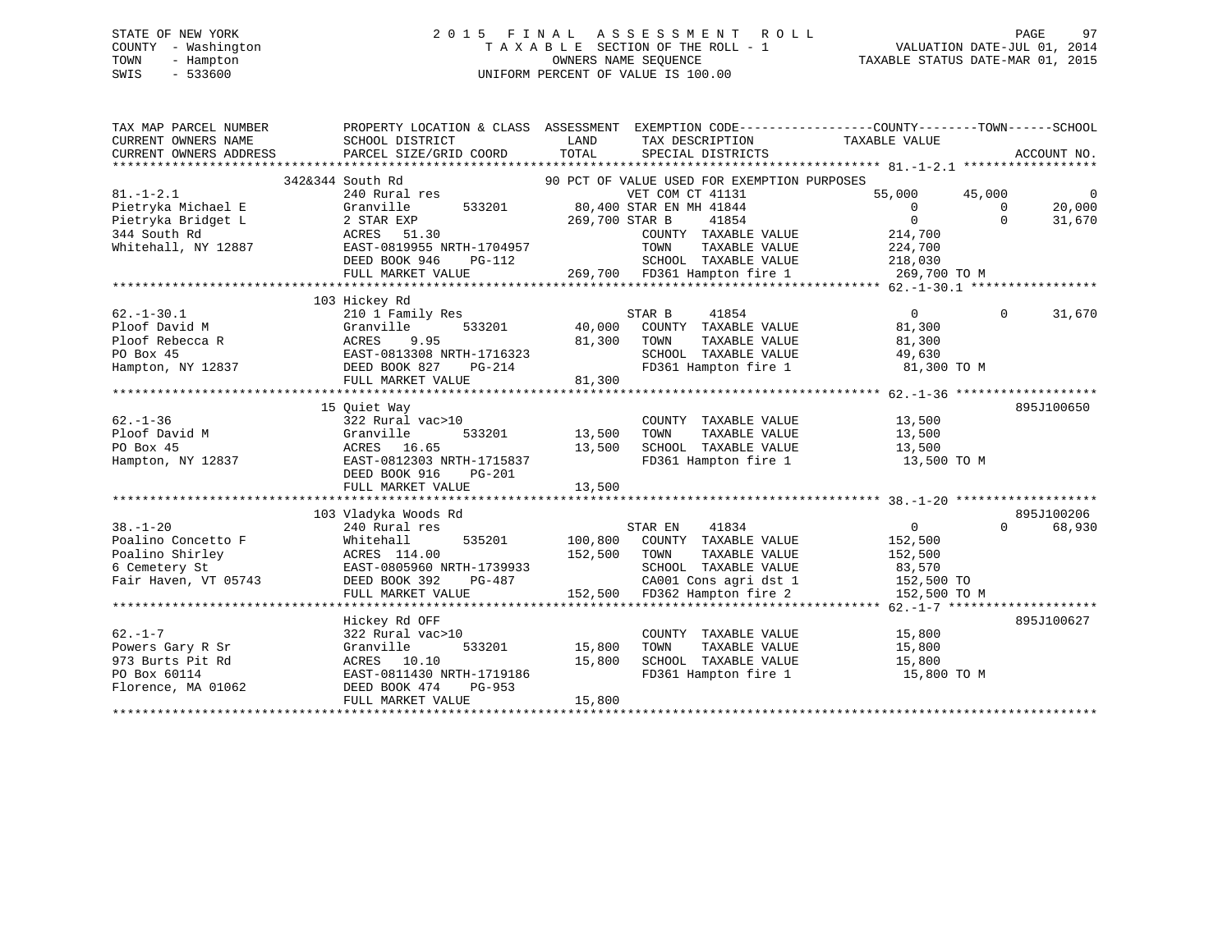# STATE OF NEW YORK 2 0 1 5 F I N A L A S S E S S M E N T R O L L PAGE 97 COUNTY - Washington T A X A B L E SECTION OF THE ROLL - 1 VALUATION DATE-JUL 01, 2014 TOWN - Hampton OWNERS NAME SEQUENCE TAXABLE STATUS DATE-MAR 01, 2015 SWIS - 533600 UNIFORM PERCENT OF VALUE IS 100.00

| TAX MAP PARCEL NUMBER  | PROPERTY LOCATION & CLASS ASSESSMENT EXEMPTION CODE---------------COUNTY-------TOWN-----SCHOOL |                |                                                                       |                          |              |             |
|------------------------|------------------------------------------------------------------------------------------------|----------------|-----------------------------------------------------------------------|--------------------------|--------------|-------------|
| CURRENT OWNERS NAME    | SCHOOL DISTRICT                                                                                | LAND           | TAX DESCRIPTION                                                       | TAXABLE VALUE            |              |             |
| CURRENT OWNERS ADDRESS | PARCEL SIZE/GRID COORD                                                                         | TOTAL          | SPECIAL DISTRICTS                                                     |                          |              | ACCOUNT NO. |
|                        |                                                                                                |                |                                                                       |                          |              |             |
|                        | 342&344 South Rd                                                                               |                | 90 PCT OF VALUE USED FOR EXEMPTION PURPOSES                           |                          |              |             |
| $81. - 1 - 2.1$        | 240 Rural res                                                                                  |                | VET COM CT 41131                                                      | 55,000                   | 45,000       | $\Omega$    |
| Pietryka Michael E     | Granville<br>533201                                                                            |                | 80,400 STAR EN MH 41844                                               | $\overline{\phantom{0}}$ | $\mathbf{0}$ | 20,000      |
| Pietryka Bridget L     | 2 STAR EXP                                                                                     | 269,700 STAR B | 41854                                                                 | $\overline{0}$           | $\Omega$     | 31,670      |
| 344 South Rd           | ACRES 51.30                                                                                    |                | COUNTY TAXABLE VALUE                                                  | 214,700                  |              |             |
| Whitehall, NY 12887    | EAST-0819955 NRTH-1704957                                                                      |                | TOWN<br>TAXABLE VALUE<br>SCHOOL TAXABLE VALUE 218,030                 | 224,700                  |              |             |
|                        | DEED BOOK 946<br>PG-112                                                                        |                | 269,700 FD361 Hampton fire 1                                          |                          |              |             |
|                        | FULL MARKET VALUE                                                                              |                |                                                                       | 269,700 TO M             |              |             |
|                        | 103 Hickey Rd                                                                                  |                |                                                                       |                          |              |             |
| $62. - 1 - 30.1$       | 210 1 Family Res                                                                               |                | 41854<br>STAR B                                                       | $\overline{0}$           | $\Omega$     | 31,670      |
| Ploof David M          | Granville<br>533201                                                                            |                | 40,000 COUNTY TAXABLE VALUE                                           | 81,300                   |              |             |
| Ploof Rebecca R        | ACRES<br>9.95                                                                                  | 81,300         | TAXABLE VALUE<br>TOWN                                                 | 81,300                   |              |             |
| PO Box 45              |                                                                                                |                | SCHOOL TAXABLE VALUE                                                  | 49,630                   |              |             |
| Hampton, NY 12837      | EAST-0813308 NRTH-1716323<br>DEED BOOK 827 PG-214                                              |                | FD361 Hampton fire 1                                                  | 81,300 TO M              |              |             |
|                        | FULL MARKET VALUE                                                                              | 81,300         |                                                                       |                          |              |             |
|                        |                                                                                                |                |                                                                       |                          |              |             |
|                        | 15 Ouiet Way                                                                                   |                |                                                                       |                          |              | 895J100650  |
| $62 - 1 - 36$          | 322 Rural vac>10                                                                               |                | COUNTY TAXABLE VALUE                                                  | 13,500                   |              |             |
| Ploof David M          | Granville                                                                                      | 533201 13,500  | TOWN<br>TAXABLE VALUE                                                 | 13,500                   |              |             |
| PO Box 45              | ACRES 16.65                                                                                    | 13,500         | SCHOOL TAXABLE VALUE                                                  | 13,500                   |              |             |
| Hampton, NY 12837      | EAST-0812303 NRTH-1715837                                                                      |                | FD361 Hampton fire 1                                                  | 13,500 TO M              |              |             |
|                        | DEED BOOK 916<br>PG-201                                                                        |                |                                                                       |                          |              |             |
|                        | FULL MARKET VALUE                                                                              | 13,500         |                                                                       |                          |              |             |
|                        |                                                                                                |                |                                                                       |                          |              |             |
|                        | 103 Vladyka Woods Rd                                                                           |                |                                                                       |                          |              | 895J100206  |
| $38. - 1 - 20$         | 240 Rural res                                                                                  |                | 41834<br>STAR EN                                                      | $\overline{0}$           | $\Omega$     | 68,930      |
| Poalino Concetto F     | 535201<br>Whitehall                                                                            |                | 100,800 COUNTY TAXABLE VALUE                                          | 152,500                  |              |             |
| Poalino Shirley        | ACRES 114.00                                                                                   | 152,500        | TOWN<br>TAXABLE VALUE                                                 | 152,500                  |              |             |
| 6 Cemetery St          | EAST-0805960 NRTH-1739933                                                                      |                | SCHOOL TAXABLE VALUE<br>SCHOOL TAXABLE VALUE<br>CA001 Cons agri dst 1 | 83,570                   |              |             |
| Fair Haven, VT 05743   | DEED BOOK 392                                                                                  | $PG-487$       |                                                                       | 152,500 TO               |              |             |
|                        | FULL MARKET VALUE                                                                              |                | 152,500 FD362 Hampton fire 2                                          | 152,500 TO M             |              |             |
|                        |                                                                                                |                |                                                                       |                          |              |             |
|                        | Hickey Rd OFF                                                                                  |                |                                                                       |                          |              | 895J100627  |
| $62. -1 - 7$           | 322 Rural vac>10                                                                               |                | COUNTY TAXABLE VALUE                                                  | 15,800                   |              |             |
| Powers Gary R Sr       | Granville<br>533201                                                                            | 15,800         | TOWN<br>TAXABLE VALUE                                                 | 15,800                   |              |             |
| 973 Burts Pit Rd       | ACRES 10.10                                                                                    | 15,800         | SCHOOL TAXABLE VALUE                                                  | 15,800                   |              |             |
| PO Box 60114           | EAST-0811430 NRTH-1719186                                                                      |                | FD361 Hampton fire 1                                                  | 15,800 TO M              |              |             |
| Florence, MA 01062     | DEED BOOK 474<br>PG-953                                                                        |                |                                                                       |                          |              |             |
|                        | FULL MARKET VALUE                                                                              | 15,800         |                                                                       |                          |              |             |
|                        |                                                                                                |                |                                                                       |                          |              |             |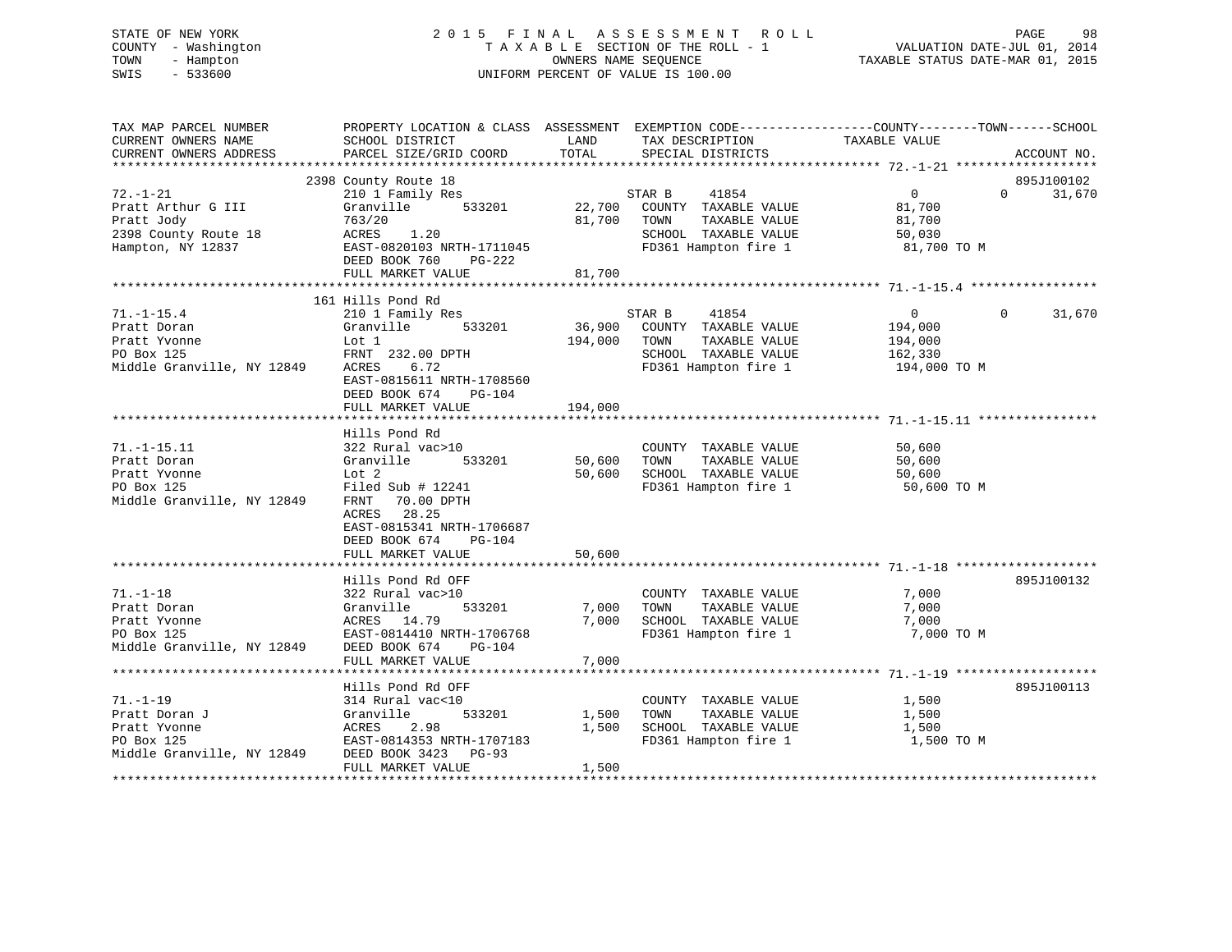# STATE OF NEW YORK 2 0 1 5 F I N A L A S S E S S M E N T R O L L PAGE 98 COUNTY - Washington T A X A B L E SECTION OF THE ROLL - 1 VALUATION DATE-JUL 01, 2014 TOWN - Hampton OWNERS NAME SEQUENCE TAXABLE STATUS DATE-MAR 01, 2015 SWIS - 533600 UNIFORM PERCENT OF VALUE IS 100.00

| TAX MAP PARCEL NUMBER<br>CURRENT OWNERS NAME                                                                      | PROPERTY LOCATION & CLASS ASSESSMENT EXEMPTION CODE----------------COUNTY-------TOWN------SCHOOL<br>SCHOOL DISTRICT | LAND          | TAX DESCRIPTION TAXABLE VALUE         |                                              |                   |             |
|-------------------------------------------------------------------------------------------------------------------|---------------------------------------------------------------------------------------------------------------------|---------------|---------------------------------------|----------------------------------------------|-------------------|-------------|
| CURRENT OWNERS ADDRESS                                                                                            | PARCEL SIZE/GRID COORD                                                                                              | TOTAL         | SPECIAL DISTRICTS                     |                                              |                   | ACCOUNT NO. |
|                                                                                                                   |                                                                                                                     |               |                                       |                                              |                   |             |
|                                                                                                                   | 2398 County Route 18                                                                                                |               |                                       | $\begin{array}{c}\n0 \\ 81.700\n\end{array}$ |                   | 895J100102  |
| $72. - 1 - 21$                                                                                                    | 210 1 Family Res                                                                                                    |               | 41854<br>STAR B                       |                                              | $0 \qquad \qquad$ | 31,670      |
| Pratt Arthur G III                                                                                                | Granville 533201                                                                                                    |               | 22,700 COUNTY TAXABLE VALUE           |                                              |                   |             |
|                                                                                                                   |                                                                                                                     |               | TAXABLE VALUE<br>81,700 TOWN          | 81,700                                       |                   |             |
|                                                                                                                   |                                                                                                                     |               | SCHOOL TAXABLE VALUE                  | 50,030                                       |                   |             |
| Pratt Jody<br>Pratt Jody<br>22,700<br>2398 County Route 18<br>Hampton, NY 12837<br>EAST-0820103 NRTH-1711045      |                                                                                                                     |               | FD361 Hampton fire 1 81,700 TO M      |                                              |                   |             |
|                                                                                                                   | DEED BOOK 760 PG-222                                                                                                |               |                                       |                                              |                   |             |
|                                                                                                                   | FULL MARKET VALUE                                                                                                   | 81,700        |                                       |                                              |                   |             |
|                                                                                                                   |                                                                                                                     |               |                                       |                                              |                   |             |
|                                                                                                                   | 161 Hills Pond Rd                                                                                                   |               |                                       |                                              |                   |             |
| $71. - 1 - 15.4$                                                                                                  | 210 1 Family Res                                                                                                    |               | 41854<br>STAR B                       | $\overline{0}$                               | $\Omega$          | 31,670      |
| Pratt Doran                                                                                                       | $Granville$ 533201 36,900 COUNTY TAXABLE VALUE 194,000                                                              |               |                                       |                                              |                   |             |
|                                                                                                                   |                                                                                                                     | 194,000 TOWN  | TAXABLE VALUE                         | 194,000                                      |                   |             |
|                                                                                                                   |                                                                                                                     |               | SCHOOL TAXABLE VALUE 162,330          |                                              |                   |             |
|                                                                                                                   |                                                                                                                     |               | FD361 Hampton fire 1                  | 194,000 TO M                                 |                   |             |
|                                                                                                                   | EAST-0815611 NRTH-1708560                                                                                           |               |                                       |                                              |                   |             |
|                                                                                                                   | DEED BOOK 674 PG-104                                                                                                |               |                                       |                                              |                   |             |
|                                                                                                                   | FULL MARKET VALUE                                                                                                   | 194,000       |                                       |                                              |                   |             |
|                                                                                                                   |                                                                                                                     |               |                                       |                                              |                   |             |
|                                                                                                                   | Hills Pond Rd                                                                                                       |               |                                       |                                              |                   |             |
| $71. -1 - 15.11$                                                                                                  | 322 Rural vac>10                                                                                                    |               | COUNTY TAXABLE VALUE                  | 50,600                                       |                   |             |
| Pratt Doran                                                                                                       | Granville                                                                                                           | 533201 50,600 | TAXABLE VALUE<br>TOWN                 | 50,600                                       |                   |             |
| Pratt Yvonne                                                                                                      | Lot 2                                                                                                               |               | 50,600 SCHOOL TAXABLE VALUE           | 50,600                                       |                   |             |
| PO Box 125                                                                                                        | Filed Sub # 12241                                                                                                   |               | FD361 Hampton fire 1                  | 50,600 TO M                                  |                   |             |
| Middle Granville, NY 12849                                                                                        | FRNT 70.00 DPTH                                                                                                     |               |                                       |                                              |                   |             |
|                                                                                                                   | 28.25<br>ACRES                                                                                                      |               |                                       |                                              |                   |             |
|                                                                                                                   | EAST-0815341 NRTH-1706687                                                                                           |               |                                       |                                              |                   |             |
|                                                                                                                   | DEED BOOK 674<br>PG-104                                                                                             |               |                                       |                                              |                   |             |
|                                                                                                                   | FULL MARKET VALUE                                                                                                   | 50,600        |                                       |                                              |                   |             |
|                                                                                                                   |                                                                                                                     |               |                                       |                                              |                   |             |
|                                                                                                                   | Hills Pond Rd OFF                                                                                                   |               |                                       |                                              |                   | 895J100132  |
| $71. - 1 - 18$                                                                                                    | 322 Rural vac>10                                                                                                    |               | COUNTY TAXABLE VALUE                  | 7,000                                        |                   |             |
| Pratt Doran                                                                                                       | Granville<br>533201                                                                                                 | 7,000         | TAXABLE VALUE<br>TOWN                 | 7,000                                        |                   |             |
|                                                                                                                   |                                                                                                                     | 7,000         | SCHOOL TAXABLE VALUE                  | 7,000                                        |                   |             |
| Pratt Dytain<br>Pratt Yvonne<br>Po Box 125<br>Po Box 125<br>Middle Granville, NY 12849<br>DEED BOOK 674<br>Po-104 |                                                                                                                     |               | FD361 Hampton fire 1                  | 7,000 TO M                                   |                   |             |
|                                                                                                                   |                                                                                                                     |               |                                       |                                              |                   |             |
|                                                                                                                   | FULL MARKET VALUE                                                                                                   | 7,000         |                                       |                                              |                   |             |
|                                                                                                                   |                                                                                                                     |               |                                       |                                              |                   |             |
|                                                                                                                   | Hills Pond Rd OFF                                                                                                   |               |                                       |                                              |                   | 895J100113  |
| $71. - 1 - 19$                                                                                                    | 314 Rural vac<10                                                                                                    |               | COUNTY TAXABLE VALUE 1,500            |                                              |                   |             |
| Pratt Doran J                                                                                                     | Granville<br>533201                                                                                                 | 1,500 TOWN    | TAXABLE VALUE<br>SCHOOL TAXABLE VALUE | 1,500                                        |                   |             |
| Pratt Yvonne                                                                                                      | ACRES 2.98 1,500<br>EAST-0814353 NRTH-1707183 1,500                                                                 | 1,500         |                                       | 1,500                                        |                   |             |
| PO Box 125<br>Middle Granville, NY 12849 DEED BOOK 3423 PG-93                                                     |                                                                                                                     |               | FD361 Hampton fire 1                  | 1,500 TO M                                   |                   |             |
|                                                                                                                   |                                                                                                                     |               |                                       |                                              |                   |             |
|                                                                                                                   | FULL MARKET VALUE                                                                                                   | 1,500         |                                       |                                              |                   |             |
|                                                                                                                   |                                                                                                                     |               |                                       |                                              |                   |             |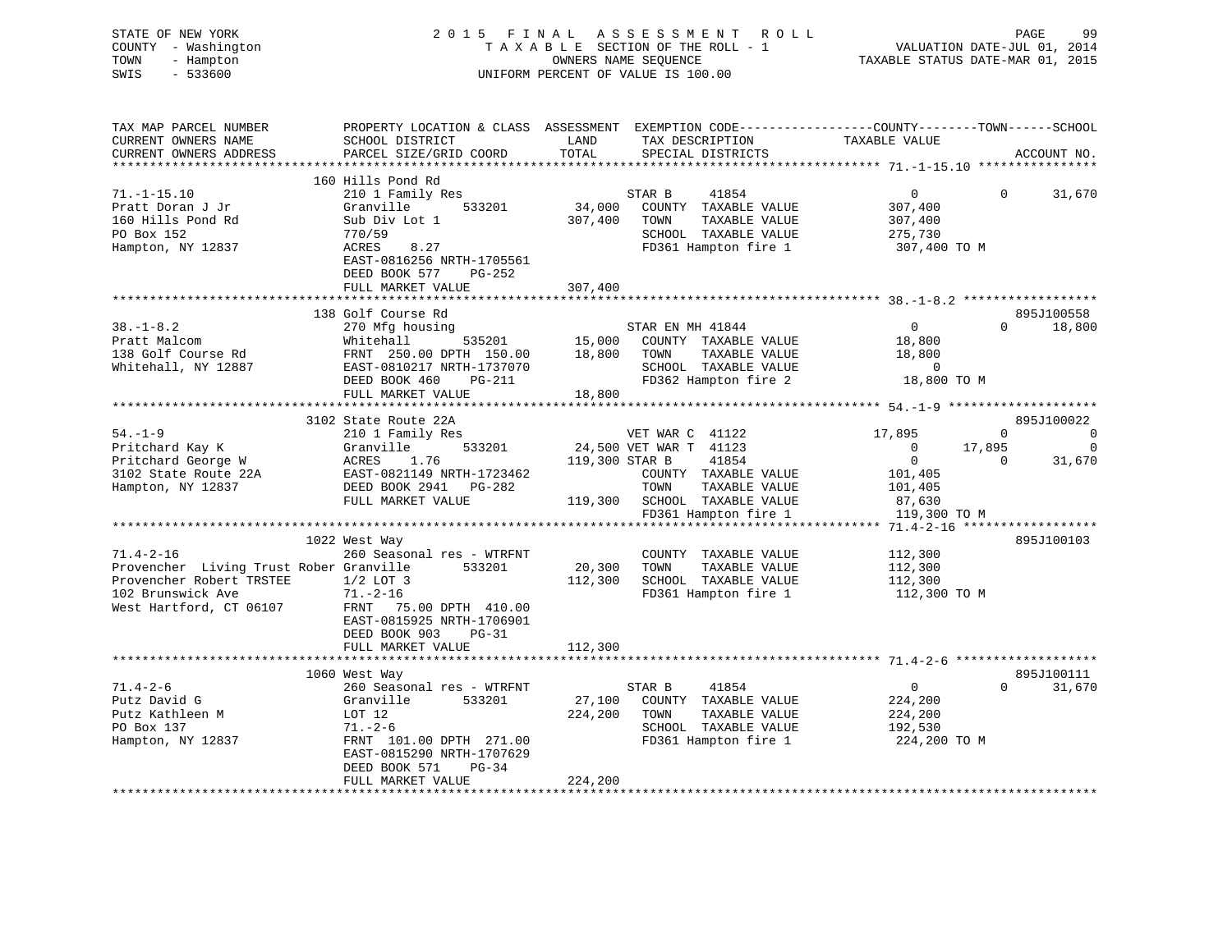| STATE OF NEW YORK<br>COUNTY - Washington<br>TOWN<br>- Hampton<br>$-533600$<br>SWIS | 2015 FINAL ASSESSMENT ROLL<br>TAXABLE SECTION OF THE ROLL - 1<br>UNIFORM PERCENT OF VALUE IS 100.00                                         |                | PAGE<br>99<br>VALUATION DATE-JUL 01, 2014<br>TAXABLE STATUS DATE-MAR 01, 2015 |                          |                            |
|------------------------------------------------------------------------------------|---------------------------------------------------------------------------------------------------------------------------------------------|----------------|-------------------------------------------------------------------------------|--------------------------|----------------------------|
| TAX MAP PARCEL NUMBER<br>CURRENT OWNERS NAME<br>CURRENT OWNERS ADDRESS             | PROPERTY LOCATION & CLASS ASSESSMENT EXEMPTION CODE---------------COUNTY-------TOWN-----SCHOOL<br>SCHOOL DISTRICT<br>PARCEL SIZE/GRID COORD | LAND<br>TOTAL  | TAX DESCRIPTION<br>SPECIAL DISTRICTS                                          | TAXABLE VALUE            | ACCOUNT NO.                |
|                                                                                    |                                                                                                                                             |                |                                                                               |                          |                            |
| $71. - 1 - 15.10$                                                                  | 160 Hills Pond Rd<br>210 1 Family Res                                                                                                       |                | 41854<br>STAR B                                                               | $\overline{0}$           | $\mathbf{0}$<br>31,670     |
| Pratt Doran J Jr                                                                   | Granville<br>533201                                                                                                                         | 34,000         | COUNTY TAXABLE VALUE                                                          | 307,400                  |                            |
| 160 Hills Pond Rd                                                                  | Sub Div Lot 1                                                                                                                               | 307,400        | TAXABLE VALUE<br>TOWN                                                         | 307,400                  |                            |
| PO Box 152                                                                         | 770/59                                                                                                                                      |                | SCHOOL TAXABLE VALUE                                                          | 275,730                  |                            |
| Hampton, NY 12837                                                                  | 8.27<br>ACRES                                                                                                                               |                | FD361 Hampton fire 1                                                          | 307,400 TO M             |                            |
|                                                                                    | EAST-0816256 NRTH-1705561<br>PG-252<br>DEED BOOK 577                                                                                        |                |                                                                               |                          |                            |
|                                                                                    | FULL MARKET VALUE                                                                                                                           | 307,400        |                                                                               |                          |                            |
|                                                                                    |                                                                                                                                             |                |                                                                               |                          |                            |
|                                                                                    | 138 Golf Course Rd                                                                                                                          |                |                                                                               |                          | 895J100558                 |
| $38. - 1 - 8.2$<br>Pratt Malcom                                                    | 270 Mfg housing<br>535201<br>Whitehall                                                                                                      | 15,000         | STAR EN MH 41844<br>COUNTY TAXABLE VALUE                                      | $\overline{0}$<br>18,800 | 18,800<br>$\Omega$         |
| 138 Golf Course Rd                                                                 | FRNT 250.00 DPTH 150.00                                                                                                                     | 18,800         | TAXABLE VALUE<br>TOWN                                                         | 18,800                   |                            |
| Whitehall, NY 12887                                                                | EAST-0810217 NRTH-1737070                                                                                                                   |                | SCHOOL TAXABLE VALUE                                                          | $\overline{0}$           |                            |
|                                                                                    | DEED BOOK 460<br>PG-211                                                                                                                     |                | FD362 Hampton fire 2                                                          | 18,800 TO M              |                            |
|                                                                                    | FULL MARKET VALUE                                                                                                                           | 18,800         |                                                                               |                          |                            |
|                                                                                    |                                                                                                                                             |                |                                                                               |                          |                            |
|                                                                                    | 3102 State Route 22A                                                                                                                        |                |                                                                               |                          | 895J100022                 |
| $54. - 1 - 9$                                                                      | 210 1 Family Res                                                                                                                            |                | VET WAR C 41122                                                               | 17,895                   | $\Omega$<br>$\overline{0}$ |
| Pritchard Kay K                                                                    | 533201<br>Granville                                                                                                                         |                | 24,500 VET WAR T 41123                                                        | $\overline{0}$           | 17,895<br>$\bigcirc$       |
| Pritchard George W                                                                 | ACRES<br>1.76                                                                                                                               | 119,300 STAR B | 41854                                                                         | $\overline{0}$           | $\mathbf 0$<br>31,670      |
| 3102 State Route 22A<br>Hampton, NY 12837                                          | EAST-0821149 NRTH-1723462<br>DEED BOOK 2941    PG-282                                                                                       |                | COUNTY TAXABLE VALUE<br>TOWN<br>TAXABLE VALUE                                 | 101,405<br>101,405       |                            |
|                                                                                    | FULL MARKET VALUE                                                                                                                           |                | 119,300 SCHOOL TAXABLE VALUE                                                  | 87,630                   |                            |
|                                                                                    |                                                                                                                                             |                | FD361 Hampton fire 1                                                          | 119,300 TO M             |                            |
|                                                                                    |                                                                                                                                             |                |                                                                               |                          |                            |
|                                                                                    | 1022 West Way                                                                                                                               |                |                                                                               |                          | 895J100103                 |
| $71.4 - 2 - 16$                                                                    | 260 Seasonal res - WTRFNT                                                                                                                   |                | COUNTY TAXABLE VALUE                                                          | 112,300                  |                            |
| Provencher Living Trust Rober Granville                                            | 533201                                                                                                                                      | 20,300         | TAXABLE VALUE<br>TOWN                                                         | 112,300                  |                            |
| Provencher Robert TRSTEE                                                           | $1/2$ LOT 3                                                                                                                                 | 112,300        | SCHOOL TAXABLE VALUE                                                          | 112,300                  |                            |
| 102 Brunswick Ave                                                                  | $71. - 2 - 16$                                                                                                                              |                | FD361 Hampton fire 1                                                          | 112,300 TO M             |                            |
| West Hartford, CT 06107                                                            | FRNT 75.00 DPTH 410.00<br>EAST-0815925 NRTH-1706901                                                                                         |                |                                                                               |                          |                            |
|                                                                                    | DEED BOOK 903<br>$PG-31$                                                                                                                    |                |                                                                               |                          |                            |
|                                                                                    | FULL MARKET VALUE                                                                                                                           | 112,300        |                                                                               |                          |                            |
|                                                                                    |                                                                                                                                             |                |                                                                               |                          |                            |
|                                                                                    | 1060 West Way                                                                                                                               |                |                                                                               |                          | 895J100111                 |
| $71.4 - 2 - 6$                                                                     | 260 Seasonal res - WTRFNT                                                                                                                   |                | STAR B<br>41854                                                               | $\overline{0}$           | $\mathbf 0$<br>31,670      |
| Putz David G                                                                       | Granville<br>533201                                                                                                                         | 27,100         | COUNTY TAXABLE VALUE                                                          | 224,200                  |                            |
| Putz Kathleen M                                                                    | LOT 12                                                                                                                                      | 224,200        | TOWN<br>TAXABLE VALUE                                                         | 224,200                  |                            |
| PO Box 137<br>Hampton, NY 12837                                                    | $71. - 2 - 6$<br>FRNT 101.00 DPTH 271.00                                                                                                    |                | SCHOOL TAXABLE VALUE<br>FD361 Hampton fire 1                                  | 192,530<br>224,200 TO M  |                            |
|                                                                                    | EAST-0815290 NRTH-1707629                                                                                                                   |                |                                                                               |                          |                            |
|                                                                                    | $PG-34$<br>DEED BOOK 571                                                                                                                    |                |                                                                               |                          |                            |
|                                                                                    | FULL MARKET VALUE                                                                                                                           | 224,200        |                                                                               |                          |                            |
|                                                                                    |                                                                                                                                             |                |                                                                               |                          |                            |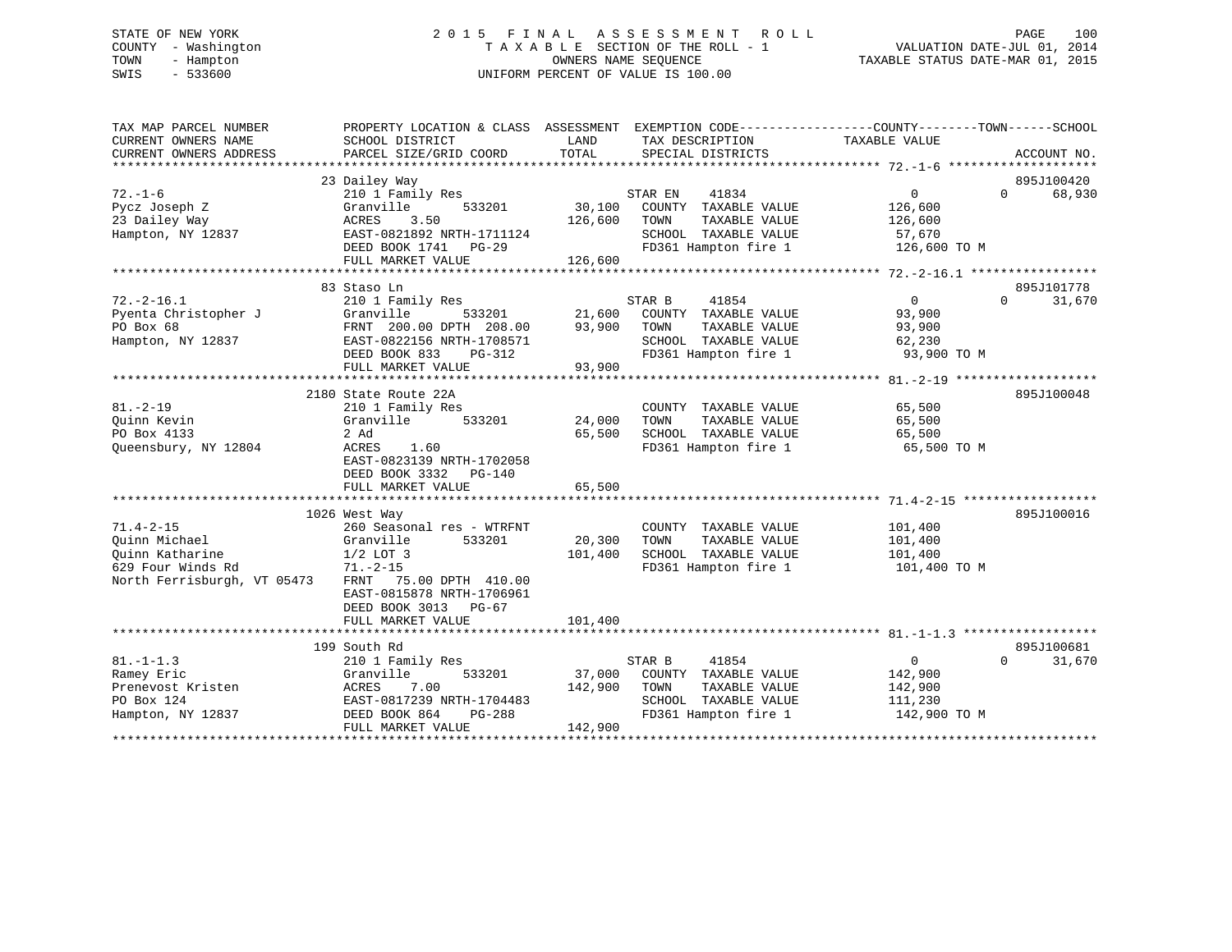# STATE OF NEW YORK 2 0 1 5 F I N A L A S S E S S M E N T R O L L PAGE 100 COUNTY - Washington T A X A B L E SECTION OF THE ROLL - 1 VALUATION DATE-JUL 01, 2014 TOWN - Hampton OWNERS NAME SEQUENCE TAXABLE STATUS DATE-MAR 01, 2015 SWIS - 533600 UNIFORM PERCENT OF VALUE IS 100.00

| TAX MAP PARCEL NUMBER<br>CURRENT OWNERS NAME | PROPERTY LOCATION & CLASS ASSESSMENT EXEMPTION CODE---------------COUNTY-------TOWN-----SCHOOL<br>SCHOOL DISTRICT | LAND    | TAX DESCRIPTION       | TAXABLE VALUE     |                    |
|----------------------------------------------|-------------------------------------------------------------------------------------------------------------------|---------|-----------------------|-------------------|--------------------|
| CURRENT OWNERS ADDRESS                       | PARCEL SIZE/GRID COORD                                                                                            | TOTAL   | SPECIAL DISTRICTS     |                   | ACCOUNT NO.        |
|                                              |                                                                                                                   |         |                       |                   |                    |
|                                              | 23 Dailey Way                                                                                                     |         |                       |                   | 895J100420         |
| $72. - 1 - 6$                                | 210 1 Family Res                                                                                                  |         | STAR EN<br>41834      | $0 \qquad \qquad$ | 68,930<br>$\Omega$ |
| Pycz Joseph Z                                | Granville<br>533201                                                                                               | 30,100  | COUNTY TAXABLE VALUE  | 126,600           |                    |
| 23 Dailey Way                                | ACRES<br>3.50                                                                                                     | 126,600 | TOWN<br>TAXABLE VALUE | 126,600           |                    |
| Hampton, NY 12837                            | EAST-0821892 NRTH-1711124                                                                                         |         | SCHOOL TAXABLE VALUE  | 57,670            |                    |
|                                              | DEED BOOK 1741 PG-29                                                                                              |         | FD361 Hampton fire 1  | 126,600 TO M      |                    |
|                                              | FULL MARKET VALUE                                                                                                 | 126,600 |                       |                   |                    |
|                                              |                                                                                                                   |         |                       |                   |                    |
|                                              | 83 Staso Ln                                                                                                       |         |                       |                   | 895J101778         |
| $72. - 2 - 16.1$                             | 210 1 Family Res                                                                                                  |         | STAR B<br>41854       | $\overline{0}$    | $\Omega$<br>31,670 |
| Pyenta Christopher J                         | Granville<br>533201                                                                                               | 21,600  | COUNTY TAXABLE VALUE  | 93,900            |                    |
| PO Box 68                                    | FRNT 200.00 DPTH 208.00                                                                                           | 93,900  | TOWN<br>TAXABLE VALUE | 93,900            |                    |
| Hampton, NY 12837                            | EAST-0822156 NRTH-1708571                                                                                         |         | SCHOOL TAXABLE VALUE  | 62,230            |                    |
|                                              | DEED BOOK 833<br>PG-312                                                                                           |         | FD361 Hampton fire 1  | 93,900 TO M       |                    |
|                                              | FULL MARKET VALUE                                                                                                 | 93,900  |                       |                   |                    |
|                                              |                                                                                                                   |         |                       |                   |                    |
|                                              | 2180 State Route 22A                                                                                              |         |                       |                   | 895J100048         |
| $81. - 2 - 19$                               | 210 1 Family Res                                                                                                  |         | COUNTY TAXABLE VALUE  | 65,500            |                    |
| Ouinn Kevin                                  | Granville<br>533201                                                                                               | 24,000  | TOWN<br>TAXABLE VALUE | 65,500            |                    |
| PO Box 4133                                  | 2 Ad                                                                                                              | 65,500  | SCHOOL TAXABLE VALUE  | 65,500            |                    |
| Queensbury, NY 12804                         | ACRES<br>1.60                                                                                                     |         | FD361 Hampton fire 1  | 65,500 TO M       |                    |
|                                              | EAST-0823139 NRTH-1702058                                                                                         |         |                       |                   |                    |
|                                              | DEED BOOK 3332 PG-140                                                                                             |         |                       |                   |                    |
|                                              | FULL MARKET VALUE                                                                                                 | 65,500  |                       |                   |                    |
|                                              |                                                                                                                   |         |                       |                   |                    |
|                                              | 1026 West Way                                                                                                     |         |                       |                   | 895J100016         |
| $71.4 - 2 - 15$                              | 260 Seasonal res - WTRFNT                                                                                         |         | COUNTY TAXABLE VALUE  | 101,400           |                    |
| Ouinn Michael                                | 533201<br>Granville                                                                                               | 20,300  | TOWN<br>TAXABLE VALUE | 101,400           |                    |
| Ouinn Katharine                              | $1/2$ LOT 3                                                                                                       | 101,400 | SCHOOL TAXABLE VALUE  | 101,400           |                    |
| 629 Four Winds Rd                            | $71. - 2 - 15$                                                                                                    |         | FD361 Hampton fire 1  | 101,400 TO M      |                    |
| North Ferrisburgh, VT 05473                  | FRNT 75.00 DPTH 410.00                                                                                            |         |                       |                   |                    |
|                                              | EAST-0815878 NRTH-1706961                                                                                         |         |                       |                   |                    |
|                                              | DEED BOOK 3013 PG-67                                                                                              |         |                       |                   |                    |
|                                              | FULL MARKET VALUE                                                                                                 | 101,400 |                       |                   |                    |
|                                              |                                                                                                                   |         |                       |                   |                    |
|                                              | 199 South Rd                                                                                                      |         |                       |                   | 895J100681         |
| $81. - 1 - 1.3$                              | 210 1 Family Res                                                                                                  |         | STAR B<br>41854       | $\overline{0}$    | 31,670<br>$\Omega$ |
| Ramey Eric                                   | 533201<br>Granville                                                                                               | 37,000  | COUNTY TAXABLE VALUE  | 142,900           |                    |
| Prenevost Kristen                            | ACRES<br>7.00                                                                                                     | 142,900 | TOWN<br>TAXABLE VALUE | 142,900           |                    |
| PO Box 124                                   | EAST-0817239 NRTH-1704483                                                                                         |         | SCHOOL TAXABLE VALUE  | 111,230           |                    |
| Hampton, NY 12837                            | DEED BOOK 864<br>PG-288                                                                                           |         | FD361 Hampton fire 1  | 142,900 TO M      |                    |
|                                              | FULL MARKET VALUE                                                                                                 | 142,900 |                       |                   |                    |
|                                              |                                                                                                                   |         |                       |                   |                    |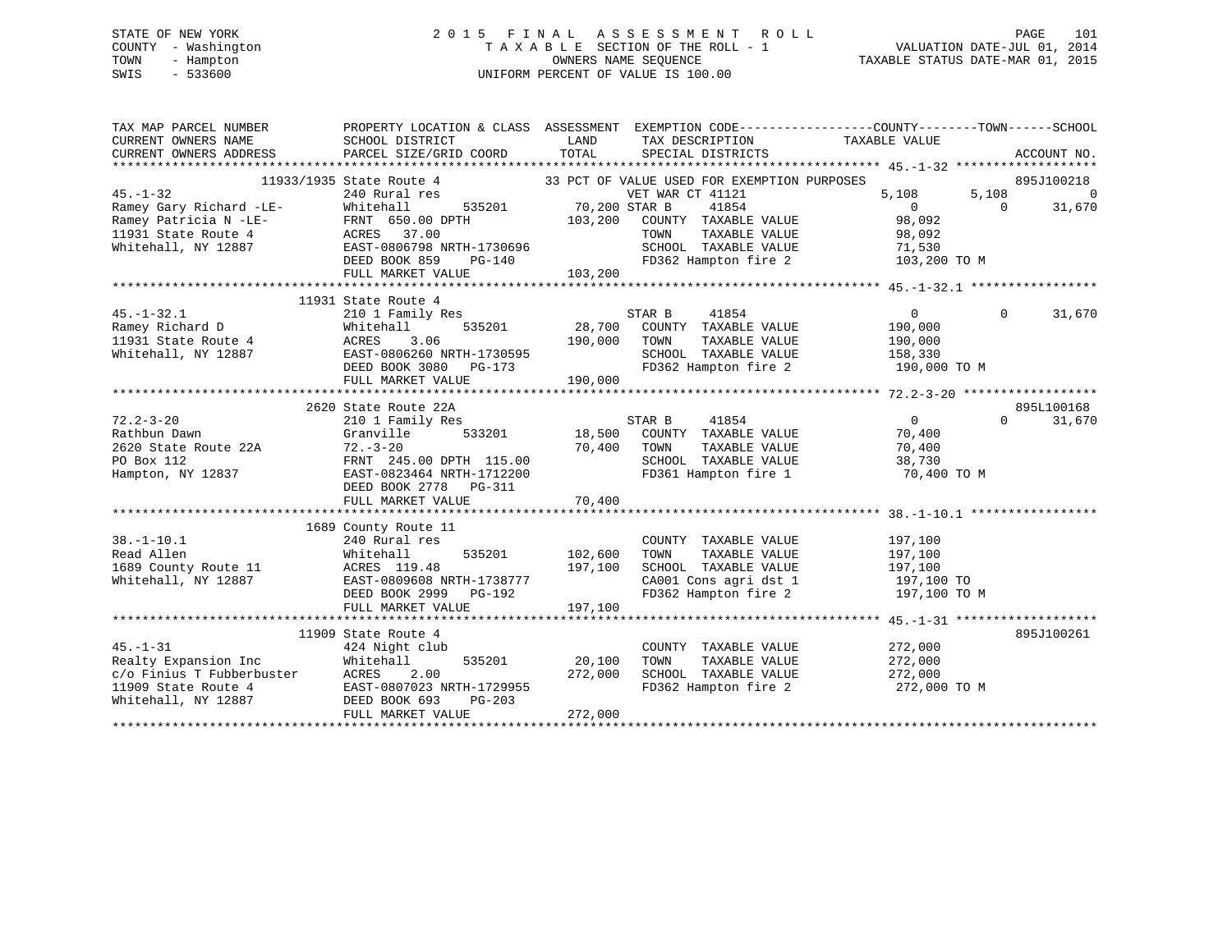# STATE OF NEW YORK 2 0 1 5 F I N A L A S S E S S M E N T R O L L PAGE 101 COUNTY - Washington T A X A B L E SECTION OF THE ROLL - 1 VALUATION DATE-JUL 01, 2014 TOWN - Hampton OWNERS NAME SEQUENCE TAXABLE STATUS DATE-MAR 01, 2015 SWIS - 533600 UNIFORM PERCENT OF VALUE IS 100.00

| TAX MAP PARCEL NUMBER                                                        | PROPERTY LOCATION & CLASS ASSESSMENT EXEMPTION CODE---------------COUNTY-------TOWN------SCHOOL         |                |                                                                                                                                                                             |                |          |                |
|------------------------------------------------------------------------------|---------------------------------------------------------------------------------------------------------|----------------|-----------------------------------------------------------------------------------------------------------------------------------------------------------------------------|----------------|----------|----------------|
| CURRENT OWNERS NAME                                                          | SCHOOL DISTRICT                                                                                         | LAND           | TAX DESCRIPTION                                                                                                                                                             | TAXABLE VALUE  |          |                |
| CURRENT OWNERS ADDRESS                                                       | PARCEL SIZE/GRID COORD                                                                                  | TOTAL          | SPECIAL DISTRICTS                                                                                                                                                           |                |          | ACCOUNT NO.    |
|                                                                              |                                                                                                         |                |                                                                                                                                                                             |                |          |                |
|                                                                              | 11933/1935 State Route 4 33 PCT OF VALUE USED FOR EXEMPTION PURPOSES<br>240 Rural res 6 6 6 6 6 7 81121 |                |                                                                                                                                                                             |                |          | 895J100218     |
| $45. - 1 - 32$                                                               | 240 Rural res                                                                                           |                | VET WAR CT 41121                                                                                                                                                            | 5,108          | 5,108    | $\overline{0}$ |
| Ramey Gary Richard -LE-                                                      | 535201 70,200 STAR B<br>Whitehall                                                                       |                | 41854                                                                                                                                                                       | $\overline{0}$ | $\Omega$ | 31,670         |
| Ramey Patricia N -LE-<br>11931 State Route 4 MCRES 37.00                     |                                                                                                         |                | 103,200 COUNTY TAXABLE VALUE                                                                                                                                                | 98,092         |          |                |
|                                                                              |                                                                                                         |                | TAXABLE VALUE<br>TOWN                                                                                                                                                       | 98,092         |          |                |
| Whitehall, NY 12887                                                          | EAST-0806798 NRTH-1730696<br>DEED BOOK 859 PG-140                                                       |                | SCHOOL TAXABLE VALUE 71,530<br>FD362 Hampton fire 2 103,200 TO M                                                                                                            |                |          |                |
|                                                                              |                                                                                                         |                | FD362 Hampton fire 2                                                                                                                                                        |                |          |                |
|                                                                              | FULL MARKET VALUE                                                                                       | 103,200        |                                                                                                                                                                             |                |          |                |
|                                                                              |                                                                                                         |                |                                                                                                                                                                             |                |          |                |
|                                                                              | 11931 State Route 4                                                                                     |                |                                                                                                                                                                             |                |          |                |
| $45. - 1 - 32.1$                                                             | 210 1 Family Res                                                                                        |                | STAR B<br>41854                                                                                                                                                             | $\overline{0}$ | $\Omega$ | 31,670         |
| Ramey Richard D<br>The Route 4 March 2011<br>March 2011 Charle Route 4 ACRES | Whitehall                                                                                               |                | 535201 28,700 COUNTY TAXABLE VALUE                                                                                                                                          | 190,000        |          |                |
|                                                                              | 3.06                                                                                                    | 190,000        | TOWN<br>TAXABLE VALUE                                                                                                                                                       | 190,000        |          |                |
| Whitehall, NY 12887                                                          | EAST-0806260 NRTH-1730595                                                                               |                | SCHOOL TAXABLE VALUE 158,330                                                                                                                                                |                |          |                |
|                                                                              | DEED BOOK 3080 PG-173                                                                                   |                | FD362 Hampton fire 2 190,000 TO M                                                                                                                                           |                |          |                |
|                                                                              | FULL MARKET VALUE                                                                                       | 190,000        |                                                                                                                                                                             |                |          |                |
|                                                                              |                                                                                                         |                |                                                                                                                                                                             |                |          |                |
|                                                                              | 2620 State Route 22A                                                                                    |                |                                                                                                                                                                             |                |          | 895L100168     |
| $72.2 - 3 - 20$                                                              | 210 1 Family Res                                                                                        |                | 41854<br>STAR B                                                                                                                                                             | $\overline{0}$ | $\Omega$ | 31,670         |
| Rathbun Dawn                                                                 | Granville                                                                                               | 533201 18,500  | COUNTY TAXABLE VALUE                                                                                                                                                        | 70,400         |          |                |
| Nuchban -<br>2620 State Route 22A                                            | $72. - 3 - 20$                                                                                          | 70,400 TOWN    | $\begin{tabular}{lllllllll} \textsc{TONN} & \textsc{TAXABLE VALUE} & & & & \textsc{70,400} \\ \textsc{SCHOOL} & \textsc{TAXABLE VALUE} & & & \textsc{38,730} \end{tabular}$ |                |          |                |
| PO Box 112                                                                   | FRNT 245.00 DPTH 115.00                                                                                 |                |                                                                                                                                                                             |                |          |                |
| Hampton, NY 12837                                                            | EAST-0823464 NRTH-1712200                                                                               |                | FD361 Hampton fire 1 70,400 TO M                                                                                                                                            |                |          |                |
|                                                                              | DEED BOOK 2778 PG-311                                                                                   |                |                                                                                                                                                                             |                |          |                |
|                                                                              |                                                                                                         |                |                                                                                                                                                                             |                |          |                |
|                                                                              |                                                                                                         |                |                                                                                                                                                                             |                |          |                |
|                                                                              | 1689 County Route 11                                                                                    |                |                                                                                                                                                                             |                |          |                |
| $38. - 1 - 10.1$                                                             | 240 Rural res                                                                                           |                | COUNTY TAXABLE VALUE                                                                                                                                                        | 197,100        |          |                |
| Read Allen<br>1689 County Route 11 MacRES 119.48                             |                                                                                                         | 535201 102,600 | TOWN<br>TAXABLE VALUE                                                                                                                                                       | 197,100        |          |                |
|                                                                              |                                                                                                         | 197,100        | SCHOOL TAXABLE VALUE                                                                                                                                                        | 197,100        |          |                |
| Whitehall, NY 12887                                                          | EAST-0809608 NRTH-1738777                                                                               |                | CA001 Cons agri dst 1 $197,100$ TO                                                                                                                                          |                |          |                |
|                                                                              | DEED BOOK 2999 PG-192                                                                                   |                | FD362 Hampton fire 2 197,100 TO M                                                                                                                                           |                |          |                |
|                                                                              | FULL MARKET VALUE                                                                                       | 197,100        |                                                                                                                                                                             |                |          |                |
|                                                                              |                                                                                                         |                |                                                                                                                                                                             |                |          |                |
|                                                                              | 11909 State Route 4                                                                                     |                |                                                                                                                                                                             |                |          | 895J100261     |
| $45. - 1 - 31$                                                               | 424 Night club                                                                                          |                | COUNTY TAXABLE VALUE                                                                                                                                                        | 272,000        |          |                |
| Realty Expansion Inc                                                         | 535201<br>Whitehall                                                                                     | 20,100         | TOWN<br>TAXABLE VALUE                                                                                                                                                       | 272,000        |          |                |
|                                                                              | c/o Finius T Fubberbuster ACRES 2.00<br>11909 State Route 4 EAST-0807023 NRTH-1729955                   | 272,000        | SCHOOL TAXABLE VALUE<br>FD362 Hampton fire 2                                                                                                                                | 272,000        |          |                |
|                                                                              |                                                                                                         |                |                                                                                                                                                                             | 272,000 TO M   |          |                |
| Whitehall, NY 12887                                                          | DEED BOOK 693<br>$PG-203$                                                                               |                |                                                                                                                                                                             |                |          |                |
|                                                                              | FULL MARKET VALUE                                                                                       | 272,000        |                                                                                                                                                                             |                |          |                |
|                                                                              |                                                                                                         |                |                                                                                                                                                                             |                |          |                |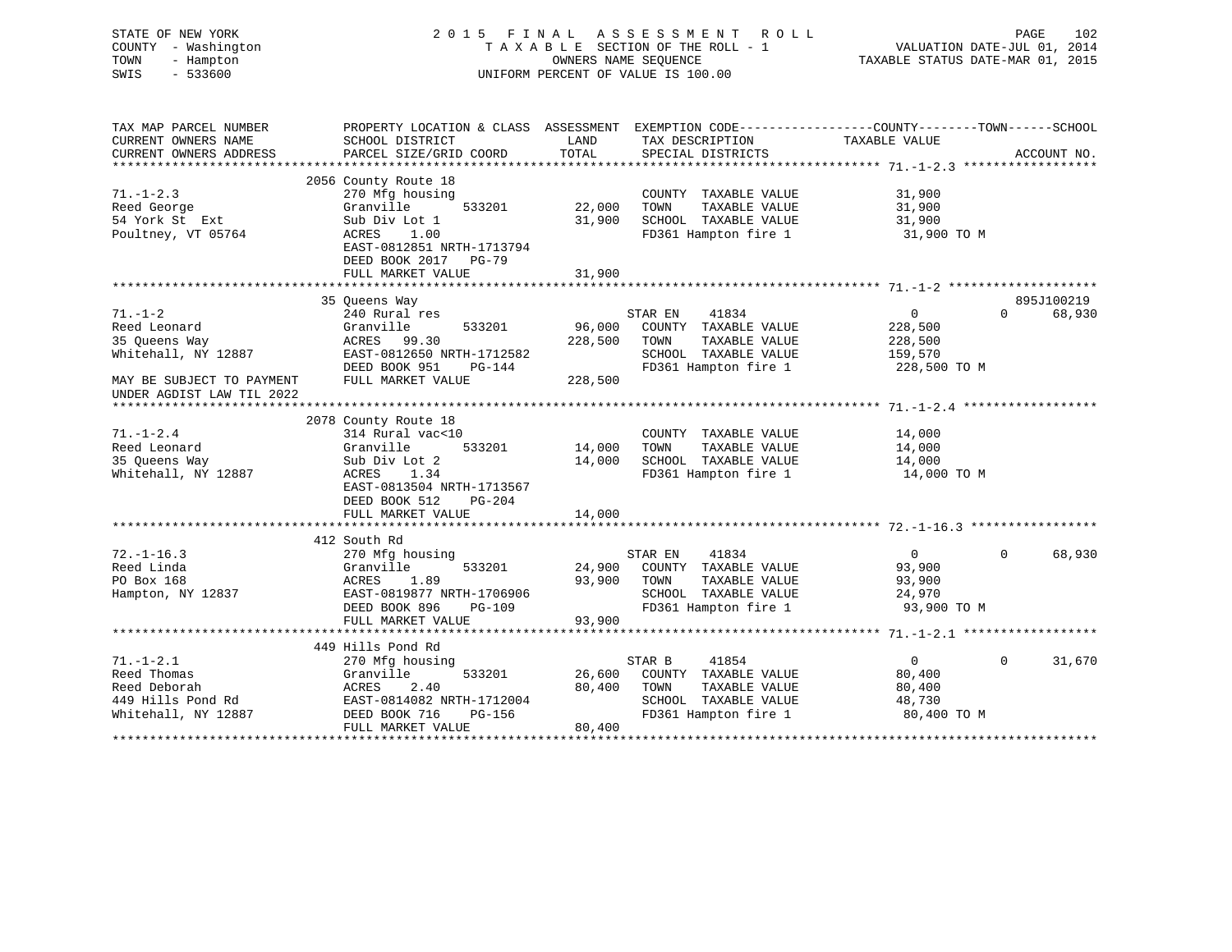| STATE OF NEW YORK<br>COUNTY - Washington<br>TOWN<br>- Hampton<br>SWIS<br>$-533600$ |                                              |                  | 2015 FINAL ASSESSMENT<br>R O L L<br>TAXABLE SECTION OF THE ROLL - 1<br>OWNERS NAME SEOUENCE<br>UNIFORM PERCENT OF VALUE IS 100.00 | VALUATION DATE-JUL 01, 2014<br>TAXABLE STATUS DATE-MAR 01, 2015 | PAGE<br>102 |
|------------------------------------------------------------------------------------|----------------------------------------------|------------------|-----------------------------------------------------------------------------------------------------------------------------------|-----------------------------------------------------------------|-------------|
| TAX MAP PARCEL NUMBER<br>CURRENT OWNERS NAME                                       | SCHOOL DISTRICT                              | LAND             | PROPERTY LOCATION & CLASS ASSESSMENT EXEMPTION CODE----------------COUNTY-------TOWN------SCHOOL<br>TAX DESCRIPTION               | TAXABLE VALUE                                                   |             |
| CURRENT OWNERS ADDRESS                                                             | PARCEL SIZE/GRID COORD                       | TOTAL            | SPECIAL DISTRICTS                                                                                                                 |                                                                 | ACCOUNT NO. |
|                                                                                    |                                              |                  |                                                                                                                                   |                                                                 |             |
|                                                                                    | 2056 County Route 18                         |                  |                                                                                                                                   |                                                                 |             |
| $71. - 1 - 2.3$                                                                    | 270 Mfg housing                              |                  | COUNTY TAXABLE VALUE                                                                                                              | 31,900                                                          |             |
| Reed George<br>54 York St Ext                                                      | Granville<br>533201<br>Sub Div Lot 1         | 22,000<br>31,900 | TAXABLE VALUE<br>TOWN<br>SCHOOL TAXABLE VALUE                                                                                     | 31,900<br>31,900                                                |             |
| Poultney, VT 05764                                                                 | ACRES<br>1.00                                |                  | FD361 Hampton fire 1                                                                                                              | 31,900 TO M                                                     |             |
|                                                                                    | EAST-0812851 NRTH-1713794                    |                  |                                                                                                                                   |                                                                 |             |
|                                                                                    | DEED BOOK 2017 PG-79                         |                  |                                                                                                                                   |                                                                 |             |
|                                                                                    | FULL MARKET VALUE                            | 31,900           |                                                                                                                                   |                                                                 |             |
|                                                                                    |                                              |                  |                                                                                                                                   |                                                                 |             |
|                                                                                    | 35 Queens Way                                |                  |                                                                                                                                   |                                                                 | 895J100219  |
| $71. - 1 - 2$                                                                      | 240 Rural res                                |                  | 41834<br>STAR EN                                                                                                                  | $\Omega$<br>$\overline{0}$                                      | 68,930      |
| Reed Leonard                                                                       | Granville<br>533201                          | 96,000           | COUNTY TAXABLE VALUE                                                                                                              | 228,500                                                         |             |
| 35 Queens Way                                                                      | ACRES<br>99.30                               | 228,500          | TOWN<br>TAXABLE VALUE                                                                                                             | 228,500                                                         |             |
| Whitehall, NY 12887                                                                | EAST-0812650 NRTH-1712582                    |                  | SCHOOL TAXABLE VALUE                                                                                                              | 159,570                                                         |             |
|                                                                                    | DEED BOOK 951<br>PG-144                      |                  | FD361 Hampton fire 1                                                                                                              | 228,500 TO M                                                    |             |
| MAY BE SUBJECT TO PAYMENT<br>UNDER AGDIST LAW TIL 2022                             | FULL MARKET VALUE                            | 228,500          |                                                                                                                                   |                                                                 |             |
|                                                                                    |                                              |                  |                                                                                                                                   |                                                                 |             |
|                                                                                    | 2078 County Route 18                         |                  |                                                                                                                                   |                                                                 |             |
| $71. - 1 - 2.4$                                                                    | 314 Rural vac<10                             |                  | COUNTY TAXABLE VALUE                                                                                                              | 14,000                                                          |             |
| Reed Leonard                                                                       | Granville<br>533201                          | 14,000           | TAXABLE VALUE<br>TOWN                                                                                                             | 14,000                                                          |             |
| 35 Queens Way                                                                      | Sub Div Lot 2                                | 14,000           | SCHOOL TAXABLE VALUE                                                                                                              | 14,000                                                          |             |
| Whitehall, NY 12887                                                                | ACRES<br>1.34                                |                  | FD361 Hampton fire 1                                                                                                              | 14,000 TO M                                                     |             |
|                                                                                    | EAST-0813504 NRTH-1713567                    |                  |                                                                                                                                   |                                                                 |             |
|                                                                                    | DEED BOOK 512<br>PG-204                      |                  |                                                                                                                                   |                                                                 |             |
|                                                                                    | FULL MARKET VALUE                            | 14,000           |                                                                                                                                   |                                                                 |             |
|                                                                                    |                                              |                  |                                                                                                                                   |                                                                 |             |
| $72. - 1 - 16.3$                                                                   | 412 South Rd                                 |                  |                                                                                                                                   | $\overline{0}$<br>$\Omega$                                      |             |
| Reed Linda                                                                         | 270 Mfg housing<br>533201<br>Granville       | 24,900           | 41834<br>STAR EN<br>COUNTY TAXABLE VALUE                                                                                          | 93,900                                                          | 68,930      |
| PO Box 168                                                                         | ACRES<br>1.89                                | 93,900           | TAXABLE VALUE<br>TOWN                                                                                                             | 93,900                                                          |             |
| Hampton, NY 12837                                                                  | EAST-0819877 NRTH-1706906                    |                  | SCHOOL TAXABLE VALUE                                                                                                              | 24,970                                                          |             |
|                                                                                    | DEED BOOK 896<br>$PG-109$                    |                  | FD361 Hampton fire 1                                                                                                              | 93,900 TO M                                                     |             |
|                                                                                    | FULL MARKET VALUE                            | 93,900           |                                                                                                                                   |                                                                 |             |
|                                                                                    |                                              |                  |                                                                                                                                   |                                                                 |             |
|                                                                                    | 449 Hills Pond Rd                            |                  |                                                                                                                                   |                                                                 |             |
| $71. - 1 - 2.1$                                                                    | 270 Mfg housing                              |                  | STAR B<br>41854                                                                                                                   | $\overline{0}$<br>$\Omega$                                      | 31,670      |
| Reed Thomas                                                                        | Granville<br>533201                          | 26,600           | COUNTY TAXABLE VALUE                                                                                                              | 80,400                                                          |             |
| Reed Deborah                                                                       | ACRES<br>2.40                                | 80,400           | TAXABLE VALUE<br>TOWN                                                                                                             | 80,400                                                          |             |
| 449 Hills Pond Rd                                                                  | EAST-0814082 NRTH-1712004                    |                  | SCHOOL TAXABLE VALUE                                                                                                              | 48,730                                                          |             |
| Whitehall, NY 12887                                                                | DEED BOOK 716<br>PG-156<br>FULL MARKET VALUE | 80,400           | FD361 Hampton fire 1                                                                                                              | 80,400 TO M                                                     |             |

\*\*\*\*\*\*\*\*\*\*\*\*\*\*\*\*\*\*\*\*\*\*\*\*\*\*\*\*\*\*\*\*\*\*\*\*\*\*\*\*\*\*\*\*\*\*\*\*\*\*\*\*\*\*\*\*\*\*\*\*\*\*\*\*\*\*\*\*\*\*\*\*\*\*\*\*\*\*\*\*\*\*\*\*\*\*\*\*\*\*\*\*\*\*\*\*\*\*\*\*\*\*\*\*\*\*\*\*\*\*\*\*\*\*\*\*\*\*\*\*\*\*\*\*\*\*\*\*\*\*\*\*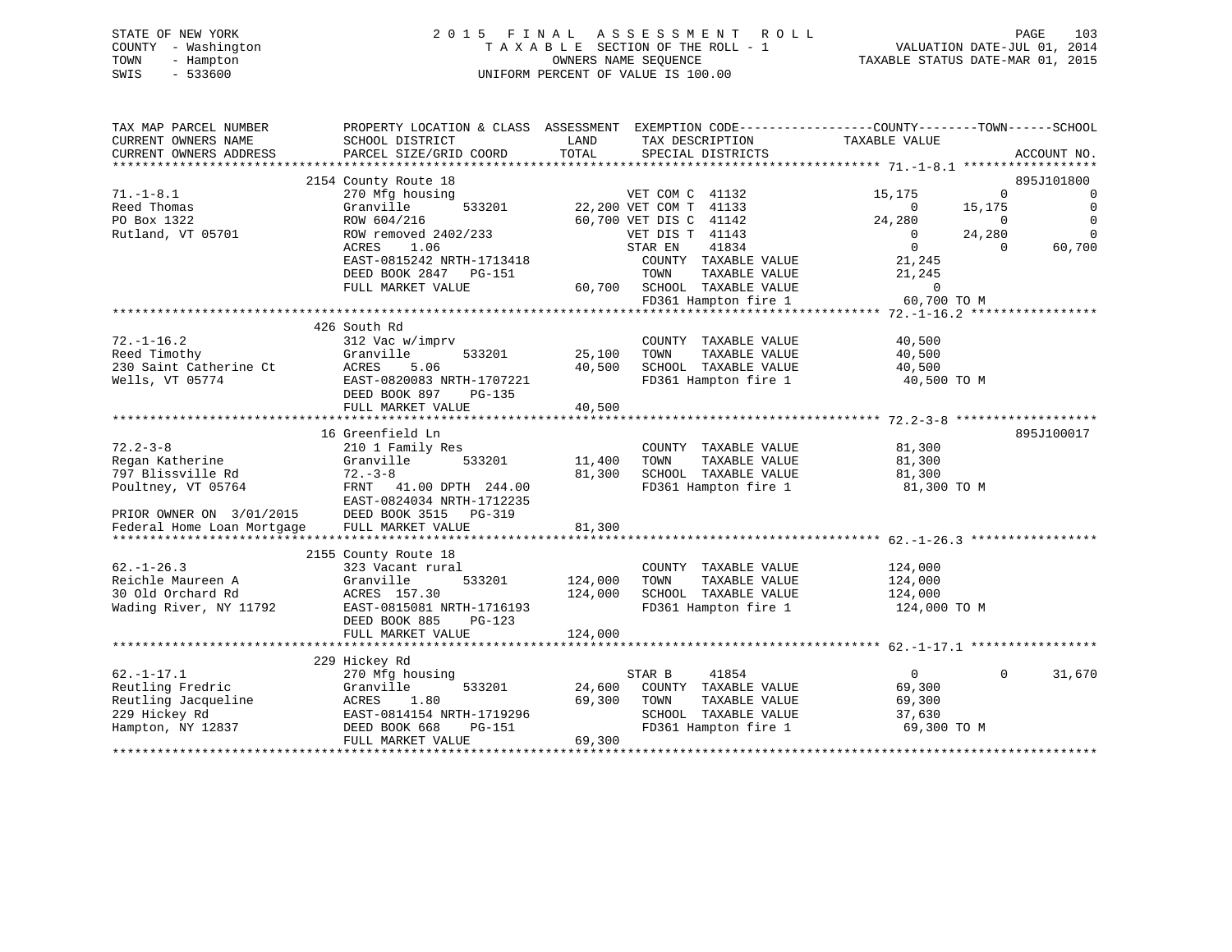# STATE OF NEW YORK 2 0 1 5 F I N A L A S S E S S M E N T R O L L PAGE 103 COUNTY - Washington T A X A B L E SECTION OF THE ROLL - 1 VALUATION DATE-JUL 01, 2014 TOWN - Hampton OWNERS NAME SEQUENCE TAXABLE STATUS DATE-MAR 01, 2015 SWIS - 533600 UNIFORM PERCENT OF VALUE IS 100.00

| TAX MAP PARCEL NUMBER<br>CURRENT OWNERS NAME<br>CURRENT OWNERS ADDRESS | PROPERTY LOCATION & CLASS ASSESSMENT<br>SCHOOL DISTRICT<br>PARCEL SIZE/GRID COORD | LAND<br>TAX DESCRIPTION<br>TOTAL<br>SPECIAL DISTRICTS | EXEMPTION CODE-----------------COUNTY-------TOWN------SCHOOL<br>TAXABLE VALUE<br>ACCOUNT NO. |
|------------------------------------------------------------------------|-----------------------------------------------------------------------------------|-------------------------------------------------------|----------------------------------------------------------------------------------------------|
|                                                                        |                                                                                   |                                                       |                                                                                              |
|                                                                        | 2154 County Route 18                                                              |                                                       | 895J101800                                                                                   |
| $71. - 1 - 8.1$                                                        | 270 Mfg housing                                                                   | VET COM C 41132                                       | 15,175<br>$\Omega$<br>$\mathbf 0$                                                            |
| Reed Thomas                                                            | 533201<br>Granville                                                               | 22,200 VET COM T<br>41133                             | $\mathbf 0$<br>$\overline{0}$<br>15,175                                                      |
| PO Box 1322                                                            | ROW 604/216                                                                       | 60,700 VET DIS C 41142                                | 24,280<br>$\Omega$<br>0                                                                      |
| Rutland, VT 05701                                                      | ROW removed 2402/233                                                              | VET DIS T 41143                                       | $\Omega$<br>$\overline{0}$<br>24,280                                                         |
|                                                                        | ACRES<br>1.06                                                                     | 41834<br>STAR EN                                      | $\overline{0}$<br>$\Omega$<br>60,700                                                         |
|                                                                        | EAST-0815242 NRTH-1713418                                                         | COUNTY TAXABLE VALUE                                  | 21,245                                                                                       |
|                                                                        | DEED BOOK 2847<br><b>PG-151</b>                                                   | TOWN<br>TAXABLE VALUE                                 | 21,245                                                                                       |
|                                                                        | FULL MARKET VALUE                                                                 | 60,700<br>SCHOOL TAXABLE VALUE                        | $\mathbf 0$                                                                                  |
|                                                                        |                                                                                   | FD361 Hampton fire 1                                  | 60,700 TO M                                                                                  |
|                                                                        |                                                                                   |                                                       |                                                                                              |
|                                                                        | 426 South Rd                                                                      |                                                       |                                                                                              |
| $72. - 1 - 16.2$                                                       | 312 Vac w/imprv                                                                   | COUNTY TAXABLE VALUE                                  | 40,500                                                                                       |
| Reed Timothy                                                           | Granville<br>533201                                                               | 25,100<br>TOWN<br>TAXABLE VALUE                       | 40,500                                                                                       |
| 230 Saint Catherine Ct                                                 | ACRES<br>5.06                                                                     | SCHOOL TAXABLE VALUE<br>40,500                        | 40,500                                                                                       |
| Wells, VT 05774                                                        | EAST-0820083 NRTH-1707221                                                         |                                                       |                                                                                              |
|                                                                        |                                                                                   | FD361 Hampton fire 1                                  | 40,500 TO M                                                                                  |
|                                                                        | DEED BOOK 897<br>PG-135                                                           |                                                       |                                                                                              |
|                                                                        | FULL MARKET VALUE                                                                 | 40,500                                                |                                                                                              |
|                                                                        |                                                                                   |                                                       |                                                                                              |
|                                                                        | 16 Greenfield Ln                                                                  |                                                       | 895J100017                                                                                   |
| $72.2 - 3 - 8$                                                         | 210 1 Family Res                                                                  | COUNTY TAXABLE VALUE                                  | 81,300                                                                                       |
| Regan Katherine                                                        | Granville<br>533201                                                               | 11,400<br>TOWN<br>TAXABLE VALUE                       | 81,300                                                                                       |
| 797 Blissville Rd                                                      | $72 - 3 - 8$                                                                      | 81,300<br>SCHOOL TAXABLE VALUE                        | 81,300                                                                                       |
| Poultney, VT 05764                                                     | FRNT<br>41.00 DPTH 244.00                                                         | FD361 Hampton fire 1                                  | 81,300 TO M                                                                                  |
|                                                                        | EAST-0824034 NRTH-1712235                                                         |                                                       |                                                                                              |
| PRIOR OWNER ON 3/01/2015                                               | DEED BOOK 3515<br>PG-319                                                          |                                                       |                                                                                              |
| Federal Home Loan Mortgage                                             | FULL MARKET VALUE                                                                 | 81,300                                                |                                                                                              |
|                                                                        |                                                                                   |                                                       |                                                                                              |
|                                                                        | 2155 County Route 18                                                              |                                                       |                                                                                              |
| $62. - 1 - 26.3$                                                       | 323 Vacant rural                                                                  | COUNTY TAXABLE VALUE                                  | 124,000                                                                                      |
| Reichle Maureen A                                                      | Granville<br>533201                                                               | 124,000<br>TOWN<br>TAXABLE VALUE                      | 124,000                                                                                      |
| 30 Old Orchard Rd                                                      | ACRES 157.30                                                                      | 124,000<br>SCHOOL TAXABLE VALUE                       | 124,000                                                                                      |
| Wading River, NY 11792                                                 | EAST-0815081 NRTH-1716193                                                         | FD361 Hampton fire 1                                  |                                                                                              |
|                                                                        |                                                                                   |                                                       | 124,000 TO M                                                                                 |
|                                                                        | DEED BOOK 885<br>PG-123                                                           |                                                       |                                                                                              |
|                                                                        | FULL MARKET VALUE                                                                 | 124,000                                               |                                                                                              |
|                                                                        |                                                                                   |                                                       |                                                                                              |
|                                                                        | 229 Hickey Rd                                                                     |                                                       |                                                                                              |
| $62. - 1 - 17.1$                                                       | 270 Mfg housing                                                                   | 41854<br>STAR B                                       | $\overline{0}$<br>$\Omega$<br>31,670                                                         |
| Reutling Fredric                                                       | Granville<br>533201                                                               | COUNTY TAXABLE VALUE<br>24,600                        | 69,300                                                                                       |
| Reutling Jacqueline                                                    | 1.80<br>ACRES                                                                     | 69,300<br>TAXABLE VALUE<br>TOWN                       | 69,300                                                                                       |
| 229 Hickey Rd                                                          | EAST-0814154 NRTH-1719296                                                         | SCHOOL TAXABLE VALUE                                  | 37,630                                                                                       |
| Hampton, NY 12837                                                      | DEED BOOK 668<br><b>PG-151</b>                                                    | FD361 Hampton fire 1                                  | 69,300 TO M                                                                                  |
|                                                                        | FULL MARKET VALUE                                                                 | 69,300                                                |                                                                                              |
|                                                                        |                                                                                   |                                                       |                                                                                              |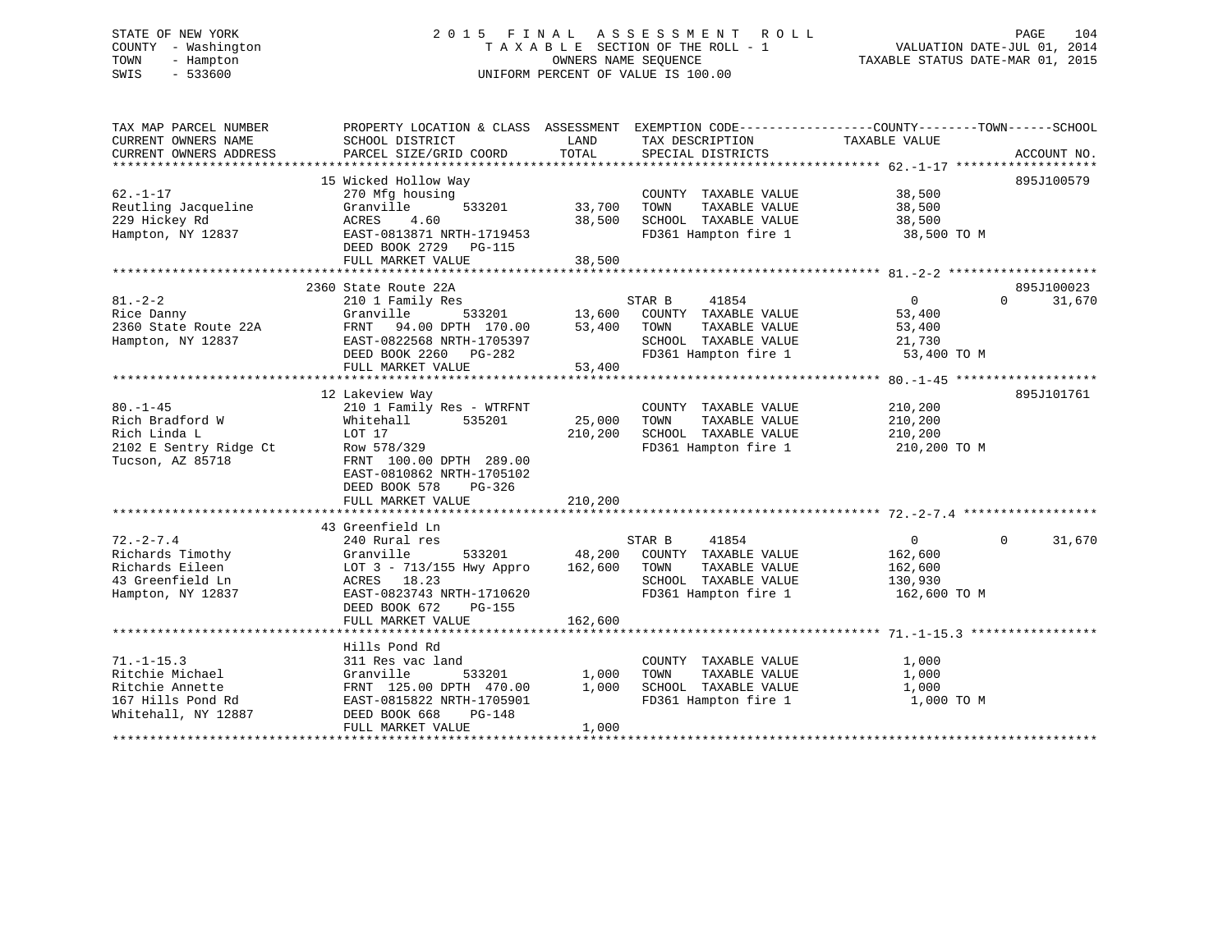# STATE OF NEW YORK 2 0 1 5 F I N A L A S S E S S M E N T R O L L PAGE 104 COUNTY - Washington T A X A B L E SECTION OF THE ROLL - 1 VALUATION DATE-JUL 01, 2014 TOWN - Hampton OWNERS NAME SEQUENCE TAXABLE STATUS DATE-MAR 01, 2015 SWIS - 533600 UNIFORM PERCENT OF VALUE IS 100.00

| TAX MAP PARCEL NUMBER<br>CURRENT OWNERS NAME<br>SCHOOL DISTRICT<br>CURRENT OWNERS ADDRESS<br>PARCEL SIZE/GRID COORD                | LAND<br>TOTAL              | TAX DESCRIPTION<br>SPECIAL DISTRICTS          | PROPERTY LOCATION & CLASS ASSESSMENT EXEMPTION CODE---------------COUNTY-------TOWN-----SCHOOL<br>TAXABLE VALUE | ACCOUNT NO.        |
|------------------------------------------------------------------------------------------------------------------------------------|----------------------------|-----------------------------------------------|-----------------------------------------------------------------------------------------------------------------|--------------------|
|                                                                                                                                    |                            |                                               |                                                                                                                 |                    |
| 15 Wicked Hollow Way<br>$62. - 1 - 17$<br>270 Mfg housing                                                                          |                            | COUNTY TAXABLE VALUE                          | 38,500                                                                                                          | 895J100579         |
| Reutling Jacqueline<br>Granville<br>229 Hickey Rd<br>ACRES<br>4.60                                                                 | 533201<br>33,700<br>38,500 | TAXABLE VALUE<br>TOWN<br>SCHOOL TAXABLE VALUE | 38,500<br>38,500                                                                                                |                    |
| EAST-0813871 NRTH-1719453<br>Hampton, NY 12837<br>DEED BOOK 2729 PG-115<br>FULL MARKET VALUE                                       | 38,500                     | FD361 Hampton fire 1                          | 38,500 TO M                                                                                                     |                    |
|                                                                                                                                    |                            |                                               |                                                                                                                 |                    |
| 2360 State Route 22A                                                                                                               |                            |                                               |                                                                                                                 | 895J100023         |
| $81. - 2 - 2$<br>210 1 Family Res<br>Rice Danny<br>Granville                                                                       | 533201<br>13,600           | STAR B<br>41854<br>COUNTY TAXABLE VALUE       | $\Omega$<br>53,400                                                                                              | $\Omega$<br>31,670 |
| 2360 State Route 22A<br>FRNT 94.00 DPTH 170.00                                                                                     | 53,400                     | TOWN<br>TAXABLE VALUE                         | 53,400                                                                                                          |                    |
| EAST-0822568 NRTH-1705397<br>Hampton, NY 12837                                                                                     |                            | SCHOOL TAXABLE VALUE                          | 21,730                                                                                                          |                    |
| DEED BOOK 2260 PG-282                                                                                                              |                            | FD361 Hampton fire 1                          | 53,400 TO M                                                                                                     |                    |
| FULL MARKET VALUE                                                                                                                  | 53,400                     |                                               |                                                                                                                 |                    |
|                                                                                                                                    |                            |                                               |                                                                                                                 |                    |
| 12 Lakeview Way<br>$80. - 1 - 45$                                                                                                  |                            |                                               |                                                                                                                 | 895J101761         |
| 210 1 Family Res - WTRFNT<br>Rich Bradford W<br>Whitehall                                                                          | 535201<br>25,000           | COUNTY TAXABLE VALUE<br>TOWN<br>TAXABLE VALUE | 210,200<br>210,200                                                                                              |                    |
| Rich Linda L<br>LOT 17                                                                                                             | 210,200                    | SCHOOL TAXABLE VALUE                          | 210,200                                                                                                         |                    |
| 2102 E Sentry Ridge Ct<br>Row 578/329<br>Tucson, AZ 85718<br>FRNT 100.00 DPTH 289.00<br>EAST-0810862 NRTH-1705102<br>DEED BOOK 578 | PG-326                     | FD361 Hampton fire 1                          | 210,200 TO M                                                                                                    |                    |
| FULL MARKET VALUE                                                                                                                  | 210,200                    |                                               |                                                                                                                 |                    |
|                                                                                                                                    |                            |                                               |                                                                                                                 |                    |
| 43 Greenfield Ln<br>$72. - 2 - 7.4$<br>240 Rural res                                                                               |                            | 41854<br>STAR B                               | $\overline{0}$                                                                                                  | 31,670<br>$\Omega$ |
| Richards Timothy<br>Granville                                                                                                      | 533201<br>48,200           | COUNTY TAXABLE VALUE                          | 162,600                                                                                                         |                    |
| LOT 3 - 713/155 Hwy Appro<br>Richards Eileen                                                                                       | 162,600                    | TOWN<br>TAXABLE VALUE                         | 162,600                                                                                                         |                    |
| 43 Greenfield Ln<br>ACRES 18.23                                                                                                    |                            | SCHOOL TAXABLE VALUE                          | 130,930                                                                                                         |                    |
| EAST-0823743 NRTH-1710620<br>Hampton, NY 12837<br>DEED BOOK 672                                                                    | $PG-155$                   | FD361 Hampton fire 1                          | 162,600 TO M                                                                                                    |                    |
| FULL MARKET VALUE                                                                                                                  | 162,600                    |                                               |                                                                                                                 |                    |
| Hills Pond Rd                                                                                                                      |                            |                                               |                                                                                                                 |                    |
| $71. - 1 - 15.3$<br>311 Res vac land                                                                                               |                            | COUNTY TAXABLE VALUE                          | 1,000                                                                                                           |                    |
| Ritchie Michael<br>Granville                                                                                                       | 533201<br>1,000            | TOWN<br>TAXABLE VALUE                         | 1,000                                                                                                           |                    |
| Ritchie Annette<br>FRNT 125.00 DPTH 470.00                                                                                         | 1,000                      | SCHOOL TAXABLE VALUE                          | 1,000                                                                                                           |                    |
| 167 Hills Pond Rd<br>EAST-0815822 NRTH-1705901<br>Whitehall, NY 12887<br>DEED BOOK 668                                             | <b>PG-148</b>              | FD361 Hampton fire 1                          | 1,000 TO M                                                                                                      |                    |
| FULL MARKET VALUE                                                                                                                  | 1,000                      |                                               |                                                                                                                 |                    |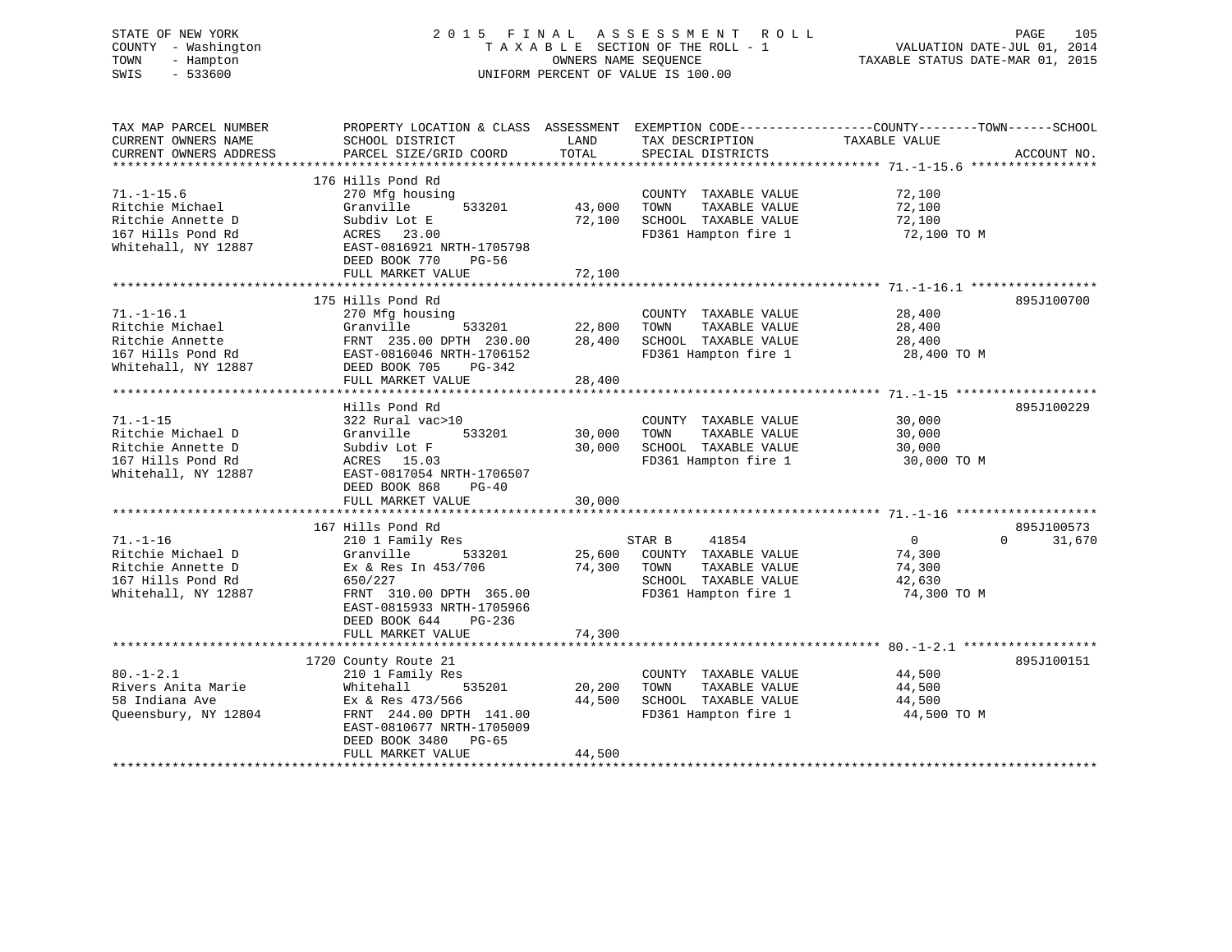| STATE OF NEW YORK<br>COUNTY - Washington<br>TOWN<br>- Hampton<br>$-533600$<br>SWIS |                                                                                                                    | OWNERS NAME SEQUENCE | 2015 FINAL ASSESSMENT ROLL<br>TAXABLE SECTION OF THE ROLL - 1<br>UNIFORM PERCENT OF VALUE IS 100.00 | VALUATION DATE-JUL 01, 2014<br>TAXABLE STATUS DATE-MAR 01, 2015 | PAGE<br>105        |
|------------------------------------------------------------------------------------|--------------------------------------------------------------------------------------------------------------------|----------------------|-----------------------------------------------------------------------------------------------------|-----------------------------------------------------------------|--------------------|
| TAX MAP PARCEL NUMBER<br>CURRENT OWNERS NAME                                       | PROPERTY LOCATION & CLASS ASSESSMENT EXEMPTION CODE---------------COUNTY-------TOWN------SCHOOL<br>SCHOOL DISTRICT | LAND                 | TAX DESCRIPTION                                                                                     | TAXABLE VALUE                                                   |                    |
| CURRENT OWNERS ADDRESS                                                             | PARCEL SIZE/GRID COORD                                                                                             | TOTAL                | SPECIAL DISTRICTS                                                                                   |                                                                 | ACCOUNT NO.        |
|                                                                                    |                                                                                                                    |                      |                                                                                                     |                                                                 |                    |
|                                                                                    | 176 Hills Pond Rd                                                                                                  |                      |                                                                                                     |                                                                 |                    |
| $71. - 1 - 15.6$<br>Ritchie Michael                                                | 270 Mfg housing<br>Granville<br>533201                                                                             |                      | COUNTY TAXABLE VALUE                                                                                | 72,100                                                          |                    |
| Ritchie Annette D                                                                  | Subdiv Lot E                                                                                                       | 43,000<br>72,100     | TAXABLE VALUE<br>TOWN<br>SCHOOL TAXABLE VALUE                                                       | 72,100<br>72,100                                                |                    |
| 167 Hills Pond Rd                                                                  | ACRES 23.00                                                                                                        |                      | FD361 Hampton fire 1                                                                                | 72,100 TO M                                                     |                    |
| Whitehall, NY 12887                                                                | EAST-0816921 NRTH-1705798<br>DEED BOOK 770<br>PG-56                                                                |                      |                                                                                                     |                                                                 |                    |
|                                                                                    | FULL MARKET VALUE                                                                                                  | 72,100               |                                                                                                     |                                                                 |                    |
|                                                                                    | 175 Hills Pond Rd                                                                                                  |                      |                                                                                                     |                                                                 | 895J100700         |
| $71. - 1 - 16.1$                                                                   | 270 Mfg housing                                                                                                    |                      | COUNTY TAXABLE VALUE                                                                                | 28,400                                                          |                    |
| Ritchie Michael                                                                    | Granville<br>533201                                                                                                | 22,800               | TOWN<br>TAXABLE VALUE                                                                               | 28,400                                                          |                    |
| Ritchie Annette                                                                    | FRNT 235.00 DPTH 230.00                                                                                            | 28,400               | SCHOOL TAXABLE VALUE                                                                                | 28,400                                                          |                    |
| 167 Hills Pond Rd                                                                  | EAST-0816046 NRTH-1706152                                                                                          |                      | FD361 Hampton fire 1                                                                                | 28,400 TO M                                                     |                    |
| Whitehall, NY 12887                                                                | DEED BOOK 705<br>PG-342                                                                                            |                      |                                                                                                     |                                                                 |                    |
|                                                                                    | FULL MARKET VALUE                                                                                                  | 28,400               |                                                                                                     |                                                                 |                    |
|                                                                                    | Hills Pond Rd                                                                                                      |                      |                                                                                                     |                                                                 | 895J100229         |
| $71. - 1 - 15$                                                                     | 322 Rural vac>10                                                                                                   |                      | COUNTY TAXABLE VALUE                                                                                | 30,000                                                          |                    |
| Ritchie Michael D                                                                  | Granville<br>533201                                                                                                | 30,000               | TOWN<br>TAXABLE VALUE                                                                               | 30,000                                                          |                    |
| Ritchie Annette D                                                                  | Subdiv Lot F                                                                                                       | 30,000               | SCHOOL TAXABLE VALUE                                                                                | 30,000                                                          |                    |
| 167 Hills Pond Rd                                                                  | ACRES 15.03                                                                                                        |                      | FD361 Hampton fire 1                                                                                | 30,000 TO M                                                     |                    |
| Whitehall, NY 12887                                                                | EAST-0817054 NRTH-1706507                                                                                          |                      |                                                                                                     |                                                                 |                    |
|                                                                                    | DEED BOOK 868<br>$PG-40$                                                                                           |                      |                                                                                                     |                                                                 |                    |
|                                                                                    | FULL MARKET VALUE<br>*****************************                                                                 | 30,000               |                                                                                                     |                                                                 |                    |
|                                                                                    | 167 Hills Pond Rd                                                                                                  |                      |                                                                                                     |                                                                 | 895J100573         |
| $71. - 1 - 16$                                                                     | 210 1 Family Res                                                                                                   |                      | 41854<br>STAR B                                                                                     | $\overline{0}$                                                  | 31,670<br>$\Omega$ |
| Ritchie Michael D                                                                  | 533201<br>Granville                                                                                                | 25,600               | COUNTY TAXABLE VALUE                                                                                | 74,300                                                          |                    |
| Ritchie Annette D                                                                  | Ex & Res In 453/706                                                                                                | 74,300               | TOWN<br>TAXABLE VALUE                                                                               | 74,300                                                          |                    |
| 167 Hills Pond Rd                                                                  | 650/227                                                                                                            |                      | SCHOOL TAXABLE VALUE                                                                                | 42,630                                                          |                    |
| Whitehall, NY 12887                                                                | FRNT 310.00 DPTH 365.00                                                                                            |                      | FD361 Hampton fire 1                                                                                | 74,300 TO M                                                     |                    |
|                                                                                    | EAST-0815933 NRTH-1705966                                                                                          |                      |                                                                                                     |                                                                 |                    |
|                                                                                    | DEED BOOK 644<br>PG-236                                                                                            |                      |                                                                                                     |                                                                 |                    |
|                                                                                    | FULL MARKET VALUE                                                                                                  | 74,300               |                                                                                                     |                                                                 |                    |
|                                                                                    | 1720 County Route 21                                                                                               |                      |                                                                                                     |                                                                 | 895J100151         |
| $80. -1 - 2.1$                                                                     | 210 1 Family Res                                                                                                   |                      | COUNTY TAXABLE VALUE                                                                                | 44,500                                                          |                    |
| Rivers Anita Marie                                                                 | Whitehall<br>535201                                                                                                | 20,200               | TOWN<br>TAXABLE VALUE                                                                               | 44,500                                                          |                    |
| 58 Indiana Ave                                                                     | Ex & Res 473/566                                                                                                   | 44,500               | SCHOOL TAXABLE VALUE                                                                                | 44,500                                                          |                    |
| Queensbury, NY 12804                                                               | FRNT 244.00 DPTH 141.00                                                                                            |                      | FD361 Hampton fire 1                                                                                | 44,500 TO M                                                     |                    |
|                                                                                    | EAST-0810677 NRTH-1705009                                                                                          |                      |                                                                                                     |                                                                 |                    |
|                                                                                    | DEED BOOK 3480<br>PG-65                                                                                            |                      |                                                                                                     |                                                                 |                    |
|                                                                                    | FULL MARKET VALUE                                                                                                  | 44,500               |                                                                                                     |                                                                 |                    |

\*\*\*\*\*\*\*\*\*\*\*\*\*\*\*\*\*\*\*\*\*\*\*\*\*\*\*\*\*\*\*\*\*\*\*\*\*\*\*\*\*\*\*\*\*\*\*\*\*\*\*\*\*\*\*\*\*\*\*\*\*\*\*\*\*\*\*\*\*\*\*\*\*\*\*\*\*\*\*\*\*\*\*\*\*\*\*\*\*\*\*\*\*\*\*\*\*\*\*\*\*\*\*\*\*\*\*\*\*\*\*\*\*\*\*\*\*\*\*\*\*\*\*\*\*\*\*\*\*\*\*\*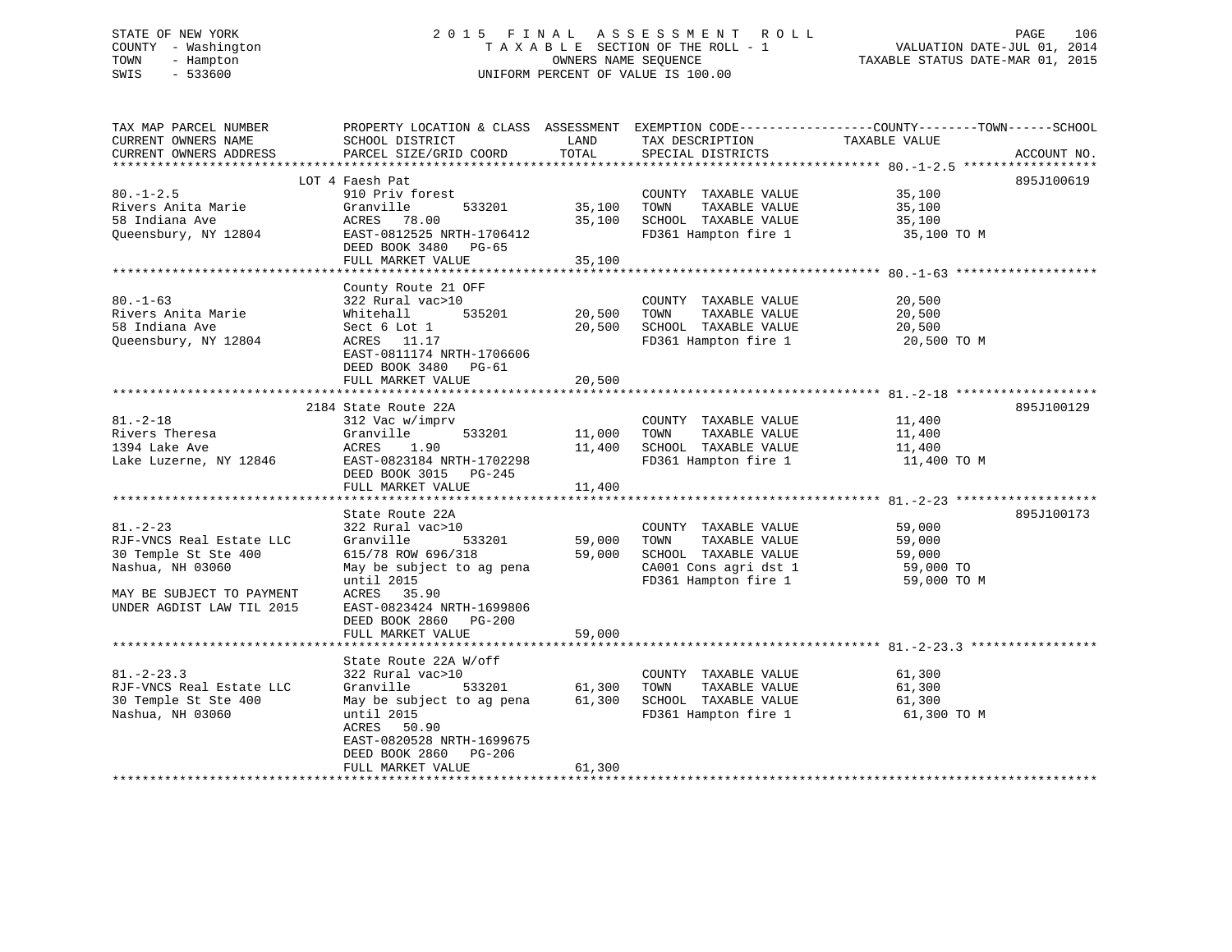# STATE OF NEW YORK 2 0 1 5 F I N A L A S S E S S M E N T R O L L PAGE 106 COUNTY - Washington T A X A B L E SECTION OF THE ROLL - 1 VALUATION DATE-JUL 01, 2014 TOWN - Hampton OWNERS NAME SEQUENCE TAXABLE STATUS DATE-MAR 01, 2015 SWIS - 533600 UNIFORM PERCENT OF VALUE IS 100.00

| TAX MAP PARCEL NUMBER     |                           |                  |                                       | PROPERTY LOCATION & CLASS ASSESSMENT EXEMPTION CODE---------------COUNTY-------TOWN------SCHOOL |  |
|---------------------------|---------------------------|------------------|---------------------------------------|-------------------------------------------------------------------------------------------------|--|
| CURRENT OWNERS NAME       | SCHOOL DISTRICT           | LAND             | TAX DESCRIPTION                       | TAXABLE VALUE                                                                                   |  |
| CURRENT OWNERS ADDRESS    | PARCEL SIZE/GRID COORD    | TOTAL            | SPECIAL DISTRICTS                     | ACCOUNT NO.                                                                                     |  |
| *******************       |                           |                  |                                       |                                                                                                 |  |
|                           | LOT 4 Faesh Pat           |                  |                                       | 895J100619                                                                                      |  |
| $80. -1 - 2.5$            | 910 Priv forest           |                  | COUNTY TAXABLE VALUE                  | 35,100                                                                                          |  |
| Rivers Anita Marie        | Granville<br>533201       | 35,100           | TOWN<br>TAXABLE VALUE                 | 35,100                                                                                          |  |
| 58 Indiana Ave            | ACRES 78.00               | 35,100           | SCHOOL TAXABLE VALUE                  | 35,100                                                                                          |  |
| Queensbury, NY 12804      | EAST-0812525 NRTH-1706412 |                  | FD361 Hampton fire 1                  | 35,100 TO M                                                                                     |  |
|                           | DEED BOOK 3480 PG-65      |                  |                                       |                                                                                                 |  |
|                           | FULL MARKET VALUE         | 35,100           |                                       |                                                                                                 |  |
|                           |                           |                  |                                       |                                                                                                 |  |
|                           | County Route 21 OFF       |                  |                                       |                                                                                                 |  |
| $80. - 1 - 63$            | 322 Rural vac>10          |                  | COUNTY TAXABLE VALUE                  | 20,500                                                                                          |  |
| Rivers Anita Marie        | 535201<br>Whitehall       | 20,500           | TOWN<br>TAXABLE VALUE                 | 20,500                                                                                          |  |
| 58 Indiana Ave            | Sect 6 Lot 1              | 20,500           | SCHOOL TAXABLE VALUE                  | 20,500                                                                                          |  |
| Queensbury, NY 12804      | ACRES 11.17               |                  | FD361 Hampton fire 1                  | 20,500 TO M                                                                                     |  |
|                           | EAST-0811174 NRTH-1706606 |                  |                                       |                                                                                                 |  |
|                           | DEED BOOK 3480 PG-61      |                  |                                       |                                                                                                 |  |
|                           | FULL MARKET VALUE         | 20,500           |                                       |                                                                                                 |  |
|                           |                           |                  |                                       |                                                                                                 |  |
|                           | 2184 State Route 22A      |                  |                                       | 895J100129                                                                                      |  |
| $81. -2 - 18$             | 312 Vac w/imprv           |                  | COUNTY TAXABLE VALUE                  | 11,400                                                                                          |  |
| Rivers Theresa            | Granville<br>533201       | 11,000           | TOWN<br>TAXABLE VALUE                 | 11,400                                                                                          |  |
| 1394 Lake Ave             | 1.90<br>ACRES             | 11,400           | SCHOOL TAXABLE VALUE                  | 11,400                                                                                          |  |
| Lake Luzerne, NY 12846    | EAST-0823184 NRTH-1702298 |                  | FD361 Hampton fire 1                  | 11,400 TO M                                                                                     |  |
|                           | DEED BOOK 3015 PG-245     |                  |                                       |                                                                                                 |  |
|                           | FULL MARKET VALUE         | 11,400           |                                       |                                                                                                 |  |
|                           |                           |                  |                                       |                                                                                                 |  |
|                           | State Route 22A           |                  |                                       | 895J100173                                                                                      |  |
| $81. - 2 - 23$            | 322 Rural vac>10          |                  | COUNTY TAXABLE VALUE                  | 59,000                                                                                          |  |
| RJF-VNCS Real Estate LLC  | 533201<br>Granville       | 59,000           | TAXABLE VALUE<br>TOWN                 | 59,000                                                                                          |  |
| 30 Temple St Ste 400      | 615/78 ROW 696/318        | 59,000           | SCHOOL TAXABLE VALUE                  | 59,000                                                                                          |  |
| Nashua, NH 03060          | May be subject to ag pena |                  | CA001 Cons agri dst 1                 | 59,000 TO                                                                                       |  |
|                           | until 2015                |                  | FD361 Hampton fire 1                  | 59,000 TO M                                                                                     |  |
| MAY BE SUBJECT TO PAYMENT | ACRES 35.90               |                  |                                       |                                                                                                 |  |
| UNDER AGDIST LAW TIL 2015 | EAST-0823424 NRTH-1699806 |                  |                                       |                                                                                                 |  |
|                           | DEED BOOK 2860<br>PG-200  |                  |                                       |                                                                                                 |  |
|                           | FULL MARKET VALUE         | 59,000           |                                       |                                                                                                 |  |
|                           |                           |                  |                                       |                                                                                                 |  |
|                           | State Route 22A W/off     |                  |                                       |                                                                                                 |  |
| $81. - 2 - 23.3$          | 322 Rural vac>10          |                  | COUNTY TAXABLE VALUE<br>TOWN          | 61,300                                                                                          |  |
| RJF-VNCS Real Estate LLC  | 533201<br>Granville       | 61,300<br>61,300 | TAXABLE VALUE<br>SCHOOL TAXABLE VALUE | 61,300                                                                                          |  |
| 30 Temple St Ste 400      | May be subject to ag pena |                  |                                       | 61,300                                                                                          |  |
| Nashua, NH 03060          | until 2015<br>ACRES 50.90 |                  | FD361 Hampton fire 1                  | 61,300 TO M                                                                                     |  |
|                           | EAST-0820528 NRTH-1699675 |                  |                                       |                                                                                                 |  |
|                           | DEED BOOK 2860<br>PG-206  |                  |                                       |                                                                                                 |  |
|                           | FULL MARKET VALUE         | 61,300           |                                       |                                                                                                 |  |
|                           |                           |                  |                                       |                                                                                                 |  |
|                           |                           |                  |                                       |                                                                                                 |  |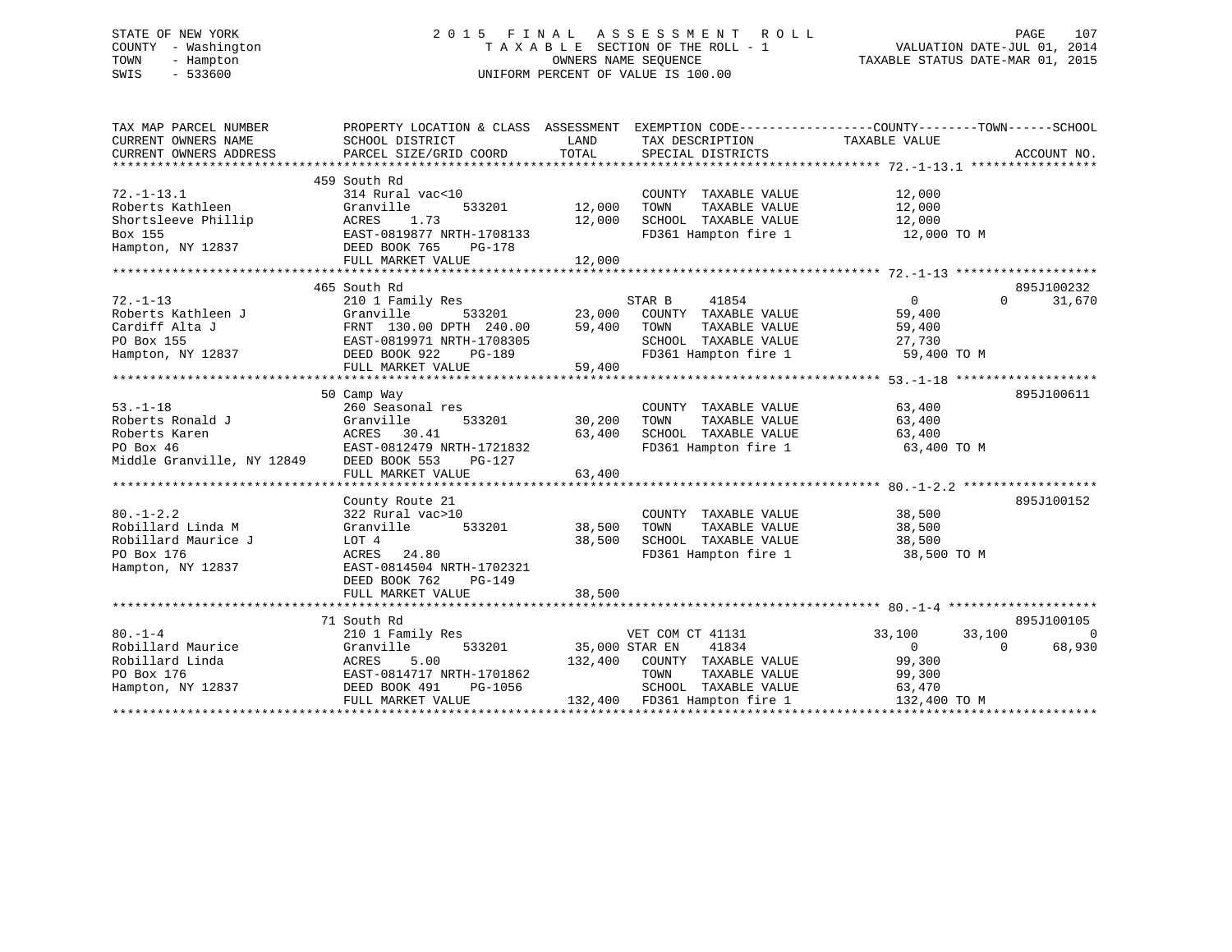# STATE OF NEW YORK 2 0 1 5 F I N A L A S S E S S M E N T R O L L PAGE 107 COUNTY - Washington T A X A B L E SECTION OF THE ROLL - 1 VALUATION DATE-JUL 01, 2014 TOWN - Hampton OWNERS NAME SEQUENCE TAXABLE STATUS DATE-MAR 01, 2015 SWIS - 533600 UNIFORM PERCENT OF VALUE IS 100.00

| TAX MAP PARCEL NUMBER<br>CURRENT OWNERS NAME<br>CURRENT OWNERS ADDRESS                                                                                                                          | PROPERTY LOCATION & CLASS ASSESSMENT EXEMPTION CODE----------------COUNTY-------TOWN------SCHOOL<br>SCHOOL DISTRICT<br>PARCEL SIZE/GRID COORD                                                                                                                            | LAND<br>TOTAL                                  | TAX DESCRIPTION<br>SPECIAL DISTRICTS                                                                                                                                                           | TAXABLE VALUE                                                                                | ACCOUNT NO.              |
|-------------------------------------------------------------------------------------------------------------------------------------------------------------------------------------------------|--------------------------------------------------------------------------------------------------------------------------------------------------------------------------------------------------------------------------------------------------------------------------|------------------------------------------------|------------------------------------------------------------------------------------------------------------------------------------------------------------------------------------------------|----------------------------------------------------------------------------------------------|--------------------------|
| $72. - 1 - 13.1$<br>Roberts Kathleen<br>Shortsleeve Phillip<br>Box 155<br>Hampton, NY 12837                                                                                                     | 459 South Rd<br>314 Rural vac<10<br>533201<br>Granville<br>1.73<br>ACRES<br>EAST-0819877 NRTH-1708133<br>DEED BOOK 765<br>PG-178<br>FULL MARKET VALUE                                                                                                                    | 12,000<br>12,000<br>12,000                     | COUNTY TAXABLE VALUE<br>TOWN<br>TAXABLE VALUE<br>SCHOOL TAXABLE VALUE<br>FD361 Hampton fire 1                                                                                                  | 12,000<br>12,000<br>12,000<br>12,000 TO M                                                    |                          |
|                                                                                                                                                                                                 | 465 South Rd                                                                                                                                                                                                                                                             |                                                |                                                                                                                                                                                                |                                                                                              | 895J100232               |
| $72. - 1 - 13$<br>Roberts Kathleen J<br>Cardiff Alta J<br>PO Box 155<br>Hampton, NY 12837                                                                                                       | 210 1 Family Res<br>533201<br>Granville<br>FRNT 130.00 DPTH 240.00<br>EAST-0819971 NRTH-1708305<br>DEED BOOK 922<br>PG-189                                                                                                                                               | 23,000<br>59,400                               | STAR B<br>41854<br>COUNTY TAXABLE VALUE<br>TOWN<br>TAXABLE VALUE<br>SCHOOL TAXABLE VALUE<br>FD361 Hampton fire 1                                                                               | $\overline{0}$<br>$\Omega$<br>59,400<br>59,400<br>27,730<br>59,400 TO M                      | 31,670                   |
|                                                                                                                                                                                                 | FULL MARKET VALUE                                                                                                                                                                                                                                                        | 59,400                                         |                                                                                                                                                                                                |                                                                                              |                          |
| $53. - 1 - 18$<br>Roberts Ronald J<br>Roberts Karen<br>PO Box 46<br>Middle Granville, NY 12849<br>$80. -1 - 2.2$<br>Robillard Linda M<br>Robillard Maurice J<br>PO Box 176<br>Hampton, NY 12837 | 50 Camp Way<br>260 Seasonal res<br>Granville<br>533201<br>ACRES<br>30.41<br>EAST-0812479 NRTH-1721832<br>DEED BOOK 553<br>PG-127<br>FULL MARKET VALUE<br>County Route 21<br>322 Rural vac>10<br>533201<br>Granville<br>LOT 4<br>ACRES 24.80<br>EAST-0814504 NRTH-1702321 | 30,200<br>63,400<br>63,400<br>38,500<br>38,500 | COUNTY TAXABLE VALUE<br>TAXABLE VALUE<br>TOWN<br>SCHOOL TAXABLE VALUE<br>FD361 Hampton fire 1<br>COUNTY TAXABLE VALUE<br>TOWN<br>TAXABLE VALUE<br>SCHOOL TAXABLE VALUE<br>FD361 Hampton fire 1 | 63,400<br>63,400<br>63,400<br>63,400 TO M<br>38,500<br>38,500<br>38,500<br>38,500 TO M       | 895J100611<br>895J100152 |
|                                                                                                                                                                                                 | DEED BOOK 762<br>PG-149<br>FULL MARKET VALUE                                                                                                                                                                                                                             | 38,500                                         |                                                                                                                                                                                                |                                                                                              |                          |
|                                                                                                                                                                                                 | 71 South Rd                                                                                                                                                                                                                                                              |                                                |                                                                                                                                                                                                |                                                                                              | 895J100105               |
| $80 - 1 - 4$<br>Robillard Maurice<br>Robillard Linda<br>PO Box 176<br>Hampton, NY 12837                                                                                                         | 210 1 Family Res<br>533201<br>Granville<br>ACRES<br>5.00<br>EAST-0814717 NRTH-1701862<br>DEED BOOK 491<br>PG-1056<br>FULL MARKET VALUE                                                                                                                                   | 35,000 STAR EN                                 | VET COM CT 41131<br>41834<br>132,400 COUNTY TAXABLE VALUE<br>TOWN<br>TAXABLE VALUE<br>SCHOOL TAXABLE VALUE<br>132,400 FD361 Hampton fire 1                                                     | 33,100<br>33,100<br>$\overline{0}$<br>$\Omega$<br>99,300<br>99,300<br>63,470<br>132,400 TO M | $\bigcap$<br>68,930      |
|                                                                                                                                                                                                 |                                                                                                                                                                                                                                                                          |                                                |                                                                                                                                                                                                |                                                                                              |                          |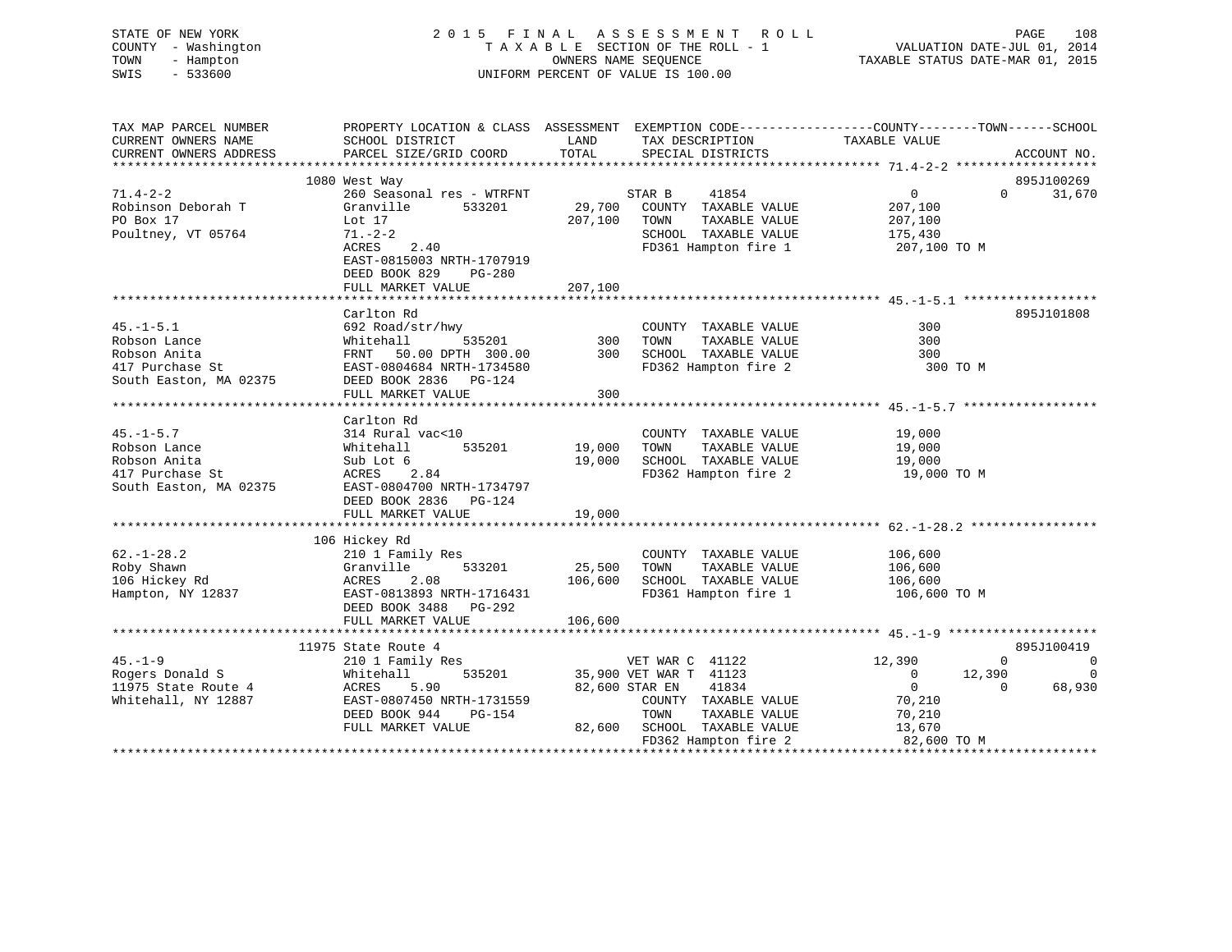STATE OF NEW YORK 2 0 1 5 F I N A L A S S E S S M E N T R O L L PAGE 108 COUNTY - Washington T A X A B L E SECTION OF THE ROLL - 1 VALUATION DATE-JUL 01, 2014 TOWN - Hampton OWNERS NAME SEQUENCE TAXABLE STATUS DATE-MAR 01, 2015 SWIS - 533600 UNIFORM PERCENT OF VALUE IS 100.00 TAX MAP PARCEL NUMBER PROPERTY LOCATION & CLASS ASSESSMENT EXEMPTION CODE---------------COUNTY-------TOWN------SCHOOL<br>CURRENT OWNERS NAME SCHOOL DISTRICT LAND TAX DESCRIPTION

| CURRENI UWNERS ADDRESS | PARCEL SIZE/GRID COORD           | TOTHT<br>OLDATHI DIOILTAIG                             | ACCOUNT THO.                            |
|------------------------|----------------------------------|--------------------------------------------------------|-----------------------------------------|
|                        |                                  |                                                        |                                         |
|                        | 1080 West Way                    |                                                        | 895J100269                              |
| $71.4 - 2 - 2$         | 260 Seasonal res - WTRFNT STAR B | 41854                                                  | $0 \qquad \qquad$<br>31,670<br>$\Omega$ |
| Robinson Deborah T     | 533201<br>Granville              | 29,700 COUNTY TAXABLE VALUE                            | 207,100                                 |
| PO Box 17              | Lot 17                           | 207,100 TOWN<br>TAXABLE VALUE                          | 207,100                                 |
| Poultney, VT 05764     | $71. - 2 - 2$                    | SCHOOL TAXABLE VALUE                                   | 175,430                                 |
|                        | 2.40<br>ACRES                    | FD361 Hampton fire 1                                   | 207,100 TO M                            |
|                        | EAST-0815003 NRTH-1707919        |                                                        |                                         |
|                        | DEED BOOK 829<br>PG-280          |                                                        |                                         |
|                        | FULL MARKET VALUE                | 207,100                                                |                                         |
|                        |                                  |                                                        |                                         |
|                        | Carlton Rd                       |                                                        | 895J101808                              |
| $45. - 1 - 5.1$        | 692 Road/str/hwy                 | COUNTY TAXABLE VALUE                                   | 300                                     |
| Robson Lance           | 535201 300<br>Whitehall          | TOWN<br>TAXABLE VALUE                                  | 300                                     |
| Robson Anita           | FRNT 50.00 DPTH 300.00           | 300<br>SCHOOL TAXABLE VALUE                            | 300                                     |
|                        |                                  | FD362 Hampton fire 2                                   |                                         |
| 417 Purchase St        | EAST-0804684 NRTH-1734580        |                                                        | 300 TO M                                |
| South Easton, MA 02375 | DEED BOOK 2836 PG-124            |                                                        |                                         |
|                        | FULL MARKET VALUE                | 300                                                    |                                         |
|                        |                                  |                                                        |                                         |
|                        | Carlton Rd                       |                                                        |                                         |
| $45. - 1 - 5.7$        | 314 Rural vac<10                 | COUNTY TAXABLE VALUE                                   | 19,000                                  |
| Robson Lance           | 535201<br>Whitehall              | 19,000<br>TAXABLE VALUE<br>TOWN                        | 19,000                                  |
| Robson Anita           | Sub Lot 6                        | 19,000<br>SCHOOL TAXABLE VALUE 19,000                  |                                         |
| 417 Purchase St        | ACRES 2.84                       | FD362 Hampton fire 2                                   | 19,000 TO M                             |
| South Easton, MA 02375 | EAST-0804700 NRTH-1734797        |                                                        |                                         |
|                        | DEED BOOK 2836 PG-124            |                                                        |                                         |
|                        |                                  |                                                        |                                         |
|                        |                                  |                                                        |                                         |
|                        | 106 Hickey Rd                    |                                                        |                                         |
| $62. - 1 - 28.2$       | 210 1 Family Res                 | COUNTY TAXABLE VALUE                                   | 106,600                                 |
| Roby Shawn             | 533201 25,500<br>Granville       | TOWN<br>TAXABLE VALUE                                  | 106,600                                 |
| 106 Hickey Rd          | 2.08<br>ACRES                    | 106,600                                                |                                         |
| Hampton, NY 12837      | EAST-0813893 NRTH-1716431        | SCHOOL TAXABLE VALUE 106,600<br>FD361 Hampton fire 1   | 106,600 TO M                            |
|                        |                                  |                                                        |                                         |
|                        | DEED BOOK 3488 PG-292            |                                                        |                                         |
|                        |                                  |                                                        |                                         |
|                        |                                  |                                                        |                                         |
|                        | 11975 State Route 4              |                                                        | 895J100419                              |
| $45. - 1 - 9$          | 210 1 Family Res                 | e 4<br>11122 VET WAR C<br>1123 535201 35,900 VET WAR T | $\sim$ 0<br>12,390<br>$\Omega$          |
| Rogers Donald S        | Whitehall                        |                                                        | 12,390<br>$\Omega$<br>$\overline{0}$    |
| 11975 State Route 4    | ACRES<br>5.90                    | 41834<br>82,600 STAR EN                                | $\overline{0}$<br>68,930<br>$\Omega$    |
| Whitehall, NY 12887    | EAST-0807450 NRTH-1731559        | COUNTY TAXABLE VALUE                                   | 70,210                                  |
|                        | DEED BOOK 944<br>PG-154          | TOWN<br>TAXABLE VALUE                                  | 70,210                                  |
|                        | FULL MARKET VALUE                | 82,600 SCHOOL TAXABLE VALUE                            | 13,670                                  |
|                        |                                  | FD362 Hampton fire 2                                   | 82,600 TO M                             |
|                        |                                  |                                                        |                                         |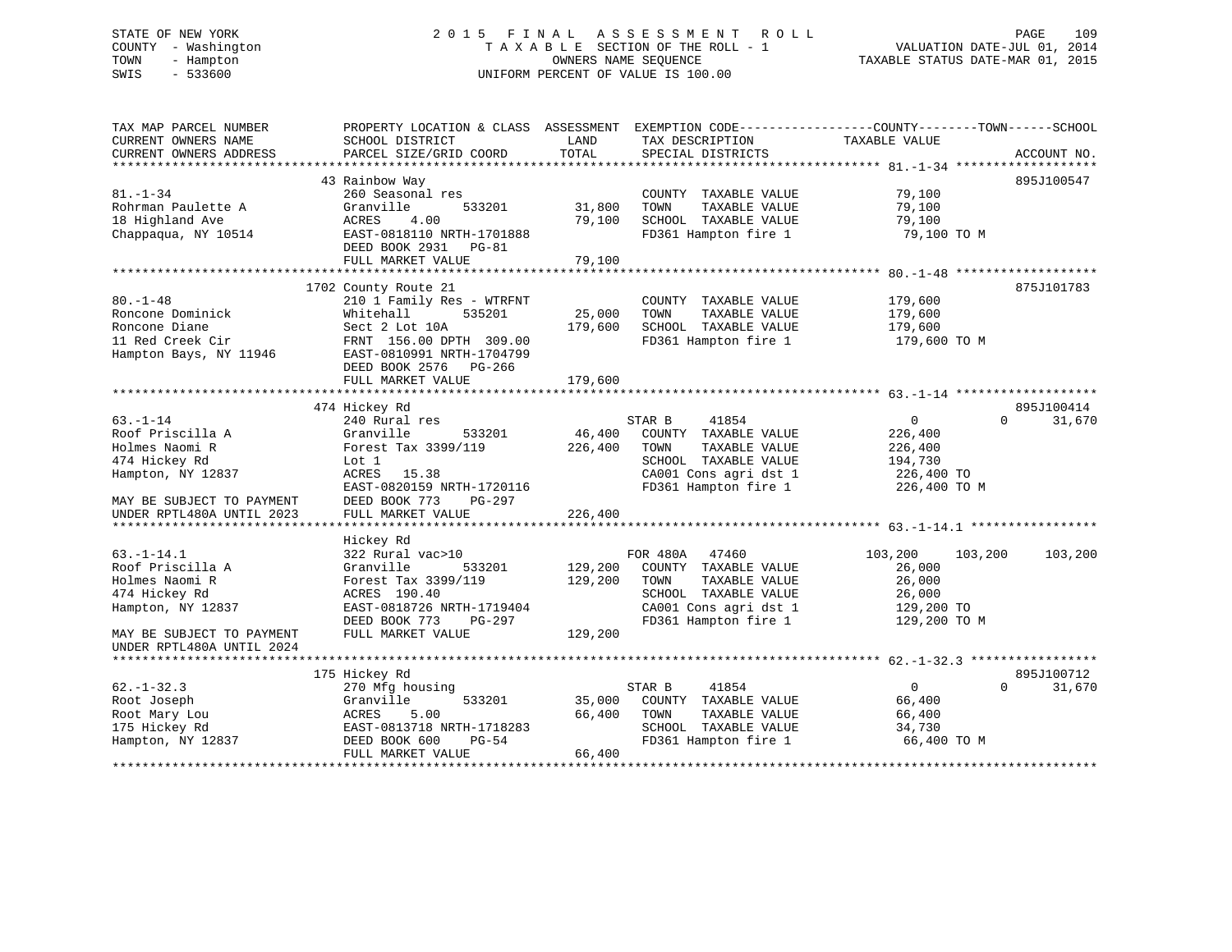# STATE OF NEW YORK 2 0 1 5 F I N A L A S S E S S M E N T R O L L PAGE 109 COUNTY - Washington T A X A B L E SECTION OF THE ROLL - 1 VALUATION DATE-JUL 01, 2014 TOWN - Hampton OWNERS NAME SEQUENCE TAXABLE STATUS DATE-MAR 01, 2015 SWIS - 533600 UNIFORM PERCENT OF VALUE IS 100.00

| TAX MAP PARCEL NUMBER     | PROPERTY LOCATION & CLASS ASSESSMENT EXEMPTION CODE----------------COUNTY-------TOWN------SCHOOL |         |                       |                    |                    |
|---------------------------|--------------------------------------------------------------------------------------------------|---------|-----------------------|--------------------|--------------------|
| CURRENT OWNERS NAME       | SCHOOL DISTRICT                                                                                  | LAND    | TAX DESCRIPTION       | TAXABLE VALUE      |                    |
| CURRENT OWNERS ADDRESS    | PARCEL SIZE/GRID COORD                                                                           | TOTAL   | SPECIAL DISTRICTS     |                    | ACCOUNT NO.        |
|                           |                                                                                                  |         |                       |                    |                    |
|                           | 43 Rainbow Way                                                                                   |         |                       |                    | 895J100547         |
| $81. - 1 - 34$            | 260 Seasonal res                                                                                 |         | COUNTY TAXABLE VALUE  | 79,100             |                    |
| Rohrman Paulette A        | 533201<br>Granville                                                                              | 31,800  | TOWN<br>TAXABLE VALUE | 79,100             |                    |
| 18 Highland Ave           | 4.00<br>ACRES                                                                                    | 79,100  | SCHOOL TAXABLE VALUE  | 79,100             |                    |
| Chappaqua, NY 10514       | EAST-0818110 NRTH-1701888                                                                        |         | FD361 Hampton fire 1  | 79,100 TO M        |                    |
|                           | DEED BOOK 2931 PG-81                                                                             |         |                       |                    |                    |
|                           | FULL MARKET VALUE                                                                                | 79,100  |                       |                    |                    |
|                           |                                                                                                  |         |                       |                    |                    |
|                           | 1702 County Route 21                                                                             |         |                       |                    | 875J101783         |
| $80. - 1 - 48$            | 210 1 Family Res - WTRFNT                                                                        |         | COUNTY TAXABLE VALUE  | 179,600            |                    |
| Roncone Dominick          | 535201<br>Whitehall                                                                              | 25,000  | TOWN<br>TAXABLE VALUE | 179,600            |                    |
| Roncone Diane             | Sect 2 Lot 10A                                                                                   | 179,600 | SCHOOL TAXABLE VALUE  | 179,600            |                    |
| 11 Red Creek Cir          | FRNT 156.00 DPTH 309.00                                                                          |         | FD361 Hampton fire 1  | 179,600 TO M       |                    |
| Hampton Bays, NY 11946    | EAST-0810991 NRTH-1704799                                                                        |         |                       |                    |                    |
|                           | DEED BOOK 2576 PG-266                                                                            |         |                       |                    |                    |
|                           | FULL MARKET VALUE                                                                                | 179,600 |                       |                    |                    |
|                           |                                                                                                  |         |                       |                    |                    |
|                           | 474 Hickey Rd                                                                                    |         |                       |                    | 895J100414         |
| $63. - 1 - 14$            | 240 Rural res                                                                                    |         | STAR B<br>41854       | $\overline{0}$     | $\Omega$<br>31,670 |
| Roof Priscilla A          | Granville<br>533201                                                                              | 46,400  | COUNTY TAXABLE VALUE  | 226,400            |                    |
| Holmes Naomi R            | Forest Tax 3399/119                                                                              | 226,400 | TAXABLE VALUE<br>TOWN | 226,400            |                    |
| 474 Hickey Rd             | Lot 1                                                                                            |         | SCHOOL TAXABLE VALUE  | 194,730            |                    |
| Hampton, NY 12837         | ACRES 15.38                                                                                      |         | CA001 Cons agri dst 1 | 226,400 TO         |                    |
|                           | EAST-0820159 NRTH-1720116                                                                        |         | FD361 Hampton fire 1  | 226,400 TO M       |                    |
| MAY BE SUBJECT TO PAYMENT | DEED BOOK 773<br>PG-297                                                                          |         |                       |                    |                    |
| UNDER RPTL480A UNTIL 2023 | FULL MARKET VALUE                                                                                | 226,400 |                       |                    |                    |
|                           |                                                                                                  |         |                       |                    |                    |
|                           | Hickey Rd                                                                                        |         |                       |                    |                    |
| $63. - 1 - 14.1$          | 322 Rural vac>10                                                                                 |         | FOR 480A 47460        | 103,200<br>103,200 | 103,200            |
| Roof Priscilla A          | Granville<br>533201                                                                              | 129,200 | COUNTY TAXABLE VALUE  | 26,000             |                    |
| Holmes Naomi R            | Forest Tax 3399/119                                                                              | 129,200 | TOWN<br>TAXABLE VALUE | 26,000             |                    |
| 474 Hickey Rd             | ACRES 190.40                                                                                     |         | SCHOOL TAXABLE VALUE  | 26,000             |                    |
| Hampton, NY 12837         | EAST-0818726 NRTH-1719404                                                                        |         | CA001 Cons agri dst 1 | 129,200 TO         |                    |
|                           | DEED BOOK 773<br>PG-297                                                                          |         | FD361 Hampton fire 1  | 129,200 TO M       |                    |
| MAY BE SUBJECT TO PAYMENT | FULL MARKET VALUE                                                                                | 129,200 |                       |                    |                    |
| UNDER RPTL480A UNTIL 2024 |                                                                                                  |         |                       |                    |                    |
|                           |                                                                                                  |         |                       |                    |                    |
|                           | 175 Hickey Rd                                                                                    |         |                       |                    | 895J100712         |
| $62. - 1 - 32.3$          | 270 Mfg housing                                                                                  |         | 41854<br>STAR B       | $\mathbf{0}$       | $\Omega$<br>31,670 |
| Root Joseph               | Granville<br>533201                                                                              | 35,000  | COUNTY TAXABLE VALUE  | 66,400             |                    |
| Root Mary Lou             | ACRES<br>5.00                                                                                    | 66,400  | TOWN<br>TAXABLE VALUE | 66,400             |                    |
| 175 Hickey Rd             | EAST-0813718 NRTH-1718283                                                                        |         | SCHOOL TAXABLE VALUE  | 34,730             |                    |
| Hampton, NY 12837         | DEED BOOK 600<br>$PG-54$                                                                         |         | FD361 Hampton fire 1  | 66,400 TO M        |                    |
|                           | FULL MARKET VALUE                                                                                | 66,400  |                       |                    |                    |
|                           |                                                                                                  |         |                       |                    |                    |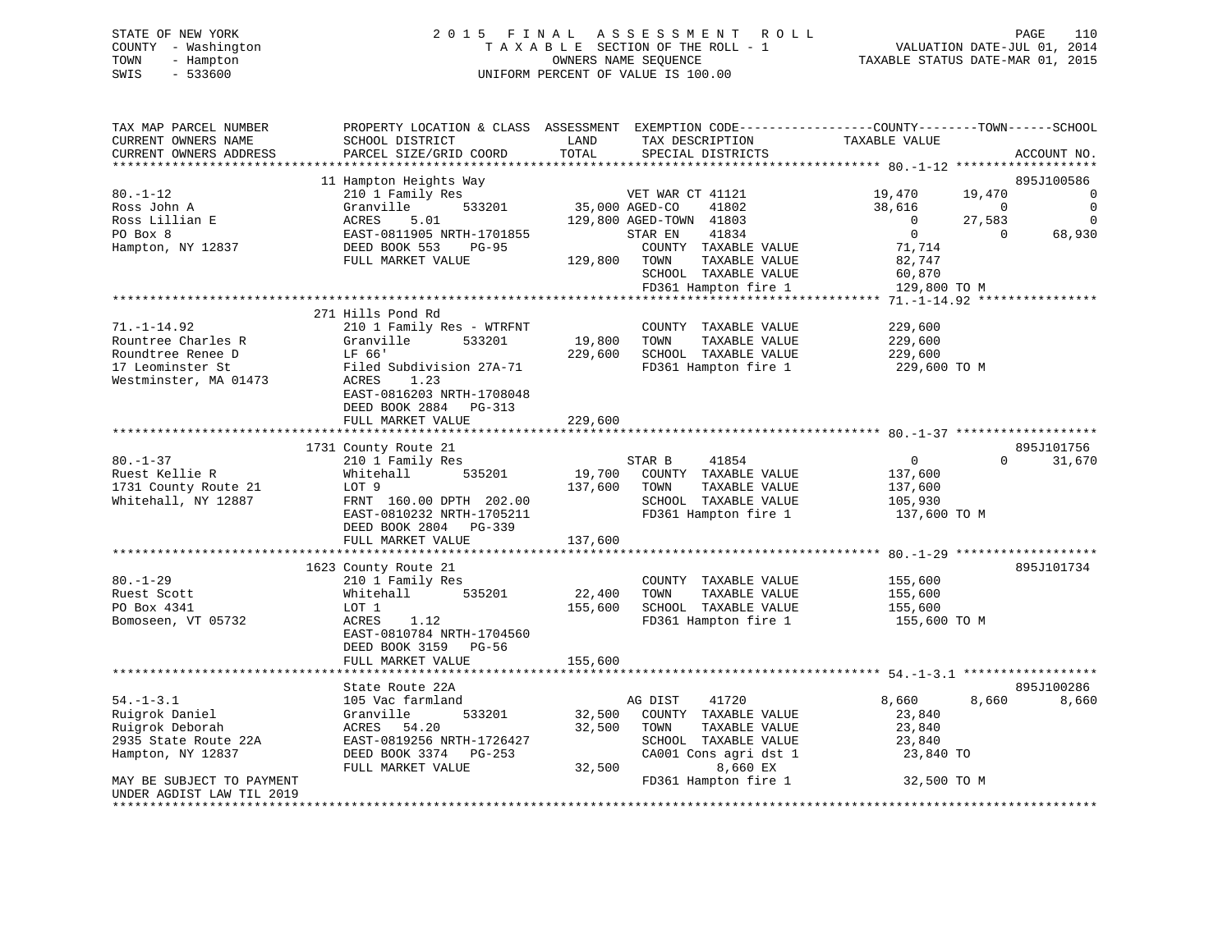# STATE OF NEW YORK 2 0 1 5 F I N A L A S S E S S M E N T R O L L PAGE 110 COUNTY - Washington T A X A B L E SECTION OF THE ROLL - 1 VALUATION DATE-JUL 01, 2014 TOWN - Hampton OWNERS NAME SEQUENCE TAXABLE STATUS DATE-MAR 01, 2015 SWIS - 533600 UNIFORM PERCENT OF VALUE IS 100.00

| TAX MAP PARCEL NUMBER<br>CURRENT OWNERS NAME<br>CURRENT OWNERS ADDRESS                                                                                      | PROPERTY LOCATION & CLASS ASSESSMENT<br>SCHOOL DISTRICT<br>PARCEL SIZE/GRID COORD                                                                                                                                                               | LAND<br>TOTAL                | EXEMPTION CODE-----------------COUNTY-------TOWN------SCHOOL<br>TAX DESCRIPTION<br>SPECIAL DISTRICTS                                                   | TAXABLE VALUE                                                                      |                                                 | ACCOUNT NO.                                   |
|-------------------------------------------------------------------------------------------------------------------------------------------------------------|-------------------------------------------------------------------------------------------------------------------------------------------------------------------------------------------------------------------------------------------------|------------------------------|--------------------------------------------------------------------------------------------------------------------------------------------------------|------------------------------------------------------------------------------------|-------------------------------------------------|-----------------------------------------------|
| **************************                                                                                                                                  |                                                                                                                                                                                                                                                 |                              |                                                                                                                                                        |                                                                                    |                                                 |                                               |
| $80. - 1 - 12$<br>Ross John A<br>Ross Lillian E<br>PO Box 8<br>Hampton, NY 12837                                                                            | 11 Hampton Heights Way<br>210 1 Family Res<br>Granville<br>533201<br>ACRES<br>5.01<br>EAST-0811905 NRTH-1701855<br>DEED BOOK 553<br>PG-95<br>FULL MARKET VALUE                                                                                  | 35,000 AGED-CO<br>129,800    | VET WAR CT 41121<br>41802<br>129,800 AGED-TOWN 41803<br>41834<br>STAR EN<br>COUNTY TAXABLE VALUE<br>TOWN<br>TAXABLE VALUE<br>SCHOOL TAXABLE VALUE      | 19,470<br>38,616<br>$\overline{0}$<br>$\overline{0}$<br>71,714<br>82,747<br>60,870 | 19,470<br>$\mathbf 0$<br>27,583<br>$\mathbf{0}$ | 895J100586<br>0<br>0<br>$\mathbf 0$<br>68,930 |
|                                                                                                                                                             |                                                                                                                                                                                                                                                 |                              | FD361 Hampton fire 1                                                                                                                                   | 129,800 TO M                                                                       |                                                 |                                               |
| $71. - 1 - 14.92$<br>Rountree Charles R<br>Roundtree Renee D<br>17 Leominster St<br>Westminster, MA 01473                                                   | ************************************<br>271 Hills Pond Rd<br>210 1 Family Res - WTRFNT<br>Granville<br>533201<br>LF 66'<br>Filed Subdivision 27A-71<br>ACRES<br>1.23<br>EAST-0816203 NRTH-1708048<br>DEED BOOK 2884 PG-313<br>FULL MARKET VALUE | 19,800<br>229,600<br>229,600 | ***************************<br>COUNTY TAXABLE VALUE<br>TOWN<br>TAXABLE VALUE<br>SCHOOL TAXABLE VALUE<br>FD361 Hampton fire 1                           | **** 71.-1-14.92 ***<br>229,600<br>229,600<br>229,600<br>229,600 ТО М              |                                                 |                                               |
|                                                                                                                                                             |                                                                                                                                                                                                                                                 |                              |                                                                                                                                                        |                                                                                    |                                                 |                                               |
| $80. - 1 - 37$<br>Ruest Kellie R<br>1731 County Route 21<br>Whitehall, NY 12887                                                                             | 1731 County Route 21<br>210 1 Family Res<br>Whitehall<br>535201<br>LOT 9<br>FRNT 160.00 DPTH 202.00<br>EAST-0810232 NRTH-1705211<br>DEED BOOK 2804 PG-339                                                                                       | 19,700<br>137,600            | STAR B<br>41854<br>COUNTY TAXABLE VALUE<br>TOWN<br>TAXABLE VALUE<br>SCHOOL TAXABLE VALUE<br>FD361 Hampton fire 1                                       | $\overline{0}$<br>137,600<br>137,600<br>105,930<br>137,600 TO M                    | $\Omega$                                        | 895J101756<br>31,670                          |
|                                                                                                                                                             | FULL MARKET VALUE                                                                                                                                                                                                                               | 137,600                      |                                                                                                                                                        |                                                                                    |                                                 |                                               |
| $80. - 1 - 29$<br>Ruest Scott<br>PO Box 4341<br>Bomoseen, VT 05732                                                                                          | ****************************<br>1623 County Route 21<br>210 1 Family Res<br>Whitehall<br>535201<br>LOT 1<br>ACRES<br>1.12<br>EAST-0810784 NRTH-1704560<br>DEED BOOK 3159<br>PG-56<br>FULL MARKET VALUE                                          | 22,400<br>155,600<br>155,600 | COUNTY TAXABLE VALUE<br>TAXABLE VALUE<br>TOWN<br>SCHOOL TAXABLE VALUE<br>FD361 Hampton fire 1                                                          | 155,600<br>155,600<br>155,600<br>155,600 TO M                                      |                                                 | 895J101734                                    |
|                                                                                                                                                             |                                                                                                                                                                                                                                                 |                              |                                                                                                                                                        |                                                                                    |                                                 |                                               |
| $54. - 1 - 3.1$<br>Ruigrok Daniel<br>Ruigrok Deborah<br>2935 State Route 22A<br>Hampton, NY 12837<br>MAY BE SUBJECT TO PAYMENT<br>UNDER AGDIST LAW TIL 2019 | State Route 22A<br>105 Vac farmland<br>533201<br>Granville<br>ACRES<br>54.20<br>EAST-0819256 NRTH-1726427<br>DEED BOOK 3374 PG-253<br>FULL MARKET VALUE                                                                                         | 32,500<br>32,500<br>32,500   | AG DIST<br>41720<br>COUNTY TAXABLE VALUE<br>TOWN<br>TAXABLE VALUE<br>SCHOOL TAXABLE VALUE<br>CA001 Cons agri dst 1<br>8,660 EX<br>FD361 Hampton fire 1 | 8,660<br>23,840<br>23,840<br>23,840<br>23,840 TO<br>32,500 TO M                    | 8,660                                           | 895J100286<br>8,660                           |
|                                                                                                                                                             |                                                                                                                                                                                                                                                 |                              |                                                                                                                                                        |                                                                                    |                                                 |                                               |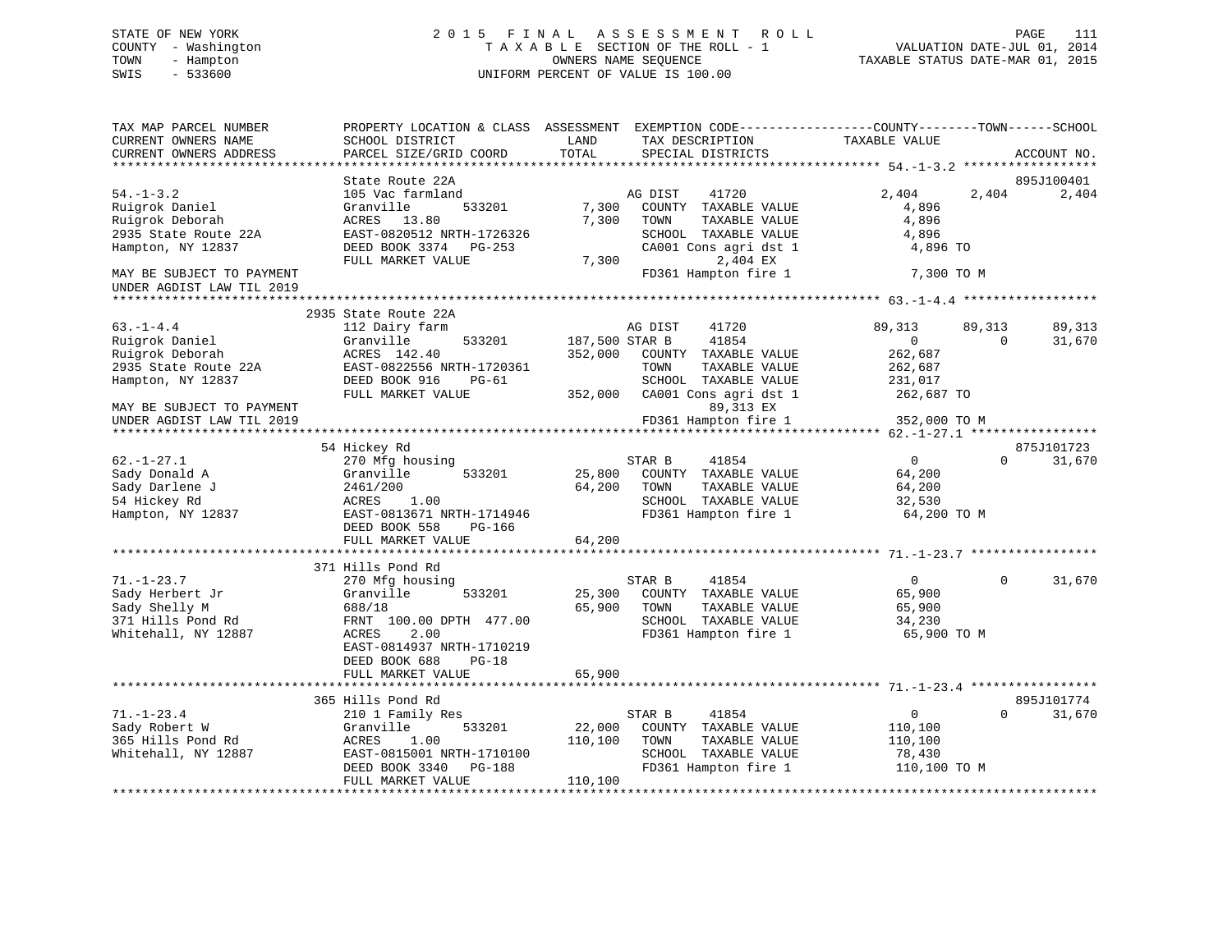# STATE OF NEW YORK 2 0 1 5 F I N A L A S S E S S M E N T R O L L PAGE 111 COUNTY - Washington T A X A B L E SECTION OF THE ROLL - 1 VALUATION DATE-JUL 01, 2014 TOWN - Hampton OWNERS NAME SEQUENCE TAXABLE STATUS DATE-MAR 01, 2015 SWIS - 533600 UNIFORM PERCENT OF VALUE IS 100.00

| TAX MAP PARCEL NUMBER      | PROPERTY LOCATION & CLASS ASSESSMENT EXEMPTION CODE----------------COUNTY-------TOWN------SCHOOL |                |                                   |                |             |             |
|----------------------------|--------------------------------------------------------------------------------------------------|----------------|-----------------------------------|----------------|-------------|-------------|
| CURRENT OWNERS NAME        | SCHOOL DISTRICT                                                                                  | LAND           | TAX DESCRIPTION                   | TAXABLE VALUE  |             |             |
| CURRENT OWNERS ADDRESS     | PARCEL SIZE/GRID COORD                                                                           | TOTAL          | SPECIAL DISTRICTS                 |                |             | ACCOUNT NO. |
|                            |                                                                                                  |                |                                   |                |             |             |
|                            | State Route 22A                                                                                  |                |                                   |                |             | 895J100401  |
| $54. - 1 - 3.2$            | 105 Vac farmland                                                                                 |                | 41720<br>AG DIST                  | 2,404          | 2,404       | 2,404       |
| Ruigrok Daniel             | Granville<br>533201                                                                              | 7,300          | COUNTY TAXABLE VALUE              | 4,896          |             |             |
| Ruigrok Deborah            | ACRES<br>13.80                                                                                   | 7,300          | TOWN<br>TAXABLE VALUE             | 4,896          |             |             |
| 2935 State Route 22A       | EAST-0820512 NRTH-1726326                                                                        |                | SCHOOL TAXABLE VALUE              | 4,896          |             |             |
| Hampton, NY 12837          | DEED BOOK 3374<br>PG-253<br>FULL MARKET VALUE                                                    | 7,300          | CA001 Cons agri dst 1<br>2,404 EX | 4,896 TO       |             |             |
| MAY BE SUBJECT TO PAYMENT  |                                                                                                  |                | FD361 Hampton fire 1              | 7,300 TO M     |             |             |
| UNDER AGDIST LAW TIL 2019  |                                                                                                  |                |                                   |                |             |             |
| ************************** |                                                                                                  |                |                                   |                |             |             |
|                            | 2935 State Route 22A                                                                             |                |                                   |                |             |             |
| $63. - 1 - 4.4$            | 112 Dairy farm                                                                                   |                | 41720<br>AG DIST                  | 89,313         | 89,313      | 89,313      |
| Ruigrok Daniel             | Granville<br>533201                                                                              | 187,500 STAR B | 41854                             | 0              | $\mathbf 0$ | 31,670      |
| Ruigrok Deborah            | ACRES 142.40                                                                                     | 352,000        | COUNTY TAXABLE VALUE              | 262,687        |             |             |
| 2935 State Route 22A       | EAST-0822556 NRTH-1720361                                                                        |                | TOWN<br>TAXABLE VALUE             | 262,687        |             |             |
| Hampton, NY 12837          | DEED BOOK 916<br>$PG-61$                                                                         |                | SCHOOL TAXABLE VALUE              | 231,017        |             |             |
|                            | FULL MARKET VALUE                                                                                | 352,000        | CA001 Cons agri dst 1             | 262,687 TO     |             |             |
| MAY BE SUBJECT TO PAYMENT  |                                                                                                  |                | 89,313 EX                         |                |             |             |
| UNDER AGDIST LAW TIL 2019  |                                                                                                  |                | FD361 Hampton fire 1              | 352,000 TO M   |             |             |
|                            |                                                                                                  |                |                                   |                |             |             |
|                            | 54 Hickey Rd                                                                                     |                |                                   |                |             | 875J101723  |
| $62. - 1 - 27.1$           | 270 Mfg housing                                                                                  |                | STAR B<br>41854                   | $\mathbf 0$    | $\Omega$    | 31,670      |
| Sady Donald A              | Granville<br>533201                                                                              | 25,800         | COUNTY TAXABLE VALUE              | 64,200         |             |             |
| Sady Darlene J             | 2461/200                                                                                         | 64,200         | TOWN<br>TAXABLE VALUE             | 64,200         |             |             |
| 54 Hickey Rd               | 1.00<br>ACRES                                                                                    |                | SCHOOL TAXABLE VALUE              | 32,530         |             |             |
| Hampton, NY 12837          | EAST-0813671 NRTH-1714946                                                                        |                | FD361 Hampton fire 1              | 64,200 TO M    |             |             |
|                            | DEED BOOK 558<br>PG-166                                                                          |                |                                   |                |             |             |
|                            | FULL MARKET VALUE                                                                                | 64,200         |                                   |                |             |             |
|                            | 371 Hills Pond Rd                                                                                |                |                                   |                |             |             |
| $71. - 1 - 23.7$           | 270 Mfg housing                                                                                  |                | STAR B<br>41854                   | $\overline{0}$ | $\Omega$    | 31,670      |
| Sady Herbert Jr            | Granville<br>533201                                                                              | 25,300         | COUNTY TAXABLE VALUE              | 65,900         |             |             |
| Sady Shelly M              | 688/18                                                                                           | 65,900         | TOWN<br>TAXABLE VALUE             | 65,900         |             |             |
| 371 Hills Pond Rd          | FRNT 100.00 DPTH 477.00                                                                          |                | SCHOOL TAXABLE VALUE              | 34,230         |             |             |
| Whitehall, NY 12887        | <b>ACRES</b><br>2.00                                                                             |                | FD361 Hampton fire 1              | 65,900 TO M    |             |             |
|                            | EAST-0814937 NRTH-1710219                                                                        |                |                                   |                |             |             |
|                            | DEED BOOK 688<br>$PG-18$                                                                         |                |                                   |                |             |             |
|                            | FULL MARKET VALUE                                                                                | 65,900         |                                   |                |             |             |
|                            |                                                                                                  |                |                                   |                |             |             |
|                            | 365 Hills Pond Rd                                                                                |                |                                   |                |             | 895J101774  |
| $71. - 1 - 23.4$           | 210 1 Family Res                                                                                 |                | STAR B<br>41854                   | $\mathbf 0$    | $\Omega$    | 31,670      |
| Sady Robert W              | Granville<br>533201                                                                              | 22,000         | COUNTY TAXABLE VALUE              | 110,100        |             |             |
| 365 Hills Pond Rd          | ACRES<br>1.00                                                                                    | 110,100        | TOWN<br>TAXABLE VALUE             | 110,100        |             |             |
| Whitehall, NY 12887        | EAST-0815001 NRTH-1710100                                                                        |                | SCHOOL TAXABLE VALUE              | 78,430         |             |             |
|                            | DEED BOOK 3340<br>PG-188                                                                         |                | FD361 Hampton fire 1              | 110,100 TO M   |             |             |
|                            | FULL MARKET VALUE                                                                                | 110,100        |                                   |                |             |             |
|                            |                                                                                                  |                |                                   |                |             |             |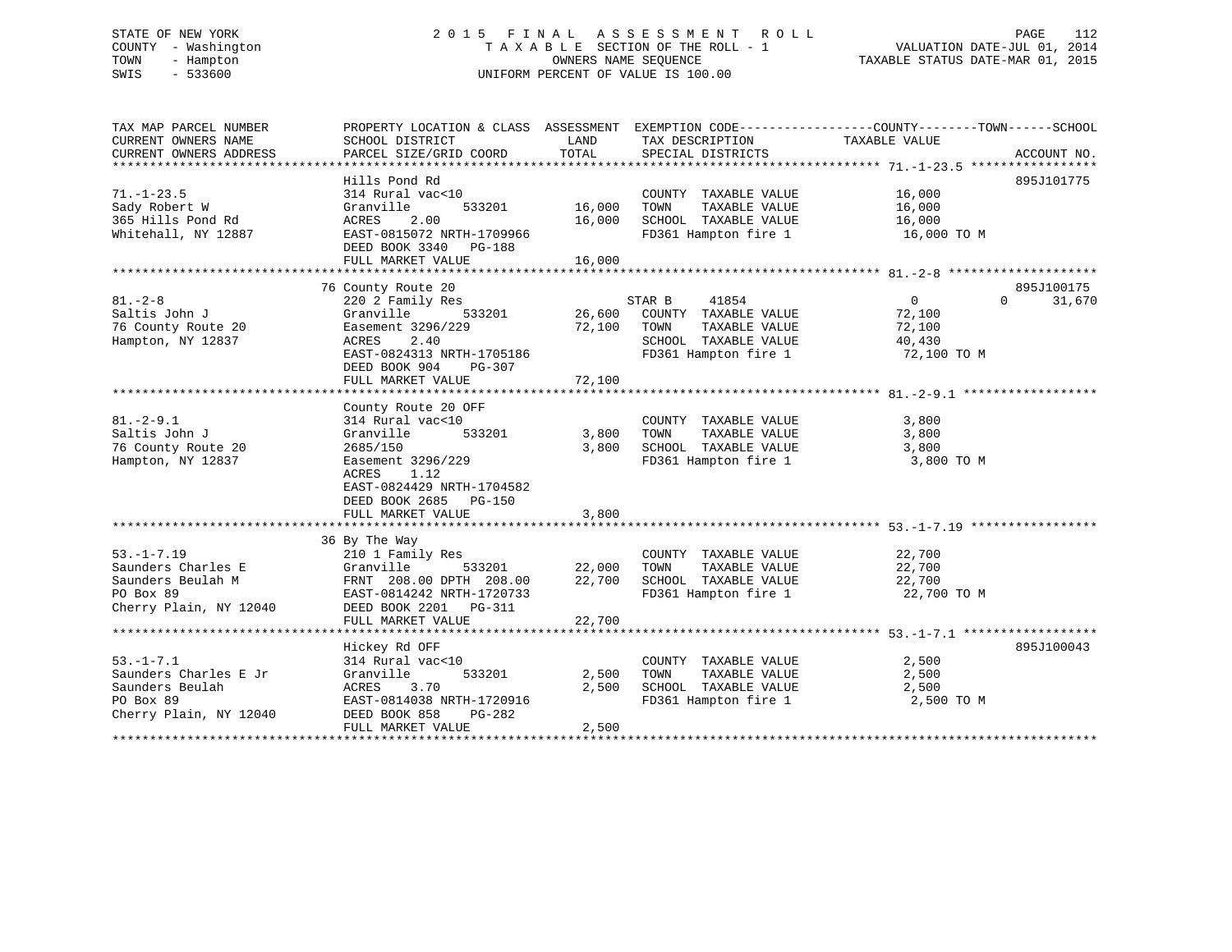# STATE OF NEW YORK 2 0 1 5 F I N A L A S S E S S M E N T R O L L PAGE 112 COUNTY - Washington T A X A B L E SECTION OF THE ROLL - 1 VALUATION DATE-JUL 01, 2014 TOWN - Hampton OWNERS NAME SEQUENCE TAXABLE STATUS DATE-MAR 01, 2015 SWIS - 533600 UNIFORM PERCENT OF VALUE IS 100.00

| TAX MAP PARCEL NUMBER  | PROPERTY LOCATION & CLASS ASSESSMENT EXEMPTION CODE---------------COUNTY-------TOWN-----SCHOOL |        |                       |               |                    |
|------------------------|------------------------------------------------------------------------------------------------|--------|-----------------------|---------------|--------------------|
| CURRENT OWNERS NAME    | SCHOOL DISTRICT                                                                                | LAND   | TAX DESCRIPTION       | TAXABLE VALUE |                    |
| CURRENT OWNERS ADDRESS | PARCEL SIZE/GRID COORD                                                                         | TOTAL  | SPECIAL DISTRICTS     |               | ACCOUNT NO.        |
|                        |                                                                                                |        |                       |               |                    |
|                        | Hills Pond Rd                                                                                  |        |                       |               | 895J101775         |
| $71. - 1 - 23.5$       | 314 Rural vac<10                                                                               |        | COUNTY TAXABLE VALUE  | 16,000        |                    |
| Sady Robert W          | Granville<br>533201                                                                            | 16,000 | TOWN<br>TAXABLE VALUE | 16,000        |                    |
| 365 Hills Pond Rd      | 2.00<br>ACRES                                                                                  | 16,000 | SCHOOL TAXABLE VALUE  | 16,000        |                    |
| Whitehall, NY 12887    | EAST-0815072 NRTH-1709966                                                                      |        | FD361 Hampton fire 1  | 16,000 TO M   |                    |
|                        | DEED BOOK 3340 PG-188                                                                          |        |                       |               |                    |
|                        | FULL MARKET VALUE                                                                              | 16,000 |                       |               |                    |
|                        |                                                                                                |        |                       |               |                    |
|                        | 76 County Route 20                                                                             |        |                       |               | 895J100175         |
| $81 - 2 - 8$           | 220 2 Family Res                                                                               |        | STAR B<br>41854       | $\Omega$      | 31,670<br>$\Omega$ |
| Saltis John J          | 533201<br>Granville                                                                            | 26,600 | COUNTY TAXABLE VALUE  | 72,100        |                    |
| 76 County Route 20     | Easement 3296/229                                                                              | 72,100 | TOWN<br>TAXABLE VALUE | 72,100        |                    |
| Hampton, NY 12837      | ACRES<br>2.40                                                                                  |        | SCHOOL TAXABLE VALUE  | 40,430        |                    |
|                        | EAST-0824313 NRTH-1705186                                                                      |        | FD361 Hampton fire 1  | 72,100 TO M   |                    |
|                        | DEED BOOK 904<br>PG-307                                                                        |        |                       |               |                    |
|                        | FULL MARKET VALUE                                                                              | 72,100 |                       |               |                    |
|                        |                                                                                                |        |                       |               |                    |
|                        | County Route 20 OFF                                                                            |        |                       |               |                    |
| $81. - 2 - 9.1$        | 314 Rural vac<10                                                                               |        | COUNTY TAXABLE VALUE  | 3,800         |                    |
| Saltis John J          | 533201<br>Granville                                                                            | 3,800  | TOWN<br>TAXABLE VALUE | 3,800         |                    |
| 76 County Route 20     | 2685/150                                                                                       | 3,800  | SCHOOL TAXABLE VALUE  | 3,800         |                    |
| Hampton, NY 12837      | Easement 3296/229                                                                              |        | FD361 Hampton fire 1  | 3,800 TO M    |                    |
|                        | 1.12<br>ACRES                                                                                  |        |                       |               |                    |
|                        |                                                                                                |        |                       |               |                    |
|                        | EAST-0824429 NRTH-1704582                                                                      |        |                       |               |                    |
|                        | DEED BOOK 2685 PG-150                                                                          |        |                       |               |                    |
|                        | FULL MARKET VALUE                                                                              | 3,800  |                       |               |                    |
|                        |                                                                                                |        |                       |               |                    |
| $53. -1 - 7.19$        | 36 By The Way<br>210 1 Family Res                                                              |        | COUNTY TAXABLE VALUE  | 22,700        |                    |
|                        | 533201                                                                                         |        |                       |               |                    |
| Saunders Charles E     | Granville                                                                                      | 22,000 | TOWN<br>TAXABLE VALUE | 22,700        |                    |
| Saunders Beulah M      | FRNT 208.00 DPTH 208.00                                                                        | 22,700 | SCHOOL TAXABLE VALUE  | 22,700        |                    |
| PO Box 89              | EAST-0814242 NRTH-1720733                                                                      |        | FD361 Hampton fire 1  | 22,700 TO M   |                    |
| Cherry Plain, NY 12040 | DEED BOOK 2201 PG-311                                                                          |        |                       |               |                    |
|                        | FULL MARKET VALUE                                                                              | 22,700 |                       |               |                    |
|                        |                                                                                                |        |                       |               |                    |
|                        | Hickey Rd OFF                                                                                  |        |                       |               | 895J100043         |
| $53. - 1 - 7.1$        | 314 Rural vac<10                                                                               |        | COUNTY TAXABLE VALUE  | 2,500         |                    |
| Saunders Charles E Jr  | 533201<br>Granville                                                                            | 2,500  | TOWN<br>TAXABLE VALUE | 2,500         |                    |
| Saunders Beulah        | ACRES<br>3.70                                                                                  | 2,500  | SCHOOL TAXABLE VALUE  | 2,500         |                    |
| PO Box 89              | EAST-0814038 NRTH-1720916                                                                      |        | FD361 Hampton fire 1  | 2,500 TO M    |                    |
| Cherry Plain, NY 12040 | DEED BOOK 858<br>PG-282                                                                        |        |                       |               |                    |
|                        | FULL MARKET VALUE                                                                              | 2,500  |                       |               |                    |
|                        |                                                                                                |        |                       |               |                    |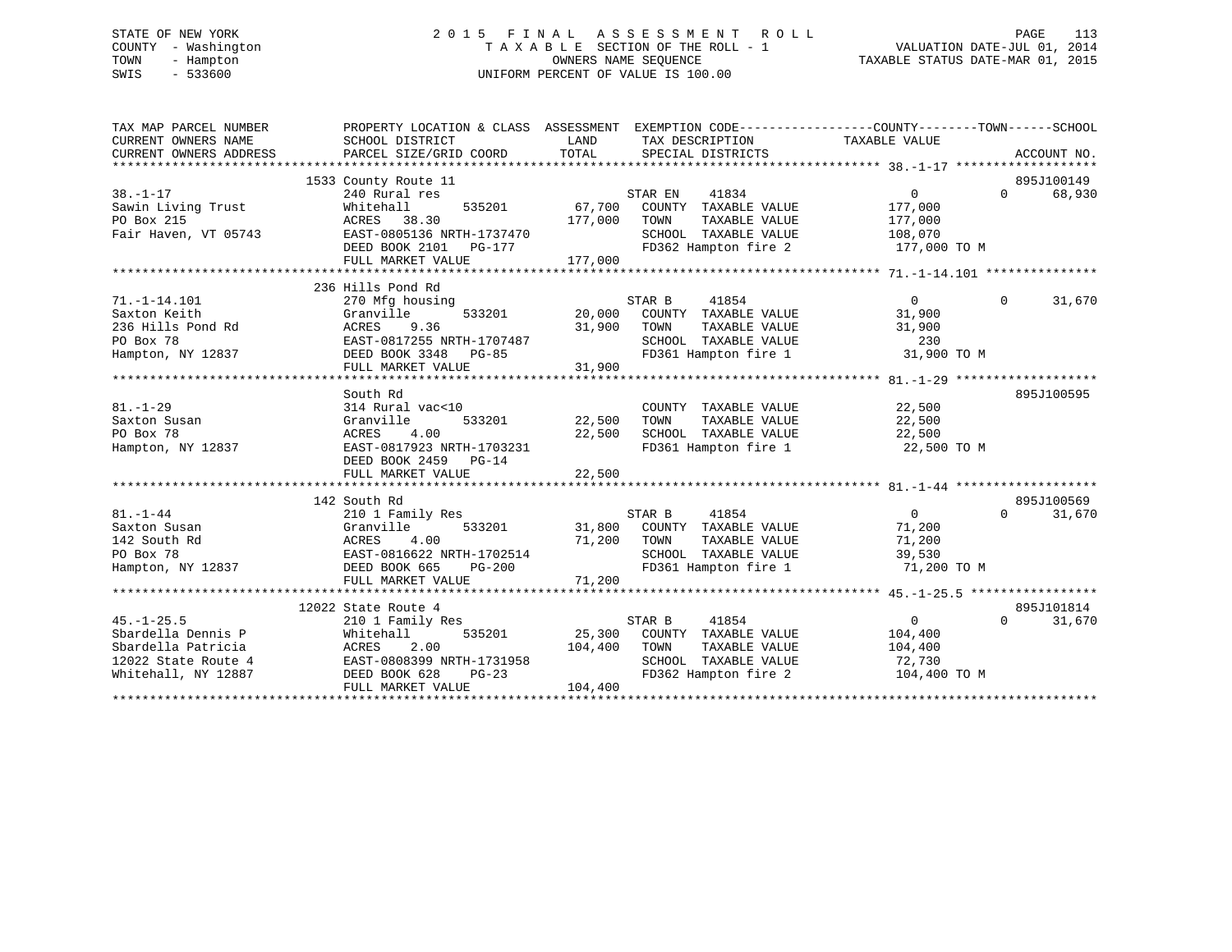# STATE OF NEW YORK 2 0 1 5 F I N A L A S S E S S M E N T R O L L PAGE 113 COUNTY - Washington T A X A B L E SECTION OF THE ROLL - 1 VALUATION DATE-JUL 01, 2014 TOWN - Hampton OWNERS NAME SEQUENCE TAXABLE STATUS DATE-MAR 01, 2015 SWIS - 533600 UNIFORM PERCENT OF VALUE IS 100.00

| TAX MAP PARCEL NUMBER<br>CURRENT OWNERS NAME<br>CURRENT OWNERS ADDRESS | PROPERTY LOCATION & CLASS ASSESSMENT EXEMPTION CODE----------------COUNTY-------TOWN-----SCHOOL<br>SCHOOL DISTRICT<br>PARCEL SIZE/GRID COORD | LAND<br>TOTAL | TAX DESCRIPTION<br>SPECIAL DISTRICTS                 | TAXABLE VALUE     | ACCOUNT NO.        |
|------------------------------------------------------------------------|----------------------------------------------------------------------------------------------------------------------------------------------|---------------|------------------------------------------------------|-------------------|--------------------|
|                                                                        | 1533 County Route 11                                                                                                                         |               |                                                      |                   | 895J100149         |
| $38. - 1 - 17$                                                         | 240 Rural res                                                                                                                                |               | STAR EN<br>41834                                     | $\Omega$          | $\Omega$<br>68,930 |
| Sawin Living Trust                                                     | Whitehall                                                                                                                                    | 535201 67,700 | COUNTY TAXABLE VALUE                                 | 177,000           |                    |
| PO Box 215                                                             | ACRES 38.30                                                                                                                                  | 177,000       | TOWN<br>TAXABLE VALUE                                | 177,000           |                    |
| Fair Haven, VT 05743                                                   | EAST-0805136 NRTH-1737470                                                                                                                    |               | SCHOOL TAXABLE VALUE                                 | 108,070           |                    |
|                                                                        | DEED BOOK 2101 PG-177                                                                                                                        |               | FD362 Hampton fire 2                                 | 177,000 TO M      |                    |
|                                                                        |                                                                                                                                              | 177,000       |                                                      |                   |                    |
|                                                                        | FULL MARKET VALUE                                                                                                                            |               |                                                      |                   |                    |
|                                                                        | 236 Hills Pond Rd                                                                                                                            |               |                                                      |                   |                    |
|                                                                        |                                                                                                                                              |               | STAR B                                               | $\Omega$          | $\Omega$           |
| $71. - 1 - 14.101$<br>Saxton Keith                                     | 270 Mfg housing<br>Granville<br>533201                                                                                                       |               | 41854                                                | 31,900            | 31,670             |
| 236 Hills Pond Rd                                                      | ACRES<br>9.36                                                                                                                                | 31,900        | 20,000 COUNTY TAXABLE VALUE<br>TAXABLE VALUE<br>TOWN | 31,900            |                    |
|                                                                        |                                                                                                                                              |               |                                                      |                   |                    |
| PO Box 78                                                              | EAST-0817255 NRTH-1707487                                                                                                                    |               | SCHOOL TAXABLE VALUE                                 | 230               |                    |
| Hampton, NY 12837                                                      | DEED BOOK 3348 PG-85                                                                                                                         |               | FD361 Hampton fire 1                                 | 31,900 TO M       |                    |
|                                                                        | FULL MARKET VALUE                                                                                                                            | 31,900        |                                                      |                   |                    |
|                                                                        |                                                                                                                                              |               |                                                      |                   |                    |
|                                                                        | South Rd                                                                                                                                     |               |                                                      |                   | 895J100595         |
| $81. - 1 - 29$                                                         | 314 Rural vac<10                                                                                                                             |               | COUNTY TAXABLE VALUE                                 | 22,500            |                    |
| Saxton Susan                                                           | 533201<br>Granville                                                                                                                          | 22,500        | TAXABLE VALUE<br>TOWN                                | 22,500            |                    |
| PO Box 78                                                              | ACRES<br>4.00                                                                                                                                | 22,500        | SCHOOL TAXABLE VALUE                                 | 22,500            |                    |
| Hampton, NY 12837                                                      | EAST-0817923 NRTH-1703231                                                                                                                    |               | FD361 Hampton fire 1                                 | 22,500 TO M       |                    |
|                                                                        | DEED BOOK 2459 PG-14                                                                                                                         |               |                                                      |                   |                    |
|                                                                        | FULL MARKET VALUE                                                                                                                            | 22,500        |                                                      |                   |                    |
|                                                                        |                                                                                                                                              |               |                                                      |                   |                    |
|                                                                        | 142 South Rd                                                                                                                                 |               |                                                      |                   | 895J100569         |
| $81. - 1 - 44$                                                         | 210 1 Family Res                                                                                                                             |               | STAR B<br>41854                                      | $\overline{0}$    | $\Omega$<br>31,670 |
| Saxton Susan                                                           |                                                                                                                                              |               | 31,800 COUNTY TAXABLE VALUE                          | 71,200            |                    |
| 142 South Rd                                                           |                                                                                                                                              | 71,200 TOWN   | TAXABLE VALUE                                        | 71,200            |                    |
| PO Box 78                                                              |                                                                                                                                              |               | SCHOOL TAXABLE VALUE                                 | 39,530            |                    |
| Hampton, NY 12837 DEED BOOK 665                                        | Granville<br>ACRES 4.00<br>EAST-0816622 NRTH-1702514<br>CROOK 665 PG-200                                                                     |               | FD361 Hampton fire 1                                 | 71,200 TO M       |                    |
|                                                                        | FULL MARKET VALUE                                                                                                                            | 71,200        |                                                      |                   |                    |
|                                                                        |                                                                                                                                              |               |                                                      |                   |                    |
|                                                                        | 12022 State Route 4                                                                                                                          |               |                                                      |                   | 895J101814         |
| $45. - 1 - 25.5$                                                       | 210 1 Family Res                                                                                                                             |               | STAR B<br>41854                                      | $0 \qquad \qquad$ | $\Omega$<br>31,670 |
| Sbardella Dennis P                                                     | 535201<br>Whitehall                                                                                                                          |               | 25,300 COUNTY TAXABLE VALUE                          | 104,400           |                    |
| Sbardella Patricia                                                     | 2.00<br>ACRES                                                                                                                                | 104,400       | TOWN<br>TAXABLE VALUE                                | 104,400           |                    |
| 12022 State Route 4                                                    | EAST-0808399 NRTH-1731958                                                                                                                    |               | SCHOOL TAXABLE VALUE                                 | 72,730            |                    |
| Whitehall, NY 12887                                                    | DEED BOOK 628<br>$PG-23$                                                                                                                     |               | FD362 Hampton fire 2                                 | 104,400 TO M      |                    |
|                                                                        | FULL MARKET VALUE                                                                                                                            | 104,400       |                                                      |                   |                    |
|                                                                        |                                                                                                                                              |               |                                                      |                   |                    |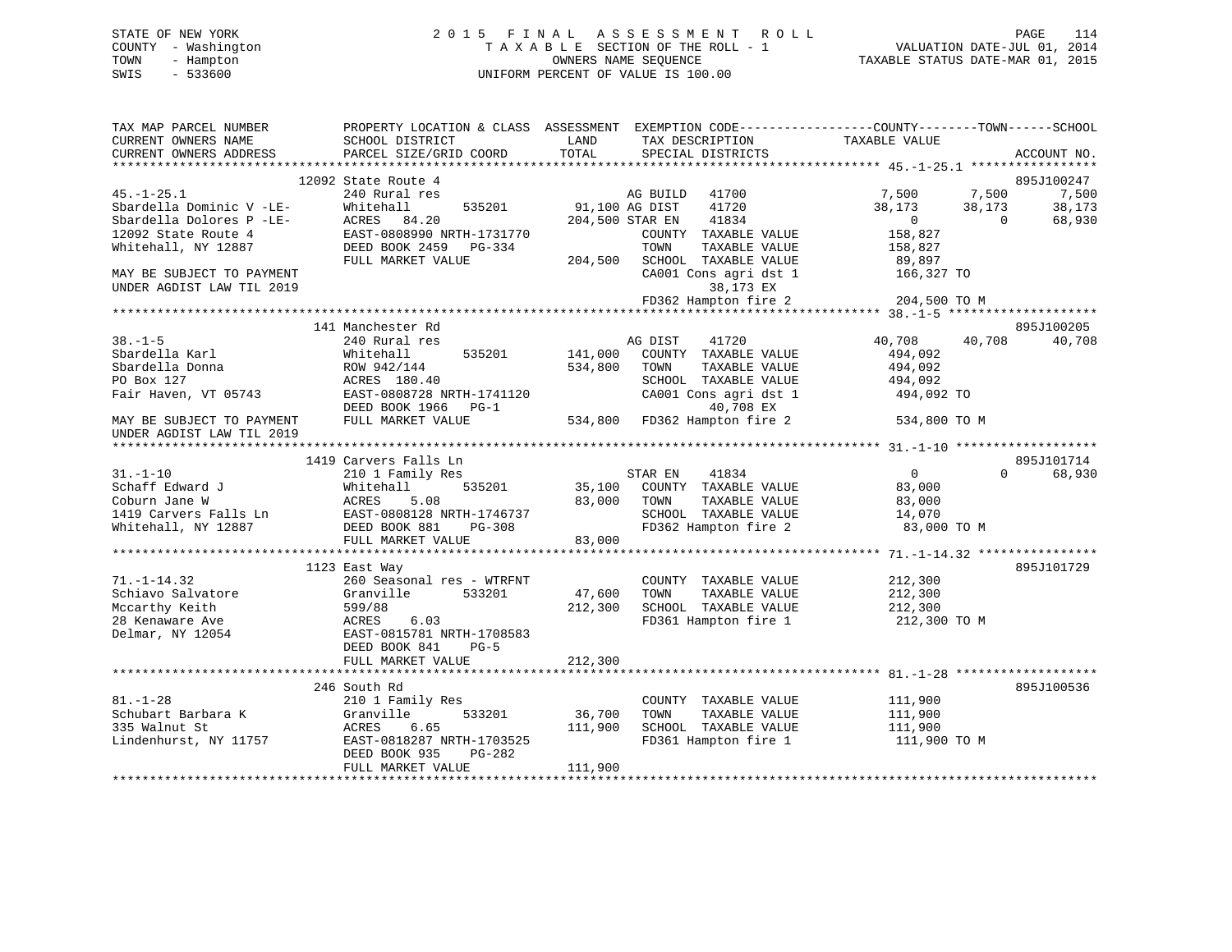# STATE OF NEW YORK 2 0 1 5 F I N A L A S S E S S M E N T R O L L PAGE 114 COUNTY - Washington T A X A B L E SECTION OF THE ROLL - 1 VALUATION DATE-JUL 01, 2014 TOWN - Hampton OWNERS NAME SEQUENCE TAXABLE STATUS DATE-MAR 01, 2015 SWIS - 533600 UNIFORM PERCENT OF VALUE IS 100.00

| TAX MAP PARCEL NUMBER<br>CURRENT OWNERS NAME | PROPERTY LOCATION & CLASS ASSESSMENT<br>SCHOOL DISTRICT | LAND<br>TAX DESCRIPTION                      | EXEMPTION CODE-----------------COUNTY-------TOWN------SCHOOL<br>TAXABLE VALUE |
|----------------------------------------------|---------------------------------------------------------|----------------------------------------------|-------------------------------------------------------------------------------|
| CURRENT OWNERS ADDRESS                       | PARCEL SIZE/GRID COORD                                  | TOTAL<br>SPECIAL DISTRICTS                   | ACCOUNT NO.                                                                   |
|                                              | 12092 State Route 4                                     |                                              | 895J100247                                                                    |
| $45. - 1 - 25.1$                             | 240 Rural res                                           | 41700<br>AG BUILD                            | 7,500<br>7,500<br>7,500                                                       |
| Sbardella Dominic V -LE-                     | Whitehall<br>535201                                     | 91,100 AG DIST<br>41720                      | 38,173<br>38,173<br>38,173                                                    |
| Sbardella Dolores P -LE-                     | ACRES<br>84.20                                          | 41834<br>204,500 STAR EN                     | $\mathbf{0}$<br>$\Omega$<br>68,930                                            |
| 12092 State Route 4                          | EAST-0808990 NRTH-1731770                               | COUNTY TAXABLE VALUE                         | 158,827                                                                       |
| Whitehall, NY 12887                          | DEED BOOK 2459 PG-334                                   | TOWN<br>TAXABLE VALUE                        | 158,827                                                                       |
|                                              | FULL MARKET VALUE                                       | 204,500<br>SCHOOL TAXABLE VALUE              | 89,897                                                                        |
| MAY BE SUBJECT TO PAYMENT                    |                                                         | CA001 Cons agri dst 1                        | 166,327 TO                                                                    |
| UNDER AGDIST LAW TIL 2019                    |                                                         | 38,173 EX                                    |                                                                               |
|                                              |                                                         | FD362 Hampton fire 2                         | 204,500 TO M                                                                  |
|                                              |                                                         |                                              |                                                                               |
|                                              | 141 Manchester Rd                                       |                                              | 895J100205                                                                    |
| $38. - 1 - 5$                                | 240 Rural res                                           | 41720<br>AG DIST                             | 40,708<br>40,708<br>40,708                                                    |
| Sbardella Karl                               | 535201<br>Whitehall                                     | 141,000<br>COUNTY TAXABLE VALUE              | 494,092                                                                       |
| Sbardella Donna                              | ROW 942/144                                             | 534,800<br>TOWN<br>TAXABLE VALUE             | 494,092                                                                       |
| PO Box 127                                   | ACRES 180.40                                            | SCHOOL TAXABLE VALUE                         | 494,092                                                                       |
| Fair Haven, VT 05743                         | EAST-0808728 NRTH-1741120                               | CA001 Cons agri dst 1                        | 494,092 TO                                                                    |
|                                              | DEED BOOK 1966<br>$PG-1$                                | 40,708 EX                                    |                                                                               |
| MAY BE SUBJECT TO PAYMENT                    | FULL MARKET VALUE                                       | FD362 Hampton fire 2<br>534,800              | 534,800 TO M                                                                  |
| UNDER AGDIST LAW TIL 2019                    |                                                         |                                              |                                                                               |
|                                              |                                                         |                                              |                                                                               |
|                                              | 1419 Carvers Falls Ln                                   |                                              | 895J101714<br>$\Omega$                                                        |
| $31. - 1 - 10$                               | 210 1 Family Res                                        | 41834<br>STAR EN                             | $\overline{0}$<br>68,930                                                      |
| Schaff Edward J                              | Whitehall<br>535201                                     | COUNTY TAXABLE VALUE<br>35,100<br>83,000     | 83,000                                                                        |
| Coburn Jane W                                | 5.08<br>ACRES<br>EAST-0808128 NRTH-1746737              | TOWN<br>TAXABLE VALUE                        | 83,000                                                                        |
| 1419 Carvers Falls Ln<br>Whitehall, NY 12887 | DEED BOOK 881<br>PG-308                                 | SCHOOL TAXABLE VALUE<br>FD362 Hampton fire 2 | 14,070<br>83,000 TO M                                                         |
|                                              | FULL MARKET VALUE                                       | 83,000                                       |                                                                               |
|                                              |                                                         |                                              |                                                                               |
|                                              | 1123 East Way                                           |                                              | 895J101729                                                                    |
| $71. - 1 - 14.32$                            | 260 Seasonal res - WTRFNT                               | COUNTY TAXABLE VALUE                         | 212,300                                                                       |
| Schiavo Salvatore                            | 533201<br>Granville                                     | 47,600<br>TAXABLE VALUE<br>TOWN              | 212,300                                                                       |
| Mccarthy Keith                               | 599/88                                                  | SCHOOL TAXABLE VALUE<br>212,300              | 212,300                                                                       |
| 28 Kenaware Ave                              | 6.03<br>ACRES                                           | FD361 Hampton fire 1                         | 212,300 TO M                                                                  |
| Delmar, NY 12054                             | EAST-0815781 NRTH-1708583                               |                                              |                                                                               |
|                                              | DEED BOOK 841<br>$PG-5$                                 |                                              |                                                                               |
|                                              | FULL MARKET VALUE                                       | 212,300                                      |                                                                               |
|                                              |                                                         |                                              |                                                                               |
|                                              | 246 South Rd                                            |                                              | 895J100536                                                                    |
| $81. - 1 - 28$                               | 210 1 Family Res                                        | COUNTY TAXABLE VALUE                         | 111,900                                                                       |
| Schubart Barbara K                           | 533201<br>Granville                                     | 36,700<br>TAXABLE VALUE<br>TOWN              | 111,900                                                                       |
| 335 Walnut St                                | 6.65<br>ACRES                                           | 111,900<br>SCHOOL TAXABLE VALUE              | 111,900                                                                       |
| Lindenhurst, NY 11757                        | EAST-0818287 NRTH-1703525                               | FD361 Hampton fire 1                         | 111,900 TO M                                                                  |
|                                              | DEED BOOK 935<br>PG-282                                 |                                              |                                                                               |
|                                              | FULL MARKET VALUE                                       | 111,900                                      |                                                                               |
|                                              |                                                         |                                              |                                                                               |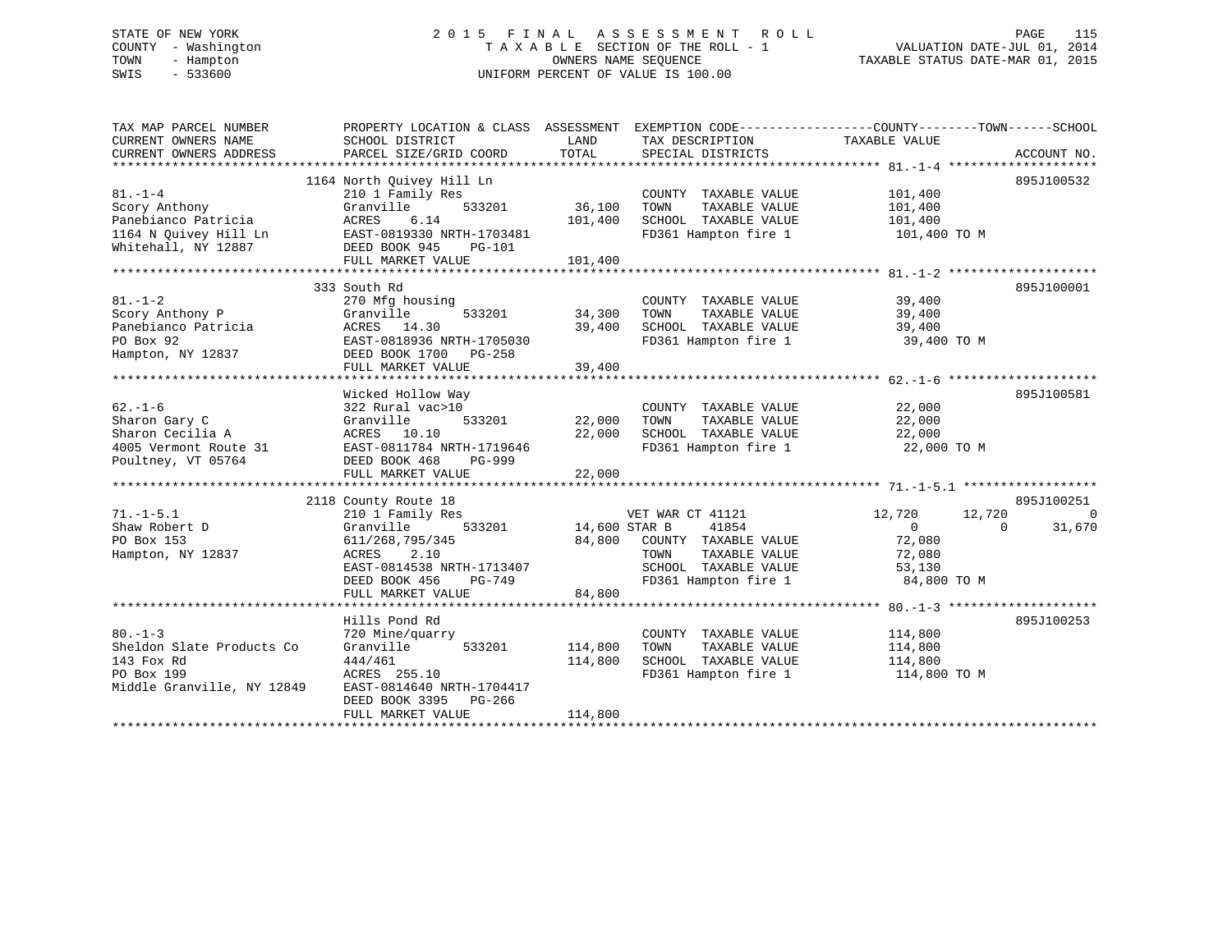# STATE OF NEW YORK 2 0 1 5 F I N A L A S S E S S M E N T R O L L PAGE 115 COUNTY - Washington T A X A B L E SECTION OF THE ROLL - 1 VALUATION DATE-JUL 01, 2014 TOWN - Hampton OWNERS NAME SEQUENCE TAXABLE STATUS DATE-MAR 01, 2015 SWIS - 533600 UNIFORM PERCENT OF VALUE IS 100.00

| TAX MAP PARCEL NUMBER<br>CURRENT OWNERS NAME<br>CURRENT OWNERS ADDRESS                                | PROPERTY LOCATION & CLASS ASSESSMENT<br>SCHOOL DISTRICT<br>PARCEL SIZE/GRID COORD                                                                                  | LAND<br>TOTAL                 | TAX DESCRIPTION<br>SPECIAL DISTRICTS                                                                                              | EXEMPTION CODE-----------------COUNTY-------TOWN------SCHOOL<br>TAXABLE VALUE               | ACCOUNT NO.        |
|-------------------------------------------------------------------------------------------------------|--------------------------------------------------------------------------------------------------------------------------------------------------------------------|-------------------------------|-----------------------------------------------------------------------------------------------------------------------------------|---------------------------------------------------------------------------------------------|--------------------|
| $81. - 1 - 4$<br>Scory Anthony<br>Panebianco Patricia<br>1164 N Quivey Hill Ln<br>Whitehall, NY 12887 | 1164 North Ouivey Hill Ln<br>210 1 Family Res<br>Granville<br>533201<br>ACRES<br>6.14<br>EAST-0819330 NRTH-1703481<br>DEED BOOK 945<br>PG-101<br>FULL MARKET VALUE | 36,100<br>101,400<br>101,400  | COUNTY TAXABLE VALUE<br>TAXABLE VALUE<br>TOWN<br>SCHOOL TAXABLE VALUE                                                             | 101,400<br>101,400<br>101,400<br>FD361 Hampton fire 1 101,400 TO M                          | 895J100532         |
|                                                                                                       |                                                                                                                                                                    |                               |                                                                                                                                   |                                                                                             |                    |
| $81. - 1 - 2$<br>Scory Anthony P<br>Panebianco Patricia<br>PO Box 92<br>Hampton, NY 12837             | 333 South Rd<br>270 Mfg housing<br>533201<br>Granville<br>ACRES 14.30<br>EAST-0818936 NRTH-1705030<br>DEED BOOK 1700 PG-258<br>FULL MARKET VALUE                   | 34,300<br>39,400<br>39,400    | COUNTY TAXABLE VALUE<br>TOWN<br>TAXABLE VALUE<br>SCHOOL TAXABLE VALUE                                                             | 39,400<br>39,400<br>39,400<br>FD361 Hampton fire 1 39,400 TO M                              | 895J100001         |
|                                                                                                       | Wicked Hollow Way                                                                                                                                                  |                               |                                                                                                                                   |                                                                                             | 895J100581         |
| $62. - 1 - 6$<br>Sharon Gary C<br>Sharon Cecilia A<br>4005 Vermont Route 31<br>Poultney, VT 05764     | 322 Rural vac>10<br>Granville<br>533201<br>ACRES 10.10<br>EAST-0811784 NRTH-1719646<br>DEED BOOK 468<br>PG-999<br>FULL MARKET VALUE                                | 22,000<br>22,000<br>22,000    | COUNTY TAXABLE VALUE<br>TAXABLE VALUE<br>TOWN<br>SCHOOL TAXABLE VALUE                                                             | 22,000<br>22,000<br>22,000<br>FD361 Hampton fire 1 22,000 TO M                              |                    |
|                                                                                                       | 2118 County Route 18                                                                                                                                               |                               |                                                                                                                                   |                                                                                             | 895J100251         |
| $71. - 1 - 5.1$<br>Shaw Robert D<br>PO Box 153<br>Hampton, NY 12837                                   | 210 1 Family Res<br>533201<br>Granville<br>611/268,795/345<br>2.10<br>ACRES<br>EAST-0814538 NRTH-1713407<br>DEED BOOK 456<br>PG-749                                | 14,600 STAR B                 | VET WAR CT 41121<br>41854<br>84,800 COUNTY TAXABLE VALUE<br>TAXABLE VALUE<br>TOWN<br>SCHOOL TAXABLE VALUE<br>FD361 Hampton fire 1 | 12,720<br>12,720<br>$\overline{0}$<br>$\Omega$<br>72,080<br>72,080<br>53,130<br>84,800 TO M | $\Omega$<br>31,670 |
|                                                                                                       | FULL MARKET VALUE                                                                                                                                                  | 84,800                        |                                                                                                                                   |                                                                                             |                    |
| $80 - 1 - 3$<br>Sheldon Slate Products Co<br>143 Fox Rd<br>PO Box 199<br>Middle Granville, NY 12849   | Hills Pond Rd<br>720 Mine/quarry<br>Granville<br>533201<br>444/461<br>ACRES 255.10<br>EAST-0814640 NRTH-1704417<br>DEED BOOK 3395<br>PG-266<br>FULL MARKET VALUE   | 114,800<br>114,800<br>114,800 | COUNTY TAXABLE VALUE<br>TAXABLE VALUE<br>TOWN<br>SCHOOL TAXABLE VALUE<br>FD361 Hampton fire 1                                     | 114,800<br>114,800<br>114,800<br>114,800 TO M                                               | 895J100253         |
|                                                                                                       |                                                                                                                                                                    |                               |                                                                                                                                   |                                                                                             |                    |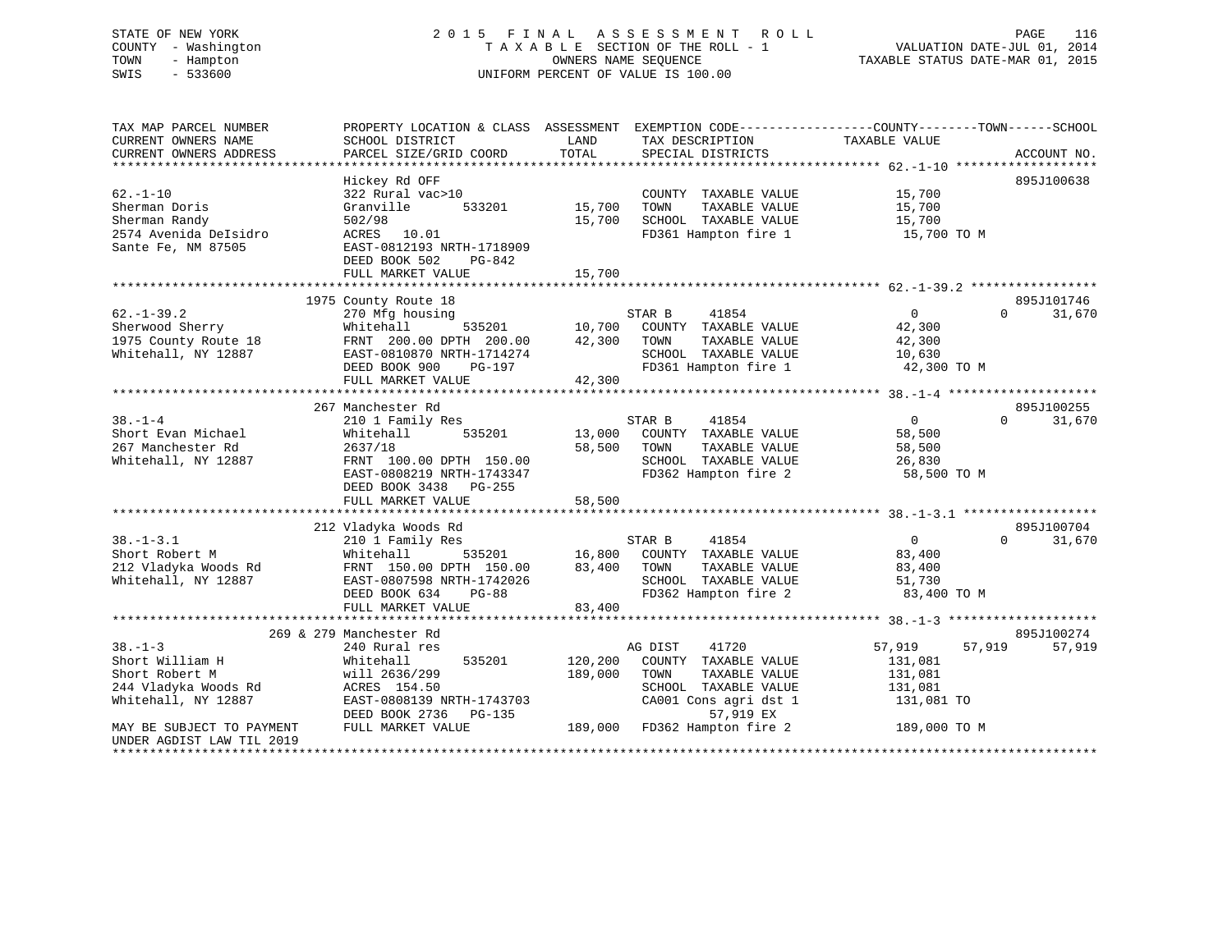# STATE OF NEW YORK 2 0 1 5 F I N A L A S S E S S M E N T R O L L PAGE 116 COUNTY - Washington T A X A B L E SECTION OF THE ROLL - 1 VALUATION DATE-JUL 01, 2014 TOWN - Hampton OWNERS NAME SEQUENCE TAXABLE STATUS DATE-MAR 01, 2015 SWIS - 533600 UNIFORM PERCENT OF VALUE IS 100.00

| TAX MAP PARCEL NUMBER     | PROPERTY LOCATION & CLASS ASSESSMENT |         | EXEMPTION CODE-----------------COUNTY-------TOWN------SCHOOL |                |                    |
|---------------------------|--------------------------------------|---------|--------------------------------------------------------------|----------------|--------------------|
| CURRENT OWNERS NAME       | SCHOOL DISTRICT                      | LAND    | TAX DESCRIPTION                                              | TAXABLE VALUE  |                    |
| CURRENT OWNERS ADDRESS    | PARCEL SIZE/GRID COORD               | TOTAL   | SPECIAL DISTRICTS                                            |                | ACCOUNT NO.        |
|                           |                                      |         |                                                              |                |                    |
|                           | Hickey Rd OFF                        |         |                                                              |                | 895J100638         |
| $62. - 1 - 10$            | 322 Rural vac>10                     |         | COUNTY TAXABLE VALUE                                         | 15,700         |                    |
| Sherman Doris             | Granville<br>533201                  | 15,700  | TOWN<br>TAXABLE VALUE                                        | 15,700         |                    |
| Sherman Randy             | 502/98                               | 15,700  | SCHOOL TAXABLE VALUE                                         | 15,700         |                    |
| 2574 Avenida DeIsidro     | 10.01                                |         | FD361 Hampton fire 1                                         |                |                    |
|                           | ACRES                                |         |                                                              | 15,700 TO M    |                    |
| Sante Fe, NM 87505        | EAST-0812193 NRTH-1718909            |         |                                                              |                |                    |
|                           | DEED BOOK 502<br>PG-842              |         |                                                              |                |                    |
|                           | FULL MARKET VALUE                    | 15,700  |                                                              |                |                    |
|                           |                                      |         |                                                              |                |                    |
|                           | 1975 County Route 18                 |         |                                                              |                | 895J101746         |
| $62. - 1 - 39.2$          | 270 Mfg housing                      |         | 41854<br>STAR B                                              | $\mathbf{0}$   | 31,670<br>$\Omega$ |
| Sherwood Sherry           | Whitehall<br>535201                  | 10,700  | COUNTY TAXABLE VALUE                                         | 42,300         |                    |
| 1975 County Route 18      | FRNT 200.00 DPTH 200.00              | 42,300  | TAXABLE VALUE<br>TOWN                                        | 42,300         |                    |
| Whitehall, NY 12887       | EAST-0810870 NRTH-1714274            |         | SCHOOL TAXABLE VALUE                                         | 10,630         |                    |
|                           | DEED BOOK 900<br>PG-197              |         | FD361 Hampton fire 1                                         | 42,300 TO M    |                    |
|                           | FULL MARKET VALUE                    | 42,300  |                                                              |                |                    |
|                           |                                      |         |                                                              |                |                    |
|                           | 267 Manchester Rd                    |         |                                                              |                | 895J100255         |
| $38 - 1 - 4$              | 210 1 Family Res                     |         | STAR B<br>41854                                              | $\mathbf{0}$   | $\Omega$<br>31,670 |
| Short Evan Michael        | 535201<br>Whitehall                  | 13,000  | COUNTY TAXABLE VALUE                                         | 58,500         |                    |
| 267 Manchester Rd         | 2637/18                              | 58,500  | TAXABLE VALUE<br>TOWN                                        | 58,500         |                    |
| Whitehall, NY 12887       | FRNT 100.00 DPTH 150.00              |         | SCHOOL TAXABLE VALUE                                         | 26,830         |                    |
|                           | EAST-0808219 NRTH-1743347            |         | FD362 Hampton fire 2                                         | 58,500 TO M    |                    |
|                           | DEED BOOK 3438 PG-255                |         |                                                              |                |                    |
|                           | FULL MARKET VALUE                    | 58,500  |                                                              |                |                    |
|                           |                                      |         |                                                              |                |                    |
|                           |                                      |         |                                                              |                |                    |
|                           | 212 Vladyka Woods Rd                 |         |                                                              |                | 895J100704         |
| $38. - 1 - 3.1$           | 210 1 Family Res                     |         | STAR B<br>41854                                              | $\overline{0}$ | 31,670<br>$\Omega$ |
| Short Robert M            | 535201<br>Whitehall                  | 16,800  | COUNTY TAXABLE VALUE                                         | 83,400         |                    |
| 212 Vladyka Woods Rd      | FRNT 150.00 DPTH 150.00              | 83,400  | TOWN<br>TAXABLE VALUE                                        | 83,400         |                    |
| Whitehall, NY 12887       | EAST-0807598 NRTH-1742026            |         | SCHOOL TAXABLE VALUE                                         | 51,730         |                    |
|                           | DEED BOOK 634<br>$PG-88$             |         | FD362 Hampton fire 2                                         | 83,400 TO M    |                    |
|                           | FULL MARKET VALUE                    | 83,400  |                                                              |                |                    |
|                           |                                      |         |                                                              |                |                    |
|                           | 269 & 279 Manchester Rd              |         |                                                              |                | 895J100274         |
| $38. - 1 - 3$             | 240 Rural res                        |         | 41720<br>AG DIST                                             | 57,919         | 57,919<br>57,919   |
| Short William H           | 535201<br>Whitehall                  | 120,200 | COUNTY TAXABLE VALUE                                         | 131,081        |                    |
| Short Robert M            | will 2636/299                        | 189,000 | TOWN<br>TAXABLE VALUE                                        | 131,081        |                    |
| 244 Vladyka Woods Rd      | ACRES 154.50                         |         | SCHOOL TAXABLE VALUE                                         | 131,081        |                    |
| Whitehall, NY 12887       | EAST-0808139 NRTH-1743703            |         | CA001 Cons agri dst 1                                        | 131,081 TO     |                    |
|                           | DEED BOOK 2736<br>PG-135             |         | 57,919 EX                                                    |                |                    |
| MAY BE SUBJECT TO PAYMENT | FULL MARKET VALUE                    | 189,000 | FD362 Hampton fire 2                                         | 189,000 TO M   |                    |
| UNDER AGDIST LAW TIL 2019 |                                      |         |                                                              |                |                    |
| *********************     |                                      |         |                                                              |                |                    |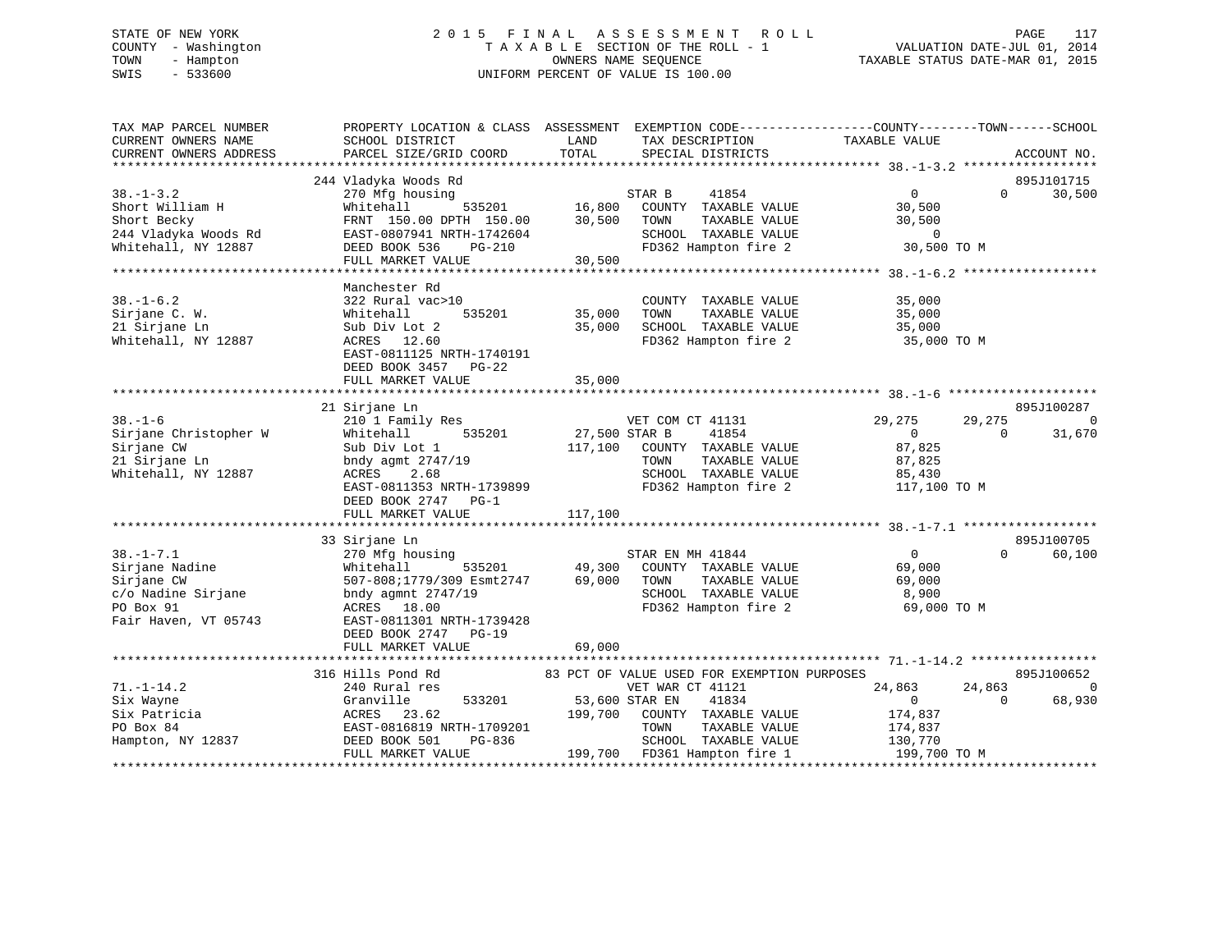# STATE OF NEW YORK 2 0 1 5 F I N A L A S S E S S M E N T R O L L PAGE 117 COUNTY - Washington T A X A B L E SECTION OF THE ROLL - 1 VALUATION DATE-JUL 01, 2014 TOWN - Hampton OWNERS NAME SEQUENCE TAXABLE STATUS DATE-MAR 01, 2015 SWIS - 533600 UNIFORM PERCENT OF VALUE IS 100.00

| TAX MAP PARCEL NUMBER<br>CURRENT OWNERS NAME                                                                   | PROPERTY LOCATION & CLASS ASSESSMENT EXEMPTION CODE----------------COUNTY-------TOWN-----SCHOOL<br>SCHOOL DISTRICT                                                                                                     | LAND                    | TAX DESCRIPTION                                                                                                                                        | TAXABLE VALUE                                                           |                    |                          |
|----------------------------------------------------------------------------------------------------------------|------------------------------------------------------------------------------------------------------------------------------------------------------------------------------------------------------------------------|-------------------------|--------------------------------------------------------------------------------------------------------------------------------------------------------|-------------------------------------------------------------------------|--------------------|--------------------------|
| CURRENT OWNERS ADDRESS                                                                                         | PARCEL SIZE/GRID COORD                                                                                                                                                                                                 | TOTAL                   | SPECIAL DISTRICTS                                                                                                                                      |                                                                         |                    | ACCOUNT NO.              |
|                                                                                                                | 244 Vladyka Woods Rd                                                                                                                                                                                                   |                         |                                                                                                                                                        |                                                                         |                    | 895J101715               |
| $38. - 1 - 3.2$<br>Short William H<br>Short Becky                                                              | 270 Mfg housing<br>Whitehall<br>FRNT 150.00 DPTH 150.00<br>244 Vladyka Woods Rd<br>Whitehall, NY 12887<br>ELEED BOOK 536 PG-210<br>FULL MARKET VALUE                                                                   | 30,500                  | 41854<br>STAR B<br>535201 16,800 COUNTY TAXABLE VALUE<br>TH 150.00 30,500 TOWN TAXABLE VALUE<br>SCHOOL TAXABLE VALUE<br>FD362 Hampton fire 2           | $\overline{0}$<br>30,500<br>30,500<br>U<br>30,500 TO M                  | $\Omega$           | 30,500                   |
|                                                                                                                |                                                                                                                                                                                                                        |                         |                                                                                                                                                        |                                                                         |                    |                          |
| $38. - 1 - 6.2$<br>Sirjane C. W.<br>21 Sirjane Ln<br>Whitehall, NY 12887                                       | Manchester Rd<br>322 Rural vac>10<br>Whitehall<br>Sub Div Lot 2<br>ACRES 12.60<br>EAST-0811125 NRTH-1740191<br>DEED BOOK 3457 PG-22<br>FULL MARKET VALUE                                                               | 535201 35,000<br>35,000 | COUNTY TAXABLE VALUE<br>TOWN<br>TAXABLE VALUE<br>35,000 SCHOOL TAXABLE VALUE<br>FD362 Hampton fire 2                                                   | 35,000<br>35,000<br>35,000<br>35,000 TO M                               |                    |                          |
|                                                                                                                | 21 Sirjane Ln                                                                                                                                                                                                          |                         |                                                                                                                                                        |                                                                         |                    | 895J100287               |
| $38. - 1 - 6$<br>Sirjane Christopher W<br>Sirjane CW<br>21 Sirjane Ln<br>Whitehall, NY 12887                   | 210 1 Family Res<br>535201 27,500 STAR B<br>Whitehall<br>Sub Div Lot 1<br>bndy agmt 2747/19<br>ACRES 2.68<br>ACRES 2.68<br>EAST-0811353 NRTH-1739899<br>DEED BOOK 2747 PG-1                                            |                         | VET COM CT 41131<br>41854<br>117,100 COUNTY TAXABLE VALUE<br>TAXABLE VALUE<br>TOWN<br>SCHOOL TAXABLE VALUE 85,430<br>FD362 Hampton fire 2 117,100 TO M | 29,275<br>$\overline{0}$<br>87,825<br>87,825                            | 29,275<br>$\Omega$ | $\bigcirc$<br>31,670     |
|                                                                                                                | FULL MARKET VALUE                                                                                                                                                                                                      | 117,100                 |                                                                                                                                                        |                                                                         |                    |                          |
|                                                                                                                | 33 Sirjane Ln                                                                                                                                                                                                          |                         |                                                                                                                                                        |                                                                         |                    | 895J100705               |
| $38. - 1 - 7.1$<br>$38. -1 - 7.1$<br>Sirjane Nadine<br>c/o Nadine Sirjane<br>PO Box 91<br>Fair Haven, VT 05743 | 270 Mfg housing<br>270 Mfg hc<br>Whitehall<br>507-808;17<br>bndy agmnt<br>535201<br>507-808;1779/309 Esmt2747<br>bndy agmnt 2747/19<br>ACRES 18.00<br>EAST-0811301 NRTH-1739428<br>DEED BOOK 2747 PG-19                | 69,000 TOWN             | STAR EN MH 41844<br>49,300 COUNTY TAXABLE VALUE<br>SCHOOL TAXABLE VALUE<br>FD362 Hampton fire 2 69,000 TO M                                            | $\overline{0}$<br>69,000<br>TAXABLE VALUE 69,000<br>TAXABLE VALUE 8,900 | $\Omega$           | 60,100                   |
|                                                                                                                | FULL MARKET VALUE                                                                                                                                                                                                      | 69,000                  |                                                                                                                                                        |                                                                         |                    |                          |
|                                                                                                                |                                                                                                                                                                                                                        |                         |                                                                                                                                                        |                                                                         |                    | 895J100652               |
| $71. - 1 - 14.2$<br>Six Wayne<br>Six Patricia<br>PO Box 84<br>Hampton, NY 12837                                | 316 Hills Pond Rd 83 PCT OF VALUE USED FOR EXEMPTION PURPOSES<br>24,863 24 PCT 41121<br>533201 53,600 STAR EN<br>Granville<br>ACRES 23.62<br>EAST-0816819 NRTH-1709201<br>DEED BOOK 501<br>PG-836<br>FULL MARKET VALUE |                         | 41834<br>199,700 COUNTY TAXABLE VALUE<br>TOWN<br>TAXABLE VALUE<br>SCHOOL TAXABLE VALUE<br>199,700 FD361 Hampton fire 1 199,700 TO M                    | 24,863<br>$\overline{0}$<br>174,837<br>174,837<br>130,770               | 24,863<br>$\Omega$ | $\overline{0}$<br>68,930 |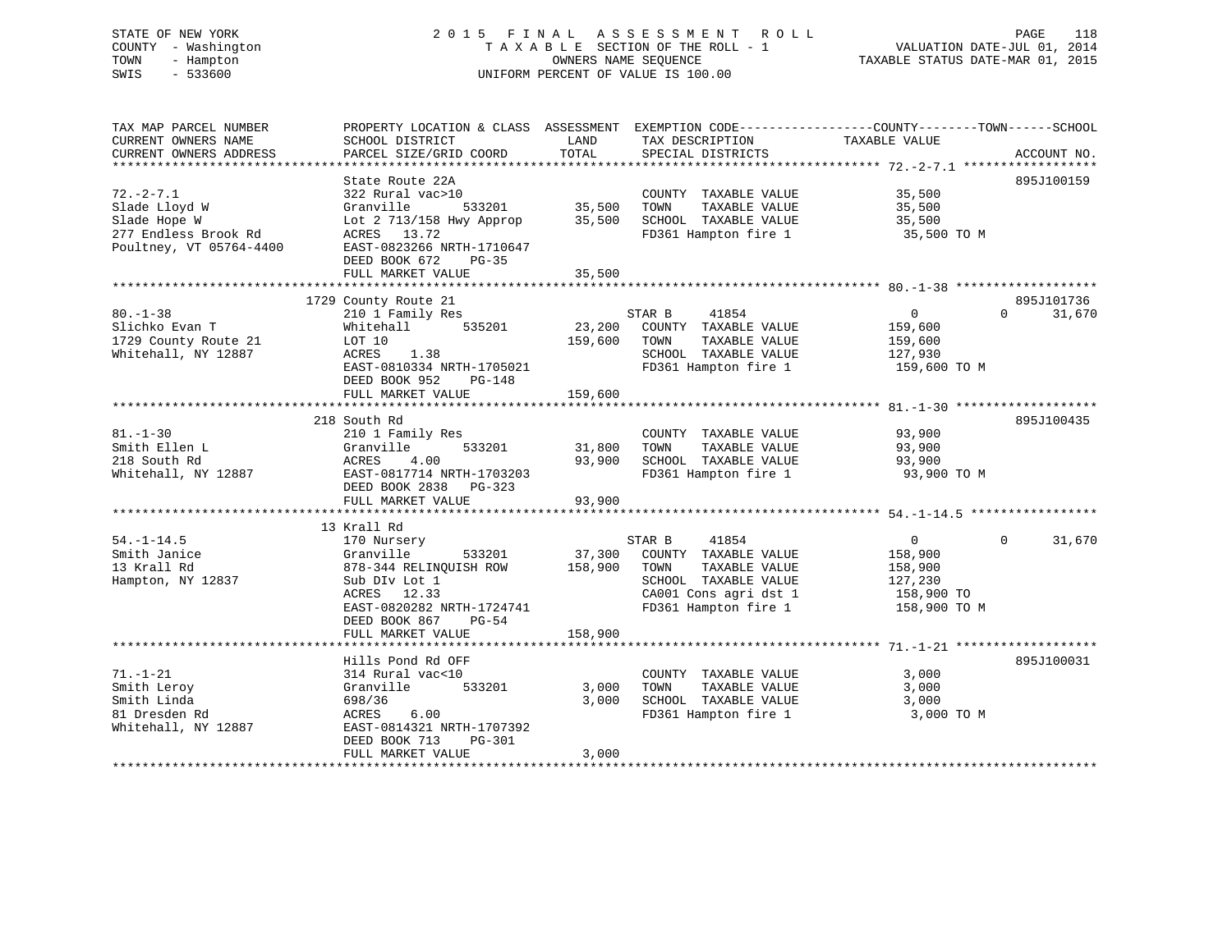# STATE OF NEW YORK 2 0 1 5 F I N A L A S S E S S M E N T R O L L PAGE 118 COUNTY - Washington T A X A B L E SECTION OF THE ROLL - 1 VALUATION DATE-JUL 01, 2014 TOWN - Hampton OWNERS NAME SEQUENCE TAXABLE STATUS DATE-MAR 01, 2015 SWIS - 533600 UNIFORM PERCENT OF VALUE IS 100.00

| TAX MAP PARCEL NUMBER<br>CURRENT OWNERS NAME<br>CURRENT OWNERS ADDRESS                              | PROPERTY LOCATION & CLASS ASSESSMENT<br>SCHOOL DISTRICT<br>PARCEL SIZE/GRID COORD                                                                                                   | LAND<br>TOTAL              | EXEMPTION CODE-----------------COUNTY-------TOWN------SCHOOL<br>TAX DESCRIPTION<br>SPECIAL DISTRICTS                                      | TAXABLE VALUE                                                                 | ACCOUNT NO.                      |
|-----------------------------------------------------------------------------------------------------|-------------------------------------------------------------------------------------------------------------------------------------------------------------------------------------|----------------------------|-------------------------------------------------------------------------------------------------------------------------------------------|-------------------------------------------------------------------------------|----------------------------------|
| $72. - 2 - 7.1$<br>Slade Lloyd W<br>Slade Hope W<br>277 Endless Brook Rd<br>Poultney, VT 05764-4400 | State Route 22A<br>322 Rural vac>10<br>Granville<br>533201<br>Lot 2 713/158 Hwy Approp<br>ACRES 13.72<br>EAST-0823266 NRTH-1710647<br>DEED BOOK 672<br>$PG-35$<br>FULL MARKET VALUE | 35,500<br>35,500<br>35,500 | COUNTY TAXABLE VALUE<br>TAXABLE VALUE<br>TOWN<br>SCHOOL TAXABLE VALUE<br>FD361 Hampton fire 1                                             | 35,500<br>35,500<br>35,500<br>35,500 TO M                                     | 895J100159                       |
| $80. - 1 - 38$<br>Slichko Evan T<br>1729 County Route 21                                            | 1729 County Route 21<br>210 1 Family Res<br>535201<br>Whitehall<br>LOT 10                                                                                                           | 23,200<br>159,600          | STAR B<br>41854<br>COUNTY TAXABLE VALUE<br>TOWN<br>TAXABLE VALUE                                                                          | 0<br>159,600<br>159,600                                                       | 895J101736<br>31,670<br>$\Omega$ |
| Whitehall, NY 12887                                                                                 | ACRES<br>1.38<br>EAST-0810334 NRTH-1705021<br>DEED BOOK 952<br>$PG-148$<br>FULL MARKET VALUE                                                                                        | 159,600                    | SCHOOL TAXABLE VALUE<br>FD361 Hampton fire 1                                                                                              | 127,930<br>159,600 TO M                                                       |                                  |
|                                                                                                     |                                                                                                                                                                                     |                            |                                                                                                                                           |                                                                               |                                  |
| $81. - 1 - 30$<br>Smith Ellen L<br>218 South Rd<br>Whitehall, NY 12887                              | 218 South Rd<br>210 1 Family Res<br>533201<br>Granville<br>ACRES<br>4.00<br>EAST-0817714 NRTH-1703203<br>DEED BOOK 2838<br>PG-323                                                   | 31,800<br>93,900           | COUNTY TAXABLE VALUE<br>TOWN<br>TAXABLE VALUE<br>SCHOOL TAXABLE VALUE<br>FD361 Hampton fire 1                                             | 93,900<br>93,900<br>93,900<br>93,900 TO M                                     | 895J100435                       |
|                                                                                                     | FULL MARKET VALUE                                                                                                                                                                   | 93,900                     |                                                                                                                                           |                                                                               |                                  |
|                                                                                                     |                                                                                                                                                                                     |                            |                                                                                                                                           |                                                                               |                                  |
| $54. - 1 - 14.5$<br>Smith Janice<br>13 Krall Rd<br>Hampton, NY 12837                                | 13 Krall Rd<br>170 Nursery<br>533201<br>Granville<br>878-344 RELINQUISH ROW<br>Sub DIv Lot 1<br>ACRES 12.33<br>EAST-0820282 NRTH-1724741<br>DEED BOOK 867<br>$PG-54$                | 37,300<br>158,900          | 41854<br>STAR B<br>COUNTY TAXABLE VALUE<br>TOWN<br>TAXABLE VALUE<br>SCHOOL TAXABLE VALUE<br>CA001 Cons agri dst 1<br>FD361 Hampton fire 1 | $\overline{0}$<br>158,900<br>158,900<br>127,230<br>158,900 TO<br>158,900 TO M | 31,670<br>$\Omega$               |
|                                                                                                     | FULL MARKET VALUE                                                                                                                                                                   | 158,900                    |                                                                                                                                           |                                                                               |                                  |
|                                                                                                     | Hills Pond Rd OFF                                                                                                                                                                   |                            |                                                                                                                                           |                                                                               | 895J100031                       |
| $71. - 1 - 21$<br>Smith Leroy<br>Smith Linda<br>81 Dresden Rd<br>Whitehall, NY 12887                | 314 Rural vac<10<br>Granville<br>533201<br>698/36<br>ACRES<br>6.00<br>EAST-0814321 NRTH-1707392<br>DEED BOOK 713<br>$PG-301$                                                        | 3,000<br>3,000             | COUNTY TAXABLE VALUE<br>TOWN<br>TAXABLE VALUE<br>SCHOOL TAXABLE VALUE<br>FD361 Hampton fire 1                                             | 3,000<br>3,000<br>3,000<br>3,000 TO M                                         |                                  |
|                                                                                                     | FULL MARKET VALUE                                                                                                                                                                   | 3,000                      | *******************************                                                                                                           |                                                                               |                                  |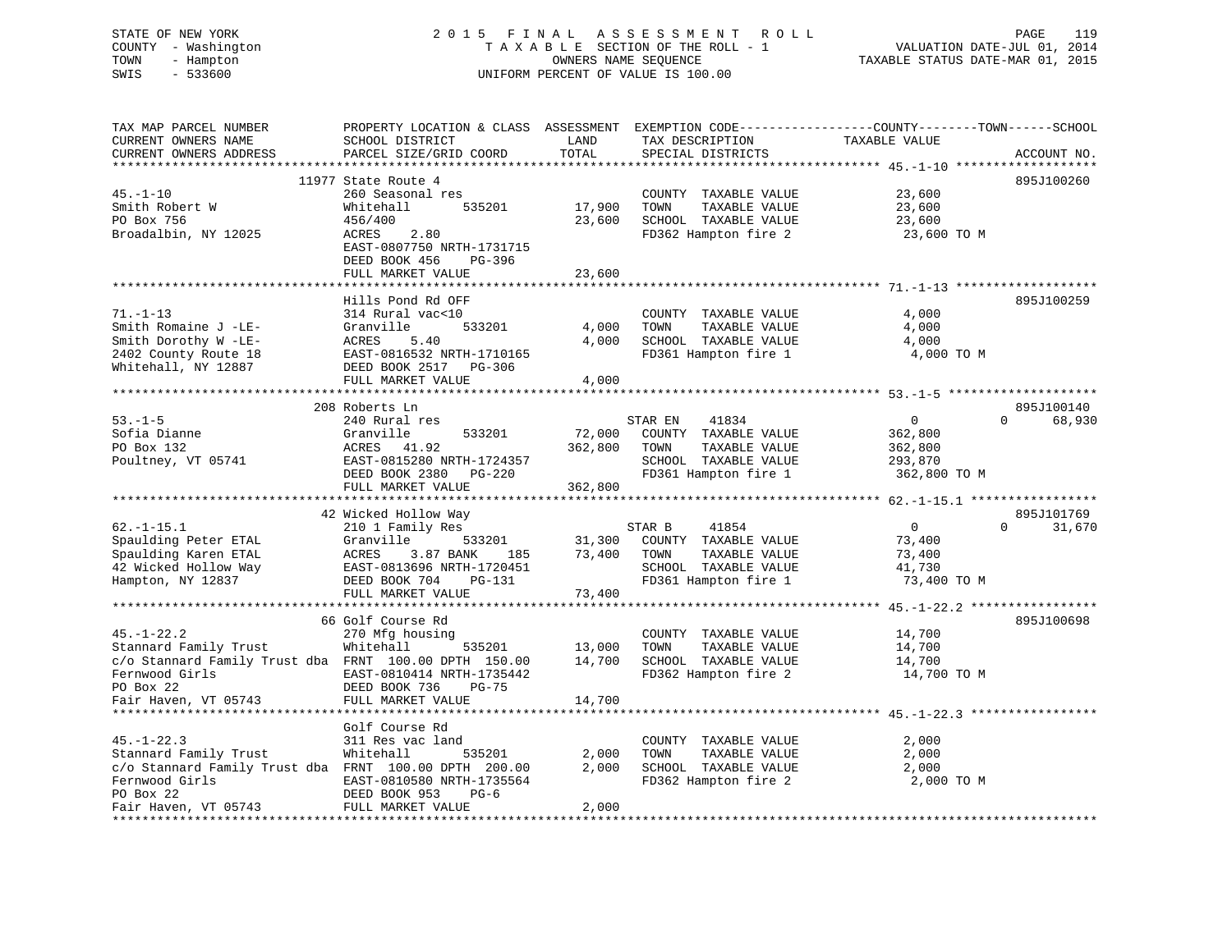# STATE OF NEW YORK 2 0 1 5 F I N A L A S S E S S M E N T R O L L PAGE 119 COUNTY - Washington T A X A B L E SECTION OF THE ROLL - 1 VALUATION DATE-JUL 01, 2014 TOWN - Hampton OWNERS NAME SEQUENCE TAXABLE STATUS DATE-MAR 01, 2015 SWIS - 533600 UNIFORM PERCENT OF VALUE IS 100.00

| TAX MAP PARCEL NUMBER<br>CURRENT OWNERS NAME<br>CURRENT OWNERS ADDRESS | PROPERTY LOCATION & CLASS ASSESSMENT<br>SCHOOL DISTRICT<br>PARCEL SIZE/GRID COORD | LAND<br>TOTAL       | EXEMPTION CODE-----------------COUNTY-------TOWN------SCHOOL<br>TAX DESCRIPTION<br>SPECIAL DISTRICTS | TAXABLE VALUE                                      | ACCOUNT NO.        |
|------------------------------------------------------------------------|-----------------------------------------------------------------------------------|---------------------|------------------------------------------------------------------------------------------------------|----------------------------------------------------|--------------------|
| *********************                                                  | **************************                                                        | **************      |                                                                                                      |                                                    |                    |
|                                                                        | 11977 State Route 4                                                               |                     |                                                                                                      |                                                    | 895J100260         |
| $45. - 1 - 10$                                                         | 260 Seasonal res                                                                  |                     | COUNTY TAXABLE VALUE                                                                                 | 23,600                                             |                    |
| Smith Robert W                                                         | Whitehall<br>535201                                                               | 17,900              | TAXABLE VALUE<br>TOWN                                                                                | 23,600                                             |                    |
| PO Box 756                                                             | 456/400                                                                           | 23,600              | SCHOOL TAXABLE VALUE                                                                                 | 23,600                                             |                    |
| Broadalbin, NY 12025                                                   | 2.80<br>ACRES                                                                     |                     | FD362 Hampton fire 2                                                                                 | 23,600 TO M                                        |                    |
|                                                                        | EAST-0807750 NRTH-1731715                                                         |                     |                                                                                                      |                                                    |                    |
|                                                                        | DEED BOOK 456<br>PG-396                                                           |                     |                                                                                                      |                                                    |                    |
|                                                                        | FULL MARKET VALUE                                                                 | 23,600              |                                                                                                      |                                                    |                    |
|                                                                        |                                                                                   |                     |                                                                                                      |                                                    |                    |
|                                                                        | Hills Pond Rd OFF                                                                 |                     |                                                                                                      |                                                    | 895J100259         |
| $71. - 1 - 13$                                                         | 314 Rural vac<10                                                                  |                     | COUNTY TAXABLE VALUE                                                                                 | 4,000                                              |                    |
| Smith Romaine J -LE-                                                   | 533201<br>Granville                                                               | 4,000               | TOWN<br>TAXABLE VALUE                                                                                | 4,000                                              |                    |
| Smith Dorothy W -LE-                                                   | 5.40<br>ACRES                                                                     | 4,000               | SCHOOL TAXABLE VALUE                                                                                 | 4,000                                              |                    |
| 2402 County Route 18                                                   | EAST-0816532 NRTH-1710165                                                         |                     | FD361 Hampton fire 1                                                                                 | 4,000 TO M                                         |                    |
| Whitehall, NY 12887                                                    | DEED BOOK 2517 PG-306<br>FULL MARKET VALUE                                        | 4,000               |                                                                                                      |                                                    |                    |
|                                                                        | **********************                                                            | * * * * * * * * * * |                                                                                                      | ***************** 53.-1-5 ***************          |                    |
|                                                                        | 208 Roberts Ln                                                                    |                     |                                                                                                      |                                                    | 895J100140         |
| $53. -1 - 5$                                                           | 240 Rural res                                                                     |                     | 41834<br>STAR EN                                                                                     | 0                                                  | $\Omega$<br>68,930 |
| Sofia Dianne                                                           | Granville<br>533201                                                               | 72,000              | COUNTY TAXABLE VALUE                                                                                 | 362,800                                            |                    |
| PO Box 132                                                             | ACRES<br>41.92                                                                    | 362,800             | TOWN<br>TAXABLE VALUE                                                                                | 362,800                                            |                    |
| Poultney, VT 05741                                                     | EAST-0815280 NRTH-1724357                                                         |                     | SCHOOL TAXABLE VALUE                                                                                 | 293,870                                            |                    |
|                                                                        | DEED BOOK 2380<br>PG-220                                                          |                     | FD361 Hampton fire 1                                                                                 | 362,800 TO M                                       |                    |
|                                                                        | FULL MARKET VALUE                                                                 | 362,800             |                                                                                                      |                                                    |                    |
|                                                                        |                                                                                   |                     |                                                                                                      |                                                    |                    |
|                                                                        | 42 Wicked Hollow Way                                                              |                     |                                                                                                      |                                                    | 895J101769         |
| $62. -1 - 15.1$                                                        | 210 1 Family Res                                                                  |                     | STAR B<br>41854                                                                                      | $\mathbf 0$                                        | $\Omega$<br>31,670 |
| Spaulding Peter ETAL                                                   | Granville<br>533201                                                               | 31,300              | COUNTY TAXABLE VALUE                                                                                 | 73,400                                             |                    |
| Spaulding Karen ETAL                                                   | ACRES<br>3.87 BANK<br>185                                                         | 73,400              | TOWN<br>TAXABLE VALUE                                                                                | 73,400                                             |                    |
| 42 Wicked Hollow Way                                                   | EAST-0813696 NRTH-1720451                                                         |                     | SCHOOL TAXABLE VALUE                                                                                 | 41,730                                             |                    |
| Hampton, NY 12837                                                      | DEED BOOK 704<br>$PG-131$                                                         |                     | FD361 Hampton fire 1                                                                                 | 73,400 TO M                                        |                    |
|                                                                        | FULL MARKET VALUE                                                                 | 73,400              |                                                                                                      |                                                    |                    |
|                                                                        | 66 Golf Course Rd                                                                 |                     |                                                                                                      |                                                    | 895J100698         |
| $45. - 1 - 22.2$                                                       | 270 Mfg housing                                                                   |                     | COUNTY TAXABLE VALUE                                                                                 | 14,700                                             |                    |
| Stannard Family Trust                                                  | Whitehall<br>535201                                                               | 13,000              | TAXABLE VALUE<br>TOWN                                                                                | 14,700                                             |                    |
| c/o Stannard Family Trust dba FRNT 100.00 DPTH 150.00                  |                                                                                   | 14,700              | SCHOOL TAXABLE VALUE                                                                                 | 14,700                                             |                    |
| Fernwood Girls                                                         | EAST-0810414 NRTH-1735442                                                         |                     | FD362 Hampton fire 2                                                                                 | 14,700 TO M                                        |                    |
| PO Box 22                                                              | DEED BOOK 736<br>$PG-75$                                                          |                     |                                                                                                      |                                                    |                    |
| Fair Haven, VT 05743                                                   | FULL MARKET VALUE                                                                 | 14,700              |                                                                                                      |                                                    |                    |
| ********************                                                   | *******************                                                               | ********            |                                                                                                      | ********************* 45. -1-22.3 **************** |                    |
|                                                                        | Golf Course Rd                                                                    |                     |                                                                                                      |                                                    |                    |
| $45. - 1 - 22.3$                                                       | 311 Res vac land                                                                  |                     | COUNTY TAXABLE VALUE                                                                                 | 2,000                                              |                    |
| Stannard Family Trust                                                  | Whitehall<br>535201                                                               | 2,000               | TAXABLE VALUE<br>TOWN                                                                                | 2,000                                              |                    |
| c/o Stannard Family Trust dba FRNT 100.00 DPTH 200.00                  |                                                                                   | 2,000               | SCHOOL TAXABLE VALUE                                                                                 | 2,000                                              |                    |
| Fernwood Girls                                                         | EAST-0810580 NRTH-1735564                                                         |                     | FD362 Hampton fire 2                                                                                 | 2,000 TO M                                         |                    |
| PO Box 22                                                              | DEED BOOK 953<br>$PG-6$                                                           |                     |                                                                                                      |                                                    |                    |
| Fair Haven, VT 05743                                                   | FULL MARKET VALUE                                                                 | 2,000               |                                                                                                      |                                                    |                    |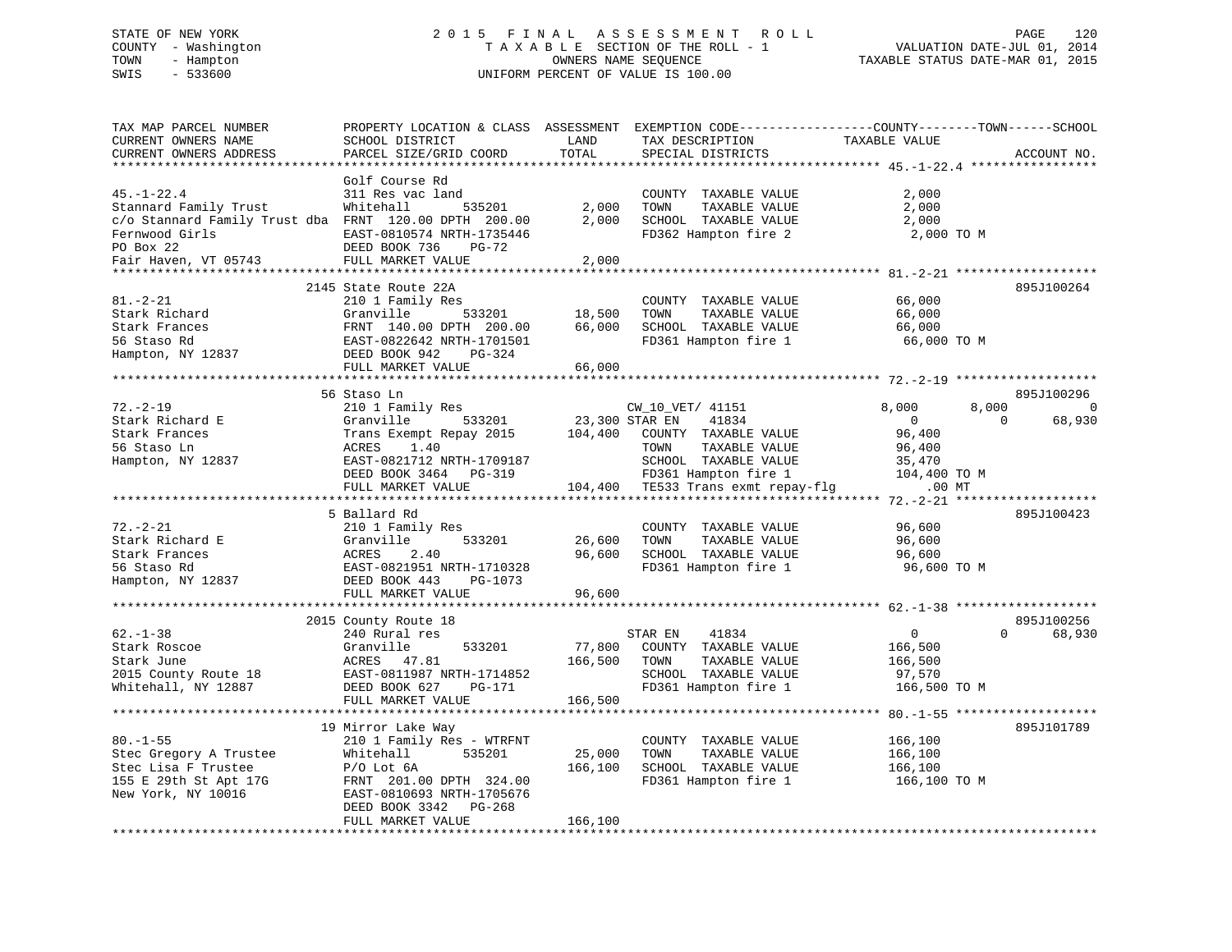# STATE OF NEW YORK 2 0 1 5 F I N A L A S S E S S M E N T R O L L PAGE 120 COUNTY - Washington T A X A B L E SECTION OF THE ROLL - 1 VALUATION DATE-JUL 01, 2014 TOWN - Hampton OWNERS NAME SEQUENCE TAXABLE STATUS DATE-MAR 01, 2015 SWIS - 533600 UNIFORM PERCENT OF VALUE IS 100.00

| TAX MAP PARCEL NUMBER<br>CURRENT OWNERS NAME<br>CURRENT OWNERS ADDRESS                             | PROPERTY LOCATION & CLASS ASSESSMENT<br>SCHOOL DISTRICT<br>PARCEL SIZE/GRID COORD | LAND<br>TOTAL<br>********* | TAX DESCRIPTION<br>SPECIAL DISTRICTS                                  | EXEMPTION CODE-----------------COUNTY-------TOWN------SCHOOL<br>TAXABLE VALUE | ACCOUNT NO.        |
|----------------------------------------------------------------------------------------------------|-----------------------------------------------------------------------------------|----------------------------|-----------------------------------------------------------------------|-------------------------------------------------------------------------------|--------------------|
|                                                                                                    | Golf Course Rd                                                                    |                            |                                                                       | ************************************* 45.-1-22.4 *****************            |                    |
| $45. - 1 - 22.4$<br>Stannard Family Trust<br>c/o Stannard Family Trust dba FRNT 120.00 DPTH 200.00 | 311 Res vac land<br>Whitehall<br>535201                                           | 2,000<br>2,000             | COUNTY TAXABLE VALUE<br>TOWN<br>TAXABLE VALUE<br>SCHOOL TAXABLE VALUE | 2,000<br>2,000<br>2,000                                                       |                    |
| Fernwood Girls<br>PO Box 22<br>Fair Haven, VT 05743                                                | EAST-0810574 NRTH-1735446<br>DEED BOOK 736<br>PG-72<br>FULL MARKET VALUE          | 2,000                      | FD362 Hampton fire 2                                                  | 2,000 TO M                                                                    |                    |
|                                                                                                    |                                                                                   |                            |                                                                       |                                                                               |                    |
|                                                                                                    | 2145 State Route 22A                                                              |                            |                                                                       |                                                                               | 895J100264         |
| $81. - 2 - 21$                                                                                     | 210 1 Family Res                                                                  |                            | COUNTY TAXABLE VALUE                                                  | 66,000                                                                        |                    |
| Stark Richard                                                                                      | Granville<br>533201                                                               | 18,500                     | TOWN<br>TAXABLE VALUE                                                 | 66,000                                                                        |                    |
| Stark Frances<br>56 Staso Rd                                                                       | FRNT 140.00 DPTH 200.00<br>EAST-0822642 NRTH-1701501                              | 66,000                     | SCHOOL TAXABLE VALUE                                                  | 66,000                                                                        |                    |
| Hampton, NY 12837                                                                                  | DEED BOOK 942<br>PG-324                                                           |                            | FD361 Hampton fire 1                                                  | 66,000 TO M                                                                   |                    |
|                                                                                                    | FULL MARKET VALUE                                                                 | 66,000                     |                                                                       |                                                                               |                    |
|                                                                                                    |                                                                                   |                            |                                                                       |                                                                               |                    |
|                                                                                                    | 56 Staso Ln                                                                       |                            |                                                                       |                                                                               | 895J100296         |
| $72. - 2 - 19$                                                                                     | 210 1 Family Res                                                                  |                            | CW 10 VET/ 41151                                                      | 8,000<br>8,000                                                                | $\Omega$           |
| Stark Richard E                                                                                    | Granville<br>533201                                                               | 23,300 STAR EN             | 41834                                                                 | $\overline{0}$                                                                | $\Omega$<br>68,930 |
| Stark Frances                                                                                      | Trans Exempt Repay 2015                                                           | 104,400                    | COUNTY TAXABLE VALUE                                                  | 96,400                                                                        |                    |
| 56 Staso Ln                                                                                        | 1.40<br>ACRES                                                                     |                            | TAXABLE VALUE<br>TOWN                                                 | 96,400                                                                        |                    |
| Hampton, NY 12837                                                                                  | EAST-0821712 NRTH-1709187                                                         |                            | SCHOOL TAXABLE VALUE                                                  | 35,470                                                                        |                    |
|                                                                                                    | DEED BOOK 3464 PG-319<br>FULL MARKET VALUE                                        |                            | FD361 Hampton fire 1<br>104,400 TE533 Trans exmt repay-flg            | 104,400 TO M<br>.00 MT                                                        |                    |
|                                                                                                    | ***************************                                                       |                            |                                                                       |                                                                               |                    |
|                                                                                                    | 5 Ballard Rd                                                                      |                            |                                                                       |                                                                               | 895J100423         |
| $72. - 2 - 21$                                                                                     | 210 1 Family Res                                                                  |                            | COUNTY TAXABLE VALUE                                                  | 96,600                                                                        |                    |
| Stark Richard E                                                                                    | Granville<br>533201                                                               | 26,600                     | TOWN<br>TAXABLE VALUE                                                 | 96,600                                                                        |                    |
| Stark Frances                                                                                      | 2.40<br>ACRES                                                                     | 96,600                     | SCHOOL TAXABLE VALUE                                                  | 96,600                                                                        |                    |
| 56 Staso Rd                                                                                        | EAST-0821951 NRTH-1710328                                                         |                            | FD361 Hampton fire 1                                                  | 96,600 TO M                                                                   |                    |
| Hampton, NY 12837                                                                                  | DEED BOOK 443<br>PG-1073                                                          |                            |                                                                       |                                                                               |                    |
|                                                                                                    | FULL MARKET VALUE                                                                 | 96,600                     |                                                                       |                                                                               |                    |
|                                                                                                    | 2015 County Route 18                                                              |                            |                                                                       |                                                                               | 895J100256         |
| $62 - 1 - 38$                                                                                      | 240 Rural res                                                                     |                            | STAR EN<br>41834                                                      | $\mathsf{O}$                                                                  | $\Omega$<br>68,930 |
| Stark Roscoe                                                                                       | Granville<br>533201                                                               | 77,800                     | COUNTY TAXABLE VALUE                                                  | 166,500                                                                       |                    |
| Stark June                                                                                         | ACRES 47.81                                                                       | 166,500                    | TOWN<br>TAXABLE VALUE                                                 | 166,500                                                                       |                    |
| 2015 County Route 18                                                                               | EAST-0811987 NRTH-1714852                                                         |                            | SCHOOL TAXABLE VALUE                                                  | 97,570                                                                        |                    |
| Whitehall, NY 12887                                                                                | DEED BOOK 627<br>PG-171                                                           |                            | FD361 Hampton fire 1                                                  | 166,500 TO M                                                                  |                    |
|                                                                                                    | FULL MARKET VALUE                                                                 | 166,500                    |                                                                       |                                                                               |                    |
|                                                                                                    | ********************                                                              |                            |                                                                       |                                                                               |                    |
|                                                                                                    | 19 Mirror Lake Way                                                                |                            |                                                                       |                                                                               | 895J101789         |
| $80. - 1 - 55$                                                                                     | 210 1 Family Res - WTRFNT                                                         |                            | COUNTY TAXABLE VALUE                                                  | 166,100                                                                       |                    |
| Stec Gregory A Trustee<br>Stec Lisa F Trustee                                                      | 535201<br>Whitehall<br>$P/O$ Lot $6A$                                             | 25,000<br>166,100          | TAXABLE VALUE<br>TOWN<br>SCHOOL TAXABLE VALUE                         | 166,100<br>166,100                                                            |                    |
| 155 E 29th St Apt 17G                                                                              | FRNT 201.00 DPTH 324.00                                                           |                            | FD361 Hampton fire 1                                                  | 166,100 то м                                                                  |                    |
| New York, NY 10016                                                                                 | EAST-0810693 NRTH-1705676                                                         |                            |                                                                       |                                                                               |                    |
|                                                                                                    | DEED BOOK 3342<br>PG-268                                                          |                            |                                                                       |                                                                               |                    |
|                                                                                                    | FULL MARKET VALUE                                                                 | 166,100                    |                                                                       |                                                                               |                    |
|                                                                                                    |                                                                                   |                            |                                                                       |                                                                               |                    |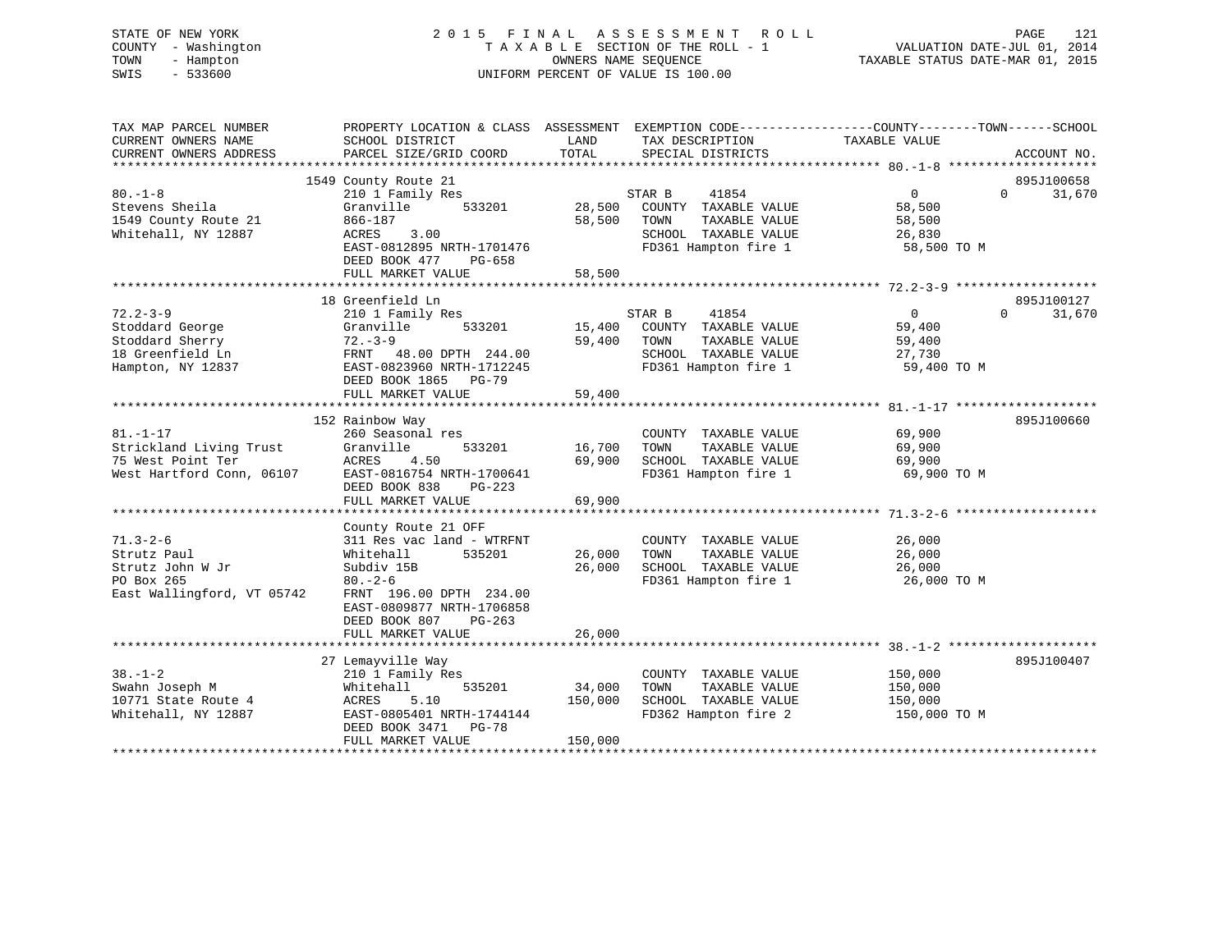# STATE OF NEW YORK 2 0 1 5 F I N A L A S S E S S M E N T R O L L PAGE 121 COUNTY - Washington T A X A B L E SECTION OF THE ROLL - 1 VALUATION DATE-JUL 01, 2014 TOWN - Hampton OWNERS NAME SEQUENCE TAXABLE STATUS DATE-MAR 01, 2015 SWIS - 533600 UNIFORM PERCENT OF VALUE IS 100.00

| TAX MAP PARCEL NUMBER<br>CURRENT OWNERS NAME<br>CURRENT OWNERS ADDRESS                        | PROPERTY LOCATION & CLASS ASSESSMENT EXEMPTION CODE----------------COUNTY-------TOWN------SCHOOL<br>SCHOOL DISTRICT<br>PARCEL SIZE/GRID COORD                                                                   | LAND<br>TOTAL                | TAX DESCRIPTION<br>SPECIAL DISTRICTS                                                                             | TAXABLE VALUE                                               | ACCOUNT NO.                      |
|-----------------------------------------------------------------------------------------------|-----------------------------------------------------------------------------------------------------------------------------------------------------------------------------------------------------------------|------------------------------|------------------------------------------------------------------------------------------------------------------|-------------------------------------------------------------|----------------------------------|
| $80 - 1 - 8$<br>Stevens Sheila<br>1549 County Route 21<br>Whitehall, NY 12887                 | 1549 County Route 21<br>210 1 Family Res<br>Granville<br>533201<br>866-187<br>ACRES<br>3.00<br>EAST-0812895 NRTH-1701476<br>DEED BOOK 477<br>PG-658<br>FULL MARKET VALUE                                        | 28,500<br>58,500<br>58,500   | STAR B<br>41854<br>COUNTY TAXABLE VALUE<br>TAXABLE VALUE<br>TOWN<br>SCHOOL TAXABLE VALUE<br>FD361 Hampton fire 1 | $\overline{0}$<br>58,500<br>58,500<br>26,830<br>58,500 TO M | 895J100658<br>$\Omega$<br>31,670 |
| $72.2 - 3 - 9$<br>Stoddard George<br>Stoddard Sherry<br>18 Greenfield Ln<br>Hampton, NY 12837 | 18 Greenfield Ln<br>210 1 Family Res<br>Granville<br>533201<br>$72 - 3 - 9$<br>FRNT 48.00 DPTH 244.00<br>EAST-0823960 NRTH-1712245<br>DEED BOOK 1865 PG-79<br>FULL MARKET VALUE                                 | 15,400<br>59,400<br>59,400   | STAR B<br>41854<br>COUNTY TAXABLE VALUE<br>TOWN<br>TAXABLE VALUE<br>SCHOOL TAXABLE VALUE<br>FD361 Hampton fire 1 | $\Omega$<br>59,400<br>59,400<br>27,730<br>59,400 TO M       | 895J100127<br>31,670<br>$\Omega$ |
| $81. - 1 - 17$<br>Strickland Living Trust<br>75 West Point Ter<br>West Hartford Conn, 06107   | 152 Rainbow Way<br>260 Seasonal res<br>Granville<br>533201<br>ACRES<br>4.50<br>EAST-0816754 NRTH-1700641<br>DEED BOOK 838<br>PG-223<br>FULL MARKET VALUE                                                        | 16,700<br>69,900<br>69,900   | COUNTY TAXABLE VALUE<br>TAXABLE VALUE<br>TOWN<br>SCHOOL TAXABLE VALUE<br>FD361 Hampton fire 1                    | 69,900<br>69,900<br>69,900<br>69,900 TO M                   | 895J100660                       |
| $71.3 - 2 - 6$<br>Strutz Paul<br>Strutz John W Jr<br>PO Box 265<br>East Wallingford, VT 05742 | County Route 21 OFF<br>311 Res vac land - WTRFNT<br>Whitehall<br>535201<br>Subdiv 15B<br>$80 - 2 - 6$<br>FRNT 196.00 DPTH 234.00<br>EAST-0809877 NRTH-1706858<br>DEED BOOK 807<br>$PG-263$<br>FULL MARKET VALUE | 26,000<br>26,000<br>26,000   | COUNTY TAXABLE VALUE<br>TAXABLE VALUE<br>TOWN<br>SCHOOL TAXABLE VALUE<br>FD361 Hampton fire 1                    | 26,000<br>26,000<br>26,000<br>26,000 TO M                   |                                  |
| $38. - 1 - 2$<br>Swahn Joseph M<br>10771 State Route 4<br>Whitehall, NY 12887                 | 27 Lemayville Way<br>210 1 Family Res<br>Whitehall<br>535201<br>ACRES<br>5.10<br>EAST-0805401 NRTH-1744144<br>DEED BOOK 3471 PG-78<br>FULL MARKET VALUE                                                         | 34,000<br>150,000<br>150,000 | COUNTY TAXABLE VALUE<br>TOWN<br>TAXABLE VALUE<br>SCHOOL TAXABLE VALUE<br>FD362 Hampton fire 2                    | 150,000<br>150,000<br>150,000<br>150,000 TO M               | 895J100407                       |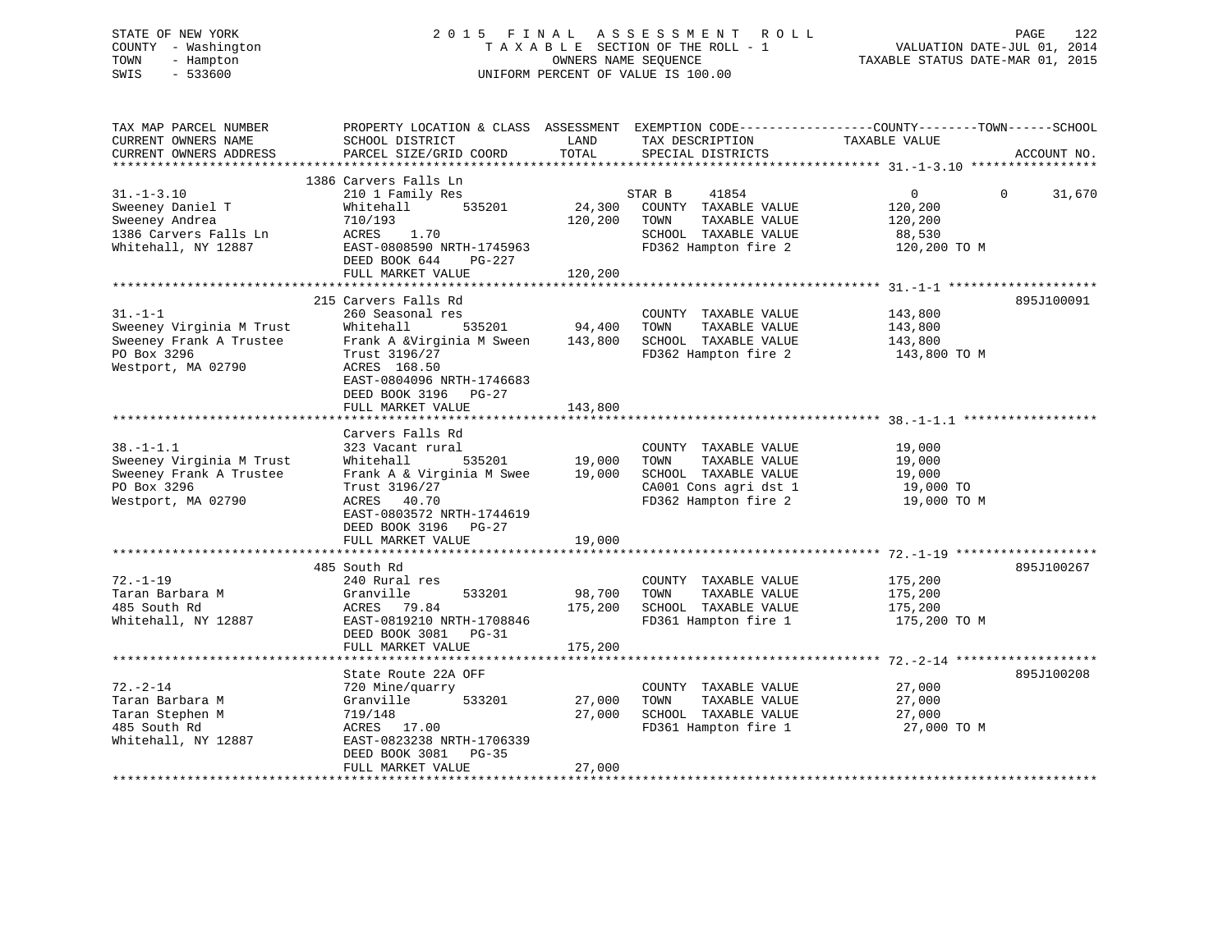# STATE OF NEW YORK 2 0 1 5 F I N A L A S S E S S M E N T R O L L PAGE 122 COUNTY - Washington T A X A B L E SECTION OF THE ROLL - 1 VALUATION DATE-JUL 01, 2014 TOWN - Hampton OWNERS NAME SEQUENCE TAXABLE STATUS DATE-MAR 01, 2015 SWIS - 533600 UNIFORM PERCENT OF VALUE IS 100.00

| TAX MAP PARCEL NUMBER<br>CURRENT OWNERS NAME<br>CURRENT OWNERS ADDRESS                                      | PROPERTY LOCATION & CLASS ASSESSMENT EXEMPTION CODE----------------COUNTY-------TOWN------SCHOOL<br>SCHOOL DISTRICT<br>PARCEL SIZE/GRID COORD                                                           | LAND<br>TOTAL                | TAX DESCRIPTION<br>SPECIAL DISTRICTS                                                                                   | TAXABLE VALUE                                                  | ACCOUNT NO.        |
|-------------------------------------------------------------------------------------------------------------|---------------------------------------------------------------------------------------------------------------------------------------------------------------------------------------------------------|------------------------------|------------------------------------------------------------------------------------------------------------------------|----------------------------------------------------------------|--------------------|
| $31. - 1 - 3.10$<br>Sweeney Daniel T<br>Sweeney Andrea<br>1386 Carvers Falls Ln<br>Whitehall, NY 12887      | 1386 Carvers Falls Ln<br>210 1 Family Res<br>535201<br>Whitehall<br>710/193<br>ACRES 1.70<br>EAST-0808590 NRTH-1745963<br>DEED BOOK 644<br>PG-227<br>FULL MARKET VALUE                                  | 24,300<br>120,200<br>120,200 | STAR B<br>41854<br>COUNTY TAXABLE VALUE<br>TOWN<br>TAXABLE VALUE<br>SCHOOL TAXABLE VALUE<br>FD362 Hampton fire 2       | $\overline{0}$<br>120,200<br>120,200<br>88,530<br>120,200 TO M | $\Omega$<br>31,670 |
|                                                                                                             |                                                                                                                                                                                                         |                              |                                                                                                                        |                                                                |                    |
| $31. -1 -1$<br>Sweeney Virginia M Trust<br>Sweeney Frank A Trustee<br>PO Box 3296<br>Westport, MA 02790     | 215 Carvers Falls Rd<br>260 Seasonal res<br>Whitehall<br>535201<br>Frank A &Virginia M Sween<br>Trust 3196/27<br>ACRES 168.50<br>EAST-0804096 NRTH-1746683<br>DEED BOOK 3196 PG-27<br>FULL MARKET VALUE | 94,400<br>143,800<br>143,800 | COUNTY TAXABLE VALUE<br>TOWN<br>TAXABLE VALUE<br>SCHOOL TAXABLE VALUE<br>FD362 Hampton fire 2                          | 143,800<br>143,800<br>143,800<br>143,800 TO M                  | 895J100091         |
|                                                                                                             |                                                                                                                                                                                                         |                              |                                                                                                                        |                                                                |                    |
| $38. - 1 - 1.1$<br>Sweeney Virginia M Trust<br>Sweeney Frank A Trustee<br>PO Box 3296<br>Westport, MA 02790 | Carvers Falls Rd<br>323 Vacant rural<br>535201<br>Whitehall<br>Frank A & Virginia M Swee<br>Trust 3196/27<br>ACRES 40.70<br>EAST-0803572 NRTH-1744619<br>DEED BOOK 3196<br>PG-27<br>FULL MARKET VALUE   | 19,000<br>19,000<br>19,000   | COUNTY TAXABLE VALUE<br>TAXABLE VALUE<br>TOWN<br>SCHOOL TAXABLE VALUE<br>CA001 Cons agri dst 1<br>FD362 Hampton fire 2 | 19,000<br>19,000<br>19,000<br>19,000 TO<br>19,000 TO M         |                    |
|                                                                                                             |                                                                                                                                                                                                         |                              |                                                                                                                        |                                                                |                    |
| $72. - 1 - 19$<br>Taran Barbara M<br>485 South Rd<br>Whitehall, NY 12887                                    | 485 South Rd<br>240 Rural res<br>Granville<br>533201<br>ACRES 79.84<br>EAST-0819210 NRTH-1708846<br>DEED BOOK 3081<br>PG-31<br>FULL MARKET VALUE                                                        | 98,700<br>175,200<br>175,200 | COUNTY TAXABLE VALUE<br>TOWN<br>TAXABLE VALUE<br>SCHOOL TAXABLE VALUE<br>FD361 Hampton fire 1                          | 175,200<br>175,200<br>175,200<br>175,200 TO M                  | 895J100267         |
|                                                                                                             |                                                                                                                                                                                                         |                              |                                                                                                                        |                                                                |                    |
| $72. - 2 - 14$<br>Taran Barbara M<br>Taran Stephen M<br>485 South Rd<br>Whitehall, NY 12887                 | State Route 22A OFF<br>720 Mine/quarry<br>533201<br>Granville<br>719/148<br>ACRES 17.00<br>EAST-0823238 NRTH-1706339<br>DEED BOOK 3081<br>PG-35                                                         | 27,000<br>27,000             | COUNTY TAXABLE VALUE<br>TAXABLE VALUE<br>TOWN<br>SCHOOL TAXABLE VALUE<br>FD361 Hampton fire 1                          | 27,000<br>27,000<br>27,000<br>27,000 TO M                      | 895J100208         |
|                                                                                                             | FULL MARKET VALUE                                                                                                                                                                                       | 27,000                       |                                                                                                                        |                                                                |                    |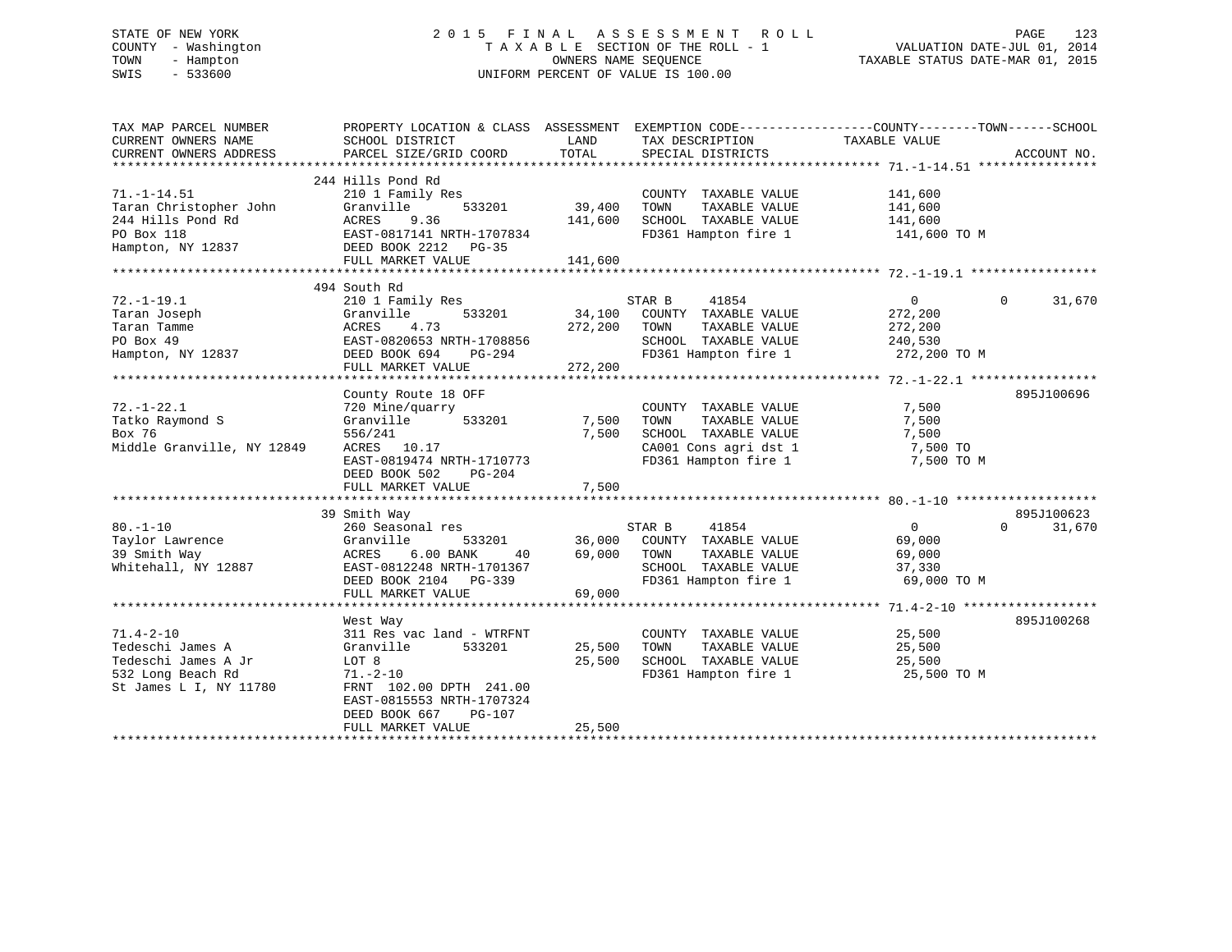# STATE OF NEW YORK 2 0 1 5 F I N A L A S S E S S M E N T R O L L PAGE 123 COUNTY - Washington T A X A B L E SECTION OF THE ROLL - 1 VALUATION DATE-JUL 01, 2014 TOWN - Hampton OWNERS NAME SEQUENCE TAXABLE STATUS DATE-MAR 01, 2015 SWIS - 533600 UNIFORM PERCENT OF VALUE IS 100.00

| TAX MAP PARCEL NUMBER<br>CURRENT OWNERS NAME<br>CURRENT OWNERS ADDRESS | PROPERTY LOCATION & CLASS ASSESSMENT<br>SCHOOL DISTRICT<br>PARCEL SIZE/GRID COORD | LAND<br>TOTAL | TAX DESCRIPTION<br>SPECIAL DISTRICTS | EXEMPTION CODE-----------------COUNTY-------TOWN------SCHOOL<br>TAXABLE VALUE | ACCOUNT NO. |
|------------------------------------------------------------------------|-----------------------------------------------------------------------------------|---------------|--------------------------------------|-------------------------------------------------------------------------------|-------------|
|                                                                        |                                                                                   |               |                                      |                                                                               |             |
| $71. - 1 - 14.51$                                                      | 244 Hills Pond Rd                                                                 |               | COUNTY TAXABLE VALUE                 |                                                                               |             |
| Taran Christopher John                                                 | 210 1 Family Res<br>Granville<br>533201                                           | 39,400        | TAXABLE VALUE<br>TOWN                | 141,600                                                                       |             |
| 244 Hills Pond Rd                                                      | ACRES<br>9.36                                                                     | 141,600       | SCHOOL TAXABLE VALUE                 | 141,600<br>141,600                                                            |             |
| PO Box 118                                                             | EAST-0817141 NRTH-1707834                                                         |               | FD361 Hampton fire 1                 | 141,600 TO M                                                                  |             |
| Hampton, NY 12837                                                      |                                                                                   |               |                                      |                                                                               |             |
|                                                                        | DEED BOOK 2212 PG-35<br>FULL MARKET VALUE                                         | 141,600       |                                      |                                                                               |             |
|                                                                        |                                                                                   |               |                                      |                                                                               |             |
|                                                                        | 494 South Rd                                                                      |               |                                      |                                                                               |             |
| $72. - 1 - 19.1$                                                       | 210 1 Family Res                                                                  |               | STAR B<br>41854                      | $\overline{0}$<br>$\Omega$                                                    | 31,670      |
| Taran Joseph                                                           | Granville<br>533201                                                               | 34,100        | COUNTY TAXABLE VALUE                 | 272,200                                                                       |             |
| Taran Tamme                                                            | ACRES<br>4.73                                                                     | 272,200       | TAXABLE VALUE<br>TOWN                | 272,200                                                                       |             |
| PO Box 49                                                              | EAST-0820653 NRTH-1708856                                                         |               | SCHOOL TAXABLE VALUE                 | 240,530                                                                       |             |
| Hampton, NY 12837                                                      | DEED BOOK 694<br>PG-294                                                           |               | FD361 Hampton fire 1                 | 272,200 TO M                                                                  |             |
|                                                                        | FULL MARKET VALUE                                                                 | 272,200       |                                      |                                                                               |             |
|                                                                        |                                                                                   |               |                                      |                                                                               |             |
|                                                                        | County Route 18 OFF                                                               |               |                                      |                                                                               | 895J100696  |
| $72. - 1 - 22.1$                                                       | 720 Mine/quarry                                                                   |               | COUNTY TAXABLE VALUE                 | 7,500                                                                         |             |
| Tatko Raymond S                                                        | 533201                                                                            | 7,500         | TOWN<br>TAXABLE VALUE                | 7,500                                                                         |             |
| Box 76                                                                 | Granville                                                                         | 7,500         | SCHOOL TAXABLE VALUE                 |                                                                               |             |
| Middle Granville, NY 12849                                             | 556/241<br>ACRES<br>10.17                                                         |               | CA001 Cons agri dst 1                | 7,500<br>7,500 TO                                                             |             |
|                                                                        | EAST-0819474 NRTH-1710773                                                         |               | FD361 Hampton fire 1                 | 7,500 TO M                                                                    |             |
|                                                                        |                                                                                   |               |                                      |                                                                               |             |
|                                                                        | DEED BOOK 502<br>$PG-204$                                                         | 7,500         |                                      |                                                                               |             |
|                                                                        | FULL MARKET VALUE                                                                 |               |                                      |                                                                               |             |
|                                                                        |                                                                                   |               |                                      |                                                                               | 895J100623  |
| $80. - 1 - 10$                                                         | 39 Smith Way                                                                      |               | 41854                                | $\overline{0}$<br>$\Omega$                                                    |             |
|                                                                        | 260 Seasonal res                                                                  | 36,000        | STAR B                               | 69,000                                                                        | 31,670      |
| Taylor Lawrence                                                        | Granville<br>533201                                                               |               | COUNTY TAXABLE VALUE                 |                                                                               |             |
| 39 Smith Way                                                           | 6.00 BANK<br>ACRES<br>40                                                          | 69,000        | TOWN<br>TAXABLE VALUE                | 69,000                                                                        |             |
| Whitehall, NY 12887                                                    | EAST-0812248 NRTH-1701367                                                         |               | SCHOOL TAXABLE VALUE                 | 37,330                                                                        |             |
|                                                                        | DEED BOOK 2104 PG-339                                                             |               | FD361 Hampton fire 1                 | 69,000 TO M                                                                   |             |
|                                                                        | FULL MARKET VALUE                                                                 | 69,000        |                                      |                                                                               |             |
|                                                                        |                                                                                   |               |                                      |                                                                               |             |
|                                                                        | West Way                                                                          |               |                                      |                                                                               | 895J100268  |
| $71.4 - 2 - 10$                                                        | 311 Res vac land - WTRFNT                                                         |               | COUNTY TAXABLE VALUE                 | 25,500                                                                        |             |
| Tedeschi James A                                                       | Granville<br>533201                                                               | 25,500        | TOWN<br>TAXABLE VALUE                | 25,500                                                                        |             |
| Tedeschi James A Jr                                                    | LOT 8                                                                             | 25,500        | SCHOOL TAXABLE VALUE                 | 25,500                                                                        |             |
| 532 Long Beach Rd                                                      | $71. - 2 - 10$                                                                    |               | FD361 Hampton fire 1                 | 25,500 TO M                                                                   |             |
| St James L I, NY 11780                                                 | FRNT 102.00 DPTH 241.00                                                           |               |                                      |                                                                               |             |
|                                                                        | EAST-0815553 NRTH-1707324                                                         |               |                                      |                                                                               |             |
|                                                                        | DEED BOOK 667<br>PG-107                                                           |               |                                      |                                                                               |             |
|                                                                        | FULL MARKET VALUE                                                                 | 25,500        |                                      |                                                                               |             |
|                                                                        |                                                                                   |               |                                      |                                                                               |             |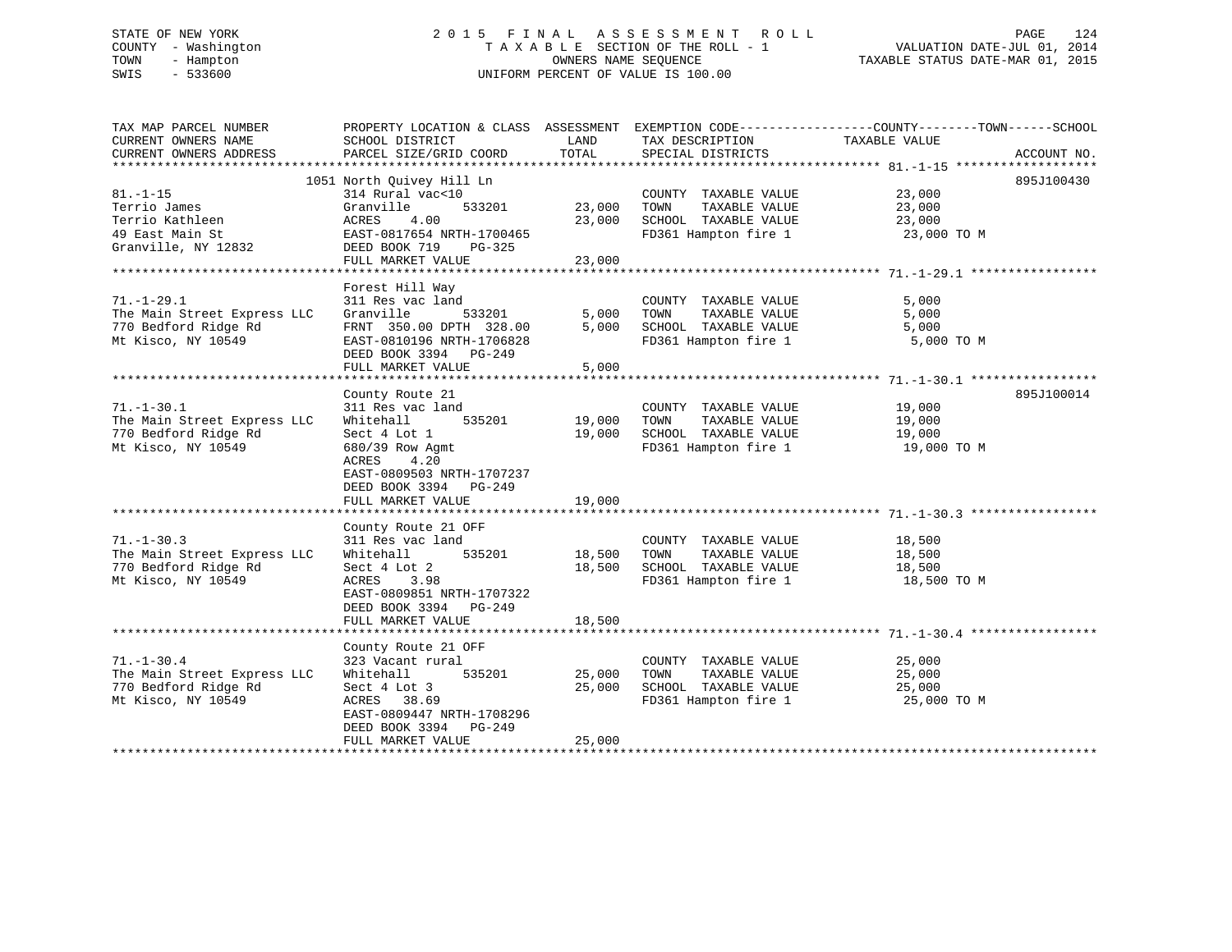# STATE OF NEW YORK 2 0 1 5 F I N A L A S S E S S M E N T R O L L PAGE 124 COUNTY - Washington T A X A B L E SECTION OF THE ROLL - 1 VALUATION DATE-JUL 01, 2014 TOWN - Hampton OWNERS NAME SEQUENCE TAXABLE STATUS DATE-MAR 01, 2015 SWIS - 533600 UNIFORM PERCENT OF VALUE IS 100.00

TAX MAP PARCEL NUMBER PROPERTY LOCATION & CLASS ASSESSMENT EXEMPTION CODE------------------COUNTY--------TOWN------SCHOOL CURRENT OWNERS NAME SCHOOL DISTRICT LAND TAX DESCRIPTION TAXABLE VALUECURRENT OWNERS ADDRESS PARCEL SIZE/GRID COORD TOTAL SPECIAL DISTRICTS ACCOUNT NO. \*\*\*\*\*\*\*\*\*\*\*\*\*\*\*\*\*\*\*\*\*\*\*\*\*\*\*\*\*\*\*\*\*\*\*\*\*\*\*\*\*\*\*\*\*\*\*\*\*\*\*\*\*\*\*\*\*\*\*\*\*\*\*\*\*\*\*\*\*\*\*\*\*\*\*\*\*\*\*\*\*\*\*\*\*\*\*\*\*\*\*\*\*\*\*\*\*\*\*\*\*\*\* 81.-1-15 \*\*\*\*\*\*\*\*\*\*\*\*\*\*\*\*\*\*\* 1051 North Quivey Hill Ln 895J100430 81.-1-15 314 Rural vac<10 COUNTY TAXABLE VALUE 23,000 Terrio James Granville 533201 23,000 TOWN TAXABLE VALUE 23,000 Terrio Kathleen ACRES 4.00 23,000 SCHOOL TAXABLE VALUE 23,000 49 East Main St EAST-0817654 NRTH-1700465 FD361 Hampton fire 1 23,000 TO M Granville, NY 12832 DEED BOOK 719 PG-325 FULL MARKET VALUE 23,000 \*\*\*\*\*\*\*\*\*\*\*\*\*\*\*\*\*\*\*\*\*\*\*\*\*\*\*\*\*\*\*\*\*\*\*\*\*\*\*\*\*\*\*\*\*\*\*\*\*\*\*\*\*\*\*\*\*\*\*\*\*\*\*\*\*\*\*\*\*\*\*\*\*\*\*\*\*\*\*\*\*\*\*\*\*\*\*\*\*\*\*\*\*\*\*\*\*\*\*\*\*\*\* 71.-1-29.1 \*\*\*\*\*\*\*\*\*\*\*\*\*\*\*\*\* Forest Hill Way 71.-1-29.1 311 Res vac land COUNTY TAXABLE VALUE 5,000 The Main Street Express LLC Granville 533201 5,000 TOWN TAXABLE VALUE 5,000 770 Bedford Ridge Rd FRNT 350.00 DPTH 328.00 5,000 SCHOOL TAXABLE VALUE 5,000 Mt Kisco, NY 10549 EAST-0810196 NRTH-1706828 FD361 Hampton fire 1 5,000 TO M DEED BOOK 3394 PG-249

FULL MARKET VALUE 5,000 \*\*\*\*\*\*\*\*\*\*\*\*\*\*\*\*\*\*\*\*\*\*\*\*\*\*\*\*\*\*\*\*\*\*\*\*\*\*\*\*\*\*\*\*\*\*\*\*\*\*\*\*\*\*\*\*\*\*\*\*\*\*\*\*\*\*\*\*\*\*\*\*\*\*\*\*\*\*\*\*\*\*\*\*\*\*\*\*\*\*\*\*\*\*\*\*\*\*\*\*\*\*\* 71.-1-30.1 \*\*\*\*\*\*\*\*\*\*\*\*\*\*\*\*\*895J100014 County Route 21<br>311 Res vac land and the COUNTY TAXABLE VALUE 201001 71.-1-30.1 311 Res vac land COUNTY TAXABLE VALUE 19,000 The Main Street Express LLC Whitehall 535201 19,000 TOWN TAXABLE VALUE 19,000 770 Bedford Ridge Rd Sect 4 Lot 1 19,000 SCHOOL TAXABLE VALUE 19,000 Mt Kisco, NY 10549 680/39 Row Agmt FD361 Hampton fire 1 19,000 TO M ACRES 4.20 EAST-0809503 NRTH-1707237 DEED BOOK 3394 PG-249 FULL MARKET VALUE 19,000 \*\*\*\*\*\*\*\*\*\*\*\*\*\*\*\*\*\*\*\*\*\*\*\*\*\*\*\*\*\*\*\*\*\*\*\*\*\*\*\*\*\*\*\*\*\*\*\*\*\*\*\*\*\*\*\*\*\*\*\*\*\*\*\*\*\*\*\*\*\*\*\*\*\*\*\*\*\*\*\*\*\*\*\*\*\*\*\*\*\*\*\*\*\*\*\*\*\*\*\*\*\*\* 71.-1-30.3 \*\*\*\*\*\*\*\*\*\*\*\*\*\*\*\*\* County Route 21 OFF 71.-1-30.3 311 Res vac land COUNTY TAXABLE VALUE 18,500 The Main Street Express LLC Whitehall 535201 18,500 TOWN TAXABLE VALUE 18,500 770 Bedford Ridge Rd Sect 4 Lot 2 18,500 SCHOOL TAXABLE VALUE 18,500 Mt Kisco, NY 10549 ACRES 3.98 FD361 Hampton fire 1 18,500 TO M EAST-0809851 NRTH-1707322 DEED BOOK 3394 PG-249 FULL MARKET VALUE 18,500 \*\*\*\*\*\*\*\*\*\*\*\*\*\*\*\*\*\*\*\*\*\*\*\*\*\*\*\*\*\*\*\*\*\*\*\*\*\*\*\*\*\*\*\*\*\*\*\*\*\*\*\*\*\*\*\*\*\*\*\*\*\*\*\*\*\*\*\*\*\*\*\*\*\*\*\*\*\*\*\*\*\*\*\*\*\*\*\*\*\*\*\*\*\*\*\*\*\*\*\*\*\*\* 71.-1-30.4 \*\*\*\*\*\*\*\*\*\*\*\*\*\*\*\*\*

|                             | County Route 21 OFF       |        |                         |             |
|-----------------------------|---------------------------|--------|-------------------------|-------------|
| $71. - 1 - 30.4$            | 323 Vacant rural          |        | TAXABLE VALUE<br>COUNTY | 25,000      |
| The Main Street Express LLC | Whitehall<br>535201       | 25,000 | TOWN<br>TAXABLE VALUE   | 25,000      |
| 770 Bedford Ridge Rd        | Sect 4 Lot 3              | 25,000 | TAXABLE VALUE<br>SCHOOL | 25,000      |
| Mt Kisco, NY 10549          | 38.69<br>ACRES            |        | FD361 Hampton fire 1    | 25,000 TO M |
|                             | EAST-0809447 NRTH-1708296 |        |                         |             |
|                             | DEED BOOK 3394<br>PG-249  |        |                         |             |
|                             | FULL MARKET VALUE         | 25,000 |                         |             |
|                             |                           |        |                         |             |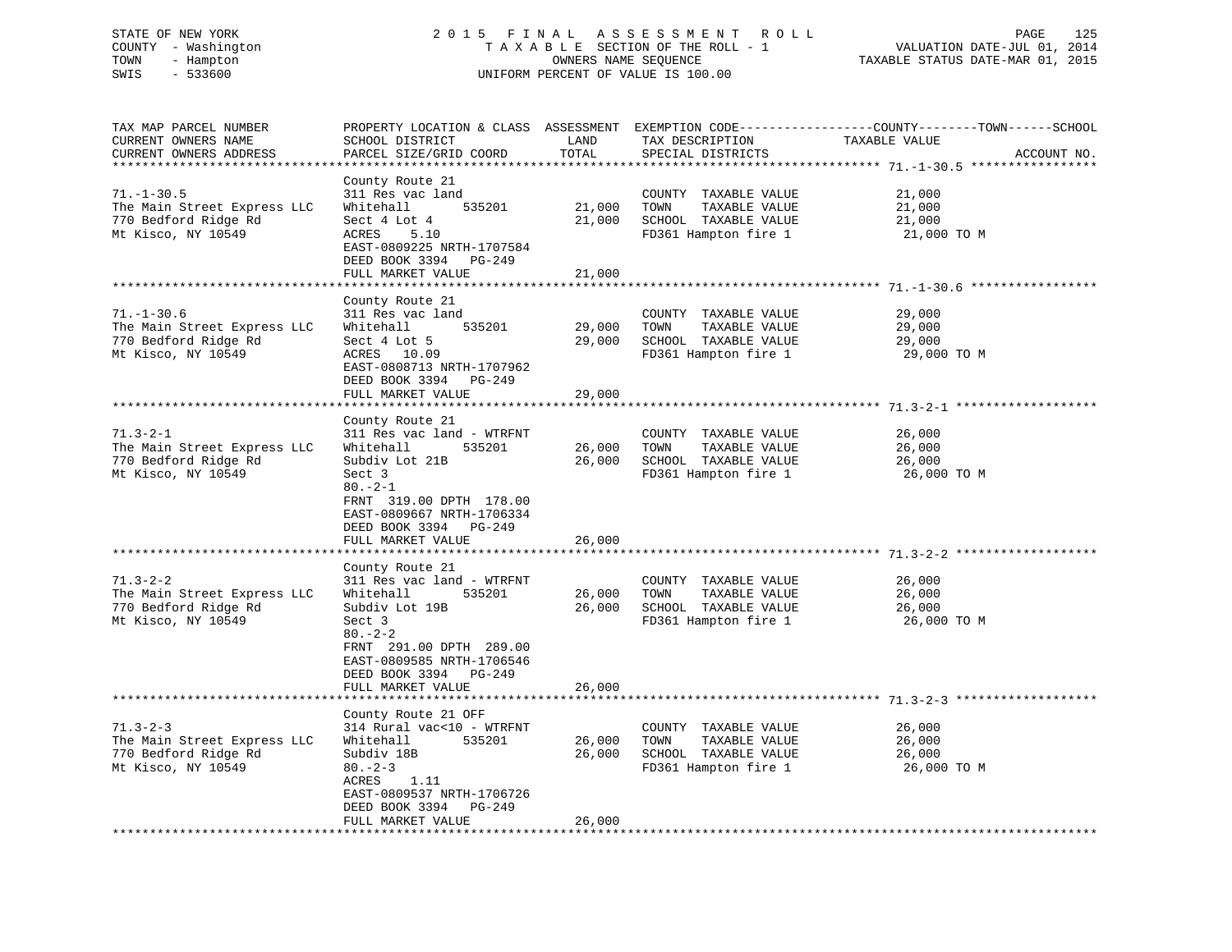# STATE OF NEW YORK 2 0 1 5 F I N A L A S S E S S M E N T R O L L PAGE 125 COUNTY - Washington T A X A B L E SECTION OF THE ROLL - 1 VALUATION DATE-JUL 01, 2014 TOWN - Hampton OWNERS NAME SEQUENCE TAXABLE STATUS DATE-MAR 01, 2015 SWIS - 533600 UNIFORM PERCENT OF VALUE IS 100.00

| TAX MAP PARCEL NUMBER<br>CURRENT OWNERS NAME<br>CURRENT OWNERS ADDRESS                        | SCHOOL DISTRICT<br>PARCEL SIZE/GRID COORD                                                                                                                                                                                | LAND<br>TOTAL              | TAX DESCRIPTION<br>SPECIAL DISTRICTS                                                          | PROPERTY LOCATION & CLASS ASSESSMENT EXEMPTION CODE----------------COUNTY-------TOWN------SCHOOL<br>TAXABLE VALUE<br>ACCOUNT NO. |
|-----------------------------------------------------------------------------------------------|--------------------------------------------------------------------------------------------------------------------------------------------------------------------------------------------------------------------------|----------------------------|-----------------------------------------------------------------------------------------------|----------------------------------------------------------------------------------------------------------------------------------|
| $71. - 1 - 30.5$<br>The Main Street Express LLC<br>770 Bedford Ridge Rd<br>Mt Kisco, NY 10549 | County Route 21<br>311 Res vac land<br>535201<br>Whitehall<br>Sect 4 Lot 4<br>ACRES<br>5.10<br>EAST-0809225 NRTH-1707584<br>DEED BOOK 3394 PG-249<br>FULL MARKET VALUE                                                   | 21,000<br>21,000<br>21,000 | COUNTY TAXABLE VALUE<br>TOWN<br>TAXABLE VALUE<br>SCHOOL TAXABLE VALUE<br>FD361 Hampton fire 1 | 21,000<br>21,000<br>21,000<br>21,000 TO M                                                                                        |
|                                                                                               |                                                                                                                                                                                                                          |                            |                                                                                               |                                                                                                                                  |
| $71. - 1 - 30.6$<br>The Main Street Express LLC<br>770 Bedford Ridge Rd<br>Mt Kisco, NY 10549 | County Route 21<br>311 Res vac land<br>Whitehall<br>535201<br>Sect 4 Lot 5<br>ACRES 10.09<br>EAST-0808713 NRTH-1707962<br>DEED BOOK 3394 PG-249                                                                          | 29,000<br>29,000           | COUNTY TAXABLE VALUE<br>TOWN<br>TAXABLE VALUE<br>SCHOOL TAXABLE VALUE<br>FD361 Hampton fire 1 | 29,000<br>29,000<br>29,000<br>29,000 TO M                                                                                        |
|                                                                                               | FULL MARKET VALUE                                                                                                                                                                                                        | 29,000                     |                                                                                               |                                                                                                                                  |
| $71.3 - 2 - 1$<br>The Main Street Express LLC<br>770 Bedford Ridge Rd<br>Mt Kisco, NY 10549   | County Route 21<br>311 Res vac land - WTRFNT<br>Whitehall<br>535201<br>Subdiv Lot 21B<br>Sect 3<br>$80. -2 - 1$<br>FRNT 319.00 DPTH 178.00<br>EAST-0809667 NRTH-1706334<br>DEED BOOK 3394 PG-249<br>FULL MARKET VALUE    | 26,000<br>26,000<br>26,000 | COUNTY TAXABLE VALUE<br>TOWN<br>TAXABLE VALUE<br>SCHOOL TAXABLE VALUE<br>FD361 Hampton fire 1 | 26,000<br>26,000<br>26,000<br>26,000 TO M                                                                                        |
|                                                                                               | County Route 21                                                                                                                                                                                                          |                            |                                                                                               |                                                                                                                                  |
| $71.3 - 2 - 2$<br>The Main Street Express LLC<br>770 Bedford Ridge Rd<br>Mt Kisco, NY 10549   | 311 Res vac land - WTRFNT<br>Whitehall<br>535201<br>Subdiv Lot 19B<br>Sect 3<br>$80 - 2 - 2$<br>FRNT 291.00 DPTH 289.00<br>EAST-0809585 NRTH-1706546<br>DEED BOOK 3394 PG-249                                            | 26,000<br>26,000           | COUNTY TAXABLE VALUE<br>TOWN<br>TAXABLE VALUE<br>SCHOOL TAXABLE VALUE<br>FD361 Hampton fire 1 | 26,000<br>26,000<br>26,000<br>26,000 TO M                                                                                        |
|                                                                                               | FULL MARKET VALUE                                                                                                                                                                                                        | 26,000                     |                                                                                               |                                                                                                                                  |
| $71.3 - 2 - 3$<br>The Main Street Express LLC<br>770 Bedford Ridge Rd<br>Mt Kisco, NY 10549   | *******************<br>County Route 21 OFF<br>314 Rural vac<10 - WTRFNT<br>Whitehall<br>535201<br>Subdiv 18B<br>$80 - 2 - 3$<br>ACRES<br>1.11<br>EAST-0809537 NRTH-1706726<br>DEED BOOK 3394 PG-249<br>FULL MARKET VALUE | 26,000<br>26,000<br>26,000 | COUNTY TAXABLE VALUE<br>TOWN<br>TAXABLE VALUE<br>SCHOOL TAXABLE VALUE<br>FD361 Hampton fire 1 | ****************************** 71.3-2-3 *****<br>26,000<br>26,000<br>26,000<br>26,000 TO M                                       |
|                                                                                               |                                                                                                                                                                                                                          |                            |                                                                                               |                                                                                                                                  |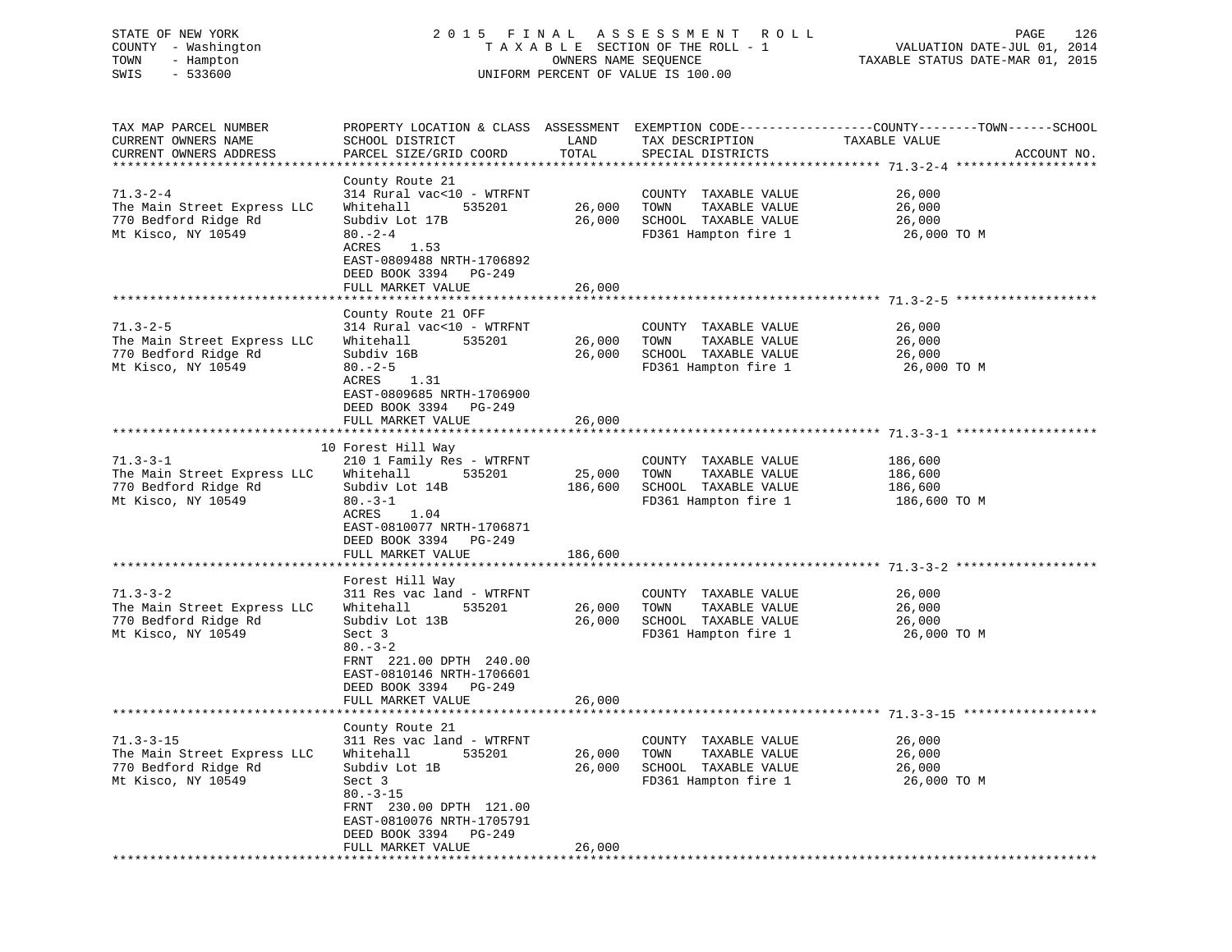# STATE OF NEW YORK 2 0 1 5 F I N A L A S S E S S M E N T R O L L PAGE 126 COUNTY - Washington T A X A B L E SECTION OF THE ROLL - 1 VALUATION DATE-JUL 01, 2014 TOWN - Hampton OWNERS NAME SEQUENCE TAXABLE STATUS DATE-MAR 01, 2015 SWIS - 533600 UNIFORM PERCENT OF VALUE IS 100.00

| TAX MAP PARCEL NUMBER<br>CURRENT OWNERS NAME<br>CURRENT OWNERS ADDRESS                       | SCHOOL DISTRICT<br>PARCEL SIZE/GRID COORD                                                                                                                                                            | LAND<br>TOTAL                | TAX DESCRIPTION<br>SPECIAL DISTRICTS                                                          | PROPERTY LOCATION & CLASS ASSESSMENT EXEMPTION CODE----------------COUNTY-------TOWN-----SCHOOL<br>TAXABLE VALUE<br>ACCOUNT NO. |
|----------------------------------------------------------------------------------------------|------------------------------------------------------------------------------------------------------------------------------------------------------------------------------------------------------|------------------------------|-----------------------------------------------------------------------------------------------|---------------------------------------------------------------------------------------------------------------------------------|
| $71.3 - 2 - 4$<br>The Main Street Express LLC<br>770 Bedford Ridge Rd<br>Mt Kisco, NY 10549  | County Route 21<br>314 Rural vac<10 - WTRFNT<br>Whitehall<br>535201<br>Subdiv Lot 17B<br>$80 - 2 - 4$<br>ACRES<br>1.53<br>EAST-0809488 NRTH-1706892<br>DEED BOOK 3394 PG-249<br>FULL MARKET VALUE    | 26,000<br>26,000<br>26,000   | COUNTY TAXABLE VALUE<br>TOWN<br>TAXABLE VALUE<br>SCHOOL TAXABLE VALUE<br>FD361 Hampton fire 1 | 26,000<br>26,000<br>26,000<br>26,000 TO M                                                                                       |
|                                                                                              |                                                                                                                                                                                                      |                              |                                                                                               | **************************************571.3-2-5*********************************                                                |
| $71.3 - 2 - 5$<br>The Main Street Express LLC<br>770 Bedford Ridge Rd<br>Mt Kisco, NY 10549  | County Route 21 OFF<br>314 Rural vac<10 - WTRFNT<br>535201<br>Whitehall<br>Subdiv 16B<br>$80 - 2 - 5$<br>ACRES<br>1.31<br>EAST-0809685 NRTH-1706900<br>DEED BOOK 3394 PG-249                         | 26,000<br>26,000             | COUNTY TAXABLE VALUE<br>TAXABLE VALUE<br>TOWN<br>SCHOOL TAXABLE VALUE<br>FD361 Hampton fire 1 | 26,000<br>26,000<br>26,000<br>26,000 TO M                                                                                       |
|                                                                                              | FULL MARKET VALUE                                                                                                                                                                                    | 26,000                       |                                                                                               |                                                                                                                                 |
|                                                                                              |                                                                                                                                                                                                      |                              |                                                                                               |                                                                                                                                 |
| $71.3 - 3 - 1$<br>The Main Street Express LLC<br>770 Bedford Ridge Rd<br>Mt Kisco, NY 10549  | 10 Forest Hill Way<br>210 1 Family Res - WTRFNT<br>Whitehall<br>535201<br>Subdiv Lot 14B<br>$80 - 3 - 1$<br>ACRES<br>1.04<br>EAST-0810077 NRTH-1706871<br>DEED BOOK 3394 PG-249<br>FULL MARKET VALUE | 25,000<br>186,600<br>186,600 | COUNTY TAXABLE VALUE<br>TOWN<br>TAXABLE VALUE<br>SCHOOL TAXABLE VALUE<br>FD361 Hampton fire 1 | 186,600<br>186,600<br>186,600<br>186,600 ТО М                                                                                   |
|                                                                                              |                                                                                                                                                                                                      |                              |                                                                                               |                                                                                                                                 |
| $71.3 - 3 - 2$<br>The Main Street Express LLC<br>770 Bedford Ridge Rd<br>Mt Kisco, NY 10549  | Forest Hill Way<br>311 Res vac land - WTRFNT<br>Whitehall<br>535201<br>Subdiv Lot 13B<br>Sect 3<br>$80 - 3 - 2$<br>FRNT 221.00 DPTH 240.00<br>EAST-0810146 NRTH-1706601<br>DEED BOOK 3394 PG-249     | 26,000<br>26,000             | COUNTY TAXABLE VALUE<br>TOWN<br>TAXABLE VALUE<br>SCHOOL TAXABLE VALUE<br>FD361 Hampton fire 1 | 26,000<br>26,000<br>26,000<br>26,000 TO M                                                                                       |
|                                                                                              | FULL MARKET VALUE                                                                                                                                                                                    | 26,000                       |                                                                                               |                                                                                                                                 |
|                                                                                              |                                                                                                                                                                                                      |                              |                                                                                               |                                                                                                                                 |
| $71.3 - 3 - 15$<br>The Main Street Express LLC<br>770 Bedford Ridge Rd<br>Mt Kisco, NY 10549 | County Route 21<br>311 Res vac land - WTRFNT<br>Whitehall<br>535201<br>Subdiv Lot 1B<br>Sect 3<br>$80. - 3 - 15$<br>FRNT 230.00 DPTH 121.00<br>EAST-0810076 NRTH-1705791<br>DEED BOOK 3394 PG-249    | 26,000<br>26,000             | COUNTY TAXABLE VALUE<br>TOWN<br>TAXABLE VALUE<br>SCHOOL TAXABLE VALUE<br>FD361 Hampton fire 1 | 26,000<br>26,000<br>26,000<br>26,000 TO M                                                                                       |
|                                                                                              | FULL MARKET VALUE<br>* * * * * * * * * * * * * * * * * * * *                                                                                                                                         | 26,000                       |                                                                                               |                                                                                                                                 |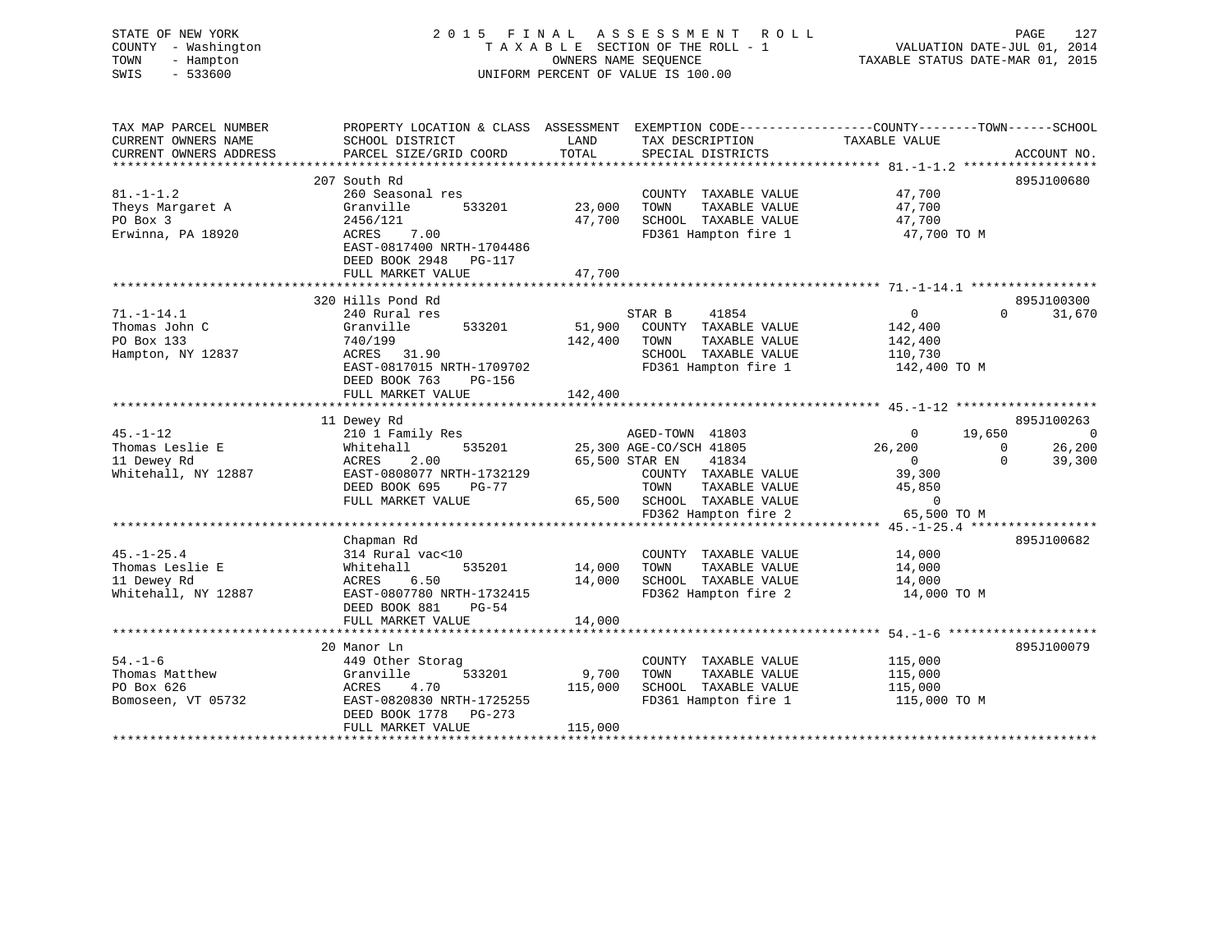| STATE OF NEW YORK<br>COUNTY - Washington<br>- Hampton<br>TOWN<br>$-533600$<br>SWIS |                                                                                                 |              | 2015 FINAL ASSESSMENT ROLL<br>TAXABLE SECTION OF THE ROLL - 1<br>OWNERS NAME SEOUENCE<br>UNIFORM PERCENT OF VALUE IS 100.00 | VALUATION DATE-JUL 01, 2014<br>TAXABLE STATUS DATE-MAR 01, 2015 | PAGE<br>127                          |
|------------------------------------------------------------------------------------|-------------------------------------------------------------------------------------------------|--------------|-----------------------------------------------------------------------------------------------------------------------------|-----------------------------------------------------------------|--------------------------------------|
| TAX MAP PARCEL NUMBER                                                              | PROPERTY LOCATION & CLASS ASSESSMENT EXEMPTION CODE----------------COUNTY-------TOWN-----SCHOOL | LAND         |                                                                                                                             |                                                                 |                                      |
| CURRENT OWNERS NAME<br>CURRENT OWNERS ADDRESS                                      | SCHOOL DISTRICT<br>PARCEL SIZE/GRID COORD                                                       | TOTAL        | TAX DESCRIPTION<br>SPECIAL DISTRICTS                                                                                        | TAXABLE VALUE                                                   | ACCOUNT NO.                          |
|                                                                                    |                                                                                                 |              |                                                                                                                             |                                                                 |                                      |
|                                                                                    | 207 South Rd                                                                                    |              |                                                                                                                             |                                                                 | 895J100680                           |
| $81. - 1 - 1.2$                                                                    | 260 Seasonal res                                                                                |              | COUNTY TAXABLE VALUE                                                                                                        | 47,700                                                          |                                      |
| Theys Margaret A                                                                   | Granville<br>533201                                                                             | 23,000       | TOWN<br>TAXABLE VALUE                                                                                                       | 47,700                                                          |                                      |
| PO Box 3                                                                           | 2456/121                                                                                        | 47,700       | SCHOOL TAXABLE VALUE                                                                                                        | 47,700                                                          |                                      |
| Erwinna, PA 18920                                                                  | ACRES<br>7.00                                                                                   |              | FD361 Hampton fire 1                                                                                                        | 47,700 TO M                                                     |                                      |
|                                                                                    | EAST-0817400 NRTH-1704486                                                                       |              |                                                                                                                             |                                                                 |                                      |
|                                                                                    | DEED BOOK 2948 PG-117<br>FULL MARKET VALUE                                                      | 47,700       |                                                                                                                             |                                                                 |                                      |
|                                                                                    |                                                                                                 |              |                                                                                                                             |                                                                 |                                      |
|                                                                                    | 320 Hills Pond Rd                                                                               |              |                                                                                                                             |                                                                 | 895J100300                           |
| $71. - 1 - 14.1$                                                                   | 240 Rural res                                                                                   |              | STAR B<br>41854                                                                                                             | 0                                                               | 31,670<br>$\Omega$                   |
| Thomas John C                                                                      | Granville<br>533201                                                                             | 51,900       | COUNTY TAXABLE VALUE                                                                                                        | 142,400                                                         |                                      |
| PO Box 133                                                                         | 740/199                                                                                         | 142,400      | TOWN<br>TAXABLE VALUE                                                                                                       | 142,400                                                         |                                      |
| Hampton, NY 12837                                                                  | ACRES 31.90                                                                                     |              | SCHOOL TAXABLE VALUE                                                                                                        | 110,730                                                         |                                      |
|                                                                                    | EAST-0817015 NRTH-1709702                                                                       |              | FD361 Hampton fire 1                                                                                                        | 142,400 TO M                                                    |                                      |
|                                                                                    | DEED BOOK 763<br>PG-156                                                                         |              |                                                                                                                             |                                                                 |                                      |
|                                                                                    | FULL MARKET VALUE                                                                               | 142,400      |                                                                                                                             |                                                                 |                                      |
|                                                                                    |                                                                                                 |              |                                                                                                                             |                                                                 |                                      |
| $45. - 1 - 12$                                                                     | 11 Dewey Rd                                                                                     |              |                                                                                                                             | $\Omega$                                                        | 895J100263                           |
| Thomas Leslie E                                                                    | 210 1 Family Res<br>535201<br>Whitehall                                                         |              | AGED-TOWN 41803<br>25,300 AGE-CO/SCH 41805                                                                                  | 19,650<br>26,200                                                | $\overline{0}$<br>26,200<br>$\Omega$ |
| 11 Dewey Rd                                                                        | ACRES<br>2.00                                                                                   |              | 65,500 STAR EN<br>41834                                                                                                     | $\overline{0}$                                                  | $\Omega$<br>39,300                   |
| Whitehall, NY 12887                                                                | EAST-0808077 NRTH-1732129                                                                       |              | COUNTY TAXABLE VALUE                                                                                                        | 39,300                                                          |                                      |
|                                                                                    | DEED BOOK 695 PG-77                                                                             |              | TOWN<br>TAXABLE VALUE                                                                                                       | 45,850                                                          |                                      |
|                                                                                    | FULL MARKET VALUE                                                                               |              | 65,500 SCHOOL TAXABLE VALUE                                                                                                 | $\overline{0}$                                                  |                                      |
|                                                                                    |                                                                                                 |              | FD362 Hampton fire 2                                                                                                        | 65,500 TO M                                                     |                                      |
|                                                                                    |                                                                                                 |              |                                                                                                                             |                                                                 |                                      |
|                                                                                    | Chapman Rd                                                                                      |              |                                                                                                                             |                                                                 | 895J100682                           |
| $45. - 1 - 25.4$                                                                   | 314 Rural vac<10                                                                                |              | COUNTY TAXABLE VALUE                                                                                                        | 14,000                                                          |                                      |
| Thomas Leslie E                                                                    | Whitehall<br>535201                                                                             | 14,000       | TOWN<br>TAXABLE VALUE                                                                                                       | 14,000                                                          |                                      |
| 11 Dewey Rd                                                                        | ACRES<br>6.50                                                                                   | 14,000       | SCHOOL TAXABLE VALUE                                                                                                        | 14,000                                                          |                                      |
| Whitehall, NY 12887                                                                | EAST-0807780 NRTH-1732415                                                                       |              | FD362 Hampton fire 2                                                                                                        | 14,000 TO M                                                     |                                      |
|                                                                                    | DEED BOOK 881<br>PG-54<br>FULL MARKET VALUE                                                     | 14,000       |                                                                                                                             |                                                                 |                                      |
|                                                                                    | ***************************                                                                     | ************ |                                                                                                                             |                                                                 |                                      |
|                                                                                    | 20 Manor Ln                                                                                     |              |                                                                                                                             |                                                                 | 895J100079                           |
| $54. - 1 - 6$                                                                      | 449 Other Storag                                                                                |              | COUNTY TAXABLE VALUE                                                                                                        | 115,000                                                         |                                      |
| Thomas Matthew                                                                     | Granville<br>533201                                                                             | 9,700        | TAXABLE VALUE<br>TOWN                                                                                                       | 115,000                                                         |                                      |
| PO Box 626                                                                         | ACRES<br>4.70                                                                                   | 115,000      | SCHOOL TAXABLE VALUE                                                                                                        | 115,000                                                         |                                      |
| Bomoseen, VT 05732                                                                 | EAST-0820830 NRTH-1725255                                                                       |              | FD361 Hampton fire 1                                                                                                        | 115,000 TO M                                                    |                                      |
|                                                                                    | DEED BOOK 1778 PG-273                                                                           |              |                                                                                                                             |                                                                 |                                      |
|                                                                                    | FULL MARKET VALUE                                                                               | 115,000      |                                                                                                                             |                                                                 |                                      |

\*\*\*\*\*\*\*\*\*\*\*\*\*\*\*\*\*\*\*\*\*\*\*\*\*\*\*\*\*\*\*\*\*\*\*\*\*\*\*\*\*\*\*\*\*\*\*\*\*\*\*\*\*\*\*\*\*\*\*\*\*\*\*\*\*\*\*\*\*\*\*\*\*\*\*\*\*\*\*\*\*\*\*\*\*\*\*\*\*\*\*\*\*\*\*\*\*\*\*\*\*\*\*\*\*\*\*\*\*\*\*\*\*\*\*\*\*\*\*\*\*\*\*\*\*\*\*\*\*\*\*\*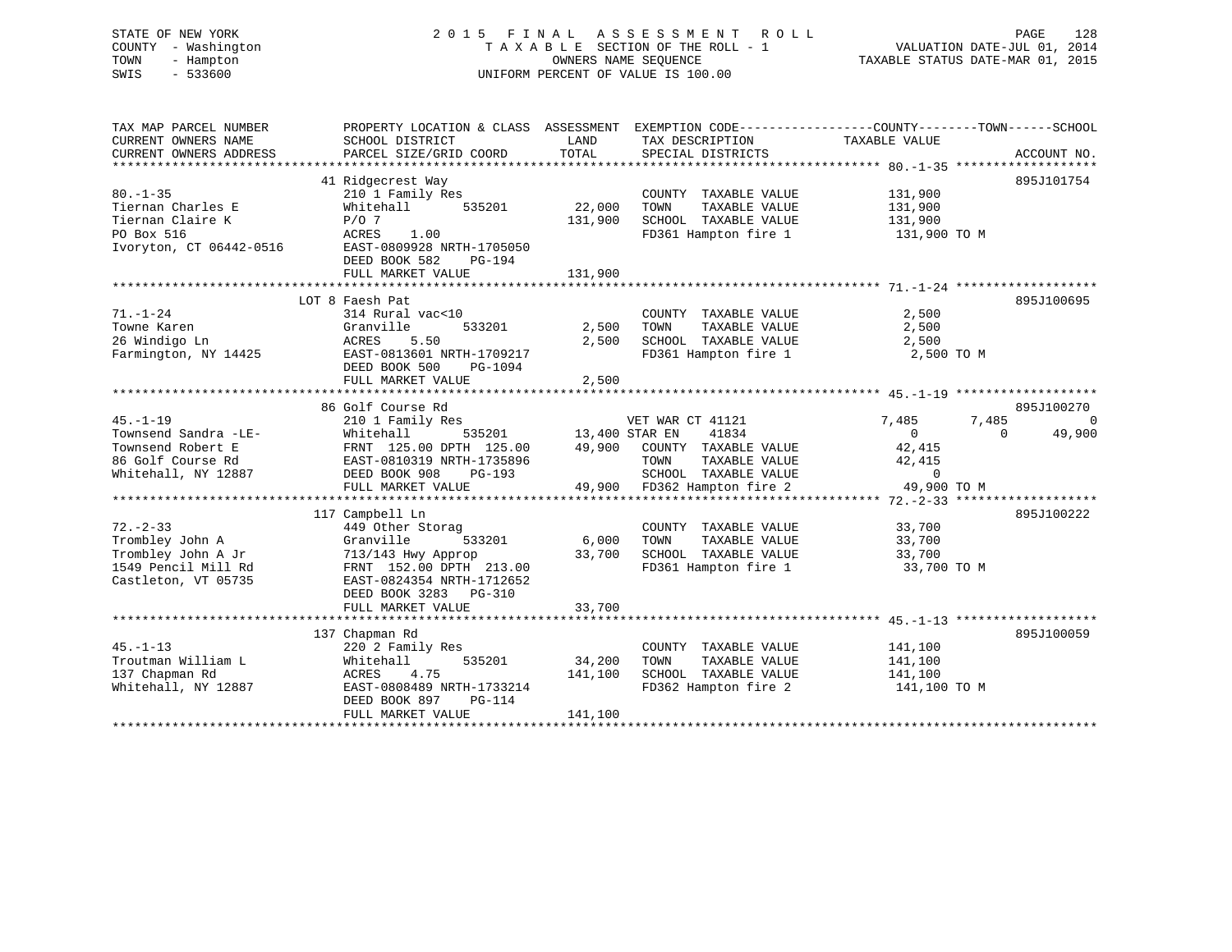#### STATE OF NEW YORK 2 0 1 5 F I N A L A S S E S S M E N T R O L L PAGE 128COUNTY - Washington T A X A B L E SECTION OF THE ROLL - 1 TOWN - Hampton OWNERS NAME SEQUENCE TAXABLE STATUS DATE-MAR 01, 2015 SWIS - 533600 UNIFORM PERCENT OF VALUE IS 100.00

TAX MAP PARCEL NUMBER PROPERTY LOCATION & CLASS ASSESSMENT EXEMPTION CODE------------------COUNTY--------TOWN------SCHOOL

VALUATION DATE-JUL 01, 2014

| CURRENT OWNERS NAME     | SCHOOL DISTRICT                                                                                                                                                                                                                       | LAND    | TAX DESCRIPTION              | TAXABLE VALUE |             |
|-------------------------|---------------------------------------------------------------------------------------------------------------------------------------------------------------------------------------------------------------------------------------|---------|------------------------------|---------------|-------------|
| CURRENT OWNERS ADDRESS  | PARCEL SIZE/GRID COORD                                                                                                                                                                                                                | TOTAL   | SPECIAL DISTRICTS            |               | ACCOUNT NO. |
|                         |                                                                                                                                                                                                                                       |         |                              |               |             |
|                         | 41 Ridgecrest Way                                                                                                                                                                                                                     |         |                              |               | 895J101754  |
| $80. - 1 - 35$          | 210 1 Family Res                                                                                                                                                                                                                      |         | COUNTY TAXABLE VALUE         | 131,900       |             |
| Tiernan Charles E       | 535201<br>Whitehall                                                                                                                                                                                                                   | 22,000  | TAXABLE VALUE<br>TOWN        | 131,900       |             |
| Tiernan Claire K        | $P/O$ 7                                                                                                                                                                                                                               | 131,900 | SCHOOL TAXABLE VALUE         | 131,900       |             |
| PO Box 516              | ACRES 1.00                                                                                                                                                                                                                            |         | FD361 Hampton fire 1         | 131,900 TO M  |             |
| Ivoryton, CT 06442-0516 | EAST-0809928 NRTH-1705050                                                                                                                                                                                                             |         |                              |               |             |
|                         | DEED BOOK 582<br>PG-194                                                                                                                                                                                                               |         |                              |               |             |
|                         | FULL MARKET VALUE                                                                                                                                                                                                                     | 131,900 |                              |               |             |
|                         |                                                                                                                                                                                                                                       |         |                              |               |             |
|                         | LOT 8 Faesh Pat                                                                                                                                                                                                                       |         |                              |               | 895J100695  |
| $71. - 1 - 24$          | 314 Rural vac<10                                                                                                                                                                                                                      |         | COUNTY TAXABLE VALUE         | 2,500         |             |
| Towne Karen             | 533201<br>Granville                                                                                                                                                                                                                   | 2,500   | TAXABLE VALUE<br>TOWN        | 2,500         |             |
| 26 Windigo Ln           | ACRES<br>5.50                                                                                                                                                                                                                         | 2,500   | SCHOOL TAXABLE VALUE 2,500   |               |             |
| Farmington, NY 14425    | EAST-0813601 NRTH-1709217                                                                                                                                                                                                             |         | FD361 Hampton fire 1         | 2,500 TO M    |             |
|                         | DEED BOOK 500<br>PG-1094                                                                                                                                                                                                              |         |                              |               |             |
|                         | FULL MARKET VALUE                                                                                                                                                                                                                     | 2,500   |                              |               |             |
|                         |                                                                                                                                                                                                                                       |         |                              |               |             |
|                         | 86 Golf Course Rd                                                                                                                                                                                                                     |         |                              |               | 895J100270  |
| $45. - 1 - 19$          | 210 1 Family Res                                                                                                                                                                                                                      |         | VET WAR CT 41121             | 7,485         | 7,485<br>C  |
|                         |                                                                                                                                                                                                                                       |         |                              |               |             |
|                         |                                                                                                                                                                                                                                       |         |                              |               |             |
|                         |                                                                                                                                                                                                                                       |         |                              |               |             |
|                         |                                                                                                                                                                                                                                       |         |                              |               |             |
|                         |                                                                                                                                                                                                                                       |         |                              |               |             |
|                         | 19.-1-19<br>Townsend Sandra -LE-<br>Townsend Robert E FRNT 125.00 DPTH 125.00 49,900 COUNTY TAXABLE VALUE 42,415<br>Townsend Robert E FRNT 125.00 DPTH 125.00 49,900 COUNTY TAXABLE VALUE 42,415<br>Whitehall, NY 12887 DEED BOOK 908 |         |                              |               |             |
|                         | 117 Campbell Ln                                                                                                                                                                                                                       |         |                              |               | 895J100222  |
| $72. - 2 - 33$          | 449 Other Storag                                                                                                                                                                                                                      |         | COUNTY TAXABLE VALUE         | 33,700        |             |
| Trombley John A         | 533201 6,000<br>Granville                                                                                                                                                                                                             |         | TOWN<br>TAXABLE VALUE        | 33,700        |             |
| Trombley John A Jr      | 713/143 Hwy Approp                                                                                                                                                                                                                    | 33,700  | SCHOOL TAXABLE VALUE         | 33,700        |             |
| 1549 Pencil Mill Rd     | FRNT 152.00 DPTH 213.00                                                                                                                                                                                                               |         | FD361 Hampton fire 1         | 33,700 TO M   |             |
| Castleton, VT 05735     | EAST-0824354 NRTH-1712652                                                                                                                                                                                                             |         |                              |               |             |
|                         | DEED BOOK 3283 PG-310                                                                                                                                                                                                                 |         |                              |               |             |
|                         | FULL MARKET VALUE                                                                                                                                                                                                                     | 33,700  |                              |               |             |
|                         |                                                                                                                                                                                                                                       |         |                              |               |             |
|                         | 137 Chapman Rd                                                                                                                                                                                                                        |         |                              |               | 895J100059  |
| $45. - 1 - 13$          | 220 2 Family Res                                                                                                                                                                                                                      |         | COUNTY TAXABLE VALUE         | 141,100       |             |
| Troutman William L      | 535201 34,200<br>Whitehall                                                                                                                                                                                                            |         | TOWN<br>TAXABLE VALUE        | 141,100       |             |
| 137 Chapman Rd          | 4.75<br>ACRES                                                                                                                                                                                                                         | 141,100 | SCHOOL TAXABLE VALUE 141,100 |               |             |
| Whitehall, NY 12887     | EAST-0808489 NRTH-1733214                                                                                                                                                                                                             |         | FD362 Hampton fire 2         | 141,100 TO M  |             |
|                         | DEED BOOK 897<br>PG-114                                                                                                                                                                                                               |         |                              |               |             |
|                         | FULL MARKET VALUE                                                                                                                                                                                                                     | 141,100 |                              |               |             |
|                         |                                                                                                                                                                                                                                       |         |                              |               |             |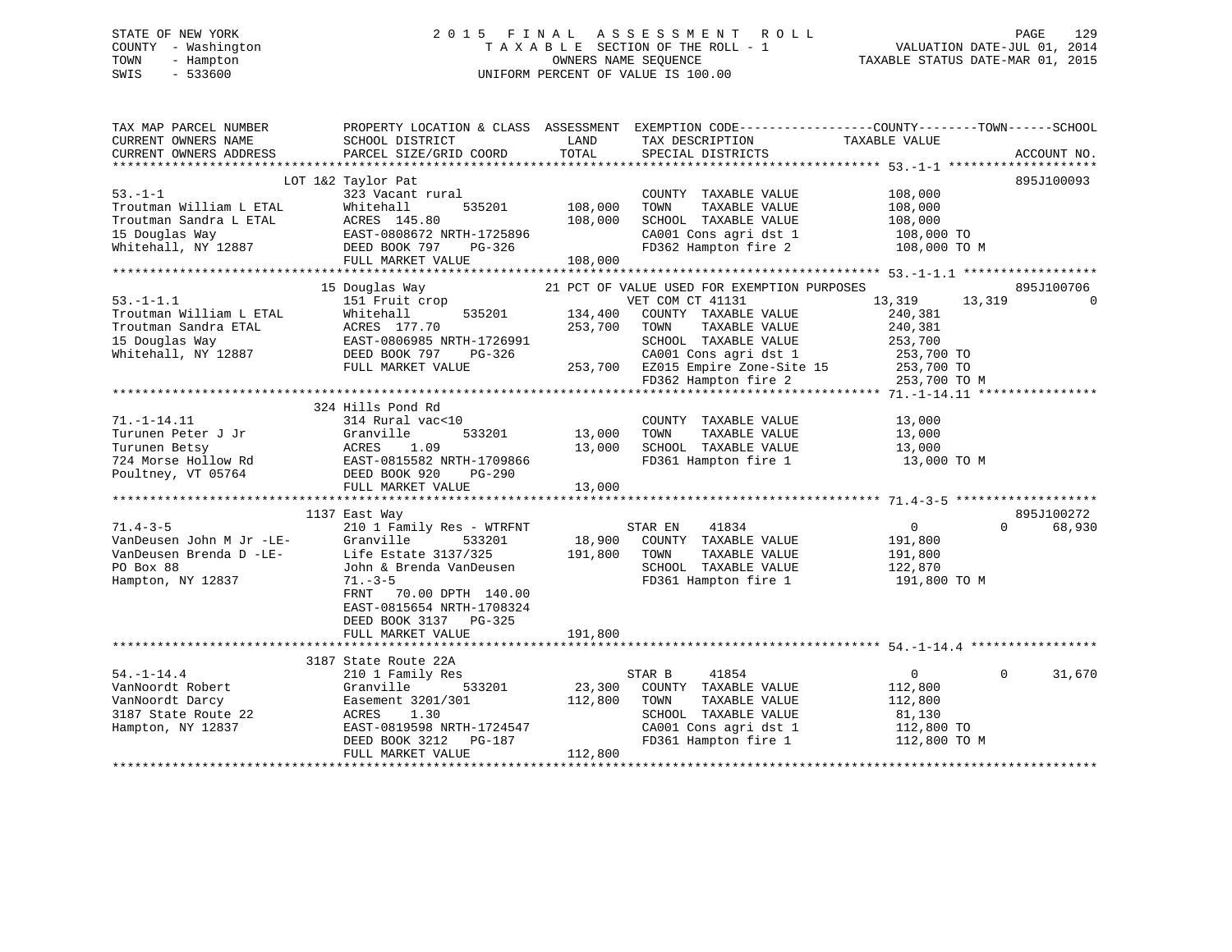#### STATE OF NEW YORK 2 0 1 5 F I N A L A S S E S S M E N T R O L L PAGE 129COUNTY - Washington T A X A B L E SECTION OF THE ROLL - 1 TOWN - Hampton OWNERS NAME SEQUENCE TAXABLE STATUS DATE-MAR 01, 2015 SWIS - 533600 UNIFORM PERCENT OF VALUE IS 100.00

| TAX MAP PARCEL NUMBER<br>CURRENT OWNERS NAME<br>CURRENT OWNERS ADDRESS | PROPERTY LOCATION & CLASS ASSESSMENT EXEMPTION CODE----------------COUNTY-------TOWN-----SCHOOL<br>SCHOOL DISTRICT<br>PARCEL SIZE/GRID COORD | LAND<br>TOTAL  | TAX DESCRIPTION<br>SPECIAL DISTRICTS                                  | TAXABLE VALUE     | ACCOUNT NO.        |
|------------------------------------------------------------------------|----------------------------------------------------------------------------------------------------------------------------------------------|----------------|-----------------------------------------------------------------------|-------------------|--------------------|
|                                                                        |                                                                                                                                              |                |                                                                       |                   |                    |
|                                                                        | LOT 1&2 Taylor Pat                                                                                                                           |                |                                                                       |                   | 895J100093         |
| $53. - 1 - 1$                                                          | 323 Vacant rural                                                                                                                             |                | COUNTY TAXABLE VALUE 108,000                                          |                   |                    |
| Troutman William L ETAL                                                | Whitehall                                                                                                                                    | 535201 108,000 | TOWN<br>TAXABLE VALUE                                                 | 108,000           |                    |
|                                                                        |                                                                                                                                              | 108,000        | SCHOOL TAXABLE VALUE                                                  | 108,000           |                    |
|                                                                        |                                                                                                                                              |                | CA001 Cons agri dst 1 $108,000$ TO                                    |                   |                    |
|                                                                        |                                                                                                                                              |                | FD362 Hampton fire 2                                                  | 108,000 TO M      |                    |
|                                                                        | FULL MARKET VALUE                                                                                                                            | 108,000        |                                                                       |                   |                    |
|                                                                        |                                                                                                                                              |                |                                                                       |                   |                    |
|                                                                        | 15 Douglas Way                                                                                                                               |                | 21 PCT OF VALUE USED FOR EXEMPTION PURPOSES                           |                   | 895J100706         |
| $53. - 1 - 1.1$                                                        | 151 Fruit crop                                                                                                                               |                | VET COM CT 41131                                                      | 13,319            | 13,319<br>$\Omega$ |
| Troutman William L ETAL                                                | Whitehall<br>535201                                                                                                                          | 134,400        | COUNTY TAXABLE VALUE                                                  | 240,381           |                    |
| Troutman Sandra ETAL                                                   | ACRES 177.70<br>EAST-0806985 NRTH-1726991                                                                                                    | 253,700        | TAXABLE VALUE<br>TOWN                                                 | 240,381           |                    |
| 15 Douglas Way                                                         |                                                                                                                                              |                | SCHOOL TAXABLE VALUE                                                  | 253,700           |                    |
| Whitehall, NY 12887                                                    | DEED BOOK 797<br>PG-326                                                                                                                      |                | CA001 Cons agri dst 1<br>253,700 EZ015 Empire Zone-Site 15            | 253,700 TO        |                    |
|                                                                        | FULL MARKET VALUE                                                                                                                            |                |                                                                       | $253,700$ TO      |                    |
|                                                                        |                                                                                                                                              |                | FD362 Hampton fire 2                                                  | 253,700 TO M      |                    |
|                                                                        |                                                                                                                                              |                |                                                                       |                   |                    |
|                                                                        | 324 Hills Pond Rd                                                                                                                            |                |                                                                       |                   |                    |
| $71. - 1 - 14.11$                                                      | 314 Rural vac<10                                                                                                                             |                | COUNTY TAXABLE VALUE                                                  | 13,000            |                    |
| Turunen Peter J Jr                                                     | Granville<br>533201                                                                                                                          | 13,000         | TAXABLE VALUE<br>TOWN                                                 | 13,000            |                    |
| Turunen Betsy                                                          | ACRES 1.09                                                                                                                                   | 13,000         | SCHOOL TAXABLE VALUE                                                  | 13,000            |                    |
| 724 Morse Hollow Rd                                                    | EAST-0815582 NRTH-1709866                                                                                                                    |                | FD361 Hampton fire 1                                                  | 13,000 TO M       |                    |
| Poultney, VT 05764                                                     | DEED BOOK 920<br>PG-290                                                                                                                      |                |                                                                       |                   |                    |
|                                                                        | FULL MARKET VALUE                                                                                                                            | 13,000         |                                                                       |                   |                    |
|                                                                        |                                                                                                                                              |                |                                                                       |                   |                    |
|                                                                        | 1137 East Way                                                                                                                                |                |                                                                       |                   | 895J100272         |
| $71.4 - 3 - 5$                                                         | 210 1 Family Res - WTRFNT                                                                                                                    |                | 41834<br>STAR EN                                                      | $0 \qquad \qquad$ | $\Omega$<br>68,930 |
| VanDeusen John M Jr -LE-                                               | Granville<br>533201                                                                                                                          |                | 18,900 COUNTY TAXABLE VALUE                                           | 191,800           |                    |
|                                                                        | VanDeusen Brenda D -LE-<br>Life Estate 3137/325                                                                                              | 191,800 TOWN   | TAXABLE VALUE                                                         | 191,800           |                    |
| PO Box 88                                                              | John & Brenda VanDeusen                                                                                                                      |                | SCHOOL TAXABLE VALUE                                                  | 122,870           |                    |
| Hampton, NY 12837                                                      | $71. - 3 - 5$                                                                                                                                |                | FD361 Hampton fire 1 191,800 TO M                                     |                   |                    |
|                                                                        | FRNT<br>70.00 DPTH 140.00                                                                                                                    |                |                                                                       |                   |                    |
|                                                                        | EAST-0815654 NRTH-1708324                                                                                                                    |                |                                                                       |                   |                    |
|                                                                        | DEED BOOK 3137 PG-325                                                                                                                        |                |                                                                       |                   |                    |
|                                                                        | FULL MARKET VALUE                                                                                                                            | 191,800        |                                                                       |                   |                    |
|                                                                        |                                                                                                                                              |                |                                                                       |                   |                    |
|                                                                        | 3187 State Route 22A                                                                                                                         |                |                                                                       |                   |                    |
| $54. - 1 - 14.4$                                                       | 210 1 Family Res                                                                                                                             |                | STAR B<br>41854                                                       | $\overline{0}$    | $\Omega$<br>31,670 |
| VanNoordt Robert                                                       | Granville<br>533201                                                                                                                          | 23,300         | COUNTY TAXABLE VALUE                                                  | 112,800           |                    |
| VanNoordt Darcy                                                        | Easement 3201/301                                                                                                                            | 112,800        | TAXABLE VALUE<br>TOWN                                                 | 112,800           |                    |
| 3187 State Route 22                                                    | 1.30<br>ACRES                                                                                                                                |                | SCHOOL TAXABLE VALUE                                                  | 81,130            |                    |
| Hampton, NY 12837                                                      | EAST-0819598 NRTH-1724547                                                                                                                    |                |                                                                       |                   |                    |
|                                                                        | DEED BOOK 3212 PG-187                                                                                                                        |                | CA001 Cons agri dst 1 112,800 TO<br>FD361 Hampton fire 1 112,800 TO M |                   |                    |
|                                                                        | FULL MARKET VALUE                                                                                                                            | 112,800        |                                                                       |                   |                    |
|                                                                        |                                                                                                                                              |                |                                                                       |                   |                    |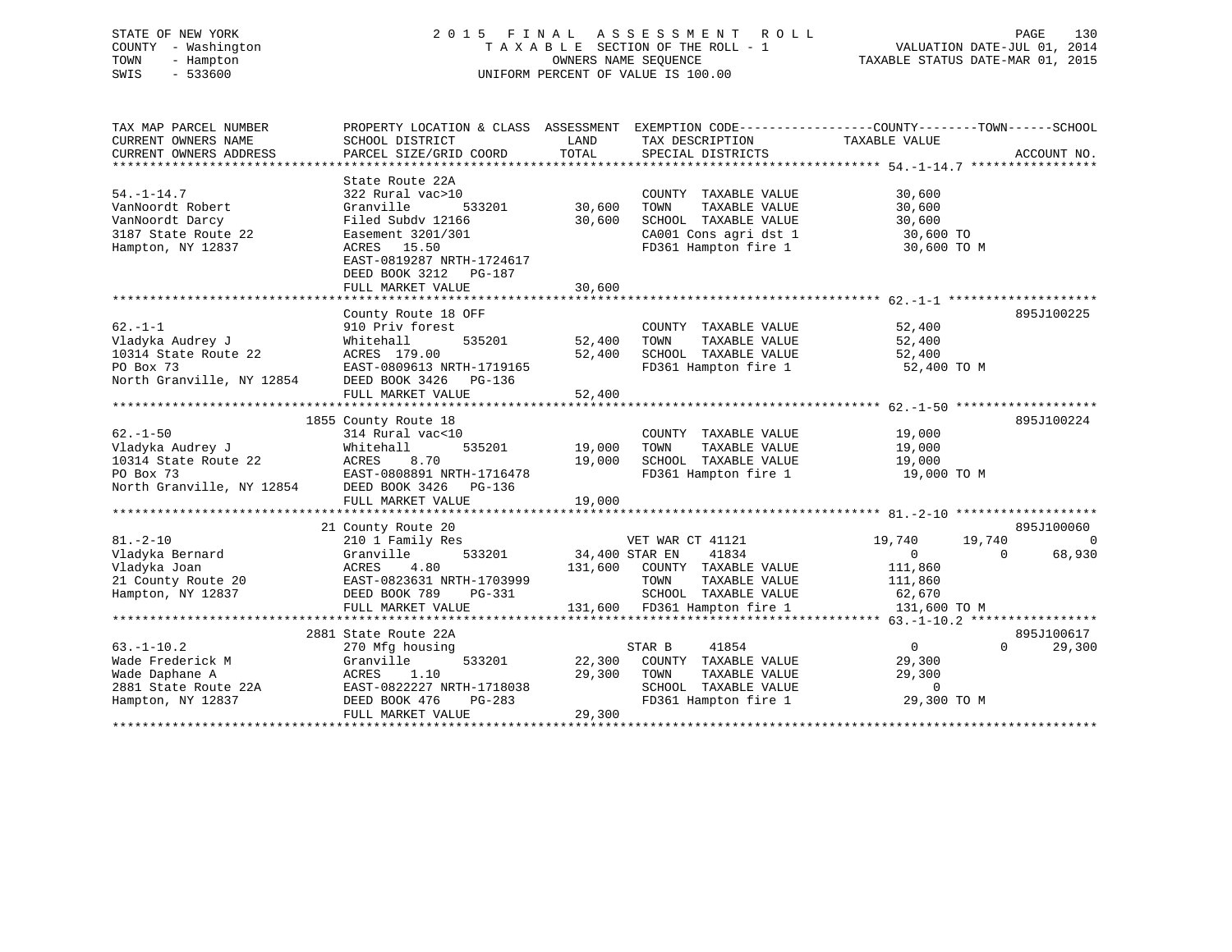# STATE OF NEW YORK 2 0 1 5 F I N A L A S S E S S M E N T R O L L PAGE 130 COUNTY - Washington T A X A B L E SECTION OF THE ROLL - 1 VALUATION DATE-JUL 01, 2014 TOWN - Hampton OWNERS NAME SEQUENCE TAXABLE STATUS DATE-MAR 01, 2015 SWIS - 533600 UNIFORM PERCENT OF VALUE IS 100.00

| TAX MAP PARCEL NUMBER     | PROPERTY LOCATION & CLASS ASSESSMENT |                | EXEMPTION CODE-----------------COUNTY-------TOWN------SCHOOL |                   |                    |
|---------------------------|--------------------------------------|----------------|--------------------------------------------------------------|-------------------|--------------------|
| CURRENT OWNERS NAME       | SCHOOL DISTRICT                      | LAND           | TAX DESCRIPTION                                              | TAXABLE VALUE     |                    |
| CURRENT OWNERS ADDRESS    | PARCEL SIZE/GRID COORD               | TOTAL          | SPECIAL DISTRICTS                                            |                   | ACCOUNT NO.        |
|                           |                                      |                |                                                              |                   |                    |
|                           | State Route 22A                      |                |                                                              |                   |                    |
| $54. - 1 - 14.7$          | 322 Rural vac>10                     |                | COUNTY TAXABLE VALUE                                         | 30,600            |                    |
| VanNoordt Robert          | 533201<br>Granville                  | 30,600         | TOWN<br>TAXABLE VALUE                                        | 30,600            |                    |
| VanNoordt Darcy           | Filed Subdy 12166                    | 30,600         | SCHOOL TAXABLE VALUE                                         | 30,600            |                    |
| 3187 State Route 22       | Easement 3201/301                    |                | CA001 Cons agri dst 1                                        | 30,600 TO         |                    |
| Hampton, NY 12837         | ACRES 15.50                          |                | FD361 Hampton fire 1                                         | 30,600 TO M       |                    |
|                           | EAST-0819287 NRTH-1724617            |                |                                                              |                   |                    |
|                           | DEED BOOK 3212 PG-187                |                |                                                              |                   |                    |
|                           | FULL MARKET VALUE                    | 30,600         |                                                              |                   |                    |
|                           |                                      |                |                                                              |                   |                    |
|                           | County Route 18 OFF                  |                |                                                              |                   | 895J100225         |
| $62. -1 - 1$              | 910 Priv forest                      |                | COUNTY TAXABLE VALUE                                         | 52,400            |                    |
| Vladyka Audrey J          | 535201<br>Whitehall                  | 52,400         | TAXABLE VALUE<br>TOWN                                        | 52,400            |                    |
| 10314 State Route 22      | ACRES 179.00                         | 52,400         | SCHOOL TAXABLE VALUE                                         | 52,400            |                    |
| PO Box 73                 | EAST-0809613 NRTH-1719165            |                | FD361 Hampton fire 1                                         | 52,400 TO M       |                    |
| North Granville, NY 12854 | DEED BOOK 3426<br>PG-136             |                |                                                              |                   |                    |
|                           | FULL MARKET VALUE                    | 52,400         |                                                              |                   |                    |
|                           |                                      |                |                                                              |                   |                    |
|                           | 1855 County Route 18                 |                |                                                              |                   | 895J100224         |
| $62 - 1 - 50$             | 314 Rural vac<10                     |                | COUNTY TAXABLE VALUE                                         | 19,000            |                    |
| Vladyka Audrey J          | 535201<br>Whitehall                  | 19,000         | TOWN<br>TAXABLE VALUE                                        | 19,000            |                    |
| 10314 State Route 22      | ACRES<br>8.70                        | 19,000         | SCHOOL TAXABLE VALUE                                         | 19,000            |                    |
| PO Box 73                 | EAST-0808891 NRTH-1716478            |                | FD361 Hampton fire 1                                         | 19,000 TO M       |                    |
| North Granville, NY 12854 | DEED BOOK 3426<br>PG-136             |                |                                                              |                   |                    |
|                           | FULL MARKET VALUE                    | 19,000         |                                                              |                   |                    |
|                           |                                      |                |                                                              |                   |                    |
|                           | 21 County Route 20                   |                |                                                              |                   | 895J100060         |
| $81. - 2 - 10$            | 210 1 Family Res                     |                | VET WAR CT 41121                                             | 19,740            | 19,740<br>$\Omega$ |
| Vladyka Bernard           | 533201<br>Granville                  | 34,400 STAR EN | 41834                                                        | $\overline{0}$    | 68,930<br>$\Omega$ |
| Vladyka Joan              | ACRES<br>4.80                        | 131,600        | COUNTY TAXABLE VALUE                                         | 111,860           |                    |
| 21 County Route 20        | EAST-0823631 NRTH-1703999            |                | TAXABLE VALUE<br>TOWN                                        | 111,860           |                    |
| Hampton, NY 12837         | DEED BOOK 789<br>PG-331              |                | SCHOOL TAXABLE VALUE                                         | 62,670            |                    |
|                           | FULL MARKET VALUE                    |                | 131,600 FD361 Hampton fire 1                                 | 131,600 TO M      |                    |
|                           |                                      |                |                                                              |                   |                    |
|                           | 2881 State Route 22A                 |                |                                                              |                   | 895J100617         |
| $63. - 1 - 10.2$          | 270 Mfg housing                      |                | STAR B<br>41854                                              | $0 \qquad \qquad$ | $\Omega$<br>29,300 |
| Wade Frederick M          | 533201<br>Granville                  | 22,300         | COUNTY TAXABLE VALUE                                         | 29,300            |                    |
| Wade Daphane A            | ACRES<br>1.10                        | 29,300         | TOWN<br>TAXABLE VALUE                                        | 29,300            |                    |
| 2881 State Route 22A      | EAST-0822227 NRTH-1718038            |                | SCHOOL TAXABLE VALUE                                         | $\Omega$          |                    |
| Hampton, NY 12837         | DEED BOOK 476<br>$PG-283$            |                | FD361 Hampton fire 1                                         | 29,300 TO M       |                    |
|                           | FULL MARKET VALUE                    | 29,300         |                                                              |                   |                    |
|                           |                                      |                |                                                              |                   |                    |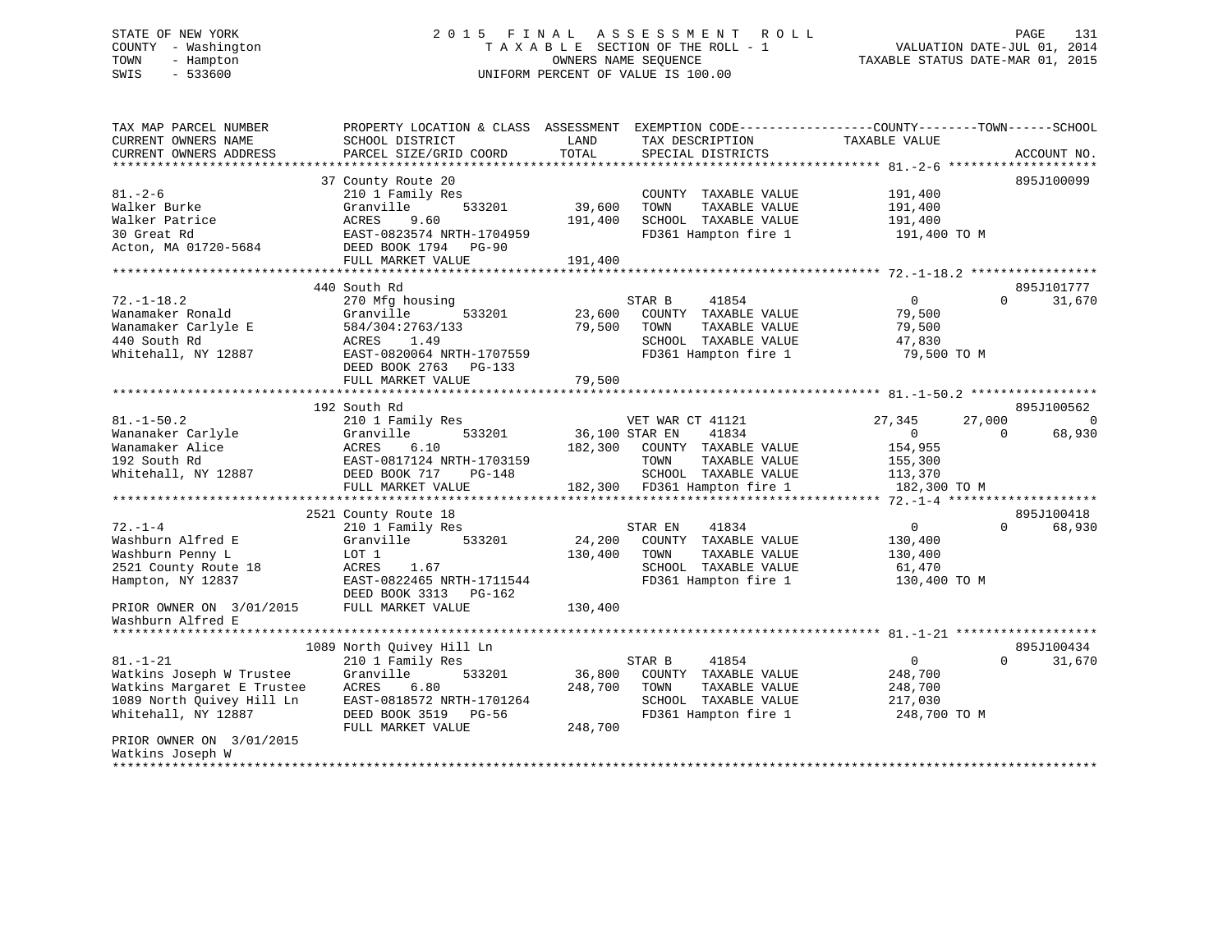# STATE OF NEW YORK 2 0 1 5 F I N A L A S S E S S M E N T R O L L PAGE 131 COUNTY - Washington T A X A B L E SECTION OF THE ROLL - 1 VALUATION DATE-JUL 01, 2014 TOWN - Hampton OWNERS NAME SEQUENCE TAXABLE STATUS DATE-MAR 01, 2015 SWIS - 533600 UNIFORM PERCENT OF VALUE IS 100.00

| SCHOOL DISTRICT                                                                                                                                          | LAND                                                                                                                               | TAX DESCRIPTION                                                                                                   | TAXABLE VALUE                                                                                                                                                   |                                                                              |
|----------------------------------------------------------------------------------------------------------------------------------------------------------|------------------------------------------------------------------------------------------------------------------------------------|-------------------------------------------------------------------------------------------------------------------|-----------------------------------------------------------------------------------------------------------------------------------------------------------------|------------------------------------------------------------------------------|
|                                                                                                                                                          |                                                                                                                                    |                                                                                                                   |                                                                                                                                                                 | ACCOUNT NO.                                                                  |
| 37 County Route 20<br>210 1 Family Res<br>Granville<br>533201<br>ACRES<br>9.60<br>EAST-0823574 NRTH-1704959<br>DEED BOOK 1794 PG-90<br>FULL MARKET VALUE | 39,600<br>191,400<br>191,400                                                                                                       | COUNTY TAXABLE VALUE<br>TOWN<br>TAXABLE VALUE<br>SCHOOL TAXABLE VALUE<br>FD361 Hampton fire 1                     | 191,400<br>191,400<br>191,400<br>191,400 TO M                                                                                                                   | 895J100099                                                                   |
|                                                                                                                                                          |                                                                                                                                    |                                                                                                                   |                                                                                                                                                                 | 895J101777                                                                   |
| 270 Mfg housing<br>533201<br>Granville<br>584/304:2763/133<br>1.49<br>ACRES<br>EAST-0820064 NRTH-1707559<br>DEED BOOK 2763<br>PG-133                     | 23,600<br>79,500                                                                                                                   | STAR B<br>41854<br>COUNTY TAXABLE VALUE<br>TAXABLE VALUE<br>TOWN<br>SCHOOL TAXABLE VALUE<br>FD361 Hampton fire 1  | $\overline{0}$<br>79,500<br>79,500<br>47,830<br>79,500 TO M                                                                                                     | 31,670<br>$\Omega$                                                           |
|                                                                                                                                                          |                                                                                                                                    |                                                                                                                   |                                                                                                                                                                 |                                                                              |
| 192 South Rd                                                                                                                                             |                                                                                                                                    |                                                                                                                   |                                                                                                                                                                 | 895J100562                                                                   |
| 210 1 Family Res<br>533201<br>Granville<br>ACRES<br>6.10<br>EAST-0817124 NRTH-1703159<br>DEED BOOK 717<br>$PG-148$                                       |                                                                                                                                    | 41834<br>TOWN<br>TAXABLE VALUE<br>SCHOOL TAXABLE VALUE                                                            | 27,345<br>27,000<br>$\Omega$<br>154,955<br>155,300<br>113,370                                                                                                   | $\overline{0}$<br>68,930<br>$\Omega$                                         |
|                                                                                                                                                          |                                                                                                                                    |                                                                                                                   |                                                                                                                                                                 |                                                                              |
| 2521 County Route 18<br>210 1 Family Res<br>Granville<br>533201<br>LOT 1<br>1.67<br>ACRES<br>EAST-0822465 NRTH-1711544<br>DEED BOOK 3313<br>PG-162       | 24,200<br>130,400                                                                                                                  | STAR EN<br>41834<br>COUNTY TAXABLE VALUE<br>TAXABLE VALUE<br>TOWN<br>SCHOOL TAXABLE VALUE<br>FD361 Hampton fire 1 | $\overline{0}$<br>130,400<br>130,400<br>61,470<br>130,400 TO M                                                                                                  | 895J100418<br>68,930<br>$\Omega$                                             |
|                                                                                                                                                          |                                                                                                                                    |                                                                                                                   |                                                                                                                                                                 |                                                                              |
|                                                                                                                                                          |                                                                                                                                    |                                                                                                                   |                                                                                                                                                                 |                                                                              |
| 210 1 Family Res<br>533201<br>Granville<br>ACRES<br>6.80<br>EAST-0818572 NRTH-1701264<br>DEED BOOK 3519<br>PG-56<br>FULL MARKET VALUE                    | 36,800<br>248,700<br>248,700                                                                                                       | STAR B<br>41854<br>COUNTY TAXABLE VALUE<br>TOWN<br>TAXABLE VALUE<br>SCHOOL TAXABLE VALUE<br>FD361 Hampton fire 1  | $\overline{0}$<br>248,700<br>248,700<br>217,030<br>248,700 TO M                                                                                                 | 895J100434<br>$\Omega$<br>31,670                                             |
|                                                                                                                                                          | PARCEL SIZE/GRID COORD<br>440 South Rd<br>FULL MARKET VALUE<br>FULL MARKET VALUE<br>FULL MARKET VALUE<br>1089 North Ouivey Hill Ln | TOTAL<br>79,500<br>130,400                                                                                        | PROPERTY LOCATION & CLASS ASSESSMENT<br>SPECIAL DISTRICTS<br>VET WAR CT 41121<br>36,100 STAR EN<br>182,300 COUNTY TAXABLE VALUE<br>182,300 FD361 Hampton fire 1 | EXEMPTION CODE-----------------COUNTY-------TOWN------SCHOOL<br>182,300 TO M |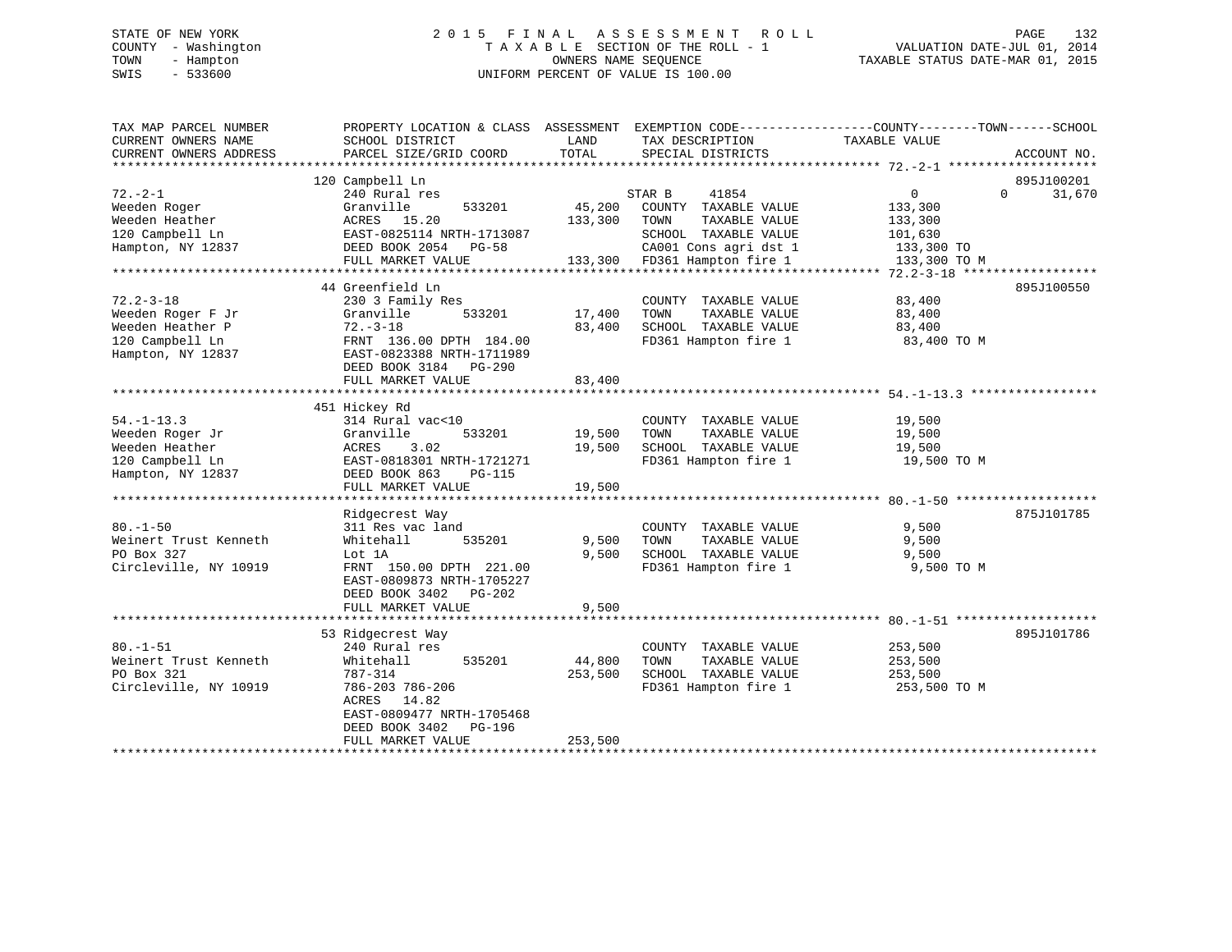# STATE OF NEW YORK 2 0 1 5 F I N A L A S S E S S M E N T R O L L PAGE 132 COUNTY - Washington T A X A B L E SECTION OF THE ROLL - 1 VALUATION DATE-JUL 01, 2014 TOWN - Hampton OWNERS NAME SEQUENCE TAXABLE STATUS DATE-MAR 01, 2015 SWIS - 533600 UNIFORM PERCENT OF VALUE IS 100.00

| TAX MAP PARCEL NUMBER<br>CURRENT OWNERS NAME<br>CURRENT OWNERS ADDRESS                           | PROPERTY LOCATION & CLASS ASSESSMENT<br>SCHOOL DISTRICT<br>PARCEL SIZE/GRID COORD                                                                                                    | LAND<br>TOTAL                | EXEMPTION CODE-----------------COUNTY-------TOWN------SCHOOL<br>TAX DESCRIPTION<br>SPECIAL DISTRICTS                                              | TAXABLE VALUE                                                                 | ACCOUNT NO.                      |
|--------------------------------------------------------------------------------------------------|--------------------------------------------------------------------------------------------------------------------------------------------------------------------------------------|------------------------------|---------------------------------------------------------------------------------------------------------------------------------------------------|-------------------------------------------------------------------------------|----------------------------------|
| $72. - 2 - 1$<br>Weeden Roger<br>Weeden Heather<br>120 Campbell Ln<br>Hampton, NY 12837          | 120 Campbell Ln<br>240 Rural res<br>Granville<br>533201<br>ACRES 15.20<br>EAST-0825114 NRTH-1713087<br>DEED BOOK 2054 PG-58<br>FULL MARKET VALUE                                     | 45,200<br>133,300            | 41854<br>STAR B<br>COUNTY TAXABLE VALUE<br>TAXABLE VALUE<br>TOWN<br>SCHOOL TAXABLE VALUE<br>CA001 Cons agri dst 1<br>133,300 FD361 Hampton fire 1 | $\overline{0}$<br>133,300<br>133,300<br>101,630<br>133,300 TO<br>133,300 TO M | 895J100201<br>31,670<br>$\Omega$ |
| $72.2 - 3 - 18$<br>Weeden Roger F Jr<br>Weeden Heather P<br>120 Campbell Ln<br>Hampton, NY 12837 | 44 Greenfield Ln<br>230 3 Family Res<br>Granville<br>533201<br>$72. - 3 - 18$<br>FRNT 136.00 DPTH 184.00<br>EAST-0823388 NRTH-1711989<br>DEED BOOK 3184 PG-290<br>FULL MARKET VALUE  | 17,400<br>83,400<br>83,400   | COUNTY TAXABLE VALUE<br>TAXABLE VALUE<br>TOWN<br>SCHOOL TAXABLE VALUE<br>FD361 Hampton fire 1                                                     | 83,400<br>83,400<br>83,400<br>83,400 TO M                                     | 895J100550                       |
| $54. - 1 - 13.3$<br>Weeden Roger Jr<br>Weeden Heather<br>120 Campbell Ln<br>Hampton, NY 12837    | 451 Hickey Rd<br>314 Rural vac<10<br>Granville<br>533201<br>ACRES<br>3.02<br>EAST-0818301 NRTH-1721271<br>DEED BOOK 863<br><b>PG-115</b><br>FULL MARKET VALUE                        | 19,500<br>19,500<br>19,500   | COUNTY TAXABLE VALUE<br>TAXABLE VALUE<br>TOWN<br>SCHOOL TAXABLE VALUE<br>FD361 Hampton fire 1                                                     | 19,500<br>19,500<br>19,500<br>19,500 TO M                                     |                                  |
| $80. - 1 - 50$<br>Weinert Trust Kenneth<br>PO Box 327<br>Circleville, NY 10919                   | Ridgecrest Way<br>311 Res vac land<br>535201<br>Whitehall<br>Lot 1A<br>FRNT 150.00 DPTH 221.00<br>EAST-0809873 NRTH-1705227<br>DEED BOOK 3402 PG-202<br>FULL MARKET VALUE            | 9,500<br>9,500<br>9,500      | COUNTY TAXABLE VALUE<br>TOWN<br>TAXABLE VALUE<br>SCHOOL TAXABLE VALUE<br>FD361 Hampton fire 1                                                     | 9,500<br>9,500<br>9,500<br>9,500 TO M                                         | 875J101785                       |
| $80. -1 - 51$<br>Weinert Trust Kenneth<br>PO Box 321<br>Circleville, NY 10919                    | 53 Ridgecrest Way<br>240 Rural res<br>Whitehall<br>535201<br>787-314<br>786-203 786-206<br>ACRES 14.82<br>EAST-0809477 NRTH-1705468<br>DEED BOOK 3402<br>PG-196<br>FULL MARKET VALUE | 44,800<br>253,500<br>253,500 | COUNTY TAXABLE VALUE<br>TOWN<br>TAXABLE VALUE<br>SCHOOL TAXABLE VALUE<br>FD361 Hampton fire 1                                                     | 253,500<br>253,500<br>253,500<br>253,500 TO M                                 | 895J101786                       |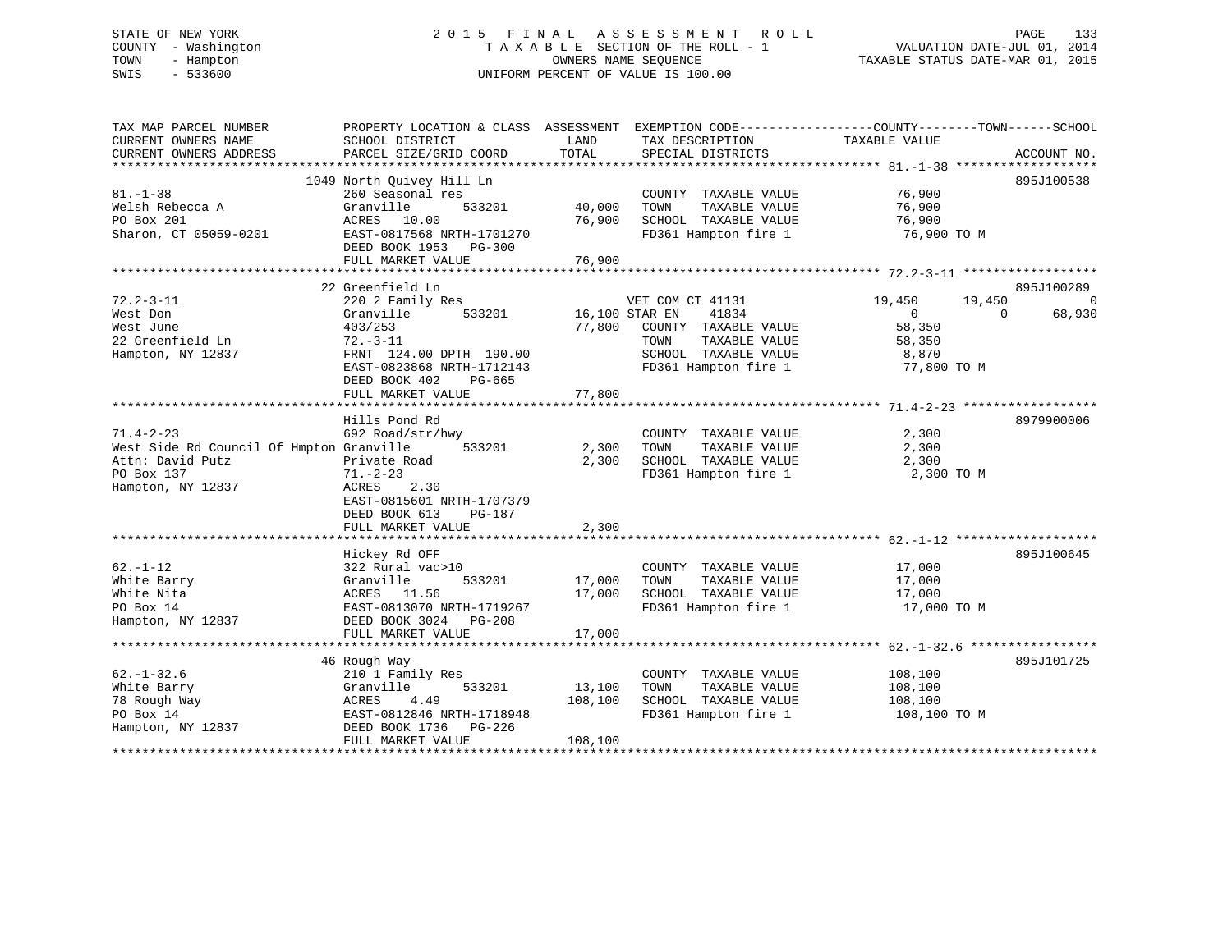# STATE OF NEW YORK 2 0 1 5 F I N A L A S S E S S M E N T R O L L PAGE 133 COUNTY - Washington T A X A B L E SECTION OF THE ROLL - 1 VALUATION DATE-JUL 01, 2014 TOWN - Hampton OWNERS NAME SEQUENCE TAXABLE STATUS DATE-MAR 01, 2015 SWIS - 533600 UNIFORM PERCENT OF VALUE IS 100.00

| 1049 North Ouivey Hill Ln<br>895J100538<br>76,900<br>$81. - 1 - 38$<br>260 Seasonal res<br>COUNTY TAXABLE VALUE<br>76,900<br>Welsh Rebecca A<br>Granville<br>533201<br>40,000<br>TAXABLE VALUE<br>TOWN<br>PO Box 201<br>76,900<br>SCHOOL TAXABLE VALUE<br>76,900<br>ACRES 10.00<br>Sharon, CT 05059-0201<br>EAST-0817568 NRTH-1701270<br>FD361 Hampton fire 1<br>76,900 TO M<br>DEED BOOK 1953<br>PG-300<br>76,900<br>FULL MARKET VALUE<br>22 Greenfield Ln<br>895J100289<br>$72.2 - 3 - 11$<br>220 2 Family Res<br>VET COM CT 41131<br>19,450<br>19,450<br>West Don<br>Granville<br>533201<br>16,100 STAR EN<br>41834<br>68,930<br>$\overline{0}$<br>$\Omega$<br>77,800<br>COUNTY TAXABLE VALUE<br>58,350<br>West June<br>403/253<br>22 Greenfield Ln<br>$72. - 3 - 11$<br>TAXABLE VALUE<br>TOWN<br>58,350<br>Hampton, NY 12837<br>FRNT 124.00 DPTH 190.00<br>SCHOOL TAXABLE VALUE<br>8,870<br>EAST-0823868 NRTH-1712143<br>FD361 Hampton fire 1<br>77,800 TO M<br>DEED BOOK 402<br>PG-665<br>77,800<br>FULL MARKET VALUE<br>8979900006<br>Hills Pond Rd<br>$71.4 - 2 - 23$<br>692 Road/str/hwy<br>COUNTY TAXABLE VALUE<br>2,300<br>West Side Rd Council Of Hmpton Granville<br>533201<br>2,300<br>TOWN<br>TAXABLE VALUE<br>2,300<br>2,300<br>SCHOOL TAXABLE VALUE<br>Attn: David Putz<br>Private Road<br>2,300<br>PO Box 137<br>$71. - 2 - 23$<br>FD361 Hampton fire 1<br>2,300 TO M<br>2.30<br>Hampton, NY 12837<br>ACRES<br>EAST-0815601 NRTH-1707379<br>DEED BOOK 613<br><b>PG-187</b><br>2,300<br>FULL MARKET VALUE |
|---------------------------------------------------------------------------------------------------------------------------------------------------------------------------------------------------------------------------------------------------------------------------------------------------------------------------------------------------------------------------------------------------------------------------------------------------------------------------------------------------------------------------------------------------------------------------------------------------------------------------------------------------------------------------------------------------------------------------------------------------------------------------------------------------------------------------------------------------------------------------------------------------------------------------------------------------------------------------------------------------------------------------------------------------------------------------------------------------------------------------------------------------------------------------------------------------------------------------------------------------------------------------------------------------------------------------------------------------------------------------------------------------------------------------------------------------------------------------------------------------------------------------|
|                                                                                                                                                                                                                                                                                                                                                                                                                                                                                                                                                                                                                                                                                                                                                                                                                                                                                                                                                                                                                                                                                                                                                                                                                                                                                                                                                                                                                                                                                                                           |
|                                                                                                                                                                                                                                                                                                                                                                                                                                                                                                                                                                                                                                                                                                                                                                                                                                                                                                                                                                                                                                                                                                                                                                                                                                                                                                                                                                                                                                                                                                                           |
|                                                                                                                                                                                                                                                                                                                                                                                                                                                                                                                                                                                                                                                                                                                                                                                                                                                                                                                                                                                                                                                                                                                                                                                                                                                                                                                                                                                                                                                                                                                           |
|                                                                                                                                                                                                                                                                                                                                                                                                                                                                                                                                                                                                                                                                                                                                                                                                                                                                                                                                                                                                                                                                                                                                                                                                                                                                                                                                                                                                                                                                                                                           |
|                                                                                                                                                                                                                                                                                                                                                                                                                                                                                                                                                                                                                                                                                                                                                                                                                                                                                                                                                                                                                                                                                                                                                                                                                                                                                                                                                                                                                                                                                                                           |
|                                                                                                                                                                                                                                                                                                                                                                                                                                                                                                                                                                                                                                                                                                                                                                                                                                                                                                                                                                                                                                                                                                                                                                                                                                                                                                                                                                                                                                                                                                                           |
|                                                                                                                                                                                                                                                                                                                                                                                                                                                                                                                                                                                                                                                                                                                                                                                                                                                                                                                                                                                                                                                                                                                                                                                                                                                                                                                                                                                                                                                                                                                           |
|                                                                                                                                                                                                                                                                                                                                                                                                                                                                                                                                                                                                                                                                                                                                                                                                                                                                                                                                                                                                                                                                                                                                                                                                                                                                                                                                                                                                                                                                                                                           |
|                                                                                                                                                                                                                                                                                                                                                                                                                                                                                                                                                                                                                                                                                                                                                                                                                                                                                                                                                                                                                                                                                                                                                                                                                                                                                                                                                                                                                                                                                                                           |
|                                                                                                                                                                                                                                                                                                                                                                                                                                                                                                                                                                                                                                                                                                                                                                                                                                                                                                                                                                                                                                                                                                                                                                                                                                                                                                                                                                                                                                                                                                                           |
|                                                                                                                                                                                                                                                                                                                                                                                                                                                                                                                                                                                                                                                                                                                                                                                                                                                                                                                                                                                                                                                                                                                                                                                                                                                                                                                                                                                                                                                                                                                           |
|                                                                                                                                                                                                                                                                                                                                                                                                                                                                                                                                                                                                                                                                                                                                                                                                                                                                                                                                                                                                                                                                                                                                                                                                                                                                                                                                                                                                                                                                                                                           |
|                                                                                                                                                                                                                                                                                                                                                                                                                                                                                                                                                                                                                                                                                                                                                                                                                                                                                                                                                                                                                                                                                                                                                                                                                                                                                                                                                                                                                                                                                                                           |
|                                                                                                                                                                                                                                                                                                                                                                                                                                                                                                                                                                                                                                                                                                                                                                                                                                                                                                                                                                                                                                                                                                                                                                                                                                                                                                                                                                                                                                                                                                                           |
|                                                                                                                                                                                                                                                                                                                                                                                                                                                                                                                                                                                                                                                                                                                                                                                                                                                                                                                                                                                                                                                                                                                                                                                                                                                                                                                                                                                                                                                                                                                           |
|                                                                                                                                                                                                                                                                                                                                                                                                                                                                                                                                                                                                                                                                                                                                                                                                                                                                                                                                                                                                                                                                                                                                                                                                                                                                                                                                                                                                                                                                                                                           |
|                                                                                                                                                                                                                                                                                                                                                                                                                                                                                                                                                                                                                                                                                                                                                                                                                                                                                                                                                                                                                                                                                                                                                                                                                                                                                                                                                                                                                                                                                                                           |
|                                                                                                                                                                                                                                                                                                                                                                                                                                                                                                                                                                                                                                                                                                                                                                                                                                                                                                                                                                                                                                                                                                                                                                                                                                                                                                                                                                                                                                                                                                                           |
|                                                                                                                                                                                                                                                                                                                                                                                                                                                                                                                                                                                                                                                                                                                                                                                                                                                                                                                                                                                                                                                                                                                                                                                                                                                                                                                                                                                                                                                                                                                           |
|                                                                                                                                                                                                                                                                                                                                                                                                                                                                                                                                                                                                                                                                                                                                                                                                                                                                                                                                                                                                                                                                                                                                                                                                                                                                                                                                                                                                                                                                                                                           |
|                                                                                                                                                                                                                                                                                                                                                                                                                                                                                                                                                                                                                                                                                                                                                                                                                                                                                                                                                                                                                                                                                                                                                                                                                                                                                                                                                                                                                                                                                                                           |
|                                                                                                                                                                                                                                                                                                                                                                                                                                                                                                                                                                                                                                                                                                                                                                                                                                                                                                                                                                                                                                                                                                                                                                                                                                                                                                                                                                                                                                                                                                                           |
|                                                                                                                                                                                                                                                                                                                                                                                                                                                                                                                                                                                                                                                                                                                                                                                                                                                                                                                                                                                                                                                                                                                                                                                                                                                                                                                                                                                                                                                                                                                           |
|                                                                                                                                                                                                                                                                                                                                                                                                                                                                                                                                                                                                                                                                                                                                                                                                                                                                                                                                                                                                                                                                                                                                                                                                                                                                                                                                                                                                                                                                                                                           |
|                                                                                                                                                                                                                                                                                                                                                                                                                                                                                                                                                                                                                                                                                                                                                                                                                                                                                                                                                                                                                                                                                                                                                                                                                                                                                                                                                                                                                                                                                                                           |
|                                                                                                                                                                                                                                                                                                                                                                                                                                                                                                                                                                                                                                                                                                                                                                                                                                                                                                                                                                                                                                                                                                                                                                                                                                                                                                                                                                                                                                                                                                                           |
|                                                                                                                                                                                                                                                                                                                                                                                                                                                                                                                                                                                                                                                                                                                                                                                                                                                                                                                                                                                                                                                                                                                                                                                                                                                                                                                                                                                                                                                                                                                           |
|                                                                                                                                                                                                                                                                                                                                                                                                                                                                                                                                                                                                                                                                                                                                                                                                                                                                                                                                                                                                                                                                                                                                                                                                                                                                                                                                                                                                                                                                                                                           |
|                                                                                                                                                                                                                                                                                                                                                                                                                                                                                                                                                                                                                                                                                                                                                                                                                                                                                                                                                                                                                                                                                                                                                                                                                                                                                                                                                                                                                                                                                                                           |
|                                                                                                                                                                                                                                                                                                                                                                                                                                                                                                                                                                                                                                                                                                                                                                                                                                                                                                                                                                                                                                                                                                                                                                                                                                                                                                                                                                                                                                                                                                                           |
| 895J100645<br>Hickey Rd OFF                                                                                                                                                                                                                                                                                                                                                                                                                                                                                                                                                                                                                                                                                                                                                                                                                                                                                                                                                                                                                                                                                                                                                                                                                                                                                                                                                                                                                                                                                               |
| $62. - 1 - 12$<br>322 Rural vac>10<br>COUNTY TAXABLE VALUE<br>17,000                                                                                                                                                                                                                                                                                                                                                                                                                                                                                                                                                                                                                                                                                                                                                                                                                                                                                                                                                                                                                                                                                                                                                                                                                                                                                                                                                                                                                                                      |
| 533201<br>17,000<br>TAXABLE VALUE<br>White Barry<br>Granville<br>TOWN<br>17,000                                                                                                                                                                                                                                                                                                                                                                                                                                                                                                                                                                                                                                                                                                                                                                                                                                                                                                                                                                                                                                                                                                                                                                                                                                                                                                                                                                                                                                           |
| 17,000<br>SCHOOL TAXABLE VALUE<br>White Nita<br>17,000<br>ACRES 11.56                                                                                                                                                                                                                                                                                                                                                                                                                                                                                                                                                                                                                                                                                                                                                                                                                                                                                                                                                                                                                                                                                                                                                                                                                                                                                                                                                                                                                                                     |
| FD361 Hampton fire 1<br>PO Box 14<br>EAST-0813070 NRTH-1719267<br>17,000 TO M                                                                                                                                                                                                                                                                                                                                                                                                                                                                                                                                                                                                                                                                                                                                                                                                                                                                                                                                                                                                                                                                                                                                                                                                                                                                                                                                                                                                                                             |
| Hampton, NY 12837<br>DEED BOOK 3024 PG-208                                                                                                                                                                                                                                                                                                                                                                                                                                                                                                                                                                                                                                                                                                                                                                                                                                                                                                                                                                                                                                                                                                                                                                                                                                                                                                                                                                                                                                                                                |
| 17,000<br>FULL MARKET VALUE                                                                                                                                                                                                                                                                                                                                                                                                                                                                                                                                                                                                                                                                                                                                                                                                                                                                                                                                                                                                                                                                                                                                                                                                                                                                                                                                                                                                                                                                                               |
|                                                                                                                                                                                                                                                                                                                                                                                                                                                                                                                                                                                                                                                                                                                                                                                                                                                                                                                                                                                                                                                                                                                                                                                                                                                                                                                                                                                                                                                                                                                           |
| 895J101725<br>46 Rough Way                                                                                                                                                                                                                                                                                                                                                                                                                                                                                                                                                                                                                                                                                                                                                                                                                                                                                                                                                                                                                                                                                                                                                                                                                                                                                                                                                                                                                                                                                                |
| $62. - 1 - 32.6$<br>108,100<br>210 1 Family Res<br>COUNTY TAXABLE VALUE                                                                                                                                                                                                                                                                                                                                                                                                                                                                                                                                                                                                                                                                                                                                                                                                                                                                                                                                                                                                                                                                                                                                                                                                                                                                                                                                                                                                                                                   |
| 13,100<br>TAXABLE VALUE<br>White Barry<br>Granville<br>533201<br>TOWN<br>108,100                                                                                                                                                                                                                                                                                                                                                                                                                                                                                                                                                                                                                                                                                                                                                                                                                                                                                                                                                                                                                                                                                                                                                                                                                                                                                                                                                                                                                                          |
| 108,100<br>SCHOOL TAXABLE VALUE<br>78 Rough Way<br>4.49<br>108,100<br>ACRES                                                                                                                                                                                                                                                                                                                                                                                                                                                                                                                                                                                                                                                                                                                                                                                                                                                                                                                                                                                                                                                                                                                                                                                                                                                                                                                                                                                                                                               |
| FD361 Hampton fire 1<br>PO Box 14<br>EAST-0812846 NRTH-1718948<br>108,100 TO M                                                                                                                                                                                                                                                                                                                                                                                                                                                                                                                                                                                                                                                                                                                                                                                                                                                                                                                                                                                                                                                                                                                                                                                                                                                                                                                                                                                                                                            |
|                                                                                                                                                                                                                                                                                                                                                                                                                                                                                                                                                                                                                                                                                                                                                                                                                                                                                                                                                                                                                                                                                                                                                                                                                                                                                                                                                                                                                                                                                                                           |
| Hampton, NY 12837<br>DEED BOOK 1736<br>PG-226                                                                                                                                                                                                                                                                                                                                                                                                                                                                                                                                                                                                                                                                                                                                                                                                                                                                                                                                                                                                                                                                                                                                                                                                                                                                                                                                                                                                                                                                             |
| 108,100<br>FULL MARKET VALUE                                                                                                                                                                                                                                                                                                                                                                                                                                                                                                                                                                                                                                                                                                                                                                                                                                                                                                                                                                                                                                                                                                                                                                                                                                                                                                                                                                                                                                                                                              |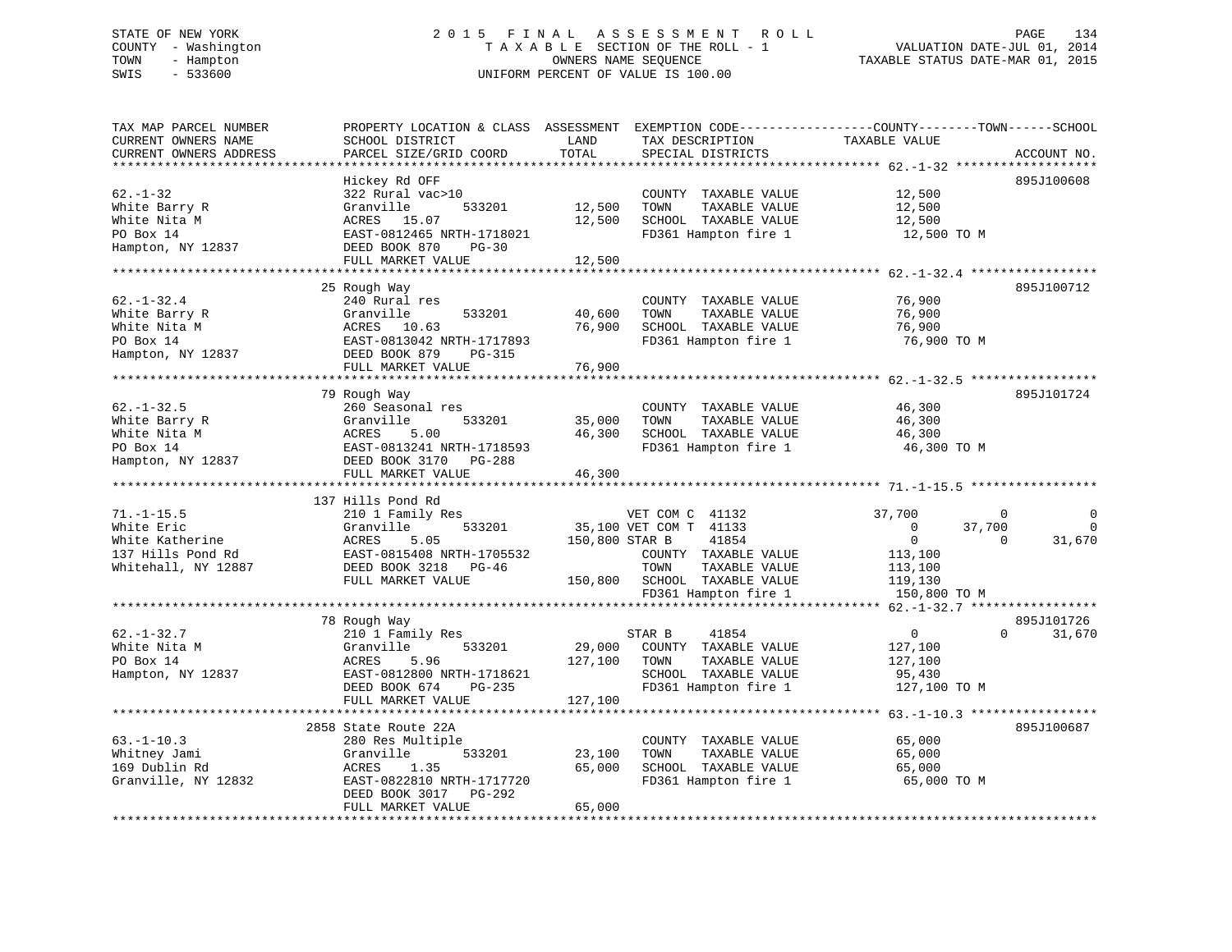#### STATE OF NEW YORK 2015 FINAL ASSESSMENT ROLL PAGE 134 COUNTY - Washington  $T A X A B L E$  SECTION OF THE ROLL - 1<br>TOWN - Hampton DATE-JUL 000NERS NAME SEQUENCE TOWN - Hampton OWNERS NAME SEQUENCE TAXABLE STATUS DATE-MAR 01, 2015 SWIS - 533600 UNIFORM PERCENT OF VALUE IS 100.00

| TAX MAP PARCEL NUMBER<br>CURRENT OWNERS NAME<br>CURRENT OWNERS ADDRESS                        | PROPERTY LOCATION & CLASS ASSESSMENT<br>SCHOOL DISTRICT<br>PARCEL SIZE/GRID COORD                                                                              | LAND<br>TOTAL                | EXEMPTION CODE-----------------COUNTY-------TOWN------SCHOOL<br>TAX DESCRIPTION<br>SPECIAL DISTRICTS                        | TAXABLE VALUE                                                             | ACCOUNT NO.                       |
|-----------------------------------------------------------------------------------------------|----------------------------------------------------------------------------------------------------------------------------------------------------------------|------------------------------|-----------------------------------------------------------------------------------------------------------------------------|---------------------------------------------------------------------------|-----------------------------------|
|                                                                                               |                                                                                                                                                                | *******                      | *********************************** 62.-1-32 *******                                                                        |                                                                           |                                   |
| $62. - 1 - 32$<br>White Barry R<br>White Nita M<br>PO Box 14<br>Hampton, NY 12837             | Hickey Rd OFF<br>322 Rural vac>10<br>Granville<br>533201<br>15.07<br>ACRES<br>EAST-0812465 NRTH-1718021<br>DEED BOOK 870<br>$PG-30$<br>FULL MARKET VALUE       | 12,500<br>12,500             | COUNTY TAXABLE VALUE<br>TAXABLE VALUE<br>TOWN<br>SCHOOL TAXABLE VALUE<br>FD361 Hampton fire 1                               | 12,500<br>12,500<br>12,500<br>12,500 TO M                                 | 895J100608                        |
|                                                                                               |                                                                                                                                                                | 12,500                       |                                                                                                                             |                                                                           |                                   |
| $62. - 1 - 32.4$<br>White Barry R<br>White Nita M<br>PO Box 14<br>Hampton, NY 12837           | 25 Rough Way<br>240 Rural res<br>Granville<br>533201<br>ACRES 10.63<br>EAST-0813042 NRTH-1717893<br>DEED BOOK 879<br><b>PG-315</b>                             | 40,600<br>76,900             | COUNTY TAXABLE VALUE<br>TOWN<br>TAXABLE VALUE<br>SCHOOL TAXABLE VALUE<br>FD361 Hampton fire 1                               | 76,900<br>76,900<br>76,900<br>76,900 TO M                                 | 895J100712                        |
|                                                                                               | FULL MARKET VALUE                                                                                                                                              | 76,900                       |                                                                                                                             |                                                                           |                                   |
|                                                                                               |                                                                                                                                                                |                              |                                                                                                                             | ******************************* 62.-1-32.5 ****                           |                                   |
| $62. - 1 - 32.5$<br>White Barry R<br>White Nita M                                             | 79 Rough Way<br>260 Seasonal res<br>Granville<br>533201<br>5.00<br>ACRES                                                                                       | 35,000<br>46,300             | COUNTY TAXABLE VALUE<br>TAXABLE VALUE<br>TOWN<br>SCHOOL TAXABLE VALUE                                                       | 46,300<br>46,300<br>46,300                                                | 895J101724                        |
| PO Box 14<br>Hampton, NY 12837                                                                | EAST-0813241 NRTH-1718593<br>DEED BOOK 3170 PG-288                                                                                                             |                              | FD361 Hampton fire 1                                                                                                        | 46,300 TO M                                                               |                                   |
|                                                                                               | FULL MARKET VALUE<br>**************************                                                                                                                | 46,300                       |                                                                                                                             |                                                                           |                                   |
|                                                                                               | 137 Hills Pond Rd                                                                                                                                              |                              |                                                                                                                             |                                                                           |                                   |
| $71. - 1 - 15.5$<br>White Eric<br>White Katherine<br>137 Hills Pond Rd<br>Whitehall, NY 12887 | 210 1 Family Res<br>Granville<br>533201<br>5.05<br>ACRES<br>EAST-0815408 NRTH-1705532<br>DEED BOOK 3218<br>PG-46<br>FULL MARKET VALUE                          | 150,800 STAR B<br>150,800    | VET COM C 41132<br>35,100 VET COM T 41133<br>41854<br>COUNTY TAXABLE VALUE<br>TOWN<br>TAXABLE VALUE<br>SCHOOL TAXABLE VALUE | 37,700<br>$\mathbf{0}$<br>$\overline{0}$<br>113,100<br>113,100<br>119,130 | 0<br>37,700<br>$\Omega$<br>31,670 |
|                                                                                               |                                                                                                                                                                |                              | FD361 Hampton fire 1                                                                                                        | 150,800 TO M<br>**** 62.-1-32.7 ******************                        |                                   |
| $62. - 1 - 32.7$                                                                              | 78 Rough Way<br>210 1 Family Res                                                                                                                               |                              | 41854<br>STAR B                                                                                                             | $\overline{0}$                                                            | 895J101726<br>31,670<br>$\Omega$  |
| White Nita M<br>PO Box 14<br>Hampton, NY 12837                                                | Granville<br>533201<br>ACRES<br>5.96<br>EAST-0812800 NRTH-1718621<br>DEED BOOK 674<br>$PG-235$<br>FULL MARKET VALUE                                            | 29,000<br>127,100<br>127,100 | COUNTY TAXABLE VALUE<br>TOWN<br>TAXABLE VALUE<br>SCHOOL TAXABLE VALUE<br>FD361 Hampton fire 1                               | 127,100<br>127,100<br>95,430<br>127,100 TO M                              |                                   |
|                                                                                               |                                                                                                                                                                |                              |                                                                                                                             |                                                                           |                                   |
| $63. -1 - 10.3$<br>Whitney Jami<br>169 Dublin Rd<br>Granville, NY 12832                       | 2858 State Route 22A<br>280 Res Multiple<br>Granville<br>533201<br>1.35<br>ACRES<br>EAST-0822810 NRTH-1717720<br>DEED BOOK 3017<br>PG-292<br>FULL MARKET VALUE | 23,100<br>65,000<br>65,000   | COUNTY TAXABLE VALUE<br>TAXABLE VALUE<br>TOWN<br>SCHOOL TAXABLE VALUE<br>FD361 Hampton fire 1                               | 65,000<br>65,000<br>65,000<br>65,000 TO M                                 | 895J100687                        |
|                                                                                               |                                                                                                                                                                |                              |                                                                                                                             |                                                                           |                                   |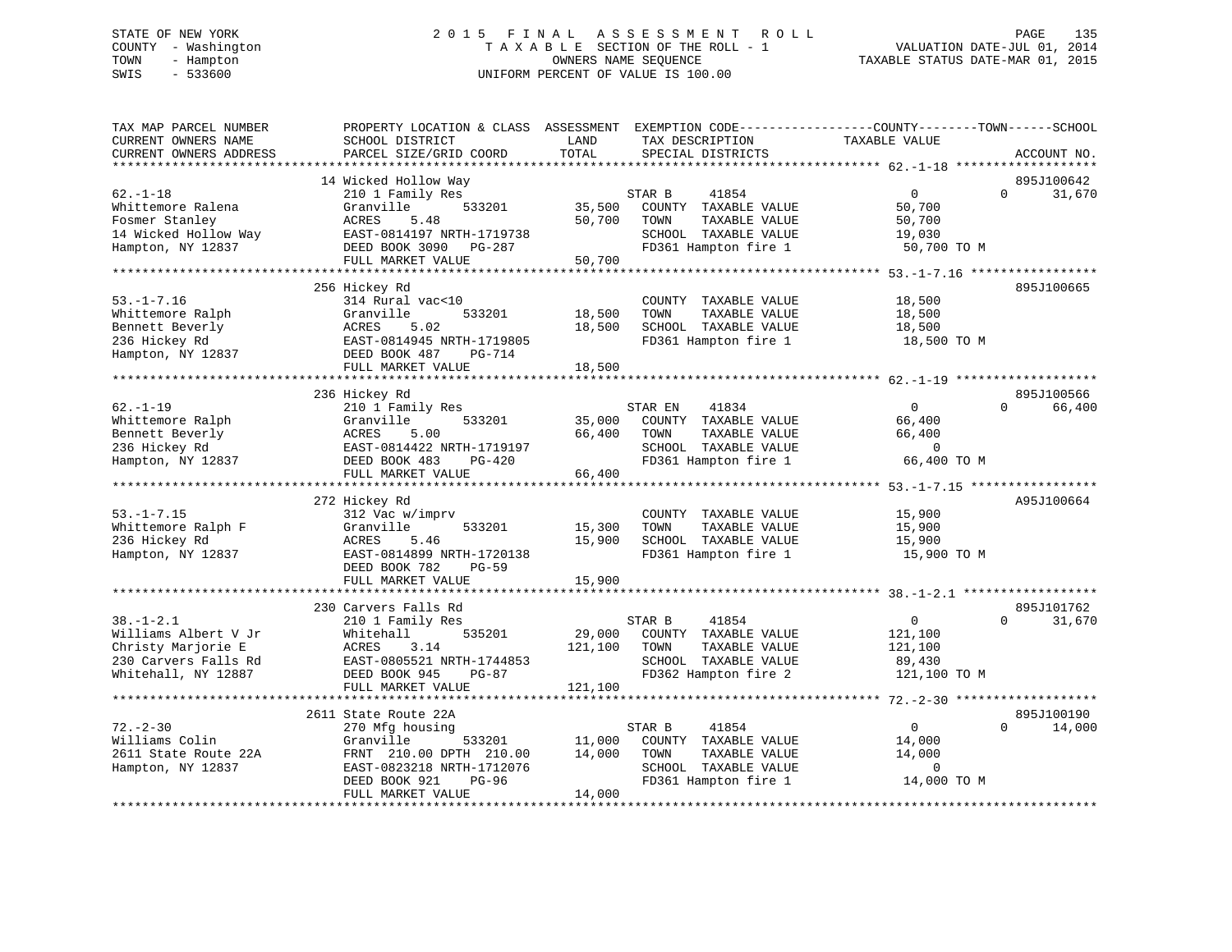# STATE OF NEW YORK 2 0 1 5 F I N A L A S S E S S M E N T R O L L PAGE 135 COUNTY - Washington T A X A B L E SECTION OF THE ROLL - 1 VALUATION DATE-JUL 01, 2014 TOWN - Hampton OWNERS NAME SEQUENCE TAXABLE STATUS DATE-MAR 01, 2015 SWIS - 533600 UNIFORM PERCENT OF VALUE IS 100.00

| TAX MAP PARCEL NUMBER<br>CURRENT OWNERS NAME                                                                 | PROPERTY LOCATION & CLASS ASSESSMENT<br>SCHOOL DISTRICT                                                                                                             | LAND                         | EXEMPTION CODE-----------------COUNTY-------TOWN------SCHOOL<br>TAX DESCRIPTION                                   | TAXABLE VALUE                                                  |                                  |
|--------------------------------------------------------------------------------------------------------------|---------------------------------------------------------------------------------------------------------------------------------------------------------------------|------------------------------|-------------------------------------------------------------------------------------------------------------------|----------------------------------------------------------------|----------------------------------|
| CURRENT OWNERS ADDRESS<br>********************                                                               | PARCEL SIZE/GRID COORD<br>********************                                                                                                                      | TOTAL                        | SPECIAL DISTRICTS                                                                                                 |                                                                | ACCOUNT NO.                      |
|                                                                                                              |                                                                                                                                                                     |                              |                                                                                                                   |                                                                |                                  |
| $62. - 1 - 18$<br>Whittemore Ralena<br>Fosmer Stanley<br>14 Wicked Hollow Way<br>Hampton, NY 12837           | 14 Wicked Hollow Way<br>210 1 Family Res<br>533201<br>Granville<br>ACRES<br>5.48<br>EAST-0814197 NRTH-1719738<br>DEED BOOK 3090 PG-287<br>FULL MARKET VALUE         | 35,500<br>50,700<br>50,700   | STAR B<br>41854<br>COUNTY TAXABLE VALUE<br>TOWN<br>TAXABLE VALUE<br>SCHOOL TAXABLE VALUE<br>FD361 Hampton fire 1  | $\overline{0}$<br>50,700<br>50,700<br>19,030<br>50,700 TO M    | 895J100642<br>$\Omega$<br>31,670 |
|                                                                                                              |                                                                                                                                                                     |                              |                                                                                                                   |                                                                |                                  |
| $53. - 1 - 7.16$<br>Whittemore Ralph<br>Bennett Beverly<br>236 Hickey Rd<br>Hampton, NY 12837                | 256 Hickey Rd<br>314 Rural vac<10<br>533201<br>Granville<br>5.02<br>ACRES<br>EAST-0814945 NRTH-1719805<br>DEED BOOK 487<br>PG-714<br>FULL MARKET VALUE              | 18,500<br>18,500<br>18,500   | COUNTY TAXABLE VALUE<br>TAXABLE VALUE<br>TOWN<br>SCHOOL TAXABLE VALUE<br>FD361 Hampton fire 1                     | 18,500<br>18,500<br>18,500<br>18,500 TO M                      | 895J100665                       |
|                                                                                                              |                                                                                                                                                                     |                              |                                                                                                                   |                                                                |                                  |
| $62. - 1 - 19$<br>Whittemore Ralph<br>Bennett Beverly<br>236 Hickey Rd<br>Hampton, NY 12837                  | 236 Hickey Rd<br>210 1 Family Res<br>Granville<br>533201<br>ACRES<br>5.00<br>EAST-0814422 NRTH-1719197<br>DEED BOOK 483<br>$PG-420$<br>FULL MARKET VALUE            | 35,000<br>66,400<br>66,400   | STAR EN<br>41834<br>COUNTY TAXABLE VALUE<br>TOWN<br>TAXABLE VALUE<br>SCHOOL TAXABLE VALUE<br>FD361 Hampton fire 1 | $\Omega$<br>66,400<br>66,400<br>$\mathbf 0$<br>66,400 TO M     | 895J100566<br>66,400<br>$\cap$   |
|                                                                                                              |                                                                                                                                                                     |                              |                                                                                                                   |                                                                |                                  |
| $53. - 1 - 7.15$<br>Whittemore Ralph F<br>236 Hickey Rd<br>Hampton, NY 12837                                 | 272 Hickey Rd<br>312 Vac w/imprv<br>533201<br>Granville<br><b>ACRES</b><br>5.46<br>EAST-0814899 NRTH-1720138<br>DEED BOOK 782<br>$PG-59$                            | 15,300<br>15,900             | COUNTY TAXABLE VALUE<br>TOWN<br>TAXABLE VALUE<br>SCHOOL TAXABLE VALUE<br>FD361 Hampton fire 1                     | 15,900<br>15,900<br>15,900<br>15,900 TO M                      | A95J100664                       |
|                                                                                                              | FULL MARKET VALUE                                                                                                                                                   | 15,900                       |                                                                                                                   |                                                                |                                  |
| $38. - 1 - 2.1$<br>Williams Albert V Jr<br>Christy Marjorie E<br>230 Carvers Falls Rd<br>Whitehall, NY 12887 | 230 Carvers Falls Rd<br>210 1 Family Res<br>535201<br>Whitehall<br><b>ACRES</b><br>3.14<br>EAST-0805521 NRTH-1744853<br>DEED BOOK 945<br>PG-87<br>FULL MARKET VALUE | 29,000<br>121,100<br>121,100 | STAR B<br>41854<br>COUNTY TAXABLE VALUE<br>TOWN<br>TAXABLE VALUE<br>SCHOOL TAXABLE VALUE<br>FD362 Hampton fire 2  | $\overline{0}$<br>121,100<br>121,100<br>89,430<br>121,100 TO M | 895J101762<br>$\Omega$<br>31,670 |
|                                                                                                              | 2611 State Route 22A                                                                                                                                                |                              |                                                                                                                   |                                                                | 895J100190                       |
| $72. - 2 - 30$<br>Williams Colin<br>2611 State Route 22A<br>Hampton, NY 12837                                | 270 Mfg housing<br>Granville<br>533201<br>FRNT 210.00 DPTH 210.00<br>EAST-0823218 NRTH-1712076<br>DEED BOOK 921<br>PG-96<br>FULL MARKET VALUE                       | 11,000<br>14,000<br>14,000   | STAR B<br>41854<br>COUNTY TAXABLE VALUE<br>TOWN<br>TAXABLE VALUE<br>SCHOOL TAXABLE VALUE<br>FD361 Hampton fire 1  | $\mathbf 0$<br>14,000<br>14,000<br>$\mathbf 0$<br>14,000 TO M  | 14,000<br>$\Omega$               |
|                                                                                                              |                                                                                                                                                                     |                              |                                                                                                                   |                                                                |                                  |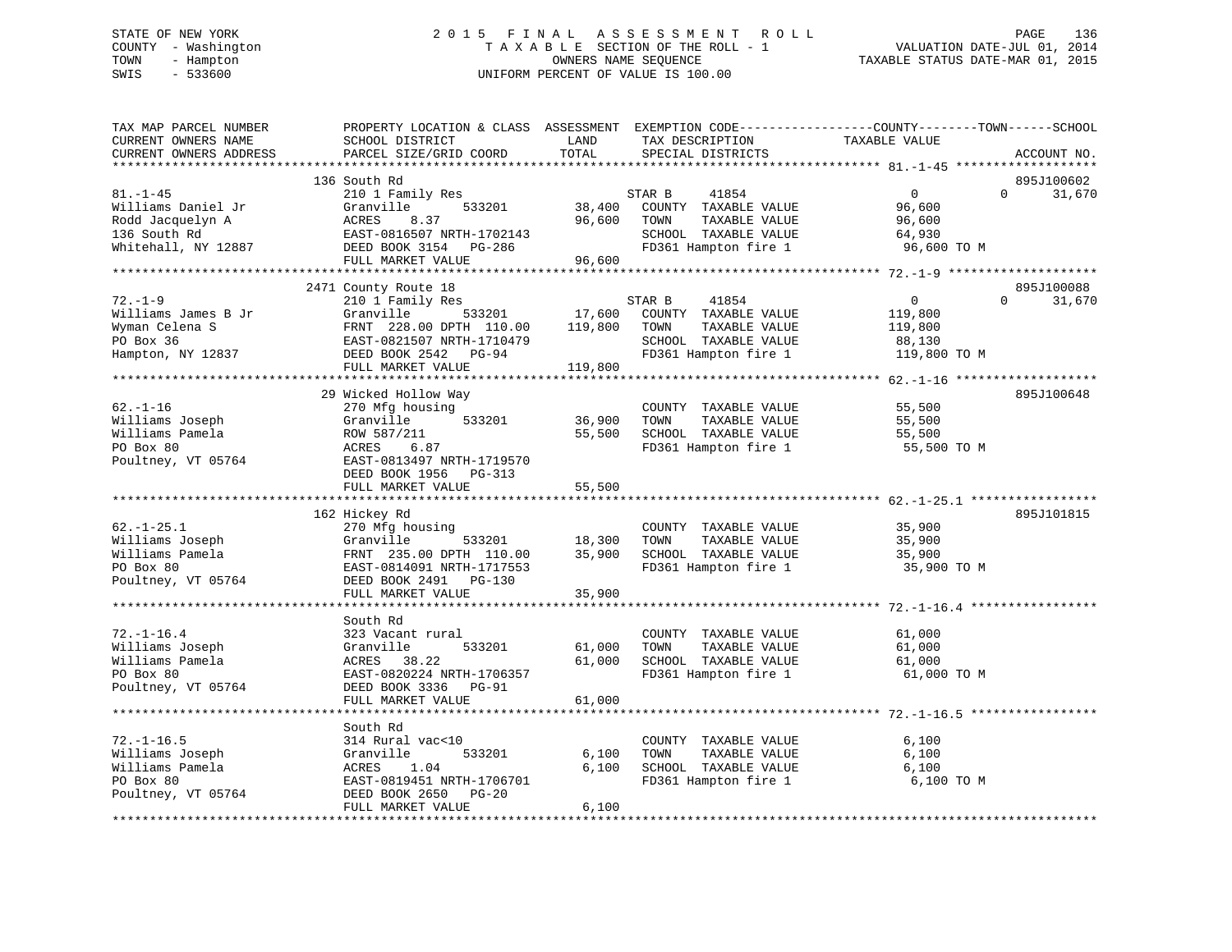# STATE OF NEW YORK 2 0 1 5 F I N A L A S S E S S M E N T R O L L PAGE 136 COUNTY - Washington T A X A B L E SECTION OF THE ROLL - 1 VALUATION DATE-JUL 01, 2014 TOWN - Hampton OWNERS NAME SEQUENCE TAXABLE STATUS DATE-MAR 01, 2015 SWIS - 533600 UNIFORM PERCENT OF VALUE IS 100.00

| TAX MAP PARCEL NUMBER<br>CURRENT OWNERS NAME<br>CURRENT OWNERS ADDRESS                          | PROPERTY LOCATION & CLASS ASSESSMENT<br>SCHOOL DISTRICT<br>PARCEL SIZE/GRID COORD                                                                             | LAND<br>TOTAL              | EXEMPTION CODE-----------------COUNTY-------TOWN------SCHOOL<br>TAX DESCRIPTION<br>SPECIAL DISTRICTS             | TAXABLE VALUE                                                  |          | ACCOUNT NO.          |
|-------------------------------------------------------------------------------------------------|---------------------------------------------------------------------------------------------------------------------------------------------------------------|----------------------------|------------------------------------------------------------------------------------------------------------------|----------------------------------------------------------------|----------|----------------------|
| *********************                                                                           | ***************************                                                                                                                                   |                            |                                                                                                                  |                                                                |          |                      |
| $81. - 1 - 45$<br>Williams Daniel Jr<br>Rodd Jacquelyn A<br>136 South Rd<br>Whitehall, NY 12887 | 136 South Rd<br>210 1 Family Res<br>Granville<br>533201<br>ACRES<br>8.37<br>EAST-0816507 NRTH-1702143<br>DEED BOOK 3154 PG-286                                | 38,400<br>96,600           | 41854<br>STAR B<br>COUNTY TAXABLE VALUE<br>TAXABLE VALUE<br>TOWN<br>SCHOOL TAXABLE VALUE<br>FD361 Hampton fire 1 | $\mathbf{0}$<br>96,600<br>96,600<br>64,930<br>96,600 TO M      | $\Omega$ | 895J100602<br>31,670 |
|                                                                                                 | FULL MARKET VALUE                                                                                                                                             | 96,600                     |                                                                                                                  |                                                                |          |                      |
|                                                                                                 |                                                                                                                                                               |                            |                                                                                                                  |                                                                |          |                      |
|                                                                                                 | 2471 County Route 18                                                                                                                                          |                            |                                                                                                                  |                                                                |          | 895J100088           |
| $72. - 1 - 9$<br>Williams James B Jr<br>Wyman Celena S<br>PO Box 36<br>Hampton, NY 12837        | 210 1 Family Res<br>Granville<br>533201<br>FRNT 228.00 DPTH 110.00<br>EAST-0821507 NRTH-1710479<br>DEED BOOK 2542 PG-94                                       | 17,600<br>119,800          | STAR B<br>41854<br>COUNTY TAXABLE VALUE<br>TOWN<br>TAXABLE VALUE<br>SCHOOL TAXABLE VALUE<br>FD361 Hampton fire 1 | $\overline{0}$<br>119,800<br>119,800<br>88,130<br>119,800 TO M | $\Omega$ | 31,670               |
|                                                                                                 | FULL MARKET VALUE                                                                                                                                             | 119,800                    |                                                                                                                  |                                                                |          |                      |
|                                                                                                 | 29 Wicked Hollow Way                                                                                                                                          |                            |                                                                                                                  |                                                                |          | 895J100648           |
| $62. - 1 - 16$<br>Williams Joseph<br>Williams Pamela<br>PO Box 80<br>Poultney, VT 05764         | 270 Mfg housing<br>Granville<br>533201<br>ROW 587/211<br>6.87<br>ACRES<br>EAST-0813497 NRTH-1719570<br>DEED BOOK 1956 PG-313                                  | 36,900<br>55,500           | COUNTY TAXABLE VALUE<br>TOWN<br>TAXABLE VALUE<br>SCHOOL TAXABLE VALUE<br>FD361 Hampton fire 1                    | 55,500<br>55,500<br>55,500<br>55,500 TO M                      |          |                      |
|                                                                                                 | FULL MARKET VALUE                                                                                                                                             | 55,500                     |                                                                                                                  |                                                                |          |                      |
|                                                                                                 |                                                                                                                                                               |                            |                                                                                                                  |                                                                |          |                      |
| $62. - 1 - 25.1$<br>Williams Joseph<br>Williams Pamela<br>PO Box 80<br>Poultney, VT 05764       | 162 Hickey Rd<br>270 Mfg housing<br>Granville<br>533201<br>FRNT 235.00 DPTH 110.00<br>EAST-0814091 NRTH-1717553<br>DEED BOOK 2491 PG-130<br>FULL MARKET VALUE | 18,300<br>35,900<br>35,900 | COUNTY TAXABLE VALUE<br>TAXABLE VALUE<br>TOWN<br>SCHOOL TAXABLE VALUE<br>FD361 Hampton fire 1                    | 35,900<br>35,900<br>35,900<br>35,900 TO M                      |          | 895J101815           |
|                                                                                                 |                                                                                                                                                               |                            |                                                                                                                  |                                                                |          |                      |
| $72. - 1 - 16.4$<br>Williams Joseph<br>Williams Pamela<br>PO Box 80                             | South Rd<br>323 Vacant rural<br>533201<br>Granville<br>38.22<br>ACRES<br>EAST-0820224 NRTH-1706357                                                            | 61,000<br>61,000           | COUNTY TAXABLE VALUE<br>TOWN<br>TAXABLE VALUE<br>SCHOOL TAXABLE VALUE<br>FD361 Hampton fire 1                    | 61,000<br>61,000<br>61,000<br>61,000 TO M                      |          |                      |
| Poultney, VT 05764                                                                              | DEED BOOK 3336<br>$PG-91$                                                                                                                                     |                            |                                                                                                                  |                                                                |          |                      |
|                                                                                                 | FULL MARKET VALUE<br>***********************************                                                                                                      | 61,000                     |                                                                                                                  |                                                                |          |                      |
|                                                                                                 | South Rd                                                                                                                                                      |                            |                                                                                                                  |                                                                |          |                      |
| $72. - 1 - 16.5$<br>Williams Joseph                                                             | 314 Rural vac<10<br>533201<br>Granville                                                                                                                       | 6,100                      | COUNTY TAXABLE VALUE<br>TAXABLE VALUE<br>TOWN                                                                    | 6,100<br>6,100                                                 |          |                      |
| Williams Pamela                                                                                 | 1.04<br>ACRES                                                                                                                                                 | 6,100                      | SCHOOL TAXABLE VALUE                                                                                             | 6,100                                                          |          |                      |
| PO Box 80<br>Poultney, VT 05764                                                                 | EAST-0819451 NRTH-1706701<br>DEED BOOK 2650<br>$PG-20$<br>FULL MARKET VALUE                                                                                   | 6,100                      | FD361 Hampton fire 1                                                                                             | 6,100 TO M                                                     |          |                      |
|                                                                                                 |                                                                                                                                                               |                            |                                                                                                                  |                                                                |          |                      |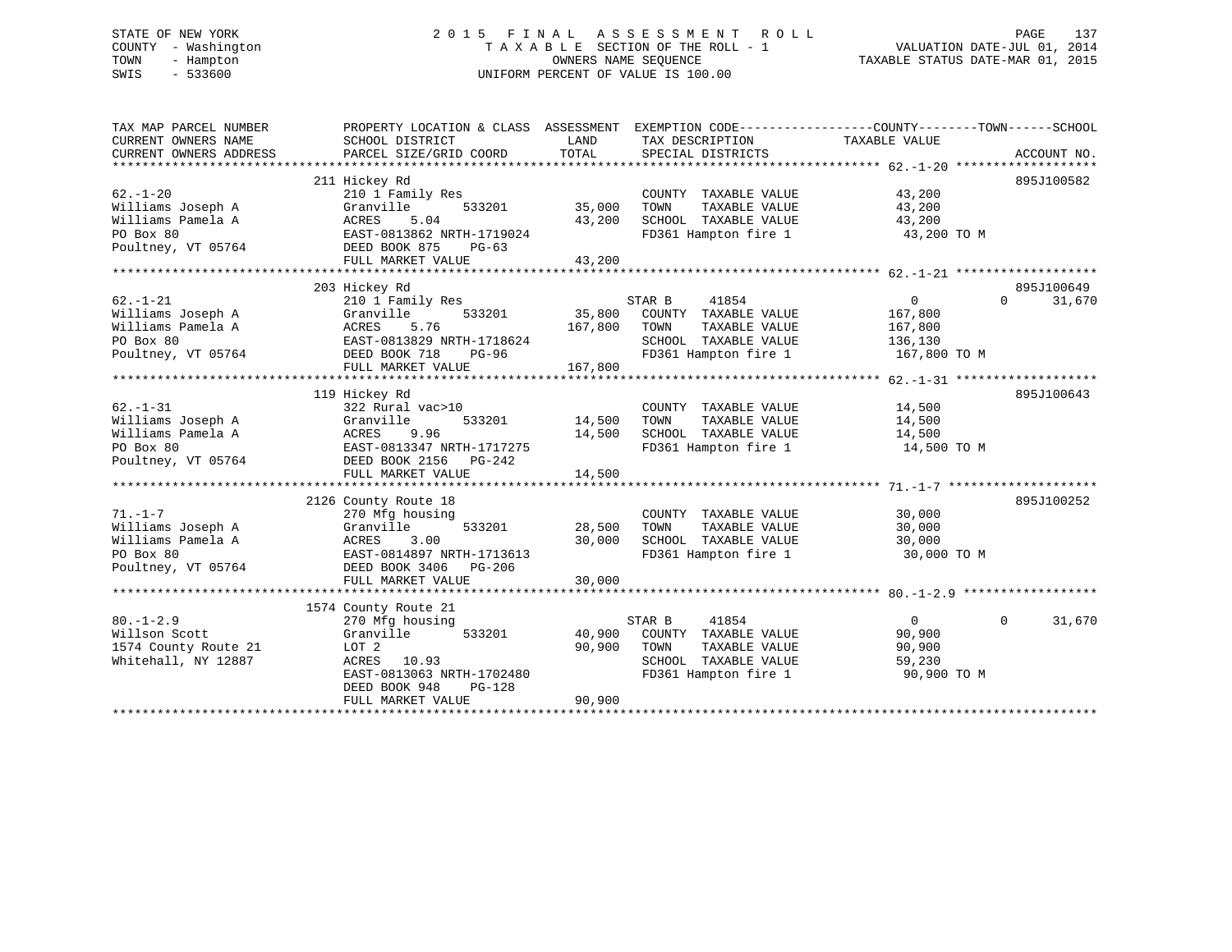# STATE OF NEW YORK 2 0 1 5 F I N A L A S S E S S M E N T R O L L PAGE 137 COUNTY - Washington T A X A B L E SECTION OF THE ROLL - 1 VALUATION DATE-JUL 01, 2014 TOWN - Hampton OWNERS NAME SEQUENCE TAXABLE STATUS DATE-MAR 01, 2015 SWIS - 533600 UNIFORM PERCENT OF VALUE IS 100.00

| TAX MAP PARCEL NUMBER<br>CURRENT OWNERS NAME | PROPERTY LOCATION & CLASS ASSESSMENT<br>SCHOOL DISTRICT | LAND    | EXEMPTION CODE----------------COUNTY-------TOWN------SCHOOL<br>TAX DESCRIPTION | TAXABLE VALUE  |                    |
|----------------------------------------------|---------------------------------------------------------|---------|--------------------------------------------------------------------------------|----------------|--------------------|
| CURRENT OWNERS ADDRESS                       | PARCEL SIZE/GRID COORD                                  | TOTAL   | SPECIAL DISTRICTS                                                              |                | ACCOUNT NO.        |
|                                              |                                                         |         |                                                                                |                |                    |
|                                              | 211 Hickey Rd                                           |         |                                                                                |                | 895J100582         |
| $62. - 1 - 20$                               | 210 1 Family Res                                        |         | COUNTY TAXABLE VALUE                                                           | 43,200         |                    |
| Williams Joseph A                            | Granville<br>533201                                     | 35,000  | TOWN<br>TAXABLE VALUE                                                          | 43,200         |                    |
| Williams Pamela A                            | ACRES<br>5.04                                           | 43,200  | SCHOOL TAXABLE VALUE                                                           | 43,200         |                    |
| PO Box 80                                    | EAST-0813862 NRTH-1719024                               |         | FD361 Hampton fire 1                                                           | 43,200 TO M    |                    |
| Poultney, VT 05764                           | DEED BOOK 875<br>$PG-63$                                |         |                                                                                |                |                    |
|                                              | FULL MARKET VALUE                                       | 43,200  |                                                                                |                |                    |
|                                              |                                                         |         |                                                                                |                |                    |
|                                              | 203 Hickey Rd                                           |         |                                                                                |                | 895J100649         |
| $62. - 1 - 21$                               | 210 1 Family Res                                        |         | STAR B<br>41854                                                                | $\overline{0}$ | $\Omega$<br>31,670 |
| Williams Joseph A                            | 533201<br>Granville                                     | 35,800  | COUNTY TAXABLE VALUE                                                           | 167,800        |                    |
| Williams Pamela A                            | 5.76<br>ACRES                                           | 167,800 | TOWN<br>TAXABLE VALUE                                                          | 167,800        |                    |
| PO Box 80                                    | EAST-0813829 NRTH-1718624                               |         | SCHOOL TAXABLE VALUE                                                           | 136,130        |                    |
| Poultney, VT 05764                           | DEED BOOK 718<br><b>PG-96</b>                           |         | FD361 Hampton fire 1                                                           | 167,800 TO M   |                    |
|                                              | FULL MARKET VALUE                                       | 167,800 |                                                                                |                |                    |
|                                              |                                                         |         |                                                                                |                |                    |
|                                              | 119 Hickey Rd                                           |         |                                                                                |                | 895J100643         |
| $62. - 1 - 31$                               | 322 Rural vac>10                                        |         | COUNTY TAXABLE VALUE                                                           | 14,500         |                    |
| Williams Joseph A                            | 533201<br>Granville                                     | 14,500  | TAXABLE VALUE<br>TOWN                                                          | 14,500         |                    |
| Williams Pamela A                            | ACRES<br>9.96                                           | 14,500  | SCHOOL TAXABLE VALUE                                                           | 14,500         |                    |
| PO Box 80                                    | EAST-0813347 NRTH-1717275                               |         | FD361 Hampton fire 1                                                           | 14,500 TO M    |                    |
| Poultney, VT 05764                           | DEED BOOK 2156    PG-242                                |         |                                                                                |                |                    |
|                                              | FULL MARKET VALUE                                       | 14,500  |                                                                                |                |                    |
|                                              |                                                         |         |                                                                                |                |                    |
|                                              | 2126 County Route 18                                    |         |                                                                                |                | 895J100252         |
| $71. - 1 - 7$                                | 270 Mfg housing                                         |         | COUNTY TAXABLE VALUE                                                           | 30,000         |                    |
| Williams Joseph A                            | Granville<br>533201                                     | 28,500  | TAXABLE VALUE<br>TOWN                                                          | 30,000         |                    |
| Williams Pamela A                            | ACRES<br>3.00                                           | 30,000  | SCHOOL TAXABLE VALUE                                                           | 30,000         |                    |
| PO Box 80                                    | EAST-0814897 NRTH-1713613                               |         | FD361 Hampton fire 1                                                           | 30,000 TO M    |                    |
| Poultney, VT 05764                           | DEED BOOK 3406 PG-206                                   |         |                                                                                |                |                    |
|                                              | FULL MARKET VALUE                                       | 30,000  |                                                                                |                |                    |
|                                              | 1574 County Route 21                                    |         |                                                                                |                |                    |
| $80. -1 - 2.9$                               |                                                         |         | STAR B                                                                         | $\overline{0}$ | 31,670<br>$\Omega$ |
| Willson Scott                                | 270 Mfg housing<br>Granville<br>533201                  | 40,900  | 41854<br>COUNTY TAXABLE VALUE                                                  | 90,900         |                    |
| 1574 County Route 21                         | LOT 2                                                   | 90,900  | TOWN<br>TAXABLE VALUE                                                          | 90,900         |                    |
| Whitehall, NY 12887                          | ACRES<br>10.93                                          |         | SCHOOL TAXABLE VALUE                                                           | 59,230         |                    |
|                                              | EAST-0813063 NRTH-1702480                               |         | FD361 Hampton fire 1                                                           | 90,900 TO M    |                    |
|                                              | DEED BOOK 948<br>$PG-128$                               |         |                                                                                |                |                    |
|                                              | FULL MARKET VALUE                                       | 90,900  |                                                                                |                |                    |
|                                              |                                                         |         |                                                                                |                |                    |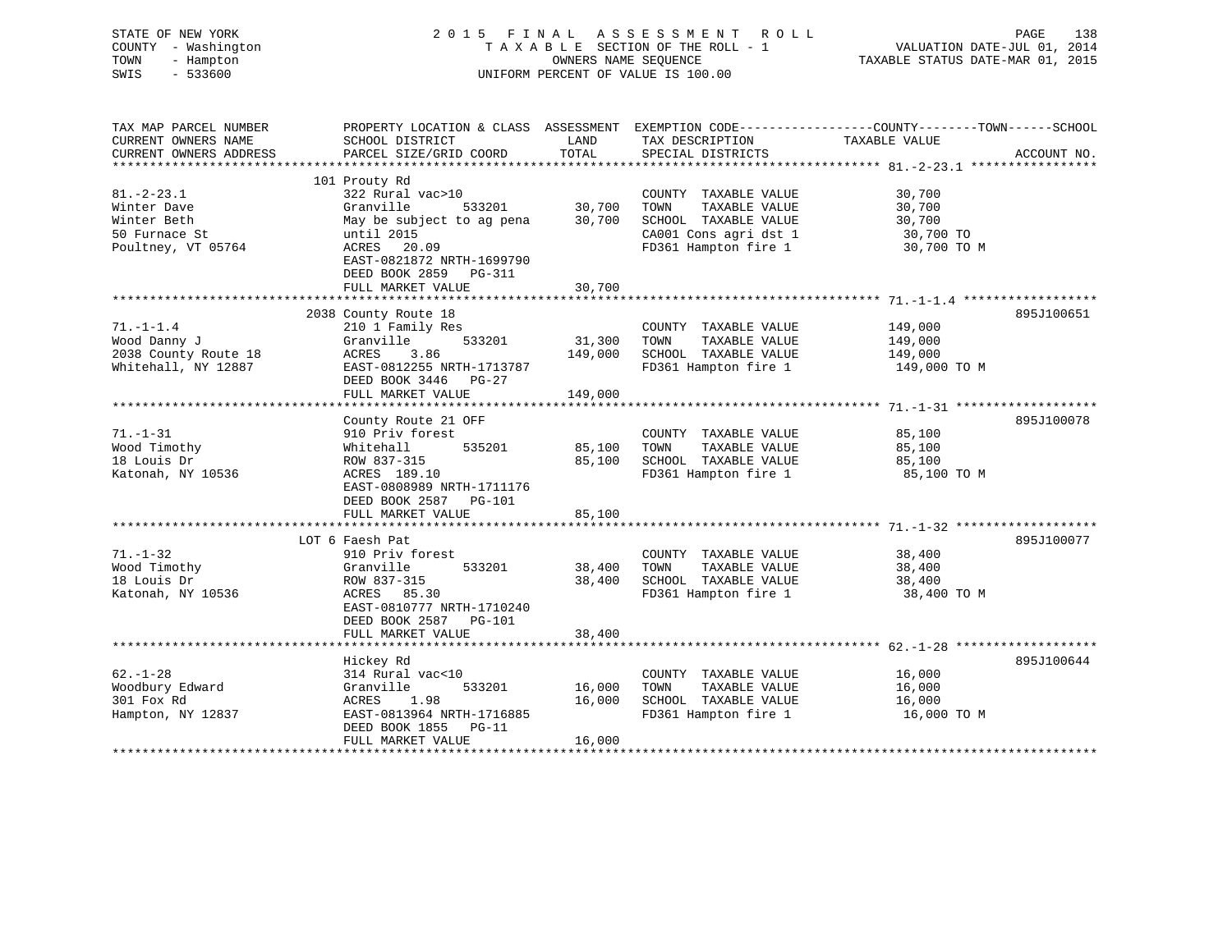| STATE OF NEW YORK<br>COUNTY - Washington<br>- Hampton<br>TOWN<br>SWIS<br>$-533600$ |                                                                        | OWNERS NAME SEQUENCE | 2015 FINAL ASSESSMENT ROLL<br>TAXABLE SECTION OF THE ROLL - 1<br>UNIFORM PERCENT OF VALUE IS 100.00 | VALUATION DATE-JUL 01, 2014<br>TAXABLE STATUS DATE-MAR 01, 2015 | PAGE<br>138 |
|------------------------------------------------------------------------------------|------------------------------------------------------------------------|----------------------|-----------------------------------------------------------------------------------------------------|-----------------------------------------------------------------|-------------|
| TAX MAP PARCEL NUMBER<br>CURRENT OWNERS NAME                                       |                                                                        | LAND                 | PROPERTY LOCATION & CLASS ASSESSMENT EXEMPTION CODE---------------COUNTY-------TOWN------SCHOOL     | TAXABLE VALUE                                                   |             |
| CURRENT OWNERS ADDRESS                                                             | SCHOOL DISTRICT<br>PARCEL SIZE/GRID COORD                              | TOTAL                | TAX DESCRIPTION<br>SPECIAL DISTRICTS                                                                |                                                                 | ACCOUNT NO. |
|                                                                                    |                                                                        |                      |                                                                                                     |                                                                 |             |
|                                                                                    | 101 Prouty Rd                                                          |                      |                                                                                                     |                                                                 |             |
| $81. - 2 - 23.1$                                                                   | 322 Rural vac>10                                                       |                      | COUNTY TAXABLE VALUE                                                                                | 30,700                                                          |             |
| Winter Dave                                                                        | Granville<br>533201                                                    | 30,700               | TOWN<br>TAXABLE VALUE                                                                               | 30,700                                                          |             |
| Winter Beth                                                                        | May be subject to ag pena                                              | 30,700               | SCHOOL TAXABLE VALUE                                                                                | 30,700                                                          |             |
| 50 Furnace St                                                                      | until 2015                                                             |                      | CA001 Cons agri dst 1                                                                               | 30,700 TO                                                       |             |
| Poultney, VT 05764                                                                 | ACRES 20.09<br>EAST-0821872 NRTH-1699790<br>DEED BOOK 2859 PG-311      |                      | FD361 Hampton fire 1                                                                                | 30,700 TO M                                                     |             |
|                                                                                    | FULL MARKET VALUE                                                      | 30,700               |                                                                                                     |                                                                 |             |
|                                                                                    |                                                                        |                      |                                                                                                     |                                                                 |             |
|                                                                                    | 2038 County Route 18                                                   |                      |                                                                                                     |                                                                 | 895J100651  |
| $71. - 1 - 1.4$                                                                    | 210 1 Family Res                                                       |                      | COUNTY TAXABLE VALUE                                                                                | 149,000                                                         |             |
| Wood Danny J                                                                       | Granville<br>533201                                                    | 31,300               | TOWN<br>TAXABLE VALUE                                                                               | 149,000                                                         |             |
| 2038 County Route 18                                                               | ACRES<br>3.86                                                          |                      | 149,000 SCHOOL TAXABLE VALUE                                                                        | 149,000                                                         |             |
| Whitehall, NY 12887                                                                | EAST-0812255 NRTH-1713787<br>DEED BOOK 3446 PG-27<br>FULL MARKET VALUE | 149,000              | FD361 Hampton fire 1                                                                                | 149,000 TO M                                                    |             |
|                                                                                    | **********************                                                 | **********           |                                                                                                     |                                                                 |             |
|                                                                                    | County Route 21 OFF                                                    |                      |                                                                                                     |                                                                 | 895J100078  |
| $71. - 1 - 31$                                                                     | 910 Priv forest                                                        |                      | COUNTY TAXABLE VALUE                                                                                | 85,100                                                          |             |
| Wood Timothy                                                                       | 535201<br>Whitehall                                                    | 85,100               | TOWN<br>TAXABLE VALUE                                                                               | 85,100                                                          |             |
| 18 Louis Dr                                                                        | ROW 837-315                                                            | 85,100               | SCHOOL TAXABLE VALUE                                                                                | 85,100                                                          |             |
| Katonah, NY 10536                                                                  | ACRES 189.10<br>EAST-0808989 NRTH-1711176<br>DEED BOOK 2587 PG-101     |                      | FD361 Hampton fire 1                                                                                | 85,100 TO M                                                     |             |
|                                                                                    | FULL MARKET VALUE<br>********************************                  | 85,100               |                                                                                                     |                                                                 |             |
|                                                                                    | LOT 6 Faesh Pat                                                        |                      |                                                                                                     |                                                                 | 895J100077  |
| $71. - 1 - 32$                                                                     | 910 Priv forest                                                        |                      | COUNTY TAXABLE VALUE                                                                                | 38,400                                                          |             |
| Wood Timothy                                                                       | 533201<br>Granville                                                    | 38,400               | TOWN<br>TAXABLE VALUE                                                                               | 38,400                                                          |             |
| 18 Louis Dr                                                                        | ROW 837-315                                                            | 38,400               | SCHOOL TAXABLE VALUE                                                                                | 38,400                                                          |             |
| Katonah, NY 10536                                                                  | ACRES 85.30                                                            |                      | FD361 Hampton fire 1                                                                                | 38,400 TO M                                                     |             |
|                                                                                    | EAST-0810777 NRTH-1710240                                              |                      |                                                                                                     |                                                                 |             |
|                                                                                    | DEED BOOK 2587 PG-101                                                  |                      |                                                                                                     |                                                                 |             |
|                                                                                    | FULL MARKET VALUE                                                      | 38,400               |                                                                                                     |                                                                 |             |
|                                                                                    | ****************************                                           |                      |                                                                                                     |                                                                 |             |
|                                                                                    | Hickey Rd                                                              |                      |                                                                                                     |                                                                 | 895J100644  |
| $62. - 1 - 28$                                                                     | 314 Rural vac<10                                                       |                      | COUNTY TAXABLE VALUE                                                                                | 16,000                                                          |             |
| Woodbury Edward                                                                    | 533201<br>Granville                                                    | 16,000               | TOWN<br>TAXABLE VALUE                                                                               | 16,000                                                          |             |
| 301 Fox Rd                                                                         | ACRES<br>1.98                                                          |                      | 16,000 SCHOOL TAXABLE VALUE                                                                         | 16,000                                                          |             |
| Hampton, NY 12837                                                                  | EAST-0813964 NRTH-1716885<br>DEED BOOK 1855<br>$PG-11$                 |                      | FD361 Hampton fire 1                                                                                | 16,000 TO M                                                     |             |
|                                                                                    | FULL MARKET VALUE                                                      | 16,000               |                                                                                                     |                                                                 |             |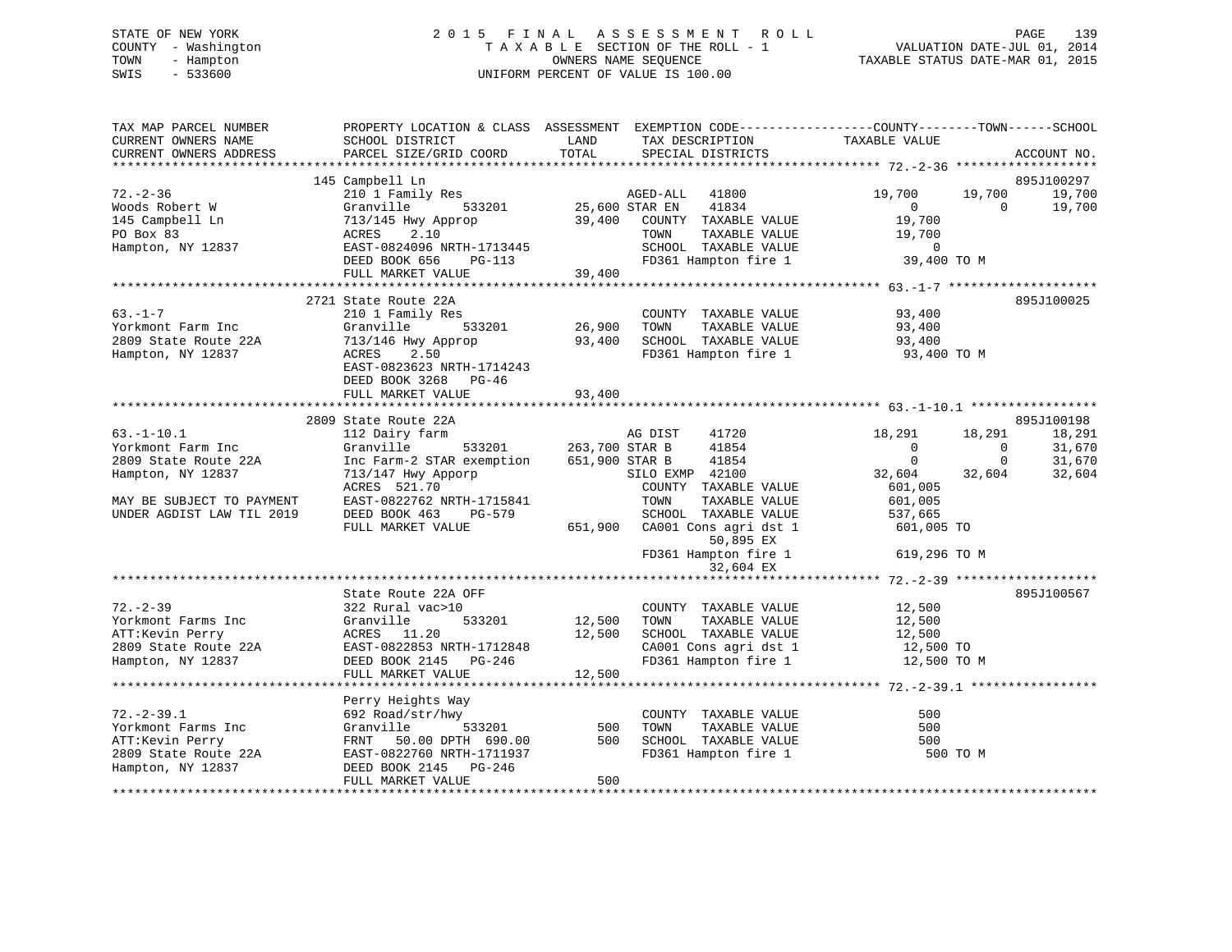# STATE OF NEW YORK 2 0 1 5 F I N A L A S S E S S M E N T R O L L PAGE 139 COUNTY - Washington T A X A B L E SECTION OF THE ROLL - 1 VALUATION DATE-JUL 01, 2014 TOWN - Hampton OWNERS NAME SEQUENCE TAXABLE STATUS DATE-MAR 01, 2015 SWIS - 533600 UNIFORM PERCENT OF VALUE IS 100.00

| TAX MAP PARCEL NUMBER<br>CURRENT OWNERS NAME<br>CURRENT OWNERS ADDRESS | PROPERTY LOCATION & CLASS ASSESSMENT EXEMPTION CODE---------------COUNTY-------TOWN-----SCHOOL<br>SCHOOL DISTRICT<br>PARCEL SIZE/GRID COORD | LAND<br>TOTAL         | TAX DESCRIPTION TAXABLE VALUE SPECIAL DISTRICTS                |                |                          | ACCOUNT NO. |
|------------------------------------------------------------------------|---------------------------------------------------------------------------------------------------------------------------------------------|-----------------------|----------------------------------------------------------------|----------------|--------------------------|-------------|
|                                                                        | 145 Campbell Ln                                                                                                                             |                       |                                                                |                |                          | 895J100297  |
| $72. - 2 - 36$                                                         | 210 1 Family Res                                                                                                                            |                       | AGED-ALL 41800                                                 | 19,700         | 19,700                   | 19,700      |
| Woods Robert W                                                         | Granville                                                                                                                                   | 533201 25,600 STAR EN | 41834                                                          | $\overline{0}$ | $\overline{0}$           | 19,700      |
| 145 Campbell Ln                                                        | 713/145 Hwy Approp                                                                                                                          |                       | 39,400 COUNTY TAXABLE VALUE                                    | 19,700         |                          |             |
| PO Box 83                                                              | ACRES 2.10                                                                                                                                  |                       | TAXABLE VALUE<br>TOWN                                          | 19,700         |                          |             |
| Hampton, NY 12837                                                      | EAST-0824096 NRTH-1713445                                                                                                                   |                       | SCHOOL TAXABLE VALUE                                           | $\overline{0}$ |                          |             |
|                                                                        | DEED BOOK 656<br>PG-113                                                                                                                     | 39,400                | FD361 Hampton fire 1 39,400 TO M                               |                |                          |             |
|                                                                        | FULL MARKET VALUE                                                                                                                           |                       |                                                                |                |                          |             |
|                                                                        |                                                                                                                                             |                       |                                                                |                |                          |             |
|                                                                        | 2721 State Route 22A                                                                                                                        |                       |                                                                |                |                          | 895J100025  |
| $63. -1 - 7$                                                           | 210 1 Family Res                                                                                                                            |                       | COUNTY TAXABLE VALUE                                           | 93,400         |                          |             |
| Yorkmont Farm Inc                                                      | Granville                                                                                                                                   |                       | TAXABLE VALUE<br>TOWN                                          | 93,400         |                          |             |
| 2809 State Route 22A                                                   | 713/146 Hwy Approp                                                                                                                          | 93,400                | SCHOOL TAXABLE VALUE                                           | 93,400         |                          |             |
| Hampton, NY 12837                                                      | ACRES<br>2.50                                                                                                                               |                       | FD361 Hampton fire 1 93,400 TO M                               |                |                          |             |
|                                                                        | EAST-0823623 NRTH-1714243                                                                                                                   |                       |                                                                |                |                          |             |
|                                                                        | DEED BOOK 3268 PG-46                                                                                                                        |                       |                                                                |                |                          |             |
|                                                                        | FULL MARKET VALUE                                                                                                                           | 93,400                |                                                                |                |                          |             |
|                                                                        | 2809 State Route 22A                                                                                                                        |                       |                                                                |                |                          | 895J100198  |
| $63. -1 - 10.1$                                                        | 112 Dairy farm                                                                                                                              |                       | AG DIST<br>41720                                               | 18,291         | 18,291                   | 18,291      |
| Yorkmont Farm Inc                                                      | Granville                                                                                                                                   | 533201 263,700 STAR B | 41854                                                          | $\overline{0}$ | $\overline{0}$           | 31,670      |
| 2809 State Route 22A                                                   | Inc Farm-2 STAR exemption 651,900 STAR B                                                                                                    |                       | 41854                                                          | $\mathbf{0}$   | $\overline{\phantom{0}}$ | 31,670      |
| Hampton, NY 12837                                                      | 713/147 Hwy Apporp                                                                                                                          |                       | SILO EXMP 42100                                                | 32,604         | 32,604                   | 32,604      |
|                                                                        | ACRES 521.70                                                                                                                                |                       | COUNTY TAXABLE VALUE                                           | 601,005        |                          |             |
| MAY BE SUBJECT TO PAYMENT                                              | EAST-0822762 NRTH-1715841                                                                                                                   |                       | TOWN<br>TAXABLE VALUE                                          | 601,005        |                          |             |
| UNDER AGDIST LAW TIL 2019                                              | DEED BOOK 463<br>PG-579                                                                                                                     |                       | SCHOOL TAXABLE VALUE                                           | 537,665        |                          |             |
|                                                                        | FULL MARKET VALUE                                                                                                                           |                       | 651,900 CA001 Cons agri dst 1                                  | 601,005 TO     |                          |             |
|                                                                        |                                                                                                                                             |                       | 50,895 EX                                                      |                |                          |             |
|                                                                        |                                                                                                                                             |                       | FD361 Hampton fire 1                                           | 619,296 TO M   |                          |             |
|                                                                        |                                                                                                                                             |                       | 32,604 EX                                                      |                |                          |             |
|                                                                        |                                                                                                                                             |                       |                                                                |                |                          |             |
|                                                                        | State Route 22A OFF                                                                                                                         |                       |                                                                |                |                          | 895J100567  |
| $72. - 2 - 39$                                                         | 322 Rural vac>10                                                                                                                            | 12,500                | COUNTY TAXABLE VALUE                                           | 12,500         |                          |             |
| Yorkmont Farms Inc                                                     | Granville<br>533201                                                                                                                         |                       | TOWN<br>TAXABLE VALUE                                          | 12,500         |                          |             |
| ATT:Kevin Perry                                                        | ACRES 11.20                                                                                                                                 | 12,500                | SCHOOL TAXABLE VALUE 12,500<br>CA001 Cons agri dst 1 12,500 TO |                |                          |             |
| 2809 State Route 22A                                                   | EAST-0822853 NRTH-1712848                                                                                                                   |                       | CA001 Cons agri dst 1<br>FD361 Hampton fire 1                  |                |                          |             |
| Hampton, NY 12837                                                      | DEED BOOK 2145 PG-246                                                                                                                       |                       |                                                                | 12,500 TO M    |                          |             |
|                                                                        | FULL MARKET VALUE                                                                                                                           | 12,500                |                                                                |                |                          |             |
|                                                                        |                                                                                                                                             |                       |                                                                |                |                          |             |
|                                                                        | Perry Heights Way                                                                                                                           |                       |                                                                |                |                          |             |
| $72. - 2 - 39.1$                                                       | 692 Road/str/hwy                                                                                                                            |                       | COUNTY TAXABLE VALUE                                           | 500            |                          |             |
| Yorkmont Farms Inc                                                     | 533201<br>Granville                                                                                                                         | 500                   | TOWN<br>TAXABLE VALUE                                          | 500            |                          |             |
| ATT:Kevin Perry                                                        | FRNT 50.00 DPTH 690.00                                                                                                                      | 500                   | FD361 Hampton fire 1                                           | 500            |                          |             |
| 2809 State Route 22A                                                   | EAST-0822760 NRTH-1711937                                                                                                                   |                       |                                                                | 500 TO M       |                          |             |
| Hampton, NY 12837                                                      | DEED BOOK 2145 PG-246<br>FULL MARKET VALUE                                                                                                  | 500                   |                                                                |                |                          |             |
|                                                                        |                                                                                                                                             |                       |                                                                |                |                          |             |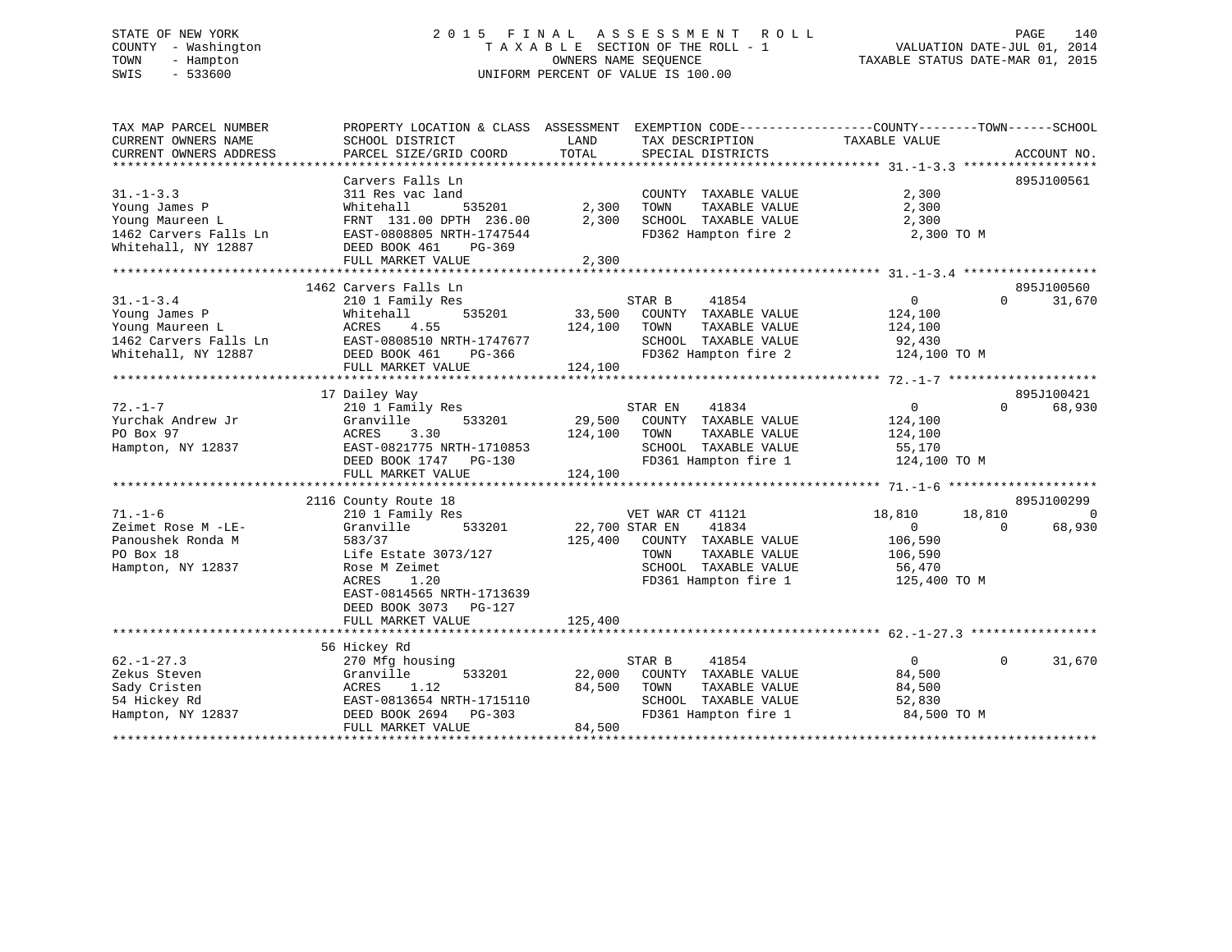# STATE OF NEW YORK 2 0 1 5 F I N A L A S S E S S M E N T R O L L PAGE 140 COUNTY - Washington T A X A B L E SECTION OF THE ROLL - 1 VALUATION DATE-JUL 01, 2014 TOWN - Hampton OWNERS NAME SEQUENCE TAXABLE STATUS DATE-MAR 01, 2015 SWIS - 533600 UNIFORM PERCENT OF VALUE IS 100.00

| SCHOOL DISTRICT<br>PARCEL SIZE/GRID COORD                                                                                               | LAND<br>TOTAL                                                                                                                                                                                                                             | TAX DESCRIPTION<br>SPECIAL DISTRICTS                                                                   | TAXABLE VALUE                                                                                                                                                      |                           | ACCOUNT NO.                                                                                                                                         |
|-----------------------------------------------------------------------------------------------------------------------------------------|-------------------------------------------------------------------------------------------------------------------------------------------------------------------------------------------------------------------------------------------|--------------------------------------------------------------------------------------------------------|--------------------------------------------------------------------------------------------------------------------------------------------------------------------|---------------------------|-----------------------------------------------------------------------------------------------------------------------------------------------------|
|                                                                                                                                         |                                                                                                                                                                                                                                           |                                                                                                        |                                                                                                                                                                    |                           |                                                                                                                                                     |
| Carvers Falls Ln<br>311 Res vac land<br>535201<br>Whitehall                                                                             | 2,300                                                                                                                                                                                                                                     | COUNTY TAXABLE VALUE<br>TOWN<br>TAXABLE VALUE                                                          | 2,300<br>2,300                                                                                                                                                     |                           | 895J100561                                                                                                                                          |
| EAST-0808805 NRTH-1747544<br>DEED BOOK 461<br>PG-369                                                                                    |                                                                                                                                                                                                                                           | SCHOOL TAXABLE VALUE<br>FD362 Hampton fire 2                                                           |                                                                                                                                                                    |                           |                                                                                                                                                     |
|                                                                                                                                         |                                                                                                                                                                                                                                           |                                                                                                        |                                                                                                                                                                    |                           |                                                                                                                                                     |
|                                                                                                                                         |                                                                                                                                                                                                                                           |                                                                                                        |                                                                                                                                                                    |                           | 895J100560                                                                                                                                          |
| 210 1 Family Res<br>Whitehall<br>535201<br>4.55<br>ACRES<br>EAST-0808510 NRTH-1747677                                                   | 33,500<br>124,100                                                                                                                                                                                                                         | 41854<br>COUNTY TAXABLE VALUE<br>TOWN<br>TAXABLE VALUE<br>SCHOOL TAXABLE VALUE                         | $\overline{0}$<br>124,100<br>124,100<br>92,430                                                                                                                     | $\Omega$                  | 31,670                                                                                                                                              |
| FULL MARKET VALUE                                                                                                                       | 124,100                                                                                                                                                                                                                                   |                                                                                                        |                                                                                                                                                                    |                           |                                                                                                                                                     |
|                                                                                                                                         |                                                                                                                                                                                                                                           |                                                                                                        |                                                                                                                                                                    |                           |                                                                                                                                                     |
| 17 Dailey Way                                                                                                                           |                                                                                                                                                                                                                                           |                                                                                                        |                                                                                                                                                                    |                           | 895J100421                                                                                                                                          |
| 533201<br>Granville<br>ACRES<br>3.30                                                                                                    | 29,500<br>124,100                                                                                                                                                                                                                         | COUNTY TAXABLE VALUE<br>TOWN<br>TAXABLE VALUE                                                          | $\overline{0}$<br>124,100<br>124,100                                                                                                                               | $\Omega$                  | 68,930                                                                                                                                              |
| DEED BOOK 1747<br>PG-130<br>FULL MARKET VALUE                                                                                           | 124,100                                                                                                                                                                                                                                   | FD361 Hampton fire 1                                                                                   |                                                                                                                                                                    |                           |                                                                                                                                                     |
|                                                                                                                                         |                                                                                                                                                                                                                                           |                                                                                                        |                                                                                                                                                                    |                           |                                                                                                                                                     |
|                                                                                                                                         |                                                                                                                                                                                                                                           |                                                                                                        |                                                                                                                                                                    |                           | 895J100299<br>$\Omega$                                                                                                                              |
| 533201<br>Granville<br>583/37<br>Life Estate 3073/127<br>Rose M Zeimet<br>1.20<br>ACRES<br>EAST-0814565 NRTH-1713639                    | 125,400                                                                                                                                                                                                                                   | 41834<br>COUNTY TAXABLE VALUE<br>TOWN<br>TAXABLE VALUE<br>SCHOOL TAXABLE VALUE<br>FD361 Hampton fire 1 | $\Omega$<br>106,590<br>106,590<br>56,470                                                                                                                           | $\Omega$                  | 68,930                                                                                                                                              |
| FULL MARKET VALUE                                                                                                                       | 125,400                                                                                                                                                                                                                                   |                                                                                                        |                                                                                                                                                                    |                           |                                                                                                                                                     |
|                                                                                                                                         |                                                                                                                                                                                                                                           |                                                                                                        |                                                                                                                                                                    |                           |                                                                                                                                                     |
| 270 Mfg housing<br>533201<br>Granville<br>ACRES<br>1.12<br>EAST-0813654 NRTH-1715110<br>DEED BOOK 2694<br>$PG-303$<br>FULL MARKET VALUE | 22,000<br>84,500<br>84,500                                                                                                                                                                                                                | 41854<br>COUNTY TAXABLE VALUE<br>TAXABLE VALUE<br>TOWN<br>SCHOOL TAXABLE VALUE<br>FD361 Hampton fire 1 | $\Omega$<br>84,500<br>84,500<br>52,830                                                                                                                             | $\Omega$                  | 31,670                                                                                                                                              |
|                                                                                                                                         | FRNT 131.00 DPTH 236.00<br>FULL MARKET VALUE<br>1462 Carvers Falls Ln<br>DEED BOOK 461<br>PG-366<br>210 1 Family Res<br>EAST-0821775 NRTH-1710853<br>2116 County Route 18<br>210 1 Family Res<br>DEED BOOK 3073<br>PG-127<br>56 Hickey Rd | 2,300<br>2,300                                                                                         | PROPERTY LOCATION & CLASS ASSESSMENT<br>STAR B<br>FD362 Hampton fire 2<br>41834<br>STAR EN<br>SCHOOL TAXABLE VALUE<br>VET WAR CT 41121<br>22,700 STAR EN<br>STAR B | 2,300<br>55,170<br>18,810 | EXEMPTION CODE-----------------COUNTY-------TOWN------SCHOOL<br>2,300 TO M<br>124,100 TO M<br>124,100 TO M<br>18,810<br>125,400 TO M<br>84,500 TO M |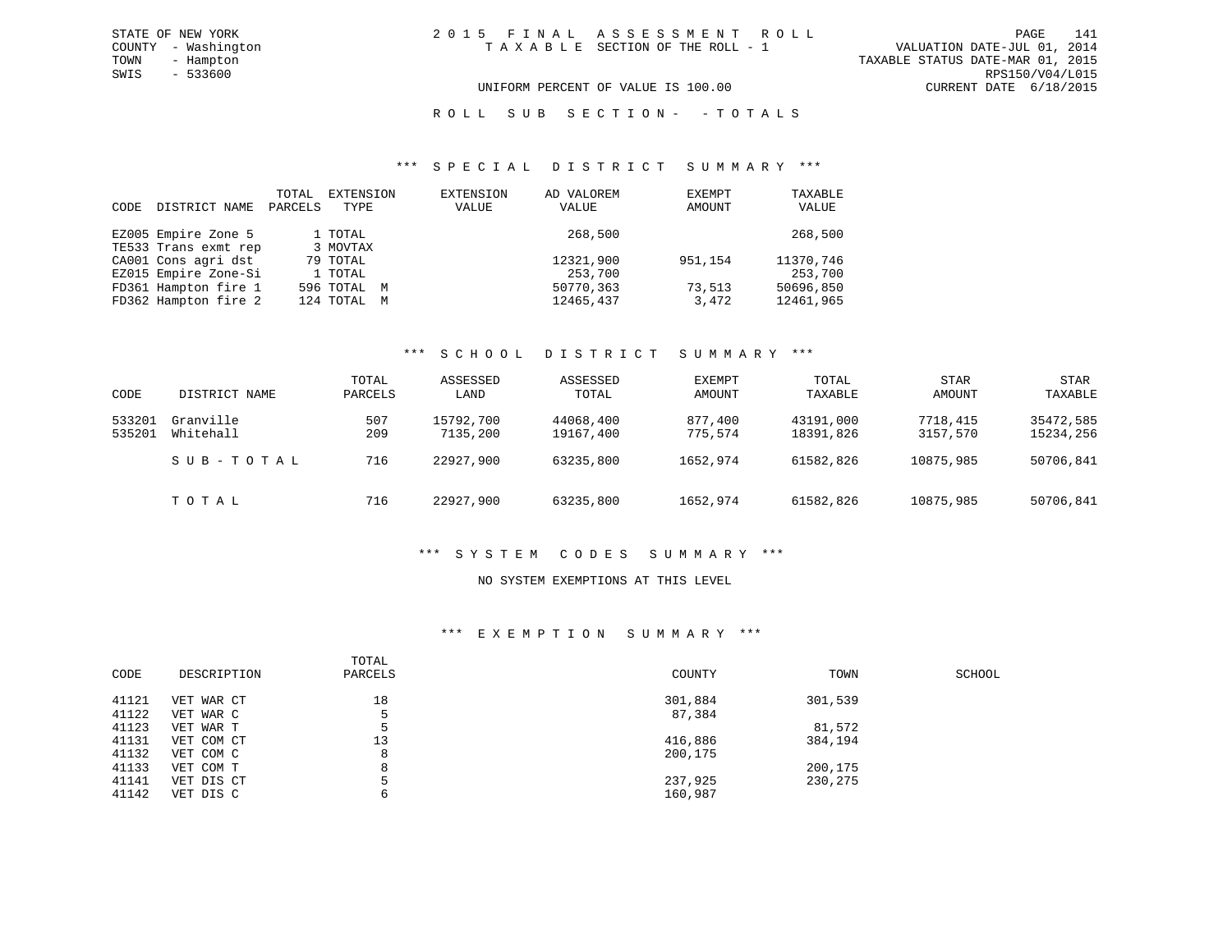#### UNIFORM PERCENT OF VALUE IS 100.00 CURRENT DATE 6/18/2015

#### R O L L S U B S E C T I O N - - T O T A L S

#### \*\*\* S P E C I A L D I S T R I C T S U M M A R Y \*\*\*

| CODE | DISTRICT NAME        | TOTAL<br>PARCELS | EXTENSION<br>TYPE | EXTENSION<br>VALUE | AD VALOREM<br>VALUE | EXEMPT<br>AMOUNT | TAXABLE<br>VALUE |
|------|----------------------|------------------|-------------------|--------------------|---------------------|------------------|------------------|
|      | EZ005 Empire Zone 5  |                  | 1 TOTAL           |                    | 268,500             |                  | 268,500          |
|      | TE533 Trans exmt rep |                  | 3 MOVTAX          |                    |                     |                  |                  |
|      | CA001 Cons agri dst  |                  | 79 TOTAL          |                    | 12321,900           | 951,154          | 11370,746        |
|      | EZ015 Empire Zone-Si |                  | 1 TOTAL           |                    | 253,700             |                  | 253,700          |
|      | FD361 Hampton fire 1 |                  | 596 TOTAL M       |                    | 50770,363           | 73,513           | 50696,850        |
|      | FD362 Hampton fire 2 |                  | 124 TOTAL M       |                    | 12465,437           | 3,472            | 12461,965        |

#### \*\*\* S C H O O L D I S T R I C T S U M M A R Y \*\*\*

| CODE             | DISTRICT NAME          | TOTAL<br>PARCELS | ASSESSED<br>LAND      | ASSESSED<br>TOTAL      | EXEMPT<br>AMOUNT   | TOTAL<br>TAXABLE       | <b>STAR</b><br>AMOUNT | STAR<br>TAXABLE        |
|------------------|------------------------|------------------|-----------------------|------------------------|--------------------|------------------------|-----------------------|------------------------|
| 533201<br>535201 | Granville<br>Whitehall | 507<br>209       | 15792,700<br>7135,200 | 44068,400<br>19167,400 | 877,400<br>775,574 | 43191,000<br>18391,826 | 7718,415<br>3157,570  | 35472,585<br>15234,256 |
|                  | SUB-TOTAL              | 716              | 22927,900             | 63235,800              | 1652,974           | 61582,826              | 10875,985             | 50706,841              |
|                  | TOTAL                  | 716              | 22927,900             | 63235,800              | 1652,974           | 61582,826              | 10875,985             | 50706,841              |

#### \*\*\* S Y S T E M C O D E S S U M M A R Y \*\*\*

#### NO SYSTEM EXEMPTIONS AT THIS LEVEL

#### \*\*\* E X E M P T I O N S U M M A R Y \*\*\*

| CODE  | DESCRIPTION | TOTAL<br>PARCELS | COUNTY  | TOWN    | SCHOOL |
|-------|-------------|------------------|---------|---------|--------|
| 41121 | VET WAR CT  | 18               | 301,884 | 301,539 |        |
| 41122 | VET WAR C   | 5                | 87,384  |         |        |
| 41123 | VET WAR T   |                  |         | 81,572  |        |
| 41131 | VET COM CT  | 13               | 416,886 | 384,194 |        |
| 41132 | VET COM C   | 8                | 200,175 |         |        |
| 41133 | VET COM T   | 8                |         | 200,175 |        |
| 41141 | VET DIS CT  |                  | 237,925 | 230,275 |        |
| 41142 | VET DIS C   |                  | 160,987 |         |        |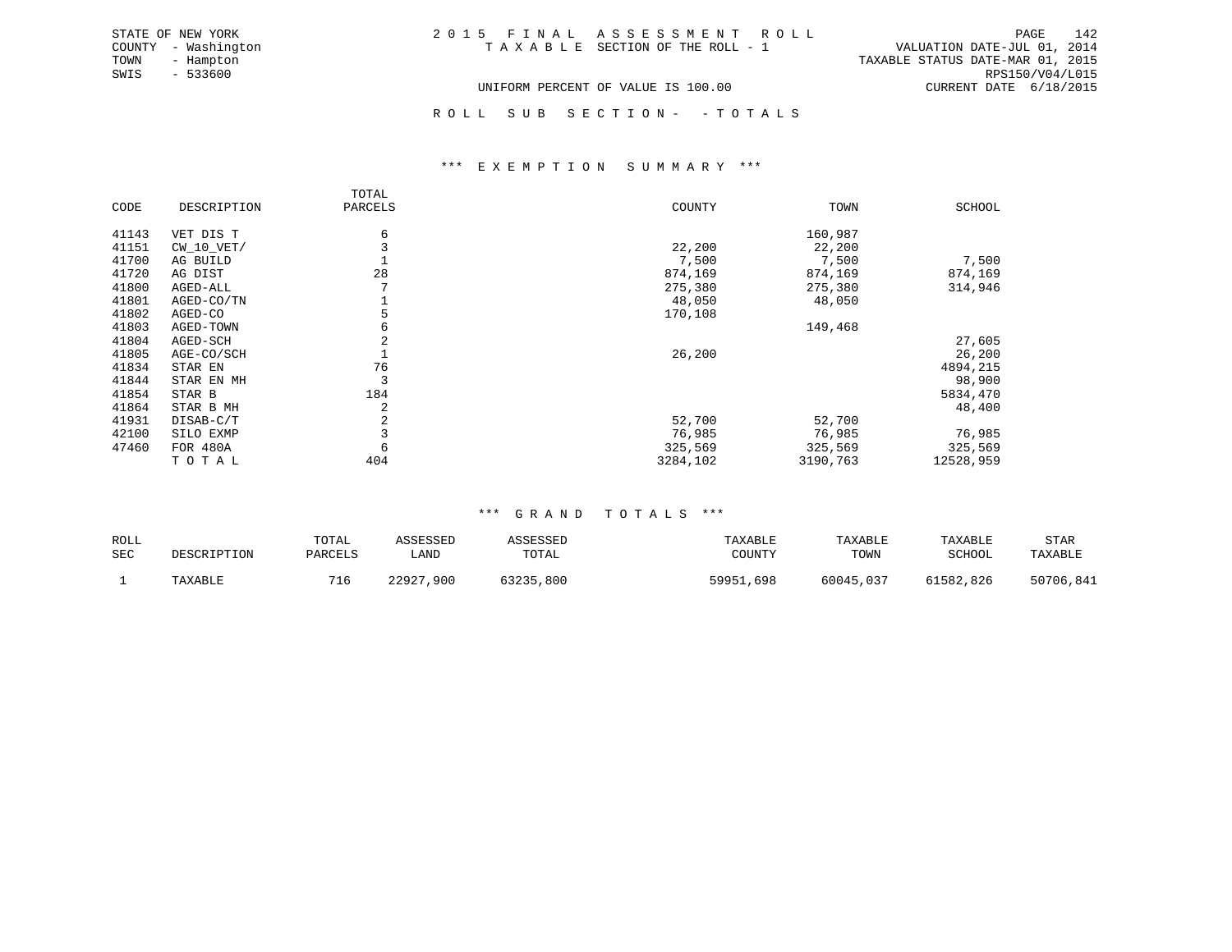| 2015 FINAL ASSESSMENT ROLL         |  |                                  | 142<br>PAGE     |
|------------------------------------|--|----------------------------------|-----------------|
| TAXABLE SECTION OF THE ROLL - 1    |  | VALUATION DATE-JUL 01, 2014      |                 |
|                                    |  | TAXABLE STATUS DATE-MAR 01, 2015 |                 |
|                                    |  |                                  | RPS150/V04/L015 |
| UNIFORM PERCENT OF VALUE IS 100.00 |  | CURRENT DATE 6/18/2015           |                 |

ROLL SUB SECTION - - TOTALS

#### \*\*\* E X E M P T I O N S U M M A R Y \*\*\*

|       |              | TOTAL   |          |          |           |
|-------|--------------|---------|----------|----------|-----------|
| CODE  | DESCRIPTION  | PARCELS | COUNTY   | TOWN     | SCHOOL    |
| 41143 | VET DIS T    | 6       |          | 160,987  |           |
| 41151 | $CW_10_VET/$ |         | 22,200   | 22,200   |           |
| 41700 | AG BUILD     |         | 7,500    | 7,500    | 7,500     |
| 41720 | AG DIST      | 28      | 874,169  | 874,169  | 874,169   |
| 41800 | AGED-ALL     |         | 275,380  | 275,380  | 314,946   |
| 41801 | AGED-CO/TN   |         | 48,050   | 48,050   |           |
| 41802 | AGED-CO      | 5       | 170,108  |          |           |
| 41803 | AGED-TOWN    | 6       |          | 149,468  |           |
| 41804 | AGED-SCH     | 2       |          |          | 27,605    |
| 41805 | AGE-CO/SCH   |         | 26,200   |          | 26,200    |
| 41834 | STAR EN      | 76      |          |          | 4894,215  |
| 41844 | STAR EN MH   | 3       |          |          | 98,900    |
| 41854 | STAR B       | 184     |          |          | 5834,470  |
| 41864 | STAR B MH    | 2       |          |          | 48,400    |
| 41931 | DISAB-C/T    | 2       | 52,700   | 52,700   |           |
| 42100 | SILO EXMP    |         | 76,985   | 76,985   | 76,985    |
| 47460 | FOR 480A     | 6       | 325,569  | 325,569  | 325,569   |
|       | TOTAL        | 404     | 3284,102 | 3190,763 | 12528,959 |

STATE OF NEW YORK COUNTY - Washington TOWN - Hampton  $SWIS - 533600$ 

#### \*\*\* G R A N D T O T A L S \*\*\*

| ROLL<br>SEC | DESCRIPTION | TOTAL<br>PARCELS | ASSESSED<br>∟AND | ASSESSED<br>TOTAL | TAXABLE<br>COUNTY | TAXABLE<br>TOWN | TAXABLE<br>SCHOOL | STAR<br>TAXABLE |
|-------------|-------------|------------------|------------------|-------------------|-------------------|-----------------|-------------------|-----------------|
|             | TAXABLE     | 716              | 22927<br>,900    | 63235,800         | 59951,698         | 60045,037       | 61582,826         | 50706,841       |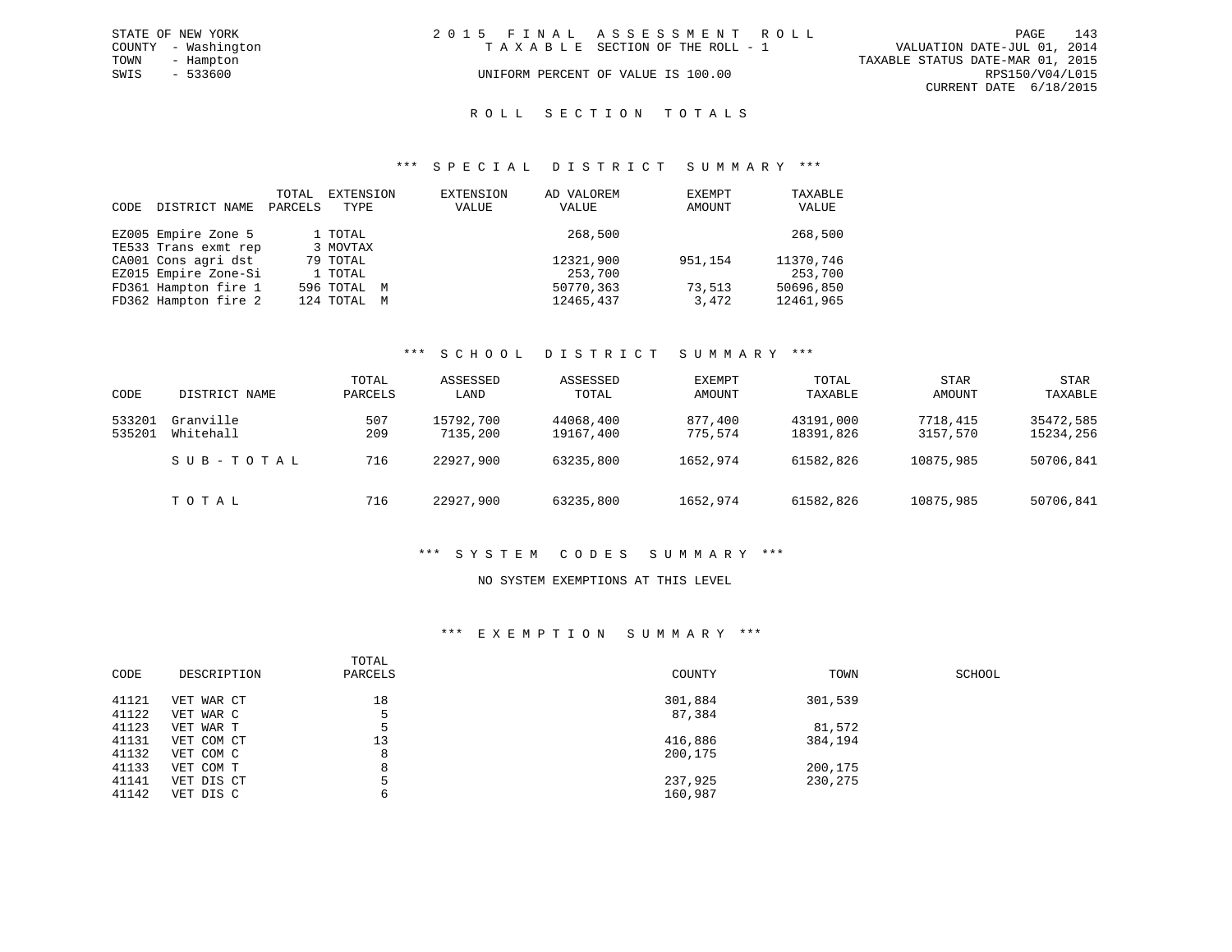|      | STATE OF NEW YORK   | 2015 FINAL ASSESSMENT ROLL         | 143<br>PAGE                      |
|------|---------------------|------------------------------------|----------------------------------|
|      | COUNTY - Washington | TAXABLE SECTION OF THE ROLL - 1    | VALUATION DATE-JUL 01, 2014      |
| TOWN | - Hampton           |                                    | TAXABLE STATUS DATE-MAR 01, 2015 |
| SWIS | $-533600$           | UNIFORM PERCENT OF VALUE IS 100.00 | RPS150/V04/L015                  |
|      |                     |                                    | CURRENT DATE 6/18/2015           |

#### ROLL SECTION TOTALS

#### \*\*\* S P E C I A L D I S T R I C T S U M M A R Y \*\*\*

| CODE | DISTRICT NAME        | TOTAL<br>PARCELS | EXTENSION<br>TYPE | EXTENSION<br>VALUE | AD VALOREM<br>VALUE | EXEMPT<br>AMOUNT | TAXABLE<br>VALUE |
|------|----------------------|------------------|-------------------|--------------------|---------------------|------------------|------------------|
|      | EZ005 Empire Zone 5  |                  | 1 TOTAL           |                    | 268,500             |                  | 268,500          |
|      | TE533 Trans exmt rep |                  | 3 MOVTAX          |                    |                     |                  |                  |
|      | CA001 Cons agri dst  |                  | 79 TOTAL          |                    | 12321,900           | 951,154          | 11370,746        |
|      | EZ015 Empire Zone-Si |                  | 1 TOTAL           |                    | 253,700             |                  | 253,700          |
|      | FD361 Hampton fire 1 |                  | 596 TOTAL M       |                    | 50770.363           | 73,513           | 50696,850        |
|      | FD362 Hampton fire 2 |                  | 124 TOTAL M       |                    | 12465,437           | 3,472            | 12461,965        |

#### \*\*\* S C H O O L D I S T R I C T S U M M A R Y \*\*\*

| CODE             | DISTRICT NAME          | TOTAL<br>PARCELS | ASSESSED<br>LAND      | ASSESSED<br>TOTAL      | EXEMPT<br>AMOUNT   | TOTAL<br>TAXABLE       | <b>STAR</b><br>AMOUNT | <b>STAR</b><br>TAXABLE |
|------------------|------------------------|------------------|-----------------------|------------------------|--------------------|------------------------|-----------------------|------------------------|
| 533201<br>535201 | Granville<br>Whitehall | 507<br>209       | 15792,700<br>7135,200 | 44068,400<br>19167,400 | 877,400<br>775,574 | 43191,000<br>18391,826 | 7718,415<br>3157,570  | 35472,585<br>15234,256 |
|                  | SUB-TOTAL              | 716              | 22927,900             | 63235,800              | 1652,974           | 61582,826              | 10875,985             | 50706,841              |
|                  | TOTAL                  | 716              | 22927,900             | 63235,800              | 1652,974           | 61582,826              | 10875,985             | 50706,841              |

#### \*\*\* S Y S T E M C O D E S S U M M A R Y \*\*\*

#### NO SYSTEM EXEMPTIONS AT THIS LEVEL

#### \*\*\* E X E M P T I O N S U M M A R Y \*\*\*

| CODE  | DESCRIPTION | TOTAL<br>PARCELS | COUNTY  | TOWN    | SCHOOL |
|-------|-------------|------------------|---------|---------|--------|
| 41121 | VET WAR CT  | 18               | 301,884 | 301,539 |        |
| 41122 | VET WAR C   | 5                | 87,384  |         |        |
| 41123 | VET WAR T   |                  |         | 81,572  |        |
| 41131 | VET COM CT  | 13               | 416,886 | 384,194 |        |
| 41132 | VET COM C   | 8                | 200,175 |         |        |
| 41133 | VET COM T   | 8                |         | 200,175 |        |
| 41141 | VET DIS CT  |                  | 237,925 | 230,275 |        |
| 41142 | VET DIS C   | 6                | 160,987 |         |        |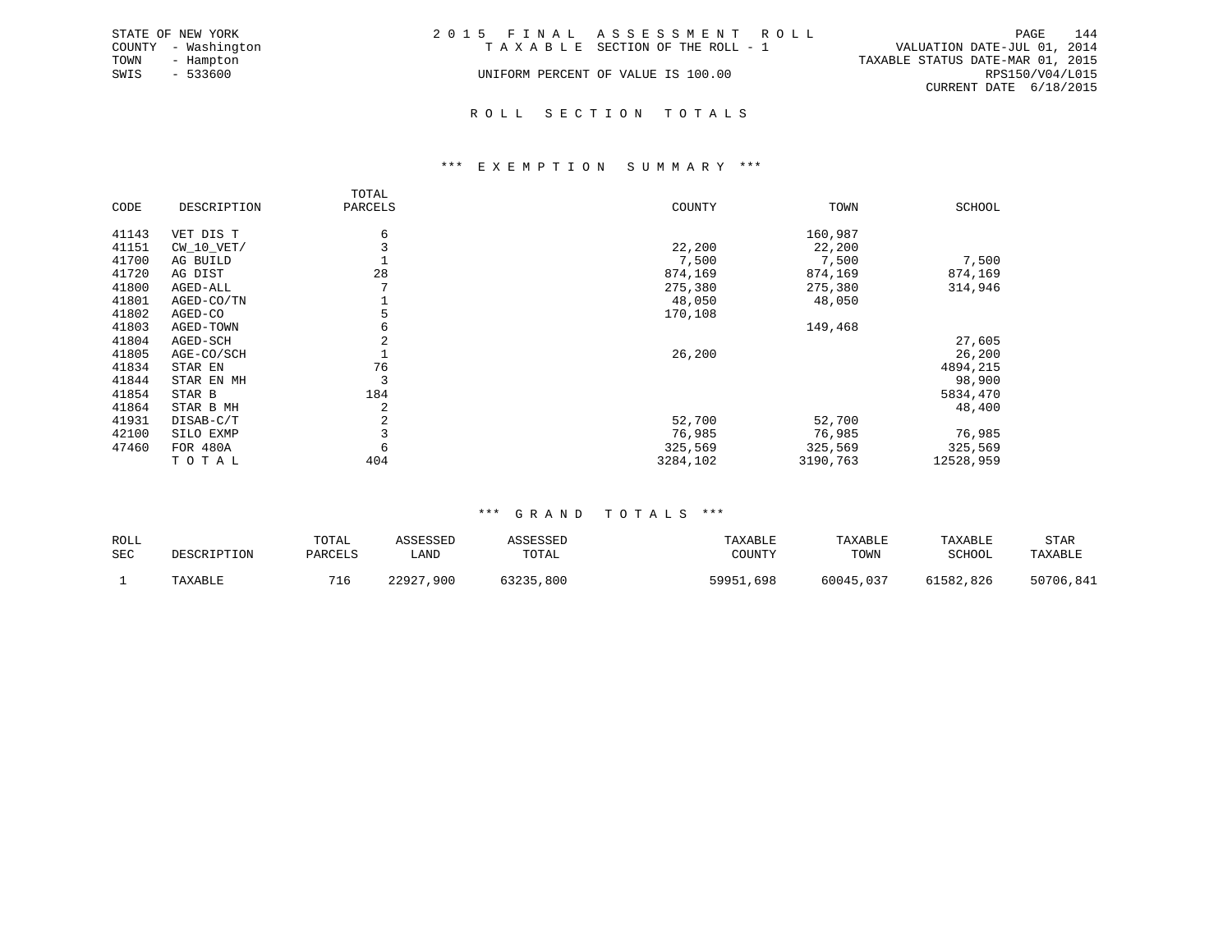|      | STATE OF NEW YORK   | 2015 FINAL ASSESSMENT ROLL         |                                  |                        | PAGE | 144 |
|------|---------------------|------------------------------------|----------------------------------|------------------------|------|-----|
|      | COUNTY - Washington | TAXABLE SECTION OF THE ROLL - 1    | VALUATION DATE-JUL 01, 2014      |                        |      |     |
| TOWN | - Hampton           |                                    | TAXABLE STATUS DATE-MAR 01, 2015 |                        |      |     |
| SWIS | $-533600$           | UNIFORM PERCENT OF VALUE IS 100.00 |                                  | RPS150/V04/L015        |      |     |
|      |                     |                                    |                                  | CURRENT DATE 6/18/2015 |      |     |
|      |                     |                                    |                                  |                        |      |     |

#### R O L L S E C T I O N T O T A L S

#### \*\*\* E X E M P T I O N S U M M A R Y \*\*\*

|       |              | TOTAL   |          |          |               |
|-------|--------------|---------|----------|----------|---------------|
| CODE  | DESCRIPTION  | PARCELS | COUNTY   | TOWN     | <b>SCHOOL</b> |
| 41143 | VET DIS T    | 6       |          | 160,987  |               |
| 41151 | $CW_10_VET/$ |         | 22,200   | 22,200   |               |
| 41700 | AG BUILD     |         | 7,500    | 7,500    | 7,500         |
| 41720 | AG DIST      | 28      | 874,169  | 874,169  | 874,169       |
| 41800 | AGED-ALL     |         | 275,380  | 275,380  | 314,946       |
| 41801 | AGED-CO/TN   |         | 48,050   | 48,050   |               |
| 41802 | AGED-CO      |         | 170,108  |          |               |
| 41803 | AGED-TOWN    | 6       |          | 149,468  |               |
| 41804 | AGED-SCH     | 2       |          |          | 27,605        |
| 41805 | AGE-CO/SCH   |         | 26,200   |          | 26,200        |
| 41834 | STAR EN      | 76      |          |          | 4894,215      |
| 41844 | STAR EN MH   | 3       |          |          | 98,900        |
| 41854 | STAR B       | 184     |          |          | 5834,470      |
| 41864 | STAR B MH    | 2       |          |          | 48,400        |
| 41931 | DISAB-C/T    | 2       | 52,700   | 52,700   |               |
| 42100 | SILO EXMP    |         | 76,985   | 76,985   | 76,985        |
| 47460 | FOR 480A     |         | 325,569  | 325,569  | 325,569       |
|       | TOTAL        | 404     | 3284,102 | 3190,763 | 12528,959     |

#### \*\*\* G R A N D T O T A L S \*\*\*

| ROLL       | DESCRIPTION | TOTAL   | ASSESSED  | ASSESSED  | TAXABLE   | TAXABLE   | TAXABLE   | STAR      |
|------------|-------------|---------|-----------|-----------|-----------|-----------|-----------|-----------|
| <b>SEC</b> |             | PARCELS | LAND      | TOTAL     | COUNTY    | TOWN      | SCHOOL    | TAXABLE   |
|            | TAXABLE     |         | 22927,900 | 63235,800 | 59951,698 | 60045,037 | 61582,826 | 50706,841 |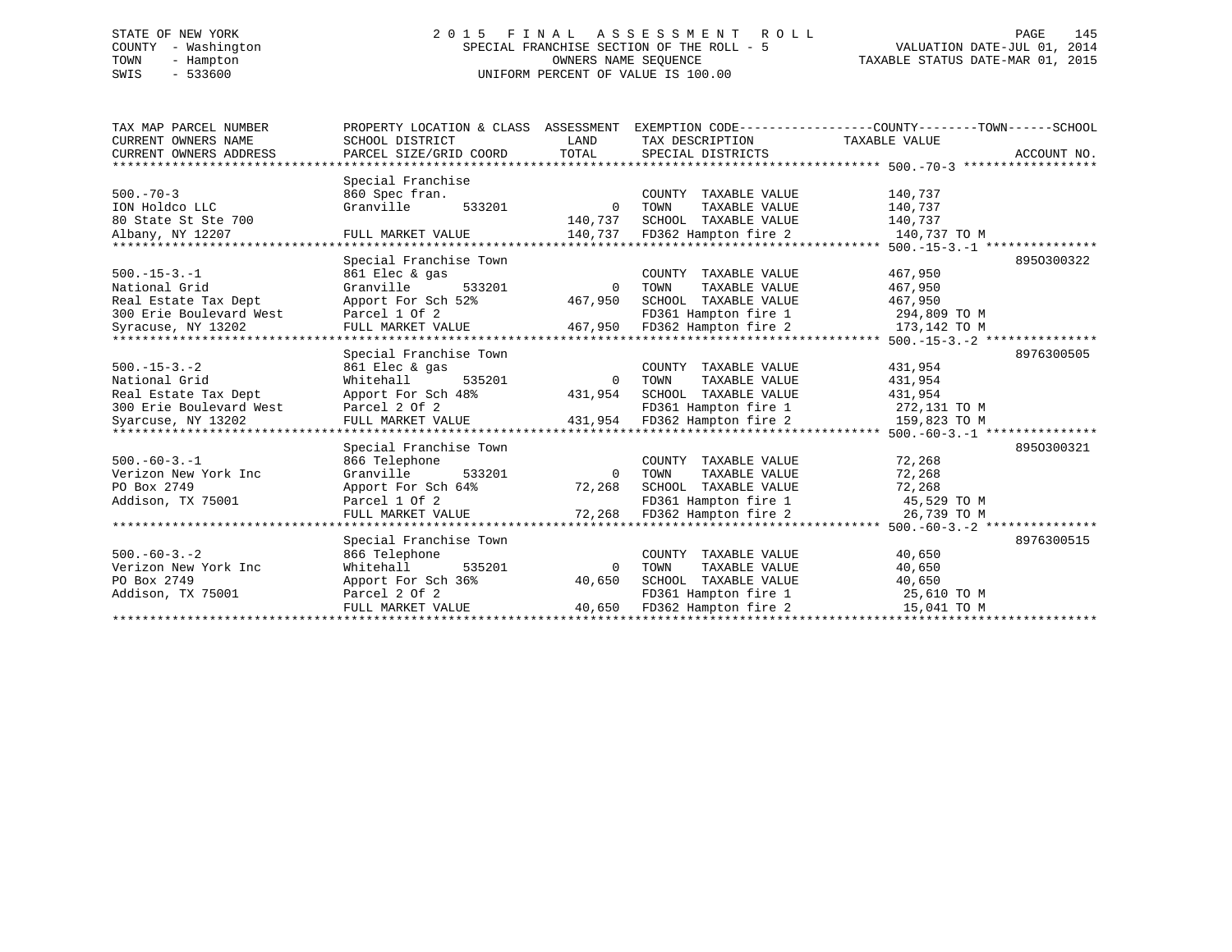## STATE OF NEW YORK 2 0 1 5 F I N A L A S S E S S M E N T R O L L PAGE 145 COUNTY - Washington SPECIAL FRANCHISE SECTION OF THE ROLL - 5 VALUATION DATE-JUL 01, 2014 TOWN - Hampton OWNERS NAME SEQUENCE TAXABLE STATUS DATE-MAR 01, 2015 SWIS - 533600 UNIFORM PERCENT OF VALUE IS 100.00

| TAX MAP PARCEL NUMBER<br>CURRENT OWNERS NAME<br>CURRENT OWNERS ADDRESS<br>******************************     | PROPERTY LOCATION & CLASS ASSESSMENT<br>SCHOOL DISTRICT<br>PARCEL SIZE/GRID COORD                                           | LAND<br>TOTAL                     | TAX DESCRIPTION<br>SPECIAL DISTRICTS                                                                                  | EXEMPTION CODE----------------COUNTY-------TOWN------SCHOOL<br>TAXABLE VALUE                            | ACCOUNT NO. |
|--------------------------------------------------------------------------------------------------------------|-----------------------------------------------------------------------------------------------------------------------------|-----------------------------------|-----------------------------------------------------------------------------------------------------------------------|---------------------------------------------------------------------------------------------------------|-------------|
| $500. - 70 - 3$<br>ION Holdco LLC<br>80 State St Ste 700<br>Albany, NY 12207<br>*******************          | Special Franchise<br>860 Spec fran.<br>Granville<br>533201<br>FULL MARKET VALUE                                             | $\Omega$<br>140,737<br>140,737    | COUNTY TAXABLE VALUE<br>TOWN<br>TAXABLE VALUE<br>SCHOOL TAXABLE VALUE<br>FD362 Hampton fire 2                         | 140,737<br>140,737<br>140,737<br>140,737 TO M                                                           |             |
| $500. -15 - 3. -1$<br>National Grid<br>Real Estate Tax Dept<br>300 Erie Boulevard West<br>Syracuse, NY 13202 | Special Franchise Town<br>861 Elec & gas<br>Granville<br>533201<br>Apport For Sch 52%<br>Parcel 1 Of 2<br>FULL MARKET VALUE | $\Omega$<br>467,950<br>467,950    | COUNTY TAXABLE VALUE<br>TAXABLE VALUE<br>TOWN<br>SCHOOL TAXABLE VALUE<br>FD361 Hampton fire 1<br>FD362 Hampton fire 2 | 467,950<br>467,950<br>467,950<br>294,809 TO M<br>173,142 TO M<br>*********** 500.-15-3.-2 ************* | 8950300322  |
| $500. -15 - 3. -2$<br>National Grid<br>Real Estate Tax Dept<br>300 Erie Boulevard West<br>Syarcuse, NY 13202 | Special Franchise Town<br>861 Elec & gas<br>Whitehall<br>535201<br>Apport For Sch 48%<br>Parcel 2 Of 2<br>FULL MARKET VALUE | $\mathbf 0$<br>431,954<br>431,954 | COUNTY TAXABLE VALUE<br>TAXABLE VALUE<br>TOWN<br>SCHOOL TAXABLE VALUE<br>FD361 Hampton fire 1<br>FD362 Hampton fire 2 | 431,954<br>431,954<br>431,954<br>272,131 TO M<br>159,823 TO M                                           | 8976300505  |
| $500. -60 - 3. -1$<br>Verizon New York Inc<br>PO Box 2749<br>Addison, TX 75001<br>*******************        | Special Franchise Town<br>866 Telephone<br>Granville<br>533201<br>Apport For Sch 64%<br>Parcel 1 Of 2<br>FULL MARKET VALUE  | $\mathbf 0$<br>72,268<br>72,268   | COUNTY TAXABLE VALUE<br>TOWN<br>TAXABLE VALUE<br>SCHOOL TAXABLE VALUE<br>FD361 Hampton fire 1<br>FD362 Hampton fire 2 | ****** 500.-60-3.-1 **************<br>72,268<br>72,268<br>72,268<br>45,529 TO M<br>26,739 TO M          | 8950300321  |
| $500. -60 - 3. - 2$<br>Verizon New York Inc<br>PO Box 2749<br>Addison, TX 75001                              | Special Franchise Town<br>866 Telephone<br>Whitehall<br>535201<br>Apport For Sch 36%<br>Parcel 2 Of 2<br>FULL MARKET VALUE  | $\Omega$<br>40,650<br>40,650      | COUNTY TAXABLE VALUE<br>TOWN<br>TAXABLE VALUE<br>SCHOOL TAXABLE VALUE<br>FD361 Hampton fire 1<br>FD362 Hampton fire 2 | ******* 500.-60-3.-2 ******<br>40,650<br>40,650<br>40,650<br>25,610 TO M<br>15,041 TO M                 | 8976300515  |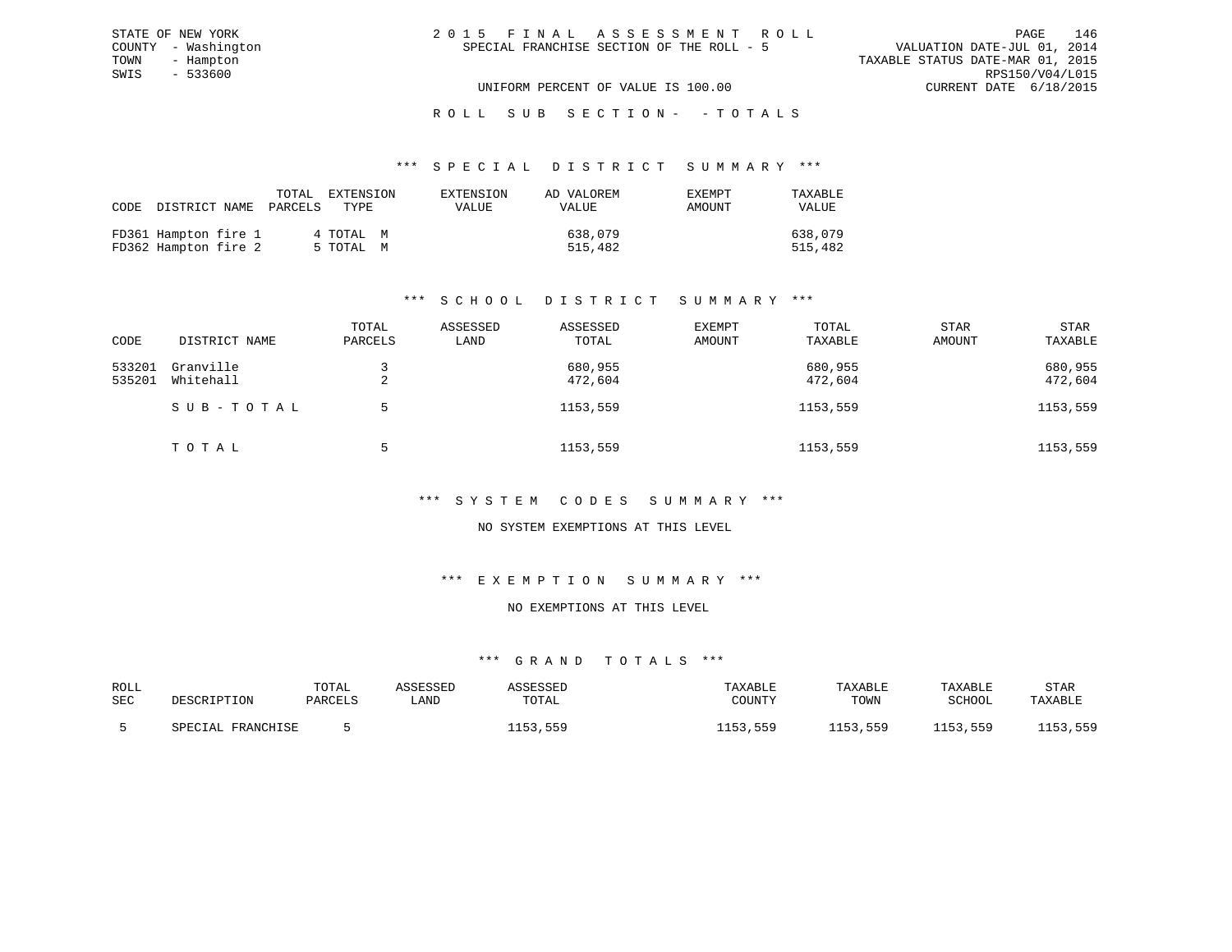|  | 2015 FINAL ASSESSMENT ROLL                | PAGE                             | 146             |
|--|-------------------------------------------|----------------------------------|-----------------|
|  | SPECIAL FRANCHISE SECTION OF THE ROLL - 5 | VALUATION DATE-JUL 01, 2014      |                 |
|  |                                           | TAXABLE STATUS DATE-MAR 01, 2015 |                 |
|  |                                           |                                  | RPS150/V04/L015 |
|  | UNIFORM PERCENT OF VALUE IS 100.00        | CURRENT DATE 6/18/2015           |                 |

#### \*\*\* S P E C I A L D I S T R I C T S U M M A R Y \*\*\*

| CODE |                                              | TOTAL<br>DISTRICT NAME PARCELS | EXTENSION<br>TYPE      | EXTENSION<br>VALUE | AD VALOREM<br>VALUE | <b>EXEMPT</b><br>AMOUNT | TAXABLE<br>VALUE   |
|------|----------------------------------------------|--------------------------------|------------------------|--------------------|---------------------|-------------------------|--------------------|
|      | FD361 Hampton fire 1<br>FD362 Hampton fire 2 |                                | 4 ТОТАL М<br>5 TOTAL M |                    | 638,079<br>515,482  |                         | 638,079<br>515,482 |

STATE OF NEW YORK COUNTY - Washington TOWN - Hampton  $SWIS$  - 533600

## \*\*\* S C H O O L D I S T R I C T S U M M A R Y \*\*\*

| CODE             | DISTRICT NAME          | TOTAL<br>PARCELS | ASSESSED<br>LAND | ASSESSED<br>TOTAL  | EXEMPT<br>AMOUNT | TOTAL<br>TAXABLE   | <b>STAR</b><br>AMOUNT | STAR<br>TAXABLE    |
|------------------|------------------------|------------------|------------------|--------------------|------------------|--------------------|-----------------------|--------------------|
| 533201<br>535201 | Granville<br>Whitehall | ▵                |                  | 680,955<br>472,604 |                  | 680,955<br>472,604 |                       | 680,955<br>472,604 |
|                  | SUB-TOTAL              | 5.               |                  | 1153,559           |                  | 1153,559           |                       | 1153,559           |
|                  | TOTAL                  | г.               |                  | 1153,559           |                  | 1153,559           |                       | 1153,559           |

#### \*\*\* S Y S T E M C O D E S S U M M A R Y \*\*\*

#### NO SYSTEM EXEMPTIONS AT THIS LEVEL

#### \*\*\* E X E M P T I O N S U M M A R Y \*\*\*

### NO EXEMPTIONS AT THIS LEVEL

| ROLL | DESCRIPTION       | TOTAL   | ASSESSED | ASSESSED | TAXABLE     | TAXABLE  | TAXABLE  | <b>STAR</b> |
|------|-------------------|---------|----------|----------|-------------|----------|----------|-------------|
| SEC  |                   | PARCELS | ∟AND     | TOTAL    | COUNTY      | TOWN     | SCHOOL   | TAXABLE     |
|      | SPECIAL FRANCHISE |         |          | 1153,559 | 559<br>1152 | 1153,559 | 1153,559 | 1153,559    |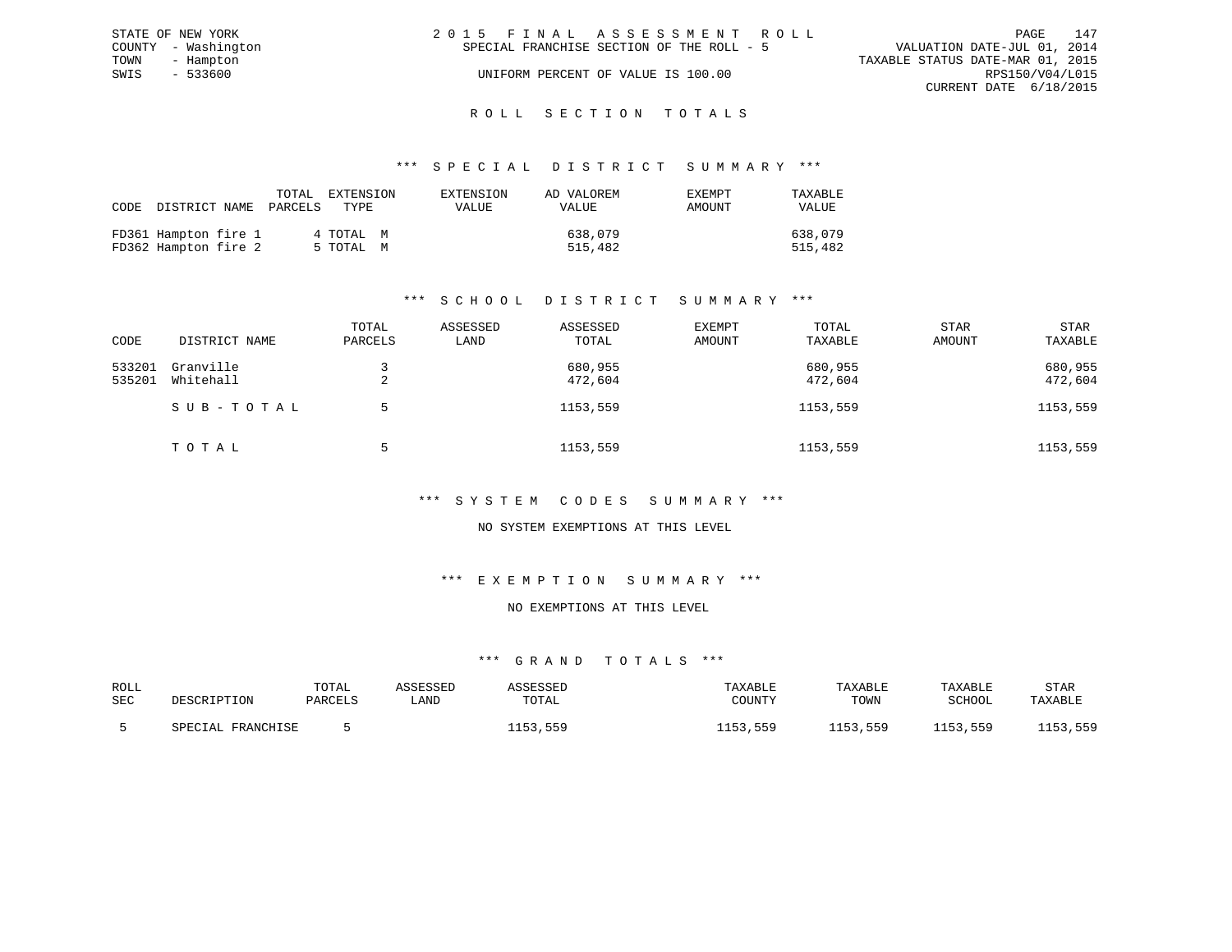| STATE OF NEW YORK   | 2015 FINAL ASSESSMENT ROLL                | 147<br>PAGE                      |
|---------------------|-------------------------------------------|----------------------------------|
| COUNTY - Washington | SPECIAL FRANCHISE SECTION OF THE ROLL - 5 | VALUATION DATE-JUL 01, 2014      |
| TOWN<br>- Hampton   |                                           | TAXABLE STATUS DATE-MAR 01, 2015 |
| SWIS<br>- 533600    | UNIFORM PERCENT OF VALUE IS 100.00        | RPS150/V04/L015                  |
|                     |                                           | CURRENT DATE 6/18/2015           |
|                     |                                           |                                  |

## ROLL SECTION TOTALS

#### \*\*\* S P E C I A L D I S T R I C T S U M M A R Y \*\*\*

| CODE |                                              | TOTAL<br>DISTRICT NAME PARCELS | EXTENSION<br>TYPR.     | EXTENSION<br><b>VALUE</b> | AD VALOREM<br>VALUE | EXEMPT<br>AMOUNT | TAXABLE<br>VALUE   |
|------|----------------------------------------------|--------------------------------|------------------------|---------------------------|---------------------|------------------|--------------------|
|      | FD361 Hampton fire 1<br>FD362 Hampton fire 2 |                                | 4 TOTAL M<br>5 TOTAL M |                           | 638,079<br>515,482  |                  | 638,079<br>515,482 |

## \*\*\* S C H O O L D I S T R I C T S U M M A R Y \*\*\*

| CODE             | DISTRICT NAME          | TOTAL<br>PARCELS | ASSESSED<br>LAND | ASSESSED<br>TOTAL  | EXEMPT<br>AMOUNT | TOTAL<br>TAXABLE   | <b>STAR</b><br>AMOUNT | <b>STAR</b><br>TAXABLE |
|------------------|------------------------|------------------|------------------|--------------------|------------------|--------------------|-----------------------|------------------------|
| 533201<br>535201 | Granville<br>Whitehall | ▵                |                  | 680,955<br>472,604 |                  | 680,955<br>472,604 |                       | 680,955<br>472,604     |
|                  | SUB-TOTAL              | 5.               |                  | 1153,559           |                  | 1153,559           |                       | 1153,559               |
|                  | TOTAL                  | г.               |                  | 1153,559           |                  | 1153,559           |                       | 1153,559               |

#### \*\*\* S Y S T E M C O D E S S U M M A R Y \*\*\*

#### NO SYSTEM EXEMPTIONS AT THIS LEVEL

#### \*\*\* E X E M P T I O N S U M M A R Y \*\*\*

#### NO EXEMPTIONS AT THIS LEVEL

| ROLL | DESCRIPTION       | TOTAL   | ASSESSED | ASSESSED | TAXABLE     | TAXABLE  | TAXABLE  | <b>STAR</b> |
|------|-------------------|---------|----------|----------|-------------|----------|----------|-------------|
| SEC  |                   | PARCELS | ∟AND     | TOTAL    | COUNTY      | TOWN     | SCHOOL   | TAXABLE     |
|      | SPECIAL FRANCHISE |         |          | 1153,559 | 559<br>1152 | 1153,559 | 1153,559 | 1153,559    |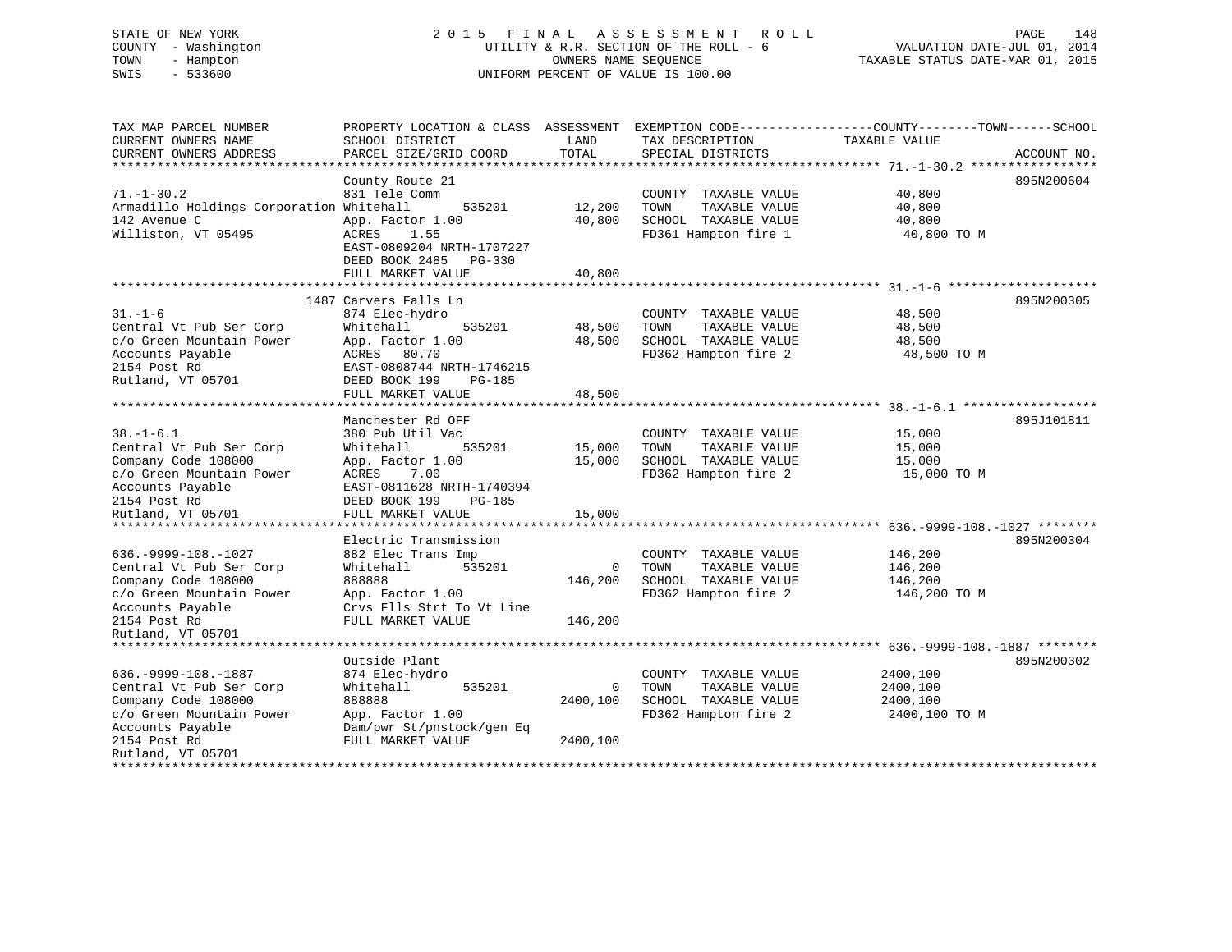## STATE OF NEW YORK 2 0 1 5 F I N A L A S S E S S M E N T R O L L PAGE 148 COUNTY - Washington UTILITY & R.R. SECTION OF THE ROLL - 6 VALUATION DATE-JUL 01, 2014 TOWN - Hampton OWNERS NAME SEQUENCE TAXABLE STATUS DATE-MAR 01, 2015 SWIS - 533600 UNIFORM PERCENT OF VALUE IS 100.00

| TAX MAP PARCEL NUMBER<br>CURRENT OWNERS NAME<br>CURRENT OWNERS ADDRESS<br>**************************                                                                                                                | PROPERTY LOCATION & CLASS ASSESSMENT<br>SCHOOL DISTRICT<br>PARCEL SIZE/GRID COORD                                                                                                                          | LAND<br>TOTAL                     | TAX DESCRIPTION<br>SPECIAL DISTRICTS                                                          | EXEMPTION CODE-----------------COUNTY-------TOWN------SCHOOL<br>TAXABLE VALUE                                                   | ACCOUNT NO. |
|---------------------------------------------------------------------------------------------------------------------------------------------------------------------------------------------------------------------|------------------------------------------------------------------------------------------------------------------------------------------------------------------------------------------------------------|-----------------------------------|-----------------------------------------------------------------------------------------------|---------------------------------------------------------------------------------------------------------------------------------|-------------|
| $71. - 1 - 30.2$<br>Armadillo Holdings Corporation Whitehall<br>142 Avenue C<br>Williston, VT 05495                                                                                                                 | County Route 21<br>831 Tele Comm<br>535201<br>App. Factor 1.00<br>ACRES<br>1.55<br>EAST-0809204 NRTH-1707227<br>DEED BOOK 2485<br>$PG-330$<br>FULL MARKET VALUE<br>****************                        | 12,200<br>40,800<br>40,800        | COUNTY TAXABLE VALUE<br>TAXABLE VALUE<br>TOWN<br>SCHOOL TAXABLE VALUE<br>FD361 Hampton fire 1 | 40,800<br>40,800<br>40,800<br>40,800 TO M                                                                                       | 895N200604  |
| $31. - 1 - 6$<br>Central Vt Pub Ser Corp<br>c/o Green Mountain Power<br>Accounts Payable<br>2154 Post Rd<br>Rutland, VT 05701                                                                                       | 1487 Carvers Falls Ln<br>874 Elec-hydro<br>Whitehall<br>535201<br>App. Factor 1.00<br>ACRES 80.70<br>EAST-0808744 NRTH-1746215<br>DEED BOOK 199<br><b>PG-185</b><br>FULL MARKET VALUE<br>***************** | 48,500<br>48,500<br>48,500        | COUNTY TAXABLE VALUE<br>TOWN<br>TAXABLE VALUE<br>SCHOOL TAXABLE VALUE<br>FD362 Hampton fire 2 | *********************** 31 -1-6<br>48,500<br>48,500<br>48,500<br>48,500 TO M<br>********************* 38. -1-6.1 ************** | 895N200305  |
| $38. - 1 - 6.1$<br>Central Vt Pub Ser Corp<br>Company Code 108000<br>c/o Green Mountain Power<br>Accounts Payable<br>2154 Post Rd<br>Rutland, VT 05701                                                              | Manchester Rd OFF<br>380 Pub Util Vac<br>Whitehall<br>535201<br>App. Factor 1.00<br>ACRES<br>7.00<br>EAST-0811628 NRTH-1740394<br>DEED BOOK 199<br>PG-185<br>FULL MARKET VALUE                             | 15,000<br>15,000<br>15,000        | COUNTY TAXABLE VALUE<br>TOWN<br>TAXABLE VALUE<br>SCHOOL TAXABLE VALUE<br>FD362 Hampton fire 2 | 15,000<br>15,000<br>15,000<br>15,000 TO M                                                                                       | 895J101811  |
| **************<br>$636. -9999 - 108. - 1027$<br>Central Vt Pub Ser Corp<br>Company Code 108000<br>c/o Green Mountain Power<br>Accounts Payable<br>2154 Post Rd<br>Rutland, VT 05701<br>**************************** | *****************<br>Electric Transmission<br>882 Elec Trans Imp<br>Whitehall<br>535201<br>888888<br>App. Factor 1.00<br>Crvs Flls Strt To Vt Line<br>FULL MARKET VALUE                                    | $\mathbf 0$<br>146,200<br>146,200 | COUNTY TAXABLE VALUE<br>TAXABLE VALUE<br>TOWN<br>SCHOOL TAXABLE VALUE<br>FD362 Hampton fire 2 | **************** 636.-9999-108.-1027 ********<br>146,200<br>146,200<br>146,200<br>146,200 TO M                                  | 895N200304  |
| $636. -9999 - 108. -1887$<br>Central Vt Pub Ser Corp<br>Company Code 108000<br>c/o Green Mountain Power<br>Accounts Payable<br>2154 Post Rd<br>Rutland, VT 05701                                                    | Outside Plant<br>874 Elec-hydro<br>Whitehall<br>535201<br>888888<br>App. Factor 1.00<br>Dam/pwr St/pnstock/gen Eq<br>FULL MARKET VALUE                                                                     | 0<br>2400,100<br>2400,100         | COUNTY TAXABLE VALUE<br>TOWN<br>TAXABLE VALUE<br>SCHOOL TAXABLE VALUE<br>FD362 Hampton fire 2 | 2400,100<br>2400,100<br>2400,100<br>2400,100 TO M                                                                               | 895N200302  |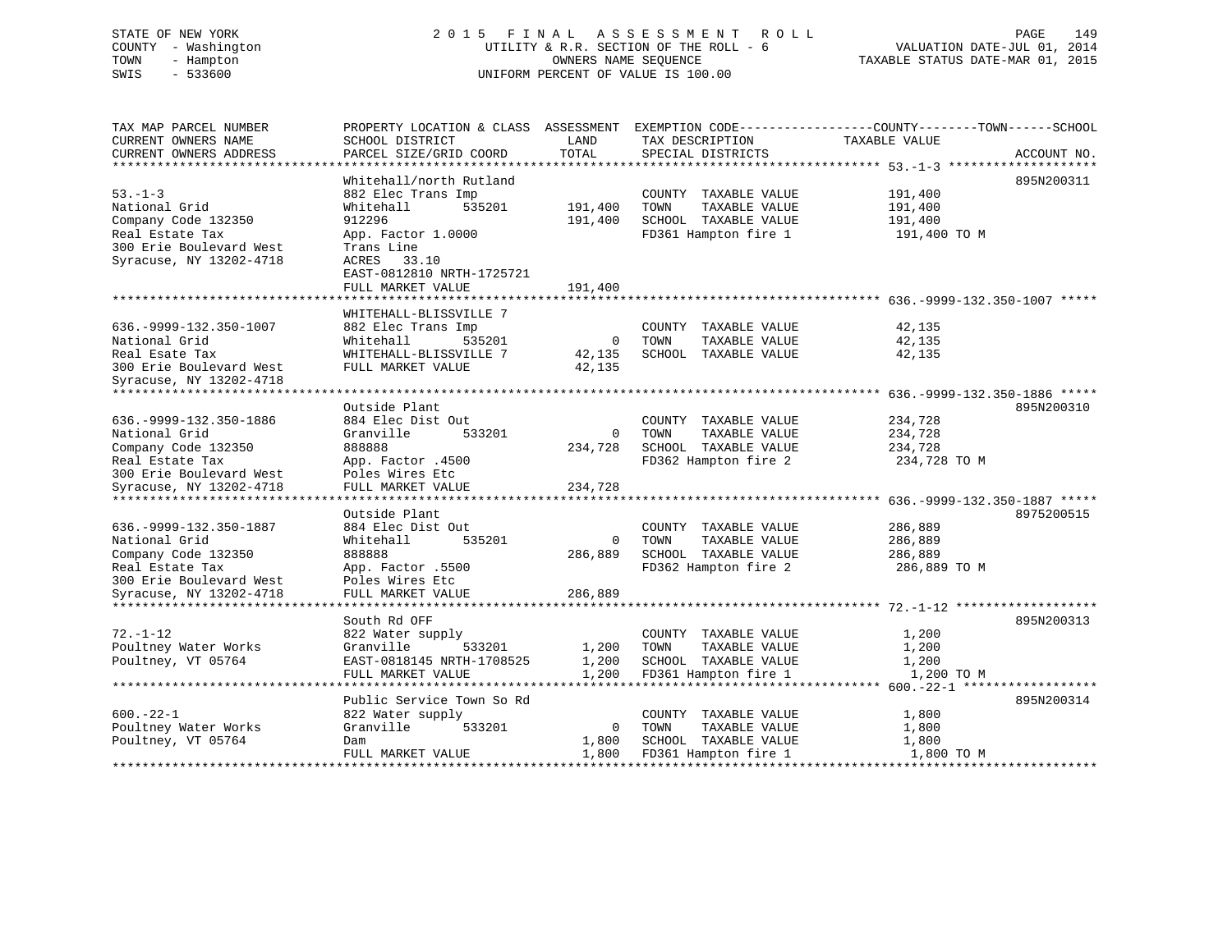## STATE OF NEW YORK 2015 FINAL ASSESSMENT ROLL PAGE 149 COUNTY - Washington UTILITY & R.R. SECTION OF THE ROLL - 6 VALUATION DATE-JUL 01, 2014 TOWN - Hampton OWNERS NAME SEQUENCE TAXABLE STATUS DATE-MAR 01, 2015 SWIS - 533600 UNIFORM PERCENT OF VALUE IS 100.00

VALUATION DATE-JUL 01, 2014

| TAX MAP PARCEL NUMBER<br>CURRENT OWNERS NAME<br>CURRENT OWNERS ADDRESS | PROPERTY LOCATION & CLASS ASSESSMENT EXEMPTION CODE---------------COUNTY-------TOWN-----SCHOOL<br>SCHOOL DISTRICT<br>PARCEL SIZE/GRID COORD | LAND<br>TOTAL  | TAX DESCRIPTION<br>SPECIAL DISTRICTS | TAXABLE VALUE | ACCOUNT NO. |
|------------------------------------------------------------------------|---------------------------------------------------------------------------------------------------------------------------------------------|----------------|--------------------------------------|---------------|-------------|
|                                                                        |                                                                                                                                             |                |                                      |               |             |
|                                                                        | Whitehall/north Rutland                                                                                                                     |                |                                      |               | 895N200311  |
| $53 - 1 - 3$                                                           | 882 Elec Trans Imp                                                                                                                          |                | COUNTY TAXABLE VALUE                 | 191,400       |             |
| National Grid                                                          | 535201<br>Whitehall                                                                                                                         | 191,400        | TOWN<br>TAXABLE VALUE                | 191,400       |             |
| Company Code 132350                                                    | 912296                                                                                                                                      | 191,400        | SCHOOL TAXABLE VALUE                 | 191,400       |             |
| Real Estate Tax                                                        | App. Factor 1.0000                                                                                                                          |                | FD361 Hampton fire 1                 | 191,400 TO M  |             |
| 300 Erie Boulevard West                                                | Trans Line                                                                                                                                  |                |                                      |               |             |
| Syracuse, NY 13202-4718                                                | ACRES 33.10                                                                                                                                 |                |                                      |               |             |
|                                                                        | EAST-0812810 NRTH-1725721                                                                                                                   |                |                                      |               |             |
|                                                                        | FULL MARKET VALUE                                                                                                                           | 191,400        |                                      |               |             |
|                                                                        |                                                                                                                                             |                |                                      |               |             |
|                                                                        | WHITEHALL-BLISSVILLE 7                                                                                                                      |                |                                      |               |             |
| 636. - 9999 - 132. 350 - 1007                                          | 882 Elec Trans Imp                                                                                                                          |                | COUNTY TAXABLE VALUE                 | 42,135        |             |
| National Grid                                                          | 535201<br>Whitehall                                                                                                                         | $\overline{0}$ | TOWN<br>TAXABLE VALUE                | 42,135        |             |
| Real Esate Tax                                                         | WHITEHALL-BLISSVILLE 7                                                                                                                      | 42,135         | SCHOOL TAXABLE VALUE                 | 42,135        |             |
| 300 Erie Boulevard West                                                | FULL MARKET VALUE                                                                                                                           | 42,135         |                                      |               |             |
| Syracuse, NY 13202-4718<br>******************************              |                                                                                                                                             |                |                                      |               |             |
|                                                                        | Outside Plant                                                                                                                               |                |                                      |               | 895N200310  |
| 636. - 9999 - 132. 350 - 1886                                          | 884 Elec Dist Out                                                                                                                           |                | COUNTY TAXABLE VALUE                 | 234,728       |             |
| National Grid                                                          | Granville<br>533201                                                                                                                         | $\Omega$       | TOWN<br>TAXABLE VALUE                | 234,728       |             |
| Company Code 132350                                                    | 888888                                                                                                                                      | 234,728        | SCHOOL TAXABLE VALUE                 | 234,728       |             |
| Real Estate Tax                                                        | App. Factor .4500                                                                                                                           |                | FD362 Hampton fire 2                 | 234,728 TO M  |             |
| 300 Erie Boulevard West                                                | Poles Wires Etc                                                                                                                             |                |                                      |               |             |
| Syracuse, NY 13202-4718                                                | FULL MARKET VALUE                                                                                                                           | 234,728        |                                      |               |             |
|                                                                        |                                                                                                                                             |                |                                      |               |             |
|                                                                        | Outside Plant                                                                                                                               |                |                                      |               | 8975200515  |
| 636. - 9999 - 132. 350 - 1887                                          | 884 Elec Dist Out                                                                                                                           |                | COUNTY TAXABLE VALUE                 | 286,889       |             |
| National Grid                                                          | Whitehall<br>535201                                                                                                                         | $\overline{0}$ | TOWN<br>TAXABLE VALUE                | 286,889       |             |
| Company Code 132350                                                    | 888888                                                                                                                                      | 286,889        | SCHOOL TAXABLE VALUE                 | 286,889       |             |
| Real Estate Tax                                                        | App. Factor .5500                                                                                                                           |                | FD362 Hampton fire 2                 | 286,889 TO M  |             |
| 300 Erie Boulevard West                                                | Poles Wires Etc                                                                                                                             |                |                                      |               |             |
| Syracuse, NY 13202-4718                                                | FULL MARKET VALUE                                                                                                                           | 286,889        |                                      |               |             |
| **********************                                                 |                                                                                                                                             |                |                                      |               |             |
|                                                                        | South Rd OFF                                                                                                                                |                |                                      |               | 895N200313  |
| $72. - 1 - 12$                                                         | 822 Water supply                                                                                                                            |                | COUNTY TAXABLE VALUE                 | 1,200         |             |
| Poultney Water Works                                                   | Granville<br>533201                                                                                                                         | 1,200          | TAXABLE VALUE<br>TOWN                | 1,200         |             |
| Poultney, VT 05764                                                     | EAST-0818145 NRTH-1708525                                                                                                                   | 1,200          | SCHOOL TAXABLE VALUE                 | 1,200         |             |
|                                                                        | FULL MARKET VALUE                                                                                                                           | 1,200          | FD361 Hampton fire 1                 | 1,200 TO M    |             |
|                                                                        |                                                                                                                                             |                |                                      |               |             |
|                                                                        | Public Service Town So Rd                                                                                                                   |                |                                      |               | 895N200314  |
| $600 - 22 - 1$                                                         | 822 Water supply                                                                                                                            |                | COUNTY TAXABLE VALUE                 | 1,800         |             |
| Poultney Water Works                                                   | Granville<br>533201                                                                                                                         | $\overline{0}$ | TOWN<br>TAXABLE VALUE                | 1,800         |             |
| Poultney, VT 05764                                                     | Dam                                                                                                                                         | 1,800          | SCHOOL TAXABLE VALUE                 | 1,800         |             |
|                                                                        | FULL MARKET VALUE                                                                                                                           | 1,800          | FD361 Hampton fire 1                 | 1,800 TO M    |             |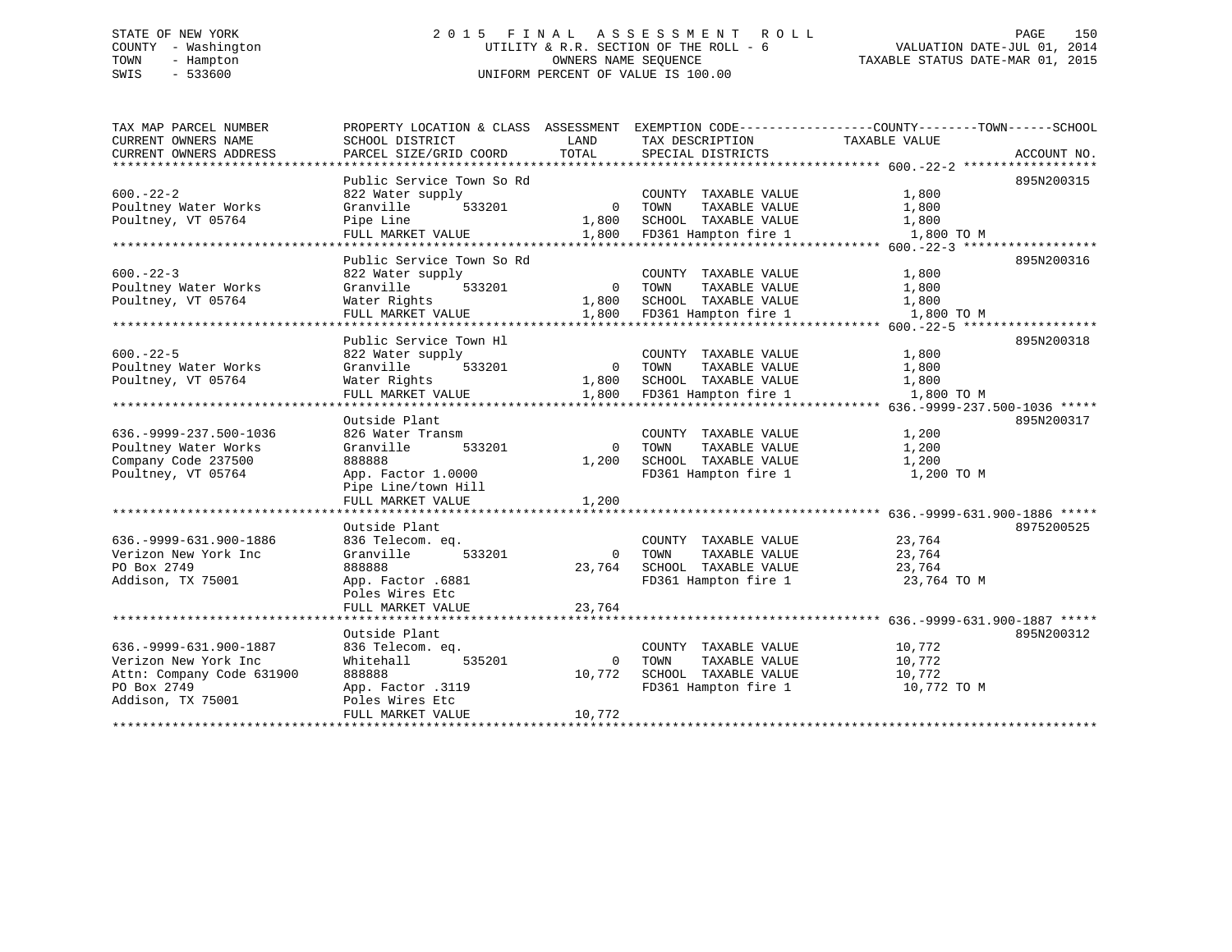## STATE OF NEW YORK 2 0 1 5 F I N A L A S S E S S M E N T R O L L PAGE 150 COUNTY - Washington UTILITY & R.R. SECTION OF THE ROLL - 6 VALUATION DATE-JUL 01, 2014 TOWN - Hampton OWNERS NAME SEQUENCE TAXABLE STATUS DATE-MAR 01, 2015 SWIS - 533600 UNIFORM PERCENT OF VALUE IS 100.00

| TAX MAP PARCEL NUMBER         |                                |                |                       | PROPERTY LOCATION & CLASS ASSESSMENT EXEMPTION CODE---------------COUNTY-------TOWN------SCHOOL |
|-------------------------------|--------------------------------|----------------|-----------------------|-------------------------------------------------------------------------------------------------|
| CURRENT OWNERS NAME           | SCHOOL DISTRICT                | LAND           | TAX DESCRIPTION       | TAXABLE VALUE                                                                                   |
| CURRENT OWNERS ADDRESS        | PARCEL SIZE/GRID COORD         | TOTAL          | SPECIAL DISTRICTS     | ACCOUNT NO.                                                                                     |
|                               |                                |                |                       |                                                                                                 |
|                               | Public Service Town So Rd      |                |                       | 895N200315                                                                                      |
| $600 - 22 - 2$                | 822 Water supply               |                | COUNTY TAXABLE VALUE  | 1,800                                                                                           |
| Poultney Water Works          | Granville<br>533201            | $\overline{0}$ | TOWN<br>TAXABLE VALUE | 1,800                                                                                           |
| Poultney, VT 05764            | Pipe Line                      | 1,800          | SCHOOL TAXABLE VALUE  | 1,800                                                                                           |
|                               | FULL MARKET VALUE              | 1,800          | FD361 Hampton fire 1  | 1,800 TO M                                                                                      |
| *************************     | ****************************   |                |                       |                                                                                                 |
|                               | Public Service Town So Rd      |                |                       | 895N200316                                                                                      |
| $600 - 22 - 3$                | 822 Water supply               |                | COUNTY TAXABLE VALUE  | 1,800                                                                                           |
| Poultney Water Works          | Granville<br>533201            | $\Omega$       | TOWN<br>TAXABLE VALUE | 1,800                                                                                           |
| Poultney, VT 05764            | Water Rights                   | 1,800          | SCHOOL TAXABLE VALUE  | 1,800                                                                                           |
|                               | FULL MARKET VALUE              | 1,800          | FD361 Hampton fire 1  | 1,800 TO M                                                                                      |
|                               |                                |                |                       |                                                                                                 |
|                               | Public Service Town Hl         |                |                       | 895N200318                                                                                      |
| $600 - 22 - 5$                | 822 Water supply               |                | COUNTY TAXABLE VALUE  | 1,800                                                                                           |
| Poultney Water Works          | Granville<br>533201            | $\overline{0}$ | TOWN<br>TAXABLE VALUE | 1,800                                                                                           |
| Poultney, VT 05764            | Water Rights                   | 1,800          | SCHOOL TAXABLE VALUE  | 1,800                                                                                           |
|                               | FULL MARKET VALUE              | 1,800          | FD361 Hampton fire 1  | 1,800 TO M                                                                                      |
|                               |                                |                |                       |                                                                                                 |
|                               | Outside Plant                  |                |                       | 895N200317                                                                                      |
| 636. - 9999 - 237. 500 - 1036 | 826 Water Transm               |                | COUNTY TAXABLE VALUE  | 1,200                                                                                           |
| Poultney Water Works          | Granville<br>533201            | $\Omega$       | TOWN<br>TAXABLE VALUE | 1,200                                                                                           |
| Company Code 237500           | 888888                         | 1,200          | SCHOOL TAXABLE VALUE  | 1,200                                                                                           |
| Poultney, VT 05764            | App. Factor 1.0000             |                | FD361 Hampton fire 1  | 1,200 TO M                                                                                      |
|                               | Pipe Line/town Hill            |                |                       |                                                                                                 |
|                               | FULL MARKET VALUE              | 1,200          |                       |                                                                                                 |
|                               |                                |                |                       |                                                                                                 |
|                               | Outside Plant                  |                |                       | 8975200525                                                                                      |
| 636. - 9999 - 631. 900 - 1886 | 836 Telecom. eq.               |                | COUNTY TAXABLE VALUE  | 23,764                                                                                          |
| Verizon New York Inc          | Granville<br>533201            | $\Omega$       | TOWN<br>TAXABLE VALUE | 23,764                                                                                          |
| PO Box 2749                   | 888888                         | 23,764         | SCHOOL TAXABLE VALUE  | 23,764                                                                                          |
| Addison, TX 75001             | App. Factor .6881              |                | FD361 Hampton fire 1  | 23,764 TO M                                                                                     |
|                               | Poles Wires Etc                |                |                       |                                                                                                 |
|                               | FULL MARKET VALUE              | 23,764         |                       |                                                                                                 |
|                               | **************************     |                |                       |                                                                                                 |
|                               | Outside Plant                  |                |                       | 895N200312                                                                                      |
| 636. - 9999 - 631. 900 - 1887 | 836 Telecom. eq.               |                | COUNTY TAXABLE VALUE  | 10,772                                                                                          |
| Verizon New York Inc          | 535201<br>Whitehall            | $\Omega$       | TOWN<br>TAXABLE VALUE | 10,772                                                                                          |
| Attn: Company Code 631900     | 888888                         | 10,772         | SCHOOL TAXABLE VALUE  | 10,772                                                                                          |
| PO Box 2749                   | App. Factor .3119              |                | FD361 Hampton fire 1  | 10,772 TO M                                                                                     |
| Addison, TX 75001             | Poles Wires Etc                |                |                       |                                                                                                 |
|                               | FULL MARKET VALUE              | 10,772         |                       |                                                                                                 |
|                               | ****************************** |                |                       |                                                                                                 |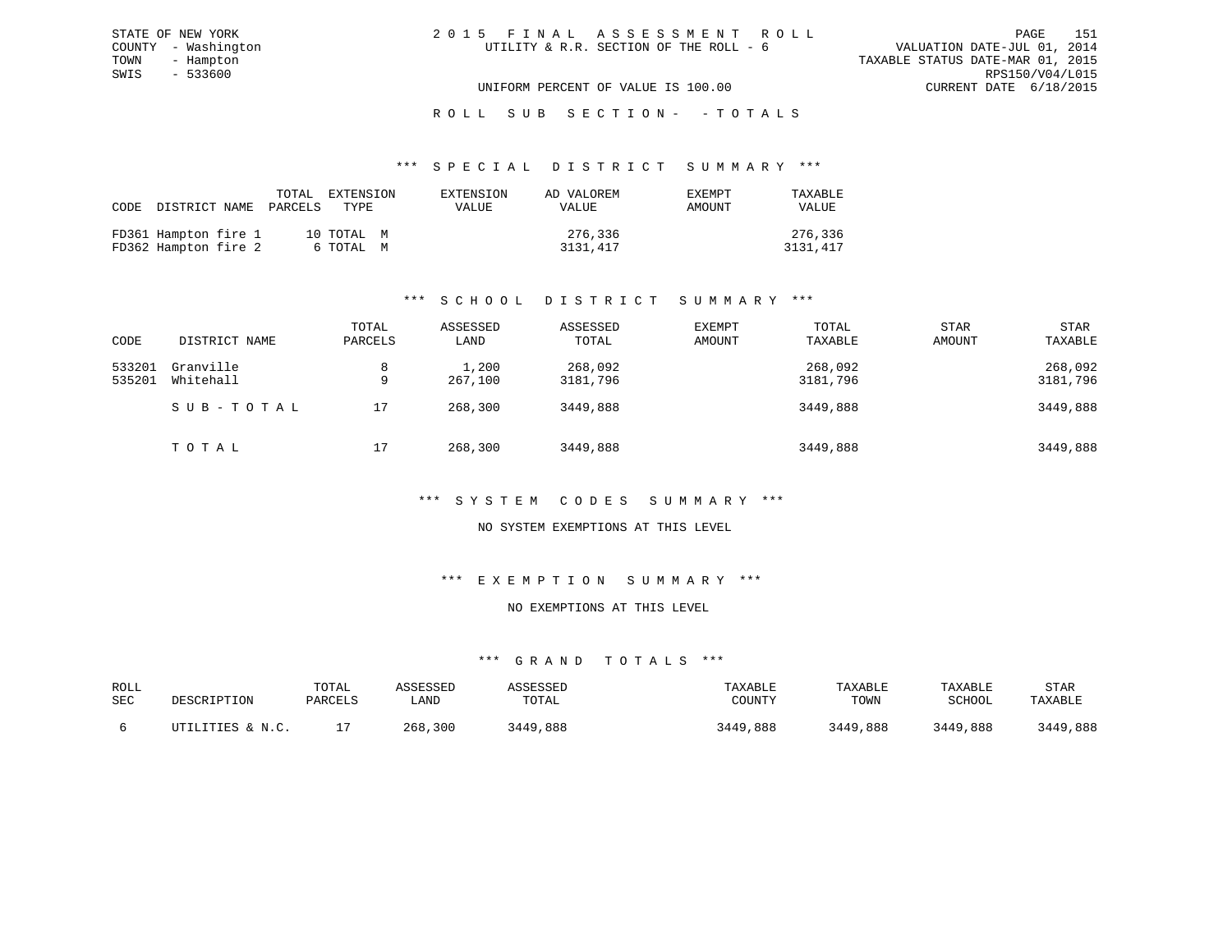| 2015 FINAL ASSESSMENT ROLL             |  |  |                                  | PAGE | 151 |
|----------------------------------------|--|--|----------------------------------|------|-----|
| UTILITY & R.R. SECTION OF THE ROLL - 6 |  |  | VALUATION DATE-JUL 01, 2014      |      |     |
|                                        |  |  | TAXABLE STATUS DATE-MAR 01, 2015 |      |     |
|                                        |  |  | RPS150/V04/L015                  |      |     |
| UNIFORM PERCENT OF VALUE IS 100.00     |  |  | CURRENT DATE 6/18/2015           |      |     |

## ROLL SUB SECTION - - TOTALS

#### \*\*\* S P E C I A L D I S T R I C T S U M M A R Y \*\*\*

| CODE DISTRICT NAME PARCELS TYPE              | TOTAL                   | EXTENSION    | AD VALOREM          | EXEMPT | TAXABLE             |
|----------------------------------------------|-------------------------|--------------|---------------------|--------|---------------------|
|                                              | EXTENSION               | <b>VALUE</b> | VALUE               | AMOUNT | <b>VALUE</b>        |
| FD361 Hampton fire 1<br>FD362 Hampton fire 2 | 10 TOTAL M<br>6 ТОТАL М |              | 276,336<br>3131,417 |        | 276,336<br>3131,417 |

## \*\*\* S C H O O L D I S T R I C T S U M M A R Y \*\*\*

| CODE             | DISTRICT NAME          | TOTAL<br>PARCELS | ASSESSED<br>LAND | ASSESSED<br>TOTAL   | EXEMPT<br>AMOUNT | TOTAL<br>TAXABLE    | <b>STAR</b><br>AMOUNT | <b>STAR</b><br>TAXABLE |
|------------------|------------------------|------------------|------------------|---------------------|------------------|---------------------|-----------------------|------------------------|
| 533201<br>535201 | Granville<br>Whitehall | 8<br>9           | 1,200<br>267,100 | 268,092<br>3181,796 |                  | 268,092<br>3181,796 |                       | 268,092<br>3181,796    |
|                  | SUB-TOTAL              | 17               | 268,300          | 3449,888            |                  | 3449,888            |                       | 3449,888               |
|                  | TOTAL                  | 17               | 268,300          | 3449,888            |                  | 3449,888            |                       | 3449,888               |

#### \*\*\* S Y S T E M C O D E S S U M M A R Y \*\*\*

#### NO SYSTEM EXEMPTIONS AT THIS LEVEL

#### \*\*\* E X E M P T I O N S U M M A R Y \*\*\*

### NO EXEMPTIONS AT THIS LEVEL

| ROLL<br>SEC | DESCRIPTION                         | TOTAL<br>PARCELS | \SSESSED<br>∟AND | SSESSED<br>TOTAL | TAXABLE<br>COUNTY | TAXABLE<br>TOWN | TAXABLE<br>SCHOOL | STAR<br>TAXABLE |
|-------------|-------------------------------------|------------------|------------------|------------------|-------------------|-----------------|-------------------|-----------------|
|             | <b>LITIES &amp; N.C.</b><br>ז דידיז |                  | 300<br>268       | .888<br>8449     | ,888<br>3449      | 3449,888        | 3449<br>,888      | 3449,888        |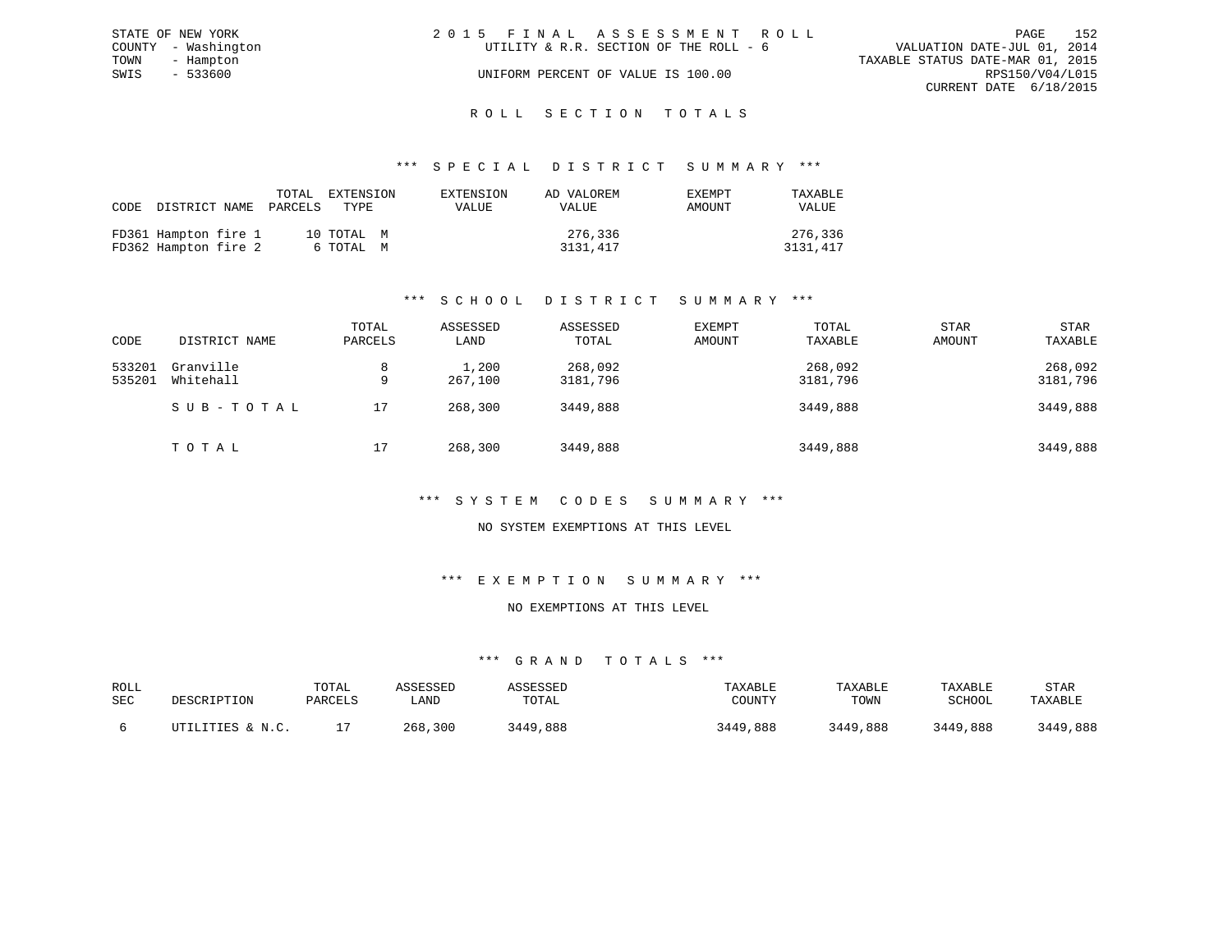| STATE OF NEW YORK   | 2015 FINAL ASSESSMENT ROLL             | 152<br>PAGE                      |
|---------------------|----------------------------------------|----------------------------------|
| COUNTY - Washington | UTILITY & R.R. SECTION OF THE ROLL - 6 | VALUATION DATE-JUL 01, 2014      |
| TOWN<br>- Hampton   |                                        | TAXABLE STATUS DATE-MAR 01, 2015 |
| SWIS<br>- 533600    | UNIFORM PERCENT OF VALUE IS 100.00     | RPS150/V04/L015                  |
|                     |                                        | CURRENT DATE 6/18/2015           |
|                     |                                        |                                  |

## ROLL SECTION TOTALS

#### \*\*\* S P E C I A L D I S T R I C T S U M M A R Y \*\*\*

| CODE | DISTRICT NAME PARCELS                        |  | TOTAL | EXTENSION<br>TYPE.      | EXTENSION<br>VALUE | AD VALOREM<br>VALUE | <b>EXEMPT</b><br>AMOUNT | TAXABLE<br>VALUE    |
|------|----------------------------------------------|--|-------|-------------------------|--------------------|---------------------|-------------------------|---------------------|
|      | FD361 Hampton fire 1<br>FD362 Hampton fire 2 |  |       | 10 TOTAL M<br>6 ТОТАL М |                    | 276,336<br>3131,417 |                         | 276,336<br>3131,417 |

## \*\*\* S C H O O L D I S T R I C T S U M M A R Y \*\*\*

| CODE             | DISTRICT NAME          | TOTAL<br>PARCELS | ASSESSED<br>LAND | ASSESSED<br>TOTAL   | <b>EXEMPT</b><br>AMOUNT | TOTAL<br>TAXABLE    | <b>STAR</b><br>AMOUNT | <b>STAR</b><br>TAXABLE |
|------------------|------------------------|------------------|------------------|---------------------|-------------------------|---------------------|-----------------------|------------------------|
| 533201<br>535201 | Granville<br>Whitehall | 8<br>9           | 1,200<br>267,100 | 268,092<br>3181,796 |                         | 268,092<br>3181,796 |                       | 268,092<br>3181,796    |
|                  | SUB-TOTAL              | 17               | 268,300          | 3449,888            |                         | 3449,888            |                       | 3449,888               |
|                  | TOTAL                  | 17               | 268,300          | 3449,888            |                         | 3449,888            |                       | 3449,888               |

#### \*\*\* S Y S T E M C O D E S S U M M A R Y \*\*\*

#### NO SYSTEM EXEMPTIONS AT THIS LEVEL

#### \*\*\* E X E M P T I O N S U M M A R Y \*\*\*

#### NO EXEMPTIONS AT THIS LEVEL

| ROLL<br>SEC | DESCRIPTION      | TOTAL<br>PARCELS | <i><b>SSESSEL</b></i><br>LAND | TOTAL    | TAXABLE<br>COUNTY | TAXABLE<br>TOWN | TAXABLE<br>SCHOOL | STAR<br>TAXABLE |
|-------------|------------------|------------------|-------------------------------|----------|-------------------|-----------------|-------------------|-----------------|
|             | UTILITIES & N.C. |                  | 268.<br>300 ،                 | 3449,888 | 3449,888          | 3449,888        | 3449,888          | 3449,888        |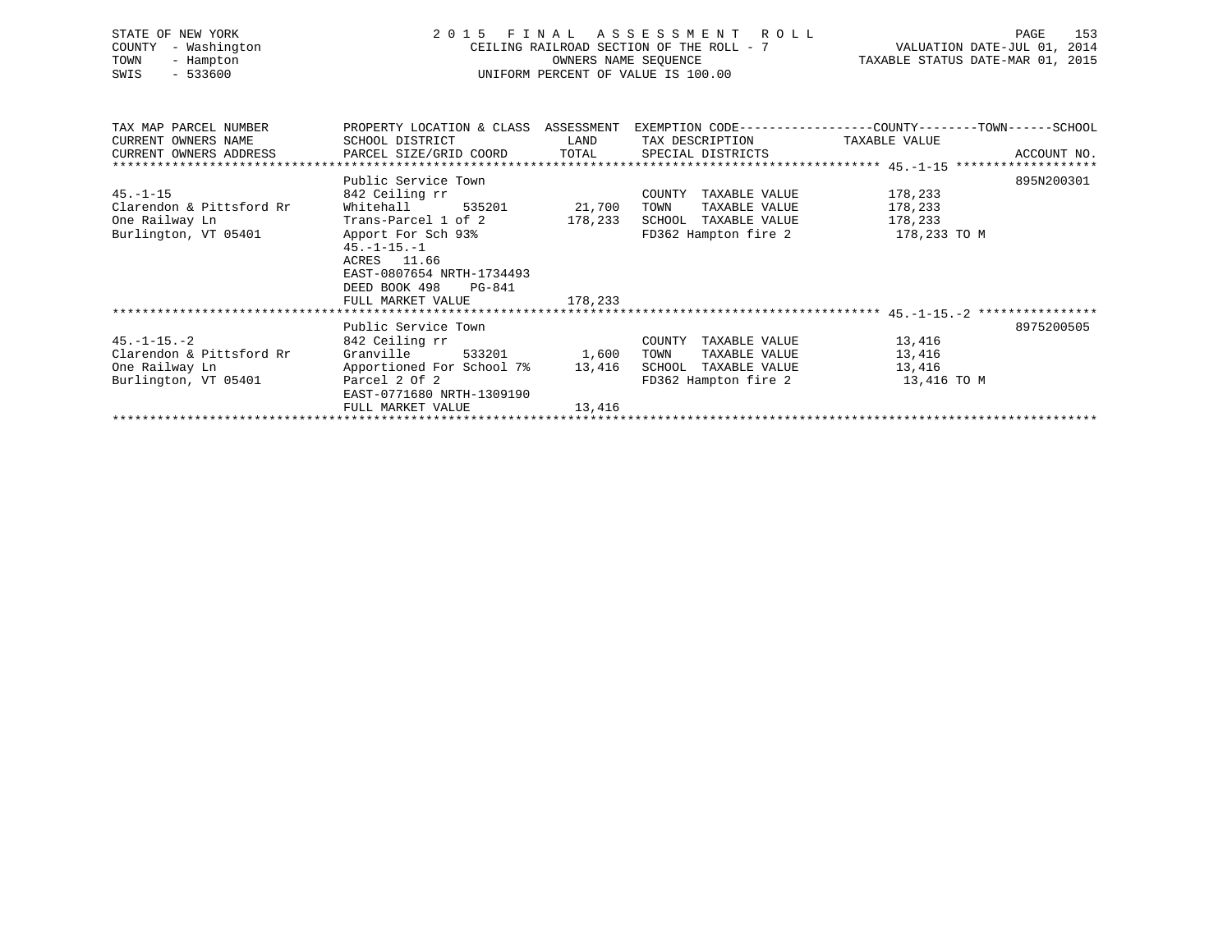| STATE OF NEW YORK<br>- Washington<br>COUNTY<br>TOWN<br>- Hampton<br>$-533600$<br>SWIS | 2 0 1 5<br>FINAL                                                                                                | A S S E S S M E N T R O L L<br>OWNERS NAME SEOUENCE<br>UNIFORM PERCENT OF VALUE IS 100.00 | 153<br>PAGE<br>CEILING RAILROAD SECTION OF THE ROLL - 7 $\overline{V}$ VALUATION DATE-JUL 01, 2014<br>TAXABLE STATUS DATE-MAR 01, 2015 |                                                                                                |
|---------------------------------------------------------------------------------------|-----------------------------------------------------------------------------------------------------------------|-------------------------------------------------------------------------------------------|----------------------------------------------------------------------------------------------------------------------------------------|------------------------------------------------------------------------------------------------|
| TAX MAP PARCEL NUMBER<br>CURRENT OWNERS NAME                                          | SCHOOL DISTRICT                                                                                                 | LAND                                                                                      | TAX DESCRIPTION TAXABLE VALUE                                                                                                          | PROPERTY LOCATION & CLASS ASSESSMENT EXEMPTION CODE---------------COUNTY-------TOWN-----SCHOOL |
| CURRENT OWNERS ADDRESS                                                                | PARCEL SIZE/GRID COORD TOTAL                                                                                    |                                                                                           | SPECIAL DISTRICTS                                                                                                                      | ACCOUNT NO.                                                                                    |
|                                                                                       |                                                                                                                 |                                                                                           |                                                                                                                                        |                                                                                                |
|                                                                                       | Public Service Town                                                                                             |                                                                                           |                                                                                                                                        | 895N200301                                                                                     |
| $45. - 1 - 15$                                                                        | 842 Ceiling rr                                                                                                  |                                                                                           | COUNTY TAXABLE VALUE                                                                                                                   | 178,233                                                                                        |
| Clarendon & Pittsford Rr                                                              | Whitehall                                                                                                       | 535201 21,700                                                                             | TAXABLE VALUE<br>TOWN                                                                                                                  | 178,233                                                                                        |
| One Railway Ln                                                                        | Trans-Parcel 1 of 2                                                                                             | 178,233                                                                                   | SCHOOL TAXABLE VALUE                                                                                                                   | 178,233                                                                                        |
| Burlington, VT 05401                                                                  | Apport For Sch 93%<br>$45. -1 - 15. - 1$<br>ACRES 11.66<br>EAST-0807654 NRTH-1734493<br>DEED BOOK 498<br>PG-841 |                                                                                           | FD362 Hampton fire 2                                                                                                                   | 178,233 TO M                                                                                   |
|                                                                                       | FULL MARKET VALUE                                                                                               | 178,233                                                                                   |                                                                                                                                        |                                                                                                |
|                                                                                       |                                                                                                                 |                                                                                           |                                                                                                                                        |                                                                                                |
|                                                                                       | Public Service Town                                                                                             |                                                                                           |                                                                                                                                        | 8975200505                                                                                     |
| $45. - 1 - 15. - 2$                                                                   | 842 Ceiling rr                                                                                                  |                                                                                           | COUNTY TAXABLE VALUE                                                                                                                   | 13,416                                                                                         |
| Clarendon & Pittsford Rr<br>One Railway Ln                                            | Granville<br>533201<br>Apportioned For School 7% 13,416                                                         | 1,600                                                                                     | TOWN<br>TAXABLE VALUE<br>SCHOOL TAXABLE VALUE                                                                                          | 13,416<br>13,416                                                                               |
| Burlington, VT 05401                                                                  | Parcel 2 Of 2                                                                                                   |                                                                                           | FD362 Hampton fire 2 13,416 TO M                                                                                                       |                                                                                                |
|                                                                                       | EAST-0771680 NRTH-1309190                                                                                       |                                                                                           |                                                                                                                                        |                                                                                                |
|                                                                                       | FULL MARKET VALUE                                                                                               | 13,416                                                                                    |                                                                                                                                        |                                                                                                |
|                                                                                       |                                                                                                                 |                                                                                           |                                                                                                                                        |                                                                                                |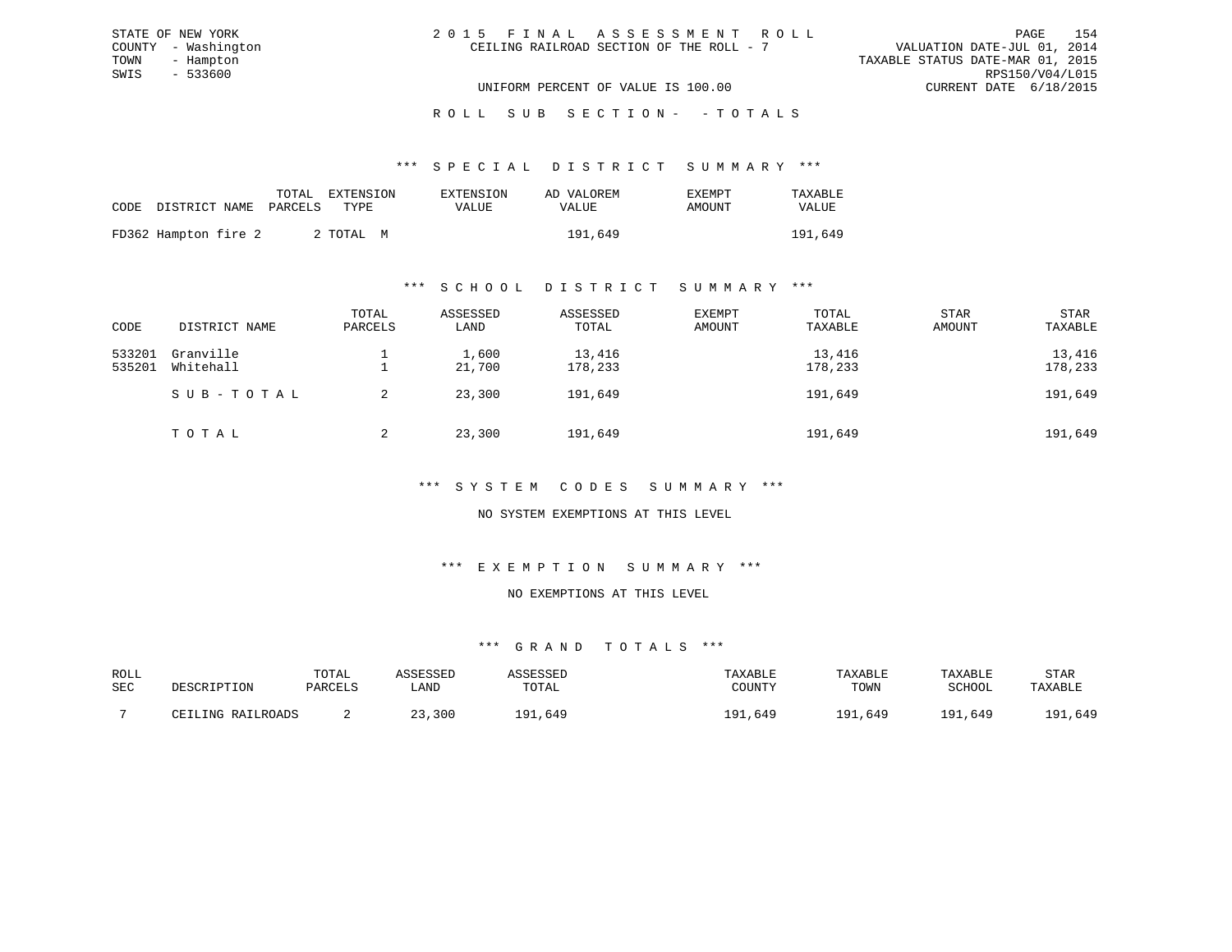| 2015 FINAL ASSESSMENT ROLL               |                                  | PAGE            | 154 |
|------------------------------------------|----------------------------------|-----------------|-----|
| CEILING RAILROAD SECTION OF THE ROLL - 7 | VALUATION DATE-JUL 01, 2014      |                 |     |
|                                          | TAXABLE STATUS DATE-MAR 01, 2015 |                 |     |
|                                          |                                  | RPS150/V04/L015 |     |
| UNIFORM PERCENT OF VALUE IS 100.00       | CURRENT DATE 6/18/2015           |                 |     |

## ROLL SUB SECTION - - TOTALS

#### \*\*\* S P E C I A L D I S T R I C T S U M M A R Y \*\*\*

|                                 | TOTAL | EXTENSION | EXTENSION    | AD VALOREM | <b>EXEMPT</b> | TAXABLE      |
|---------------------------------|-------|-----------|--------------|------------|---------------|--------------|
| CODE DISTRICT NAME PARCELS TYPE |       |           | <b>VALUE</b> | VALUE      | AMOUNT        | <b>VALUE</b> |
| FD362 Hampton fire 2            |       | 2 TOTAL M |              | 191,649    |               | 191,649      |

#### \*\*\* S C H O O L D I S T R I C T S U M M A R Y \*\*\*

| CODE             | DISTRICT NAME          | TOTAL<br>PARCELS | ASSESSED<br>LAND | ASSESSED<br>TOTAL | EXEMPT<br>AMOUNT | TOTAL<br>TAXABLE  | <b>STAR</b><br>AMOUNT | STAR<br>TAXABLE   |
|------------------|------------------------|------------------|------------------|-------------------|------------------|-------------------|-----------------------|-------------------|
| 533201<br>535201 | Granville<br>Whitehall |                  | 1,600<br>21,700  | 13,416<br>178,233 |                  | 13,416<br>178,233 |                       | 13,416<br>178,233 |
|                  | SUB-TOTAL              |                  | 23,300           | 191,649           |                  | 191,649           |                       | 191,649           |
|                  | TOTAL                  | 2                | 23,300           | 191,649           |                  | 191,649           |                       | 191,649           |

### \*\*\* S Y S T E M C O D E S S U M M A R Y \*\*\*

### NO SYSTEM EXEMPTIONS AT THIS LEVEL

#### \*\*\* E X E M P T I O N S U M M A R Y \*\*\*

#### NO EXEMPTIONS AT THIS LEVEL

| ROLL |                   | TOTAL   | <i>CCTCCT</i> | <i><b>\SSESSED</b></i> | TAXABLE      | TAXABLE     | TAXABLE     | STAR        |
|------|-------------------|---------|---------------|------------------------|--------------|-------------|-------------|-------------|
| SEC  | DESCRIPTION       | PARCELS | <b>AND</b>    | TOTAL                  | COUNTY       | TOWN        | SCHOOL      | TAXABLE     |
|      | CEILING RAILROADS |         | 300           | .649<br>1 0 1          | ,649<br>∂ ∩י | 191<br>,649 | 191<br>,649 | ,649<br>191 |
|      |                   |         |               |                        |              |             |             |             |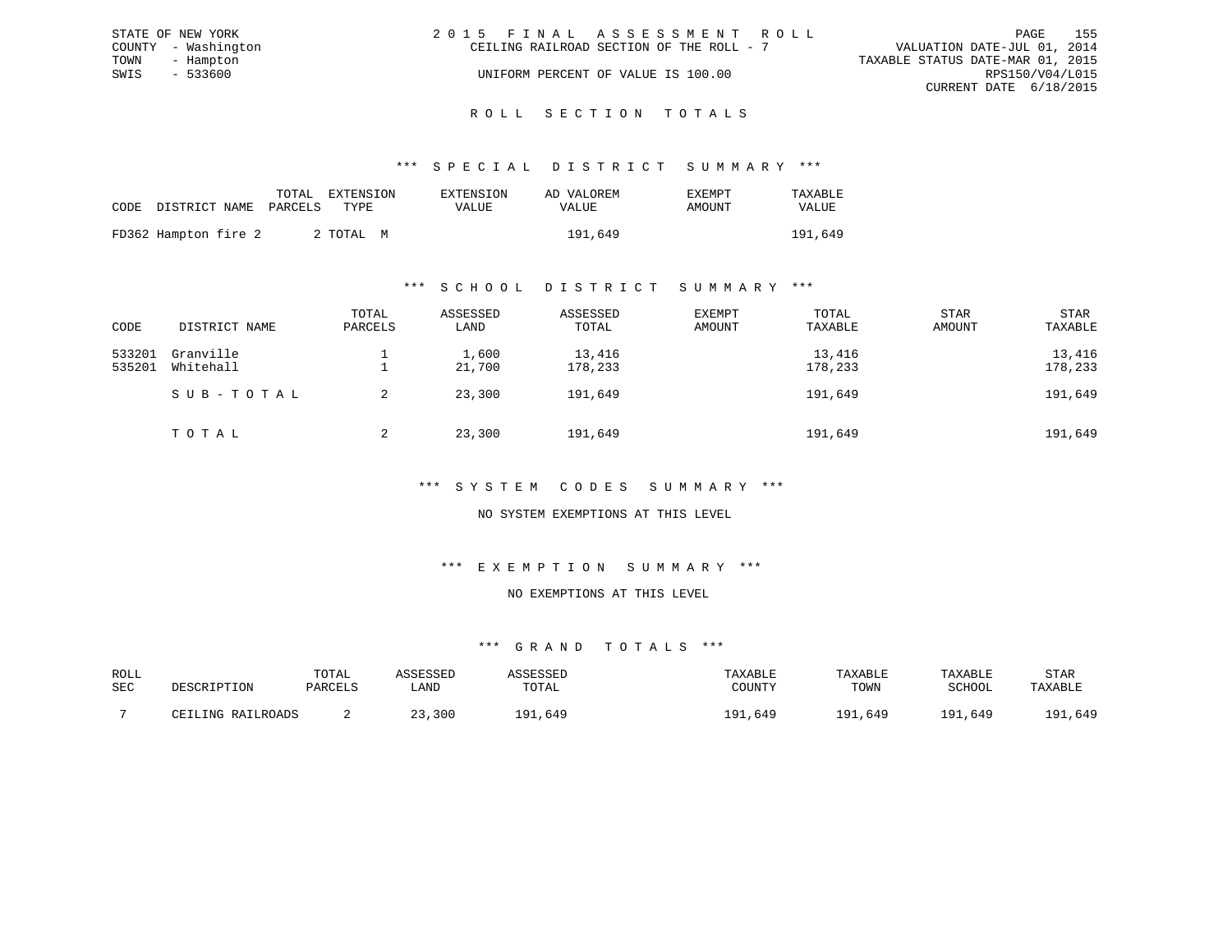|      | STATE OF NEW YORK   | 2015 FINAL ASSESSMENT ROLL               | 155<br>PAGE                      |
|------|---------------------|------------------------------------------|----------------------------------|
|      | COUNTY - Washington | CEILING RAILROAD SECTION OF THE ROLL - 7 | VALUATION DATE-JUL 01, 2014      |
| TOWN | - Hampton           |                                          | TAXABLE STATUS DATE-MAR 01, 2015 |
| SWIS | - 533600            | UNIFORM PERCENT OF VALUE IS 100.00       | RPS150/V04/L015                  |
|      |                     |                                          | CURRENT DATE 6/18/2015           |
|      |                     |                                          |                                  |

#### R O L L S E C T I O N T O T A L S

#### \*\*\* S P E C I A L D I S T R I C T S U M M A R Y \*\*\*

|                            | TOTAL | EXTENSION | EXTENSION | AD VALOREM   | EXEMPT | TAXABLE |
|----------------------------|-------|-----------|-----------|--------------|--------|---------|
| CODE DISTRICT NAME PARCELS |       | TYPE.     | VALUE.    | <b>VALUE</b> | AMOUNT | VALUE   |
| FD362 Hampton fire 2       |       | 2 ТОТАЬ М |           | 191,649      |        | 191,649 |

#### \*\*\* S C H O O L D I S T R I C T S U M M A R Y \*\*\*

| CODE             | DISTRICT NAME          | TOTAL<br>PARCELS | ASSESSED<br>LAND | ASSESSED<br>TOTAL | EXEMPT<br>AMOUNT | TOTAL<br>TAXABLE  | <b>STAR</b><br>AMOUNT | STAR<br>TAXABLE   |
|------------------|------------------------|------------------|------------------|-------------------|------------------|-------------------|-----------------------|-------------------|
| 533201<br>535201 | Granville<br>Whitehall |                  | 1,600<br>21,700  | 13,416<br>178,233 |                  | 13,416<br>178,233 |                       | 13,416<br>178,233 |
|                  | SUB-TOTAL              |                  | 23,300           | 191,649           |                  | 191,649           |                       | 191,649           |
|                  | TOTAL                  | 2                | 23,300           | 191,649           |                  | 191,649           |                       | 191,649           |

#### \*\*\* S Y S T E M C O D E S S U M M A R Y \*\*\*

### NO SYSTEM EXEMPTIONS AT THIS LEVEL

## \*\*\* E X E M P T I O N S U M M A R Y \*\*\*

#### NO EXEMPTIONS AT THIS LEVEL

| ROLL |                   | TOTAL   | CCFCCFD |               | TAXABLE             | TAXABLE     | TAXABLE     | STAR        |
|------|-------------------|---------|---------|---------------|---------------------|-------------|-------------|-------------|
| SEC  | DESCRIPTION       | PARCELS | LAND    | TOTAL         | COUNTY              | TOWN        | SCHOOL      | TAXABLE     |
|      |                   |         |         |               |                     |             |             |             |
|      | CEILING RAILROADS |         | 23,300  | 1 Q 1<br>.649 | , 649<br><b>Q</b> 1 | 191<br>,649 | 191<br>.649 | ,649<br>191 |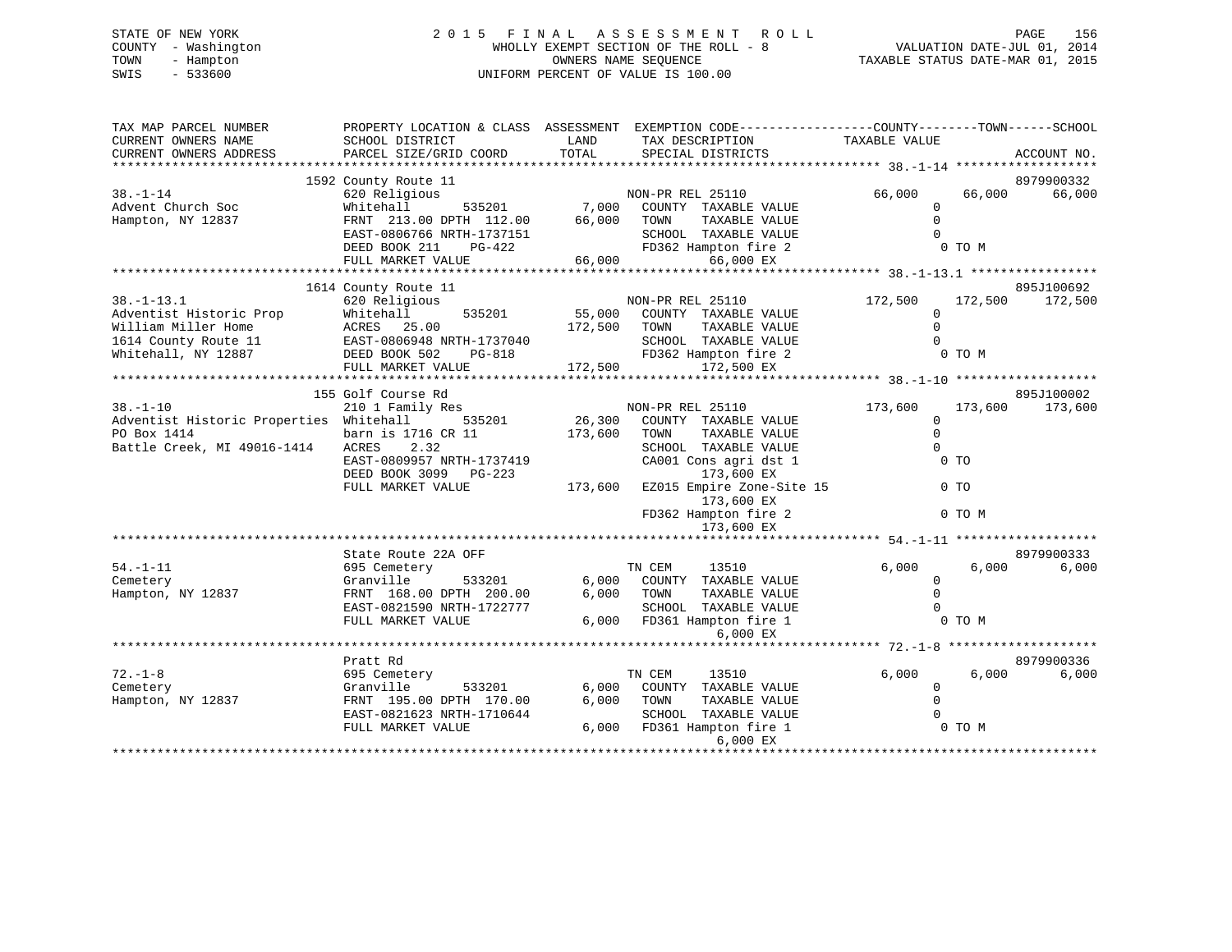## STATE OF NEW YORK 2 0 1 5 F I N A L A S S E S S M E N T R O L L PAGE 156 COUNTY - Washington WHOLLY EXEMPT SECTION OF THE ROLL - 8 VALUATION DATE-JUL 01, 2014 TOWN - Hampton OWNERS NAME SEQUENCE TAXABLE STATUS DATE-MAR 01, 2015 SWIS - 533600 UNIFORM PERCENT OF VALUE IS 100.00

| TAX MAP PARCEL NUMBER<br>CURRENT OWNERS NAME | PROPERTY LOCATION & CLASS ASSESSMENT EXEMPTION CODE---------------COUNTY-------TOWN-----SCHOOL<br>SCHOOL DISTRICT                                                                                                                                                                                                                                                                                          | LAND<br>TOTAL | TAX DESCRIPTION                                                                           | TAXABLE VALUE        | ACCOUNT NO.        |
|----------------------------------------------|------------------------------------------------------------------------------------------------------------------------------------------------------------------------------------------------------------------------------------------------------------------------------------------------------------------------------------------------------------------------------------------------------------|---------------|-------------------------------------------------------------------------------------------|----------------------|--------------------|
| CURRENT OWNERS ADDRESS                       | PARCEL SIZE/GRID COORD                                                                                                                                                                                                                                                                                                                                                                                     |               | SPECIAL DISTRICTS                                                                         |                      |                    |
|                                              | 1592 County Route 11                                                                                                                                                                                                                                                                                                                                                                                       |               |                                                                                           |                      | 8979900332         |
| $38. - 1 - 14$                               | 620 Religious                                                                                                                                                                                                                                                                                                                                                                                              |               | NON-PR REL 25110                                                                          | 66,000               | 66,000<br>66,000   |
| Advent Church Soc                            | Whitehall                                                                                                                                                                                                                                                                                                                                                                                                  |               | 535201 7,000 COUNTY TAXABLE VALUE                                                         | $\Omega$             |                    |
| Hampton, NY 12837                            |                                                                                                                                                                                                                                                                                                                                                                                                            |               | TAXABLE VALUE                                                                             | $\Omega$             |                    |
|                                              |                                                                                                                                                                                                                                                                                                                                                                                                            |               | SCHOOL TAXABLE VALUE                                                                      | $\Omega$             |                    |
|                                              |                                                                                                                                                                                                                                                                                                                                                                                                            |               | FD362 Hampton fire 2                                                                      |                      | 0 TO M             |
|                                              | $\begin{tabular}{lllllllllll} \multicolumn{2}{c}{\textbf{FRNT}} & 213.00 & {\textbf{DPTH}} & 112.00 & 66,000 & {\textbf{TOMN}} \\ \multicolumn{2}{c}{\textbf{EAST-0806766 NRTH-1737151}} & 66,000 & {\textbf{TOMN}} \\ \multicolumn{2}{c}{\textbf{DEED BOK 211}} & \textbf{PG-422} & \textbf{FD362 HA} \\ \multicolumn{2}{c}{\textbf{FULL MARKET VALUE}} & 66,000 & \multicolumn{2}{c}{\textbf{FDS62 HA}}$ |               | 66,000 EX                                                                                 |                      |                    |
|                                              |                                                                                                                                                                                                                                                                                                                                                                                                            |               |                                                                                           |                      |                    |
|                                              | 1614 County Route 11                                                                                                                                                                                                                                                                                                                                                                                       |               |                                                                                           |                      | 895J100692         |
| $38. - 1 - 13.1$                             | 620 Religious                                                                                                                                                                                                                                                                                                                                                                                              |               | NON-PR REL 25110                                                                          | 172,500              | 172,500<br>172,500 |
| Adventist Historic Prop                      | Whitehall                                                                                                                                                                                                                                                                                                                                                                                                  |               | 535201 55,000 COUNTY TAXABLE VALUE                                                        | $\mathbf 0$          |                    |
| William Miller Home                          | ACRES 25.00                                                                                                                                                                                                                                                                                                                                                                                                | 172,500 TOWN  | TAXABLE VALUE                                                                             | $\Omega$             |                    |
| 1614 County Route 11                         |                                                                                                                                                                                                                                                                                                                                                                                                            |               | SCHOOL TAXABLE VALUE                                                                      | $\Omega$             |                    |
| Whitehall, NY 12887                          | -------<br>EAST-0806948 NRTH-1737040<br>DEED BOOK 502 PG-818<br>FULL MARKET VALUE                                                                                                                                                                                                                                                                                                                          |               | RTH-1737040 SCHOOL TAXABLE VALUE<br>PG-818 FD362 Hampton fire 2<br>LUE 172,500 172,500 EX |                      | 0 TO M             |
|                                              |                                                                                                                                                                                                                                                                                                                                                                                                            |               |                                                                                           |                      |                    |
|                                              |                                                                                                                                                                                                                                                                                                                                                                                                            |               |                                                                                           |                      |                    |
|                                              | 155 Golf Course Rd                                                                                                                                                                                                                                                                                                                                                                                         |               |                                                                                           |                      | 895J100002         |
| $38. - 1 - 10$                               | 210 1 Family Res                                                                                                                                                                                                                                                                                                                                                                                           |               | s<br>535201 16,300 COUNTY TAXABLE VALUE                                                   | 173,600              | 173,600<br>173,600 |
| Adventist Historic Properties Whitehall      |                                                                                                                                                                                                                                                                                                                                                                                                            |               |                                                                                           | $\Omega$             |                    |
| PO Box 1414                                  | barn is 1716 CR 11                                                                                                                                                                                                                                                                                                                                                                                         | 173,600       | TAXABLE VALUE<br>TOWN                                                                     | $\mathbf 0$          |                    |
| Battle Creek, MI 49016-1414                  | 2.32<br>ACRES                                                                                                                                                                                                                                                                                                                                                                                              |               | SCHOOL TAXABLE VALUE                                                                      | $\Omega$             |                    |
|                                              | EAST-0809957 NRTH-1737419                                                                                                                                                                                                                                                                                                                                                                                  |               | CA001 Cons agri dst 1                                                                     | 0 <sub>T</sub>       |                    |
|                                              | DEED BOOK 3099 PG-223                                                                                                                                                                                                                                                                                                                                                                                      |               | 173,600 EX                                                                                |                      |                    |
|                                              | FULL MARKET VALUE                                                                                                                                                                                                                                                                                                                                                                                          | 173,600       | EZ015 Empire Zone-Site 15                                                                 |                      | 0 <sub>T</sub>     |
|                                              |                                                                                                                                                                                                                                                                                                                                                                                                            |               | 173,600 EX                                                                                |                      |                    |
|                                              |                                                                                                                                                                                                                                                                                                                                                                                                            |               | FD362 Hampton fire 2                                                                      |                      | 0 TO M             |
|                                              |                                                                                                                                                                                                                                                                                                                                                                                                            |               | 173,600 EX                                                                                |                      |                    |
|                                              |                                                                                                                                                                                                                                                                                                                                                                                                            |               |                                                                                           |                      |                    |
|                                              | State Route 22A OFF                                                                                                                                                                                                                                                                                                                                                                                        |               |                                                                                           |                      | 8979900333         |
| $54. - 1 - 11$                               | 695 Cemetery                                                                                                                                                                                                                                                                                                                                                                                               |               | TN CEM<br>13510                                                                           | 6.000                | 6,000<br>6,000     |
| Cemetery                                     | Granville 533201 6,000 COUNTY TAXABLE VALUE<br>FRNT 168.00 DPTH 200.00 6,000 TOWN TAXABLE VALUE                                                                                                                                                                                                                                                                                                            |               |                                                                                           | $\Omega$             |                    |
| Hampton, NY 12837                            |                                                                                                                                                                                                                                                                                                                                                                                                            |               |                                                                                           | $\Omega$<br>$\Omega$ |                    |
|                                              | EAST-0821590 NRTH-1722777                                                                                                                                                                                                                                                                                                                                                                                  |               | SCHOOL TAXABLE VALUE                                                                      |                      |                    |
|                                              | FULL MARKET VALUE                                                                                                                                                                                                                                                                                                                                                                                          |               | 6,000 FD361 Hampton fire 1                                                                |                      | 0 TO M             |
|                                              |                                                                                                                                                                                                                                                                                                                                                                                                            |               | 6,000 EX                                                                                  |                      |                    |
|                                              | Pratt Rd                                                                                                                                                                                                                                                                                                                                                                                                   |               |                                                                                           |                      | 8979900336         |
| $72. - 1 - 8$                                | 695 Cemetery                                                                                                                                                                                                                                                                                                                                                                                               |               | TN CEM<br>13510                                                                           | 6.000                | 6,000<br>6,000     |
| Cemetery                                     | Granville<br>533201                                                                                                                                                                                                                                                                                                                                                                                        | 6,000         | COUNTY TAXABLE VALUE                                                                      | $\mathbf 0$          |                    |
| Hampton, NY 12837                            | FRNT 195.00 DPTH 170.00                                                                                                                                                                                                                                                                                                                                                                                    | 6,000         | TOWN<br>TAXABLE VALUE                                                                     | $\Omega$             |                    |
|                                              | EAST-0821623 NRTH-1710644                                                                                                                                                                                                                                                                                                                                                                                  |               | SCHOOL TAXABLE VALUE                                                                      |                      |                    |
|                                              | FULL MARKET VALUE                                                                                                                                                                                                                                                                                                                                                                                          |               | 6,000 FD361 Hampton fire 1                                                                |                      | $0$ TO M           |
|                                              |                                                                                                                                                                                                                                                                                                                                                                                                            |               | 6,000 EX                                                                                  |                      |                    |
|                                              |                                                                                                                                                                                                                                                                                                                                                                                                            |               |                                                                                           |                      |                    |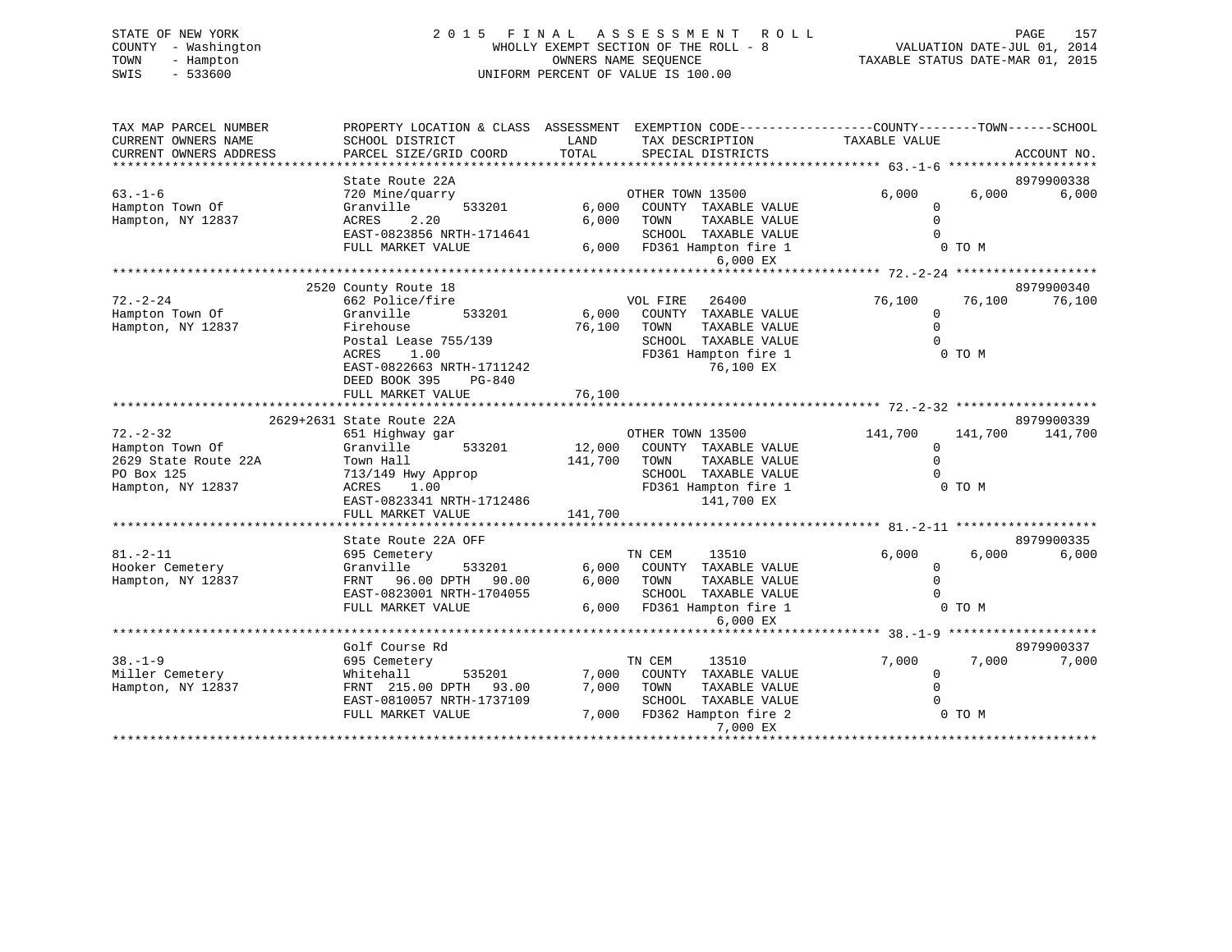## STATE OF NEW YORK 2 0 1 5 F I N A L A S S E S S M E N T R O L L PAGE 157 COUNTY - Washington WHOLLY EXEMPT SECTION OF THE ROLL - 8 VALUATION DATE-JUL 01, 2014 TOWN - Hampton OWNERS NAME SEQUENCE TAXABLE STATUS DATE-MAR 01, 2015 SWIS - 533600 UNIFORM PERCENT OF VALUE IS 100.00

| ACCOUNT NO.<br>State Route 22A<br>8979900338<br>6,000<br>OTHER TOWN 13500<br>6,000<br>6,000<br>720 Mine/quarry<br>533201<br>6,000<br>COUNTY TAXABLE VALUE<br>Granville<br>$\Omega$<br>6,000<br>$\Omega$<br>2.20<br>TOWN<br>TAXABLE VALUE<br>ACRES<br>$\Omega$<br>EAST-0823856 NRTH-1714641<br>SCHOOL TAXABLE VALUE<br>FULL MARKET VALUE<br>0 TO M<br>6,000<br>FD361 Hampton fire 1<br>6,000 EX<br>******************* 72.-2-24 *******************<br>2520 County Route 18<br>8979900340<br>$72. - 2 - 24$<br>662 Police/fire<br>VOL FIRE<br>26400<br>76,100<br>76,100<br>76,100<br>Hampton Town Of<br>Granville<br>533201<br>6,000<br>COUNTY<br>TAXABLE VALUE<br>$\mathbf 0$<br>Hampton, NY 12837<br>76,100<br>$\Omega$<br>Firehouse<br>TOWN<br>TAXABLE VALUE<br>Postal Lease 755/139<br>SCHOOL TAXABLE VALUE<br>$\Omega$<br>FD361 Hampton fire 1<br>ACRES<br>1.00<br>0 TO M<br>EAST-0822663 NRTH-1711242<br>76,100 EX<br>DEED BOOK 395<br>PG-840<br>FULL MARKET VALUE<br>76,100<br>8979900339<br>2629+2631 State Route 22A<br>$72. - 2 - 32$<br>OTHER TOWN 13500<br>141,700<br>141,700<br>651 Highway gar<br>141,700<br>12,000<br>Hampton Town Of<br>Granville<br>533201<br>COUNTY TAXABLE VALUE<br>0<br>$\mathbf 0$<br>2629 State Route 22A<br>Town Hall<br>141,700<br>TAXABLE VALUE<br>TOWN<br>SCHOOL TAXABLE VALUE<br>PO Box 125<br>$\Omega$<br>713/149 Hwy Approp<br>FD361 Hampton fire 1<br>0 TO M<br>Hampton, NY 12837<br>ACRES<br>1.00<br>141,700 EX<br>EAST-0823341 NRTH-1712486<br>141,700<br>FULL MARKET VALUE<br>***********************<br>8979900335<br>State Route 22A OFF<br>6,000<br>$81. - 2 - 11$<br>TN CEM<br>13510<br>6,000<br>6,000<br>695 Cemetery<br>Hooker Cemetery<br>Granville<br>533201<br>6,000<br>COUNTY TAXABLE VALUE<br>$\mathbf 0$<br>96.00 DPTH 90.00<br>6,000<br>$\mathbf 0$<br>Hampton, NY 12837<br>FRNT<br>TOWN<br>TAXABLE VALUE<br>$\Omega$<br>EAST-0823001 NRTH-1704055<br>SCHOOL TAXABLE VALUE<br>0 TO M<br>FULL MARKET VALUE<br>6,000<br>FD361 Hampton fire 1<br>6,000 EX<br>Golf Course Rd<br>8979900337<br>$38. - 1 - 9$<br>TN CEM<br>7,000<br>13510<br>7,000<br>7,000<br>695 Cemetery<br>Miller Cemetery<br>Whitehall<br>535201<br>7,000<br>COUNTY<br>TAXABLE VALUE<br>0<br>7,000<br>Hampton, NY 12837<br>FRNT 215.00 DPTH<br>93.00<br>TOWN<br>TAXABLE VALUE<br>$\Omega$<br>EAST-0810057 NRTH-1737109<br>SCHOOL TAXABLE VALUE<br>FULL MARKET VALUE<br>7,000<br>FD362 Hampton fire 2<br>0 TO M<br>7,000 EX | TAX MAP PARCEL NUMBER<br>CURRENT OWNERS NAME | PROPERTY LOCATION & CLASS ASSESSMENT<br>SCHOOL DISTRICT | LAND  | EXEMPTION CODE-----------------COUNTY-------TOWN------SCHOOL<br>TAX DESCRIPTION | TAXABLE VALUE |  |
|--------------------------------------------------------------------------------------------------------------------------------------------------------------------------------------------------------------------------------------------------------------------------------------------------------------------------------------------------------------------------------------------------------------------------------------------------------------------------------------------------------------------------------------------------------------------------------------------------------------------------------------------------------------------------------------------------------------------------------------------------------------------------------------------------------------------------------------------------------------------------------------------------------------------------------------------------------------------------------------------------------------------------------------------------------------------------------------------------------------------------------------------------------------------------------------------------------------------------------------------------------------------------------------------------------------------------------------------------------------------------------------------------------------------------------------------------------------------------------------------------------------------------------------------------------------------------------------------------------------------------------------------------------------------------------------------------------------------------------------------------------------------------------------------------------------------------------------------------------------------------------------------------------------------------------------------------------------------------------------------------------------------------------------------------------------------------------------------------------------------------------------------------------------------------------------------------------------------------------------------------------------------------------------------------------------------------------------------------------------------------------------------------------------------------------------------------------|----------------------------------------------|---------------------------------------------------------|-------|---------------------------------------------------------------------------------|---------------|--|
|                                                                                                                                                                                                                                                                                                                                                                                                                                                                                                                                                                                                                                                                                                                                                                                                                                                                                                                                                                                                                                                                                                                                                                                                                                                                                                                                                                                                                                                                                                                                                                                                                                                                                                                                                                                                                                                                                                                                                                                                                                                                                                                                                                                                                                                                                                                                                                                                                                                        | CURRENT OWNERS ADDRESS                       | PARCEL SIZE/GRID COORD                                  | TOTAL | SPECIAL DISTRICTS                                                               |               |  |
|                                                                                                                                                                                                                                                                                                                                                                                                                                                                                                                                                                                                                                                                                                                                                                                                                                                                                                                                                                                                                                                                                                                                                                                                                                                                                                                                                                                                                                                                                                                                                                                                                                                                                                                                                                                                                                                                                                                                                                                                                                                                                                                                                                                                                                                                                                                                                                                                                                                        |                                              |                                                         |       |                                                                                 |               |  |
|                                                                                                                                                                                                                                                                                                                                                                                                                                                                                                                                                                                                                                                                                                                                                                                                                                                                                                                                                                                                                                                                                                                                                                                                                                                                                                                                                                                                                                                                                                                                                                                                                                                                                                                                                                                                                                                                                                                                                                                                                                                                                                                                                                                                                                                                                                                                                                                                                                                        | $63. - 1 - 6$                                |                                                         |       |                                                                                 |               |  |
|                                                                                                                                                                                                                                                                                                                                                                                                                                                                                                                                                                                                                                                                                                                                                                                                                                                                                                                                                                                                                                                                                                                                                                                                                                                                                                                                                                                                                                                                                                                                                                                                                                                                                                                                                                                                                                                                                                                                                                                                                                                                                                                                                                                                                                                                                                                                                                                                                                                        | Hampton Town Of                              |                                                         |       |                                                                                 |               |  |
|                                                                                                                                                                                                                                                                                                                                                                                                                                                                                                                                                                                                                                                                                                                                                                                                                                                                                                                                                                                                                                                                                                                                                                                                                                                                                                                                                                                                                                                                                                                                                                                                                                                                                                                                                                                                                                                                                                                                                                                                                                                                                                                                                                                                                                                                                                                                                                                                                                                        | Hampton, NY 12837                            |                                                         |       |                                                                                 |               |  |
|                                                                                                                                                                                                                                                                                                                                                                                                                                                                                                                                                                                                                                                                                                                                                                                                                                                                                                                                                                                                                                                                                                                                                                                                                                                                                                                                                                                                                                                                                                                                                                                                                                                                                                                                                                                                                                                                                                                                                                                                                                                                                                                                                                                                                                                                                                                                                                                                                                                        |                                              |                                                         |       |                                                                                 |               |  |
|                                                                                                                                                                                                                                                                                                                                                                                                                                                                                                                                                                                                                                                                                                                                                                                                                                                                                                                                                                                                                                                                                                                                                                                                                                                                                                                                                                                                                                                                                                                                                                                                                                                                                                                                                                                                                                                                                                                                                                                                                                                                                                                                                                                                                                                                                                                                                                                                                                                        |                                              |                                                         |       |                                                                                 |               |  |
|                                                                                                                                                                                                                                                                                                                                                                                                                                                                                                                                                                                                                                                                                                                                                                                                                                                                                                                                                                                                                                                                                                                                                                                                                                                                                                                                                                                                                                                                                                                                                                                                                                                                                                                                                                                                                                                                                                                                                                                                                                                                                                                                                                                                                                                                                                                                                                                                                                                        |                                              |                                                         |       |                                                                                 |               |  |
|                                                                                                                                                                                                                                                                                                                                                                                                                                                                                                                                                                                                                                                                                                                                                                                                                                                                                                                                                                                                                                                                                                                                                                                                                                                                                                                                                                                                                                                                                                                                                                                                                                                                                                                                                                                                                                                                                                                                                                                                                                                                                                                                                                                                                                                                                                                                                                                                                                                        |                                              |                                                         |       |                                                                                 |               |  |
|                                                                                                                                                                                                                                                                                                                                                                                                                                                                                                                                                                                                                                                                                                                                                                                                                                                                                                                                                                                                                                                                                                                                                                                                                                                                                                                                                                                                                                                                                                                                                                                                                                                                                                                                                                                                                                                                                                                                                                                                                                                                                                                                                                                                                                                                                                                                                                                                                                                        |                                              |                                                         |       |                                                                                 |               |  |
|                                                                                                                                                                                                                                                                                                                                                                                                                                                                                                                                                                                                                                                                                                                                                                                                                                                                                                                                                                                                                                                                                                                                                                                                                                                                                                                                                                                                                                                                                                                                                                                                                                                                                                                                                                                                                                                                                                                                                                                                                                                                                                                                                                                                                                                                                                                                                                                                                                                        |                                              |                                                         |       |                                                                                 |               |  |
|                                                                                                                                                                                                                                                                                                                                                                                                                                                                                                                                                                                                                                                                                                                                                                                                                                                                                                                                                                                                                                                                                                                                                                                                                                                                                                                                                                                                                                                                                                                                                                                                                                                                                                                                                                                                                                                                                                                                                                                                                                                                                                                                                                                                                                                                                                                                                                                                                                                        |                                              |                                                         |       |                                                                                 |               |  |
|                                                                                                                                                                                                                                                                                                                                                                                                                                                                                                                                                                                                                                                                                                                                                                                                                                                                                                                                                                                                                                                                                                                                                                                                                                                                                                                                                                                                                                                                                                                                                                                                                                                                                                                                                                                                                                                                                                                                                                                                                                                                                                                                                                                                                                                                                                                                                                                                                                                        |                                              |                                                         |       |                                                                                 |               |  |
|                                                                                                                                                                                                                                                                                                                                                                                                                                                                                                                                                                                                                                                                                                                                                                                                                                                                                                                                                                                                                                                                                                                                                                                                                                                                                                                                                                                                                                                                                                                                                                                                                                                                                                                                                                                                                                                                                                                                                                                                                                                                                                                                                                                                                                                                                                                                                                                                                                                        |                                              |                                                         |       |                                                                                 |               |  |
|                                                                                                                                                                                                                                                                                                                                                                                                                                                                                                                                                                                                                                                                                                                                                                                                                                                                                                                                                                                                                                                                                                                                                                                                                                                                                                                                                                                                                                                                                                                                                                                                                                                                                                                                                                                                                                                                                                                                                                                                                                                                                                                                                                                                                                                                                                                                                                                                                                                        |                                              |                                                         |       |                                                                                 |               |  |
|                                                                                                                                                                                                                                                                                                                                                                                                                                                                                                                                                                                                                                                                                                                                                                                                                                                                                                                                                                                                                                                                                                                                                                                                                                                                                                                                                                                                                                                                                                                                                                                                                                                                                                                                                                                                                                                                                                                                                                                                                                                                                                                                                                                                                                                                                                                                                                                                                                                        |                                              |                                                         |       |                                                                                 |               |  |
|                                                                                                                                                                                                                                                                                                                                                                                                                                                                                                                                                                                                                                                                                                                                                                                                                                                                                                                                                                                                                                                                                                                                                                                                                                                                                                                                                                                                                                                                                                                                                                                                                                                                                                                                                                                                                                                                                                                                                                                                                                                                                                                                                                                                                                                                                                                                                                                                                                                        |                                              |                                                         |       |                                                                                 |               |  |
|                                                                                                                                                                                                                                                                                                                                                                                                                                                                                                                                                                                                                                                                                                                                                                                                                                                                                                                                                                                                                                                                                                                                                                                                                                                                                                                                                                                                                                                                                                                                                                                                                                                                                                                                                                                                                                                                                                                                                                                                                                                                                                                                                                                                                                                                                                                                                                                                                                                        |                                              |                                                         |       |                                                                                 |               |  |
|                                                                                                                                                                                                                                                                                                                                                                                                                                                                                                                                                                                                                                                                                                                                                                                                                                                                                                                                                                                                                                                                                                                                                                                                                                                                                                                                                                                                                                                                                                                                                                                                                                                                                                                                                                                                                                                                                                                                                                                                                                                                                                                                                                                                                                                                                                                                                                                                                                                        |                                              |                                                         |       |                                                                                 |               |  |
|                                                                                                                                                                                                                                                                                                                                                                                                                                                                                                                                                                                                                                                                                                                                                                                                                                                                                                                                                                                                                                                                                                                                                                                                                                                                                                                                                                                                                                                                                                                                                                                                                                                                                                                                                                                                                                                                                                                                                                                                                                                                                                                                                                                                                                                                                                                                                                                                                                                        |                                              |                                                         |       |                                                                                 |               |  |
|                                                                                                                                                                                                                                                                                                                                                                                                                                                                                                                                                                                                                                                                                                                                                                                                                                                                                                                                                                                                                                                                                                                                                                                                                                                                                                                                                                                                                                                                                                                                                                                                                                                                                                                                                                                                                                                                                                                                                                                                                                                                                                                                                                                                                                                                                                                                                                                                                                                        |                                              |                                                         |       |                                                                                 |               |  |
|                                                                                                                                                                                                                                                                                                                                                                                                                                                                                                                                                                                                                                                                                                                                                                                                                                                                                                                                                                                                                                                                                                                                                                                                                                                                                                                                                                                                                                                                                                                                                                                                                                                                                                                                                                                                                                                                                                                                                                                                                                                                                                                                                                                                                                                                                                                                                                                                                                                        |                                              |                                                         |       |                                                                                 |               |  |
|                                                                                                                                                                                                                                                                                                                                                                                                                                                                                                                                                                                                                                                                                                                                                                                                                                                                                                                                                                                                                                                                                                                                                                                                                                                                                                                                                                                                                                                                                                                                                                                                                                                                                                                                                                                                                                                                                                                                                                                                                                                                                                                                                                                                                                                                                                                                                                                                                                                        |                                              |                                                         |       |                                                                                 |               |  |
|                                                                                                                                                                                                                                                                                                                                                                                                                                                                                                                                                                                                                                                                                                                                                                                                                                                                                                                                                                                                                                                                                                                                                                                                                                                                                                                                                                                                                                                                                                                                                                                                                                                                                                                                                                                                                                                                                                                                                                                                                                                                                                                                                                                                                                                                                                                                                                                                                                                        |                                              |                                                         |       |                                                                                 |               |  |
|                                                                                                                                                                                                                                                                                                                                                                                                                                                                                                                                                                                                                                                                                                                                                                                                                                                                                                                                                                                                                                                                                                                                                                                                                                                                                                                                                                                                                                                                                                                                                                                                                                                                                                                                                                                                                                                                                                                                                                                                                                                                                                                                                                                                                                                                                                                                                                                                                                                        |                                              |                                                         |       |                                                                                 |               |  |
|                                                                                                                                                                                                                                                                                                                                                                                                                                                                                                                                                                                                                                                                                                                                                                                                                                                                                                                                                                                                                                                                                                                                                                                                                                                                                                                                                                                                                                                                                                                                                                                                                                                                                                                                                                                                                                                                                                                                                                                                                                                                                                                                                                                                                                                                                                                                                                                                                                                        |                                              |                                                         |       |                                                                                 |               |  |
|                                                                                                                                                                                                                                                                                                                                                                                                                                                                                                                                                                                                                                                                                                                                                                                                                                                                                                                                                                                                                                                                                                                                                                                                                                                                                                                                                                                                                                                                                                                                                                                                                                                                                                                                                                                                                                                                                                                                                                                                                                                                                                                                                                                                                                                                                                                                                                                                                                                        |                                              |                                                         |       |                                                                                 |               |  |
|                                                                                                                                                                                                                                                                                                                                                                                                                                                                                                                                                                                                                                                                                                                                                                                                                                                                                                                                                                                                                                                                                                                                                                                                                                                                                                                                                                                                                                                                                                                                                                                                                                                                                                                                                                                                                                                                                                                                                                                                                                                                                                                                                                                                                                                                                                                                                                                                                                                        |                                              |                                                         |       |                                                                                 |               |  |
|                                                                                                                                                                                                                                                                                                                                                                                                                                                                                                                                                                                                                                                                                                                                                                                                                                                                                                                                                                                                                                                                                                                                                                                                                                                                                                                                                                                                                                                                                                                                                                                                                                                                                                                                                                                                                                                                                                                                                                                                                                                                                                                                                                                                                                                                                                                                                                                                                                                        |                                              |                                                         |       |                                                                                 |               |  |
|                                                                                                                                                                                                                                                                                                                                                                                                                                                                                                                                                                                                                                                                                                                                                                                                                                                                                                                                                                                                                                                                                                                                                                                                                                                                                                                                                                                                                                                                                                                                                                                                                                                                                                                                                                                                                                                                                                                                                                                                                                                                                                                                                                                                                                                                                                                                                                                                                                                        |                                              |                                                         |       |                                                                                 |               |  |
|                                                                                                                                                                                                                                                                                                                                                                                                                                                                                                                                                                                                                                                                                                                                                                                                                                                                                                                                                                                                                                                                                                                                                                                                                                                                                                                                                                                                                                                                                                                                                                                                                                                                                                                                                                                                                                                                                                                                                                                                                                                                                                                                                                                                                                                                                                                                                                                                                                                        |                                              |                                                         |       |                                                                                 |               |  |
|                                                                                                                                                                                                                                                                                                                                                                                                                                                                                                                                                                                                                                                                                                                                                                                                                                                                                                                                                                                                                                                                                                                                                                                                                                                                                                                                                                                                                                                                                                                                                                                                                                                                                                                                                                                                                                                                                                                                                                                                                                                                                                                                                                                                                                                                                                                                                                                                                                                        |                                              |                                                         |       |                                                                                 |               |  |
|                                                                                                                                                                                                                                                                                                                                                                                                                                                                                                                                                                                                                                                                                                                                                                                                                                                                                                                                                                                                                                                                                                                                                                                                                                                                                                                                                                                                                                                                                                                                                                                                                                                                                                                                                                                                                                                                                                                                                                                                                                                                                                                                                                                                                                                                                                                                                                                                                                                        |                                              |                                                         |       |                                                                                 |               |  |
|                                                                                                                                                                                                                                                                                                                                                                                                                                                                                                                                                                                                                                                                                                                                                                                                                                                                                                                                                                                                                                                                                                                                                                                                                                                                                                                                                                                                                                                                                                                                                                                                                                                                                                                                                                                                                                                                                                                                                                                                                                                                                                                                                                                                                                                                                                                                                                                                                                                        |                                              |                                                         |       |                                                                                 |               |  |
|                                                                                                                                                                                                                                                                                                                                                                                                                                                                                                                                                                                                                                                                                                                                                                                                                                                                                                                                                                                                                                                                                                                                                                                                                                                                                                                                                                                                                                                                                                                                                                                                                                                                                                                                                                                                                                                                                                                                                                                                                                                                                                                                                                                                                                                                                                                                                                                                                                                        |                                              |                                                         |       |                                                                                 |               |  |
|                                                                                                                                                                                                                                                                                                                                                                                                                                                                                                                                                                                                                                                                                                                                                                                                                                                                                                                                                                                                                                                                                                                                                                                                                                                                                                                                                                                                                                                                                                                                                                                                                                                                                                                                                                                                                                                                                                                                                                                                                                                                                                                                                                                                                                                                                                                                                                                                                                                        |                                              |                                                         |       |                                                                                 |               |  |
|                                                                                                                                                                                                                                                                                                                                                                                                                                                                                                                                                                                                                                                                                                                                                                                                                                                                                                                                                                                                                                                                                                                                                                                                                                                                                                                                                                                                                                                                                                                                                                                                                                                                                                                                                                                                                                                                                                                                                                                                                                                                                                                                                                                                                                                                                                                                                                                                                                                        |                                              |                                                         |       |                                                                                 |               |  |
|                                                                                                                                                                                                                                                                                                                                                                                                                                                                                                                                                                                                                                                                                                                                                                                                                                                                                                                                                                                                                                                                                                                                                                                                                                                                                                                                                                                                                                                                                                                                                                                                                                                                                                                                                                                                                                                                                                                                                                                                                                                                                                                                                                                                                                                                                                                                                                                                                                                        |                                              |                                                         |       |                                                                                 |               |  |
|                                                                                                                                                                                                                                                                                                                                                                                                                                                                                                                                                                                                                                                                                                                                                                                                                                                                                                                                                                                                                                                                                                                                                                                                                                                                                                                                                                                                                                                                                                                                                                                                                                                                                                                                                                                                                                                                                                                                                                                                                                                                                                                                                                                                                                                                                                                                                                                                                                                        |                                              |                                                         |       |                                                                                 |               |  |
|                                                                                                                                                                                                                                                                                                                                                                                                                                                                                                                                                                                                                                                                                                                                                                                                                                                                                                                                                                                                                                                                                                                                                                                                                                                                                                                                                                                                                                                                                                                                                                                                                                                                                                                                                                                                                                                                                                                                                                                                                                                                                                                                                                                                                                                                                                                                                                                                                                                        |                                              |                                                         |       |                                                                                 |               |  |
|                                                                                                                                                                                                                                                                                                                                                                                                                                                                                                                                                                                                                                                                                                                                                                                                                                                                                                                                                                                                                                                                                                                                                                                                                                                                                                                                                                                                                                                                                                                                                                                                                                                                                                                                                                                                                                                                                                                                                                                                                                                                                                                                                                                                                                                                                                                                                                                                                                                        |                                              |                                                         |       |                                                                                 |               |  |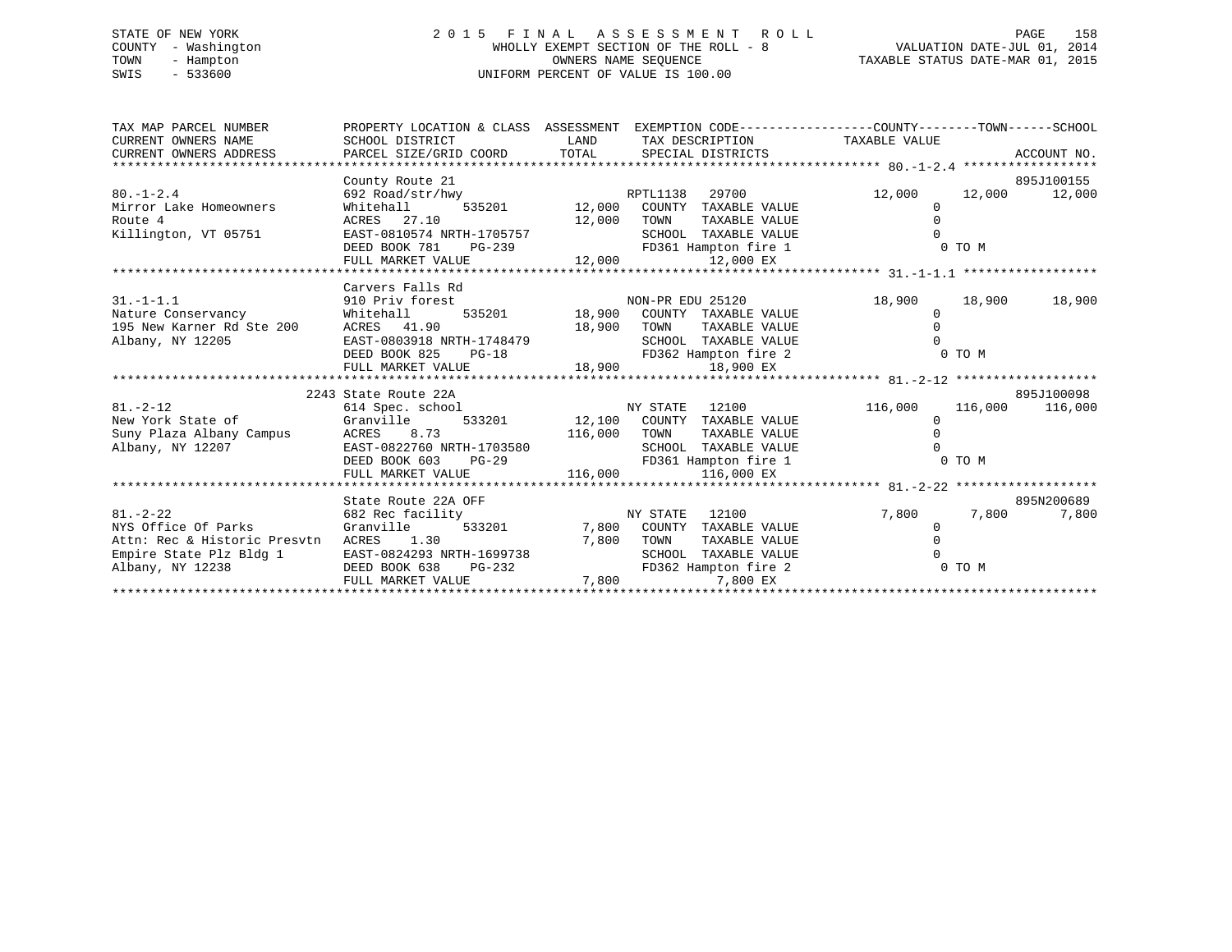## STATE OF NEW YORK 2 0 1 5 F I N A L A S S E S S M E N T R O L L PAGE 158 COUNTY - Washington WHOLLY EXEMPT SECTION OF THE ROLL - 8 VALUATION DATE-JUL 01, 2014 TOWN - Hampton OWNERS NAME SEQUENCE TAXABLE STATUS DATE-MAR 01, 2015 SWIS - 533600 UNIFORM PERCENT OF VALUE IS 100.00

| TAX MAP PARCEL NUMBER<br>CURRENT OWNERS NAME                                                                                                                                                                                                   | PROPERTY LOCATION & CLASS ASSESSMENT EXEMPTION CODE---------------COUNTY-------TOWN-----SCHOOL<br>SCHOOL DISTRICT |                          | LAND TAX DESCRIPTION TAXABLE VALUE                                                       |                                                                                     |                  |
|------------------------------------------------------------------------------------------------------------------------------------------------------------------------------------------------------------------------------------------------|-------------------------------------------------------------------------------------------------------------------|--------------------------|------------------------------------------------------------------------------------------|-------------------------------------------------------------------------------------|------------------|
| CURRENT OWNERS ADDRESS                                                                                                                                                                                                                         | PARCEL SIZE/GRID COORD TOTAL SPECIAL DISTRICTS                                                                    |                          |                                                                                          |                                                                                     | ACCOUNT NO.      |
|                                                                                                                                                                                                                                                |                                                                                                                   |                          |                                                                                          |                                                                                     |                  |
|                                                                                                                                                                                                                                                | County Route 21                                                                                                   |                          |                                                                                          |                                                                                     | 895J100155       |
| $80. - 1 - 2.4$                                                                                                                                                                                                                                | 692 Road/str/hwy RPTL1138 29700<br>Whitehall 535201 12,000 COUNTY TAXABLE VALUE                                   |                          | 29700 200                                                                                | 12,000                                                                              | 12,000 12,000    |
| Mirror Lake Homeowners                                                                                                                                                                                                                         |                                                                                                                   |                          |                                                                                          | $\Omega$                                                                            |                  |
| Route 4                                                                                                                                                                                                                                        | ACRES 27.10<br>12,000 TOWN                                                                                        |                          | TAXABLE VALUE                                                                            |                                                                                     |                  |
| Killington, VT 05751                                                                                                                                                                                                                           | EAST-0810574 NRTH-1705757                                                                                         |                          | SCHOOL TAXABLE VALUE                                                                     |                                                                                     |                  |
|                                                                                                                                                                                                                                                | $PG-239$<br>DEED BOOK 781                                                                                         |                          | FD361 Hampton fire 1 0 TO M                                                              |                                                                                     |                  |
|                                                                                                                                                                                                                                                |                                                                                                                   |                          |                                                                                          |                                                                                     |                  |
|                                                                                                                                                                                                                                                | Carvers Falls Rd                                                                                                  |                          |                                                                                          |                                                                                     |                  |
| $31. - 1 - 1.1$                                                                                                                                                                                                                                | 910 Priv forest                                                                                                   |                          | NON-PR EDU 25120                                                                         | 18,900                                                                              | 18,900<br>18,900 |
|                                                                                                                                                                                                                                                | Whitehall                                                                                                         |                          | 535201 18,900 COUNTY TAXABLE VALUE                                                       |                                                                                     |                  |
| Nature Conservancy<br>195 New Karner Rd Ste 200                                                                                                                                                                                                | ACRES 41.90                                                                                                       | 18,900                   | TOWN<br>TAXABLE VALUE                                                                    |                                                                                     |                  |
| Albany, NY 12205                                                                                                                                                                                                                               | EAST-0803918 NRTH-1748479                                                                                         |                          | SCHOOL TAXABLE VALUE                                                                     |                                                                                     |                  |
|                                                                                                                                                                                                                                                | DEED BOOK 825                                                                                                     |                          |                                                                                          | $\begin{matrix} 0 \\ 0 \hspace{.1cm} \text{TO} \hspace{.1cm} \text{M} \end{matrix}$ |                  |
|                                                                                                                                                                                                                                                | FULL MARKET VALUE                                                                                                 |                          | IRTH-1748479 SCHOOL TAXABLE VALUE<br>PG-18 FD362 Hampton fire 2<br>LLUE 18,900 18,900 EX |                                                                                     |                  |
|                                                                                                                                                                                                                                                |                                                                                                                   |                          |                                                                                          |                                                                                     |                  |
|                                                                                                                                                                                                                                                | 2243 State Route 22A                                                                                              |                          |                                                                                          |                                                                                     | 895J100098       |
| $81 - 2 - 12$                                                                                                                                                                                                                                  |                                                                                                                   |                          | 12100                                                                                    | 116,000                                                                             | 116,000 116,000  |
| New York State of                                                                                                                                                                                                                              | Granville                                                                                                         |                          | 533201 12,100 COUNTY TAXABLE VALUE                                                       |                                                                                     |                  |
| Suny Plaza Albany Campus<br>Albany. NY 12207                                                                                                                                                                                                   | ACRES 8.73                                                                                                        | $116,000$ TOWN<br>SCHOOL | TAXABLE VALUE                                                                            |                                                                                     |                  |
| Albany, NY 12207                                                                                                                                                                                                                               |                                                                                                                   |                          |                                                                                          |                                                                                     |                  |
|                                                                                                                                                                                                                                                |                                                                                                                   |                          |                                                                                          |                                                                                     |                  |
|                                                                                                                                                                                                                                                |                                                                                                                   |                          |                                                                                          |                                                                                     |                  |
| Albany, NY 12207<br>Albany, NY 12207<br>EAST-0822760 NRTH-1703580<br>EED BOOK 603 PG-29<br>FD361 Hampton fire 1 0 TO M<br>FULL MARKET VALUE<br>116,000 116,000 EX<br>FULL MARKET VALUE<br>116,000 116,000 116,000 116,000 116,000 116,000 116, |                                                                                                                   |                          |                                                                                          |                                                                                     |                  |
|                                                                                                                                                                                                                                                | State Route 22A OFF                                                                                               |                          |                                                                                          |                                                                                     | 895N200689       |
| 682 Rec facility<br>$81. - 2 - 22$                                                                                                                                                                                                             |                                                                                                                   | NY STATE                 | 12100                                                                                    | 7,800                                                                               | 7,800<br>7,800   |
| NYS Office Of Parks                                                                                                                                                                                                                            | Granville 533201 53300 7,800 COUNTY TAXABLE VALUE                                                                 |                          |                                                                                          |                                                                                     |                  |
| Attn: Rec & Historic Presvtn                                                                                                                                                                                                                   | ACRES 1.30<br>7,800                                                                                               |                          | TOWN<br>TAXABLE VALUE                                                                    |                                                                                     |                  |
| Empire State Plz Bldg 1                                                                                                                                                                                                                        | EAST-0824293 NRTH-1699738                                                                                         |                          | SCHOOL TAXABLE VALUE                                                                     |                                                                                     |                  |
| Albany, NY 12238                                                                                                                                                                                                                               | $PG-232$<br>DEED BOOK 638                                                                                         |                          | FD362 Hampton fire 2                                                                     | $0$ TO M                                                                            |                  |
|                                                                                                                                                                                                                                                | FULL MARKET VALUE                                                                                                 | 7,800                    | 7,800 EX                                                                                 |                                                                                     |                  |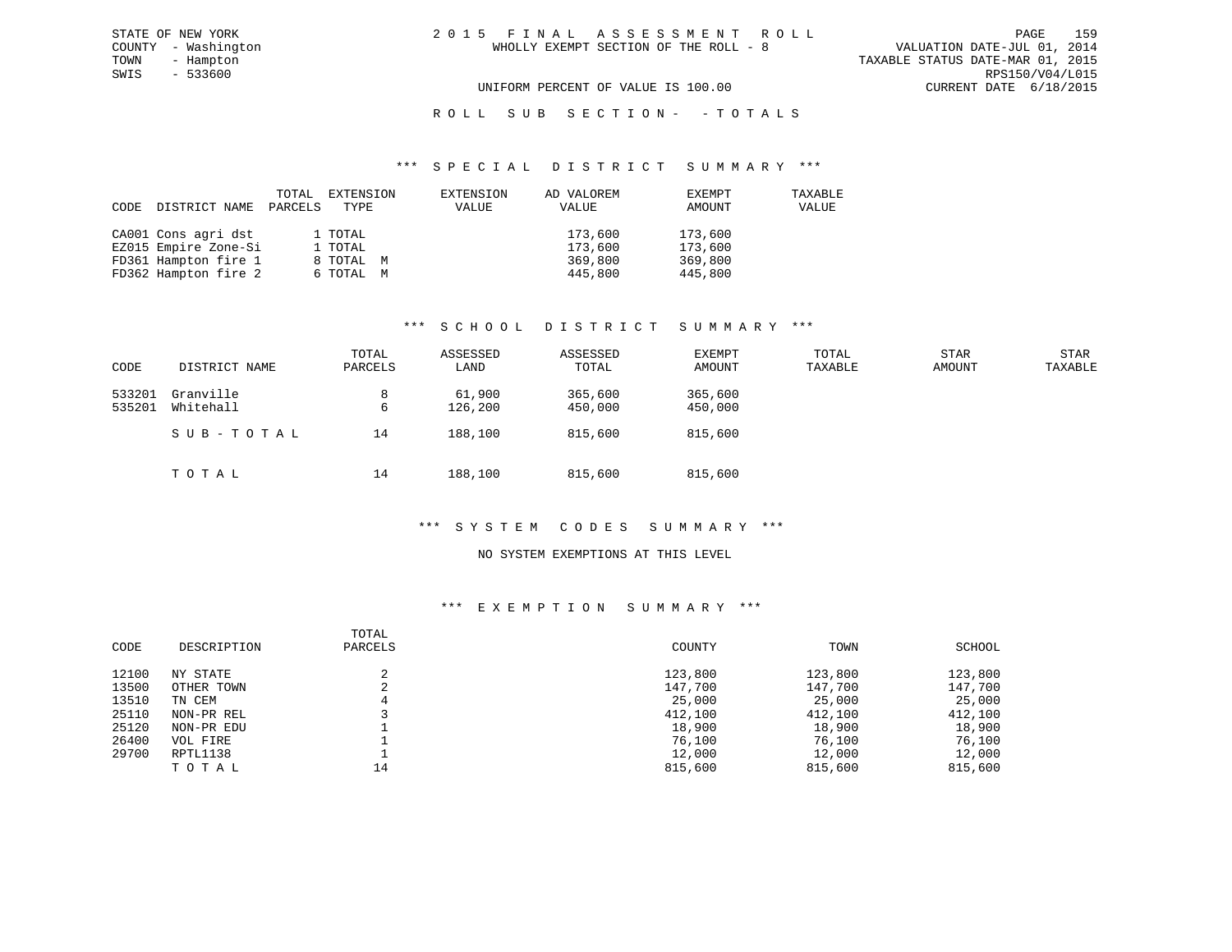## R O L L S U B S E C T I O N - - T O T A L S

#### \*\*\* S P E C I A L D I S T R I C T S U M M A R Y \*\*\*

| CODE | DISTRICT NAME        | TOTAL<br>PARCELS | EXTENSION<br>TYPE | EXTENSION<br>VALUE | AD VALOREM<br>VALUE | EXEMPT<br>AMOUNT | TAXABLE<br>VALUE |
|------|----------------------|------------------|-------------------|--------------------|---------------------|------------------|------------------|
|      | CA001 Cons agri dst  |                  | 1 TOTAL           |                    | 173,600             | 173,600          |                  |
|      | EZ015 Empire Zone-Si |                  | 1 TOTAL           |                    | 173,600             | 173,600          |                  |
|      | FD361 Hampton fire 1 |                  | 8 TOTAL M         |                    | 369,800             | 369,800          |                  |
|      | FD362 Hampton fire 2 |                  | 6 ТОТАL М         |                    | 445,800             | 445,800          |                  |

## \*\*\* S C H O O L D I S T R I C T S U M M A R Y \*\*\*

| CODE             | DISTRICT NAME          | TOTAL<br>PARCELS | ASSESSED<br>LAND  | ASSESSED<br>TOTAL  | EXEMPT<br>AMOUNT   | TOTAL<br>TAXABLE | <b>STAR</b><br>AMOUNT | <b>STAR</b><br>TAXABLE |
|------------------|------------------------|------------------|-------------------|--------------------|--------------------|------------------|-----------------------|------------------------|
| 533201<br>535201 | Granville<br>Whitehall | 8<br>6           | 61,900<br>126,200 | 365,600<br>450,000 | 365,600<br>450,000 |                  |                       |                        |
|                  | SUB-TOTAL              | 14               | 188,100           | 815,600            | 815,600            |                  |                       |                        |
|                  | TOTAL                  | 14               | 188,100           | 815,600            | 815,600            |                  |                       |                        |

#### \*\*\* S Y S T E M C O D E S S U M M A R Y \*\*\*

#### NO SYSTEM EXEMPTIONS AT THIS LEVEL

## \*\*\* E X E M P T I O N S U M M A R Y \*\*\*

| CODE  | DESCRIPTION | TOTAL<br>PARCELS | COUNTY  | TOWN    | SCHOOL  |
|-------|-------------|------------------|---------|---------|---------|
| 12100 | NY STATE    |                  | 123,800 | 123,800 | 123,800 |
| 13500 | OTHER TOWN  | $\sim$<br>∠      | 147,700 | 147,700 | 147,700 |
| 13510 | TN CEM      | 4                | 25,000  | 25,000  | 25,000  |
| 25110 | NON-PR REL  |                  | 412,100 | 412,100 | 412,100 |
| 25120 | NON-PR EDU  |                  | 18,900  | 18,900  | 18,900  |
| 26400 | VOL FIRE    |                  | 76,100  | 76,100  | 76,100  |
| 29700 | RPTL1138    |                  | 12,000  | 12,000  | 12,000  |
|       | TOTAL       | 14               | 815,600 | 815,600 | 815,600 |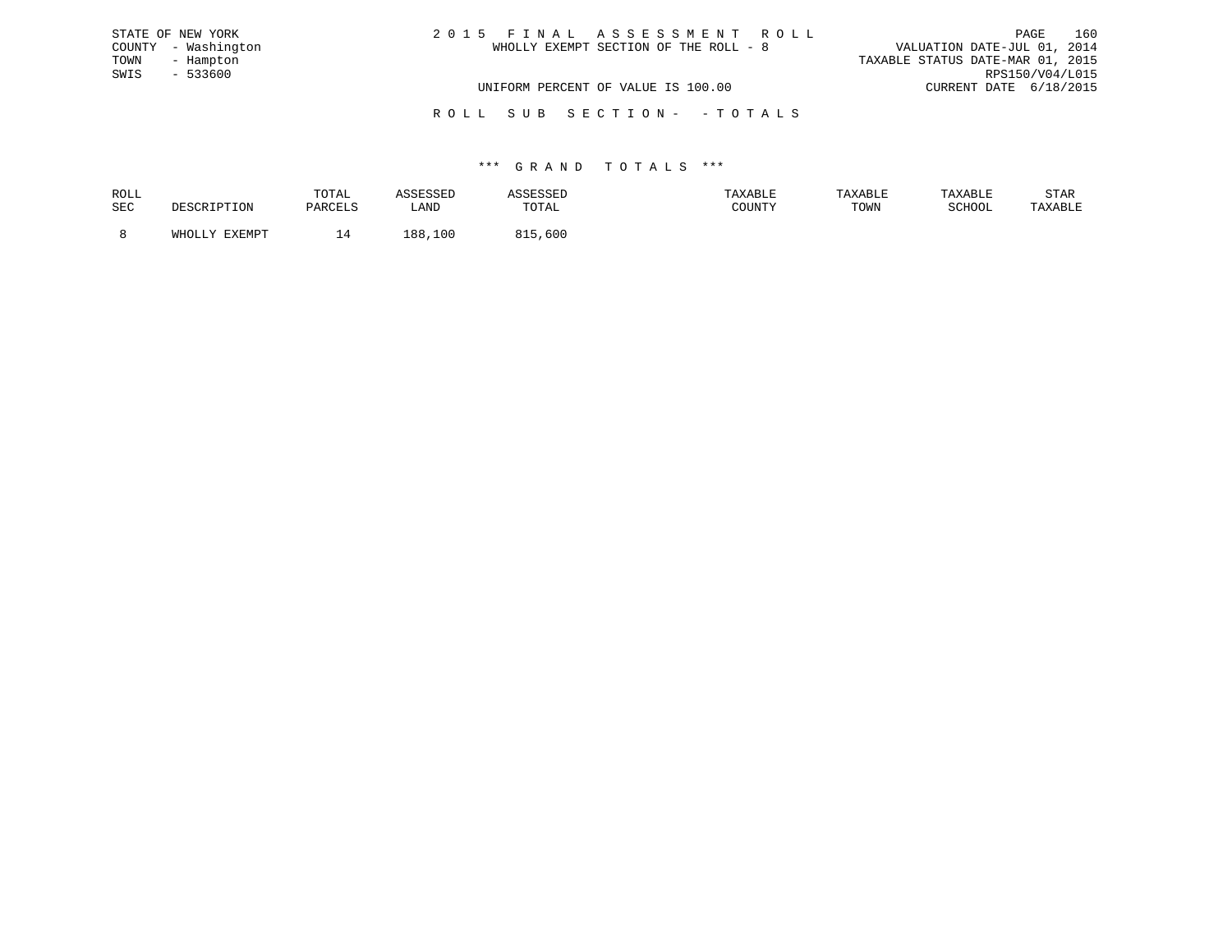| STATE OF NEW YORK   | 2015 FINAL ASSESSMENT ROLL            | 160<br>PAGE                      |
|---------------------|---------------------------------------|----------------------------------|
| COUNTY - Washington | WHOLLY EXEMPT SECTION OF THE ROLL - 8 | VALUATION DATE-JUL 01, 2014      |
| TOWN<br>- Hampton   |                                       | TAXABLE STATUS DATE-MAR 01, 2015 |
| SWIS<br>$-533600$   |                                       | RPS150/V04/L015                  |
|                     | UNIFORM PERCENT OF VALUE IS 100.00    | CURRENT DATE 6/18/2015           |
|                     |                                       |                                  |

R O L L S U B S E C T I O N - - T O T A L S

| ROLL |                             | TOTAL               | ----            | ىسى   |        | TAXABLE | TAXABLE          | STAR    |
|------|-----------------------------|---------------------|-----------------|-------|--------|---------|------------------|---------|
| SEC  | <sup>י ז ד</sup> י ד<br>ᆂᆂᇦ | DARCFT.S<br>YARULUS | LAND            | TOTAL | COUNTY | TOWN    | C∩∐∩∩T<br>SCHOOL | TAXABLE |
|      | <b>DVDMDP</b>               |                     | ' UU<br>$\circ$ | .60C  |        |         |                  |         |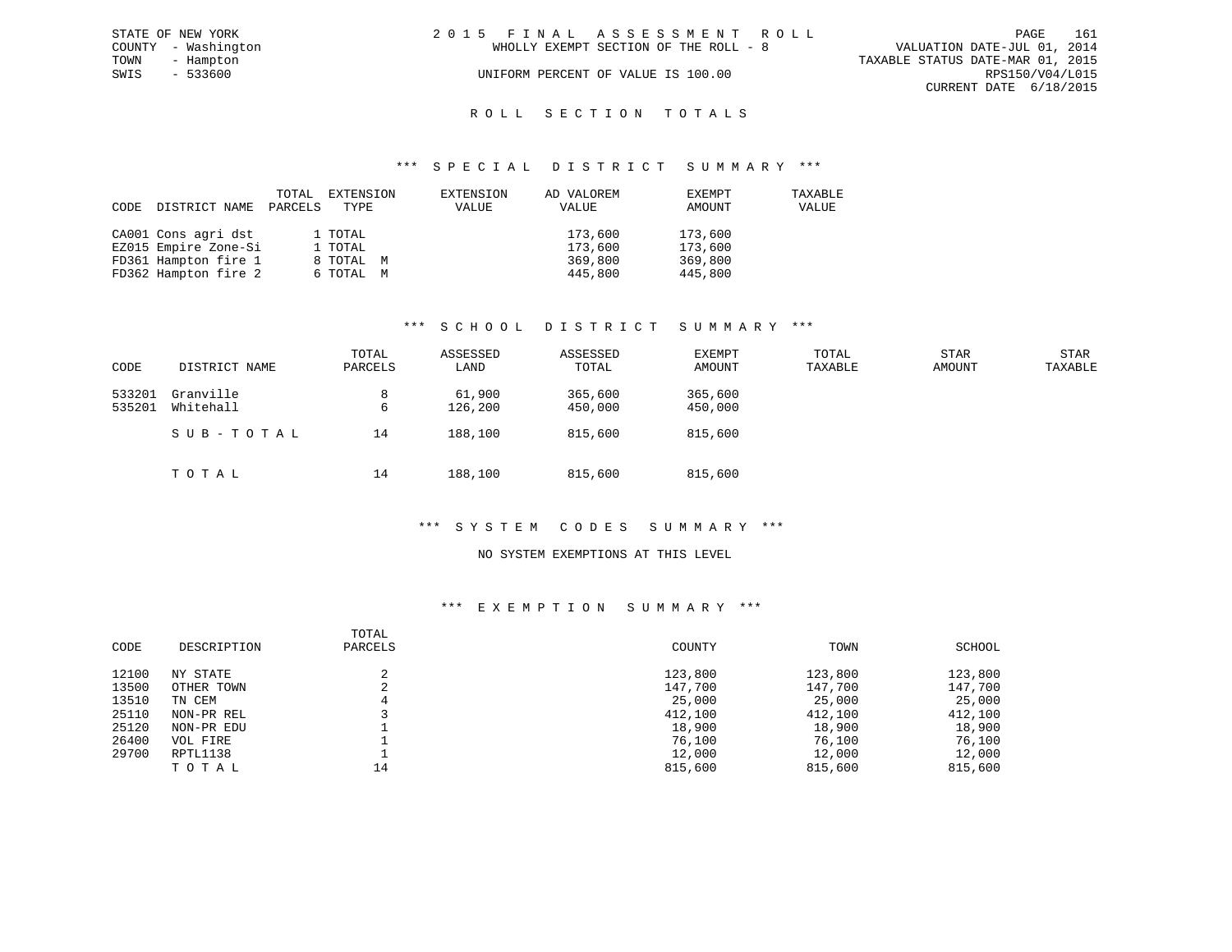|      | STATE OF NEW YORK   | 2015 FINAL ASSESSMENT ROLL |                                       |                                  | PAGE                   | 161 |
|------|---------------------|----------------------------|---------------------------------------|----------------------------------|------------------------|-----|
|      | COUNTY - Washington |                            | WHOLLY EXEMPT SECTION OF THE ROLL - 8 | VALUATION DATE-JUL 01, 2014      |                        |     |
| TOWN | - Hampton           |                            |                                       | TAXABLE STATUS DATE-MAR 01, 2015 |                        |     |
| SWIS | - 533600            |                            | UNIFORM PERCENT OF VALUE IS 100.00    |                                  | RPS150/V04/L015        |     |
|      |                     |                            |                                       |                                  | CURRENT DATE 6/18/2015 |     |
|      |                     |                            |                                       |                                  |                        |     |

## ROLL SECTION TOTALS

#### \*\*\* S P E C I A L D I S T R I C T S U M M A R Y \*\*\*

| CODE | DISTRICT NAME        | TOTAL<br>PARCELS | EXTENSION<br>TYPE | EXTENSION<br>VALUE | AD VALOREM<br>VALUE | EXEMPT<br>AMOUNT | TAXABLE<br>VALUE |
|------|----------------------|------------------|-------------------|--------------------|---------------------|------------------|------------------|
|      | CA001 Cons agri dst  |                  | 1 TOTAL           |                    | 173,600             | 173,600          |                  |
|      | EZ015 Empire Zone-Si |                  | 1 TOTAL           |                    | 173,600             | 173,600          |                  |
|      | FD361 Hampton fire 1 |                  | 8 TOTAL M         |                    | 369,800             | 369,800          |                  |
|      | FD362 Hampton fire 2 |                  | 6 TOTAL M         |                    | 445,800             | 445,800          |                  |

#### \*\*\* S C H O O L D I S T R I C T S U M M A R Y \*\*\*

| CODE             | DISTRICT NAME          | TOTAL<br>PARCELS | ASSESSED<br>LAND  | ASSESSED<br>TOTAL  | <b>EXEMPT</b><br>AMOUNT | TOTAL<br>TAXABLE | <b>STAR</b><br>AMOUNT | <b>STAR</b><br>TAXABLE |
|------------------|------------------------|------------------|-------------------|--------------------|-------------------------|------------------|-----------------------|------------------------|
| 533201<br>535201 | Granville<br>Whitehall | 8<br>6           | 61,900<br>126,200 | 365,600<br>450,000 | 365,600<br>450,000      |                  |                       |                        |
|                  | SUB-TOTAL              | 14               | 188,100           | 815,600            | 815,600                 |                  |                       |                        |
|                  | TOTAL                  | 14               | 188,100           | 815,600            | 815,600                 |                  |                       |                        |

#### \*\*\* S Y S T E M C O D E S S U M M A R Y \*\*\*

#### NO SYSTEM EXEMPTIONS AT THIS LEVEL

## \*\*\* E X E M P T I O N S U M M A R Y \*\*\*

| CODE  | DESCRIPTION | TOTAL<br>PARCELS | COUNTY  | TOWN    | SCHOOL  |
|-------|-------------|------------------|---------|---------|---------|
| 12100 | NY STATE    |                  | 123,800 | 123,800 | 123,800 |
| 13500 | OTHER TOWN  | z.               | 147,700 | 147,700 | 147,700 |
| 13510 | TN CEM      |                  | 25,000  | 25,000  | 25,000  |
| 25110 | NON-PR REL  |                  | 412,100 | 412,100 | 412,100 |
| 25120 | NON-PR EDU  |                  | 18,900  | 18,900  | 18,900  |
| 26400 | VOL FIRE    |                  | 76,100  | 76,100  | 76,100  |
| 29700 | RPTL1138    |                  | 12,000  | 12,000  | 12,000  |
|       | TOTAL       | 14               | 815,600 | 815,600 | 815,600 |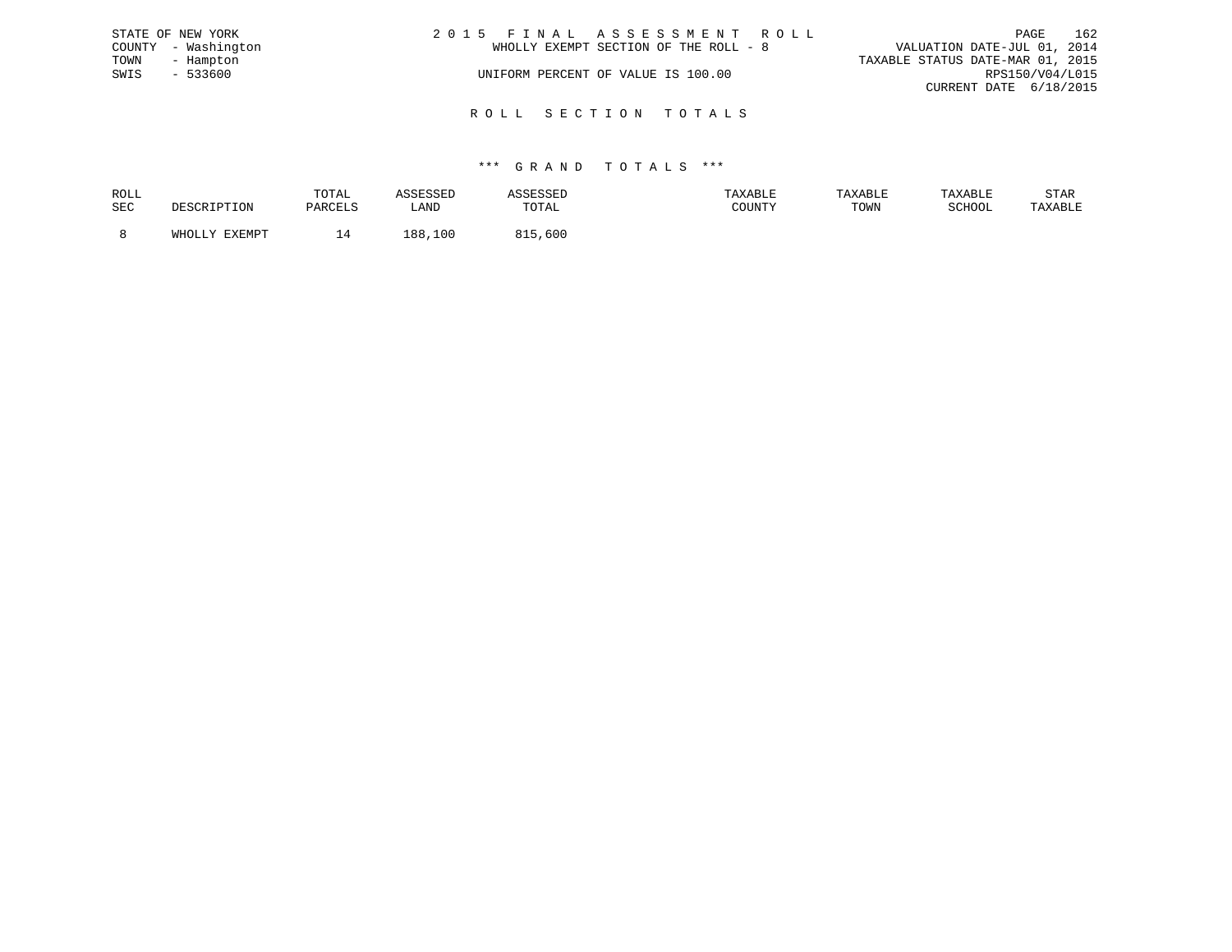|      | STATE OF NEW YORK   | 2015 FINAL ASSESSMENT ROLL            | PAGE                             | 162 |
|------|---------------------|---------------------------------------|----------------------------------|-----|
|      | COUNTY - Washington | WHOLLY EXEMPT SECTION OF THE ROLL - 8 | VALUATION DATE-JUL 01, 2014      |     |
| TOWN | - Hampton           |                                       | TAXABLE STATUS DATE-MAR 01, 2015 |     |
| SWIS | $-533600$           | UNIFORM PERCENT OF VALUE IS 100.00    | RPS150/V04/L015                  |     |
|      |                     |                                       | CURRENT DATE 6/18/2015           |     |
|      |                     |                                       |                                  |     |

R O L L S E C T I O N T O T A L S

| ROLL       |                         | TOTAL          | عىدىن         |              | AXABLE |      |        | STAR    |
|------------|-------------------------|----------------|---------------|--------------|--------|------|--------|---------|
| <b>SEC</b> |                         | <b>DARCTIC</b> | LAND          | <b>TOTAL</b> | COUNTY | TOWN | SCHOOL | 'AXABLE |
|            |                         |                |               |              |        |      |        |         |
|            | <b>TYFMDT</b><br>771700 | Δ              | 00<br>$\circ$ | 600          |        |      |        |         |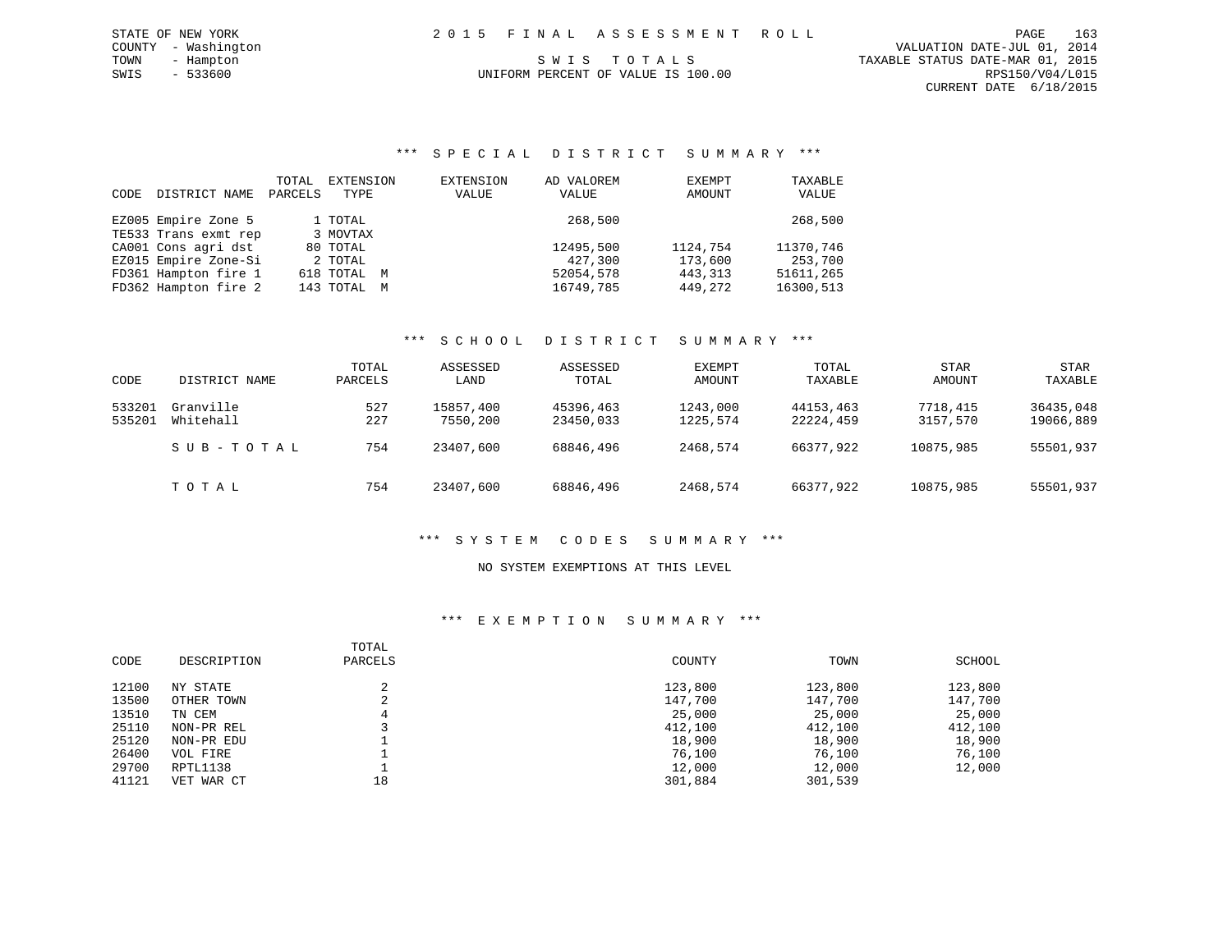# UNIFORM PERCENT OF VALUE IS 100.00

#### \*\*\* S P E C I A L D I S T R I C T S U M M A R Y \*\*\*

| CODE | DISTRICT NAME        | TOTAL<br>PARCELS | EXTENSION<br>TYPE | EXTENSION<br>VALUE | AD VALOREM<br>VALUE | EXEMPT<br>AMOUNT | TAXABLE<br>VALUE |
|------|----------------------|------------------|-------------------|--------------------|---------------------|------------------|------------------|
|      | EZ005 Empire Zone 5  |                  | 1 TOTAL           |                    | 268,500             |                  | 268,500          |
|      | TE533 Trans exmt rep |                  | 3 MOVTAX          |                    |                     |                  |                  |
|      | CA001 Cons agri dst  |                  | 80 TOTAL          |                    | 12495,500           | 1124,754         | 11370,746        |
|      | EZ015 Empire Zone-Si |                  | 2 TOTAL           |                    | 427,300             | 173,600          | 253,700          |
|      | FD361 Hampton fire 1 |                  | 618 TOTAL M       |                    | 52054,578           | 443, 313         | 51611,265        |
|      | FD362 Hampton fire 2 |                  | 143 TOTAL M       |                    | 16749,785           | 449,272          | 16300,513        |

#### \*\*\* S C H O O L D I S T R I C T S U M M A R Y \*\*\*

| CODE   | DISTRICT NAME | TOTAL<br>PARCELS | ASSESSED<br>LAND | ASSESSED<br>TOTAL | EXEMPT<br>AMOUNT | TOTAL<br>TAXABLE | <b>STAR</b><br>AMOUNT | <b>STAR</b><br>TAXABLE |
|--------|---------------|------------------|------------------|-------------------|------------------|------------------|-----------------------|------------------------|
|        |               |                  |                  |                   |                  |                  |                       |                        |
| 533201 | Granville     | 527              | 15857,400        | 45396,463         | 1243,000         | 44153,463        | 7718,415              | 36435,048              |
| 535201 | Whitehall     | 227              | 7550,200         | 23450,033         | 1225,574         | 22224,459        | 3157,570              | 19066,889              |
|        | SUB-TOTAL     | 754              | 23407,600        | 68846,496         | 2468,574         | 66377,922        | 10875,985             | 55501,937              |
|        | TOTAL         | 754              | 23407,600        | 68846,496         | 2468,574         | 66377,922        | 10875,985             | 55501,937              |

## \*\*\* S Y S T E M C O D E S S U M M A R Y \*\*\*

#### NO SYSTEM EXEMPTIONS AT THIS LEVEL

#### \*\*\* E X E M P T I O N S U M M A R Y \*\*\*

| CODE  | DESCRIPTION | TOTAL<br>PARCELS | COUNTY  | TOWN    | SCHOOL  |
|-------|-------------|------------------|---------|---------|---------|
| 12100 | NY STATE    |                  | 123,800 | 123,800 | 123,800 |
| 13500 | OTHER TOWN  | C.               | 147,700 | 147,700 | 147,700 |
| 13510 | TN CEM      | 4                | 25,000  | 25,000  | 25,000  |
| 25110 | NON-PR REL  |                  | 412,100 | 412,100 | 412,100 |
| 25120 | NON-PR EDU  |                  | 18,900  | 18,900  | 18,900  |
| 26400 | VOL FIRE    |                  | 76,100  | 76,100  | 76,100  |
| 29700 | RPTL1138    |                  | 12,000  | 12,000  | 12,000  |
| 41121 | VET WAR CT  | 18               | 301,884 | 301,539 |         |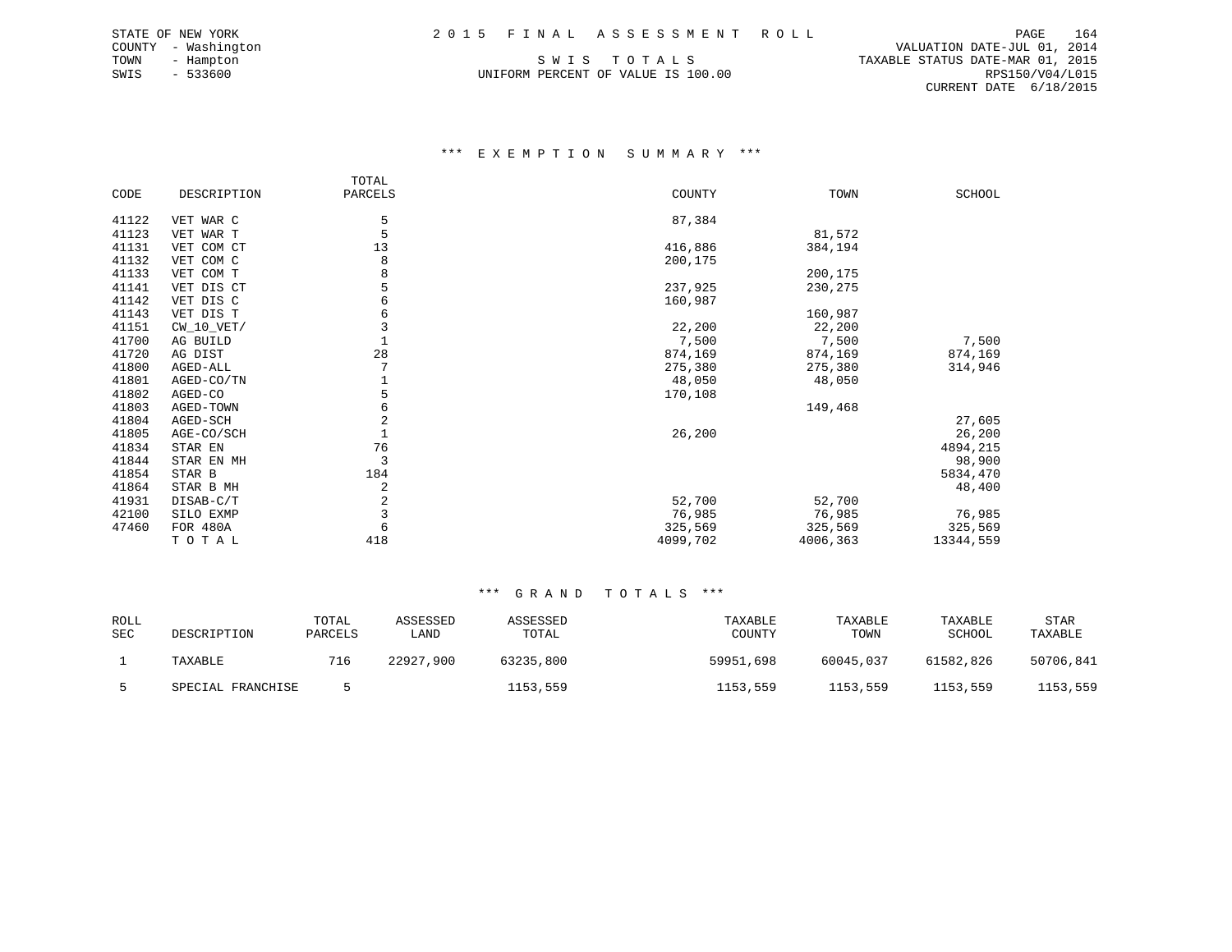UNIFORM PERCENT OF VALUE IS 100.00

 COUNTY - Washington VALUATION DATE-JUL 01, 2014 TOWN - Hampton S W I S T O T A L S TAXABLE STATUS DATE-MAR 01, 2015 CURRENT DATE 6/18/2015

#### \*\*\* E X E M P T I O N S U M M A R Y \*\*\*

|       |              | TOTAL   |          |          |           |
|-------|--------------|---------|----------|----------|-----------|
| CODE  | DESCRIPTION  | PARCELS | COUNTY   | TOWN     | SCHOOL    |
| 41122 | VET WAR C    | 5       | 87,384   |          |           |
| 41123 | VET WAR T    | 5       |          | 81,572   |           |
| 41131 | VET COM CT   | 13      | 416,886  | 384,194  |           |
| 41132 | VET COM C    | 8       | 200,175  |          |           |
| 41133 | VET COM T    |         |          | 200,175  |           |
| 41141 | VET DIS CT   |         | 237,925  | 230,275  |           |
| 41142 | VET DIS C    | 6       | 160,987  |          |           |
| 41143 | VET DIS T    |         |          | 160,987  |           |
| 41151 | $CW_10_VET/$ | 3       | 22,200   | 22,200   |           |
| 41700 | AG BUILD     |         | 7,500    | 7,500    | 7,500     |
| 41720 | AG DIST      | 28      | 874,169  | 874,169  | 874,169   |
| 41800 | AGED-ALL     |         | 275,380  | 275,380  | 314,946   |
| 41801 | AGED-CO/TN   |         | 48,050   | 48,050   |           |
| 41802 | AGED-CO      |         | 170,108  |          |           |
| 41803 | AGED-TOWN    | 6       |          | 149,468  |           |
| 41804 | AGED-SCH     | 2       |          |          | 27,605    |
| 41805 | AGE-CO/SCH   |         | 26,200   |          | 26,200    |
| 41834 | STAR EN      | 76      |          |          | 4894,215  |
| 41844 | STAR EN MH   | 3       |          |          | 98,900    |
| 41854 | STAR B       | 184     |          |          | 5834,470  |
| 41864 | STAR B MH    | 2       |          |          | 48,400    |
| 41931 | DISAB-C/T    | 2       | 52,700   | 52,700   |           |
| 42100 | SILO EXMP    |         | 76,985   | 76,985   | 76,985    |
| 47460 | FOR 480A     | 6       | 325,569  | 325,569  | 325,569   |
|       | TOTAL        | 418     | 4099,702 | 4006,363 | 13344,559 |

| ROLL<br>SEC | DESCRIPTION       | TOTAL<br>PARCELS | ASSESSED<br>LAND | ASSESSED<br>TOTAL | TAXABLE<br>COUNTY | TAXABLE<br>TOWN | TAXABLE<br>SCHOOL | <b>STAR</b><br>TAXABLE |
|-------------|-------------------|------------------|------------------|-------------------|-------------------|-----------------|-------------------|------------------------|
|             | TAXABLE           | 716              | 22927,900        | 63235,800         | 59951,698         | 60045,037       | 61582,826         | 50706,841              |
|             | SPECIAL FRANCHISE |                  |                  | 1153,559          | 1153,559          | 1153,559        | 1153,559          | 1153,559               |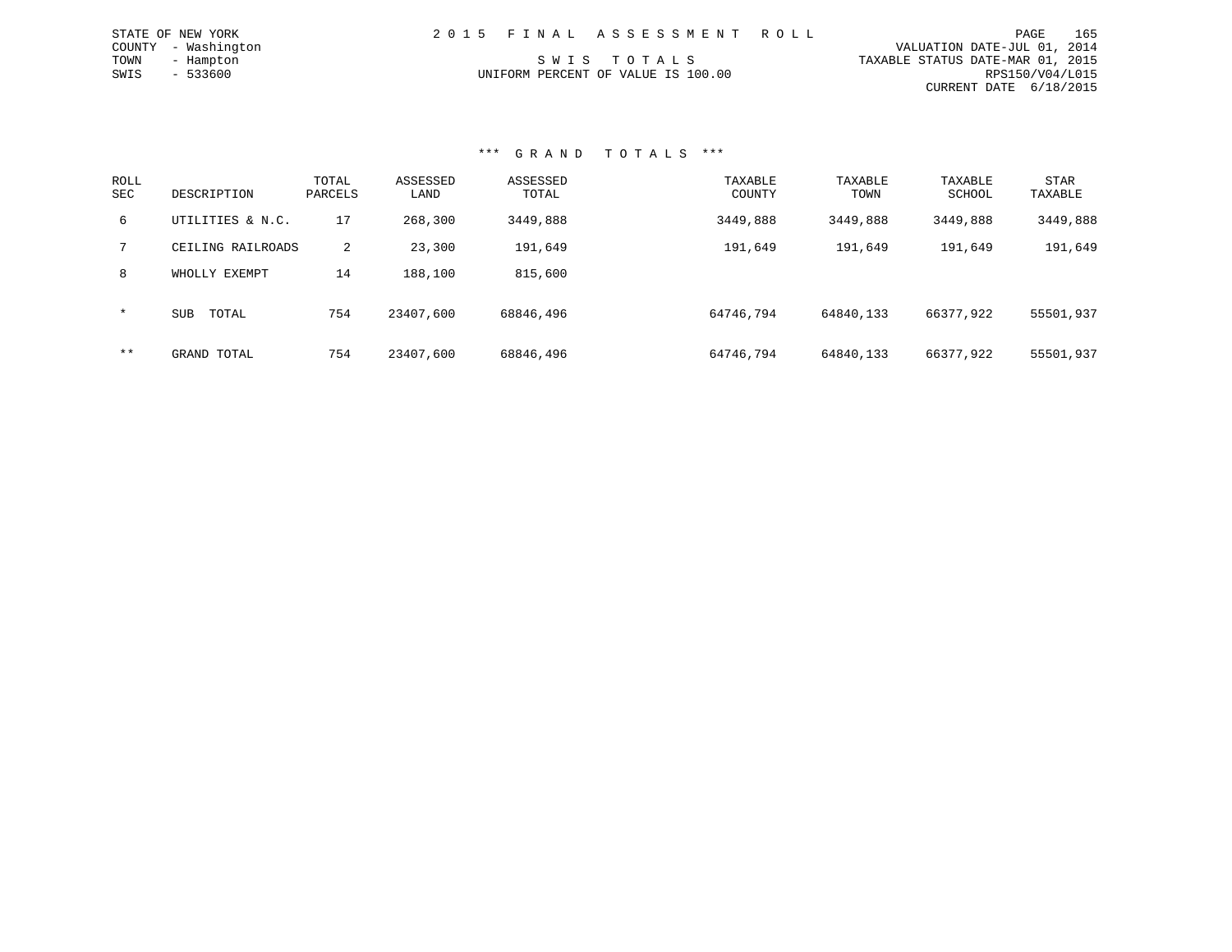| STATE OF NEW YORK   | 2015 FINAL ASSESSMENT ROLL         | PAGE                             | 165             |
|---------------------|------------------------------------|----------------------------------|-----------------|
| COUNTY - Washington |                                    | VALUATION DATE-JUL 01, 2014      |                 |
| TOWN<br>- Hampton   | SWIS TOTALS                        | TAXABLE STATUS DATE-MAR 01, 2015 |                 |
| $-533600$<br>SWIS   | UNIFORM PERCENT OF VALUE IS 100.00 |                                  | RPS150/V04/L015 |
|                     |                                    | CURRENT DATE 6/18/2015           |                 |

| ROLL<br><b>SEC</b> | DESCRIPTION         | TOTAL<br>PARCELS | ASSESSED<br>LAND | ASSESSED<br>TOTAL | TAXABLE<br>COUNTY | TAXABLE<br>TOWN | TAXABLE<br>SCHOOL | <b>STAR</b><br>TAXABLE |
|--------------------|---------------------|------------------|------------------|-------------------|-------------------|-----------------|-------------------|------------------------|
| 6                  | UTILITIES & N.C.    | 17               | 268,300          | 3449,888          | 3449,888          | 3449,888        | 3449,888          | 3449,888               |
| 7                  | CEILING RAILROADS   | 2                | 23,300           | 191,649           | 191,649           | 191,649         | 191,649           | 191,649                |
| 8                  | WHOLLY EXEMPT       | 14               | 188,100          | 815,600           |                   |                 |                   |                        |
| $\star$            | <b>SUB</b><br>TOTAL | 754              | 23407,600        | 68846,496         | 64746.794         | 64840,133       | 66377,922         | 55501,937              |
| $***$              | GRAND TOTAL         | 754              | 23407,600        | 68846,496         | 64746.794         | 64840,133       | 66377.922         | 55501,937              |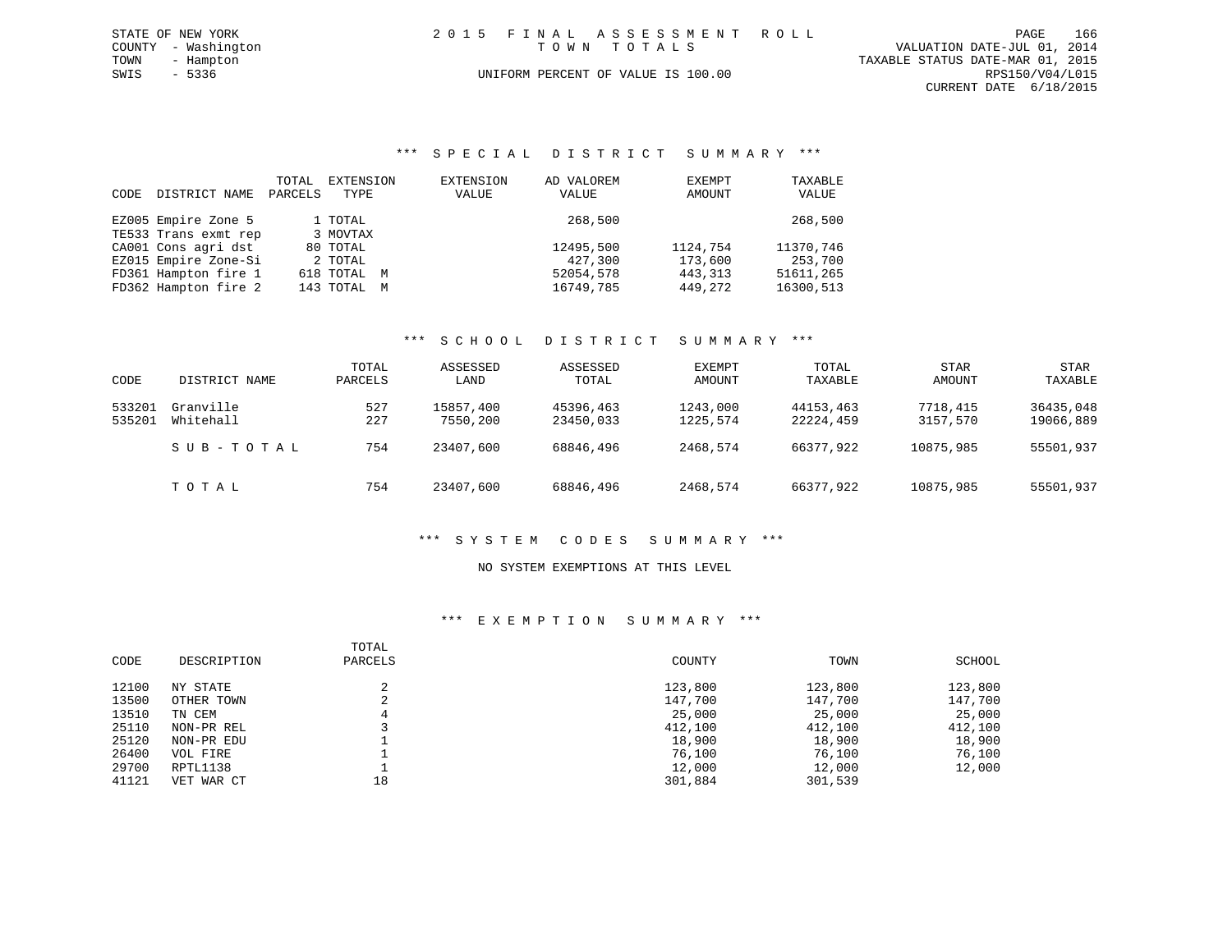| STATE OF NEW YORK   | 2015 FINAL ASSESSMENT ROLL         | 166<br>PAGE                      |
|---------------------|------------------------------------|----------------------------------|
| COUNTY - Washington | TOWN TOTALS                        | VALUATION DATE-JUL 01, 2014      |
| TOWN<br>- Hampton   |                                    | TAXABLE STATUS DATE-MAR 01, 2015 |
| SWIS - 5336         | UNIFORM PERCENT OF VALUE IS 100.00 | RPS150/V04/L015                  |
|                     |                                    | CURRENT DATE 6/18/2015           |
|                     |                                    |                                  |

#### \*\*\* S P E C I A L D I S T R I C T S U M M A R Y \*\*\*

| CODE | DISTRICT NAME        | TOTAL<br>PARCELS | EXTENSION<br>TYPE | EXTENSION<br>VALUE | AD VALOREM<br>VALUE | EXEMPT<br>AMOUNT | TAXABLE<br>VALUE |
|------|----------------------|------------------|-------------------|--------------------|---------------------|------------------|------------------|
|      | EZ005 Empire Zone 5  |                  | 1 TOTAL           |                    | 268,500             |                  | 268,500          |
|      | TE533 Trans exmt rep |                  | 3 MOVTAX          |                    |                     |                  |                  |
|      | CA001 Cons agri dst  |                  | 80 TOTAL          |                    | 12495,500           | 1124,754         | 11370.746        |
|      | EZ015 Empire Zone-Si |                  | 2 TOTAL           |                    | 427,300             | 173,600          | 253,700          |
|      | FD361 Hampton fire 1 |                  | 618 TOTAL M       |                    | 52054,578           | 443, 313         | 51611,265        |
|      | FD362 Hampton fire 2 |                  | 143 TOTAL M       |                    | 16749,785           | 449,272          | 16300,513        |

#### \*\*\* S C H O O L D I S T R I C T S U M M A R Y \*\*\*

|        |               | TOTAL   | ASSESSED  | ASSESSED  | EXEMPT   | TOTAL     | <b>STAR</b> | <b>STAR</b> |
|--------|---------------|---------|-----------|-----------|----------|-----------|-------------|-------------|
| CODE   | DISTRICT NAME | PARCELS | LAND      | TOTAL     | AMOUNT   | TAXABLE   | AMOUNT      | TAXABLE     |
| 533201 | Granville     | 527     | 15857,400 | 45396,463 | 1243,000 | 44153,463 | 7718,415    | 36435,048   |
| 535201 | Whitehall     | 227     | 7550,200  | 23450,033 | 1225,574 | 22224,459 | 3157,570    | 19066,889   |
|        | SUB-TOTAL     | 754     | 23407,600 | 68846,496 | 2468,574 | 66377,922 | 10875,985   | 55501,937   |
|        | TOTAL         | 754     | 23407,600 | 68846,496 | 2468,574 | 66377,922 | 10875,985   | 55501,937   |

#### \*\*\* S Y S T E M C O D E S S U M M A R Y \*\*\*

#### NO SYSTEM EXEMPTIONS AT THIS LEVEL

#### \*\*\* E X E M P T I O N S U M M A R Y \*\*\*

| CODE  | DESCRIPTION | TOTAL<br>PARCELS | COUNTY  | TOWN    | SCHOOL  |
|-------|-------------|------------------|---------|---------|---------|
| 12100 | NY STATE    |                  | 123,800 | 123,800 | 123,800 |
| 13500 | OTHER TOWN  | ∠                | 147,700 | 147,700 | 147,700 |
| 13510 | TN CEM      | 4                | 25,000  | 25,000  | 25,000  |
| 25110 | NON-PR REL  |                  | 412,100 | 412,100 | 412,100 |
| 25120 | NON-PR EDU  |                  | 18,900  | 18,900  | 18,900  |
| 26400 | VOL FIRE    |                  | 76,100  | 76,100  | 76,100  |
| 29700 | RPTL1138    |                  | 12,000  | 12,000  | 12,000  |
| 41121 | VET WAR CT  | 18               | 301,884 | 301,539 |         |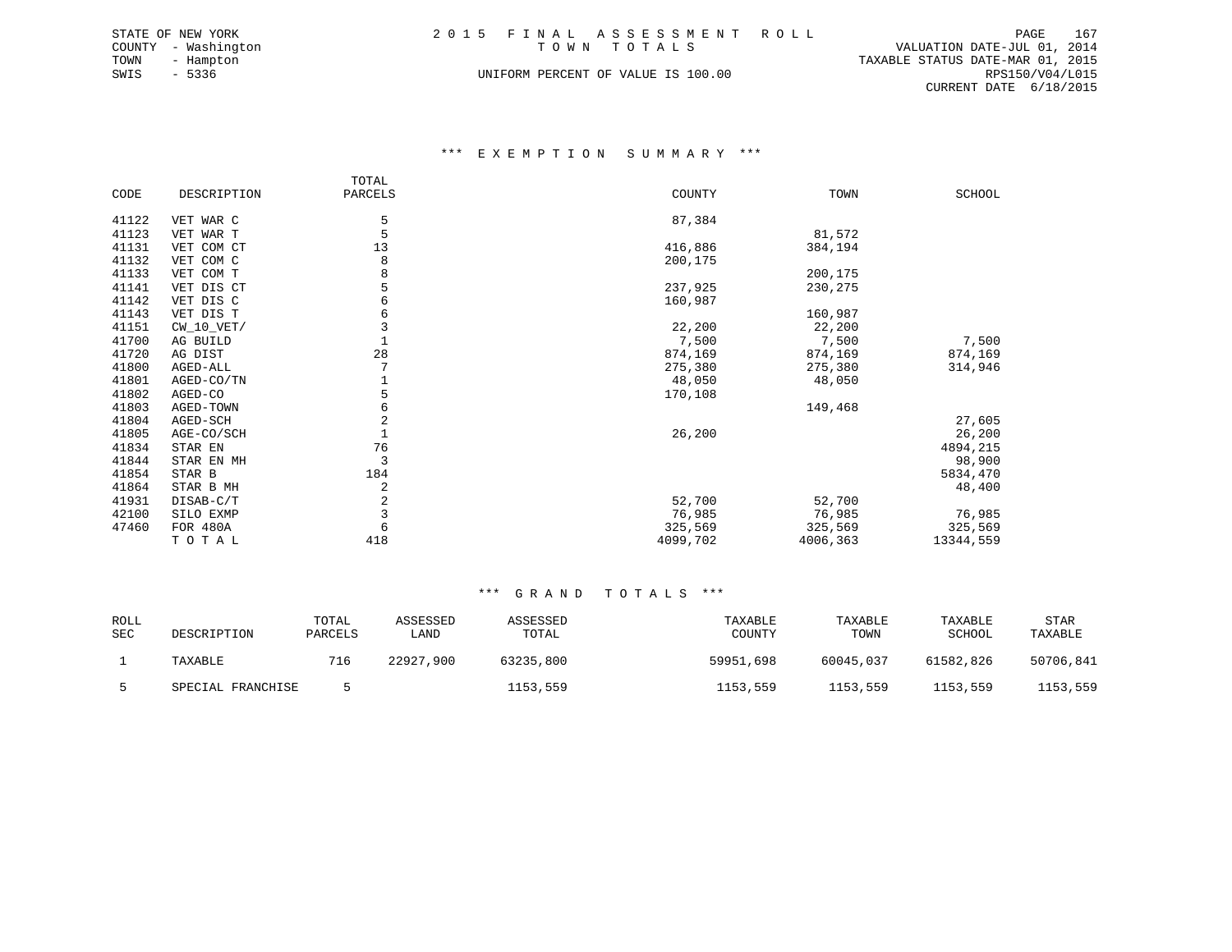|      | STATE OF NEW YORK   |  | 2015 FINAL ASSESSMENT ROLL         |                                  | PAGE            | 167 |
|------|---------------------|--|------------------------------------|----------------------------------|-----------------|-----|
|      | COUNTY - Washington |  | TOWN TOTALS                        | VALUATION DATE-JUL 01, 2014      |                 |     |
| TOWN | - Hampton           |  |                                    | TAXABLE STATUS DATE-MAR 01, 2015 |                 |     |
| SWIS | - 5336              |  | UNIFORM PERCENT OF VALUE IS 100.00 |                                  | RPS150/V04/L015 |     |
|      |                     |  |                                    | CURRENT DATE 6/18/2015           |                 |     |

#### \*\*\* E X E M P T I O N S U M M A R Y \*\*\*

|       |              | TOTAL   |          |          |           |
|-------|--------------|---------|----------|----------|-----------|
| CODE  | DESCRIPTION  | PARCELS | COUNTY   | TOWN     | SCHOOL    |
|       |              |         |          |          |           |
| 41122 | VET WAR C    | 5       | 87,384   |          |           |
| 41123 | VET WAR T    | 5       |          | 81,572   |           |
| 41131 | VET COM CT   | 13      | 416,886  | 384,194  |           |
| 41132 | VET COM C    | 8       | 200,175  |          |           |
| 41133 | VET COM T    | 8       |          | 200,175  |           |
| 41141 | VET DIS CT   |         | 237,925  | 230,275  |           |
| 41142 | VET DIS C    | 6       | 160,987  |          |           |
| 41143 | VET DIS T    | 6       |          | 160,987  |           |
| 41151 | $CW_10_VET/$ | 3       | 22,200   | 22,200   |           |
| 41700 | AG BUILD     |         | 7,500    | 7,500    | 7,500     |
| 41720 | AG DIST      | 28      | 874,169  | 874,169  | 874,169   |
| 41800 | AGED-ALL     |         | 275,380  | 275,380  | 314,946   |
| 41801 | AGED-CO/TN   |         | 48,050   | 48,050   |           |
| 41802 | AGED-CO      | 5       | 170,108  |          |           |
| 41803 | AGED-TOWN    | 6       |          | 149,468  |           |
| 41804 | AGED-SCH     | 2       |          |          | 27,605    |
| 41805 | AGE-CO/SCH   |         | 26,200   |          | 26,200    |
| 41834 | STAR EN      | 76      |          |          | 4894,215  |
| 41844 | STAR EN MH   | 3       |          |          | 98,900    |
| 41854 | STAR B       | 184     |          |          | 5834,470  |
| 41864 | STAR B MH    | 2       |          |          | 48,400    |
| 41931 | DISAB-C/T    | 2       | 52,700   | 52,700   |           |
| 42100 | SILO EXMP    | 3       | 76,985   | 76,985   | 76,985    |
| 47460 |              | 6       | 325,569  |          |           |
|       | FOR 480A     |         |          | 325,569  | 325,569   |
|       | TOTAL        | 418     | 4099,702 | 4006,363 | 13344,559 |

| ROLL<br>SEC | DESCRIPTION       | TOTAL<br>PARCELS | ASSESSED<br>LAND | ASSESSED<br>TOTAL | TAXABLE<br>COUNTY | TAXABLE<br>TOWN | TAXABLE<br>SCHOOL | STAR<br>TAXABLE |
|-------------|-------------------|------------------|------------------|-------------------|-------------------|-----------------|-------------------|-----------------|
|             | TAXABLE           | 716              | 22927,900        | 63235,800         | 59951,698         | 60045,037       | 61582,826         | 50706,841       |
|             | SPECIAL FRANCHISE |                  |                  | 1153,559          | 1153,559          | 1153,559        | 1153,559          | 1153,559        |